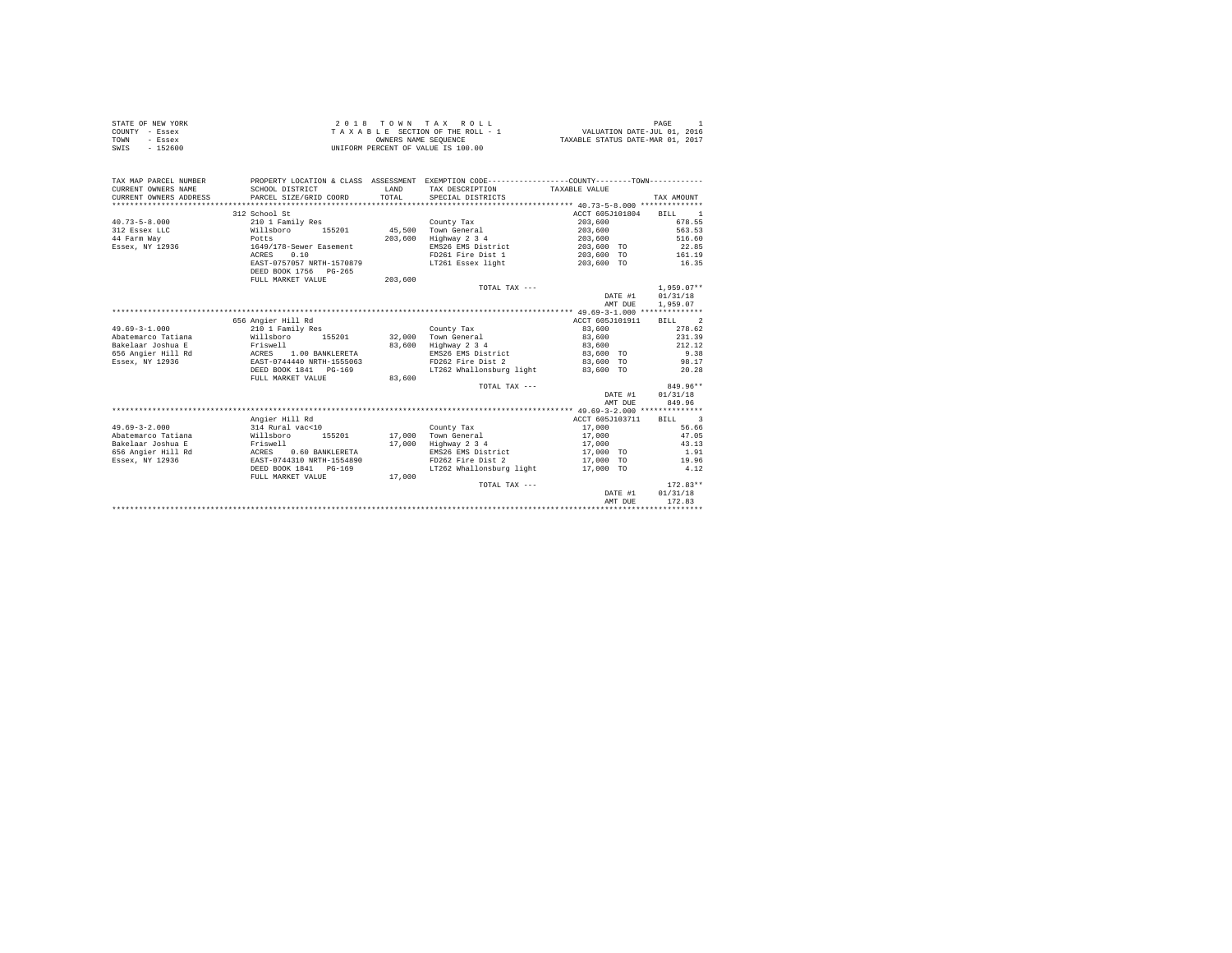| STATE OF NEW YORK | 2018 TOWN TAX ROLL                 | PAGE                             |  |
|-------------------|------------------------------------|----------------------------------|--|
| COUNTY - Essex    | TAXABLE SECTION OF THE ROLL - 1    | VALUATION DATE-JUL 01, 2016      |  |
| TOWN<br>- Essex   | OWNERS NAME SEOUENCE               | TAXABLE STATUS DATE-MAR 01, 2017 |  |
| SWIS<br>$-152600$ | UNIFORM PERCENT OF VALUE IS 100.00 |                                  |  |
|                   |                                    |                                  |  |

| TAX MAP PARCEL NUMBER                  |                                                          |         | PROPERTY LOCATION & CLASS ASSESSMENT EXEMPTION CODE---------------COUNTY-------TOWN---------- |                        |              |
|----------------------------------------|----------------------------------------------------------|---------|-----------------------------------------------------------------------------------------------|------------------------|--------------|
| CURRENT OWNERS NAME                    | SCHOOL DISTRICT                                          | LAND    | TAX DESCRIPTION                                                                               | TAXABLE VALUE          |              |
| CURRENT OWNERS ADDRESS                 | PARCEL SIZE/GRID COORD TOTAL                             |         | SPECIAL DISTRICTS                                                                             |                        | TAX AMOUNT   |
|                                        |                                                          |         |                                                                                               |                        |              |
|                                        | 312 School St                                            |         |                                                                                               | ACCT 605J101804 BILL 1 |              |
| $40.73 - 5 - 8.000$                    | 210 1 Family Res                                         |         | County Tax                                                                                    | 203,600                | 678.55       |
| 312 Essex LLC                          | Willsboro 155201 45,500 Town General                     |         |                                                                                               | 203,600                | 563.53       |
| <b>Example 19 Potts</b><br>44 Farm Way |                                                          | 203,600 | Highway 2 3 4                                                                                 | 203,600                | 516.60       |
|                                        | Essex, NY 12936 1649/178-Sewer Easement                  |         | EMS26 EMS District                                                                            | 203,600 TO 22.85       |              |
|                                        | 0.10<br>ACRES                                            |         | FD261 Fire Dist 1                                                                             | 203,600 TO 161.19      |              |
|                                        | EAST-0757057 NRTH-1570879                                |         | LT261 Essex light                                                                             | 203,600 TO             | 16.35        |
|                                        | DEED BOOK 1756 PG-265                                    |         |                                                                                               |                        |              |
|                                        | FULL MARKET VALUE                                        | 203,600 |                                                                                               |                        |              |
|                                        |                                                          |         | TOTAL TAX ---                                                                                 |                        | $1.959.07**$ |
|                                        |                                                          |         |                                                                                               | DATE #1                | 01/31/18     |
|                                        |                                                          |         |                                                                                               | AMT DUE                | 1,959.07     |
|                                        |                                                          |         |                                                                                               |                        |              |
|                                        | 656 Angier Hill Rd                                       |         |                                                                                               | ACCT 605J101911 BILL 2 |              |
| $49.69 - 3 - 1.000$                    | 210 1 Family Res                                         |         | County Tax                                                                                    | 83,600                 | 278.62       |
|                                        | Abatemarco Tatiana (Willsboro 155201 32.000 Town General |         |                                                                                               | 83,600                 | 231.39       |
| Bakelaar Joshua E                      | Friswell                                                 | 83,600  | Highway 2 3 4                                                                                 | 83,600                 | 212.12       |
|                                        |                                                          |         | EMS26 EMS District                                                                            | 83,600 TO              | 9.38         |
|                                        |                                                          |         | FD262 Fire Dist 2                                                                             | 83,600 TO              | 98.17        |
|                                        | DEED BOOK 1841 PG-169                                    |         | LT262 Whallonsburg light                                                                      | 83,600 TO              | 20.28        |
|                                        | FULL MARKET VALUE                                        | 83,600  |                                                                                               |                        |              |
|                                        |                                                          |         | TOTAL TAX ---                                                                                 |                        | 849.96**     |
|                                        |                                                          |         |                                                                                               | DATE #1                | 01/31/18     |
|                                        |                                                          |         |                                                                                               | AMT DUE                | 849.96       |
|                                        |                                                          |         |                                                                                               |                        |              |
|                                        | Angier Hill Rd                                           |         |                                                                                               | ACCT 605J103711 BILL 3 |              |
| $49.69 - 3 - 2.000$                    | 314 Rural vac<10                                         |         | County Tax                                                                                    | 17,000                 | 56.66        |
|                                        | Abatemarco Tatiana (Willsboro 155201 17,000 Town General |         |                                                                                               | 17,000                 | 47.05        |
| Bakelaar Joshua E                      | Friswell                                                 | 17,000  | Highway 2 3 4                                                                                 | 17,000                 | 43.13        |
| 656 Angier Hill Rd ACRES               | 0.60 BANKLERETA                                          |         | EMS26 EMS District                                                                            | 17,000 TO              | 1.91         |
| Essex, NY 12936                        | EAST-0744310 NRTH-1554890                                |         | FD262 Fire Dist 2                                                                             | 17,000 TO              | 19.96        |
|                                        | DEED BOOK 1841 PG-169                                    |         | LT262 Whallonsburg light                                                                      | 17,000 TO              | 4.12         |
|                                        | FULL MARKET VALUE                                        | 17,000  |                                                                                               |                        |              |
|                                        |                                                          |         | TOTAL TAX ---                                                                                 |                        | $172.83**$   |
|                                        |                                                          |         |                                                                                               | DATE #1                | 01/31/18     |
|                                        |                                                          |         |                                                                                               | AMT DUE                | 172.83       |
|                                        |                                                          |         |                                                                                               |                        |              |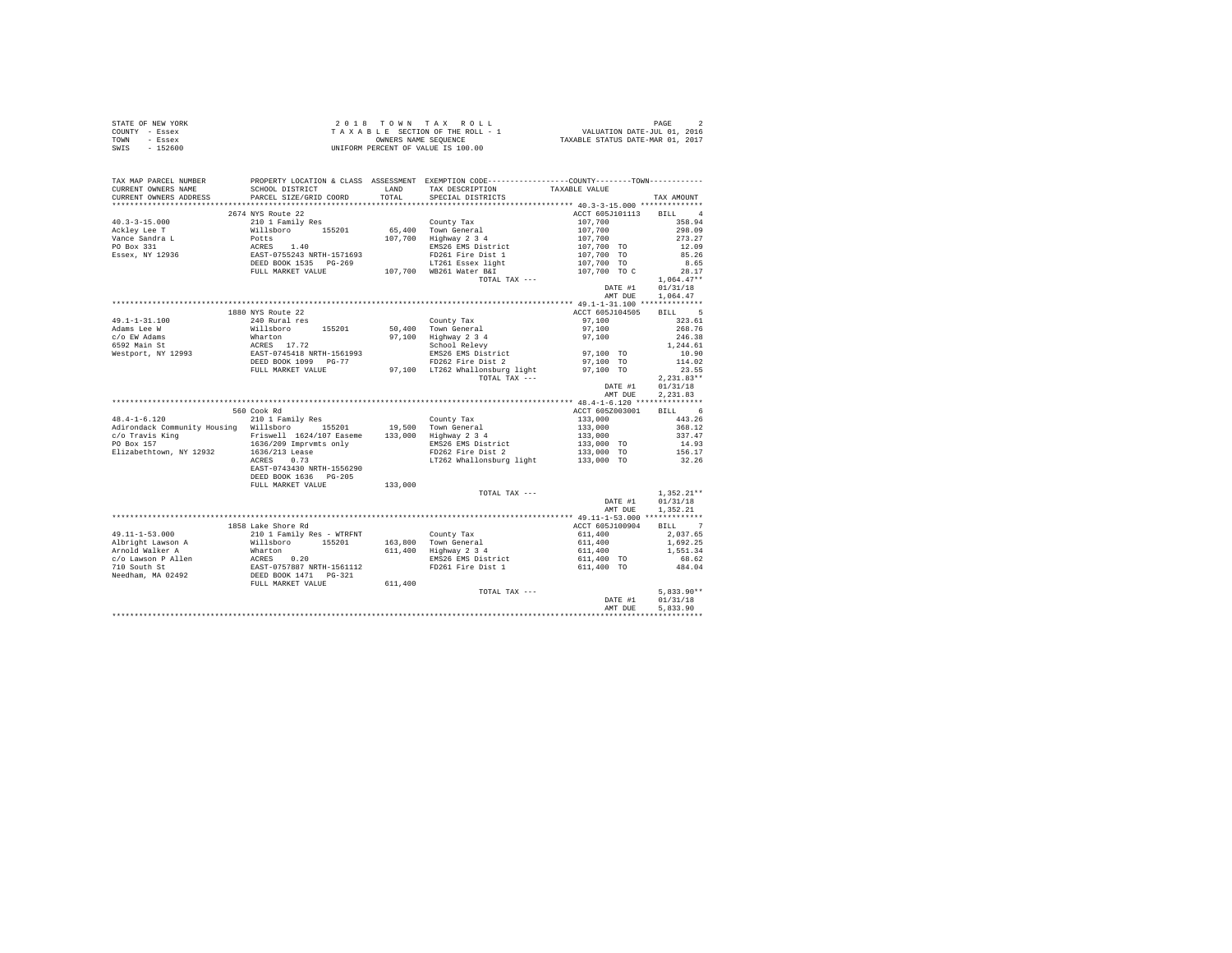| STATE OF NEW YORK | 2018 TOWN TAX ROLL                 | PAGE                             |
|-------------------|------------------------------------|----------------------------------|
| COUNTY - Essex    | TAXABLE SECTION OF THE ROLL - 1    | VALUATION DATE-JUL 01, 2016      |
| TOWN<br>- Essex   | OWNERS NAME SEOUENCE               | TAXABLE STATUS DATE-MAR 01, 2017 |
| - 152600<br>SWIS  | UNIFORM PERCENT OF VALUE IS 100.00 |                                  |

| TAX MAP PARCEL NUMBER                                                   |                                                                                                                                                               |         | PROPERTY LOCATION & CLASS ASSESSMENT EXEMPTION CODE---------------COUNTY-------TOWN---------- |                                                                                                                                                                                                                                                                                                                                      |                       |
|-------------------------------------------------------------------------|---------------------------------------------------------------------------------------------------------------------------------------------------------------|---------|-----------------------------------------------------------------------------------------------|--------------------------------------------------------------------------------------------------------------------------------------------------------------------------------------------------------------------------------------------------------------------------------------------------------------------------------------|-----------------------|
| CURRENT OWNERS NAME                                                     | SCHOOL DISTRICT                                                                                                                                               | LAND    | TAX DESCRIPTION                                                                               | TAXABLE VALUE                                                                                                                                                                                                                                                                                                                        |                       |
| CURRENT OWNERS ADDRESS                                                  | PARCEL SIZE/GRID COORD                                                                                                                                        | TOTAL   | SPECIAL DISTRICTS                                                                             |                                                                                                                                                                                                                                                                                                                                      | TAX AMOUNT            |
|                                                                         |                                                                                                                                                               |         |                                                                                               |                                                                                                                                                                                                                                                                                                                                      |                       |
|                                                                         | 2674 NYS Route 22                                                                                                                                             |         |                                                                                               | ACCT 605J101113                                                                                                                                                                                                                                                                                                                      | BILL 4                |
|                                                                         |                                                                                                                                                               |         | County Tax                                                                                    | 107,700                                                                                                                                                                                                                                                                                                                              | 358.94                |
|                                                                         |                                                                                                                                                               |         | 65,400 Town General<br>107,700 Highway 2 3 4                                                  |                                                                                                                                                                                                                                                                                                                                      | 298.09                |
|                                                                         |                                                                                                                                                               |         |                                                                                               | $107,700$<br>$107,700$<br>$107,700$ TO<br>$107,700$ TO<br>$107,700$ TO                                                                                                                                                                                                                                                               | 273.27                |
|                                                                         |                                                                                                                                                               |         | EMS26 EMS District                                                                            |                                                                                                                                                                                                                                                                                                                                      | 12.09                 |
|                                                                         |                                                                                                                                                               |         | FD261 Fire Dist 1                                                                             |                                                                                                                                                                                                                                                                                                                                      | 85.26                 |
|                                                                         |                                                                                                                                                               |         | LT261 Essex light<br>107,700 WB261 Water B&I                                                  |                                                                                                                                                                                                                                                                                                                                      | 8.65                  |
|                                                                         | FULL MARKET VALUE                                                                                                                                             |         | TOTAL TAX ---                                                                                 | 107,700 TO C                                                                                                                                                                                                                                                                                                                         | 28.17<br>$1.064.47**$ |
|                                                                         |                                                                                                                                                               |         |                                                                                               | DATE #1                                                                                                                                                                                                                                                                                                                              | 01/31/18              |
|                                                                         |                                                                                                                                                               |         |                                                                                               | AMT DUE                                                                                                                                                                                                                                                                                                                              | 1.064.47              |
|                                                                         |                                                                                                                                                               |         |                                                                                               |                                                                                                                                                                                                                                                                                                                                      |                       |
|                                                                         | 1880 NYS Route 22                                                                                                                                             |         |                                                                                               | ACCT 605J104505                                                                                                                                                                                                                                                                                                                      | BILL 5                |
| 49.1-1-31.100                                                           | 1900 NIS NOUCE 22<br>NAM RUE 21 CHE 21<br>Nam Rue 31<br>Nam Rue 31<br>Nam Rue 31<br>RAST-0745418 NRTH-1561993<br>DEED BOOK 1099 PG-77<br>DEED BOOK 1099 PG-77 |         |                                                                                               | 97,100                                                                                                                                                                                                                                                                                                                               | 323.61                |
| Adams Lee W                                                             |                                                                                                                                                               |         | County Tax<br>50,400 Town General<br>97,100 Highway 2 3 4<br>School Relevy                    | 97,100                                                                                                                                                                                                                                                                                                                               | 268.76                |
|                                                                         |                                                                                                                                                               |         |                                                                                               |                                                                                                                                                                                                                                                                                                                                      | 246.38                |
| $5592$ Main St                                                          |                                                                                                                                                               |         |                                                                                               | 97,100                                                                                                                                                                                                                                                                                                                               | 1,244.61              |
| Westport, NY 12993                                                      |                                                                                                                                                               |         |                                                                                               | $97,100$ TO                                                                                                                                                                                                                                                                                                                          | 10.90                 |
|                                                                         |                                                                                                                                                               |         | EMS26 EMS District<br>FD262 Fire Dist 2                                                       | 97,100 TO                                                                                                                                                                                                                                                                                                                            | 114.02                |
|                                                                         | FULL MARKET VALUE                                                                                                                                             |         | 97,100 LT262 Whallonsburg light                                                               | 97,100 TO                                                                                                                                                                                                                                                                                                                            | 23.55                 |
|                                                                         |                                                                                                                                                               |         | TOTAL TAX ---                                                                                 |                                                                                                                                                                                                                                                                                                                                      | $2.231.83**$          |
|                                                                         |                                                                                                                                                               |         |                                                                                               | DATE #1                                                                                                                                                                                                                                                                                                                              | 01/31/18              |
|                                                                         |                                                                                                                                                               |         |                                                                                               | AMT DUE                                                                                                                                                                                                                                                                                                                              | 2,231.83              |
|                                                                         |                                                                                                                                                               |         |                                                                                               |                                                                                                                                                                                                                                                                                                                                      |                       |
|                                                                         | 560 Cook Rd                                                                                                                                                   |         |                                                                                               | ACCT 605Z003001                                                                                                                                                                                                                                                                                                                      | BILL 6                |
| $48.4 - 1 - 6.120$                                                      | 210 1 Family Res                                                                                                                                              |         | County Tax                                                                                    |                                                                                                                                                                                                                                                                                                                                      | 443.26                |
| Adirondack Community Housing Willsboro                                  |                                                                                                                                                               |         | ly Res<br>155201 19,500 Town General                                                          |                                                                                                                                                                                                                                                                                                                                      | 368.12                |
| $c$ /o Travis King $r$ iswell $1624/107$ Easeme $133,000$ Highway 2 3 4 |                                                                                                                                                               |         |                                                                                               | $\begin{array}{lll} & -2 & -2 & -2 & -1 & -1 \\ & 133 & 0 & 0 & 0 \\ & 133 & 0 & 0 & 0 \\ & 133 & 0 & 0 & 0 \\ & 133 & 0 & 0 & 0 \\ & 133 & 0 & 0 & 0 \\ & 13 & 0 & 0 & 0 \\ & 13 & 0 & 0 & 0 \\ & 13 & 0 & 0 & 0 \\ & 14 & 0 & 0 & 0 & 0 \\ & 15 & 0 & 0 & 0 & 0 \\ & 16 & 0 & 0 & 0 & 0 \\ & 18 & 0 & 0 & 0 & 0 \\ & 19 & 0 & 0 &$ | 337.47                |
| PO Box 157                                                              | 1636/209 Imprvmts only                                                                                                                                        |         | Highway<br>EMS26 EMS District                                                                 |                                                                                                                                                                                                                                                                                                                                      | 14.93                 |
| Elizabethtown, NY 12932                                                 | 1636/213 Lease<br>1636/213 Lease<br>ACRES 0.73                                                                                                                |         | FD262 Fire Dist 2                                                                             | 133,000 TO                                                                                                                                                                                                                                                                                                                           | 156.17                |
|                                                                         |                                                                                                                                                               |         | LT262 Whallonsburg light                                                                      | 133,000 TO                                                                                                                                                                                                                                                                                                                           | 32.26                 |
|                                                                         | EAST-0743430 NRTH-1556290                                                                                                                                     |         |                                                                                               |                                                                                                                                                                                                                                                                                                                                      |                       |
|                                                                         | DEED BOOK 1636 PG-205                                                                                                                                         |         |                                                                                               |                                                                                                                                                                                                                                                                                                                                      |                       |
|                                                                         | FULL MARKET VALUE                                                                                                                                             | 133,000 |                                                                                               |                                                                                                                                                                                                                                                                                                                                      |                       |
|                                                                         |                                                                                                                                                               |         | TOTAL TAX ---                                                                                 |                                                                                                                                                                                                                                                                                                                                      | $1,352.21**$          |
|                                                                         |                                                                                                                                                               |         |                                                                                               | DATE #1                                                                                                                                                                                                                                                                                                                              | 01/31/18              |
|                                                                         |                                                                                                                                                               |         |                                                                                               | AMT DUE                                                                                                                                                                                                                                                                                                                              | 1,352.21              |
|                                                                         | 1858 Lake Shore Rd                                                                                                                                            |         |                                                                                               | ACCT 605J100904                                                                                                                                                                                                                                                                                                                      | BILL 7                |
| $49.11 - 1 - 53.000$                                                    | 210 1 Family Res - WTRFNT County Tax                                                                                                                          |         |                                                                                               | 611, 400                                                                                                                                                                                                                                                                                                                             | 2,037.65              |
| Albright Lawson A                                                       | Willsboro 155201                                                                                                                                              |         | 163,800 Town General                                                                          | 611,400                                                                                                                                                                                                                                                                                                                              | 1,692.25              |
| Arnold Walker A                                                         |                                                                                                                                                               |         |                                                                                               | 611,400                                                                                                                                                                                                                                                                                                                              | 1,551.34              |
| c/o Lawson P Allen                                                      | Wharton<br>ACRES 0.20<br>EAST-0757887 NRTH-1561112<br>DEED BOOK 1471 PG-321                                                                                   |         | 163,800 Town General<br>611,400 Highway 2 3 4<br>EMS26 EMS District                           | $611,400$ TO                                                                                                                                                                                                                                                                                                                         | 68.62                 |
| 710 South St                                                            |                                                                                                                                                               |         | FD261 Fire Dist 1                                                                             | 611,400 TO                                                                                                                                                                                                                                                                                                                           | 484.04                |
| Needham, MA 02492                                                       |                                                                                                                                                               |         |                                                                                               |                                                                                                                                                                                                                                                                                                                                      |                       |
|                                                                         | FULL MARKET VALUE                                                                                                                                             | 611,400 |                                                                                               |                                                                                                                                                                                                                                                                                                                                      |                       |
|                                                                         |                                                                                                                                                               |         | TOTAL TAX ---                                                                                 |                                                                                                                                                                                                                                                                                                                                      | $5,833.90**$          |
|                                                                         |                                                                                                                                                               |         |                                                                                               | DATE #1                                                                                                                                                                                                                                                                                                                              | 01/31/18              |
|                                                                         |                                                                                                                                                               |         |                                                                                               | AMT DUE                                                                                                                                                                                                                                                                                                                              | 5.833.90              |
|                                                                         |                                                                                                                                                               |         |                                                                                               |                                                                                                                                                                                                                                                                                                                                      |                       |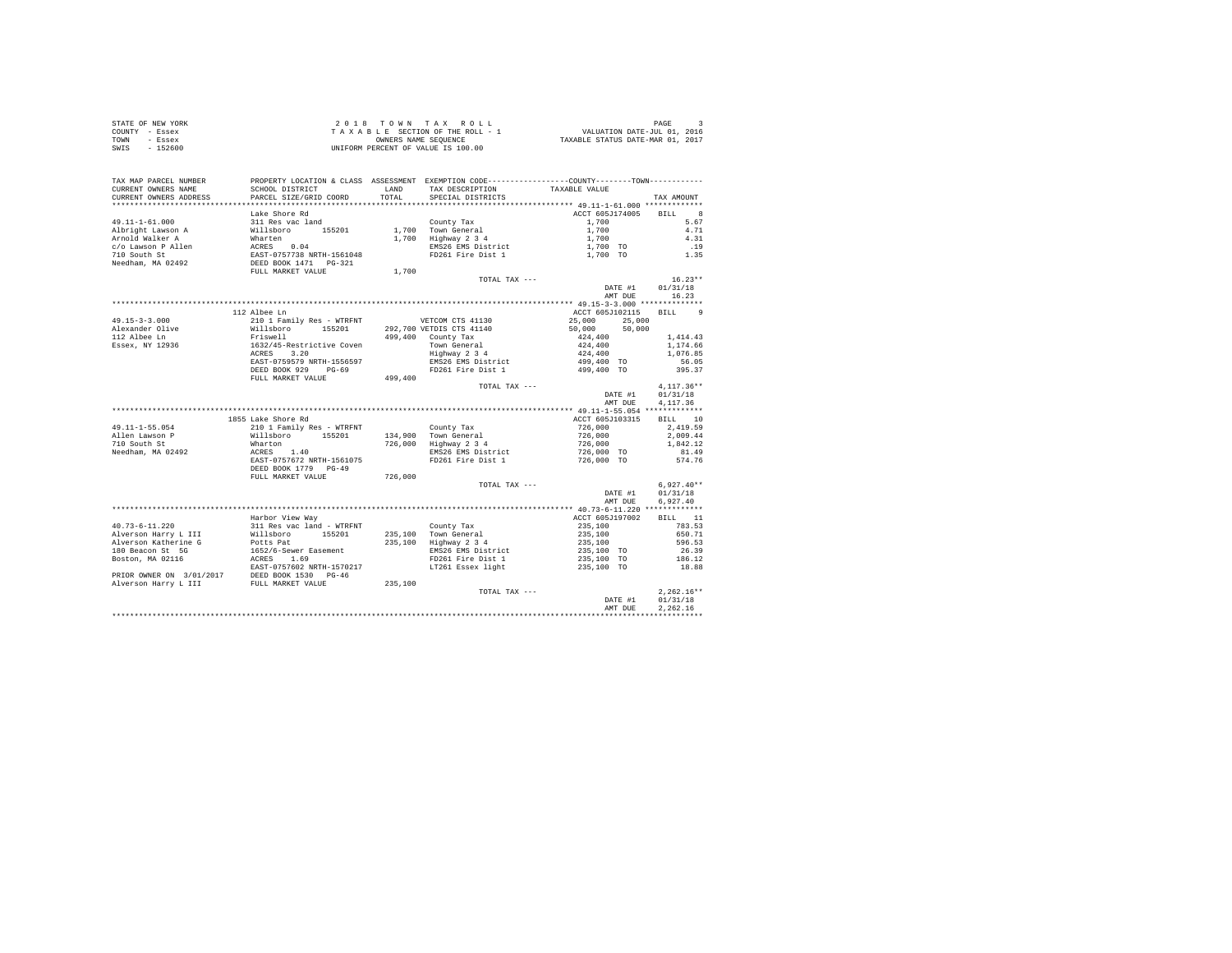| STATE OF NEW YORK | 2018 TOWN TAX ROLL                 | PAGE                             |
|-------------------|------------------------------------|----------------------------------|
| COUNTY - Essex    | TAXABLE SECTION OF THE ROLL - 1    | VALUATION DATE-JUL 01, 2016      |
| TOWN<br>- Essex   | OWNERS NAME SEOUENCE               | TAXABLE STATUS DATE-MAR 01, 2017 |
| SWIS<br>- 152600  | UNIFORM PERCENT OF VALUE IS 100.00 |                                  |

| TAX MAP PARCEL NUMBER<br>CURRENT OWNERS NAME<br>CURRENT OWNERS ADDRESS | PROPERTY LOCATION & CLASS ASSESSMENT EXEMPTION CODE----------------COUNTY-------TOWN----------<br>SCHOOL DISTRICT<br>PARCEL SIZE/GRID COORD | LAND<br>TOTAL. | TAX DESCRIPTION          | TAXABLE VALUE    |                             |
|------------------------------------------------------------------------|---------------------------------------------------------------------------------------------------------------------------------------------|----------------|--------------------------|------------------|-----------------------------|
| ***********************                                                | ***********************                                                                                                                     |                | SPECIAL DISTRICTS        |                  | TAX AMOUNT                  |
|                                                                        | Lake Shore Rd                                                                                                                               |                |                          | ACCT 605J174005  | $_{\rm 8}$<br><b>BILL</b>   |
| $49.11 - 1 - 61.000$                                                   | 311 Res vac land                                                                                                                            |                |                          | 1,700            | 5.67                        |
|                                                                        |                                                                                                                                             |                | County Tax               |                  |                             |
| Albright Lawson A                                                      | Willsboro 155201                                                                                                                            |                | 1,700 Town General       | 1,700            | 4.71                        |
| Arnold Walker A                                                        | Wharten                                                                                                                                     |                | 1,700 Highway 2 3 4      | 1,700            | 4.31                        |
| c/o Lawson P Allen                                                     | ACRES 0.04<br>EAST-0757738 NRTH-1561048                                                                                                     |                | EMS26 EMS District       | 1,700 TO         | .19                         |
| 710 South St                                                           |                                                                                                                                             |                | FD261 Fire Dist 1        | 1,700 TO         | 1.35                        |
| Needham, MA 02492                                                      | DEED BOOK 1471    PG-321                                                                                                                    |                |                          |                  |                             |
|                                                                        | FULL MARKET VALUE                                                                                                                           | 1,700          |                          |                  |                             |
|                                                                        |                                                                                                                                             |                | TOTAL TAX ---            |                  | $16.23**$                   |
|                                                                        |                                                                                                                                             |                |                          | DATE #1          | 01/31/18                    |
|                                                                        |                                                                                                                                             |                |                          | AMT DUE          | 16.23                       |
|                                                                        |                                                                                                                                             |                |                          |                  |                             |
|                                                                        | 112 Albee Ln                                                                                                                                |                |                          | ACCT 605J102115  | $\mathbf{Q}$<br><b>BILL</b> |
| $49.15 - 3 - 3.000$                                                    | 210 1 Family Res - WTRFNT VETCOM CTS 41130                                                                                                  |                |                          | 25,000<br>25,000 |                             |
| Alexander Olive                                                        | Willsboro<br>155201                                                                                                                         |                | 292,700 VETDIS CTS 41140 | 50,000<br>50,000 |                             |
| 112 Albee Ln                                                           | Friswell                                                                                                                                    |                | 499,400 County Tax       | 424,400          | 1,414.43                    |
| Essex, NY 12936                                                        | 1632/45-Restrictive Coven                                                                                                                   |                | Town General             | 424,400          | 1,174.66                    |
|                                                                        | ACRES 3.20                                                                                                                                  |                | Highway 2 3 4            | 424,400          | 1,076.85                    |
|                                                                        | EAST-0759579 NRTH-1556597                                                                                                                   |                | EMS26 EMS District       | 499,400 TO       | 56.05                       |
|                                                                        | DEED BOOK 929 PG-69                                                                                                                         |                | FD261 Fire Dist 1        | 499,400 TO       | 395.37                      |
|                                                                        | FULL MARKET VALUE                                                                                                                           | 499,400        |                          |                  |                             |
|                                                                        |                                                                                                                                             |                | TOTAL TAX ---            |                  | $4,117.36**$                |
|                                                                        |                                                                                                                                             |                |                          | DATE #1          | 01/31/18                    |
|                                                                        |                                                                                                                                             |                |                          | AMT DUE          | 4.117.36                    |
|                                                                        |                                                                                                                                             |                |                          |                  |                             |
|                                                                        | 1855 Lake Shore Rd                                                                                                                          |                |                          | ACCT 605J103315  | BILL 10                     |
| $49.11 - 1 - 55.054$                                                   | 210 1 Family Res - WTRFNT                                                                                                                   |                | County Tax               | 726,000          | 2.419.59                    |
| Allen Lawson P                                                         | Willsboro 155201                                                                                                                            | 134,900        | Town General             | 726,000          | 2,009.44                    |
| 710 South St                                                           | Wharton                                                                                                                                     | 726,000        | Highway 2 3 4            | 726,000          | 1.842.12                    |
| Needham, MA 02492                                                      | ACRES 1.40                                                                                                                                  |                | EMS26 EMS District       | 726,000 TO       | 81.49                       |
|                                                                        | EAST-0757672 NRTH-1561075                                                                                                                   |                | FD261 Fire Dist 1        | 726,000 TO       | 574.76                      |
|                                                                        | DEED BOOK 1779 PG-49                                                                                                                        |                |                          |                  |                             |
|                                                                        | FULL MARKET VALUE                                                                                                                           | 726,000        |                          |                  |                             |
|                                                                        |                                                                                                                                             |                | TOTAL TAX ---            |                  | $6.927.40**$                |
|                                                                        |                                                                                                                                             |                |                          | DATE #1          | 01/31/18                    |
|                                                                        |                                                                                                                                             |                |                          | AMT DUE          | 6.927.40                    |
|                                                                        |                                                                                                                                             |                |                          |                  |                             |
|                                                                        |                                                                                                                                             |                |                          |                  |                             |
|                                                                        | Harbor View Way                                                                                                                             |                |                          | ACCT 605J197002  | BILL 11                     |
| $40.73 - 6 - 11.220$                                                   | 311 Res vac land - WTRFNT                                                                                                                   |                | County Tax               | 235,100          | 783.53                      |
| Alverson Harry L III                                                   | Willsboro<br>155201                                                                                                                         |                | 235,100 Town General     | 235,100          | 650.71                      |
| Alverson Katherine G                                                   | Potts Pat                                                                                                                                   |                | 235,100 Highway 2 3 4    | 235,100          | 596.53                      |
| 180 Beacon St 5G                                                       | 1652/6-Sewer Easement                                                                                                                       |                | EMS26 EMS District       | 235,100 TO       | 26.39                       |
| Boston, MA 02116                                                       | ACRES 1.69                                                                                                                                  |                | FD261 Fire Dist 1        | 235,100 TO       | 186.12                      |
|                                                                        | EAST-0757602 NRTH-1570217                                                                                                                   |                | LT261 Essex light        | 235,100 TO       | 18.88                       |
| PRIOR OWNER ON 3/01/2017                                               | DEED BOOK 1530 PG-46                                                                                                                        |                |                          |                  |                             |
| Alverson Harry L III                                                   | FULL MARKET VALUE                                                                                                                           | 235,100        |                          |                  |                             |
|                                                                        |                                                                                                                                             |                | TOTAL TAX ---            |                  | $2.262.16**$                |
|                                                                        |                                                                                                                                             |                |                          | DATE #1          | 01/31/18                    |
|                                                                        |                                                                                                                                             |                |                          | AMT DUE          | 2.262.16                    |
|                                                                        |                                                                                                                                             |                |                          |                  |                             |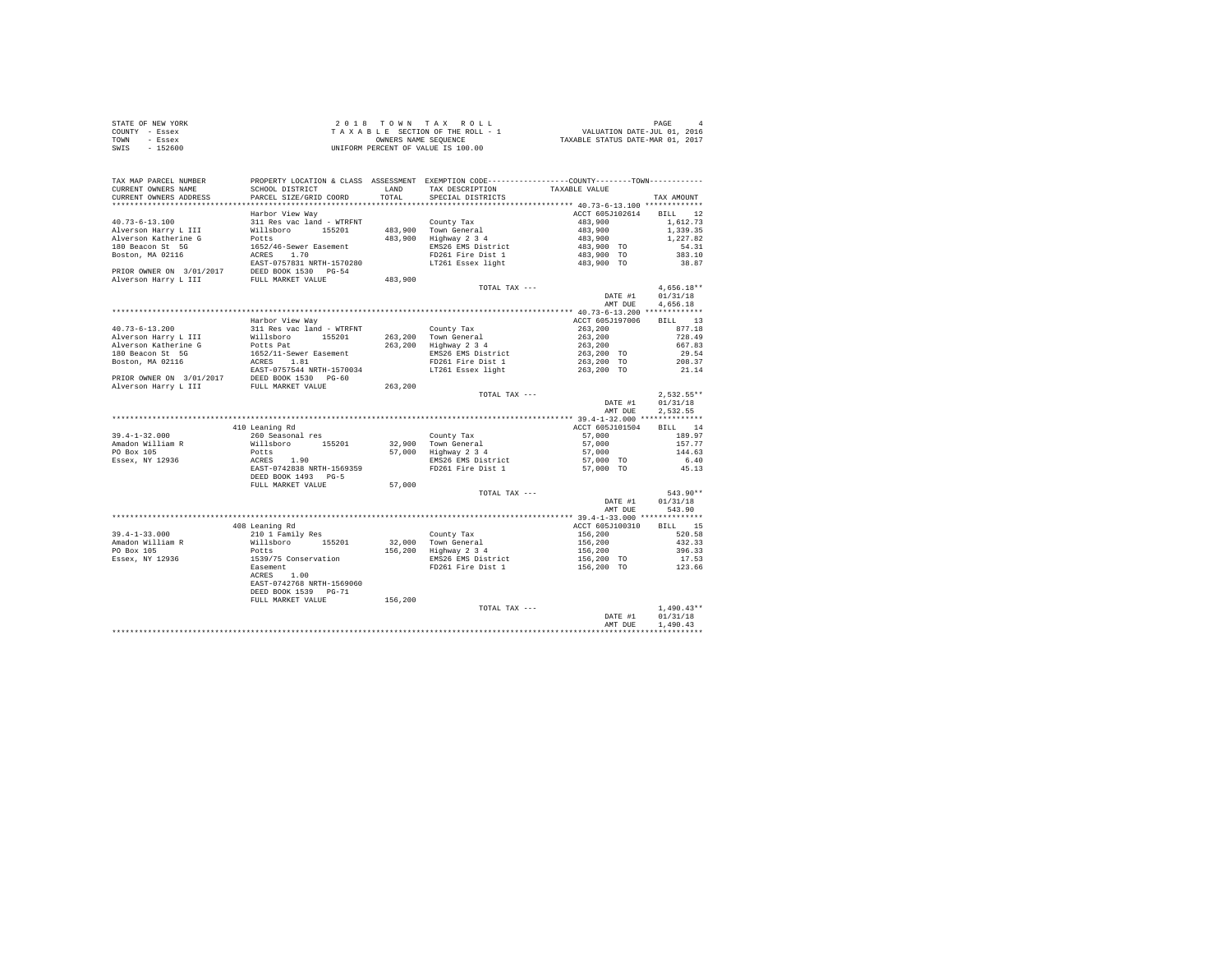|                | STATE OF NEW YORK | 2018 TOWN TAX ROLL                 | PAGE                             |
|----------------|-------------------|------------------------------------|----------------------------------|
| COUNTY - Essex |                   | TAXABLE SECTION OF THE ROLL - 1    | VALUATION DATE-JUL 01, 2016      |
| TOWN           | - Essex           | OWNERS NAME SEOUENCE               | TAXABLE STATUS DATE-MAR 01, 2017 |
| SWIS           | $-152600$         | UNIFORM PERCENT OF VALUE IS 100.00 |                                  |

| TAX MAP PARCEL NUMBER<br>CURRENT OWNERS NAME      | PROPERTY LOCATION & CLASS ASSESSMENT EXEMPTION CODE---------------COUNTY-------TOWN---------<br>SCHOOL DISTRICT | LAND    | TAX DESCRIPTION                     | TAXABLE VALUE         |                  |
|---------------------------------------------------|-----------------------------------------------------------------------------------------------------------------|---------|-------------------------------------|-----------------------|------------------|
| CURRENT OWNERS ADDRESS<br>*********************** | PARCEL SIZE/GRID COORD                                                                                          | TOTAL   | SPECIAL DISTRICTS                   |                       | TAX AMOUNT       |
|                                                   |                                                                                                                 |         |                                     | ACCT 605J102614       | RTLL 12          |
| $40.73 - 6 - 13.100$                              | Harbor View Way<br>311 Res vac land - WTRFNT                                                                    |         | County Tax                          | 483,900               | 1,612.73         |
| Alverson Harry L III                              | Willsboro<br>155201                                                                                             | 483,900 | Town General                        | 483,900               | 1,339.35         |
| Alverson Katherine G                              | Potts                                                                                                           | 483,900 | Highway 2 3 4                       | 483,900               | 1,227.82         |
| 180 Beacon St 5G                                  | 1652/46-Sewer Easement                                                                                          |         | EMS26 EMS District                  | 483,900 TO            | 54.31            |
| Boston, MA 02116                                  | ACRES 1.70                                                                                                      |         | FD261 Fire Dist 1                   | 483,900 TO            | 383.10           |
|                                                   | EAST-0757831 NRTH-1570280                                                                                       |         | LT261 Essex light                   | 483,900 TO            | 38.87            |
| PRIOR OWNER ON 3/01/2017                          | DEED BOOK 1530 PG-54                                                                                            |         |                                     |                       |                  |
| Alverson Harry L III                              | FULL MARKET VALUE                                                                                               | 483,900 |                                     |                       |                  |
|                                                   |                                                                                                                 |         | TOTAL TAX $---$                     |                       | $4,656.18**$     |
|                                                   |                                                                                                                 |         |                                     | DATE #1               | 01/31/18         |
|                                                   |                                                                                                                 |         |                                     | AMT DUE               | 4.656.18         |
|                                                   |                                                                                                                 |         |                                     |                       |                  |
|                                                   | Harbor View Way                                                                                                 |         |                                     | ACCT 605J197006       | BILL 13          |
| $40.73 - 6 - 13.200$                              | 311 Res vac land - WTRFNT                                                                                       |         | County Tax                          | 263,200               | 877.18           |
| Alverson Harry L III                              | Willsboro<br>155201                                                                                             | 263,200 | Town General                        | 263,200               | 728.49           |
| Alverson Katherine G                              | Potts Pat                                                                                                       | 263,200 | Highway 2 3 4                       | 263,200               | 667.83           |
| 180 Beacon St 5G                                  | 1652/11-Sewer Easement                                                                                          |         | EMS26 EMS District                  | 263,200 TO            | 29.54            |
| Boston, MA 02116                                  | ACRES 1.81                                                                                                      |         | FD261 Fire Dist 1                   | 263,200 TO            | 208.37           |
|                                                   | EAST-0757544 NRTH-1570034                                                                                       |         | LT261 Essex light                   | 263,200 TO            | 21.14            |
| PRIOR OWNER ON 3/01/2017                          | DEED BOOK 1530 PG-60                                                                                            |         |                                     |                       |                  |
| Alverson Harry L III                              | FULL MARKET VALUE                                                                                               | 263,200 |                                     |                       |                  |
|                                                   |                                                                                                                 |         | TOTAL TAX ---                       |                       | $2.532.55**$     |
|                                                   |                                                                                                                 |         |                                     | DATE #1               | 01/31/18         |
|                                                   |                                                                                                                 |         |                                     | AMT DUE               | 2.532.55         |
|                                                   |                                                                                                                 |         |                                     |                       |                  |
|                                                   | 410 Leaning Rd                                                                                                  |         |                                     | ACCT 605J101504       | BILL 14          |
| $39.4 - 1 - 32.000$                               | 260 Seasonal res                                                                                                |         | County Tax                          | 57,000                | 189.97           |
| Amadon William R                                  | Willsboro 155201                                                                                                | 32,900  | Town General                        | 57,000                | 157.77           |
| PO Box 105                                        | Potts                                                                                                           | 57,000  | Highway 2 3 4                       | 57,000                | 144.63           |
| Essex, NY 12936                                   | ACRES 1.90                                                                                                      |         | EMS26 EMS District                  | 57,000 TO             | 6.40             |
|                                                   | EAST-0742838 NRTH-1569359                                                                                       |         | FD261 Fire Dist 1                   | 57,000 TO             | 45.13            |
|                                                   | DEED BOOK 1493 PG-5                                                                                             |         |                                     |                       |                  |
|                                                   | FULL MARKET VALUE                                                                                               | 57,000  |                                     |                       |                  |
|                                                   |                                                                                                                 |         | TOTAL TAX ---                       |                       | 543.90**         |
|                                                   |                                                                                                                 |         |                                     | DATE #1               | 01/31/18         |
|                                                   |                                                                                                                 |         |                                     | AMT DUE               | 543.90           |
|                                                   |                                                                                                                 |         |                                     |                       |                  |
|                                                   | 408 Leaning Rd                                                                                                  |         |                                     | ACCT 605J100310       | BILL 15          |
| $39.4 - 1 - 33.000$                               | 210 1 Family Res                                                                                                |         | County Tax                          | 156,200               | 520.58           |
| Amadon William R<br>PO Box 105                    | Willsboro 155201<br>Potts                                                                                       | 156,200 | 32,000 Town General                 | 156,200               | 432.33<br>396.33 |
| Essex, NY 12936                                   | 1539/75 Conservation                                                                                            |         | Highway 2 3 4<br>EMS26 EMS District | 156,200<br>156,200 TO | 17.53            |
|                                                   | Easement                                                                                                        |         | FD261 Fire Dist 1                   | 156,200 TO            | 123.66           |
|                                                   | ACRES 1.00                                                                                                      |         |                                     |                       |                  |
|                                                   | EAST-0742768 NRTH-1569060                                                                                       |         |                                     |                       |                  |
|                                                   | DEED BOOK 1539 PG-71                                                                                            |         |                                     |                       |                  |
|                                                   | FULL MARKET VALUE                                                                                               | 156,200 |                                     |                       |                  |
|                                                   |                                                                                                                 |         | TOTAL TAX ---                       |                       | $1.490.43**$     |
|                                                   |                                                                                                                 |         |                                     | DATE #1               | 01/31/18         |
|                                                   |                                                                                                                 |         |                                     | AMT DUE               | 1,490.43         |
|                                                   |                                                                                                                 |         |                                     |                       |                  |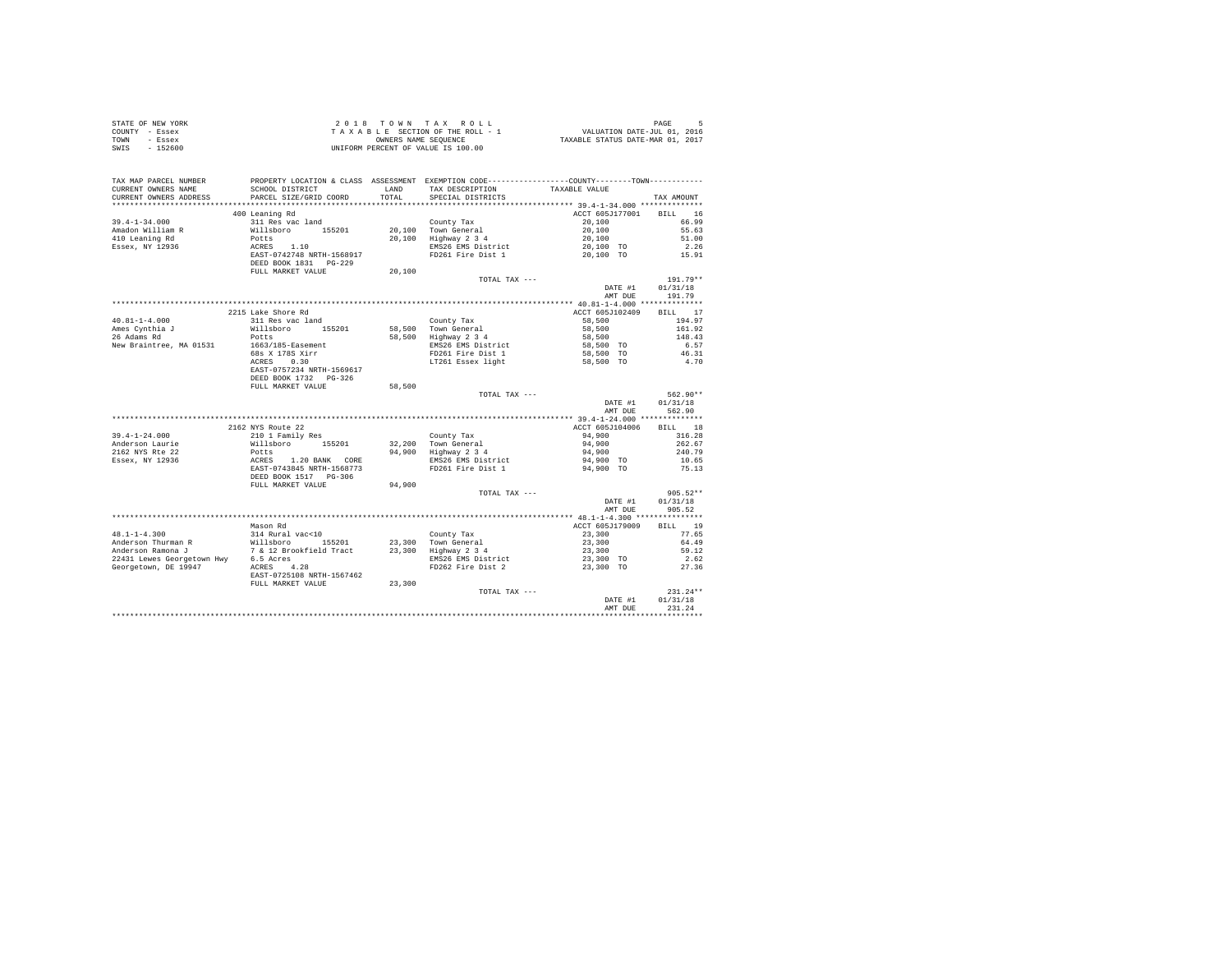|                | STATE OF NEW YORK | 2018 TOWN TAX ROLL                 | PAGE                             |
|----------------|-------------------|------------------------------------|----------------------------------|
| COUNTY - Essex |                   | TAXABLE SECTION OF THE ROLL - 1    | VALUATION DATE-JUL 01, 2016      |
| TOWN           | - Essex           | OWNERS NAME SEOUENCE               | TAXABLE STATUS DATE-MAR 01, 2017 |
| SWIS           | $-152600$         | UNIFORM PERCENT OF VALUE IS 100.00 |                                  |

| TAX MAP PARCEL NUMBER<br>CURRENT OWNERS NAME<br>CURRENT OWNERS ADDRESS                                                                                                                                                                   | SCHOOL DISTRICT<br>PARCEL SIZE/GRID COORD                                           | TOTAL  | PROPERTY LOCATION & CLASS ASSESSMENT EXEMPTION CODE----------------COUNTY-------TOWN----------<br>LAND TAX DESCRIPTION<br>SPECIAL DISTRICTS | TAXABLE VALUE          | TAX AMOUNT |
|------------------------------------------------------------------------------------------------------------------------------------------------------------------------------------------------------------------------------------------|-------------------------------------------------------------------------------------|--------|---------------------------------------------------------------------------------------------------------------------------------------------|------------------------|------------|
|                                                                                                                                                                                                                                          |                                                                                     |        |                                                                                                                                             |                        |            |
|                                                                                                                                                                                                                                          | 400 Leaning Rd                                                                      |        |                                                                                                                                             | ACCT 605J177001        | BILL 16    |
| $39.4 - 1 - 34.000$                                                                                                                                                                                                                      | 311 Res vac land                                                                    |        | County Tax                                                                                                                                  | 20,100                 | 66.99      |
| Amadon William R                                                                                                                                                                                                                         | Willsboro 155201                                                                    |        | 20,100 Town General<br>20,100 Highway 2 3 4                                                                                                 | 20,100                 | 55.63      |
| 410 Leaning Rd                                                                                                                                                                                                                           |                                                                                     |        |                                                                                                                                             | 20,100                 | 51.00      |
| Essex, NY 12936                                                                                                                                                                                                                          |                                                                                     |        | EMS26 EMS District                                                                                                                          |                        | 2.26       |
|                                                                                                                                                                                                                                          | Potts<br>ACRES 1.10<br>EAST-0742748 NRTH-1568917<br>DEED BOOK 1831 PG-229           |        | FD261 Fire Dist 1                                                                                                                           | 20,100 TO<br>20,100 TO | 15.91      |
|                                                                                                                                                                                                                                          |                                                                                     |        |                                                                                                                                             |                        |            |
|                                                                                                                                                                                                                                          | FULL MARKET VALUE                                                                   | 20,100 |                                                                                                                                             |                        |            |
|                                                                                                                                                                                                                                          |                                                                                     |        | TOTAL TAX ---                                                                                                                               |                        | $191.79**$ |
|                                                                                                                                                                                                                                          |                                                                                     |        |                                                                                                                                             | DATE #1                | 01/31/18   |
|                                                                                                                                                                                                                                          |                                                                                     |        |                                                                                                                                             | AMT DUE                | 191.79     |
|                                                                                                                                                                                                                                          |                                                                                     |        |                                                                                                                                             |                        |            |
|                                                                                                                                                                                                                                          | 2215 Lake Shore Rd                                                                  |        |                                                                                                                                             | ACCT 605J102409        | BILL 17    |
| $40.81 - 1 - 4.000$                                                                                                                                                                                                                      | 311 Res vac land<br>Willsboro 155201                                                |        | County Tax                                                                                                                                  | 58,500                 | 194.97     |
| Ames Cynthia $J$                                                                                                                                                                                                                         |                                                                                     |        | 58,500 Town General                                                                                                                         | 58,500                 | 161.92     |
|                                                                                                                                                                                                                                          | Potts                                                                               |        | 58,500 Highway 2 3 4                                                                                                                        | 58,500                 | 148.43     |
| New Braintree, MA 01531                                                                                                                                                                                                                  | 1663/185-Easement                                                                   |        | EMS26 EMS District                                                                                                                          | 58,500 TO              | 6.57       |
|                                                                                                                                                                                                                                          | 68s X 178S Xirr<br>comme 0 30                                                       |        | FD261 Fire Dist 1<br>LT261 Essex light                                                                                                      | 58,500 TO<br>58,500 TO | 46.31      |
|                                                                                                                                                                                                                                          | EAST-0757234 NRTH-1569617                                                           |        |                                                                                                                                             |                        | 4.70       |
|                                                                                                                                                                                                                                          | DEED BOOK 1732    PG-326                                                            |        |                                                                                                                                             |                        |            |
|                                                                                                                                                                                                                                          | FULL MARKET VALUE                                                                   | 58,500 |                                                                                                                                             |                        |            |
|                                                                                                                                                                                                                                          |                                                                                     |        | TOTAL TAX ---                                                                                                                               |                        | 562.90**   |
|                                                                                                                                                                                                                                          |                                                                                     |        |                                                                                                                                             | DATE #1                | 01/31/18   |
|                                                                                                                                                                                                                                          |                                                                                     |        |                                                                                                                                             | AMT DUE                | 562.90     |
|                                                                                                                                                                                                                                          |                                                                                     |        |                                                                                                                                             |                        |            |
|                                                                                                                                                                                                                                          | 2162 NYS Route 22                                                                   |        |                                                                                                                                             | ACCT 605J104006        | BILL 18    |
| $39.4 - 1 - 24.000$                                                                                                                                                                                                                      | 210 1 Family Res                                                                    |        | County Tax                                                                                                                                  | 94,900                 | 316.28     |
| Anderson Laurie                                                                                                                                                                                                                          | Willsboro 155201                                                                    |        |                                                                                                                                             | 94,900                 | 262.67     |
| 2162 NYS Rte 22                                                                                                                                                                                                                          |                                                                                     |        | 32,200 Town General<br>94,900 Highway 2 3 4                                                                                                 | 94,900                 | 240.79     |
| Essex, NY 12936                                                                                                                                                                                                                          |                                                                                     |        | EMS26 EMS District                                                                                                                          | 94,900 TO              | 10.65      |
|                                                                                                                                                                                                                                          |                                                                                     |        | FD261 Fire Dist 1                                                                                                                           | 94,900 TO              | 75.13      |
|                                                                                                                                                                                                                                          | Potts<br>ACRES 1.20 BANK CORE<br>EAST-0743845 NRTH-1568773<br>DEED BOOK 1517 PG-306 |        |                                                                                                                                             |                        |            |
|                                                                                                                                                                                                                                          | FULL MARKET VALUE                                                                   | 94,900 |                                                                                                                                             |                        |            |
|                                                                                                                                                                                                                                          |                                                                                     |        | TOTAL TAX ---                                                                                                                               |                        | $905.52**$ |
|                                                                                                                                                                                                                                          |                                                                                     |        |                                                                                                                                             | DATE #1                | 01/31/18   |
|                                                                                                                                                                                                                                          |                                                                                     |        |                                                                                                                                             | AMT DUE                | 905.52     |
|                                                                                                                                                                                                                                          |                                                                                     |        |                                                                                                                                             |                        |            |
|                                                                                                                                                                                                                                          | Mason Rd                                                                            |        |                                                                                                                                             | ACCT 605J179009        | BILL 19    |
| $48.1 - 1 - 4.300$                                                                                                                                                                                                                       | 314 Rural vac<10                                                                    |        | County Tax                                                                                                                                  | 23,300                 | 77.65      |
| Notes Control Mullsboro 155201 23,300 Town General<br>Anderson Ramona J 7 & 12 Brookfield Tract 23,300 Highway 2 3 4<br>23,231 Lewes Georgetown Hwy 6.5 Acres<br>23,300 Highway 2 3 200<br>EMS26 EMS ENGIS PRODUCED 2008 ASSALES<br>28,2 |                                                                                     |        |                                                                                                                                             | 23,300                 | 64.49      |
|                                                                                                                                                                                                                                          |                                                                                     |        |                                                                                                                                             | 23,300<br>23,300 TO    | 59.12      |
|                                                                                                                                                                                                                                          |                                                                                     |        | EMS26 EMS District                                                                                                                          |                        | 2.62       |
|                                                                                                                                                                                                                                          |                                                                                     |        | FD262 Fire Dist 2                                                                                                                           | 23,300 TO              | 27.36      |
|                                                                                                                                                                                                                                          | EAST-0725108 NRTH-1567462                                                           |        |                                                                                                                                             |                        |            |
|                                                                                                                                                                                                                                          | FULL MARKET VALUE                                                                   | 23,300 | TOTAL TAX ---                                                                                                                               |                        | $231.24**$ |
|                                                                                                                                                                                                                                          |                                                                                     |        |                                                                                                                                             | DATE #1                | 01/31/18   |
|                                                                                                                                                                                                                                          |                                                                                     |        |                                                                                                                                             | AMT DUE                | 231.24     |
|                                                                                                                                                                                                                                          |                                                                                     |        |                                                                                                                                             |                        |            |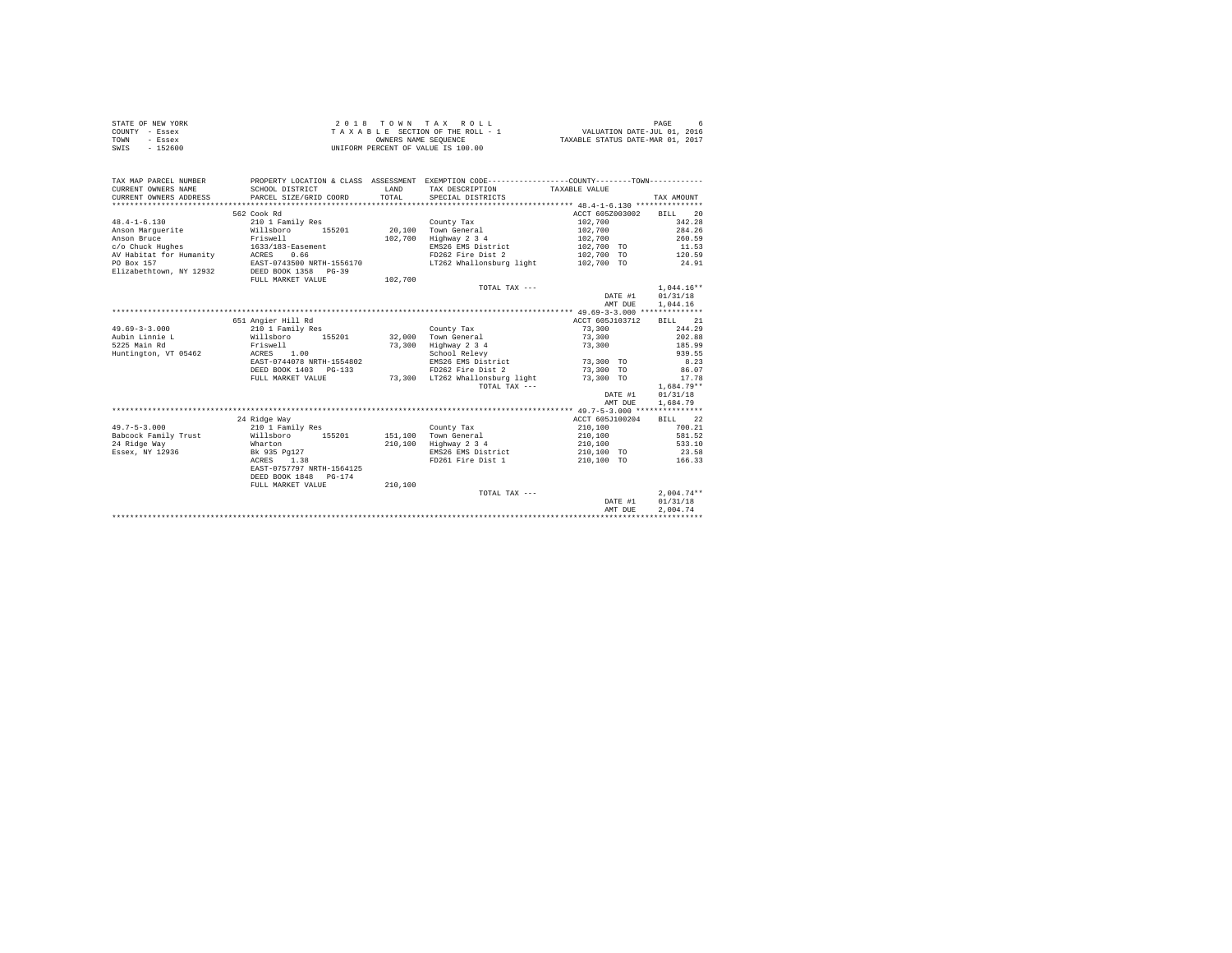| STATE OF NEW YORK | 2018 TOWN TAX ROLL                 | PAGE                             |
|-------------------|------------------------------------|----------------------------------|
| COUNTY - Essex    | TAXABLE SECTION OF THE ROLL - 1    | VALUATION DATE-JUL 01, 2016      |
| TOWN<br>- Essex   | OWNERS NAME SEOUENCE               | TAXABLE STATUS DATE-MAR 01, 2017 |
| $-152600$<br>SWIS | UNIFORM PERCENT OF VALUE IS 100.00 |                                  |

| TAX MAP PARCEL NUMBER<br>CURRENT OWNERS NAME<br>CURRENT OWNERS ADDRESS | SCHOOL DISTRICT<br>PARCEL SIZE/GRID COORD | <b>T.AND</b><br>TOTAL | PROPERTY LOCATION & CLASS ASSESSMENT EXEMPTION CODE---------------COUNTY-------TOWN----------<br>TAX DESCRIPTION TAXABLE VALUE<br>SPECIAL DISTRICTS |                    | TAX AMOUNT           |
|------------------------------------------------------------------------|-------------------------------------------|-----------------------|-----------------------------------------------------------------------------------------------------------------------------------------------------|--------------------|----------------------|
|                                                                        | 562 Cook Rd                               |                       |                                                                                                                                                     | ACCT 605Z003002    | BILL 20              |
| $48.4 - 1 - 6.130$                                                     | 210 1 Family Res                          |                       | County Tax                                                                                                                                          | 102,700            | 342.28               |
| Anson Marquerite                                                       | Willsboro<br>155201                       |                       | 20.100 Town General                                                                                                                                 | 102,700            | 284.26               |
| Anson Bruce                                                            | Friswell                                  | 102,700               | Highway 2 3 4                                                                                                                                       | 102,700            | 260.59               |
| c/o Chuck Hughes                                                       | 1633/183-Easement                         |                       | EMS26 EMS District                                                                                                                                  | 102,700 TO         | 11.53                |
| AV Habitat for Humanity                                                | ACRES<br>0.66                             |                       | FD262 Fire Dist 2                                                                                                                                   | 102,700 TO         | 120.59               |
| PO Box 157                                                             | EAST-0743500 NRTH-1556170                 |                       | LT262 Whallonsburg light 102,700 TO                                                                                                                 |                    | 24.91                |
| Elizabethtown, NY 12932                                                | DEED BOOK 1358 PG-39                      |                       |                                                                                                                                                     |                    |                      |
|                                                                        | FULL MARKET VALUE                         | 102,700               |                                                                                                                                                     |                    |                      |
|                                                                        |                                           |                       | TOTAL TAX ---                                                                                                                                       |                    | $1.044.16**$         |
|                                                                        |                                           |                       |                                                                                                                                                     | DATE #1<br>AMT DUE | 01/31/18<br>1,044.16 |
|                                                                        |                                           |                       |                                                                                                                                                     |                    |                      |
|                                                                        | 651 Angier Hill Rd                        |                       |                                                                                                                                                     | ACCT 605J103712    | BILL 21              |
| $49.69 - 3 - 3.000$                                                    | 210 1 Family Res                          |                       | County Tax                                                                                                                                          | 73,300             | 244.29               |
| Aubin Linnie L                                                         | Willsboro<br>155201                       |                       | 32,000 Town General                                                                                                                                 | 73,300             | 202.88               |
| 5225 Main Rd                                                           | Friswell                                  | 73,300                | Highway 2 3 4                                                                                                                                       | 73,300             | 185.99               |
| Huntington, VT 05462                                                   | 1.00<br>ACRES                             |                       | School Relevy                                                                                                                                       |                    | 939.55               |
|                                                                        | EAST-0744078 NRTH-1554802                 |                       | EMS26 EMS District 73,300 TO                                                                                                                        |                    | 8.23                 |
|                                                                        | DEED BOOK 1403 PG-133                     |                       | FD262 Fire Dist 2                                                                                                                                   | 73,300 TO          | 86.07                |
|                                                                        | FULL MARKET VALUE                         |                       | 73,300 LT262 Whallonsburg light                                                                                                                     | 73,300 TO          | 17.78                |
|                                                                        |                                           |                       | TOTAL TAX $---$                                                                                                                                     |                    | $1.684.79**$         |
|                                                                        |                                           |                       |                                                                                                                                                     | DATE #1            | 01/31/18             |
|                                                                        |                                           |                       |                                                                                                                                                     | AMT DUE            | 1,684.79             |
|                                                                        |                                           |                       |                                                                                                                                                     |                    |                      |
|                                                                        | 24 Ridge Way                              |                       |                                                                                                                                                     | ACCT 605J100204    | BILL 22              |
| $49.7 - 5 - 3.000$                                                     | 210 1 Family Res                          |                       | County Tax                                                                                                                                          | 210,100            | 700.21               |
| Babcock Family Trust                                                   | 155201<br>Willsboro                       |                       | 151.100 Town General                                                                                                                                | 210,100            | 581.52               |
| 24 Ridge Way                                                           | Wharton                                   | 210,100               | Highway 2 3 4                                                                                                                                       | 210,100            | 533.10               |
| Essex, NY 12936                                                        | Bk 935 Pa127                              |                       | EMS26 EMS District                                                                                                                                  | 210,100 TO         | 23.58                |
|                                                                        | ACRES 1.38                                |                       | FD261 Fire Dist 1                                                                                                                                   | 210,100 TO         | 166.33               |
|                                                                        | EAST-0757797 NRTH-1564125                 |                       |                                                                                                                                                     |                    |                      |
|                                                                        | DEED BOOK 1848<br>$PG-174$                |                       |                                                                                                                                                     |                    |                      |
|                                                                        | FULL MARKET VALUE                         | 210,100               |                                                                                                                                                     |                    |                      |
|                                                                        |                                           |                       | TOTAL TAX ---                                                                                                                                       |                    | $2.004.74**$         |
|                                                                        |                                           |                       |                                                                                                                                                     | DATE #1            | 01/31/18             |
|                                                                        |                                           |                       |                                                                                                                                                     | AMT DUE            | 2.004.74             |
|                                                                        |                                           |                       |                                                                                                                                                     |                    |                      |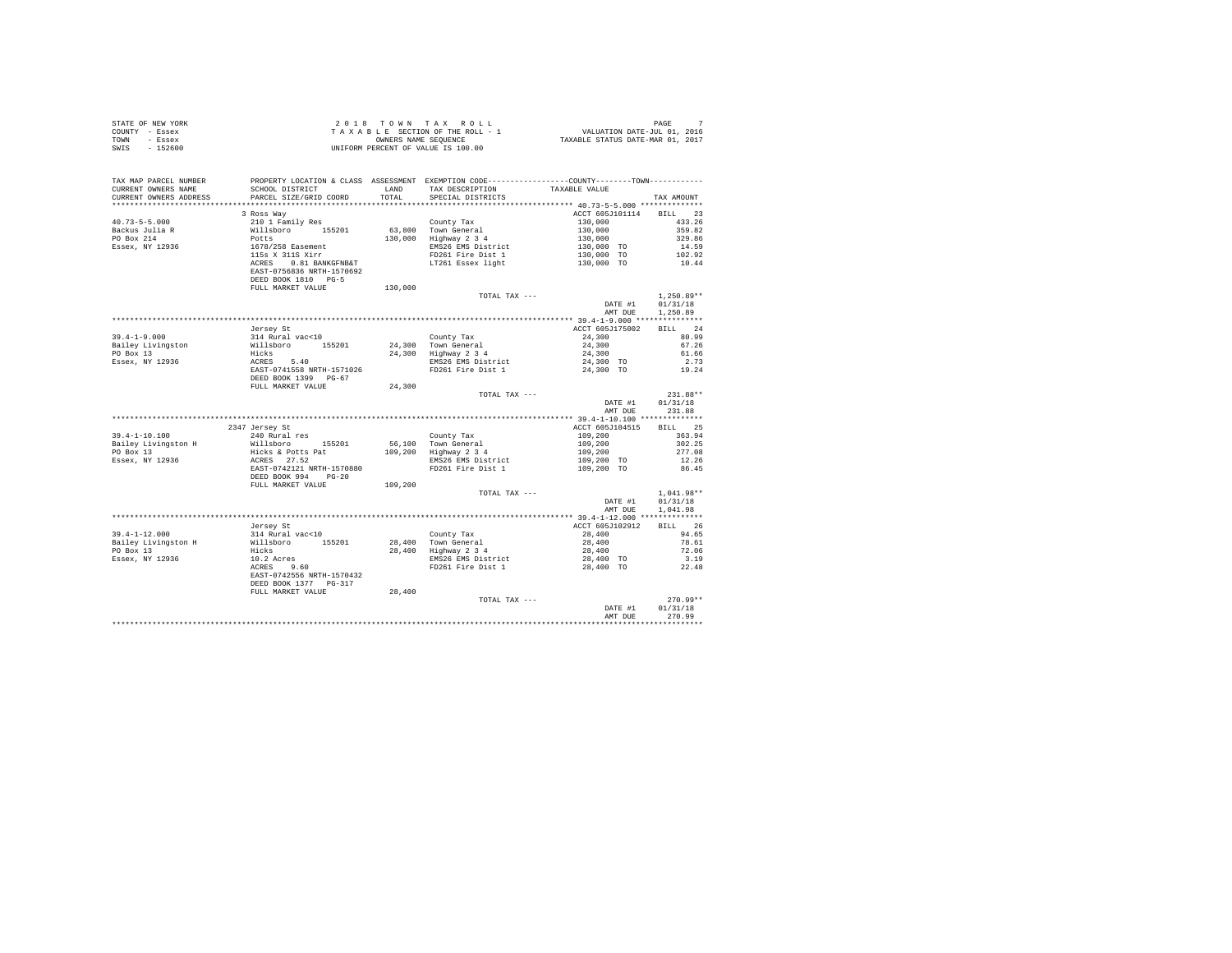| STATE OF NEW YORK | 2018 TOWN TAX ROLL                 | PAGE                             |
|-------------------|------------------------------------|----------------------------------|
| COUNTY - Essex    | TAXABLE SECTION OF THE ROLL - 1    | VALUATION DATE-JUL 01, 2016      |
| TOWN<br>- Essex   | OWNERS NAME SEOUENCE               | TAXABLE STATUS DATE-MAR 01, 2017 |
| SWIS<br>$-152600$ | UNIFORM PERCENT OF VALUE IS 100.00 |                                  |

| TAX MAP PARCEL NUMBER<br>CURRENT OWNERS NAME<br>CURRENT OWNERS ADDRESS | SCHOOL DISTRICT<br>PARCEL SIZE/GRID COORD                                                    | LAND<br>TOTAL. | PROPERTY LOCATION & CLASS ASSESSMENT EXEMPTION CODE---------------COUNTY-------TOWN---------<br>TAX DESCRIPTION<br>SPECIAL DISTRICTS | TAXABLE VALUE                          | TAX AMOUNT   |
|------------------------------------------------------------------------|----------------------------------------------------------------------------------------------|----------------|--------------------------------------------------------------------------------------------------------------------------------------|----------------------------------------|--------------|
|                                                                        |                                                                                              |                |                                                                                                                                      |                                        |              |
|                                                                        | 3 Ross Way                                                                                   |                |                                                                                                                                      | ACCT 605J101114                        | BILL 23      |
| $40.73 - 5 - 5.000$                                                    | 210 1 Family Res                                                                             |                | County Tax                                                                                                                           | 130,000                                | 433.26       |
| Backus Julia R                                                         |                                                                                              |                | 63.800 Town General                                                                                                                  |                                        | 359.82       |
| PO Box 214                                                             |                                                                                              |                | 130,000 Highway 2 3 4                                                                                                                |                                        | 329.86       |
| Essex, NY 12936                                                        | Willsboro 155201<br>Potts<br>1678/258 Easement                                               |                | EMS26 EMS District                                                                                                                   | $130,000$<br>$130,000$<br>$130,000$ TO | 14.59        |
|                                                                        | 115s X 311S Xirr                                                                             |                | FD261 Fire Dist 1                                                                                                                    | 130,000 TO                             | 102.92       |
|                                                                        | ACRES 0.81 BANKGFNB&T                                                                        |                | LT261 Essex light                                                                                                                    | 130,000 TO                             | 10.44        |
|                                                                        | EAST-0756836 NRTH-1570692<br>DEED BOOK 1810 PG-5                                             |                |                                                                                                                                      |                                        |              |
|                                                                        | FULL MARKET VALUE                                                                            | 130,000        |                                                                                                                                      |                                        |              |
|                                                                        |                                                                                              |                | TOTAL TAX ---                                                                                                                        |                                        | $1.250.89**$ |
|                                                                        |                                                                                              |                |                                                                                                                                      | DATE #1                                | 01/31/18     |
|                                                                        |                                                                                              |                |                                                                                                                                      | AMT DUE                                | 1,250.89     |
|                                                                        |                                                                                              |                |                                                                                                                                      |                                        |              |
|                                                                        | Jersey St                                                                                    |                |                                                                                                                                      | ACCT 605J175002                        | BILL 24      |
| $39.4 - 1 - 9.000$                                                     | 314 Rural vac<10                                                                             |                | County Tax                                                                                                                           | 24,300                                 | 80.99        |
| Bailey Livingston                                                      |                                                                                              |                |                                                                                                                                      | 24,300                                 | 67.26        |
| PO Box 13                                                              |                                                                                              |                | 24,300 Town General<br>24,300 Highway 2 3 4                                                                                          | 24,300                                 | 61.66        |
| Essex, NY 12936                                                        |                                                                                              |                | EMS26 EMS District                                                                                                                   | 24,300 TO                              | 2.73         |
|                                                                        | Willsboro 155201<br>Hicks<br>ACRES 5.40<br>EAST-0741558 NRTH-1571026<br>DEED BOOK 1399 PG-67 |                | FD261 Fire Dist 1                                                                                                                    | 24,300 TO                              | 19.24        |
|                                                                        | FULL MARKET VALUE                                                                            | 24,300         |                                                                                                                                      |                                        |              |
|                                                                        |                                                                                              |                | TOTAL TAX ---                                                                                                                        |                                        | $231.88**$   |
|                                                                        |                                                                                              |                |                                                                                                                                      | DATE #1                                | 01/31/18     |
|                                                                        |                                                                                              |                |                                                                                                                                      | AMT DUE                                | 231.88       |
|                                                                        |                                                                                              |                |                                                                                                                                      |                                        |              |
|                                                                        | 2347 Jersey St                                                                               |                |                                                                                                                                      | ACCT 605J104515                        | BILL 25      |
| $39.4 - 1 - 10.100$                                                    | 240 Rural res                                                                                |                | County Tax                                                                                                                           | 109,200                                | 363.94       |
| Bailey Livingston H                                                    | Willsboro 155201                                                                             |                |                                                                                                                                      |                                        | 302.25       |
| PO Box 13                                                              | Hicks & Potts Pat                                                                            |                | 56,100 Town General<br>109,200 Highway 2 3 4                                                                                         | 109,200<br>109,200                     | 277.08       |
| Essex, NY 12936                                                        | ACRES 27.52                                                                                  |                | EMS26 EMS District                                                                                                                   | 109,200 TO                             | 12.26        |
|                                                                        | EAST-0742121 NRTH-1570880                                                                    |                | FD261 Fire Dist 1                                                                                                                    | 109,200 TO                             | 86.45        |
|                                                                        | DEED BOOK 994 PG-20                                                                          |                |                                                                                                                                      |                                        |              |
|                                                                        | FULL MARKET VALUE                                                                            | 109,200        |                                                                                                                                      |                                        |              |
|                                                                        |                                                                                              |                | TOTAL TAX ---                                                                                                                        |                                        | $1.041.98**$ |
|                                                                        |                                                                                              |                |                                                                                                                                      | DATE #1                                | 01/31/18     |
|                                                                        |                                                                                              |                |                                                                                                                                      | AMT DUE                                | 1,041.98     |
|                                                                        |                                                                                              |                |                                                                                                                                      |                                        |              |
|                                                                        | Jersey St                                                                                    |                |                                                                                                                                      | ACCT 605J102912                        | BILL 26      |
| $39.4 - 1 - 12.000$                                                    | 314 Rural vac<10                                                                             |                | County Tax                                                                                                                           | 28,400                                 | 94.65        |
| Bailey Livingston H                                                    | willsboro 155201                                                                             |                | 28,400 Town General                                                                                                                  | 28,400                                 | 78.61        |
| PO Box 13                                                              | Hicks                                                                                        |                | 28,400 Highway 2 3 4                                                                                                                 | 28,400                                 | 72.06        |
| Essex, NY 12936                                                        |                                                                                              |                | $mS26$ EMS District                                                                                                                  | 28,400 TO                              | 3.19         |
|                                                                        | 10.2 Acres<br>ACRES 9.60                                                                     |                | FD261 Fire Dist 1                                                                                                                    | 28,400 TO                              | 22.48        |
|                                                                        | EAST-0742556 NRTH-1570432                                                                    |                |                                                                                                                                      |                                        |              |
|                                                                        | DEED BOOK 1377 PG-317                                                                        |                |                                                                                                                                      |                                        |              |
|                                                                        | FULL MARKET VALUE                                                                            | 28,400         |                                                                                                                                      |                                        |              |
|                                                                        |                                                                                              |                | TOTAL TAX ---                                                                                                                        |                                        | $270.99**$   |
|                                                                        |                                                                                              |                |                                                                                                                                      | DATE #1                                | 01/31/18     |
|                                                                        |                                                                                              |                |                                                                                                                                      | AMT DUE                                | 270.99       |
|                                                                        |                                                                                              |                |                                                                                                                                      |                                        |              |
|                                                                        |                                                                                              |                |                                                                                                                                      |                                        |              |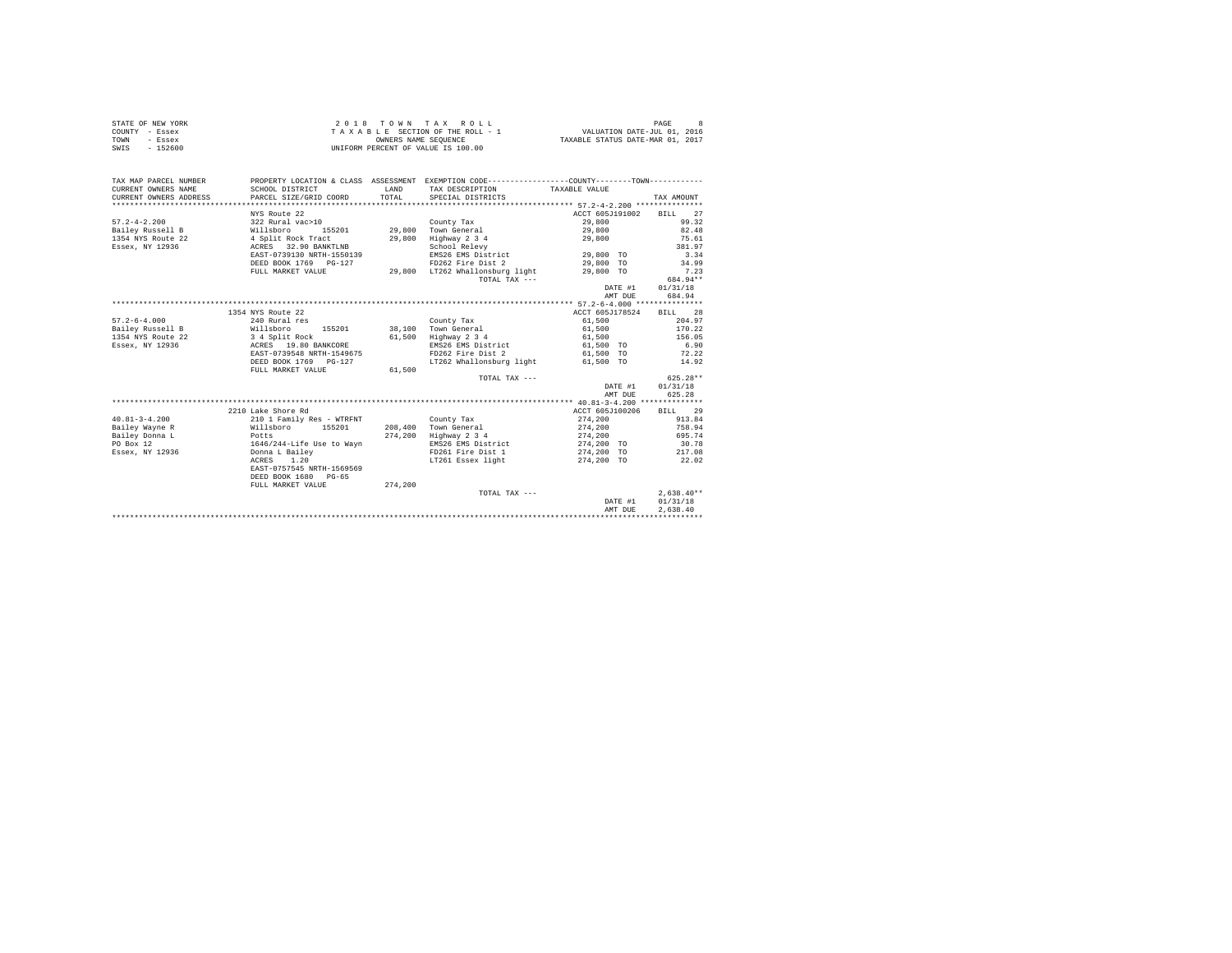| STATE OF NEW YORK | 2018 TOWN TAX ROLL                 | 8<br>PAGE                        |
|-------------------|------------------------------------|----------------------------------|
| COUNTY - Essex    | TAXABLE SECTION OF THE ROLL - 1    | VALUATION DATE-JUL 01, 2016      |
| TOWN<br>- Essex   | OWNERS NAME SEOUENCE               | TAXABLE STATUS DATE-MAR 01, 2017 |
| $-152600$<br>SWIS | UNIFORM PERCENT OF VALUE IS 100.00 |                                  |

| TAX MAP PARCEL NUMBER                         | PROPERTY LOCATION & CLASS ASSESSMENT EXEMPTION CODE----------------COUNTY--------TOWN---------- |         |                                 |                                    |              |
|-----------------------------------------------|-------------------------------------------------------------------------------------------------|---------|---------------------------------|------------------------------------|--------------|
| CURRENT OWNERS NAME                           | SCHOOL DISTRICT                                                                                 | T.AND   | TAX DESCRIPTION                 | TAXABLE VALUE                      |              |
| CURRENT OWNERS ADDRESS PARCEL SIZE/GRID COORD |                                                                                                 | TOTAL   | SPECIAL DISTRICTS               |                                    | TAX AMOUNT   |
|                                               |                                                                                                 |         |                                 |                                    |              |
|                                               | NYS Route 22                                                                                    |         |                                 | ACCT 605J191002                    | BILL 27      |
| $57.2 - 4 - 2.200$                            | 322 Rural vac>10<br>Willsboro 155201                                                            |         | County Tax                      | 29,800<br>29,800                   | 99.32        |
| Bailey Russell B                              | 155201                                                                                          |         | 29,800 Town General             |                                    | 82.48        |
| 1354 NYS Route 22                             | 4 Split Rock Tract                                                                              | 29,800  | Highway 2 3 4                   | 29,800                             | 75.61        |
| Essex, NY 12936                               | ACRES 32.90 BANKTLNB                                                                            |         | School Relevy                   |                                    | 381.97       |
|                                               | EAST-0739130 NRTH-1550139                                                                       |         | EMS26 EMS District              | 29,800 TO                          | 3.34         |
|                                               | DEED BOOK 1769 PG-127                                                                           |         | FD262 Fire Dist 2               | 29,800 TO                          | 34.99        |
|                                               | FULL MARKET VALUE                                                                               |         | 29,800 LT262 Whallonsburg light | 29,800 TO                          | 7.23         |
|                                               |                                                                                                 |         | TOTAL TAX ---                   |                                    | 684.94**     |
|                                               |                                                                                                 |         |                                 | DATE #1                            | 01/31/18     |
|                                               |                                                                                                 |         |                                 | AMT DUE                            | 684.94       |
|                                               |                                                                                                 |         |                                 |                                    |              |
|                                               | 1354 NYS Route 22                                                                               |         |                                 | ACCT 605J178524                    | BILL 28      |
| $57.2 - 6 - 4.000$                            | 240 Rural res                                                                                   |         | County Tax                      | 61,500                             | 204.97       |
| Bailey Russell B                              | Willsboro                                                                                       |         | 155201 38,100 Town General      | 61,500                             | 170.22       |
| 1354 NYS Route 22                             | 3 4 Split Rock<br>ACRES 19.80 BANKCORE                                                          |         | 61,500 Highway 2 3 4            | 61,500                             | 156.05       |
| Essex, NY 12936                               |                                                                                                 |         | EMS26 EMS District              | 61,500 TO                          | 6.90         |
|                                               | EAST-0739548 NRTH-1549675                                                                       |         |                                 | FD262 Fire Dist 2 61,500 TO        | 72.22        |
|                                               | DEED BOOK 1769 PG-127                                                                           |         |                                 | LT262 Whallonsburg light 61,500 TO | 14.92        |
|                                               | FULL MARKET VALUE                                                                               | 61,500  |                                 |                                    |              |
|                                               |                                                                                                 |         | TOTAL TAX ---                   |                                    | $625.28**$   |
|                                               |                                                                                                 |         |                                 | DATE #1 01/31/18                   |              |
|                                               |                                                                                                 |         |                                 | AMT DUE                            | 625.28       |
|                                               |                                                                                                 |         |                                 |                                    |              |
|                                               | 2210 Lake Shore Rd                                                                              |         |                                 | ACCT 605J100206                    | BILL 29      |
| $40.81 - 3 - 4.200$                           | 210 1 Family Res - WTRFNT                                                                       |         | County Tax                      | 274,200                            | 913.84       |
| Bailey Wayne R                                | Willsboro 155201                                                                                |         | 208.400 Town General            | 274,200                            | 758.94       |
| Bailey Donna L<br>Potts                       |                                                                                                 |         | 274,200 Highway 2 3 4           | 274.200                            | 695.74       |
| PO Box 12                                     | 1646/244-Life Use to Wayn<br>Donna L Bailey                                                     |         | EMS26 EMS District              | 274,200 TO                         | 30.78        |
| Essex, NY 12936                               |                                                                                                 |         | FD261 Fire Dist 1               | 274,200 TO                         | 217.08       |
|                                               | ACRES 1.20                                                                                      |         | LT261 Essex light               | 274,200 TO                         | 22.02        |
|                                               | EAST-0757545 NRTH-1569569                                                                       |         |                                 |                                    |              |
|                                               | DEED BOOK 1680 PG-65                                                                            |         |                                 |                                    |              |
|                                               | FULL MARKET VALUE                                                                               | 274,200 |                                 |                                    |              |
|                                               |                                                                                                 |         | TOTAL TAX ---                   |                                    | $2,638.40**$ |
|                                               |                                                                                                 |         |                                 | DATE #1                            | 01/31/18     |
|                                               |                                                                                                 |         |                                 | AMT DUE                            | 2.638.40     |
|                                               |                                                                                                 |         |                                 |                                    |              |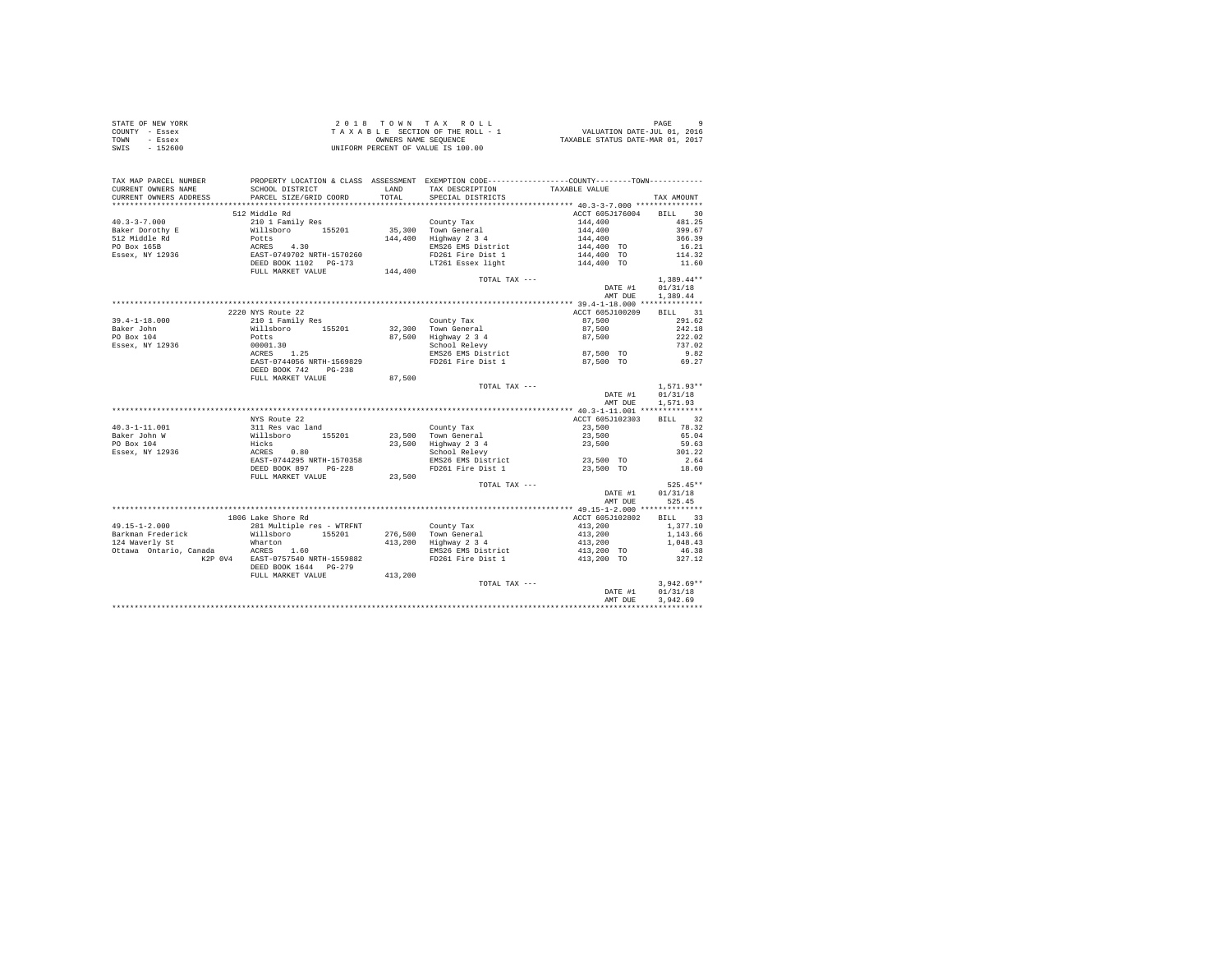| STATE OF NEW YORK | 2018 TOWN TAX ROLL                 | PAGE                             |
|-------------------|------------------------------------|----------------------------------|
| COUNTY - Essex    | TAXABLE SECTION OF THE ROLL - 1    | VALUATION DATE-JUL 01, 2016      |
| TOWN<br>- Essex   | OWNERS NAME SEOUENCE               | TAXABLE STATUS DATE-MAR 01, 2017 |
| SWIS<br>- 152600  | UNIFORM PERCENT OF VALUE IS 100.00 |                                  |

| TAX MAP PARCEL NUMBER<br>CURRENT OWNERS NAME | PROPERTY LOCATION & CLASS ASSESSMENT EXEMPTION CODE-----------------COUNTY--------TOWN----------<br>SCHOOL DISTRICT<br>PARCEL SIZE/GRID COORD |        | LAND TAX DESCRIPTION TAXABLE VALUE |                                                                                                                                                                                                                                                               |                  |
|----------------------------------------------|-----------------------------------------------------------------------------------------------------------------------------------------------|--------|------------------------------------|---------------------------------------------------------------------------------------------------------------------------------------------------------------------------------------------------------------------------------------------------------------|------------------|
|                                              |                                                                                                                                               |        |                                    |                                                                                                                                                                                                                                                               |                  |
|                                              |                                                                                                                                               |        |                                    |                                                                                                                                                                                                                                                               |                  |
|                                              | 512 Middle Rd                                                                                                                                 |        |                                    | ACCT 605J176004 BILL 30                                                                                                                                                                                                                                       |                  |
|                                              |                                                                                                                                               |        |                                    |                                                                                                                                                                                                                                                               |                  |
|                                              |                                                                                                                                               |        |                                    |                                                                                                                                                                                                                                                               |                  |
|                                              |                                                                                                                                               |        |                                    |                                                                                                                                                                                                                                                               |                  |
|                                              |                                                                                                                                               |        |                                    |                                                                                                                                                                                                                                                               |                  |
|                                              |                                                                                                                                               |        |                                    |                                                                                                                                                                                                                                                               |                  |
|                                              |                                                                                                                                               |        |                                    |                                                                                                                                                                                                                                                               |                  |
|                                              |                                                                                                                                               |        |                                    |                                                                                                                                                                                                                                                               | $1,389.44**$     |
|                                              |                                                                                                                                               |        | TOTAL TAX ---                      |                                                                                                                                                                                                                                                               | DATE #1 01/31/18 |
|                                              |                                                                                                                                               |        |                                    | AMT DUE                                                                                                                                                                                                                                                       | 1,389.44         |
|                                              |                                                                                                                                               |        |                                    |                                                                                                                                                                                                                                                               |                  |
|                                              | 2220 NYS Route 22                                                                                                                             |        |                                    | ACCT 605J100209 BILL 31                                                                                                                                                                                                                                       |                  |
|                                              |                                                                                                                                               |        |                                    | 87,500 291.62                                                                                                                                                                                                                                                 |                  |
|                                              |                                                                                                                                               |        |                                    |                                                                                                                                                                                                                                                               | 242.18           |
|                                              |                                                                                                                                               |        |                                    |                                                                                                                                                                                                                                                               | 222.02           |
|                                              |                                                                                                                                               |        |                                    |                                                                                                                                                                                                                                                               | 737.02           |
|                                              |                                                                                                                                               |        |                                    |                                                                                                                                                                                                                                                               | 9.82             |
|                                              |                                                                                                                                               |        |                                    | 87,500 TO                                                                                                                                                                                                                                                     | 69.27            |
|                                              | EAST-0744056 NRTH-1569829 FD261 Fire Dist 1<br>DEED BOOK 742 PG-238                                                                           |        |                                    |                                                                                                                                                                                                                                                               |                  |
|                                              | FULL MARKET VALUE                                                                                                                             | 87,500 |                                    |                                                                                                                                                                                                                                                               |                  |
|                                              |                                                                                                                                               |        | TOTAL TAX ---                      | DATE #1 $01/31/18$                                                                                                                                                                                                                                            | $1,571.93**$     |
|                                              |                                                                                                                                               |        |                                    |                                                                                                                                                                                                                                                               |                  |
|                                              |                                                                                                                                               |        |                                    |                                                                                                                                                                                                                                                               | AMT DUE 1,571.93 |
|                                              |                                                                                                                                               |        |                                    |                                                                                                                                                                                                                                                               |                  |
|                                              | NYS Route 22                                                                                                                                  |        |                                    | ACCT 605J102303 BILL 32<br>132 - السلاط العربية التي توجد المستورج التي توجد التي توجد التي توجد التي توجد التي توجد التي توجد التي توجد<br>18.32 - 19.500 - 19.500 - 19.500 - 19.63<br>19.63 - 19.63 - 19.63 - 19.63 - 19.63 - 19.63 - 19.63 - 19.63 - 19.63 |                  |
|                                              |                                                                                                                                               |        |                                    |                                                                                                                                                                                                                                                               |                  |
|                                              |                                                                                                                                               |        |                                    |                                                                                                                                                                                                                                                               |                  |
|                                              |                                                                                                                                               |        |                                    |                                                                                                                                                                                                                                                               |                  |
|                                              |                                                                                                                                               |        |                                    |                                                                                                                                                                                                                                                               |                  |
|                                              |                                                                                                                                               |        |                                    |                                                                                                                                                                                                                                                               |                  |
|                                              |                                                                                                                                               |        |                                    |                                                                                                                                                                                                                                                               |                  |
|                                              |                                                                                                                                               |        | TOTAL TAX ---                      |                                                                                                                                                                                                                                                               | $525.45**$       |
|                                              |                                                                                                                                               |        |                                    | DATE #1                                                                                                                                                                                                                                                       | 01/31/18         |
|                                              |                                                                                                                                               |        |                                    |                                                                                                                                                                                                                                                               | AMT DUE 525.45   |
|                                              |                                                                                                                                               |        |                                    |                                                                                                                                                                                                                                                               |                  |
|                                              | 1806 Lake Shore Rd                                                                                                                            |        |                                    | ACCT 605J102802 BILL 33                                                                                                                                                                                                                                       |                  |
|                                              |                                                                                                                                               |        |                                    |                                                                                                                                                                                                                                                               |                  |
|                                              |                                                                                                                                               |        |                                    |                                                                                                                                                                                                                                                               |                  |
|                                              |                                                                                                                                               |        |                                    |                                                                                                                                                                                                                                                               |                  |
|                                              |                                                                                                                                               |        |                                    |                                                                                                                                                                                                                                                               |                  |
|                                              |                                                                                                                                               |        |                                    |                                                                                                                                                                                                                                                               |                  |
|                                              | DEED BOOK 1644 PG-279                                                                                                                         |        |                                    |                                                                                                                                                                                                                                                               |                  |
|                                              | FULL MARKET VALUE 413,200                                                                                                                     |        |                                    |                                                                                                                                                                                                                                                               |                  |
|                                              |                                                                                                                                               |        | TOTAL TAX ---                      |                                                                                                                                                                                                                                                               | $3,942.69**$     |
|                                              |                                                                                                                                               |        |                                    | $3,942.69**$<br>$01/31/18$                                                                                                                                                                                                                                    |                  |
|                                              |                                                                                                                                               |        |                                    | AMT DUE                                                                                                                                                                                                                                                       | 3.942.69         |
|                                              |                                                                                                                                               |        |                                    |                                                                                                                                                                                                                                                               |                  |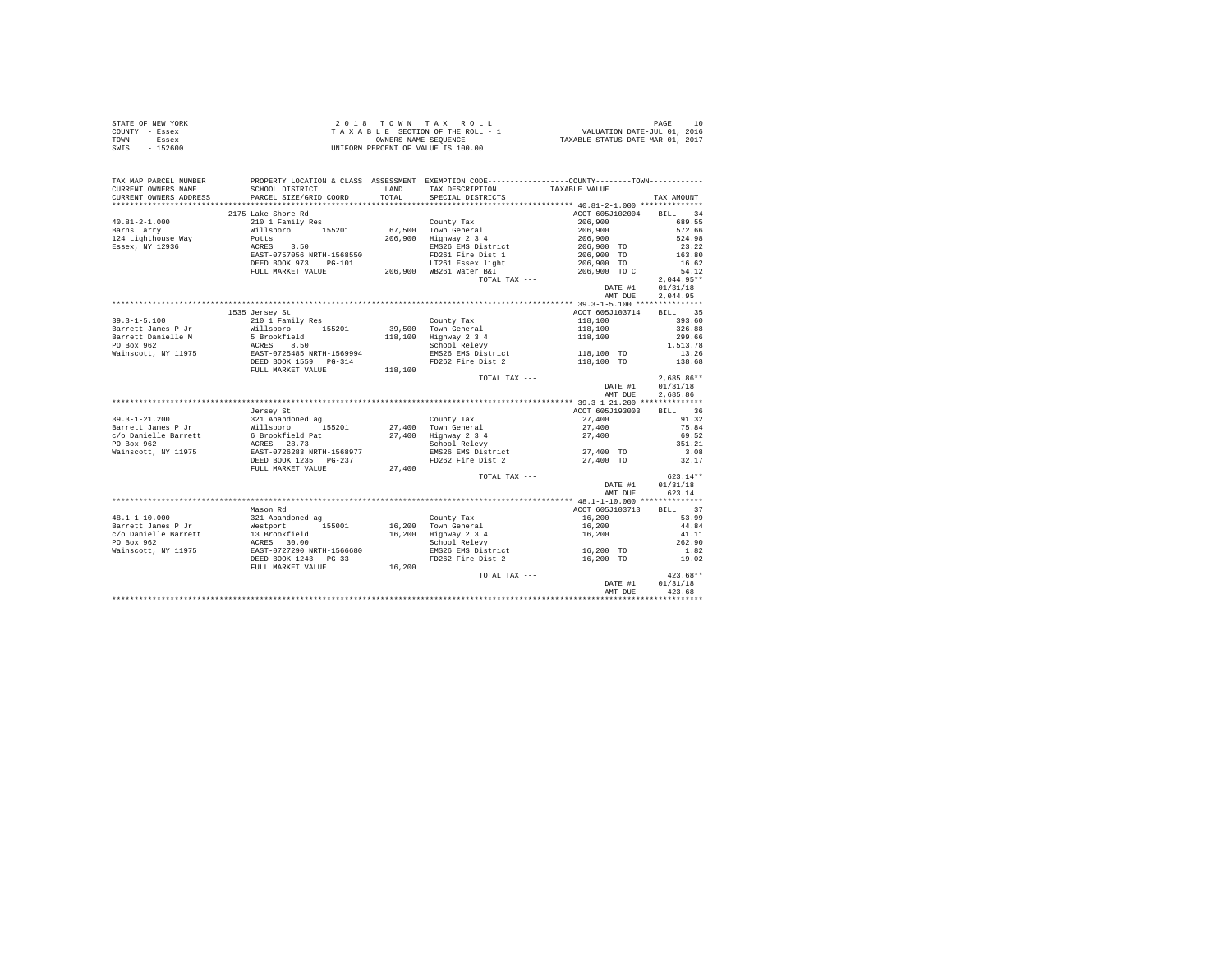| STATE OF NEW YORK |           | 2018 TOWN TAX ROLL                 | PAGE                             |
|-------------------|-----------|------------------------------------|----------------------------------|
| COUNTY - Essex    |           | TAXABLE SECTION OF THE ROLL - 1    | VALUATION DATE-JUL 01, 2016      |
| TOWN              | - Essex   | OWNERS NAME SEOUENCE               | TAXABLE STATUS DATE-MAR 01, 2017 |
| SWIS              | $-152600$ | UNIFORM PERCENT OF VALUE IS 100.00 |                                  |

| TAX MAP PARCEL NUMBER  | PROPERTY LOCATION & CLASS ASSESSMENT EXEMPTION CODE---------------COUNTY-------TOWN---------                                                                                                                                                            |         |                                             |                               |                  |
|------------------------|---------------------------------------------------------------------------------------------------------------------------------------------------------------------------------------------------------------------------------------------------------|---------|---------------------------------------------|-------------------------------|------------------|
| CURRENT OWNERS NAME    | SCHOOL DISTRICT                                                                                                                                                                                                                                         |         | LAND TAX DESCRIPTION                        | TAXABLE VALUE                 |                  |
| CURRENT OWNERS ADDRESS | PARCEL SIZE/GRID COORD                                                                                                                                                                                                                                  |         | TOTAL SPECIAL DISTRICTS                     |                               | TAX AMOUNT       |
|                        |                                                                                                                                                                                                                                                         |         |                                             |                               |                  |
|                        | 2175 Lake Shore Rd                                                                                                                                                                                                                                      |         |                                             | ACCT 605J102004 BILL 34       |                  |
| $40.81 - 2 - 1.000$    | 210 1 Family Res<br>210 1 Family Res<br>Williaboro 155201<br>212 RACRES 3.50<br>ACRES 3.50<br>EAST-0757056 NRTH-1568550                                                                                                                                 |         | County Tax                                  | 206,900<br>206,900<br>206,900 | 689.55           |
| Barns Larry            |                                                                                                                                                                                                                                                         |         | 67,500 Town General                         |                               | 572.66           |
| 124 Lighthouse Way     |                                                                                                                                                                                                                                                         |         | 206,900 Highway 2 3 4                       |                               | 524.98           |
| Essex, NY 12936        |                                                                                                                                                                                                                                                         |         | EMS26 EMS District                          | 206,900 TO                    | 23.22<br>163.80  |
|                        |                                                                                                                                                                                                                                                         |         | FD261 Fire Dist 1                           | 206,900 TO                    |                  |
|                        | DEED BOOK 973 PG-101<br>DEED BOOK 973 PG-101 LT261 Essex light<br>FULL MARKET VALUE 206,900 WB261 Water B&I                                                                                                                                             |         | LT261 Essex light                           | 206,900 TO                    | 16.62            |
|                        |                                                                                                                                                                                                                                                         |         |                                             | 206,900 TO C                  | 54.12            |
|                        |                                                                                                                                                                                                                                                         |         | TOTAL TAX ---                               |                               | $2.044.95**$     |
|                        |                                                                                                                                                                                                                                                         |         |                                             |                               | DATE #1 01/31/18 |
|                        |                                                                                                                                                                                                                                                         |         |                                             | AMT DUE                       | 2,044.95         |
|                        |                                                                                                                                                                                                                                                         |         |                                             |                               |                  |
|                        | 1535 Jersey St                                                                                                                                                                                                                                          |         |                                             | ACCT 605J103714               | BILL 35          |
|                        |                                                                                                                                                                                                                                                         |         | County Tax                                  | 118,100                       | 393.60           |
|                        | 39.3-1-5.100<br>Barrett James P Jr<br>Barrett James P Jr<br>Barrett Danielle M<br>PO Box 962<br>Mainscott, NY 11975<br>Mainscott, NY 11975<br>PO BOX 1559<br>Mainscott, NY 11975<br>PO BOX 1559<br>PO DEED BOOK 1559<br>PO PORT POST PO-314             |         | 39,500 Town General                         | 118,100<br>118,100            | 326.88           |
|                        |                                                                                                                                                                                                                                                         |         | 118,100 Highway 2 3 4                       |                               | 299.66           |
|                        |                                                                                                                                                                                                                                                         |         | School Relevy                               |                               | 1,513.78         |
|                        |                                                                                                                                                                                                                                                         |         | EMS26 EMS District<br>FD262 Fire Dist 2     |                               | 13.26            |
|                        |                                                                                                                                                                                                                                                         |         |                                             | 118,100 TO<br>118,100 TO      | 138.68           |
|                        | FULL MARKET VALUE                                                                                                                                                                                                                                       | 118,100 |                                             |                               |                  |
|                        |                                                                                                                                                                                                                                                         |         | TOTAL TAX ---                               |                               | $2.685.86**$     |
|                        |                                                                                                                                                                                                                                                         |         |                                             | DATE #1                       | 01/31/18         |
|                        |                                                                                                                                                                                                                                                         |         |                                             | AMT DUE                       | 2.685.86         |
|                        |                                                                                                                                                                                                                                                         |         |                                             |                               |                  |
|                        | Jersey St<br>39.3-1-21.200<br>Barrett James P Jr Willshoro 155201<br>Experiment P V Willshoro 155201<br>For Danielle Barrett 6 Brookfield Pat<br>PO Box 962<br>Nainscott, NY 11975 BAST-0726283 NRTH-1568977<br>Mainscott, NY 11975 BAST-0726283 NRTH-1 |         |                                             | ACCT 605J193003               | BILL 36          |
|                        |                                                                                                                                                                                                                                                         |         | County Tax                                  | 27,400                        | 91.32            |
|                        |                                                                                                                                                                                                                                                         |         | 27,400 Town General<br>27,400 Highway 2 3 4 | 27,400<br>27,400              | 75.84            |
|                        |                                                                                                                                                                                                                                                         |         |                                             |                               | 69.52            |
|                        |                                                                                                                                                                                                                                                         |         | School Relevy                               |                               | 351.21           |
|                        |                                                                                                                                                                                                                                                         |         | EMS26 EMS District 27,400 TO                |                               | 3.08             |
|                        |                                                                                                                                                                                                                                                         |         | FD262 Fire Dist 2                           | 27,400 TO                     | 32.17            |
|                        | FULL MARKET VALUE 27,400                                                                                                                                                                                                                                |         |                                             |                               |                  |
|                        |                                                                                                                                                                                                                                                         |         | TOTAL TAX ---                               |                               | $623.14**$       |
|                        |                                                                                                                                                                                                                                                         |         |                                             | DATE #1                       | 01/31/18         |
|                        |                                                                                                                                                                                                                                                         |         |                                             | AMT DUE                       | 623.14           |
|                        |                                                                                                                                                                                                                                                         |         |                                             |                               |                  |
|                        | Mason Rd                                                                                                                                                                                                                                                |         |                                             | ACCT 605J103713               | BILL 37          |
| $48.1 - 1 - 10.000$    |                                                                                                                                                                                                                                                         |         |                                             | 16,200                        | 53.99            |
| Barrett James P Jr     | Notice the Country Tax<br>Nearbort 15001 16,200 Town General<br>13 Brookfield 16,200 Highway 2 3 4<br>RCRS 30.00 Relevy<br>EAST-0727290 NRTH-1566680 School Relevy<br>DEED BOOK 1243 DRS 1885 DEED BOOK 1243<br>DEED BOOK 2143 DRS 200<br>TD            |         |                                             | 16,200<br>16,200              | 44.84            |
| c/o Danielle Barrett   |                                                                                                                                                                                                                                                         |         | 16,200 Highway 2 3 4<br>School Relevy       |                               | 41.11            |
| PO Box 962             |                                                                                                                                                                                                                                                         |         |                                             |                               | 262.90           |
| Wainscott, NY 11975    |                                                                                                                                                                                                                                                         |         | EMS26 EMS District 16,200 TO                |                               | 1.82             |
|                        |                                                                                                                                                                                                                                                         |         | FD262 Fire Dist 2                           | 16,200 TO                     | 19.02            |
|                        | FULL MARKET VALUE                                                                                                                                                                                                                                       | 16,200  |                                             |                               |                  |
|                        |                                                                                                                                                                                                                                                         |         | TOTAL TAX ---                               | $\mathtt{DATE}~\#1$           | $423.68**$       |
|                        |                                                                                                                                                                                                                                                         |         |                                             |                               | 01/31/18         |
|                        |                                                                                                                                                                                                                                                         |         |                                             |                               | AMT DUE 423.68   |
|                        |                                                                                                                                                                                                                                                         |         |                                             |                               |                  |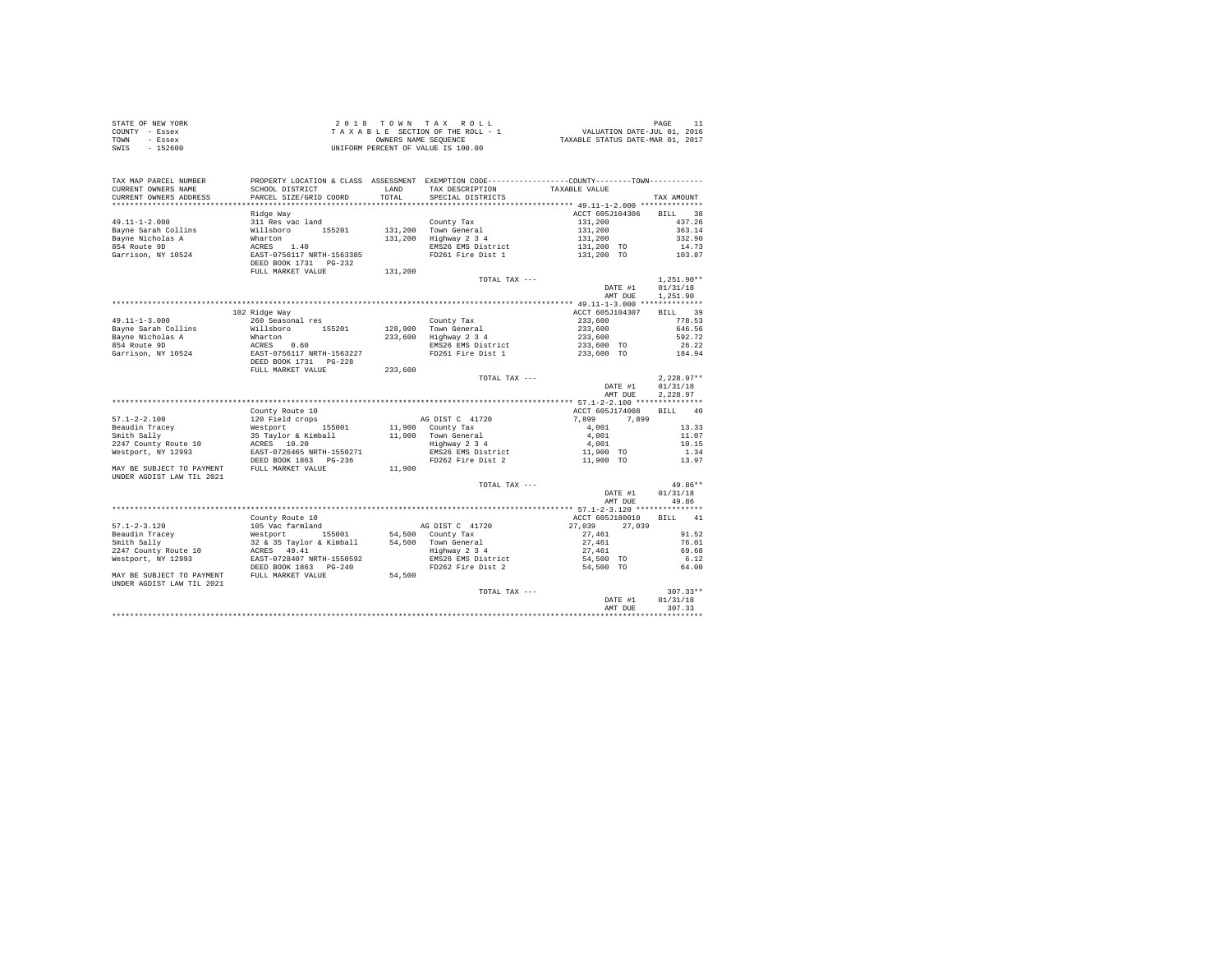|                | STATE OF NEW YORK | 2018 TOWN TAX ROLL                 | PAGE                             |
|----------------|-------------------|------------------------------------|----------------------------------|
| COUNTY - Essex |                   | TAXABLE SECTION OF THE ROLL - 1    | VALUATION DATE-JUL 01, 2016      |
| TOWN           | - Essex           | OWNERS NAME SEOUENCE               | TAXABLE STATUS DATE-MAR 01, 2017 |
| SWIS           | $-152600$         | UNIFORM PERCENT OF VALUE IS 100.00 |                                  |

| TAX MAP PARCEL NUMBER<br>CURRENT OWNERS NAME           | SCHOOL DISTRICT                            | LAND    | TAX DESCRIPTION                    | PROPERTY LOCATION & CLASS ASSESSMENT EXEMPTION CODE---------------COUNTY-------TOWN----------<br>TAXABLE VALUE |              |
|--------------------------------------------------------|--------------------------------------------|---------|------------------------------------|----------------------------------------------------------------------------------------------------------------|--------------|
| CURRENT OWNERS ADDRESS                                 | PARCEL SIZE/GRID COORD                     | TOTAL   | SPECIAL DISTRICTS                  |                                                                                                                | TAX AMOUNT   |
|                                                        |                                            |         |                                    | ACCT 605J104306                                                                                                | BILL 38      |
| $49.11 - 1 - 2.000$                                    | Ridge Way                                  |         |                                    |                                                                                                                | 437.26       |
|                                                        | 311 Res vac land<br>155201<br>Willsboro    |         | County Tax<br>131.200 Town General | 131,200                                                                                                        | 363.14       |
| Bayne Sarah Collins<br>Bayne Nicholas A                | Wharton                                    | 131,200 | Highway 2 3 4                      | 131,200<br>131,200                                                                                             | 332.90       |
| 854 Route 9D                                           | 1.40<br>ACRES                              |         | EMS26 EMS District                 | 131,200 TO                                                                                                     | 14.73        |
| Garrison, NY 10524                                     | EAST-0756117 NRTH-1563385                  |         | FD261 Fire Dist 1                  | 131,200 TO                                                                                                     | 103.87       |
|                                                        | DEED BOOK 1731 PG-232                      |         |                                    |                                                                                                                |              |
|                                                        | FULL MARKET VALUE                          | 131,200 |                                    |                                                                                                                |              |
|                                                        |                                            |         | TOTAL TAX ---                      |                                                                                                                | $1,251.90**$ |
|                                                        |                                            |         |                                    | DATE #1                                                                                                        | 01/31/18     |
|                                                        |                                            |         |                                    | AMT DUE                                                                                                        | 1,251.90     |
|                                                        |                                            |         |                                    |                                                                                                                |              |
|                                                        | 102 Ridge Way                              |         |                                    | ACCT 605J104307                                                                                                | BILL 39      |
| $49.11 - 1 - 3.000$                                    | 260 Seasonal res                           |         | County Tax                         | 233,600                                                                                                        | 778.53       |
| Bayne Sarah Collins                                    | Willsboro<br>155201                        |         | 128.900 Town General               | 233,600                                                                                                        | 646.56       |
| Bayne Nicholas A                                       | Wharton                                    |         | 233,600 Highway 2 3 4              | 233,600                                                                                                        | 592.72       |
| 854 Route 9D                                           | ACRES 0.60                                 |         | EMS26 EMS District                 | 233,600 TO                                                                                                     | 26.22        |
| Garrison, NY 10524                                     | EAST-0756117 NRTH-1563227                  |         | FD261 Fire Dist 1                  | 233,600 TO                                                                                                     | 184.94       |
|                                                        | DEED BOOK 1731 PG-228<br>FULL MARKET VALUE | 233,600 |                                    |                                                                                                                |              |
|                                                        |                                            |         | TOTAL TAX ---                      |                                                                                                                | $2.228.97**$ |
|                                                        |                                            |         |                                    | DATE #1                                                                                                        | 01/31/18     |
|                                                        |                                            |         |                                    | AMT DUE                                                                                                        | 2,228.97     |
|                                                        |                                            |         |                                    |                                                                                                                |              |
|                                                        | County Route 10                            |         |                                    | ACCT 605J174008                                                                                                | BILL 40      |
| $57.1 - 2 - 2.100$                                     | 120 Field crops                            |         | AG DIST C 41720                    | 7,899<br>7,899                                                                                                 |              |
| Beaudin Tracey                                         | Westport<br>155001                         |         | 11,900 County Tax                  | 4,001                                                                                                          | 13.33        |
| Smith Sally                                            | 35 Taylor & Kimball                        |         | 11,900 Town General                | 4,001                                                                                                          | 11.07        |
| 2247 County Route 10                                   | ACRES 10.20                                |         | Highway 2 3 4                      | 4,001                                                                                                          | 10.15        |
| Westport, NY 12993                                     | EAST-0726465 NRTH-1550271                  |         | EMS26 EMS District                 | 11,900 TO                                                                                                      | 1.34         |
|                                                        | DEED BOOK 1863 PG-236                      |         | FD262 Fire Dist 2                  | 11,900 TO                                                                                                      | 13.97        |
| MAY BE SUBJECT TO PAYMENT<br>UNDER AGDIST LAW TIL 2021 | FULL MARKET VALUE                          | 11,900  |                                    |                                                                                                                |              |
|                                                        |                                            |         | TOTAL TAX ---                      |                                                                                                                | 49.86**      |
|                                                        |                                            |         |                                    | DATE #1                                                                                                        | 01/31/18     |
|                                                        |                                            |         |                                    | AMT DUE                                                                                                        | 49.86        |
|                                                        |                                            |         |                                    | ******* 57.1-2-3.120 ***************                                                                           |              |
|                                                        | County Route 10                            |         |                                    | ACCT 605J180010                                                                                                | BILL 41      |
| $57.1 - 2 - 3.120$                                     | 105 Vac farmland                           |         | AG DIST C 41720                    | 27,039<br>27,039                                                                                               |              |
| Beaudin Tracey                                         | Westport<br>155001                         |         | 54,500 County Tax                  | 27,461                                                                                                         | 91.52        |
| Smith Sally                                            | 32 & 35 Taylor & Kimball                   |         | 54,500 Town General                | 27,461                                                                                                         | 76.01        |
| 2247 County Route 10                                   | ACRES 49.41                                |         | Highway 2 3 4                      | 27,461                                                                                                         | 69.68        |
| Westport, NY 12993                                     | EAST-0728407 NRTH-1550592                  |         | EMS26 EMS District                 | 54,500 TO                                                                                                      | 6.12         |
|                                                        | DEED BOOK 1863 PG-240                      |         | FD262 Fire Dist 2                  | 54,500 TO                                                                                                      | 64.00        |
| MAY BE SUBJECT TO PAYMENT<br>UNDER AGDIST LAW TIL 2021 | FULL MARKET VALUE                          | 54,500  |                                    |                                                                                                                |              |
|                                                        |                                            |         | TOTAL TAX ---                      |                                                                                                                | $307.33**$   |
|                                                        |                                            |         |                                    | DATE #1                                                                                                        | 01/31/18     |
|                                                        |                                            |         |                                    | AMT DUE                                                                                                        | 307.33       |
|                                                        |                                            |         |                                    |                                                                                                                | *********    |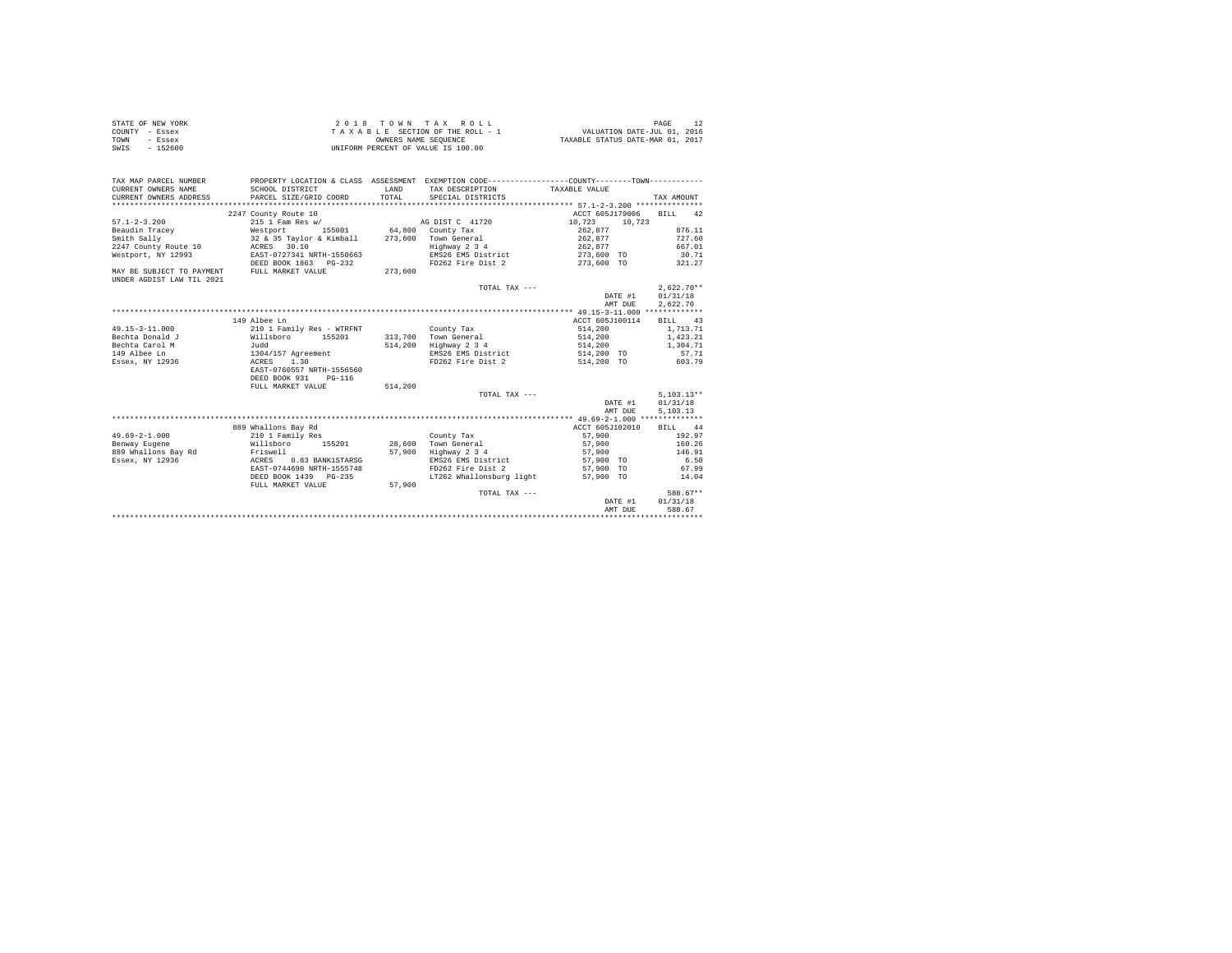| STATE OF NEW YORK | 2018 TOWN TAX ROLL                 | PAGE                             |
|-------------------|------------------------------------|----------------------------------|
| COUNTY - Essex    | TAXABLE SECTION OF THE ROLL - 1    | VALUATION DATE-JUL 01, 2016      |
| TOWN<br>- Essex   | OWNERS NAME SEOUENCE               | TAXABLE STATUS DATE-MAR 01, 2017 |
| - 152600<br>SWIS  | UNIFORM PERCENT OF VALUE IS 100.00 |                                  |

| TAX MAP PARCEL NUMBER<br>CURRENT OWNERS NAME<br>CURRENT OWNERS ADDRESS | PROPERTY LOCATION & CLASS ASSESSMENT EXEMPTION CODE----------------COUNTY--------TOWN----------<br>SCHOOL DISTRICT<br>PARCEL SIZE/GRID COORD | LAND<br>TOTAL | TAX DESCRIPTION<br>SPECIAL DISTRICTS | TAXABLE VALUE    | TAX AMOUNT        |
|------------------------------------------------------------------------|----------------------------------------------------------------------------------------------------------------------------------------------|---------------|--------------------------------------|------------------|-------------------|
|                                                                        | 2247 County Route 10                                                                                                                         |               |                                      | ACCT 605J179006  | 42<br>BILL.       |
| $57.1 - 2 - 3.200$                                                     | $215$ 1 Fam Res $w/$                                                                                                                         |               | AG DIST C 41720                      | 10.723<br>10.723 |                   |
| Beaudin Tracev                                                         | Westport                                                                                                                                     | 155001 64,800 | County Tax                           | 262.877          | 876.11            |
| Smith Sally                                                            | 32 & 35 Taylor & Kimball                                                                                                                     | 273,600       | Town General                         | 262.877          | 727.60            |
| 2247 County Route 10                                                   | ACRES 30.10                                                                                                                                  |               | Highway 2 3 4                        | 262.877          | 667.01            |
| Westport, NY 12993                                                     | EAST-0727341 NRTH-1550663                                                                                                                    |               | EMS26 EMS District                   | 273,600 TO       | 30.71             |
|                                                                        | DEED BOOK 1863 PG-232                                                                                                                        |               | FD262 Fire Dist 2                    | 273,600 TO       | 321.27            |
|                                                                        | FULL MARKET VALUE                                                                                                                            | 273,600       |                                      |                  |                   |
| MAY BE SUBJECT TO PAYMENT<br>UNDER AGDIST LAW TIL 2021                 |                                                                                                                                              |               |                                      |                  |                   |
|                                                                        |                                                                                                                                              |               |                                      |                  | $2.622.70**$      |
|                                                                        |                                                                                                                                              |               | TOTAL TAX ---                        |                  | 01/31/18          |
|                                                                        |                                                                                                                                              |               |                                      | DATE #1          | 2.622.70          |
|                                                                        |                                                                                                                                              |               |                                      | AMT DUE          |                   |
|                                                                        |                                                                                                                                              |               |                                      |                  |                   |
|                                                                        | 149 Albee Ln                                                                                                                                 |               |                                      | ACCT 605J100114  | <b>BILL</b><br>43 |
| $49.15 - 3 - 11.000$                                                   | 210 1 Family Res - WTRFNT                                                                                                                    |               | County Tax                           | 514,200          | 1,713.71          |
| Bechta Donald J                                                        | Willsboro<br>155201                                                                                                                          | 313,700       | Town General                         | 514,200          | 1,423.21          |
| Bechta Carol M                                                         | hhuT.                                                                                                                                        | 514,200       | Highway 2 3 4                        | 514,200          | 1,304.71          |
| 149 Albee Ln                                                           | 1304/157 Agreement                                                                                                                           |               | EMS26 EMS District                   | 514,200 TO       | 57.71             |
| Essex, NY 12936                                                        | 1.30<br>ACRES                                                                                                                                |               | FD262 Fire Dist 2                    | 514,200 TO       | 603.79            |
|                                                                        | EAST-0760557 NRTH-1556560                                                                                                                    |               |                                      |                  |                   |
|                                                                        | DEED BOOK 931<br>$PG-116$                                                                                                                    |               |                                      |                  |                   |
|                                                                        | FULL MARKET VALUE                                                                                                                            | 514,200       |                                      |                  |                   |
|                                                                        |                                                                                                                                              |               | TOTAL TAX ---                        |                  | $5.103.13**$      |
|                                                                        |                                                                                                                                              |               |                                      | DATE #1          | 01/31/18          |
|                                                                        |                                                                                                                                              |               |                                      | AMT DUE          | 5,103,13          |
|                                                                        |                                                                                                                                              |               |                                      |                  |                   |
|                                                                        | 889 Whallons Bay Rd                                                                                                                          |               |                                      | ACCT 605J102010  | 44<br>BILL        |
| $49.69 - 2 - 1.000$                                                    | 210 1 Family Res                                                                                                                             |               | County Tax                           | 57,900           | 192.97            |
| Benway Eugene                                                          | Willsboro<br>155201                                                                                                                          | 28,600        | Town General                         | 57,900           | 160.26            |
| 889 Whallons Bay Rd                                                    | Friswell                                                                                                                                     | 57,900        | Highway 2 3 4                        | 57,900           | 146.91            |
| Essex, NY 12936                                                        | ACRES<br>0.83 BANK1STARSG                                                                                                                    |               | EMS26 EMS District                   | 57,900 TO        | 6.50              |
|                                                                        | EAST-0744690 NRTH-1555748                                                                                                                    |               | FD262 Fire Dist 2                    | 57,900 TO        | 67.99             |
|                                                                        | DEED BOOK 1439 PG-235                                                                                                                        |               | LT262 Whallonsburg light             | 57,900 TO        | 14.04             |
|                                                                        | FULL MARKET VALUE                                                                                                                            | 57,900        |                                      |                  |                   |
|                                                                        |                                                                                                                                              |               | TOTAL TAX ---                        |                  | 588.67**          |
|                                                                        |                                                                                                                                              |               |                                      | DATE #1          | 01/31/18          |
|                                                                        |                                                                                                                                              |               |                                      | AMT DUE          | 588.67            |
|                                                                        |                                                                                                                                              |               |                                      |                  |                   |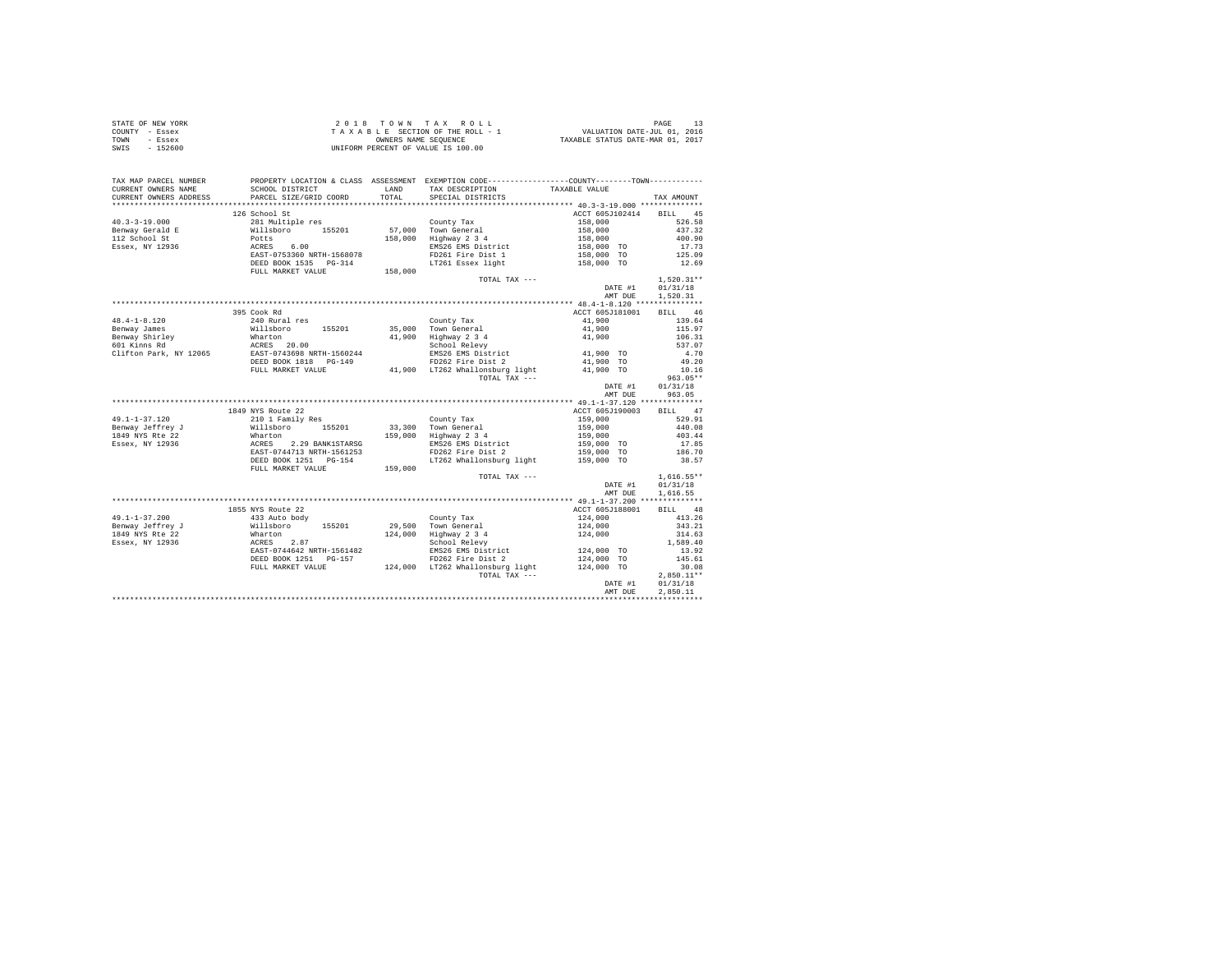|      | STATE OF NEW YORK | 2018 TOWN TAX ROLL                 | PAGE                             |
|------|-------------------|------------------------------------|----------------------------------|
|      | COUNTY - Essex    | TAXABLE SECTION OF THE ROLL - 1    | VALUATION DATE-JUL 01, 2016      |
| TOWN | - Essex           | OWNERS NAME SEOUENCE               | TAXABLE STATUS DATE-MAR 01, 2017 |
| SWIS | - 152600          | UNIFORM PERCENT OF VALUE IS 100.00 |                                  |

| TAX MAP PARCEL NUMBER<br>CURRENT OWNERS NAME<br>CURRENT OWNERS ADDRESS | SCHOOL DISTRICT<br>PARCEL SIZE/GRID COORD                                 | LAND<br>TOTAL. | PROPERTY LOCATION & CLASS ASSESSMENT EXEMPTION CODE---------------COUNTY-------TOWN---------<br>TAX DESCRIPTION<br>SPECIAL DISTRICTS | TAXABLE VALUE                              | TAX AMOUNT        |
|------------------------------------------------------------------------|---------------------------------------------------------------------------|----------------|--------------------------------------------------------------------------------------------------------------------------------------|--------------------------------------------|-------------------|
| ************************                                               |                                                                           |                |                                                                                                                                      |                                            |                   |
| $40.3 - 3 - 19.000$                                                    | 126 School St<br>281 Multiple res                                         |                | County Tax                                                                                                                           | ACCT 605J102414<br>158,000                 | BILL 45<br>526.58 |
| Benway Gerald E                                                        | Willsboro 155201                                                          |                | 57,000 Town General                                                                                                                  | 158,000                                    | 437.32            |
| 112 School St                                                          |                                                                           |                | 158,000 Highway 2 3 4                                                                                                                |                                            | 400.90            |
|                                                                        | Potts<br>ACRES<br>6.00                                                    |                |                                                                                                                                      | 158,000<br>158,000 TO                      |                   |
| Essex, NY 12936                                                        |                                                                           |                | EMS26 EMS District                                                                                                                   |                                            | 17.73             |
|                                                                        | EAST-0753360 NRTH-1568078                                                 |                | FD261 Fire Dist 1<br>LT261 Essex light 158,000 TO                                                                                    | 158,000 TO                                 | 125.09            |
|                                                                        | DEED BOOK 1535 PG-314                                                     |                |                                                                                                                                      |                                            | 12.69             |
|                                                                        | FULL MARKET VALUE                                                         | 158,000        |                                                                                                                                      |                                            |                   |
|                                                                        |                                                                           |                | TOTAL TAX ---                                                                                                                        |                                            | $1,520.31**$      |
|                                                                        |                                                                           |                |                                                                                                                                      | DATE #1                                    | 01/31/18          |
|                                                                        |                                                                           |                |                                                                                                                                      | AMT DUE                                    | 1,520.31          |
|                                                                        |                                                                           |                |                                                                                                                                      |                                            |                   |
|                                                                        | 395 Cook Rd                                                               |                |                                                                                                                                      | ACCT 605J181001                            | BILL 46           |
| $48.4 - 1 - 8.120$                                                     | 240 Rural res                                                             |                | County Tax                                                                                                                           | 41,900                                     | 139.64            |
| Benway James                                                           | Willsboro 155201                                                          |                | 35,000 Town General                                                                                                                  | 41,900                                     | 115.97            |
| Benway Shirley                                                         |                                                                           |                | 41,900 Highway 2 3 4                                                                                                                 | 41,900                                     | 106.31            |
| 601 Kinns Rd                                                           | Wharton<br>ACRES 20.00                                                    |                | School Relevy                                                                                                                        |                                            | 537.07            |
| Clifton Park, NY 12065                                                 | EAST-0743698 NRTH-1560244                                                 |                |                                                                                                                                      | 41,900 TO                                  | 4.70              |
|                                                                        | DEED BOOK 1818 PG-149                                                     |                | EMS26 EMS District<br>FD262 Fire Dist 2                                                                                              | 41,900 TO                                  | 49.20             |
|                                                                        | FULL MARKET VALUE                                                         |                | 41,900 LT262 Whallonsburg light                                                                                                      | 41,900 TO                                  | 10.16             |
|                                                                        |                                                                           |                | TOTAL TAX ---                                                                                                                        |                                            | $963.05**$        |
|                                                                        |                                                                           |                |                                                                                                                                      | DATE #1                                    | 01/31/18          |
|                                                                        |                                                                           |                |                                                                                                                                      | AMT DUE                                    | 963.05            |
|                                                                        |                                                                           |                |                                                                                                                                      | ************* 49.1-1-37.120 ************** |                   |
|                                                                        | 1849 NYS Route 22                                                         |                |                                                                                                                                      | ACCT 605J190003                            | BILL 47           |
| 49.1-1-37.120                                                          | 210 1 Family Res                                                          |                | County Tax                                                                                                                           | 159,000                                    | 529.91            |
| Benway Jeffrey J                                                       |                                                                           |                | 33,300 Town General                                                                                                                  |                                            | 440.08            |
| 1849 NYS Rte 22                                                        | Willsboro 155201<br>Wharton 2.29 BANK1STARSG<br>EAST-0744713 NRTH-1561253 |                | $159,000$ $\begin{array}{ccc}\n\text{Highway} & 2 & 3 & 4 \\ \text{Highway} & 2 & 3 & 4\n\end{array}$                                | 159,000<br>159,000                         | 403.44            |
| Essex, NY 12936                                                        |                                                                           |                | EMS26 EMS District                                                                                                                   | 159,000 TO                                 | 17.85             |
|                                                                        |                                                                           |                | FD262 Fire Dist 2                                                                                                                    | 159,000 TO                                 | 186.70            |
|                                                                        | DEED BOOK 1251 PG-154                                                     |                | LT262 Whallonsburg light                                                                                                             | 159,000 TO                                 | 38.57             |
|                                                                        | FULL MARKET VALUE                                                         | 159,000        |                                                                                                                                      |                                            |                   |
|                                                                        |                                                                           |                | TOTAL TAX ---                                                                                                                        |                                            | $1,616.55**$      |
|                                                                        |                                                                           |                |                                                                                                                                      | DATE #1                                    | 01/31/18          |
|                                                                        |                                                                           |                |                                                                                                                                      | AMT DUE                                    | 1,616.55          |
|                                                                        |                                                                           |                |                                                                                                                                      |                                            |                   |
|                                                                        | 1855 NYS Route 22                                                         |                |                                                                                                                                      | ACCT 605J188001                            | BILL 48           |
| $49.1 - 1 - 37.200$                                                    | 433 Auto body                                                             |                | County Tax                                                                                                                           | 124,000                                    | 413.26            |
| Benway Jeffrey J                                                       | Willsboro 155201                                                          |                | 29.500 Town General                                                                                                                  | 124,000                                    | 343.21            |
| 1849 NYS Rte 22                                                        | Wharton                                                                   |                | 124.000 Highway 2 3 4                                                                                                                | 124,000                                    | 314.63            |
| Essex, NY 12936                                                        |                                                                           |                | School Relevy                                                                                                                        |                                            | 1,589.40          |
|                                                                        | ACRES 2.87<br>EAST-0744642 NRTH-1561482                                   |                | EMS26 EMS District                                                                                                                   | 124,000 TO                                 | 13.92             |
|                                                                        |                                                                           |                |                                                                                                                                      |                                            |                   |
|                                                                        | DEED BOOK 1251<br>PG-157                                                  |                | FD262 Fire Dist 2                                                                                                                    | 124,000 TO                                 | 145.61            |
|                                                                        | FULL MARKET VALUE                                                         |                | 124,000 LT262 Whallonsburg light 124,000 TO                                                                                          |                                            | 30.08             |
|                                                                        |                                                                           |                | TOTAL TAX ---                                                                                                                        |                                            | $2,850.11**$      |
|                                                                        |                                                                           |                |                                                                                                                                      | DATE #1                                    | 01/31/18          |
|                                                                        |                                                                           |                |                                                                                                                                      | AMT DUE                                    | 2,850.11          |
|                                                                        |                                                                           |                |                                                                                                                                      |                                            |                   |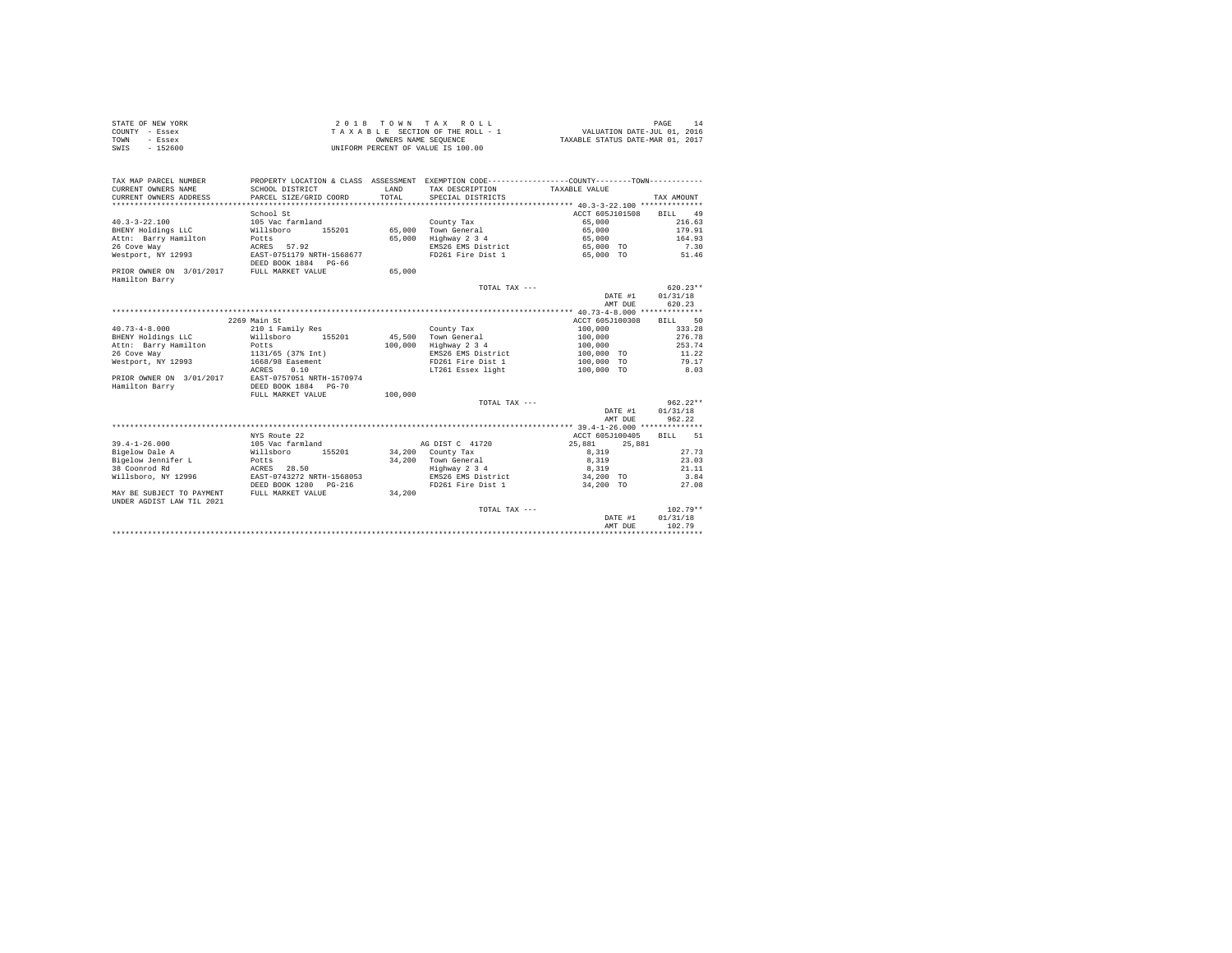| STATE OF NEW YORK | 2018 TOWN TAX ROLL                 | PAGE                             |  |
|-------------------|------------------------------------|----------------------------------|--|
| COUNTY - Essex    | TAXABLE SECTION OF THE ROLL - 1    | VALUATION DATE-JUL 01, 2016      |  |
| TOWN<br>- Essex   | OWNERS NAME SEOUENCE               | TAXABLE STATUS DATE-MAR 01, 2017 |  |
| SWIS<br>$-152600$ | UNIFORM PERCENT OF VALUE IS 100.00 |                                  |  |

| TAX MAP PARCEL NUMBER                                                |                           |         |                                                         | PROPERTY LOCATION & CLASS ASSESSMENT EXEMPTION CODE----------------COUNTY-------TOWN---------- |                  |
|----------------------------------------------------------------------|---------------------------|---------|---------------------------------------------------------|------------------------------------------------------------------------------------------------|------------------|
| CURRENT OWNERS NAME<br>CURRENT OWNERS ADDRESS PARCEL SIZE/GRID COORD | SCHOOL DISTRICT           | TOTAL   | LAND TAX DESCRIPTION TAXABLE VALUE<br>SPECIAL DISTRICTS |                                                                                                | TAX AMOUNT       |
|                                                                      |                           |         |                                                         |                                                                                                |                  |
|                                                                      | School St                 |         |                                                         | ACCT 605J101508 BILL 49                                                                        |                  |
| $40.3 - 3 - 22.100$                                                  | 105 Vac farmland          |         | County Tax                                              | 65,000                                                                                         | 216.63           |
| BHENY Holdings LLC                                                   |                           |         |                                                         |                                                                                                | 179.91           |
| Attn: Barry Hamilton                                                 |                           |         |                                                         | 65,000<br>65,000                                                                               | 164.93           |
| 26 Cove Way                                                          | ACRES 57.92               |         |                                                         | EMS26 EMS District 65,000 TO                                                                   | 7.30             |
| Westport, NY 12993                                                   | EAST-0751179 NRTH-1568677 |         |                                                         | FD261 Fire Dist 1 65,000 TO 51.46                                                              |                  |
|                                                                      | DEED BOOK 1884 PG-66      |         |                                                         |                                                                                                |                  |
| PRIOR OWNER ON 3/01/2017 FULL MARKET VALUE                           |                           | 65,000  |                                                         |                                                                                                |                  |
| Hamilton Barry                                                       |                           |         |                                                         |                                                                                                |                  |
|                                                                      |                           |         | TOTAL TAX ---                                           |                                                                                                | $620.23**$       |
|                                                                      |                           |         |                                                         | DATE #1 01/31/18                                                                               |                  |
|                                                                      |                           |         |                                                         | AMT DUE                                                                                        | 620.23           |
|                                                                      |                           |         |                                                         |                                                                                                |                  |
|                                                                      | 2269 Main St              |         |                                                         | ACCT 605J100308 BILL 50                                                                        |                  |
| $40.73 - 4 - 8.000$                                                  | 210 1 Family Res          |         | County Tax                                              | 100,000                                                                                        | 333.28           |
| BHENY Holdings LLC (Willsboro 155201 / 45,500 Town General           |                           |         |                                                         | 100,000                                                                                        | 276.78           |
|                                                                      |                           |         | 100,000 Highway 2 3 4                                   | 100,000                                                                                        | 253.74           |
| 26 Cove Way                                                          |                           |         | EMS26 EMS District                                      | 100,000 TO                                                                                     | 11.22            |
| Westport, NY 12993 1668/98 Easement                                  |                           |         | FD261 Fire Dist 1                                       | 100,000 TO 79.17                                                                               |                  |
|                                                                      | ACRES 0.10                |         | LT261 Essex light                                       | 100,000 TO                                                                                     | 8.03             |
| PRIOR OWNER ON 3/01/2017 EAST-0757051 NRTH-1570974                   |                           |         |                                                         |                                                                                                |                  |
| Hamilton Barry                                                       | DEED BOOK 1884 PG-70      |         |                                                         |                                                                                                |                  |
|                                                                      | FULL MARKET VALUE         | 100,000 |                                                         |                                                                                                |                  |
|                                                                      |                           |         | TOTAL TAX ---                                           |                                                                                                | $962.22**$       |
|                                                                      |                           |         |                                                         |                                                                                                | DATE #1 01/31/18 |
|                                                                      |                           |         |                                                         | AMT DUE                                                                                        | 962.22           |
|                                                                      |                           |         |                                                         |                                                                                                |                  |
|                                                                      | NYS Route 22              |         |                                                         | ACCT 605J100405                                                                                | <b>BTLL</b> 51   |
| $39.4 - 1 - 26.000$                                                  | 105 Vac farmland          |         | AG DIST C 41720                                         | 25,881 25,881                                                                                  |                  |
| Bigelow Dale A                                                       | Willsboro 155201          |         | 34,200 County Tax                                       | 8,319<br>8,319                                                                                 | 27.73<br>23.03   |
| Bigelow Jennifer L                                                   | Potts                     |         | 34.200 Town General                                     |                                                                                                |                  |
| 38 Coonrod Rd                                                        | ACRES 28.50               |         | Highway 2 3 4                                           | 8,319                                                                                          | 21.11            |
| Willsboro, NY 12996                                                  | EAST-0743272 NRTH-1568053 |         | EMS26 EMS District                                      | 34,200 TO                                                                                      | 3.84             |
|                                                                      | DEED BOOK 1280 PG-216     |         | FD261 Fire Dist 1                                       | 34,200 TO                                                                                      | 27.08            |
| MAY BE SUBJECT TO PAYMENT FULL MARKET VALUE 34.200                   |                           |         |                                                         |                                                                                                |                  |
| UNDER AGDIST LAW TIL 2021                                            |                           |         |                                                         |                                                                                                |                  |
|                                                                      |                           |         | TOTAL TAX ---                                           |                                                                                                | $102.79**$       |
|                                                                      |                           |         |                                                         | DATE #1 01/31/18                                                                               |                  |
|                                                                      |                           |         |                                                         | AMT DUE                                                                                        | 102.79           |
|                                                                      |                           |         |                                                         |                                                                                                |                  |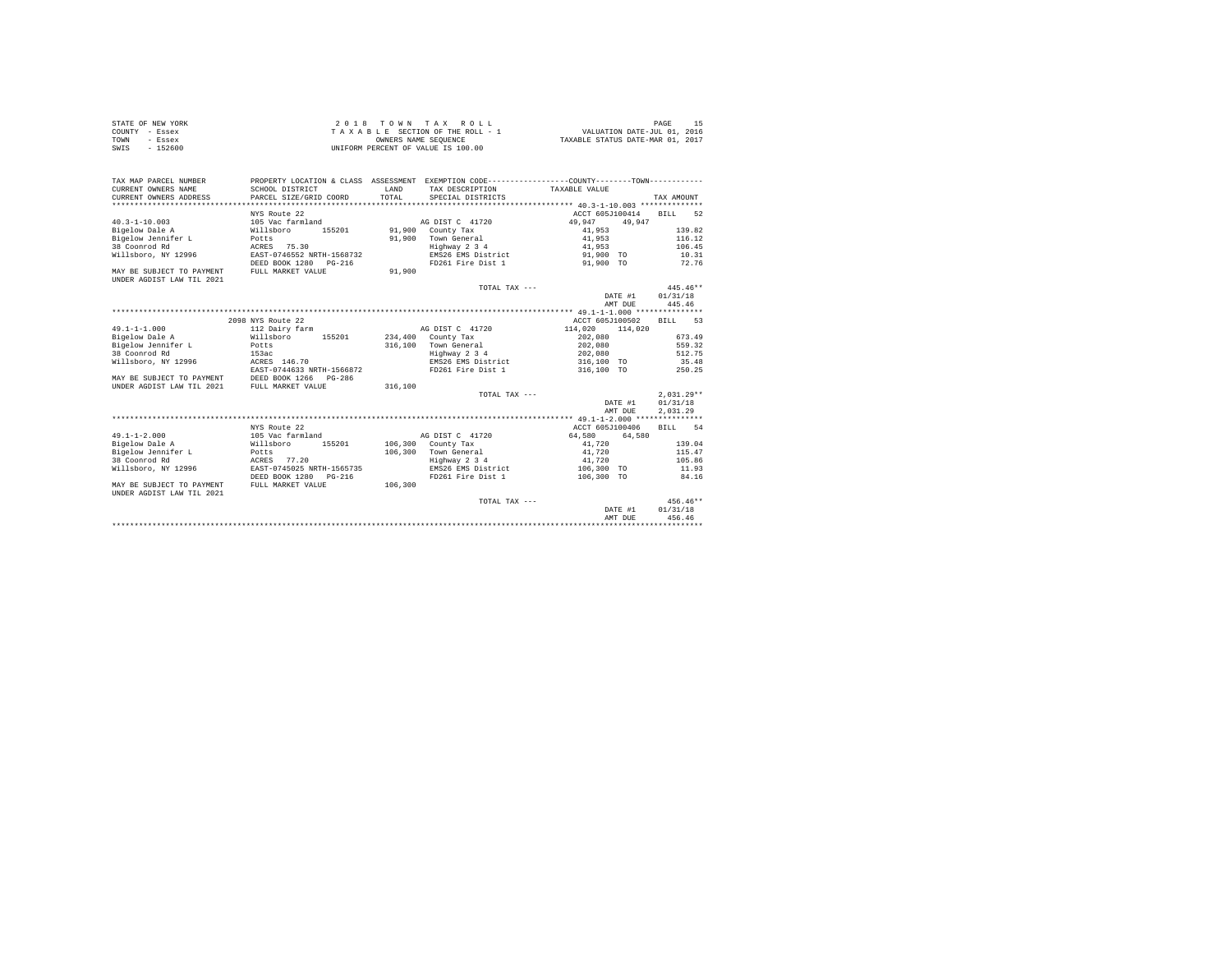| STATE OF NEW YORK | 2018 TOWN TAX ROLL                 | PAGE                             |
|-------------------|------------------------------------|----------------------------------|
| COUNTY - Essex    | TAXABLE SECTION OF THE ROLL - 1    | VALUATION DATE-JUL 01, 2016      |
| TOWN<br>- Essex   | OWNERS NAME SEOUENCE               | TAXABLE STATUS DATE-MAR 01, 2017 |
| $-152600$<br>SWIS | UNIFORM PERCENT OF VALUE IS 100.00 |                                  |

| TAX MAP PARCEL NUMBER                                  | PROPERTY LOCATION & CLASS ASSESSMENT EXEMPTION CODE---------------COUNTY-------TOWN---------- |         |                                     |                 |         |                  |
|--------------------------------------------------------|-----------------------------------------------------------------------------------------------|---------|-------------------------------------|-----------------|---------|------------------|
| CURRENT OWNERS NAME                                    | SCHOOL DISTRICT                                                                               | LAND    | TAX DESCRIPTION TAXABLE VALUE       |                 |         |                  |
| CURRENT OWNERS ADDRESS                                 | PARCEL SIZE/GRID COORD                                                                        | TOTAL.  | SPECIAL DISTRICTS                   |                 |         | TAX AMOUNT       |
|                                                        |                                                                                               |         |                                     |                 |         |                  |
|                                                        | NYS Route 22                                                                                  |         |                                     | ACCT 605J100414 |         | BILL 52          |
| $40.3 - 1 - 10.003$                                    | 105 Vac farmland                                                                              |         | AG DIST C 41720                     | 49,947          | 49,947  |                  |
| Bigelow Dale A                                         | Willsboro<br>155201                                                                           |         | 91,900 County Tax                   | 41,953          |         | 139.82           |
| Bigelow Jennifer L Bigelow                             |                                                                                               |         | 91,900 Town General                 | 41,953          |         | 116.12           |
| 38 Coonrod Rd                                          | ACRES 75.30                                                                                   |         | Highway 2 3 4                       | 41,953          |         | 106.45           |
| Willsboro, NY 12996                                    | EAST-0746552 NRTH-1568732                                                                     |         | EMS26 EMS District                  | 91,900 TO       |         | 10.31            |
|                                                        | DEED BOOK 1280 PG-216                                                                         |         | FD261 Fire Dist 1                   | 91,900 TO       |         | 72.76            |
| MAY BE SUBJECT TO PAYMENT<br>UNDER AGDIST LAW TIL 2021 | FULL MARKET VALUE                                                                             | 91,900  |                                     |                 |         |                  |
|                                                        |                                                                                               |         | TOTAL TAX ---                       |                 |         | $445.46**$       |
|                                                        |                                                                                               |         |                                     |                 |         | DATE #1 01/31/18 |
|                                                        |                                                                                               |         |                                     |                 | AMT DUE | 445.46           |
|                                                        |                                                                                               |         |                                     |                 |         |                  |
|                                                        | 2098 NYS Route 22                                                                             |         |                                     | ACCT 605J100502 |         | BILL 53          |
| $49.1 - 1 - 1.000$                                     | 112 Dairy farm                                                                                |         |                                     | 114,020         | 114,020 |                  |
| Bigelow Dale A                                         |                                                                                               |         | AG DIST C 41720                     |                 |         | 673.49           |
|                                                        | Willsboro<br>155201                                                                           |         | 234,400 County Tax                  | 202,080         |         |                  |
| Bigelow Jennifer L                                     | Potts                                                                                         |         | 316.100 Town General                | 202,080         |         | 559.32           |
| 38 Coonrod Rd                                          | 153ac                                                                                         |         | Highway 2 3 4                       | 202,080         |         | 512.75           |
| Willsboro, NY 12996                                    | ACRES 146.70                                                                                  |         | EMS26 EMS District 316,100 TO 35.48 |                 |         |                  |
|                                                        | EAST-0744633 NRTH-1566872                                                                     |         | FD261 Fire Dist 1 316,100 TO        |                 |         | 250.25           |
| MAY BE SUBJECT TO PAYMENT                              | DEED BOOK 1266 PG-286                                                                         |         |                                     |                 |         |                  |
| UNDER AGDIST LAW TIL 2021                              | FULL MARKET VALUE                                                                             | 316,100 |                                     |                 |         |                  |
|                                                        |                                                                                               |         | TOTAL TAX ---                       |                 |         | $2.031.29**$     |
|                                                        |                                                                                               |         |                                     |                 | DATE #1 | 01/31/18         |
|                                                        |                                                                                               |         |                                     |                 | AMT DUE | 2.031.29         |
|                                                        |                                                                                               |         |                                     |                 |         |                  |
|                                                        | NYS Route 22                                                                                  |         |                                     | ACCT 605J100406 |         | RTLL 54          |
| $49.1 - 1 - 2.000$                                     | 105 Vac farmland                                                                              |         | AG DIST C 41720                     | 64,580          | 64,580  |                  |
| Bigelow Dale A                                         | Willsboro<br>155201                                                                           |         | $106.300$ County Tax                | 41,720          |         | 139.04           |
| Bigelow Jennifer L<br><b>Potts</b>                     |                                                                                               |         | 106,300 Town General                | 41,720          |         | 115.47           |
| 38 Coonrod Rd                                          | ACRES 77.20                                                                                   |         | Highway 2 3 4                       | 41,720          |         | 105.86           |
| Willsboro, NY 12996                                    | EAST-0745025 NRTH-1565735                                                                     |         | EMS26 EMS District                  | 106,300 TO      |         | 11.93            |
|                                                        | DEED BOOK 1280 PG-216                                                                         |         | FD261 Fire Dist 1                   | 106,300 TO      |         | 84.16            |
| MAY BE SUBJECT TO PAYMENT<br>UNDER AGDIST LAW TIL 2021 | FULL MARKET VALUE                                                                             | 106,300 |                                     |                 |         |                  |
|                                                        |                                                                                               |         | TOTAL TAX ---                       |                 |         | $456.46**$       |
|                                                        |                                                                                               |         |                                     |                 | DATE #1 | 01/31/18         |
|                                                        |                                                                                               |         |                                     |                 | AMT DUE | 456.46           |
|                                                        |                                                                                               |         |                                     |                 |         |                  |
|                                                        |                                                                                               |         |                                     |                 |         |                  |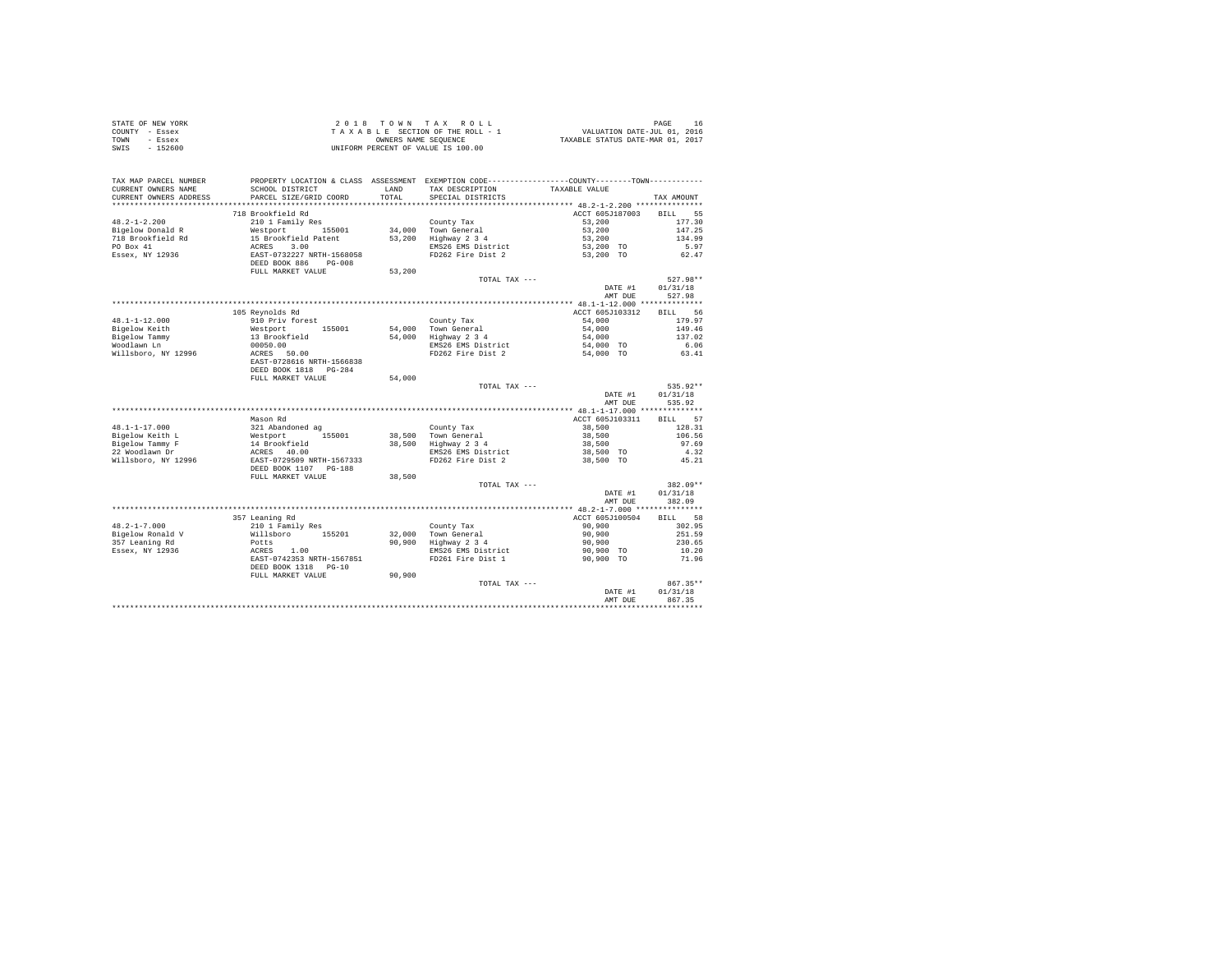| STATE OF NEW YORK | 2018 TOWN TAX ROLL                 | PAGE                             |
|-------------------|------------------------------------|----------------------------------|
| COUNTY - Essex    | TAXABLE SECTION OF THE ROLL - 1    | VALUATION DATE-JUL 01, 2016      |
| TOWN<br>- Essex   | OWNERS NAME SEOUENCE               | TAXABLE STATUS DATE-MAR 01, 2017 |
| SWIS<br>- 152600  | UNIFORM PERCENT OF VALUE IS 100.00 |                                  |

| TAX MAP PARCEL NUMBER<br>CURRENT OWNERS NAME<br>CURRENT OWNERS ADDRESS | SCHOOL DISTRICT<br>PARCEL SIZE/GRID COORD              | LAND<br>TOTAL. | PROPERTY LOCATION & CLASS ASSESSMENT EXEMPTION CODE----------------COUNTY-------TOWN----------<br>TAX DESCRIPTION<br>SPECIAL DISTRICTS | TAXABLE VALUE             | TAX AMOUNT                  |
|------------------------------------------------------------------------|--------------------------------------------------------|----------------|----------------------------------------------------------------------------------------------------------------------------------------|---------------------------|-----------------------------|
| *********************                                                  | ************************                               | .              |                                                                                                                                        |                           |                             |
| $48.2 - 1 - 2.200$                                                     | 718 Brookfield Rd<br>210 1 Family Res                  |                | County Tax                                                                                                                             | ACCT 605J187003<br>53,200 | <b>BILL</b><br>55<br>177.30 |
| Bigelow Donald R                                                       | Westport<br>155001                                     |                | 34,000 Town General                                                                                                                    | 53,200                    | 147.25                      |
| 718 Brookfield Rd                                                      | 15 Brookfield Patent                                   | 53,200         | Highway 2 3 4                                                                                                                          | 53,200                    | 134.99                      |
| $PO$ $Rox$ 41                                                          | 3.00<br>ACRES                                          |                | EMS26 EMS District                                                                                                                     | 53,200 TO                 | 5.97                        |
| Essex, NY 12936                                                        | EAST-0732227 NRTH-1568058<br>DEED BOOK 886<br>$PG-008$ |                | FD262 Fire Dist 2                                                                                                                      | 53,200 TO                 | 62.47                       |
|                                                                        | FULL MARKET VALUE                                      | 53,200         |                                                                                                                                        |                           |                             |
|                                                                        |                                                        |                | TOTAL TAX ---                                                                                                                          |                           | 527.98**                    |
|                                                                        |                                                        |                |                                                                                                                                        | DATE #1                   | 01/31/18                    |
|                                                                        |                                                        |                |                                                                                                                                        | AMT DUE                   | 527.98                      |
|                                                                        |                                                        |                |                                                                                                                                        |                           |                             |
|                                                                        | 105 Reynolds Rd                                        |                |                                                                                                                                        | ACCT 605J103312           | BILL<br>56                  |
| $48.1 - 1 - 12.000$                                                    | 910 Priv forest                                        |                | County Tax                                                                                                                             | 54,000                    | 179.97                      |
| Bigelow Keith                                                          | Westport<br>155001                                     | 54,000         | Town General                                                                                                                           | 54,000                    | 149.46                      |
| Bigelow Tammy                                                          | 13 Brookfield                                          | 54,000         | Highway 2 3 4                                                                                                                          | 54,000                    | 137.02                      |
| Woodlawn Ln                                                            | 00050.00                                               |                | EMS26 EMS District                                                                                                                     | 54,000 TO                 | 6.06                        |
| Willsboro, NY 12996                                                    | ACRES 50.00                                            |                | FD262 Fire Dist 2                                                                                                                      | 54,000 TO                 | 63.41                       |
|                                                                        | EAST-0728616 NRTH-1566838<br>DEED BOOK 1818 PG-284     |                |                                                                                                                                        |                           |                             |
|                                                                        | FULL MARKET VALUE                                      | 54,000         |                                                                                                                                        |                           |                             |
|                                                                        |                                                        |                | TOTAL TAX ---                                                                                                                          |                           | $535.92**$                  |
|                                                                        |                                                        |                |                                                                                                                                        | DATE #1                   | 01/31/18                    |
|                                                                        |                                                        |                |                                                                                                                                        | AMT DUE                   | 535.92                      |
|                                                                        |                                                        |                |                                                                                                                                        |                           |                             |
|                                                                        | Mason Rd                                               |                |                                                                                                                                        | ACCT 605J103311           | BTLL.<br>57                 |
| $48.1 - 1 - 17.000$                                                    | 321 Abandoned ag                                       |                | County Tax                                                                                                                             | 38,500                    | 128.31                      |
| Bigelow Keith L                                                        | Westport<br>155001                                     |                | 38,500 Town General                                                                                                                    | 38,500                    | 106.56                      |
| Bigelow Tammy F                                                        | 14 Brookfield                                          |                | 38,500 Highway 2 3 4                                                                                                                   | 38,500                    | 97.69                       |
| 22 Woodlawn Dr                                                         | ACRES 40.00                                            |                | EMS26 EMS District                                                                                                                     | 38,500 TO                 | 4.32                        |
| Willsboro, NY 12996                                                    | EAST-0729509 NRTH-1567333                              |                | FD262 Fire Dist 2                                                                                                                      | 38,500 TO                 | 45.21                       |
|                                                                        | DEED BOOK 1107 PG-188                                  |                |                                                                                                                                        |                           |                             |
|                                                                        | FULL MARKET VALUE                                      | 38,500         |                                                                                                                                        |                           |                             |
|                                                                        |                                                        |                | TOTAL TAX ---                                                                                                                          |                           | 382.09**                    |
|                                                                        |                                                        |                |                                                                                                                                        | DATE #1                   | 01/31/18                    |
|                                                                        |                                                        |                |                                                                                                                                        | AMT DUE                   | 382.09                      |
|                                                                        |                                                        |                |                                                                                                                                        |                           |                             |
|                                                                        | 357 Leaning Rd                                         |                |                                                                                                                                        | ACCT 605J100504           | <b>BILL</b><br>58           |
| $48.2 - 1 - 7.000$                                                     | 210 1 Family Res                                       |                | County Tax                                                                                                                             | 90,900                    | 302.95                      |
| Bigelow Ronald V                                                       | Willsboro 155201                                       |                | 32,000 Town General                                                                                                                    | 90,900                    | 251.59                      |
| 357 Leaning Rd                                                         | Potts                                                  |                | 90,900 Highway 2 3 4                                                                                                                   | 90,900                    | 230.65                      |
| Essex, NY 12936                                                        | 1.00<br>ACRES                                          |                | EMS26 EMS District                                                                                                                     | 90,900 TO                 | 10.20                       |
|                                                                        | EAST-0742353 NRTH-1567851                              |                | FD261 Fire Dist 1                                                                                                                      | 90,900 TO                 | 71.96                       |
|                                                                        | DEED BOOK 1318 PG-10                                   |                |                                                                                                                                        |                           |                             |
|                                                                        | FULL MARKET VALUE                                      | 90,900         |                                                                                                                                        |                           |                             |
|                                                                        |                                                        |                | TOTAL TAX ---                                                                                                                          |                           | $867.35**$                  |
|                                                                        |                                                        |                |                                                                                                                                        | DATE #1<br>AMT DUE        | 01/31/18<br>867.35          |
|                                                                        |                                                        |                |                                                                                                                                        |                           |                             |
|                                                                        |                                                        |                |                                                                                                                                        |                           |                             |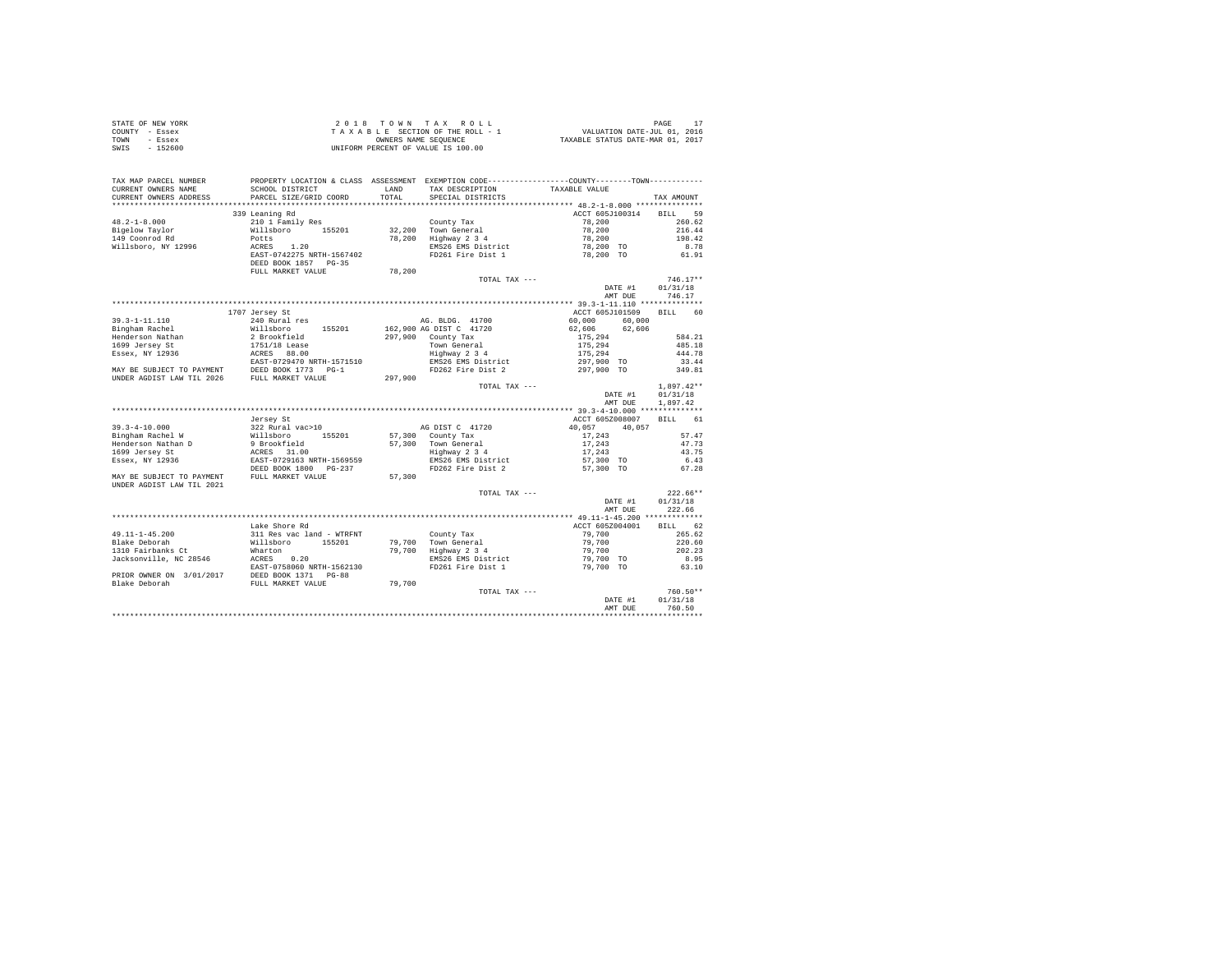| STATE OF NEW YORK | 2018 TOWN TAX ROLL                 | PAGE                             |
|-------------------|------------------------------------|----------------------------------|
| COUNTY - Essex    | TAXABLE SECTION OF THE ROLL - 1    | VALUATION DATE-JUL 01, 2016      |
| TOWN<br>- Essex   | OWNERS NAME SEOUENCE               | TAXABLE STATUS DATE-MAR 01, 2017 |
| SWIS<br>$-152600$ | UNIFORM PERCENT OF VALUE IS 100.00 |                                  |

| CURRENT OWNERS ADDRESS<br>PARCEL SIZE/GRID COORD<br>TOTAL<br>SPECIAL DISTRICTS                                                           | TAX AMOUNT        |
|------------------------------------------------------------------------------------------------------------------------------------------|-------------------|
|                                                                                                                                          |                   |
| ACCT 605J100314<br>339 Leaning Rd<br>$48.2 - 1 - 8.000$<br>210 1 Family Res<br>78,200<br>County Tax                                      | BILL 59<br>260.62 |
| Willsboro 155201<br>32,200 Town General<br>78,200<br>Bigelow Taylor                                                                      | 216.44            |
| 149 Coonrod Rd<br>78,200<br>Highway 2 3 4<br>78,200<br>Potts                                                                             | 198.42            |
| Willsboro, NY 12996<br>1.20<br>EMS26 EMS District<br>ACRES<br>78,200 TO                                                                  | 8.78              |
| 78,200 TO<br>EAST-0742275 NRTH-1567402<br>FD261 Fire Dist 1                                                                              | 61.91             |
| DEED BOOK 1857 PG-35                                                                                                                     |                   |
| FULL MARKET VALUE<br>78,200                                                                                                              |                   |
| TOTAL TAX ---                                                                                                                            | $746.17**$        |
| DATE #1                                                                                                                                  | 01/31/18          |
| AMT DUE                                                                                                                                  | 746.17            |
|                                                                                                                                          |                   |
| 1707 Jersey St<br>ACCT 605J101509                                                                                                        | <b>BILL</b><br>60 |
| $39.3 - 1 - 11.110$<br>240 Rural res<br>AG. BLDG. 41700<br>60.000<br>60,000                                                              |                   |
| Bingham Rachel<br>Willsboro<br>155201<br>162,900 AG DIST C 41720<br>62.606<br>62.606                                                     |                   |
| Henderson Nathan<br>2 Brookfield<br>297,900 County Tax<br>175.294                                                                        | 584.21            |
| 1699 Jersey St<br>1751/18 Lease<br>Town General<br>175,294                                                                               | 485.18            |
| Essex, NY 12936<br>ACRES 88.00<br>Highway 2 3 4<br>175.294                                                                               | 444.78            |
| EMS26 EMS District<br>297.900 TO<br>EAST-0729470 NRTH-1571510<br>EAST-0729470 NRTH-1571<br>MAY BE SUBJECT TO PAYMENT DEED BOOK 1773 PG-1 | 33.44             |
| FD262 Fire Dist 2<br>297.900 TO<br>FULL MARKET VALUE<br>UNDER AGDIST LAW TIL 2026<br>297,900                                             | 349.81            |
| TOTAL TAX ---                                                                                                                            | $1.897.42**$      |
| DATE #1                                                                                                                                  | 01/31/18          |
| AMT DUE                                                                                                                                  | 1,897.42          |
|                                                                                                                                          |                   |
| Jersey St<br>ACCT 605Z008007                                                                                                             | BILL 61           |
| 322 Rural vac>10<br>$39.3 - 4 - 10.000$<br>40.057<br>AG DIST C 41720<br>40.057                                                           |                   |
| Bingham Rachel W<br>Willsboro<br>155201<br>57,300 County Tax<br>17,243                                                                   | 57.47             |
| Henderson Nathan D<br>9 Brookfield<br>57,300 Town General<br>17,243                                                                      | 47.73             |
| $Highway$ 2 3 4<br>1699 Jersey St<br>ACRES 31.00<br>17,243                                                                               | 43.75             |
| Essex, NY 12936<br>EAST-0729163 NRTH-1569559<br>EMS26 EMS District<br>57,300 TO                                                          | 6.43              |
| DEED BOOK 1800 PG-237<br>FD262 Fire Dist 2<br>57,300 TO                                                                                  | 67.28             |
| FULL MARKET VALUE<br>MAY BE SUBJECT TO PAYMENT<br>57,300<br>UNDER AGDIST LAW TIL 2021                                                    |                   |
| TOTAL TAX ---                                                                                                                            | $222.66**$        |
| DATE #1                                                                                                                                  | 01/31/18          |
| AMT DUE                                                                                                                                  | 222.66            |
| ************ 49.11-1-45.200 *************                                                                                                |                   |
| Lake Shore Rd<br>ACCT 605Z004001                                                                                                         | BILL 62           |
| 49.11-1-45.200<br>311 Res vac land - WTRFNT<br>79,700<br>County Tax                                                                      | 265.62            |
| 79,700 Town General<br>79,700<br>Blake Deborah<br>Willsboro<br>155201                                                                    | 220.60            |
| 79,700 Highway 2 3 4<br>1310 Fairbanks Ct<br>Wharton<br>79,700                                                                           | 202.23            |
| Jacksonville, NC 28546<br>EMS26 EMS District<br>79,700 TO<br>ACRES 0.20                                                                  | 8.95              |
| EAST-0758060 NRTH-1562130<br>FD261 Fire Dist 1<br>79,700 TO                                                                              | 63.10             |
| PRIOR OWNER ON 3/01/2017<br>DEED BOOK 1371 PG-88                                                                                         |                   |
| Blake Deborah<br>79,700<br>FULL MARKET VALUE                                                                                             | $760.50**$        |
| TOTAL TAX ---<br>DATE #1                                                                                                                 | 01/31/18          |
| AMT DUE                                                                                                                                  | 760.50            |
|                                                                                                                                          | *********         |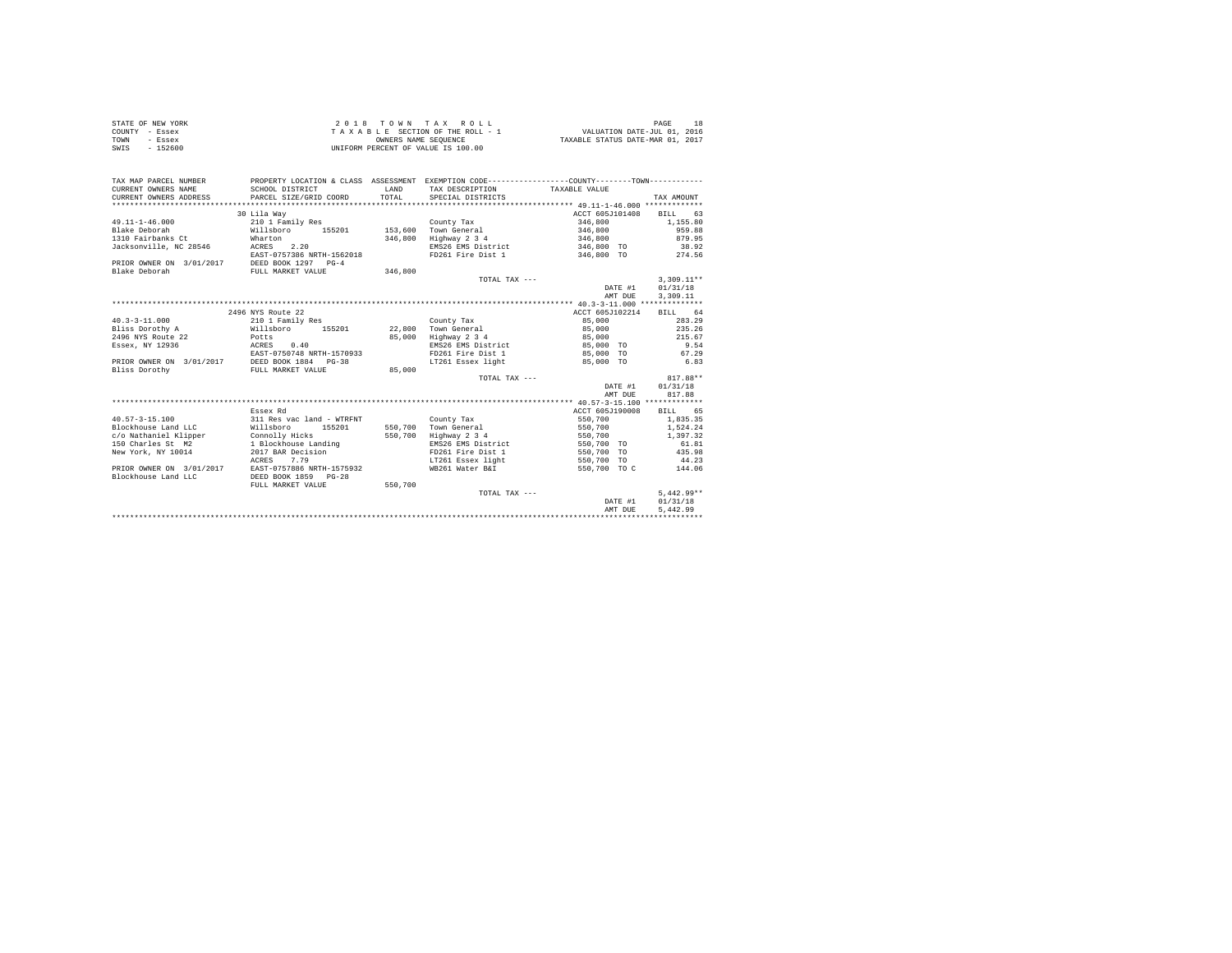| STATE OF NEW YORK | 2018 TOWN TAX ROLL                 | 18<br>PAGE                       |
|-------------------|------------------------------------|----------------------------------|
| COUNTY - Essex    | TAXABLE SECTION OF THE ROLL - 1    | VALUATION DATE-JUL 01, 2016      |
| TOWN<br>- Essex   | OWNERS NAME SEOUENCE               | TAXABLE STATUS DATE-MAR 01, 2017 |
| $-152600$<br>SWIS | UNIFORM PERCENT OF VALUE IS 100.00 |                                  |

| TAX MAP PARCEL NUMBER<br>CURRENT OWNERS NAME  | SCHOOL DISTRICT                         | LAND    | PROPERTY LOCATION & CLASS ASSESSMENT EXEMPTION CODE----------------COUNTY-------TOWN----------<br>TAX DESCRIPTION TAXABLE VALUE |                     |              |
|-----------------------------------------------|-----------------------------------------|---------|---------------------------------------------------------------------------------------------------------------------------------|---------------------|--------------|
| CURRENT OWNERS ADDRESS                        | PARCEL SIZE/GRID COORD                  | TOTAL   | SPECIAL DISTRICTS                                                                                                               |                     | TAX AMOUNT   |
|                                               |                                         |         |                                                                                                                                 |                     |              |
|                                               | 30 Lila Wav                             |         |                                                                                                                                 | ACCT 605J101408     | 63<br>BILL   |
| $49.11 - 1 - 46.000$                          | 210 1 Family Res                        |         | County Tax                                                                                                                      | 346,800             | 1,155.80     |
| Blake Deborah                                 | Willsboro 155201                        |         | 153.600 Town General                                                                                                            | 346,800             | 959.88       |
| 1310 Fairbanks Ct                             | Wharton                                 | 346,800 | Highway 2 3 4                                                                                                                   | 346,800             | 879.95       |
| Jacksonville, NC 28546                        | 2.20<br>ACRES                           |         | EMS26 EMS District 346.800 TO 38.92                                                                                             |                     |              |
|                                               | EAST-0757386 NRTH-1562018               |         | FD261 Fire Dist 1                                                                                                               | 346,800 TO 274.56   |              |
| PRIOR OWNER ON 3/01/2017                      | DEED BOOK 1297 PG-4                     |         |                                                                                                                                 |                     |              |
| Blake Deborah                                 | FULL MARKET VALUE                       | 346,800 |                                                                                                                                 |                     |              |
|                                               |                                         |         | TOTAL TAX ---                                                                                                                   |                     | $3.309.11**$ |
|                                               |                                         |         |                                                                                                                                 | DATE #1             | 01/31/18     |
|                                               |                                         |         |                                                                                                                                 | AMT DUE             | 3,309.11     |
|                                               |                                         |         |                                                                                                                                 |                     |              |
|                                               | 2496 NYS Route 22                       |         |                                                                                                                                 | ACCT 605J102214     | BILL 64      |
| $40.3 - 3 - 11.000$                           | 210 1 Family Res                        |         | County Tax                                                                                                                      | 85,000              | 283.29       |
|                                               | Bliss Dorothy A Willsboro 155201 22,800 |         | Town General                                                                                                                    | 85,000              | 235.26       |
| 2496 NYS Route 22                             | Potts                                   | 85,000  | Highway 2 3 4                                                                                                                   | 85,000              | 215.67       |
| Essex, NY 12936                               | FULLS<br>ACRES 0.40                     |         | EMS26 EMS District                                                                                                              | 85,000 TO           | 9.54         |
|                                               | EAST-0750748 NRTH-1570933               |         | FD261 Fire Dist 1 85,000 TO                                                                                                     |                     | 67.29        |
| PRIOR OWNER ON 3/01/2017 DEED BOOK 1884 PG-38 |                                         |         | LT261 Essex light                                                                                                               | 85,000 TO           | 6.83         |
| Bliss Dorothy                                 | FULL MARKET VALUE                       | 85,000  |                                                                                                                                 |                     |              |
|                                               |                                         |         | TOTAL TAX ---                                                                                                                   |                     | $817.88**$   |
|                                               |                                         |         |                                                                                                                                 | DATE #1             | 01/31/18     |
|                                               |                                         |         |                                                                                                                                 | AMT DUE             | 817.88       |
|                                               |                                         |         |                                                                                                                                 |                     |              |
|                                               | Essex Rd                                |         |                                                                                                                                 | ACCT 605J190008     | BILL 65      |
| $40.57 - 3 - 15.100$                          | 311 Res vac land - WTRFNT               |         | County Tax                                                                                                                      | 550,700             | 1,835.35     |
| Blockhouse Land LLC                           | Willsboro 155201                        | 550,700 | Town General                                                                                                                    | 550,700             | 1,524.24     |
| c/o Nathaniel Klipper                         | Connolly Hicks                          | 550,700 | Highway 2 3 4                                                                                                                   | 550,700             | 1,397.32     |
| 150 Charles St M2                             | 1 Blockhouse Landing                    |         | EMS26 EMS District                                                                                                              | 550,700 TO          | 61.81        |
| New York, NY 10014                            | 2017 BAR Decision                       |         | FD261 Fire Dist 1                                                                                                               | 550,700 TO          | 435.98       |
|                                               | ACRES<br>7.79                           |         | LT261 Essex light                                                                                                               | 550,700 TO          | 44.23        |
| PRIOR OWNER ON 3/01/2017                      | EAST-0757886 NRTH-1575932               |         | WB261 Water B&I                                                                                                                 | 550,700 TO C 144.06 |              |
| Blockhouse Land LLC                           | DEED BOOK 1859 PG-28                    |         |                                                                                                                                 |                     |              |
|                                               | FULL MARKET VALUE                       | 550,700 |                                                                                                                                 |                     |              |
|                                               |                                         |         | TOTAL TAX ---                                                                                                                   |                     | $5.442.99**$ |
|                                               |                                         |         |                                                                                                                                 | DATE #1             | 01/31/18     |
|                                               |                                         |         |                                                                                                                                 | AMT DUE             | 5.442.99     |
|                                               |                                         |         |                                                                                                                                 |                     |              |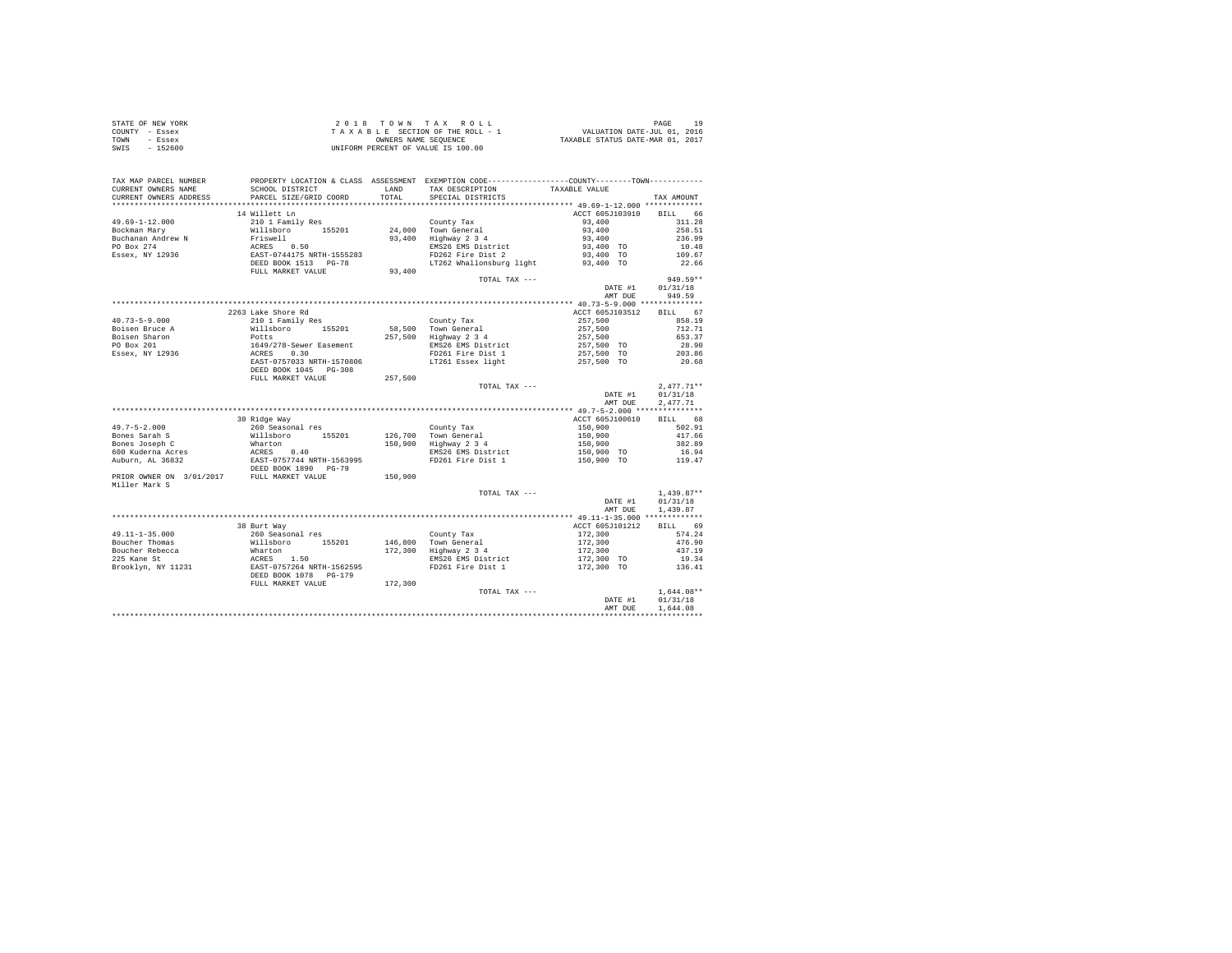|                | STATE OF NEW YORK | 2018 TOWN TAX ROLL                 | PAGE                             |
|----------------|-------------------|------------------------------------|----------------------------------|
| COUNTY - Essex |                   | TAXABLE SECTION OF THE ROLL - 1    | VALUATION DATE-JUL 01, 2016      |
| TOWN           | - Essex           | OWNERS NAME SEOUENCE               | TAXABLE STATUS DATE-MAR 01, 2017 |
| SWIS           | $-152600$         | UNIFORM PERCENT OF VALUE IS 100.00 |                                  |

| TOTAL<br>CURRENT OWNERS ADDRESS<br>PARCEL SIZE/GRID COORD<br>SPECIAL DISTRICTS<br>TAX AMOUNT<br>*************************<br>********************<br>14 Willett Ln<br>ACCT 605J103910<br>BILL 66<br>$49.69 - 1 - 12.000$<br>210 1 Family Res<br>County Tax<br>93,400<br>311.28<br>24,000 Town General<br>93,400 Highway 2 3 4<br>Willsboro 155201<br>93,400<br>93,400<br>258.51<br>Bockman Mary<br>Friswell<br>RCRES 0.50<br>EAST-0744175 NRTH-1555283<br>DEED BOOK 1513 PG-78<br>Buchanan Andrew N<br>236.99<br>PO Box 274<br>EMS26 EMS District<br>93,400 TO<br>10.48<br>109.67<br>Essex, NY 12936<br>FD262 Fire Dist 2<br>93,400 TO<br>LT262 Whallonsburg light<br>93,400 TO<br>22.66<br>FULL MARKET VALUE<br>93,400<br>$949.59**$<br>TOTAL TAX ---<br>01/31/18<br>DATE #1<br>949.59<br>AMT DUE<br>2263 Lake Shore Rd<br>ACCT 605J103512<br>BILL 67<br>210 1 Family Res<br>$40.73 - 5 - 9.000$<br>County Tax<br>257,500<br>858.19<br>58,500 Town General<br>257,500 Highway 2 3 4<br>Boisen Bruce A<br>Willsboro 155201<br>257,500<br>257,500<br>257,500 TO<br>712.71<br>Boisen Sharon<br>---------<br>1649/278-Sewer Easement<br>ACRES 0.30<br>EAST-0757033 NRTH-1570806<br>653.37<br>EMS26 EMS District<br>PO Box 201<br>28.90<br>Essex, NY 12936<br>FD261 Fire Dist 1<br>203.86<br>257,500 TO<br>257,500 TO<br>LT261 Essex light<br>20.68<br>DEED BOOK 1045 PG-308<br>FULL MARKET VALUE<br>257,500<br>$2,477.71**$<br>TOTAL TAX ---<br>DATE #1<br>01/31/18<br>2.477.71<br>AMT DUE<br>30 Ridge Way<br>ACCT 605J100610<br>BILL 68<br>49.7-5-2.000<br>Bones Sarah S<br>Bones Joseph C<br>Bones Joseph C<br>Bones Joseph C<br>Marton Marton Marton<br>600 Kuderna Acres<br>Auburn, AL 36832<br>AL BAST-075714 NRTH-1563995<br>Auburn, AL 36832<br>PERD BOOK 1890 PG-79<br>PERD BOOK 1890 P<br>County Tax<br>150,900<br>502.91<br>126,700 Town General<br>150,900 Highway 2 3 4<br>150,900<br>150,900<br>150,900 TO<br>417.66<br>382.89<br>EMS26 EMS District<br>16.94<br>FD261 Fire Dist 1<br>150,900 TO<br>119.47<br>150,900<br>Miller Mark S<br>$1,439.87**$<br>TOTAL TAX ---<br>DATE #1<br>01/31/18<br>1,439.87<br>AMT DUE<br>BILL 69<br>38 Burt Way<br>ACCT 605J101212<br>260 Seasonal res<br>Willsboro 155201<br>Wharton<br>Marton 156201<br>EAST-0757264 NRTH-1562595<br>DEED BOOK 1078 PG-179<br>County Tax<br>49.11-1-35.000<br>$172,300$<br>$172,300$<br>$172,300$<br>$172,300$ TO<br>574.24<br>Boucher Thomas<br>146,800 Town General<br>476.90<br>172,300 $\frac{1}{\text{highway}}$ 2 3 4<br>Boucher Rebecca<br>437.19<br>225 Kane St<br>EMS26 EMS District<br>19.34<br>Brooklyn, NY 11231<br>FD261 Fire Dist 1<br>172,300 TO<br>136.41<br>172,300<br>FULL MARKET VALUE<br>$1,644.08**$<br>TOTAL TAX ---<br>DATE #1<br>01/31/18<br>AMT DUE<br>1,644.08 | TAX MAP PARCEL NUMBER<br>CURRENT OWNERS NAME | SCHOOL DISTRICT | <b>T.AND</b> | PROPERTY LOCATION & CLASS ASSESSMENT EXEMPTION CODE---------------COUNTY-------TOWN----------<br>TAX DESCRIPTION | TAXABLE VALUE |  |
|----------------------------------------------------------------------------------------------------------------------------------------------------------------------------------------------------------------------------------------------------------------------------------------------------------------------------------------------------------------------------------------------------------------------------------------------------------------------------------------------------------------------------------------------------------------------------------------------------------------------------------------------------------------------------------------------------------------------------------------------------------------------------------------------------------------------------------------------------------------------------------------------------------------------------------------------------------------------------------------------------------------------------------------------------------------------------------------------------------------------------------------------------------------------------------------------------------------------------------------------------------------------------------------------------------------------------------------------------------------------------------------------------------------------------------------------------------------------------------------------------------------------------------------------------------------------------------------------------------------------------------------------------------------------------------------------------------------------------------------------------------------------------------------------------------------------------------------------------------------------------------------------------------------------------------------------------------------------------------------------------------------------------------------------------------------------------------------------------------------------------------------------------------------------------------------------------------------------------------------------------------------------------------------------------------------------------------------------------------------------------------------------------------------------------------------------------------------------------------------------------------------------------------------------------------------------------------------------------------------------------------------------------------------------------------------------------------------------------------------------------------------------|----------------------------------------------|-----------------|--------------|------------------------------------------------------------------------------------------------------------------|---------------|--|
|                                                                                                                                                                                                                                                                                                                                                                                                                                                                                                                                                                                                                                                                                                                                                                                                                                                                                                                                                                                                                                                                                                                                                                                                                                                                                                                                                                                                                                                                                                                                                                                                                                                                                                                                                                                                                                                                                                                                                                                                                                                                                                                                                                                                                                                                                                                                                                                                                                                                                                                                                                                                                                                                                                                                                                      |                                              |                 |              |                                                                                                                  |               |  |
|                                                                                                                                                                                                                                                                                                                                                                                                                                                                                                                                                                                                                                                                                                                                                                                                                                                                                                                                                                                                                                                                                                                                                                                                                                                                                                                                                                                                                                                                                                                                                                                                                                                                                                                                                                                                                                                                                                                                                                                                                                                                                                                                                                                                                                                                                                                                                                                                                                                                                                                                                                                                                                                                                                                                                                      |                                              |                 |              |                                                                                                                  |               |  |
|                                                                                                                                                                                                                                                                                                                                                                                                                                                                                                                                                                                                                                                                                                                                                                                                                                                                                                                                                                                                                                                                                                                                                                                                                                                                                                                                                                                                                                                                                                                                                                                                                                                                                                                                                                                                                                                                                                                                                                                                                                                                                                                                                                                                                                                                                                                                                                                                                                                                                                                                                                                                                                                                                                                                                                      |                                              |                 |              |                                                                                                                  |               |  |
|                                                                                                                                                                                                                                                                                                                                                                                                                                                                                                                                                                                                                                                                                                                                                                                                                                                                                                                                                                                                                                                                                                                                                                                                                                                                                                                                                                                                                                                                                                                                                                                                                                                                                                                                                                                                                                                                                                                                                                                                                                                                                                                                                                                                                                                                                                                                                                                                                                                                                                                                                                                                                                                                                                                                                                      |                                              |                 |              |                                                                                                                  |               |  |
|                                                                                                                                                                                                                                                                                                                                                                                                                                                                                                                                                                                                                                                                                                                                                                                                                                                                                                                                                                                                                                                                                                                                                                                                                                                                                                                                                                                                                                                                                                                                                                                                                                                                                                                                                                                                                                                                                                                                                                                                                                                                                                                                                                                                                                                                                                                                                                                                                                                                                                                                                                                                                                                                                                                                                                      |                                              |                 |              |                                                                                                                  |               |  |
|                                                                                                                                                                                                                                                                                                                                                                                                                                                                                                                                                                                                                                                                                                                                                                                                                                                                                                                                                                                                                                                                                                                                                                                                                                                                                                                                                                                                                                                                                                                                                                                                                                                                                                                                                                                                                                                                                                                                                                                                                                                                                                                                                                                                                                                                                                                                                                                                                                                                                                                                                                                                                                                                                                                                                                      |                                              |                 |              |                                                                                                                  |               |  |
|                                                                                                                                                                                                                                                                                                                                                                                                                                                                                                                                                                                                                                                                                                                                                                                                                                                                                                                                                                                                                                                                                                                                                                                                                                                                                                                                                                                                                                                                                                                                                                                                                                                                                                                                                                                                                                                                                                                                                                                                                                                                                                                                                                                                                                                                                                                                                                                                                                                                                                                                                                                                                                                                                                                                                                      |                                              |                 |              |                                                                                                                  |               |  |
|                                                                                                                                                                                                                                                                                                                                                                                                                                                                                                                                                                                                                                                                                                                                                                                                                                                                                                                                                                                                                                                                                                                                                                                                                                                                                                                                                                                                                                                                                                                                                                                                                                                                                                                                                                                                                                                                                                                                                                                                                                                                                                                                                                                                                                                                                                                                                                                                                                                                                                                                                                                                                                                                                                                                                                      |                                              |                 |              |                                                                                                                  |               |  |
|                                                                                                                                                                                                                                                                                                                                                                                                                                                                                                                                                                                                                                                                                                                                                                                                                                                                                                                                                                                                                                                                                                                                                                                                                                                                                                                                                                                                                                                                                                                                                                                                                                                                                                                                                                                                                                                                                                                                                                                                                                                                                                                                                                                                                                                                                                                                                                                                                                                                                                                                                                                                                                                                                                                                                                      |                                              |                 |              |                                                                                                                  |               |  |
|                                                                                                                                                                                                                                                                                                                                                                                                                                                                                                                                                                                                                                                                                                                                                                                                                                                                                                                                                                                                                                                                                                                                                                                                                                                                                                                                                                                                                                                                                                                                                                                                                                                                                                                                                                                                                                                                                                                                                                                                                                                                                                                                                                                                                                                                                                                                                                                                                                                                                                                                                                                                                                                                                                                                                                      |                                              |                 |              |                                                                                                                  |               |  |
|                                                                                                                                                                                                                                                                                                                                                                                                                                                                                                                                                                                                                                                                                                                                                                                                                                                                                                                                                                                                                                                                                                                                                                                                                                                                                                                                                                                                                                                                                                                                                                                                                                                                                                                                                                                                                                                                                                                                                                                                                                                                                                                                                                                                                                                                                                                                                                                                                                                                                                                                                                                                                                                                                                                                                                      |                                              |                 |              |                                                                                                                  |               |  |
|                                                                                                                                                                                                                                                                                                                                                                                                                                                                                                                                                                                                                                                                                                                                                                                                                                                                                                                                                                                                                                                                                                                                                                                                                                                                                                                                                                                                                                                                                                                                                                                                                                                                                                                                                                                                                                                                                                                                                                                                                                                                                                                                                                                                                                                                                                                                                                                                                                                                                                                                                                                                                                                                                                                                                                      |                                              |                 |              |                                                                                                                  |               |  |
|                                                                                                                                                                                                                                                                                                                                                                                                                                                                                                                                                                                                                                                                                                                                                                                                                                                                                                                                                                                                                                                                                                                                                                                                                                                                                                                                                                                                                                                                                                                                                                                                                                                                                                                                                                                                                                                                                                                                                                                                                                                                                                                                                                                                                                                                                                                                                                                                                                                                                                                                                                                                                                                                                                                                                                      |                                              |                 |              |                                                                                                                  |               |  |
|                                                                                                                                                                                                                                                                                                                                                                                                                                                                                                                                                                                                                                                                                                                                                                                                                                                                                                                                                                                                                                                                                                                                                                                                                                                                                                                                                                                                                                                                                                                                                                                                                                                                                                                                                                                                                                                                                                                                                                                                                                                                                                                                                                                                                                                                                                                                                                                                                                                                                                                                                                                                                                                                                                                                                                      |                                              |                 |              |                                                                                                                  |               |  |
|                                                                                                                                                                                                                                                                                                                                                                                                                                                                                                                                                                                                                                                                                                                                                                                                                                                                                                                                                                                                                                                                                                                                                                                                                                                                                                                                                                                                                                                                                                                                                                                                                                                                                                                                                                                                                                                                                                                                                                                                                                                                                                                                                                                                                                                                                                                                                                                                                                                                                                                                                                                                                                                                                                                                                                      |                                              |                 |              |                                                                                                                  |               |  |
|                                                                                                                                                                                                                                                                                                                                                                                                                                                                                                                                                                                                                                                                                                                                                                                                                                                                                                                                                                                                                                                                                                                                                                                                                                                                                                                                                                                                                                                                                                                                                                                                                                                                                                                                                                                                                                                                                                                                                                                                                                                                                                                                                                                                                                                                                                                                                                                                                                                                                                                                                                                                                                                                                                                                                                      |                                              |                 |              |                                                                                                                  |               |  |
|                                                                                                                                                                                                                                                                                                                                                                                                                                                                                                                                                                                                                                                                                                                                                                                                                                                                                                                                                                                                                                                                                                                                                                                                                                                                                                                                                                                                                                                                                                                                                                                                                                                                                                                                                                                                                                                                                                                                                                                                                                                                                                                                                                                                                                                                                                                                                                                                                                                                                                                                                                                                                                                                                                                                                                      |                                              |                 |              |                                                                                                                  |               |  |
|                                                                                                                                                                                                                                                                                                                                                                                                                                                                                                                                                                                                                                                                                                                                                                                                                                                                                                                                                                                                                                                                                                                                                                                                                                                                                                                                                                                                                                                                                                                                                                                                                                                                                                                                                                                                                                                                                                                                                                                                                                                                                                                                                                                                                                                                                                                                                                                                                                                                                                                                                                                                                                                                                                                                                                      |                                              |                 |              |                                                                                                                  |               |  |
|                                                                                                                                                                                                                                                                                                                                                                                                                                                                                                                                                                                                                                                                                                                                                                                                                                                                                                                                                                                                                                                                                                                                                                                                                                                                                                                                                                                                                                                                                                                                                                                                                                                                                                                                                                                                                                                                                                                                                                                                                                                                                                                                                                                                                                                                                                                                                                                                                                                                                                                                                                                                                                                                                                                                                                      |                                              |                 |              |                                                                                                                  |               |  |
|                                                                                                                                                                                                                                                                                                                                                                                                                                                                                                                                                                                                                                                                                                                                                                                                                                                                                                                                                                                                                                                                                                                                                                                                                                                                                                                                                                                                                                                                                                                                                                                                                                                                                                                                                                                                                                                                                                                                                                                                                                                                                                                                                                                                                                                                                                                                                                                                                                                                                                                                                                                                                                                                                                                                                                      |                                              |                 |              |                                                                                                                  |               |  |
|                                                                                                                                                                                                                                                                                                                                                                                                                                                                                                                                                                                                                                                                                                                                                                                                                                                                                                                                                                                                                                                                                                                                                                                                                                                                                                                                                                                                                                                                                                                                                                                                                                                                                                                                                                                                                                                                                                                                                                                                                                                                                                                                                                                                                                                                                                                                                                                                                                                                                                                                                                                                                                                                                                                                                                      |                                              |                 |              |                                                                                                                  |               |  |
|                                                                                                                                                                                                                                                                                                                                                                                                                                                                                                                                                                                                                                                                                                                                                                                                                                                                                                                                                                                                                                                                                                                                                                                                                                                                                                                                                                                                                                                                                                                                                                                                                                                                                                                                                                                                                                                                                                                                                                                                                                                                                                                                                                                                                                                                                                                                                                                                                                                                                                                                                                                                                                                                                                                                                                      |                                              |                 |              |                                                                                                                  |               |  |
|                                                                                                                                                                                                                                                                                                                                                                                                                                                                                                                                                                                                                                                                                                                                                                                                                                                                                                                                                                                                                                                                                                                                                                                                                                                                                                                                                                                                                                                                                                                                                                                                                                                                                                                                                                                                                                                                                                                                                                                                                                                                                                                                                                                                                                                                                                                                                                                                                                                                                                                                                                                                                                                                                                                                                                      |                                              |                 |              |                                                                                                                  |               |  |
|                                                                                                                                                                                                                                                                                                                                                                                                                                                                                                                                                                                                                                                                                                                                                                                                                                                                                                                                                                                                                                                                                                                                                                                                                                                                                                                                                                                                                                                                                                                                                                                                                                                                                                                                                                                                                                                                                                                                                                                                                                                                                                                                                                                                                                                                                                                                                                                                                                                                                                                                                                                                                                                                                                                                                                      |                                              |                 |              |                                                                                                                  |               |  |
|                                                                                                                                                                                                                                                                                                                                                                                                                                                                                                                                                                                                                                                                                                                                                                                                                                                                                                                                                                                                                                                                                                                                                                                                                                                                                                                                                                                                                                                                                                                                                                                                                                                                                                                                                                                                                                                                                                                                                                                                                                                                                                                                                                                                                                                                                                                                                                                                                                                                                                                                                                                                                                                                                                                                                                      |                                              |                 |              |                                                                                                                  |               |  |
|                                                                                                                                                                                                                                                                                                                                                                                                                                                                                                                                                                                                                                                                                                                                                                                                                                                                                                                                                                                                                                                                                                                                                                                                                                                                                                                                                                                                                                                                                                                                                                                                                                                                                                                                                                                                                                                                                                                                                                                                                                                                                                                                                                                                                                                                                                                                                                                                                                                                                                                                                                                                                                                                                                                                                                      |                                              |                 |              |                                                                                                                  |               |  |
|                                                                                                                                                                                                                                                                                                                                                                                                                                                                                                                                                                                                                                                                                                                                                                                                                                                                                                                                                                                                                                                                                                                                                                                                                                                                                                                                                                                                                                                                                                                                                                                                                                                                                                                                                                                                                                                                                                                                                                                                                                                                                                                                                                                                                                                                                                                                                                                                                                                                                                                                                                                                                                                                                                                                                                      |                                              |                 |              |                                                                                                                  |               |  |
|                                                                                                                                                                                                                                                                                                                                                                                                                                                                                                                                                                                                                                                                                                                                                                                                                                                                                                                                                                                                                                                                                                                                                                                                                                                                                                                                                                                                                                                                                                                                                                                                                                                                                                                                                                                                                                                                                                                                                                                                                                                                                                                                                                                                                                                                                                                                                                                                                                                                                                                                                                                                                                                                                                                                                                      |                                              |                 |              |                                                                                                                  |               |  |
|                                                                                                                                                                                                                                                                                                                                                                                                                                                                                                                                                                                                                                                                                                                                                                                                                                                                                                                                                                                                                                                                                                                                                                                                                                                                                                                                                                                                                                                                                                                                                                                                                                                                                                                                                                                                                                                                                                                                                                                                                                                                                                                                                                                                                                                                                                                                                                                                                                                                                                                                                                                                                                                                                                                                                                      |                                              |                 |              |                                                                                                                  |               |  |
|                                                                                                                                                                                                                                                                                                                                                                                                                                                                                                                                                                                                                                                                                                                                                                                                                                                                                                                                                                                                                                                                                                                                                                                                                                                                                                                                                                                                                                                                                                                                                                                                                                                                                                                                                                                                                                                                                                                                                                                                                                                                                                                                                                                                                                                                                                                                                                                                                                                                                                                                                                                                                                                                                                                                                                      |                                              |                 |              |                                                                                                                  |               |  |
|                                                                                                                                                                                                                                                                                                                                                                                                                                                                                                                                                                                                                                                                                                                                                                                                                                                                                                                                                                                                                                                                                                                                                                                                                                                                                                                                                                                                                                                                                                                                                                                                                                                                                                                                                                                                                                                                                                                                                                                                                                                                                                                                                                                                                                                                                                                                                                                                                                                                                                                                                                                                                                                                                                                                                                      |                                              |                 |              |                                                                                                                  |               |  |
|                                                                                                                                                                                                                                                                                                                                                                                                                                                                                                                                                                                                                                                                                                                                                                                                                                                                                                                                                                                                                                                                                                                                                                                                                                                                                                                                                                                                                                                                                                                                                                                                                                                                                                                                                                                                                                                                                                                                                                                                                                                                                                                                                                                                                                                                                                                                                                                                                                                                                                                                                                                                                                                                                                                                                                      |                                              |                 |              |                                                                                                                  |               |  |
|                                                                                                                                                                                                                                                                                                                                                                                                                                                                                                                                                                                                                                                                                                                                                                                                                                                                                                                                                                                                                                                                                                                                                                                                                                                                                                                                                                                                                                                                                                                                                                                                                                                                                                                                                                                                                                                                                                                                                                                                                                                                                                                                                                                                                                                                                                                                                                                                                                                                                                                                                                                                                                                                                                                                                                      |                                              |                 |              |                                                                                                                  |               |  |
|                                                                                                                                                                                                                                                                                                                                                                                                                                                                                                                                                                                                                                                                                                                                                                                                                                                                                                                                                                                                                                                                                                                                                                                                                                                                                                                                                                                                                                                                                                                                                                                                                                                                                                                                                                                                                                                                                                                                                                                                                                                                                                                                                                                                                                                                                                                                                                                                                                                                                                                                                                                                                                                                                                                                                                      |                                              |                 |              |                                                                                                                  |               |  |
|                                                                                                                                                                                                                                                                                                                                                                                                                                                                                                                                                                                                                                                                                                                                                                                                                                                                                                                                                                                                                                                                                                                                                                                                                                                                                                                                                                                                                                                                                                                                                                                                                                                                                                                                                                                                                                                                                                                                                                                                                                                                                                                                                                                                                                                                                                                                                                                                                                                                                                                                                                                                                                                                                                                                                                      |                                              |                 |              |                                                                                                                  |               |  |
|                                                                                                                                                                                                                                                                                                                                                                                                                                                                                                                                                                                                                                                                                                                                                                                                                                                                                                                                                                                                                                                                                                                                                                                                                                                                                                                                                                                                                                                                                                                                                                                                                                                                                                                                                                                                                                                                                                                                                                                                                                                                                                                                                                                                                                                                                                                                                                                                                                                                                                                                                                                                                                                                                                                                                                      |                                              |                 |              |                                                                                                                  |               |  |
|                                                                                                                                                                                                                                                                                                                                                                                                                                                                                                                                                                                                                                                                                                                                                                                                                                                                                                                                                                                                                                                                                                                                                                                                                                                                                                                                                                                                                                                                                                                                                                                                                                                                                                                                                                                                                                                                                                                                                                                                                                                                                                                                                                                                                                                                                                                                                                                                                                                                                                                                                                                                                                                                                                                                                                      |                                              |                 |              |                                                                                                                  |               |  |
|                                                                                                                                                                                                                                                                                                                                                                                                                                                                                                                                                                                                                                                                                                                                                                                                                                                                                                                                                                                                                                                                                                                                                                                                                                                                                                                                                                                                                                                                                                                                                                                                                                                                                                                                                                                                                                                                                                                                                                                                                                                                                                                                                                                                                                                                                                                                                                                                                                                                                                                                                                                                                                                                                                                                                                      |                                              |                 |              |                                                                                                                  |               |  |
|                                                                                                                                                                                                                                                                                                                                                                                                                                                                                                                                                                                                                                                                                                                                                                                                                                                                                                                                                                                                                                                                                                                                                                                                                                                                                                                                                                                                                                                                                                                                                                                                                                                                                                                                                                                                                                                                                                                                                                                                                                                                                                                                                                                                                                                                                                                                                                                                                                                                                                                                                                                                                                                                                                                                                                      |                                              |                 |              |                                                                                                                  |               |  |
|                                                                                                                                                                                                                                                                                                                                                                                                                                                                                                                                                                                                                                                                                                                                                                                                                                                                                                                                                                                                                                                                                                                                                                                                                                                                                                                                                                                                                                                                                                                                                                                                                                                                                                                                                                                                                                                                                                                                                                                                                                                                                                                                                                                                                                                                                                                                                                                                                                                                                                                                                                                                                                                                                                                                                                      |                                              |                 |              |                                                                                                                  |               |  |
|                                                                                                                                                                                                                                                                                                                                                                                                                                                                                                                                                                                                                                                                                                                                                                                                                                                                                                                                                                                                                                                                                                                                                                                                                                                                                                                                                                                                                                                                                                                                                                                                                                                                                                                                                                                                                                                                                                                                                                                                                                                                                                                                                                                                                                                                                                                                                                                                                                                                                                                                                                                                                                                                                                                                                                      |                                              |                 |              |                                                                                                                  |               |  |
|                                                                                                                                                                                                                                                                                                                                                                                                                                                                                                                                                                                                                                                                                                                                                                                                                                                                                                                                                                                                                                                                                                                                                                                                                                                                                                                                                                                                                                                                                                                                                                                                                                                                                                                                                                                                                                                                                                                                                                                                                                                                                                                                                                                                                                                                                                                                                                                                                                                                                                                                                                                                                                                                                                                                                                      |                                              |                 |              |                                                                                                                  |               |  |
|                                                                                                                                                                                                                                                                                                                                                                                                                                                                                                                                                                                                                                                                                                                                                                                                                                                                                                                                                                                                                                                                                                                                                                                                                                                                                                                                                                                                                                                                                                                                                                                                                                                                                                                                                                                                                                                                                                                                                                                                                                                                                                                                                                                                                                                                                                                                                                                                                                                                                                                                                                                                                                                                                                                                                                      |                                              |                 |              |                                                                                                                  |               |  |
|                                                                                                                                                                                                                                                                                                                                                                                                                                                                                                                                                                                                                                                                                                                                                                                                                                                                                                                                                                                                                                                                                                                                                                                                                                                                                                                                                                                                                                                                                                                                                                                                                                                                                                                                                                                                                                                                                                                                                                                                                                                                                                                                                                                                                                                                                                                                                                                                                                                                                                                                                                                                                                                                                                                                                                      |                                              |                 |              |                                                                                                                  |               |  |
|                                                                                                                                                                                                                                                                                                                                                                                                                                                                                                                                                                                                                                                                                                                                                                                                                                                                                                                                                                                                                                                                                                                                                                                                                                                                                                                                                                                                                                                                                                                                                                                                                                                                                                                                                                                                                                                                                                                                                                                                                                                                                                                                                                                                                                                                                                                                                                                                                                                                                                                                                                                                                                                                                                                                                                      |                                              |                 |              |                                                                                                                  |               |  |
|                                                                                                                                                                                                                                                                                                                                                                                                                                                                                                                                                                                                                                                                                                                                                                                                                                                                                                                                                                                                                                                                                                                                                                                                                                                                                                                                                                                                                                                                                                                                                                                                                                                                                                                                                                                                                                                                                                                                                                                                                                                                                                                                                                                                                                                                                                                                                                                                                                                                                                                                                                                                                                                                                                                                                                      |                                              |                 |              |                                                                                                                  |               |  |
|                                                                                                                                                                                                                                                                                                                                                                                                                                                                                                                                                                                                                                                                                                                                                                                                                                                                                                                                                                                                                                                                                                                                                                                                                                                                                                                                                                                                                                                                                                                                                                                                                                                                                                                                                                                                                                                                                                                                                                                                                                                                                                                                                                                                                                                                                                                                                                                                                                                                                                                                                                                                                                                                                                                                                                      |                                              |                 |              |                                                                                                                  |               |  |
|                                                                                                                                                                                                                                                                                                                                                                                                                                                                                                                                                                                                                                                                                                                                                                                                                                                                                                                                                                                                                                                                                                                                                                                                                                                                                                                                                                                                                                                                                                                                                                                                                                                                                                                                                                                                                                                                                                                                                                                                                                                                                                                                                                                                                                                                                                                                                                                                                                                                                                                                                                                                                                                                                                                                                                      |                                              |                 |              |                                                                                                                  |               |  |
|                                                                                                                                                                                                                                                                                                                                                                                                                                                                                                                                                                                                                                                                                                                                                                                                                                                                                                                                                                                                                                                                                                                                                                                                                                                                                                                                                                                                                                                                                                                                                                                                                                                                                                                                                                                                                                                                                                                                                                                                                                                                                                                                                                                                                                                                                                                                                                                                                                                                                                                                                                                                                                                                                                                                                                      |                                              |                 |              |                                                                                                                  |               |  |
|                                                                                                                                                                                                                                                                                                                                                                                                                                                                                                                                                                                                                                                                                                                                                                                                                                                                                                                                                                                                                                                                                                                                                                                                                                                                                                                                                                                                                                                                                                                                                                                                                                                                                                                                                                                                                                                                                                                                                                                                                                                                                                                                                                                                                                                                                                                                                                                                                                                                                                                                                                                                                                                                                                                                                                      |                                              |                 |              |                                                                                                                  |               |  |
|                                                                                                                                                                                                                                                                                                                                                                                                                                                                                                                                                                                                                                                                                                                                                                                                                                                                                                                                                                                                                                                                                                                                                                                                                                                                                                                                                                                                                                                                                                                                                                                                                                                                                                                                                                                                                                                                                                                                                                                                                                                                                                                                                                                                                                                                                                                                                                                                                                                                                                                                                                                                                                                                                                                                                                      |                                              |                 |              |                                                                                                                  |               |  |
|                                                                                                                                                                                                                                                                                                                                                                                                                                                                                                                                                                                                                                                                                                                                                                                                                                                                                                                                                                                                                                                                                                                                                                                                                                                                                                                                                                                                                                                                                                                                                                                                                                                                                                                                                                                                                                                                                                                                                                                                                                                                                                                                                                                                                                                                                                                                                                                                                                                                                                                                                                                                                                                                                                                                                                      |                                              |                 |              |                                                                                                                  |               |  |
|                                                                                                                                                                                                                                                                                                                                                                                                                                                                                                                                                                                                                                                                                                                                                                                                                                                                                                                                                                                                                                                                                                                                                                                                                                                                                                                                                                                                                                                                                                                                                                                                                                                                                                                                                                                                                                                                                                                                                                                                                                                                                                                                                                                                                                                                                                                                                                                                                                                                                                                                                                                                                                                                                                                                                                      |                                              |                 |              |                                                                                                                  |               |  |
|                                                                                                                                                                                                                                                                                                                                                                                                                                                                                                                                                                                                                                                                                                                                                                                                                                                                                                                                                                                                                                                                                                                                                                                                                                                                                                                                                                                                                                                                                                                                                                                                                                                                                                                                                                                                                                                                                                                                                                                                                                                                                                                                                                                                                                                                                                                                                                                                                                                                                                                                                                                                                                                                                                                                                                      |                                              |                 |              |                                                                                                                  |               |  |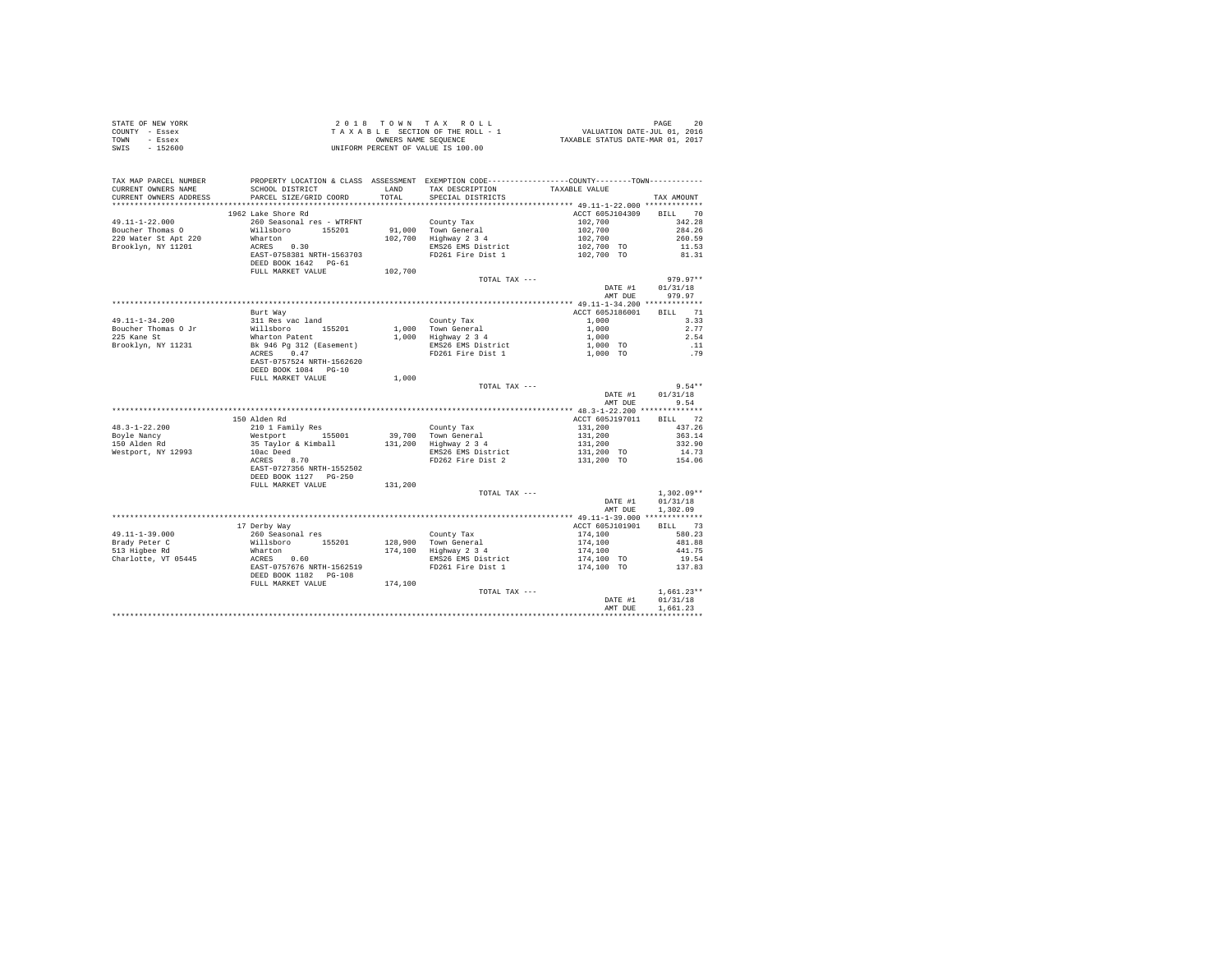|                | STATE OF NEW YORK | 2018 TOWN TAX ROLL                 | 20<br>PAGE                       |
|----------------|-------------------|------------------------------------|----------------------------------|
| COUNTY - Essex |                   | TAXABLE SECTION OF THE ROLL - 1    | VALUATION DATE-JUL 01, 2016      |
| TOWN           | - Essex           | OWNERS NAME SEOUENCE               | TAXABLE STATUS DATE-MAR 01, 2017 |
| SWIS           | $-152600$         | UNIFORM PERCENT OF VALUE IS 100.00 |                                  |

| TAX MAP PARCEL NUMBER<br>CURRENT OWNERS NAME | PROPERTY LOCATION & CLASS ASSESSMENT EXEMPTION CODE---------------COUNTY-------TOWN---------<br>SCHOOL DISTRICT |         | LAND TAX DESCRIPTION                                            | TAXABLE VALUE                                                       |              |
|----------------------------------------------|-----------------------------------------------------------------------------------------------------------------|---------|-----------------------------------------------------------------|---------------------------------------------------------------------|--------------|
| CURRENT OWNERS ADDRESS                       | PARCEL SIZE/GRID COORD                                                                                          | TOTAL   | SPECIAL DISTRICTS                                               |                                                                     | TAX AMOUNT   |
|                                              | 1962 Lake Shore Rd                                                                                              |         |                                                                 | ACCT 605J104309                                                     | BILL 70      |
| 49.11-1-22.000                               | 260 Seasonal res - WTRFNT                                                                                       |         | County Tax                                                      | 102,700                                                             | 342.28       |
| Boucher Thomas O                             |                                                                                                                 |         |                                                                 |                                                                     | 284.26       |
| 220 Water St Apt 220                         | Willsboro 155201<br>Wharton                                                                                     |         | 91,000 Town General<br>102,700 Highway 2 3 4                    |                                                                     | 260.59       |
| Brooklyn, NY 11201                           | ACRES 0.30                                                                                                      |         | EMS26 EMS District                                              |                                                                     | 11.53        |
|                                              | EAST-0758381 NRTH-1563703                                                                                       |         | FD261 Fire Dist 1                                               | $102,700$<br>$102,700$<br>$102,700$<br>$102,700$ TO<br>$102,700$ TO | 81.31        |
|                                              | DEED BOOK 1642 PG-61<br>FULL MARKET VALUE                                                                       | 102,700 |                                                                 |                                                                     |              |
|                                              |                                                                                                                 |         | TOTAL TAX ---                                                   |                                                                     | $979.97**$   |
|                                              |                                                                                                                 |         |                                                                 | DATE #1                                                             | 01/31/18     |
|                                              |                                                                                                                 |         |                                                                 | AMT DUE                                                             | 979.97       |
|                                              |                                                                                                                 |         |                                                                 |                                                                     |              |
|                                              | Burt Way                                                                                                        |         |                                                                 | ACCT 605J186001                                                     | BILL 71      |
| 49.11-1-34.200                               | 311 Res vac land                                                                                                |         | County Tax                                                      | 1,000                                                               | 3.33         |
| Boucher Thomas O Jr                          | willsboro 155201<br>Wharton Patent<br>Bk 946 Pg 312 (Easement)                                                  |         | 1,000 Town General                                              | 1,000                                                               | 2.77         |
| 225 Kane St                                  |                                                                                                                 |         | 1,000 Town Generai<br>1,000 Highway 2 3 4<br>EMS26 EMS District |                                                                     | 2.54         |
| Brooklyn, NY 11231                           |                                                                                                                 |         |                                                                 | $1,000$<br>$1,000$ TO                                               | $\ldots$ 11  |
|                                              | ACRES 0.47                                                                                                      |         | FD261 Fire Dist 1                                               | 1,000 TO                                                            | .79          |
|                                              | EAST-0757524 NRTH-1562620                                                                                       |         |                                                                 |                                                                     |              |
|                                              | DEED BOOK 1084 PG-10                                                                                            |         |                                                                 |                                                                     |              |
|                                              | FULL MARKET VALUE                                                                                               | 1,000   |                                                                 |                                                                     |              |
|                                              |                                                                                                                 |         | TOTAL TAX ---                                                   |                                                                     | $9.54**$     |
|                                              |                                                                                                                 |         |                                                                 | DATE #1                                                             | 01/31/18     |
|                                              |                                                                                                                 |         |                                                                 | AMT DUE                                                             | 9.54         |
|                                              |                                                                                                                 |         |                                                                 |                                                                     |              |
|                                              | 150 Alden Rd                                                                                                    |         |                                                                 | ACCT 605J197011                                                     | BILL 72      |
| $48.3 - 1 - 22.200$                          | 210 1 Family Res<br>Westport 155001<br>35 Taylor & Kimball                                                      |         | County Tax                                                      |                                                                     | 437.26       |
| Boyle Nancy                                  |                                                                                                                 |         | 39,700 Town General                                             |                                                                     | 363.14       |
| 150 Alden Rd                                 |                                                                                                                 |         | 131,200 Highway 2 3 4                                           | 131,200<br>131,200<br>131,200<br>131,200 TO                         | 332.90       |
| Westport, NY 12993                           | 10ac Deed<br>ACRES 8.70                                                                                         |         | EMS26 EMS District                                              |                                                                     | 14.73        |
|                                              |                                                                                                                 |         | FD262 Fire Dist 2                                               | 131,200 TO                                                          | 154.06       |
|                                              | EAST-0727356 NRTH-1552502                                                                                       |         |                                                                 |                                                                     |              |
|                                              | DEED BOOK 1127 PG-250                                                                                           |         |                                                                 |                                                                     |              |
|                                              | FULL MARKET VALUE                                                                                               | 131,200 | TOTAL TAX ---                                                   |                                                                     | $1.302.09**$ |
|                                              |                                                                                                                 |         |                                                                 | DATE #1                                                             | 01/31/18     |
|                                              |                                                                                                                 |         |                                                                 | AMT DUE                                                             | 1,302.09     |
|                                              |                                                                                                                 |         |                                                                 |                                                                     |              |
|                                              | 17 Derby Way                                                                                                    |         |                                                                 | ACCT 605J101901                                                     | BILL 73      |
| 49.11-1-39.000                               | ----, ,<br>260 Seasonal res<br>Willsboro 155201<br>Wharton 0.60<br>ACRES 0.60                                   |         | County Tax                                                      |                                                                     | 580.23       |
| Brady Peter C                                |                                                                                                                 |         | 128,900 Town General                                            | $174,100$<br>$174,100$<br>$174,100$<br>$174,100$ TO                 | 481.88       |
| 513 Higbee Rd                                |                                                                                                                 |         | 174,100 Highway 2 3 4                                           |                                                                     | 441.75       |
| Charlotte, VT 05445                          |                                                                                                                 |         | EMS26 EMS District                                              |                                                                     | 19.54        |
|                                              | EAST-0757676 NRTH-1562519                                                                                       |         | FD261 Fire Dist 1                                               | 174,100 TO                                                          | 137.83       |
|                                              | DEED BOOK 1182 PG-108                                                                                           |         |                                                                 |                                                                     |              |
|                                              | FULL MARKET VALUE                                                                                               | 174,100 |                                                                 |                                                                     |              |
|                                              |                                                                                                                 |         | TOTAL TAX ---                                                   |                                                                     | $1,661.23**$ |
|                                              |                                                                                                                 |         |                                                                 | DATE #1                                                             | 01/31/18     |
|                                              |                                                                                                                 |         |                                                                 | AMT DUE                                                             | 1,661.23     |
|                                              |                                                                                                                 |         |                                                                 |                                                                     |              |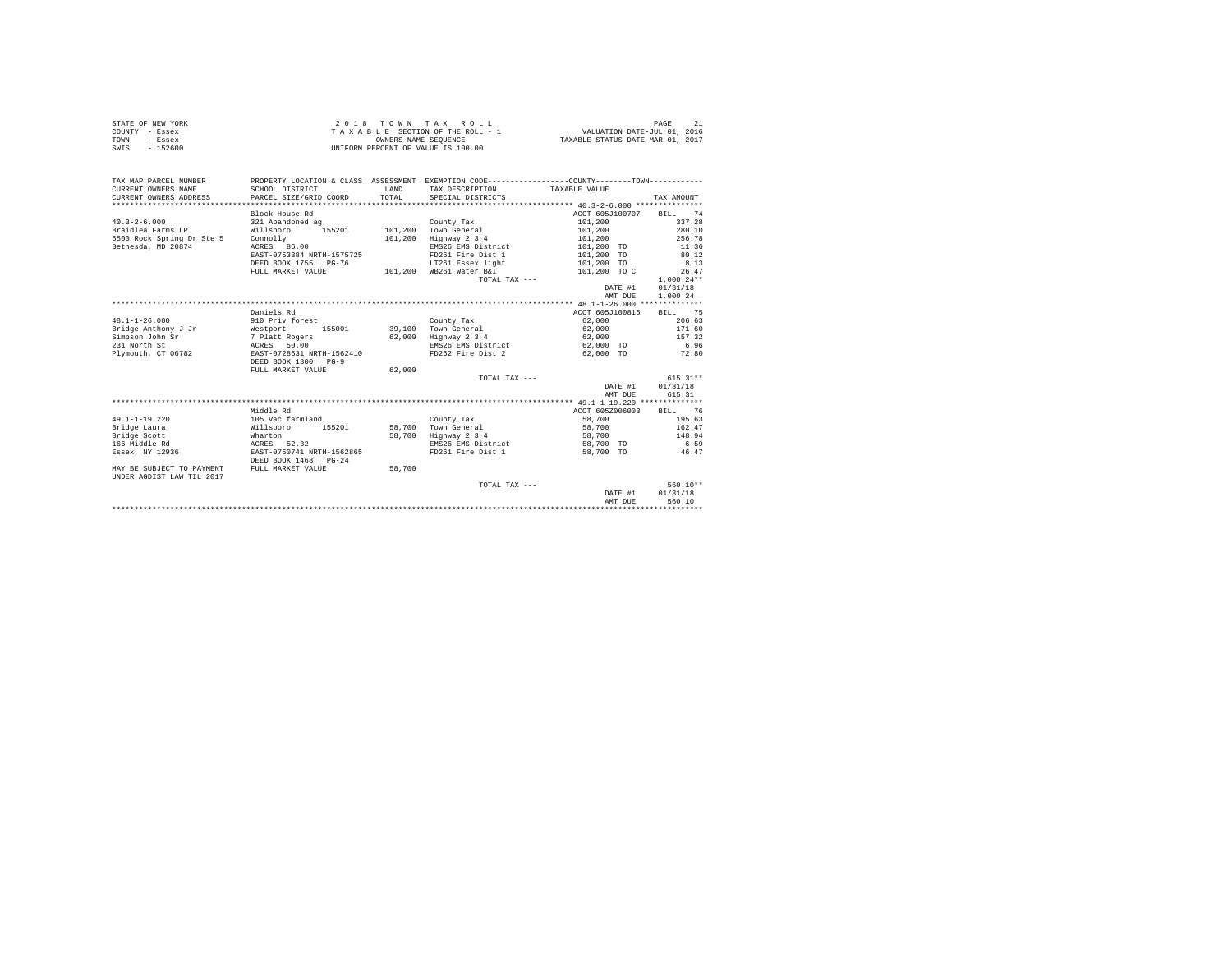|                | STATE OF NEW YORK |  |  | 2018 TOWN TAX ROLL                 |  |  |  |                                  | PAGE |  |
|----------------|-------------------|--|--|------------------------------------|--|--|--|----------------------------------|------|--|
| COUNTY - Essex |                   |  |  | TAXABLE SECTION OF THE ROLL - 1    |  |  |  | VALUATION DATE-JUL 01, 2016      |      |  |
| TOWN           | - Essex           |  |  | OWNERS NAME SEOUENCE               |  |  |  | TAXABLE STATUS DATE-MAR 01, 2017 |      |  |
| SWIS           | - 152600          |  |  | UNIFORM PERCENT OF VALUE IS 100.00 |  |  |  |                                  |      |  |

| TAX MAP PARCEL NUMBER<br>CURRENT OWNERS NAME<br>CURRENT OWNERS ADDRESS | SCHOOL DISTRICT<br>PARCEL SIZE/GRID COORD | LAND<br>TOTAL. | PROPERTY LOCATION & CLASS ASSESSMENT EXEMPTION CODE----------------COUNTY--------TOWN----------<br>TAX DESCRIPTION TAXABLE VALUE<br>SPECIAL DISTRICTS |                 | TAX AMOUNT   |
|------------------------------------------------------------------------|-------------------------------------------|----------------|-------------------------------------------------------------------------------------------------------------------------------------------------------|-----------------|--------------|
|                                                                        | Block House Rd                            |                |                                                                                                                                                       | ACCT 605J100707 | BILL 74      |
| $40.3 - 2 - 6.000$                                                     | 321 Abandoned ag                          |                | County Tax                                                                                                                                            | 101,200         | 337.28       |
| Braidlea Farms LP                                                      | Willsboro<br>155201                       |                | 101.200 Town General                                                                                                                                  | 101,200         | 280.10       |
| 6500 Rock Spring Dr Ste 5                                              | Connolly                                  | 101,200        | Highway 2 3 4                                                                                                                                         | 101,200         | 256.78       |
| Bethesda, MD 20874                                                     | ACRES 86.00                               |                | EMS26 EMS District                                                                                                                                    | 101,200 TO      | 11.36        |
|                                                                        | EAST-0753384 NRTH-1575725                 |                | FD261 Fire Dist 1                                                                                                                                     | 101,200 TO      | 80.12        |
|                                                                        | DEED BOOK 1755 PG-76                      |                | LT261 Essex light                                                                                                                                     | 101,200 TO      | 8.13         |
|                                                                        | FULL MARKET VALUE                         |                | 101,200 WB261 Water B&I                                                                                                                               | 101,200 TO C    | 26.47        |
|                                                                        |                                           |                | TOTAL TAX $---$                                                                                                                                       |                 | $1.000.24**$ |
|                                                                        |                                           |                |                                                                                                                                                       | DATE #1         | 01/31/18     |
|                                                                        |                                           |                |                                                                                                                                                       | AMT DUE         | 1,000.24     |
|                                                                        |                                           |                |                                                                                                                                                       |                 |              |
|                                                                        | Daniels Rd                                |                |                                                                                                                                                       | ACCT 605J100815 | BILL 75      |
| $48.1 - 1 - 26.000$                                                    | 910 Priv forest                           |                | County Tax                                                                                                                                            | 62,000          | 206.63       |
| Bridge Anthony J Jr                                                    | Westport 155001                           |                | 39.100 Town General                                                                                                                                   | 62,000          | 171.60       |
| Simpson John Sr                                                        | 7 Platt Rogers                            | 62,000         | Highway 2 3 4                                                                                                                                         | 62,000          | 157.32       |
| 231 North St                                                           | ACRES 50.00                               |                | EMS26 EMS District 62,000 TO                                                                                                                          |                 | 6.96         |
| Plymouth, CT 06782                                                     | EAST-0728631 NRTH-1562410                 |                | FD262 Fire Dist 2 62,000 TO 72.80                                                                                                                     |                 |              |
|                                                                        | DEED BOOK 1300 PG-9                       |                |                                                                                                                                                       |                 |              |
|                                                                        | FULL MARKET VALUE                         | 62,000         |                                                                                                                                                       |                 |              |
|                                                                        |                                           |                | TOTAL TAX ---                                                                                                                                         |                 | $615.31**$   |
|                                                                        |                                           |                |                                                                                                                                                       | DATE #1         | 01/31/18     |
|                                                                        |                                           |                |                                                                                                                                                       | AMT DUE         | 615.31       |
|                                                                        |                                           |                |                                                                                                                                                       |                 |              |
|                                                                        | Middle Rd                                 |                |                                                                                                                                                       | ACCT 605Z006003 | BILL 76      |
| $49.1 - 1 - 19.220$                                                    | 105 Vac farmland                          |                | County Tax                                                                                                                                            | 58,700          | 195.63       |
| Bridge Laura                                                           | 155201<br>Willsboro                       |                | 58,700 Town General                                                                                                                                   | 58,700          | 162.47       |
| Bridge Scott                                                           | Wharton                                   | 58,700         | Highway 2 3 4                                                                                                                                         | 58,700          | 148.94       |
| 166 Middle Rd                                                          | ACRES 52.32                               |                | EMS26 EMS District                                                                                                                                    | 58,700 TO       | 6.59         |
| Essex, NY 12936                                                        | EAST-0750741 NRTH-1562865                 |                | FD261 Fire Dist 1                                                                                                                                     | 58,700 TO       | 46.47        |
|                                                                        | DEED BOOK 1468 PG-24                      |                |                                                                                                                                                       |                 |              |
| MAY BE SUBJECT TO PAYMENT<br>UNDER AGDIST LAW TIL 2017                 | FULL MARKET VALUE                         | 58,700         |                                                                                                                                                       |                 |              |
|                                                                        |                                           |                | TOTAL TAX ---                                                                                                                                         |                 | $560.10**$   |
|                                                                        |                                           |                |                                                                                                                                                       | DATE #1         | 01/31/18     |
|                                                                        |                                           |                |                                                                                                                                                       | AMT DUE         | 560.10       |
|                                                                        |                                           |                |                                                                                                                                                       |                 |              |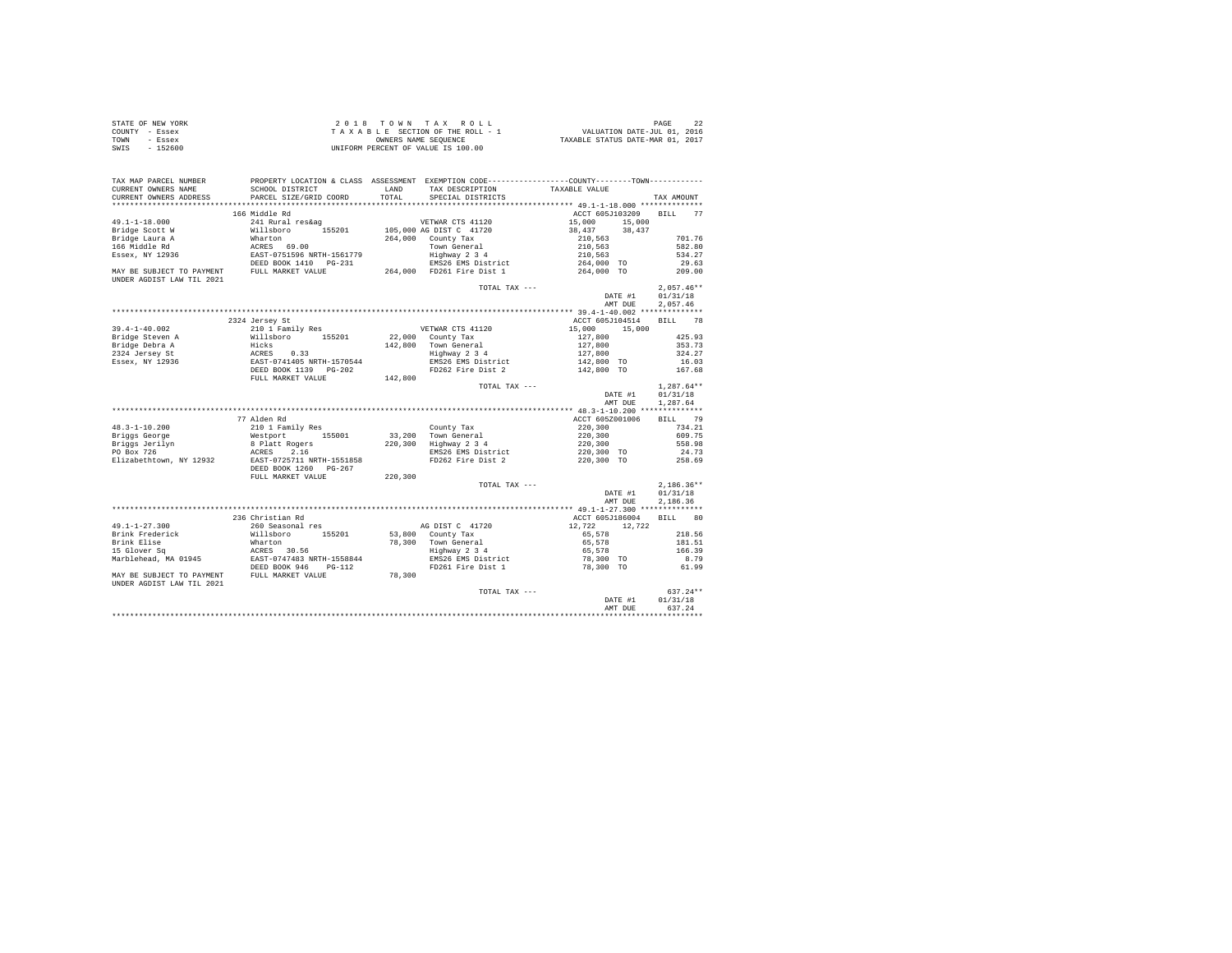| STATE OF NEW YORK | 2018 TOWN TAX ROLL                 | PAGE                             |
|-------------------|------------------------------------|----------------------------------|
| COUNTY - Essex    | TAXABLE SECTION OF THE ROLL - 1    | VALUATION DATE-JUL 01, 2016      |
| TOWN<br>- Essex   | OWNERS NAME SEOUENCE               | TAXABLE STATUS DATE-MAR 01, 2017 |
| $-152600$<br>SWIS | UNIFORM PERCENT OF VALUE IS 100.00 |                                  |

| TAX MAP PARCEL NUMBER                                  |                                                                                                                                                                                                            |         |                                                                       | PROPERTY LOCATION & CLASS ASSESSMENT EXEMPTION CODE----------------COUNTY--------TOWN---------- |                   |
|--------------------------------------------------------|------------------------------------------------------------------------------------------------------------------------------------------------------------------------------------------------------------|---------|-----------------------------------------------------------------------|-------------------------------------------------------------------------------------------------|-------------------|
| CURRENT OWNERS NAME                                    | SCHOOL DISTRICT                                                                                                                                                                                            | LAND    | TAX DESCRIPTION                                                       | TAXABLE VALUE                                                                                   |                   |
| CURRENT OWNERS ADDRESS<br>                             | PARCEL SIZE/GRID COORD<br>*****************************                                                                                                                                                    | TOTAL   | SPECIAL DISTRICTS                                                     |                                                                                                 | TAX AMOUNT        |
|                                                        |                                                                                                                                                                                                            |         |                                                                       |                                                                                                 |                   |
|                                                        | 166 Middle Rd                                                                                                                                                                                              |         |                                                                       | ACCT 605J103209                                                                                 | <b>BILL</b><br>77 |
| $49.1 - 1 - 18.000$                                    | 241 Rural res&ag                                                                                                                                                                                           |         | VETWAR CTS 41120                                                      | 15,000 15,000<br>38,437 38,437                                                                  |                   |
| Bridge Scott W                                         | Willsboro 155201                                                                                                                                                                                           |         | 105,000 AG DIST C 41720                                               |                                                                                                 |                   |
| Bridge Laura A                                         | Wharton                                                                                                                                                                                                    |         | 264,000 County Tax                                                    | 210,563                                                                                         | 701.76            |
| 166 Middle Rd<br>Essex, NY 12936                       | ACRES 69.00<br>EAST-0751596 NRTH-1561779                                                                                                                                                                   |         | Town General<br>Highway 2 3 4                                         | 210,563<br>210, 563                                                                             | 582.80            |
|                                                        |                                                                                                                                                                                                            |         |                                                                       |                                                                                                 | 534.27<br>29.63   |
|                                                        | DEED BOOK 1410 PG-231<br>FULL MARKET VALUE                                                                                                                                                                 |         | EMS26 EMS District 264,000 TO<br>264,000 FD261 Fire Dist 1 264,000 TO |                                                                                                 | 209.00            |
| MAY BE SUBJECT TO PAYMENT<br>UNDER AGDIST LAW TIL 2021 |                                                                                                                                                                                                            |         |                                                                       |                                                                                                 |                   |
|                                                        |                                                                                                                                                                                                            |         | TOTAL TAX ---                                                         |                                                                                                 | $2,057.46**$      |
|                                                        |                                                                                                                                                                                                            |         |                                                                       | DATE #1                                                                                         | 01/31/18          |
|                                                        |                                                                                                                                                                                                            |         |                                                                       | AMT DUE                                                                                         | 2,057.46          |
|                                                        |                                                                                                                                                                                                            |         |                                                                       |                                                                                                 |                   |
|                                                        | 2324 Jersey St                                                                                                                                                                                             |         |                                                                       | ACCT 605J104514                                                                                 | <b>BILL</b><br>78 |
| $39.4 - 1 - 40.002$                                    | 210 1 Family Res                                                                                                                                                                                           |         | VETWAR CTS 41120                                                      | 15,000 15,000                                                                                   |                   |
|                                                        |                                                                                                                                                                                                            |         | 22,000 County Tax                                                     | 127,800                                                                                         | 425.93            |
|                                                        | 1991 - 1991 - 1992<br>1992 Steven A Hicks<br>2324 Jersey A Hicks<br>2324 Jersey St<br>2324 Jersey St<br>2324 Jersey St<br>2324 Jersey St<br>2324 Jersey St<br>2324 Jersey St<br>2326 DEED BOOK 1139 PG-202 |         | 142.800 Town General                                                  | 127,800                                                                                         | 353.73            |
|                                                        |                                                                                                                                                                                                            |         | ı∪wn ⊌enera⊥<br>Highway 2 3 4                                         | 127,800                                                                                         | 324.27            |
|                                                        |                                                                                                                                                                                                            |         | EMS26 EMS District                                                    | $142,800$ TO                                                                                    | 16.03             |
|                                                        |                                                                                                                                                                                                            |         | FD262 Fire Dist 2                                                     | 142,800 TO                                                                                      | 167.68            |
|                                                        | FULL MARKET VALUE                                                                                                                                                                                          | 142,800 |                                                                       |                                                                                                 |                   |
|                                                        |                                                                                                                                                                                                            |         | TOTAL TAX ---                                                         |                                                                                                 | $1,287.64**$      |
|                                                        |                                                                                                                                                                                                            |         |                                                                       | DATE #1                                                                                         | 01/31/18          |
|                                                        |                                                                                                                                                                                                            |         |                                                                       | AMT DUE                                                                                         | 1,287.64          |
|                                                        |                                                                                                                                                                                                            |         |                                                                       |                                                                                                 |                   |
|                                                        | 77 Alden Rd                                                                                                                                                                                                |         |                                                                       | ACCT 605Z001006                                                                                 | BILL 79           |
| $48.3 - 1 - 10.200$                                    |                                                                                                                                                                                                            |         | County Tax                                                            | 220.300                                                                                         | 734.21            |
| Briggs George                                          | 210 1 Family Res<br>Westport 155001<br>8 Platt Rogers<br>ACRES 2.16                                                                                                                                        |         |                                                                       | 220,300                                                                                         | 609.75            |
| Briggs Jerilyn<br>PO Box 726                           |                                                                                                                                                                                                            |         | 33,200 Town General<br>220,300 Highway 2 3 4                          | 220,300                                                                                         | 558.98            |
|                                                        |                                                                                                                                                                                                            |         | EMS26 EMS District                                                    | 220,300 TO                                                                                      | 24.73             |
| Elizabethtown, NY 12932                                | EAST-0725711 NRTH-1551858                                                                                                                                                                                  |         | FD262 Fire Dist 2                                                     | 220,300 TO                                                                                      | 258.69            |
|                                                        | DEED BOOK 1260 PG-267                                                                                                                                                                                      |         |                                                                       |                                                                                                 |                   |
|                                                        | FULL MARKET VALUE                                                                                                                                                                                          | 220,300 |                                                                       |                                                                                                 |                   |
|                                                        |                                                                                                                                                                                                            |         | TOTAL TAX ---                                                         |                                                                                                 | $2,186.36**$      |
|                                                        |                                                                                                                                                                                                            |         |                                                                       | DATE #1                                                                                         | 01/31/18          |
|                                                        |                                                                                                                                                                                                            |         |                                                                       | AMT DUE                                                                                         | 2,186.36          |
|                                                        |                                                                                                                                                                                                            |         |                                                                       |                                                                                                 |                   |
|                                                        | 236 Christian Rd                                                                                                                                                                                           |         |                                                                       | ACCT 605J186004                                                                                 | <b>BILL</b><br>80 |
| $49.1 - 1 - 27.300$                                    | 260 Seasonal res                                                                                                                                                                                           |         | AG DIST C 41720                                                       | 12,722 12,722                                                                                   |                   |
| Brink Frederick                                        | Willsboro 155201                                                                                                                                                                                           |         | 53,800 County Tax                                                     | 65,578                                                                                          | 218.56            |
| Brink Elise                                            |                                                                                                                                                                                                            |         | 78,300 Town General<br>Highway 2 3 4<br>EMS26 EMS District            | 65,578                                                                                          | 181.51            |
| 15 Glover Sa                                           |                                                                                                                                                                                                            |         |                                                                       | 65,578<br>78,300 TO                                                                             | 166.39            |
| Marblehead, MA 01945                                   |                                                                                                                                                                                                            |         |                                                                       |                                                                                                 | 8.79              |
|                                                        |                                                                                                                                                                                                            |         | FD261 Fire Dist 1                                                     | 78,300 TO                                                                                       | 61.99             |
|                                                        | MAY BE SUBJECT TO PAYMENT FULL MARKET VALUE 78,300                                                                                                                                                         |         |                                                                       |                                                                                                 |                   |
| UNDER AGDIST LAW TIL 2021                              |                                                                                                                                                                                                            |         |                                                                       |                                                                                                 |                   |
|                                                        |                                                                                                                                                                                                            |         | TOTAL TAX ---                                                         |                                                                                                 | $637.24**$        |
|                                                        |                                                                                                                                                                                                            |         |                                                                       | DATE #1                                                                                         | 01/31/18          |
|                                                        |                                                                                                                                                                                                            |         |                                                                       | AMT DUE                                                                                         | 637.24            |
|                                                        |                                                                                                                                                                                                            |         |                                                                       | ************************************                                                            |                   |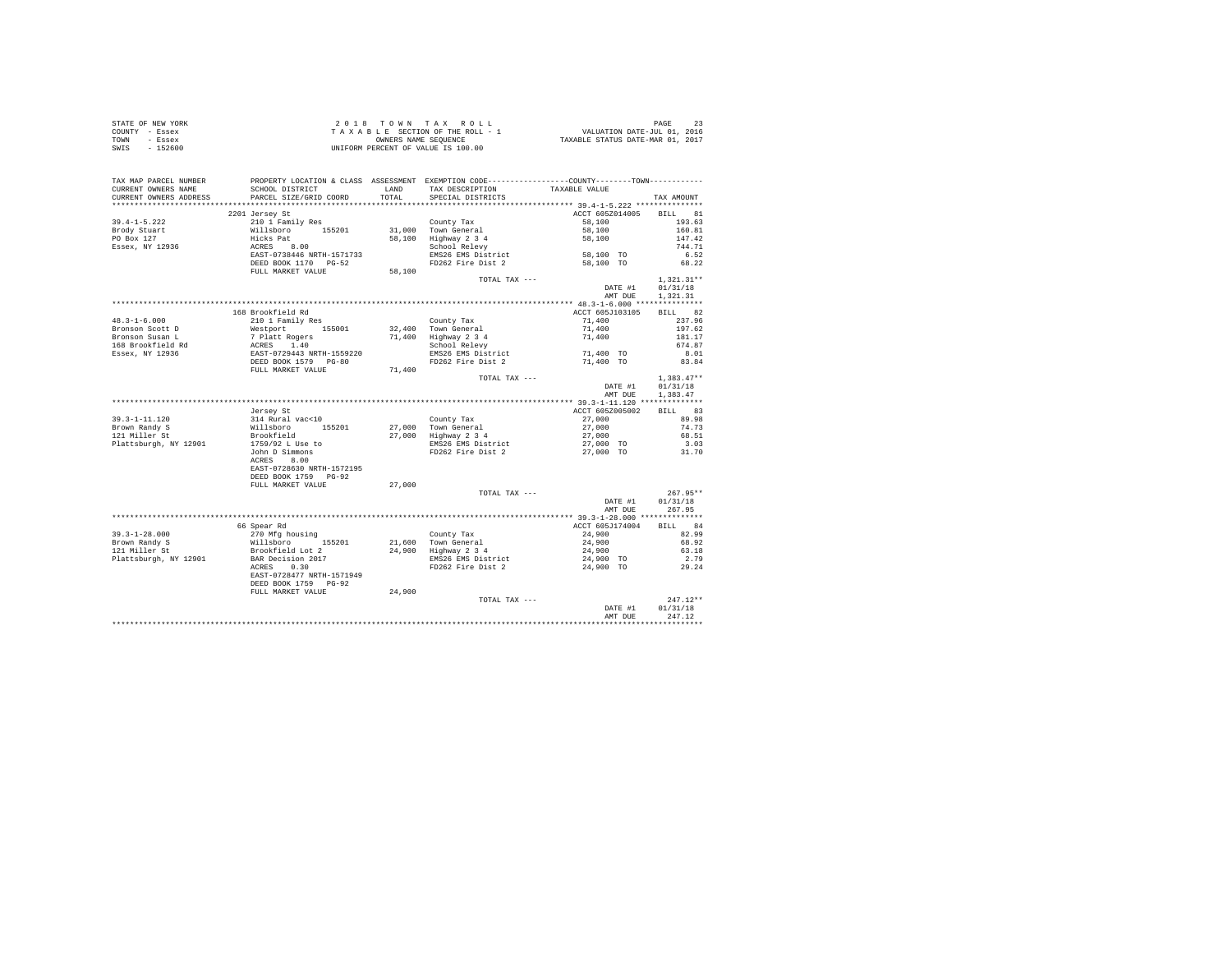|      | STATE OF NEW YORK | 2018 TOWN TAX ROLL                 | PAGE                             |
|------|-------------------|------------------------------------|----------------------------------|
|      | COUNTY - Essex    | TAXABLE SECTION OF THE ROLL - 1    | VALUATION DATE-JUL 01, 2016      |
| TOWN | - Essex           | OWNERS NAME SEOUENCE               | TAXABLE STATUS DATE-MAR 01, 2017 |
| SWIS | - 152600          | UNIFORM PERCENT OF VALUE IS 100.00 |                                  |

| TAX MAP PARCEL NUMBER<br>CURRENT OWNERS NAME | SCHOOL DISTRICT                                                                                                      |        | PROPERTY LOCATION & CLASS ASSESSMENT EXEMPTION CODE---------------COUNTY-------TOWN---------<br>LAND TAX DESCRIPTION | TAXABLE VALUE      |              |
|----------------------------------------------|----------------------------------------------------------------------------------------------------------------------|--------|----------------------------------------------------------------------------------------------------------------------|--------------------|--------------|
| CURRENT OWNERS ADDRESS                       | PARCEL SIZE/GRID COORD                                                                                               | TOTAL  | SPECIAL DISTRICTS                                                                                                    |                    | TAX AMOUNT   |
|                                              |                                                                                                                      |        |                                                                                                                      |                    |              |
|                                              | 2201 Jersey St                                                                                                       |        |                                                                                                                      | ACCT 605Z014005    | BILL 81      |
| $39.4 - 1 - 5.222$                           | 210 1 Family Res<br>Willaboro 155201<br>Hicks Pat<br>RCRES 8.00<br>EAST-0738446 NRTH-1571733<br>DEED BOOK 1170 PG-52 |        | County Tax                                                                                                           | 58,100             | 193.63       |
| Brody Stuart                                 |                                                                                                                      |        |                                                                                                                      | 58,100             | 160.81       |
| PO Box 127                                   |                                                                                                                      |        | 31,000 Town General<br>58,100 Highway 2 3 4                                                                          | 58,100             | 147.42       |
| Essex, NY 12936                              |                                                                                                                      |        | School Relevy                                                                                                        |                    | 744.71       |
|                                              |                                                                                                                      |        | EMS26 EMS District                                                                                                   | $58,100$ TO        | 6.52         |
|                                              |                                                                                                                      |        | FD262 Fire Dist 2                                                                                                    | 58,100 TO          | 68.22        |
|                                              | FULL MARKET VALUE                                                                                                    | 58,100 |                                                                                                                      |                    |              |
|                                              |                                                                                                                      |        | TOTAL TAX ---                                                                                                        |                    | $1,321.31**$ |
|                                              |                                                                                                                      |        |                                                                                                                      | DATE #1            | 01/31/18     |
|                                              |                                                                                                                      |        |                                                                                                                      | AMT DUE            | 1,321,31     |
|                                              |                                                                                                                      |        |                                                                                                                      |                    |              |
|                                              | 168 Brookfield Rd                                                                                                    |        |                                                                                                                      | ACCT 605J103105    | BILL 82      |
| $48.3 - 1 - 6.000$                           | 210 1 Family Res                                                                                                     |        | County Tax                                                                                                           | 71,400             | 237.96       |
| Bronson Scott D                              |                                                                                                                      |        | 32,400 Town General                                                                                                  | 71,400             | 197.62       |
| Bronson Susan L                              | westport 155001<br>7 Platt Rogers<br>ACRES 1.40<br>EAST-0729443 NRTH-1559220<br>DEED BOOK 1579 PG-80                 |        |                                                                                                                      | 71,400             | 181.17       |
|                                              |                                                                                                                      |        | 71,400 Highway 2 3 4<br>School Relevy                                                                                |                    | 674.87       |
| 168 Brookfield Rd<br>Essex, NY 12936         |                                                                                                                      |        | EMS26 EMS District                                                                                                   | 71,400 TO          |              |
|                                              |                                                                                                                      |        | FD262 Fire Dist 2                                                                                                    |                    | 8.01         |
|                                              |                                                                                                                      |        |                                                                                                                      | 71,400 TO          | 83.84        |
|                                              | FULL MARKET VALUE                                                                                                    | 71,400 |                                                                                                                      |                    |              |
|                                              |                                                                                                                      |        | TOTAL TAX ---                                                                                                        |                    | $1,383.47**$ |
|                                              |                                                                                                                      |        |                                                                                                                      | DATE #1            | 01/31/18     |
|                                              |                                                                                                                      |        |                                                                                                                      | AMT DUE            | 1,383.47     |
|                                              |                                                                                                                      |        |                                                                                                                      |                    |              |
|                                              | Jersey St                                                                                                            |        |                                                                                                                      | ACCT 605Z005002    | BILL 83      |
| $39.3 - 1 - 11.120$                          | 314 Rural vac<10<br>Willsboro 155201<br>Brookfield                                                                   |        | County Tax<br>27,000  Town General                                                                                   | 27,000             | 89.98        |
| Brown Randy S                                |                                                                                                                      |        |                                                                                                                      | 27,000             | 74.73        |
| 121 Miller St                                |                                                                                                                      |        | 27,000 Highway 2 3 4                                                                                                 | 27,000             | 68.51        |
| Plattsburgh, NY 12901                        | 1759/92 L Use to                                                                                                     |        | EMS26 EMS District                                                                                                   | 27,000 TO          | 3.03         |
|                                              | John D Simmons                                                                                                       |        | FD262 Fire Dist 2                                                                                                    | 27,000 TO          | 31.70        |
|                                              | ACRES 8.00                                                                                                           |        |                                                                                                                      |                    |              |
|                                              | EAST-0728630 NRTH-1572195                                                                                            |        |                                                                                                                      |                    |              |
|                                              | DEED BOOK 1759 PG-92                                                                                                 |        |                                                                                                                      |                    |              |
|                                              | FULL MARKET VALUE                                                                                                    | 27,000 |                                                                                                                      |                    |              |
|                                              |                                                                                                                      |        | TOTAL TAX ---                                                                                                        |                    | $267.95**$   |
|                                              |                                                                                                                      |        |                                                                                                                      | DATE #1            | 01/31/18     |
|                                              |                                                                                                                      |        |                                                                                                                      | AMT DUE            | 267.95       |
|                                              |                                                                                                                      |        |                                                                                                                      |                    |              |
|                                              | 66 Spear Rd                                                                                                          |        |                                                                                                                      | ACCT 605J174004    | BILL 84      |
| $39.3 - 1 - 28.000$                          |                                                                                                                      |        | County Tax                                                                                                           | 24,900             | 82.99        |
| Brown Randy S                                |                                                                                                                      |        | 21,600 Town General                                                                                                  | 24,900             | 68.92        |
| 121 Miller St                                | 270 Mfg housing<br>Willsboro 155201<br>Brookfield Lot 2                                                              |        | 24,900 Highway 2 3 4                                                                                                 | 24,900             | 63.18        |
| Plattsburgh, NY 12901                        | BAR Decision 2017                                                                                                    |        | EMS26 EMS District                                                                                                   | 24,900 TO          | 2.79         |
|                                              | ACRES 0.30                                                                                                           |        | FD262 Fire Dist 2                                                                                                    | 24,900 TO          | 29.24        |
|                                              | EAST-0728477 NRTH-1571949                                                                                            |        |                                                                                                                      |                    |              |
|                                              | DEED BOOK 1759 PG-92                                                                                                 |        |                                                                                                                      |                    |              |
|                                              | FULL MARKET VALUE                                                                                                    |        |                                                                                                                      |                    |              |
|                                              |                                                                                                                      | 24,900 | TOTAL TAX ---                                                                                                        |                    | $247.12**$   |
|                                              |                                                                                                                      |        |                                                                                                                      | $\texttt{DATE}$ #1 |              |
|                                              |                                                                                                                      |        |                                                                                                                      |                    | 01/31/18     |
|                                              |                                                                                                                      |        |                                                                                                                      | AMT DUE            | 247.12       |
|                                              |                                                                                                                      |        |                                                                                                                      |                    |              |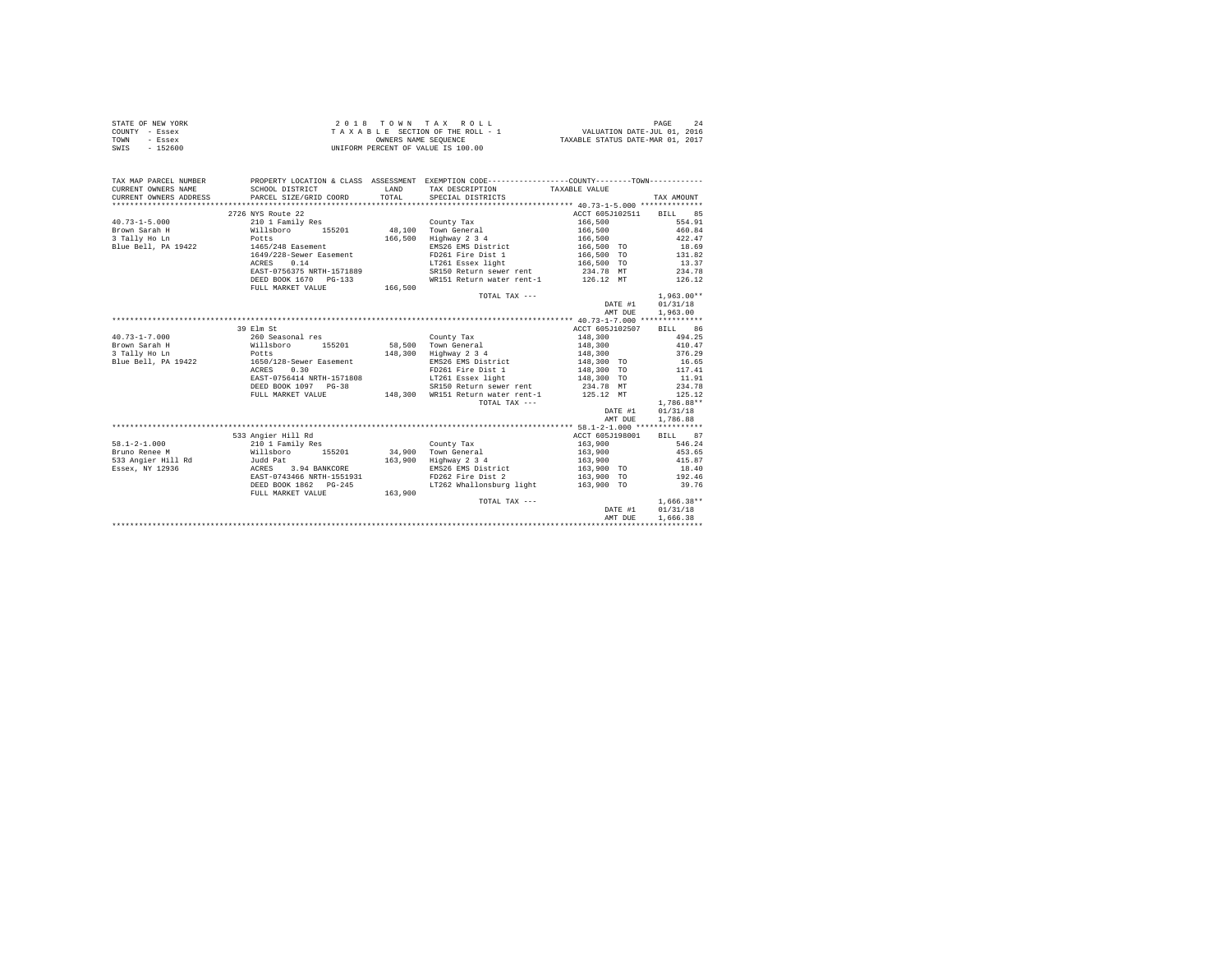| STATE OF NEW YORK | 2018 TOWN TAX ROLL                 | PAGE                             |
|-------------------|------------------------------------|----------------------------------|
| COUNTY - Essex    | TAXABLE SECTION OF THE ROLL - 1    | VALUATION DATE-JUL 01, 2016      |
| TOWN<br>- Essex   | OWNERS NAME SEOUENCE               | TAXABLE STATUS DATE-MAR 01, 2017 |
| $-152600$<br>SWIS | UNIFORM PERCENT OF VALUE IS 100.00 |                                  |

| TAX MAP PARCEL NUMBER                         | PROPERTY LOCATION & CLASS ASSESSMENT EXEMPTION CODE---------------COUNTY--------TOWN---------- |         |                                             |                                     |                  |
|-----------------------------------------------|------------------------------------------------------------------------------------------------|---------|---------------------------------------------|-------------------------------------|------------------|
| CURRENT OWNERS NAME                           | SCHOOL DISTRICT                                                                                | LAND    | TAX DESCRIPTION                             | TAXABLE VALUE                       |                  |
| CURRENT OWNERS ADDRESS PARCEL SIZE/GRID COORD |                                                                                                | TOTAL   | SPECIAL DISTRICTS                           |                                     | TAX AMOUNT       |
|                                               |                                                                                                |         |                                             |                                     |                  |
|                                               | 2726 NYS Route 22                                                                              |         |                                             | ACCT 605J102511 BILL 85             |                  |
| $40.73 - 1 - 5.000$                           | 210 1 Family Res                                                                               |         | County Tax                                  | 166,500                             | 554.91           |
| Brown Sarah H                                 | Willsboro 155201 48,100 Town General                                                           |         |                                             | 166,500                             | 460.84           |
| 3 Tally Ho Ln                                 | Potts<br>19422 1465/248 Easement                                                               | 166,500 | Highway 2 3 4                               | 166,500                             | 422.47           |
| Blue Bell, PA 19422                           |                                                                                                |         | EMS26 EMS District                          | 166,500 TO<br>166,500 TO            | 18.69            |
|                                               | 1649/228-Sewer Easement                                                                        |         | FD261 Fire Dist 1                           |                                     | 131.82           |
|                                               | 0.14<br>ACRES                                                                                  |         |                                             | LT261 Essex light 166,500 TO        | 13.37            |
|                                               | EAST-0756375 NRTH-1571889                                                                      |         |                                             | SR150 Return sewer rent 234.78 MT   | 234.78           |
|                                               | DEED BOOK 1670 PG-133                                                                          |         |                                             | WR151 Return water rent-1 126.12 MT | 126.12           |
|                                               | FULL MARKET VALUE                                                                              | 166,500 |                                             |                                     |                  |
|                                               |                                                                                                |         | TOTAL TAX ---                               |                                     | $1,963.00**$     |
|                                               |                                                                                                |         |                                             | DATE #1                             | 01/31/18         |
|                                               |                                                                                                |         |                                             |                                     | AMT DUE 1,963.00 |
|                                               |                                                                                                |         |                                             |                                     |                  |
|                                               | 39 Elm St                                                                                      |         |                                             | ACCT 605J102507                     | BILL 86          |
| $40.73 - 1 - 7.000$                           | 260 Seasonal res                                                                               |         | County Tax                                  | 148,300                             | 494.25           |
| Brown Sarah H                                 | Willsboro 155201<br>Potts                                                                      |         | 58.500 Town General                         | 148,300                             | 410.47           |
| 3 Tally Ho Ln                                 |                                                                                                |         | 148,300 Highway 2 3 4                       | 148,300                             | 376.29           |
| Blue Bell, PA 19422 1650/128-Sewer Easement   |                                                                                                |         | EMS26 EMS District                          | 148,300 TO                          | 16.65            |
|                                               | 0.30<br>ACRES                                                                                  |         | FD261 Fire Dist 1                           |                                     | 117.41           |
|                                               | EAST-0756414 NRTH-1571808                                                                      |         | LT261 Essex light                           | 148,300 TO<br>148,300 TO            | 11.91            |
|                                               | DEED BOOK 1097 PG-38                                                                           |         | SR150 Return sewer rent 234.78 MT           |                                     | 234.78           |
|                                               | FULL MARKET VALUE                                                                              |         | 148,300 WR151 Return water rent-1 125.12 MT |                                     | 125.12           |
|                                               |                                                                                                |         | TOTAL TAX ---                               |                                     | 1,786.88**       |
|                                               |                                                                                                |         |                                             | DATE #1                             | 01/31/18         |
|                                               |                                                                                                |         |                                             | AMT DUE                             | 1,786.88         |
|                                               |                                                                                                |         |                                             |                                     |                  |
|                                               | 533 Angier Hill Rd                                                                             |         |                                             | ACCT 605J198001                     | BILL 87          |
| $58.1 - 2 - 1.000$                            | 210 1 Family Res                                                                               |         | County Tax                                  | 163,900                             | 546.24           |
| Bruno Renee M                                 | Willsboro 155201                                                                               |         | 34.900 Town General                         | 163,900 453.65                      |                  |
|                                               |                                                                                                |         | 163,900 Highway 2 3 4                       | 163,900<br>163,900 TO               | 415.87           |
|                                               |                                                                                                |         | EMS26 EMS District                          |                                     | 18.40            |
|                                               | EAST-0743466 NRTH-1551931                                                                      |         |                                             | FD262 Fire Dist 2 163,900 TO        | 192.46           |
|                                               | DEED BOOK 1862 PG-245                                                                          |         |                                             | LT262 Whallonsburg light 163,900 TO | 39.76            |
|                                               | FULL MARKET VALUE 163,900                                                                      |         |                                             |                                     |                  |
|                                               |                                                                                                |         | TOTAL TAX ---                               |                                     | $1,666.38**$     |
|                                               |                                                                                                |         |                                             | DATE #1                             | 01/31/18         |
|                                               |                                                                                                |         |                                             | AMT DUE                             | 1,666.38         |
|                                               |                                                                                                |         |                                             |                                     |                  |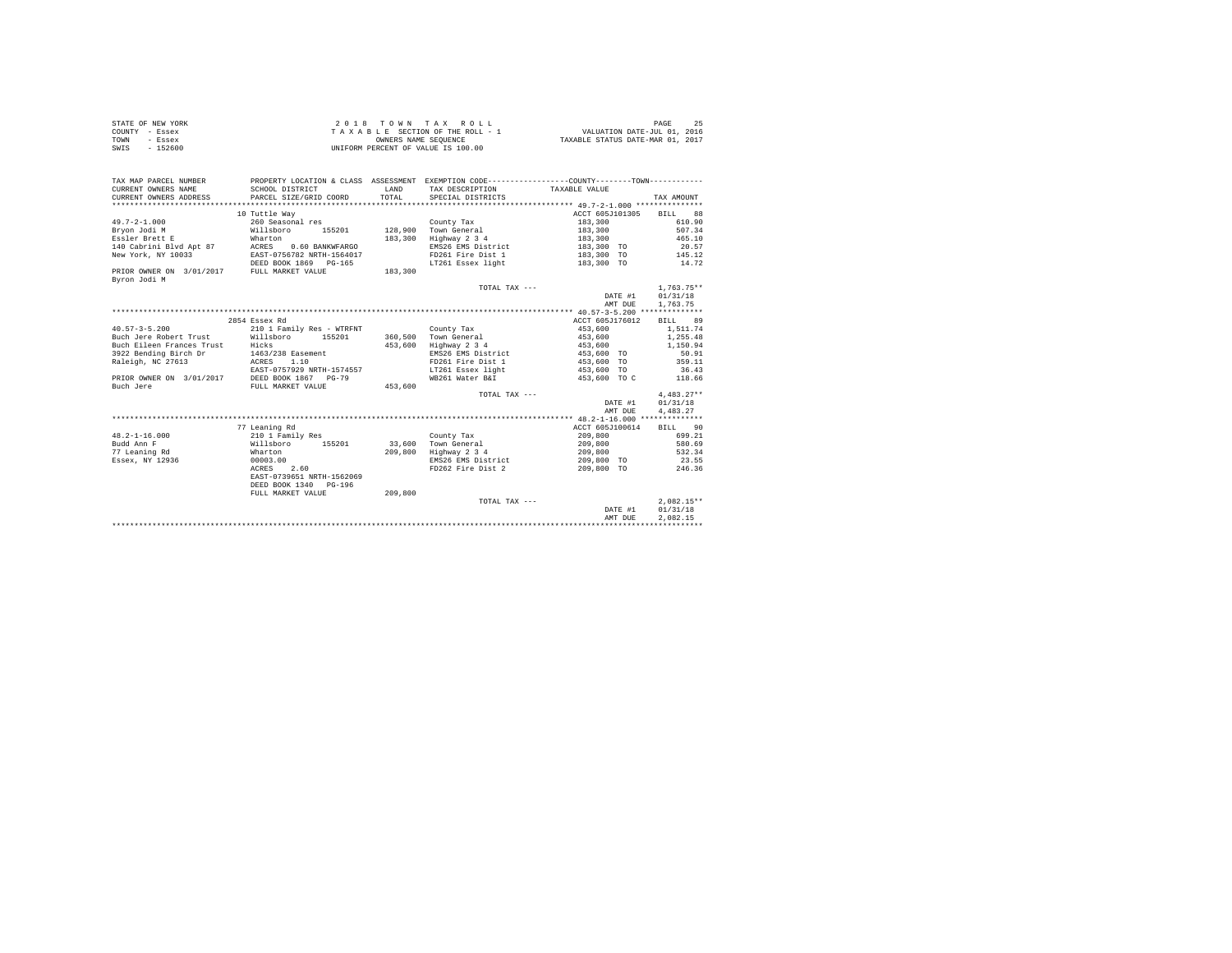| STATE OF NEW YORK | 2018 TOWN TAX ROLL                 | PAGE                             |
|-------------------|------------------------------------|----------------------------------|
| COUNTY - Essex    | TAXABLE SECTION OF THE ROLL - 1    | VALUATION DATE-JUL 01, 2016      |
| TOWN<br>- Essex   | OWNERS NAME SEOUENCE               | TAXABLE STATUS DATE-MAR 01, 2017 |
| $-152600$<br>SWIS | UNIFORM PERCENT OF VALUE IS 100.00 |                                  |

| TAX MAP PARCEL NUMBER<br>CURRENT OWNERS NAME | PROPERTY LOCATION & CLASS ASSESSMENT EXEMPTION CODE----------------COUNTY-------TOWN----------<br>SCHOOL DISTRICT | T.AND   | TAX DESCRIPTION              | TAXABLE VALUE   |              |
|----------------------------------------------|-------------------------------------------------------------------------------------------------------------------|---------|------------------------------|-----------------|--------------|
| CURRENT OWNERS ADDRESS                       | PARCEL SIZE/GRID COORD                                                                                            | TOTAL   | SPECIAL DISTRICTS            |                 | TAX AMOUNT   |
|                                              | 10 Tuttle Way                                                                                                     |         |                              | ACCT 605J101305 | BILL 88      |
| $49.7 - 2 - 1.000$                           | 260 Seasonal res                                                                                                  |         | County Tax                   | 183,300         | 610.90       |
| Bryon Jodi M                                 | 155201<br>Willsboro                                                                                               |         | 128,900 Town General         | 183,300         | 507.34       |
| Essler Brett E                               | Wharton                                                                                                           | 183,300 | Highway 2 3 4                | 183,300         | 465.10       |
| 140 Cabrini Blvd Apt 87                      |                                                                                                                   |         | EMS26 EMS District           | 183,300 TO      | 20.57        |
| New York, NY 10033                           | ACRES 0.60 BANKWFARGO<br>EAST-0756782 NRTH-1564017                                                                |         | FD261 Fire Dist 1            | 183,300 TO      | 145.12       |
|                                              | DEED BOOK 1869 PG-165                                                                                             |         | LT261 Essex light            | 183,300 TO      | 14.72        |
| PRIOR OWNER ON 3/01/2017 FULL MARKET VALUE   |                                                                                                                   | 183,300 |                              |                 |              |
| Byron Jodi M                                 |                                                                                                                   |         |                              |                 |              |
|                                              |                                                                                                                   |         | TOTAL TAX ---                |                 | $1.763.75**$ |
|                                              |                                                                                                                   |         |                              | DATE #1         | 01/31/18     |
|                                              |                                                                                                                   |         |                              | AMT DUE         | 1,763.75     |
|                                              |                                                                                                                   |         |                              |                 |              |
|                                              | 2854 Essex Rd                                                                                                     |         |                              | ACCT 605J176012 | BILL 89      |
| $40.57 - 3 - 5.200$                          | 210 1 Family Res - WTRFNT                                                                                         |         | County Tax                   | 453,600         | 1,511.74     |
| Buch Jere Robert Trust Willsboro 155201      |                                                                                                                   |         | 360.500 Town General         | 453,600         | 1,255.48     |
| Buch Eileen Frances Trust Hicks              |                                                                                                                   | 453,600 | Highway 2 3 4                | 453,600         | 1,150.94     |
| 3922 Bending Birch Dr                        | 1463/238 Easement                                                                                                 |         | EMS26 EMS District           | 453,600 TO      | 50.91        |
| Raleigh, NC 27613<br>ACRES                   | 1.10                                                                                                              |         | FD261 Fire Dist 1 453,600 TO |                 | 359.11       |
|                                              | EAST-0757929 NRTH-1574557                                                                                         |         | LT261 Essex light            | 453,600 TO      | 36.43        |
| PRIOR OWNER ON 3/01/2017                     | DEED BOOK 1867 PG-79                                                                                              |         | WB261 Water B&I              | 453,600 TO C    | 118.66       |
| Buch Jere                                    | FULL MARKET VALUE                                                                                                 | 453,600 |                              |                 |              |
|                                              |                                                                                                                   |         | TOTAL TAX ---                |                 | $4,483.27**$ |
|                                              |                                                                                                                   |         |                              | DATE #1         | 01/31/18     |
|                                              |                                                                                                                   |         |                              | AMT DUE         | 4,483.27     |
|                                              |                                                                                                                   |         |                              |                 |              |
|                                              | 77 Leaning Rd                                                                                                     |         |                              | ACCT 605J100614 | BILL 90      |
| $48.2 - 1 - 16.000$                          | 210 1 Family Res                                                                                                  |         | County Tax                   | 209,800         | 699.21       |
| Budd Ann F                                   | Willsboro<br>155201                                                                                               | 33,600  | Town General                 | 209,800         | 580.69       |
| 77 Leaning Rd                                | Wharton                                                                                                           | 209,800 | Highway 2 3 4                | 209,800         | 532.34       |
| Essex, NY 12936                              | 00003.00                                                                                                          |         | EMS26 EMS District           | 209,800 TO      | 23.55        |
|                                              | 2.60<br>ACRES                                                                                                     |         | FD262 Fire Dist 2            | 209,800 TO      | 246.36       |
|                                              | EAST-0739651 NRTH-1562069                                                                                         |         |                              |                 |              |
|                                              | DEED BOOK 1340 PG-196                                                                                             |         |                              |                 |              |
|                                              | FULL MARKET VALUE                                                                                                 | 209,800 |                              |                 |              |
|                                              |                                                                                                                   |         | TOTAL TAX ---                |                 | $2.082.15**$ |
|                                              |                                                                                                                   |         |                              | DATE #1         | 01/31/18     |
|                                              |                                                                                                                   |         |                              | AMT DUE         | 2.082.15     |
|                                              |                                                                                                                   |         |                              |                 |              |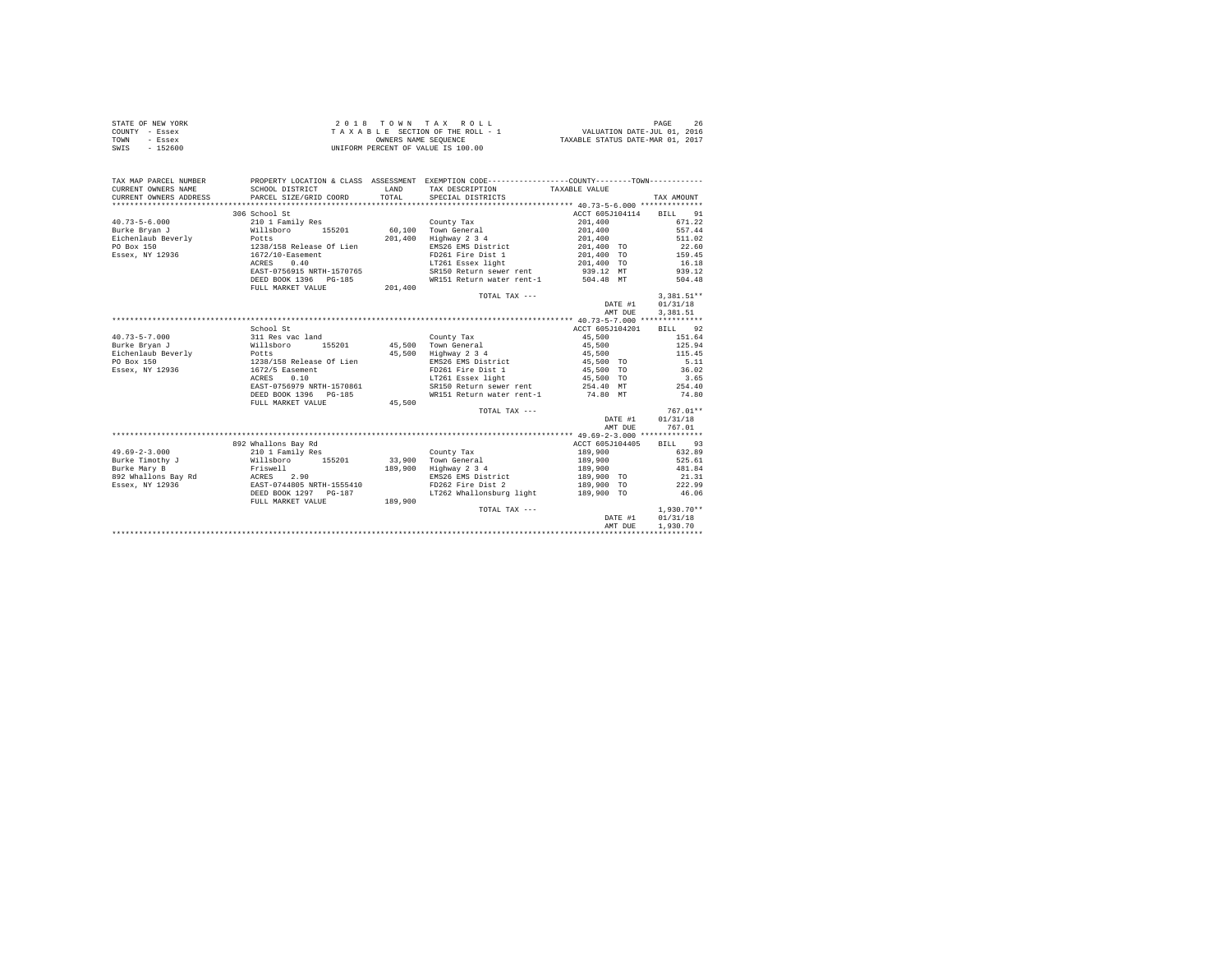| STATE OF NEW YORK | 2018 TOWN TAX ROLL                 | PAGE                             |
|-------------------|------------------------------------|----------------------------------|
| COUNTY - Essex    | TAXABLE SECTION OF THE ROLL - 1    | VALUATION DATE-JUL 01, 2016      |
| TOWN<br>- Essex   | OWNERS NAME SEOUENCE               | TAXABLE STATUS DATE-MAR 01, 2017 |
| $-152600$<br>SWIS | UNIFORM PERCENT OF VALUE IS 100.00 |                                  |

| TAX MAP PARCEL NUMBER<br>CURRENT OWNERS NAME                                                                                                                    | PROPERTY LOCATION & CLASS ASSESSMENT EXEMPTION CODE---------------COUNTY-------TOWN----------<br>SCHOOL DISTRICT | LAND    | TAX DESCRIPTION                                                                 | TAXABLE VALUE           |                 |
|-----------------------------------------------------------------------------------------------------------------------------------------------------------------|------------------------------------------------------------------------------------------------------------------|---------|---------------------------------------------------------------------------------|-------------------------|-----------------|
| CURRENT OWNERS ADDRESS                                                                                                                                          | PARCEL SIZE/GRID COORD                                                                                           | TOTAL   | SPECIAL DISTRICTS                                                               |                         | TAX AMOUNT      |
|                                                                                                                                                                 |                                                                                                                  |         |                                                                                 |                         |                 |
|                                                                                                                                                                 | 306 School St                                                                                                    |         |                                                                                 | ACCT 605J104114 BILL 91 |                 |
| $40.73 - 5 - 6.000$                                                                                                                                             | 210 1 Family Res                                                                                                 |         | County Tax                                                                      | 201,400                 | 671.22          |
| Burke Bryan J<br>Willsboro                                                                                                                                      |                                                                                                                  |         | 155201 60,100 Town General                                                      | 201.400                 | 557.44          |
|                                                                                                                                                                 |                                                                                                                  |         | 201,400 Highway 2 3 4                                                           | 201,400                 | 511.02          |
|                                                                                                                                                                 |                                                                                                                  |         | EMS26 EMS District                                                              | $201,400$ TO            | 22.60           |
| Essex, NY 12936 1672/10-Easement                                                                                                                                |                                                                                                                  |         | FD261 Fire Dist 1 201.400 TO                                                    |                         | 159.45          |
|                                                                                                                                                                 | 0.40<br>ACRES                                                                                                    |         | LT261 Essex light 201,400 TO                                                    |                         | 16.18           |
|                                                                                                                                                                 | EAST-0756915 NRTH-1570765                                                                                        |         | SR150 Return sewer rent                                                         | 939.12 MT               | 939.12          |
|                                                                                                                                                                 | DEED BOOK 1396 PG-185                                                                                            |         | WR151 Return water rent-1 504.48 MT                                             |                         | 504.48          |
|                                                                                                                                                                 | FULL MARKET VALUE                                                                                                | 201,400 |                                                                                 |                         |                 |
|                                                                                                                                                                 |                                                                                                                  |         | TOTAL TAX ---                                                                   |                         | 3,381.51**      |
|                                                                                                                                                                 |                                                                                                                  |         |                                                                                 | DATE #1                 | 01/31/18        |
|                                                                                                                                                                 |                                                                                                                  |         |                                                                                 | AMT DUE                 | 3.381.51        |
|                                                                                                                                                                 |                                                                                                                  |         |                                                                                 |                         |                 |
|                                                                                                                                                                 | School St                                                                                                        |         |                                                                                 | ACCT 605J104201         | BILL 92         |
| $40.73 - 5 - 7.000$                                                                                                                                             | 311 Res vac land                                                                                                 |         | County Tax                                                                      | 45,500                  | 151.64          |
| Burke Brvan J                                                                                                                                                   | 155201                                                                                                           |         |                                                                                 |                         | 125.94          |
| Eichenlaub Beverly                                                                                                                                              | Willsboro<br>Potts                                                                                               |         | 45,500 Town General<br>45,500 Highway 2 3 4                                     | 45,500<br>45,500        | 115.45          |
| PO Box 150                                                                                                                                                      | 1238/158 Release Of Lien                                                                                         |         | EMS26 EMS District 45,500 TO                                                    |                         | 5.11            |
| Essex, NY 12936                                                                                                                                                 | 1672/5 Easement                                                                                                  |         |                                                                                 |                         | 36.02           |
|                                                                                                                                                                 | 0.10<br>ACRES                                                                                                    |         | FD261 Fire Dist 1 45,500 TO<br>LT261 Essex light 45,500 TO<br>LT261 Essex light |                         | 3.65            |
|                                                                                                                                                                 | EAST-0756979 NRTH-1570861                                                                                        |         | SR150 Return sewer rent 254.40 MT                                               |                         | 254.40          |
|                                                                                                                                                                 | DEED BOOK 1396 PG-185                                                                                            |         | WR151 Return water rent-1 74.80 MT                                              |                         | 74.80           |
|                                                                                                                                                                 | FULL MARKET VALUE                                                                                                | 45,500  |                                                                                 |                         |                 |
|                                                                                                                                                                 |                                                                                                                  |         | TOTAL TAX ---                                                                   |                         | $767.01**$      |
|                                                                                                                                                                 |                                                                                                                  |         |                                                                                 | DATE #1                 | 01/31/18        |
|                                                                                                                                                                 |                                                                                                                  |         |                                                                                 | AMT DUE                 | 767.01          |
|                                                                                                                                                                 |                                                                                                                  |         |                                                                                 |                         |                 |
|                                                                                                                                                                 | 892 Whallons Bay Rd                                                                                              |         |                                                                                 | ACCT 605J104405         | BILL 93         |
| $49.69 - 2 - 3.000$                                                                                                                                             | 210 1 Family Res                                                                                                 |         | County Tax                                                                      | 189,900                 | 632.89          |
| Burke Timothy J                                                                                                                                                 | $x_{10}$ i $x_{20}$ i $x_{30}$ i $x_{40}$ i $x_{5201}$                                                           |         | 33,900 Town General                                                             | 189,900                 | 525.61          |
| Burke Mary B                                                                                                                                                    | Friswell                                                                                                         |         | 189,900 Highway 2 3 4                                                           | 189,900                 | 481.84          |
|                                                                                                                                                                 |                                                                                                                  |         | EMS26 EMS District 189,900 TO                                                   |                         |                 |
| $\begin{array}{lll} \texttt{892 Whallons Bay Rd} & \texttt{ACRES} & \texttt{2.90} \\ \texttt{Essex, NY 12936} & \texttt{EAST-0744805 NRTH-1555410} \end{array}$ |                                                                                                                  |         | FD262 Fire Dist 2                                                               | 189,900 TO              | 21.31<br>222.99 |
|                                                                                                                                                                 | DEED BOOK 1297 PG-187                                                                                            |         | LT262 Whallonsburg light 189,900 TO                                             |                         | 46.06           |
|                                                                                                                                                                 | FULL MARKET VALUE                                                                                                | 189.900 |                                                                                 |                         |                 |
|                                                                                                                                                                 |                                                                                                                  |         | TOTAL TAX ---                                                                   |                         | $1,930.70**$    |
|                                                                                                                                                                 |                                                                                                                  |         |                                                                                 | DATE #1                 | 01/31/18        |
|                                                                                                                                                                 |                                                                                                                  |         |                                                                                 | AMT DUE                 | 1,930.70        |
|                                                                                                                                                                 |                                                                                                                  |         |                                                                                 |                         |                 |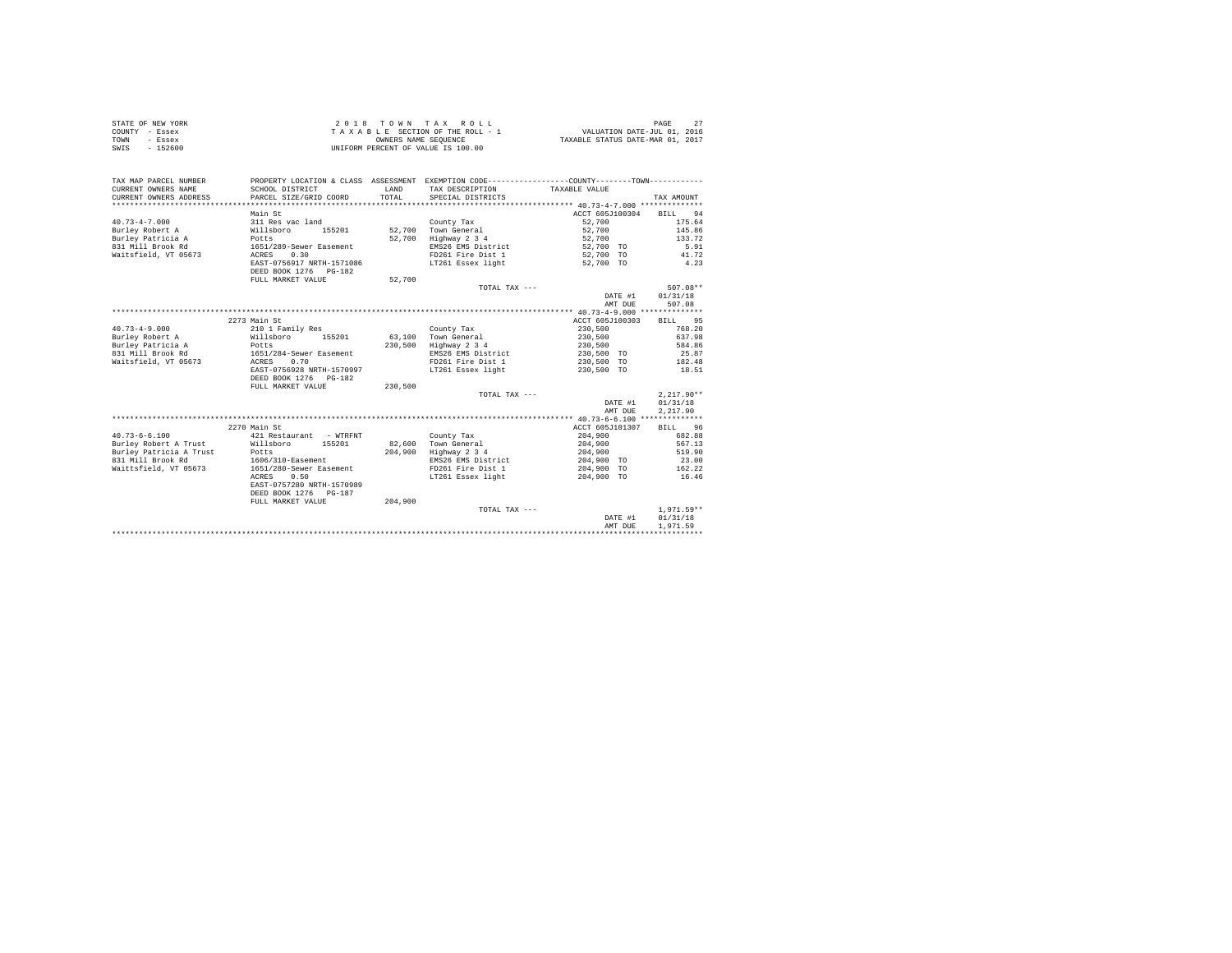| STATE OF NEW YORK | 2018 TOWN TAX ROLL                 | PAGE                             |
|-------------------|------------------------------------|----------------------------------|
| COUNTY - Essex    | TAXABLE SECTION OF THE ROLL - 1    | VALUATION DATE-JUL 01, 2016      |
| TOWN<br>- Essex   | OWNERS NAME SEOUENCE               | TAXABLE STATUS DATE-MAR 01, 2017 |
| SWIS<br>$-152600$ | UNIFORM PERCENT OF VALUE IS 100.00 |                                  |

| TAX MAP PARCEL NUMBER<br>CURRENT OWNERS NAME<br>CURRENT OWNERS ADDRESS | SCHOOL DISTRICT<br>PARCEL SIZE/GRID COORD | <b>T.AND</b><br>TOTAL | PROPERTY LOCATION & CLASS ASSESSMENT EXEMPTION CODE---------------COUNTY-------TOWN----------<br>TAX DESCRIPTION<br>SPECIAL DISTRICTS | TAXABLE VALUE   | TAX AMOUNT   |
|------------------------------------------------------------------------|-------------------------------------------|-----------------------|---------------------------------------------------------------------------------------------------------------------------------------|-----------------|--------------|
|                                                                        |                                           |                       |                                                                                                                                       | ACCT 605J100304 | BTLL.        |
|                                                                        | Main St                                   |                       |                                                                                                                                       |                 | 94           |
| $40.73 - 4 - 7.000$                                                    | 311 Res vac land                          |                       | County Tax                                                                                                                            | 52,700          | 175.64       |
| Burley Robert A                                                        | Willsboro<br>155201                       | 52,700                | Town General                                                                                                                          | 52,700          | 145.86       |
| Burley Patricia A                                                      | Potts                                     | 52,700                | Highway 2 3 4                                                                                                                         | 52,700          | 133.72       |
| 831 Mill Brook Rd                                                      | 1651/289-Sewer Easement                   |                       | EMS26 EMS District                                                                                                                    | 52,700 TO       | 5.91         |
| Waitsfield, VT 05673                                                   | 0.30<br>ACRES                             |                       | FD261 Fire Dist 1                                                                                                                     | 52,700 TO       | 41.72        |
|                                                                        | EAST-0756917 NRTH-1571086                 |                       | LT261 Essex light                                                                                                                     | 52,700 TO       | 4.23         |
|                                                                        | DEED BOOK 1276 PG-182                     |                       |                                                                                                                                       |                 |              |
|                                                                        | FULL MARKET VALUE                         | 52,700                |                                                                                                                                       |                 |              |
|                                                                        |                                           |                       | TOTAL TAX $---$                                                                                                                       |                 | $507.08**$   |
|                                                                        |                                           |                       |                                                                                                                                       | DATE #1         | 01/31/18     |
|                                                                        |                                           |                       |                                                                                                                                       | AMT DUE         | 507.08       |
|                                                                        |                                           |                       |                                                                                                                                       |                 |              |
|                                                                        | 2273 Main St                              |                       |                                                                                                                                       | ACCT 605J100303 | 95<br>BILL   |
| $40.73 - 4 - 9.000$                                                    | 210 1 Family Res                          |                       | County Tax                                                                                                                            | 230,500         | 768.20       |
| Burley Robert A                                                        | Willsboro<br>155201                       | 63,100                | Town General                                                                                                                          | 230,500         | 637.98       |
| Burley Patricia A                                                      | Potts                                     | 230,500               | Highway 2 3 4                                                                                                                         | 230,500         | 584.86       |
| 831 Mill Brook Rd                                                      | 1651/284-Sewer Easement                   |                       | EMS26 EMS District                                                                                                                    | 230,500 TO      | 25.87        |
| Waitsfield, VT 05673                                                   | 0.70<br>ACRES                             |                       | FD261 Fire Dist 1                                                                                                                     | 230,500 TO      | 182.48       |
|                                                                        | EAST-0756928 NRTH-1570997                 |                       | LT261 Essex light                                                                                                                     | 230,500 TO      | 18.51        |
|                                                                        | DEED BOOK 1276 PG-182                     |                       |                                                                                                                                       |                 |              |
|                                                                        |                                           | 230.500               |                                                                                                                                       |                 |              |
|                                                                        | FULL MARKET VALUE                         |                       |                                                                                                                                       |                 |              |
|                                                                        |                                           |                       | TOTAL TAX ---                                                                                                                         |                 | $2.217.90**$ |
|                                                                        |                                           |                       |                                                                                                                                       | DATE #1         | 01/31/18     |
|                                                                        |                                           |                       |                                                                                                                                       | AMT DUE         | 2.217.90     |
|                                                                        |                                           |                       |                                                                                                                                       |                 |              |
|                                                                        | 2270 Main St                              |                       |                                                                                                                                       | ACCT 605J101307 | 96<br>BILL   |
| $40.73 - 6 - 6.100$                                                    | 421 Restaurant - WTRFNT                   |                       | County Tax                                                                                                                            | 204,900         | 682.88       |
| Burley Robert A Trust                                                  | Willsboro<br>155201                       | 82,600                | Town General                                                                                                                          | 204,900         | 567.13       |
| Burley Patricia A Trust                                                | Potts                                     | 204,900               | Highway 2 3 4                                                                                                                         | 204,900         | 519.90       |
| 831 Mill Brook Rd                                                      | 1606/310-Easement                         |                       | EMS26 EMS District                                                                                                                    | 204,900 TO      | 23.00        |
| Waittsfield, VT 05673                                                  | 1651/280-Sewer Easement                   |                       | FD261 Fire Dist 1                                                                                                                     | 204,900 TO      | 162.22       |
|                                                                        | 0.50<br>ACRES                             |                       | LT261 Essex light                                                                                                                     | 204,900 TO      | 16.46        |
|                                                                        | EAST-0757280 NRTH-1570989                 |                       |                                                                                                                                       |                 |              |
|                                                                        | DEED BOOK 1276 PG-187                     |                       |                                                                                                                                       |                 |              |
|                                                                        | FULL MARKET VALUE                         | 204,900               |                                                                                                                                       |                 |              |
|                                                                        |                                           |                       | TOTAL TAX ---                                                                                                                         |                 | $1.971.59**$ |
|                                                                        |                                           |                       |                                                                                                                                       | DATE #1         | 01/31/18     |
|                                                                        |                                           |                       |                                                                                                                                       | AMT DUE         | 1.971.59     |
|                                                                        |                                           |                       |                                                                                                                                       |                 |              |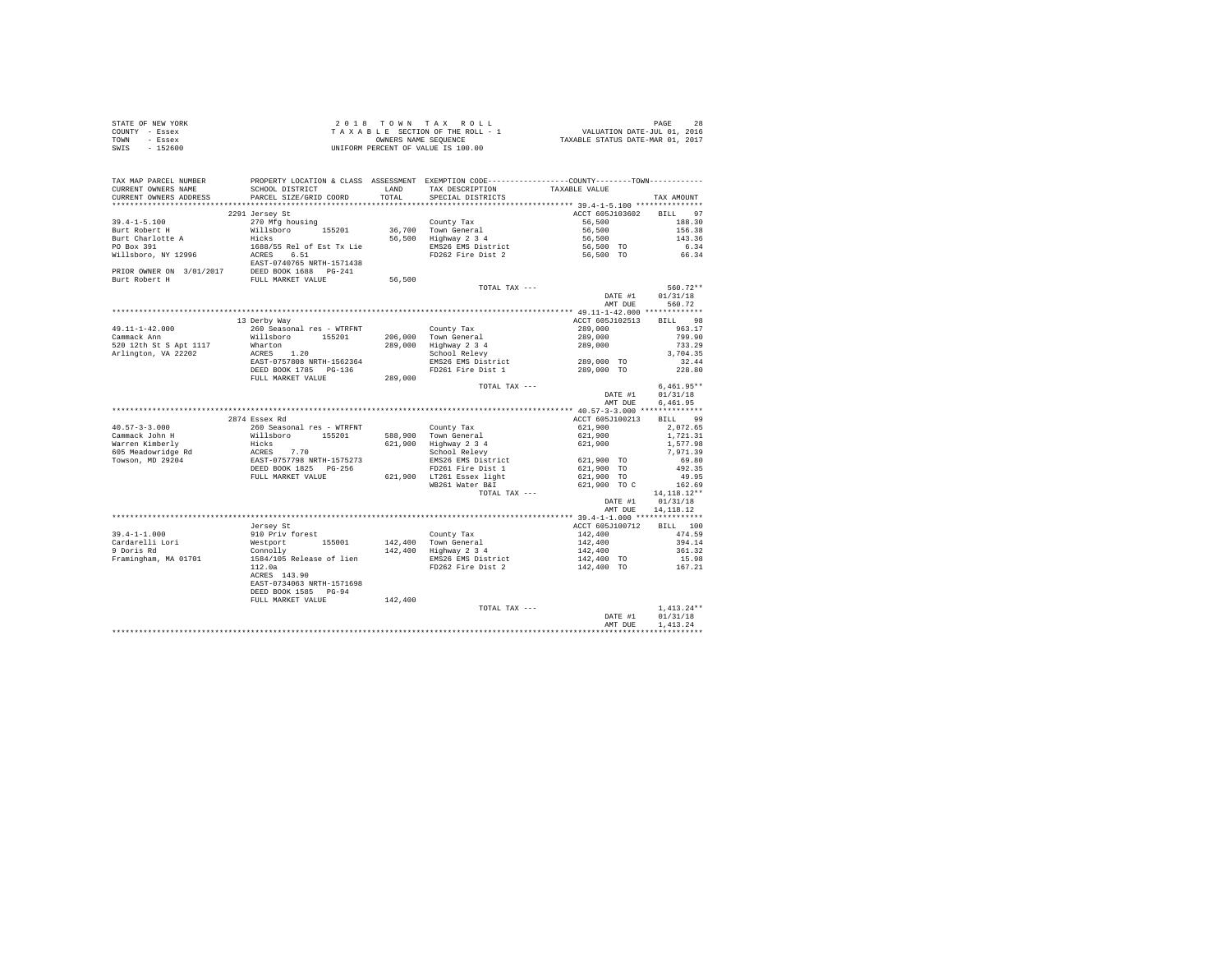| STATE OF NEW YORK | 2018 TOWN TAX ROLL                 | 28<br>PAGE                       |
|-------------------|------------------------------------|----------------------------------|
| COUNTY - Essex    | TAXABLE SECTION OF THE ROLL - 1    | VALUATION DATE-JUL 01, 2016      |
| TOWN<br>- Essex   | OWNERS NAME SEOUENCE               | TAXABLE STATUS DATE-MAR 01, 2017 |
| $-152600$<br>SWIS | UNIFORM PERCENT OF VALUE IS 100.00 |                                  |

| TAX MAP PARCEL NUMBER<br>CURRENT OWNERS NAME  | PROPERTY LOCATION & CLASS ASSESSMENT EXEMPTION CODE---------------COUNTY-------TOWN---------<br>SCHOOL DISTRICT                                                                                                                 |         | LAND TAX DESCRIPTION                                                                                                                                                                       | TAXABLE VALUE                                                                                          |                  |
|-----------------------------------------------|---------------------------------------------------------------------------------------------------------------------------------------------------------------------------------------------------------------------------------|---------|--------------------------------------------------------------------------------------------------------------------------------------------------------------------------------------------|--------------------------------------------------------------------------------------------------------|------------------|
| CURRENT OWNERS ADDRESS                        | PARCEL SIZE/GRID COORD                                                                                                                                                                                                          |         | TOTAL SPECIAL DISTRICTS                                                                                                                                                                    |                                                                                                        | TAX AMOUNT       |
|                                               | 2291 Jersey St                                                                                                                                                                                                                  |         |                                                                                                                                                                                            | ACCT 605J103602                                                                                        | BILL 97          |
|                                               |                                                                                                                                                                                                                                 |         |                                                                                                                                                                                            | 56,500                                                                                                 | 188.30           |
|                                               |                                                                                                                                                                                                                                 |         |                                                                                                                                                                                            | 56,500                                                                                                 | 156.38           |
|                                               |                                                                                                                                                                                                                                 |         |                                                                                                                                                                                            | 56,500                                                                                                 | 143.36           |
|                                               |                                                                                                                                                                                                                                 |         |                                                                                                                                                                                            | 56,500 TO                                                                                              | 6.34             |
|                                               |                                                                                                                                                                                                                                 |         | EMS26 EMS District<br>FD262 Fire Dist 2                                                                                                                                                    | 56,500 TO 66.34                                                                                        |                  |
|                                               |                                                                                                                                                                                                                                 |         |                                                                                                                                                                                            |                                                                                                        |                  |
|                                               |                                                                                                                                                                                                                                 |         |                                                                                                                                                                                            |                                                                                                        |                  |
|                                               |                                                                                                                                                                                                                                 |         |                                                                                                                                                                                            |                                                                                                        |                  |
|                                               |                                                                                                                                                                                                                                 |         | TOTAL TAX ---                                                                                                                                                                              |                                                                                                        | $560.72**$       |
|                                               |                                                                                                                                                                                                                                 |         |                                                                                                                                                                                            |                                                                                                        | DATE #1 01/31/18 |
|                                               |                                                                                                                                                                                                                                 |         |                                                                                                                                                                                            | AMT DUE                                                                                                | 560.72           |
|                                               |                                                                                                                                                                                                                                 |         |                                                                                                                                                                                            |                                                                                                        |                  |
|                                               | 13 Derby Way                                                                                                                                                                                                                    |         |                                                                                                                                                                                            | ACCT 605J102513                                                                                        | BILL 98          |
| 49.11-1-42.000                                | 260 Seasonal res - WTRFNT                                                                                                                                                                                                       |         | County Tax<br>289,000<br>289,000 Town General<br>289,000 Highway 2 3 4<br>School Relevy<br>EMS26 EMS District<br>FD261 Fire Dist 1<br>289,000 To<br>289,000 To<br>289,000 To<br>289,000 To |                                                                                                        | 963.17           |
| Cammack Ann                                   |                                                                                                                                                                                                                                 |         | County Tax<br>206,000 Town General                                                                                                                                                         |                                                                                                        | 799.90           |
| 520 12th St S Apt 1117                        | Willsboro 155201<br>Wharton                                                                                                                                                                                                     |         |                                                                                                                                                                                            |                                                                                                        | 733.29           |
| Arlington, VA 22202                           |                                                                                                                                                                                                                                 |         |                                                                                                                                                                                            |                                                                                                        | 3,704.35         |
|                                               | "HHELCH"<br>ACRES 1.20<br>EAST-0757808 NRTH-1562364<br>DEED BOOK 1785 PG-136                                                                                                                                                    |         |                                                                                                                                                                                            |                                                                                                        | 32.44            |
|                                               |                                                                                                                                                                                                                                 |         |                                                                                                                                                                                            |                                                                                                        | 228.80           |
|                                               | FULL MARKET VALUE                                                                                                                                                                                                               | 289,000 |                                                                                                                                                                                            |                                                                                                        |                  |
|                                               |                                                                                                                                                                                                                                 |         | TOTAL TAX ---                                                                                                                                                                              |                                                                                                        | $6.461.95**$     |
|                                               |                                                                                                                                                                                                                                 |         |                                                                                                                                                                                            | DATE #1                                                                                                | 01/31/18         |
|                                               |                                                                                                                                                                                                                                 |         |                                                                                                                                                                                            | AMT DUE                                                                                                | 6,461.95         |
|                                               |                                                                                                                                                                                                                                 |         |                                                                                                                                                                                            |                                                                                                        |                  |
|                                               | 2874 Essex Rd                                                                                                                                                                                                                   |         |                                                                                                                                                                                            | ACCT 605J100213                                                                                        | BILL 99          |
| $40.57 - 3 - 3.000$                           | 260 Seasonal res - WTRFNT                                                                                                                                                                                                       |         | NT County Tax<br>588,900 Town General                                                                                                                                                      |                                                                                                        | 2,072.65         |
|                                               |                                                                                                                                                                                                                                 |         |                                                                                                                                                                                            |                                                                                                        | 1,721.31         |
|                                               | No. 37-3-5.000 EXPLAIRS 2010 SESSIGN 2010<br>Cammack John H Millsboro 155201<br>Warren Kimberly Hicks<br>605 Meadwridge Rd EIGKS 7.70<br>Towson, MD 29204 EAST-075798 RRTH-1575273<br>Towson, MD 29204 EAST-075798 RRTH-1575273 |         |                                                                                                                                                                                            | $621,900$<br>$621,900$<br>$621,900$<br>$621,900$<br>$621,900$ TO<br>$621,900$ TO                       | 1,577.98         |
|                                               |                                                                                                                                                                                                                                 |         | 621,900 Highway 2 3 4<br>School Relevy                                                                                                                                                     |                                                                                                        | 7.971.39         |
|                                               |                                                                                                                                                                                                                                 |         | EMS26 EMS District<br>ED261 Eine District                                                                                                                                                  |                                                                                                        | 69.80            |
|                                               |                                                                                                                                                                                                                                 |         | FD261 Fire Dist 1                                                                                                                                                                          |                                                                                                        | 492.35           |
|                                               | FULL MARKET VALUE                                                                                                                                                                                                               |         | 621,900 LT261 Essex light                                                                                                                                                                  |                                                                                                        | 49.95            |
|                                               |                                                                                                                                                                                                                                 |         | WB261 Water B&I                                                                                                                                                                            | 621,900 TO<br>621,900 TO C                                                                             | 162.69           |
|                                               |                                                                                                                                                                                                                                 |         | TOTAL TAX ---                                                                                                                                                                              |                                                                                                        | 14, 118. 12**    |
|                                               |                                                                                                                                                                                                                                 |         |                                                                                                                                                                                            | DATE #1                                                                                                | 01/31/18         |
|                                               |                                                                                                                                                                                                                                 |         |                                                                                                                                                                                            | AMT DUE                                                                                                | 14, 118. 12      |
|                                               |                                                                                                                                                                                                                                 |         |                                                                                                                                                                                            |                                                                                                        |                  |
|                                               | Jersey St<br>Jersey St<br>910 Priv forest<br>Westport 155001<br>Connolly                                                                                                                                                        |         |                                                                                                                                                                                            | ACCT 605J100712                                                                                        | BILL 100         |
| 39.4-1-1.000<br>Cardarelli Lori<br>9 Doris Rd |                                                                                                                                                                                                                                 |         |                                                                                                                                                                                            |                                                                                                        | 474.59           |
|                                               |                                                                                                                                                                                                                                 |         |                                                                                                                                                                                            |                                                                                                        | 394.14           |
|                                               |                                                                                                                                                                                                                                 |         | County Tax<br>142,400 Town General<br>142,400 Highway 2 3 4                                                                                                                                | $\begin{array}{lll} 142,400\\ 142,400\\ 142,400\\ 142,400\\ 142,400\\ 142,400\\ \text{TO} \end{array}$ | 361.32           |
| Framingham, MA 01701                          | 1584/105 Release of lien                                                                                                                                                                                                        |         | EMS26 EMS District<br>FD262 Fire Dist 2                                                                                                                                                    |                                                                                                        | 15.98            |
|                                               | 112.0a<br>112.0a<br>ACRES 143.90                                                                                                                                                                                                |         |                                                                                                                                                                                            |                                                                                                        | 167.21           |
|                                               |                                                                                                                                                                                                                                 |         |                                                                                                                                                                                            |                                                                                                        |                  |
|                                               | EAST-0734063 NRTH-1571698                                                                                                                                                                                                       |         |                                                                                                                                                                                            |                                                                                                        |                  |
|                                               | DEED BOOK 1585 PG-94                                                                                                                                                                                                            |         |                                                                                                                                                                                            |                                                                                                        |                  |
|                                               | FULL MARKET VALUE                                                                                                                                                                                                               | 142,400 |                                                                                                                                                                                            |                                                                                                        |                  |
|                                               |                                                                                                                                                                                                                                 |         | TOTAL TAX ---                                                                                                                                                                              |                                                                                                        | $1.413.24**$     |
|                                               |                                                                                                                                                                                                                                 |         |                                                                                                                                                                                            | DATE #1                                                                                                | 01/31/18         |
|                                               |                                                                                                                                                                                                                                 |         |                                                                                                                                                                                            | AMT DUE                                                                                                | 1,413.24         |
|                                               |                                                                                                                                                                                                                                 |         |                                                                                                                                                                                            |                                                                                                        |                  |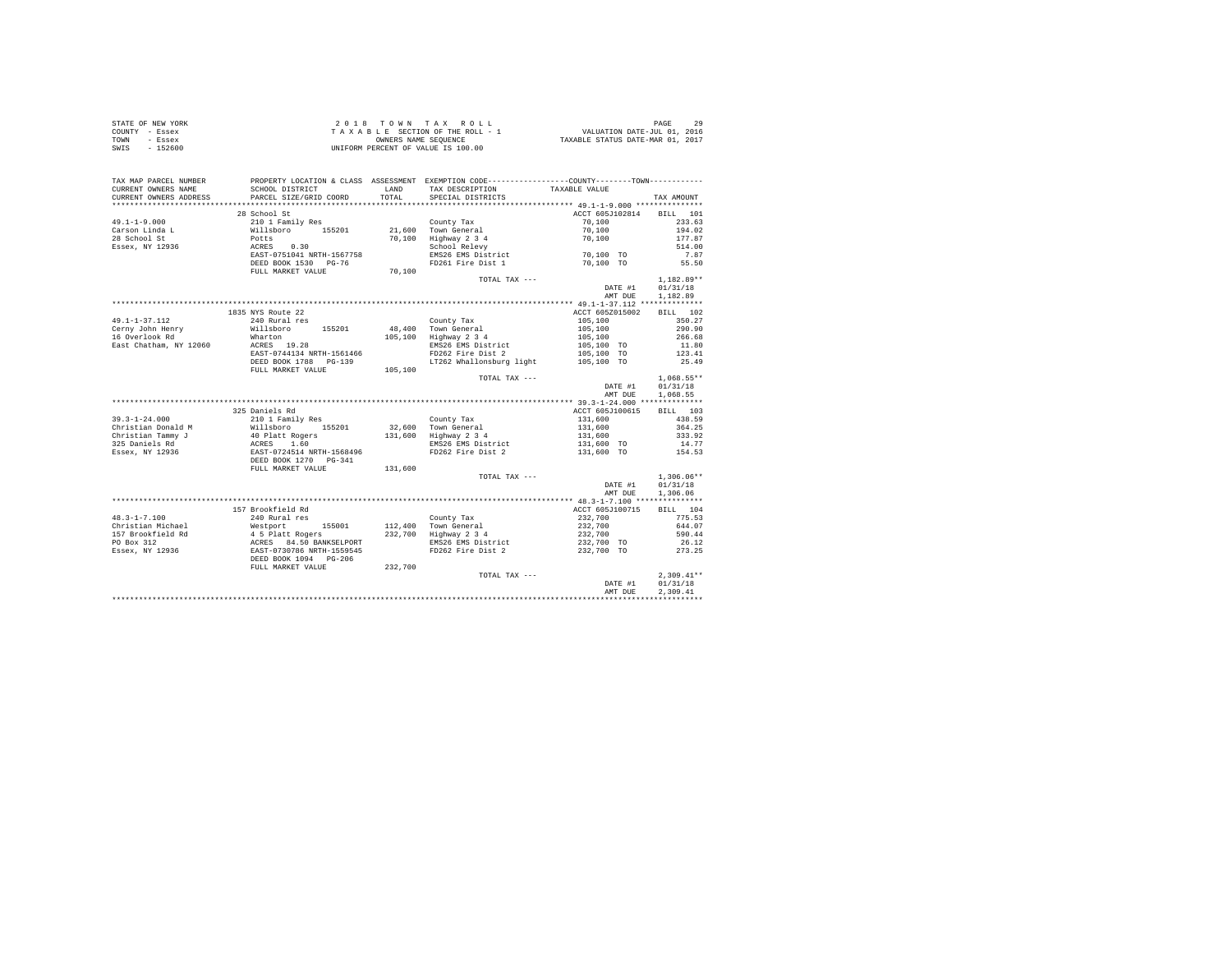| STATE OF NEW YORK | 2018 TOWN TAX ROLL                 | 29<br>PAGE                       |
|-------------------|------------------------------------|----------------------------------|
| COUNTY - Essex    | TAXABLE SECTION OF THE ROLL - 1    | VALUATION DATE-JUL 01, 2016      |
| TOWN<br>- Essex   | OWNERS NAME SEOUENCE               | TAXABLE STATUS DATE-MAR 01, 2017 |
| SWIS<br>$-152600$ | UNIFORM PERCENT OF VALUE IS 100.00 |                                  |

| TAX MAP PARCEL NUMBER  |                                                                                                                                                                                                                                            |         | PROPERTY LOCATION & CLASS ASSESSMENT EXEMPTION CODE---------------COUNTY-------TOWN--------- |                                                     |                 |
|------------------------|--------------------------------------------------------------------------------------------------------------------------------------------------------------------------------------------------------------------------------------------|---------|----------------------------------------------------------------------------------------------|-----------------------------------------------------|-----------------|
| CURRENT OWNERS NAME    | SCHOOL DISTRICT                                                                                                                                                                                                                            | LAND    | TAX DESCRIPTION TAXABLE VALUE                                                                |                                                     |                 |
| CURRENT OWNERS ADDRESS | PARCEL SIZE/GRID COORD                                                                                                                                                                                                                     | TOTAL   | SPECIAL DISTRICTS                                                                            |                                                     | TAX AMOUNT      |
|                        |                                                                                                                                                                                                                                            |         |                                                                                              |                                                     |                 |
|                        | 28 School St                                                                                                                                                                                                                               |         |                                                                                              | ACCT 605J102814 BILL 101                            |                 |
|                        | 49.1-1-9.000 - 2010 I Family Res . County Tax<br>Carson Linda L Willsboro 155201 21,600 Town General<br>28 School St Potts 20<br>Fassex, NY 12936 - 2021 2021 21,000 Fighway 2.3 4<br>ESSEX, NY 12936 - 2022 21,000 School Relevy<br>ESS   |         |                                                                                              | 70,100                                              | 233.63          |
|                        |                                                                                                                                                                                                                                            |         |                                                                                              | 70,100                                              | 194.02          |
|                        |                                                                                                                                                                                                                                            |         | 70,100 Highway 2 3 4<br>School Relevy                                                        | 70,100                                              | 177.87          |
|                        |                                                                                                                                                                                                                                            |         |                                                                                              | 70,100 TO                                           | 514.00          |
|                        |                                                                                                                                                                                                                                            |         | EMS26 EMS District                                                                           |                                                     | 7.87            |
|                        | DEED BOOK 1530 PG-76                                                                                                                                                                                                                       |         | FD261 Fire Dist 1 70,100 TO 55.50                                                            |                                                     |                 |
|                        | FULL MARKET VALUE                                                                                                                                                                                                                          | 70,100  |                                                                                              |                                                     |                 |
|                        |                                                                                                                                                                                                                                            |         | TOTAL TAX ---                                                                                |                                                     | $1,182.89**$    |
|                        |                                                                                                                                                                                                                                            |         |                                                                                              | DATE #1 01/31/18                                    |                 |
|                        |                                                                                                                                                                                                                                            |         |                                                                                              | AMT DUE                                             | 1,182.89        |
|                        |                                                                                                                                                                                                                                            |         |                                                                                              |                                                     |                 |
|                        | 1835 NYS Route 22                                                                                                                                                                                                                          |         |                                                                                              | ACCT 605Z015002 BILL 102                            |                 |
| $49.1 - 1 - 37.112$    | 240 Rural res<br>Willsboro 155201                                                                                                                                                                                                          |         | County Tax                                                                                   | $105,100$<br>$105,100$<br>$105,100$<br>$105,100$ TO | 350.27          |
| Cerny John Henry       |                                                                                                                                                                                                                                            |         | 48,400 Town General                                                                          |                                                     | 290.90          |
| 16 Overlook Rd         |                                                                                                                                                                                                                                            |         | 105,100 Highway 2 3 4                                                                        |                                                     | 266.68          |
| East Chatham, NY 12060 | Wharton<br>ACRES 19.28                                                                                                                                                                                                                     |         | EMS26 EMS District                                                                           |                                                     | 11.80           |
|                        | EAST-0744134 NRTH-1561466                                                                                                                                                                                                                  |         | FD262 Fire Dist 2                                                                            | 105,100 TO                                          | 123.41          |
|                        | DEED BOOK 1788 PG-139                                                                                                                                                                                                                      |         | LT262 Whallonsburg light 105,100 TO                                                          |                                                     | 25.49           |
|                        | FULL MARKET VALUE                                                                                                                                                                                                                          | 105,100 |                                                                                              |                                                     |                 |
|                        |                                                                                                                                                                                                                                            |         | TOTAL TAX ---                                                                                |                                                     | $1.068.55**$    |
|                        |                                                                                                                                                                                                                                            |         |                                                                                              | DATE #1                                             | 01/31/18        |
|                        |                                                                                                                                                                                                                                            |         |                                                                                              | AMT DUE                                             | 1.068.55        |
|                        |                                                                                                                                                                                                                                            |         |                                                                                              |                                                     |                 |
|                        | 325 Daniels Rd                                                                                                                                                                                                                             |         |                                                                                              | ACCT 605J100615                                     | BILL 103        |
|                        |                                                                                                                                                                                                                                            |         | County Tax                                                                                   | 131,600                                             | 438.59          |
|                        |                                                                                                                                                                                                                                            |         | 32,600 Town General<br>131,600 Highway 2 3 4                                                 | 131,600<br>131,600<br>131,600 TO                    | 364.25          |
|                        |                                                                                                                                                                                                                                            |         |                                                                                              |                                                     | 333.92          |
|                        |                                                                                                                                                                                                                                            |         | EMS26 EMS District                                                                           |                                                     | 14.77           |
|                        |                                                                                                                                                                                                                                            |         | FD262 Fire Dist 2                                                                            | 131,600 TO 154.53                                   |                 |
|                        |                                                                                                                                                                                                                                            |         |                                                                                              |                                                     |                 |
|                        | FULL MARKET VALUE 131,600                                                                                                                                                                                                                  |         |                                                                                              |                                                     |                 |
|                        |                                                                                                                                                                                                                                            |         | TOTAL TAX ---                                                                                |                                                     | $1,306.06**$    |
|                        |                                                                                                                                                                                                                                            |         |                                                                                              | DATE #1                                             | 01/31/18        |
|                        |                                                                                                                                                                                                                                            |         |                                                                                              | AMT DUE                                             | 1,306.06        |
|                        |                                                                                                                                                                                                                                            |         |                                                                                              |                                                     |                 |
|                        | 157 Brookfield Rd                                                                                                                                                                                                                          |         |                                                                                              | ACCT 605J100715                                     | BILL 104        |
| $48.3 - 1 - 7.100$     | 240 Rural res                                                                                                                                                                                                                              |         | County Tax                                                                                   | 232,700                                             | 775.53          |
|                        | 40.1-2.1.000 Monthlael Mestport 155001 112,400 Town General<br>Christian Michael 4 5 Platt Rogers 232,700 Highway 2 34<br>PO Box 312<br>PO Box 312<br>Essex, NY 12936 EMSER BASS 64.50 BANKSELPORT 232,700 EMS26 EMS 16 PLATT<br>Essex, NY |         |                                                                                              | $232,700$<br>$232,700$                              | 644.07          |
|                        |                                                                                                                                                                                                                                            |         |                                                                                              |                                                     | 590.44          |
|                        |                                                                                                                                                                                                                                            |         |                                                                                              | $232,700$ TO                                        |                 |
|                        |                                                                                                                                                                                                                                            |         |                                                                                              | 232,700 TO                                          | 26.12<br>273.25 |
|                        |                                                                                                                                                                                                                                            |         |                                                                                              |                                                     |                 |
|                        | FULL MARKET VALUE                                                                                                                                                                                                                          | 232,700 |                                                                                              |                                                     |                 |
|                        |                                                                                                                                                                                                                                            |         | TOTAL TAX ---                                                                                |                                                     | $2.309.41**$    |
|                        |                                                                                                                                                                                                                                            |         |                                                                                              | DATE #1                                             | 01/31/18        |
|                        |                                                                                                                                                                                                                                            |         |                                                                                              |                                                     |                 |
|                        |                                                                                                                                                                                                                                            |         |                                                                                              | AMT DUE                                             | 2,309.41        |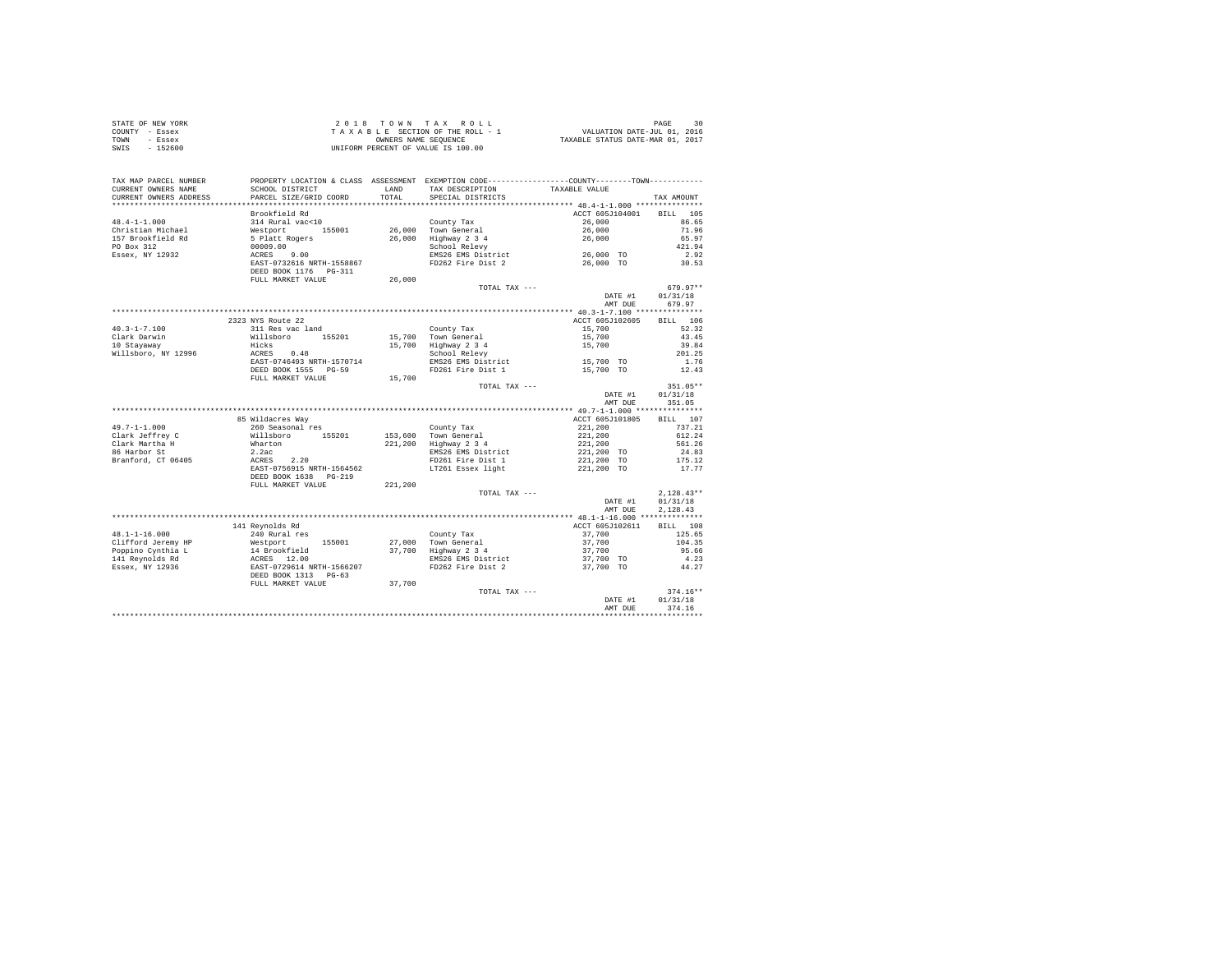| STATE OF NEW YORK | 2018 TOWN TAX ROLL                 | 30<br>PAGE                       |
|-------------------|------------------------------------|----------------------------------|
| COUNTY - Essex    | TAXABLE SECTION OF THE ROLL - 1    | VALUATION DATE-JUL 01, 2016      |
| TOWN<br>- Essex   | OWNERS NAME SEOUENCE               | TAXABLE STATUS DATE-MAR 01, 2017 |
| - 152600<br>SWIS  | UNIFORM PERCENT OF VALUE IS 100.00 |                                  |

| TAX MAP PARCEL NUMBER<br>CURRENT OWNERS NAME | SCHOOL DISTRICT                                                     | LAND    | PROPERTY LOCATION & CLASS ASSESSMENT EXEMPTION CODE-----------------COUNTY-------TOWN---------<br>TAX DESCRIPTION | TAXABLE VALUE                               |              |
|----------------------------------------------|---------------------------------------------------------------------|---------|-------------------------------------------------------------------------------------------------------------------|---------------------------------------------|--------------|
| CURRENT OWNERS ADDRESS                       | PARCEL SIZE/GRID COORD                                              | TOTAL   | SPECIAL DISTRICTS                                                                                                 |                                             | TAX AMOUNT   |
| ***********************                      | ***************************                                         |         |                                                                                                                   |                                             |              |
|                                              | Brookfield Rd                                                       |         |                                                                                                                   | ACCT 605J104001                             | BILL 105     |
| $48.4 - 1 - 1.000$                           | 314 Rural vac<10                                                    |         | County Tax                                                                                                        | 26,000                                      | 86.65        |
| Christian Michael                            | Westport<br>155001                                                  |         | 26,000 Town General                                                                                               | 26,000                                      | 71.96        |
| 157 Brookfield Rd                            | 5 Platt Rogers                                                      | 26,000  | Highway 2 3 4                                                                                                     | 26,000                                      | 65.97        |
| PO Box 312                                   | 00009.00                                                            |         | School Relevy                                                                                                     |                                             | 421.94       |
| Essex, NY 12932                              | 9.00<br>ACRES                                                       |         | EMS26 EMS District                                                                                                | 26,000 TO                                   | 2.92         |
|                                              | EAST-0732616 NRTH-1558867                                           |         | FD262 Fire Dist 2                                                                                                 | 26,000 TO                                   | 30.53        |
|                                              | DEED BOOK 1176    PG-311                                            |         |                                                                                                                   |                                             |              |
|                                              | FULL MARKET VALUE                                                   | 26,000  |                                                                                                                   |                                             |              |
|                                              |                                                                     |         | TOTAL TAX ---                                                                                                     |                                             | $679.97**$   |
|                                              |                                                                     |         |                                                                                                                   | DATE #1                                     | 01/31/18     |
|                                              |                                                                     |         |                                                                                                                   | AMT DUE                                     | 679.97       |
|                                              |                                                                     |         |                                                                                                                   |                                             |              |
|                                              | 2323 NYS Route 22                                                   |         |                                                                                                                   | ACCT 605J102605                             | BILL 106     |
| $40.3 - 1 - 7.100$                           | 311 Res vac land                                                    |         | County Tax                                                                                                        | 15,700                                      | 52.32        |
| Clark Darwin                                 | Willsboro 155201                                                    |         | 15,700 Town General                                                                                               | 15,700                                      | 43.45        |
| 10 Stayaway                                  | Hicks                                                               |         | 15,700 Highway 2 3 4                                                                                              | 15,700                                      | 39.84        |
| Willsboro, NY 12996                          | ACRES 0.48                                                          |         | School Relevy                                                                                                     |                                             | 201.25       |
|                                              | EAST-0746493 NRTH-1570714                                           |         | EMS26 EMS District                                                                                                | 15,700 TO                                   | 1.76         |
|                                              | DEED BOOK 1555 PG-59                                                |         | FD261 Fire Dist 1                                                                                                 | 15,700 TO                                   | 12.43        |
|                                              | FULL MARKET VALUE                                                   | 15,700  |                                                                                                                   |                                             |              |
|                                              |                                                                     |         | TOTAL TAX ---                                                                                                     |                                             | 351.05**     |
|                                              |                                                                     |         |                                                                                                                   | DATE #1                                     | 01/31/18     |
|                                              |                                                                     |         |                                                                                                                   | AMT DUE                                     | 351.05       |
|                                              |                                                                     |         |                                                                                                                   | ************* 49.7-1-1.000 ***************  |              |
|                                              | 85 Wildacres Way                                                    |         |                                                                                                                   | ACCT 605J101805                             | BILL 107     |
| $49.7 - 1 - 1.000$                           | 260 Seasonal res                                                    |         | County Tax                                                                                                        | 221,200                                     | 737.21       |
| Clark Jeffrey C                              | Willsboro<br>155201                                                 |         | 153,600 Town General                                                                                              | 221,200                                     | 612.24       |
| Clark Martha H                               | Wharton                                                             | 221,200 | Highway 2 3 4                                                                                                     | 221,200                                     | 561.26       |
| 86 Harbor St                                 | 2.2ac                                                               |         | EMS26 EMS District                                                                                                | 221,200 TO                                  | 24.83        |
| Branford, CT 06405                           | ACRES<br>2.20                                                       |         | FD261 Fire Dist 1                                                                                                 | 221,200 TO                                  | 175.12       |
|                                              | EAST-0756915 NRTH-1564562                                           |         | LT261 Essex light                                                                                                 | 221,200 TO                                  | 17.77        |
|                                              | DEED BOOK 1638    PG-219                                            |         |                                                                                                                   |                                             |              |
|                                              | FULL MARKET VALUE                                                   | 221,200 |                                                                                                                   |                                             |              |
|                                              |                                                                     |         | TOTAL TAX ---                                                                                                     |                                             | $2,128.43**$ |
|                                              |                                                                     |         |                                                                                                                   | DATE #1                                     | 01/31/18     |
|                                              |                                                                     |         |                                                                                                                   | AMT DUE                                     | 2.128.43     |
|                                              |                                                                     |         |                                                                                                                   | ************* 48.1-1-16.000 *************** |              |
|                                              | 141 Reynolds Rd                                                     |         |                                                                                                                   | ACCT 605J102611                             | RTLL 108     |
| $48.1 - 1 - 16.000$                          | 240 Rural res                                                       |         | County Tax                                                                                                        | 37,700                                      | 125.65       |
| Clifford Jeremy HP                           | Westport 155001                                                     |         | 27.000 Town General                                                                                               | 37,700                                      | 104.35       |
| Poppino Cynthia L                            |                                                                     |         | 37,700 Highway 2 3 4                                                                                              | 37,700                                      | 95.66        |
| 141 Reynolds Rd                              | " 2006<br>14 Brookfield<br>ACRES 12.00<br>EAST-0729614 NRTH-1566207 |         | EMS26 EMS District                                                                                                | 37,700 TO                                   | 4.23         |
| Essex, NY 12936                              |                                                                     |         | FD262 Fire Dist 2                                                                                                 | 37,700 TO                                   | 44.27        |
|                                              | DEED BOOK 1313 PG-63                                                |         |                                                                                                                   |                                             |              |
|                                              | FULL MARKET VALUE                                                   | 37,700  |                                                                                                                   |                                             |              |
|                                              |                                                                     |         |                                                                                                                   |                                             | $374.16**$   |
|                                              |                                                                     |         | TOTAL TAX ---                                                                                                     |                                             | 01/31/18     |
|                                              |                                                                     |         |                                                                                                                   | DATE #1<br>AMT DUE                          | 374.16       |
|                                              |                                                                     |         |                                                                                                                   |                                             |              |
|                                              |                                                                     |         |                                                                                                                   |                                             |              |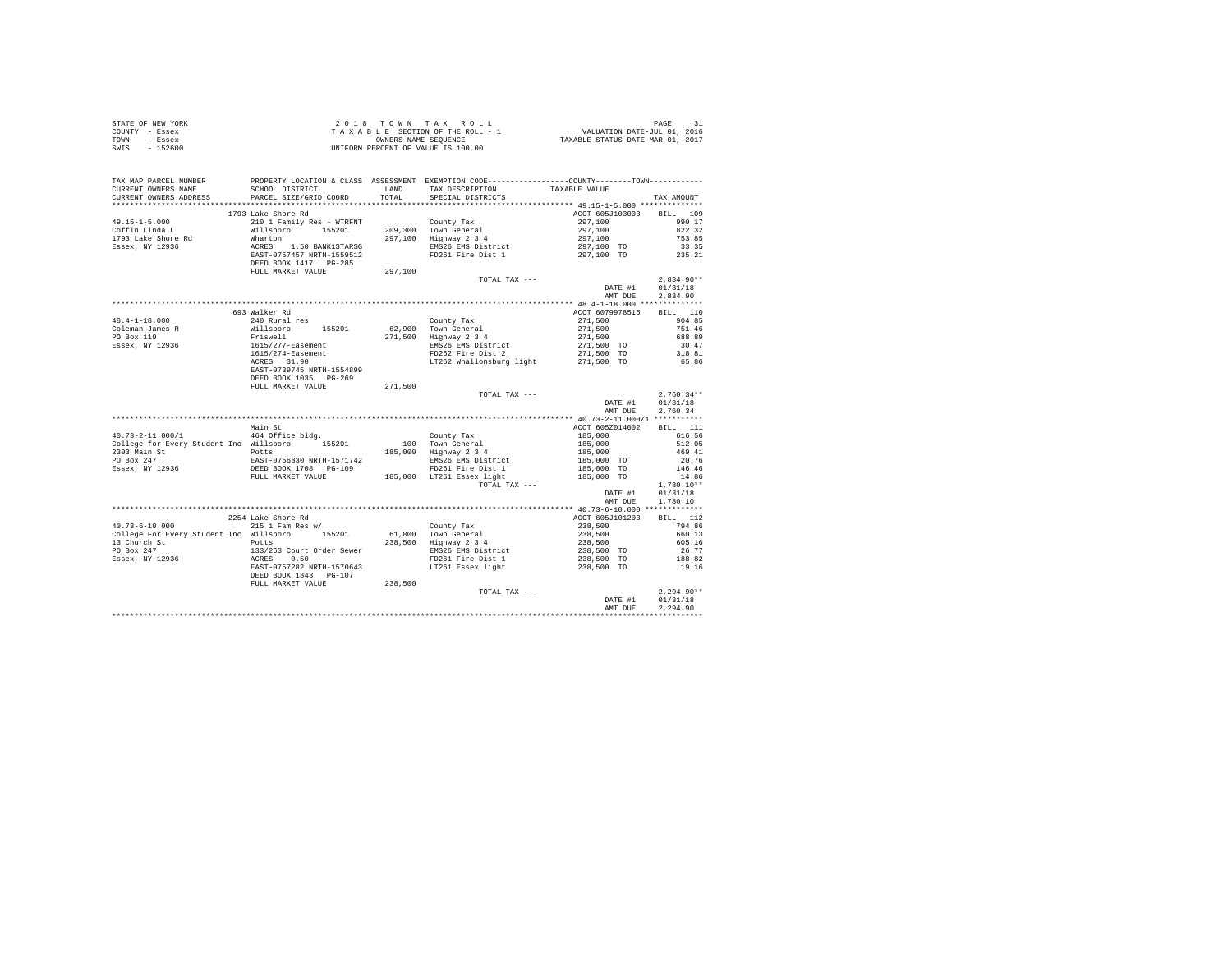| STATE OF NEW YORK |  | 2018 TOWN TAX ROLL                 |                                  | PAGE |  |
|-------------------|--|------------------------------------|----------------------------------|------|--|
| COUNTY - Essex    |  | TAXABLE SECTION OF THE ROLL - 1    | VALUATION DATE-JUL 01, 2016      |      |  |
| TOWN<br>$-$ Essex |  | OWNERS NAME SEOUENCE               | TAXABLE STATUS DATE-MAR 01, 2017 |      |  |
| SWIS<br>$-152600$ |  | UNIFORM PERCENT OF VALUE IS 100.00 |                                  |      |  |

| TAX MAP PARCEL NUMBER<br>CURRENT OWNERS NAME                                                                                                                                                                                                  | SCHOOL DISTRICT                                                                                                                                             | <b>T.AND</b> | PROPERTY LOCATION & CLASS ASSESSMENT EXEMPTION CODE---------------COUNTY-------TOWN---------<br>TAX DESCRIPTION                                                                                                                                                                                                                                                                                               | TAXABLE VALUE                                                                                                                                                                                                  |                  |
|-----------------------------------------------------------------------------------------------------------------------------------------------------------------------------------------------------------------------------------------------|-------------------------------------------------------------------------------------------------------------------------------------------------------------|--------------|---------------------------------------------------------------------------------------------------------------------------------------------------------------------------------------------------------------------------------------------------------------------------------------------------------------------------------------------------------------------------------------------------------------|----------------------------------------------------------------------------------------------------------------------------------------------------------------------------------------------------------------|------------------|
| CURRENT OWNERS ADDRESS                                                                                                                                                                                                                        | PARCEL SIZE/GRID COORD                                                                                                                                      | TOTAL        | SPECIAL DISTRICTS                                                                                                                                                                                                                                                                                                                                                                                             |                                                                                                                                                                                                                | TAX AMOUNT       |
|                                                                                                                                                                                                                                               |                                                                                                                                                             |              |                                                                                                                                                                                                                                                                                                                                                                                                               |                                                                                                                                                                                                                |                  |
|                                                                                                                                                                                                                                               | 1793 Lake Shore Rd                                                                                                                                          |              |                                                                                                                                                                                                                                                                                                                                                                                                               | ACCT 605J103003 BILL 109                                                                                                                                                                                       |                  |
| $49.15 - 1 - 5.000$                                                                                                                                                                                                                           |                                                                                                                                                             |              |                                                                                                                                                                                                                                                                                                                                                                                                               | $\begin{array}{r} 297,100 \ 297,100 \ 297,100 \ 297,100 \ 297,100 \ 297,100 \ 297,100 \ 297,100 \ 297,100 \ 297,100 \ 297,100 \ 297,100 \ 297,100 \end{array}$                                                 |                  |
| Coffin Linda L                                                                                                                                                                                                                                |                                                                                                                                                             |              |                                                                                                                                                                                                                                                                                                                                                                                                               |                                                                                                                                                                                                                |                  |
| 1793 Lake Shore Rd                                                                                                                                                                                                                            |                                                                                                                                                             |              |                                                                                                                                                                                                                                                                                                                                                                                                               |                                                                                                                                                                                                                |                  |
| Essex, NY 12936                                                                                                                                                                                                                               |                                                                                                                                                             |              |                                                                                                                                                                                                                                                                                                                                                                                                               |                                                                                                                                                                                                                |                  |
|                                                                                                                                                                                                                                               |                                                                                                                                                             |              |                                                                                                                                                                                                                                                                                                                                                                                                               |                                                                                                                                                                                                                |                  |
|                                                                                                                                                                                                                                               | Wharton 297,100 Highway 2 3 4<br>ACRES 1.50 BANK1STARSG EMS26 EMS District<br>EAST-0757457 NRTH-1559512 FD261 Fire Dist 1<br>DEED BOOK 1417 PG-285          |              |                                                                                                                                                                                                                                                                                                                                                                                                               |                                                                                                                                                                                                                |                  |
|                                                                                                                                                                                                                                               | FULL MARKET VALUE                                                                                                                                           | 297,100      |                                                                                                                                                                                                                                                                                                                                                                                                               |                                                                                                                                                                                                                |                  |
|                                                                                                                                                                                                                                               |                                                                                                                                                             |              | TOTAL TAX ---                                                                                                                                                                                                                                                                                                                                                                                                 |                                                                                                                                                                                                                | $2,834.90**$     |
|                                                                                                                                                                                                                                               |                                                                                                                                                             |              |                                                                                                                                                                                                                                                                                                                                                                                                               | DATE #1                                                                                                                                                                                                        | 01/31/18         |
|                                                                                                                                                                                                                                               |                                                                                                                                                             |              |                                                                                                                                                                                                                                                                                                                                                                                                               | AMT DUE                                                                                                                                                                                                        | 2.834.90         |
|                                                                                                                                                                                                                                               |                                                                                                                                                             |              |                                                                                                                                                                                                                                                                                                                                                                                                               |                                                                                                                                                                                                                |                  |
|                                                                                                                                                                                                                                               | 693 Walker Rd<br>% walker Rd<br>240 Rural res<br>Willaboro 155201<br>Friswell<br>1615/277-Easement<br>1615/274-Easement<br>RCRS 211-Basement<br>RCRS 211-90 |              |                                                                                                                                                                                                                                                                                                                                                                                                               | ACCT 6079978515                                                                                                                                                                                                | BILL 110         |
| $48.4 - 1 - 18.000$                                                                                                                                                                                                                           |                                                                                                                                                             |              | County Tax<br>62,900 Town General<br>271,500 Highway 2 3 4<br>County Tax 271,500<br>62,900 Town General 271,500<br>271,500 Highway 2 3 4<br>271,500 Highway 2 3 4<br>EMS26 EMS District 2 271,500 TO 30.47<br>PD262 Fire District 2 271,500 TO 314,81<br>LT262 Whallonsburg light 271,500 TO 318,81<br>271                                                                                                    |                                                                                                                                                                                                                |                  |
| TO: The Second Second<br>PO Box 110<br>Essex, NY 12936                                                                                                                                                                                        |                                                                                                                                                             |              |                                                                                                                                                                                                                                                                                                                                                                                                               |                                                                                                                                                                                                                |                  |
|                                                                                                                                                                                                                                               |                                                                                                                                                             |              |                                                                                                                                                                                                                                                                                                                                                                                                               |                                                                                                                                                                                                                |                  |
|                                                                                                                                                                                                                                               |                                                                                                                                                             |              |                                                                                                                                                                                                                                                                                                                                                                                                               |                                                                                                                                                                                                                |                  |
|                                                                                                                                                                                                                                               |                                                                                                                                                             |              |                                                                                                                                                                                                                                                                                                                                                                                                               |                                                                                                                                                                                                                |                  |
|                                                                                                                                                                                                                                               |                                                                                                                                                             |              |                                                                                                                                                                                                                                                                                                                                                                                                               |                                                                                                                                                                                                                |                  |
|                                                                                                                                                                                                                                               | EAST-0739745 NRTH-1554899                                                                                                                                   |              |                                                                                                                                                                                                                                                                                                                                                                                                               |                                                                                                                                                                                                                |                  |
|                                                                                                                                                                                                                                               | DEED BOOK 1035 PG-269                                                                                                                                       |              |                                                                                                                                                                                                                                                                                                                                                                                                               |                                                                                                                                                                                                                |                  |
|                                                                                                                                                                                                                                               | FULL MARKET VALUE                                                                                                                                           | 271,500      |                                                                                                                                                                                                                                                                                                                                                                                                               |                                                                                                                                                                                                                |                  |
|                                                                                                                                                                                                                                               |                                                                                                                                                             |              | TOTAL TAX ---                                                                                                                                                                                                                                                                                                                                                                                                 |                                                                                                                                                                                                                | $2,760.34**$     |
|                                                                                                                                                                                                                                               |                                                                                                                                                             |              |                                                                                                                                                                                                                                                                                                                                                                                                               |                                                                                                                                                                                                                | DATE #1 01/31/18 |
|                                                                                                                                                                                                                                               |                                                                                                                                                             |              |                                                                                                                                                                                                                                                                                                                                                                                                               | AMT DUE                                                                                                                                                                                                        | 2,760.34         |
|                                                                                                                                                                                                                                               |                                                                                                                                                             |              |                                                                                                                                                                                                                                                                                                                                                                                                               |                                                                                                                                                                                                                |                  |
|                                                                                                                                                                                                                                               | Main St                                                                                                                                                     |              | $\begin{tabular}{ll} & & & & & \multicolumn{1}{c}{\textbf{error 6052014002}} \\ & & & & \multicolumn{1}{c}{\textbf{ACC 7 6052014002}} \\ & & & 185,000 \\ & & 185,000 \\ & & 185,000 \\ & \multicolumn{1}{c}{\textbf{MS}} & & 185,000 \\ & \multicolumn{1}{c}{\textbf{MS}} & & 185,000 \\ & \multicolumn{1}{c}{\textbf{S300 T0}} \\ & \multicolumn{1}{c}{\textbf{S300 T0}} \\ & \multicolumn{1}{c}{\textbf{S$ | ACCT 605Z014002 BILL 111                                                                                                                                                                                       |                  |
| 40.73-2-11.000/1                                                                                                                                                                                                                              | 464 Office bldg.                                                                                                                                            |              | County Tax                                                                                                                                                                                                                                                                                                                                                                                                    |                                                                                                                                                                                                                | 616.56           |
|                                                                                                                                                                                                                                               |                                                                                                                                                             |              |                                                                                                                                                                                                                                                                                                                                                                                                               |                                                                                                                                                                                                                | 512.05           |
| College for Every Student Inc Willsboro 155201 100 Town General<br>2303 Main St 2014 Potts 185,000 Highway 2 3 4                                                                                                                              |                                                                                                                                                             |              |                                                                                                                                                                                                                                                                                                                                                                                                               |                                                                                                                                                                                                                | 469.41           |
|                                                                                                                                                                                                                                               |                                                                                                                                                             |              |                                                                                                                                                                                                                                                                                                                                                                                                               |                                                                                                                                                                                                                | 20.76            |
|                                                                                                                                                                                                                                               |                                                                                                                                                             |              |                                                                                                                                                                                                                                                                                                                                                                                                               |                                                                                                                                                                                                                | 146.46           |
| College for avery Statemann Potts<br>2303 Main St<br>PO Box 247 PO BOX 247<br>EASSE PO BOX 21705630 NRTH-1571742<br>FASSE PO BOX 1708 PO-109<br>FASSE POOK 1708 PO-109<br>FORD POSSE POOK 1708 PO-109<br>FORD POSSE POOK 1708 PO-109<br>POSSE |                                                                                                                                                             |              |                                                                                                                                                                                                                                                                                                                                                                                                               |                                                                                                                                                                                                                | 14.86            |
|                                                                                                                                                                                                                                               |                                                                                                                                                             |              |                                                                                                                                                                                                                                                                                                                                                                                                               |                                                                                                                                                                                                                | $1,780.10**$     |
|                                                                                                                                                                                                                                               |                                                                                                                                                             |              |                                                                                                                                                                                                                                                                                                                                                                                                               |                                                                                                                                                                                                                | DATE #1 01/31/18 |
|                                                                                                                                                                                                                                               |                                                                                                                                                             |              |                                                                                                                                                                                                                                                                                                                                                                                                               | AMT DUE                                                                                                                                                                                                        | 1,780.10         |
|                                                                                                                                                                                                                                               |                                                                                                                                                             |              |                                                                                                                                                                                                                                                                                                                                                                                                               |                                                                                                                                                                                                                |                  |
|                                                                                                                                                                                                                                               | 2254 Lake Shore Rd                                                                                                                                          |              |                                                                                                                                                                                                                                                                                                                                                                                                               | ACCT 605J101203                                                                                                                                                                                                | BILL 112         |
|                                                                                                                                                                                                                                               |                                                                                                                                                             |              |                                                                                                                                                                                                                                                                                                                                                                                                               | $\begin{array}{cccc} 238,500 & -1 & -1 & -1 \\ 238,500 & 660.13 \\ 238,500 & 660.13 \\ 238,500 & 605.16 \\ 238,500 & 605.16 \\ 238,500 & \textbf{T0} & 26.77 \\ 238,500 & \textbf{T0} & 188.82 \\ \end{array}$ |                  |
|                                                                                                                                                                                                                                               |                                                                                                                                                             |              |                                                                                                                                                                                                                                                                                                                                                                                                               |                                                                                                                                                                                                                |                  |
|                                                                                                                                                                                                                                               |                                                                                                                                                             |              |                                                                                                                                                                                                                                                                                                                                                                                                               |                                                                                                                                                                                                                |                  |
|                                                                                                                                                                                                                                               |                                                                                                                                                             |              |                                                                                                                                                                                                                                                                                                                                                                                                               |                                                                                                                                                                                                                |                  |
|                                                                                                                                                                                                                                               |                                                                                                                                                             |              |                                                                                                                                                                                                                                                                                                                                                                                                               |                                                                                                                                                                                                                |                  |
|                                                                                                                                                                                                                                               |                                                                                                                                                             |              |                                                                                                                                                                                                                                                                                                                                                                                                               | 238,500 TO                                                                                                                                                                                                     | 19.16            |
|                                                                                                                                                                                                                                               |                                                                                                                                                             |              |                                                                                                                                                                                                                                                                                                                                                                                                               |                                                                                                                                                                                                                |                  |
|                                                                                                                                                                                                                                               |                                                                                                                                                             |              |                                                                                                                                                                                                                                                                                                                                                                                                               |                                                                                                                                                                                                                |                  |
|                                                                                                                                                                                                                                               |                                                                                                                                                             |              | TOTAL TAX ---                                                                                                                                                                                                                                                                                                                                                                                                 |                                                                                                                                                                                                                | $2,294.90**$     |
|                                                                                                                                                                                                                                               |                                                                                                                                                             |              |                                                                                                                                                                                                                                                                                                                                                                                                               |                                                                                                                                                                                                                | DATE #1 01/31/18 |
|                                                                                                                                                                                                                                               |                                                                                                                                                             |              |                                                                                                                                                                                                                                                                                                                                                                                                               | AMT DUE                                                                                                                                                                                                        | 2.294.90         |
|                                                                                                                                                                                                                                               |                                                                                                                                                             |              |                                                                                                                                                                                                                                                                                                                                                                                                               |                                                                                                                                                                                                                |                  |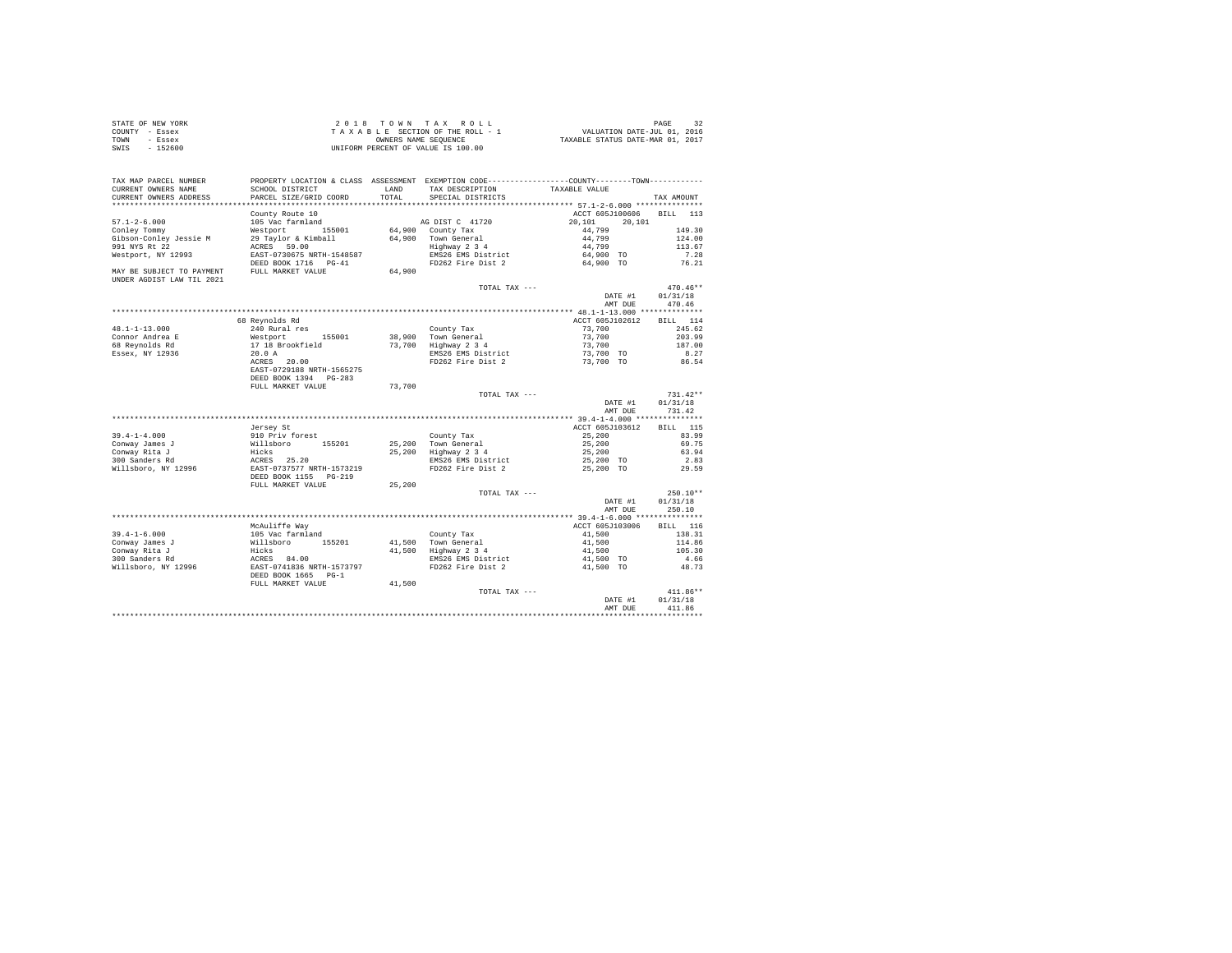|      | STATE OF NEW YORK | 2018 TOWN TAX ROLL                 | PAGE                             |
|------|-------------------|------------------------------------|----------------------------------|
|      | COUNTY - Essex    | TAXABLE SECTION OF THE ROLL - 1    | VALUATION DATE-JUL 01, 2016      |
| TOWN | - Essex           | OWNERS NAME SEOUENCE               | TAXABLE STATUS DATE-MAR 01, 2017 |
| SWIS | - 152600          | UNIFORM PERCENT OF VALUE IS 100.00 |                                  |

| TAX MAP PARCEL NUMBER                                  |                                                                                                 |        |                                                 | PROPERTY LOCATION & CLASS ASSESSMENT EXEMPTION CODE---------------COUNTY-------TOWN---------- |                    |
|--------------------------------------------------------|-------------------------------------------------------------------------------------------------|--------|-------------------------------------------------|-----------------------------------------------------------------------------------------------|--------------------|
| CURRENT OWNERS NAME                                    | SCHOOL DISTRICT                                                                                 | LAND   | TAX DESCRIPTION                                 | TAXABLE VALUE                                                                                 |                    |
| CURRENT OWNERS ADDRESS<br>*************************    | PARCEL SIZE/GRID COORD<br>*******************************                                       | TOTAL  | SPECIAL DISTRICTS                               |                                                                                               | TAX AMOUNT         |
|                                                        |                                                                                                 |        |                                                 |                                                                                               |                    |
|                                                        | County Route 10                                                                                 |        |                                                 | ACCT 605J100606 BILL 113                                                                      |                    |
| $57.1 - 2 - 6.000$                                     | 105 Vac farmland                                                                                |        | AG DIST C 41720                                 | 20,101<br>20.101                                                                              |                    |
| Conley Tommy                                           | Westport 155001                                                                                 |        | 64,900 County Tax                               | 44,799                                                                                        | 149.30             |
| Gibson-Conley Jessie M                                 | 29 Tavlor & Kimball                                                                             |        | 64.900 Town General<br>Highway 2 3 4            | 44,799                                                                                        | 124.00             |
| 991 NYS Rt 22                                          | ACRES 59.00                                                                                     |        |                                                 | 44,799                                                                                        | 113.67             |
| Westport, NY 12993                                     | EAST-0730675 NRTH-1548587                                                                       |        | EMS26 EMS District                              | 64,900 TO                                                                                     | 7.28               |
|                                                        | DEED BOOK 1716 PG-41                                                                            |        | FD262 Fire Dist 2                               | 64,900 TO                                                                                     | 76.21              |
| MAY BE SUBJECT TO PAYMENT<br>UNDER AGDIST LAW TIL 2021 | FULL MARKET VALUE                                                                               | 64,900 |                                                 |                                                                                               |                    |
|                                                        |                                                                                                 |        | TOTAL TAX ---                                   |                                                                                               | $470.46**$         |
|                                                        |                                                                                                 |        |                                                 | DATE #1                                                                                       | 01/31/18           |
|                                                        |                                                                                                 |        |                                                 | AMT DUE                                                                                       | 470.46             |
|                                                        |                                                                                                 |        |                                                 |                                                                                               |                    |
|                                                        | 68 Revnolds Rd                                                                                  |        |                                                 | ACCT 605J102612                                                                               | BILL 114           |
| 48.1-1-13.000                                          | 240 Rural res                                                                                   |        | County Tax                                      | 73,700                                                                                        | 245.62             |
| Connor Andrea E                                        | Westport 155001<br>17 18 Brookfield<br>155001                                                   |        | 38,900 Town General<br>73,700 Highway 2 3 4     | 73,700                                                                                        | 203.99             |
| 68 Reynolds Rd                                         |                                                                                                 |        |                                                 | 73,700                                                                                        | 187.00             |
| Essex, NY 12936                                        | 20.0 A                                                                                          |        |                                                 |                                                                                               | 8.27               |
|                                                        | ACRES 20.00                                                                                     |        | EMS26 EMS District<br>FD262 Fire Dist 2         | 73,700 TO<br>73,700 TO                                                                        | 86.54              |
|                                                        | EAST-0729188 NRTH-1565275                                                                       |        |                                                 |                                                                                               |                    |
|                                                        | DEED BOOK 1394 PG-283                                                                           |        |                                                 |                                                                                               |                    |
|                                                        | FULL MARKET VALUE                                                                               | 73,700 |                                                 |                                                                                               |                    |
|                                                        |                                                                                                 |        | TOTAL TAX ---                                   |                                                                                               | $731.42**$         |
|                                                        |                                                                                                 |        |                                                 | DATE #1                                                                                       | 01/31/18           |
|                                                        |                                                                                                 |        |                                                 | AMT DUE                                                                                       | 731.42             |
|                                                        |                                                                                                 |        |                                                 |                                                                                               |                    |
|                                                        | Jersey St                                                                                       |        |                                                 | ACCT 605J103612                                                                               | 115<br><b>BILL</b> |
| $39.4 - 1 - 4.000$                                     | 910 Priv forest                                                                                 |        | County Tax                                      | 25,200                                                                                        | 83.99              |
| Conway James J                                         |                                                                                                 |        | 25,200 Town General<br>25,200 Highway 2 3 4     | 25,200                                                                                        | 69.75              |
| Conway Rita J                                          |                                                                                                 |        |                                                 | 25,200                                                                                        | 63.94              |
| Conway Rita J<br>300 Sanders Rd                        |                                                                                                 |        |                                                 | 25,200 TO                                                                                     | 2.83               |
| Willsboro, NY 12996                                    |                                                                                                 |        | EMS26 EMS District<br>FD262 Fire Dist 2         | $25,200$ TO                                                                                   | 29.59              |
|                                                        | %10118boro 155201<br>Hicks<br>ACRES 25.20<br>EAST-0737577 NRTH-1573219<br>DEED BOOK 1155 PG-219 |        |                                                 |                                                                                               |                    |
|                                                        | FULL MARKET VALUE                                                                               | 25,200 |                                                 |                                                                                               |                    |
|                                                        |                                                                                                 |        | TOTAL TAX ---                                   |                                                                                               | $250.10**$         |
|                                                        |                                                                                                 |        |                                                 | DATE #1                                                                                       | 01/31/18           |
|                                                        |                                                                                                 |        |                                                 | AMT DUE                                                                                       | 250.10             |
|                                                        |                                                                                                 |        |                                                 |                                                                                               |                    |
|                                                        | McAuliffe Way                                                                                   |        |                                                 | ACCT 605J103006                                                                               | RTLL 116           |
| $39.4 - 1 - 6.000$                                     | 105 Vac farmland                                                                                |        | County Tax                                      | 41,500                                                                                        | 138.31             |
| Conway James J                                         | Willsboro 155201<br>Willsboro 155201<br>Hicks<br>ACRES 84.00<br>EAST-0741836 NRTH-1573797       |        | 41,500 Town General                             | 41,500                                                                                        | 114.86             |
| Conway Rita J                                          |                                                                                                 |        | 41,500   Town General<br>41,500   Highway 2 3 4 | 41,500                                                                                        | 105.30             |
| 300 Sanders Rd                                         |                                                                                                 |        | EMS26 EMS District                              | 41,500 TO                                                                                     | 4.66               |
| Willsboro, NY 12996                                    |                                                                                                 |        | FD262 Fire Dist 2                               | 41,500 TO                                                                                     | 48.73              |
|                                                        | DEED BOOK 1665 PG-1                                                                             |        |                                                 |                                                                                               |                    |
|                                                        | FULL MARKET VALUE                                                                               | 41,500 |                                                 |                                                                                               |                    |
|                                                        |                                                                                                 |        | TOTAL TAX ---                                   |                                                                                               | $411.86**$         |
|                                                        |                                                                                                 |        |                                                 | DATE #1                                                                                       | 01/31/18           |
|                                                        |                                                                                                 |        |                                                 | AMT DUE                                                                                       | 411.86             |
|                                                        |                                                                                                 |        |                                                 |                                                                                               |                    |
|                                                        |                                                                                                 |        |                                                 |                                                                                               |                    |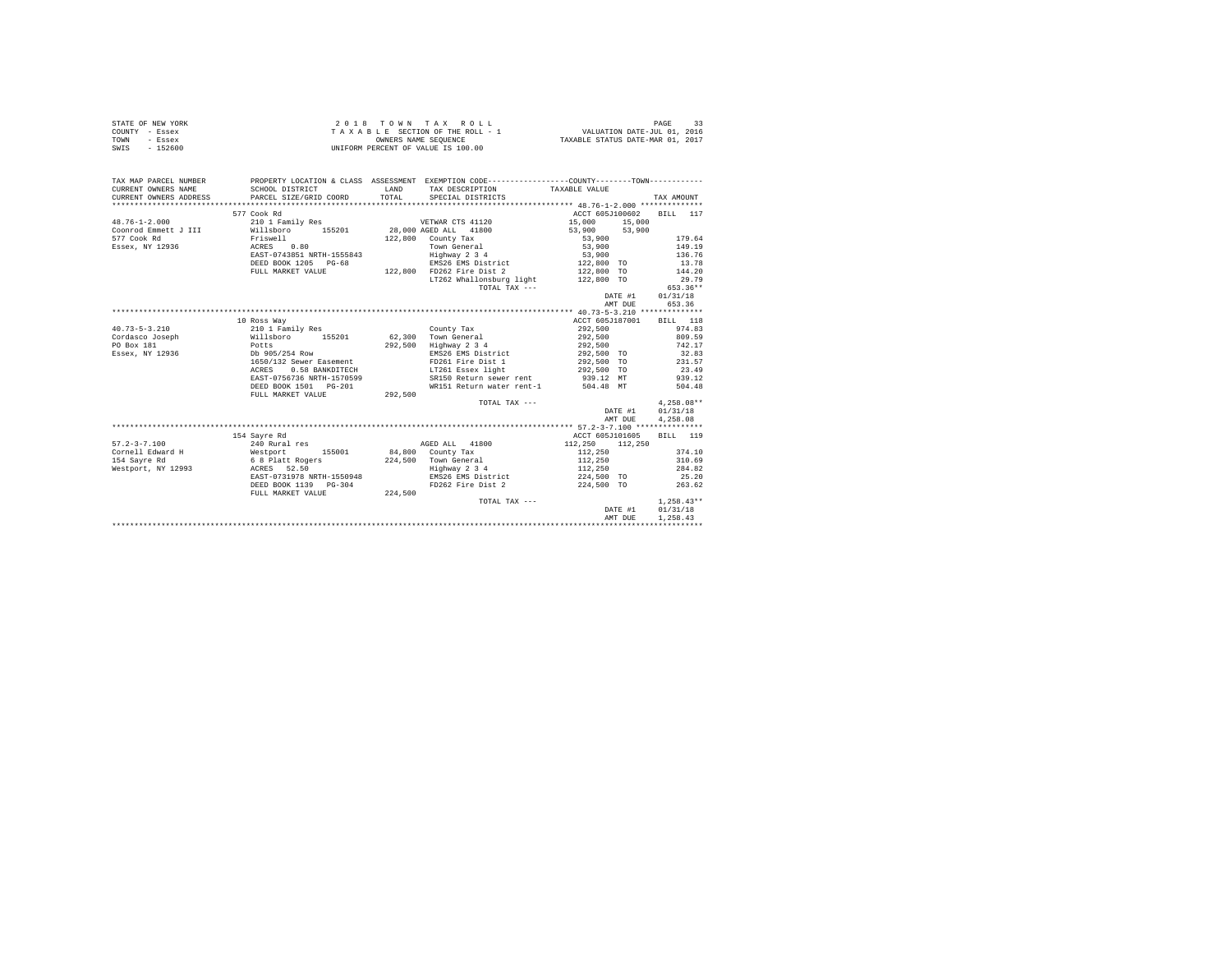| STATE OF NEW YORK<br>COUNTY - Essex<br>- Essex<br>TOWN<br>SWIS - 152600 |                                                                                                |              |                                              |                          |              |
|-------------------------------------------------------------------------|------------------------------------------------------------------------------------------------|--------------|----------------------------------------------|--------------------------|--------------|
| TAX MAP PARCEL NUMBER                                                   | PROPERTY LOCATION & CLASS ASSESSMENT EXEMPTION CODE----------------COUNTY-------TOWN---------- |              |                                              |                          |              |
| CURRENT OWNERS NAME SCHOOL DISTRICT                                     |                                                                                                | <b>T.AND</b> | TAX DESCRIPTION TAXABLE VALUE                |                          |              |
| CURRENT OWNERS ADDRESS PARCEL SIZE/GRID COORD                           |                                                                                                | TOTAL        | SPECIAL DISTRICTS                            |                          | TAX AMOUNT   |
|                                                                         |                                                                                                |              |                                              |                          |              |
|                                                                         | 577 Cook Rd                                                                                    |              |                                              | ACCT 605J100602 BILL 117 |              |
| $48.76 - 1 - 2.000$                                                     | 210 1 Family Res                                                                               |              | VETWAR CTS 41120                             | 15,000 15,000            |              |
| Coonrod Emmett J III                                                    | Willsboro 155201 28,000 AGED ALL 41800                                                         |              |                                              | 53,900 53,900            |              |
| 577 Cook Rd                                                             | Friswell<br>ACRES 0.80                                                                         |              | 122,800 County Tax                           | 53,900                   | 179.64       |
| Essex, NY 12936                                                         |                                                                                                |              | Town General                                 | 53,900                   | 149.19       |
|                                                                         | EAST-0743851 NRTH-1555843                                                                      |              | Highway 2 3 4                                | 53,900                   | 136.76       |
|                                                                         | DEED BOOK 1205 PG-68                                                                           |              | EMS26 EMS District                           | 122,800 TO               | 13.78        |
|                                                                         | FULL MARKET VALUE                                                                              |              | 122.800 FD262 Fire Dist 2                    | 122,800 TO               | 144.20       |
|                                                                         |                                                                                                |              | LT262 Whallonsburg light                     | $122,800$ TO             | 29.79        |
|                                                                         |                                                                                                |              | TOTAL TAX $---$                              |                          | $653.36**$   |
|                                                                         |                                                                                                |              |                                              | DATE #1 01/31/18         |              |
|                                                                         |                                                                                                |              |                                              | AMT DUE                  | 653.36       |
|                                                                         |                                                                                                |              |                                              |                          |              |
|                                                                         | 10 Ross Way                                                                                    |              |                                              | ACCT 605J187001          | BILL 118     |
| $40.73 - 5 - 3.210$                                                     | 210 1 Family Res                                                                               |              | County Tax                                   | 292.500                  | 974.83       |
| Cordasco Joseph                                                         | Willsboro 155201                                                                               |              | 62,300 Town General<br>292,500 Highway 2 3 4 | 292,500<br>292,500       | 809.59       |
| PO Box 181                                                              | Potts                                                                                          |              |                                              |                          | 742.17       |
| Essex, NY 12936                                                         | Db 905/254 Row                                                                                 |              | EMS26 EMS District                           | 292,500 TO<br>292,500 TO | 32.83        |
|                                                                         | 1650/132 Sewer Easement                                                                        |              | FD261 Fire Dist 1                            |                          | 231.57       |
|                                                                         | ACRES 0.58 BANKDITECH                                                                          |              | LT261 Essex light                            | 292,500 TO               | 23.49        |
|                                                                         | EAST-0756736 NRTH-1570599                                                                      |              | SR150 Return sewer rent                      | 939.12 MT 939.12         |              |
|                                                                         | DEED BOOK 1501 PG-201                                                                          |              | WR151 Return water rent-1 504.48 MT          |                          | 504.48       |
|                                                                         | FULL MARKET VALUE                                                                              | 292,500      |                                              |                          |              |
|                                                                         |                                                                                                |              | $TOTAI. TAX - - -$                           |                          | $4.258.08**$ |
|                                                                         |                                                                                                |              |                                              | DATE #1 01/31/18         |              |
|                                                                         |                                                                                                |              |                                              | AMT DUE 4.258.08         |              |
|                                                                         |                                                                                                |              |                                              |                          |              |
|                                                                         | 154 Sayre Rd                                                                                   |              |                                              | ACCT 605J101605          | BTT.T. 119   |
| $57.2 - 3 - 7.100$                                                      | 240 Rural res<br>Westport 155001                                                               |              | AGED ALL 41800                               | 112,250 112,250          |              |
| Cornell Edward H                                                        |                                                                                                |              | 84,800 County Tax                            | 112,250                  | 374.10       |
| 154 Savre Rd                                                            | 6 8 Platt Rogers<br>ACRES 52.50                                                                |              | 224,500 Town General                         | 112,250                  | 310.69       |
| Westport, NY 12993                                                      |                                                                                                |              | Highway 2 3 4                                | 112,250                  | 284.82       |
|                                                                         | EAST-0731978 NRTH-1550948                                                                      |              | EMS26 EMS District                           | 224,500 TO               | 25.20        |
|                                                                         | DEED BOOK 1139 PG-304                                                                          |              | FD262 Fire Dist 2                            | 224,500 TO               | 263.62       |
|                                                                         | FULL MARKET VALUE                                                                              | 224,500      |                                              |                          |              |
|                                                                         |                                                                                                |              | TOTAL TAX ---                                |                          | $1.258.43**$ |
|                                                                         |                                                                                                |              |                                              | DATE #1                  | 01/31/18     |
|                                                                         |                                                                                                |              |                                              | AMT DUE                  | 1.258.43     |
|                                                                         |                                                                                                |              |                                              |                          |              |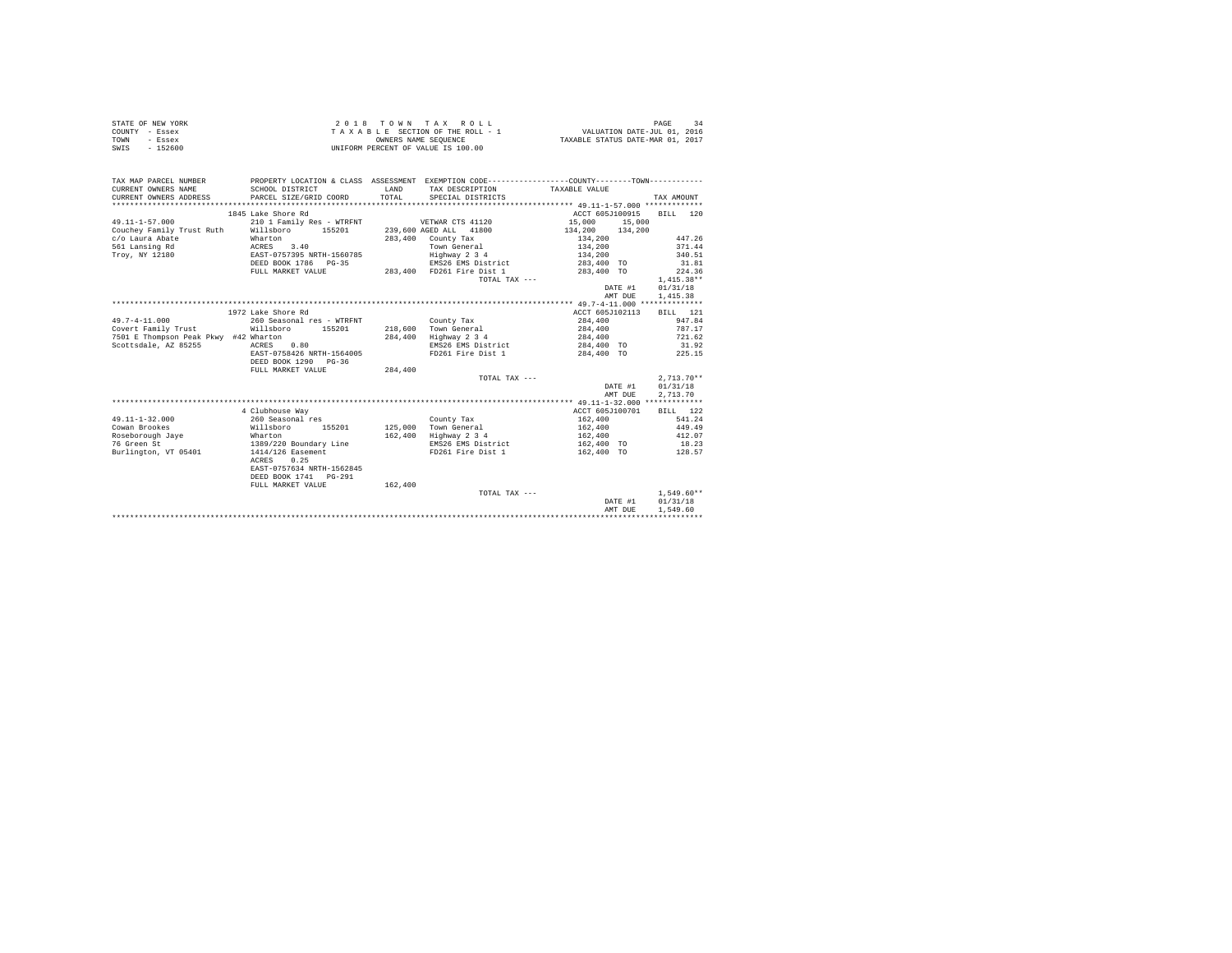| COUNTY - Essex<br>- Essex<br>TOWN     |                                                                                                 | TAXABLE SECTION OF THE ROLL - 1 |                                               | VALUATION DATE-JUL 01, 2016<br>TAXABLE STATUS DATE-MAR 01, 2017 |              |
|---------------------------------------|-------------------------------------------------------------------------------------------------|---------------------------------|-----------------------------------------------|-----------------------------------------------------------------|--------------|
| SWIS<br>$-152600$                     | UNIFORM PERCENT OF VALUE IS 100.00                                                              |                                 |                                               |                                                                 |              |
|                                       |                                                                                                 |                                 |                                               |                                                                 |              |
|                                       |                                                                                                 |                                 |                                               |                                                                 |              |
|                                       |                                                                                                 |                                 |                                               |                                                                 |              |
| TAX MAP PARCEL NUMBER                 | PROPERTY LOCATION & CLASS ASSESSMENT EXEMPTION CODE----------------COUNTY--------TOWN---------- |                                 |                                               |                                                                 |              |
| CURRENT OWNERS NAME                   | SCHOOL DISTRICT                                                                                 | LAND                            | TAX DESCRIPTION TAXABLE VALUE                 |                                                                 |              |
| CURRENT OWNERS ADDRESS                | PARCEL SIZE/GRID COORD                                                                          | TOTAL                           | SPECIAL DISTRICTS                             |                                                                 | TAX AMOUNT   |
|                                       |                                                                                                 |                                 |                                               |                                                                 |              |
|                                       | 1845 Lake Shore Rd                                                                              |                                 |                                               | ACCT 605J100915                                                 | BILL 120     |
| $49.11 - 1 - 57.000$                  | 210 1 Family Res - WTRFNT                                                                       |                                 | VETWAR CTS 41120                              | 15,000 15,000                                                   |              |
|                                       | Couchey Family Trust Ruth Willsboro 155201                                                      |                                 | 239,600 AGED ALL 41800                        | 134,200 134,200                                                 |              |
| c/o Laura Abate                       | Wharton                                                                                         |                                 | 283,400 County Tax                            | 134,200                                                         | 447.26       |
| 561 Lansing Rd                        | 3.40<br>ACRES                                                                                   |                                 | Town General                                  | 134,200                                                         | 371.44       |
| Trov, NY 12180                        | EAST-0757395 NRTH-1560785                                                                       |                                 | Highway 2 3 4                                 | 134,200                                                         | 340.51       |
|                                       | DEED BOOK 1786 PG-35                                                                            |                                 | EMS26 EMS District                            | 283,400 TO                                                      | 31.81        |
|                                       | FULL MARKET VALUE 283,400 FD261 Fire Dist 1                                                     |                                 |                                               | 283,400 TO                                                      | 224.36       |
|                                       |                                                                                                 |                                 | TOTAL TAX ---                                 |                                                                 | $1.415.38**$ |
|                                       |                                                                                                 |                                 |                                               | DATE #1                                                         | 01/31/18     |
|                                       |                                                                                                 |                                 |                                               | AMT DUE                                                         | 1,415.38     |
|                                       |                                                                                                 |                                 |                                               |                                                                 |              |
|                                       | 1972 Lake Shore Rd                                                                              |                                 |                                               | ACCT 605J102113                                                 | BILL 121     |
| $49.7 - 4 - 11.000$                   | 260 Seasonal res - WTRFNT County Tax                                                            |                                 |                                               | 284,400                                                         | 947.84       |
|                                       | Covert Family Trust Millsboro 155201                                                            |                                 | 218,600 Town General                          | 284,400                                                         | 787.17       |
| 7501 E Thompson Peak Pkwy #42 Wharton |                                                                                                 |                                 | 284,400 Highway 2 3 4                         | 284,400                                                         | 721.62       |
| Scottsdale, AZ 85255                  | 0.80<br>ACRES                                                                                   |                                 | EMS26 EMS District                            | 284,400 TO                                                      | 31.92        |
|                                       | EAST-0758426 NRTH-1564005                                                                       |                                 | FD261 Fire Dist 1                             | 284,400 TO                                                      | 225.15       |
|                                       | DEED BOOK 1290 PG-36                                                                            |                                 |                                               |                                                                 |              |
|                                       | FULL MARKET VALUE                                                                               | 284,400                         |                                               |                                                                 |              |
|                                       |                                                                                                 |                                 | TOTAL TAX ---                                 |                                                                 | $2,713.70**$ |
|                                       |                                                                                                 |                                 |                                               | DATE #1                                                         | 01/31/18     |
|                                       |                                                                                                 |                                 |                                               | AMT DUE                                                         | 2,713.70     |
|                                       |                                                                                                 |                                 |                                               |                                                                 |              |
|                                       | 4 Clubhouse Way                                                                                 |                                 |                                               | ACCT 605J100701                                                 | BILL 122     |
| $49.11 - 1 - 32.000$                  | 260 Seasonal res                                                                                |                                 | County Tax                                    | 162,400                                                         | 541.24       |
| Cowan Brookes                         | Willsboro 155201                                                                                |                                 |                                               | 162,400                                                         | 449.49       |
| Roseborough Jave                      | Wharton                                                                                         |                                 | 125,000 Town General<br>162,400 Highway 2 3 4 | 162,400                                                         | 412.07       |
| 76 Green St                           | 1389/220 Boundary Line<br>1414/126 Easement                                                     |                                 | EMS26 EMS District                            | 162,400 TO                                                      | 18.23        |
| Burlington, VT 05401                  |                                                                                                 |                                 | FD261 Fire Dist 1                             | 162,400 TO                                                      | 128.57       |
|                                       | 0.25<br>ACRES                                                                                   |                                 |                                               |                                                                 |              |
|                                       | EAST-0757634 NRTH-1562845                                                                       |                                 |                                               |                                                                 |              |
|                                       | DEED BOOK 1741 PG-291                                                                           |                                 |                                               |                                                                 |              |
|                                       | FULL MARKET VALUE                                                                               | 162,400                         |                                               |                                                                 |              |
|                                       |                                                                                                 |                                 | TOTAL TAX ---                                 |                                                                 | $1,549.60**$ |
|                                       |                                                                                                 |                                 |                                               | DATE #1                                                         | 01/31/18     |
|                                       |                                                                                                 |                                 |                                               | AMT DUE                                                         | 1,549.60     |
|                                       |                                                                                                 |                                 |                                               |                                                                 |              |

STATE OF NEW YORK 2 0 1 8 T O W N T A X R O L L PAGE 34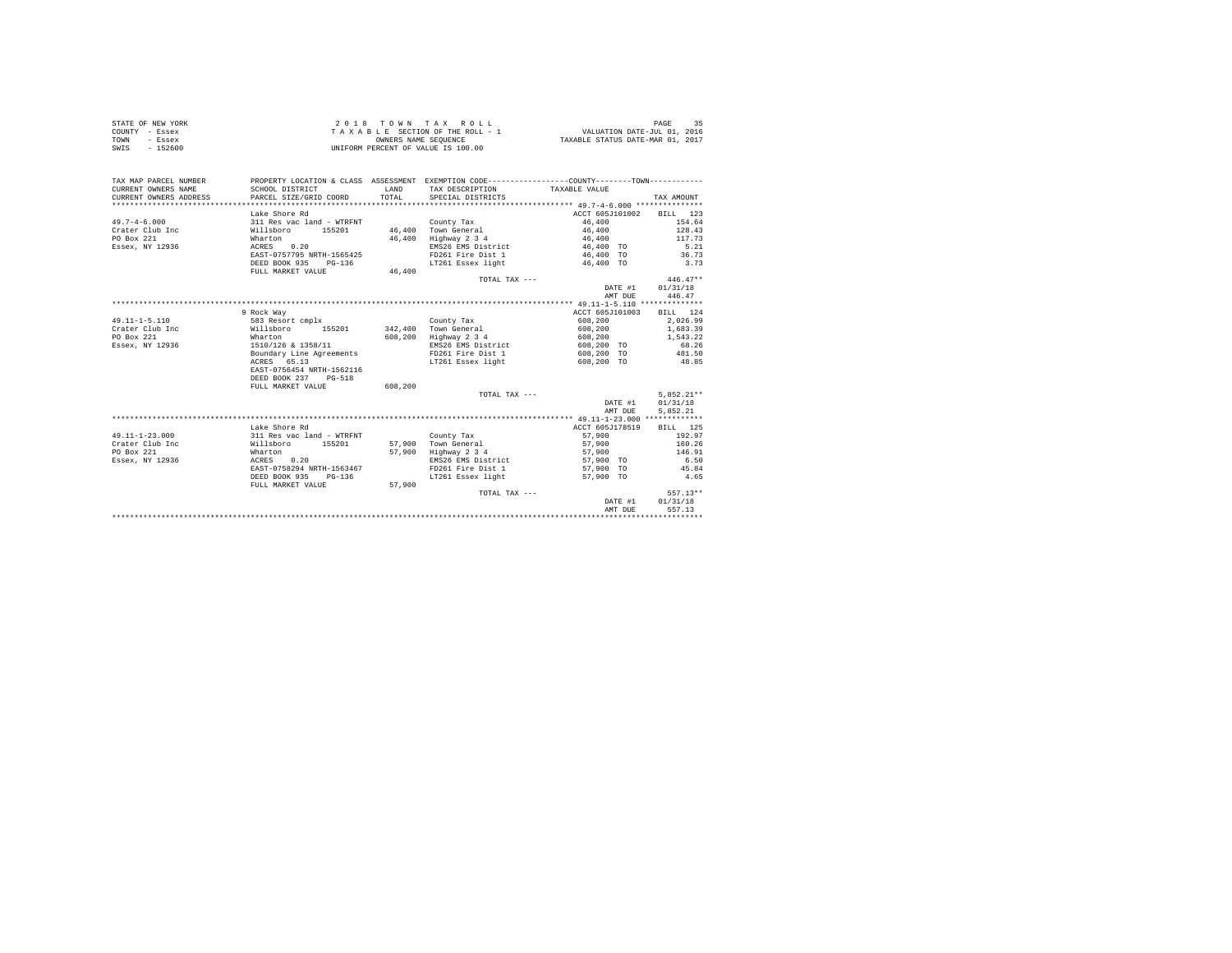| STATE OF NEW YORK | 2018 TOWN TAX ROLL                 | 35<br>PAGE                       |
|-------------------|------------------------------------|----------------------------------|
| COUNTY - Essex    | TAXABLE SECTION OF THE ROLL - 1    | VALUATION DATE-JUL 01, 2016      |
| TOWN<br>- Essex   | OWNERS NAME SEOUENCE               | TAXABLE STATUS DATE-MAR 01, 2017 |
| SWIS<br>$-152600$ | UNIFORM PERCENT OF VALUE IS 100.00 |                                  |

| TAX MAP PARCEL NUMBER<br>CURRENT OWNERS NAME<br>CURRENT OWNERS ADDRESS | SCHOOL DISTRICT<br>PARCEL SIZE/GRID COORD | <b>T.AND</b><br>TOTAL | PROPERTY LOCATION & CLASS ASSESSMENT EXEMPTION CODE---------------COUNTY-------TOWN---------<br>TAX DESCRIPTION TAXABLE VALUE<br>SPECIAL DISTRICTS |                 | TAX AMOUNT   |
|------------------------------------------------------------------------|-------------------------------------------|-----------------------|----------------------------------------------------------------------------------------------------------------------------------------------------|-----------------|--------------|
|                                                                        | Lake Shore Rd                             |                       |                                                                                                                                                    | ACCT 605J101002 | BILL 123     |
| $49.7 - 4 - 6.000$                                                     | 311 Res vac land - WTRFNT                 |                       | County Tax                                                                                                                                         | 46,400          | 154.64       |
| Crater Club Inc                                                        | Willsboro 155201                          |                       | 46.400 Town General                                                                                                                                | 46,400          | 128.43       |
| PO Box 221                                                             | Wharton                                   | 46,400                | Highway 2 3 4                                                                                                                                      | 46,400          | 117.73       |
| Essex, NY 12936                                                        | 0.20<br>ACRES                             |                       | EMS26 EMS District 46,400 TO                                                                                                                       |                 | 5.21         |
|                                                                        | EAST-0757795 NRTH-1565425                 |                       | FD261 Fire Dist 1 46,400 TO                                                                                                                        |                 | 36.73        |
|                                                                        | DEED BOOK 935<br>$PG-136$                 |                       | LT261 Essex light                                                                                                                                  | 46,400 TO       | 3.73         |
|                                                                        | FULL MARKET VALUE                         | 46,400                |                                                                                                                                                    |                 |              |
|                                                                        |                                           |                       | TOTAL TAX $---$                                                                                                                                    |                 | $446.47**$   |
|                                                                        |                                           |                       |                                                                                                                                                    | DATE #1         | 01/31/18     |
|                                                                        |                                           |                       |                                                                                                                                                    | AMT DUE         | 446.47       |
|                                                                        |                                           |                       |                                                                                                                                                    |                 |              |
|                                                                        | 9 Rock Way                                |                       |                                                                                                                                                    | ACCT 605J101003 | BILL 124     |
| $49.11 - 1 - 5.110$                                                    | 583 Resort cmplx                          |                       | County Tax                                                                                                                                         | 608,200         | 2.026.99     |
| Crater Club Inc                                                        | Willsboro<br>155201                       |                       | 342.400 Town General                                                                                                                               | 608,200         | 1,683.39     |
| PO Box 221                                                             | Wharton                                   | 608,200               | Highway 2 3 4                                                                                                                                      | 608,200         | 1,543.22     |
| Essex, NY 12936                                                        | 1510/126 & 1358/11                        |                       | EMS26 EMS District                                                                                                                                 | 608,200 TO      | 68.26        |
|                                                                        | Boundary Line Agreements                  |                       | FD261 Fire Dist 1                                                                                                                                  | 608,200 TO      | 481.50       |
|                                                                        | ACRES 65.13                               |                       | LT261 Essex light                                                                                                                                  | 608,200 TO      | 48.85        |
|                                                                        | EAST-0756454 NRTH-1562116                 |                       |                                                                                                                                                    |                 |              |
|                                                                        | DEED BOOK 237 PG-518                      |                       |                                                                                                                                                    |                 |              |
|                                                                        | FULL MARKET VALUE                         | 608,200               |                                                                                                                                                    |                 |              |
|                                                                        |                                           |                       | TOTAL TAX ---                                                                                                                                      |                 | $5.852.21**$ |
|                                                                        |                                           |                       |                                                                                                                                                    | DATE #1         | 01/31/18     |
|                                                                        |                                           |                       |                                                                                                                                                    | AMT DUE         | 5,852.21     |
|                                                                        |                                           |                       |                                                                                                                                                    |                 |              |
|                                                                        | Lake Shore Rd                             |                       |                                                                                                                                                    | ACCT 605J178519 | BILL 125     |
| $49.11 - 1 - 23.000$                                                   | 311 Res vac land - WTRFNT                 |                       | County Tax                                                                                                                                         | 57,900          | 192.97       |
| Crater Club Inc                                                        | Willsboro 155201                          |                       | 57,900 Town General                                                                                                                                | 57,900          | 160.26       |
| PO Box 221                                                             | Wharton                                   |                       | 57.900 Highway 2 3 4                                                                                                                               | 57,900          | 146.91       |
| Essex, NY 12936                                                        | 0.20<br>ACRES                             |                       | EMS26 EMS District                                                                                                                                 | 57,900 TO       | 6.50         |
|                                                                        | EAST-0758294 NRTH-1563467                 |                       | FD261 Fire Dist 1                                                                                                                                  | 57,900 TO       | 45.84        |
|                                                                        | DEED BOOK 935<br>$PG-136$                 |                       | LT261 Essex light                                                                                                                                  | 57.900 TO       | 4.65         |
|                                                                        | FULL MARKET VALUE                         | 57,900                |                                                                                                                                                    |                 |              |
|                                                                        |                                           |                       | TOTAL TAX ---                                                                                                                                      |                 | 557.13**     |
|                                                                        |                                           |                       |                                                                                                                                                    | DATE #1         | 01/31/18     |
|                                                                        |                                           |                       |                                                                                                                                                    | AMT DUE         | 557.13       |
|                                                                        |                                           |                       |                                                                                                                                                    |                 |              |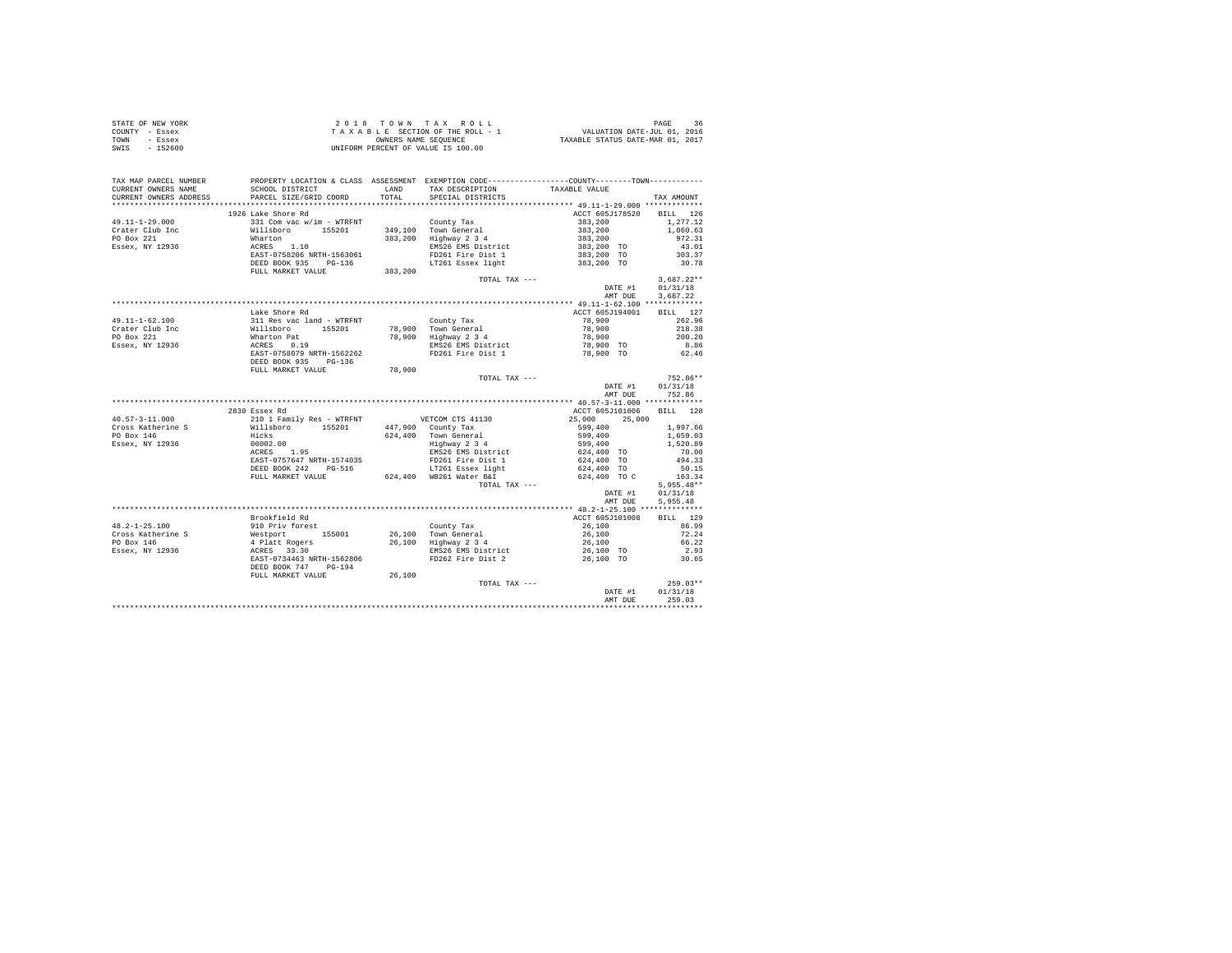| STATE OF NEW YORK | 2018 TOWN TAX ROLL                 | PAGE                             |
|-------------------|------------------------------------|----------------------------------|
| COUNTY - Essex    | TAXABLE SECTION OF THE ROLL - 1    | VALUATION DATE-JUL 01, 2016      |
| TOWN<br>- Essex   | OWNERS NAME SEOUENCE               | TAXABLE STATUS DATE-MAR 01, 2017 |
| - 152600<br>SWIS  | UNIFORM PERCENT OF VALUE IS 100.00 |                                  |

| TAX MAP PARCEL NUMBER                                                                                                                                                                                                                              | PROPERTY LOCATION & CLASS ASSESSMENT EXEMPTION CODE----------------COUNTY-------TOWN---------- |               |                                                                                                                       |                                      |
|----------------------------------------------------------------------------------------------------------------------------------------------------------------------------------------------------------------------------------------------------|------------------------------------------------------------------------------------------------|---------------|-----------------------------------------------------------------------------------------------------------------------|--------------------------------------|
|                                                                                                                                                                                                                                                    |                                                                                                |               |                                                                                                                       |                                      |
|                                                                                                                                                                                                                                                    |                                                                                                |               |                                                                                                                       | TAX AMOUNT                           |
|                                                                                                                                                                                                                                                    |                                                                                                |               |                                                                                                                       |                                      |
|                                                                                                                                                                                                                                                    | 1926 Lake Shore Rd                                                                             |               | ACCT 605J178520 BILL 126                                                                                              |                                      |
|                                                                                                                                                                                                                                                    |                                                                                                |               |                                                                                                                       |                                      |
|                                                                                                                                                                                                                                                    |                                                                                                |               |                                                                                                                       |                                      |
|                                                                                                                                                                                                                                                    |                                                                                                |               |                                                                                                                       |                                      |
|                                                                                                                                                                                                                                                    |                                                                                                |               |                                                                                                                       |                                      |
|                                                                                                                                                                                                                                                    |                                                                                                |               |                                                                                                                       |                                      |
|                                                                                                                                                                                                                                                    |                                                                                                |               |                                                                                                                       |                                      |
|                                                                                                                                                                                                                                                    |                                                                                                |               |                                                                                                                       |                                      |
|                                                                                                                                                                                                                                                    |                                                                                                | TOTAL TAX --- |                                                                                                                       | $3,687.22**$                         |
|                                                                                                                                                                                                                                                    |                                                                                                |               |                                                                                                                       |                                      |
|                                                                                                                                                                                                                                                    |                                                                                                |               |                                                                                                                       | DATE #1 01/31/18<br>AMT DUE 3,687.22 |
|                                                                                                                                                                                                                                                    |                                                                                                |               |                                                                                                                       |                                      |
| 19911-1-62.1000<br>2010.11 - 12.127<br>2011-1-62.1000 112 - 13.11 Res vac Land – WTRFNT<br>2011-62.1000 1128 vac Land – WTRFNT<br>2012-02.900 112836<br>2012-2022<br>2012-2023 112836<br>202.2023 112836<br>202.202.2023<br>202.202.202.20<br>202. |                                                                                                |               |                                                                                                                       |                                      |
|                                                                                                                                                                                                                                                    |                                                                                                |               |                                                                                                                       |                                      |
|                                                                                                                                                                                                                                                    |                                                                                                |               |                                                                                                                       |                                      |
|                                                                                                                                                                                                                                                    |                                                                                                |               |                                                                                                                       |                                      |
|                                                                                                                                                                                                                                                    |                                                                                                |               |                                                                                                                       |                                      |
|                                                                                                                                                                                                                                                    |                                                                                                |               |                                                                                                                       |                                      |
|                                                                                                                                                                                                                                                    |                                                                                                |               |                                                                                                                       |                                      |
|                                                                                                                                                                                                                                                    | FULL MARKET VALUE 78,900                                                                       |               |                                                                                                                       |                                      |
|                                                                                                                                                                                                                                                    |                                                                                                | TOTAL TAX --- |                                                                                                                       | $752.86**$                           |
|                                                                                                                                                                                                                                                    |                                                                                                |               |                                                                                                                       |                                      |
|                                                                                                                                                                                                                                                    |                                                                                                |               |                                                                                                                       | DATE #1 01/31/18<br>AMT DUE 752.86   |
|                                                                                                                                                                                                                                                    |                                                                                                |               |                                                                                                                       |                                      |
|                                                                                                                                                                                                                                                    |                                                                                                |               |                                                                                                                       |                                      |
|                                                                                                                                                                                                                                                    | 2830 Essex Rd                                                                                  |               | ACCT 605J101006 BILL 128                                                                                              |                                      |
|                                                                                                                                                                                                                                                    |                                                                                                |               |                                                                                                                       |                                      |
|                                                                                                                                                                                                                                                    |                                                                                                |               |                                                                                                                       |                                      |
|                                                                                                                                                                                                                                                    |                                                                                                |               |                                                                                                                       |                                      |
|                                                                                                                                                                                                                                                    |                                                                                                |               |                                                                                                                       |                                      |
|                                                                                                                                                                                                                                                    |                                                                                                |               |                                                                                                                       |                                      |
|                                                                                                                                                                                                                                                    |                                                                                                |               |                                                                                                                       |                                      |
|                                                                                                                                                                                                                                                    |                                                                                                |               |                                                                                                                       |                                      |
|                                                                                                                                                                                                                                                    |                                                                                                |               |                                                                                                                       |                                      |
|                                                                                                                                                                                                                                                    |                                                                                                |               |                                                                                                                       |                                      |
|                                                                                                                                                                                                                                                    |                                                                                                |               |                                                                                                                       | DATE #1 01/31/18                     |
|                                                                                                                                                                                                                                                    |                                                                                                |               | AMT DUE                                                                                                               | 5.955.48                             |
|                                                                                                                                                                                                                                                    |                                                                                                |               |                                                                                                                       |                                      |
|                                                                                                                                                                                                                                                    |                                                                                                |               |                                                                                                                       |                                      |
|                                                                                                                                                                                                                                                    |                                                                                                |               |                                                                                                                       |                                      |
|                                                                                                                                                                                                                                                    |                                                                                                |               |                                                                                                                       |                                      |
|                                                                                                                                                                                                                                                    |                                                                                                |               |                                                                                                                       |                                      |
|                                                                                                                                                                                                                                                    |                                                                                                |               |                                                                                                                       |                                      |
|                                                                                                                                                                                                                                                    |                                                                                                |               |                                                                                                                       |                                      |
|                                                                                                                                                                                                                                                    |                                                                                                |               |                                                                                                                       |                                      |
|                                                                                                                                                                                                                                                    |                                                                                                |               |                                                                                                                       |                                      |
|                                                                                                                                                                                                                                                    |                                                                                                |               | TOTAL TAX --- $\texttt{DATA} \quad \texttt{MAX} \quad -- \\ \texttt{DATE} \quad \texttt{H1} \qquad \texttt{01/31/18}$ | $259.03**$                           |
|                                                                                                                                                                                                                                                    |                                                                                                |               |                                                                                                                       |                                      |
|                                                                                                                                                                                                                                                    |                                                                                                |               |                                                                                                                       | AMT DUE 259.03                       |
|                                                                                                                                                                                                                                                    |                                                                                                |               |                                                                                                                       |                                      |
|                                                                                                                                                                                                                                                    |                                                                                                |               |                                                                                                                       |                                      |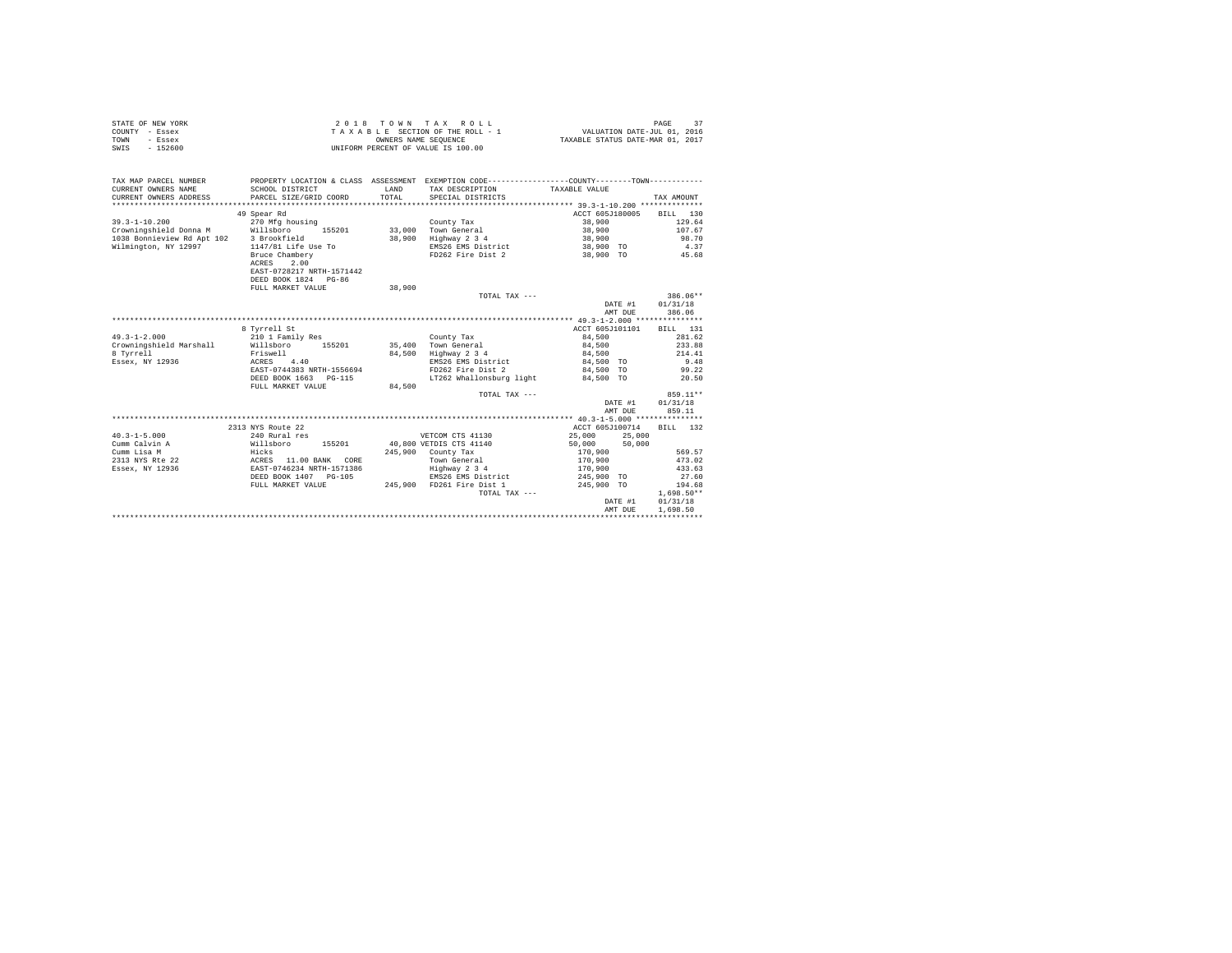| STATE OF NEW YORK | 2018 TOWN TAX ROLL                 | PAGE                             |
|-------------------|------------------------------------|----------------------------------|
| COUNTY - Essex    | TAXABLE SECTION OF THE ROLL - 1    | VALUATION DATE-JUL 01, 2016      |
| TOWN<br>- Essex   | OWNERS NAME SEOUENCE               | TAXABLE STATUS DATE-MAR 01, 2017 |
| $-152600$<br>SWIS | UNIFORM PERCENT OF VALUE IS 100.00 |                                  |

| TAX MAP PARCEL NUMBER<br>CURRENT OWNERS NAME<br>CURRENT OWNERS ADDRESS | SCHOOL DISTRICT<br>PARCEL SIZE/GRID COORD | <b>T.AND</b><br>TOTAL | PROPERTY LOCATION & CLASS ASSESSMENT EXEMPTION CODE---------------COUNTY-------TOWN----------<br>TAX DESCRIPTION<br>SPECIAL DISTRICTS | TAXABLE VALUE    | TAX AMOUNT   |
|------------------------------------------------------------------------|-------------------------------------------|-----------------------|---------------------------------------------------------------------------------------------------------------------------------------|------------------|--------------|
|                                                                        | 49 Spear Rd                               |                       |                                                                                                                                       | ACCT 605J180005  | BILL 130     |
| $39.3 - 1 - 10.200$                                                    | 270 Mfg housing                           |                       | County Tax                                                                                                                            | 38,900           | 129.64       |
| Crowningshield Donna M                                                 | Willsboro<br>155201                       |                       | 33,000 Town General                                                                                                                   | 38,900           | 107.67       |
| 1038 Bonnieview Rd Apt 102 3 Brookfield                                |                                           | 38,900                | Highway 2 3 4                                                                                                                         | 38,900           | 98.70        |
| Wilmington, NY 12997                                                   | 1147/81 Life Use To                       |                       | EMS26 EMS District                                                                                                                    | 38,900 TO        | 4.37         |
|                                                                        | Bruce Chambery                            |                       | FD262 Fire Dist 2                                                                                                                     | 38,900 TO        | 45.68        |
|                                                                        | ACRES<br>2.00                             |                       |                                                                                                                                       |                  |              |
|                                                                        | EAST-0728217 NRTH-1571442                 |                       |                                                                                                                                       |                  |              |
|                                                                        | DEED BOOK 1824 PG-86                      |                       |                                                                                                                                       |                  |              |
|                                                                        | FULL MARKET VALUE                         | 38,900                |                                                                                                                                       |                  |              |
|                                                                        |                                           |                       | TOTAL TAX ---                                                                                                                         |                  | 386.06**     |
|                                                                        |                                           |                       |                                                                                                                                       | DATE #1          | 01/31/18     |
|                                                                        |                                           |                       |                                                                                                                                       | AMT DUE          | 386.06       |
|                                                                        |                                           |                       |                                                                                                                                       |                  |              |
|                                                                        | 8 Tyrrell St                              |                       |                                                                                                                                       | ACCT 605J101101  | BILL 131     |
| $49.3 - 1 - 2.000$                                                     | 210 1 Family Res                          |                       | County Tax                                                                                                                            | 84,500           | 281.62       |
| Crowningshield Marshall                                                | Willsboro<br>155201                       |                       | 35,400 Town General                                                                                                                   | 84,500           | 233.88       |
| 8 Tyrrell                                                              | Friswell                                  | 84,500                | Highway 2 3 4                                                                                                                         | 84,500           | 214.41       |
| Essex, NY 12936                                                        | 4.40<br>ACRES                             |                       | EMS26 EMS District                                                                                                                    | 84,500 TO        | 9.48         |
|                                                                        | EAST-0744383 NRTH-1556694                 |                       | FD262 Fire Dist 2                                                                                                                     | 84,500 TO        | 99.22        |
|                                                                        | DEED BOOK 1663 PG-115                     |                       | LT262 Whallonsburg light                                                                                                              | 84,500 TO        | 20.50        |
|                                                                        | FULL MARKET VALUE                         | 84,500                |                                                                                                                                       |                  |              |
|                                                                        |                                           |                       | TOTAL TAX ---                                                                                                                         |                  | 859.11**     |
|                                                                        |                                           |                       |                                                                                                                                       | DATE #1          | 01/31/18     |
|                                                                        |                                           |                       |                                                                                                                                       | AMT DUE          | 859.11       |
|                                                                        |                                           |                       |                                                                                                                                       |                  |              |
|                                                                        | 2313 NYS Route 22                         |                       |                                                                                                                                       | ACCT 605J100714  | RTLL 132     |
| $40.3 - 1 - 5.000$                                                     | 240 Rural res                             |                       | VETCOM CTS 41130                                                                                                                      | 25,000<br>25,000 |              |
| Cumm Calvin A                                                          | Willsboro<br>155201                       |                       | 40,800 VETDIS CTS 41140                                                                                                               | 50,000<br>50.000 |              |
| Cumm Lisa M                                                            | Hicks                                     |                       | 245,900 County Tax                                                                                                                    | 170,900          | 569.57       |
| 2313 NYS Rte 22                                                        | ACRES 11.00 BANK CORE                     |                       | Town General                                                                                                                          | 170,900          | 473.02       |
| Essex, NY 12936                                                        | EAST-0746234 NRTH-1571386                 |                       | Highway 2 3 4                                                                                                                         | 170,900          | 433.63       |
|                                                                        | DEED BOOK 1407 PG-105                     |                       | EMS26 EMS District                                                                                                                    | 245,900 TO       | 27.60        |
|                                                                        | FULL MARKET VALUE                         |                       | 245,900 FD261 Fire Dist 1                                                                                                             | 245,900 TO       | 194.68       |
|                                                                        |                                           |                       | TOTAL TAX ---                                                                                                                         |                  | $1.698.50**$ |
|                                                                        |                                           |                       |                                                                                                                                       | DATE #1          | 01/31/18     |
|                                                                        |                                           |                       |                                                                                                                                       | AMT DUE          | 1,698.50     |
|                                                                        |                                           |                       |                                                                                                                                       |                  |              |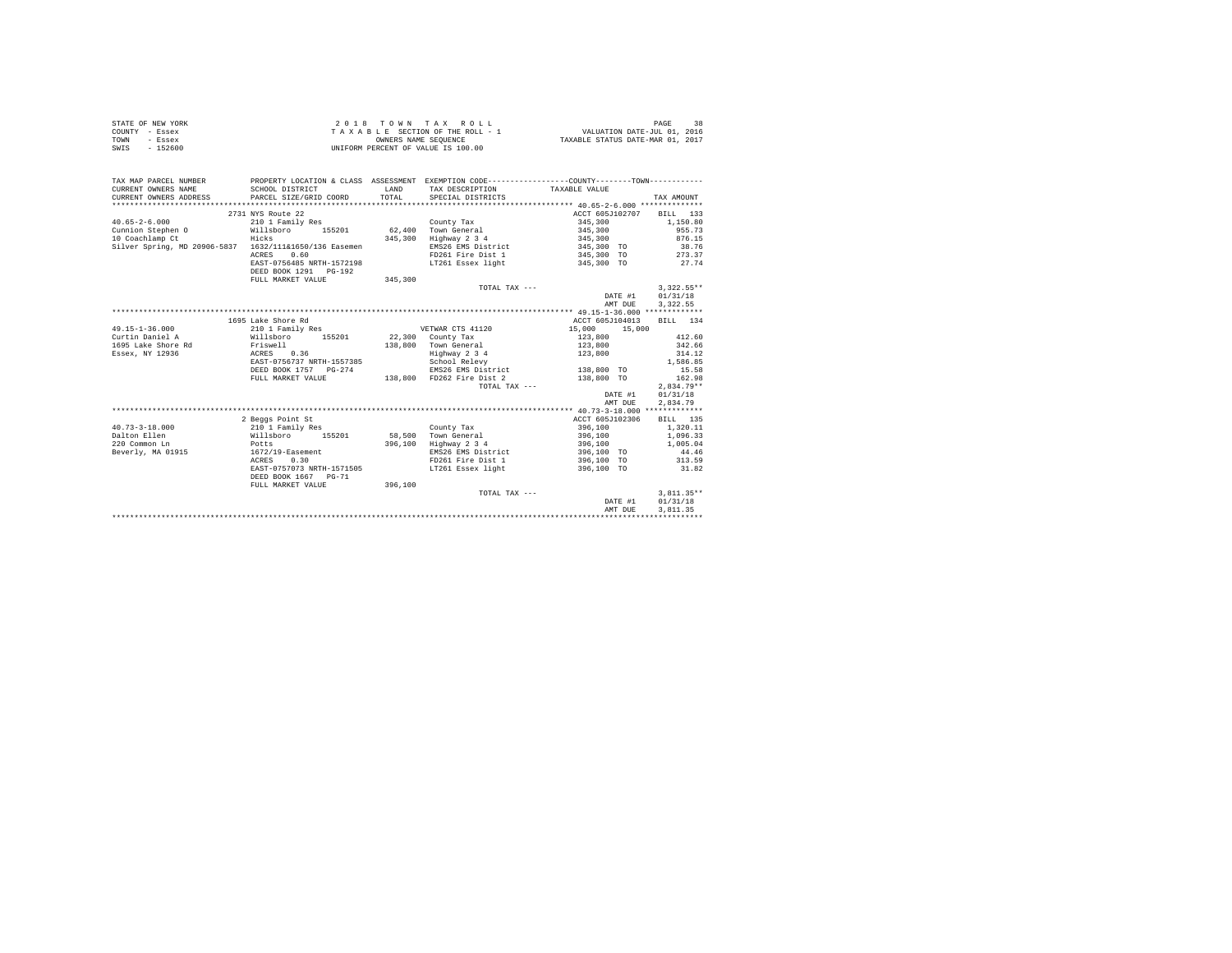| STATE OF NEW YORK | 2018 TOWN TAX ROLL                 | PAGE                             |
|-------------------|------------------------------------|----------------------------------|
| COUNTY - Essex    | TAXABLE SECTION OF THE ROLL - 1    | VALUATION DATE-JUL 01, 2016      |
| TOWN<br>- Essex   | OWNERS NAME SEOUENCE               | TAXABLE STATUS DATE-MAR 01, 2017 |
| SWIS<br>$-152600$ | UNIFORM PERCENT OF VALUE IS 100.00 |                                  |

| TAX MAP PARCEL NUMBER<br>CURRENT OWNERS NAME<br>CURRENT OWNERS ADDRESS | PROPERTY LOCATION & CLASS ASSESSMENT EXEMPTION CODE----------------COUNTY--------TOWN----------<br>SCHOOL DISTRICT<br>PARCEL SIZE/GRID COORD | <b>T.AND</b><br>TOTAL | TAX DESCRIPTION TAXABLE VALUE<br>SPECIAL DISTRICTS |                 | TAX AMOUNT        |
|------------------------------------------------------------------------|----------------------------------------------------------------------------------------------------------------------------------------------|-----------------------|----------------------------------------------------|-----------------|-------------------|
|                                                                        | 2731 NYS Route 22                                                                                                                            |                       |                                                    | ACCT 605J102707 | BILL 133          |
| $40.65 - 2 - 6.000$                                                    | 210 1 Family Res                                                                                                                             |                       | County Tax                                         | 345,300         | 1,150.80          |
|                                                                        |                                                                                                                                              |                       | 62.400 Town General                                |                 |                   |
| Cunnion Stephen O                                                      | Willsboro<br>155201                                                                                                                          |                       |                                                    | 345,300         | 955.73            |
| 10 Coachlamp Ct                                                        | Hicks                                                                                                                                        | 345,300               | Highway 2 3 4                                      | 345,300         | 876.15            |
| Silver Spring, MD 20906-5837 1632/111&1650/136 Easemen                 |                                                                                                                                              |                       | EMS26 EMS District                                 | 345,300 TO      | 38.76             |
|                                                                        | 0.60<br>ACRES                                                                                                                                |                       | FD261 Fire Dist 1                                  |                 | 345,300 TO 273,37 |
|                                                                        | EAST-0756485 NRTH-1572198<br>DEED BOOK 1291 PG-192                                                                                           |                       | LT261 Essex light                                  | 345,300 TO      | 27.74             |
|                                                                        | FULL MARKET VALUE                                                                                                                            | 345,300               |                                                    |                 |                   |
|                                                                        |                                                                                                                                              |                       | TOTAL TAX ---                                      |                 | $3.322.55**$      |
|                                                                        |                                                                                                                                              |                       |                                                    | DATE #1         | 01/31/18          |
|                                                                        |                                                                                                                                              |                       |                                                    | AMT DUE         | 3,322.55          |
|                                                                        |                                                                                                                                              |                       |                                                    |                 |                   |
|                                                                        | 1695 Lake Shore Rd                                                                                                                           |                       |                                                    | ACCT 605J104013 | BILL 134          |
| $49.15 - 1 - 36.000$                                                   | 210 1 Family Res                                                                                                                             |                       | VETWAR CTS 41120                                   | 15,000          | 15,000            |
| Curtin Daniel A                                                        | Willsboro 155201                                                                                                                             |                       | 22,300 County Tax                                  | 123,800         | 412.60            |
| 1695 Lake Shore Rd                                                     | Friswell                                                                                                                                     |                       | 138,800 Town General                               | 123,800         | 342.66            |
| Essex, NY 12936                                                        | $ACRES$ 0.36                                                                                                                                 |                       | Highway 2 3 4                                      | 123,800         | 314.12            |
|                                                                        | EAST-0756737 NRTH-1557385                                                                                                                    |                       | School Relevy                                      |                 | 1,586.85          |
|                                                                        |                                                                                                                                              |                       | EMS26 EMS District                                 | 138,800 TO      | 15.58             |
|                                                                        | FULL MARKET VALUE                                                                                                                            |                       | 138,800 FD262 Fire Dist 2                          | 138,800 TO      | 162.98            |
|                                                                        |                                                                                                                                              |                       | TOTAL TAX ---                                      |                 | $2.834.79**$      |
|                                                                        |                                                                                                                                              |                       |                                                    | DATE #1         | 01/31/18          |
|                                                                        |                                                                                                                                              |                       |                                                    | AMT DUE         | 2,834.79          |
|                                                                        |                                                                                                                                              |                       |                                                    |                 |                   |
|                                                                        | 2 Beggs Point St                                                                                                                             |                       |                                                    | ACCT 605J102306 | BILL 135          |
| $40.73 - 3 - 18.000$                                                   | 210 1 Family Res                                                                                                                             |                       | County Tax                                         | 396,100         | 1,320.11          |
| Dalton Ellen<br>Willsboro                                              | 155201                                                                                                                                       |                       | 58.500 Town General                                |                 |                   |
| 220 Common Ln                                                          |                                                                                                                                              |                       |                                                    | 396,100         | 1,096.33          |
|                                                                        | Potts                                                                                                                                        | 396,100               | Highway 2 3 4                                      | 396,100         | 1,005.04          |
| Beverly, MA 01915                                                      | 1672/19-Easement                                                                                                                             |                       | EMS26 EMS District                                 | 396,100 TO      | 44.46             |
|                                                                        | ACRES 0.30                                                                                                                                   |                       | FD261 Fire Dist 1                                  | 396,100 TO      | 313.59            |
|                                                                        | EAST-0757073 NRTH-1571505                                                                                                                    |                       | LT261 Essex light                                  | 396,100 TO      | 31.82             |
|                                                                        | DEED BOOK 1667 PG-71                                                                                                                         |                       |                                                    |                 |                   |
|                                                                        | FULL MARKET VALUE                                                                                                                            | 396,100               |                                                    |                 |                   |
|                                                                        |                                                                                                                                              |                       | TOTAL TAX ---                                      |                 | $3.811.35**$      |
|                                                                        |                                                                                                                                              |                       |                                                    | DATE #1         | 01/31/18          |
|                                                                        |                                                                                                                                              |                       |                                                    | AMT DUE         | 3.811.35          |
|                                                                        |                                                                                                                                              |                       |                                                    |                 |                   |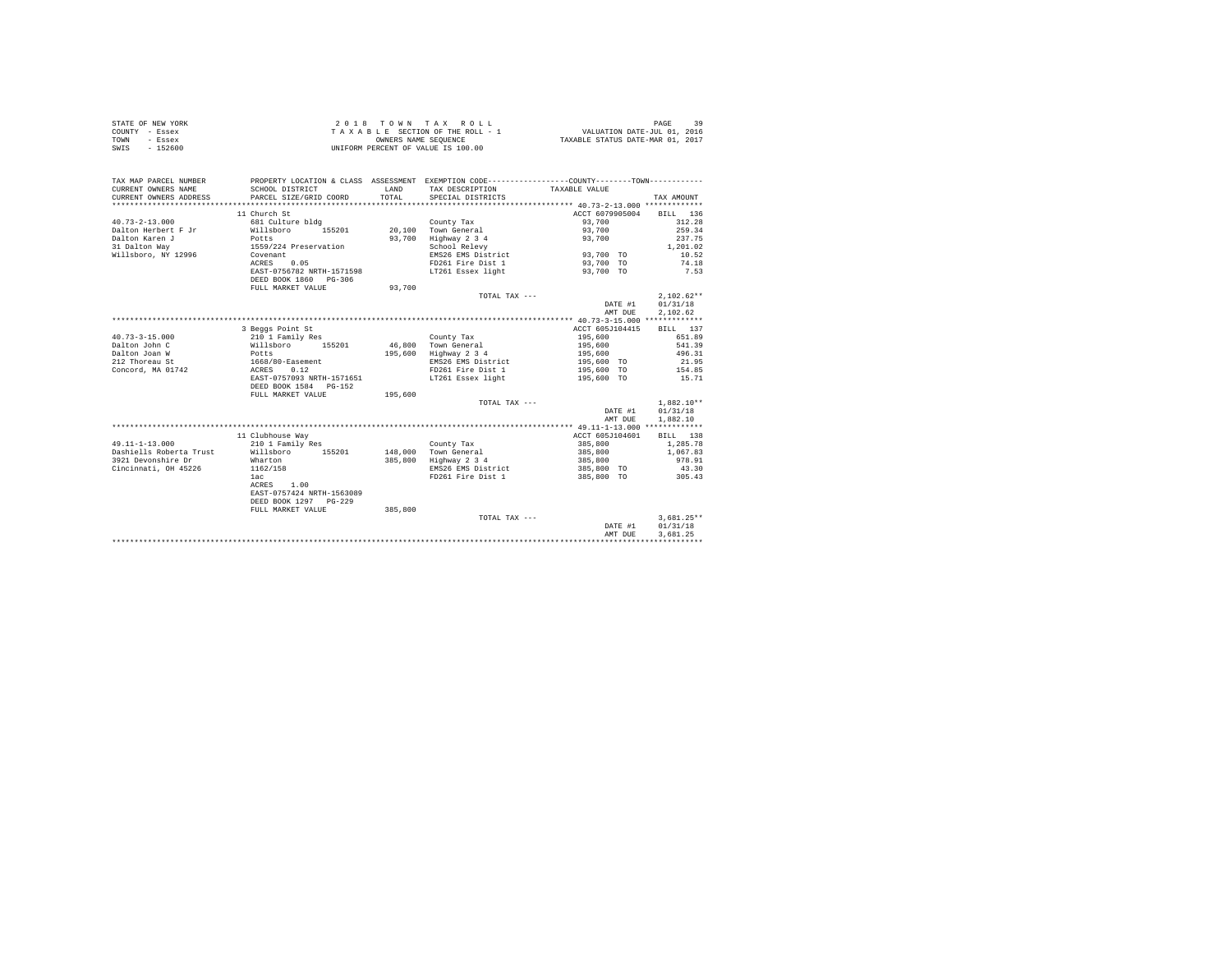|                | STATE OF NEW YORK | 2018 TOWN TAX ROLL                 | PAGE                             |
|----------------|-------------------|------------------------------------|----------------------------------|
| COUNTY - Essex |                   | TAXABLE SECTION OF THE ROLL - 1    | VALUATION DATE-JUL 01, 2016      |
| TOWN           | - Essex           | OWNERS NAME SEOUENCE               | TAXABLE STATUS DATE-MAR 01, 2017 |
| SWIS           | $-152600$         | UNIFORM PERCENT OF VALUE IS 100.00 |                                  |

| TAX MAP PARCEL NUMBER<br>CURRENT OWNERS NAME | SCHOOL DISTRICT                                    | LAND    | PROPERTY LOCATION & CLASS ASSESSMENT EXEMPTION CODE----------------COUNTY--------TOWN----------<br>TAX DESCRIPTION | TAXABLE VALUE   |              |
|----------------------------------------------|----------------------------------------------------|---------|--------------------------------------------------------------------------------------------------------------------|-----------------|--------------|
| CURRENT OWNERS ADDRESS                       | PARCEL SIZE/GRID COORD                             | TOTAL.  | SPECIAL DISTRICTS                                                                                                  |                 | TAX AMOUNT   |
|                                              |                                                    |         |                                                                                                                    |                 |              |
|                                              | 11 Church St                                       |         |                                                                                                                    | ACCT 6079905004 | BILL 136     |
| $40.73 - 2 - 13.000$                         | 681 Culture bldg                                   |         | County Tax                                                                                                         | 93,700          | 312.28       |
| Dalton Herbert F Jr                          | 155201<br>Willsboro                                |         | 20.100 Town General                                                                                                | 93,700          | 259.34       |
| Dalton Karen J                               | Potts                                              | 93,700  | Highway 2 3 4                                                                                                      | 93,700          | 237.75       |
| 31 Dalton Way                                | 1559/224 Preservation                              |         | School Relevy                                                                                                      |                 | 1,201.02     |
| Willsboro, NY 12996                          | Covenant                                           |         | EMS26 EMS District                                                                                                 | 93,700 TO       | 10.52        |
|                                              | 0.05<br>ACRES                                      |         | FD261 Fire Dist 1                                                                                                  | 93,700 TO       | 74.18        |
|                                              | EAST-0756782 NRTH-1571598<br>DEED BOOK 1860 PG-306 |         | LT261 Essex light                                                                                                  | 93,700 TO       | 7.53         |
|                                              | FULL MARKET VALUE                                  | 93,700  |                                                                                                                    |                 |              |
|                                              |                                                    |         | TOTAL TAX ---                                                                                                      |                 | $2.102.62**$ |
|                                              |                                                    |         |                                                                                                                    | DATE #1         | 01/31/18     |
|                                              |                                                    |         |                                                                                                                    | AMT DUE         | 2.102.62     |
|                                              |                                                    |         |                                                                                                                    |                 |              |
|                                              | 3 Beggs Point St                                   |         |                                                                                                                    | ACCT 605J104415 | BILL<br>137  |
| $40.73 - 3 - 15.000$                         | 210 1 Family Res                                   |         | County Tax                                                                                                         | 195,600         | 651.89       |
| Dalton John C                                | Willsboro<br>155201                                |         | 46.800 Town General                                                                                                | 195,600         | 541.39       |
| Dalton Joan W                                | Potts                                              |         | 195,600 Highway 2 3 4                                                                                              | 195,600         | 496.31       |
| 212 Thoreau St                               | 1668/80-Easement                                   |         | EMS26 EMS District                                                                                                 | 195,600 TO      | 21.95        |
| Concord, MA 01742                            | 0.12<br>ACRES                                      |         | FD261 Fire Dist 1                                                                                                  | 195,600 TO      | 154.85       |
|                                              | EAST-0757093 NRTH-1571651                          |         | LT261 Essex light                                                                                                  | 195,600 TO      | 15.71        |
|                                              | DEED BOOK 1584 PG-152                              |         |                                                                                                                    |                 |              |
|                                              | FULL MARKET VALUE                                  | 195,600 |                                                                                                                    |                 |              |
|                                              |                                                    |         | TOTAL TAX ---                                                                                                      |                 | $1.882.10**$ |
|                                              |                                                    |         |                                                                                                                    | DATE #1         | 01/31/18     |
|                                              |                                                    |         |                                                                                                                    | AMT DUE         | 1,882.10     |
|                                              |                                                    |         |                                                                                                                    |                 |              |
|                                              | 11 Clubhouse Way                                   |         |                                                                                                                    | ACCT 605J104601 | BILL 138     |
| $49.11 - 1 - 13.000$                         | 210 1 Family Res                                   |         | County Tax                                                                                                         | 385,800         | 1,285.78     |
| Dashiells Roberta Trust                      | Willsboro 155201                                   |         | 148,000 Town General                                                                                               | 385,800         | 1,067.83     |
| 3921 Devonshire Dr                           | Wharton                                            | 385,800 | Highway 2 3 4                                                                                                      | 385,800         | 978.91       |
| Cincinnati, OH 45226                         | 1162/158                                           |         | EMS26 EMS District                                                                                                 | 385,800 TO      | 43.30        |
|                                              | 1ac                                                |         | FD261 Fire Dist 1                                                                                                  | 385,800 TO      | 305.43       |
|                                              | 1.00<br>ACRES                                      |         |                                                                                                                    |                 |              |
|                                              | EAST-0757424 NRTH-1563089                          |         |                                                                                                                    |                 |              |
|                                              | DEED BOOK 1297 PG-229                              |         |                                                                                                                    |                 |              |
|                                              | FULL MARKET VALUE                                  | 385,800 |                                                                                                                    |                 |              |
|                                              |                                                    |         | TOTAL TAX ---                                                                                                      |                 | $3.681.25**$ |
|                                              |                                                    |         |                                                                                                                    | DATE #1         | 01/31/18     |
|                                              |                                                    |         |                                                                                                                    | AMT DUE         | 3.681.25     |
|                                              |                                                    |         |                                                                                                                    |                 |              |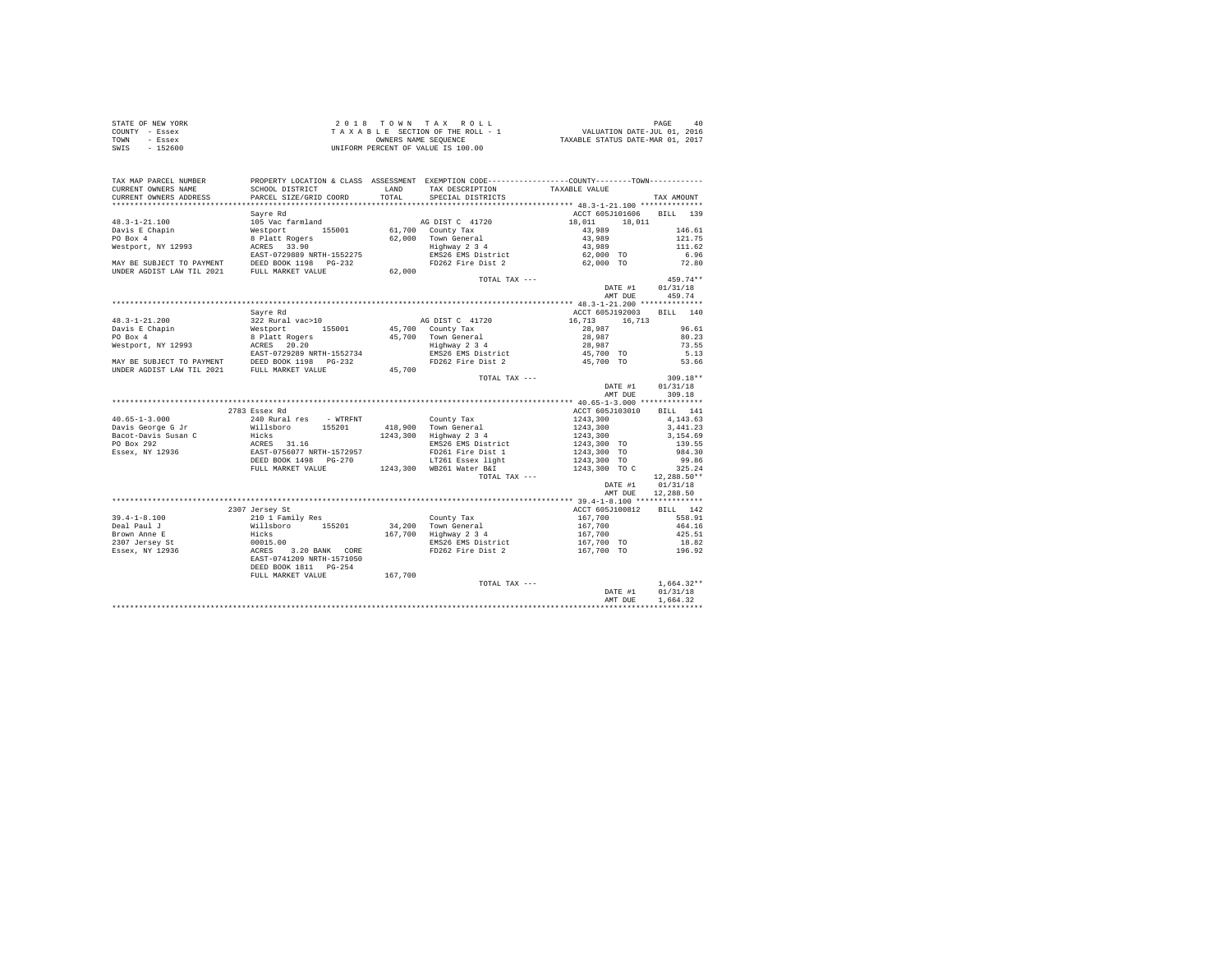| STATE OF NEW YORK | 2018 TOWN TAX ROLL                 | 40<br>PAGE                       |
|-------------------|------------------------------------|----------------------------------|
| COUNTY - Essex    | TAXABLE SECTION OF THE ROLL - 1    | VALUATION DATE-JUL 01, 2016      |
| TOWN<br>- Essex   | OWNERS NAME SEOUENCE               | TAXABLE STATUS DATE-MAR 01, 2017 |
| $-152600$<br>SWIS | UNIFORM PERCENT OF VALUE IS 100.00 |                                  |

| TAX MAP PARCEL NUMBER<br>CURRENT OWNERS NAME | SCHOOL DISTRICT                                                                                                                                                                                                                                    | LAND    | TAX DESCRIPTION                                     | PROPERTY LOCATION & CLASS ASSESSMENT EXEMPTION CODE---------------COUNTY--------TOWN----------<br>TAXABLE VALUE |                |
|----------------------------------------------|----------------------------------------------------------------------------------------------------------------------------------------------------------------------------------------------------------------------------------------------------|---------|-----------------------------------------------------|-----------------------------------------------------------------------------------------------------------------|----------------|
| CURRENT OWNERS ADDRESS                       | PARCEL SIZE/GRID COORD                                                                                                                                                                                                                             | TOTAL   | SPECIAL DISTRICTS                                   |                                                                                                                 | TAX AMOUNT     |
|                                              |                                                                                                                                                                                                                                                    |         |                                                     |                                                                                                                 |                |
|                                              | Sayre Rd                                                                                                                                                                                                                                           |         |                                                     | ACCT 605J101606 BILL 139                                                                                        |                |
|                                              | 48.3-1-21.100 105 Vac farmland<br>Davis Echapin Westport 155001<br>PO Box 4 8 Platt Rogers<br>Westport, NY 12993 ACRES 33.90<br>Mestport, NY 12993 EAST-0729889 NRTH-1552275                                                                       |         | AG DIST C 41720                                     | $18,011$ $18,011$                                                                                               |                |
|                                              |                                                                                                                                                                                                                                                    |         | 61,700 County Tax                                   | 43,989                                                                                                          | 146.61         |
|                                              |                                                                                                                                                                                                                                                    |         | 62,000 Town General                                 | 43,989                                                                                                          | 121.75         |
|                                              |                                                                                                                                                                                                                                                    |         | Town Generai<br>Highway 2 3 4                       | $43,989$<br>62,000 TO                                                                                           | 111.62         |
|                                              |                                                                                                                                                                                                                                                    |         | EMS26 EMS District                                  |                                                                                                                 | 6.96           |
|                                              | MAY BE SUBJECT TO PAYMENT DEED BOOK 1198 PG-232<br>UNDER AGDIST LAW TIL 2021 FULL MARKET VALUE                                                                                                                                                     |         |                                                     | FD262 Fire Dist 2 62,000 TO                                                                                     | 72.80          |
|                                              |                                                                                                                                                                                                                                                    | 62,000  |                                                     |                                                                                                                 |                |
|                                              |                                                                                                                                                                                                                                                    |         | TOTAL TAX ---                                       |                                                                                                                 | 459.74**       |
|                                              |                                                                                                                                                                                                                                                    |         |                                                     | DATE #1                                                                                                         | 01/31/18       |
|                                              |                                                                                                                                                                                                                                                    |         |                                                     |                                                                                                                 | AMT DUE 459.74 |
|                                              |                                                                                                                                                                                                                                                    |         |                                                     |                                                                                                                 |                |
|                                              | Savre Rd                                                                                                                                                                                                                                           |         |                                                     | ACCT 605J192003 BILL 140                                                                                        |                |
|                                              |                                                                                                                                                                                                                                                    |         | AG DIST C 41720                                     | 16,713 16,713                                                                                                   |                |
|                                              |                                                                                                                                                                                                                                                    |         | 45,700 County Tax                                   | 28,987                                                                                                          | 96.61          |
|                                              |                                                                                                                                                                                                                                                    |         | 45,700 Town General                                 | 28,987                                                                                                          | 80.23          |
|                                              |                                                                                                                                                                                                                                                    |         |                                                     |                                                                                                                 | 73.55          |
|                                              |                                                                                                                                                                                                                                                    |         | Town General<br>Highway 2 3 4<br>EMS26 EMS District | 28,987<br>45,700 TO                                                                                             | 5.13           |
|                                              |                                                                                                                                                                                                                                                    |         | FD262 Fire Dist 2                                   | 45,700 TO                                                                                                       | 53.66          |
|                                              | 48.3-1-21.200<br>2022 Rural vac>10<br>DO Box 4<br>PO Box 4<br>Mestport, NY 12993<br>2022 Rural vac>10<br>2022 RURA 155001 45,700<br>2022 RURA 2022 RURA 2022 2023<br>2022 RURA 2022 2023<br>2022 RURA 2022 2023<br>2022 2023 2024 2024<br>2022 202 |         |                                                     |                                                                                                                 |                |
|                                              |                                                                                                                                                                                                                                                    |         | TOTAL TAX ---                                       |                                                                                                                 | $309.18**$     |
|                                              |                                                                                                                                                                                                                                                    |         |                                                     | DATE #1                                                                                                         | 01/31/18       |
|                                              |                                                                                                                                                                                                                                                    |         |                                                     | AMT DUE                                                                                                         | 309.18         |
|                                              |                                                                                                                                                                                                                                                    |         |                                                     |                                                                                                                 |                |
|                                              | 2783 Essex Rd                                                                                                                                                                                                                                      |         |                                                     | ACCT 605J103010                                                                                                 | BILL 141       |
| $40.65 - 1 - 3.000$                          | 240 Rural res - WTRFNT                                                                                                                                                                                                                             |         | County Tax                                          | 1243,300                                                                                                        | 4,143.63       |
|                                              |                                                                                                                                                                                                                                                    |         |                                                     |                                                                                                                 | 3,441.23       |
|                                              |                                                                                                                                                                                                                                                    |         | 418,900 Town General<br>1243,300 Highway 2 3 4      |                                                                                                                 | 3,154.69       |
|                                              |                                                                                                                                                                                                                                                    |         | EMS26 EMS District                                  | $1243,300$<br>$1243,300$<br>$1243,300$ TO<br>$1243,300$ TO                                                      | 139.55         |
|                                              |                                                                                                                                                                                                                                                    |         | FD261 Fire Dist 1                                   |                                                                                                                 | 984.30         |
|                                              |                                                                                                                                                                                                                                                    |         | LT261 Essex light                                   |                                                                                                                 | 99.86          |
|                                              | FULL MARKET VALUE                                                                                                                                                                                                                                  |         | 1243,300 WB261 Water B&I                            | 1243,300 TO<br>1243,300 TOC                                                                                     | 325.24         |
|                                              |                                                                                                                                                                                                                                                    |         | TOTAL TAX ---                                       |                                                                                                                 | 12,288.50**    |
|                                              |                                                                                                                                                                                                                                                    |         |                                                     | DATE #1 01/31/18                                                                                                |                |
|                                              |                                                                                                                                                                                                                                                    |         |                                                     | AMT DUE                                                                                                         | 12,288.50      |
|                                              |                                                                                                                                                                                                                                                    |         |                                                     |                                                                                                                 |                |
|                                              | 2307 Jersey St                                                                                                                                                                                                                                     |         |                                                     | ACCT 605J100812                                                                                                 | BILL 142       |
|                                              |                                                                                                                                                                                                                                                    |         | County Tax                                          | 167,700                                                                                                         | 558.91         |
|                                              |                                                                                                                                                                                                                                                    |         | 34,200 Town General<br>167,700 Highway 2 3 4        | $167,700$<br>$167,700$                                                                                          | 464.16         |
|                                              |                                                                                                                                                                                                                                                    |         |                                                     |                                                                                                                 | 425.51         |
|                                              |                                                                                                                                                                                                                                                    |         |                                                     | 167,700 TO                                                                                                      | 18.82          |
|                                              |                                                                                                                                                                                                                                                    |         | EMS26 EMS District<br>FD262 Fire Dist 2             | $167,700$ TO $196.92$                                                                                           |                |
|                                              | 39.4-1-8.100 2307 0ersey St<br>Deal Paul J = 1210 1 Family Res<br>Brown Anne E = 1105.00<br>2307 Jersey St = 10015.00<br>2307 Jersey St = 10015.00<br>ESSEX, NY 12936 = 285T-0741209 NRTH-1571050                                                  |         |                                                     |                                                                                                                 |                |
|                                              | DEED BOOK 1811    PG-254                                                                                                                                                                                                                           |         |                                                     |                                                                                                                 |                |
|                                              | FULL MARKET VALUE                                                                                                                                                                                                                                  | 167,700 |                                                     |                                                                                                                 |                |
|                                              |                                                                                                                                                                                                                                                    |         | TOTAL TAX ---                                       | $\mathtt{DATE}~\#1$                                                                                             | $1,664.32**$   |
|                                              |                                                                                                                                                                                                                                                    |         |                                                     |                                                                                                                 | 01/31/18       |
|                                              |                                                                                                                                                                                                                                                    |         |                                                     | AMT DUE                                                                                                         | 1,664.32       |
|                                              |                                                                                                                                                                                                                                                    |         |                                                     |                                                                                                                 |                |
|                                              |                                                                                                                                                                                                                                                    |         |                                                     |                                                                                                                 |                |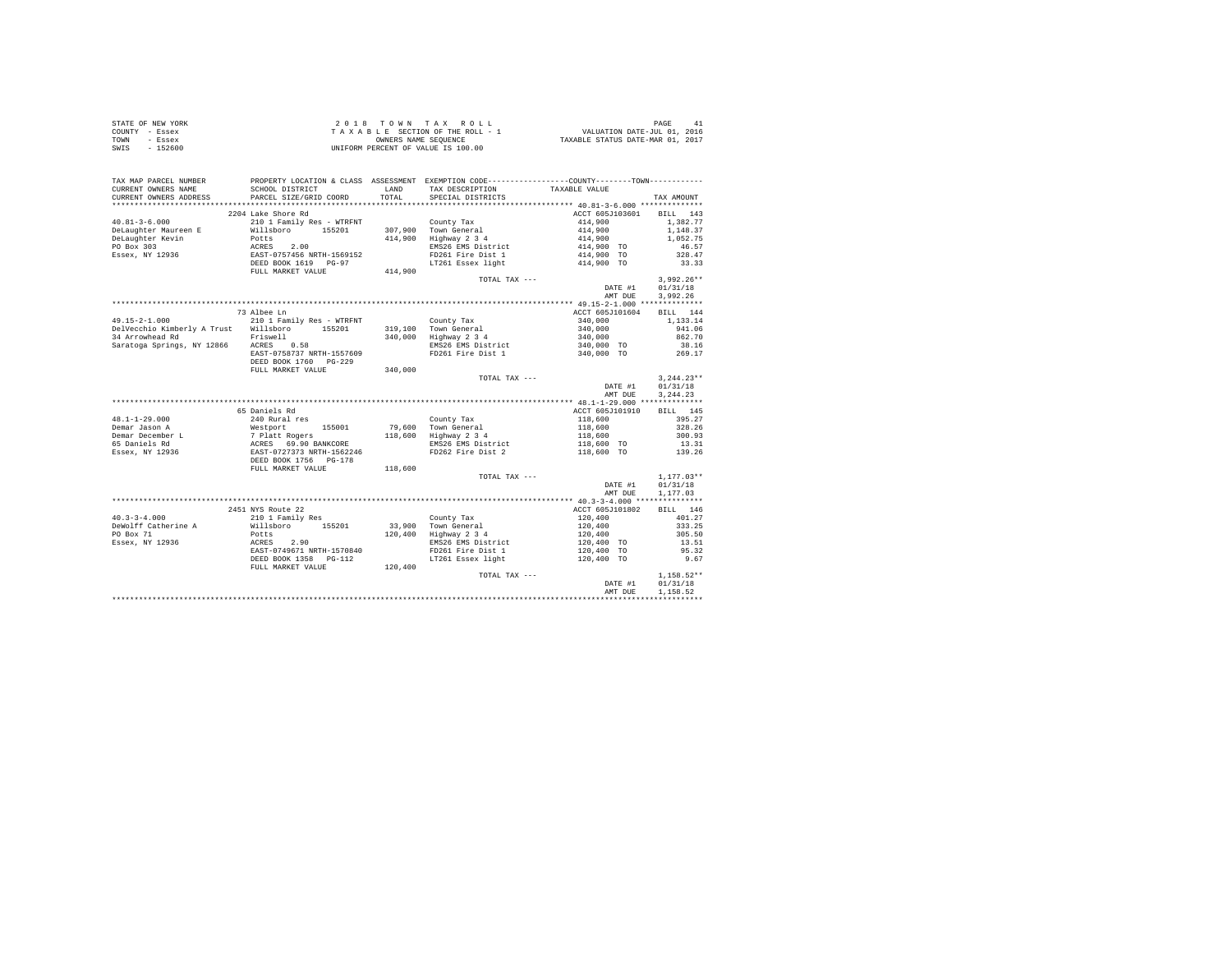| STATE OF NEW YORK | 2018 TOWN TAX ROLL                 | PAGE                             |
|-------------------|------------------------------------|----------------------------------|
| COUNTY - Essex    | TAXABLE SECTION OF THE ROLL - 1    | VALUATION DATE-JUL 01, 2016      |
| TOWN<br>- Essex   | OWNERS NAME SEOUENCE               | TAXABLE STATUS DATE-MAR 01, 2017 |
| SWIS<br>- 152600  | UNIFORM PERCENT OF VALUE IS 100.00 |                                  |

| TAX MAP PARCEL NUMBER                                                           | PROPERTY LOCATION & CLASS ASSESSMENT EXEMPTION CODE---------------COUNTY-------TOWN---------                    |         |                                              |                              |              |
|---------------------------------------------------------------------------------|-----------------------------------------------------------------------------------------------------------------|---------|----------------------------------------------|------------------------------|--------------|
| CURRENT OWNERS NAME                                                             | SCHOOL DISTRICT                                                                                                 | LAND    | TAX DESCRIPTION                              | TAXABLE VALUE                |              |
| CURRENT OWNERS ADDRESS                                                          | PARCEL SIZE/GRID COORD                                                                                          | TOTAL   | SPECIAL DISTRICTS                            |                              | TAX AMOUNT   |
|                                                                                 |                                                                                                                 |         |                                              |                              |              |
|                                                                                 | 2204 Lake Shore Rd                                                                                              |         |                                              | ACCT 605J103601              | BILL 143     |
| $40.81 - 3 - 6.000$                                                             | 210 1 Family Res - WTRFNT                                                                                       |         | County Tax                                   | 414,900                      | 1,382.77     |
| DeLaughter Maureen E                                                            | Willsboro 155201                                                                                                |         | 307,900 Town General                         | 414,900                      | 1,148.37     |
| DeLaughter Kevin                                                                | Potts<br>ACRES 2.00<br>EAST-0757456 NRTH-1569152                                                                |         | 414,900 Highway 2 3 4                        | 414,900                      | 1,052.75     |
| PO Box 303                                                                      |                                                                                                                 |         | EMS26 EMS District                           | 414,900 TO                   | 46.57        |
| Essex, NY 12936                                                                 |                                                                                                                 |         | FD261 Fire Dist 1                            | 414,900 TO                   | 328.47       |
|                                                                                 | DEED BOOK 1619 PG-97                                                                                            |         |                                              | LT261 Essex light 414,900 TO | 33.33        |
|                                                                                 | FULL MARKET VALUE                                                                                               | 414,900 |                                              |                              |              |
|                                                                                 |                                                                                                                 |         | TOTAL TAX ---                                |                              | $3.992.26**$ |
|                                                                                 |                                                                                                                 |         |                                              | DATE #1                      | 01/31/18     |
|                                                                                 |                                                                                                                 |         |                                              | AMT DUE                      | 3,992.26     |
|                                                                                 |                                                                                                                 |         |                                              |                              |              |
|                                                                                 | 73 Albee Ln                                                                                                     |         |                                              | ACCT 605J101604              | BILL 144     |
| $49.15 - 2 - 1.000$                                                             | 210 1 Family Res - WTRFNT                                                                                       |         | County Tax                                   | 340,000                      | 1,133.14     |
| DelVecchio Kimberly A Trust Willsboro 155201                                    |                                                                                                                 |         | 319,100 Town General                         | 340,000                      | 941.06       |
|                                                                                 |                                                                                                                 |         | 340,000 Highway 2 3 4                        | 340,000                      | 862.70       |
| 34 Arrowhead Rd <sup>1</sup> Friswell<br>Saratoga Springs, NY 12866 12CRES 0.58 |                                                                                                                 |         | EMS26 EMS District                           | 340,000 TO                   | 38.16        |
|                                                                                 | EAST-0758737 NRTH-1557609                                                                                       |         | FD261 Fire Dist 1                            | 340,000 TO                   | 269.17       |
|                                                                                 | DEED BOOK 1760 PG-229                                                                                           |         |                                              |                              |              |
|                                                                                 | FULL MARKET VALUE                                                                                               | 340,000 |                                              |                              |              |
|                                                                                 |                                                                                                                 |         | TOTAL TAX ---                                |                              | $3.244.23**$ |
|                                                                                 |                                                                                                                 |         |                                              | DATE #1                      | 01/31/18     |
|                                                                                 |                                                                                                                 |         |                                              | AMT DUE                      | 3.244.23     |
|                                                                                 |                                                                                                                 |         |                                              |                              |              |
|                                                                                 | 65 Daniels Rd                                                                                                   |         |                                              | ACCT 605J101910              | BILL 145     |
| $48.1 - 1 - 29.000$                                                             | 240 Rural res                                                                                                   |         | County Tax                                   | 118,600                      | 395.27       |
| Demar Jason A                                                                   |                                                                                                                 |         |                                              |                              | 328.26       |
| Demar December L                                                                |                                                                                                                 |         | 79,600 Town General<br>118,600 Highway 2 3 4 | 118,600<br>118,600           | 300.93       |
| 65 Daniels Rd                                                                   |                                                                                                                 |         | EMS26 EMS District                           |                              | 13.31        |
|                                                                                 |                                                                                                                 |         |                                              | 118,600 TO<br>118,600 TO     | 139.26       |
| Essex, NY 12936                                                                 | Westport 155001<br>7 Platt Rogers<br>ACRES 69.90 BANKCORE<br>EAST-0727373 NRTH-1562246<br>DEED BOOK 1756 PG-178 |         | FD262 Fire Dist 2                            |                              |              |
|                                                                                 |                                                                                                                 |         |                                              |                              |              |
|                                                                                 | FULL MARKET VALUE                                                                                               | 118,600 |                                              |                              |              |
|                                                                                 |                                                                                                                 |         | TOTAL TAX ---                                |                              | $1,177.03**$ |
|                                                                                 |                                                                                                                 |         |                                              | DATE #1                      | 01/31/18     |
|                                                                                 |                                                                                                                 |         |                                              | AMT DUE                      | 1,177.03     |
|                                                                                 |                                                                                                                 |         |                                              |                              |              |
|                                                                                 | 2451 NYS Route 22                                                                                               |         |                                              | ACCT 605J101802              | BILL 146     |
| $40.3 - 3 - 4.000$                                                              | 210 1 Family Res                                                                                                |         | County Tax                                   | 120,400                      | 401.27       |
| DeWolff Catherine A                                                             | Willsboro 155201                                                                                                |         | 33,900 Town General<br>120,400 Highway 2 3 4 | 120,400<br>120,400           | 333.25       |
| PO Box 71                                                                       | Potts                                                                                                           |         |                                              |                              | 305.50       |
| Essex, NY 12936                                                                 | ACRES 2.90<br>EAST-0749671 NRTH-1570840                                                                         |         | EMS26 EMS District                           | 120,400 TO                   | 13.51        |
|                                                                                 |                                                                                                                 |         | FD261 Fire Dist 1                            | 120,400 TO                   | 95.32        |
|                                                                                 | DEED BOOK 1358 PG-112                                                                                           |         | LT261 Essex light                            | 120,400 TO                   | 9.67         |
|                                                                                 | FULL MARKET VALUE                                                                                               | 120,400 |                                              |                              |              |
|                                                                                 |                                                                                                                 |         | TOTAL TAX ---                                |                              | $1,158.52**$ |
|                                                                                 |                                                                                                                 |         |                                              |                              |              |
|                                                                                 |                                                                                                                 |         |                                              | DATE #1                      | 01/31/18     |
|                                                                                 |                                                                                                                 |         |                                              | AMT DUE                      | 1,158.52     |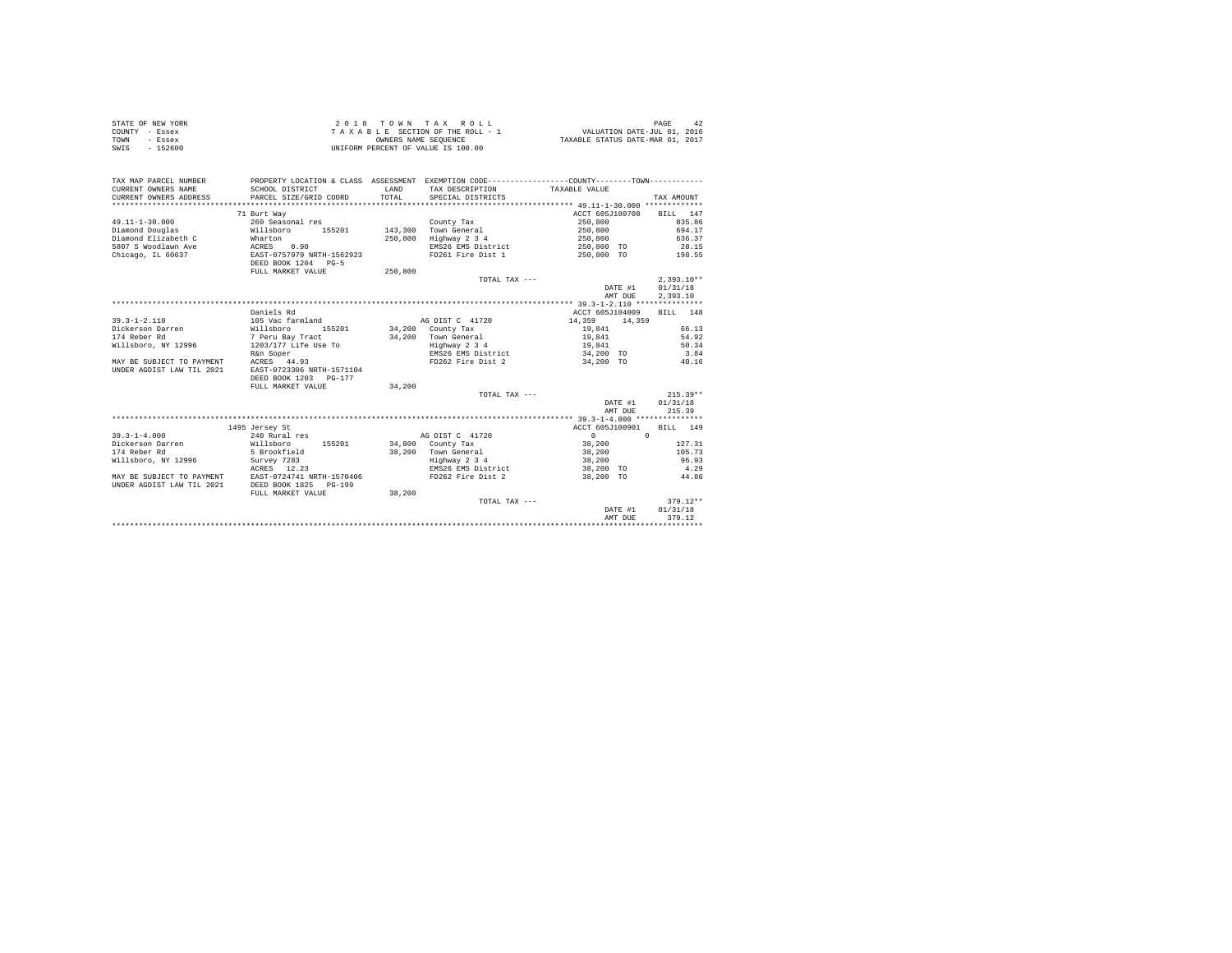|                | STATE OF NEW YORK |  |  |  | 2018 TOWN TAX ROLL                 |  |  |  |  | 42<br>PAGE                       |
|----------------|-------------------|--|--|--|------------------------------------|--|--|--|--|----------------------------------|
| COUNTY - Essex |                   |  |  |  | TAXABLE SECTION OF THE ROLL - 1    |  |  |  |  | VALUATION DATE-JUL 01, 2016      |
| TOWN           | - Essex           |  |  |  | OWNERS NAME SEOUENCE               |  |  |  |  | TAXABLE STATUS DATE-MAR 01, 2017 |
| SWIS           | - 152600          |  |  |  | UNIFORM PERCENT OF VALUE IS 100.00 |  |  |  |  |                                  |

| TAX MAP PARCEL NUMBER<br>CURRENT OWNERS NAME<br>CURRENT OWNERS ADDRESS | PROPERTY LOCATION & CLASS ASSESSMENT EXEMPTION CODE----------------COUNTY-------TOWN----------<br>SCHOOL DISTRICT<br>PARCEL SIZE/GRID COORD | LAND<br>TOTAL. | TAX DESCRIPTION TAXABLE VALUE<br>SPECIAL DISTRICTS |                      | TAX AMOUNT   |
|------------------------------------------------------------------------|---------------------------------------------------------------------------------------------------------------------------------------------|----------------|----------------------------------------------------|----------------------|--------------|
|                                                                        | 71 Burt Way                                                                                                                                 |                |                                                    | ACCT 605J100708      | BILL 147     |
| $49.11 - 1 - 30.000$                                                   | 260 Seasonal res                                                                                                                            |                | County Tax                                         | 250,800              | 835.86       |
| Diamond Douglas                                                        | Willsboro<br>155201                                                                                                                         |                | 143.300 Town General                               | 250,800              | 694.17       |
| Diamond Elizabeth C                                                    | Wharton                                                                                                                                     | 250,800        | Highway 2 3 4                                      | 250,800              | 636.37       |
| 5807 S Woodlawn Ave                                                    | ACRES 0.90                                                                                                                                  |                | EMS26 EMS District                                 | 250,800 TO           | 28.15        |
| Chicago, IL 60637                                                      | EAST-0757979 NRTH-1562923                                                                                                                   |                | FD261 Fire Dist 1                                  | 250.800 TO           | 198.55       |
|                                                                        | DEED BOOK 1204 PG-5                                                                                                                         |                |                                                    |                      |              |
|                                                                        | FULL MARKET VALUE                                                                                                                           | 250,800        |                                                    |                      |              |
|                                                                        |                                                                                                                                             |                | TOTAL TAX ---                                      |                      | $2.393.10**$ |
|                                                                        |                                                                                                                                             |                |                                                    | DATE #1              | 01/31/18     |
|                                                                        |                                                                                                                                             |                |                                                    | AMT DUE              | 2,393.10     |
|                                                                        |                                                                                                                                             |                |                                                    |                      |              |
|                                                                        | Daniels Rd                                                                                                                                  |                |                                                    | ACCT 605J104009      | BILL 148     |
| $39.3 - 1 - 2.110$                                                     | 105 Vac farmland                                                                                                                            |                | AG DIST C 41720                                    | 14,359<br>14,359     |              |
| Dickerson Darren                                                       | Willsboro<br>155201                                                                                                                         |                | 34,200 County Tax                                  | 19,841               | 66.13        |
| 174 Reber Rd                                                           | 7 Peru Bay Tract                                                                                                                            |                | 34.200 Town General                                | 19,841               | 54.92        |
| Willsboro, NY 12996                                                    | 1203/177 Life Use To                                                                                                                        |                | Highway 2 3 4                                      | 19,841               | 50.34        |
|                                                                        | R&n Soper                                                                                                                                   |                | EMS26 EMS District                                 | 34,200 TO            | 3.84         |
| MAY BE SUBJECT TO PAYMENT                                              | ACRES 44.93                                                                                                                                 |                | FD262 Fire Dist 2                                  | 34,200 TO            | 40.16        |
| UNDER AGDIST LAW TIL 2021                                              | EAST-0723306 NRTH-1571104                                                                                                                   |                |                                                    |                      |              |
|                                                                        | DEED BOOK 1203 PG-177                                                                                                                       |                |                                                    |                      |              |
|                                                                        | FULL MARKET VALUE                                                                                                                           | 34,200         |                                                    |                      |              |
|                                                                        |                                                                                                                                             |                | $TOTAI. TAX - - -$                                 |                      | $215.39**$   |
|                                                                        |                                                                                                                                             |                |                                                    | DATE #1              | 01/31/18     |
|                                                                        |                                                                                                                                             |                |                                                    | AMT DUE              | 215.39       |
|                                                                        |                                                                                                                                             |                |                                                    |                      |              |
|                                                                        | 1495 Jersey St                                                                                                                              |                |                                                    | ACCT 605J100901      | RTT.T. 149   |
| $39.3 - 1 - 4.000$                                                     | 240 Rural res                                                                                                                               |                | AG DIST C 41720                                    | $\Omega$<br>$\Omega$ |              |
| Dickerson Darren                                                       | Willsboro<br>155201                                                                                                                         |                | 34,800 County Tax                                  | 38,200               | 127.31       |
| 174 Reber Rd                                                           | 5 Brookfield                                                                                                                                |                | 38,200 Town General                                | 38,200               | 105.73       |
| Willsboro, NY 12996                                                    | Survey 7283                                                                                                                                 |                | Highway 2 3 4                                      | 38,200               | 96.93        |
|                                                                        | ACRES 12.23                                                                                                                                 |                | EMS26 EMS District                                 | 38,200 TO            | 4.29         |
| MAY BE SUBJECT TO PAYMENT                                              | EAST-0724741 NRTH-1570406                                                                                                                   |                | FD262 Fire Dist 2                                  | 38,200 TO            | 44.86        |
| UNDER AGDIST LAW TIL 2021                                              | DEED BOOK 1825<br>PG-199                                                                                                                    |                |                                                    |                      |              |
|                                                                        | FULL MARKET VALUE                                                                                                                           | 38,200         |                                                    |                      |              |
|                                                                        |                                                                                                                                             |                | TOTAL TAX ---                                      |                      | $379.12**$   |
|                                                                        |                                                                                                                                             |                |                                                    | DATE #1              | 01/31/18     |
|                                                                        |                                                                                                                                             |                |                                                    | AMT DUE              | 379.12       |
|                                                                        |                                                                                                                                             |                |                                                    |                      |              |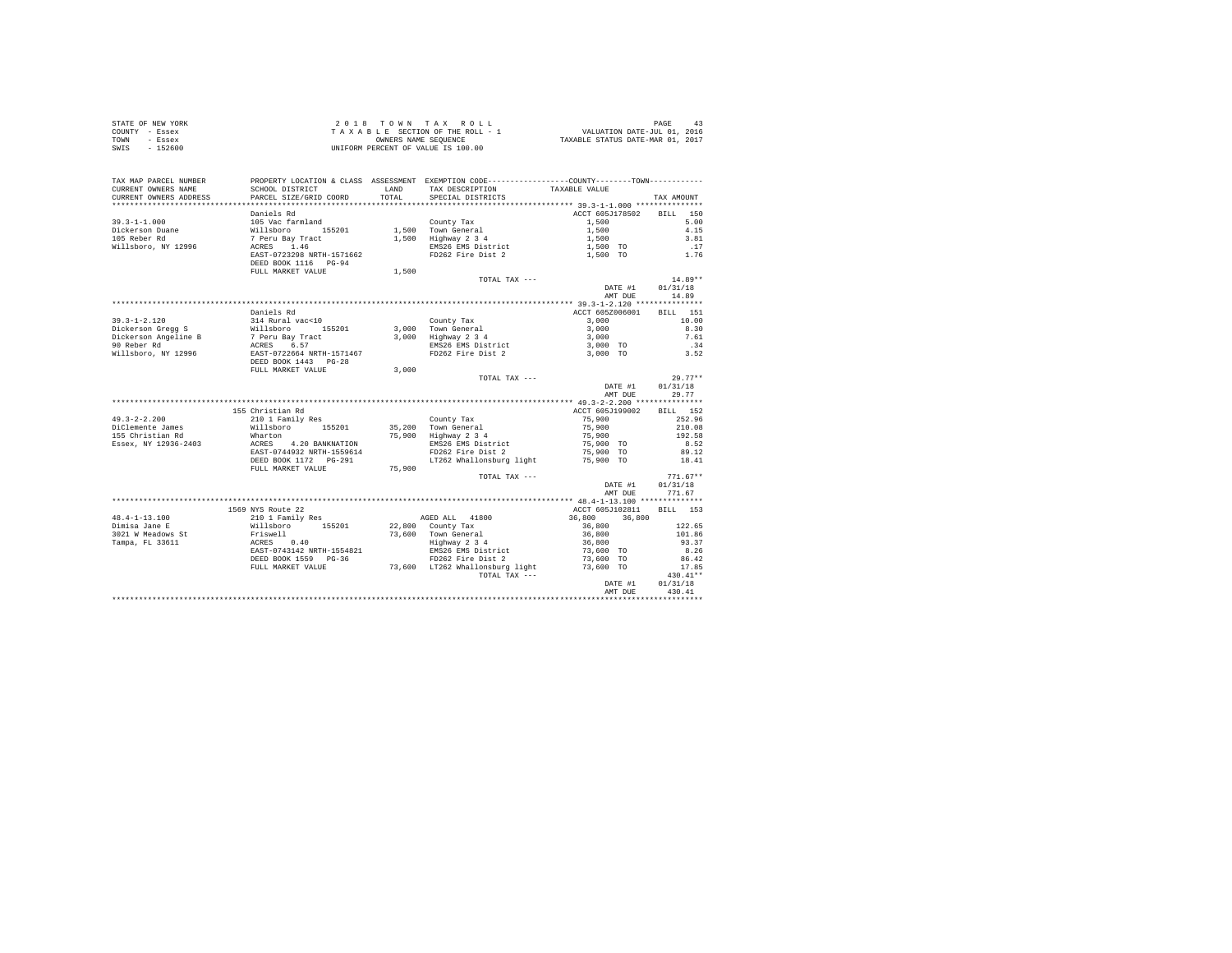| STATE OF NEW YORK | 2018 TOWN TAX ROLL                 | 43<br>PAGE                       |
|-------------------|------------------------------------|----------------------------------|
| COUNTY - Essex    | TAXABLE SECTION OF THE ROLL - 1    | VALUATION DATE-JUL 01, 2016      |
| TOWN<br>- Essex   | OWNERS NAME SEOUENCE               | TAXABLE STATUS DATE-MAR 01, 2017 |
| - 152600<br>SWIS  | UNIFORM PERCENT OF VALUE IS 100.00 |                                  |

| TAX MAP PARCEL NUMBER<br>CURRENT OWNERS NAME           | SCHOOL DISTRICT                                                        | LAND   | PROPERTY LOCATION & CLASS ASSESSMENT EXEMPTION CODE---------------COUNTY-------TOWN----------<br>TAX DESCRIPTION | TAXABLE VALUE              |                                |
|--------------------------------------------------------|------------------------------------------------------------------------|--------|------------------------------------------------------------------------------------------------------------------|----------------------------|--------------------------------|
| CURRENT OWNERS ADDRESS                                 | PARCEL SIZE/GRID COORD                                                 | TOTAL  | SPECIAL DISTRICTS                                                                                                |                            | TAX AMOUNT                     |
| $39.3 - 1 - 1.000$                                     | Daniels Rd<br>105 Vac farmland                                         |        | County Tax                                                                                                       | ACCT 605J178502<br>1,500   | <b>BILL</b><br>150<br>5.00     |
| Dickerson Duane<br>105 Reber Rd<br>Willsboro, NY 12996 | Willsboro 155201<br>7 Peru Bay Tract<br>ACRES<br>1.46                  |        | 1,500 Town General<br>1,500 Highway 2 3 4<br>EMS26 EMS District                                                  | 1,500<br>1,500<br>1,500 TO | 4.15<br>3.81<br>.17            |
|                                                        | EAST-0723298 NRTH-1571662<br>DEED BOOK 1116 PG-94<br>FULL MARKET VALUE | 1,500  | FD262 Fire Dist 2                                                                                                | 1,500 TO                   | 1.76                           |
|                                                        |                                                                        |        | TOTAL TAX ---                                                                                                    | DATE #1<br>AMT DUE         | $14.89**$<br>01/31/18<br>14.89 |
|                                                        |                                                                        |        |                                                                                                                  |                            |                                |
|                                                        | Daniels Rd                                                             |        |                                                                                                                  | ACCT 605Z006001            | 151<br>RTLL.                   |
| $39.3 - 1 - 2.120$                                     | 314 Rural vac<10                                                       |        | County Tax                                                                                                       | 3,000                      | 10.00                          |
| Dickerson Gregg S                                      | Willsboro<br>155201                                                    |        | 3.000 Town General                                                                                               | 3,000                      | 8.30                           |
| Dickerson Angeline B                                   | 7 Peru Bay Tract                                                       | 3,000  | Highway 2 3 4                                                                                                    | 3,000                      | 7.61                           |
| 90 Reber Rd                                            | ACRES<br>6.57                                                          |        | EMS26 EMS District                                                                                               | 3,000 TO                   | .34                            |
| Willsboro, NY 12996                                    | EAST-0722664 NRTH-1571467<br>DEED BOOK 1443 PG-28<br>FULL MARKET VALUE | 3,000  | FD262 Fire Dist 2                                                                                                | 3,000 TO                   | 3.52                           |
|                                                        |                                                                        |        | TOTAL TAX ---                                                                                                    |                            | $29.77**$                      |
|                                                        |                                                                        |        |                                                                                                                  | DATE #1<br>AMT DUE         | 01/31/18<br>29.77              |
|                                                        |                                                                        |        |                                                                                                                  |                            |                                |
|                                                        | 155 Christian Rd                                                       |        |                                                                                                                  | ACCT 605J199002            | 152<br>BILL                    |
| $49.3 - 2 - 2.200$                                     | 210 1 Family Res                                                       |        | County Tax                                                                                                       | 75,900                     | 252.96                         |
| DiClemente James                                       | 155201<br>Willsboro                                                    |        | 35,200 Town General                                                                                              | 75,900                     | 210.08                         |
| 155 Christian Rd                                       | Wharton                                                                |        | 75,900 Highway 2 3 4                                                                                             | 75,900                     | 192.58                         |
| Essex, NY 12936-2403                                   | ACRES 4.20 BANKNATION                                                  |        | EMS26 EMS District                                                                                               | 75,900 TO                  | 8.52                           |
|                                                        | EAST-0744932 NRTH-1559614                                              |        | FD262 Fire Dist 2                                                                                                | 75,900 TO                  | 89.12                          |
|                                                        | DEED BOOK 1172   PG-291                                                |        | LT262 Whallonsburg light                                                                                         | 75,900 TO                  | 18.41                          |
|                                                        | FULL MARKET VALUE                                                      | 75,900 |                                                                                                                  |                            |                                |
|                                                        |                                                                        |        | TOTAL TAX ---                                                                                                    |                            | $771.67**$<br>01/31/18         |
|                                                        |                                                                        |        |                                                                                                                  | DATE #1<br>AMT DUE         | 771.67                         |
|                                                        |                                                                        |        |                                                                                                                  |                            |                                |
|                                                        | 1569 NYS Route 22                                                      |        |                                                                                                                  | ACCT 605J102811            | <b>BILL</b><br>153             |
| $48.4 - 1 - 13.100$                                    | 210 1 Family Res                                                       |        | AGED ALL 41800                                                                                                   | 36,800<br>36,800           |                                |
| Dimisa Jane E                                          | 155201<br>Willsboro                                                    |        | 22,800 County Tax                                                                                                | 36,800                     | 122.65                         |
| 3021 W Meadows St                                      | Friswell                                                               |        | 73,600 Town General                                                                                              | 36,800                     | 101.86                         |
| Tampa, FL 33611                                        | ACRES<br>0.40                                                          |        | Highway 2 3 4                                                                                                    | 36,800                     | 93.37                          |
|                                                        | EAST-0743142 NRTH-1554821                                              |        | EMS26 EMS District                                                                                               | 73,600 TO                  | 8.26                           |
|                                                        | DEED BOOK 1559 PG-36                                                   |        | FD262 Fire Dist 2                                                                                                | 73,600 TO                  | 86.42                          |
|                                                        | FULL MARKET VALUE                                                      |        | 73,600 LT262 Whallonsburg light                                                                                  | 73,600 TO                  | 17.85                          |
|                                                        |                                                                        |        | TOTAL TAX ---                                                                                                    |                            | $430.41**$                     |
|                                                        |                                                                        |        |                                                                                                                  | DATE #1                    | 01/31/18                       |
|                                                        |                                                                        |        |                                                                                                                  | AMT DUE                    | 430.41                         |
|                                                        |                                                                        |        |                                                                                                                  |                            |                                |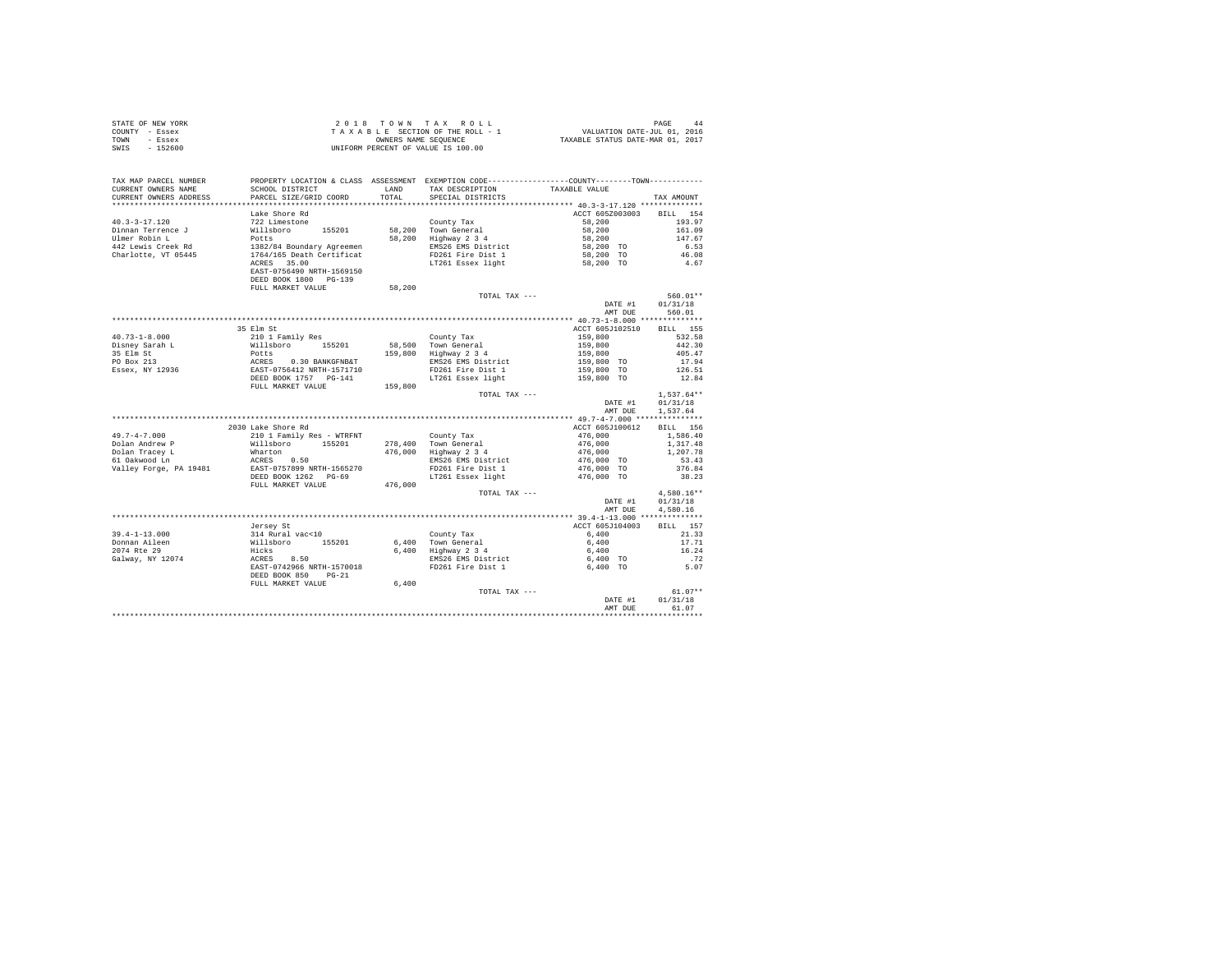| STATE OF NEW YORK | 2018 TOWN TAX ROLL                 | 44<br>PAGE                       |
|-------------------|------------------------------------|----------------------------------|
| COUNTY - Essex    | TAXABLE SECTION OF THE ROLL - 1    | VALUATION DATE-JUL 01, 2016      |
| TOWN<br>- Essex   | OWNERS NAME SEOUENCE               | TAXABLE STATUS DATE-MAR 01, 2017 |
| - 152600<br>SWIS  | UNIFORM PERCENT OF VALUE IS 100.00 |                                  |

| TAX MAP PARCEL NUMBER<br>CURRENT OWNERS NAME<br>CURRENT OWNERS ADDRESS | SCHOOL DISTRICT<br>PARCEL SIZE/GRID COORD                                                                                                                   | LAND<br>TOTAL | PROPERTY LOCATION & CLASS ASSESSMENT EXEMPTION CODE---------------COUNTY-------TOWN----------<br>TAX DESCRIPTION<br>SPECIAL DISTRICTS | TAXABLE VALUE                                                   | TAX AMOUNT           |
|------------------------------------------------------------------------|-------------------------------------------------------------------------------------------------------------------------------------------------------------|---------------|---------------------------------------------------------------------------------------------------------------------------------------|-----------------------------------------------------------------|----------------------|
|                                                                        |                                                                                                                                                             |               |                                                                                                                                       |                                                                 |                      |
| $40.3 - 3 - 17.120$<br>Dinnan Terrence J                               | Lake Shore Rd<br>722 Limestone<br>willsboro 155201 58,200 Town General<br>Potts 58,200 Highway 2 3 4                                                        |               | County Tax                                                                                                                            | ACCT 605Z003003 BILL 154<br>58,200<br>58,200<br>58,200          | 193.97<br>161.09     |
| Ulmer Robin L                                                          |                                                                                                                                                             |               |                                                                                                                                       |                                                                 | 147.67               |
| 442 Lewis Creek Rd                                                     | Potts<br>1382/84 Boundary Agreemen<br>1764/165 Death Certificat                                                                                             |               | EMS26 EMS District                                                                                                                    | 58,200 TO                                                       | 6.53                 |
| Charlotte, VT 05445                                                    |                                                                                                                                                             |               | FD261 Fire Dist 1                                                                                                                     | 58,200 TO                                                       | 46.08                |
|                                                                        | ACRES 35.00<br>EAST-0756490 NRTH-1569150<br>DEED BOOK 1800 PG-139<br>FULL MARKET VALUE                                                                      | 58,200        | LT261 Essex light                                                                                                                     | 58,200 TO                                                       | 4.67                 |
|                                                                        |                                                                                                                                                             |               | TOTAL TAX ---                                                                                                                         |                                                                 | $560.01**$           |
|                                                                        |                                                                                                                                                             |               |                                                                                                                                       |                                                                 | DATE #1 01/31/18     |
|                                                                        |                                                                                                                                                             |               |                                                                                                                                       | AMT DUE                                                         | 560.01               |
|                                                                        |                                                                                                                                                             |               |                                                                                                                                       |                                                                 |                      |
|                                                                        | 35 Elm St                                                                                                                                                   |               |                                                                                                                                       | ACCT 605J102510 BILL 155                                        |                      |
| $40.73 - 1 - 8.000$                                                    | 33 Elfi St<br>210 1 Family Res<br>Willaboro<br>Dects<br>Dects<br>Dects<br>200 10 BankTH-1571710<br>DEED BOOK 1757<br>POLL MARKET VALUE<br>PULL MARKET VALUE |               | County Tax                                                                                                                            |                                                                 | 532.58               |
| Disney Sarah L                                                         |                                                                                                                                                             |               | 58,500 Town General                                                                                                                   |                                                                 | 442.30               |
| 35 Elm St                                                              |                                                                                                                                                             |               | 159,800 Highway 2 3 4                                                                                                                 |                                                                 | 405.47               |
| PO Box 213                                                             |                                                                                                                                                             |               | EMS26 EMS District                                                                                                                    | $159,800$<br>$159,800$<br>$159,800$<br>$159,800$ TO             | 17.94                |
| Essex, NY 12936                                                        |                                                                                                                                                             |               | FD261 Fire Dist 1                                                                                                                     | 159,800 TO                                                      | 126.51               |
|                                                                        |                                                                                                                                                             |               | LT261 Essex light                                                                                                                     | 159,800 TO                                                      | 12.84                |
|                                                                        |                                                                                                                                                             | 159,800       |                                                                                                                                       |                                                                 |                      |
|                                                                        |                                                                                                                                                             |               | TOTAL TAX ---                                                                                                                         |                                                                 | $1,537.64**$         |
|                                                                        |                                                                                                                                                             |               |                                                                                                                                       | DATE #1                                                         | 01/31/18             |
|                                                                        |                                                                                                                                                             |               |                                                                                                                                       | AMT DUE                                                         | 1,537.64             |
|                                                                        |                                                                                                                                                             |               |                                                                                                                                       |                                                                 |                      |
|                                                                        | 2030 Lake Shore Rd                                                                                                                                          |               |                                                                                                                                       | ACCT 605J100612                                                 | <b>BILL</b> 156      |
| $49.7 - 4 - 7.000$                                                     | 210 1 Family Res - WTRFNT                                                                                                                                   |               | County Tax                                                                                                                            | 476,000                                                         | 1,586.40             |
| Dolan Andrew P                                                         |                                                                                                                                                             |               |                                                                                                                                       |                                                                 | 1,317.48             |
| Dolan Tracey L                                                         |                                                                                                                                                             |               |                                                                                                                                       |                                                                 | 1,207.78             |
| 61 Oakwood Ln                                                          |                                                                                                                                                             |               | EMS26 EMS District                                                                                                                    | $476,000 \ 476,000 \ 476,000 \ \text{TO} \ 476,000 \ \text{TO}$ | 53.43                |
| Valley Forge, PA 19481                                                 |                                                                                                                                                             |               | FD261 Fire Dist 1                                                                                                                     |                                                                 | 376.84               |
|                                                                        | DEED BOOK 1262 PG-69                                                                                                                                        |               | LT261 Essex light                                                                                                                     | 476,000 TO                                                      | 38.23                |
|                                                                        | FULL MARKET VALUE                                                                                                                                           | 476,000       |                                                                                                                                       |                                                                 |                      |
|                                                                        |                                                                                                                                                             |               | TOTAL TAX ---                                                                                                                         |                                                                 | $4,580.16**$         |
|                                                                        |                                                                                                                                                             |               |                                                                                                                                       | DATE #1<br>AMT DUE                                              | 01/31/18<br>4.580.16 |
|                                                                        |                                                                                                                                                             |               |                                                                                                                                       |                                                                 |                      |
|                                                                        |                                                                                                                                                             |               |                                                                                                                                       | ACCT 605J104003                                                 | BILL 157             |
| $39.4 - 1 - 13.000$                                                    | Jersey St                                                                                                                                                   |               | County Tax                                                                                                                            | 6,400                                                           | 21.33                |
| Donnan Aileen                                                          | % = 2= 5<br>314 Rural vac<10<br>#illsboro 155201<br>Hicks<br>ACRES 8.50<br>EAST-0742966 NRTH-1570018                                                        |               | 6,400 Town General                                                                                                                    | 6,400                                                           | 17.71                |
| 2074 Rte 29                                                            |                                                                                                                                                             |               | 6,400 Town General<br>6,400 Highway 2 3 4<br>EMS26 EMS District                                                                       | 6,400                                                           | 16.24                |
| 2074 Rte 29<br>Galway, NY 12074                                        |                                                                                                                                                             |               |                                                                                                                                       | 6,400 TO                                                        | .72                  |
|                                                                        |                                                                                                                                                             |               | FD261 Fire Dist 1                                                                                                                     | 6,400 TO                                                        | 5.07                 |
|                                                                        | DEED BOOK 850 PG-21                                                                                                                                         |               |                                                                                                                                       |                                                                 |                      |
|                                                                        | FULL MARKET VALUE                                                                                                                                           | 6,400         |                                                                                                                                       |                                                                 |                      |
|                                                                        |                                                                                                                                                             |               | TOTAL TAX ---                                                                                                                         |                                                                 | $61.07**$            |
|                                                                        |                                                                                                                                                             |               |                                                                                                                                       | DATE #1                                                         | 01/31/18             |
|                                                                        |                                                                                                                                                             |               |                                                                                                                                       | AMT DUE                                                         | 61.07                |
|                                                                        |                                                                                                                                                             |               |                                                                                                                                       |                                                                 |                      |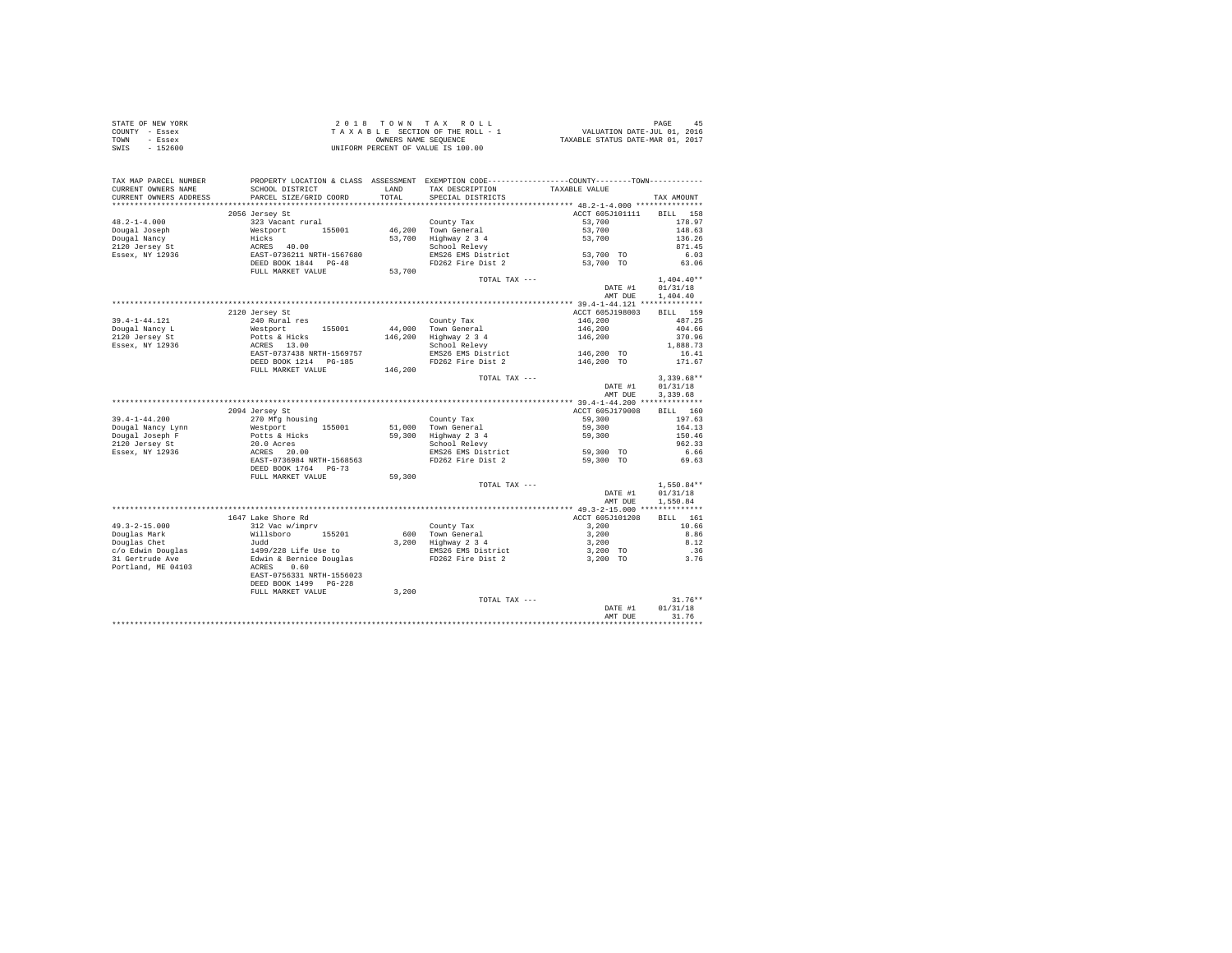| STATE OF NEW YORK | 2018 TOWN TAX ROLL                 | PAGE                             |
|-------------------|------------------------------------|----------------------------------|
| COUNTY - Essex    | TAXABLE SECTION OF THE ROLL - 1    | VALUATION DATE-JUL 01, 2016      |
| TOWN<br>- Essex   | OWNERS NAME SEOUENCE               | TAXABLE STATUS DATE-MAR 01, 2017 |
| $-152600$<br>SWIS | UNIFORM PERCENT OF VALUE IS 100.00 |                                  |

| TAX MAP PARCEL NUMBER | PROPERTY LOCATION & CLASS ASSESSMENT EXEMPTION CODE----------------COUNTY-------TOWN----------                         |         |                                                                                                                                                                                                                             |                          |                  |
|-----------------------|------------------------------------------------------------------------------------------------------------------------|---------|-----------------------------------------------------------------------------------------------------------------------------------------------------------------------------------------------------------------------------|--------------------------|------------------|
|                       |                                                                                                                        |         | LAND TAX DESCRIPTION                                                                                                                                                                                                        | TAXABLE VALUE            |                  |
|                       |                                                                                                                        | TOTAL   | SPECIAL DISTRICTS                                                                                                                                                                                                           |                          | TAX AMOUNT       |
|                       |                                                                                                                        |         |                                                                                                                                                                                                                             |                          |                  |
|                       | 2056 Jersey St                                                                                                         |         |                                                                                                                                                                                                                             | ACCT 605J101111 BILL 158 |                  |
|                       |                                                                                                                        |         | County Tax                                                                                                                                                                                                                  | 53,700                   | 178.97           |
|                       |                                                                                                                        |         |                                                                                                                                                                                                                             | 53,700<br>53,700         | 148.63           |
|                       |                                                                                                                        |         | 46,200 Town General<br>53,700 Highway 2 3 4<br>School Relevy                                                                                                                                                                |                          | 136.26           |
|                       |                                                                                                                        |         |                                                                                                                                                                                                                             |                          | 871.45           |
|                       |                                                                                                                        |         |                                                                                                                                                                                                                             |                          | 6.03             |
|                       |                                                                                                                        |         |                                                                                                                                                                                                                             |                          | 63.06            |
|                       |                                                                                                                        | 53,700  |                                                                                                                                                                                                                             |                          |                  |
|                       |                                                                                                                        |         | TOTAL TAX ---                                                                                                                                                                                                               |                          | $1.404.40**$     |
|                       |                                                                                                                        |         |                                                                                                                                                                                                                             |                          | DATE #1 01/31/18 |
|                       |                                                                                                                        |         |                                                                                                                                                                                                                             | AMT DUE                  | 1,404.40         |
|                       |                                                                                                                        |         |                                                                                                                                                                                                                             |                          |                  |
|                       | 2120 Jersey St                                                                                                         |         |                                                                                                                                                                                                                             | ACCT 605J198003          | <b>BILL</b> 159  |
| 39.4-1-44.121         | 240 Rural res                                                                                                          |         |                                                                                                                                                                                                                             |                          | 487.25           |
| Dougal Nancy L        | 240 Kuai 1 Es<br>Nestport 155001<br>Potts & Hicks<br>ACRES 13.00<br>EAST-0737438 NRTH-1569757<br>DEED BOOK 1214 PG-185 |         | County Tax<br>146,200<br>146,200<br>200 Highway 2 3 4<br>200 School Relevy<br>ENS26 EMS District<br>200 PD262 Fire Dist 2<br>200 PD262 Fire Dist 2<br>200 PD262 Fire Dist 2<br>200 PD262 Fire Dist 2<br>44,000 Town General |                          | 404.66           |
| 2120 Jersey St        |                                                                                                                        |         | 146,200 Highway 2 3 4<br>School Relevy                                                                                                                                                                                      |                          | 370.96           |
| Essex, NY 12936       |                                                                                                                        |         |                                                                                                                                                                                                                             |                          | 1,888.73         |
|                       |                                                                                                                        |         |                                                                                                                                                                                                                             |                          | 16.41            |
|                       |                                                                                                                        |         |                                                                                                                                                                                                                             |                          | 171.67           |
|                       | FULL MARKET VALUE                                                                                                      | 146,200 |                                                                                                                                                                                                                             |                          |                  |
|                       |                                                                                                                        |         | TOTAL TAX ---                                                                                                                                                                                                               |                          | $3.339.68**$     |
|                       |                                                                                                                        |         |                                                                                                                                                                                                                             | DATE #1                  | 01/31/18         |
|                       |                                                                                                                        |         |                                                                                                                                                                                                                             | AMT DUE                  | 3,339.68         |
|                       |                                                                                                                        |         |                                                                                                                                                                                                                             |                          |                  |
|                       | 2094 Jersey St                                                                                                         |         |                                                                                                                                                                                                                             | ACCT 605J179008          | <b>BILL</b> 160  |
|                       |                                                                                                                        |         |                                                                                                                                                                                                                             | 59,300<br>59,300         | 197.63           |
|                       |                                                                                                                        |         |                                                                                                                                                                                                                             |                          | 164.13           |
|                       |                                                                                                                        |         |                                                                                                                                                                                                                             |                          | 150.46           |
|                       |                                                                                                                        |         |                                                                                                                                                                                                                             |                          | 962.33           |
|                       |                                                                                                                        |         |                                                                                                                                                                                                                             |                          | 6.66             |
|                       |                                                                                                                        |         |                                                                                                                                                                                                                             | 59,300 TO                | 69.63            |
|                       |                                                                                                                        |         |                                                                                                                                                                                                                             |                          |                  |
|                       | FULL MARKET VALUE                                                                                                      | 59,300  |                                                                                                                                                                                                                             |                          |                  |
|                       |                                                                                                                        |         | TOTAL TAX ---                                                                                                                                                                                                               |                          | $1,550.84**$     |
|                       |                                                                                                                        |         |                                                                                                                                                                                                                             | DATE #1                  | 01/31/18         |
|                       |                                                                                                                        |         |                                                                                                                                                                                                                             | AMT DUE                  | 1,550.84         |
|                       |                                                                                                                        |         |                                                                                                                                                                                                                             |                          |                  |
|                       | 1647 Lake Shore Rd                                                                                                     |         |                                                                                                                                                                                                                             | ACCT 605J101208          | BILL 161         |
| $49.3 - 2 - 15.000$   | 312 Vac w/imprv                                                                                                        |         | County Tax                                                                                                                                                                                                                  | 3,200                    | 10.66            |
|                       |                                                                                                                        |         |                                                                                                                                                                                                                             |                          |                  |
|                       |                                                                                                                        |         |                                                                                                                                                                                                                             |                          |                  |
|                       |                                                                                                                        |         |                                                                                                                                                                                                                             |                          |                  |
|                       |                                                                                                                        |         |                                                                                                                                                                                                                             |                          |                  |
|                       |                                                                                                                        |         |                                                                                                                                                                                                                             |                          |                  |
|                       |                                                                                                                        |         |                                                                                                                                                                                                                             |                          |                  |
|                       | DEED BOOK 1499 PG-228                                                                                                  |         |                                                                                                                                                                                                                             |                          |                  |
|                       | FULL MARKET VALUE                                                                                                      | 3,200   |                                                                                                                                                                                                                             |                          |                  |
|                       |                                                                                                                        |         | TOTAL TAX ---                                                                                                                                                                                                               |                          | $31.76**$        |
|                       |                                                                                                                        |         |                                                                                                                                                                                                                             |                          | DATE #1 01/31/18 |
|                       |                                                                                                                        |         |                                                                                                                                                                                                                             | AMT DUE                  | 31.76            |
|                       |                                                                                                                        |         |                                                                                                                                                                                                                             |                          |                  |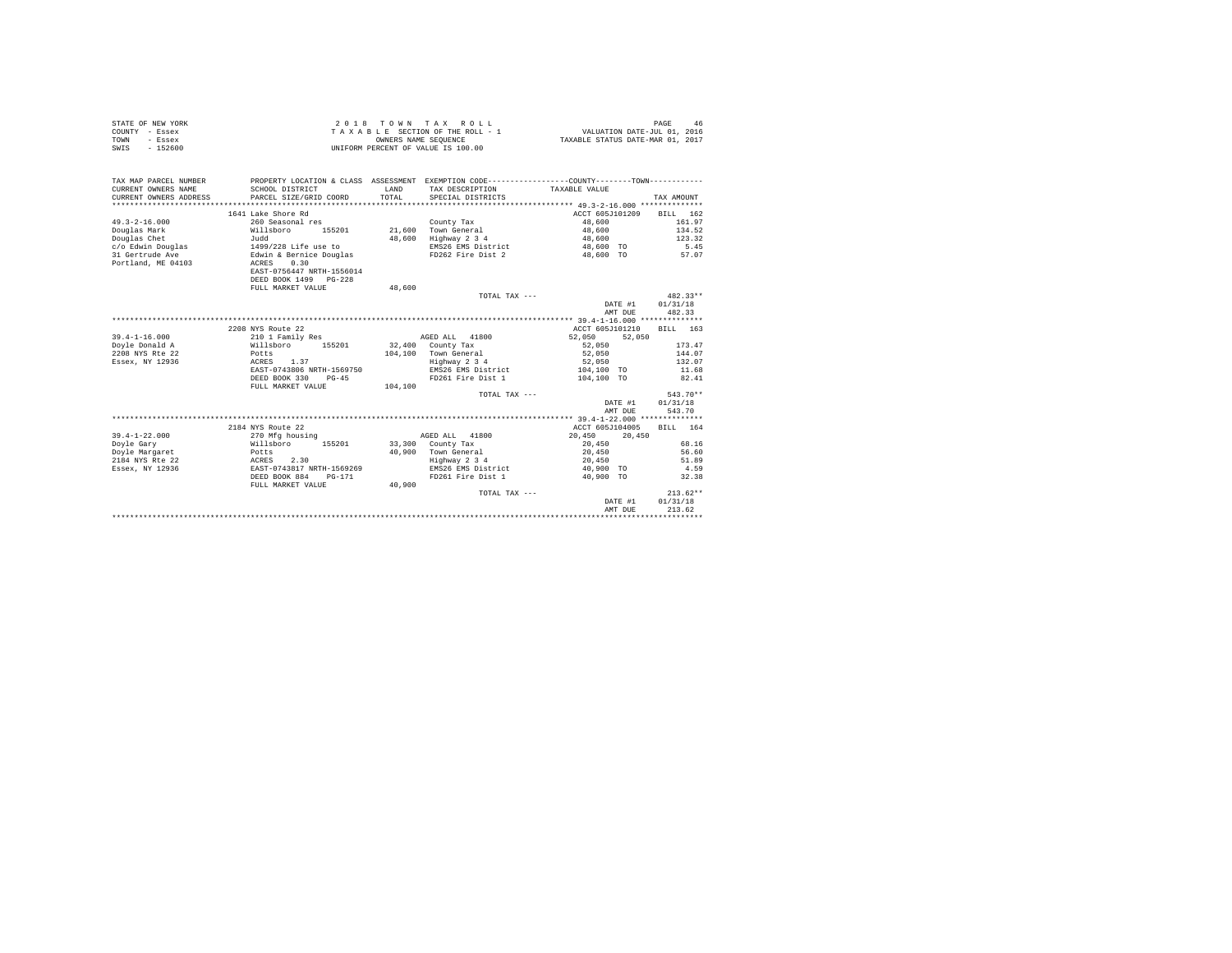| STATE OF NEW YORK | 2018 TOWN TAX ROLL                 | PAGE<br>46                       |
|-------------------|------------------------------------|----------------------------------|
| COUNTY - Essex    | TAXABLE SECTION OF THE ROLL - 1    | VALUATION DATE-JUL 01, 2016      |
| TOWN<br>- Essex   | OWNERS NAME SEOUENCE               | TAXABLE STATUS DATE-MAR 01, 2017 |
| SWIS<br>$-152600$ | UNIFORM PERCENT OF VALUE IS 100.00 |                                  |

| TAX MAP PARCEL NUMBER<br>CURRENT OWNERS NAME<br>CURRENT OWNERS ADDRESS<br>*************************                        | SCHOOL DISTRICT<br>PARCEL SIZE/GRID COORD                                                                                                                     | LAND<br>TOTAL | PROPERTY LOCATION & CLASS ASSESSMENT EXEMPTION CODE---------------COUNTY-------TOWN---------<br>TAX DESCRIPTION TAXABLE VALUE<br>SPECIAL DISTRICTS |                                                                               | TAX AMOUNT                                     |
|----------------------------------------------------------------------------------------------------------------------------|---------------------------------------------------------------------------------------------------------------------------------------------------------------|---------------|----------------------------------------------------------------------------------------------------------------------------------------------------|-------------------------------------------------------------------------------|------------------------------------------------|
| $49.3 - 2 - 16.000$<br>Douglas Mark<br>Douglas Chet<br>c/o Edwin Douglas<br>31 Gertrude Ave<br>Portland, ME 04103<br>ACRES | 1641 Lake Shore Rd<br>260 Seasonal res<br>Willsboro<br>155201<br>Judd<br>1499/228 Life use to<br>Edwin & Bernice Douglas<br>0.30<br>EAST-0756447 NRTH-1556014 |               | County Tax<br>21,600 Town General<br>48,600 Highway 2 3 4<br>EMS26 EMS District<br>FD262 Fire Dist 2                                               | ACCT 605J101209<br>48,600<br>48,600<br>48,600<br>48,600 TO<br>48,600 TO 57.07 | BILL 162<br>161.97<br>134.52<br>123.32<br>5.45 |
|                                                                                                                            | DEED BOOK 1499 PG-228<br>FULL MARKET VALUE                                                                                                                    | 48,600        | TOTAL TAX ---                                                                                                                                      |                                                                               | $482.33**$                                     |
|                                                                                                                            |                                                                                                                                                               |               |                                                                                                                                                    | DATE #1<br>AMT DUE                                                            | 01/31/18<br>482.33                             |
|                                                                                                                            |                                                                                                                                                               |               |                                                                                                                                                    |                                                                               |                                                |
|                                                                                                                            | 2208 NYS Route 22                                                                                                                                             |               |                                                                                                                                                    | ACCT 605J101210                                                               | BILL 163                                       |
| $39.4 - 1 - 16.000$                                                                                                        | 210 1 Family Res                                                                                                                                              |               | AGED ALL 41800                                                                                                                                     | 52,050<br>52,050                                                              |                                                |
| Dovle Donald A                                                                                                             | Willsboro 155201                                                                                                                                              |               | 32.400 County Tax                                                                                                                                  | 52,050                                                                        | 173.47                                         |
| 2208 NYS Rte 22                                                                                                            | Potts                                                                                                                                                         |               | 104.100 Town General                                                                                                                               | 52,050                                                                        | 144.07                                         |
| Essex, NY 12936                                                                                                            | ACRES 1.37                                                                                                                                                    |               | Highway 2 3 4                                                                                                                                      | 52,050                                                                        | 132.07                                         |
|                                                                                                                            | EAST-0743806 NRTH-1569750                                                                                                                                     |               | EMS26 EMS District 104.100 TO                                                                                                                      |                                                                               | 11.68                                          |
|                                                                                                                            | DEED BOOK 330<br>$PG-45$                                                                                                                                      |               | FD261 Fire Dist 1                                                                                                                                  | 104,100 TO                                                                    | 82.41                                          |
|                                                                                                                            |                                                                                                                                                               | 104,100       |                                                                                                                                                    |                                                                               |                                                |
|                                                                                                                            | FULL MARKET VALUE                                                                                                                                             |               |                                                                                                                                                    |                                                                               |                                                |
|                                                                                                                            |                                                                                                                                                               |               | TOTAL TAX ---                                                                                                                                      |                                                                               | $543.70**$                                     |
|                                                                                                                            |                                                                                                                                                               |               |                                                                                                                                                    | DATE #1                                                                       | 01/31/18                                       |
|                                                                                                                            |                                                                                                                                                               |               |                                                                                                                                                    | AMT DUE                                                                       | 543.70                                         |
|                                                                                                                            |                                                                                                                                                               |               |                                                                                                                                                    |                                                                               |                                                |
|                                                                                                                            | 2184 NYS Route 22                                                                                                                                             |               |                                                                                                                                                    | ACCT 605J104005                                                               | BILL 164                                       |
| $39.4 - 1 - 22.000$                                                                                                        | 270 Mfg housing                                                                                                                                               |               | AGED ALL 41800                                                                                                                                     | 20.450<br>20,450                                                              |                                                |
| Dovle Garv                                                                                                                 | Willsboro 155201                                                                                                                                              |               | 33,300 County Tax                                                                                                                                  | 20,450                                                                        | 68.16                                          |
| Doyle Margaret                                                                                                             |                                                                                                                                                               |               | 40,900 Town General                                                                                                                                | 20,450                                                                        | 56.60                                          |
| 2184 NYS Rte 22                                                                                                            | Potts<br>ACRES 2.30<br>EAST-0743817 NRTH-1569269                                                                                                              |               | Highway 2 3 4                                                                                                                                      | 20,450                                                                        | 51.89                                          |
| Essex, NY 12936                                                                                                            |                                                                                                                                                               |               | EMS26 EMS District                                                                                                                                 | 40,900 TO                                                                     | 4.59                                           |
|                                                                                                                            | DEED BOOK 884<br>PG-171                                                                                                                                       |               | FD261 Fire Dist 1 40.900 TO                                                                                                                        |                                                                               | 32.38                                          |
|                                                                                                                            | FULL MARKET VALUE                                                                                                                                             | 40.900        |                                                                                                                                                    |                                                                               |                                                |
|                                                                                                                            |                                                                                                                                                               |               | TOTAL TAX ---                                                                                                                                      |                                                                               | $213.62**$                                     |
|                                                                                                                            |                                                                                                                                                               |               |                                                                                                                                                    | DATE #1                                                                       | 01/31/18                                       |
|                                                                                                                            |                                                                                                                                                               |               |                                                                                                                                                    | AMT DUE                                                                       | 213.62                                         |
|                                                                                                                            |                                                                                                                                                               |               |                                                                                                                                                    |                                                                               |                                                |
|                                                                                                                            |                                                                                                                                                               |               |                                                                                                                                                    |                                                                               |                                                |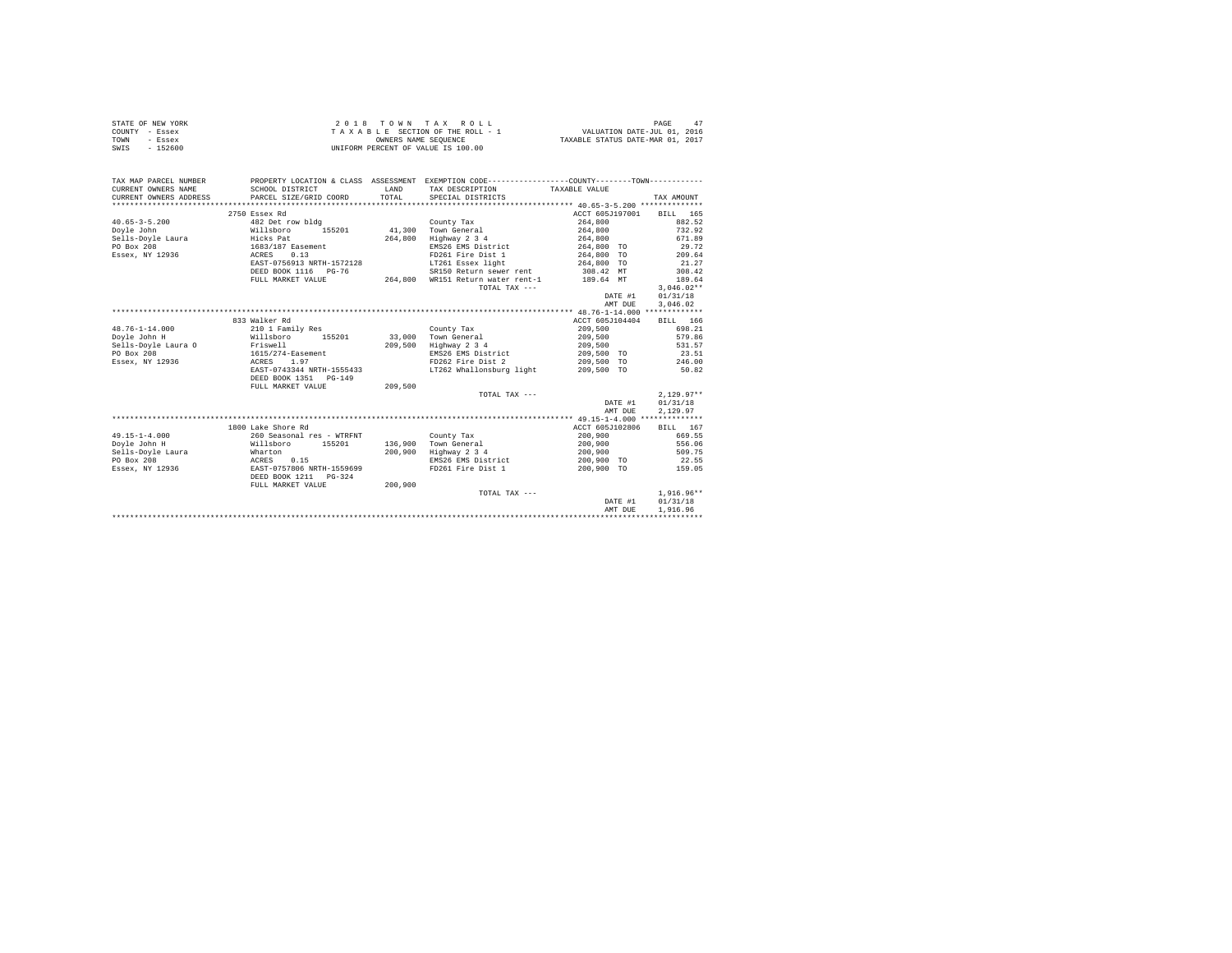|                | STATE OF NEW YORK |  |  |  | 2018 TOWN TAX ROLL                 |  |  |  |  |                                  | PAGE | 47 |
|----------------|-------------------|--|--|--|------------------------------------|--|--|--|--|----------------------------------|------|----|
| COUNTY - Essex |                   |  |  |  | TAXABLE SECTION OF THE ROLL - 1    |  |  |  |  | VALUATION DATE-JUL 01, 2016      |      |    |
| TOWN           | - Essex           |  |  |  | OWNERS NAME SEOUENCE               |  |  |  |  | TAXABLE STATUS DATE-MAR 01, 2017 |      |    |
| SWIS           | - 152600          |  |  |  | UNIFORM PERCENT OF VALUE IS 100.00 |  |  |  |  |                                  |      |    |

| TAX MAP PARCEL NUMBER                       | PROPERTY LOCATION & CLASS ASSESSMENT EXEMPTION CODE----------------COUNTY--------TOWN---------- |         |                                             |                                     |                  |
|---------------------------------------------|-------------------------------------------------------------------------------------------------|---------|---------------------------------------------|-------------------------------------|------------------|
| CURRENT OWNERS NAME                         | SCHOOL DISTRICT                                                                                 | LAND    | TAX DESCRIPTION TAXABLE VALUE               |                                     |                  |
| CURRENT OWNERS ADDRESS                      | PARCEL SIZE/GRID COORD                                                                          | TOTAL   | SPECIAL DISTRICTS                           |                                     | TAX AMOUNT       |
|                                             |                                                                                                 |         |                                             |                                     |                  |
|                                             | 2750 Essex Rd                                                                                   |         |                                             | ACCT 605J197001                     | BILL 165         |
| $40.65 - 3 - 5.200$                         | 482 Det row bldg<br>482 Det ro<br>Willsboro<br>Hicks Pat                                        |         | County Tax                                  | 264,800                             | 882.52           |
| Dovle John                                  | 155201                                                                                          |         | 41.300 Town General                         | 264,800                             | 732.92           |
| Sells-Dovle Laura                           |                                                                                                 | 264,800 | Highway 2 3 4                               | 264,800                             | 671.89           |
| PO Box 208                                  | 1683/187 Easement                                                                               |         | EMS26 EMS District                          | 264,800 TO                          | 29.72            |
| Essex, NY 12936                             | ACRES<br>0.13                                                                                   |         | FD261 Fire Dist 1                           | 264,800 TO                          | 209.64           |
|                                             | EAST-0756913 NRTH-1572128                                                                       |         | LT261 Essex light                           | $264,800$ TO                        | 21.27            |
|                                             | DEED BOOK 1116 PG-76                                                                            |         | SR150 Return sewer rent                     | 308.42 MT                           | 308.42           |
|                                             | FULL MARKET VALUE                                                                               |         | 264,800 WR151 Return water rent-1 189.64 MT |                                     | 189.64           |
|                                             |                                                                                                 |         | TOTAL TAX ---                               |                                     | $3.046.02**$     |
|                                             |                                                                                                 |         |                                             | DATE #1                             | 01/31/18         |
|                                             |                                                                                                 |         |                                             | AMT DUE                             | 3,046.02         |
|                                             |                                                                                                 |         |                                             |                                     |                  |
|                                             | 833 Walker Rd                                                                                   |         |                                             | ACCT 605J104404                     | BILL 166         |
| $48.76 - 1 - 14.000$                        | 210 1 Family Res                                                                                |         | County Tax                                  | 209,500                             | 698.21           |
| Dovle John H                                | Willsboro 155201                                                                                |         | 33,000 Town General                         |                                     | 579.86           |
| Sells-Doyle Laura O                         | Friswell                                                                                        | 209,500 | Highway 2 3 4                               | 209,500<br>209,500                  | 531.57           |
| PO Box 208                                  | 1615/274-Easement                                                                               |         | EMS26 EMS District                          | 209,500 TO                          | 23.51            |
| Essex, NY 12936                             | ACRES 1.97                                                                                      |         |                                             | FD262 Fire Dist 2 209.500 TO        | 246.00           |
|                                             | EAST-0743344 NRTH-1555433                                                                       |         |                                             | LT262 Whallonsburg light 209,500 TO | 50.82            |
|                                             | DEED BOOK 1351 PG-149                                                                           |         |                                             |                                     |                  |
|                                             | FULL MARKET VALUE                                                                               | 209,500 |                                             |                                     |                  |
|                                             |                                                                                                 |         | TOTAL TAX ---                               |                                     | $2.129.97**$     |
|                                             |                                                                                                 |         |                                             | DATE #1                             | 01/31/18         |
|                                             |                                                                                                 |         |                                             | AMT DUE                             | 2,129.97         |
|                                             |                                                                                                 |         |                                             |                                     |                  |
|                                             | 1800 Lake Shore Rd                                                                              |         |                                             | ACCT 605J102806                     | BILL 167         |
|                                             |                                                                                                 |         |                                             |                                     |                  |
| $49.15 - 1 - 4.000$<br>Dovle John H         | 260 Seasonal res - WTRFNT                                                                       |         | County Tax<br>136.900 Town General          | 200,900                             | 669.55<br>556.06 |
|                                             | Willsboro 155201                                                                                |         |                                             | 200,900                             |                  |
| Sells-Doyle Laura                           | Wharton<br>ACRES 0.15                                                                           | 200,900 | Highway 2 3 4                               | 200.900                             | 509.75           |
| PO Box 208                                  |                                                                                                 |         | EMS26 EMS District                          | 200,900 TO                          | 22.55            |
| Essex, NY 12936 6 EAST-0757806 NRTH-1559699 |                                                                                                 |         | FD261 Fire Dist 1                           | 200.900 TO 159.05                   |                  |
|                                             | DEED BOOK 1211 PG-324                                                                           |         |                                             |                                     |                  |
|                                             | FULL MARKET VALUE                                                                               | 200,900 |                                             |                                     |                  |
|                                             |                                                                                                 |         | TOTAL TAX ---                               |                                     | $1.916.96**$     |
|                                             |                                                                                                 |         |                                             | DATE #1                             | 01/31/18         |
|                                             |                                                                                                 |         |                                             | AMT DUE                             | 1,916.96         |
|                                             |                                                                                                 |         |                                             |                                     |                  |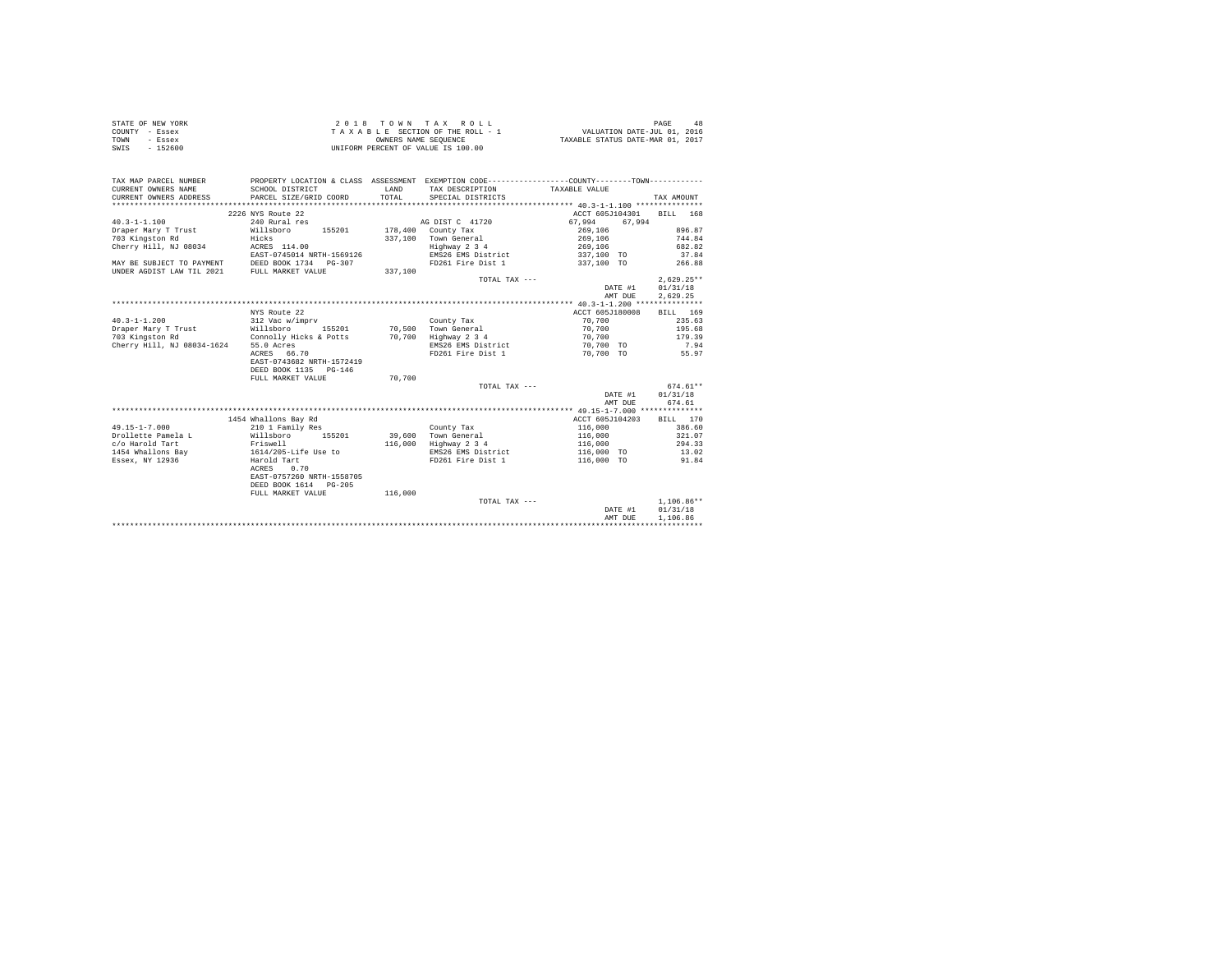| STATE OF NEW YORK | 2018 TOWN TAX ROLL                 | PAGE<br>48                       |
|-------------------|------------------------------------|----------------------------------|
| COUNTY - Essex    | TAXABLE SECTION OF THE ROLL - 1    | VALUATION DATE-JUL 01, 2016      |
| TOWN<br>- Essex   | OWNERS NAME SEOUENCE               | TAXABLE STATUS DATE-MAR 01, 2017 |
| - 152600<br>SWIS  | UNIFORM PERCENT OF VALUE IS 100.00 |                                  |

| TAX MAP PARCEL NUMBER<br>CURRENT OWNERS NAME<br>CURRENT OWNERS ADDRESS | SCHOOL DISTRICT<br>PARCEL SIZE/GRID COORD | <b>T.AND</b><br>TOTAL | TAX DESCRIPTION<br>SPECIAL DISTRICTS | PROPERTY LOCATION & CLASS ASSESSMENT EXEMPTION CODE----------------COUNTY--------TOWN----------<br>TAXABLE VALUE | TAX AMOUNT   |
|------------------------------------------------------------------------|-------------------------------------------|-----------------------|--------------------------------------|------------------------------------------------------------------------------------------------------------------|--------------|
|                                                                        |                                           |                       |                                      |                                                                                                                  |              |
|                                                                        | 2226 NYS Route 22                         |                       |                                      | ACCT 605J104301                                                                                                  | BILL 168     |
| $40.3 - 1 - 1.100$                                                     | 240 Rural res                             |                       | AG DIST C 41720                      | 67.994<br>67,994                                                                                                 |              |
| Draper Mary T Trust                                                    | 155201<br>Willsboro                       |                       | 178,400 County Tax                   | 269,106                                                                                                          | 896.87       |
| 703 Kingston Rd                                                        | Hicks                                     |                       | 337.100 Town General                 | 269,106                                                                                                          | 744.84       |
| Cherry Hill, NJ 08034                                                  | ACRES 114.00                              |                       | Highway 2 3 4                        | 269,106                                                                                                          | 682.82       |
|                                                                        | EAST-0745014 NRTH-1569126                 |                       | EMS26 EMS District                   | 337,100 TO                                                                                                       | 37.84        |
| MAY BE SUBJECT TO PAYMENT                                              | DEED BOOK 1734 PG-307                     |                       | FD261 Fire Dist 1                    | 337,100 TO                                                                                                       | 266.88       |
| UNDER AGDIST LAW TIL 2021                                              | FULL MARKET VALUE                         | 337,100               |                                      |                                                                                                                  |              |
|                                                                        |                                           |                       | TOTAL TAX ---                        |                                                                                                                  | $2,629.25**$ |
|                                                                        |                                           |                       |                                      | DATE #1                                                                                                          | 01/31/18     |
|                                                                        |                                           |                       |                                      | AMT DUE                                                                                                          | 2.629.25     |
|                                                                        |                                           |                       |                                      |                                                                                                                  |              |
|                                                                        | NYS Route 22                              |                       |                                      | ACCT 605J180008                                                                                                  | BILL 169     |
| $40.3 - 1 - 1.200$                                                     | 312 Vac w/imprv                           |                       | County Tax                           | 70,700                                                                                                           | 235.63       |
| Draper Mary T Trust                                                    | 155201<br>Willsboro                       |                       | 70.500 Town General                  | 70.700                                                                                                           | 195.68       |
| 703 Kingston Rd                                                        | Connolly Hicks & Potts 70,700             |                       | Highway 2 3 4                        | 70.700                                                                                                           | 179.39       |
| Cherry Hill, NJ 08034-1624                                             | 55.0 Acres                                |                       | EMS26 EMS District                   | 70.700 TO                                                                                                        | 7.94         |
|                                                                        | ACRES 66.70                               |                       | FD261 Fire Dist 1                    | 70.700 TO                                                                                                        | 55.97        |
|                                                                        | EAST-0743682 NRTH-1572419                 |                       |                                      |                                                                                                                  |              |
|                                                                        | DEED BOOK 1135 PG-146                     |                       |                                      |                                                                                                                  |              |
|                                                                        | FULL MARKET VALUE                         | 70,700                |                                      |                                                                                                                  |              |
|                                                                        |                                           |                       | TOTAL TAX ---                        |                                                                                                                  | $674.61**$   |
|                                                                        |                                           |                       |                                      | DATE #1                                                                                                          | 01/31/18     |
|                                                                        |                                           |                       |                                      | AMT DUE                                                                                                          | 674.61       |
|                                                                        |                                           |                       |                                      |                                                                                                                  |              |
|                                                                        | 1454 Whallons Bay Rd                      |                       |                                      | ACCT 605J104203                                                                                                  | BTLL 170     |
| $49.15 - 1 - 7.000$                                                    | 210 1 Family Res                          |                       | County Tax                           | 116,000                                                                                                          | 386.60       |
| Drollette Pamela L                                                     | Willsboro<br>155201                       |                       | 39,600 Town General                  | 116,000                                                                                                          | 321.07       |
| c/o Harold Tart                                                        | Friswell                                  | 116,000               | Highway 2 3 4                        | 116,000                                                                                                          | 294.33       |
| 1454 Whallons Bay 1614/205-Life Use to                                 |                                           |                       | EMS26 EMS District                   | 116,000 TO                                                                                                       | 13.02        |
| Essex, NY 12936                                                        | Harold Tart                               |                       | FD261 Fire Dist 1                    | 116,000 TO                                                                                                       | 91.84        |
|                                                                        | ACRES<br>0.70                             |                       |                                      |                                                                                                                  |              |
|                                                                        | EAST-0757260 NRTH-1558705                 |                       |                                      |                                                                                                                  |              |
|                                                                        | DEED BOOK 1614 PG-205                     |                       |                                      |                                                                                                                  |              |
|                                                                        | FULL MARKET VALUE                         | 116,000               |                                      |                                                                                                                  |              |
|                                                                        |                                           |                       | TOTAL TAX ---                        |                                                                                                                  | $1.106.86**$ |
|                                                                        |                                           |                       |                                      | DATE #1                                                                                                          | 01/31/18     |
|                                                                        |                                           |                       |                                      | AMT DUE                                                                                                          | 1,106.86     |
|                                                                        |                                           |                       |                                      |                                                                                                                  |              |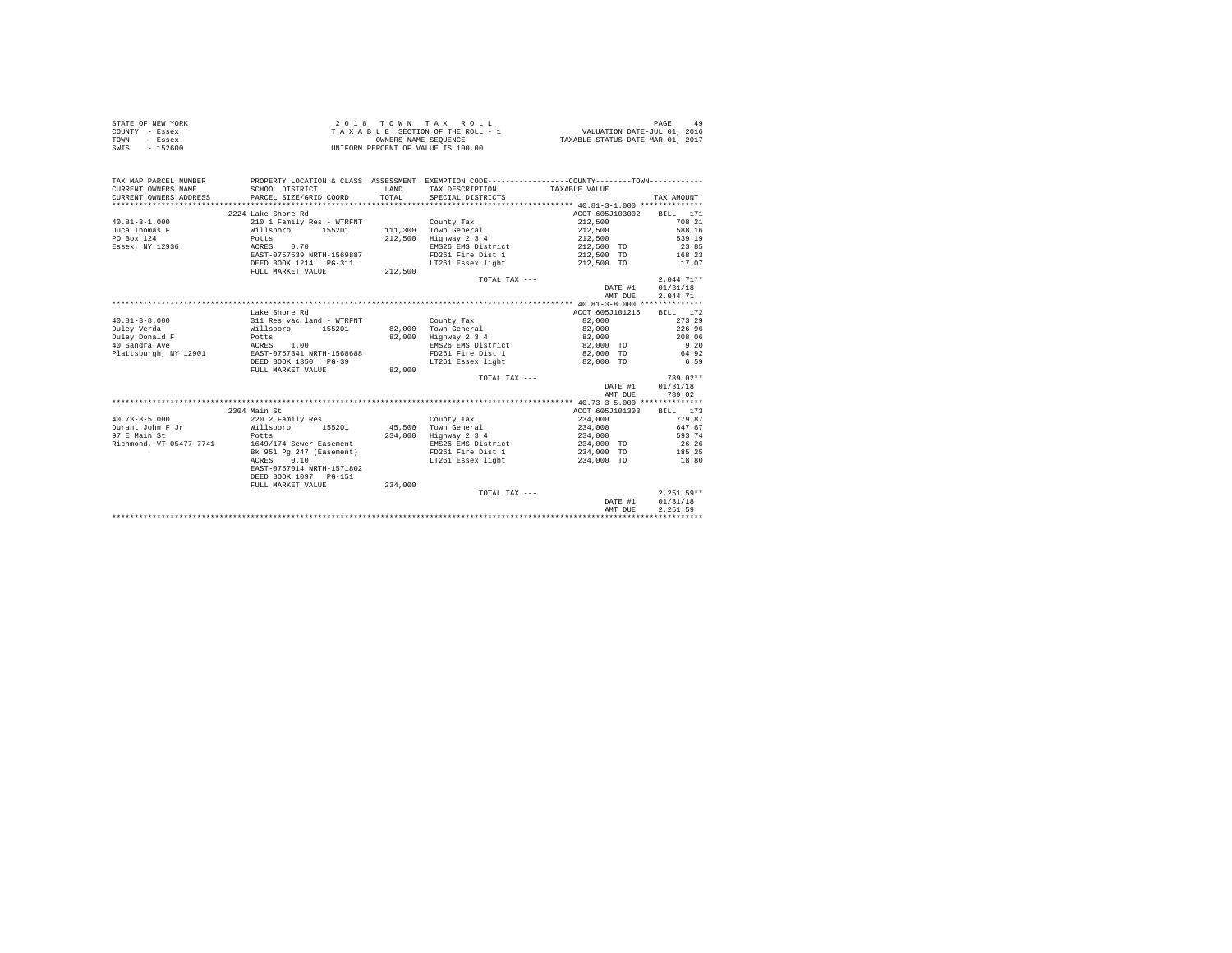| STATE OF NEW YORK | 2018 TOWN TAX ROLL                 | PAGE<br>49                       |
|-------------------|------------------------------------|----------------------------------|
| COUNTY - Essex    | TAXABLE SECTION OF THE ROLL - 1    | VALUATION DATE-JUL 01, 2016      |
| TOWN<br>- Essex   | OWNERS NAME SEOUENCE               | TAXABLE STATUS DATE-MAR 01, 2017 |
| SWIS<br>$-152600$ | UNIFORM PERCENT OF VALUE IS 100.00 |                                  |

| TAX MAP PARCEL NUMBER                         |                           |              | PROPERTY LOCATION & CLASS ASSESSMENT EXEMPTION CODE---------------COUNTY-------TOWN--------- |                 |              |
|-----------------------------------------------|---------------------------|--------------|----------------------------------------------------------------------------------------------|-----------------|--------------|
| CURRENT OWNERS NAME                           | SCHOOL DISTRICT           | <b>T.AND</b> | TAX DESCRIPTION                                                                              | TAXABLE VALUE   |              |
| CURRENT OWNERS ADDRESS PARCEL SIZE/GRID COORD |                           | TOTAL        | SPECIAL DISTRICTS                                                                            |                 | TAX AMOUNT   |
|                                               |                           |              |                                                                                              |                 |              |
|                                               | 2224 Lake Shore Rd        |              |                                                                                              | ACCT 605J103002 | BILL 171     |
| $40.81 - 3 - 1.000$                           | 210 1 Family Res - WTRFNT |              | County Tax                                                                                   | 212,500         | 708.21       |
| Duca Thomas F                                 | Willsboro 155201          |              | 111,300 Town General                                                                         | 212,500         | 588.16       |
| PO Box 124                                    | Potts                     | 212,500      | Highway 2 3 4                                                                                | 212,500         | 539.19       |
| Essex, NY 12936                               | ACRES 0.70                |              | EMS26 EMS District                                                                           | 212,500 TO      | 23.85        |
|                                               | EAST-0757539 NRTH-1569887 |              | FD261 Fire Dist 1                                                                            | 212,500 TO      | 168.23       |
|                                               | DEED BOOK 1214 PG-311     |              | LT261 Essex light                                                                            | 212,500 TO      | 17.07        |
|                                               | FULL MARKET VALUE         | 212,500      |                                                                                              |                 |              |
|                                               |                           |              | TOTAL TAX ---                                                                                |                 | $2.044.71**$ |
|                                               |                           |              |                                                                                              | DATE #1         | 01/31/18     |
|                                               |                           |              |                                                                                              | AMT DUE         | 2,044.71     |
|                                               |                           |              |                                                                                              |                 |              |
|                                               | Lake Shore Rd             |              |                                                                                              | ACCT 605J101215 | BILL 172     |
| $40.81 - 3 - 8.000$                           | 311 Res vac land - WTRFNT |              | County Tax                                                                                   | 82,000          | 273.29       |
| Duley Verda                                   | Willsboro<br>155201       |              | 82,000 Town General                                                                          | 82,000          | 226.96       |
| Duley Donald F                                | Potts                     | 82,000       | Highway 2 3 4                                                                                | 82,000          | 208.06       |
| 40 Sandra Ave                                 | ACRES 1.00                |              | EMS26 EMS District                                                                           | 82,000 TO       | 9.20         |
| Plattsburgh, NY 12901                         | EAST-0757341 NRTH-1568688 |              | FD261 Fire Dist 1 82,000 TO                                                                  |                 | 64.92        |
|                                               | DEED BOOK 1350 PG-39      |              | LT261 Essex light                                                                            | 82,000 TO       | 6.59         |
|                                               | FULL MARKET VALUE         | 82,000       |                                                                                              |                 |              |
|                                               |                           |              | TOTAL TAX ---                                                                                |                 | 789.02**     |
|                                               |                           |              |                                                                                              | DATE #1         | 01/31/18     |
|                                               |                           |              |                                                                                              | AMT DUE         | 789.02       |
|                                               |                           |              |                                                                                              |                 |              |
|                                               | 2304 Main St              |              |                                                                                              | ACCT 605J101303 | BILL 173     |
| $40.73 - 3 - 5.000$                           | 220 2 Family Res          |              | County Tax                                                                                   | 234,000         | 779.87       |
| Willsboro<br>Durant John F Jr                 | 155201                    |              | 45.500 Town General                                                                          | 234,000         | 647.67       |
| 97 E Main St                                  | Potts                     | 234,000      | Highway 2 3 4                                                                                | 234,000         | 593.74       |
| Richmond, VT 05477-7741                       | 1649/174-Sewer Easement   |              | EMS26 EMS District                                                                           | 234,000 TO      | 26.26        |
|                                               | Bk 951 Pg 247 (Easement)  |              | FD261 Fire Dist 1                                                                            | 234,000 TO      | 185.25       |
|                                               | 0.10<br>ACRES             |              | LT261 Essex light                                                                            | 234,000 TO      | 18.80        |
|                                               | EAST-0757014 NRTH-1571802 |              |                                                                                              |                 |              |
|                                               | DEED BOOK 1097 PG-151     |              |                                                                                              |                 |              |
|                                               | FULL MARKET VALUE         | 234,000      |                                                                                              |                 |              |
|                                               |                           |              | TOTAL TAX ---                                                                                |                 | $2,251.59**$ |
|                                               |                           |              |                                                                                              | DATE #1         | 01/31/18     |
|                                               |                           |              |                                                                                              | AMT DUE         | 2.251.59     |
|                                               |                           |              |                                                                                              |                 |              |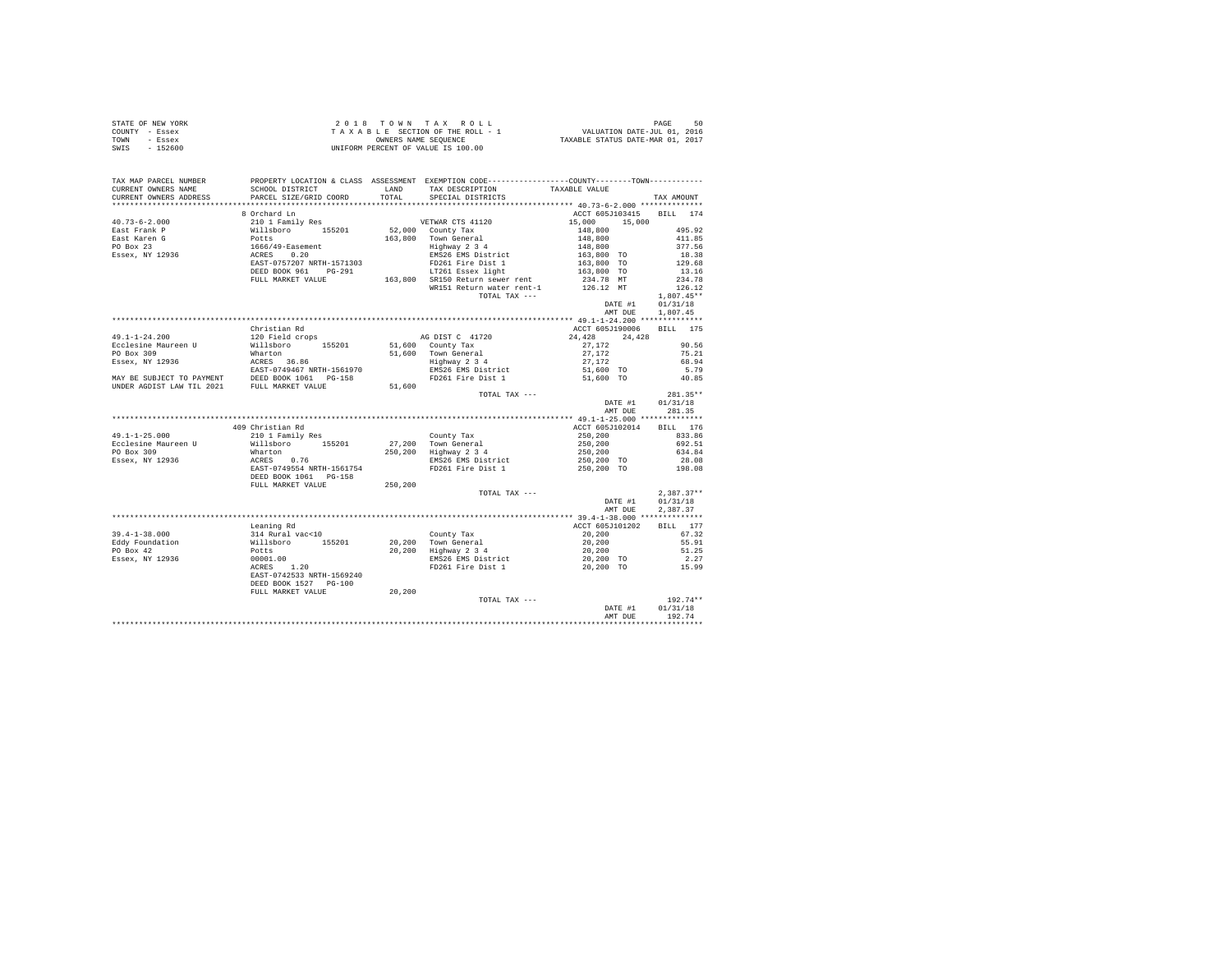| STATE OF NEW YORK | 2018 TOWN TAX ROLL                 | 50<br>PAGE                       |
|-------------------|------------------------------------|----------------------------------|
| COUNTY - Essex    | TAXABLE SECTION OF THE ROLL - 1    | VALUATION DATE-JUL 01, 2016      |
| TOWN<br>- Essex   | OWNERS NAME SEOUENCE               | TAXABLE STATUS DATE-MAR 01, 2017 |
| $-152600$<br>SWIS | UNIFORM PERCENT OF VALUE IS 100.00 |                                  |

| TAX MAP PARCEL NUMBER                                                                                                                                                                                                                      | PROPERTY LOCATION & CLASS ASSESSMENT EXEMPTION CODE-----------------COUNTY--------TOWN----------                                        |         |                                                           |                                                                        |               |
|--------------------------------------------------------------------------------------------------------------------------------------------------------------------------------------------------------------------------------------------|-----------------------------------------------------------------------------------------------------------------------------------------|---------|-----------------------------------------------------------|------------------------------------------------------------------------|---------------|
| CURRENT OWNERS NAME                                                                                                                                                                                                                        | SCHOOL DISTRICT                                                                                                                         | LAND    | TAX DESCRIPTION                                           | TAXABLE VALUE                                                          |               |
| CURRENT OWNERS ADDRESS                                                                                                                                                                                                                     | PARCEL SIZE/GRID COORD                                                                                                                  | TOTAL   | SPECIAL DISTRICTS                                         |                                                                        | TAX AMOUNT    |
|                                                                                                                                                                                                                                            |                                                                                                                                         |         |                                                           |                                                                        |               |
|                                                                                                                                                                                                                                            | 8 Orchard Ln                                                                                                                            |         |                                                           | ACCT 605J103415 BILL 174                                               |               |
| $40.73 - 6 - 2.000$                                                                                                                                                                                                                        | 210 1 Family Res                                                                                                                        |         | VETWAR CTS 41120                                          | 15,000 15,000                                                          |               |
| East Frank P                                                                                                                                                                                                                               | % 210 1 Family Res<br>Willisboro 155201<br>Potts<br>1666/49-Easement<br>ACRES 0.20<br>EAST-0757207 NRTH-1571303<br>DEED BOOK 961 PG-291 |         | 52,000 County Tax                                         | 148,800                                                                | 495.92        |
|                                                                                                                                                                                                                                            |                                                                                                                                         |         |                                                           |                                                                        | 411.85        |
| East Karen G<br>PO Box 23                                                                                                                                                                                                                  |                                                                                                                                         |         | 163,800 Town General<br>Highway 2 3 4                     | $148,800$<br>$148,800$<br>$163,800$ TO<br>$163,800$ TO<br>$163,800$ TO | 377.56        |
| Essex, NY 12936                                                                                                                                                                                                                            |                                                                                                                                         |         | EMS26 EMS District                                        |                                                                        | 18.38         |
|                                                                                                                                                                                                                                            |                                                                                                                                         |         |                                                           |                                                                        | 129.68        |
|                                                                                                                                                                                                                                            |                                                                                                                                         |         | FD261 Fire Dist 1<br>LT261 Essex light                    |                                                                        | 13.16         |
|                                                                                                                                                                                                                                            | FULL MARKET VALUE                                                                                                                       |         | 163,800 SR150 Return sewer rent                           | 234.78 MT                                                              | 234.78        |
|                                                                                                                                                                                                                                            |                                                                                                                                         |         | WR151 Return water rent-1 126.12 MT                       |                                                                        | 126.12        |
|                                                                                                                                                                                                                                            |                                                                                                                                         |         | TOTAL TAX ---                                             |                                                                        | $1,807.45**$  |
|                                                                                                                                                                                                                                            |                                                                                                                                         |         |                                                           | DATE #1                                                                | 01/31/18      |
|                                                                                                                                                                                                                                            |                                                                                                                                         |         |                                                           | AMT DUE                                                                | 1,807.45      |
|                                                                                                                                                                                                                                            |                                                                                                                                         |         |                                                           |                                                                        |               |
|                                                                                                                                                                                                                                            | Christian Rd                                                                                                                            |         |                                                           | ACCT 605J190006 BILL 175                                               |               |
| 49.1-1-24.200                                                                                                                                                                                                                              | 120 Field crops                                                                                                                         |         | AG DIST C 41720                                           | 24.428 24.428                                                          |               |
| Formation of the Millsboro (155201)<br>Formation (15201)<br>Essex, NY 12936 (1585201)<br>Marton Marton (1585201)<br>Essex, NY 12936 (15852-0749467 NETH-1561970<br>MAY BE SUBJECT TO PAYMENT (1585)<br>UNDER AGDIST LAW TIL 2021 FULL MARK |                                                                                                                                         |         | 51,600 County Tax                                         | 27,172                                                                 | 90.56         |
|                                                                                                                                                                                                                                            |                                                                                                                                         |         | 51,600 County Tax<br>51,600 Town General<br>Highway 2 3 4 |                                                                        |               |
|                                                                                                                                                                                                                                            |                                                                                                                                         |         |                                                           |                                                                        |               |
|                                                                                                                                                                                                                                            |                                                                                                                                         |         |                                                           |                                                                        |               |
|                                                                                                                                                                                                                                            |                                                                                                                                         |         |                                                           |                                                                        |               |
|                                                                                                                                                                                                                                            |                                                                                                                                         | 51,600  |                                                           |                                                                        |               |
|                                                                                                                                                                                                                                            |                                                                                                                                         |         | TOTAL TAX ---                                             |                                                                        | $281.35**$    |
|                                                                                                                                                                                                                                            |                                                                                                                                         |         |                                                           | DATE #1                                                                | 01/31/18      |
|                                                                                                                                                                                                                                            |                                                                                                                                         |         |                                                           | AMT DUE                                                                | 281.35        |
|                                                                                                                                                                                                                                            |                                                                                                                                         |         |                                                           |                                                                        |               |
|                                                                                                                                                                                                                                            |                                                                                                                                         |         |                                                           |                                                                        |               |
|                                                                                                                                                                                                                                            | 409 Christian Rd<br>210 1 Family Res                                                                                                    |         |                                                           | ACCT 605J102014                                                        | BILL 176      |
| $49.1 - 1 - 25.000$                                                                                                                                                                                                                        |                                                                                                                                         |         | County Tax                                                |                                                                        | 833.86        |
| Ecclesine Maureen U Millsboro 155201                                                                                                                                                                                                       |                                                                                                                                         |         | 27,200 Town General<br>250,200 Highway 2 3 4              | $250, 200$<br>$250, 200$<br>$250, 200$                                 | 692.51        |
| PO Box 309                                                                                                                                                                                                                                 |                                                                                                                                         |         |                                                           |                                                                        | 634.84        |
| Essex, NY 12936                                                                                                                                                                                                                            |                                                                                                                                         |         | EMS26 EMS District                                        | 250,200 TO                                                             | 28.08         |
|                                                                                                                                                                                                                                            | Wharton<br>ACRES 0.76<br>EAST-0749554 NRTH-1561754<br>DEED BOOK 1061 PG-158                                                             |         | FD261 Fire Dist 1                                         | 250,200 TO                                                             | 198.08        |
|                                                                                                                                                                                                                                            |                                                                                                                                         |         |                                                           |                                                                        |               |
|                                                                                                                                                                                                                                            | FULL MARKET VALUE                                                                                                                       | 250,200 |                                                           |                                                                        |               |
|                                                                                                                                                                                                                                            |                                                                                                                                         |         | TOTAL TAX ---                                             |                                                                        | $2.387.37**$  |
|                                                                                                                                                                                                                                            |                                                                                                                                         |         |                                                           | DATE #1                                                                | 01/31/18      |
|                                                                                                                                                                                                                                            |                                                                                                                                         |         |                                                           | AMT DUE                                                                | 2,387.37      |
|                                                                                                                                                                                                                                            |                                                                                                                                         |         |                                                           |                                                                        |               |
|                                                                                                                                                                                                                                            | Leaning Rd                                                                                                                              |         |                                                           | ACCT 605J101202                                                        | BILL 177      |
| $39.4 - 1 - 38.000$                                                                                                                                                                                                                        | 202012113 Aural vac<10<br>314 Rural vac<10<br>Potts<br>Potts<br>00001.00<br>ACRES 1.20                                                  |         | County $\text{Tax}$                                       | 20,200<br>20,200                                                       | 67.32         |
| Eddy Foundation                                                                                                                                                                                                                            |                                                                                                                                         |         | 20,200 Town General<br>20,200 Highway 2 3 4               |                                                                        | 55.91         |
| PO Box 42                                                                                                                                                                                                                                  |                                                                                                                                         |         |                                                           | 20,200                                                                 | 51.25         |
| Essex, NY 12936                                                                                                                                                                                                                            |                                                                                                                                         |         | EMS26 EMS District                                        | 20,200 TO                                                              | 2.27<br>15.99 |
|                                                                                                                                                                                                                                            |                                                                                                                                         |         | FD261 Fire Dist 1                                         | 20,200 TO                                                              |               |
|                                                                                                                                                                                                                                            | EAST-0742533 NRTH-1569240                                                                                                               |         |                                                           |                                                                        |               |
|                                                                                                                                                                                                                                            | DEED BOOK 1527 PG-100                                                                                                                   |         |                                                           |                                                                        |               |
|                                                                                                                                                                                                                                            | FULL MARKET VALUE                                                                                                                       | 20,200  |                                                           |                                                                        |               |
|                                                                                                                                                                                                                                            |                                                                                                                                         |         | TOTAL TAX ---                                             |                                                                        | $192.74**$    |
|                                                                                                                                                                                                                                            |                                                                                                                                         |         |                                                           | DATE #1                                                                | 01/31/18      |
|                                                                                                                                                                                                                                            |                                                                                                                                         |         |                                                           | AMT DUE                                                                | 192.74        |
|                                                                                                                                                                                                                                            |                                                                                                                                         |         |                                                           |                                                                        |               |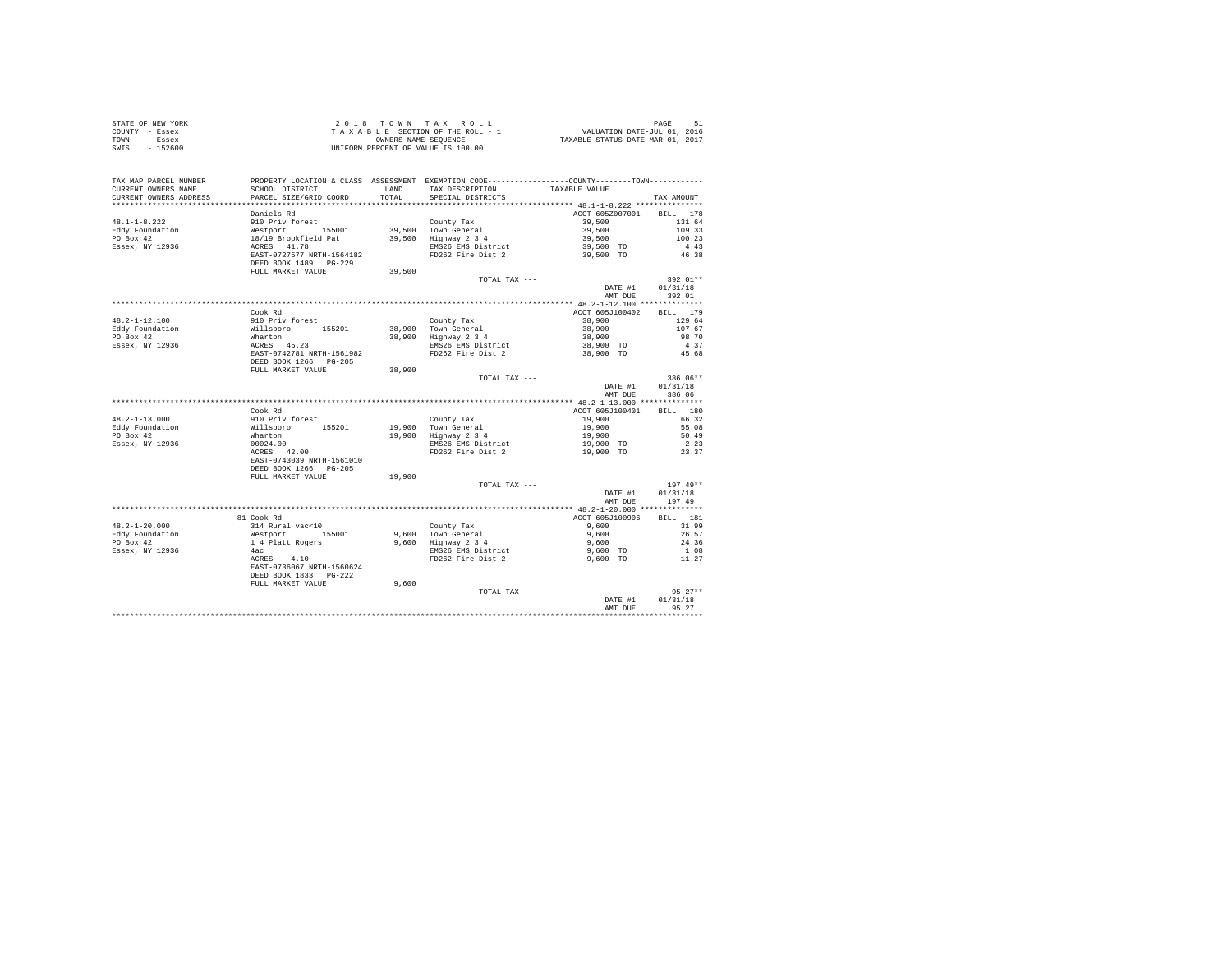| STATE OF NEW YORK | 2018 TOWN TAX ROLL                 | PAGE                             |
|-------------------|------------------------------------|----------------------------------|
| COUNTY - Essex    | TAXABLE SECTION OF THE ROLL - 1    | VALUATION DATE-JUL 01, 2016      |
| TOWN<br>- Essex   | OWNERS NAME SEOUENCE               | TAXABLE STATUS DATE-MAR 01, 2017 |
| $-152600$<br>SWIS | UNIFORM PERCENT OF VALUE IS 100.00 |                                  |

| TAX MAP PARCEL NUMBER        | PROPERTY LOCATION & CLASS ASSESSMENT                                      |              | EXEMPTION CODE-----------------COUNTY-------TOWN----------- |                        |            |
|------------------------------|---------------------------------------------------------------------------|--------------|-------------------------------------------------------------|------------------------|------------|
| CURRENT OWNERS NAME          | SCHOOL DISTRICT                                                           | <b>T.AND</b> | TAX DESCRIPTION                                             | TAXABLE VALUE          |            |
| CURRENT OWNERS ADDRESS       | PARCEL SIZE/GRID COORD                                                    | TOTAL        | SPECIAL DISTRICTS                                           |                        | TAX AMOUNT |
|                              |                                                                           |              |                                                             |                        |            |
|                              | Daniels Rd                                                                |              |                                                             | ACCT 605Z007001        | BILL 178   |
| $48.1 - 1 - 8.222$           | 910 Priv forest                                                           |              | County Tax                                                  | 39,500                 | 131.64     |
| Eddy Foundation              | Westport 155001<br>18/19 Brookfield Pat<br>ACRES 41.78<br>Westport 155001 |              | 39,500 Town General<br>39,500 Highway 2 3 4                 | 39,500                 | 109.33     |
| PO Box 42                    |                                                                           |              |                                                             | 39,500                 | 100.23     |
| Essex, NY 12936              |                                                                           |              | EMS26 EMS District                                          | 39,500 TO<br>39,500 TO | 4.43       |
|                              | EAST-0727577 NRTH-1564182                                                 |              | FD262 Fire Dist 2                                           |                        | 46.38      |
|                              | DEED BOOK 1489 PG-229                                                     |              |                                                             |                        |            |
|                              | FULL MARKET VALUE                                                         | 39,500       |                                                             |                        |            |
|                              |                                                                           |              | TOTAL TAX ---                                               |                        | 392.01**   |
|                              |                                                                           |              |                                                             | DATE #1                | 01/31/18   |
|                              |                                                                           |              |                                                             | AMT DUE                | 392.01     |
|                              |                                                                           |              |                                                             |                        |            |
|                              | Cook Rd                                                                   |              |                                                             | ACCT 605J100402        | BILL 179   |
| $48.2 - 1 - 12.100$          | 910 Priv forest                                                           |              | County Tax                                                  | 38,900                 | 129.64     |
| Eddy Foundation              | Willsboro 155201<br>Wharton<br>ACRES 45.23                                |              | 38,900 Town General<br>38,900 Highway 2 3 4                 | 38,900                 | 107.67     |
| PO Box 42                    |                                                                           |              |                                                             | 38,900                 | 98.70      |
| Essex, NY 12936              |                                                                           |              | EMS26 EMS District                                          | 38,900 TO              | 4.37       |
|                              | EAST-0742781 NRTH-1561982                                                 |              | FD262 Fire Dist 2                                           | 38,900 TO              | 45.68      |
|                              | DEED BOOK 1266 PG-205                                                     |              |                                                             |                        |            |
|                              | FULL MARKET VALUE                                                         | 38,900       |                                                             |                        |            |
|                              |                                                                           |              | TOTAL TAX ---                                               |                        | 386.06**   |
|                              |                                                                           |              |                                                             | DATE #1                | 01/31/18   |
|                              |                                                                           |              |                                                             | AMT DUE                | 386.06     |
|                              |                                                                           |              |                                                             |                        |            |
|                              | Cook Rd                                                                   |              |                                                             | ACCT 605J100401        | BILL 180   |
| $48.2 - 1 - 13.000$          | 910 Priv forest                                                           |              | County Tax                                                  | 19,900<br>19,900       | 66.32      |
| Eddy Foundation              | yrd Friv Ioresc<br>Willsboro<br>Wharton<br>155201                         |              | 19,900 Town General                                         |                        | 55.08      |
| PO Box 42<br>Essex, NY 12936 |                                                                           |              | 19,900 Highway 2 3 4<br>EMS26 EMS District                  | 19,900                 | 50.49      |
|                              | $00024.00$<br>ACRES 42.00                                                 |              |                                                             | 19,900 TO              | 2.23       |
|                              | EAST-0743039 NRTH-1561010                                                 |              | FD262 Fire Dist 2                                           | 19,900 TO              | 23.37      |
|                              | DEED BOOK 1266 PG-205                                                     |              |                                                             |                        |            |
|                              | FULL MARKET VALUE                                                         | 19,900       |                                                             |                        |            |
|                              |                                                                           |              | TOTAL TAX ---                                               |                        | $197.49**$ |
|                              |                                                                           |              |                                                             | DATE #1                | 01/31/18   |
|                              |                                                                           |              |                                                             | AMT DUE                | 197.49     |
|                              |                                                                           |              |                                                             |                        |            |
|                              | 81 Cook Rd                                                                |              |                                                             | ACCT 605J100906        | BILL 181   |
| $48.2 - 1 - 20.000$          |                                                                           |              |                                                             | 9,600                  | 31.99      |
| Eddy Foundation              |                                                                           |              | County Tax<br>9,600 Town General                            | 9,600                  | 26.57      |
| PO Box 42                    | 314 Rural vac<10<br>Westport 155001<br>14 Platt Rogers                    |              | 9,600 Highway 2 3 4                                         | 9.600                  | 24.36      |
| Essex, NY 12936              | 4ac                                                                       |              | EMS26 EMS District                                          | 9,600 TO               | 1.08       |
|                              | ACRES 4.10                                                                |              | FD262 Fire Dist 2                                           | 9,600 TO               | 11.27      |
|                              | EAST-0736067 NRTH-1560624                                                 |              |                                                             |                        |            |
|                              | DEED BOOK 1833 PG-222                                                     |              |                                                             |                        |            |
|                              | FULL MARKET VALUE                                                         | 9,600        |                                                             |                        |            |
|                              |                                                                           |              | TOTAL TAX ---                                               |                        | $95.27**$  |
|                              |                                                                           |              |                                                             | DATE #1                | 01/31/18   |
|                              |                                                                           |              |                                                             | AMT DUE                | 95.27      |
|                              |                                                                           |              |                                                             |                        |            |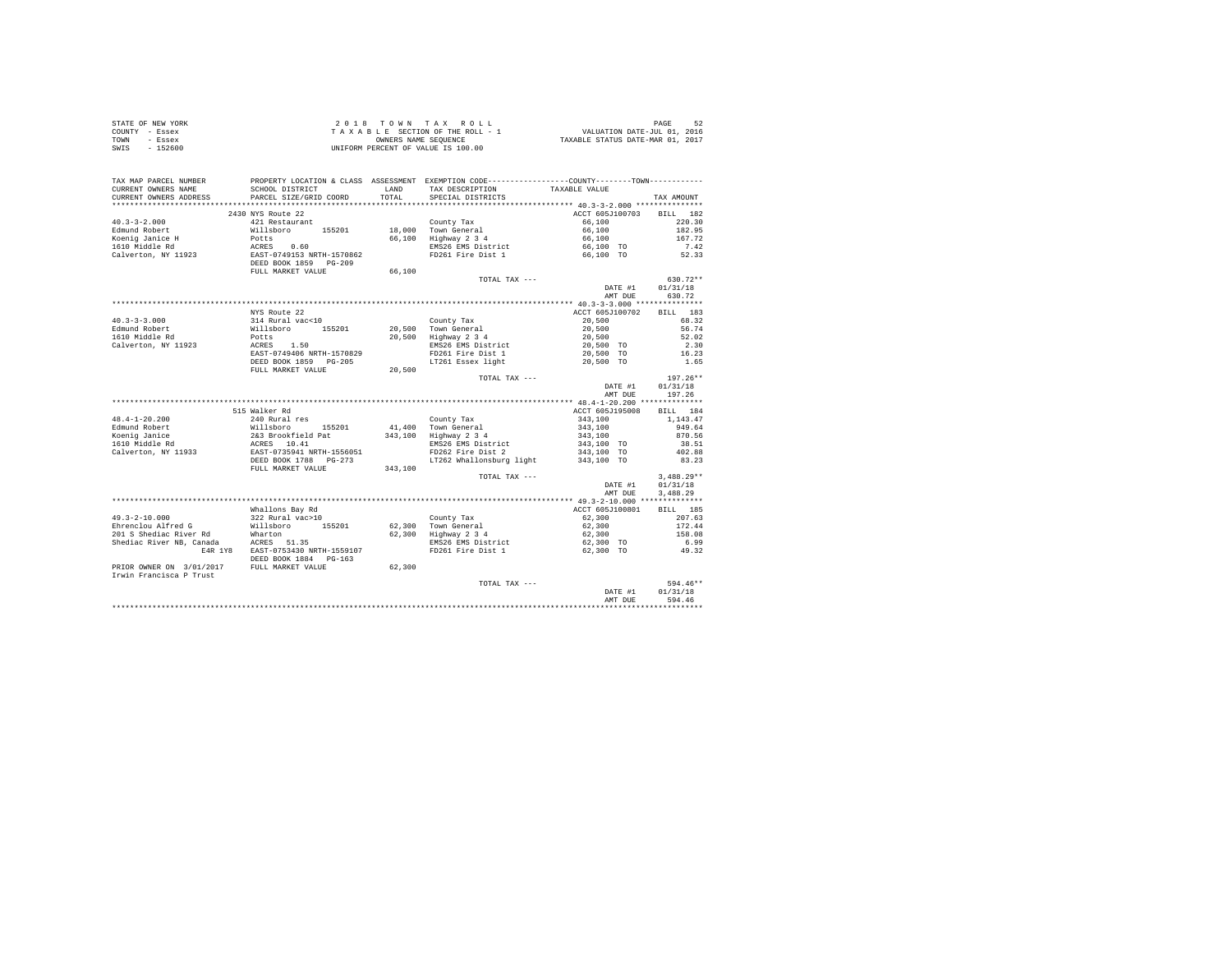| STATE OF NEW YORK | 2018 TOWN TAX ROLL                 | PAGE                             |
|-------------------|------------------------------------|----------------------------------|
| COUNTY - Essex    | TAXABLE SECTION OF THE ROLL - 1    | VALUATION DATE-JUL 01, 2016      |
| TOWN<br>- Essex   | OWNERS NAME SEOUENCE               | TAXABLE STATUS DATE-MAR 01, 2017 |
| SWIS<br>- 152600  | UNIFORM PERCENT OF VALUE IS 100.00 |                                  |

| 2430 NYS Route 22<br>ACCT 605J100703 BILL 182<br>$40.3 - 3 - 2.000$<br>421 Restaurant<br>County Tax<br>66,100<br>220.30<br>18,000 Town General<br>Willsboro 155201<br>Potts<br>ACRES 0.60<br>EAST-0749153 NRTH-1570862<br>66,100<br>182.95<br>Edmund Robert<br>66,100 Highway 2 3 4<br>66,100<br>Koenig Janice H<br>167.72<br>1610 Middle Rd<br>66,100 TO<br>EMS26 EMS District<br>7.42<br>Calverton, NY 11923<br>FD261 Fire Dist 1<br>66,100 TO<br>52.33<br>DEED BOOK 1859 PG-209<br>66,100<br>FULL MARKET VALUE<br>630.72**<br>TOTAL TAX ---<br>DATE #1<br>01/31/18<br>630.72<br>AMT DUE<br>NYS Route 22<br>ACCT 605J100702<br>BILL 183<br>$40.3 - 3 - 3.000$<br>314 Rural vac<10<br>20,500<br>68.32<br>County Tax<br>Willsboro 155201 20,500 Town General<br>Edmund Robert<br>20,500<br>56.74<br>1610 Middle Rd<br>Potts<br>20,500 Highway 2 3 4<br>20,500<br>52.02<br>Calverton, NY 11923<br>ACRES 1.50<br>EAST-0749406 NRTH-1570829<br>EMS26 EMS District<br>20,500 TO<br>2.30<br>16.23<br>FD261 Fire Dist 1<br>20,500 TO<br>DEED BOOK 1859 PG-205<br>LT261 Essex light<br>1.65<br>20,500 TO<br>20,500<br>FULL MARKET VALUE<br>$197.26**$<br>TOTAL TAX ---<br>01/31/18<br>DATE #1<br>197.26<br>AMT DUE<br>515 Walker Rd<br>ACCT 605J195008<br>BILL 184<br>1,143.47<br>240 Rural res<br>343,100<br>County Tax<br>41,400 Town General<br>343,100 Highway 2 3 4<br>%<br>Willsboro 155201<br>2&3 Brookfield Pat<br>ACRES 10.41<br>EAST-0735941 NRTH-1556051<br>DEED BOOK 1788 PG-273<br>343,100<br>949.64<br>343,100<br>870.56<br>koenig Janice<br>1610 Middle Rd<br>EMS26 EMS District<br>343,100 TO<br>38.51<br>FD262 Fire Dist 2<br>343,100 TO<br>402.88<br>LT262 Whallonsburg light 343,100 TO<br>83.23<br>FULL MARKET VALUE<br>343,100<br>$3,488.29**$<br>TOTAL TAX ---<br>01/31/18<br>DATE #1<br>3.488.29<br>AMT DUE<br>Whallons Bay Rd<br>ACCT 605J100801<br>BILL 185<br>$49.3 - 2 - 10.000$<br>207.63<br>322 Rural vac>10<br>62,300<br>County Tax<br>Ehrenclou Alfred G<br>Willsboro 155201<br>Wharton<br>ACRES 51.35<br>62,300 Town General<br>62,300 Highway 2 3 4<br>62,300<br>62,300<br>172.44<br>201 S Shediac River Rd<br>158.08<br>Shediac River NB, Canada<br>EMS26 EMS District<br>6.99<br>62,300 TO<br>E4R 1Y8<br>FD261 Fire Dist 1<br>49.32<br>EAST-0753430 NRTH-1559107<br>62,300 TO<br>DEED BOOK 1884 PG-163<br>PRIOR OWNER ON 3/01/2017 FULL MARKET VALUE<br>62,300<br>Irwin Francisca P Trust<br>594.46**<br>TOTAL TAX ---<br>01/31/18<br>DATE #1<br>AMT DUE<br>594.46 | TAX MAP PARCEL NUMBER<br>CURRENT OWNERS NAME<br>CURRENT OWNERS ADDRESS | SCHOOL DISTRICT<br>PARCEL SIZE/GRID COORD | LAND<br>TOTAL. | PROPERTY LOCATION & CLASS ASSESSMENT EXEMPTION CODE---------------COUNTY-------TOWN----------<br>TAX DESCRIPTION<br>SPECIAL DISTRICTS | TAXABLE VALUE | TAX AMOUNT |
|------------------------------------------------------------------------------------------------------------------------------------------------------------------------------------------------------------------------------------------------------------------------------------------------------------------------------------------------------------------------------------------------------------------------------------------------------------------------------------------------------------------------------------------------------------------------------------------------------------------------------------------------------------------------------------------------------------------------------------------------------------------------------------------------------------------------------------------------------------------------------------------------------------------------------------------------------------------------------------------------------------------------------------------------------------------------------------------------------------------------------------------------------------------------------------------------------------------------------------------------------------------------------------------------------------------------------------------------------------------------------------------------------------------------------------------------------------------------------------------------------------------------------------------------------------------------------------------------------------------------------------------------------------------------------------------------------------------------------------------------------------------------------------------------------------------------------------------------------------------------------------------------------------------------------------------------------------------------------------------------------------------------------------------------------------------------------------------------------------------------------------------------------------------------------------------------------------------------------------------------------------------------------------------------------------------------------------------------------------------------------------------------------------------------------------------------------------------------------------------------|------------------------------------------------------------------------|-------------------------------------------|----------------|---------------------------------------------------------------------------------------------------------------------------------------|---------------|------------|
|                                                                                                                                                                                                                                                                                                                                                                                                                                                                                                                                                                                                                                                                                                                                                                                                                                                                                                                                                                                                                                                                                                                                                                                                                                                                                                                                                                                                                                                                                                                                                                                                                                                                                                                                                                                                                                                                                                                                                                                                                                                                                                                                                                                                                                                                                                                                                                                                                                                                                                | **********************                                                 |                                           |                |                                                                                                                                       |               |            |
|                                                                                                                                                                                                                                                                                                                                                                                                                                                                                                                                                                                                                                                                                                                                                                                                                                                                                                                                                                                                                                                                                                                                                                                                                                                                                                                                                                                                                                                                                                                                                                                                                                                                                                                                                                                                                                                                                                                                                                                                                                                                                                                                                                                                                                                                                                                                                                                                                                                                                                |                                                                        |                                           |                |                                                                                                                                       |               |            |
|                                                                                                                                                                                                                                                                                                                                                                                                                                                                                                                                                                                                                                                                                                                                                                                                                                                                                                                                                                                                                                                                                                                                                                                                                                                                                                                                                                                                                                                                                                                                                                                                                                                                                                                                                                                                                                                                                                                                                                                                                                                                                                                                                                                                                                                                                                                                                                                                                                                                                                |                                                                        |                                           |                |                                                                                                                                       |               |            |
|                                                                                                                                                                                                                                                                                                                                                                                                                                                                                                                                                                                                                                                                                                                                                                                                                                                                                                                                                                                                                                                                                                                                                                                                                                                                                                                                                                                                                                                                                                                                                                                                                                                                                                                                                                                                                                                                                                                                                                                                                                                                                                                                                                                                                                                                                                                                                                                                                                                                                                |                                                                        |                                           |                |                                                                                                                                       |               |            |
|                                                                                                                                                                                                                                                                                                                                                                                                                                                                                                                                                                                                                                                                                                                                                                                                                                                                                                                                                                                                                                                                                                                                                                                                                                                                                                                                                                                                                                                                                                                                                                                                                                                                                                                                                                                                                                                                                                                                                                                                                                                                                                                                                                                                                                                                                                                                                                                                                                                                                                |                                                                        |                                           |                |                                                                                                                                       |               |            |
|                                                                                                                                                                                                                                                                                                                                                                                                                                                                                                                                                                                                                                                                                                                                                                                                                                                                                                                                                                                                                                                                                                                                                                                                                                                                                                                                                                                                                                                                                                                                                                                                                                                                                                                                                                                                                                                                                                                                                                                                                                                                                                                                                                                                                                                                                                                                                                                                                                                                                                |                                                                        |                                           |                |                                                                                                                                       |               |            |
|                                                                                                                                                                                                                                                                                                                                                                                                                                                                                                                                                                                                                                                                                                                                                                                                                                                                                                                                                                                                                                                                                                                                                                                                                                                                                                                                                                                                                                                                                                                                                                                                                                                                                                                                                                                                                                                                                                                                                                                                                                                                                                                                                                                                                                                                                                                                                                                                                                                                                                |                                                                        |                                           |                |                                                                                                                                       |               |            |
|                                                                                                                                                                                                                                                                                                                                                                                                                                                                                                                                                                                                                                                                                                                                                                                                                                                                                                                                                                                                                                                                                                                                                                                                                                                                                                                                                                                                                                                                                                                                                                                                                                                                                                                                                                                                                                                                                                                                                                                                                                                                                                                                                                                                                                                                                                                                                                                                                                                                                                |                                                                        |                                           |                |                                                                                                                                       |               |            |
|                                                                                                                                                                                                                                                                                                                                                                                                                                                                                                                                                                                                                                                                                                                                                                                                                                                                                                                                                                                                                                                                                                                                                                                                                                                                                                                                                                                                                                                                                                                                                                                                                                                                                                                                                                                                                                                                                                                                                                                                                                                                                                                                                                                                                                                                                                                                                                                                                                                                                                |                                                                        |                                           |                |                                                                                                                                       |               |            |
|                                                                                                                                                                                                                                                                                                                                                                                                                                                                                                                                                                                                                                                                                                                                                                                                                                                                                                                                                                                                                                                                                                                                                                                                                                                                                                                                                                                                                                                                                                                                                                                                                                                                                                                                                                                                                                                                                                                                                                                                                                                                                                                                                                                                                                                                                                                                                                                                                                                                                                |                                                                        |                                           |                |                                                                                                                                       |               |            |
|                                                                                                                                                                                                                                                                                                                                                                                                                                                                                                                                                                                                                                                                                                                                                                                                                                                                                                                                                                                                                                                                                                                                                                                                                                                                                                                                                                                                                                                                                                                                                                                                                                                                                                                                                                                                                                                                                                                                                                                                                                                                                                                                                                                                                                                                                                                                                                                                                                                                                                |                                                                        |                                           |                |                                                                                                                                       |               |            |
|                                                                                                                                                                                                                                                                                                                                                                                                                                                                                                                                                                                                                                                                                                                                                                                                                                                                                                                                                                                                                                                                                                                                                                                                                                                                                                                                                                                                                                                                                                                                                                                                                                                                                                                                                                                                                                                                                                                                                                                                                                                                                                                                                                                                                                                                                                                                                                                                                                                                                                |                                                                        |                                           |                |                                                                                                                                       |               |            |
|                                                                                                                                                                                                                                                                                                                                                                                                                                                                                                                                                                                                                                                                                                                                                                                                                                                                                                                                                                                                                                                                                                                                                                                                                                                                                                                                                                                                                                                                                                                                                                                                                                                                                                                                                                                                                                                                                                                                                                                                                                                                                                                                                                                                                                                                                                                                                                                                                                                                                                |                                                                        |                                           |                |                                                                                                                                       |               |            |
|                                                                                                                                                                                                                                                                                                                                                                                                                                                                                                                                                                                                                                                                                                                                                                                                                                                                                                                                                                                                                                                                                                                                                                                                                                                                                                                                                                                                                                                                                                                                                                                                                                                                                                                                                                                                                                                                                                                                                                                                                                                                                                                                                                                                                                                                                                                                                                                                                                                                                                |                                                                        |                                           |                |                                                                                                                                       |               |            |
|                                                                                                                                                                                                                                                                                                                                                                                                                                                                                                                                                                                                                                                                                                                                                                                                                                                                                                                                                                                                                                                                                                                                                                                                                                                                                                                                                                                                                                                                                                                                                                                                                                                                                                                                                                                                                                                                                                                                                                                                                                                                                                                                                                                                                                                                                                                                                                                                                                                                                                |                                                                        |                                           |                |                                                                                                                                       |               |            |
|                                                                                                                                                                                                                                                                                                                                                                                                                                                                                                                                                                                                                                                                                                                                                                                                                                                                                                                                                                                                                                                                                                                                                                                                                                                                                                                                                                                                                                                                                                                                                                                                                                                                                                                                                                                                                                                                                                                                                                                                                                                                                                                                                                                                                                                                                                                                                                                                                                                                                                |                                                                        |                                           |                |                                                                                                                                       |               |            |
|                                                                                                                                                                                                                                                                                                                                                                                                                                                                                                                                                                                                                                                                                                                                                                                                                                                                                                                                                                                                                                                                                                                                                                                                                                                                                                                                                                                                                                                                                                                                                                                                                                                                                                                                                                                                                                                                                                                                                                                                                                                                                                                                                                                                                                                                                                                                                                                                                                                                                                |                                                                        |                                           |                |                                                                                                                                       |               |            |
|                                                                                                                                                                                                                                                                                                                                                                                                                                                                                                                                                                                                                                                                                                                                                                                                                                                                                                                                                                                                                                                                                                                                                                                                                                                                                                                                                                                                                                                                                                                                                                                                                                                                                                                                                                                                                                                                                                                                                                                                                                                                                                                                                                                                                                                                                                                                                                                                                                                                                                |                                                                        |                                           |                |                                                                                                                                       |               |            |
|                                                                                                                                                                                                                                                                                                                                                                                                                                                                                                                                                                                                                                                                                                                                                                                                                                                                                                                                                                                                                                                                                                                                                                                                                                                                                                                                                                                                                                                                                                                                                                                                                                                                                                                                                                                                                                                                                                                                                                                                                                                                                                                                                                                                                                                                                                                                                                                                                                                                                                |                                                                        |                                           |                |                                                                                                                                       |               |            |
|                                                                                                                                                                                                                                                                                                                                                                                                                                                                                                                                                                                                                                                                                                                                                                                                                                                                                                                                                                                                                                                                                                                                                                                                                                                                                                                                                                                                                                                                                                                                                                                                                                                                                                                                                                                                                                                                                                                                                                                                                                                                                                                                                                                                                                                                                                                                                                                                                                                                                                |                                                                        |                                           |                |                                                                                                                                       |               |            |
|                                                                                                                                                                                                                                                                                                                                                                                                                                                                                                                                                                                                                                                                                                                                                                                                                                                                                                                                                                                                                                                                                                                                                                                                                                                                                                                                                                                                                                                                                                                                                                                                                                                                                                                                                                                                                                                                                                                                                                                                                                                                                                                                                                                                                                                                                                                                                                                                                                                                                                |                                                                        |                                           |                |                                                                                                                                       |               |            |
|                                                                                                                                                                                                                                                                                                                                                                                                                                                                                                                                                                                                                                                                                                                                                                                                                                                                                                                                                                                                                                                                                                                                                                                                                                                                                                                                                                                                                                                                                                                                                                                                                                                                                                                                                                                                                                                                                                                                                                                                                                                                                                                                                                                                                                                                                                                                                                                                                                                                                                |                                                                        |                                           |                |                                                                                                                                       |               |            |
|                                                                                                                                                                                                                                                                                                                                                                                                                                                                                                                                                                                                                                                                                                                                                                                                                                                                                                                                                                                                                                                                                                                                                                                                                                                                                                                                                                                                                                                                                                                                                                                                                                                                                                                                                                                                                                                                                                                                                                                                                                                                                                                                                                                                                                                                                                                                                                                                                                                                                                |                                                                        |                                           |                |                                                                                                                                       |               |            |
|                                                                                                                                                                                                                                                                                                                                                                                                                                                                                                                                                                                                                                                                                                                                                                                                                                                                                                                                                                                                                                                                                                                                                                                                                                                                                                                                                                                                                                                                                                                                                                                                                                                                                                                                                                                                                                                                                                                                                                                                                                                                                                                                                                                                                                                                                                                                                                                                                                                                                                |                                                                        |                                           |                |                                                                                                                                       |               |            |
|                                                                                                                                                                                                                                                                                                                                                                                                                                                                                                                                                                                                                                                                                                                                                                                                                                                                                                                                                                                                                                                                                                                                                                                                                                                                                                                                                                                                                                                                                                                                                                                                                                                                                                                                                                                                                                                                                                                                                                                                                                                                                                                                                                                                                                                                                                                                                                                                                                                                                                |                                                                        |                                           |                |                                                                                                                                       |               |            |
|                                                                                                                                                                                                                                                                                                                                                                                                                                                                                                                                                                                                                                                                                                                                                                                                                                                                                                                                                                                                                                                                                                                                                                                                                                                                                                                                                                                                                                                                                                                                                                                                                                                                                                                                                                                                                                                                                                                                                                                                                                                                                                                                                                                                                                                                                                                                                                                                                                                                                                |                                                                        |                                           |                |                                                                                                                                       |               |            |
|                                                                                                                                                                                                                                                                                                                                                                                                                                                                                                                                                                                                                                                                                                                                                                                                                                                                                                                                                                                                                                                                                                                                                                                                                                                                                                                                                                                                                                                                                                                                                                                                                                                                                                                                                                                                                                                                                                                                                                                                                                                                                                                                                                                                                                                                                                                                                                                                                                                                                                |                                                                        |                                           |                |                                                                                                                                       |               |            |
|                                                                                                                                                                                                                                                                                                                                                                                                                                                                                                                                                                                                                                                                                                                                                                                                                                                                                                                                                                                                                                                                                                                                                                                                                                                                                                                                                                                                                                                                                                                                                                                                                                                                                                                                                                                                                                                                                                                                                                                                                                                                                                                                                                                                                                                                                                                                                                                                                                                                                                | $48.4 - 1 - 20.200$                                                    |                                           |                |                                                                                                                                       |               |            |
|                                                                                                                                                                                                                                                                                                                                                                                                                                                                                                                                                                                                                                                                                                                                                                                                                                                                                                                                                                                                                                                                                                                                                                                                                                                                                                                                                                                                                                                                                                                                                                                                                                                                                                                                                                                                                                                                                                                                                                                                                                                                                                                                                                                                                                                                                                                                                                                                                                                                                                | Edmund Robert                                                          |                                           |                |                                                                                                                                       |               |            |
|                                                                                                                                                                                                                                                                                                                                                                                                                                                                                                                                                                                                                                                                                                                                                                                                                                                                                                                                                                                                                                                                                                                                                                                                                                                                                                                                                                                                                                                                                                                                                                                                                                                                                                                                                                                                                                                                                                                                                                                                                                                                                                                                                                                                                                                                                                                                                                                                                                                                                                | Koenig Janice                                                          |                                           |                |                                                                                                                                       |               |            |
|                                                                                                                                                                                                                                                                                                                                                                                                                                                                                                                                                                                                                                                                                                                                                                                                                                                                                                                                                                                                                                                                                                                                                                                                                                                                                                                                                                                                                                                                                                                                                                                                                                                                                                                                                                                                                                                                                                                                                                                                                                                                                                                                                                                                                                                                                                                                                                                                                                                                                                |                                                                        |                                           |                |                                                                                                                                       |               |            |
|                                                                                                                                                                                                                                                                                                                                                                                                                                                                                                                                                                                                                                                                                                                                                                                                                                                                                                                                                                                                                                                                                                                                                                                                                                                                                                                                                                                                                                                                                                                                                                                                                                                                                                                                                                                                                                                                                                                                                                                                                                                                                                                                                                                                                                                                                                                                                                                                                                                                                                | Calverton, NY 11933                                                    |                                           |                |                                                                                                                                       |               |            |
|                                                                                                                                                                                                                                                                                                                                                                                                                                                                                                                                                                                                                                                                                                                                                                                                                                                                                                                                                                                                                                                                                                                                                                                                                                                                                                                                                                                                                                                                                                                                                                                                                                                                                                                                                                                                                                                                                                                                                                                                                                                                                                                                                                                                                                                                                                                                                                                                                                                                                                |                                                                        |                                           |                |                                                                                                                                       |               |            |
|                                                                                                                                                                                                                                                                                                                                                                                                                                                                                                                                                                                                                                                                                                                                                                                                                                                                                                                                                                                                                                                                                                                                                                                                                                                                                                                                                                                                                                                                                                                                                                                                                                                                                                                                                                                                                                                                                                                                                                                                                                                                                                                                                                                                                                                                                                                                                                                                                                                                                                |                                                                        |                                           |                |                                                                                                                                       |               |            |
|                                                                                                                                                                                                                                                                                                                                                                                                                                                                                                                                                                                                                                                                                                                                                                                                                                                                                                                                                                                                                                                                                                                                                                                                                                                                                                                                                                                                                                                                                                                                                                                                                                                                                                                                                                                                                                                                                                                                                                                                                                                                                                                                                                                                                                                                                                                                                                                                                                                                                                |                                                                        |                                           |                |                                                                                                                                       |               |            |
|                                                                                                                                                                                                                                                                                                                                                                                                                                                                                                                                                                                                                                                                                                                                                                                                                                                                                                                                                                                                                                                                                                                                                                                                                                                                                                                                                                                                                                                                                                                                                                                                                                                                                                                                                                                                                                                                                                                                                                                                                                                                                                                                                                                                                                                                                                                                                                                                                                                                                                |                                                                        |                                           |                |                                                                                                                                       |               |            |
|                                                                                                                                                                                                                                                                                                                                                                                                                                                                                                                                                                                                                                                                                                                                                                                                                                                                                                                                                                                                                                                                                                                                                                                                                                                                                                                                                                                                                                                                                                                                                                                                                                                                                                                                                                                                                                                                                                                                                                                                                                                                                                                                                                                                                                                                                                                                                                                                                                                                                                |                                                                        |                                           |                |                                                                                                                                       |               |            |
|                                                                                                                                                                                                                                                                                                                                                                                                                                                                                                                                                                                                                                                                                                                                                                                                                                                                                                                                                                                                                                                                                                                                                                                                                                                                                                                                                                                                                                                                                                                                                                                                                                                                                                                                                                                                                                                                                                                                                                                                                                                                                                                                                                                                                                                                                                                                                                                                                                                                                                |                                                                        |                                           |                |                                                                                                                                       |               |            |
|                                                                                                                                                                                                                                                                                                                                                                                                                                                                                                                                                                                                                                                                                                                                                                                                                                                                                                                                                                                                                                                                                                                                                                                                                                                                                                                                                                                                                                                                                                                                                                                                                                                                                                                                                                                                                                                                                                                                                                                                                                                                                                                                                                                                                                                                                                                                                                                                                                                                                                |                                                                        |                                           |                |                                                                                                                                       |               |            |
|                                                                                                                                                                                                                                                                                                                                                                                                                                                                                                                                                                                                                                                                                                                                                                                                                                                                                                                                                                                                                                                                                                                                                                                                                                                                                                                                                                                                                                                                                                                                                                                                                                                                                                                                                                                                                                                                                                                                                                                                                                                                                                                                                                                                                                                                                                                                                                                                                                                                                                |                                                                        |                                           |                |                                                                                                                                       |               |            |
|                                                                                                                                                                                                                                                                                                                                                                                                                                                                                                                                                                                                                                                                                                                                                                                                                                                                                                                                                                                                                                                                                                                                                                                                                                                                                                                                                                                                                                                                                                                                                                                                                                                                                                                                                                                                                                                                                                                                                                                                                                                                                                                                                                                                                                                                                                                                                                                                                                                                                                |                                                                        |                                           |                |                                                                                                                                       |               |            |
|                                                                                                                                                                                                                                                                                                                                                                                                                                                                                                                                                                                                                                                                                                                                                                                                                                                                                                                                                                                                                                                                                                                                                                                                                                                                                                                                                                                                                                                                                                                                                                                                                                                                                                                                                                                                                                                                                                                                                                                                                                                                                                                                                                                                                                                                                                                                                                                                                                                                                                |                                                                        |                                           |                |                                                                                                                                       |               |            |
|                                                                                                                                                                                                                                                                                                                                                                                                                                                                                                                                                                                                                                                                                                                                                                                                                                                                                                                                                                                                                                                                                                                                                                                                                                                                                                                                                                                                                                                                                                                                                                                                                                                                                                                                                                                                                                                                                                                                                                                                                                                                                                                                                                                                                                                                                                                                                                                                                                                                                                |                                                                        |                                           |                |                                                                                                                                       |               |            |
|                                                                                                                                                                                                                                                                                                                                                                                                                                                                                                                                                                                                                                                                                                                                                                                                                                                                                                                                                                                                                                                                                                                                                                                                                                                                                                                                                                                                                                                                                                                                                                                                                                                                                                                                                                                                                                                                                                                                                                                                                                                                                                                                                                                                                                                                                                                                                                                                                                                                                                |                                                                        |                                           |                |                                                                                                                                       |               |            |
|                                                                                                                                                                                                                                                                                                                                                                                                                                                                                                                                                                                                                                                                                                                                                                                                                                                                                                                                                                                                                                                                                                                                                                                                                                                                                                                                                                                                                                                                                                                                                                                                                                                                                                                                                                                                                                                                                                                                                                                                                                                                                                                                                                                                                                                                                                                                                                                                                                                                                                |                                                                        |                                           |                |                                                                                                                                       |               |            |
|                                                                                                                                                                                                                                                                                                                                                                                                                                                                                                                                                                                                                                                                                                                                                                                                                                                                                                                                                                                                                                                                                                                                                                                                                                                                                                                                                                                                                                                                                                                                                                                                                                                                                                                                                                                                                                                                                                                                                                                                                                                                                                                                                                                                                                                                                                                                                                                                                                                                                                |                                                                        |                                           |                |                                                                                                                                       |               |            |
|                                                                                                                                                                                                                                                                                                                                                                                                                                                                                                                                                                                                                                                                                                                                                                                                                                                                                                                                                                                                                                                                                                                                                                                                                                                                                                                                                                                                                                                                                                                                                                                                                                                                                                                                                                                                                                                                                                                                                                                                                                                                                                                                                                                                                                                                                                                                                                                                                                                                                                |                                                                        |                                           |                |                                                                                                                                       |               |            |
|                                                                                                                                                                                                                                                                                                                                                                                                                                                                                                                                                                                                                                                                                                                                                                                                                                                                                                                                                                                                                                                                                                                                                                                                                                                                                                                                                                                                                                                                                                                                                                                                                                                                                                                                                                                                                                                                                                                                                                                                                                                                                                                                                                                                                                                                                                                                                                                                                                                                                                |                                                                        |                                           |                |                                                                                                                                       |               |            |
|                                                                                                                                                                                                                                                                                                                                                                                                                                                                                                                                                                                                                                                                                                                                                                                                                                                                                                                                                                                                                                                                                                                                                                                                                                                                                                                                                                                                                                                                                                                                                                                                                                                                                                                                                                                                                                                                                                                                                                                                                                                                                                                                                                                                                                                                                                                                                                                                                                                                                                |                                                                        |                                           |                |                                                                                                                                       |               |            |
|                                                                                                                                                                                                                                                                                                                                                                                                                                                                                                                                                                                                                                                                                                                                                                                                                                                                                                                                                                                                                                                                                                                                                                                                                                                                                                                                                                                                                                                                                                                                                                                                                                                                                                                                                                                                                                                                                                                                                                                                                                                                                                                                                                                                                                                                                                                                                                                                                                                                                                |                                                                        |                                           |                |                                                                                                                                       |               |            |
|                                                                                                                                                                                                                                                                                                                                                                                                                                                                                                                                                                                                                                                                                                                                                                                                                                                                                                                                                                                                                                                                                                                                                                                                                                                                                                                                                                                                                                                                                                                                                                                                                                                                                                                                                                                                                                                                                                                                                                                                                                                                                                                                                                                                                                                                                                                                                                                                                                                                                                |                                                                        |                                           |                |                                                                                                                                       |               |            |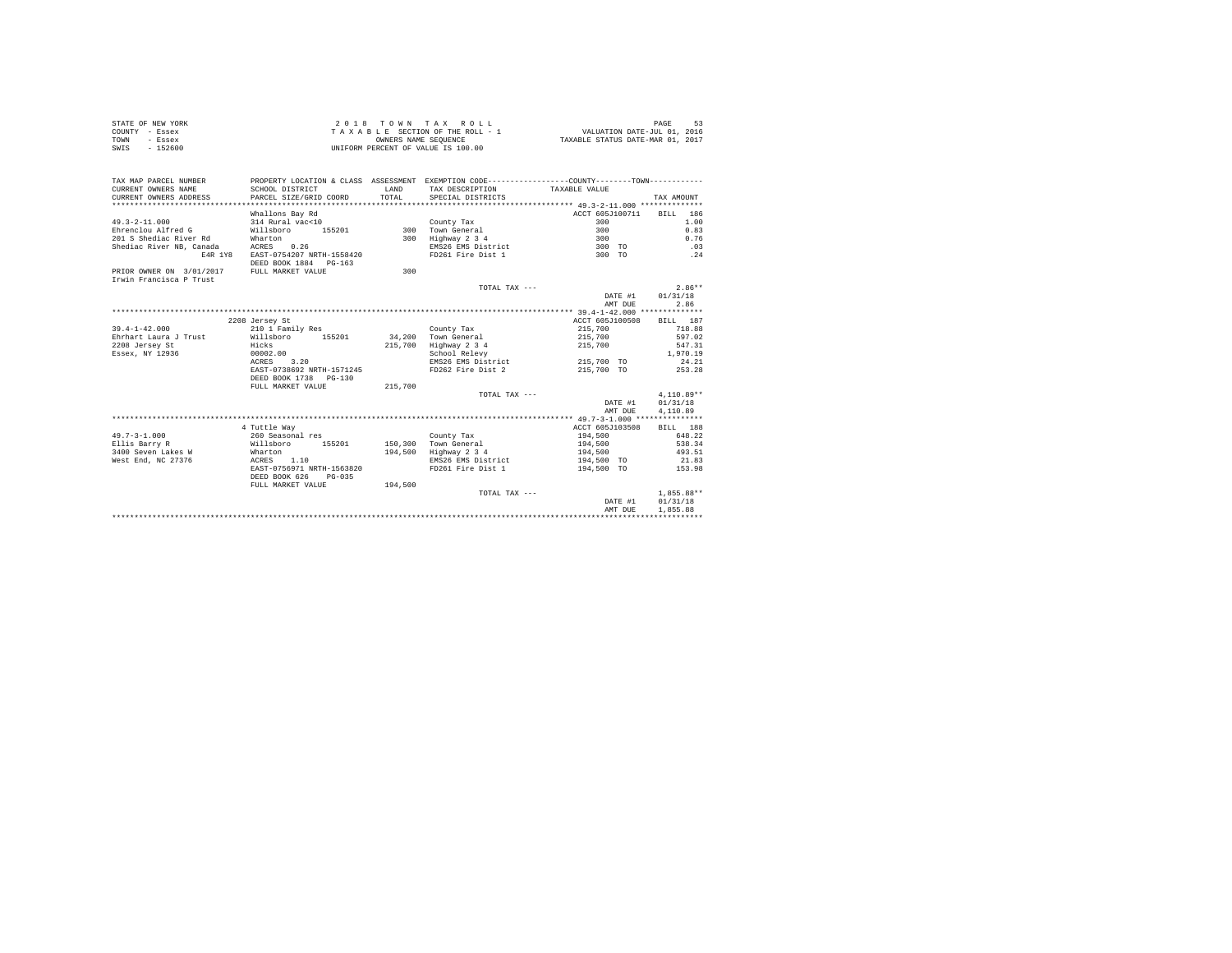| STATE OF NEW YORK | 2018 TOWN TAX ROLL                 | PAGE                             |
|-------------------|------------------------------------|----------------------------------|
| COUNTY - Essex    | TAXABLE SECTION OF THE ROLL - 1    | VALUATION DATE-JUL 01, 2016      |
| TOWN<br>- Essex   | OWNERS NAME SEOUENCE               | TAXABLE STATUS DATE-MAR 01, 2017 |
| $-152600$<br>SWIS | UNIFORM PERCENT OF VALUE IS 100.00 |                                  |

| TAX MAP PARCEL NUMBER<br>CURRENT OWNERS NAME<br>CURRENT OWNERS ADDRESS | SCHOOL DISTRICT<br>PARCEL SIZE/GRID COORD            | <b>T.AND</b><br>TOTAL | PROPERTY LOCATION & CLASS ASSESSMENT EXEMPTION CODE---------------COUNTY-------TOWN----------<br>TAX DESCRIPTION<br>SPECIAL DISTRICTS | TAXABLE VALUE   | TAX AMOUNT   |
|------------------------------------------------------------------------|------------------------------------------------------|-----------------------|---------------------------------------------------------------------------------------------------------------------------------------|-----------------|--------------|
|                                                                        | Whallons Bay Rd                                      |                       |                                                                                                                                       | ACCT 605J100711 | 186<br>RTLL. |
| $49.3 - 2 - 11.000$                                                    | 314 Rural vac<10                                     |                       | County Tax                                                                                                                            | 300             | 1.00         |
| Ehrenclou Alfred G                                                     | Willsboro<br>155201                                  |                       | 300 Town General                                                                                                                      | 300             | 0.83         |
| 201 S Shediac River Rd                                                 | Wharton                                              | 300                   | Highway 2 3 4                                                                                                                         | 300             | 0.76         |
| Shediac River NB, Canada                                               | ACRES<br>0.26                                        |                       | EMS26 EMS District                                                                                                                    | 300 TO          | .03          |
| E4R 1Y8                                                                | EAST-0754207 NRTH-1558420<br>DEED BOOK 1884 PG-163   |                       | FD261 Fire Dist 1                                                                                                                     | 300 TO          | .24          |
| PRIOR OWNER ON 3/01/2017                                               | FULL MARKET VALUE                                    | 300                   |                                                                                                                                       |                 |              |
| Irwin Francisca P Trust                                                |                                                      |                       |                                                                                                                                       |                 |              |
|                                                                        |                                                      |                       | TOTAL TAX ---                                                                                                                         |                 | $2.86**$     |
|                                                                        |                                                      |                       |                                                                                                                                       | DATE #1         | 01/31/18     |
|                                                                        |                                                      |                       |                                                                                                                                       | AMT DUE         | 2.86         |
|                                                                        |                                                      |                       |                                                                                                                                       |                 |              |
|                                                                        |                                                      |                       |                                                                                                                                       |                 |              |
|                                                                        | 2208 Jersey St                                       |                       |                                                                                                                                       | ACCT 605J100508 | BILL 187     |
| $39.4 - 1 - 42.000$<br>Ehrhart Laura J Trust                           | 210 1 Family Res                                     |                       | County Tax<br>34.200 Town General                                                                                                     | 215,700         | 718.88       |
|                                                                        | Willsboro<br>155201                                  |                       |                                                                                                                                       | 215,700         | 597.02       |
| 2208 Jersey St                                                         | Hicks                                                | 215,700               | Highway 2 3 4                                                                                                                         | 215,700         | 547.31       |
| Essex, NY 12936                                                        | 00002.00                                             |                       | School Relevy                                                                                                                         |                 | 1,970.19     |
|                                                                        | 3.20<br>ACRES                                        |                       | EMS26 EMS District                                                                                                                    | 215,700 TO      | 24.21        |
|                                                                        | EAST-0738692 NRTH-1571245<br>DEED BOOK 1738 PG-130   |                       | FD262 Fire Dist 2                                                                                                                     | 215,700 TO      | 253.28       |
|                                                                        | FULL MARKET VALUE                                    | 215,700               |                                                                                                                                       |                 |              |
|                                                                        |                                                      |                       | TOTAL TAX ---                                                                                                                         |                 | $4.110.89**$ |
|                                                                        |                                                      |                       |                                                                                                                                       | DATE #1         | 01/31/18     |
|                                                                        |                                                      |                       |                                                                                                                                       | AMT DUE         | 4,110.89     |
|                                                                        |                                                      |                       |                                                                                                                                       |                 |              |
|                                                                        | 4 Tuttle Way                                         |                       |                                                                                                                                       | ACCT 605J103508 | BILL 188     |
| $49.7 - 3 - 1.000$                                                     | 260 Seasonal res                                     |                       | County Tax                                                                                                                            | 194,500         | 648.22       |
| Ellis Barry R                                                          | Willsboro 155201                                     |                       | 150.300 Town General                                                                                                                  | 194,500         | 538.34       |
| 3400 Seven Lakes W                                                     | Wharton                                              |                       | 194.500 Highway 2 3 4                                                                                                                 | 194,500         | 493.51       |
| West End, NC 27376                                                     | 1.10<br>ACRES                                        |                       | EMS26 EMS District                                                                                                                    | 194,500 TO      | 21.83        |
|                                                                        | EAST-0756971 NRTH-1563820<br>DEED BOOK 626<br>PG-035 |                       | FD261 Fire Dist 1                                                                                                                     | 194,500 TO      | 153.98       |
|                                                                        | FULL MARKET VALUE                                    | 194,500               |                                                                                                                                       |                 |              |
|                                                                        |                                                      |                       | TOTAL TAX ---                                                                                                                         |                 | $1.855.88**$ |
|                                                                        |                                                      |                       |                                                                                                                                       | DATE #1         | 01/31/18     |
|                                                                        |                                                      |                       |                                                                                                                                       | AMT DUE         | 1,855.88     |
|                                                                        |                                                      |                       |                                                                                                                                       |                 |              |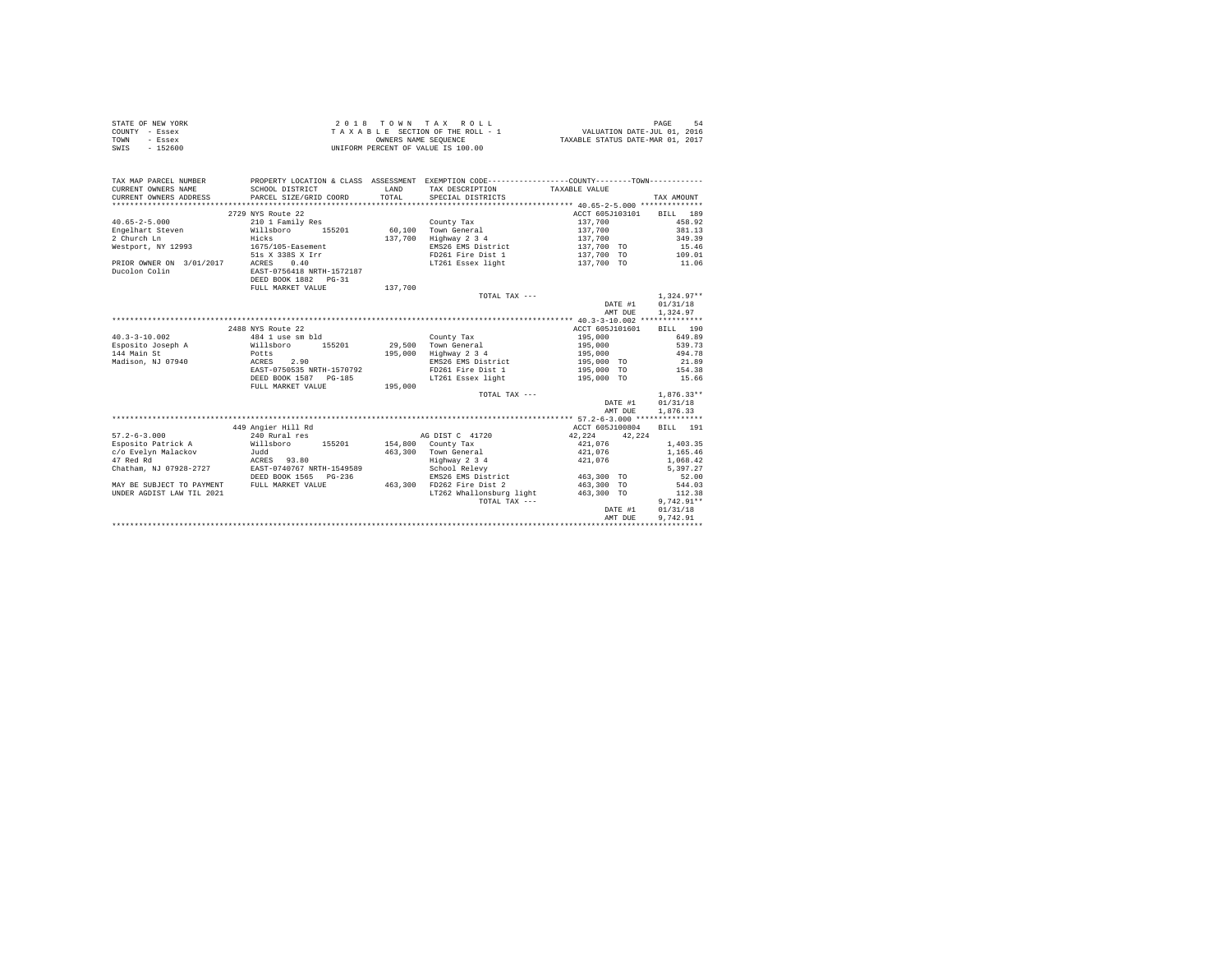| STATE OF NEW YORK | 2018 TOWN TAX ROLL                 | PAGE<br>54                       |
|-------------------|------------------------------------|----------------------------------|
| COUNTY - Essex    | TAXABLE SECTION OF THE ROLL - 1    | VALUATION DATE-JUL 01, 2016      |
| TOWN<br>- Essex   | OWNERS NAME SEOUENCE               | TAXABLE STATUS DATE-MAR 01, 2017 |
| $-152600$<br>SWIS | UNIFORM PERCENT OF VALUE IS 100.00 |                                  |

| TAX MAP PARCEL NUMBER<br>CURRENT OWNERS NAME<br>CURRENT OWNERS ADDRESS PARCEL SIZE/GRID COORD | PROPERTY LOCATION & CLASS ASSESSMENT EXEMPTION CODE---------------COUNTY-------TOWN----------<br>SCHOOL DISTRICT | T.AND<br>TOTAL | TAX DESCRIPTION<br>SPECIAL DISTRICTS | TAXABLE VALUE            | TAX AMOUNT   |
|-----------------------------------------------------------------------------------------------|------------------------------------------------------------------------------------------------------------------|----------------|--------------------------------------|--------------------------|--------------|
|                                                                                               | 2729 NYS Route 22                                                                                                |                |                                      | ACCT 605J103101 BILL 189 |              |
| $40.65 - 2 - 5.000$                                                                           | 210 1 Family Res                                                                                                 |                | County Tax                           | 137,700                  | 458.92       |
| Engelhart Steven                                                                              | Willsboro 155201 60,100 Town General                                                                             |                |                                      | 137,700                  | 381.13       |
| 2 Church Ln                                                                                   | Hicks                                                                                                            | 137,700        | Highway 2 3 4                        | 137,700                  | 349.39       |
| Westport, NY 12993 1675/105-Easement                                                          |                                                                                                                  |                | EMS26 EMS District                   | 137,700 TO               | 15.46        |
|                                                                                               | 51s X 338S X Irr                                                                                                 |                | FD261 Fire Dist 1                    | 137,700 TO               | 109.01       |
| PRIOR OWNER ON 3/01/2017 ACRES 0.40                                                           |                                                                                                                  |                | LT261 Essex light                    | 137,700 TO 11.06         |              |
| Ducolon Colin                                                                                 | EAST-0756418 NRTH-1572187                                                                                        |                |                                      |                          |              |
|                                                                                               | DEED BOOK 1882 PG-31                                                                                             |                |                                      |                          |              |
|                                                                                               | FULL MARKET VALUE                                                                                                | 137,700        |                                      |                          |              |
|                                                                                               |                                                                                                                  |                | TOTAL TAX ---                        |                          | $1,324.97**$ |
|                                                                                               |                                                                                                                  |                |                                      | DATE #1                  | 01/31/18     |
|                                                                                               |                                                                                                                  |                |                                      | AMT DUE                  | 1,324.97     |
|                                                                                               |                                                                                                                  |                |                                      |                          |              |
|                                                                                               | 2488 NYS Route 22                                                                                                |                |                                      | ACCT 605J101601          | BILL 190     |
| $40.3 - 3 - 10.002$                                                                           |                                                                                                                  |                | County Tax                           | 195,000                  | 649.89       |
| Esposito Joseph A                                                                             |                                                                                                                  |                | 29.500 Town General                  | 195,000                  | 539.73       |
| 144 Main St                                                                                   | 484 1 use sm bld<br>Willsboro 155201<br>Potts                                                                    | 195,000        | Highway 2 3 4                        | 195,000                  | 494.78       |
| ACRES<br>Madison, NJ 07940                                                                    | 2.90                                                                                                             |                | EMS26 EMS District                   | 195,000 TO               | 21.89        |
|                                                                                               | EAST-0750535 NRTH-1570792                                                                                        |                | FD261 Fire Dist 1                    | 195,000 TO               | 154.38       |
|                                                                                               | DEED BOOK 1587 PG-185                                                                                            |                | LT261 Essex light                    | 195,000 TO               | 15.66        |
|                                                                                               | FULL MARKET VALUE                                                                                                | 195,000        |                                      |                          |              |
|                                                                                               |                                                                                                                  |                | TOTAL TAX ---                        |                          | $1,876.33**$ |
|                                                                                               |                                                                                                                  |                |                                      | DATE #1                  | 01/31/18     |
|                                                                                               |                                                                                                                  |                |                                      | AMT DUE                  | 1,876.33     |
|                                                                                               |                                                                                                                  |                |                                      |                          |              |
|                                                                                               | 449 Angier Hill Rd                                                                                               |                |                                      | ACCT 605J100804          | RTT.T. 191   |
| $57.2 - 6 - 3.000$                                                                            | 240 Rural res                                                                                                    |                | AG DIST C 41720                      | 42,224<br>42.224         |              |
| Esposito Patrick A                                                                            | Willsboro 155201                                                                                                 |                | 154,800 County Tax                   | 421,076                  | 1,403.35     |
| Judd<br>c/o Evelyn Malackov                                                                   |                                                                                                                  |                | 463.300 Town General                 | 421,076                  | 1,165.46     |
| 47 Red Rd                                                                                     |                                                                                                                  |                | Highway 2 3 4                        | 421,076                  | 1,068.42     |
| Chatham, NJ 07928-2727                                                                        | ACRES 93.80<br>EAST-0740767 NRTH-1549589                                                                         |                | School Relevy                        |                          | 5,397.27     |
|                                                                                               | DEED BOOK 1565 PG-236                                                                                            |                | EMS26 EMS District 463.300 TO        |                          | 52.00        |
| MAY BE SUBJECT TO PAYMENT                                                                     | FULL MARKET VALUE                                                                                                | 463,300        | FD262 Fire Dist 2                    | 463,300 TO               | 544.03       |
| UNDER AGDIST LAW TIL 2021                                                                     |                                                                                                                  |                | LT262 Whallonsburg light 463,300 TO  |                          | 112.38       |
|                                                                                               |                                                                                                                  |                | TOTAL TAX ---                        |                          | $9.742.91**$ |
|                                                                                               |                                                                                                                  |                |                                      | DATE #1                  | 01/31/18     |
|                                                                                               |                                                                                                                  |                |                                      | AMT DUE                  | 9,742.91     |
|                                                                                               |                                                                                                                  |                |                                      |                          |              |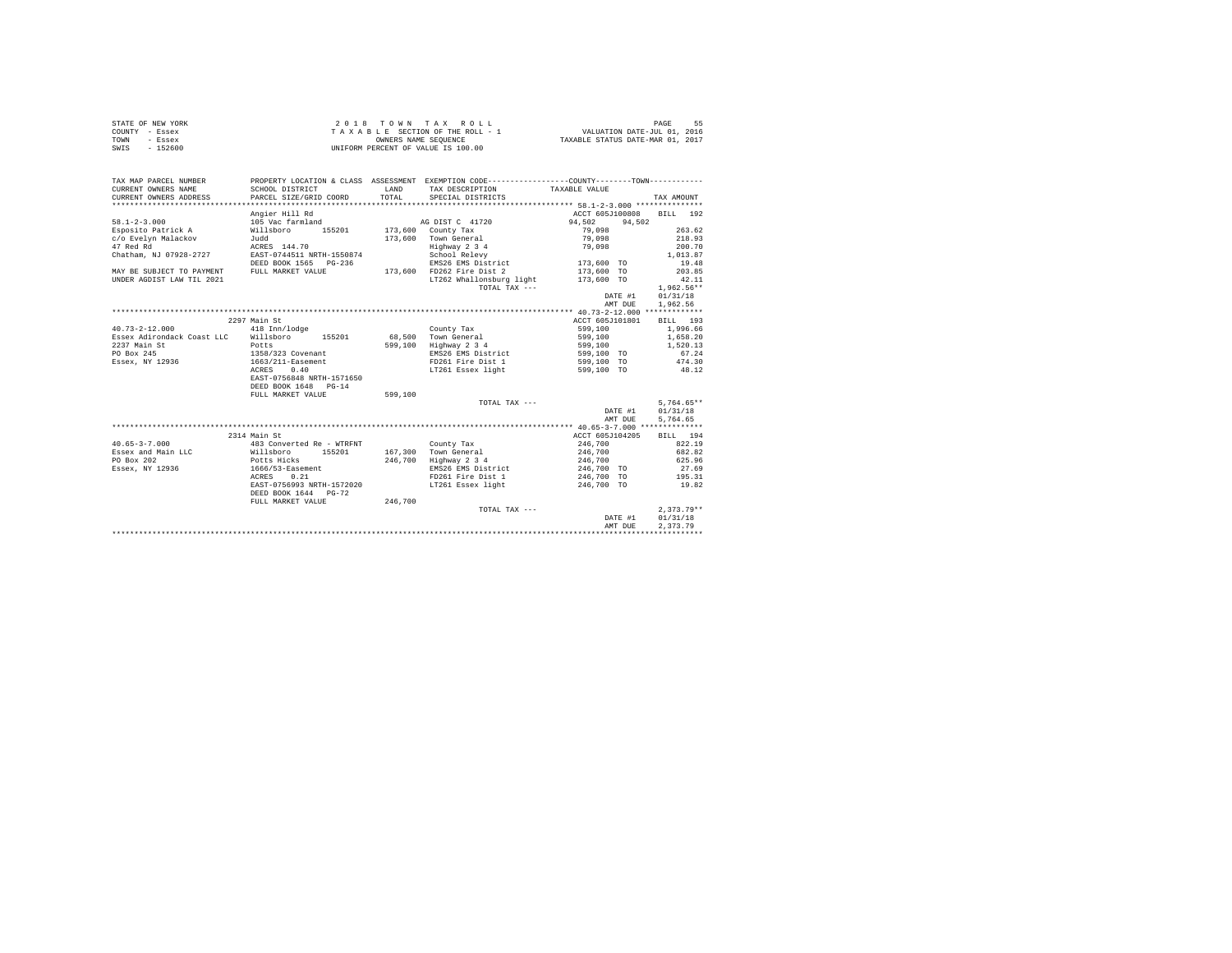| STATE OF NEW YORK | 2018 TOWN TAX ROLL                 | 55<br>PAGE                       |
|-------------------|------------------------------------|----------------------------------|
| COUNTY - Essex    | TAXABLE SECTION OF THE ROLL - 1    | VALUATION DATE-JUL 01, 2016      |
| TOWN<br>- Essex   | OWNERS NAME SEOUENCE               | TAXABLE STATUS DATE-MAR 01, 2017 |
| $-152600$<br>SWIS | UNIFORM PERCENT OF VALUE IS 100.00 |                                  |

| TAX MAP PARCEL NUMBER<br>CURRENT OWNERS NAME                    | SCHOOL DISTRICT           | LAND    | PROPERTY LOCATION & CLASS ASSESSMENT EXEMPTION CODE---------------COUNTY-------TOWN---------<br>TAX DESCRIPTION | TAXABLE VALUE   |              |
|-----------------------------------------------------------------|---------------------------|---------|-----------------------------------------------------------------------------------------------------------------|-----------------|--------------|
| CURRENT OWNERS ADDRESS                                          | PARCEL SIZE/GRID COORD    | TOTAL.  | SPECIAL DISTRICTS                                                                                               |                 | TAX AMOUNT   |
| **********************                                          |                           |         |                                                                                                                 |                 |              |
|                                                                 | Angier Hill Rd            |         |                                                                                                                 | ACCT 605J100808 | BILL 192     |
| $58.1 - 2 - 3.000$                                              | 105 Vac farmland          |         | AG DIST C 41720                                                                                                 | 94.502 94.502   |              |
| Esposito Patrick A                                              | Willsboro<br>155201       |         | $173.600$ County Tax                                                                                            | 79,098          | 263.62       |
| c/o Evelyn Malackov                                             | Judd                      |         | 173,600 Town General                                                                                            | 79,098          | 218.93       |
| 47 Red Rd                                                       | ACRES 144.70              |         | Highway 2 3 4                                                                                                   | 79,098          | 200.70       |
| Chatham, NJ 07928-2727                                          | EAST-0744511 NRTH-1550874 |         | School Relevy                                                                                                   |                 | 1,013.87     |
|                                                                 | DEED BOOK 1565 PG-236     |         | EMS26 EMS District 173,600 TO                                                                                   |                 | 19.48        |
| MAY BE SUBJECT TO PAYMENT FULL MARKET VALUE                     |                           |         | 173,600 FD262 Fire Dist 2                                                                                       | 173,600 TO      | 203.85       |
| UNDER AGDIST LAW TIL 2021                                       |                           |         | LT262 Whallonsburg light 173,600 TO                                                                             |                 | 42.11        |
|                                                                 |                           |         | TOTAL TAX ---                                                                                                   |                 | $1,962.56**$ |
|                                                                 |                           |         |                                                                                                                 | DATE #1         | 01/31/18     |
|                                                                 |                           |         |                                                                                                                 | AMT DUE         | 1,962.56     |
|                                                                 |                           |         |                                                                                                                 |                 |              |
|                                                                 | 2297 Main St              |         |                                                                                                                 | ACCT 605J101801 | BILL 193     |
| $40.73 - 2 - 12.000$                                            | 418 Inn/lodge             |         | County Tax                                                                                                      | 599,100         | 1,996.66     |
| Essex Adirondack Coast LLC Willsboro 155201 68.500 Town General |                           |         |                                                                                                                 | 599,100         | 1,658.20     |
| 2237 Main St                                                    | Potts                     |         | 599,100 Highway 2 3 4                                                                                           | 599,100         | 1,520.13     |
| PO Box 245                                                      | 1358/323 Covenant         |         | EMS26 EMS District                                                                                              | 599,100 TO      | 67.24        |
| Essex, NY 12936                                                 | 1663/211-Easement         |         | FD261 Fire Dist 1 599,100 TO 474.30                                                                             |                 |              |
|                                                                 | 0.40<br>ACRES             |         | LT261 Essex light 699,100 TO 48.12                                                                              |                 |              |
|                                                                 | EAST-0756848 NRTH-1571650 |         |                                                                                                                 |                 |              |
|                                                                 | DEED BOOK 1648 PG-14      |         |                                                                                                                 |                 |              |
|                                                                 | FULL MARKET VALUE         | 599,100 |                                                                                                                 |                 |              |
|                                                                 |                           |         | TOTAL TAX ---                                                                                                   |                 | $5,764.65**$ |
|                                                                 |                           |         |                                                                                                                 | DATE #1         | 01/31/18     |
|                                                                 |                           |         |                                                                                                                 | AMT DUE         | 5.764.65     |
|                                                                 |                           |         |                                                                                                                 |                 |              |
|                                                                 | 2314 Main St              |         |                                                                                                                 | ACCT 605J104205 | BILL 194     |
| $40.65 - 3 - 7.000$                                             | 483 Converted Re - WTRFNT |         | County Tax                                                                                                      | 246,700         | 822.19       |
| Essex and Main LLC Willsboro                                    | 155201                    |         | 167,300 Town General                                                                                            | 246,700         | 682.82       |
| PO Box 202                                                      | Potts Hicks               |         | 246,700 Highway 2 3 4                                                                                           | 246,700         | 625.96       |
| Essex, NY 12936 1666/53-Easement                                |                           |         | EMS26 EMS District 246.700 TO                                                                                   |                 | 27.69        |
|                                                                 | 0.21<br>ACRES             |         | FD261 Fire Dist 1 246,700 TO                                                                                    |                 | 195.31       |
|                                                                 | EAST-0756993 NRTH-1572020 |         | LT261 Essex light                                                                                               | 246,700 TO      | 19.82        |
|                                                                 | DEED BOOK 1644 PG-72      |         |                                                                                                                 |                 |              |
|                                                                 | FULL MARKET VALUE         | 246.700 |                                                                                                                 |                 |              |
|                                                                 |                           |         | TOTAL TAX ---                                                                                                   |                 | $2.373.79**$ |
|                                                                 |                           |         |                                                                                                                 | DATE #1         | 01/31/18     |
|                                                                 |                           |         |                                                                                                                 | AMT DUE         | 2.373.79     |
|                                                                 |                           |         |                                                                                                                 |                 |              |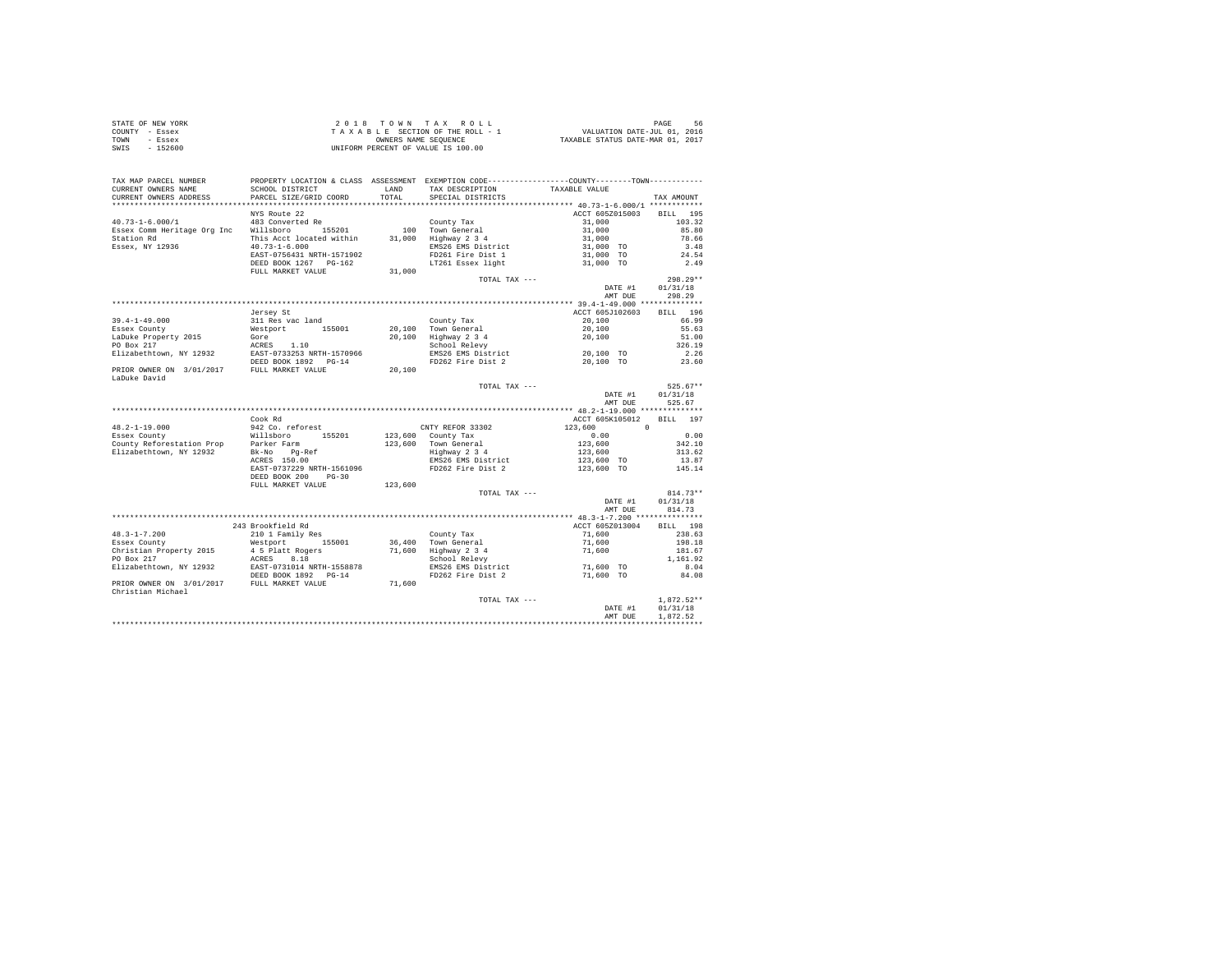| STATE OF NEW YORK | 2018 TOWN TAX ROLL                 | 56<br>PAGE                       |
|-------------------|------------------------------------|----------------------------------|
| COUNTY - Essex    | TAXABLE SECTION OF THE ROLL - 1    | VALUATION DATE-JUL 01, 2016      |
| TOWN<br>- Essex   | OWNERS NAME SEOUENCE               | TAXABLE STATUS DATE-MAR 01, 2017 |
| $-152600$<br>SWIS | UNIFORM PERCENT OF VALUE IS 100.00 |                                  |

| TAX MAP PARCEL NUMBER<br>CURRENT OWNERS NAME                                                                                                                                                                                                                                                                                                                                   | PROPERTY LOCATION & CLASS ASSESSMENT EXEMPTION CODE----------------COUNTY--------TOWN----------<br>SCHOOL DISTRICT<br>SCHOOL DISTRICT<br>PARCEL SIZE/GRID COORD |        | LAND TAX DESCRIPTION                                                                               | TAXABLE VALUE                                                                                                                                                                                                                                                                 |                |
|--------------------------------------------------------------------------------------------------------------------------------------------------------------------------------------------------------------------------------------------------------------------------------------------------------------------------------------------------------------------------------|-----------------------------------------------------------------------------------------------------------------------------------------------------------------|--------|----------------------------------------------------------------------------------------------------|-------------------------------------------------------------------------------------------------------------------------------------------------------------------------------------------------------------------------------------------------------------------------------|----------------|
| CURRENT OWNERS ADDRESS                                                                                                                                                                                                                                                                                                                                                         |                                                                                                                                                                 | TOTAL  | SPECIAL DISTRICTS                                                                                  |                                                                                                                                                                                                                                                                               | TAX AMOUNT     |
|                                                                                                                                                                                                                                                                                                                                                                                | NYS Route 22                                                                                                                                                    |        |                                                                                                    | ACCT 605Z015003                                                                                                                                                                                                                                                               | BILL 195       |
| $40.73 - 1 - 6.000 / 1$                                                                                                                                                                                                                                                                                                                                                        | 483 Converted Re                                                                                                                                                |        | County Tax                                                                                         | 31,000                                                                                                                                                                                                                                                                        | 103.32         |
|                                                                                                                                                                                                                                                                                                                                                                                |                                                                                                                                                                 |        |                                                                                                    |                                                                                                                                                                                                                                                                               | 85.80          |
|                                                                                                                                                                                                                                                                                                                                                                                |                                                                                                                                                                 |        |                                                                                                    | $31,000$<br>$31,000$<br>$31,000$ TO                                                                                                                                                                                                                                           | 78.66          |
|                                                                                                                                                                                                                                                                                                                                                                                |                                                                                                                                                                 |        | EMS26 EMS District                                                                                 |                                                                                                                                                                                                                                                                               | 3.48           |
|                                                                                                                                                                                                                                                                                                                                                                                |                                                                                                                                                                 |        | EMS20 And<br>FD261 Fire Dist 1<br>- Jimht                                                          | 31,000 TO                                                                                                                                                                                                                                                                     | 24.54          |
|                                                                                                                                                                                                                                                                                                                                                                                | $40.73 - 1 - 6.000$<br>EAST-0756431 NRTH-1571902                                                                                                                |        | LT261 Essex light                                                                                  | 31,000 TO                                                                                                                                                                                                                                                                     | 2.49           |
|                                                                                                                                                                                                                                                                                                                                                                                | FULL MARKET VALUE                                                                                                                                               | 31,000 |                                                                                                    |                                                                                                                                                                                                                                                                               |                |
|                                                                                                                                                                                                                                                                                                                                                                                |                                                                                                                                                                 |        | TOTAL TAX ---                                                                                      |                                                                                                                                                                                                                                                                               | $298.29**$     |
|                                                                                                                                                                                                                                                                                                                                                                                |                                                                                                                                                                 |        |                                                                                                    | DATE #1                                                                                                                                                                                                                                                                       | 01/31/18       |
|                                                                                                                                                                                                                                                                                                                                                                                |                                                                                                                                                                 |        |                                                                                                    | AMT DUE                                                                                                                                                                                                                                                                       | 298.29         |
|                                                                                                                                                                                                                                                                                                                                                                                |                                                                                                                                                                 |        |                                                                                                    |                                                                                                                                                                                                                                                                               |                |
|                                                                                                                                                                                                                                                                                                                                                                                | Jersey St                                                                                                                                                       |        |                                                                                                    | ACCT 605J102603                                                                                                                                                                                                                                                               | BILL 196       |
|                                                                                                                                                                                                                                                                                                                                                                                |                                                                                                                                                                 |        |                                                                                                    | 20,100                                                                                                                                                                                                                                                                        | 66.99          |
| 39.4-1-49.000<br>Easex County Tax<br>Easex County Tax<br>Easex County Tax<br>In Respect 155001 20,100 Highway 2 3 4<br>In Across 1.10<br>PO Box 217<br>PO Box 217<br>PO Box 217<br>PO Box 217<br>PO Box 217<br>PO Box 217<br>PO Box 217<br>PO Box 217<br>                                                                                                                      |                                                                                                                                                                 |        |                                                                                                    | 20,100                                                                                                                                                                                                                                                                        | 55.63          |
|                                                                                                                                                                                                                                                                                                                                                                                |                                                                                                                                                                 |        | 20,100 Highway 2 3 4<br>School Relevy<br>EMS26 EMS District<br>20,100 TO<br>20,100 TO<br>20,100 TO |                                                                                                                                                                                                                                                                               | 51.00          |
|                                                                                                                                                                                                                                                                                                                                                                                |                                                                                                                                                                 |        |                                                                                                    |                                                                                                                                                                                                                                                                               | 326.19         |
|                                                                                                                                                                                                                                                                                                                                                                                |                                                                                                                                                                 |        |                                                                                                    |                                                                                                                                                                                                                                                                               | 2.26           |
|                                                                                                                                                                                                                                                                                                                                                                                |                                                                                                                                                                 |        | FD262 Fire Dist 2                                                                                  | 20,100 TO                                                                                                                                                                                                                                                                     | 23.60          |
| PRIOR OWNER ON 3/01/2017 FULL MARKET VALUE<br>LaDuke David                                                                                                                                                                                                                                                                                                                     |                                                                                                                                                                 | 20,100 |                                                                                                    |                                                                                                                                                                                                                                                                               |                |
|                                                                                                                                                                                                                                                                                                                                                                                |                                                                                                                                                                 |        | TOTAL TAX ---                                                                                      |                                                                                                                                                                                                                                                                               | $525.67**$     |
|                                                                                                                                                                                                                                                                                                                                                                                |                                                                                                                                                                 |        |                                                                                                    | DATE #1                                                                                                                                                                                                                                                                       | 01/31/18       |
|                                                                                                                                                                                                                                                                                                                                                                                |                                                                                                                                                                 |        |                                                                                                    | AMT DUE                                                                                                                                                                                                                                                                       | 525.67         |
|                                                                                                                                                                                                                                                                                                                                                                                |                                                                                                                                                                 |        |                                                                                                    |                                                                                                                                                                                                                                                                               |                |
|                                                                                                                                                                                                                                                                                                                                                                                | Cook Rd                                                                                                                                                         |        |                                                                                                    | ACCT 605K105012 BILL 197                                                                                                                                                                                                                                                      |                |
| 48.2-1-19.000 942 Co. reforest<br>Essex County Willsboro 155201<br>County Reforestation Prop Parker Farm<br>Rigabethrown Ny 19929 - The Constant                                                                                                                                                                                                                               |                                                                                                                                                                 |        | CNTY REFOR 33302                                                                                   | 123,600 0                                                                                                                                                                                                                                                                     |                |
|                                                                                                                                                                                                                                                                                                                                                                                |                                                                                                                                                                 |        | 123,600 County Tax                                                                                 |                                                                                                                                                                                                                                                                               |                |
| Elizabethtown, NY 12932                                                                                                                                                                                                                                                                                                                                                        |                                                                                                                                                                 |        | 123,600 Town General<br>Highway 2 3 4<br>EMS26 EMS District                                        |                                                                                                                                                                                                                                                                               |                |
|                                                                                                                                                                                                                                                                                                                                                                                | Bk-No Pg-Ref<br>ACRES 150.00                                                                                                                                    |        |                                                                                                    |                                                                                                                                                                                                                                                                               |                |
|                                                                                                                                                                                                                                                                                                                                                                                | ACRES 150.00 EMS26 EMS District<br>EAST-0737229 NRTH-1561096 FD262 Fire Dist 2                                                                                  |        |                                                                                                    |                                                                                                                                                                                                                                                                               |                |
|                                                                                                                                                                                                                                                                                                                                                                                |                                                                                                                                                                 |        |                                                                                                    |                                                                                                                                                                                                                                                                               |                |
|                                                                                                                                                                                                                                                                                                                                                                                |                                                                                                                                                                 |        |                                                                                                    | $\begin{array}{cccc} 0.00 & 0.00 & 0.00 & 0.00 & 0.00 & 0.00 & 0.00 & 0.00 & 0.00 & 0.00 & 0.00 & 0.00 & 0.00 & 0.00 & 0.00 & 0.00 & 0.00 & 0.00 & 0.00 & 0.00 & 0.00 & 0.00 & 0.00 & 0.00 & 0.00 & 0.00 & 0.00 & 0.00 & 0.00 & 0.00 & 0.00 & 0.00 & 0.00 & 0.00 & 0.00 & 0.$ |                |
|                                                                                                                                                                                                                                                                                                                                                                                | DEED BOOK 200 PG-30                                                                                                                                             |        |                                                                                                    |                                                                                                                                                                                                                                                                               |                |
|                                                                                                                                                                                                                                                                                                                                                                                | FULL MARKET VALUE 123,600                                                                                                                                       |        |                                                                                                    |                                                                                                                                                                                                                                                                               |                |
|                                                                                                                                                                                                                                                                                                                                                                                |                                                                                                                                                                 |        | TOTAL TAX ---                                                                                      |                                                                                                                                                                                                                                                                               | $814.73**$     |
|                                                                                                                                                                                                                                                                                                                                                                                |                                                                                                                                                                 |        |                                                                                                    | DATE #1                                                                                                                                                                                                                                                                       | 01/31/18       |
|                                                                                                                                                                                                                                                                                                                                                                                |                                                                                                                                                                 |        |                                                                                                    |                                                                                                                                                                                                                                                                               | AMT DUE 814.73 |
|                                                                                                                                                                                                                                                                                                                                                                                |                                                                                                                                                                 |        |                                                                                                    |                                                                                                                                                                                                                                                                               |                |
|                                                                                                                                                                                                                                                                                                                                                                                | 243 Brookfield Rd                                                                                                                                               |        |                                                                                                    | ACCT 605Z013004                                                                                                                                                                                                                                                               | BILL 198       |
|                                                                                                                                                                                                                                                                                                                                                                                |                                                                                                                                                                 |        |                                                                                                    | 71,600                                                                                                                                                                                                                                                                        | 238.63         |
|                                                                                                                                                                                                                                                                                                                                                                                |                                                                                                                                                                 |        |                                                                                                    | 71,600                                                                                                                                                                                                                                                                        | 198.18         |
|                                                                                                                                                                                                                                                                                                                                                                                |                                                                                                                                                                 |        |                                                                                                    | 71,600                                                                                                                                                                                                                                                                        | 181.67         |
|                                                                                                                                                                                                                                                                                                                                                                                |                                                                                                                                                                 |        | County Tax<br>36,400 Town General<br>71,600 Highway 2 3 4<br>School Relevy                         |                                                                                                                                                                                                                                                                               | 1,161.92       |
|                                                                                                                                                                                                                                                                                                                                                                                |                                                                                                                                                                 |        |                                                                                                    |                                                                                                                                                                                                                                                                               | 8.04<br>84.08  |
|                                                                                                                                                                                                                                                                                                                                                                                |                                                                                                                                                                 |        | SCHOOL REIEVY<br>EMS26 EMS District 5 71,600 TO<br>FD262 Fire Dist 2 71,600 TO                     | 71,600 TO                                                                                                                                                                                                                                                                     |                |
|                                                                                                                                                                                                                                                                                                                                                                                |                                                                                                                                                                 |        |                                                                                                    |                                                                                                                                                                                                                                                                               |                |
|                                                                                                                                                                                                                                                                                                                                                                                |                                                                                                                                                                 |        | TOTAL TAX ---                                                                                      |                                                                                                                                                                                                                                                                               | $1,872.52**$   |
| $\begin{tabular}{lllllllllll} \multicolumn{4}{c}{44.3-1-7.200} & \multicolumn{4}{c}{44.3-1-7.200} & \multicolumn{4}{c}{44.3-1-7.200} & \multicolumn{4}{c}{41.3-1-7.200} & \multicolumn{4}{c}{41.3-1-7.200} & \multicolumn{4}{c}{41.3-1-7.200} & \multicolumn{4}{c}{41.3-1-7.200} & \multicolumn{4}{c}{41.3-1-7.200} & \multicolumn{4}{c}{41.3-1-7.200} &$<br>Christian Michael |                                                                                                                                                                 |        |                                                                                                    | DATE #1                                                                                                                                                                                                                                                                       | 01/31/18       |
|                                                                                                                                                                                                                                                                                                                                                                                |                                                                                                                                                                 |        |                                                                                                    | AMT DUE                                                                                                                                                                                                                                                                       | 1,872.52       |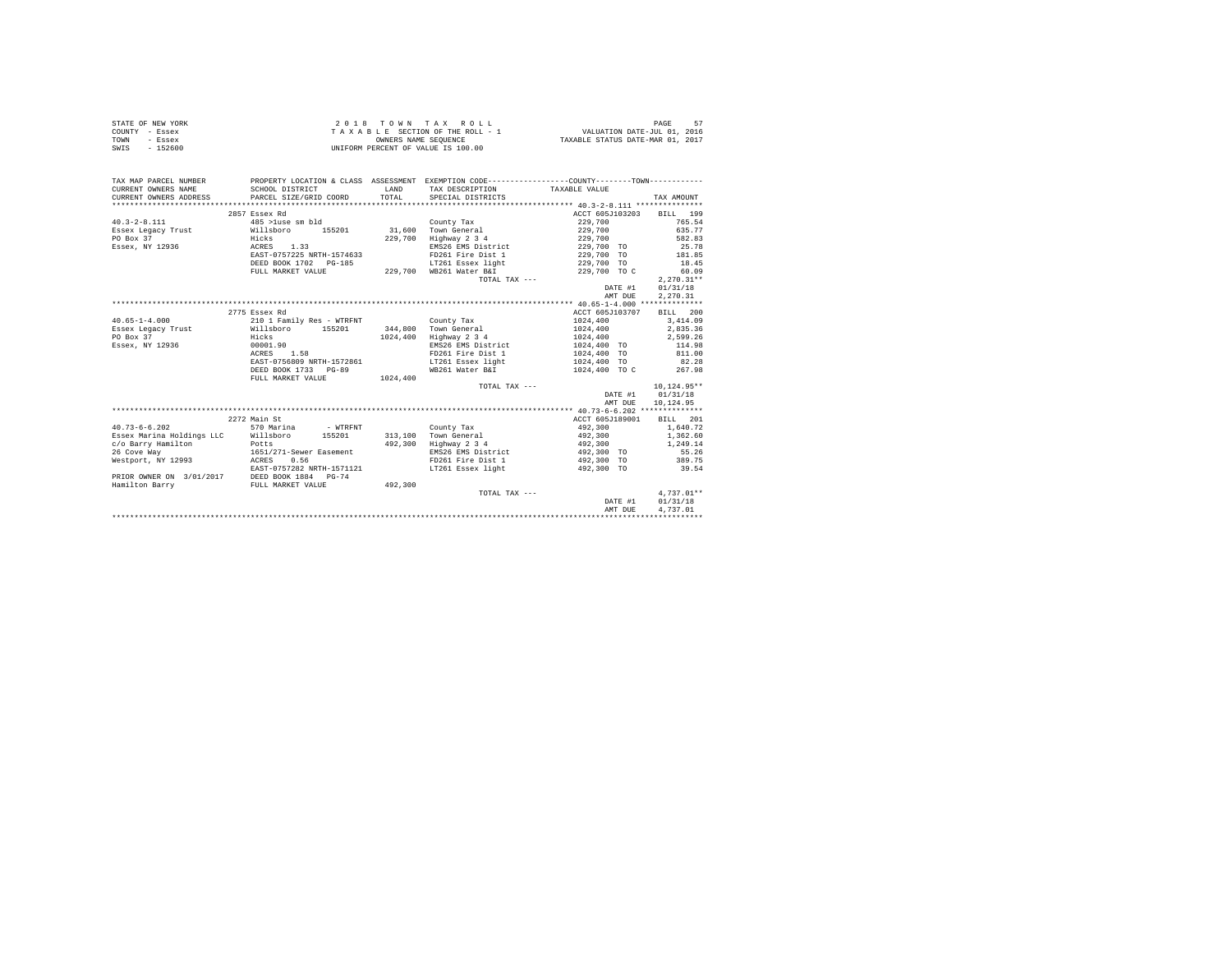| STATE OF NEW YORK | 2018 TOWN TAX ROLL                 | 57<br>PAGE                       |
|-------------------|------------------------------------|----------------------------------|
| COUNTY - Essex    | TAXABLE SECTION OF THE ROLL - 1    | VALUATION DATE-JUL 01, 2016      |
| TOWN<br>- Essex   | OWNERS NAME SEOUENCE               | TAXABLE STATUS DATE-MAR 01, 2017 |
| SWIS<br>$-152600$ | UNIFORM PERCENT OF VALUE IS 100.00 |                                  |

| TAX MAP PARCEL NUMBER<br>CURRENT OWNERS NAME                                                                                                                                                                                                                    | SCHOOL DISTRICT            |         | PROPERTY LOCATION & CLASS ASSESSMENT EXEMPTION CODE----------------COUNTY-------TOWN----------<br>LAND TAX DESCRIPTION | TAXABLE VALUE             |                    |
|-----------------------------------------------------------------------------------------------------------------------------------------------------------------------------------------------------------------------------------------------------------------|----------------------------|---------|------------------------------------------------------------------------------------------------------------------------|---------------------------|--------------------|
| CURRENT OWNERS ADDRESS PARCEL SIZE/GRID COORD                                                                                                                                                                                                                   |                            | TOTAL   | SPECIAL DISTRICTS                                                                                                      |                           | TAX AMOUNT         |
|                                                                                                                                                                                                                                                                 |                            |         |                                                                                                                        |                           |                    |
|                                                                                                                                                                                                                                                                 | 2857 Essex Rd              |         |                                                                                                                        | ACCT 605J103203 BILL 199  |                    |
|                                                                                                                                                                                                                                                                 |                            |         |                                                                                                                        | 229,700                   | 765.54             |
| $\begin{array}{lllll} 40.3\text{--}2\text{--}8.111 & & & 485\text{~}1\text{use~sm~} \text{bld} & & & & \text{Country Tax} \\ \text{Essex~} \text{Legacy~} \text{Trust} & & & \text{Willsboro} & & 155201 & & 31,600 & \text{ Town~} \text{General} \end{array}$ |                            |         |                                                                                                                        | 229,700                   | 635.77             |
| PO Box 37                                                                                                                                                                                                                                                       | Hicks                      | 229,700 | Highway 2 3 4                                                                                                          | 229,700                   | 582.83             |
| Essex, NY 12936    ACRES    1.33                                                                                                                                                                                                                                |                            |         | EMS26 EMS District                                                                                                     | 229,700 TO                | 25.78              |
|                                                                                                                                                                                                                                                                 | EAST-0757225 NRTH-1574633  |         | FD261 Fire Dist 1                                                                                                      | 229,700 TO                | 181.85             |
|                                                                                                                                                                                                                                                                 | DEED BOOK 1702 PG-185      |         | LT261 Essex light                                                                                                      |                           | 18.45              |
|                                                                                                                                                                                                                                                                 | FULL MARKET VALUE          |         | 229,700 WB261 Water B&I                                                                                                | 229,700 TO<br>229,700 TOC | 60.09              |
|                                                                                                                                                                                                                                                                 |                            |         | TOTAL TAX ---                                                                                                          |                           | $2.270.31**$       |
|                                                                                                                                                                                                                                                                 |                            |         |                                                                                                                        | DATE #1                   | 01/31/18           |
|                                                                                                                                                                                                                                                                 |                            |         |                                                                                                                        | AMT DUE                   | 2,270.31           |
|                                                                                                                                                                                                                                                                 |                            |         |                                                                                                                        |                           |                    |
|                                                                                                                                                                                                                                                                 | 2775 Essex Rd              |         |                                                                                                                        | ACCT 605J103707 BILL 200  |                    |
| $40.65 - 1 - 4.000$                                                                                                                                                                                                                                             |                            |         | County Tax                                                                                                             |                           |                    |
|                                                                                                                                                                                                                                                                 | 210 1 Family Res - WTRFNT  |         |                                                                                                                        | 1024,400<br>1024,400      | 3,414.09           |
| Essex Legacy Trust 6 6 Willsboro 155201 344,800 Town General<br>PO Box 37                                                                                                                                                                                       |                            |         |                                                                                                                        |                           | 2,835.36           |
|                                                                                                                                                                                                                                                                 | Hicks<br>00001.90          |         | 1024,400 Highway 2 3 4                                                                                                 | 1024,400                  | 2.599.26<br>114.98 |
| Essex, NY 12936                                                                                                                                                                                                                                                 | ACRES 1.58                 |         | EMS26 EMS District<br>FD261 Fire Dist 1 1024,400 TO 811.00                                                             | $1024,400$ TO             |                    |
|                                                                                                                                                                                                                                                                 |                            |         |                                                                                                                        |                           | 82.28              |
|                                                                                                                                                                                                                                                                 | EAST-0756809 NRTH-1572861  |         | LT261 Essex light 1024,400 TO                                                                                          |                           |                    |
|                                                                                                                                                                                                                                                                 | DEED BOOK 1733 PG-89       |         | WB261 Water B&I                                                                                                        | 1024,400 TO C             | 267.98             |
|                                                                                                                                                                                                                                                                 | FULL MARKET VALUE 1024.400 |         |                                                                                                                        |                           |                    |
|                                                                                                                                                                                                                                                                 |                            |         | TOTAL TAX ---                                                                                                          |                           | $10.124.95**$      |
|                                                                                                                                                                                                                                                                 |                            |         |                                                                                                                        |                           | DATE #1 01/31/18   |
|                                                                                                                                                                                                                                                                 |                            |         |                                                                                                                        |                           | AMT DUE 10,124.95  |
|                                                                                                                                                                                                                                                                 |                            |         |                                                                                                                        |                           |                    |
|                                                                                                                                                                                                                                                                 | 2272 Main St               |         |                                                                                                                        | ACCT 605J189001 BILL 201  |                    |
| $40.73 - 6 - 6.202$                                                                                                                                                                                                                                             | 570 Marina - WTRFNT        |         | County Tax                                                                                                             | 492.300 1.640.72          |                    |
| Essex Marina Holdings LLC Willsboro 155201 313,100 Town General                                                                                                                                                                                                 |                            |         |                                                                                                                        | 492,300 1,362.60          |                    |
|                                                                                                                                                                                                                                                                 |                            |         | 492,300 Highway 2 3 4                                                                                                  | 492,300<br>492,300 TO     | 1,249.14           |
| c/o Barry Hamilton<br>26 Cove Way 1981 1951/271-Sewer Easement<br>Westport, NY 12993 165RES 0.56                                                                                                                                                                |                            |         | EMS26 EMS District                                                                                                     |                           | 55.26              |
|                                                                                                                                                                                                                                                                 |                            |         | FD261 Fire Dist 1 492,300 TO 389.75                                                                                    |                           |                    |
|                                                                                                                                                                                                                                                                 | EAST-0757282 NRTH-1571121  |         | LT261 Essex light 692,300 TO 39.54                                                                                     |                           |                    |
| PRIOR OWNER ON 3/01/2017 DEED BOOK 1884 PG-74                                                                                                                                                                                                                   |                            |         |                                                                                                                        |                           |                    |
| Hamilton Barry                                                                                                                                                                                                                                                  | FULL MARKET VALUE          | 492,300 |                                                                                                                        |                           |                    |
|                                                                                                                                                                                                                                                                 |                            |         | TOTAL TAX ---                                                                                                          |                           | 4,737.01**         |
|                                                                                                                                                                                                                                                                 |                            |         |                                                                                                                        |                           | DATE #1 01/31/18   |
|                                                                                                                                                                                                                                                                 |                            |         |                                                                                                                        | AMT DUE                   | 4.737.01           |
|                                                                                                                                                                                                                                                                 |                            |         |                                                                                                                        |                           |                    |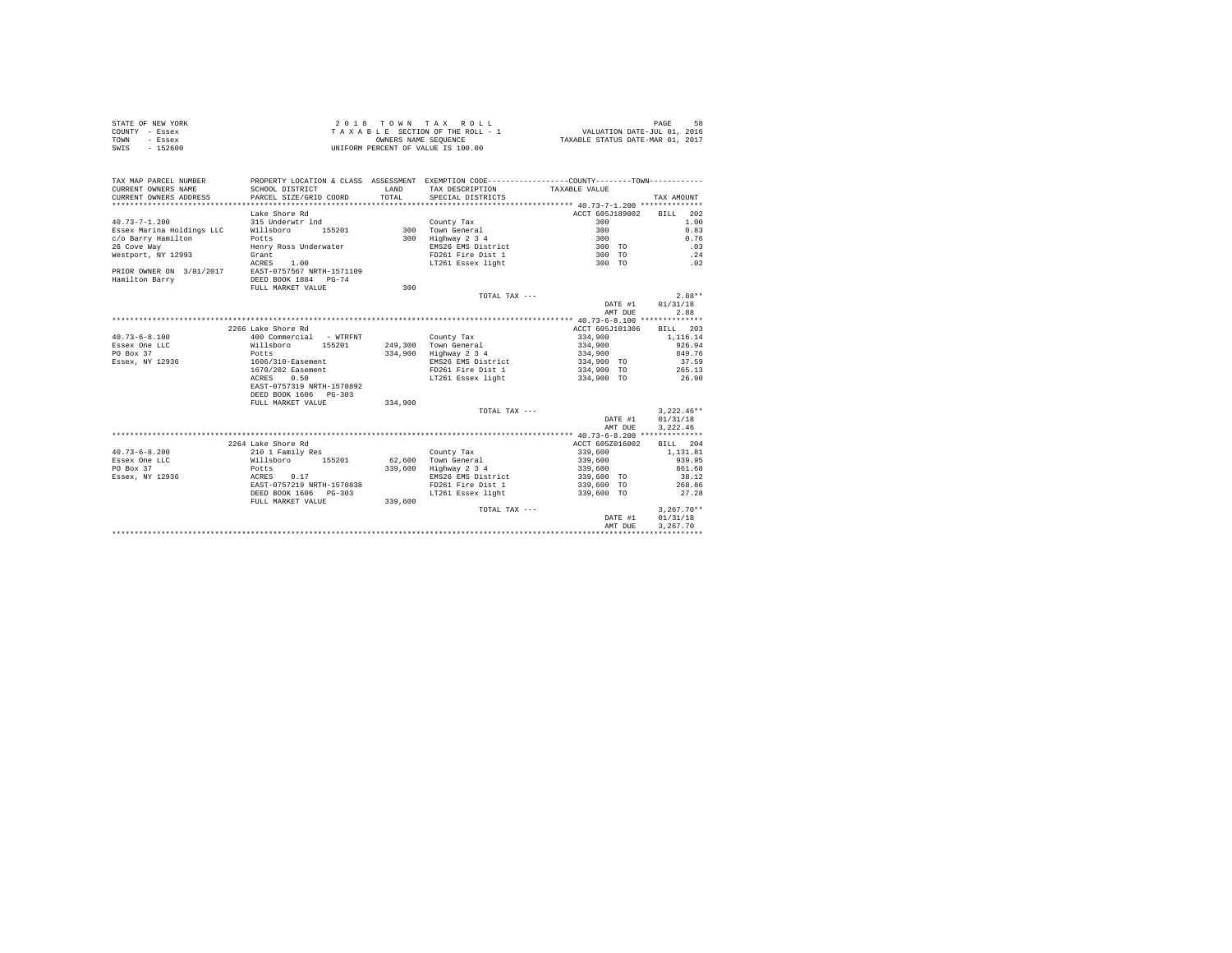| STATE OF NEW YORK |           |  |  |  | 2018 TOWN TAX ROLL                 |  |  | 58<br>PAGE                       |
|-------------------|-----------|--|--|--|------------------------------------|--|--|----------------------------------|
| COUNTY - Essex    |           |  |  |  | TAXABLE SECTION OF THE ROLL - 1    |  |  | VALUATION DATE-JUL 01, 2016      |
| TOWN              | - Essex   |  |  |  | OWNERS NAME SEOUENCE               |  |  | TAXABLE STATUS DATE-MAR 01, 2017 |
| SWIS              | $-152600$ |  |  |  | UNIFORM PERCENT OF VALUE IS 100.00 |  |  |                                  |

| TAX MAP PARCEL NUMBER<br>CURRENT OWNERS NAME<br>CURRENT OWNERS ADDRESS | SCHOOL DISTRICT<br>PARCEL SIZE/GRID COORD | LAND<br>TOTAL. | PROPERTY LOCATION & CLASS ASSESSMENT EXEMPTION CODE----------------COUNTY--------TOWN----------<br>TAX DESCRIPTION TAXABLE VALUE<br>SPECIAL DISTRICTS |                          | TAX AMOUNT   |
|------------------------------------------------------------------------|-------------------------------------------|----------------|-------------------------------------------------------------------------------------------------------------------------------------------------------|--------------------------|--------------|
|                                                                        | Lake Shore Rd                             |                |                                                                                                                                                       | ACCT 605J189002 BILL 202 |              |
| $40.73 - 7 - 1.200$                                                    | 315 Underwtr 1nd                          |                | County Tax                                                                                                                                            | 300                      | 1.00         |
|                                                                        |                                           |                |                                                                                                                                                       |                          |              |
| Essex Marina Holdings LLC                                              | Willsboro                                 |                | 155201 300 Town General                                                                                                                               | 300                      | 0.83         |
| c/o Barry Hamilton                                                     | Potts                                     |                | 300 Highway 2 3 4<br>EMS26 EMS District                                                                                                               | 300                      | 0.76         |
| 26 Cove Way                                                            | Henry Ross Underwater                     |                |                                                                                                                                                       | 300 TO                   | .03          |
| Westport, NY 12993                                                     | Grant                                     |                | FD261 Fire Dist 1                                                                                                                                     | 300 TO                   | .24          |
|                                                                        | 1.00<br>ACRES                             |                | LT261 Essex light 500 TO                                                                                                                              |                          | $\ldots$ 02  |
| PRIOR OWNER ON 3/01/2017 EAST-0757567 NRTH-1571109                     |                                           |                |                                                                                                                                                       |                          |              |
| Hamilton Barry                                                         | DEED BOOK 1884 PG-74                      |                |                                                                                                                                                       |                          |              |
|                                                                        | FULL MARKET VALUE                         | 300            |                                                                                                                                                       |                          |              |
|                                                                        |                                           |                | TOTAL TAX ---                                                                                                                                         |                          | $2.88**$     |
|                                                                        |                                           |                |                                                                                                                                                       | DATE #1                  | 01/31/18     |
|                                                                        |                                           |                |                                                                                                                                                       | AMT DUE                  | 2.88         |
|                                                                        |                                           |                |                                                                                                                                                       |                          |              |
|                                                                        | 2266 Lake Shore Rd                        |                |                                                                                                                                                       | ACCT 605J101306 BILL 203 |              |
| $40.73 - 6 - 8.100$                                                    | 400 Commercial - WTRFNT                   |                | County Tax                                                                                                                                            | 334,900                  | 1,116.14     |
| Essex One LLC                                                          | Willsboro 155201                          |                | 249,300 Town General                                                                                                                                  |                          | 926.94       |
| PO Box 37                                                              |                                           |                |                                                                                                                                                       | 334,900                  |              |
|                                                                        | Potts                                     |                | 334,900 Highway 2 3 4                                                                                                                                 | 334,900                  | 849.76       |
| Essex, NY 12936                                                        | 1606/310-Easement                         |                | EMS26 EMS District 334,900 TO                                                                                                                         |                          | 37.59        |
|                                                                        | 1670/202 Easement                         |                | FD261 Fire Dist 1 334,900 TO                                                                                                                          |                          | 265.13       |
|                                                                        | ACRES 0.50                                |                | LT261 Essex light                                                                                                                                     | 334,900 TO               | 26.90        |
|                                                                        | EAST-0757319 NRTH-1570892                 |                |                                                                                                                                                       |                          |              |
|                                                                        | DEED BOOK 1606 PG-303                     |                |                                                                                                                                                       |                          |              |
|                                                                        | FULL MARKET VALUE                         | 334,900        |                                                                                                                                                       |                          |              |
|                                                                        |                                           |                | TOTAL TAX ---                                                                                                                                         |                          | $3,222.46**$ |
|                                                                        |                                           |                |                                                                                                                                                       | DATE #1                  | 01/31/18     |
|                                                                        |                                           |                |                                                                                                                                                       | AMT DUE                  | 3.222.46     |
|                                                                        |                                           |                |                                                                                                                                                       |                          |              |
|                                                                        | 2264 Lake Shore Rd                        |                |                                                                                                                                                       | ACCT 605Z016002          | BILL 204     |
| $40.73 - 6 - 8.200$                                                    | 210 1 Family Res                          |                | County Tax                                                                                                                                            | 339,600                  | 1,131.81     |
| Essex One LLC                                                          | Willsboro 155201                          |                | 62,600 Town General                                                                                                                                   | 339,600                  | 939.95       |
| PO Box 37                                                              | Potts                                     |                | 339,600 Highway 2 3 4                                                                                                                                 | 339,600                  | 861.68       |
| Essex, NY 12936                                                        | ACRES<br>0.17                             |                |                                                                                                                                                       |                          | 38.12        |
|                                                                        | EAST-0757219 NRTH-1570838                 |                | EMS26 EMS District<br>FD261 Fire Dist 1                                                                                                               | 339,600 TO               | 268.86       |
|                                                                        |                                           |                |                                                                                                                                                       | 339,600 TO               |              |
|                                                                        | DEED BOOK 1606 PG-303                     |                | LT261 Essex light                                                                                                                                     | 339,600 TO               | 27.28        |
|                                                                        | FULL MARKET VALUE                         | 339.600        |                                                                                                                                                       |                          |              |
|                                                                        |                                           |                | TOTAL TAX ---                                                                                                                                         |                          | $3.267.70**$ |
|                                                                        |                                           |                |                                                                                                                                                       | DATE #1                  | 01/31/18     |
|                                                                        |                                           |                |                                                                                                                                                       | AMT DUE                  | 3.267.70     |
|                                                                        |                                           |                |                                                                                                                                                       |                          |              |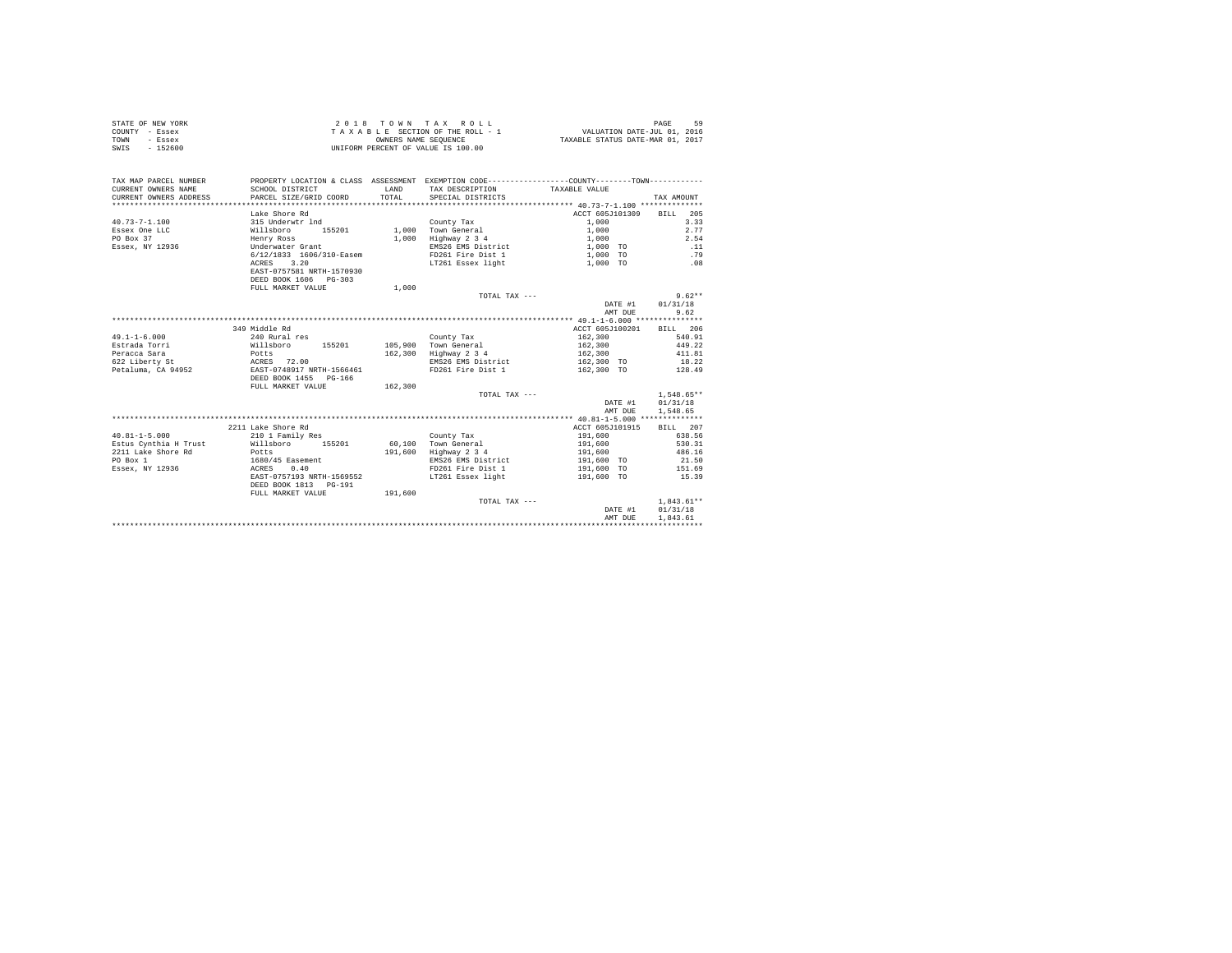|                | STATE OF NEW YORK | 2018 TOWN TAX ROLL                 | 59<br>PAGE                       |
|----------------|-------------------|------------------------------------|----------------------------------|
| COUNTY - Essex |                   | TAXABLE SECTION OF THE ROLL - 1    | VALUATION DATE-JUL 01, 2016      |
| TOWN           | - Essex           | OWNERS NAME SEOUENCE               | TAXABLE STATUS DATE-MAR 01, 2017 |
| SWIS           | $-152600$         | UNIFORM PERCENT OF VALUE IS 100.00 |                                  |

| TAX MAP PARCEL NUMBER<br>CURRENT OWNERS NAME<br>CURRENT OWNERS ADDRESS | SCHOOL DISTRICT<br>PARCEL SIZE/GRID COORD | <b>T.AND</b><br>TOTAL | PROPERTY LOCATION & CLASS ASSESSMENT EXEMPTION CODE----------------COUNTY--------TOWN----------<br>TAX DESCRIPTION TAXABLE VALUE<br>SPECIAL DISTRICTS |                  | TAX AMOUNT   |
|------------------------------------------------------------------------|-------------------------------------------|-----------------------|-------------------------------------------------------------------------------------------------------------------------------------------------------|------------------|--------------|
|                                                                        | Lake Shore Rd                             |                       |                                                                                                                                                       | ACCT 605J101309  | BILL 205     |
| $40.73 - 7 - 1.100$                                                    | 315 Underwtr 1nd                          |                       | County Tax                                                                                                                                            | 1,000            | 3.33         |
| Essex One LLC                                                          | Willsboro 155201 1,000 Town General       |                       |                                                                                                                                                       | 1,000            | 2.77         |
| PO Box 37                                                              | Henry Ross                                | 1,000                 | Highway 2 3 4                                                                                                                                         | 1,000            | 2.54         |
| Essex, NY 12936                                                        | Underwater Grant                          |                       | EMS26 EMS District                                                                                                                                    | 1,000 TO         | .11          |
|                                                                        | 6/12/1833 1606/310-Easem                  |                       | FD261 Fire Dist 1                                                                                                                                     |                  | 79           |
|                                                                        | ACRES 3.20                                |                       |                                                                                                                                                       | 1,000 TO         | .08          |
|                                                                        | EAST-0757581 NRTH-1570930                 |                       | LT261 Essex light                                                                                                                                     | 1,000 TO         |              |
|                                                                        | DEED BOOK 1606 PG-303                     |                       |                                                                                                                                                       |                  |              |
|                                                                        |                                           |                       |                                                                                                                                                       |                  |              |
|                                                                        | FULL MARKET VALUE                         | 1,000                 |                                                                                                                                                       |                  | $9.62**$     |
|                                                                        |                                           |                       | TOTAL TAX ---                                                                                                                                         |                  |              |
|                                                                        |                                           |                       |                                                                                                                                                       | DATE #1 01/31/18 |              |
|                                                                        |                                           |                       |                                                                                                                                                       | AMT DUE          | 9.62         |
|                                                                        |                                           |                       |                                                                                                                                                       |                  |              |
|                                                                        | 349 Middle Rd                             |                       |                                                                                                                                                       | ACCT 605J100201  | BILL 206     |
| $49.1 - 1 - 6.000$                                                     | 240 Rural res                             |                       | County Tax                                                                                                                                            | 162,300          | 540.91       |
| Estrada Torri                                                          | Willsboro 155201<br>Potts                 |                       | 105.900 Town General                                                                                                                                  | 162,300          | 449.22       |
| Peracca Sara                                                           |                                           |                       | 162,300 Highway 2 3 4                                                                                                                                 | 162,300          | 411.81       |
| 622 Liberty St ACRES 72.00                                             |                                           |                       | EMS26 EMS District 162,300 TO 18.22                                                                                                                   |                  |              |
| Petaluma, CA 94952 EAST-0748917 NRTH-1566461                           |                                           |                       | FD261 Fire Dist 1                                                                                                                                     | 162,300 TO       | 128.49       |
|                                                                        | DEED BOOK 1455 PG-166                     |                       |                                                                                                                                                       |                  |              |
|                                                                        | FULL MARKET VALUE                         | 162,300               |                                                                                                                                                       |                  |              |
|                                                                        |                                           |                       | TOTAL TAX ---                                                                                                                                         |                  | $1.548.65**$ |
|                                                                        |                                           |                       |                                                                                                                                                       | DATE #1          | 01/31/18     |
|                                                                        |                                           |                       |                                                                                                                                                       | AMT DUE          | 1,548.65     |
|                                                                        |                                           |                       |                                                                                                                                                       |                  |              |
|                                                                        | 2211 Lake Shore Rd                        |                       |                                                                                                                                                       | ACCT 605J101915  | BILL 207     |
| $40.81 - 1 - 5.000$                                                    | 210 1 Family Res                          |                       | County Tax                                                                                                                                            | 191,600          | 638.56       |
| Estus Cynthia H Trust Millsboro 155201                                 |                                           |                       | 60.100 Town General                                                                                                                                   | 191,600          | 530.31       |
| 2211 Lake Shore Rd                                                     | Potts                                     | 191,600               | Highway 2 3 4                                                                                                                                         | 191,600          | 486.16       |
| PO Box 1                                                               | 1680/45 Easement<br>ACRES 0.40            |                       | EMS26 EMS District                                                                                                                                    | 191,600 TO       | 21.50        |
| Essex, NY 12936                                                        |                                           |                       | FD261 Fire Dist 1                                                                                                                                     | 191,600 TO       | 151.69       |
|                                                                        | EAST-0757193 NRTH-1569552                 |                       | LT261 Essex light                                                                                                                                     | 191,600 TO       | 15.39        |
|                                                                        | DEED BOOK 1813 PG-191                     |                       |                                                                                                                                                       |                  |              |
|                                                                        | FULL MARKET VALUE                         | 191,600               |                                                                                                                                                       |                  |              |
|                                                                        |                                           |                       | TOTAL TAX ---                                                                                                                                         |                  | $1,843.61**$ |
|                                                                        |                                           |                       |                                                                                                                                                       | DATE #1          | 01/31/18     |
|                                                                        |                                           |                       |                                                                                                                                                       | AMT DUE          | 1,843.61     |
|                                                                        |                                           |                       |                                                                                                                                                       |                  |              |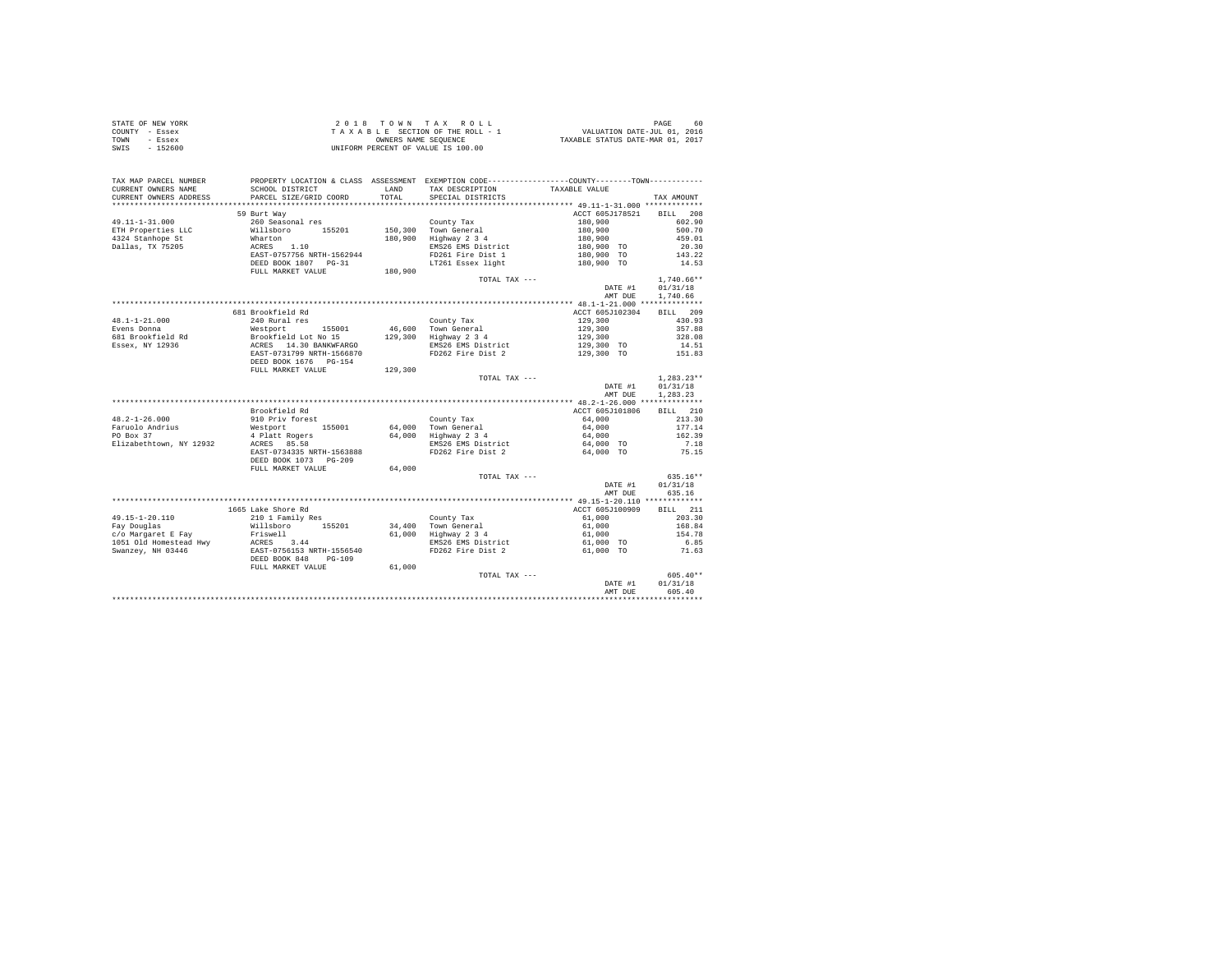| STATE OF NEW YORK |           |  |  |  | 2018 TOWN TAX ROLL                 |  |  |  | 60<br>PAGE                       |
|-------------------|-----------|--|--|--|------------------------------------|--|--|--|----------------------------------|
| COUNTY - Essex    |           |  |  |  | TAXABLE SECTION OF THE ROLL - 1    |  |  |  | VALUATION DATE-JUL 01, 2016      |
| TOWN              | - Essex   |  |  |  | OWNERS NAME SEOUENCE               |  |  |  | TAXABLE STATUS DATE-MAR 01, 2017 |
| SWIS              | $-152600$ |  |  |  | UNIFORM PERCENT OF VALUE IS 100.00 |  |  |  |                                  |

| TAX MAP PARCEL NUMBER                                                                                                                                                                                                                                 | PROPERTY LOCATION & CLASS ASSESSMENT EXEMPTION CODE-----------------COUNTY--------TOWN----------             |                |                                         |                                                                     |              |
|-------------------------------------------------------------------------------------------------------------------------------------------------------------------------------------------------------------------------------------------------------|--------------------------------------------------------------------------------------------------------------|----------------|-----------------------------------------|---------------------------------------------------------------------|--------------|
| CURRENT OWNERS NAME                                                                                                                                                                                                                                   | SCHOOL DISTRICT                                                                                              | LAND           | TAX DESCRIPTION                         | TAXABLE VALUE                                                       |              |
| CURRENT OWNERS ADDRESS                                                                                                                                                                                                                                | PARCEL SIZE/GRID COORD                                                                                       | TOTAL          | SPECIAL DISTRICTS                       |                                                                     | TAX AMOUNT   |
|                                                                                                                                                                                                                                                       |                                                                                                              |                |                                         |                                                                     |              |
|                                                                                                                                                                                                                                                       | 59 Burt Way                                                                                                  |                |                                         | ACCT 605J178521 BILL 208                                            |              |
| $49.11 - 1 - 31.000$                                                                                                                                                                                                                                  | 260 Seasonal res                                                                                             |                | County Tax                              | $180,900$<br>$180,900$<br>$180,900$<br>$180,900$ TO<br>$180,900$ TO | 602.90       |
|                                                                                                                                                                                                                                                       |                                                                                                              |                |                                         |                                                                     | 500.70       |
| 49.11-1-31.000 ETH Properties LC Millshoro 155201 150,300 Town General<br>4324 Stanhope St Mharton 180,900 Highway 2 3 4<br>4324 Stanhope St Mharton 180,900 Highway 2 3 4<br>2011as, TX 75205 ACRES 1.10<br>2025 EAST-0757756 NRTH-15                |                                                                                                              |                |                                         |                                                                     | 459.01       |
|                                                                                                                                                                                                                                                       |                                                                                                              |                | EMS26 EMS District                      |                                                                     | 20.30        |
|                                                                                                                                                                                                                                                       |                                                                                                              |                | FD261 Fire Dist 1                       |                                                                     | 143.22       |
|                                                                                                                                                                                                                                                       | DEED BOOK 1807 PG-31                                                                                         |                |                                         | LT261 Essex light 180,900 TO                                        | 14.53        |
|                                                                                                                                                                                                                                                       | FULL MARKET VALUE                                                                                            | $G-31$ 180,900 |                                         |                                                                     |              |
|                                                                                                                                                                                                                                                       |                                                                                                              |                | TOTAL TAX ---                           |                                                                     | $1,740.66**$ |
|                                                                                                                                                                                                                                                       |                                                                                                              |                |                                         | DATE #1                                                             | 01/31/18     |
|                                                                                                                                                                                                                                                       |                                                                                                              |                |                                         | AMT DUE                                                             | 1,740.66     |
|                                                                                                                                                                                                                                                       |                                                                                                              |                |                                         |                                                                     |              |
|                                                                                                                                                                                                                                                       | 681 Brookfield Rd                                                                                            |                |                                         | ACCT 605J102304 BILL 209                                            |              |
| $48.1 - 1 - 21.000$                                                                                                                                                                                                                                   | 240 Rural res                                                                                                |                | County Tax                              |                                                                     | 430.93       |
| 48.1-1-21.000<br>Evens Doman Mestport 155001 46,600 Town General<br>681 Brookfield Rd Brookfield Lot No 15 129,300 Highway 2 3 4<br>Essex, NY 12936 ACRES 14.30 BANKWFARGO 201826 BMS 26 129,300 Eighway 2 3 4<br>Essex, NY 12936 RAST-073            |                                                                                                              |                |                                         | 129,300<br>129,300<br>129,300<br>129,300 TO                         | 357.88       |
|                                                                                                                                                                                                                                                       |                                                                                                              |                |                                         |                                                                     | 328.08       |
|                                                                                                                                                                                                                                                       |                                                                                                              |                | EMS26 EMS District                      |                                                                     | 14.51        |
|                                                                                                                                                                                                                                                       |                                                                                                              |                | FD262 Fire Dist 2                       | 129,300 TO                                                          | 151.83       |
|                                                                                                                                                                                                                                                       | DEED BOOK 1676 PG-154                                                                                        |                |                                         |                                                                     |              |
|                                                                                                                                                                                                                                                       | FULL MARKET VALUE                                                                                            | 129,300        |                                         |                                                                     |              |
|                                                                                                                                                                                                                                                       |                                                                                                              |                | TOTAL TAX ---                           |                                                                     | $1,283.23**$ |
|                                                                                                                                                                                                                                                       |                                                                                                              |                |                                         | DATE #1                                                             | 01/31/18     |
|                                                                                                                                                                                                                                                       |                                                                                                              |                |                                         | AMT DUE                                                             | 1,283.23     |
|                                                                                                                                                                                                                                                       |                                                                                                              |                |                                         |                                                                     |              |
|                                                                                                                                                                                                                                                       | Brookfield Rd                                                                                                |                |                                         | ACCT 605J101806 BILL 210                                            |              |
| $48.2 - 1 - 26.000$                                                                                                                                                                                                                                   | 910 Priv forest                                                                                              |                | County Tax                              | 64,000                                                              | 213.30       |
| Faruolo Andrius                                                                                                                                                                                                                                       |                                                                                                              |                |                                         | 64,000                                                              | 177.14       |
| PO Box 37                                                                                                                                                                                                                                             | Westport 155001 64,000 Town General<br>4 Platt Rogers 64,000 Highway 2 34<br>ACRES 85.58 64,000 Highway 2 34 |                |                                         | 64,000                                                              | 162.39       |
| Elizabethtown, NY 12932                                                                                                                                                                                                                               |                                                                                                              |                |                                         | 64,000 TO                                                           | 7.18         |
|                                                                                                                                                                                                                                                       | EAST-0734335 NRTH-1563888                                                                                    |                |                                         | FD262 Fire Dist 2 64,000 TO 75.15                                   |              |
|                                                                                                                                                                                                                                                       | DEED BOOK 1073 PG-209                                                                                        |                |                                         |                                                                     |              |
|                                                                                                                                                                                                                                                       | FULL MARKET VALUE 64,000                                                                                     |                |                                         |                                                                     |              |
|                                                                                                                                                                                                                                                       |                                                                                                              |                | TOTAL TAX ---                           |                                                                     | $635.16**$   |
|                                                                                                                                                                                                                                                       |                                                                                                              |                |                                         | DATE #1                                                             | 01/31/18     |
|                                                                                                                                                                                                                                                       |                                                                                                              |                |                                         | AMT DUE                                                             | 635.16       |
|                                                                                                                                                                                                                                                       |                                                                                                              |                |                                         |                                                                     |              |
|                                                                                                                                                                                                                                                       | 1665 Lake Shore Rd                                                                                           |                |                                         | ACCT 605J100909 BILL 211                                            |              |
| 49.15-1-20.110<br>Family Res County Tax<br>Family Res (2010 1 Family Res (4,400 Town General<br>Family Res (4,400 Town General<br>$\sim$ 2010 1 Family Res<br>$\sim$ 2010 1 Family Res<br>$\sim$ 2010 1 Family Res<br>$\sim$ 55201<br>544,400 Highway |                                                                                                              |                |                                         | 61,000                                                              | 203.30       |
|                                                                                                                                                                                                                                                       |                                                                                                              |                |                                         |                                                                     | 168.84       |
|                                                                                                                                                                                                                                                       |                                                                                                              |                |                                         | 61,000<br>61,000                                                    | 154.78       |
|                                                                                                                                                                                                                                                       |                                                                                                              |                |                                         |                                                                     | 6.85         |
|                                                                                                                                                                                                                                                       |                                                                                                              |                | EMS26 EMS District<br>FD262 Fire Dist 2 | 61,000 TO<br>61,000 TO                                              | 71.63        |
|                                                                                                                                                                                                                                                       |                                                                                                              |                |                                         |                                                                     |              |
|                                                                                                                                                                                                                                                       | FULL MARKET VALUE                                                                                            | 61,000         |                                         |                                                                     |              |
|                                                                                                                                                                                                                                                       |                                                                                                              |                | TOTAL TAX ---                           |                                                                     | $605.40**$   |
|                                                                                                                                                                                                                                                       |                                                                                                              |                |                                         | DATE #1                                                             | 01/31/18     |
|                                                                                                                                                                                                                                                       |                                                                                                              |                |                                         | AMT DUE                                                             | 605.40       |
|                                                                                                                                                                                                                                                       |                                                                                                              |                |                                         |                                                                     |              |
|                                                                                                                                                                                                                                                       |                                                                                                              |                |                                         |                                                                     |              |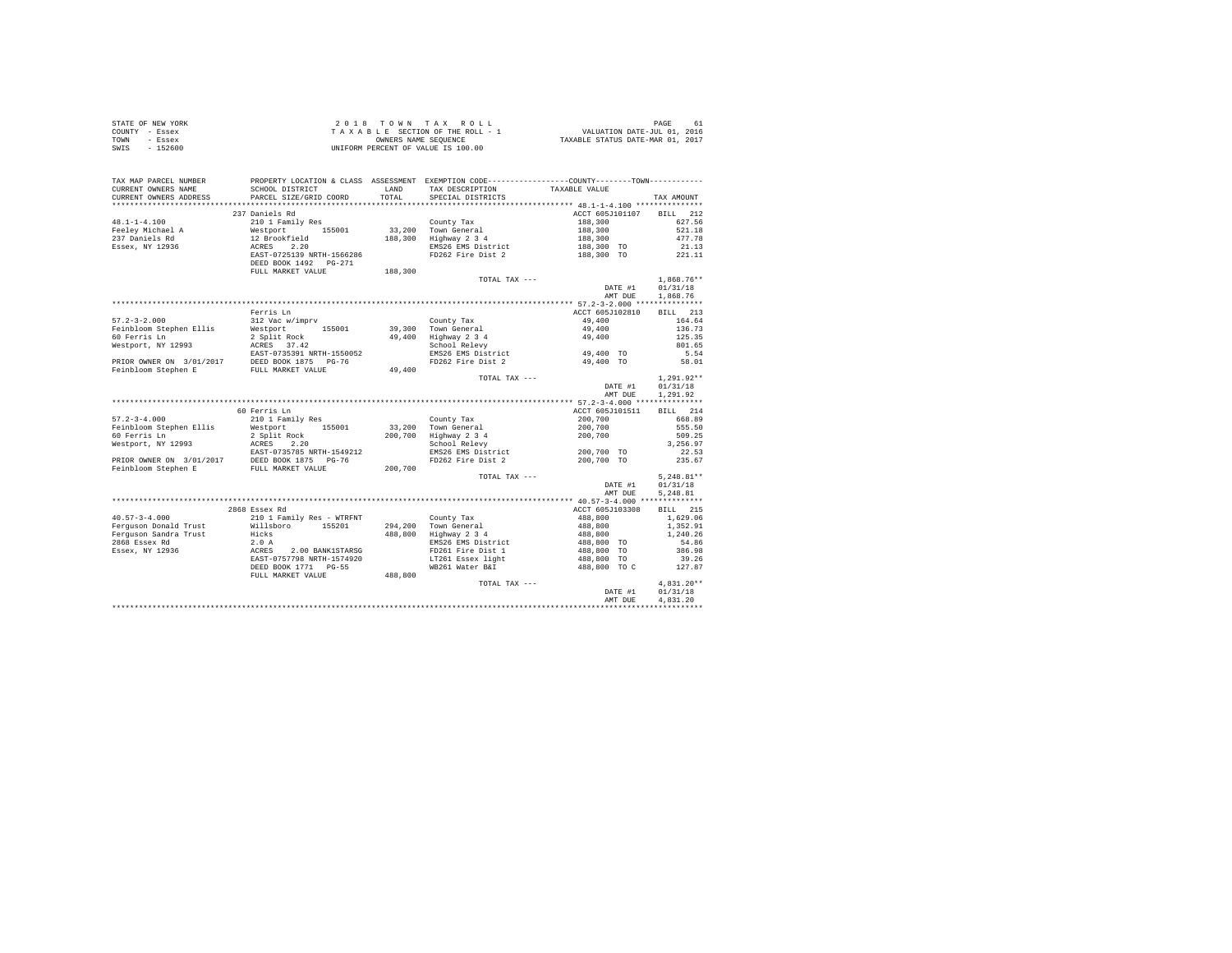| STATE OF NEW YORK | 2018 TOWN TAX ROLL                 | PAGE                             |
|-------------------|------------------------------------|----------------------------------|
| COUNTY - Essex    | TAXABLE SECTION OF THE ROLL - 1    | VALUATION DATE-JUL 01, 2016      |
| TOWN<br>- Essex   | OWNERS NAME SEOUENCE               | TAXABLE STATUS DATE-MAR 01, 2017 |
| SWIS<br>- 152600  | UNIFORM PERCENT OF VALUE IS 100.00 |                                  |

| TAX MAP PARCEL NUMBER<br>CURRENT OWNERS NAME | PROPERTY LOCATION & CLASS ASSESSMENT EXEMPTION CODE---------------COUNTY-------TOWN---------<br>SCHOOL DISTRICT                                       | LAND    | TAX DESCRIPTION       | TAXABLE VALUE   |                    |
|----------------------------------------------|-------------------------------------------------------------------------------------------------------------------------------------------------------|---------|-----------------------|-----------------|--------------------|
| CURRENT OWNERS ADDRESS<br>.                  | PARCEL SIZE/GRID COORD<br>                                                                                                                            | TOTAL   | SPECIAL DISTRICTS     |                 | TAX AMOUNT         |
|                                              | 237 Daniels Rd                                                                                                                                        |         |                       | ACCT 605J101107 | <b>BILL</b><br>212 |
| $48.1 - 1 - 4.100$                           | 210 1 Family Res                                                                                                                                      |         | County Tax            | 188,300         | 627.56             |
| Feeley Michael A                             | Westport<br>155001                                                                                                                                    |         | 33,200 Town General   | 188,300         | 521.18             |
| 237 Daniels Rd                               | 12 Brookfield                                                                                                                                         | 188,300 | Highway 2 3 4         | 188,300         | 477.78             |
| Essex, NY 12936                              | ACRES<br>2.20                                                                                                                                         |         | EMS26 EMS District    | 188,300 TO      | 21.13              |
|                                              | EAST-0725139 NRTH-1566286                                                                                                                             |         | FD262 Fire Dist 2     | 188,300 TO      | 221.11             |
|                                              | DEED BOOK 1492    PG-271                                                                                                                              |         |                       |                 |                    |
|                                              | FULL MARKET VALUE                                                                                                                                     | 188,300 |                       |                 |                    |
|                                              |                                                                                                                                                       |         | TOTAL TAX ---         |                 | $1,868.76**$       |
|                                              |                                                                                                                                                       |         |                       | DATE #1         | 01/31/18           |
|                                              |                                                                                                                                                       |         |                       | AMT DUE         | 1,868.76           |
|                                              |                                                                                                                                                       |         |                       |                 |                    |
|                                              | Ferris Ln                                                                                                                                             |         |                       | ACCT 605J102810 | BILL 213           |
| $57.2 - 3 - 2.000$                           | 312 Vac w/imprv                                                                                                                                       |         | County Tax            | 49,400          | 164.64             |
| Feinbloom Stephen Ellis                      | 155001<br>Westport                                                                                                                                    | 39,300  | Town General          | 49,400          | 136.73             |
| 60 Ferris Ln                                 | 2 Split Rock                                                                                                                                          |         | 49,400 Highway 2 3 4  | 49,400          | 125.35             |
|                                              |                                                                                                                                                       |         | School Relevy         |                 | 801.65             |
|                                              |                                                                                                                                                       |         | EMS26 EMS District    | 49,400 TO       | 5.54               |
|                                              |                                                                                                                                                       |         | FD262 Fire Dist 2     | 49,400 TO       | 58.01              |
|                                              | Westport, NY 12993 ACRES 37.42<br>EAST-0735391 NRTH-1550052<br>PRIOR OWNER ON 3/01/2017 DEED BOOK 1875 PG-76<br>Feinbloom Stephen E FULL MARKET VALUE | 49,400  |                       |                 |                    |
|                                              |                                                                                                                                                       |         | TOTAL TAX ---         |                 | $1,291.92**$       |
|                                              |                                                                                                                                                       |         |                       | DATE #1         | 01/31/18           |
|                                              |                                                                                                                                                       |         |                       | AMT DUE         | 1,291.92           |
|                                              |                                                                                                                                                       |         |                       |                 |                    |
|                                              | 60 Ferris Ln                                                                                                                                          |         |                       | ACCT 605J101511 | BILL 214           |
| $57.2 - 3 - 4.000$                           | 210 1 Family Res                                                                                                                                      |         | County Tax            | 200,700         | 668.89             |
| Feinbloom Stephen Ellis                      | Westport<br>155001                                                                                                                                    |         | 33,200 Town General   | 200.700         | 555.50             |
| 60 Ferris Ln                                 | 2 Split Rock                                                                                                                                          |         | 200,700 Highway 2 3 4 | 200,700         | 509.25             |
| Westport, NY 12993                           | ACRES<br>2.20                                                                                                                                         |         | School Relevy         |                 | 3.256.97           |
|                                              | EAST-0735785 NRTH-1549212                                                                                                                             |         | EMS26 EMS District    | 200,700 TO      | 22.53              |
| PRIOR OWNER ON 3/01/2017                     |                                                                                                                                                       |         | FD262 Fire Dist 2     | 200,700 TO      | 235.67             |
| Feinbloom Stephen E                          | 1917 DEED BOOK 1875 PG-76<br>FULL MARKET VALUE                                                                                                        | 200,700 |                       |                 |                    |
|                                              |                                                                                                                                                       |         | TOTAL TAX ---         |                 | $5,248.81**$       |
|                                              |                                                                                                                                                       |         |                       | DATE #1         | 01/31/18           |
|                                              |                                                                                                                                                       |         |                       | AMT DUE         | 5,248.81           |
|                                              |                                                                                                                                                       |         |                       |                 |                    |
|                                              | 2868 Essex Rd                                                                                                                                         |         |                       | ACCT 605J103308 | BILL 215           |
| $40.57 - 3 - 4.000$                          | 210 1 Family Res - WTRFNT                                                                                                                             |         | County Tax            | 488,800         | 1,629.06           |
| Ferquson Donald Trust                        | Willsboro<br>155201                                                                                                                                   |         | 294,200 Town General  | 488,800         | 1,352.91           |
| Ferquson Sandra Trust                        | Hicks                                                                                                                                                 |         | 488,800 Highway 2 3 4 | 488,800         | 1,240.26           |
| 2868 Essex Rd                                | 2.0 A                                                                                                                                                 |         | EMS26 EMS District    | 488,800 TO      | 54.86              |
| Essex, NY 12936                              | <b>ACRES</b><br>2.00 BANK1STARSG                                                                                                                      |         | FD261 Fire Dist 1     | 488,800 TO      | 386.98             |
|                                              | EAST-0757798 NRTH-1574920                                                                                                                             |         | LT261 Essex light     | 488,800 TO      | 39.26              |
|                                              | DEED BOOK 1771 PG-55                                                                                                                                  |         | WB261 Water B&I       | 488,800 TO C    | 127.87             |
|                                              | FULL MARKET VALUE                                                                                                                                     | 488,800 |                       |                 |                    |
|                                              |                                                                                                                                                       |         | TOTAL TAX ---         |                 | $4,831.20**$       |
|                                              |                                                                                                                                                       |         |                       | DATE #1         | 01/31/18           |
|                                              |                                                                                                                                                       |         |                       | AMT DUE         | 4.831.20           |
|                                              |                                                                                                                                                       |         |                       |                 |                    |
|                                              |                                                                                                                                                       |         |                       |                 |                    |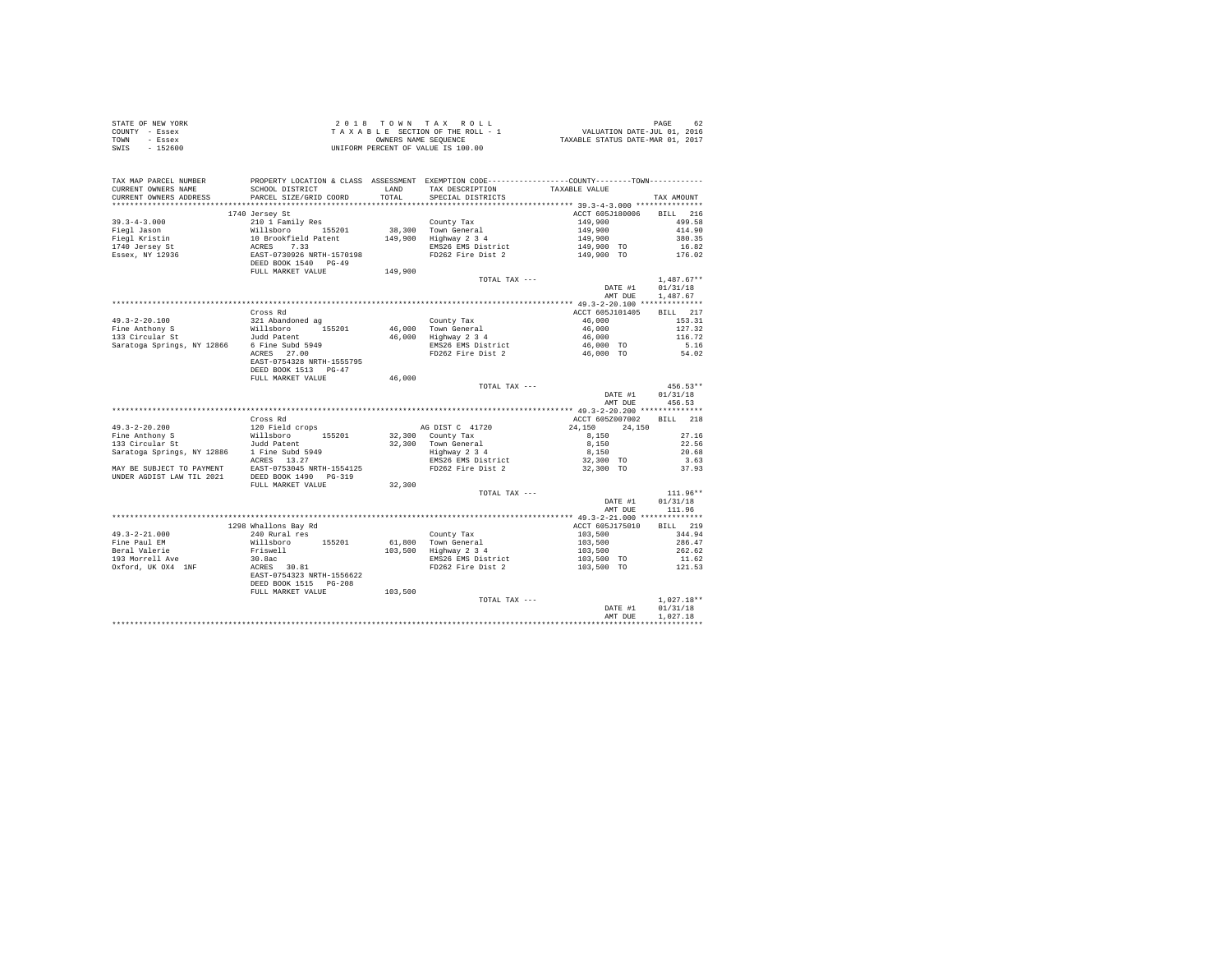| STATE OF NEW YORK | 2018 TOWN TAX ROLL                 | 62<br>PAGE                       |
|-------------------|------------------------------------|----------------------------------|
| COUNTY - Essex    | TAXABLE SECTION OF THE ROLL - 1    | VALUATION DATE-JUL 01, 2016      |
| TOWN<br>- Essex   | OWNERS NAME SEOUENCE               | TAXABLE STATUS DATE-MAR 01, 2017 |
| SWIS<br>$-152600$ | UNIFORM PERCENT OF VALUE IS 100.00 |                                  |

| TAX MAP PARCEL NUMBER<br>CURRENT OWNERS NAME<br>CURRENT OWNERS ADDRESS                                                                                                                                                                                      | SCHOOL DISTRICT<br>PARCEL SIZE/GRID COORD             | TOTAL   | PROPERTY LOCATION & CLASS ASSESSMENT EXEMPTION CODE----------------COUNTY--------TOWN----------<br>LAND TAX DESCRIPTION<br>SPECIAL DISTRICTS                    | TAXABLE VALUE      | TAX AMOUNT   |
|-------------------------------------------------------------------------------------------------------------------------------------------------------------------------------------------------------------------------------------------------------------|-------------------------------------------------------|---------|-----------------------------------------------------------------------------------------------------------------------------------------------------------------|--------------------|--------------|
|                                                                                                                                                                                                                                                             |                                                       |         |                                                                                                                                                                 |                    |              |
|                                                                                                                                                                                                                                                             | 1740 Jersey St                                        |         |                                                                                                                                                                 | ACCT 605J180006    | BILL 216     |
|                                                                                                                                                                                                                                                             |                                                       |         | County Tax                                                                                                                                                      | 149,900            | 499.58       |
|                                                                                                                                                                                                                                                             |                                                       |         | 38,300 Town General<br>149,900 Highway 2 3 4                                                                                                                    |                    |              |
|                                                                                                                                                                                                                                                             |                                                       |         |                                                                                                                                                                 |                    |              |
|                                                                                                                                                                                                                                                             |                                                       |         |                                                                                                                                                                 |                    |              |
|                                                                                                                                                                                                                                                             |                                                       |         | 149,900 1141.90<br>Highway 2 3 4 149,900 380.35<br>EMS26 EMS District 149,900 136.35<br>EMS26 Expediant 149,900 TO 16.82<br>FD262 Fire Dist 2 149,900 TO 176.02 |                    |              |
|                                                                                                                                                                                                                                                             |                                                       | 149,900 |                                                                                                                                                                 |                    |              |
|                                                                                                                                                                                                                                                             |                                                       |         | TOTAL TAX ---                                                                                                                                                   |                    | $1,487.67**$ |
|                                                                                                                                                                                                                                                             |                                                       |         |                                                                                                                                                                 | DATE #1            | 01/31/18     |
|                                                                                                                                                                                                                                                             |                                                       |         |                                                                                                                                                                 | AMT DUE            | 1,487.67     |
|                                                                                                                                                                                                                                                             |                                                       |         |                                                                                                                                                                 |                    |              |
|                                                                                                                                                                                                                                                             | Cross Rd                                              |         |                                                                                                                                                                 | ACCT 605J101405    | BILL 217     |
| $49.3 - 2 - 20.100$                                                                                                                                                                                                                                         | 321 Abandoned ag<br>Willsboro - 155201<br>Judd Patent |         | County Tax                                                                                                                                                      | 46,000             | 153.31       |
| 49.3-2-20.100<br>Fine Anthony S                                                                                                                                                                                                                             |                                                       |         | County Tax<br>46,000 Town General<br>46,000 Highway 2 3 4                                                                                                       | 46,000             | 127.32       |
| 133 Circular St                                                                                                                                                                                                                                             |                                                       |         |                                                                                                                                                                 | 46,000             | 116.72       |
| Saratoga Springs, NY 12866 6 Fine Subd 5949<br>ACRES 27.00                                                                                                                                                                                                  |                                                       |         | EMS26 EMS District 46,000 TO<br>FD262 Fire Dist 2 46,000 TO                                                                                                     |                    | 5.16         |
|                                                                                                                                                                                                                                                             |                                                       |         |                                                                                                                                                                 |                    | 54.02        |
|                                                                                                                                                                                                                                                             | EAST-0754328 NRTH-1555795                             |         |                                                                                                                                                                 |                    |              |
|                                                                                                                                                                                                                                                             | DEED BOOK 1513 PG-47                                  |         |                                                                                                                                                                 |                    |              |
|                                                                                                                                                                                                                                                             | FULL MARKET VALUE                                     | 46,000  |                                                                                                                                                                 |                    |              |
|                                                                                                                                                                                                                                                             |                                                       |         | TOTAL TAX ---                                                                                                                                                   |                    | $456.53**$   |
|                                                                                                                                                                                                                                                             |                                                       |         |                                                                                                                                                                 | DATE #1            | 01/31/18     |
|                                                                                                                                                                                                                                                             |                                                       |         |                                                                                                                                                                 | AMT DUE            | 456.53       |
|                                                                                                                                                                                                                                                             |                                                       |         |                                                                                                                                                                 |                    |              |
|                                                                                                                                                                                                                                                             | Cross Rd                                              |         |                                                                                                                                                                 | ACCT 605Z007002    | BTLL 218     |
| 49.3-2-20.200<br>Fine Anthony S<br>130 Circular St<br>133 Circular St<br>133 Circular St<br>1716 Saratoga Springs, NY 12886<br>1716 Saratoga Springs, NY 12886<br>1716 St<br>1716 St<br>1716 St<br>1716 St<br>1716 St<br>1716 St<br>1716 St<br>1716 St<br>1 |                                                       |         | AG DIST C 41720                                                                                                                                                 | 24,150<br>24.150   |              |
|                                                                                                                                                                                                                                                             |                                                       |         | 32,300 County Tax                                                                                                                                               | 8,150              | 27.16        |
|                                                                                                                                                                                                                                                             |                                                       |         |                                                                                                                                                                 | 8,150              | 22.56        |
|                                                                                                                                                                                                                                                             |                                                       |         |                                                                                                                                                                 | 8,150              | 20.68        |
|                                                                                                                                                                                                                                                             | ACRES 13.27                                           |         |                                                                                                                                                                 | 32,300 TO          | 3.63         |
|                                                                                                                                                                                                                                                             |                                                       |         |                                                                                                                                                                 | 32,300 TO          | 37.93        |
| MAY BE SUBJECT TO PAYMENT EAST-0753045 NRTH-1554125<br>UNDER AGDIST LAW TIL 2021 DEED BOOK 1490 PG-319                                                                                                                                                      |                                                       |         |                                                                                                                                                                 |                    |              |
|                                                                                                                                                                                                                                                             | FULL MARKET VALUE                                     | 32,300  |                                                                                                                                                                 |                    |              |
|                                                                                                                                                                                                                                                             |                                                       |         | TOTAL TAX ---                                                                                                                                                   |                    | $111.96**$   |
|                                                                                                                                                                                                                                                             |                                                       |         |                                                                                                                                                                 | DATE #1            | 01/31/18     |
|                                                                                                                                                                                                                                                             |                                                       |         |                                                                                                                                                                 | AMT DUE            | 111.96       |
|                                                                                                                                                                                                                                                             |                                                       |         |                                                                                                                                                                 |                    |              |
|                                                                                                                                                                                                                                                             | 1298 Whallons Bay Rd                                  |         |                                                                                                                                                                 | ACCT 605J175010    | BILL 219     |
| $49.3 - 2 - 21.000$                                                                                                                                                                                                                                         | 240 Rural res                                         |         | County Tax<br>61,800 Town General                                                                                                                               |                    | 344.94       |
| Fine Paul EM                                                                                                                                                                                                                                                | Willsboro 155201<br>Friswell                          |         |                                                                                                                                                                 | 103,500<br>103,500 | 286.47       |
| Beral Valerie                                                                                                                                                                                                                                               |                                                       |         | 103,500 Highway 2 3 4                                                                                                                                           | 103,500            | 262.62       |
| 193 Morrell Ave                                                                                                                                                                                                                                             |                                                       |         | EMS26 EMS District<br>FD262 Fire Dist 2                                                                                                                         | 103,500 TO         | 11.62        |
| Oxford, UK OX4 1NF                                                                                                                                                                                                                                          | 30.8ac<br>ACRES 30.81<br>EAST-0754323 NRTH-1556622    |         |                                                                                                                                                                 | 103,500 TO         | 121.53       |
|                                                                                                                                                                                                                                                             |                                                       |         |                                                                                                                                                                 |                    |              |
|                                                                                                                                                                                                                                                             | DEED BOOK 1515 PG-208                                 |         |                                                                                                                                                                 |                    |              |
|                                                                                                                                                                                                                                                             | FULL MARKET VALUE                                     | 103,500 |                                                                                                                                                                 |                    |              |
|                                                                                                                                                                                                                                                             |                                                       |         |                                                                                                                                                                 |                    |              |
|                                                                                                                                                                                                                                                             |                                                       |         | TOTAL TAX ---                                                                                                                                                   |                    | $1,027.18**$ |
|                                                                                                                                                                                                                                                             |                                                       |         |                                                                                                                                                                 | DATE #1            | 01/31/18     |
|                                                                                                                                                                                                                                                             |                                                       |         |                                                                                                                                                                 | AMT DUE            | 1.027.18     |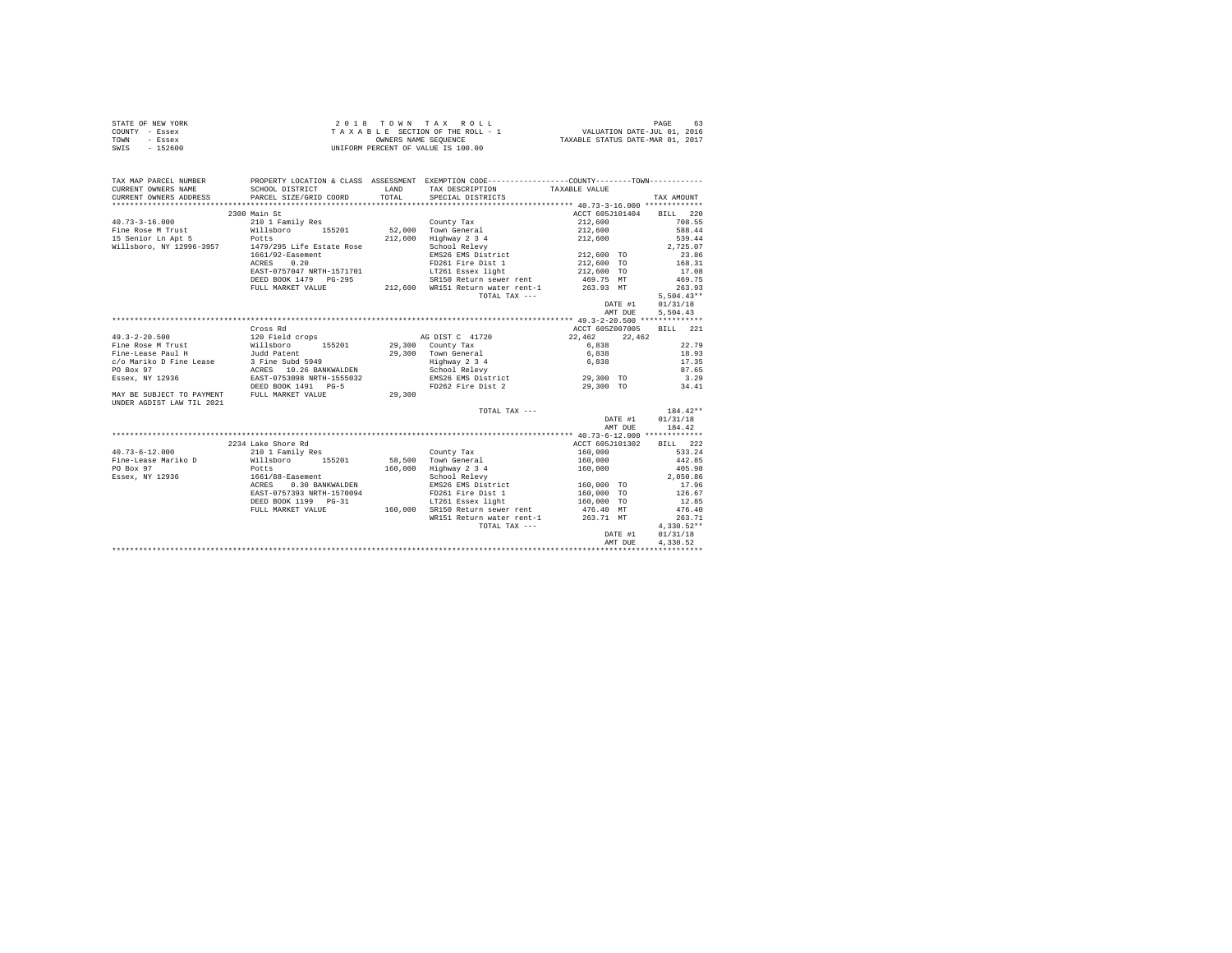|                | STATE OF NEW YORK | 2018 TOWN TAX ROLL                 | 63<br>PAGE                       |
|----------------|-------------------|------------------------------------|----------------------------------|
| COUNTY - Essex |                   | TAXABLE SECTION OF THE ROLL - 1    | VALUATION DATE-JUL 01, 2016      |
| TOWN           | - Essex           | OWNERS NAME SEOUENCE               | TAXABLE STATUS DATE-MAR 01, 2017 |
| SWIS           | $-152600$         | UNIFORM PERCENT OF VALUE IS 100.00 |                                  |

| TAX MAP PARCEL NUMBER     | PROPERTY LOCATION & CLASS ASSESSMENT EXEMPTION CODE---------------COUNTY-------TOWN----------                                  |         |                                             |                                                                               |                  |
|---------------------------|--------------------------------------------------------------------------------------------------------------------------------|---------|---------------------------------------------|-------------------------------------------------------------------------------|------------------|
| CURRENT OWNERS NAME       | SCHOOL DISTRICT                                                                                                                |         | LAND TAX DESCRIPTION                        | TAXABLE VALUE                                                                 |                  |
| CURRENT OWNERS ADDRESS    | PARCEL SIZE/GRID COORD                                                                                                         | TOTAL   | SPECIAL DISTRICTS                           |                                                                               | TAX AMOUNT       |
|                           |                                                                                                                                |         |                                             |                                                                               |                  |
|                           | 2300 Main St                                                                                                                   |         |                                             | ACCT 605J101404 BILL 220                                                      |                  |
| $40.73 - 3 - 16.000$      |                                                                                                                                |         |                                             | 212,600<br>212,600                                                            | 708.55<br>588.44 |
| Fine Rose M Trust         |                                                                                                                                |         |                                             |                                                                               |                  |
|                           | 15 Senior In Apt 5<br>15 Senior In Apt 5<br>Willsboro, NY 12996-3957<br>1479/295 Life Estate Rose                              | 212,600 | Highway 2 3 4                               | 212,600                                                                       | 539.44           |
|                           |                                                                                                                                |         | School Relevy                               | EMS26 EMS District 212,600 TO                                                 | 2,725.07         |
|                           | 1661/92-Easement                                                                                                               |         |                                             |                                                                               | 23.86            |
|                           | ACRES<br>0.20                                                                                                                  |         | FD261 Fire Dist 1<br>LT261 Essex light      | 212,600 TO<br>212,600 TO                                                      | 168.31           |
|                           | EAST-0757047 NRTH-1571701                                                                                                      |         |                                             |                                                                               | 17.08            |
|                           | DEED BOOK 1479 PG-295                                                                                                          |         |                                             | SR150 Return sewer rent 469.75 MT                                             | 469.75           |
|                           | FULL MARKET VALUE                                                                                                              |         | 212,600 WR151 Return water rent-1 263.93 MT |                                                                               | 263.93           |
|                           |                                                                                                                                |         | TOTAL TAX ---                               |                                                                               | $5,504.43**$     |
|                           |                                                                                                                                |         |                                             | DATE #1 01/31/18                                                              |                  |
|                           |                                                                                                                                |         |                                             | AMT DUE                                                                       | 5.504.43         |
|                           |                                                                                                                                |         |                                             |                                                                               |                  |
|                           | Cross Rd                                                                                                                       |         |                                             | ACCT 605Z007005                                                               | BILL 221         |
|                           |                                                                                                                                |         | AG DIST C 41720                             | 22.462 22.462                                                                 |                  |
|                           |                                                                                                                                |         |                                             | 6,838                                                                         | 22.79            |
|                           |                                                                                                                                |         | 29,300 Town General<br>Highway 2 3 4        | 6,838                                                                         | 18.93<br>17.35   |
|                           |                                                                                                                                |         |                                             | 6,838                                                                         |                  |
|                           |                                                                                                                                |         | School Relevy                               |                                                                               | 87.65            |
|                           |                                                                                                                                |         |                                             | EMS26 EMS District<br>EMS26 EMS District<br>FD262 Fire Dist 2 29,300 TO 34.41 |                  |
|                           |                                                                                                                                |         |                                             |                                                                               |                  |
| UNDER AGDIST LAW TIL 2021 | MAY BE SUBJECT TO PAYMENT FULL MARKET VALUE 29,300                                                                             |         |                                             |                                                                               |                  |
|                           |                                                                                                                                |         | TOTAL TAX ---                               |                                                                               | $184.42**$       |
|                           |                                                                                                                                |         |                                             |                                                                               | DATE #1 01/31/18 |
|                           |                                                                                                                                |         |                                             |                                                                               | AMT DUE 184.42   |
|                           |                                                                                                                                |         |                                             |                                                                               |                  |
|                           | 2234 Lake Shore Rd                                                                                                             |         |                                             | ACCT 605J101302                                                               | BILL 222         |
| $40.73 - 6 - 12.000$      | 210 1 Family Res                                                                                                               |         | County Tax                                  | 160.000 533.24                                                                |                  |
|                           | Fine-Lease Mariko D Willsboro 155201                                                                                           |         | 58.500 Town General                         |                                                                               | 442.85           |
| PO Box 97                 | Potts                                                                                                                          |         | 160.000 Highway 2 3 4                       | $160,000$<br>$160,000$                                                        | 405.98           |
|                           | Essex, NY 12936 1661/88-Easement                                                                                               |         | School Relevy                               |                                                                               | 2,050.86         |
|                           | ACRES 0.30 BANKWALDEN                                                                                                          |         | EMS26 EMS District                          | 160,000 TO<br>160,000 TO                                                      | 17.96            |
|                           | EAST-0757393 NRTH-1570094                                                                                                      |         | FD261 Fire Dist 1                           |                                                                               | 126.67           |
|                           |                                                                                                                                |         |                                             |                                                                               | 12.85            |
|                           | DEED BOOK 1199 PG-31 160,000 SR150 Return sewer rent 160,000 TO<br>FULL MARKET VALUE 160,000 SR150 Return sewer rent 476.40 MT |         |                                             |                                                                               | 476.40           |
|                           |                                                                                                                                |         | WR151 Return water rent-1                   | 263.71 MT                                                                     | 263.71           |
|                           |                                                                                                                                |         | TOTAL TAX ---                               |                                                                               | $4.330.52**$     |
|                           |                                                                                                                                |         |                                             | DATE #1                                                                       | 01/31/18         |
|                           |                                                                                                                                |         |                                             | AMT DUE                                                                       | 4.330.52         |
|                           |                                                                                                                                |         |                                             |                                                                               |                  |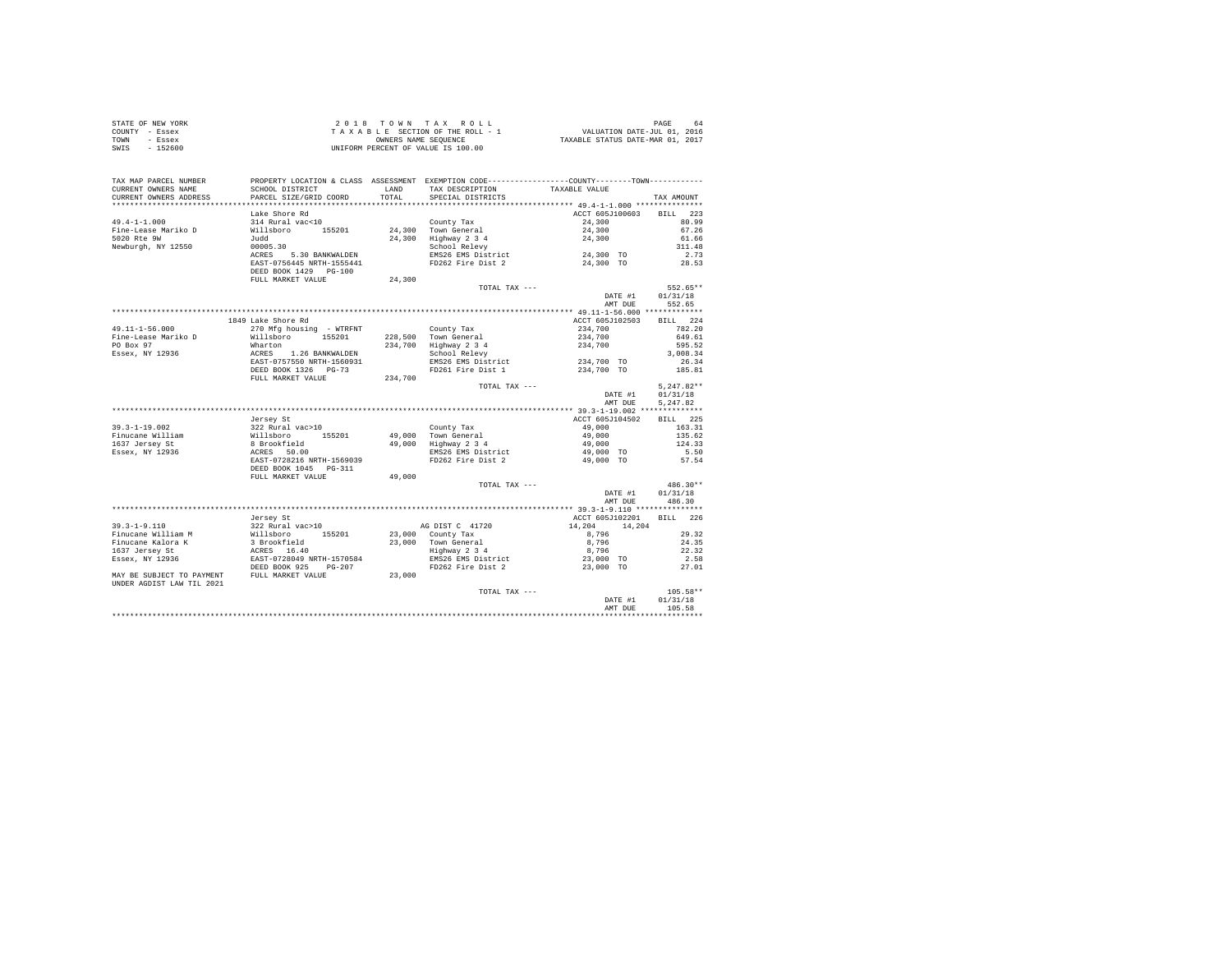| STATE OF NEW YORK | 2018 TOWN TAX ROLL                 | PAGE<br>64                       |
|-------------------|------------------------------------|----------------------------------|
| COUNTY - Essex    | TAXABLE SECTION OF THE ROLL - 1    | VALUATION DATE-JUL 01, 2016      |
| TOWN<br>- Essex   | OWNERS NAME SEOUENCE               | TAXABLE STATUS DATE-MAR 01, 2017 |
| $-152600$<br>SWIS | UNIFORM PERCENT OF VALUE IS 100.00 |                                  |

| TAX MAP PARCEL NUMBER                                               | PROPERTY LOCATION & CLASS ASSESSMENT EXEMPTION CODE---------------COUNTY-------TOWN---------     |              |                                             |                  |                    |
|---------------------------------------------------------------------|--------------------------------------------------------------------------------------------------|--------------|---------------------------------------------|------------------|--------------------|
| CURRENT OWNERS NAME                                                 | SCHOOL DISTRICT                                                                                  | <b>T.AND</b> | TAX DESCRIPTION                             | TAXABLE VALUE    |                    |
| CURRENT OWNERS ADDRESS                                              | PARCEL SIZE/GRID COORD                                                                           | TOTAL        | SPECIAL DISTRICTS                           |                  | TAX AMOUNT         |
|                                                                     |                                                                                                  |              |                                             |                  |                    |
|                                                                     | Lake Shore Rd                                                                                    |              |                                             | ACCT 605J100603  | <b>BILL</b><br>223 |
| $49.4 - 1 - 1.000$                                                  | 314 Rural vac<10                                                                                 |              | County Tax                                  | 24,300           | 80.99              |
| Fine-Lease Mariko D                                                 | Willsboro 155201                                                                                 |              | 24,300 Town General                         | 24,300           | 67.26              |
| 5020 Rte 9W                                                         | Judd                                                                                             |              | 24,300 Highway 2 3 4                        | 24,300           | 61.66              |
| Newburgh, NY 12550                                                  | 00005.30                                                                                         |              | School Relevy                               |                  | 311.48             |
|                                                                     | ACRES 5.30 BANKWALDEN                                                                            |              | EMS26 EMS District                          | 24,300 TO        | 2.73               |
|                                                                     | EAST-0756445 NRTH-1555441                                                                        |              | FD262 Fire Dist 2                           | 24,300 TO        | 28.53              |
|                                                                     | DEED BOOK 1429 PG-100                                                                            |              |                                             |                  |                    |
|                                                                     | FULL MARKET VALUE                                                                                | 24,300       |                                             |                  |                    |
|                                                                     |                                                                                                  |              | TOTAL TAX ---                               |                  | 552.65**           |
|                                                                     |                                                                                                  |              |                                             | DATE #1          | 01/31/18           |
|                                                                     |                                                                                                  |              |                                             | AMT DUE          | 552.65             |
|                                                                     |                                                                                                  |              |                                             |                  |                    |
|                                                                     | 1849 Lake Shore Rd                                                                               |              |                                             | ACCT 605J102503  | BILL 224           |
| $49.11 - 1 - 56.000$                                                | 270 Mfg housing - WTRFNT                                                                         |              | County Tax                                  | 234,700          | 782.20             |
| Fine-Lease Mariko D                                                 | Willsboro 155201                                                                                 |              | 228.500 Town General                        | 234,700          | 649.61             |
| PO Box 97                                                           | Wharton                                                                                          |              | 234,700 Highway 2 3 4<br>School Relevy      | 234,700          | 595.52             |
| Essex, NY 12936                                                     | ACRES 1.26 BANKWALDEN<br>EAST-0757550 NRTH-1560931<br>DEED BOOK 1326 PG-73                       |              |                                             |                  | 3,008.34           |
|                                                                     |                                                                                                  |              | EMS26 EMS District                          | 234,700 TO       | 26.34              |
|                                                                     |                                                                                                  |              | FD261 Fire Dist 1                           | 234,700 TO       | 185.81             |
|                                                                     | FULL MARKET VALUE                                                                                | 234,700      |                                             |                  |                    |
|                                                                     |                                                                                                  |              | TOTAL TAX ---                               |                  | $5,247.82**$       |
|                                                                     |                                                                                                  |              |                                             | DATE #1          | 01/31/18           |
|                                                                     |                                                                                                  |              |                                             | AMT DUE          | 5.247.82           |
|                                                                     |                                                                                                  |              |                                             |                  |                    |
|                                                                     | Jersey St                                                                                        |              |                                             | ACCT 605J104502  | BILL 225           |
| $39.3 - 1 - 19.002$<br>39.3-1-1,<br>Finucane William<br>- Armsey St |                                                                                                  |              | County Tax                                  | 49,000<br>49,000 | 163.31<br>135.62   |
|                                                                     |                                                                                                  |              | 49,000 Town General<br>49,000 Highway 2 3 4 | 49,000           | 124.33             |
| Essex, NY 12936                                                     |                                                                                                  |              | EMS26 EMS District                          | 49,000 TO        | 5.50               |
|                                                                     | EAST-0728216 NRTH-1569039                                                                        |              | FD262 Fire Dist 2                           | 49,000 TO        | 57.54              |
|                                                                     |                                                                                                  |              |                                             |                  |                    |
|                                                                     | FULL MARKET VALUE                                                                                | 49,000       |                                             |                  |                    |
|                                                                     |                                                                                                  |              | TOTAL TAX ---                               |                  | $486.30**$         |
|                                                                     |                                                                                                  |              |                                             | DATE #1          | 01/31/18           |
|                                                                     |                                                                                                  |              |                                             | AMT DUE          | 486.30             |
|                                                                     |                                                                                                  |              |                                             |                  |                    |
|                                                                     | Jersey St                                                                                        |              |                                             | ACCT 605J102201  | BILL 226           |
| $39.3 - 1 - 9.110$                                                  | 322 Rural vac>10                                                                                 |              | AG DIST C 41720                             | 14,204<br>14,204 |                    |
| Finucane William M                                                  |                                                                                                  |              | 23,000 County Tax                           | 8,796            | 29.32              |
| Finucane Kalora K                                                   | 322 Rural vac>10<br>Willsboro 155201<br>3 Brookfield<br>ACRES 16.40<br>EAST-0728049 NRTH-1570584 |              | 23,000 Town General                         | 8,796            | 24.35              |
| 1637 Jersey St                                                      |                                                                                                  |              |                                             | 8,796            | 22.32              |
| Essex, NY 12936                                                     |                                                                                                  |              | Highway 2 3 4<br>EMS26 EMS District         | 23,000 TO        | 2.58               |
|                                                                     | DEED BOOK 925 PG-207                                                                             |              | FD262 Fire Dist 2                           | 23,000 TO        | 27.01              |
|                                                                     | MAY BE SUBJECT TO PAYMENT FULL MARKET VALUE                                                      | 23,000       |                                             |                  |                    |
| UNDER AGDIST LAW TIL 2021                                           |                                                                                                  |              |                                             |                  |                    |
|                                                                     |                                                                                                  |              | TOTAL TAX ---                               |                  | 105.58**           |
|                                                                     |                                                                                                  |              |                                             | DATE #1          | 01/31/18           |
|                                                                     |                                                                                                  |              |                                             | AMT DUE          | 105.58             |
|                                                                     |                                                                                                  |              |                                             |                  |                    |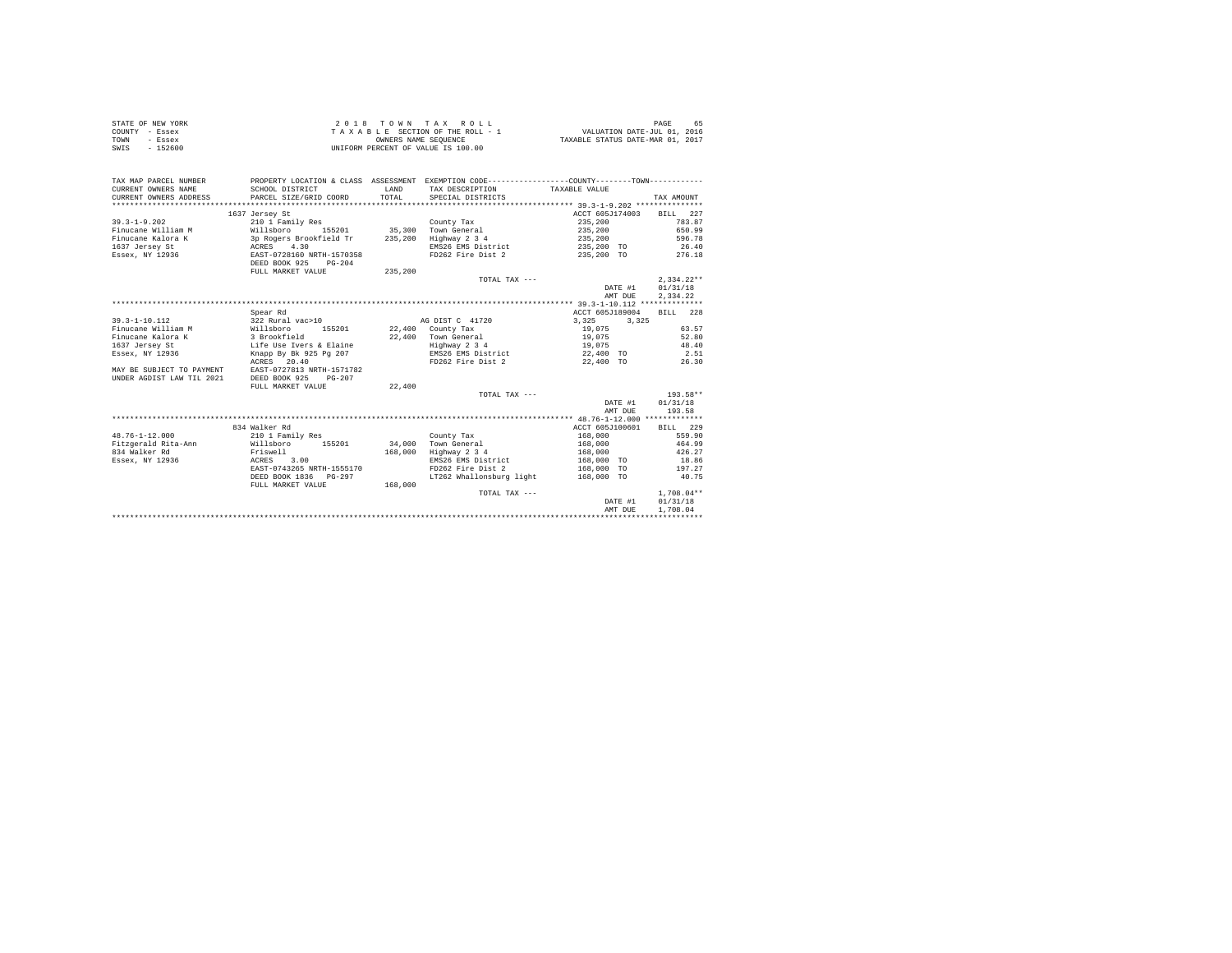| STATE OF NEW YORK | 2018 TOWN TAX ROLL                 | 65<br>PAGE                       |
|-------------------|------------------------------------|----------------------------------|
| COUNTY - Essex    | TAXABLE SECTION OF THE ROLL - 1    | VALUATION DATE-JUL 01, 2016      |
| TOWN<br>- Essex   | OWNERS NAME SEOUENCE               | TAXABLE STATUS DATE-MAR 01, 2017 |
| SWIS<br>- 152600  | UNIFORM PERCENT OF VALUE IS 100.00 |                                  |

| TAX MAP PARCEL NUMBER<br>CURRENT OWNERS NAME<br>CURRENT OWNERS ADDRESS | SCHOOL DISTRICT<br>PARCEL SIZE/GRID COORD   | LAND<br>TOTAL | PROPERTY LOCATION & CLASS ASSESSMENT EXEMPTION CODE----------------COUNTY-------TOWN----------<br>TAX DESCRIPTION TAXABLE VALUE<br>SPECIAL DISTRICTS |                 | TAX AMOUNT   |
|------------------------------------------------------------------------|---------------------------------------------|---------------|------------------------------------------------------------------------------------------------------------------------------------------------------|-----------------|--------------|
|                                                                        | 1637 Jersey St                              |               |                                                                                                                                                      | ACCT 605J174003 | BILL 227     |
| $39.3 - 1 - 9.202$                                                     | 210 1 Family Res                            |               | County Tax                                                                                                                                           | 235,200         | 783.87       |
| Finucane William M                                                     |                                             |               | 155201 35,300 Town General                                                                                                                           | 235,200         | 650.99       |
| Finucane Kalora K                                                      | Willsboro 155201<br>3p Rogers Brookfield Tr | 235,200       | Highway 2 3 4                                                                                                                                        | 235,200         | 596.78       |
| ACRES<br>1637 Jersey St                                                | 4.30                                        |               | EMS26 EMS District                                                                                                                                   | 235,200 TO      | 26.40        |
|                                                                        |                                             |               |                                                                                                                                                      |                 |              |
| Essex, NY 12936 EAST-0728160 NRTH-1570358                              | DEED BOOK 925                               |               | FD262 Fire Dist 2 235,200 TO                                                                                                                         |                 | 276.18       |
|                                                                        | $PG-204$<br>FULL MARKET VALUE               | 235,200       |                                                                                                                                                      |                 |              |
|                                                                        |                                             |               |                                                                                                                                                      |                 | $2.334.22**$ |
|                                                                        |                                             |               | TOTAL TAX ---                                                                                                                                        | DATE #1         |              |
|                                                                        |                                             |               |                                                                                                                                                      | AMT DUE         | 01/31/18     |
|                                                                        |                                             |               |                                                                                                                                                      |                 | 2,334.22     |
|                                                                        |                                             |               |                                                                                                                                                      |                 |              |
|                                                                        | Spear Rd                                    |               |                                                                                                                                                      | ACCT 605J189004 | BILL 228     |
| $39.3 - 1 - 10.112$                                                    | 322 Rural vac>10                            |               | AG DIST C 41720                                                                                                                                      | 3,325<br>3.325  |              |
| Finucane William M                                                     | Willsboro<br>155201                         |               | $22,400$ County Tax                                                                                                                                  | 19,075          | 63.57        |
| Finucane Kalora K                                                      | 3 Brookfield                                |               | 22.400 Town General                                                                                                                                  | 19,075          | 52.80        |
| 1637 Jersey St                                                         | Life Use Ivers & Elaine                     |               | Highway 2 3 4                                                                                                                                        | 19,075          | 48.40        |
| Essex, NY 12936                                                        | Knapp By Bk 925 Pg 207                      |               | EMS26 EMS District                                                                                                                                   | 22,400 TO       | 2.51         |
|                                                                        | ACRES 20.40                                 |               | FD262 Fire Dist 2                                                                                                                                    | 22,400 TO       | 26.30        |
| MAY BE SUBJECT TO PAYMENT                                              | EAST-0727813 NRTH-1571782                   |               |                                                                                                                                                      |                 |              |
| UNDER AGDIST LAW TIL 2021                                              | DEED BOOK 925 PG-207                        |               |                                                                                                                                                      |                 |              |
|                                                                        | FULL MARKET VALUE                           | 22,400        |                                                                                                                                                      |                 |              |
|                                                                        |                                             |               | TOTAL TAX ---                                                                                                                                        |                 | 193.58**     |
|                                                                        |                                             |               |                                                                                                                                                      | DATE #1         | 01/31/18     |
|                                                                        |                                             |               |                                                                                                                                                      | AMT DUE         | 193.58       |
|                                                                        |                                             |               |                                                                                                                                                      |                 |              |
|                                                                        | 834 Walker Rd                               |               |                                                                                                                                                      | ACCT 605J100601 | BILL 229     |
| $48.76 - 1 - 12.000$                                                   | 210 1 Family Res                            |               | County Tax                                                                                                                                           | 168,000         | 559.90       |
| Fitzgerald Rita-Ann                                                    | 155201<br>Willsboro                         |               | 34.000 Town General                                                                                                                                  | 168,000         | 464.99       |
| 834 Walker Rd                                                          | Friswell                                    | 168,000       | Highway 2 3 4                                                                                                                                        | 168,000         | 426.27       |
| Essex, NY 12936                                                        | ACRES<br>3.00                               |               | EMS26 EMS District                                                                                                                                   | 168,000 TO      | 18.86        |
|                                                                        | EAST-0743265 NRTH-1555170                   |               | FD262 Fire Dist 2                                                                                                                                    | 168,000 TO      | 197.27       |
|                                                                        | DEED BOOK 1836 PG-297                       |               | LT262 Whallonsburg light 168,000 TO                                                                                                                  |                 | 40.75        |
|                                                                        | FULL MARKET VALUE                           | 168,000       |                                                                                                                                                      |                 |              |
|                                                                        |                                             |               | TOTAL TAX ---                                                                                                                                        |                 | $1.708.04**$ |
|                                                                        |                                             |               |                                                                                                                                                      | DATE #1         | 01/31/18     |
|                                                                        |                                             |               |                                                                                                                                                      | AMT DUE         | 1,708.04     |
|                                                                        |                                             |               |                                                                                                                                                      |                 |              |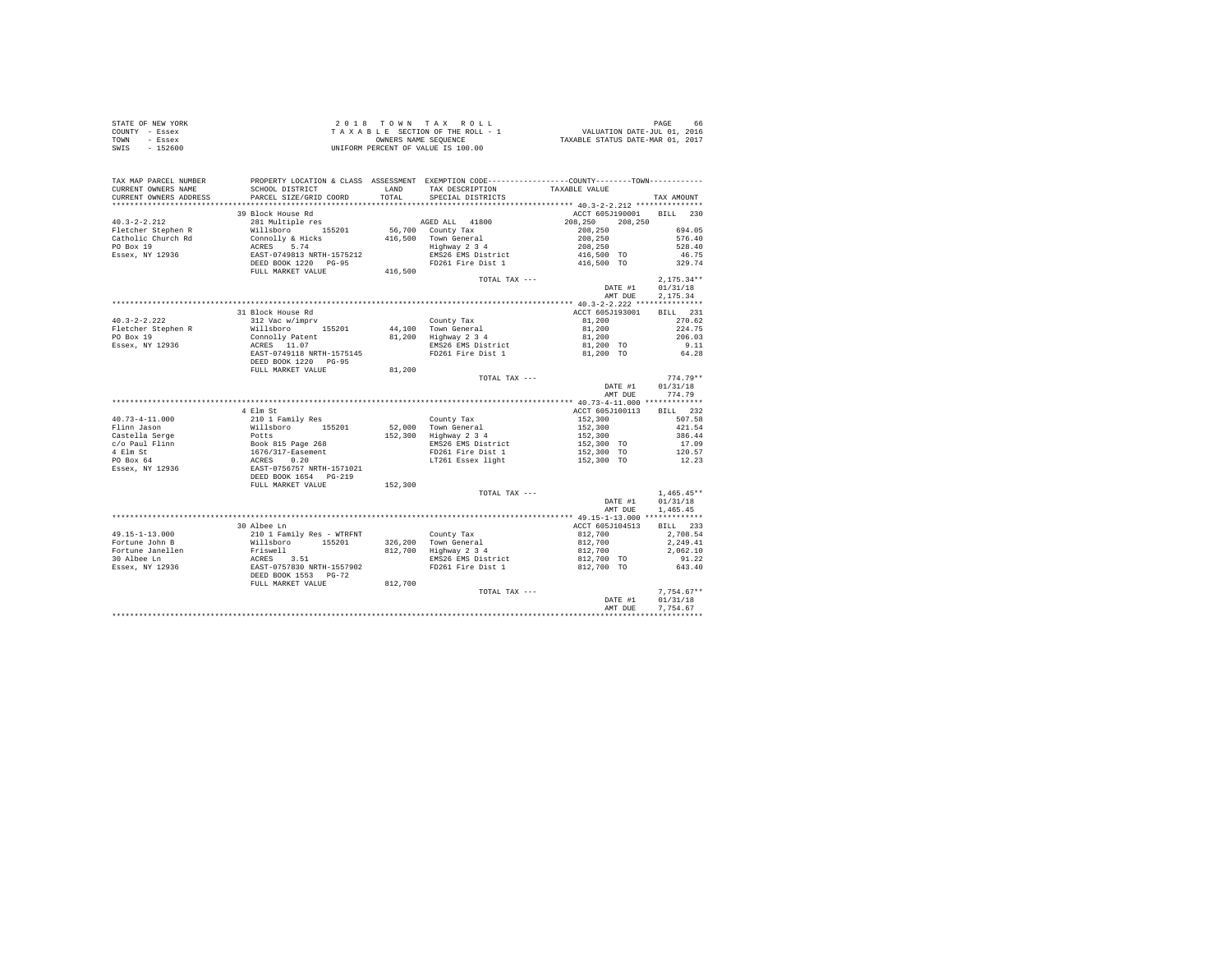| STATE OF NEW YORK                                                                                                  |                                                                                                                                                                                                                                     |         |                                                                                                                                                                                  |                                                                                                      |         |                              |
|--------------------------------------------------------------------------------------------------------------------|-------------------------------------------------------------------------------------------------------------------------------------------------------------------------------------------------------------------------------------|---------|----------------------------------------------------------------------------------------------------------------------------------------------------------------------------------|------------------------------------------------------------------------------------------------------|---------|------------------------------|
| COUNTY - Essex                                                                                                     |                                                                                                                                                                                                                                     |         |                                                                                                                                                                                  |                                                                                                      |         |                              |
| TOWN - Essex                                                                                                       | 2018 TOWN TAX ROLL<br>TAXABLE SECTION OF THE ROLL - 1 WALUATION DATE-JUL 01, 2016<br>ONNERS NAME SEQUENCE TAXABLE STATUS DATE-MAR 01, 2017<br>UNIFORM PERCENT OF VALUE IS 100.00                                                    |         |                                                                                                                                                                                  |                                                                                                      |         |                              |
| SWIS - 152600                                                                                                      |                                                                                                                                                                                                                                     |         |                                                                                                                                                                                  |                                                                                                      |         |                              |
|                                                                                                                    |                                                                                                                                                                                                                                     |         |                                                                                                                                                                                  |                                                                                                      |         |                              |
|                                                                                                                    |                                                                                                                                                                                                                                     |         |                                                                                                                                                                                  |                                                                                                      |         |                              |
|                                                                                                                    |                                                                                                                                                                                                                                     |         |                                                                                                                                                                                  |                                                                                                      |         |                              |
| TAX MAP PARCEL NUMBER PROPERTY LOCATION & CLASS ASSESSMENT EXEMPTION CODE---------------COUNTY-------TOWN--------- |                                                                                                                                                                                                                                     |         |                                                                                                                                                                                  |                                                                                                      |         |                              |
| CURRENT OWNERS NAME                                                                                                | SCHOOL DISTRICT                                                                                                                                                                                                                     |         | LAND TAX DESCRIPTION                                                                                                                                                             | TAXABLE VALUE                                                                                        |         |                              |
| CURRENT OWNERS ADDRESS                                                                                             | PARCEL SIZE/GRID COORD                                                                                                                                                                                                              | TOTAL   | SPECIAL DISTRICTS                                                                                                                                                                |                                                                                                      |         |                              |
|                                                                                                                    |                                                                                                                                                                                                                                     |         |                                                                                                                                                                                  |                                                                                                      |         | TAX AMOUNT                   |
|                                                                                                                    | 281 Multiple res<br>Willsboro 155201 56,700 County Tax<br>Connolly & Hicks 416,500 Town General<br>ACRES 5.74<br>RAST-0749813 NRTH-1575212 Highway 234<br>FAST DRED BOOK 1220 PG-95<br>FULL MARKET VALUE 416,500<br>416,500 416,500 |         |                                                                                                                                                                                  |                                                                                                      |         |                              |
|                                                                                                                    |                                                                                                                                                                                                                                     |         |                                                                                                                                                                                  |                                                                                                      |         | ACCT 605J190001 BILL 230     |
| $40.3 - 2 - 2.212$                                                                                                 |                                                                                                                                                                                                                                     |         |                                                                                                                                                                                  | 208, 250 208, 250                                                                                    |         |                              |
| Fletcher Stephen R                                                                                                 |                                                                                                                                                                                                                                     |         |                                                                                                                                                                                  |                                                                                                      |         |                              |
| Catholic Church Rd                                                                                                 |                                                                                                                                                                                                                                     |         |                                                                                                                                                                                  |                                                                                                      |         |                              |
| PO Box 19                                                                                                          |                                                                                                                                                                                                                                     |         |                                                                                                                                                                                  |                                                                                                      |         |                              |
| Essex, NY 12936                                                                                                    |                                                                                                                                                                                                                                     |         |                                                                                                                                                                                  |                                                                                                      |         |                              |
|                                                                                                                    |                                                                                                                                                                                                                                     |         |                                                                                                                                                                                  |                                                                                                      |         |                              |
|                                                                                                                    |                                                                                                                                                                                                                                     |         |                                                                                                                                                                                  |                                                                                                      |         |                              |
|                                                                                                                    |                                                                                                                                                                                                                                     |         |                                                                                                                                                                                  |                                                                                                      |         | $2.175.34**$                 |
|                                                                                                                    |                                                                                                                                                                                                                                     |         | TOTAL TAX ---                                                                                                                                                                    |                                                                                                      |         | DATE #1 01/31/18             |
|                                                                                                                    |                                                                                                                                                                                                                                     |         |                                                                                                                                                                                  |                                                                                                      |         |                              |
|                                                                                                                    |                                                                                                                                                                                                                                     |         |                                                                                                                                                                                  |                                                                                                      | AMT DUE | 2.175.34                     |
|                                                                                                                    |                                                                                                                                                                                                                                     |         |                                                                                                                                                                                  |                                                                                                      |         |                              |
|                                                                                                                    | 31 Block House Rd                                                                                                                                                                                                                   |         |                                                                                                                                                                                  | ACCT 605J193001                                                                                      |         | BILL 231                     |
| $40.3 - 2 - 2.222$                                                                                                 | 312 Vac w/imprv                                                                                                                                                                                                                     |         |                                                                                                                                                                                  |                                                                                                      |         | 270.62                       |
|                                                                                                                    |                                                                                                                                                                                                                                     |         |                                                                                                                                                                                  |                                                                                                      |         | 224.75                       |
|                                                                                                                    |                                                                                                                                                                                                                                     |         | County Tax<br>44,100 Town General<br>81,200 Highway 2 3 4                                                                                                                        |                                                                                                      |         | 206.03                       |
| Fletcher Stephen R<br>PO Box 19<br>Essex, NY 12936                                                                 | %12 % % August<br>Willsboro 155201<br>Connolly Patent<br>REAST-0749118 NRTH-1575145<br>DEED BOOK 1220 PG-95                                                                                                                         |         | EMS26 EMS District<br>FD261 Fire Dist 1                                                                                                                                          | $\begin{array}{r} 81,200 \\ 81,200 \\ 81,200 \\ 81,200 \\ 81,200 \\ 81,200 \\ \text{TO} \end{array}$ |         | 9.11                         |
|                                                                                                                    |                                                                                                                                                                                                                                     |         |                                                                                                                                                                                  |                                                                                                      |         | 64.28                        |
|                                                                                                                    |                                                                                                                                                                                                                                     |         |                                                                                                                                                                                  |                                                                                                      |         |                              |
|                                                                                                                    |                                                                                                                                                                                                                                     |         |                                                                                                                                                                                  |                                                                                                      |         |                              |
|                                                                                                                    |                                                                                                                                                                                                                                     |         |                                                                                                                                                                                  |                                                                                                      |         |                              |
|                                                                                                                    | FULL MARKET VALUE 81,200                                                                                                                                                                                                            |         |                                                                                                                                                                                  |                                                                                                      |         |                              |
|                                                                                                                    |                                                                                                                                                                                                                                     |         | TOTAL TAX ---                                                                                                                                                                    |                                                                                                      |         |                              |
|                                                                                                                    |                                                                                                                                                                                                                                     |         |                                                                                                                                                                                  |                                                                                                      |         | DATE #1 01/31/18             |
|                                                                                                                    |                                                                                                                                                                                                                                     |         |                                                                                                                                                                                  |                                                                                                      |         | $774.79**$<br>AMT DUE 774.79 |
|                                                                                                                    |                                                                                                                                                                                                                                     |         |                                                                                                                                                                                  |                                                                                                      |         |                              |
|                                                                                                                    | 4 Elm St                                                                                                                                                                                                                            |         |                                                                                                                                                                                  | ACCT 605J100113                                                                                      |         | BILL 232                     |
|                                                                                                                    |                                                                                                                                                                                                                                     |         |                                                                                                                                                                                  |                                                                                                      |         | 507.58                       |
|                                                                                                                    |                                                                                                                                                                                                                                     |         |                                                                                                                                                                                  |                                                                                                      |         |                              |
|                                                                                                                    |                                                                                                                                                                                                                                     |         |                                                                                                                                                                                  |                                                                                                      |         | 421.54                       |
|                                                                                                                    |                                                                                                                                                                                                                                     |         | County Tax<br>52,000 Town General<br>152,300 Highway 2 3 4                                                                                                                       |                                                                                                      |         | 386.44                       |
|                                                                                                                    |                                                                                                                                                                                                                                     |         |                                                                                                                                                                                  |                                                                                                      |         | 17.09                        |
|                                                                                                                    |                                                                                                                                                                                                                                     |         |                                                                                                                                                                                  |                                                                                                      |         | 120.57                       |
|                                                                                                                    |                                                                                                                                                                                                                                     |         | County Tax<br>152,300<br>19 Highway 2 3 4<br>152,300<br>EMS26 EMS District<br>152,300 TO<br>FD261 Fire Dist 1 152,300 TO<br>152,300 TO<br>152,300 TO<br>152,300 TO<br>152,300 TO |                                                                                                      |         | 12.23                        |
|                                                                                                                    |                                                                                                                                                                                                                                     |         |                                                                                                                                                                                  |                                                                                                      |         |                              |
|                                                                                                                    |                                                                                                                                                                                                                                     |         |                                                                                                                                                                                  |                                                                                                      |         |                              |
|                                                                                                                    |                                                                                                                                                                                                                                     | 152,300 |                                                                                                                                                                                  |                                                                                                      |         |                              |
|                                                                                                                    |                                                                                                                                                                                                                                     |         |                                                                                                                                                                                  |                                                                                                      |         | $1,465.45**$                 |
|                                                                                                                    |                                                                                                                                                                                                                                     |         | TOTAL TAX $---$                                                                                                                                                                  |                                                                                                      | DATE #1 | 01/31/18                     |
|                                                                                                                    |                                                                                                                                                                                                                                     |         |                                                                                                                                                                                  |                                                                                                      | AMT DUE | 1,465.45                     |
|                                                                                                                    |                                                                                                                                                                                                                                     |         |                                                                                                                                                                                  |                                                                                                      |         |                              |
|                                                                                                                    |                                                                                                                                                                                                                                     |         |                                                                                                                                                                                  |                                                                                                      |         | BILL 233                     |
|                                                                                                                    | 30 Albee Ln                                                                                                                                                                                                                         |         |                                                                                                                                                                                  | ACCT 605J104513                                                                                      |         |                              |
|                                                                                                                    |                                                                                                                                                                                                                                     |         |                                                                                                                                                                                  |                                                                                                      |         | 2,708.54                     |
|                                                                                                                    |                                                                                                                                                                                                                                     |         |                                                                                                                                                                                  |                                                                                                      |         | 2,249.41                     |
|                                                                                                                    |                                                                                                                                                                                                                                     |         |                                                                                                                                                                                  |                                                                                                      |         | 2,062.10                     |
|                                                                                                                    |                                                                                                                                                                                                                                     |         |                                                                                                                                                                                  |                                                                                                      |         | 91.22                        |
|                                                                                                                    |                                                                                                                                                                                                                                     |         |                                                                                                                                                                                  | 812,700<br>812,700<br>812,700<br>812,700 TO<br>812,700 TO                                            |         | 643.40                       |
|                                                                                                                    |                                                                                                                                                                                                                                     |         |                                                                                                                                                                                  |                                                                                                      |         |                              |
|                                                                                                                    |                                                                                                                                                                                                                                     |         |                                                                                                                                                                                  |                                                                                                      |         |                              |
|                                                                                                                    |                                                                                                                                                                                                                                     |         | TOTAL TAX ---                                                                                                                                                                    |                                                                                                      |         | $7.754.67**$                 |
|                                                                                                                    |                                                                                                                                                                                                                                     |         |                                                                                                                                                                                  |                                                                                                      | DATE #1 | 01/31/18                     |
|                                                                                                                    |                                                                                                                                                                                                                                     |         |                                                                                                                                                                                  |                                                                                                      | AMT DUE | 7.754.67                     |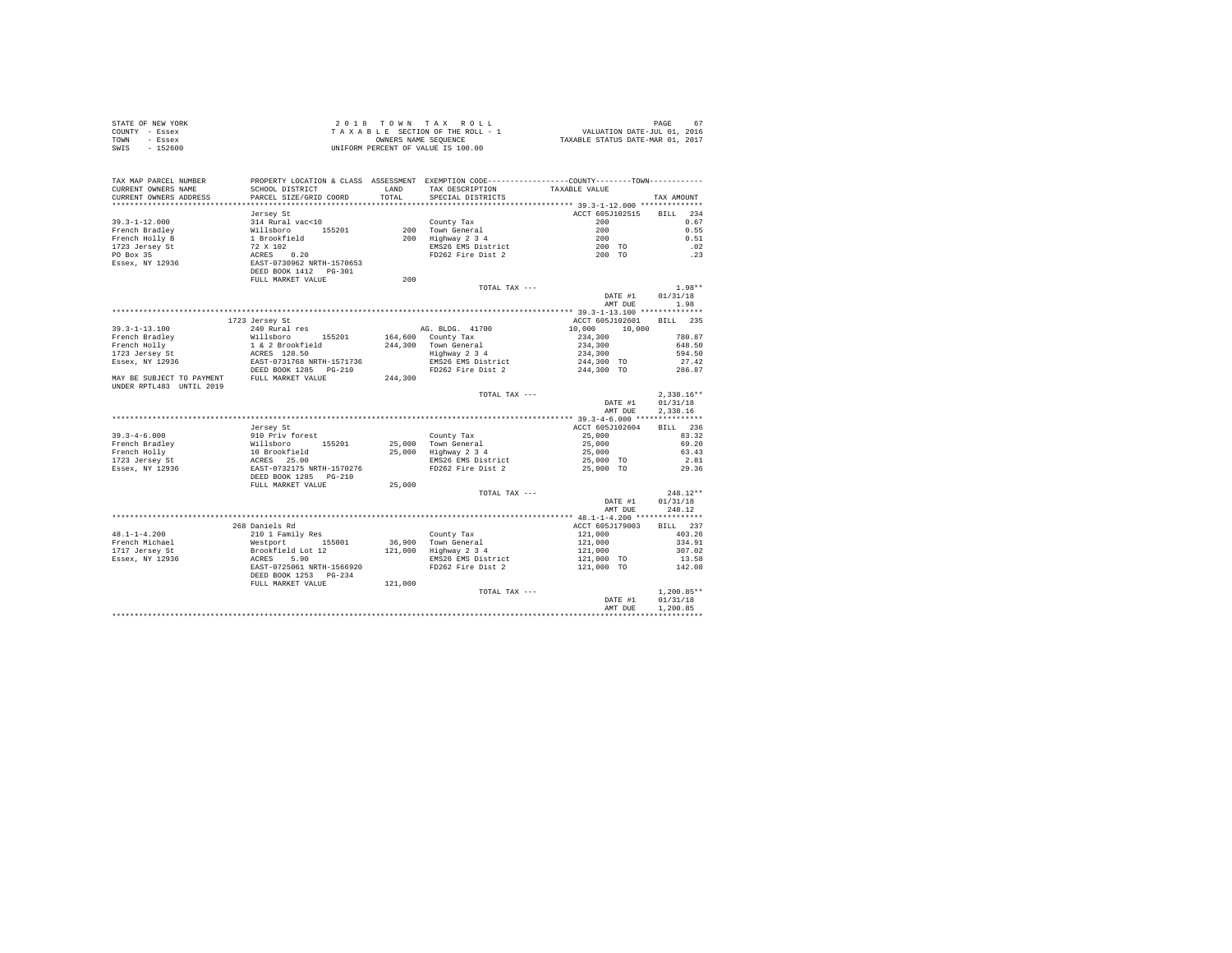| COUNTY - Essex<br>TOWN<br>- Essex<br>SWIS - 152600                                                                                                         |                                                                                                                                                                                | TAXABLE SECTION OF THE ROLL - 1<br>OWNERS NAME SEOUENCE<br>UNIFORM PERCENT OF VALUE IS 100.00                                                  | VALUATION DATE-JUL 01, 2016<br>TAXABLE STATUS DATE-MAR 01, 2017                                                                 |                                                           |
|------------------------------------------------------------------------------------------------------------------------------------------------------------|--------------------------------------------------------------------------------------------------------------------------------------------------------------------------------|------------------------------------------------------------------------------------------------------------------------------------------------|---------------------------------------------------------------------------------------------------------------------------------|-----------------------------------------------------------|
| TAX MAP PARCEL NUMBER<br>CURRENT OWNERS NAME<br>CURRENT OWNERS ADDRESS                                                                                     | SCHOOL DISTRICT<br><b>T.AND</b><br>PARCEL SIZE/GRID COORD                                                                                                                      | TOTAL<br>SPECIAL DISTRICTS                                                                                                                     | PROPERTY LOCATION & CLASS ASSESSMENT EXEMPTION CODE----------------COUNTY-------TOWN----------<br>TAX DESCRIPTION TAXABLE VALUE | TAX AMOUNT                                                |
| $39.3 - 1 - 12.000$<br>French Bradlev<br>French Holly B<br>1723 Jersey St<br>PO Box 35<br>Essex, NY 12936                                                  | Jersey St<br>314 Rural vac<10<br>Willsboro<br>155201<br>1 Brookfield<br>72 X 102<br>0.20<br>ACRES<br>EAST-0730962 NRTH-1570653<br>DEED BOOK 1412   PG-301<br>FULL MARKET VALUE | County Tax<br>200<br>Town General<br>Highway 2 3 4<br>200<br>EMS26 EMS District<br>200                                                         | ACCT 605J102515 BILL 234<br>200<br>200<br>200<br>200 TO<br>FD262 Fire Dist 2<br>200 TO                                          | 0.67<br>0.55<br>0.51<br>.02<br>.23                        |
|                                                                                                                                                            |                                                                                                                                                                                |                                                                                                                                                | TOTAL TAX $---$<br>DATE #1<br>AMT DUE                                                                                           | $1.98**$<br>01/31/18<br>1.98                              |
| $39.3 - 1 - 13.100$<br>French Bradley<br>French Holly Theory<br>1723 Jersey St<br>Essex, NY 12936<br>MAY BE SUBJECT TO PAYMENT<br>UNDER RPTL483 UNTIL 2019 | 1723 Jersey St<br>240 Rural res<br>Willsboro<br>1 & 2 Brookfield<br>ACRES 128.50<br>EAST-0731768 NRTH-1571736<br>DEED BOOK 1285 PG-210<br>FULL MARKET VALUE                    | AG. BLDG. 41700<br>155201 164,600 County Tax<br>Town General<br>244,300<br>Highway 2 3 4<br>EMS26 EMS District<br>FD262 Fire Dist 2<br>244,300 | ACCT 605J102601<br>10,000 10,000<br>234,300<br>234,300<br>234,300<br>244,300 TO<br>244,300 TO                                   | BTLL 235<br>780.87<br>648.50<br>594.50<br>27.42<br>286.87 |
|                                                                                                                                                            |                                                                                                                                                                                |                                                                                                                                                | TOTAL TAX ---                                                                                                                   | $2.338.16**$                                              |

STATE OF NEW YORK 2 0 1 8 T O W N T A X R O L L PAGE 67

| UNDER RPTL483 UNTIL 2019 |                           |         |                    |                 |              |
|--------------------------|---------------------------|---------|--------------------|-----------------|--------------|
|                          |                           |         | TOTAL TAX $---$    |                 | $2.338.16**$ |
|                          |                           |         |                    | DATE #1         | 01/31/18     |
|                          |                           |         |                    | AMT DUE         | 2,338.16     |
|                          |                           |         |                    |                 |              |
|                          | Jersey St                 |         |                    | ACCT 605J102604 | BILL 236     |
| $39.3 - 4 - 6.000$       | 910 Priv forest           |         | County Tax         | 25,000          | 83.32        |
| French Bradlev           | Willsboro<br>155201       | 25,000  | Town General       | 25,000          | 69.20        |
| French Hollv             | 10 Brookfield             | 25,000  | Highway 2 3 4      | 25,000          | 63.43        |
| 1723 Jersey St           | ACRES 25.00               |         | EMS26 EMS District | 25,000 TO       | 2.81         |
| Essex, NY 12936          | EAST-0732175 NRTH-1570276 |         | FD262 Fire Dist 2  | 25,000 TO       | 29.36        |
|                          | DEED BOOK 1285 PG-210     |         |                    |                 |              |
|                          | FULL MARKET VALUE         | 25,000  |                    |                 |              |
|                          |                           |         | TOTAL TAX ---      |                 | $248.12**$   |
|                          |                           |         |                    | DATE #1         | 01/31/18     |
|                          |                           |         |                    | AMT DUE         | 248.12       |
|                          |                           |         |                    |                 |              |
|                          | 268 Daniels Rd            |         |                    | ACCT 605J179003 | BILL 237     |
| $48.1 - 1 - 4.200$       | 210 1 Family Res          |         | County Tax         | 121,000         | 403.26       |
| French Michael           | Westport 155001           | 36,900  | Town General       | 121,000         | 334.91       |
| 1717 Jersev St           | Brookfield Lot 12         | 121,000 | Highway 2 3 4      | 121,000         | 307.02       |
| Essex, NY 12936          | ACRES 5.90                |         | EMS26 EMS District | 121,000 TO      | 13.58        |
|                          | EAST-0725061 NRTH-1566920 |         | FD262 Fire Dist 2  | 121,000 TO      | 142.08       |
|                          | DEED BOOK 1253 PG-234     |         |                    |                 |              |
|                          | FULL MARKET VALUE         | 121,000 |                    |                 |              |
|                          |                           |         | TOTAL TAX $---$    |                 | $1.200.85**$ |
|                          |                           |         |                    | DATE #1         | 01/31/18     |
|                          |                           |         |                    | AMT DUR         | 1,200.85     |
|                          |                           |         |                    |                 |              |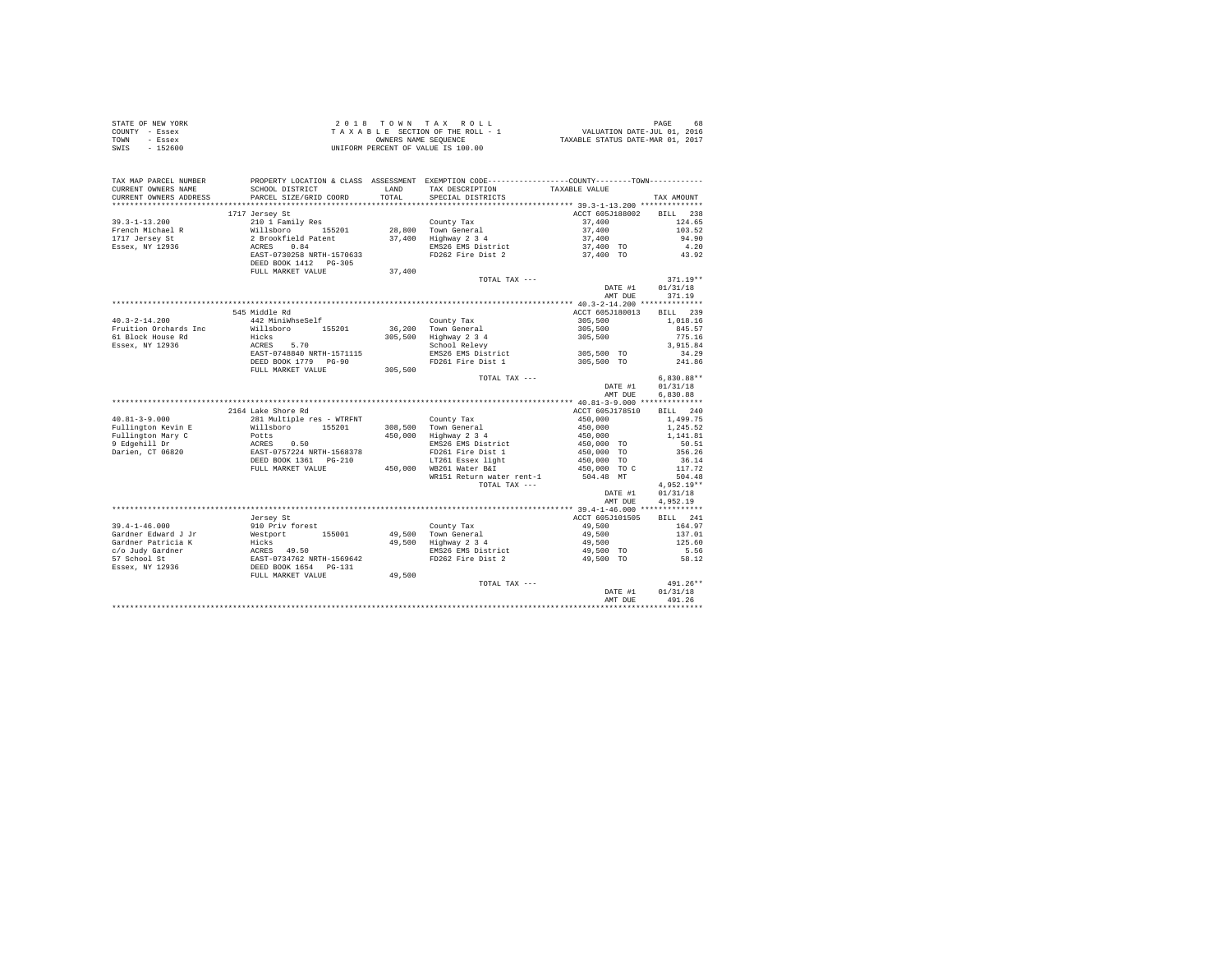|                | STATE OF NEW YORK |  |  |  |                                    | 2018 TOWN TAX ROLL              |  |                                  | PAGE | 68 |
|----------------|-------------------|--|--|--|------------------------------------|---------------------------------|--|----------------------------------|------|----|
| COUNTY - Essex |                   |  |  |  |                                    | TAXABLE SECTION OF THE ROLL - 1 |  | VALUATION DATE-JUL 01, 2016      |      |    |
| TOWN           | - Essex           |  |  |  | OWNERS NAME SEOUENCE               |                                 |  | TAXABLE STATUS DATE-MAR 01, 2017 |      |    |
| SWIS           | $-152600$         |  |  |  | UNIFORM PERCENT OF VALUE IS 100.00 |                                 |  |                                  |      |    |

| TAX MAP PARCEL NUMBER<br>CURRENT OWNERS NAME<br>CURRENT OWNERS ADDRESS | PROPERTY LOCATION & CLASS ASSESSMENT EXEMPTION CODE---------------COUNTY-------TOWN---------<br>SCHOOL DISTRICT<br>PARCEL SIZE/GRID COORD                                | TOTAL | LAND TAX DESCRIPTION<br>SPECIAL DISTRICTS                                                                                  | TAXABLE VALUE                       | TAX AMOUNT       |
|------------------------------------------------------------------------|--------------------------------------------------------------------------------------------------------------------------------------------------------------------------|-------|----------------------------------------------------------------------------------------------------------------------------|-------------------------------------|------------------|
|                                                                        |                                                                                                                                                                          |       |                                                                                                                            |                                     |                  |
|                                                                        | 1717 Jersey St                                                                                                                                                           |       |                                                                                                                            | ACCT 605J188002                     | BILL 238         |
|                                                                        |                                                                                                                                                                          |       |                                                                                                                            |                                     | 124.65           |
|                                                                        |                                                                                                                                                                          |       |                                                                                                                            | $37,400$<br>$37,400$                | 103.52           |
|                                                                        |                                                                                                                                                                          |       |                                                                                                                            | 37,400                              | 94.90            |
|                                                                        |                                                                                                                                                                          |       |                                                                                                                            |                                     |                  |
|                                                                        |                                                                                                                                                                          |       | EMS26 EMS District                                                                                                         | 37,400 TO                           | 4.20             |
|                                                                        |                                                                                                                                                                          |       |                                                                                                                            | 37,400 TO                           | 43.92            |
|                                                                        |                                                                                                                                                                          |       |                                                                                                                            |                                     |                  |
|                                                                        |                                                                                                                                                                          |       | TOTAL TAX ---                                                                                                              |                                     | $371.19**$       |
|                                                                        |                                                                                                                                                                          |       |                                                                                                                            | DATE #1                             | 01/31/18         |
|                                                                        |                                                                                                                                                                          |       |                                                                                                                            | AMT DUE                             | 371.19           |
|                                                                        |                                                                                                                                                                          |       |                                                                                                                            |                                     |                  |
|                                                                        | 545 Middle Rd                                                                                                                                                            |       |                                                                                                                            | ACCT 605J180013 BILL 239            |                  |
|                                                                        | 442 MiniWhseSelf                                                                                                                                                         |       |                                                                                                                            |                                     | 1,018.16         |
|                                                                        | $\begin{tabular}{llll} 40.3-2-14.200 & & 442 MiniWhseSelf & County Tax \\ \texttt{Frution~Orchards~Inc} & & Willsboro & 155201 & 36,200 & Town General \\ \end{tabular}$ |       |                                                                                                                            | $305,500$<br>$305,500$<br>$305,500$ | 845.57           |
| 61 Block House Rd                                                      | Hicks                                                                                                                                                                    |       |                                                                                                                            |                                     | 775.16           |
| Essex, NY 12936                                                        |                                                                                                                                                                          |       |                                                                                                                            |                                     | 3,915.84         |
|                                                                        |                                                                                                                                                                          |       |                                                                                                                            |                                     | 34.29            |
|                                                                        | <br>ACRES 5.70<br>EAST-0748840 NRTH-1571115<br>DEED BOOK 1779 PG-90                                                                                                      |       | 305,500 Highway 2 3 4<br>SOD: Righway 2 3 4<br>Explores Response and the RS26 EMS District<br>FD261 Fire Dist 1 305,500 TO |                                     | 241.86           |
|                                                                        | FULL MARKET VALUE 305,500                                                                                                                                                |       |                                                                                                                            |                                     |                  |
|                                                                        |                                                                                                                                                                          |       | TOTAL TAX ---                                                                                                              |                                     | $6.830.88**$     |
|                                                                        |                                                                                                                                                                          |       |                                                                                                                            |                                     | DATE #1 01/31/18 |
|                                                                        |                                                                                                                                                                          |       |                                                                                                                            | AMT DUE                             | 6.830.88         |
|                                                                        |                                                                                                                                                                          |       |                                                                                                                            |                                     |                  |
|                                                                        | 2164 Lake Shore Rd                                                                                                                                                       |       |                                                                                                                            | ACCT 605J178510 BILL 240            |                  |
|                                                                        |                                                                                                                                                                          |       |                                                                                                                            |                                     |                  |
|                                                                        |                                                                                                                                                                          |       |                                                                                                                            |                                     |                  |
|                                                                        |                                                                                                                                                                          |       |                                                                                                                            |                                     |                  |
|                                                                        |                                                                                                                                                                          |       |                                                                                                                            |                                     |                  |
|                                                                        |                                                                                                                                                                          |       |                                                                                                                            |                                     |                  |
|                                                                        |                                                                                                                                                                          |       |                                                                                                                            |                                     |                  |
|                                                                        | FULL MARKET VALUE                                                                                                                                                        |       |                                                                                                                            |                                     | 117.72           |
|                                                                        |                                                                                                                                                                          |       | WR151 Return water rent-1                                                                                                  | 504.48 MT                           | 504.48           |
|                                                                        |                                                                                                                                                                          |       | TOTAL TAX ---                                                                                                              |                                     | $4.952.19**$     |
|                                                                        |                                                                                                                                                                          |       |                                                                                                                            | DATE #1                             | 01/31/18         |
|                                                                        |                                                                                                                                                                          |       |                                                                                                                            | AMT DUE                             | 4,952.19         |
|                                                                        |                                                                                                                                                                          |       |                                                                                                                            |                                     |                  |
|                                                                        | Jersev St                                                                                                                                                                |       |                                                                                                                            | ACCT 605J101505                     | BILL 241         |
|                                                                        |                                                                                                                                                                          |       |                                                                                                                            |                                     | 164.97           |
|                                                                        |                                                                                                                                                                          |       |                                                                                                                            |                                     | 137.01           |
|                                                                        |                                                                                                                                                                          |       |                                                                                                                            |                                     | 125.60           |
|                                                                        |                                                                                                                                                                          |       |                                                                                                                            |                                     | 5.56             |
|                                                                        |                                                                                                                                                                          |       |                                                                                                                            |                                     | 58.12            |
|                                                                        |                                                                                                                                                                          |       |                                                                                                                            |                                     |                  |
|                                                                        |                                                                                                                                                                          |       |                                                                                                                            |                                     |                  |
|                                                                        |                                                                                                                                                                          |       | TOTAL TAX ---                                                                                                              |                                     | $491.26**$       |
|                                                                        |                                                                                                                                                                          |       |                                                                                                                            | DATE #1                             | 01/31/18         |
|                                                                        |                                                                                                                                                                          |       |                                                                                                                            | AMT DUE                             | 491.26           |
|                                                                        |                                                                                                                                                                          |       |                                                                                                                            |                                     |                  |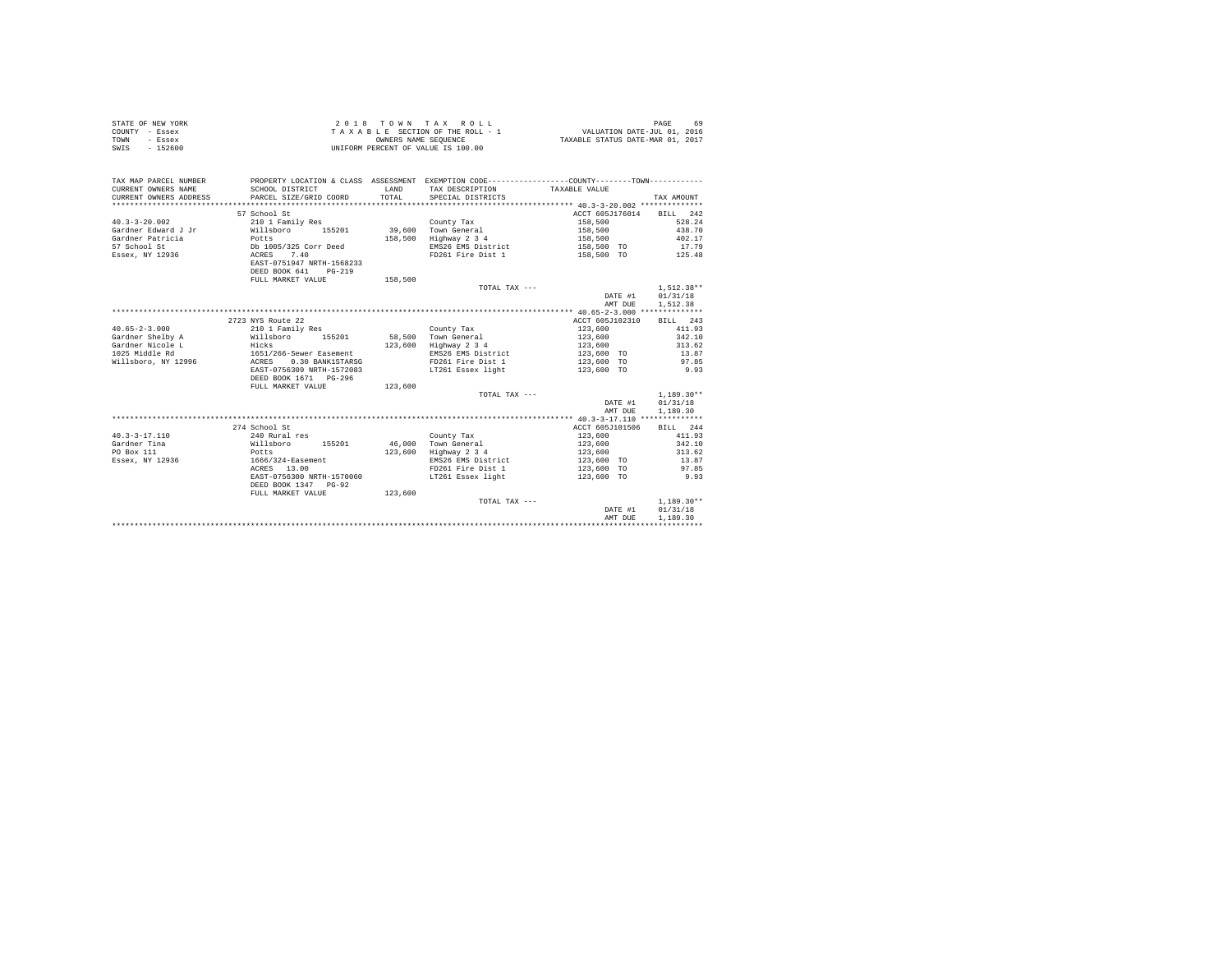| STATE OF NEW YORK | 2018 TOWN TAX ROLL                 | PAGE                             | 69 |
|-------------------|------------------------------------|----------------------------------|----|
| COUNTY - Essex    | TAXABLE SECTION OF THE ROLL - 1    | VALUATION DATE-JUL 01, 2016      |    |
| TOWN<br>- Essex   | OWNERS NAME SEOUENCE               | TAXABLE STATUS DATE-MAR 01, 2017 |    |
| $-152600$<br>SWIS | UNIFORM PERCENT OF VALUE IS 100.00 |                                  |    |

| TAX MAP PARCEL NUMBER                                        |                                      |         | PROPERTY LOCATION & CLASS ASSESSMENT EXEMPTION CODE----------------COUNTY-------TOWN---------- |                          |                                   |
|--------------------------------------------------------------|--------------------------------------|---------|------------------------------------------------------------------------------------------------|--------------------------|-----------------------------------|
| CURRENT OWNERS NAME                                          | SCHOOL DISTRICT                      |         | LAND TAX DESCRIPTION                                                                           | TAXABLE VALUE            |                                   |
| CURRENT OWNERS ADDRESS                                       | PARCEL SIZE/GRID COORD               | TOTAL   | SPECIAL DISTRICTS                                                                              |                          | TAX AMOUNT                        |
|                                                              |                                      |         |                                                                                                |                          |                                   |
|                                                              | 57 School St                         |         |                                                                                                | ACCT 605J176014 BILL 242 |                                   |
| $40.3 - 3 - 20.002$                                          | 210 1 Family Res                     |         | County Tax                                                                                     | 158,500                  | 528.24                            |
| Gardner Edward J Jr 	 Willsboro  155201  39,600 Town General |                                      |         |                                                                                                | 158,500 438.70           |                                   |
|                                                              |                                      |         | 158,500 Highway 2 3 4                                                                          | 158,500                  | 402.17                            |
|                                                              |                                      |         | EMS26 EMS District                                                                             | 158,500 TO               | 17.79                             |
|                                                              |                                      |         | FD261 Fire Dist 1                                                                              | 158,500 TO 125.48        |                                   |
|                                                              | EAST-0751947 NRTH-1568233            |         |                                                                                                |                          |                                   |
|                                                              | DEED BOOK 641 PG-219                 |         |                                                                                                |                          |                                   |
|                                                              | FULL MARKET VALUE                    | 158,500 |                                                                                                |                          |                                   |
|                                                              |                                      |         | TOTAL TAX ---                                                                                  |                          | $1.512.38**$                      |
|                                                              |                                      |         |                                                                                                | DATE #1 01/31/18         |                                   |
|                                                              |                                      |         |                                                                                                | AMT DUE 1,512.38         |                                   |
|                                                              |                                      |         |                                                                                                |                          |                                   |
|                                                              | 2723 NYS Route 22                    |         |                                                                                                | ACCT 605J102310          | BILL 243                          |
| $40.65 - 2 - 3.000$                                          | 210 1 Family Res                     |         | County Tax                                                                                     | 123,600                  | 411.93                            |
| Gardner Shelby A                                             |                                      |         | 58,500 Town General                                                                            |                          | 342.10                            |
| Gardner Nicole L                                             | Willsboro 155201<br>Hicks            |         | 123.600 Highway 2 3 4                                                                          | 123,600<br>123,600       | 313.62                            |
| 1025 Middle Rd                                               | 1651/266-Sewer Easement              |         | EMS26 EMS District                                                                             | 123,600 TO 13.87         |                                   |
| Willsboro, NY 12996 ACRES                                    | 0.30 BANK1STARSG                     |         | FD261 Fire Dist 1                                                                              | 123,600 TO               | 97.85                             |
|                                                              | EAST-0756309 NRTH-1572083            |         | LT261 Essex light                                                                              | 123,600 TO               | 9.93                              |
|                                                              | DEED BOOK 1671 PG-296                |         |                                                                                                |                          |                                   |
|                                                              | FULL MARKET VALUE                    | 123,600 |                                                                                                |                          |                                   |
|                                                              |                                      |         | TOTAL TAX ---                                                                                  |                          | $1.189.30**$                      |
|                                                              |                                      |         |                                                                                                |                          | DATE #1 01/31/18                  |
|                                                              |                                      |         |                                                                                                | AMT DUE                  | 1,189.30                          |
|                                                              |                                      |         |                                                                                                |                          |                                   |
|                                                              | 274 School St                        |         |                                                                                                | ACCT 605J101506          | BILL 244                          |
| $40.3 - 3 - 17.110$                                          | 240 Rural res                        |         | County Tax                                                                                     | 123,600                  | 411.93                            |
| Gardner Tina                                                 | Willsboro 155201 46,000 Town General |         |                                                                                                | 123,600                  | 342.10                            |
| PO Box 111                                                   | Potts                                | 123,600 | Highway 2 3 4                                                                                  | 123,600                  | 313.62                            |
| Essex, NY 12936                                              | 1666/324-Easement                    |         | EMS26 EMS District                                                                             | 123,600 TO               | $\textcolor{red}{\textbf{13.87}}$ |
|                                                              | ACRES 13.00                          |         | FD261 Fire Dist 1                                                                              | 123,600 TO               | 97.85                             |
|                                                              | EAST-0756300 NRTH-1570060            |         | LT261 Essex light                                                                              | 123,600 TO               | 9.93                              |
|                                                              | DEED BOOK 1347 PG-92                 |         |                                                                                                |                          |                                   |
|                                                              | FULL MARKET VALUE                    |         |                                                                                                |                          |                                   |
|                                                              |                                      | 123,600 | TOTAL TAX ---                                                                                  |                          | $1.189.30**$                      |
|                                                              |                                      |         |                                                                                                | DATE #1                  | 01/31/18                          |
|                                                              |                                      |         |                                                                                                |                          | 1,189,30                          |
|                                                              |                                      |         |                                                                                                | AMT DUE                  |                                   |
|                                                              |                                      |         |                                                                                                |                          |                                   |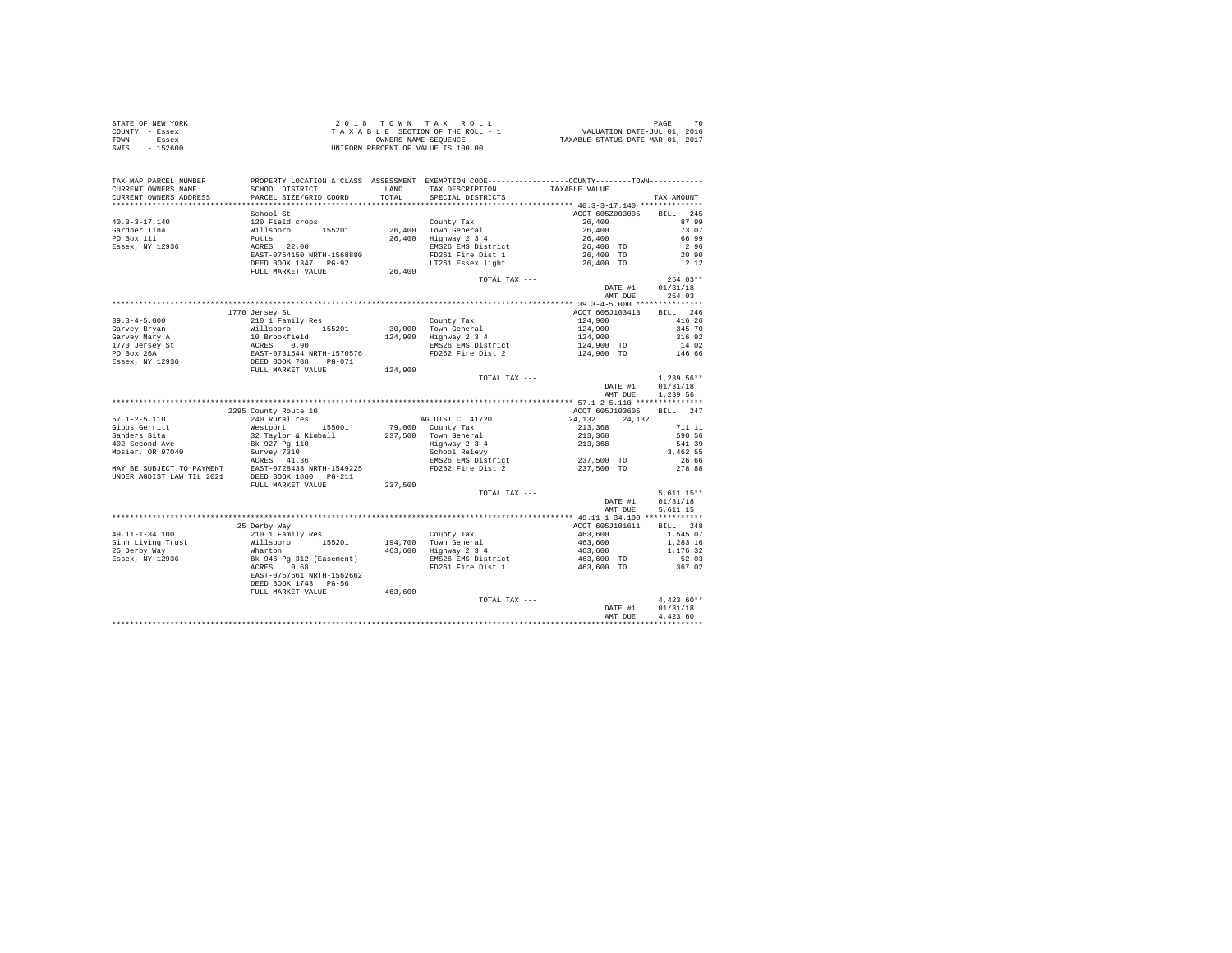| STATE OF NEW YORK | 2018 TOWN TAX ROLL                 | 70<br>PAGE                       |
|-------------------|------------------------------------|----------------------------------|
| COUNTY - Essex    | TAXABLE SECTION OF THE ROLL - 1    | VALUATION DATE-JUL 01, 2016      |
| TOWN<br>- Essex   | OWNERS NAME SEOUENCE               | TAXABLE STATUS DATE-MAR 01, 2017 |
| - 152600<br>SWIS  | UNIFORM PERCENT OF VALUE IS 100.00 |                                  |

| TAX MAP PARCEL NUMBER<br>CURRENT OWNERS NAME<br>CURRENT OWNERS ADDRESS | SCHOOL DISTRICT<br>PARCEL SIZE/GRID COORD                                                                                                       | LAND<br>TOTAL. | PROPERTY LOCATION & CLASS ASSESSMENT EXEMPTION CODE---------------COUNTY-------TOWN---------<br>TAX DESCRIPTION<br>SPECIAL DISTRICTS | TAXABLE VALUE                       | TAX AMOUNT         |
|------------------------------------------------------------------------|-------------------------------------------------------------------------------------------------------------------------------------------------|----------------|--------------------------------------------------------------------------------------------------------------------------------------|-------------------------------------|--------------------|
|                                                                        |                                                                                                                                                 |                |                                                                                                                                      |                                     |                    |
|                                                                        | School St                                                                                                                                       |                |                                                                                                                                      | ACCT 605Z003005                     | <b>BILL</b><br>245 |
| $40.3 - 3 - 17.140$                                                    | 120 Field crops<br>Willsboro 155201<br>Potts                                                                                                    |                | County Tax                                                                                                                           | 26,400                              | 87.99              |
| Gardner Tina                                                           |                                                                                                                                                 |                | 26,400 Town General                                                                                                                  | 26,400                              | 73.07              |
| PO Box 111                                                             |                                                                                                                                                 |                | 26,400 Highway 2 3 4                                                                                                                 | 26,400                              | 66.99              |
| Essex, NY 12936                                                        | ACRES 22.00                                                                                                                                     |                | EMS26 EMS District                                                                                                                   | 26,400 TO                           | 2.96               |
|                                                                        | EAST-0754150 NRTH-1568880                                                                                                                       |                | FD261 Fire Dist 1                                                                                                                    | 26,400 TO                           | 20.90              |
|                                                                        | DEED BOOK 1347 PG-92                                                                                                                            |                | LT261 Essex light                                                                                                                    | 26,400 TO                           | 2.12               |
|                                                                        | FULL MARKET VALUE                                                                                                                               | 26,400         |                                                                                                                                      |                                     |                    |
|                                                                        |                                                                                                                                                 |                | TOTAL TAX ---                                                                                                                        |                                     | $254.03**$         |
|                                                                        |                                                                                                                                                 |                |                                                                                                                                      | DATE #1                             | 01/31/18           |
|                                                                        |                                                                                                                                                 |                |                                                                                                                                      | AMT DUE                             | 254.03             |
|                                                                        |                                                                                                                                                 |                |                                                                                                                                      |                                     |                    |
|                                                                        | 1770 Jersey St                                                                                                                                  |                |                                                                                                                                      | ACCT 605J103413                     | BILL 246           |
| $39.3 - 4 - 5.000$                                                     | 210 1 Family Res                                                                                                                                |                | County Tax                                                                                                                           | 124,900                             | 416.26             |
| Garvey Bryan                                                           |                                                                                                                                                 |                | 30,000 Town General<br>124,900 Highway 2 3 4                                                                                         | 124,900                             | 345.70             |
| Garvey Mary A                                                          |                                                                                                                                                 |                |                                                                                                                                      |                                     | 316.92             |
|                                                                        |                                                                                                                                                 |                | EMS26 EMS District                                                                                                                   | 124,900<br>124,900 TO<br>124,900 TO | 14.02              |
| 1770 Jersey St<br>PO Box 26A                                           |                                                                                                                                                 |                | FD262 Fire Dist 2                                                                                                                    |                                     | 146.66             |
| Essex, NY 12936                                                        |                                                                                                                                                 |                |                                                                                                                                      |                                     |                    |
|                                                                        | x10 - Yeauxy Response<br>10 Brookfield<br>10 Brookfield<br>2CRES 0.90<br>EAST-0731544 NRTH-1570576<br>DEED BOOK 788 PG-071<br>FULL MARKET VALUE | 124,900        |                                                                                                                                      |                                     |                    |
|                                                                        |                                                                                                                                                 |                | TOTAL TAX ---                                                                                                                        |                                     | $1.239.56**$       |
|                                                                        |                                                                                                                                                 |                |                                                                                                                                      | DATE #1                             | 01/31/18           |
|                                                                        |                                                                                                                                                 |                |                                                                                                                                      | AMT DUE                             | 1,239.56           |
|                                                                        |                                                                                                                                                 |                |                                                                                                                                      |                                     |                    |
|                                                                        | 2295 County Route 10                                                                                                                            |                |                                                                                                                                      | ACCT 605J103605                     | BILL 247           |
| $57.1 - 2 - 5.110$                                                     | 240 Rural res                                                                                                                                   |                | AG DIST C 41720                                                                                                                      | 24,132<br>24.132                    |                    |
| Gibbs Gerritt                                                          | 155001                                                                                                                                          |                | 79,000 County Tax                                                                                                                    | 213,368                             | 711.11             |
| Sanders Sita                                                           |                                                                                                                                                 |                | 237,500 Town General                                                                                                                 | 213,368                             | 590.56             |
| 402 Second Ave                                                         | Westport<br>32 Taylor & Kimball<br>Bk 927 Pg 110<br>Survey 7310                                                                                 |                | Highway 2 3 4                                                                                                                        | 213,368                             | 541.39             |
| Mosier, OR 97040                                                       |                                                                                                                                                 |                | School Relevy                                                                                                                        |                                     | 3,462.55           |
|                                                                        | ACRES 41.36                                                                                                                                     |                | EMS26 EMS District                                                                                                                   | 237,500 TO                          | 26.66              |
|                                                                        |                                                                                                                                                 |                | FD262 Fire Dist 2                                                                                                                    | 237,500 TO                          | 278.88             |
|                                                                        | MAY BE SUBJECT TO PAYMENT<br>UNDER AGDIST LAW TIL 2021 DEED BOOK 1860 PG-211                                                                    |                |                                                                                                                                      |                                     |                    |
|                                                                        | FULL MARKET VALUE                                                                                                                               | 237,500        |                                                                                                                                      |                                     |                    |
|                                                                        |                                                                                                                                                 |                | TOTAL TAX ---                                                                                                                        |                                     | $5,611.15**$       |
|                                                                        |                                                                                                                                                 |                |                                                                                                                                      | DATE #1                             | 01/31/18           |
|                                                                        |                                                                                                                                                 |                |                                                                                                                                      | AMT DUE                             | 5,611.15           |
|                                                                        |                                                                                                                                                 |                |                                                                                                                                      |                                     |                    |
|                                                                        | 25 Derby Way                                                                                                                                    |                |                                                                                                                                      | ACCT 605J101611                     | BILL 248           |
| $49.11 - 1 - 34.100$                                                   | 210 1 Family Res                                                                                                                                |                | County Tax                                                                                                                           | 463,600                             | 1,545.07           |
| Ginn Living Trust                                                      | Willsboro<br>155201                                                                                                                             |                | 194.700 Town General                                                                                                                 | 463,600                             | 1,283.16           |
| 25 Derby Way                                                           | Wharton                                                                                                                                         |                | 463,600 Highway 2 3 4                                                                                                                | 463,600                             | 1,176.32           |
| Essex, NY 12936                                                        |                                                                                                                                                 |                | EMS26 EMS District                                                                                                                   | 463,600 TO                          | 52.03              |
|                                                                        | Bk 946 Pg 312 (Easement)<br>ACRES 0.68                                                                                                          |                | FD261 Fire Dist 1                                                                                                                    | 463,600 TO                          | 367.02             |
|                                                                        | EAST-0757661 NRTH-1562662                                                                                                                       |                |                                                                                                                                      |                                     |                    |
|                                                                        | DEED BOOK 1743 PG-56                                                                                                                            |                |                                                                                                                                      |                                     |                    |
|                                                                        | FULL MARKET VALUE                                                                                                                               | 463,600        |                                                                                                                                      |                                     |                    |
|                                                                        |                                                                                                                                                 |                | TOTAL TAX ---                                                                                                                        |                                     | $4.423.60**$       |
|                                                                        |                                                                                                                                                 |                |                                                                                                                                      | DATE #1                             | 01/31/18           |
|                                                                        |                                                                                                                                                 |                |                                                                                                                                      | AMT DUE                             | 4.423.60           |
|                                                                        |                                                                                                                                                 |                |                                                                                                                                      |                                     |                    |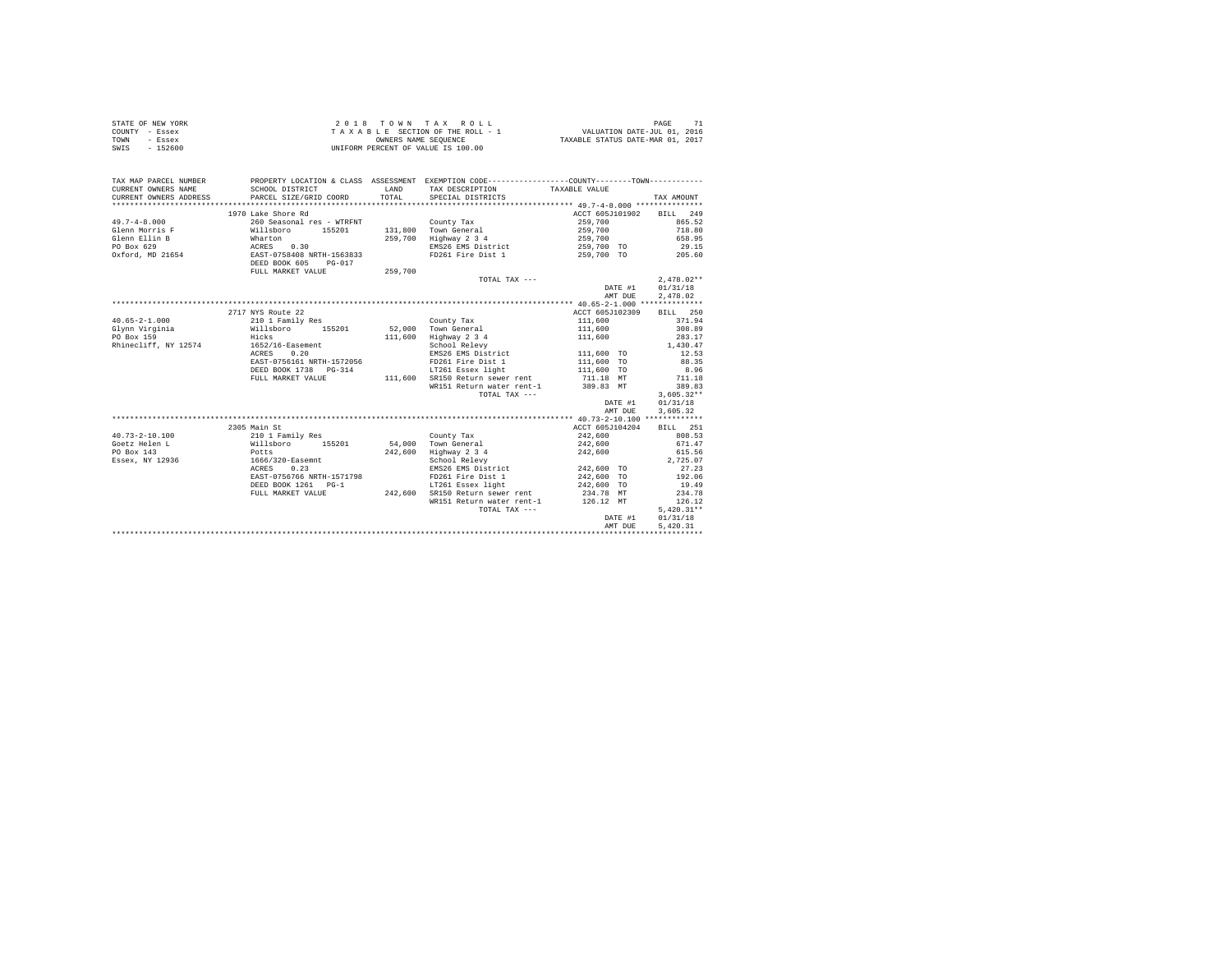| STATE OF NEW YORK | 2018 TOWN TAX ROLL                 | PAGE                             |
|-------------------|------------------------------------|----------------------------------|
| COUNTY - Essex    | TAXABLE SECTION OF THE ROLL - 1    | VALUATION DATE-JUL 01, 2016      |
| TOWN<br>- Essex   | OWNERS NAME SEOUENCE               | TAXABLE STATUS DATE-MAR 01, 2017 |
| SWIS<br>$-152600$ | UNIFORM PERCENT OF VALUE IS 100.00 |                                  |

| TAX MAP PARCEL NUMBER<br>CURRENT OWNERS NAME<br>CURRENT OWNERS ADDRESS PARCEL SIZE/GRID COORD                                                                                                   | SCHOOL DISTRICT                                                     | LAND<br>TOTAL | PROPERTY LOCATION & CLASS ASSESSMENT EXEMPTION CODE----------------COUNTY-------TOWN----------<br>TAX DESCRIPTION<br>SPECIAL DISTRICTS                                                                     | TAXABLE VALUE            | TAX AMOUNT       |
|-------------------------------------------------------------------------------------------------------------------------------------------------------------------------------------------------|---------------------------------------------------------------------|---------------|------------------------------------------------------------------------------------------------------------------------------------------------------------------------------------------------------------|--------------------------|------------------|
|                                                                                                                                                                                                 |                                                                     |               |                                                                                                                                                                                                            |                          |                  |
|                                                                                                                                                                                                 | 1970 Lake Shore Rd                                                  |               |                                                                                                                                                                                                            | ACCT 605J101902 BILL 249 |                  |
| $49.7 - 4 - 8.000$                                                                                                                                                                              | 260 Seasonal res - WTRFNT                                           |               | County Tax                                                                                                                                                                                                 | 259,700                  | 865.52           |
| Glenn Morris F Willsboro 155201                                                                                                                                                                 |                                                                     |               | 131,800 Town General 259,700                                                                                                                                                                               |                          | 718.80           |
|                                                                                                                                                                                                 |                                                                     |               | 259,700 Highway 2 3 4                                                                                                                                                                                      | 259,700<br>259,700 TO    | 658.95           |
|                                                                                                                                                                                                 |                                                                     |               | EMS26 EMS District                                                                                                                                                                                         |                          | 29.15            |
|                                                                                                                                                                                                 | DEED BOOK 605 PG-017                                                |               | FD261 Fire Dist 1 259,700 TO 205.60                                                                                                                                                                        |                          |                  |
|                                                                                                                                                                                                 | FULL MARKET VALUE                                                   | 259,700       |                                                                                                                                                                                                            |                          |                  |
|                                                                                                                                                                                                 |                                                                     |               | TOTAL TAX ---                                                                                                                                                                                              |                          | $2.478.02**$     |
|                                                                                                                                                                                                 |                                                                     |               |                                                                                                                                                                                                            | DATE #1 01/31/18         |                  |
|                                                                                                                                                                                                 |                                                                     |               |                                                                                                                                                                                                            |                          | AMT DUE 2.478.02 |
|                                                                                                                                                                                                 |                                                                     |               |                                                                                                                                                                                                            |                          |                  |
|                                                                                                                                                                                                 | 2717 NYS Route 22                                                   |               |                                                                                                                                                                                                            | ACCT 605J102309          | BILL 250         |
| $40.65 - 2 - 1.000$                                                                                                                                                                             | 210 1 Family Res County Tax<br>Willsboro 155201 52,000 Town General |               |                                                                                                                                                                                                            | 111,600<br>111,600       | 308.89           |
| Glynn Virginia                                                                                                                                                                                  |                                                                     |               |                                                                                                                                                                                                            |                          |                  |
| PO Box 159                                                                                                                                                                                      | Hicks                                                               | 111,600       | Highway 2 3 4 111,600                                                                                                                                                                                      |                          | 283.17           |
| Rhinecliff, NY 12574<br>Rhinecliff, NY 12574<br>$\frac{1652}{16}$<br>$\frac{1652}{16}$<br>$\frac{1652}{16}$<br>$\frac{1652}{16}$<br>$\frac{1652}{16}$<br>$\frac{1652}{16}$<br>$\frac{1652}{16}$ |                                                                     |               | School Relevy<br>EMS26 EMS District 111,600 TO                                                                                                                                                             |                          | 1,430.47         |
|                                                                                                                                                                                                 |                                                                     |               |                                                                                                                                                                                                            |                          | 12.53            |
|                                                                                                                                                                                                 | EAST-0756161 NRTH-1572056                                           |               | FD261 Fire Dist 1 111,600 TO                                                                                                                                                                               |                          | 88.35            |
|                                                                                                                                                                                                 |                                                                     |               | Practure cape:<br>LT261 Essex light 111,600 TO<br><p150 711.18="" mt<br="" refurn="" rent="" sewer="">DEED BOOK 1738 PG-314 LT261 Essex light<br/>FULL MARKET VALUE 111,600 SR150 Return sewer rent</p150> |                          | 8.96<br>711.18   |
|                                                                                                                                                                                                 |                                                                     |               | WR151 Return water rent-1 389.83 MT                                                                                                                                                                        |                          | 389.83           |
|                                                                                                                                                                                                 |                                                                     |               | TOTAL TAX ---                                                                                                                                                                                              |                          | $3,605.32**$     |
|                                                                                                                                                                                                 |                                                                     |               |                                                                                                                                                                                                            |                          | DATE #1 01/31/18 |
|                                                                                                                                                                                                 |                                                                     |               |                                                                                                                                                                                                            |                          | AMT DUE 3,605.32 |
|                                                                                                                                                                                                 |                                                                     |               |                                                                                                                                                                                                            |                          |                  |
|                                                                                                                                                                                                 | 2305 Main St                                                        |               |                                                                                                                                                                                                            | ACCT 605J104204 BILL 251 |                  |
| $40.73 - 2 - 10.100$                                                                                                                                                                            | 210 1 Family Res                                                    |               | County Tax                                                                                                                                                                                                 | 242,600                  | 808.53           |
| Goetz Helen L                                                                                                                                                                                   | Willsboro 155201 54,000 Town General                                |               |                                                                                                                                                                                                            | 242,600                  | 671.47           |
| PO Box 143                                                                                                                                                                                      |                                                                     | 242,600       | Highway 2 3 4                                                                                                                                                                                              | 242,600                  | 615.56           |
| Essex, NY 12936                                                                                                                                                                                 | ----<br>Potts<br>1666/320-Easemnt<br>----- 0.23                     |               | School Relevy                                                                                                                                                                                              |                          | 2,725.07         |
|                                                                                                                                                                                                 |                                                                     |               | EMS26 EMS District 242,600 TO                                                                                                                                                                              |                          | 27.23            |
|                                                                                                                                                                                                 | EAST-0756766 NRTH-1571798                                           |               |                                                                                                                                                                                                            |                          | 192.06           |
|                                                                                                                                                                                                 | DEED BOOK 1261 PG-1                                                 |               | FD261 Fire Dist 1 242,600 TO<br>LT261 Essex light 242,600 TO                                                                                                                                               |                          | 19.49            |
|                                                                                                                                                                                                 |                                                                     |               | DEED BOOK 1261 PG-1 17261 Essex light 242,600 TO<br>FULL MARKET VALUE 242,600 SR150 Return sewer rent 234.78 MT                                                                                            |                          | 234.78           |
|                                                                                                                                                                                                 |                                                                     |               | WR151 Return water rent-1 126.12 MT                                                                                                                                                                        |                          | 126.12           |
|                                                                                                                                                                                                 |                                                                     |               | TOTAL TAX ---                                                                                                                                                                                              |                          | $5,420.31**$     |
|                                                                                                                                                                                                 |                                                                     |               |                                                                                                                                                                                                            | DATE #1                  | 01/31/18         |
|                                                                                                                                                                                                 |                                                                     |               |                                                                                                                                                                                                            | AMT DUE                  | 5,420.31         |
|                                                                                                                                                                                                 |                                                                     |               |                                                                                                                                                                                                            |                          |                  |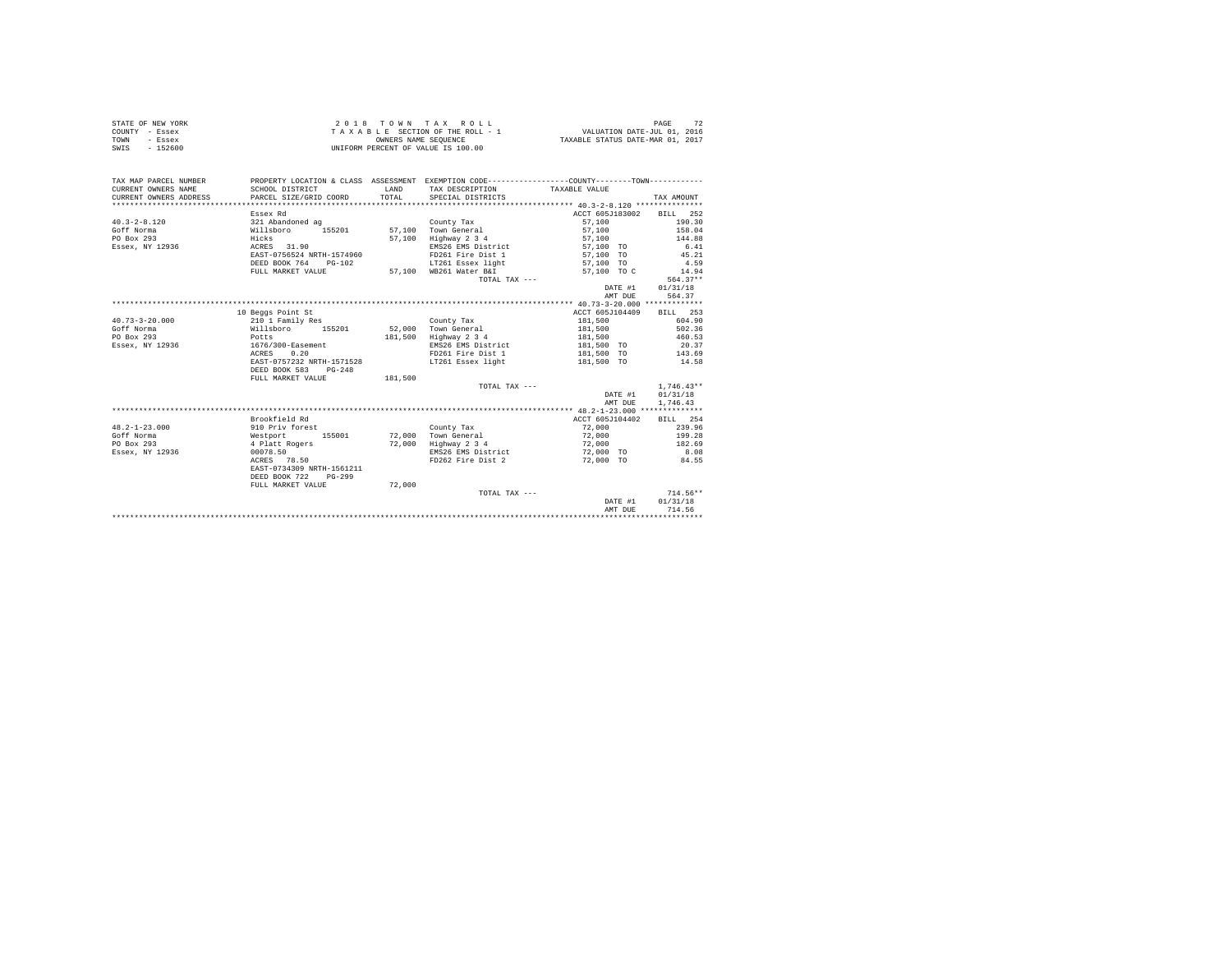| STATE OF NEW YORK | 2018 TOWN TAX ROLL                 | PAGE                             |
|-------------------|------------------------------------|----------------------------------|
| COUNTY - Essex    | TAXABLE SECTION OF THE ROLL - 1    | VALUATION DATE-JUL 01, 2016      |
| TOWN<br>- Essex   | OWNERS NAME SEOUENCE               | TAXABLE STATUS DATE-MAR 01, 2017 |
| SWIS<br>$-152600$ | UNIFORM PERCENT OF VALUE IS 100.00 |                                  |

| TAX MAP PARCEL NUMBER<br>CURRENT OWNERS NAME<br>CURRENT OWNERS ADDRESS | SCHOOL DISTRICT<br>PARCEL SIZE/GRID COORD       | LAND<br>TOTAL | PROPERTY LOCATION & CLASS ASSESSMENT EXEMPTION CODE----------------COUNTY-------TOWN----------<br>TAX DESCRIPTION TAXABLE VALUE<br>SPECIAL DISTRICTS |                          | TAX AMOUNT       |
|------------------------------------------------------------------------|-------------------------------------------------|---------------|------------------------------------------------------------------------------------------------------------------------------------------------------|--------------------------|------------------|
|                                                                        |                                                 |               |                                                                                                                                                      |                          |                  |
|                                                                        | Essex Rd                                        |               |                                                                                                                                                      | ACCT 605J183002          | BILL 252         |
| $40.3 - 2 - 8.120$                                                     | 321 Abandoned ag                                |               | County Tax                                                                                                                                           | 57,100                   | 190.30           |
| Goff Norma                                                             | Willsboro 155201                                |               | 57.100 Town General                                                                                                                                  | 57.100                   | 158.04           |
| PO Box 293                                                             | Hicks                                           | 57.100        | Highway 2 3 4                                                                                                                                        | 57,100                   | 144.88           |
| Essex, NY 12936 6 ACRES 31.90                                          |                                                 |               | EMS26 EMS District 57.100 TO                                                                                                                         |                          | 6.41             |
|                                                                        | EAST-0756524 NRTH-1574960                       |               | FD261 Fire Dist 1                                                                                                                                    | 57,100 TO                | 45.21            |
|                                                                        | DEED BOOK 764<br>PG-102                         |               | LT261 Essex light                                                                                                                                    | 57,100 TO                | 4.59             |
|                                                                        | FULL MARKET VALUE                               |               | 57,100 WB261 Water B&I                                                                                                                               | 57,100 TO C              | 14.94            |
|                                                                        |                                                 |               | TOTAL TAX ---                                                                                                                                        |                          | $564.37**$       |
|                                                                        |                                                 |               |                                                                                                                                                      | DATE #1                  | 01/31/18         |
|                                                                        |                                                 |               |                                                                                                                                                      | AMT DUR                  | 564.37           |
|                                                                        |                                                 |               |                                                                                                                                                      |                          |                  |
|                                                                        | 10 Beggs Point St                               |               |                                                                                                                                                      | ACCT 605J104409 BILL 253 |                  |
| $40.73 - 3 - 20.000$                                                   | 210 1 Family Res                                |               | County Tax                                                                                                                                           | 181,500                  | 604.90           |
| Goff Norma                                                             | Willsboro 155201 52,000 Town General            |               |                                                                                                                                                      | 181,500                  | 502.36           |
| PO Box 293                                                             | Potts                                           |               | 181,500 Highway 2 3 4                                                                                                                                | 181,500                  | 460.53           |
| Essex, NY 12936                                                        | 1676/300-Easement                               |               | EMS26 EMS District                                                                                                                                   | 181,500 TO               | 20.37            |
|                                                                        | ACRES 0.20                                      |               | FD261 Fire Dist 1 0 181.500 TO 143.69                                                                                                                |                          |                  |
|                                                                        | EAST-0757232 NRTH-1571528                       |               | LT261 Essex light 181.500 TO                                                                                                                         |                          | 14.58            |
|                                                                        | DEED BOOK 583 PG-248                            |               |                                                                                                                                                      |                          |                  |
|                                                                        | FULL MARKET VALUE                               | 181,500       |                                                                                                                                                      |                          |                  |
|                                                                        |                                                 |               | TOTAL TAX ---                                                                                                                                        |                          | $1.746.43**$     |
|                                                                        |                                                 |               |                                                                                                                                                      |                          | DATE #1 01/31/18 |
|                                                                        |                                                 |               |                                                                                                                                                      | AMT DUE                  | 1,746.43         |
|                                                                        | Brookfield Rd                                   |               |                                                                                                                                                      | ACCT 605J104402 BILL 254 |                  |
| $48.2 - 1 - 23.000$                                                    | 910 Priv forest                                 |               | County Tax                                                                                                                                           | 72,000                   | 239.96           |
| Goff Norma                                                             | Westport 155001 72,000 Town General             |               |                                                                                                                                                      | 72,000                   | 199.28           |
| PO Box 293                                                             |                                                 |               |                                                                                                                                                      | 72.000                   | 182.69           |
| Essex, NY 12936                                                        | 4 Platt Rogers 72,000 Highway 2 3 4<br>00078.50 |               | EMS26 EMS District                                                                                                                                   | 72,000 TO                | 8.08             |
|                                                                        | ACRES 78.50                                     |               | FD262 Fire Dist 2                                                                                                                                    | 72.000 TO                | 84.55            |
|                                                                        | EAST-0734309 NRTH-1561211                       |               |                                                                                                                                                      |                          |                  |
|                                                                        | DEED BOOK 722<br>PG-299                         |               |                                                                                                                                                      |                          |                  |
|                                                                        | FULL MARKET VALUE                               | 72,000        |                                                                                                                                                      |                          |                  |
|                                                                        |                                                 |               | TOTAL TAX ---                                                                                                                                        |                          | $714.56**$       |
|                                                                        |                                                 |               |                                                                                                                                                      | DATE #1                  | 01/31/18         |
|                                                                        |                                                 |               |                                                                                                                                                      | AMT DUE                  | 714.56           |
|                                                                        |                                                 |               |                                                                                                                                                      |                          |                  |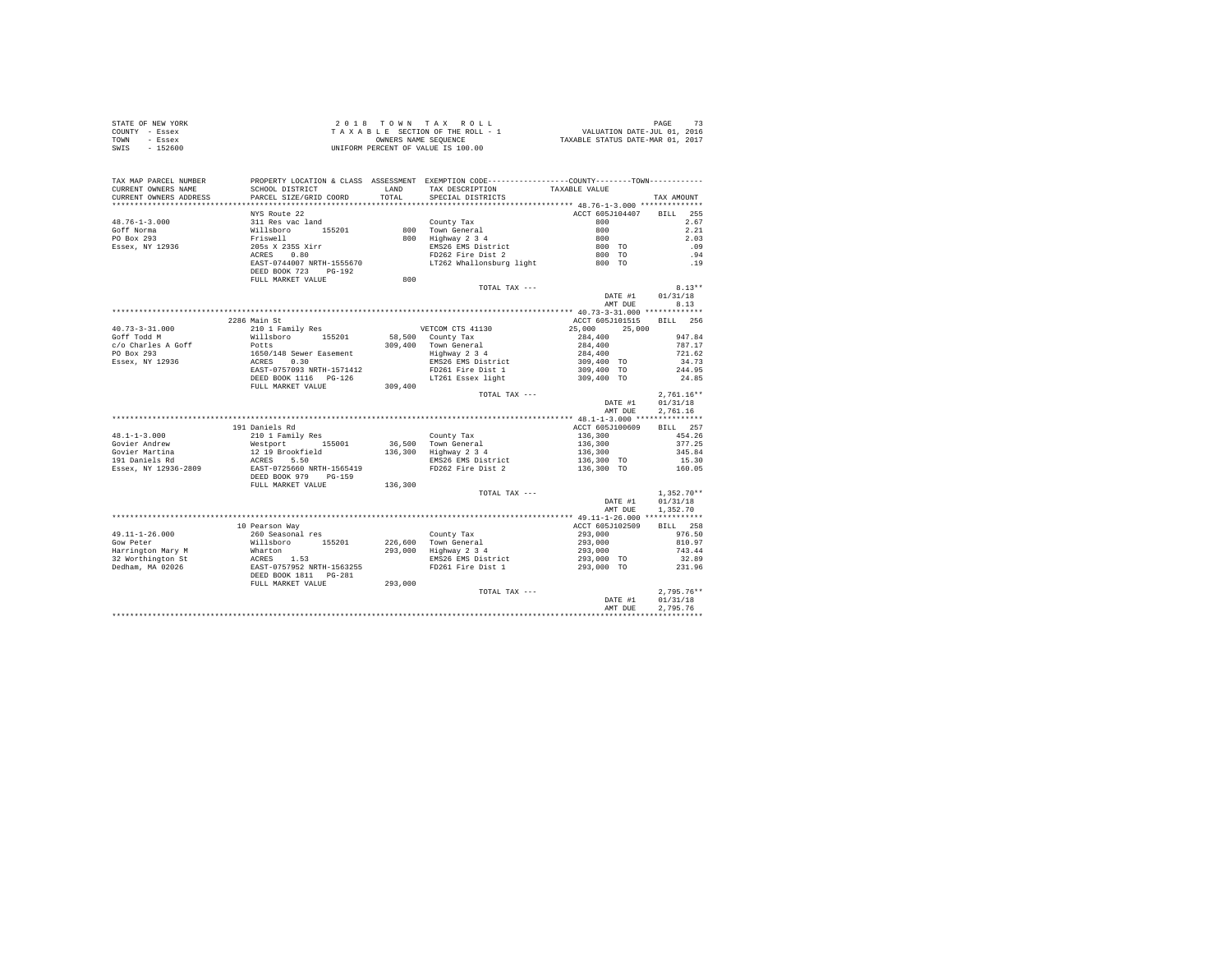| STATE OF NEW YORK<br>COUNTY - Essex<br>TOWN - Essex<br>SWIS - 152600                                                                                                                                                            | T A X A B L E SECTION OF<br>OWNERS NAME SEQUENCE<br>UNIFORM PERCENT OF VALUE IS 100.00                                          |         | $\begin{tabular}{ccccc} 2 0 1 8 & T 0 M N & T A X & R 0 L L & & & & \texttt{PAGE} & 73 \\ T A X A B L E & SECTION OF THE ROLL-1 & & & \texttt{VALUATION DATE-JUL 01, 2016 \\ & & & & \texttt{OMNEES} \texttt{NANBLE STATUS DATE-MAR 01, 2017} \\ & & & & \texttt{OMINERS NAMBLE STATUS DATE-MAR 01, 2017} \end{tabular}$ |                                                                     |                      |
|---------------------------------------------------------------------------------------------------------------------------------------------------------------------------------------------------------------------------------|---------------------------------------------------------------------------------------------------------------------------------|---------|--------------------------------------------------------------------------------------------------------------------------------------------------------------------------------------------------------------------------------------------------------------------------------------------------------------------------|---------------------------------------------------------------------|----------------------|
| TAX MAP PARCEL NUMBER                                                                                                                                                                                                           |                                                                                                                                 |         | PROPERTY LOCATION & CLASS ASSESSMENT EXEMPTION CODE----------------COUNTY-------TOWN---------                                                                                                                                                                                                                            |                                                                     |                      |
| CURRENT OWNERS NAME<br>CURRENT OWNERS ADDRESS                                                                                                                                                                                   | SCHOOL DISTRICT<br>PARCEL SIZE/GRID COORD                                                                                       | TOTAL   | LAND TAX DESCRIPTION<br>SPECIAL DISTRICTS                                                                                                                                                                                                                                                                                | TAXABLE VALUE                                                       | TAX AMOUNT           |
|                                                                                                                                                                                                                                 |                                                                                                                                 |         |                                                                                                                                                                                                                                                                                                                          |                                                                     |                      |
|                                                                                                                                                                                                                                 | NYS Route 22                                                                                                                    |         |                                                                                                                                                                                                                                                                                                                          | ACCT 605J104407 BILL 255                                            |                      |
| $48.76 - 1 - 3.000$                                                                                                                                                                                                             |                                                                                                                                 |         |                                                                                                                                                                                                                                                                                                                          | 800                                                                 | 2.67                 |
| $PQ$ Box 293                                                                                                                                                                                                                    | NIS ROUCE ZZ<br>311 Res vac land<br>Willsboro 155201<br>Friswell<br>205s X 2355 Xirr<br>ACRES 0.80<br>EAST-0744007 NRTH-1555670 |         | County Tax<br>800 Town General<br>800 Highway 2 3 4<br>800 Highway 2 3 4<br>FO262 Fire Dist 2<br>FO262 Whallonsburg light<br>LT262 Whallonsburg light                                                                                                                                                                    | 800<br>$800$<br>$800$<br>$800$ TO                                   | 2.21                 |
|                                                                                                                                                                                                                                 |                                                                                                                                 |         |                                                                                                                                                                                                                                                                                                                          |                                                                     | 2.03                 |
| Essex, NY 12936                                                                                                                                                                                                                 |                                                                                                                                 |         |                                                                                                                                                                                                                                                                                                                          |                                                                     | .09                  |
|                                                                                                                                                                                                                                 |                                                                                                                                 |         |                                                                                                                                                                                                                                                                                                                          | 800 TO                                                              | .94                  |
|                                                                                                                                                                                                                                 | EAST-0744007 NRTH-1555670<br>DEED BOOK 723 PG-192                                                                               |         |                                                                                                                                                                                                                                                                                                                          | 800 TO                                                              | .19                  |
|                                                                                                                                                                                                                                 | FULL MARKET VALUE                                                                                                               | 800     |                                                                                                                                                                                                                                                                                                                          |                                                                     |                      |
|                                                                                                                                                                                                                                 |                                                                                                                                 |         | TOTAL TAX ---                                                                                                                                                                                                                                                                                                            |                                                                     | $8.13**$             |
|                                                                                                                                                                                                                                 |                                                                                                                                 |         |                                                                                                                                                                                                                                                                                                                          |                                                                     | DATE #1 01/31/18     |
|                                                                                                                                                                                                                                 |                                                                                                                                 |         |                                                                                                                                                                                                                                                                                                                          | AMT DUE                                                             | 8.13                 |
|                                                                                                                                                                                                                                 |                                                                                                                                 |         |                                                                                                                                                                                                                                                                                                                          |                                                                     |                      |
|                                                                                                                                                                                                                                 | 2286 Main St                                                                                                                    |         |                                                                                                                                                                                                                                                                                                                          | ACCT 605J101515 BILL 256                                            |                      |
| $40.73 - 3 - 31.000$                                                                                                                                                                                                            | 210 1 Family Res                                                                                                                |         | VETCOM CTS 41130                                                                                                                                                                                                                                                                                                         | 25,000<br>25,000                                                    |                      |
| Goff Todd M                                                                                                                                                                                                                     | Willsboro 155201                                                                                                                |         | 58,500 County Tax                                                                                                                                                                                                                                                                                                        |                                                                     | 947.84               |
| c/o Charles A Goff                                                                                                                                                                                                              |                                                                                                                                 |         |                                                                                                                                                                                                                                                                                                                          |                                                                     | 787.17               |
|                                                                                                                                                                                                                                 |                                                                                                                                 |         | 309,400 Town General<br>Highway 2 3 4                                                                                                                                                                                                                                                                                    |                                                                     | 721.62               |
| PO Box 293<br>Essex, NY 12936                                                                                                                                                                                                   | Potts<br>1650/148 Sewer Easement<br>ACRES 0.30<br>2003 - 2003 - 2004 1673 110                                                   |         |                                                                                                                                                                                                                                                                                                                          |                                                                     | 34.73                |
|                                                                                                                                                                                                                                 |                                                                                                                                 |         |                                                                                                                                                                                                                                                                                                                          | $284,400$<br>$284,400$<br>$284,400$<br>$309,400$ TO<br>$309,400$ TO | 244.95               |
|                                                                                                                                                                                                                                 | EAST-0757093 NRTH-1571412<br>DEED BOOK 1116 PG-126                                                                              |         | EMS26 EMS District<br>FD261 Fire Dist 1<br>LT261 Essex light                                                                                                                                                                                                                                                             | 309,400 TO                                                          | 24.85                |
|                                                                                                                                                                                                                                 | FULL MARKET VALUE                                                                                                               | 309,400 |                                                                                                                                                                                                                                                                                                                          |                                                                     |                      |
|                                                                                                                                                                                                                                 |                                                                                                                                 |         | TOTAL TAX ---                                                                                                                                                                                                                                                                                                            |                                                                     | $2.761.16**$         |
|                                                                                                                                                                                                                                 |                                                                                                                                 |         |                                                                                                                                                                                                                                                                                                                          | DATE #1                                                             | 01/31/18             |
|                                                                                                                                                                                                                                 |                                                                                                                                 |         |                                                                                                                                                                                                                                                                                                                          | AMT DUE                                                             | 2.761.16             |
|                                                                                                                                                                                                                                 |                                                                                                                                 |         |                                                                                                                                                                                                                                                                                                                          |                                                                     |                      |
|                                                                                                                                                                                                                                 | 191 Daniels Rd                                                                                                                  |         |                                                                                                                                                                                                                                                                                                                          | ACCT 605J100609                                                     | BILL 257             |
| $48.1 - 1 - 3.000$                                                                                                                                                                                                              | 210 1 Family Res                                                                                                                |         |                                                                                                                                                                                                                                                                                                                          |                                                                     | 454.26               |
|                                                                                                                                                                                                                                 |                                                                                                                                 |         | County Tax<br>36,500 Town General<br>136,300 Highway 2 3 4                                                                                                                                                                                                                                                               |                                                                     | 377.25               |
|                                                                                                                                                                                                                                 |                                                                                                                                 |         |                                                                                                                                                                                                                                                                                                                          | $136,300$<br>$136,300$<br>$136,300$<br>$136,300$<br>$136,300$ TO    | 345.84               |
|                                                                                                                                                                                                                                 |                                                                                                                                 |         | EMS26 EMS District<br>FD262 Fire Dist 2                                                                                                                                                                                                                                                                                  | 136,300 TO                                                          | 15.30<br>160.05      |
| Govier Andrew Mestport (155001)<br>19 Daniels Rd (19 Brookfield<br>19 Daniels Rd (19 Brookfield<br>191 Daniels Rd (19256-2009)<br>1988-197256-2009 (19256-2009)<br>1988-197256-2009 (19266-2009)<br>1988-19726-2009 (1926-2009) | DEED BOOK 979 PG-159                                                                                                            |         |                                                                                                                                                                                                                                                                                                                          |                                                                     |                      |
|                                                                                                                                                                                                                                 | FULL MARKET VALUE                                                                                                               | 136,300 |                                                                                                                                                                                                                                                                                                                          |                                                                     |                      |
|                                                                                                                                                                                                                                 |                                                                                                                                 |         | TOTAL TAX ---                                                                                                                                                                                                                                                                                                            |                                                                     | $1.352.70**$         |
|                                                                                                                                                                                                                                 |                                                                                                                                 |         |                                                                                                                                                                                                                                                                                                                          | DATE #1                                                             | 01/31/18             |
|                                                                                                                                                                                                                                 |                                                                                                                                 |         |                                                                                                                                                                                                                                                                                                                          | AMT DUE                                                             | 1,352.70             |
|                                                                                                                                                                                                                                 |                                                                                                                                 |         |                                                                                                                                                                                                                                                                                                                          |                                                                     |                      |
|                                                                                                                                                                                                                                 | 10 Pearson Way                                                                                                                  |         |                                                                                                                                                                                                                                                                                                                          | ACCT 605J102509                                                     | BILL 258             |
| $49.11 - 1 - 26.000$                                                                                                                                                                                                            | 260 Seasonal res                                                                                                                |         | County Tax<br>226,600 Town General<br>293,000 Highway 2 3 4                                                                                                                                                                                                                                                              | 293,000                                                             | 976.50               |
| Gow Peter                                                                                                                                                                                                                       | Willsboro 155201                                                                                                                |         |                                                                                                                                                                                                                                                                                                                          | 293,000<br>293,000<br>293,000 TO                                    | 810.97               |
| Harrington Mary M                                                                                                                                                                                                               |                                                                                                                                 |         |                                                                                                                                                                                                                                                                                                                          |                                                                     | 743.44               |
| 32 Worthington St<br>Dedham, MA 02026                                                                                                                                                                                           |                                                                                                                                 |         | EMS26 EMS District                                                                                                                                                                                                                                                                                                       |                                                                     | 32.89                |
|                                                                                                                                                                                                                                 | whatson<br>Mharton<br>ACRES 1.53<br>EAST-0757952 NRTH-1563255<br>DEED BOOK 1811 PG-281                                          |         | FD261 Fire Dist 1                                                                                                                                                                                                                                                                                                        | 293,000 TO                                                          | 231.96               |
|                                                                                                                                                                                                                                 |                                                                                                                                 |         |                                                                                                                                                                                                                                                                                                                          |                                                                     |                      |
|                                                                                                                                                                                                                                 | FULL MARKET VALUE 293,000                                                                                                       |         |                                                                                                                                                                                                                                                                                                                          |                                                                     |                      |
|                                                                                                                                                                                                                                 |                                                                                                                                 |         | TOTAL TAX ---                                                                                                                                                                                                                                                                                                            |                                                                     | $2.795.76**$         |
|                                                                                                                                                                                                                                 |                                                                                                                                 |         |                                                                                                                                                                                                                                                                                                                          | DATE #1<br>AMT DUE                                                  | 01/31/18<br>2.795.76 |
|                                                                                                                                                                                                                                 |                                                                                                                                 |         |                                                                                                                                                                                                                                                                                                                          |                                                                     |                      |
|                                                                                                                                                                                                                                 |                                                                                                                                 |         |                                                                                                                                                                                                                                                                                                                          |                                                                     |                      |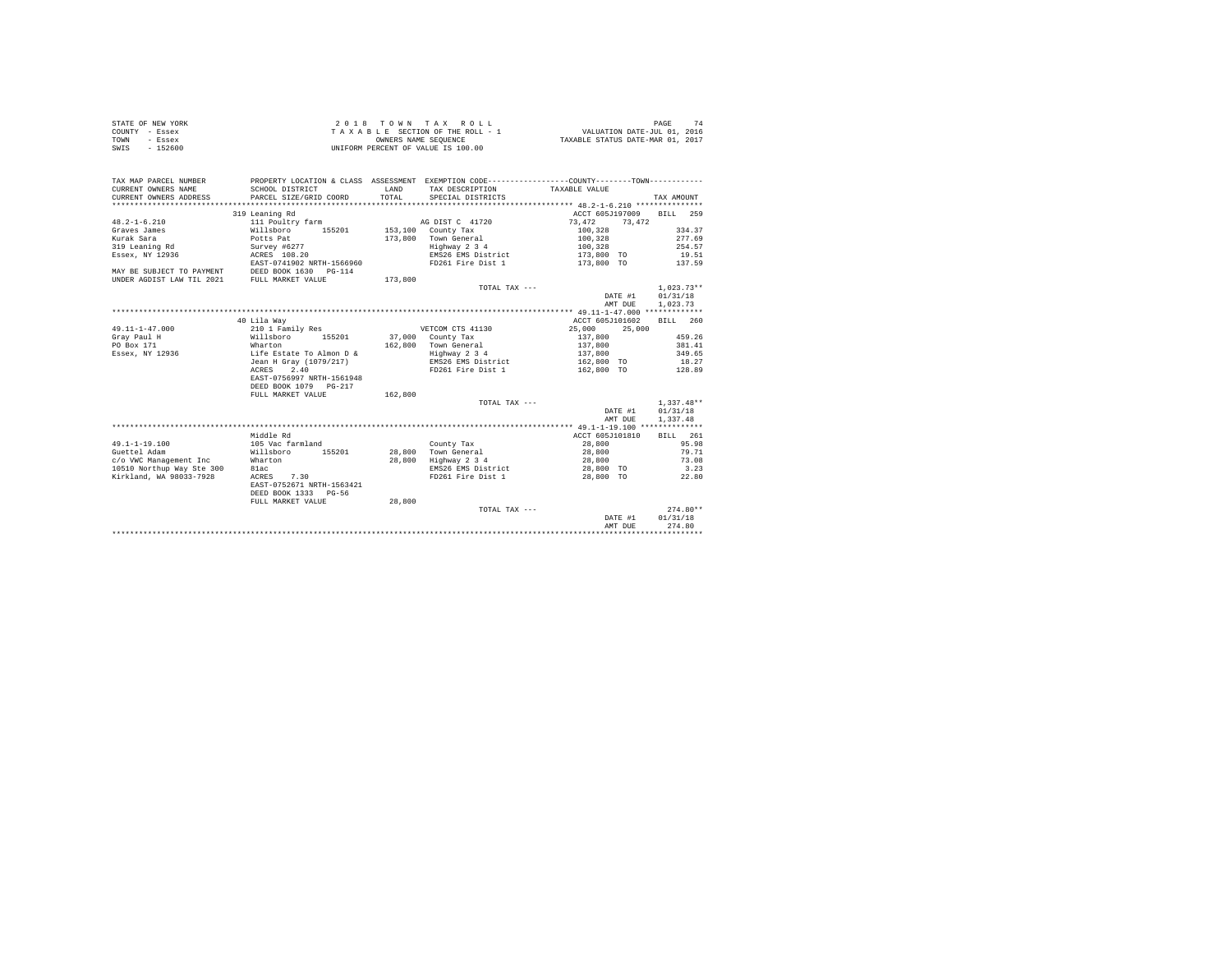| STATE OF NEW YORK | 2018 TOWN TAX ROLL                 | 74<br>PAGE                       |
|-------------------|------------------------------------|----------------------------------|
| COUNTY - Essex    | TAXABLE SECTION OF THE ROLL - 1    | VALUATION DATE-JUL 01, 2016      |
| TOWN<br>- Essex   | OWNERS NAME SEOUENCE               | TAXABLE STATUS DATE-MAR 01, 2017 |
| $-152600$<br>SWIS | UNIFORM PERCENT OF VALUE IS 100.00 |                                  |

| TAX MAP PARCEL NUMBER<br>CURRENT OWNERS NAME<br>CURRENT OWNERS ADDRESS | SCHOOL DISTRICT<br>PARCEL SIZE/GRID COORD | LAND<br>TOTAL. | PROPERTY LOCATION & CLASS ASSESSMENT EXEMPTION CODE---------------COUNTY-------TOWN----------<br>TAX DESCRIPTION<br>SPECIAL DISTRICTS | TAXABLE VALUE    | TAX AMOUNT         |
|------------------------------------------------------------------------|-------------------------------------------|----------------|---------------------------------------------------------------------------------------------------------------------------------------|------------------|--------------------|
|                                                                        | 319 Leaning Rd                            |                |                                                                                                                                       | ACCT 605J197009  | <b>BILL</b><br>259 |
| $48.2 - 1 - 6.210$                                                     | 111 Poultry farm                          |                | AG DIST C 41720                                                                                                                       | 73.472<br>73.472 |                    |
| Graves James                                                           | Willsboro<br>155201                       |                | 153,100 County Tax                                                                                                                    | 100.328          | 334.37             |
| Kurak Sara                                                             | Potts Pat                                 | 173,800        | Town General                                                                                                                          | 100,328          | 277.69             |
| 319 Leaning Rd                                                         | Survey #6277                              |                | Highway 2 3 4                                                                                                                         | 100.328          | 254.57             |
| Essex, NY 12936                                                        | ACRES 108.20                              |                | EMS26 EMS District                                                                                                                    | 173,800 TO       | 19.51              |
|                                                                        | EAST-0741902 NRTH-1566960                 |                | FD261 Fire Dist 1                                                                                                                     | 173,800 TO       | 137.59             |
| MAY BE SUBJECT TO PAYMENT                                              | DEED BOOK 1630 PG-114                     |                |                                                                                                                                       |                  |                    |
| UNDER AGDIST LAW TIL 2021                                              | FULL MARKET VALUE                         | 173,800        |                                                                                                                                       |                  |                    |
|                                                                        |                                           |                |                                                                                                                                       |                  | $1.023.73**$       |
|                                                                        |                                           |                | TOTAL TAX ---                                                                                                                         |                  | 01/31/18           |
|                                                                        |                                           |                |                                                                                                                                       | DATE #1          |                    |
|                                                                        |                                           |                |                                                                                                                                       | AMT DUE          | 1,023.73           |
|                                                                        |                                           |                |                                                                                                                                       |                  |                    |
|                                                                        | 40 Lila Wav                               |                |                                                                                                                                       | ACCT 605J101602  | BILL 260           |
| $49.11 - 1 - 47.000$                                                   | 210 1 Family Res                          |                | VETCOM CTS 41130                                                                                                                      | 25,000<br>25,000 |                    |
| Gray Paul H                                                            | Willsboro<br>155201                       |                | 37,000 County Tax                                                                                                                     | 137.800          | 459.26             |
| PO Box 171                                                             | Wharton                                   | 162,800        | Town General                                                                                                                          | 137,800          | 381.41             |
| Essex, NY 12936                                                        | Life Estate To Almon D &                  |                | Highway 2 3 4                                                                                                                         | 137,800          | 349.65             |
|                                                                        | Jean H Gray (1079/217)                    |                | EMS26 EMS District                                                                                                                    | 162,800 TO       | 18.27              |
|                                                                        | 2.40<br>ACRES                             |                | FD261 Fire Dist 1                                                                                                                     | 162,800 TO       | 128.89             |
|                                                                        | EAST-0756997 NRTH-1561948                 |                |                                                                                                                                       |                  |                    |
|                                                                        | DEED BOOK 1079 PG-217                     |                |                                                                                                                                       |                  |                    |
|                                                                        | FULL MARKET VALUE                         | 162,800        |                                                                                                                                       |                  |                    |
|                                                                        |                                           |                | TOTAL TAX ---                                                                                                                         |                  | $1.337.48**$       |
|                                                                        |                                           |                |                                                                                                                                       | DATE #1          | 01/31/18           |
|                                                                        |                                           |                |                                                                                                                                       | AMT DUE          | 1,337.48           |
|                                                                        |                                           |                |                                                                                                                                       |                  |                    |
|                                                                        | Middle Rd                                 |                |                                                                                                                                       | ACCT 605J101810  | BILL 261           |
| $49.1 - 1 - 19.100$                                                    | 105 Vac farmland                          |                | County Tax                                                                                                                            | 28,800           | 95.98              |
| Guettel Adam                                                           | Willsboro<br>155201                       | 28,800         | Town General                                                                                                                          | 28,800           | 79.71              |
| c/o VWC Management Inc                                                 | Wharton                                   | 28,800         | Highway 2 3 4                                                                                                                         | 28,800           | 73.08              |
| 10510 Northup Way Ste 300                                              | 81ac                                      |                | EMS26 EMS District                                                                                                                    | 28,800 TO        | 3.23               |
| Kirkland, WA 98033-7928                                                | ACRES<br>7.30                             |                | FD261 Fire Dist 1                                                                                                                     | 28,800 TO        | 22.80              |
|                                                                        | EAST-0752671 NRTH-1563421                 |                |                                                                                                                                       |                  |                    |
|                                                                        | DEED BOOK 1333 PG-56                      |                |                                                                                                                                       |                  |                    |
|                                                                        | FULL MARKET VALUE                         | 28,800         |                                                                                                                                       |                  |                    |
|                                                                        |                                           |                | TOTAL TAX ---                                                                                                                         |                  | $274.80**$         |
|                                                                        |                                           |                |                                                                                                                                       | DATE #1          | 01/31/18           |
|                                                                        |                                           |                |                                                                                                                                       | AMT DUE          | 274.80             |
|                                                                        |                                           |                |                                                                                                                                       |                  |                    |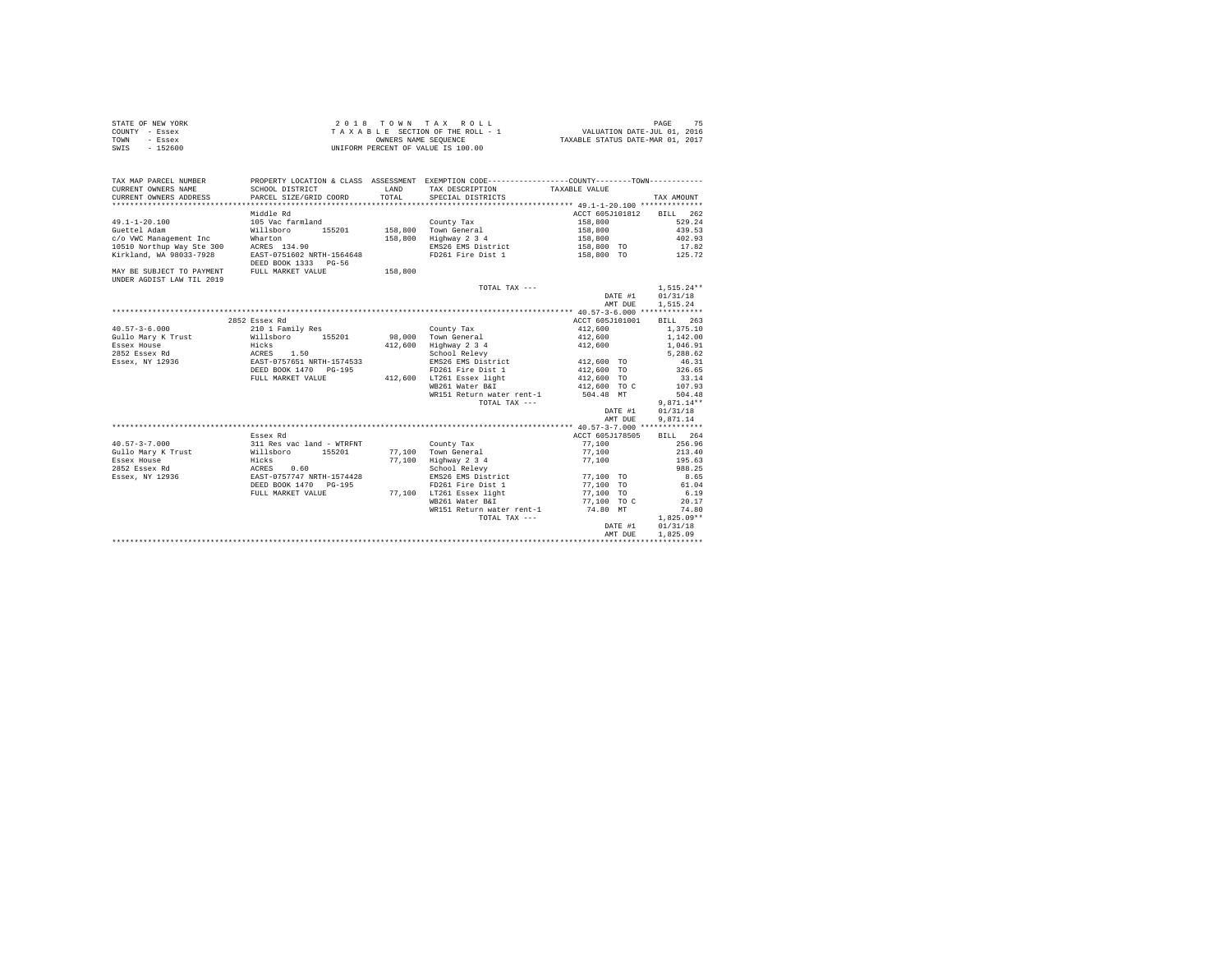|      | STATE OF NEW YORK | 2018 TOWN TAX ROLL                 |                                  | PAGE |  |
|------|-------------------|------------------------------------|----------------------------------|------|--|
|      | COUNTY - Essex    | TAXABLE SECTION OF THE ROLL - 1    | VALUATION DATE-JUL 01, 2016      |      |  |
| TOWN | - Essex           | OWNERS NAME SEOUENCE               | TAXABLE STATUS DATE-MAR 01, 2017 |      |  |
| SWIS | $-152600$         | UNIFORM PERCENT OF VALUE IS 100.00 |                                  |      |  |

| TAX MAP PARCEL NUMBER                            |                                                                     |         | PROPERTY LOCATION & CLASS ASSESSMENT EXEMPTION CODE----------------COUNTY-------TOWN---------- |                          |                  |
|--------------------------------------------------|---------------------------------------------------------------------|---------|------------------------------------------------------------------------------------------------|--------------------------|------------------|
| CURRENT OWNERS NAME                              | SCHOOL DISTRICT                                                     | LAND    | TAX DESCRIPTION TAXABLE VALUE                                                                  |                          |                  |
| CURRENT OWNERS ADDRESS PARCEL SIZE/GRID COORD    |                                                                     | TOTAL   | SPECIAL DISTRICTS                                                                              |                          | TAX AMOUNT       |
|                                                  | Middle Rd                                                           |         |                                                                                                | ACCT 605J101812 BILL 262 |                  |
| $49.1 - 1 - 20.100$                              | 105 Vac farmland                                                    |         | County Tax                                                                                     | 158,800                  | 529.24           |
| Guettel Adam                                     | Willsboro 155201                                                    |         | 158.800 Town General                                                                           | 158,800                  | 439.53           |
| c/o VWC Management Inc                           | Wharton                                                             |         | 158,800 Highway 2 3 4                                                                          | 158,800                  | 402.93           |
| 10510 Northup Way Ste 300 ACRES 134.90           |                                                                     |         | EMS26 EMS District                                                                             | 158,800 TO               | 17.82            |
| Kirkland, WA 98033-7928                          | EAST-0751602 NRTH-1564648                                           |         | FD261 Fire Dist 1                                                                              | 158,800 TO               | 125.72           |
|                                                  | DEED BOOK 1333 PG-56                                                |         |                                                                                                |                          |                  |
| MAY BE SUBJECT TO PAYMENT FULL MARKET VALUE      |                                                                     | 158,800 |                                                                                                |                          |                  |
| UNDER AGDIST LAW TIL 2019                        |                                                                     |         |                                                                                                |                          |                  |
|                                                  |                                                                     |         | TOTAL TAX ---                                                                                  |                          | $1.515.24**$     |
|                                                  |                                                                     |         |                                                                                                | DATE #1                  | 01/31/18         |
|                                                  |                                                                     |         |                                                                                                | AMT DUE                  | 1,515.24         |
|                                                  |                                                                     |         |                                                                                                |                          |                  |
|                                                  | 2852 Essex Rd                                                       |         |                                                                                                | ACCT 605J101001          | BILL 263         |
| $40.57 - 3 - 6.000$                              | 210 1 Family Res                                                    |         | County Tax                                                                                     | 412,600                  | 1,375.10         |
|                                                  | Gullo Mary K Trust <b>1988</b> Willsboro 155201 98,000 Town General |         |                                                                                                | 412.600 1.142.00         |                  |
| Essex House                                      | Hicks<br>ACRES 1.50                                                 |         | 412,600 Highway 2 3 4                                                                          | 412,600                  | 1,046.91         |
| 2852 Essex Rd                                    |                                                                     |         | School Relevy                                                                                  |                          | 5,288.62         |
|                                                  | Essex, NY 12936 EAST-0757651 NRTH-1574533                           |         | EMS26 EMS District 412.600 TO                                                                  |                          | 46.31            |
|                                                  | DEED BOOK 1470 PG-195                                               |         | FD261 Fire Dist 1                                                                              | 412,600 TO               | 326.65           |
|                                                  | FULL MARKET VALUE                                                   |         | 412,600 LT261 Essex light                                                                      | 412,600 TO               | 33.14            |
|                                                  |                                                                     |         | WB261 Water B&I                                                                                | 412,600 TO C             | 107.93           |
|                                                  |                                                                     |         | WR151 Return water rent-1                                                                      | 504.48 MT                | 504.48           |
|                                                  |                                                                     |         | TOTAL TAX ---                                                                                  |                          | $9,871.14**$     |
|                                                  |                                                                     |         |                                                                                                | DATE #1                  | 01/31/18         |
|                                                  |                                                                     |         |                                                                                                | AMT DUE                  | 9,871.14         |
|                                                  |                                                                     |         |                                                                                                |                          |                  |
|                                                  | Essex Rd                                                            |         |                                                                                                | ACCT 605J178505          | BILL 264         |
| $40.57 - 3 - 7.000$                              | 311 Res vac land - WTRFNT<br>Willsboro 155201                       |         | County Tax                                                                                     | 77,100                   | 256.96<br>213.40 |
| Gullo Mary K Trust<br>Theory House (Hicks) Hicks |                                                                     | 77,100  | 77,100 Town General                                                                            | 77,100<br>77,100         |                  |
|                                                  |                                                                     |         | Highway 2 3 4                                                                                  |                          | 195.63           |
| 2852 Essex Rd                                    | ACRES 0.60<br>EAST-0757747 NRTH-1574428                             |         | School Relevy<br>EMS26 EMS District                                                            | 77,100 TO                | 988.25<br>8.65   |
| Essex, NY 12936                                  | DEED BOOK 1470 PG-195                                               |         | FD261 Fire Dist 1                                                                              | 77.100 TO 61.04          |                  |
|                                                  | FULL MARKET VALUE                                                   |         | 77,100 LT261 Essex light                                                                       | 77,100 TO                | 6.19             |
|                                                  |                                                                     |         | WB261 Water B&I                                                                                | 77.100 TO C              | 20.17            |
|                                                  |                                                                     |         | WR151 Return water rent-1 74.80 MT                                                             |                          | 74.80            |
|                                                  |                                                                     |         | TOTAL TAX ---                                                                                  |                          | $1.825.09**$     |
|                                                  |                                                                     |         |                                                                                                | DATE #1                  | 01/31/18         |
|                                                  |                                                                     |         |                                                                                                | AMT DUE                  | 1,825.09         |
|                                                  |                                                                     |         |                                                                                                |                          |                  |
|                                                  |                                                                     |         |                                                                                                |                          |                  |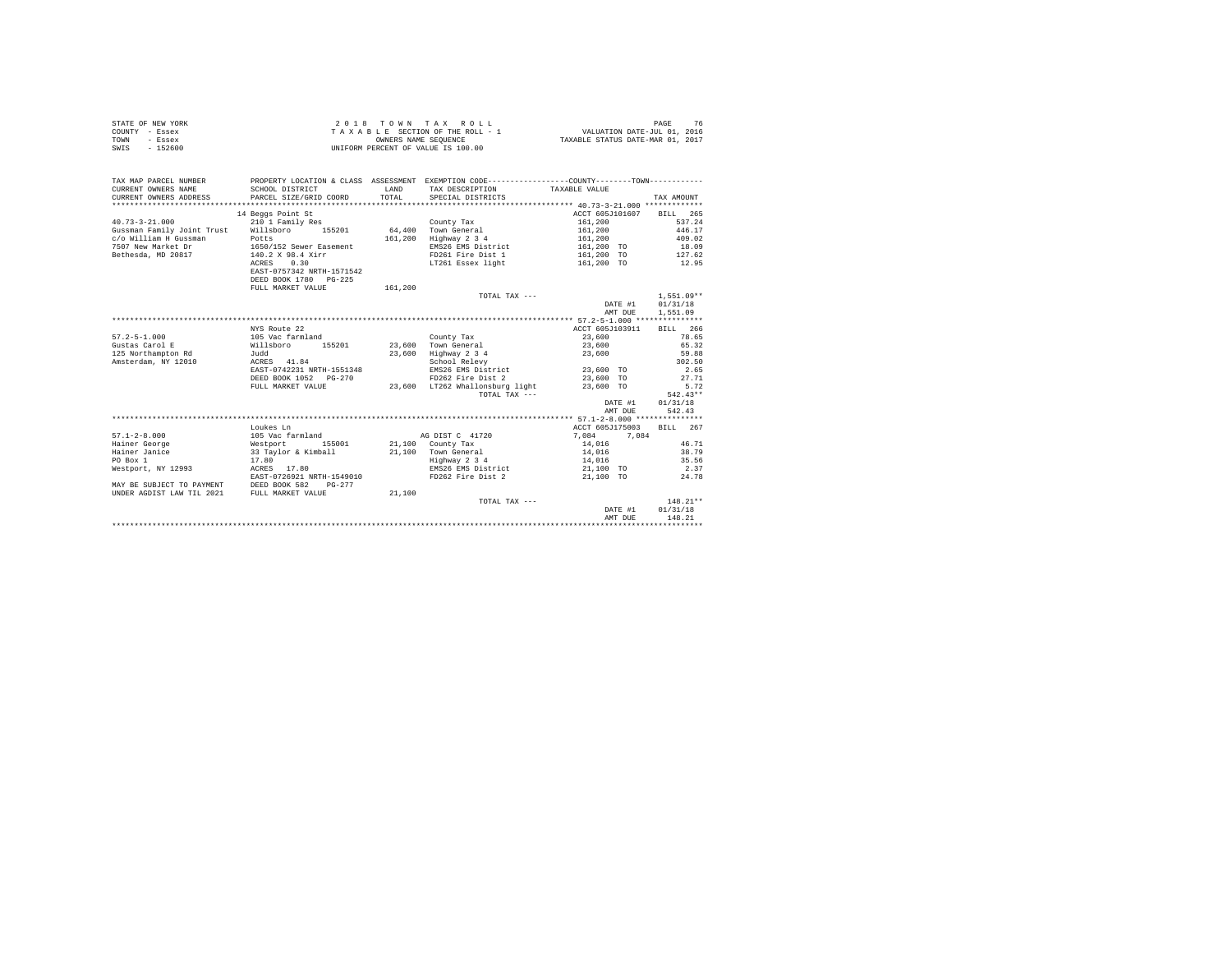|                | STATE OF NEW YORK | 2018 TOWN TAX ROLL                 | PAGE                             |
|----------------|-------------------|------------------------------------|----------------------------------|
| COUNTY - Essex |                   | TAXABLE SECTION OF THE ROLL - 1    | VALUATION DATE-JUL 01, 2016      |
| TOWN           | - Essex           | OWNERS NAME SEOUENCE               | TAXABLE STATUS DATE-MAR 01, 2017 |
| SWIS           | $-152600$         | UNIFORM PERCENT OF VALUE IS 100.00 |                                  |

| TAX MAP PARCEL NUMBER<br>CURRENT OWNERS NAME<br>CURRENT OWNERS ADDRESS | SCHOOL DISTRICT<br>PARCEL SIZE/GRID COORD | <b>T.AND</b><br>TOTAL | PROPERTY LOCATION & CLASS ASSESSMENT EXEMPTION CODE----------------COUNTY-------TOWN----------<br>TAX DESCRIPTION TAXABLE VALUE<br>SPECIAL DISTRICTS |                 | TAX AMOUNT   |
|------------------------------------------------------------------------|-------------------------------------------|-----------------------|------------------------------------------------------------------------------------------------------------------------------------------------------|-----------------|--------------|
|                                                                        | 14 Beggs Point St                         |                       |                                                                                                                                                      | ACCT 605J101607 | BILL 265     |
| $40.73 - 3 - 21.000$                                                   | 210 1 Family Res                          |                       | County Tax                                                                                                                                           | 161,200         | 537.24       |
| Gussman Family Joint Trust Willsboro 155201                            |                                           |                       | 64,400 Town General                                                                                                                                  | 161,200         | 446.17       |
| c/o William H Gussman                                                  | Potts                                     | 161,200               | Highway 2 3 4                                                                                                                                        | 161,200         | 409.02       |
| 7507 New Market Dr                                                     | 1650/152 Sewer Easement                   |                       | EMS26 EMS District                                                                                                                                   | 161,200 TO      | 18.09        |
| Bethesda, MD 20817                                                     | 140.2 X 98.4 Xirr                         |                       | FD261 Fire Dist 1                                                                                                                                    | 161,200 TO      | 127.62       |
|                                                                        | ACRES 0.30                                |                       | LT261 Essex light                                                                                                                                    | 161,200 TO      | 12.95        |
|                                                                        | EAST-0757342 NRTH-1571542                 |                       |                                                                                                                                                      |                 |              |
|                                                                        | DEED BOOK 1780 PG-225                     |                       |                                                                                                                                                      |                 |              |
|                                                                        |                                           |                       |                                                                                                                                                      |                 |              |
|                                                                        | FULL MARKET VALUE                         | 161,200               |                                                                                                                                                      |                 | $1.551.09**$ |
|                                                                        |                                           |                       | TOTAL TAX ---                                                                                                                                        |                 |              |
|                                                                        |                                           |                       |                                                                                                                                                      | DATE #1         | 01/31/18     |
|                                                                        |                                           |                       |                                                                                                                                                      | AMT DUE         | 1,551.09     |
|                                                                        |                                           |                       |                                                                                                                                                      |                 |              |
|                                                                        | NYS Route 22                              |                       |                                                                                                                                                      | ACCT 605J103911 | BILL 266     |
| $57.2 - 5 - 1.000$                                                     | 105 Vac farmland                          |                       | County Tax                                                                                                                                           | 23,600          | 78.65        |
| Gustas Carol E                                                         | Willsboro 155201                          |                       | 23.600 Town General                                                                                                                                  | 23,600          | 65.32        |
| 125 Northampton Rd                                                     | Judd                                      | 23,600                | Highway 2 3 4                                                                                                                                        | 23,600          | 59.88        |
| Amsterdam, NY 12010                                                    | ACRES 41.84                               |                       | School Relevy                                                                                                                                        |                 | 302.50       |
|                                                                        | EAST-0742231 NRTH-1551348                 |                       | EMS26 EMS District                                                                                                                                   | 23,600 TO       | 2.65         |
|                                                                        | DEED BOOK 1052 PG-270                     |                       | FD262 Fire Dist 2                                                                                                                                    | 23,600 TO       | 27.71        |
|                                                                        | FULL MARKET VALUE                         |                       | 23,600 LT262 Whallonsburg light                                                                                                                      | 23,600 TO       | 5.72         |
|                                                                        |                                           |                       | TOTAL TAX ---                                                                                                                                        |                 | $542.43**$   |
|                                                                        |                                           |                       |                                                                                                                                                      | DATE #1         | 01/31/18     |
|                                                                        |                                           |                       |                                                                                                                                                      | AMT DUE         | 542.43       |
|                                                                        |                                           |                       |                                                                                                                                                      |                 |              |
|                                                                        | Loukes Ln                                 |                       |                                                                                                                                                      | ACCT 605J175003 | BILL 267     |
| $57.1 - 2 - 8.000$                                                     | 105 Vac farmland                          |                       | AG DIST C 41720                                                                                                                                      | 7.084<br>7.084  |              |
| Hainer George                                                          | Westport<br>155001                        |                       | $21,100$ County Tax                                                                                                                                  | 14,016          | 46.71        |
| Hainer Janice                                                          | 33 Taylor & Kimball                       |                       | 21.100 Town General                                                                                                                                  | 14,016          | 38.79        |
| PO Box 1                                                               | 17.80                                     |                       | Highway 2 3 4                                                                                                                                        | 14,016          | 35.56        |
| Westport, NY 12993                                                     | ACRES 17.80                               |                       | EMS26 EMS District                                                                                                                                   | 21,100 TO       | 2.37         |
|                                                                        | EAST-0726921 NRTH-1549010                 |                       | FD262 Fire Dist 2                                                                                                                                    | 21,100 TO       | 24.78        |
| MAY BE SUBJECT TO PAYMENT DEED BOOK 582                                | $PG-277$                                  |                       |                                                                                                                                                      |                 |              |
| UNDER AGDIST LAW TIL 2021 FULL MARKET VALUE                            |                                           | 21,100                |                                                                                                                                                      |                 |              |
|                                                                        |                                           |                       | TOTAL TAX ---                                                                                                                                        |                 | $148.21**$   |
|                                                                        |                                           |                       |                                                                                                                                                      | DATE #1         | 01/31/18     |
|                                                                        |                                           |                       |                                                                                                                                                      | AMT DUE         | 148.21       |
|                                                                        |                                           |                       |                                                                                                                                                      |                 |              |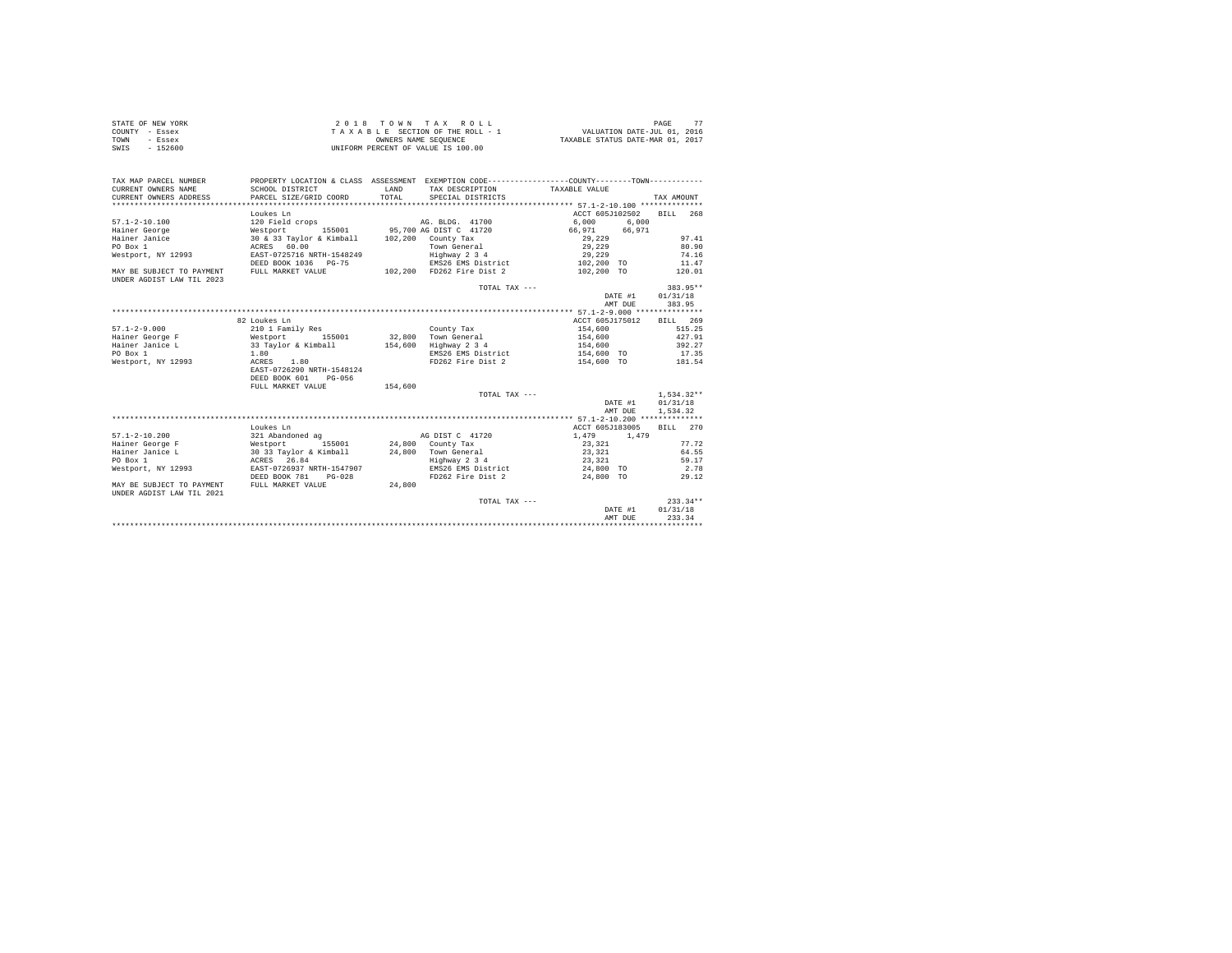| STATE OF NEW YORK | 2018 TOWN TAX ROLL                 | PAGE                             |
|-------------------|------------------------------------|----------------------------------|
| COUNTY - Essex    | TAXABLE SECTION OF THE ROLL - 1    | VALUATION DATE-JUL 01, 2016      |
| TOWN<br>- Essex   | OWNERS NAME SEOUENCE               | TAXABLE STATUS DATE-MAR 01, 2017 |
| $-152600$<br>SWIS | UNIFORM PERCENT OF VALUE IS 100.00 |                                  |

| PROPERTY LOCATION & CLASS ASSESSMENT EXEMPTION CODE----------------COUNTY--------TOWN----------<br>TAX MAP PARCEL NUMBER |              |
|--------------------------------------------------------------------------------------------------------------------------|--------------|
| CURRENT OWNERS NAME<br><b>T.AND</b><br>TAX DESCRIPTION TAXABLE VALUE<br>SCHOOL DISTRICT                                  |              |
| TOTAL<br>CURRENT OWNERS ADDRESS<br>PARCEL SIZE/GRID COORD<br>SPECIAL DISTRICTS                                           | TAX AMOUNT   |
|                                                                                                                          |              |
| ACCT 605J102502<br>Loukes Ln                                                                                             | BILL 268     |
| 6.000<br>6.000<br>$57.1 - 2 - 10.100$<br>120 Field crops<br>AG. BLDG. 41700                                              |              |
| Westport 155001 95,700 AG DIST C 41720<br>66.971 66.971<br>Hainer George                                                 |              |
| 30 & 33 Taylor & Kimball 102,200 County Tax<br>Hainer Janice<br>29,229                                                   | 97.41        |
| PO Box 1<br>ACRES 60.00<br>Town General<br>29,229                                                                        | 80.90        |
| EAST-0725716 NRTH-1548249<br>Highway 2 3 4<br>Westport, NY 12993<br>29,229                                               | 74.16        |
| 102,200 TO<br>DEED BOOK 1036 PG-75<br>EMS26 EMS District                                                                 | 11.47        |
| FULL MARKET VALUE<br>MAY BE SUBJECT TO PAYMENT<br>102.200 FD262 Fire Dist 2<br>102,200 TO                                | 120.01       |
| UNDER AGDIST LAW TIL 2023                                                                                                |              |
| TOTAL TAX ---                                                                                                            | 383.95**     |
| DATE #1                                                                                                                  | 01/31/18     |
| AMT DUE                                                                                                                  | 383.95       |
|                                                                                                                          |              |
| 82 Loukes Ln<br>ACCT 605J175012                                                                                          | BILL 269     |
| $57.1 - 2 - 9.000$<br>210 1 Family Res<br>154,600<br>County Tax                                                          | 515.25       |
| 32.800 Town General<br>Westport 155001<br>33 Taylor & Kimball<br>1.80<br>154,600<br>Hainer George F                      | 427.91       |
| Hainer Janice L<br>154,600 Highway 2 3 4<br>154,600                                                                      | 392.27       |
| 154,600 TO<br>EMS26 EMS District<br>PO Box 1                                                                             | 17.35        |
| Westport, NY 12993<br>1.80<br>FD262 Fire Dist 2 154,600 TO 181.54<br>ACRES                                               |              |
| EAST-0726290 NRTH-1548124                                                                                                |              |
| DEED BOOK 601<br>$PG-0.56$                                                                                               |              |
| 154,600<br>FULL MARKET VALUE                                                                                             |              |
| TOTAL TAX ---                                                                                                            | $1.534.32**$ |
| DATE #1                                                                                                                  | 01/31/18     |
| AMT DUE                                                                                                                  | 1,534.32     |
|                                                                                                                          |              |
| Loukes Ln<br>ACCT 605J183005                                                                                             | BILL 270     |
| 1,479<br>$57.1 - 2 - 10.200$<br>321 Abandoned ag<br>AG DIST C 41720<br>1,479                                             |              |
| Westport<br>24,800 County Tax<br>Hainer George F<br>23,321<br>155001                                                     | 77.72        |
| 30 33 Taylor & Kimball 24,800 Town General<br>Hainer Janice L<br>23,321                                                  | 64.55        |
| PO Box 1<br>ACRES 26.84<br>Highway 2 3 4<br>23,321                                                                       | 59.17        |
| Westport, NY 12993<br>EAST-0726937 NRTH-1547907<br>EMS26 EMS District<br>24,800 TO                                       | 2.78         |
| FD262 Fire Dist 2<br>DEED BOOK 781<br>$PG-0.28$<br>24,800 TO                                                             | 29.12        |
| 24,800<br>FULL MARKET VALUE<br>MAY BE SUBJECT TO PAYMENT                                                                 |              |
| UNDER AGDIST LAW TIL 2021                                                                                                |              |
| TOTAL TAX ---                                                                                                            | $233.34**$   |
| DATE #1                                                                                                                  | 01/31/18     |
| AMT DUE                                                                                                                  | 233.34       |
|                                                                                                                          |              |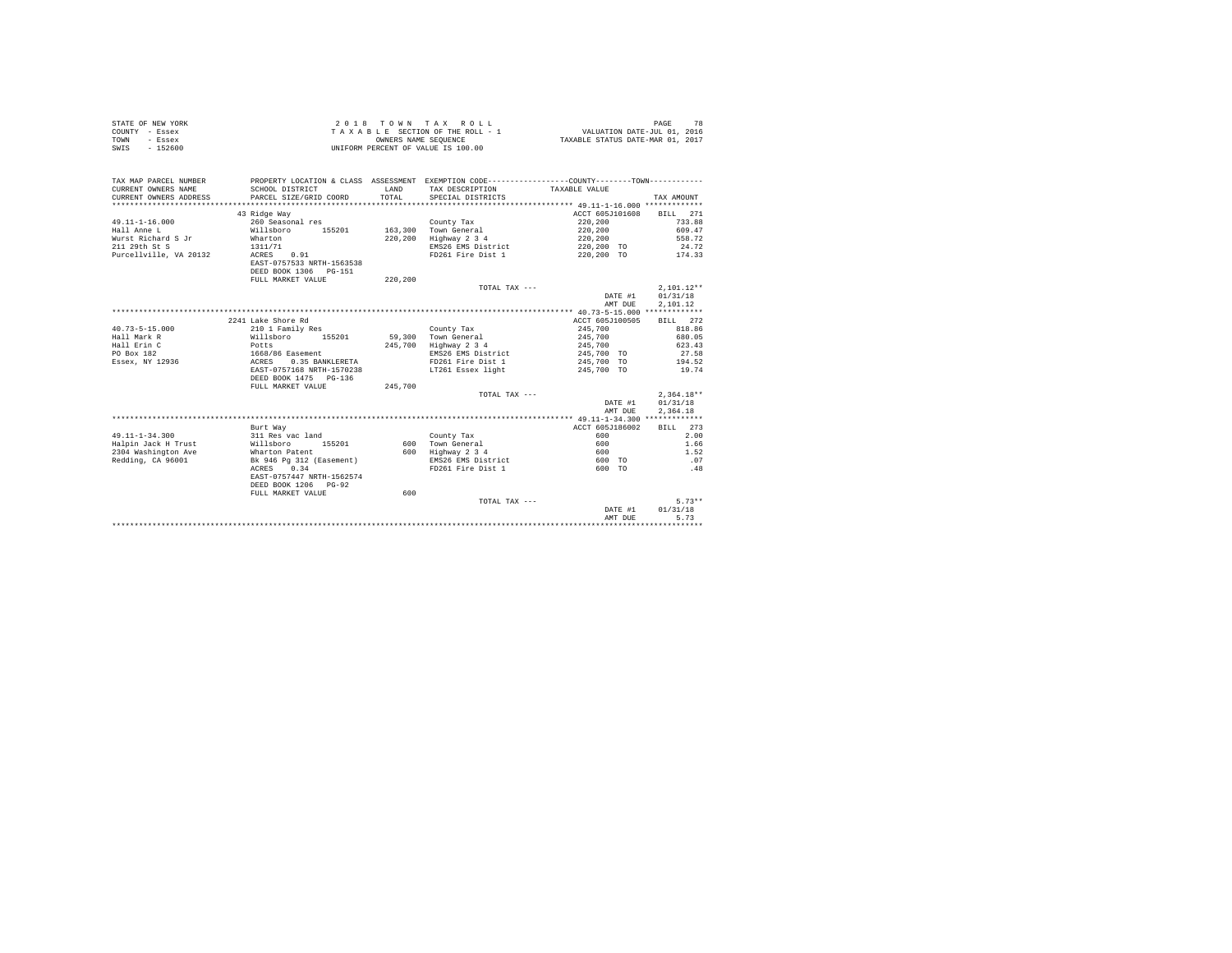|                | STATE OF NEW YORK |  |  |  | 2018 TOWN TAX ROLL                 |  |  |  |  |                                  |                             | PAGE | 78 |
|----------------|-------------------|--|--|--|------------------------------------|--|--|--|--|----------------------------------|-----------------------------|------|----|
| COUNTY - Essex |                   |  |  |  | TAXABLE SECTION OF THE ROLL - 1    |  |  |  |  |                                  | VALUATION DATE-JUL 01, 2016 |      |    |
| TOWN           | - Essex           |  |  |  | OWNERS NAME SEOUENCE               |  |  |  |  | TAXABLE STATUS DATE-MAR 01, 2017 |                             |      |    |
| SWIS           | $-152600$         |  |  |  | UNIFORM PERCENT OF VALUE IS 100.00 |  |  |  |  |                                  |                             |      |    |

| TAX MAP PARCEL NUMBER<br>CURRENT OWNERS NAME<br>CURRENT OWNERS ADDRESS | SCHOOL DISTRICT<br>PARCEL SIZE/GRID COORD | LAND<br>TOTAL. | PROPERTY LOCATION & CLASS ASSESSMENT EXEMPTION CODE----------------COUNTY--------TOWN----------<br>TAX DESCRIPTION<br>SPECIAL DISTRICTS | TAXABLE VALUE   | TAX AMOUNT   |
|------------------------------------------------------------------------|-------------------------------------------|----------------|-----------------------------------------------------------------------------------------------------------------------------------------|-----------------|--------------|
|                                                                        | 43 Ridge Way                              |                |                                                                                                                                         | ACCT 605J101608 | BILL<br>271  |
| $49.11 - 1 - 16.000$                                                   | 260 Seasonal res                          |                | County Tax                                                                                                                              | 220,200         | 733.88       |
| Hall Anne L                                                            | Willsboro<br>155201                       |                | 163,300 Town General                                                                                                                    | 220,200         | 609.47       |
| Wurst Richard S Jr                                                     | Wharton                                   | 220,200        | Highway 2 3 4                                                                                                                           | 220,200         | 558.72       |
| 211 29th St S                                                          | 1311/71                                   |                | EMS26 EMS District                                                                                                                      | 220,200 TO      | 24.72        |
| Purcellville, VA 20132                                                 | 0.91<br>ACRES                             |                | FD261 Fire Dist 1                                                                                                                       | 220,200 TO      | 174.33       |
|                                                                        | EAST-0757533 NRTH-1563538                 |                |                                                                                                                                         |                 |              |
|                                                                        | DEED BOOK 1306<br>$PG-151$                |                |                                                                                                                                         |                 |              |
|                                                                        | FULL MARKET VALUE                         | 220,200        |                                                                                                                                         |                 |              |
|                                                                        |                                           |                | TOTAL TAX ---                                                                                                                           |                 | $2,101.12**$ |
|                                                                        |                                           |                |                                                                                                                                         | DATE #1         | 01/31/18     |
|                                                                        |                                           |                |                                                                                                                                         | AMT DUE         | 2,101.12     |
|                                                                        |                                           |                |                                                                                                                                         |                 |              |
|                                                                        | 2241 Lake Shore Rd                        |                |                                                                                                                                         | ACCT 605J100505 | BILL 272     |
| $40.73 - 5 - 15.000$                                                   | 210 1 Family Res                          |                | County Tax                                                                                                                              | 245,700         | 818.86       |
| Hall Mark R                                                            | Willsboro<br>155201                       | 59,300         | Town General                                                                                                                            | 245,700         | 680.05       |
| Hall Erin C                                                            | Potts                                     | 245,700        | Highway 2 3 4                                                                                                                           | 245,700         | 623.43       |
| PO Box 182                                                             | 1668/86 Easement                          |                | EMS26 EMS District                                                                                                                      | 245,700 TO      | 27.58        |
| Essex, NY 12936                                                        | 0.35 BANKLERETA<br>ACRES                  |                | FD261 Fire Dist 1                                                                                                                       | 245,700 TO      | 194.52       |
|                                                                        | EAST-0757168 NRTH-1570238                 |                | LT261 Essex light                                                                                                                       | 245,700 TO      | 19.74        |
|                                                                        | DEED BOOK 1475 PG-136                     |                |                                                                                                                                         |                 |              |
|                                                                        | FULL MARKET VALUE                         | 245,700        |                                                                                                                                         |                 |              |
|                                                                        |                                           |                | TOTAL TAX ---                                                                                                                           |                 | $2.364.18**$ |
|                                                                        |                                           |                |                                                                                                                                         | DATE #1         | 01/31/18     |
|                                                                        |                                           |                |                                                                                                                                         | AMT DUE         | 2.364.18     |
|                                                                        |                                           |                |                                                                                                                                         |                 |              |
|                                                                        | Burt Way                                  |                |                                                                                                                                         | ACCT 605J186002 | 273<br>BTLL. |
| $49.11 - 1 - 34.300$                                                   | 311 Res vac land                          |                | County Tax                                                                                                                              | 600             | 2.00         |
| Halpin Jack H Trust                                                    | 155201<br>Willsboro                       | 600            | Town General                                                                                                                            | 600             | 1.66         |
| 2304 Washington Ave                                                    | Wharton Patent                            | 600            | Highway 2 3 4                                                                                                                           | 600             | 1.52         |
| Redding, CA 96001                                                      | Bk 946 Pg 312 (Easement)                  |                | EMS26 EMS District                                                                                                                      | 600 TO          | .07          |
|                                                                        | 0.34<br>ACRES                             |                | FD261 Fire Dist 1                                                                                                                       | 600 TO          | .48          |
|                                                                        | EAST-0757447 NRTH-1562574                 |                |                                                                                                                                         |                 |              |
|                                                                        | DEED BOOK 1206<br>$PG-92$                 |                |                                                                                                                                         |                 |              |
|                                                                        | FULL MARKET VALUE                         | 600            |                                                                                                                                         |                 |              |
|                                                                        |                                           |                | TOTAL TAX ---                                                                                                                           |                 | $5.73**$     |
|                                                                        |                                           |                |                                                                                                                                         | DATE #1         | 01/31/18     |
|                                                                        |                                           |                |                                                                                                                                         | AMT DUE         | 5.73         |
|                                                                        |                                           |                |                                                                                                                                         |                 |              |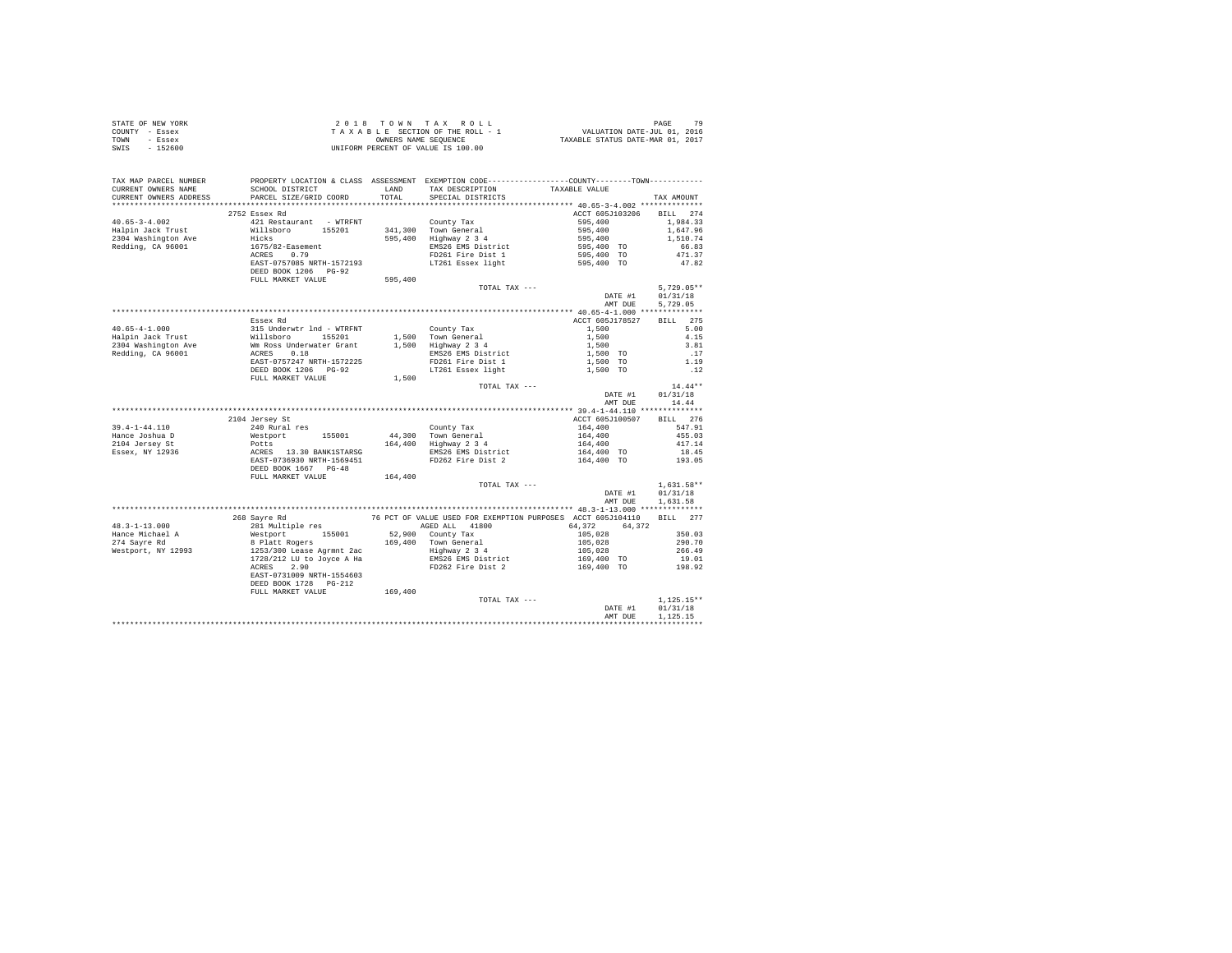| STATE OF NEW YORK | 2018 TOWN TAX ROLL                 | PAGE                             |
|-------------------|------------------------------------|----------------------------------|
| COUNTY - Essex    | TAXABLE SECTION OF THE ROLL - 1    | VALUATION DATE-JUL 01, 2016      |
| TOWN<br>- Essex   | OWNERS NAME SEOUENCE               | TAXABLE STATUS DATE-MAR 01, 2017 |
| - 152600<br>SWIS  | UNIFORM PERCENT OF VALUE IS 100.00 |                                  |

| TAX MAP PARCEL NUMBER<br>CURRENT OWNERS NAME | PROPERTY LOCATION & CLASS ASSESSMENT EXEMPTION CODE---------------COUNTY-------TOWN----------<br>SCHOOL DISTRICT                                                                                                                               |         | LAND TAX DESCRIPTION                                                 | TAXABLE VALUE                                                                            |              |
|----------------------------------------------|------------------------------------------------------------------------------------------------------------------------------------------------------------------------------------------------------------------------------------------------|---------|----------------------------------------------------------------------|------------------------------------------------------------------------------------------|--------------|
| CURRENT OWNERS ADDRESS                       | PARCEL SIZE/GRID COORD                                                                                                                                                                                                                         | TOTAL   | SPECIAL DISTRICTS                                                    |                                                                                          | TAX AMOUNT   |
|                                              | 2752 Essex Rd                                                                                                                                                                                                                                  |         |                                                                      | ACCT 605J103206 BILL 274                                                                 |              |
| $40.65 - 3 - 4.002$                          | 421 Restaurant - WTRFNT                                                                                                                                                                                                                        |         | County Tax                                                           |                                                                                          | 1,984.33     |
| Halpin Jack Trust                            | % 12.1 November 10.1 No.1 111<br>William 155201 341,300 Town General<br>Hicks 595,400 Highway 2 3 4<br>1675/82-Easement ENS26 EMS District<br>ACRES 0.79 FD261 Pire Dist 1                                                                     |         |                                                                      |                                                                                          | 1,647.96     |
| 2304 Washington Ave                          |                                                                                                                                                                                                                                                |         |                                                                      |                                                                                          | 1,510.74     |
| Redding, CA 96001                            |                                                                                                                                                                                                                                                |         |                                                                      |                                                                                          | 66.83        |
|                                              |                                                                                                                                                                                                                                                |         |                                                                      |                                                                                          | 471.37       |
|                                              | EAST-0757085 NRTH-1572193                                                                                                                                                                                                                      |         |                                                                      |                                                                                          | 47.82        |
|                                              | DEED BOOK 1206 PG-92                                                                                                                                                                                                                           |         | EMS26 Ems Distries<br>FD261 Fire Dist 1<br>LT261 Essex light         |                                                                                          |              |
|                                              | FULL MARKET VALUE 595,400                                                                                                                                                                                                                      |         |                                                                      |                                                                                          |              |
|                                              |                                                                                                                                                                                                                                                |         | TOTAL TAX ---                                                        |                                                                                          | $5,729.05**$ |
|                                              |                                                                                                                                                                                                                                                |         |                                                                      | DATE #1                                                                                  | 01/31/18     |
|                                              |                                                                                                                                                                                                                                                |         |                                                                      | AMT DUE                                                                                  | 5,729.05     |
|                                              |                                                                                                                                                                                                                                                |         |                                                                      |                                                                                          |              |
|                                              | Essex Rd                                                                                                                                                                                                                                       |         |                                                                      | ACCT 605J178527                                                                          | BILL 275     |
|                                              |                                                                                                                                                                                                                                                |         |                                                                      |                                                                                          | 5.00         |
|                                              |                                                                                                                                                                                                                                                |         |                                                                      |                                                                                          | 4.15         |
|                                              |                                                                                                                                                                                                                                                |         |                                                                      |                                                                                          | 3.81         |
|                                              |                                                                                                                                                                                                                                                |         |                                                                      |                                                                                          | .17          |
|                                              |                                                                                                                                                                                                                                                |         |                                                                      |                                                                                          | 1.19         |
|                                              |                                                                                                                                                                                                                                                |         |                                                                      |                                                                                          | .12          |
|                                              | FULL MARKET VALUE                                                                                                                                                                                                                              | 1,500   |                                                                      |                                                                                          |              |
|                                              |                                                                                                                                                                                                                                                |         | TOTAL TAX ---                                                        |                                                                                          | $14.44**$    |
|                                              |                                                                                                                                                                                                                                                |         |                                                                      | DATE #1                                                                                  | 01/31/18     |
|                                              |                                                                                                                                                                                                                                                |         |                                                                      | AMT DUE                                                                                  | 14.44        |
|                                              |                                                                                                                                                                                                                                                |         |                                                                      |                                                                                          |              |
|                                              | 2104 Jersey St                                                                                                                                                                                                                                 |         |                                                                      | ACCT 605J100507 BILL 276                                                                 |              |
| $39.4 - 1 - 44.110$                          |                                                                                                                                                                                                                                                |         |                                                                      |                                                                                          |              |
|                                              |                                                                                                                                                                                                                                                |         |                                                                      |                                                                                          |              |
| Hance Joshua D<br>2104 Jersey St             |                                                                                                                                                                                                                                                |         |                                                                      |                                                                                          |              |
| Essex, NY 12936                              |                                                                                                                                                                                                                                                |         |                                                                      |                                                                                          |              |
|                                              |                                                                                                                                                                                                                                                |         |                                                                      |                                                                                          |              |
|                                              |                                                                                                                                                                                                                                                |         |                                                                      |                                                                                          |              |
|                                              |                                                                                                                                                                                                                                                |         |                                                                      |                                                                                          |              |
|                                              |                                                                                                                                                                                                                                                |         | TOTAL TAX ---                                                        |                                                                                          | $1.631.58**$ |
|                                              |                                                                                                                                                                                                                                                |         |                                                                      | DATE #1                                                                                  | 01/31/18     |
|                                              |                                                                                                                                                                                                                                                |         |                                                                      | AMT DUE                                                                                  | 1,631.58     |
|                                              |                                                                                                                                                                                                                                                |         |                                                                      |                                                                                          |              |
|                                              | 1968 Sayre Rd<br>48.3-1-13.000 281 Multiple res<br>Hance Michael A Westport 155001 52,900 County Tax<br>274 Sayre Rd<br>274 Sayre Rd<br>278 Spectro 2012 1203/300 Lease Agrmmt 2ac<br>274 Sayre Rd<br>278/3200 Lease Agrmmt 2ac<br>278/300 Lea |         | 76 PCT OF VALUE USED FOR EXEMPTION PURPOSES ACCT 605J104110 BILL 277 |                                                                                          |              |
|                                              |                                                                                                                                                                                                                                                |         | AGED ALL 41800 64.372 64.372                                         |                                                                                          |              |
|                                              |                                                                                                                                                                                                                                                |         |                                                                      |                                                                                          | 350.03       |
|                                              |                                                                                                                                                                                                                                                |         |                                                                      |                                                                                          | 290.70       |
|                                              |                                                                                                                                                                                                                                                |         |                                                                      |                                                                                          | 266.49       |
|                                              |                                                                                                                                                                                                                                                |         |                                                                      |                                                                                          | 19.01        |
|                                              |                                                                                                                                                                                                                                                |         |                                                                      | $105,028$<br>$105,028$<br>$105,028$<br>$169,400$ TO<br>$169,400$ TO                      | 198.92       |
|                                              | EAST-0731009 NRTH-1554603                                                                                                                                                                                                                      |         |                                                                      |                                                                                          |              |
|                                              | DEED BOOK 1728 PG-212                                                                                                                                                                                                                          |         |                                                                      |                                                                                          |              |
|                                              | FULL MARKET VALUE                                                                                                                                                                                                                              | 169,400 |                                                                      |                                                                                          |              |
|                                              |                                                                                                                                                                                                                                                |         | TOTAL TAX ---                                                        | $\begin{array}{rr} & 1,125.15 {*} \star \\ \texttt{DATE} & \pm 1 & 01/31/18 \end{array}$ | $1,125.15**$ |
|                                              |                                                                                                                                                                                                                                                |         |                                                                      |                                                                                          |              |
|                                              |                                                                                                                                                                                                                                                |         |                                                                      | AMT DUE                                                                                  | 1,125.15     |
|                                              |                                                                                                                                                                                                                                                |         |                                                                      |                                                                                          |              |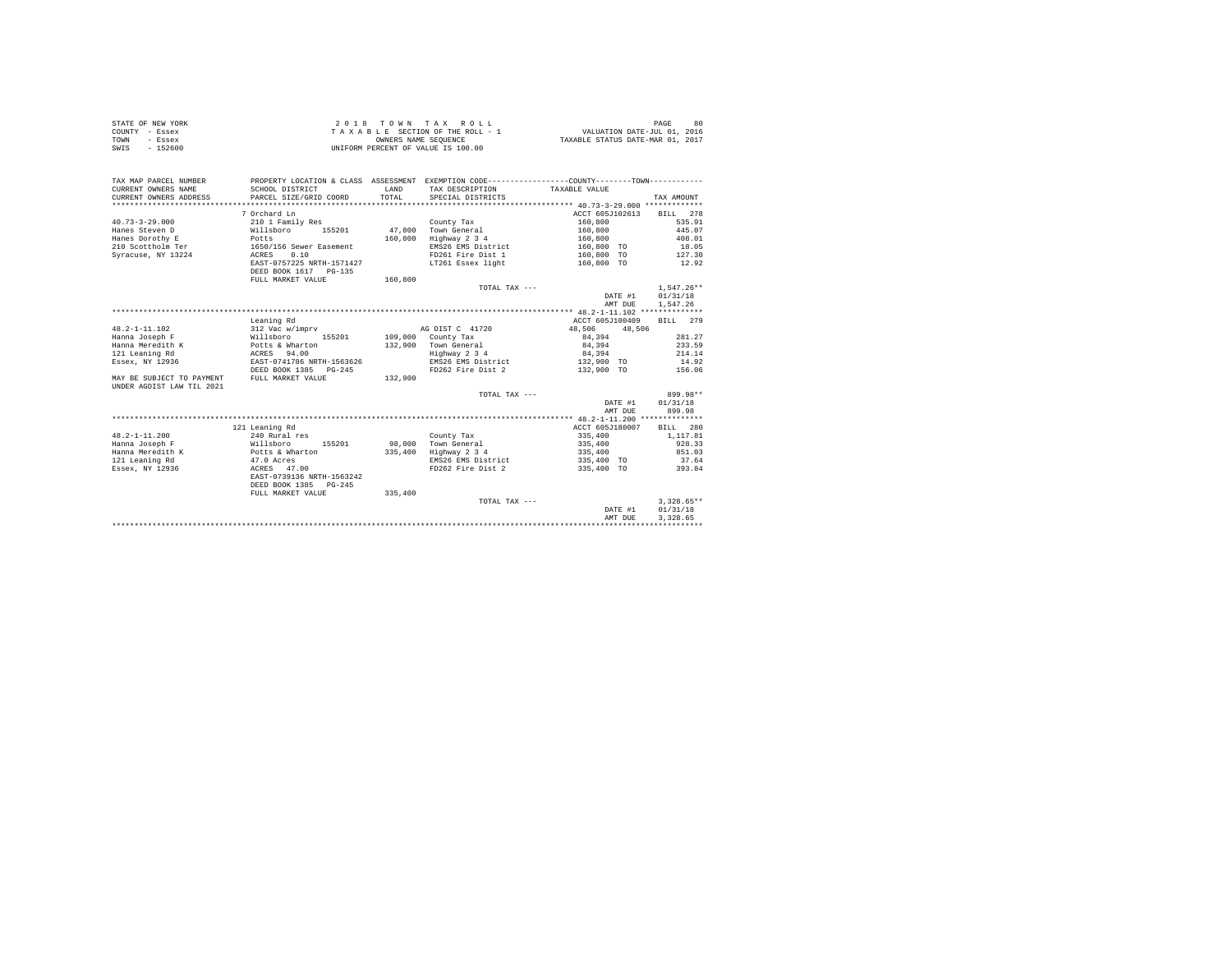| STATE OF NEW YORK | 2018 TOWN TAX ROLL                 | 80<br>PAGE                       |
|-------------------|------------------------------------|----------------------------------|
| COUNTY - Essex    | TAXABLE SECTION OF THE ROLL - 1    | VALUATION DATE-JUL 01, 2016      |
| TOWN<br>- Essex   | OWNERS NAME SEOUENCE               | TAXABLE STATUS DATE-MAR 01, 2017 |
| - 152600<br>SWIS  | UNIFORM PERCENT OF VALUE IS 100.00 |                                  |

| TAX MAP PARCEL NUMBER<br>CURRENT OWNERS NAME | SCHOOL DISTRICT            | LAND    | PROPERTY LOCATION & CLASS ASSESSMENT EXEMPTION CODE----------------COUNTY--------TOWN----------<br>TAX DESCRIPTION | TAXABLE VALUE    |                    |
|----------------------------------------------|----------------------------|---------|--------------------------------------------------------------------------------------------------------------------|------------------|--------------------|
| CURRENT OWNERS ADDRESS                       | PARCEL SIZE/GRID COORD     | TOTAL   | SPECIAL DISTRICTS                                                                                                  |                  | TAX AMOUNT         |
|                                              |                            |         |                                                                                                                    |                  |                    |
|                                              | 7 Orchard Ln               |         |                                                                                                                    | ACCT 605J102613  | BILL 278           |
| $40.73 - 3 - 29.000$                         | 210 1 Family Res           |         | County Tax                                                                                                         | 160,800          | 535.91             |
| Hanes Steven D                               | Willsboro<br>155201        | 47,800  | Town General                                                                                                       | 160,800          | 445.07             |
| Hanes Dorothy E                              | Potts                      | 160,800 | Highway 2 3 4                                                                                                      | 160,800          | 408.01             |
| 210 Scottholm Ter                            | 1650/156 Sewer Easement    |         | EMS26 EMS District                                                                                                 | 160,800 TO       | 18.05              |
| Syracuse, NY 13224                           | 0.10<br>ACRES              |         | FD261 Fire Dist 1                                                                                                  | 160,800 TO       | 127.30             |
|                                              | EAST-0757225 NRTH-1571427  |         | LT261 Essex light                                                                                                  | 160,800 TO       | 12.92              |
|                                              | DEED BOOK 1617 PG-135      |         |                                                                                                                    |                  |                    |
|                                              | FULL MARKET VALUE          | 160,800 |                                                                                                                    |                  |                    |
|                                              |                            |         | TOTAL TAX ---                                                                                                      |                  | $1,547.26**$       |
|                                              |                            |         |                                                                                                                    | DATE #1          | 01/31/18           |
|                                              |                            |         |                                                                                                                    | AMT DUE          | 1,547.26           |
|                                              |                            |         |                                                                                                                    |                  |                    |
|                                              | Leaning Rd                 |         |                                                                                                                    | ACCT 605J100409  | BILL 279           |
| $48.2 - 1 - 11.102$                          | 312 Vac w/imprv            |         | AG DIST C 41720                                                                                                    | 48,506<br>48,506 |                    |
| Hanna Joseph F                               | Willsboro<br>155201        |         | 109,000 County Tax                                                                                                 | 84,394           | 281.27             |
| Hanna Meredith K                             | Potts & Wharton            |         | 132,900 Town General                                                                                               | 84,394           | 233.59             |
| 121 Leaning Rd                               | ACRES 94.00                |         | Highway 2 3 4                                                                                                      | 84,394           | 214.14             |
| Essex, NY 12936                              | EAST-0741786 NRTH-1563626  |         | EMS26 EMS District                                                                                                 | 132,900 TO       | 14.92              |
|                                              | DEED BOOK 1385<br>$PG-245$ |         | FD262 Fire Dist 2                                                                                                  | 132,900 TO       | 156.06             |
| MAY BE SUBJECT TO PAYMENT                    | FULL MARKET VALUE          | 132,900 |                                                                                                                    |                  |                    |
|                                              |                            |         |                                                                                                                    |                  |                    |
| UNDER AGDIST LAW TIL 2021                    |                            |         |                                                                                                                    |                  | 899.98**           |
|                                              |                            |         | TOTAL TAX ---                                                                                                      |                  | 01/31/18           |
|                                              |                            |         |                                                                                                                    | DATE #1          |                    |
|                                              |                            |         |                                                                                                                    | AMT DUE          | 899.98             |
|                                              |                            |         |                                                                                                                    |                  |                    |
|                                              | 121 Leaning Rd             |         |                                                                                                                    | ACCT 605J180007  | 280<br><b>BILL</b> |
| $48.2 - 1 - 11.200$                          | 240 Rural res              |         | County Tax                                                                                                         | 335,400          | 1,117.81           |
| Hanna Joseph F                               | Willsboro<br>155201        | 98,000  | Town General                                                                                                       | 335,400          | 928.33             |
| Hanna Meredith K                             | Potts & Wharton            | 335,400 | Highway 2 3 4                                                                                                      | 335,400          | 851.03             |
| 121 Leaning Rd                               | 47.0 Acres                 |         | EMS26 EMS District                                                                                                 | 335,400 TO       | 37.64              |
| Essex, NY 12936                              | ACRES 47.00                |         | FD262 Fire Dist 2                                                                                                  | 335,400 TO       | 393.84             |
|                                              | EAST-0739136 NRTH-1563242  |         |                                                                                                                    |                  |                    |
|                                              | DEED BOOK 1385<br>$PG-245$ |         |                                                                                                                    |                  |                    |
|                                              | FULL MARKET VALUE          | 335,400 |                                                                                                                    |                  |                    |
|                                              |                            |         | TOTAL TAX ---                                                                                                      |                  | $3.328.65**$       |
|                                              |                            |         |                                                                                                                    | DATE #1          | 01/31/18           |
|                                              |                            |         |                                                                                                                    | AMT DUE          | 3.328.65           |
|                                              |                            |         |                                                                                                                    |                  |                    |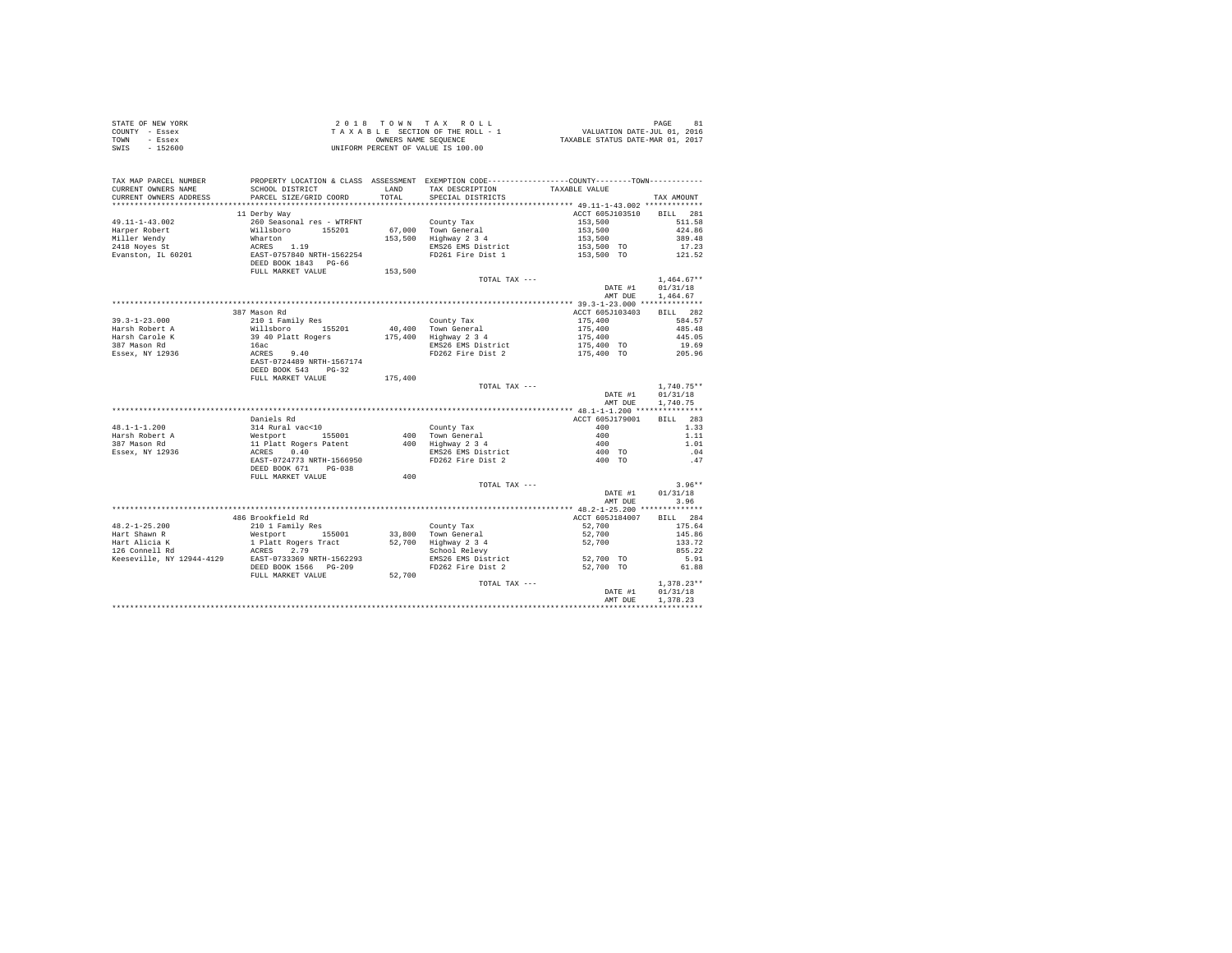|                | STATE OF NEW YORK |  |  | 2018 TOWN TAX ROLL                 |  |  |  |                                  | PAGE | 81 |
|----------------|-------------------|--|--|------------------------------------|--|--|--|----------------------------------|------|----|
| COUNTY - Essex |                   |  |  | TAXABLE SECTION OF THE ROLL - 1    |  |  |  | VALUATION DATE-JUL 01, 2016      |      |    |
| TOWN           | - Essex           |  |  | OWNERS NAME SEOUENCE               |  |  |  | TAXABLE STATUS DATE-MAR 01, 2017 |      |    |
| SWIS           | $-152600$         |  |  | UNIFORM PERCENT OF VALUE IS 100.00 |  |  |  |                                  |      |    |

| TAX MAP PARCEL NUMBER<br>CURRENT OWNERS NAME<br>CURRENT OWNERS ADDRESS                                      | SCHOOL DISTRICT<br>PARCEL SIZE/GRID COORD                                                                                  | LAND<br>TOTAL. | PROPERTY LOCATION & CLASS ASSESSMENT EXEMPTION CODE----------------COUNTY-------TOWN----------<br>TAX DESCRIPTION<br>SPECIAL DISTRICTS | TAXABLE VALUE                                  | TAX AMOUNT   |
|-------------------------------------------------------------------------------------------------------------|----------------------------------------------------------------------------------------------------------------------------|----------------|----------------------------------------------------------------------------------------------------------------------------------------|------------------------------------------------|--------------|
| ************************                                                                                    |                                                                                                                            |                |                                                                                                                                        |                                                |              |
| $49.11 - 1 - 43.002$                                                                                        | 11 Derby Way<br>260 Seasonal res - WTRFNT<br>Willsboro 155201<br>Whatron 155201<br>ACRES 1.19<br>EAST-0757840 NRTH-1562254 |                | County Tax                                                                                                                             | ACCT 605J103510 BILL 281<br>153,500<br>153,500 | 511.58       |
| Harper Robert                                                                                               |                                                                                                                            |                | 67,000 Town General                                                                                                                    |                                                | 424.86       |
| Miller Wendy                                                                                                |                                                                                                                            |                | 153,500 Highway 2 3 4                                                                                                                  | 153,500<br>153,500 TO                          | 389.48       |
| 2418 Noyes St                                                                                               |                                                                                                                            |                | EMS26 EMS District                                                                                                                     |                                                | 17.23        |
| Evanston, IL 60201                                                                                          |                                                                                                                            |                | FD261 Fire Dist 1                                                                                                                      | 153,500 TO                                     | 121.52       |
|                                                                                                             | DEED BOOK 1843 PG-66                                                                                                       |                |                                                                                                                                        |                                                |              |
|                                                                                                             | FULL MARKET VALUE                                                                                                          | 153,500        |                                                                                                                                        |                                                |              |
|                                                                                                             |                                                                                                                            |                | TOTAL TAX ---                                                                                                                          |                                                | $1.464.67**$ |
|                                                                                                             |                                                                                                                            |                |                                                                                                                                        | DATE #1                                        | 01/31/18     |
|                                                                                                             |                                                                                                                            |                |                                                                                                                                        | AMT DUE                                        | 1,464.67     |
|                                                                                                             |                                                                                                                            |                |                                                                                                                                        |                                                |              |
|                                                                                                             | 387 Mason Rd                                                                                                               |                |                                                                                                                                        | ACCT 605J103403                                | BILL 282     |
| $39.3 - 1 - 23.000$                                                                                         | 210 1 Family Res                                                                                                           |                | County Tax                                                                                                                             | 175,400                                        | 584.57       |
| Harsh Robert A                                                                                              | Willsboro 155201<br>39 40 Platt Rogers<br>155201                                                                           |                | 40,400 Town General                                                                                                                    | 175,400                                        | 485.48       |
| Harsh Carole K                                                                                              |                                                                                                                            |                | 175,400 Highway 2 3 4                                                                                                                  | 175,400                                        | 445.05       |
| 387 Mason Rd                                                                                                | $16ac$<br>ACRES 9.40                                                                                                       |                | EMS26 EMS District                                                                                                                     | 175,400 TO                                     | 19.69        |
| Essex, NY 12936                                                                                             |                                                                                                                            |                | FD262 Fire Dist 2                                                                                                                      | 175,400 TO                                     | 205.96       |
|                                                                                                             | EAST-0724489 NRTH-1567174                                                                                                  |                |                                                                                                                                        |                                                |              |
|                                                                                                             | DEED BOOK 543 PG-32                                                                                                        |                |                                                                                                                                        |                                                |              |
|                                                                                                             | FULL MARKET VALUE                                                                                                          | 175,400        |                                                                                                                                        |                                                |              |
|                                                                                                             |                                                                                                                            |                | TOTAL TAX ---                                                                                                                          |                                                | $1,740.75**$ |
|                                                                                                             |                                                                                                                            |                |                                                                                                                                        | DATE #1                                        | 01/31/18     |
|                                                                                                             |                                                                                                                            |                |                                                                                                                                        | AMT DUE                                        | 1,740.75     |
|                                                                                                             |                                                                                                                            |                |                                                                                                                                        |                                                |              |
|                                                                                                             | Daniels Rd                                                                                                                 |                |                                                                                                                                        | ACCT 605J179001                                | BILL 283     |
| $48.1 - 1 - 1.200$                                                                                          | 314 Rural vac<10                                                                                                           |                | County Tax                                                                                                                             | 400                                            | 1.33         |
| Harsh Robert A                                                                                              | Mestport<br>Westport 155001<br>11 Platt Rogers Patent<br>ACRES 0.40                                                        |                | 400 Town General                                                                                                                       | 400                                            | 1.11         |
| 387 Mason Rd                                                                                                |                                                                                                                            |                | 400 Highway 2 3 4<br>EMS26 EMS District                                                                                                | 400<br>400 TO                                  | 1.01         |
| Essex, NY 12936                                                                                             | EAST-0724773 NRTH-1566950                                                                                                  |                |                                                                                                                                        | 400 TO                                         | .04          |
|                                                                                                             | DEED BOOK 671 PG-038                                                                                                       |                | FD262 Fire Dist 2                                                                                                                      |                                                | .47          |
|                                                                                                             | FULL MARKET VALUE                                                                                                          | 400            |                                                                                                                                        |                                                |              |
|                                                                                                             |                                                                                                                            |                | TOTAL TAX ---                                                                                                                          |                                                | $3.96**$     |
|                                                                                                             |                                                                                                                            |                |                                                                                                                                        | DATE #1                                        | 01/31/18     |
|                                                                                                             |                                                                                                                            |                |                                                                                                                                        | AMT DUE                                        | 3.96         |
|                                                                                                             |                                                                                                                            |                |                                                                                                                                        |                                                |              |
|                                                                                                             | 486 Brookfield Rd                                                                                                          |                |                                                                                                                                        | ACCT 605J184007                                | BILL 284     |
| $48.2 - 1 - 25.200$                                                                                         | 210 1 Family Res                                                                                                           |                | County Tax                                                                                                                             | 52,700                                         | 175.64       |
| Hart Shawn R                                                                                                | Westport 155001                                                                                                            |                | 33,800 Town General                                                                                                                    | 52,700                                         | 145.86       |
|                                                                                                             |                                                                                                                            |                | 52,700 Highway 2 3 4                                                                                                                   | 52,700                                         | 133.72       |
| Hart Alicia K 1 Platt Rogers Tract<br>126 Connell Rd<br>Keeseville, NY 12944-4129 285T-0733369 NRTH-1562293 |                                                                                                                            |                | School Relevy                                                                                                                          |                                                | 855.22       |
|                                                                                                             |                                                                                                                            |                | EMS26 EMS District                                                                                                                     | 52,700 TO                                      | 5.91         |
|                                                                                                             | DEED BOOK 1566 PG-209                                                                                                      |                | FD262 Fire Dist 2                                                                                                                      | 52,700 TO                                      | 61.88        |
|                                                                                                             | FULL MARKET VALUE                                                                                                          | 52,700         |                                                                                                                                        |                                                |              |
|                                                                                                             |                                                                                                                            |                | TOTAL TAX ---                                                                                                                          |                                                | $1,378.23**$ |
|                                                                                                             |                                                                                                                            |                |                                                                                                                                        | DATE #1                                        | 01/31/18     |
|                                                                                                             |                                                                                                                            |                |                                                                                                                                        | AMT DUE                                        | 1,378.23     |
|                                                                                                             |                                                                                                                            |                |                                                                                                                                        |                                                |              |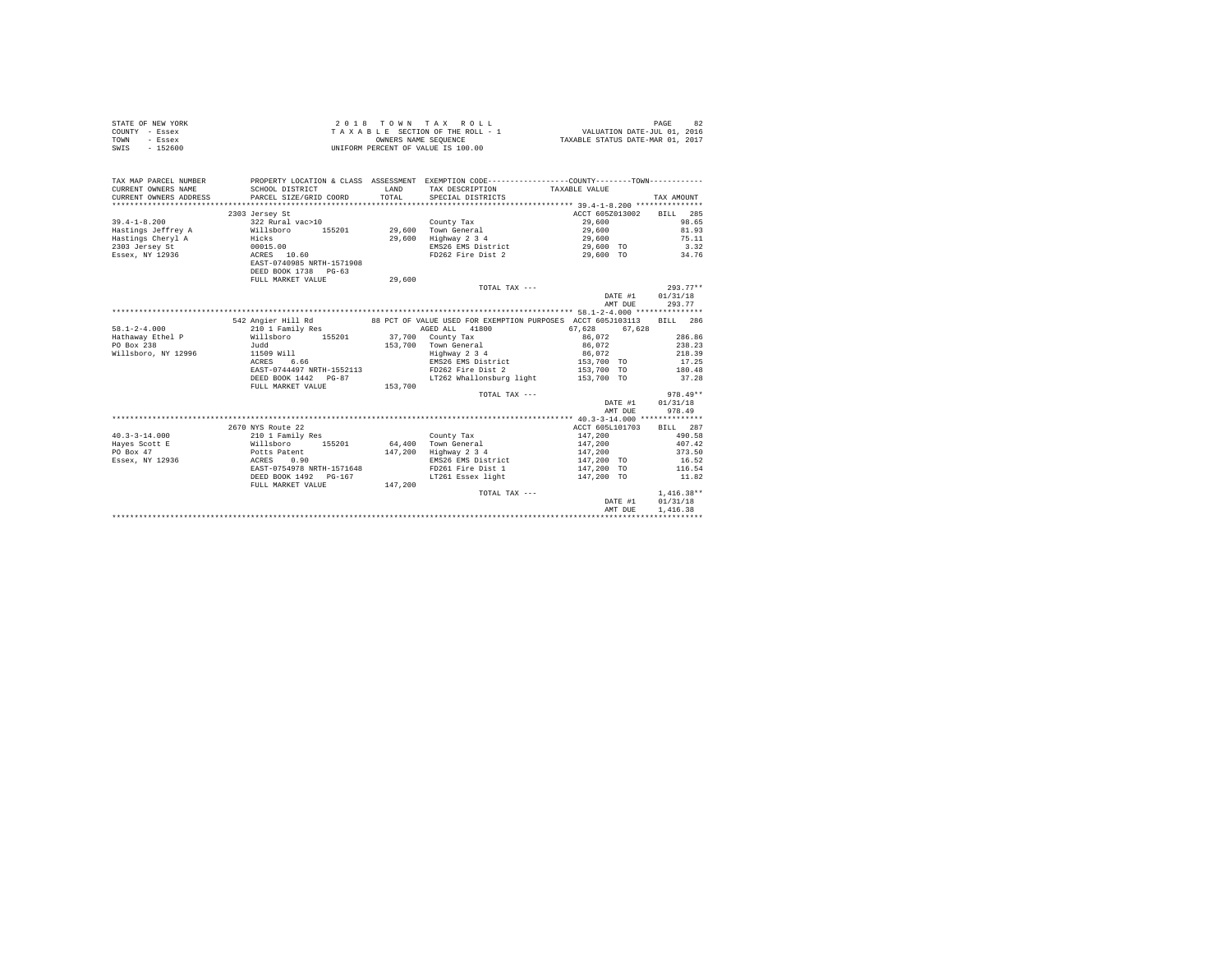| STATE OF NEW YORK<br>COUNTY - Essex<br>- Essex<br>TOWN<br>$-152600$<br>SWIS | 2018 TON TAX TAX ROLL TAXA BLE SECTION OF THE ROLL - 1<br>TAXA BLE SECTION OF THE ROLL - 1<br>UNIFORM PERCENT OF VALUE IS 100.00 |         | 2018 TOWN TAX ROLL                                                                                               |                    | 82<br>PAGE   |
|-----------------------------------------------------------------------------|----------------------------------------------------------------------------------------------------------------------------------|---------|------------------------------------------------------------------------------------------------------------------|--------------------|--------------|
| TAX MAP PARCEL NUMBER<br>CURRENT OWNERS NAME                                | SCHOOL DISTRICT                                                                                                                  | LAND    | PROPERTY LOCATION & CLASS ASSESSMENT EXEMPTION CODE---------------COUNTY--------TOWN---------<br>TAX DESCRIPTION | TAXABLE VALUE      |              |
| CURRENT OWNERS ADDRESS                                                      | PARCEL SIZE/GRID COORD                                                                                                           | TOTAL.  | SPECIAL DISTRICTS                                                                                                |                    | TAX AMOUNT   |
|                                                                             | 2303 Jersey St                                                                                                                   |         |                                                                                                                  | ACCT 605Z013002    | BILL 285     |
| $39.4 - 1 - 8.200$                                                          | 322 Rural vac>10                                                                                                                 |         | County Tax                                                                                                       | 29,600             | 98.65        |
| Hastings Jeffrey A                                                          |                                                                                                                                  |         | 29,600 Town General                                                                                              | 29,600             | 81.93        |
| Hastings Cheryl A                                                           |                                                                                                                                  |         | 29,600 Highway 2 3 4                                                                                             | 29,600             | 75.11        |
| 2303 Jersey St                                                              |                                                                                                                                  |         | EMS26 EMS District                                                                                               | 29,600 TO          | 3.32         |
| Essex, NY 12936                                                             | Willsboro 155201<br>Hicks<br>0015.00<br>ACRES 10.60                                                                              |         | FD262 Fire Dist 2                                                                                                | 29,600 TO          | 34.76        |
|                                                                             | EAST-0740985 NRTH-1571908                                                                                                        |         |                                                                                                                  |                    |              |
|                                                                             | DEED BOOK 1738 PG-63                                                                                                             |         |                                                                                                                  |                    |              |
|                                                                             | FULL MARKET VALUE                                                                                                                | 29,600  |                                                                                                                  |                    |              |
|                                                                             |                                                                                                                                  |         | TOTAL TAX ---                                                                                                    |                    | $293.77**$   |
|                                                                             |                                                                                                                                  |         |                                                                                                                  | DATE #1 01/31/18   |              |
|                                                                             |                                                                                                                                  |         |                                                                                                                  | AMT DUE            | 293.77       |
|                                                                             |                                                                                                                                  |         |                                                                                                                  |                    |              |
|                                                                             | 542 Angier Hill Rd                                                                                                               |         | 88 PCT OF VALUE USED FOR EXEMPTION PURPOSES ACCT 605J103113                                                      |                    | RTLL 286     |
| $58.1 - 2 - 4.000$                                                          | 210 1 Family Res                                                                                                                 |         | AGED ALL 41800                                                                                                   | 67.628<br>67.628   |              |
| Hathaway Ethel P                                                            | Willsboro 155201                                                                                                                 |         | 37,700 County Tax                                                                                                | 86.072             | 286.86       |
| PO Box 238                                                                  | Judd                                                                                                                             |         | 153,700 Town General                                                                                             | 86.072             | 238.23       |
| Willsboro, NY 12996                                                         | 11509 Will                                                                                                                       |         | Highway 2 3 4                                                                                                    | 86,072             | 218.39       |
|                                                                             | $ACRES$ 6.66                                                                                                                     |         | EMS26 EMS District                                                                                               | 153,700 TO         | 17.25        |
|                                                                             | EAST-0744497 NRTH-1552113                                                                                                        |         | FD262 Fire Dist 2                                                                                                | 153,700 TO         | 180.48       |
|                                                                             | DEED BOOK 1442 PG-87                                                                                                             |         | LT262 Whallonsburg light                                                                                         | 153,700 TO         | 37.28        |
|                                                                             | FULL MARKET VALUE                                                                                                                | 153,700 |                                                                                                                  |                    |              |
|                                                                             |                                                                                                                                  |         | TOTAL TAX ---                                                                                                    |                    | $978.49**$   |
|                                                                             |                                                                                                                                  |         |                                                                                                                  | DATE #1            | 01/31/18     |
|                                                                             |                                                                                                                                  |         |                                                                                                                  | AMT DUE            | 978.49       |
|                                                                             | 2670 NYS Route 22                                                                                                                |         |                                                                                                                  | ACCT 605L101703    | BTT.T. 287   |
| $40.3 - 3 - 14.000$                                                         | 210 1 Family Res                                                                                                                 |         | County Tax                                                                                                       |                    | 490.58       |
| Hayes Scott E                                                               |                                                                                                                                  |         | 64.400 Town General                                                                                              | 147,200<br>147,200 | 407.42       |
| PO Box 47                                                                   | 210 1 Family Res<br>Willsboro - 155201<br>Potts Patent<br>ACRES - 0.90                                                           |         | 147,200 Highway 2 3 4                                                                                            | 147,200            | 373.50       |
| Essex, NY 12936                                                             |                                                                                                                                  |         | EMS26 EMS District                                                                                               | 147,200 TO         | 16.52        |
|                                                                             | EAST-0754978 NRTH-1571648                                                                                                        |         | FD261 Fire Dist 1                                                                                                | 147,200 TO         | 116.54       |
|                                                                             | DEED BOOK 1492    PG-167                                                                                                         |         | LT261 Essex light                                                                                                | 147.200 TO         | 11.82        |
|                                                                             | FULL MARKET VALUE                                                                                                                | 147.200 |                                                                                                                  |                    |              |
|                                                                             |                                                                                                                                  |         | TOTAL TAX ---                                                                                                    |                    | $1.416.38**$ |
|                                                                             |                                                                                                                                  |         |                                                                                                                  | DATE #1            | 01/31/18     |
|                                                                             |                                                                                                                                  |         |                                                                                                                  | AMT DUR            | 1,416.38     |
|                                                                             |                                                                                                                                  |         |                                                                                                                  |                    |              |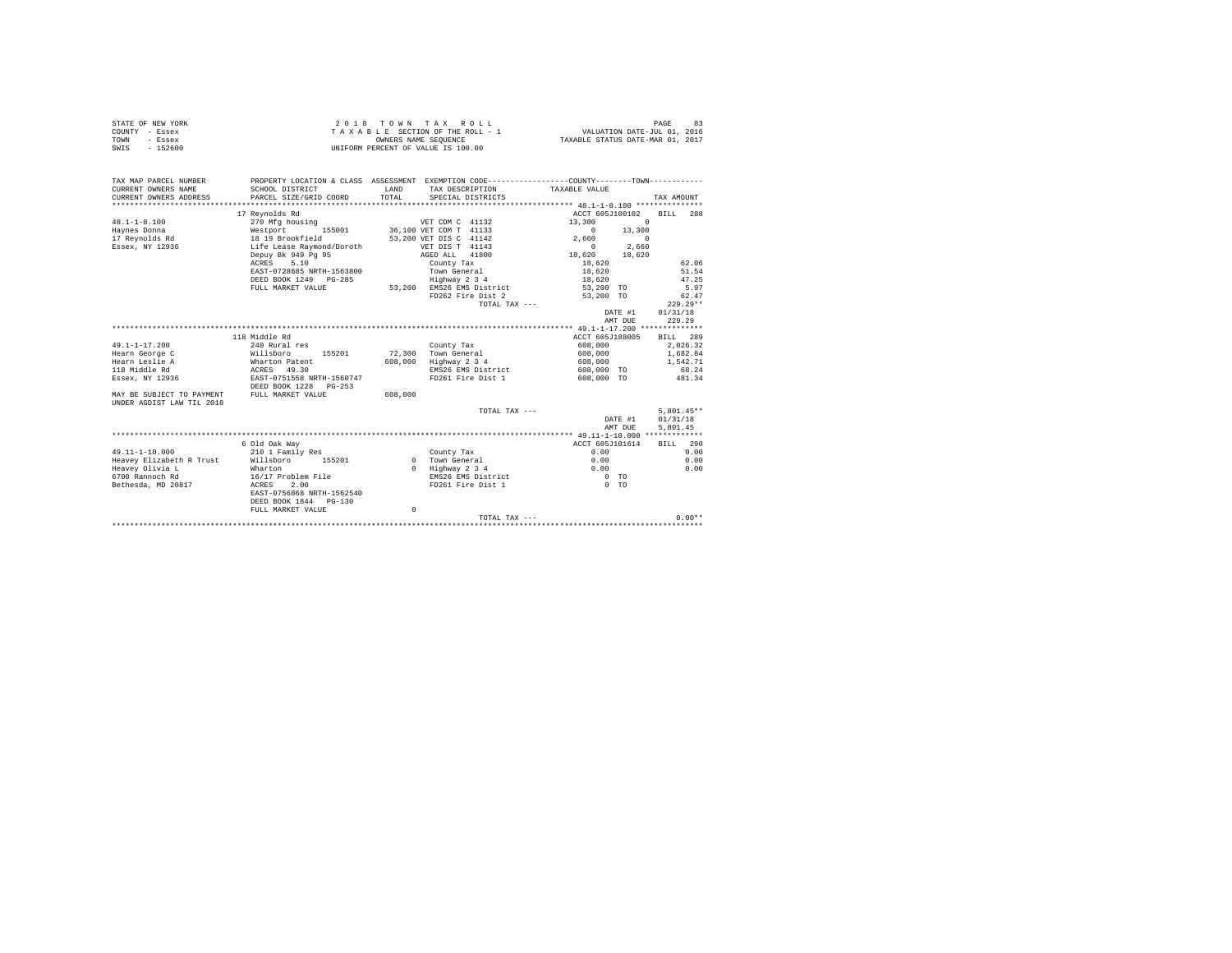|                | STATE OF NEW YORK | 2018 TOWN TAX ROLL                 |  |  |                      |  |  |  |                                  | PAGE | 83 |
|----------------|-------------------|------------------------------------|--|--|----------------------|--|--|--|----------------------------------|------|----|
| COUNTY - Essex |                   | TAXABLE SECTION OF THE ROLL - 1    |  |  |                      |  |  |  | VALUATION DATE-JUL 01, 2016      |      |    |
| TOWN           | - Essex           |                                    |  |  | OWNERS NAME SEOUENCE |  |  |  | TAXABLE STATUS DATE-MAR 01, 2017 |      |    |
| SWIS           | $-152600$         | UNIFORM PERCENT OF VALUE IS 100.00 |  |  |                      |  |  |  |                                  |      |    |

| TAX MAP PARCEL NUMBER<br>CURRENT OWNERS NAME | PROPERTY LOCATION & CLASS ASSESSMENT EXEMPTION CODE----------------COUNTY--------TOWN----------<br>SCHOOL DISTRICT | <b>T.AND</b> | TAX DESCRIPTION            | TAXABLE VALUE      |              |
|----------------------------------------------|--------------------------------------------------------------------------------------------------------------------|--------------|----------------------------|--------------------|--------------|
| CURRENT OWNERS ADDRESS                       | PARCEL SIZE/GRID COORD                                                                                             | TOTAL        | SPECIAL DISTRICTS          |                    | TAX AMOUNT   |
|                                              |                                                                                                                    |              |                            |                    |              |
|                                              | 17 Revnolds Rd                                                                                                     |              |                            | ACCT 605J100102    | BTLL.<br>288 |
| $48.1 - 1 - 8.100$                           | 270 Mfg housing                                                                                                    |              | VET COM C 41132            | 13,300<br>$\sim$ 0 |              |
| Havnes Donna                                 | 155001<br>Westport                                                                                                 |              | 36,100 VET COM T 41133     | $\sim$ 0<br>13,300 |              |
| 17 Revnolds Rd                               | 18 19 Brookfield                                                                                                   |              | 53,200 VET DIS C 41142     | 2.660<br>$\Omega$  |              |
| Essex, NY 12936                              | Life Lease Raymond/Doroth                                                                                          |              | VET DIS T 41143            | 2,660<br>$\sim$ 0  |              |
|                                              | Depuy Bk 949 Pq 95                                                                                                 |              | AGED ALL 41800             | 18,620<br>18,620   |              |
|                                              | ACRES 5.10                                                                                                         |              |                            | 18,620             | 62.06        |
|                                              | EAST-0728685 NRTH-1563800                                                                                          |              | County Tax<br>Town General | 18,620             | 51.54        |
|                                              | DEED BOOK 1249 PG-285                                                                                              |              |                            |                    | 47.25        |
|                                              |                                                                                                                    |              | Highway 2 3 4              | 18,620             |              |
|                                              | FULL MARKET VALUE                                                                                                  |              | 53.200 EMS26 EMS District  | 53,200 TO          | 5.97         |
|                                              |                                                                                                                    |              | FD262 Fire Dist 2          | 53,200 TO          | 62.47        |
|                                              |                                                                                                                    |              | TOTAL TAX ---              |                    | $229.29**$   |
|                                              |                                                                                                                    |              |                            | DATE #1            | 01/31/18     |
|                                              |                                                                                                                    |              |                            | AMT DUE            | 229.29       |
|                                              |                                                                                                                    |              |                            |                    |              |
|                                              | 118 Middle Rd                                                                                                      |              |                            | ACCT 605J188005    | BILL 289     |
| $49.1 - 1 - 17.200$                          | 240 Rural res                                                                                                      |              | County Tax                 | 608,000            | 2.026.32     |
| Hearn George C                               | 155201<br>Willsboro                                                                                                |              | 72.300 Town General        | 608,000            | 1,682.84     |
| Hearn Leslie A                               | Wharton Patent                                                                                                     | 608,000      | Highway 2 3 4              | 608,000            | 1,542.71     |
| 118 Middle Rd                                | ACRES 49.30                                                                                                        |              | EMS26 EMS District         | 608,000 TO         | 68.24        |
| Essex, NY 12936                              | EAST-0751558 NRTH-1560747                                                                                          |              | FD261 Fire Dist 1          | 608,000 TO         | 481.34       |
|                                              | DEED BOOK 1228 PG-253                                                                                              |              |                            |                    |              |
| MAY BE SUBJECT TO PAYMENT                    | FULL MARKET VALUE                                                                                                  | 608,000      |                            |                    |              |
| UNDER AGDIST LAW TIL 2018                    |                                                                                                                    |              |                            |                    |              |
|                                              |                                                                                                                    |              | TOTAL TAX ---              |                    | $5.801.45**$ |
|                                              |                                                                                                                    |              |                            | DATE #1            | 01/31/18     |
|                                              |                                                                                                                    |              |                            | AMT DUE            | 5,801.45     |
|                                              |                                                                                                                    |              |                            |                    |              |
|                                              | 6 Old Oak Way                                                                                                      |              |                            | ACCT 605J101614    | BILL 290     |
| $49.11 - 1 - 10.000$                         | 210 1 Family Res                                                                                                   |              | County Tax                 | 0.00               | 0.00         |
| Heavey Elizabeth R Trust                     | Willsboro<br>155201                                                                                                |              | 0 Town General             | 0.00               | 0.00         |
| Heavey Olivia L                              | Wharton                                                                                                            |              | $0$ Highway $2$ $3$ $4$    | 0.00               | 0.00         |
| 6700 Rannoch Rd                              | 16/17 Problem File                                                                                                 |              | EMS26 EMS District         | $0$ TO             |              |
| Bethesda, MD 20817<br><b>ACRES</b>           | 2.00                                                                                                               |              | FD261 Fire Dist 1          | $0$ TO             |              |
|                                              | EAST-0756868 NRTH-1562540                                                                                          |              |                            |                    |              |
|                                              | DEED BOOK 1844 PG-130                                                                                              |              |                            |                    |              |
|                                              | FULL MARKET VALUE                                                                                                  | $\Omega$     |                            |                    |              |
|                                              |                                                                                                                    |              | TOTAL TAX $---$            |                    | $0.00**$     |
|                                              |                                                                                                                    |              |                            |                    |              |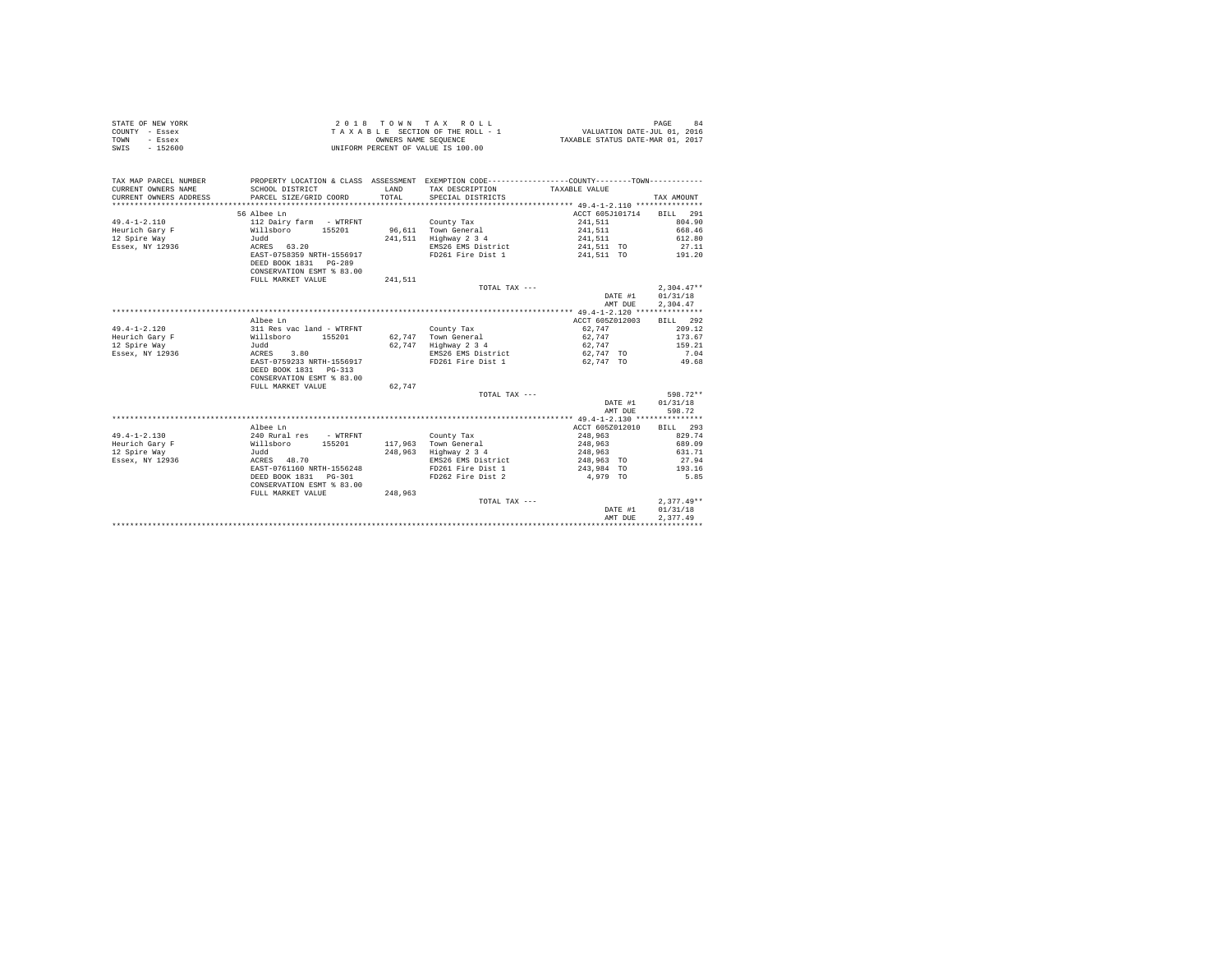| COUNTY - Essex                 |                                                                                                 |         | TAXABLE SECTION OF THE ROLL - 1                                     | VALUATION DATE-JUL 01, 2016            |              |
|--------------------------------|-------------------------------------------------------------------------------------------------|---------|---------------------------------------------------------------------|----------------------------------------|--------------|
| TOWN<br>- Essex                | OWNERS NAME SEQUENCE<br>UNIFORM PERCENT OF VALUE IS 100.00                                      |         |                                                                     | TAXABLE STATUS DATE-MAR 01, 2017       |              |
| SWTS<br>$-152600$              |                                                                                                 |         |                                                                     |                                        |              |
|                                |                                                                                                 |         |                                                                     |                                        |              |
|                                |                                                                                                 |         |                                                                     |                                        |              |
| TAX MAP PARCEL NUMBER          | PROPERTY LOCATION & CLASS ASSESSMENT EXEMPTION CODE-----------------COUNTY--------TOWN--------- |         |                                                                     |                                        |              |
| CURRENT OWNERS NAME            | SCHOOL DISTRICT<br>PARCEL SIZE/GRID COORD                                                       | LAND    | TAX DESCRIPTION TAXABLE VALUE                                       |                                        |              |
| CURRENT OWNERS ADDRESS         |                                                                                                 | TOTAL   | SPECIAL DISTRICTS                                                   |                                        | TAX AMOUNT   |
|                                |                                                                                                 |         |                                                                     |                                        |              |
|                                | 56 Albee Ln                                                                                     |         |                                                                     | ACCT 605J101714 BILL 291               |              |
| $49.4 - 1 - 2.110$             | 112 Dairy farm - WTRFNT                                                                         |         | County Tax                                                          | 241,511                                | 804.90       |
|                                | Willsboro 155201<br>Judd<br>ACRES 63.20<br>EAST-0758359 NRTH-1556917                            |         |                                                                     | 241,511                                | 668.46       |
| Heurich Gary F<br>12 Spire Way |                                                                                                 |         | 96,611 Town General<br>241,511 Highway 2 3 4                        | 241,511                                | 612.80       |
| Essex, NY 12936                |                                                                                                 |         | EMS26 EMS District                                                  | 241,511 TO                             | 27.11        |
|                                |                                                                                                 |         | EMS26 EMS DISTITICT<br>FD261 Fire Dist 1                            | 241,511 TO                             | 191.20       |
|                                | DEED BOOK 1831    PG-289                                                                        |         |                                                                     |                                        |              |
|                                | CONSERVATION ESMT % 83.00                                                                       |         |                                                                     |                                        |              |
|                                | FULL MARKET VALUE                                                                               | 241,511 |                                                                     |                                        |              |
|                                |                                                                                                 |         | TOTAL TAX ---                                                       |                                        | $2.304.47**$ |
|                                |                                                                                                 |         |                                                                     | DATE #1                                | 01/31/18     |
|                                |                                                                                                 |         |                                                                     | AMT DUE                                | 2,304.47     |
|                                |                                                                                                 |         |                                                                     |                                        |              |
|                                | Albee Ln                                                                                        |         |                                                                     | ACCT 605Z012003                        | BILL 292     |
| $49.4 - 1 - 2.120$             |                                                                                                 |         | County Tax                                                          |                                        |              |
| Heurich Gary F                 |                                                                                                 |         |                                                                     | $62,747$ $209.12$<br>$62,747$ $173.67$ |              |
| 12 Spire Way                   | 311 Res vac land - WTRFNT<br>Willsboro 155201<br>Judd<br>ACRES 3.80                             |         | 62,747 Town General<br>62,747 Highway 2 3 4                         | 62,747                                 | 159.21       |
| Essex, NY 12936                |                                                                                                 |         | EMS26 EMS District                                                  | 62,747 TO                              | 7.04         |
|                                | EAST-0759233 NRTH-1556917                                                                       |         | EMS26 EMS District<br>FD261 Fire Dist 1 62,747 TO 49.68             |                                        |              |
|                                | DEED BOOK 1831    PG-313                                                                        |         |                                                                     |                                        |              |
|                                | CONSERVATION ESMT % 83.00                                                                       |         |                                                                     |                                        |              |
|                                | FULL MARKET VALUE                                                                               | 62.747  |                                                                     |                                        |              |
|                                |                                                                                                 |         | TOTAL TAX ---                                                       |                                        | 598.72**     |
|                                |                                                                                                 |         |                                                                     | DATE #1 $01/31/18$                     |              |
|                                |                                                                                                 |         |                                                                     | AMT DUE                                | 598.72       |
|                                |                                                                                                 |         |                                                                     |                                        |              |
|                                |                                                                                                 |         |                                                                     |                                        |              |
| $49.4 - 1 - 2.130$             | Albee Ln                                                                                        |         | County Tax                                                          | ACCT 605Z012010 BILL 293<br>248,963    |              |
|                                |                                                                                                 |         |                                                                     |                                        | 829.74       |
| Heurich Gary F                 |                                                                                                 |         | 117,963 Town General<br>117,963 Town General<br>248,963 Highway 234 | 248,963<br>248,963                     | 689.09       |
| 12 Spire Way                   | 240 Rural res    – WTRFNT<br>Willsboro      155201<br>Judd<br>ACRES    48.70                    |         |                                                                     |                                        | 631.71       |
| Essex, NY 12936                |                                                                                                 |         | EMS26 EMS District                                                  | 248,963 TO                             | 27.94        |
|                                | EAST-0761160 NRTH-1556248                                                                       |         | FD261 Fire Dist 1 243,984 TO                                        |                                        | 193.16       |
|                                | DEED BOOK 1831    PG-301                                                                        |         | FD262 Fire Dist 2                                                   | 4,979 TO                               | 5.85         |
|                                | CONSERVATION ESMT % 83.00                                                                       |         |                                                                     |                                        |              |
|                                | FULL MARKET VALUE                                                                               | 248,963 |                                                                     |                                        |              |
|                                |                                                                                                 |         | TOTAL TAX ---                                                       | DATE #1                                | $2,377.49**$ |
|                                |                                                                                                 |         |                                                                     |                                        | 01/31/18     |
|                                |                                                                                                 |         |                                                                     | AMT DUE                                | 2.377.49     |
|                                |                                                                                                 |         |                                                                     |                                        |              |

STATE OF NEW YORK 2 0 1 8 T O W N T A X R O L L PAGE 84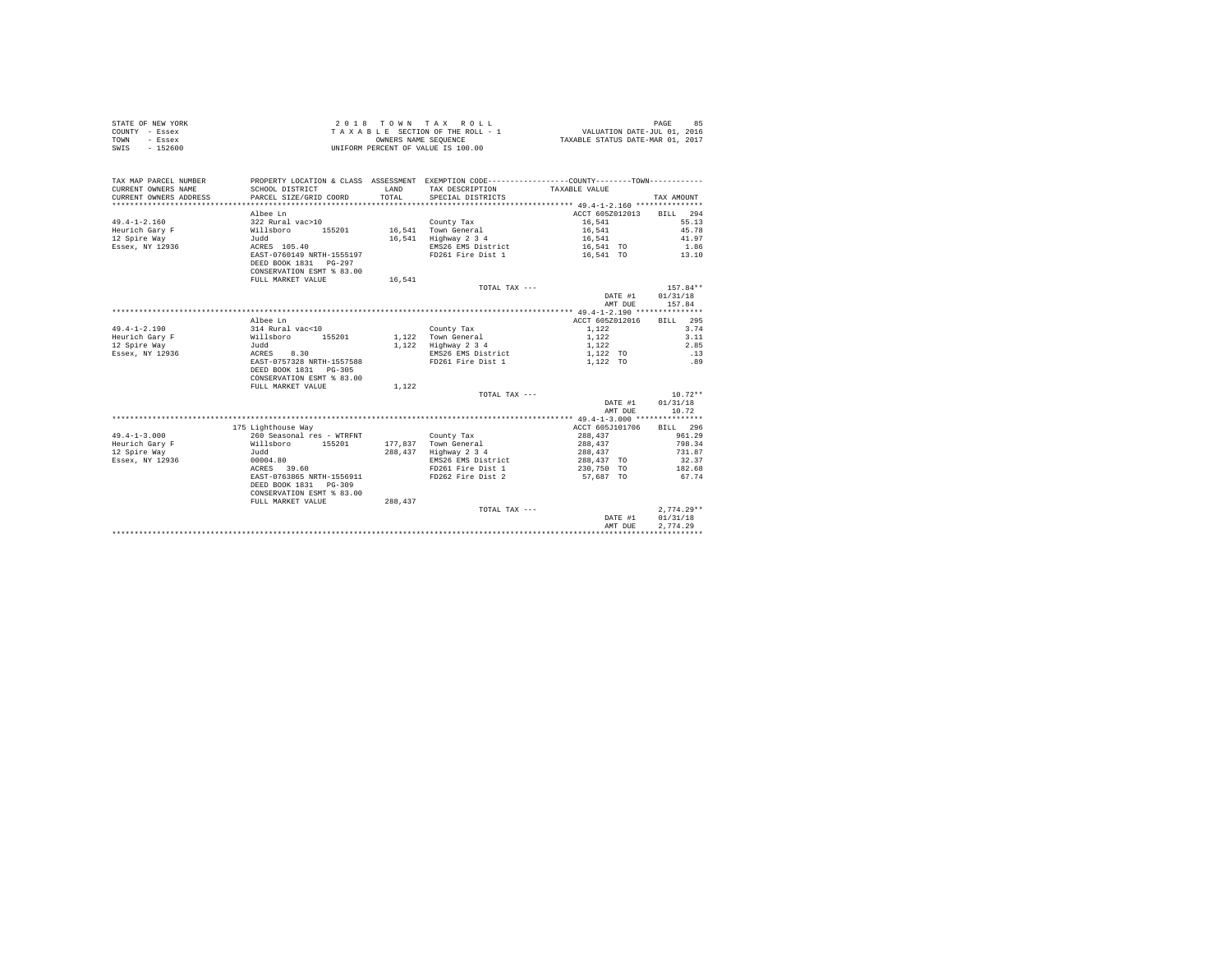| PROPERTY LOCATION & CLASS ASSESSMENT EXEMPTION CODE---------------COUNTY-------TOWN----------<br>TAX MAP PARCEL NUMBER<br>CURRENT OWNERS NAME<br>LAND<br>SCHOOL DISTRICT<br>TAX DESCRIPTION TAXABLE VALUE<br>PARCEL SIZE/GRID COORD<br>TOTAL<br>CURRENT OWNERS ADDRESS<br>SPECIAL DISTRICTS<br>TAX AMOUNT<br>Albee Ln<br>ACCT 605Z012013<br>BILL 294<br>$49.4 - 1 - 2.160$<br>322 Rural vac>10<br>16,541<br>55.13<br>County Tax<br>Willsboro 155201<br>16,541<br>45.78<br>Heurich Gary F<br>16,541 Town General<br>41.97<br>12 Spire Way<br>16,541 Highway 2 3 4<br>16,541<br>Judd<br>ACRES 105.40<br>Essex, NY 12936<br>EMS26 EMS District<br>16,541 TO<br>1.86<br>EAST-0760149 NRTH-1555197<br>FD261 Fire Dist 1<br>16,541 TO<br>13.10<br>DEED BOOK 1831    PG-297<br>CONSERVATION ESMT % 83.00<br>FULL MARKET VALUE<br>16,541<br>$157.84**$<br>TOTAL TAX ---<br>DATE #1<br>01/31/18<br>157.84<br>AMT DUE<br>Albee Ln<br>ACCT 605Z012016<br>BILL 295<br>$49.4 - 1 - 2.190$<br>3.74<br>314 Rural vac<10<br>1,122<br>County Tax<br>Willsboro 155201<br>1,122 Town General<br>1,122 Highway 2 3 4<br>Heurich Gary F<br>1.122<br>3.11<br>12 Spire Way<br>1,122<br>2.85<br>Judd<br>Essex, NY 12936<br>EMS26 EMS District<br>ACRES 8.30<br>1,122 TO<br>.13<br>FD261 Fire Dist 1<br>EAST-0757328 NRTH-1557588<br>1.122 TO<br>.89<br>DEED BOOK 1831 PG-305<br>CONSERVATION ESMT % 83.00<br>FULL MARKET VALUE<br>1,122<br>$10.72**$<br>TOTAL TAX ---<br>DATE #1<br>01/31/18<br>10.72<br>AMT DUE<br>BILL 296<br>175 Lighthouse Way<br>ACCT 605J101706<br>County Tax<br>$49.4 - 1 - 3.000$<br>260 Seasonal res - WTRFNT<br>288,437<br>961.29<br>Heurich Gary F<br>Willsboro 155201<br>177,837 Town General<br>288,437 Highway 2 3 4<br>288,437<br>798.34<br>12 Spire Way<br>288,437<br>731.87<br>Judd<br>00004.80<br>Essex, NY 12936<br>EMS26 EMS District<br>288,437 TO<br>32.37<br>ACRES 39.60<br>FD261 Fire Dist 1<br>230,750 TO<br>182.68<br>EAST-0763865 NRTH-1556911<br>FD262 Fire Dist 2<br>57,687 TO<br>67.74<br>DEED BOOK 1831 PG-309<br>CONSERVATION ESMT % 83.00<br>FULL MARKET VALUE<br>288.437<br>$2,774.29**$<br>TOTAL TAX ---<br>01/31/18<br>DATE #1<br>2.774.29<br>AMT DUE | STATE OF NEW YORK<br>COUNTY - Essex<br>TOWN<br>- Essex<br>SWIS - 152600 | TAXABLE<br>OWNERS NAME SEQUENCE<br>UNIFORM PERCENT OF VALUE IS 100.00 |  |  |  |  |  |  |  |  |  |
|-----------------------------------------------------------------------------------------------------------------------------------------------------------------------------------------------------------------------------------------------------------------------------------------------------------------------------------------------------------------------------------------------------------------------------------------------------------------------------------------------------------------------------------------------------------------------------------------------------------------------------------------------------------------------------------------------------------------------------------------------------------------------------------------------------------------------------------------------------------------------------------------------------------------------------------------------------------------------------------------------------------------------------------------------------------------------------------------------------------------------------------------------------------------------------------------------------------------------------------------------------------------------------------------------------------------------------------------------------------------------------------------------------------------------------------------------------------------------------------------------------------------------------------------------------------------------------------------------------------------------------------------------------------------------------------------------------------------------------------------------------------------------------------------------------------------------------------------------------------------------------------------------------------------------------------------------------------------------------------------------------------------------------------------------------------------------------------------------------------------------------------------------------------------------------------|-------------------------------------------------------------------------|-----------------------------------------------------------------------|--|--|--|--|--|--|--|--|--|
|                                                                                                                                                                                                                                                                                                                                                                                                                                                                                                                                                                                                                                                                                                                                                                                                                                                                                                                                                                                                                                                                                                                                                                                                                                                                                                                                                                                                                                                                                                                                                                                                                                                                                                                                                                                                                                                                                                                                                                                                                                                                                                                                                                                   |                                                                         |                                                                       |  |  |  |  |  |  |  |  |  |
|                                                                                                                                                                                                                                                                                                                                                                                                                                                                                                                                                                                                                                                                                                                                                                                                                                                                                                                                                                                                                                                                                                                                                                                                                                                                                                                                                                                                                                                                                                                                                                                                                                                                                                                                                                                                                                                                                                                                                                                                                                                                                                                                                                                   |                                                                         |                                                                       |  |  |  |  |  |  |  |  |  |
|                                                                                                                                                                                                                                                                                                                                                                                                                                                                                                                                                                                                                                                                                                                                                                                                                                                                                                                                                                                                                                                                                                                                                                                                                                                                                                                                                                                                                                                                                                                                                                                                                                                                                                                                                                                                                                                                                                                                                                                                                                                                                                                                                                                   |                                                                         |                                                                       |  |  |  |  |  |  |  |  |  |
|                                                                                                                                                                                                                                                                                                                                                                                                                                                                                                                                                                                                                                                                                                                                                                                                                                                                                                                                                                                                                                                                                                                                                                                                                                                                                                                                                                                                                                                                                                                                                                                                                                                                                                                                                                                                                                                                                                                                                                                                                                                                                                                                                                                   |                                                                         |                                                                       |  |  |  |  |  |  |  |  |  |
|                                                                                                                                                                                                                                                                                                                                                                                                                                                                                                                                                                                                                                                                                                                                                                                                                                                                                                                                                                                                                                                                                                                                                                                                                                                                                                                                                                                                                                                                                                                                                                                                                                                                                                                                                                                                                                                                                                                                                                                                                                                                                                                                                                                   |                                                                         |                                                                       |  |  |  |  |  |  |  |  |  |
|                                                                                                                                                                                                                                                                                                                                                                                                                                                                                                                                                                                                                                                                                                                                                                                                                                                                                                                                                                                                                                                                                                                                                                                                                                                                                                                                                                                                                                                                                                                                                                                                                                                                                                                                                                                                                                                                                                                                                                                                                                                                                                                                                                                   |                                                                         |                                                                       |  |  |  |  |  |  |  |  |  |
|                                                                                                                                                                                                                                                                                                                                                                                                                                                                                                                                                                                                                                                                                                                                                                                                                                                                                                                                                                                                                                                                                                                                                                                                                                                                                                                                                                                                                                                                                                                                                                                                                                                                                                                                                                                                                                                                                                                                                                                                                                                                                                                                                                                   |                                                                         |                                                                       |  |  |  |  |  |  |  |  |  |
|                                                                                                                                                                                                                                                                                                                                                                                                                                                                                                                                                                                                                                                                                                                                                                                                                                                                                                                                                                                                                                                                                                                                                                                                                                                                                                                                                                                                                                                                                                                                                                                                                                                                                                                                                                                                                                                                                                                                                                                                                                                                                                                                                                                   |                                                                         |                                                                       |  |  |  |  |  |  |  |  |  |
|                                                                                                                                                                                                                                                                                                                                                                                                                                                                                                                                                                                                                                                                                                                                                                                                                                                                                                                                                                                                                                                                                                                                                                                                                                                                                                                                                                                                                                                                                                                                                                                                                                                                                                                                                                                                                                                                                                                                                                                                                                                                                                                                                                                   |                                                                         |                                                                       |  |  |  |  |  |  |  |  |  |
|                                                                                                                                                                                                                                                                                                                                                                                                                                                                                                                                                                                                                                                                                                                                                                                                                                                                                                                                                                                                                                                                                                                                                                                                                                                                                                                                                                                                                                                                                                                                                                                                                                                                                                                                                                                                                                                                                                                                                                                                                                                                                                                                                                                   |                                                                         |                                                                       |  |  |  |  |  |  |  |  |  |
|                                                                                                                                                                                                                                                                                                                                                                                                                                                                                                                                                                                                                                                                                                                                                                                                                                                                                                                                                                                                                                                                                                                                                                                                                                                                                                                                                                                                                                                                                                                                                                                                                                                                                                                                                                                                                                                                                                                                                                                                                                                                                                                                                                                   |                                                                         |                                                                       |  |  |  |  |  |  |  |  |  |
|                                                                                                                                                                                                                                                                                                                                                                                                                                                                                                                                                                                                                                                                                                                                                                                                                                                                                                                                                                                                                                                                                                                                                                                                                                                                                                                                                                                                                                                                                                                                                                                                                                                                                                                                                                                                                                                                                                                                                                                                                                                                                                                                                                                   |                                                                         |                                                                       |  |  |  |  |  |  |  |  |  |
|                                                                                                                                                                                                                                                                                                                                                                                                                                                                                                                                                                                                                                                                                                                                                                                                                                                                                                                                                                                                                                                                                                                                                                                                                                                                                                                                                                                                                                                                                                                                                                                                                                                                                                                                                                                                                                                                                                                                                                                                                                                                                                                                                                                   |                                                                         |                                                                       |  |  |  |  |  |  |  |  |  |
|                                                                                                                                                                                                                                                                                                                                                                                                                                                                                                                                                                                                                                                                                                                                                                                                                                                                                                                                                                                                                                                                                                                                                                                                                                                                                                                                                                                                                                                                                                                                                                                                                                                                                                                                                                                                                                                                                                                                                                                                                                                                                                                                                                                   |                                                                         |                                                                       |  |  |  |  |  |  |  |  |  |
|                                                                                                                                                                                                                                                                                                                                                                                                                                                                                                                                                                                                                                                                                                                                                                                                                                                                                                                                                                                                                                                                                                                                                                                                                                                                                                                                                                                                                                                                                                                                                                                                                                                                                                                                                                                                                                                                                                                                                                                                                                                                                                                                                                                   |                                                                         |                                                                       |  |  |  |  |  |  |  |  |  |
|                                                                                                                                                                                                                                                                                                                                                                                                                                                                                                                                                                                                                                                                                                                                                                                                                                                                                                                                                                                                                                                                                                                                                                                                                                                                                                                                                                                                                                                                                                                                                                                                                                                                                                                                                                                                                                                                                                                                                                                                                                                                                                                                                                                   |                                                                         |                                                                       |  |  |  |  |  |  |  |  |  |
|                                                                                                                                                                                                                                                                                                                                                                                                                                                                                                                                                                                                                                                                                                                                                                                                                                                                                                                                                                                                                                                                                                                                                                                                                                                                                                                                                                                                                                                                                                                                                                                                                                                                                                                                                                                                                                                                                                                                                                                                                                                                                                                                                                                   |                                                                         |                                                                       |  |  |  |  |  |  |  |  |  |
|                                                                                                                                                                                                                                                                                                                                                                                                                                                                                                                                                                                                                                                                                                                                                                                                                                                                                                                                                                                                                                                                                                                                                                                                                                                                                                                                                                                                                                                                                                                                                                                                                                                                                                                                                                                                                                                                                                                                                                                                                                                                                                                                                                                   |                                                                         |                                                                       |  |  |  |  |  |  |  |  |  |
|                                                                                                                                                                                                                                                                                                                                                                                                                                                                                                                                                                                                                                                                                                                                                                                                                                                                                                                                                                                                                                                                                                                                                                                                                                                                                                                                                                                                                                                                                                                                                                                                                                                                                                                                                                                                                                                                                                                                                                                                                                                                                                                                                                                   |                                                                         |                                                                       |  |  |  |  |  |  |  |  |  |
|                                                                                                                                                                                                                                                                                                                                                                                                                                                                                                                                                                                                                                                                                                                                                                                                                                                                                                                                                                                                                                                                                                                                                                                                                                                                                                                                                                                                                                                                                                                                                                                                                                                                                                                                                                                                                                                                                                                                                                                                                                                                                                                                                                                   |                                                                         |                                                                       |  |  |  |  |  |  |  |  |  |
|                                                                                                                                                                                                                                                                                                                                                                                                                                                                                                                                                                                                                                                                                                                                                                                                                                                                                                                                                                                                                                                                                                                                                                                                                                                                                                                                                                                                                                                                                                                                                                                                                                                                                                                                                                                                                                                                                                                                                                                                                                                                                                                                                                                   |                                                                         |                                                                       |  |  |  |  |  |  |  |  |  |
|                                                                                                                                                                                                                                                                                                                                                                                                                                                                                                                                                                                                                                                                                                                                                                                                                                                                                                                                                                                                                                                                                                                                                                                                                                                                                                                                                                                                                                                                                                                                                                                                                                                                                                                                                                                                                                                                                                                                                                                                                                                                                                                                                                                   |                                                                         |                                                                       |  |  |  |  |  |  |  |  |  |
|                                                                                                                                                                                                                                                                                                                                                                                                                                                                                                                                                                                                                                                                                                                                                                                                                                                                                                                                                                                                                                                                                                                                                                                                                                                                                                                                                                                                                                                                                                                                                                                                                                                                                                                                                                                                                                                                                                                                                                                                                                                                                                                                                                                   |                                                                         |                                                                       |  |  |  |  |  |  |  |  |  |
|                                                                                                                                                                                                                                                                                                                                                                                                                                                                                                                                                                                                                                                                                                                                                                                                                                                                                                                                                                                                                                                                                                                                                                                                                                                                                                                                                                                                                                                                                                                                                                                                                                                                                                                                                                                                                                                                                                                                                                                                                                                                                                                                                                                   |                                                                         |                                                                       |  |  |  |  |  |  |  |  |  |
|                                                                                                                                                                                                                                                                                                                                                                                                                                                                                                                                                                                                                                                                                                                                                                                                                                                                                                                                                                                                                                                                                                                                                                                                                                                                                                                                                                                                                                                                                                                                                                                                                                                                                                                                                                                                                                                                                                                                                                                                                                                                                                                                                                                   |                                                                         |                                                                       |  |  |  |  |  |  |  |  |  |
|                                                                                                                                                                                                                                                                                                                                                                                                                                                                                                                                                                                                                                                                                                                                                                                                                                                                                                                                                                                                                                                                                                                                                                                                                                                                                                                                                                                                                                                                                                                                                                                                                                                                                                                                                                                                                                                                                                                                                                                                                                                                                                                                                                                   |                                                                         |                                                                       |  |  |  |  |  |  |  |  |  |
|                                                                                                                                                                                                                                                                                                                                                                                                                                                                                                                                                                                                                                                                                                                                                                                                                                                                                                                                                                                                                                                                                                                                                                                                                                                                                                                                                                                                                                                                                                                                                                                                                                                                                                                                                                                                                                                                                                                                                                                                                                                                                                                                                                                   |                                                                         |                                                                       |  |  |  |  |  |  |  |  |  |
|                                                                                                                                                                                                                                                                                                                                                                                                                                                                                                                                                                                                                                                                                                                                                                                                                                                                                                                                                                                                                                                                                                                                                                                                                                                                                                                                                                                                                                                                                                                                                                                                                                                                                                                                                                                                                                                                                                                                                                                                                                                                                                                                                                                   |                                                                         |                                                                       |  |  |  |  |  |  |  |  |  |
|                                                                                                                                                                                                                                                                                                                                                                                                                                                                                                                                                                                                                                                                                                                                                                                                                                                                                                                                                                                                                                                                                                                                                                                                                                                                                                                                                                                                                                                                                                                                                                                                                                                                                                                                                                                                                                                                                                                                                                                                                                                                                                                                                                                   |                                                                         |                                                                       |  |  |  |  |  |  |  |  |  |
|                                                                                                                                                                                                                                                                                                                                                                                                                                                                                                                                                                                                                                                                                                                                                                                                                                                                                                                                                                                                                                                                                                                                                                                                                                                                                                                                                                                                                                                                                                                                                                                                                                                                                                                                                                                                                                                                                                                                                                                                                                                                                                                                                                                   |                                                                         |                                                                       |  |  |  |  |  |  |  |  |  |
|                                                                                                                                                                                                                                                                                                                                                                                                                                                                                                                                                                                                                                                                                                                                                                                                                                                                                                                                                                                                                                                                                                                                                                                                                                                                                                                                                                                                                                                                                                                                                                                                                                                                                                                                                                                                                                                                                                                                                                                                                                                                                                                                                                                   |                                                                         |                                                                       |  |  |  |  |  |  |  |  |  |
|                                                                                                                                                                                                                                                                                                                                                                                                                                                                                                                                                                                                                                                                                                                                                                                                                                                                                                                                                                                                                                                                                                                                                                                                                                                                                                                                                                                                                                                                                                                                                                                                                                                                                                                                                                                                                                                                                                                                                                                                                                                                                                                                                                                   |                                                                         |                                                                       |  |  |  |  |  |  |  |  |  |
|                                                                                                                                                                                                                                                                                                                                                                                                                                                                                                                                                                                                                                                                                                                                                                                                                                                                                                                                                                                                                                                                                                                                                                                                                                                                                                                                                                                                                                                                                                                                                                                                                                                                                                                                                                                                                                                                                                                                                                                                                                                                                                                                                                                   |                                                                         |                                                                       |  |  |  |  |  |  |  |  |  |
|                                                                                                                                                                                                                                                                                                                                                                                                                                                                                                                                                                                                                                                                                                                                                                                                                                                                                                                                                                                                                                                                                                                                                                                                                                                                                                                                                                                                                                                                                                                                                                                                                                                                                                                                                                                                                                                                                                                                                                                                                                                                                                                                                                                   |                                                                         |                                                                       |  |  |  |  |  |  |  |  |  |
|                                                                                                                                                                                                                                                                                                                                                                                                                                                                                                                                                                                                                                                                                                                                                                                                                                                                                                                                                                                                                                                                                                                                                                                                                                                                                                                                                                                                                                                                                                                                                                                                                                                                                                                                                                                                                                                                                                                                                                                                                                                                                                                                                                                   |                                                                         |                                                                       |  |  |  |  |  |  |  |  |  |
|                                                                                                                                                                                                                                                                                                                                                                                                                                                                                                                                                                                                                                                                                                                                                                                                                                                                                                                                                                                                                                                                                                                                                                                                                                                                                                                                                                                                                                                                                                                                                                                                                                                                                                                                                                                                                                                                                                                                                                                                                                                                                                                                                                                   |                                                                         |                                                                       |  |  |  |  |  |  |  |  |  |
|                                                                                                                                                                                                                                                                                                                                                                                                                                                                                                                                                                                                                                                                                                                                                                                                                                                                                                                                                                                                                                                                                                                                                                                                                                                                                                                                                                                                                                                                                                                                                                                                                                                                                                                                                                                                                                                                                                                                                                                                                                                                                                                                                                                   |                                                                         |                                                                       |  |  |  |  |  |  |  |  |  |
|                                                                                                                                                                                                                                                                                                                                                                                                                                                                                                                                                                                                                                                                                                                                                                                                                                                                                                                                                                                                                                                                                                                                                                                                                                                                                                                                                                                                                                                                                                                                                                                                                                                                                                                                                                                                                                                                                                                                                                                                                                                                                                                                                                                   |                                                                         |                                                                       |  |  |  |  |  |  |  |  |  |
|                                                                                                                                                                                                                                                                                                                                                                                                                                                                                                                                                                                                                                                                                                                                                                                                                                                                                                                                                                                                                                                                                                                                                                                                                                                                                                                                                                                                                                                                                                                                                                                                                                                                                                                                                                                                                                                                                                                                                                                                                                                                                                                                                                                   |                                                                         |                                                                       |  |  |  |  |  |  |  |  |  |
|                                                                                                                                                                                                                                                                                                                                                                                                                                                                                                                                                                                                                                                                                                                                                                                                                                                                                                                                                                                                                                                                                                                                                                                                                                                                                                                                                                                                                                                                                                                                                                                                                                                                                                                                                                                                                                                                                                                                                                                                                                                                                                                                                                                   |                                                                         |                                                                       |  |  |  |  |  |  |  |  |  |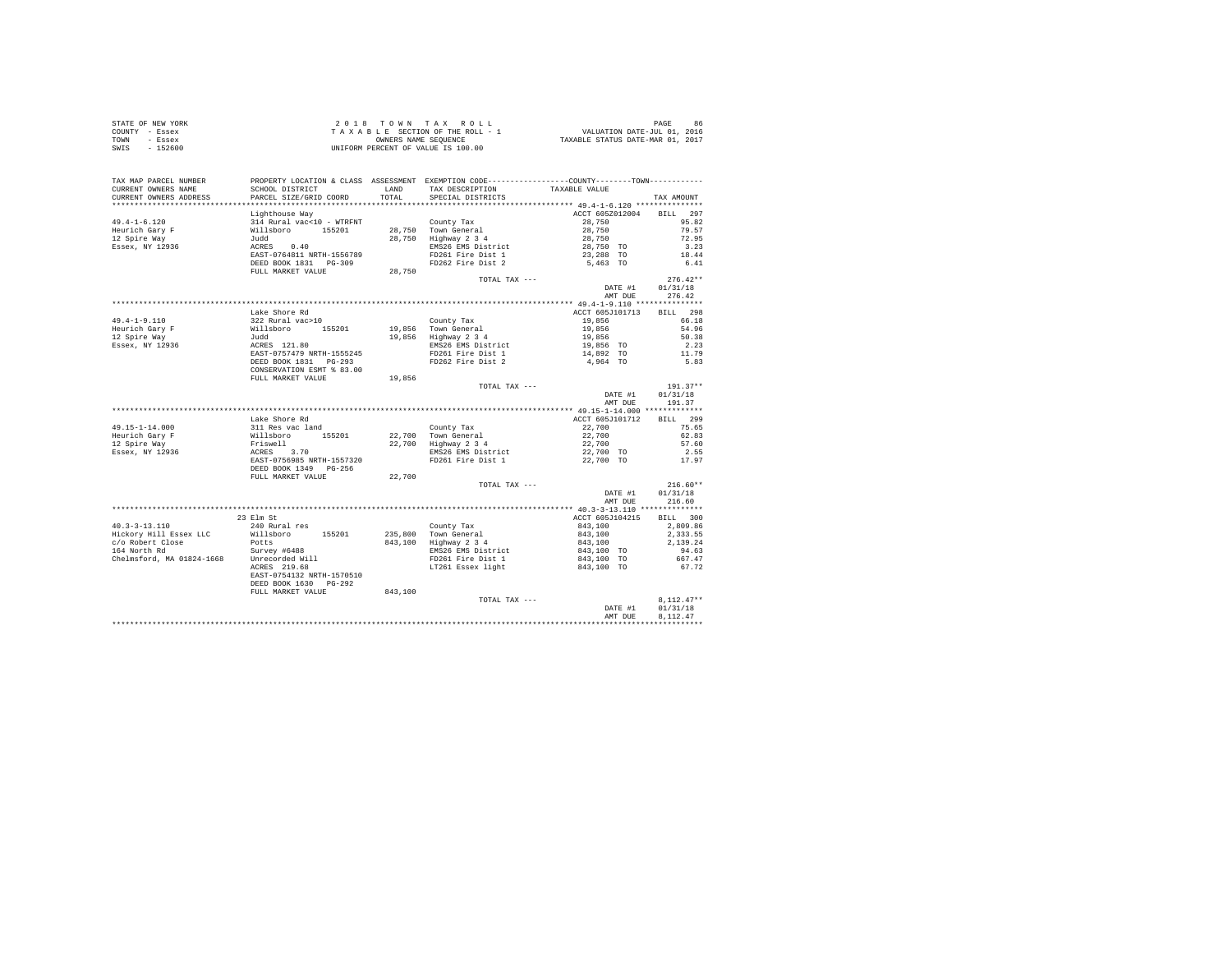| STATE OF NEW YORK | 2018 TOWN TAX ROLL                 | 86<br>PAGE                       |
|-------------------|------------------------------------|----------------------------------|
| COUNTY - Essex    | TAXABLE SECTION OF THE ROLL - 1    | VALUATION DATE-JUL 01, 2016      |
| TOWN<br>- Essex   | OWNERS NAME SEOUENCE               | TAXABLE STATUS DATE-MAR 01, 2017 |
| - 152600<br>SWIS  | UNIFORM PERCENT OF VALUE IS 100.00 |                                  |

| TAX MAP PARCEL NUMBER<br>CURRENT OWNERS NAME                                                                                                                                                                                                                                                                                                                                                                             | SCHOOL DISTRICT                                                                                                                          |         | PROPERTY LOCATION & CLASS ASSESSMENT EXEMPTION CODE----------------COUNTY--------TOWN----------<br>LAND TAX DESCRIPTION | TAXABLE VALUE                                                       |                        |
|--------------------------------------------------------------------------------------------------------------------------------------------------------------------------------------------------------------------------------------------------------------------------------------------------------------------------------------------------------------------------------------------------------------------------|------------------------------------------------------------------------------------------------------------------------------------------|---------|-------------------------------------------------------------------------------------------------------------------------|---------------------------------------------------------------------|------------------------|
| CURRENT OWNERS ADDRESS                                                                                                                                                                                                                                                                                                                                                                                                   | PARCEL SIZE/GRID COORD                                                                                                                   | TOTAL   | SPECIAL DISTRICTS                                                                                                       |                                                                     | TAX AMOUNT             |
|                                                                                                                                                                                                                                                                                                                                                                                                                          |                                                                                                                                          |         |                                                                                                                         |                                                                     |                        |
|                                                                                                                                                                                                                                                                                                                                                                                                                          | Lighthouse Way                                                                                                                           |         |                                                                                                                         | ACCT 605Z012004<br>28,750                                           | BILL 297<br>95.82      |
| $\begin{tabular}{lllllllllllll} \texttt{49.4--1-6.120} & \texttt{Lign: noise way} & \texttt{way} & \texttt{14.0--01} & \texttt{NTRENT} \\ \texttt{Heurich Gary F} & \texttt{Willisbro} & 155201 & \texttt{1} & \texttt{2} & \texttt{2} & \texttt{2} & \texttt{2} & \texttt{2} & \texttt{2} & \texttt{2} & \texttt{2} & \texttt{2} & \texttt{2} \\ \texttt{12.5} & \texttt{52.6} & \texttt{32.7} & \texttt{13.0} & \text$ |                                                                                                                                          |         | County Tax                                                                                                              |                                                                     | 79.57                  |
|                                                                                                                                                                                                                                                                                                                                                                                                                          |                                                                                                                                          |         | 28,750 Town General<br>28,750 Highway 2 3 4                                                                             |                                                                     |                        |
|                                                                                                                                                                                                                                                                                                                                                                                                                          |                                                                                                                                          |         |                                                                                                                         | $28,750$<br>28,750<br>28,750 TO                                     | 72.95                  |
|                                                                                                                                                                                                                                                                                                                                                                                                                          |                                                                                                                                          |         | EMS26 EMS District                                                                                                      |                                                                     | 3.23<br>18.44          |
|                                                                                                                                                                                                                                                                                                                                                                                                                          |                                                                                                                                          |         | FD261 Fire Dist 1                                                                                                       | 23,288 TO                                                           |                        |
|                                                                                                                                                                                                                                                                                                                                                                                                                          |                                                                                                                                          |         | FD262 Fire Dist 2                                                                                                       | 5,463 TO                                                            | 6.41                   |
|                                                                                                                                                                                                                                                                                                                                                                                                                          | FULL MARKET VALUE                                                                                                                        | 28,750  |                                                                                                                         |                                                                     | $276.42**$             |
|                                                                                                                                                                                                                                                                                                                                                                                                                          |                                                                                                                                          |         | TOTAL TAX ---                                                                                                           |                                                                     |                        |
|                                                                                                                                                                                                                                                                                                                                                                                                                          |                                                                                                                                          |         |                                                                                                                         | DATE #1                                                             | 01/31/18<br>276.42     |
|                                                                                                                                                                                                                                                                                                                                                                                                                          |                                                                                                                                          |         |                                                                                                                         | AMT DUE                                                             |                        |
|                                                                                                                                                                                                                                                                                                                                                                                                                          | Lake Shore Rd                                                                                                                            |         |                                                                                                                         | ACCT 605J101713                                                     | BILL 298               |
| $\begin{tabular}{lllllllll} \textbf{49.4--1-9.110} & \textbf{522 Rural vac}>10 \\ \textbf{Heurich Gary}&\textbf{W} &\textbf{Willisbro} &\textbf{155201} \\ \textbf{Heurich Gary}&\textbf{W111sbro} &\textbf{322 Rural vac}>10 \\ \textbf{12 Spire Way}&\textbf{10d} &\textbf{208} &\textbf{208} \\ \textbf{588ex, MV 12936} &\textbf{ACRES} &\textbf{121.80} &\textbf{RRTH-1555245} \\ \textbf{588D BOK $                |                                                                                                                                          |         |                                                                                                                         |                                                                     | 66.18                  |
|                                                                                                                                                                                                                                                                                                                                                                                                                          |                                                                                                                                          |         | County Tax<br>19,856 Town General<br>19,856 Highway 2 3 4                                                               | 19,856<br>19,856                                                    | 54.96                  |
|                                                                                                                                                                                                                                                                                                                                                                                                                          |                                                                                                                                          |         |                                                                                                                         | 19,856                                                              | 50.38                  |
|                                                                                                                                                                                                                                                                                                                                                                                                                          |                                                                                                                                          |         |                                                                                                                         |                                                                     | 2.23                   |
|                                                                                                                                                                                                                                                                                                                                                                                                                          |                                                                                                                                          |         | EMS26 EMS District<br>FD261 Fire Dist 1                                                                                 | 19,856 TO                                                           | 11.79                  |
|                                                                                                                                                                                                                                                                                                                                                                                                                          |                                                                                                                                          |         | FD262 Fire Dist 2                                                                                                       | 14,892 TO<br>4,964 TO                                               | 5.83                   |
|                                                                                                                                                                                                                                                                                                                                                                                                                          |                                                                                                                                          |         |                                                                                                                         |                                                                     |                        |
|                                                                                                                                                                                                                                                                                                                                                                                                                          | CONSERVATION ESMT % 83.00                                                                                                                |         |                                                                                                                         |                                                                     |                        |
|                                                                                                                                                                                                                                                                                                                                                                                                                          | FULL MARKET VALUE                                                                                                                        | 19,856  |                                                                                                                         |                                                                     |                        |
|                                                                                                                                                                                                                                                                                                                                                                                                                          |                                                                                                                                          |         | TOTAL TAX ---                                                                                                           |                                                                     | $191.37**$<br>01/31/18 |
|                                                                                                                                                                                                                                                                                                                                                                                                                          |                                                                                                                                          |         |                                                                                                                         | DATE #1                                                             |                        |
|                                                                                                                                                                                                                                                                                                                                                                                                                          |                                                                                                                                          |         |                                                                                                                         | AMT DUE                                                             | 191.37                 |
|                                                                                                                                                                                                                                                                                                                                                                                                                          |                                                                                                                                          |         |                                                                                                                         |                                                                     |                        |
|                                                                                                                                                                                                                                                                                                                                                                                                                          | Lake Shore Rd                                                                                                                            |         |                                                                                                                         | ACCT 605J101712                                                     | BILL 299               |
| $49.15 - 1 - 14.000$                                                                                                                                                                                                                                                                                                                                                                                                     |                                                                                                                                          |         | County Tax                                                                                                              | 22,700                                                              | 75.65                  |
| Heurich Gary F                                                                                                                                                                                                                                                                                                                                                                                                           |                                                                                                                                          |         | 22,700 Town General<br>22,700 Highway 2 3 4                                                                             | 22,700<br>22,700                                                    | 62.83                  |
| 12 Spire Way                                                                                                                                                                                                                                                                                                                                                                                                             |                                                                                                                                          |         |                                                                                                                         |                                                                     | 57.60                  |
| Essex, NY 12936                                                                                                                                                                                                                                                                                                                                                                                                          |                                                                                                                                          |         | EMS26 EMS District<br>FD261 Fire Dist 1 22,700 TO 17.97                                                                 | 22,700 TO                                                           | 2.55                   |
|                                                                                                                                                                                                                                                                                                                                                                                                                          |                                                                                                                                          |         |                                                                                                                         |                                                                     |                        |
|                                                                                                                                                                                                                                                                                                                                                                                                                          | MARE SHOWER<br>Millsboro 155201<br>Friswell<br>RCRES 3.70<br>EAST-0756985 NRTH-1557320<br>DEED BOOK 1349 PG-256<br>DEED BOOK 1349 PG-256 |         |                                                                                                                         |                                                                     |                        |
|                                                                                                                                                                                                                                                                                                                                                                                                                          | FULL MARKET VALUE                                                                                                                        | 22,700  |                                                                                                                         |                                                                     |                        |
|                                                                                                                                                                                                                                                                                                                                                                                                                          |                                                                                                                                          |         | TOTAL TAX ---                                                                                                           |                                                                     | $216.60**$             |
|                                                                                                                                                                                                                                                                                                                                                                                                                          |                                                                                                                                          |         |                                                                                                                         | DATE #1                                                             | 01/31/18               |
|                                                                                                                                                                                                                                                                                                                                                                                                                          |                                                                                                                                          |         |                                                                                                                         | AMT DUE                                                             | 216.60                 |
|                                                                                                                                                                                                                                                                                                                                                                                                                          |                                                                                                                                          |         |                                                                                                                         |                                                                     |                        |
|                                                                                                                                                                                                                                                                                                                                                                                                                          | 23 Elm St                                                                                                                                |         |                                                                                                                         | ACCT 605J104215                                                     | BILL 300               |
| $40.3 - 3 - 13.110$                                                                                                                                                                                                                                                                                                                                                                                                      | 240 Rural res<br>willsboro 155201                                                                                                        |         | County Tax<br>235,800 Town General<br>843,100 Highway 2 3 4                                                             | $843,100$<br>$843,100$<br>$843,100$<br>$843,100$ TO<br>$843,100$ TO | 2,809.86               |
| Hickory Hill Essex LLC                                                                                                                                                                                                                                                                                                                                                                                                   |                                                                                                                                          |         |                                                                                                                         |                                                                     | 2,333.55               |
|                                                                                                                                                                                                                                                                                                                                                                                                                          |                                                                                                                                          |         |                                                                                                                         |                                                                     | 2,139.24               |
|                                                                                                                                                                                                                                                                                                                                                                                                                          |                                                                                                                                          |         | EMS26 EMS District                                                                                                      |                                                                     | 94.63                  |
| - According to the Potts<br>164 North Rd<br>164 North Rd<br>Chelmsford, MA 01824-1668 Unrecorded Will<br>ACRES 219.68                                                                                                                                                                                                                                                                                                    |                                                                                                                                          |         | FD261 Fire Dist 1                                                                                                       |                                                                     | 667.47                 |
|                                                                                                                                                                                                                                                                                                                                                                                                                          | EAST-0754132 NRTH-1570510                                                                                                                |         | LT261 Essex light                                                                                                       | 843,100 TO                                                          | 67.72                  |
|                                                                                                                                                                                                                                                                                                                                                                                                                          |                                                                                                                                          |         |                                                                                                                         |                                                                     |                        |
|                                                                                                                                                                                                                                                                                                                                                                                                                          | DEED BOOK 1630 PG-292<br>FULL MARKET VALUE                                                                                               | 843,100 |                                                                                                                         |                                                                     |                        |
|                                                                                                                                                                                                                                                                                                                                                                                                                          |                                                                                                                                          |         | TOTAL TAX ---                                                                                                           |                                                                     | $8.112.47**$           |
|                                                                                                                                                                                                                                                                                                                                                                                                                          |                                                                                                                                          |         |                                                                                                                         |                                                                     |                        |
|                                                                                                                                                                                                                                                                                                                                                                                                                          |                                                                                                                                          |         |                                                                                                                         | DATE #1<br>AMT DUE                                                  | 01/31/18<br>8.112.47   |
|                                                                                                                                                                                                                                                                                                                                                                                                                          |                                                                                                                                          |         |                                                                                                                         |                                                                     |                        |
|                                                                                                                                                                                                                                                                                                                                                                                                                          |                                                                                                                                          |         |                                                                                                                         |                                                                     |                        |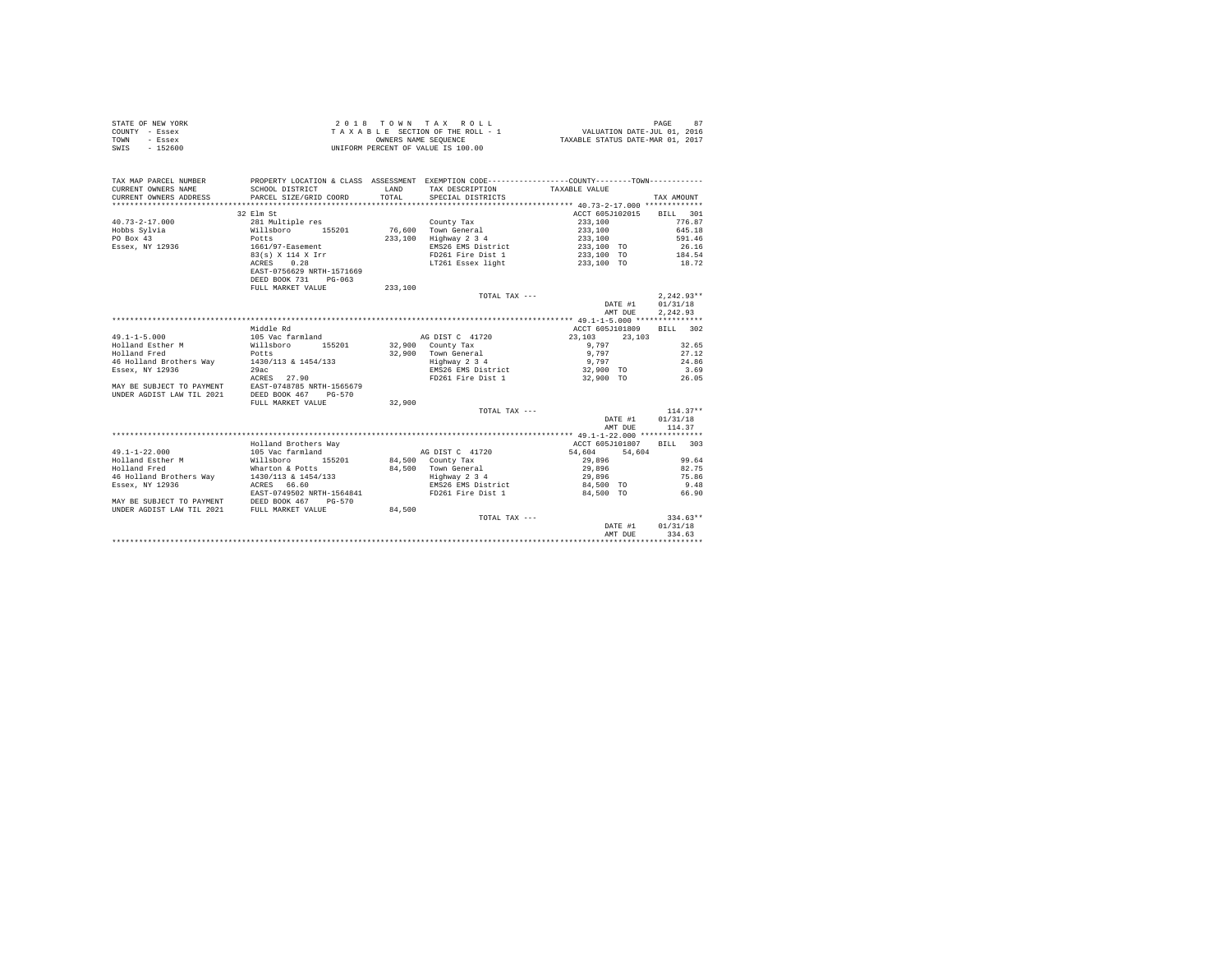| STATE OF NEW YORK | 2018 TOWN TAX ROLL                 | 87<br>PAGE                       |
|-------------------|------------------------------------|----------------------------------|
| COUNTY - Essex    | TAXABLE SECTION OF THE ROLL - 1    | VALUATION DATE-JUL 01, 2016      |
| TOWN<br>- Essex   | OWNERS NAME SEOUENCE               | TAXABLE STATUS DATE-MAR 01, 2017 |
| SWIS<br>$-152600$ | UNIFORM PERCENT OF VALUE IS 100.00 |                                  |

| TAX MAP PARCEL NUMBER                                                       |                                                       |         | PROPERTY LOCATION & CLASS ASSESSMENT EXEMPTION CODE----------------COUNTY--------TOWN---------- |                                       |                |
|-----------------------------------------------------------------------------|-------------------------------------------------------|---------|-------------------------------------------------------------------------------------------------|---------------------------------------|----------------|
| CURRENT OWNERS NAME                                                         | SCHOOL DISTRICT                                       |         | LAND TAX DESCRIPTION                                                                            | TAXABLE VALUE                         |                |
| CURRENT OWNERS ADDRESS                                                      | PARCEL SIZE/GRID COORD                                | TOTAL   | SPECIAL DISTRICTS                                                                               |                                       | TAX AMOUNT     |
|                                                                             |                                                       |         |                                                                                                 |                                       |                |
|                                                                             | 32 Elm St                                             |         |                                                                                                 | ACCT 605J102015 BILL 301              |                |
| $40.73 - 2 - 17.000$                                                        | 281 Multiple res                                      |         | County Tax                                                                                      | 233,100                               | 776.87         |
|                                                                             |                                                       |         | 76,600 Town General                                                                             | 233,100<br>233,100                    | 645.18         |
|                                                                             |                                                       |         | $233,100$ Highway $2\frac{3}{4}$                                                                |                                       | 591.46         |
|                                                                             |                                                       |         | EMS26 EMS District 233,100 TO 26.16                                                             |                                       |                |
|                                                                             | $83(s)$ X 114 X Irr<br>---- 0 28                      |         | FD261 Fire Dist 1<br>LT261 Essex light                                                          | 233,100 TO 184.54<br>233,100 TO 18.72 |                |
|                                                                             |                                                       |         |                                                                                                 |                                       |                |
|                                                                             | EAST-0756629 NRTH-1571669                             |         |                                                                                                 |                                       |                |
|                                                                             | DEED BOOK 731 PG-063                                  |         |                                                                                                 |                                       |                |
|                                                                             | FULL MARKET VALUE                                     | 233,100 |                                                                                                 |                                       |                |
|                                                                             |                                                       |         | TOTAL TAX ---                                                                                   |                                       | $2.242.93**$   |
|                                                                             |                                                       |         |                                                                                                 | DATE #1                               | 01/31/18       |
|                                                                             |                                                       |         |                                                                                                 | AMT DUE                               | 2,242.93       |
|                                                                             |                                                       |         |                                                                                                 |                                       |                |
|                                                                             | Middle Rd                                             |         |                                                                                                 | ACCT 605J101809 BILL 302              |                |
| $49.1 - 1 - 5.000$                                                          | 105 Vac farmland Communications and DIST C 41720      |         |                                                                                                 | 23, 103 23, 103                       |                |
| Holland Esther M (Willsboro 155201) 32,900 County Tax                       |                                                       |         |                                                                                                 | 9,797                                 | 32.65          |
| Holland Fred<br>46 Holland Brothers Way 1430/113 & 1454/133                 | Potts                                                 |         | 32,900 Town General<br>Highway 2 3 4<br>Highway 2 3 4                                           | 9,797<br>9,797                        | 27.12          |
|                                                                             |                                                       |         |                                                                                                 |                                       | 24.86          |
| Essex, NY 12936                                                             | 29ac<br>ACRES 27.90                                   |         | EMS26 EMS District                                                                              | 32,900 TO 3.69<br>32,900 TO 26.05     |                |
| MAY BE SUBJECT TO PAYMENT EAST-0748785 NRTH-1565679                         |                                                       |         | FD261 Fire Dist 1                                                                               |                                       |                |
|                                                                             |                                                       |         |                                                                                                 |                                       |                |
| UNDER AGDIST LAW TIL 2021 DEED BOOK 467 PG-570                              | FULL MARKET VALUE                                     | 32,900  |                                                                                                 |                                       |                |
|                                                                             |                                                       |         | TOTAL TAX ---                                                                                   |                                       | $114.37**$     |
|                                                                             |                                                       |         |                                                                                                 |                                       |                |
|                                                                             |                                                       |         |                                                                                                 | DATE #1 01/31/18                      | AMT DUE 114.37 |
|                                                                             |                                                       |         |                                                                                                 |                                       |                |
|                                                                             | Holland Brothers Way                                  |         |                                                                                                 | ACCT 605J101807 BILL 303              |                |
| $49.1 - 1 - 22.000$                                                         | 105 Vac farmland                                      |         | AG DIST C 41720                                                                                 | 54,604 54,604                         |                |
| Holland Esther M 		 Willsboro 		 155201 		 84,500 County Tax                |                                                       |         |                                                                                                 | 29,896 99.64                          |                |
| Holland Fred                                                                |                                                       |         |                                                                                                 |                                       |                |
| 46 Holland Brothers Way                                                     |                                                       |         | 84,500 Town General<br>Highway 2 3 4                                                            | 29,896<br>29,896                      | 82.75<br>75.86 |
| Essex, NY 12936                                                             | Wharton & Potts<br>1430/113 & 1454/133<br>ACRES 66.60 |         | EMS26 EMS District 64,500 TO 9.48                                                               |                                       |                |
|                                                                             |                                                       |         | FD261 Fire Dist 1                                                                               | 84.500 TO 66.90                       |                |
| EAST-0749502 NRTH-1564841<br>MAY BE SUBJECT TO PAYMENT DEED BOOK 467 PG-570 |                                                       |         |                                                                                                 |                                       |                |
| UNDER AGDIST LAW TIL 2021 FULL MARKET VALUE 84,500                          |                                                       |         |                                                                                                 |                                       |                |
|                                                                             |                                                       |         | TOTAL TAX ---                                                                                   |                                       | $334.63**$     |
|                                                                             |                                                       |         |                                                                                                 | DATE #1 01/31/18                      |                |
|                                                                             |                                                       |         |                                                                                                 | AMT DUE                               | 334.63         |
|                                                                             |                                                       |         |                                                                                                 |                                       |                |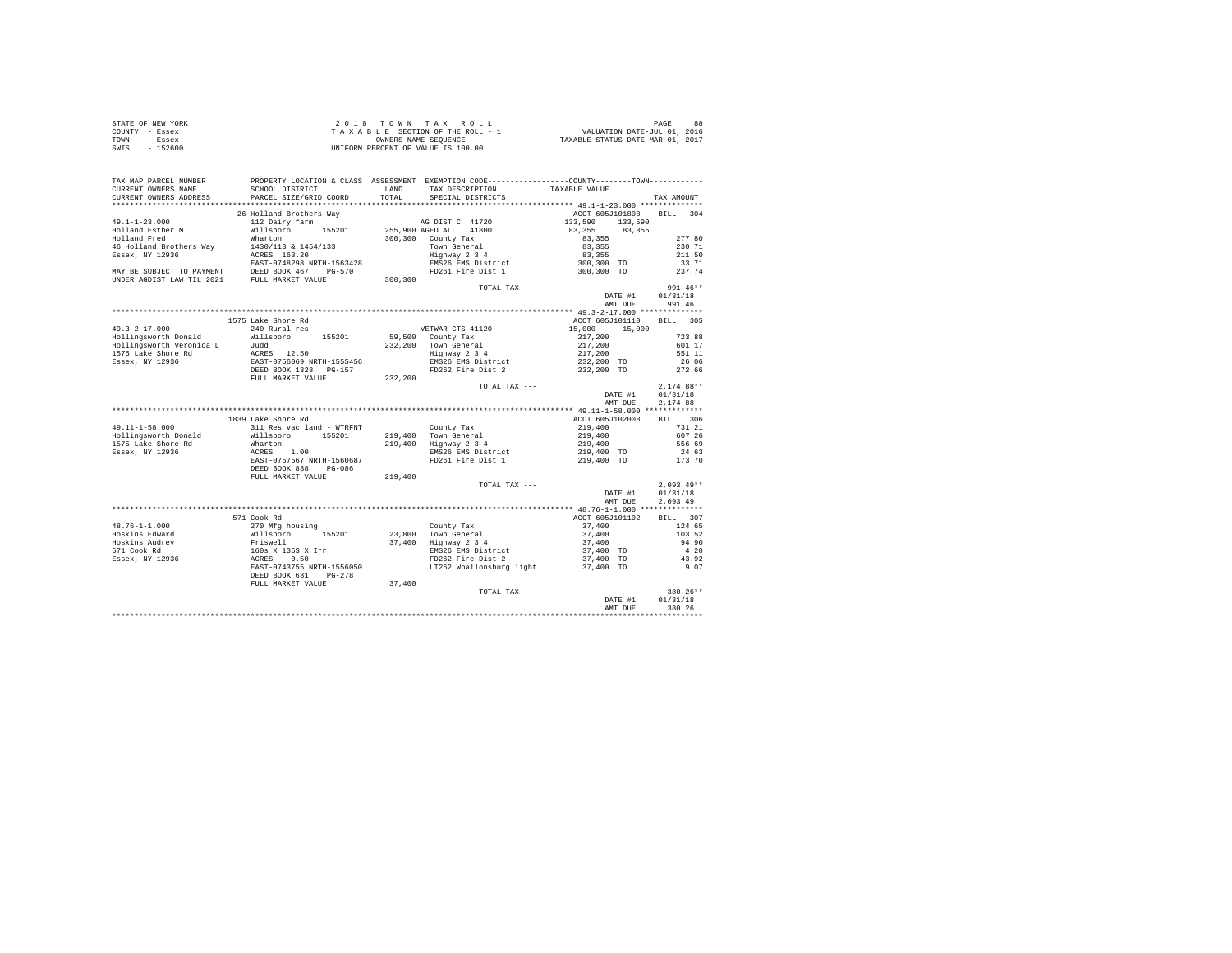| STATE OF NEW YORK | 2018 TOWN TAX ROLL                 | PAGE                             |
|-------------------|------------------------------------|----------------------------------|
| COUNTY - Essex    | TAXABLE SECTION OF THE ROLL - 1    | VALUATION DATE-JUL 01, 2016      |
| TOWN<br>- Essex   | OWNERS NAME SEOUENCE               | TAXABLE STATUS DATE-MAR 01, 2017 |
| $-152600$<br>SWIS | UNIFORM PERCENT OF VALUE IS 100.00 |                                  |

| TAX MAP PARCEL NUMBER<br>CURRENT OWNERS NAME      | SCHOOL DISTRICT                                                                                               | LAND    | TAX DESCRIPTION                                       | PROPERTY LOCATION & CLASS ASSESSMENT EXEMPTION CODE---------------COUNTY-------TOWN----------<br>TAXABLE VALUE |                    |
|---------------------------------------------------|---------------------------------------------------------------------------------------------------------------|---------|-------------------------------------------------------|----------------------------------------------------------------------------------------------------------------|--------------------|
| CURRENT OWNERS ADDRESS<br>*********************** | PARCEL SIZE/GRID COORD<br>***********************                                                             | TOTAL   | SPECIAL DISTRICTS                                     |                                                                                                                | TAX AMOUNT         |
|                                                   |                                                                                                               |         |                                                       | ACCT 605J101808 BILL 304                                                                                       |                    |
| $49.1 - 1 - 23.000$                               | 26 Holland Brothers Way<br>112 Dairy farm                                                                     |         | AG DIST C 41720                                       | 133,590<br>133,590                                                                                             |                    |
| Holland Esther M                                  | Willsboro 155201                                                                                              |         | 255,900 AGED ALL 41800                                | 83, 355 83, 355                                                                                                |                    |
| Holland Fred                                      | Wharton                                                                                                       |         | 300,300 County Tax                                    | 83,355                                                                                                         | 277.80             |
| 46 Holland Brothers Way                           | 1430/113 & 1454/133                                                                                           |         |                                                       | 83,355                                                                                                         | 230.71             |
| Essex, NY 12936                                   | ACRES 163.20                                                                                                  |         | Town General<br>Highway 2 3 4                         | 83,355                                                                                                         | 211.50             |
|                                                   | EAST-0748298 NRTH-1563428                                                                                     |         | EMS26 EMS District                                    | 300.300 TO                                                                                                     |                    |
|                                                   |                                                                                                               |         | FD261 Fire Dist 1                                     | 300,300 TO                                                                                                     | 33.71<br>237.74    |
|                                                   | MAY BE SUBJECT TO PAYMENT<br>UNDER AGDIST LAW TIL 2021 FULL MARKET VALUE                                      |         |                                                       |                                                                                                                |                    |
|                                                   |                                                                                                               | 300,300 |                                                       |                                                                                                                | 991.46**           |
|                                                   |                                                                                                               |         | TOTAL TAX ---                                         |                                                                                                                |                    |
|                                                   |                                                                                                               |         |                                                       | DATE #1                                                                                                        | 01/31/18<br>991.46 |
|                                                   |                                                                                                               |         |                                                       | AMT DUE                                                                                                        |                    |
|                                                   |                                                                                                               |         |                                                       |                                                                                                                |                    |
|                                                   | 1575 Lake Shore Rd                                                                                            |         |                                                       | ACCT 605J101110                                                                                                | BILL 305           |
| $49.3 - 2 - 17.000$                               | 240 Rural res                                                                                                 |         | VETWAR CTS 41120                                      | 15,000<br>15,000                                                                                               |                    |
| Hollingsworth Donald                              | Willsboro 155201<br>Judd                                                                                      |         | 59.500 County Tax                                     | 217,200                                                                                                        | 723.88             |
| Hollingsworth Veronica L                          |                                                                                                               |         | 232,200 Town General                                  | 217,200                                                                                                        | 601.17             |
| 1575 Lake Shore Rd                                |                                                                                                               |         | Highway 2 3 4                                         | 217,200                                                                                                        | 551.11             |
| Essex, NY 12936                                   | ACRES 12.50<br>EAST-0756069 NRTH-1555456<br>DEED BOOK 1328 PG-157                                             |         | EMS26 EMS District                                    | 232,200 TO                                                                                                     | 26.06              |
|                                                   |                                                                                                               |         | FD262 Fire Dist 2                                     | 232,200 TO                                                                                                     | 272.66             |
|                                                   | FULL MARKET VALUE                                                                                             | 232,200 |                                                       |                                                                                                                |                    |
|                                                   |                                                                                                               |         | TOTAL TAX ---                                         |                                                                                                                | $2,174.88**$       |
|                                                   |                                                                                                               |         |                                                       | DATE #1                                                                                                        | 01/31/18           |
|                                                   |                                                                                                               |         |                                                       | AMT DUE                                                                                                        | 2.174.88           |
|                                                   |                                                                                                               |         |                                                       |                                                                                                                |                    |
|                                                   | 1839 Lake Shore Rd                                                                                            |         |                                                       | ACCT 605J102008                                                                                                | BILL 306           |
| $49.11 - 1 - 58.000$                              | 311 Res vac land - WTRFNT County Tax                                                                          |         |                                                       | 219,400                                                                                                        | 731.21             |
| Hollingsworth Donald                              | Willsboro 155201                                                                                              |         | 219,400 Town General<br>219,400 Highway 2 3 4         | 219,400                                                                                                        | 607.26             |
| 1575 Lake Shore Rd                                | Wharton                                                                                                       |         |                                                       | 219,400                                                                                                        | 556.69             |
| Essex, NY 12936                                   | ACRES 1.00                                                                                                    |         | EMS26 EMS District                                    | 219,400 TO                                                                                                     | 24.63              |
|                                                   | EAST-0757567 NRTH-1560687                                                                                     |         | FD261 Fire Dist 1                                     | 219,400 TO                                                                                                     | 173.70             |
|                                                   | DEED BOOK 838 PG-086                                                                                          |         |                                                       |                                                                                                                |                    |
|                                                   | FULL MARKET VALUE                                                                                             | 219,400 |                                                       |                                                                                                                |                    |
|                                                   |                                                                                                               |         | TOTAL TAX ---                                         |                                                                                                                | $2.093.49**$       |
|                                                   |                                                                                                               |         |                                                       | DATE #1                                                                                                        | 01/31/18           |
|                                                   |                                                                                                               |         |                                                       | AMT DUE                                                                                                        | 2.093.49           |
|                                                   |                                                                                                               |         |                                                       |                                                                                                                |                    |
| $48.76 - 1 - 1.000$                               | 571 Cook Rd                                                                                                   |         |                                                       | ACCT 605J101102                                                                                                | BILL 307           |
|                                                   | 270 Mfg housing                                                                                               |         | County Tax<br>23,800 Town General                     | 37,400<br>37,400                                                                                               | 124.65             |
| Hoskins Edward                                    |                                                                                                               |         |                                                       |                                                                                                                | 103.52             |
| Hoskins Audrey<br>571 Cook Rd<br>Essex, NY 12936  | % Mig nousing<br>Willshoro 155201<br>Priswell<br>160s & 1355 & Irr<br>ACRES 0.50<br>EAST-0743755 NRTH-1556050 |         | 37,400 Highway 2 3 4<br>Highway<br>EMS26 EMS District | 37,400                                                                                                         | 94.90              |
|                                                   |                                                                                                               |         |                                                       | 37,400 TO                                                                                                      | 4.20               |
|                                                   |                                                                                                               |         | FD262 Fire Dist 2                                     | 37,400 TO                                                                                                      | 43.92              |
|                                                   |                                                                                                               |         | LT262 Whallonsburg light                              | 37,400 TO                                                                                                      | 9.07               |
|                                                   | DEED BOOK 631<br>$PG-278$                                                                                     |         |                                                       |                                                                                                                |                    |
|                                                   | FULL MARKET VALUE                                                                                             | 37,400  | TOTAL TAX ---                                         |                                                                                                                | 380.26**           |
|                                                   |                                                                                                               |         |                                                       | DATE #1                                                                                                        | 01/31/18           |
|                                                   |                                                                                                               |         |                                                       | AMT DUE                                                                                                        | 380.26             |
|                                                   |                                                                                                               |         |                                                       |                                                                                                                | ***********        |
|                                                   |                                                                                                               |         |                                                       |                                                                                                                |                    |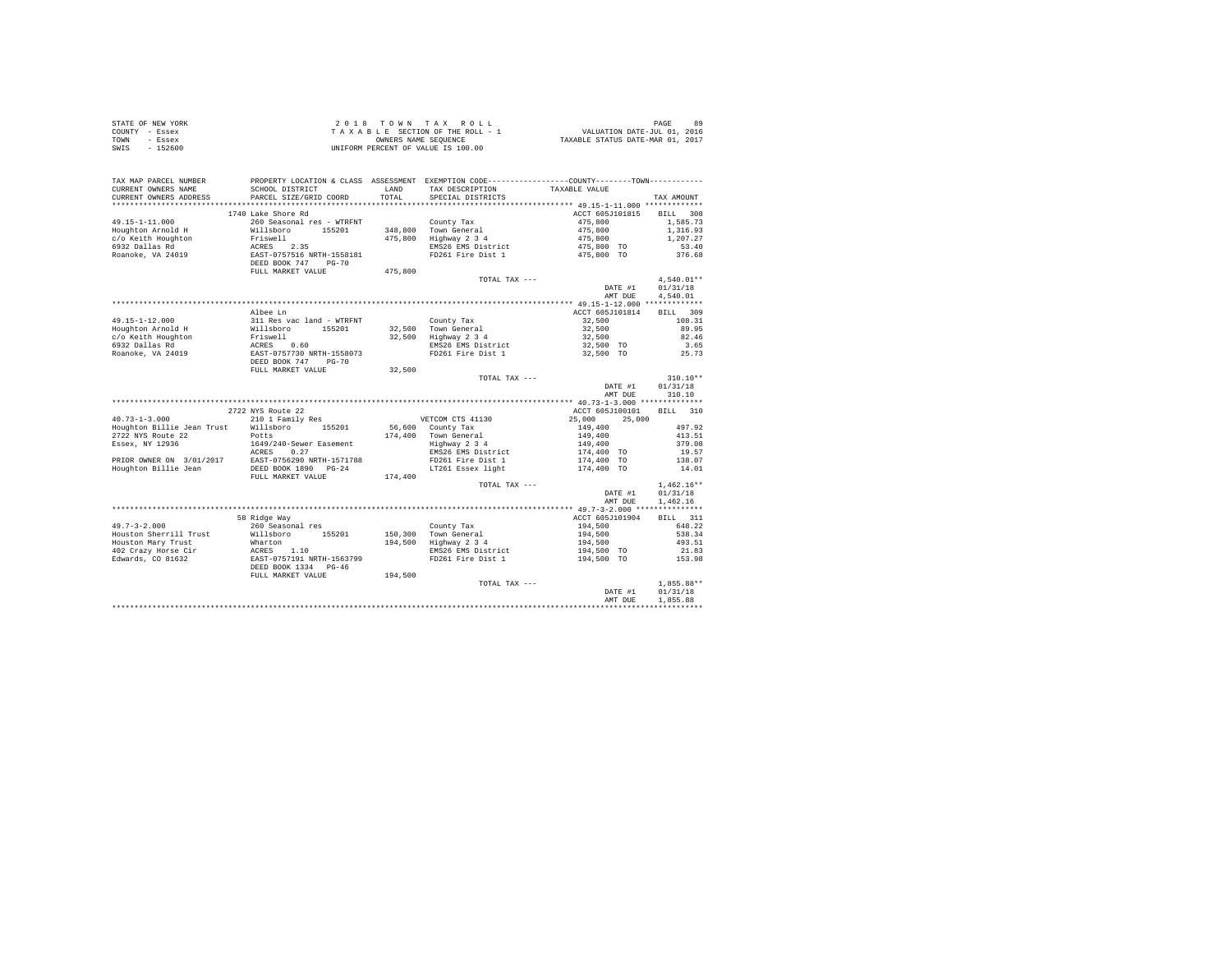| STATE OF NEW YORK | 2018 TOWN TAX ROLL                 | 89<br>PAGE                       |
|-------------------|------------------------------------|----------------------------------|
| COUNTY - Essex    | TAXABLE SECTION OF THE ROLL - 1    | VALUATION DATE-JUL 01, 2016      |
| TOWN<br>- Essex   | OWNERS NAME SEOUENCE               | TAXABLE STATUS DATE-MAR 01, 2017 |
| $-152600$<br>SWIS | UNIFORM PERCENT OF VALUE IS 100.00 |                                  |

| TAX MAP PARCEL NUMBER<br>CURRENT OWNERS NAME<br>CURRENT OWNERS ADDRESS | PROPERTY LOCATION & CLASS ASSESSMENT EXEMPTION CODE---------------COUNTY-------TOWN---------<br>SCHOOL DISTRICT<br>PARCEL SIZE/GRID COORD | <b>T.AND</b><br>TOTAL | TAX DESCRIPTION<br>SPECIAL DISTRICTS | TAXABLE VALUE    | TAX AMOUNT         |
|------------------------------------------------------------------------|-------------------------------------------------------------------------------------------------------------------------------------------|-----------------------|--------------------------------------|------------------|--------------------|
| .                                                                      |                                                                                                                                           |                       |                                      |                  |                    |
|                                                                        | 1740 Lake Shore Rd                                                                                                                        |                       |                                      | ACCT 605J101815  | BILL 308           |
| 49.15-1-11.000                                                         | 260 Seasonal res - WTRFNT                                                                                                                 |                       | County Tax                           | 475,800          | 1.585.73           |
| Houghton Arnold H                                                      | Willsboro<br>155201                                                                                                                       |                       | 348,800 Town General                 | 475,800          | 1,316.93           |
| c/o Keith Houghton                                                     | Friswell<br>ACRES 2.35<br>EAST-0757516 NRTH-1558181                                                                                       | 475,800               | Highway 2 3 4                        | 475,800          | 1,207.27           |
| 6932 Dallas Rd                                                         |                                                                                                                                           |                       | EMS26 EMS District                   | 475,800 TO       | 53.40              |
| Roanoke, VA 24019                                                      |                                                                                                                                           |                       | FD261 Fire Dist 1                    | 475,800 TO       | 376.68             |
|                                                                        | DEED BOOK 747<br>$PG-70$                                                                                                                  |                       |                                      |                  |                    |
|                                                                        | FULL MARKET VALUE                                                                                                                         | 475,800               |                                      |                  |                    |
|                                                                        |                                                                                                                                           |                       | TOTAL TAX ---                        |                  | $4,540.01**$       |
|                                                                        |                                                                                                                                           |                       |                                      | DATE #1          | 01/31/18           |
|                                                                        |                                                                                                                                           |                       |                                      | AMT DUE          | 4,540.01           |
|                                                                        |                                                                                                                                           |                       |                                      |                  |                    |
|                                                                        | Albee Ln                                                                                                                                  |                       |                                      | ACCT 605J101814  | BILL 309           |
| 49.15-1-12.000                                                         | 311 Res vac land - WTRFNT                                                                                                                 |                       | County Tax                           | 32,500           | 108.31             |
| Houghton Arnold H                                                      | Willsboro 155201                                                                                                                          |                       | 32,500 Town General                  | 32,500           | 89.95              |
| c/o Keith Houghton                                                     | Friswell<br>ACRES 0.60<br>EAST-0757730 NRTH-1558073                                                                                       |                       | 32,500 Highway 2 3 4                 | 32,500           | 82.46              |
| 6932 Dallas Rd                                                         |                                                                                                                                           |                       | EMS26 EMS District                   | 32,500 TO        | 3.65               |
| Roanoke, VA 24019                                                      |                                                                                                                                           |                       | FD261 Fire Dist 1                    | 32,500 TO        | 25.73              |
|                                                                        | DEED BOOK 747<br>$PG-70$                                                                                                                  |                       |                                      |                  |                    |
|                                                                        | FULL MARKET VALUE                                                                                                                         | 32,500                |                                      |                  |                    |
|                                                                        |                                                                                                                                           |                       | TOTAL TAX ---                        |                  | $310.10**$         |
|                                                                        |                                                                                                                                           |                       |                                      | DATE #1          | 01/31/18           |
|                                                                        |                                                                                                                                           |                       |                                      | AMT DUE          | 310.10             |
|                                                                        |                                                                                                                                           |                       |                                      |                  |                    |
|                                                                        | 2722 NYS Route 22                                                                                                                         |                       |                                      | ACCT 605J100101  | 310<br><b>BILL</b> |
| $40.73 - 1 - 3.000$                                                    | 210 1 Family Res                                                                                                                          |                       | VETCOM CTS 41130                     | 25,000<br>25,000 |                    |
| Houghton Billie Jean Trust Willsboro 155201                            |                                                                                                                                           |                       | 56,600 County Tax                    | 149,400          | 497.92             |
| 2722 NYS Route 22                                                      | Potts                                                                                                                                     |                       | 174,400 Town General                 | 149,400          | 413.51             |
| Essex, NY 12936                                                        | 1649/240-Sewer Easement                                                                                                                   |                       | Highway 2 3 4                        | 149,400          | 379.08             |
|                                                                        | ACRES 0.27                                                                                                                                |                       | EMS26 EMS District                   | 174,400 TO       | 19.57              |
| PRIOR OWNER ON 3/01/2017                                               | EAST-0756290 NRTH-1571788                                                                                                                 |                       | FD261 Fire Dist 1                    | 174,400 TO       | 138.07             |
| Houghton Billie Jean                                                   | DEED BOOK 1890 PG-24                                                                                                                      |                       | LT261 Essex light                    | 174,400 TO       | 14.01              |
|                                                                        | FULL MARKET VALUE                                                                                                                         | 174,400               |                                      |                  |                    |
|                                                                        |                                                                                                                                           |                       | TOTAL TAX ---                        |                  | $1.462.16**$       |
|                                                                        |                                                                                                                                           |                       |                                      | DATE #1          | 01/31/18           |
|                                                                        |                                                                                                                                           |                       |                                      | AMT DUE          | 1,462.16           |
|                                                                        |                                                                                                                                           |                       |                                      |                  |                    |
|                                                                        | 58 Ridge Way                                                                                                                              |                       |                                      | ACCT 605J101904  | BILL 311           |
| $49.7 - 3 - 2.000$                                                     | 260 Seasonal res                                                                                                                          |                       |                                      | 194,500          | 648.22             |
| Houston Sherrill Trust                                                 | Willsboro 155201                                                                                                                          |                       | County Tax<br>150,300 Town General   | 194,500          | 538.34             |
| Houston Mary Trust                                                     |                                                                                                                                           |                       | 194,500 Highway 2 3 4                | 194,500          | 493.51             |
| 402 Crazy Horse Cir                                                    | Wharton<br>ACRES 1.10<br>EAST-0757191 NRTH-1563799                                                                                        |                       | EMS26 EMS District                   | 194,500 TO       | 21.83              |
| Edwards, CO 81632                                                      |                                                                                                                                           |                       | FD261 Fire Dist 1                    | 194,500 TO       | 153.98             |
|                                                                        | DEED BOOK 1334 PG-46                                                                                                                      |                       |                                      |                  |                    |
|                                                                        | FULL MARKET VALUE                                                                                                                         | 194,500               |                                      |                  |                    |
|                                                                        |                                                                                                                                           |                       | TOTAL TAX ---                        |                  | $1,855.88**$       |
|                                                                        |                                                                                                                                           |                       |                                      | DATE #1          | 01/31/18           |
|                                                                        |                                                                                                                                           |                       |                                      | AMT DUE          | 1,855.88           |
|                                                                        |                                                                                                                                           |                       |                                      |                  |                    |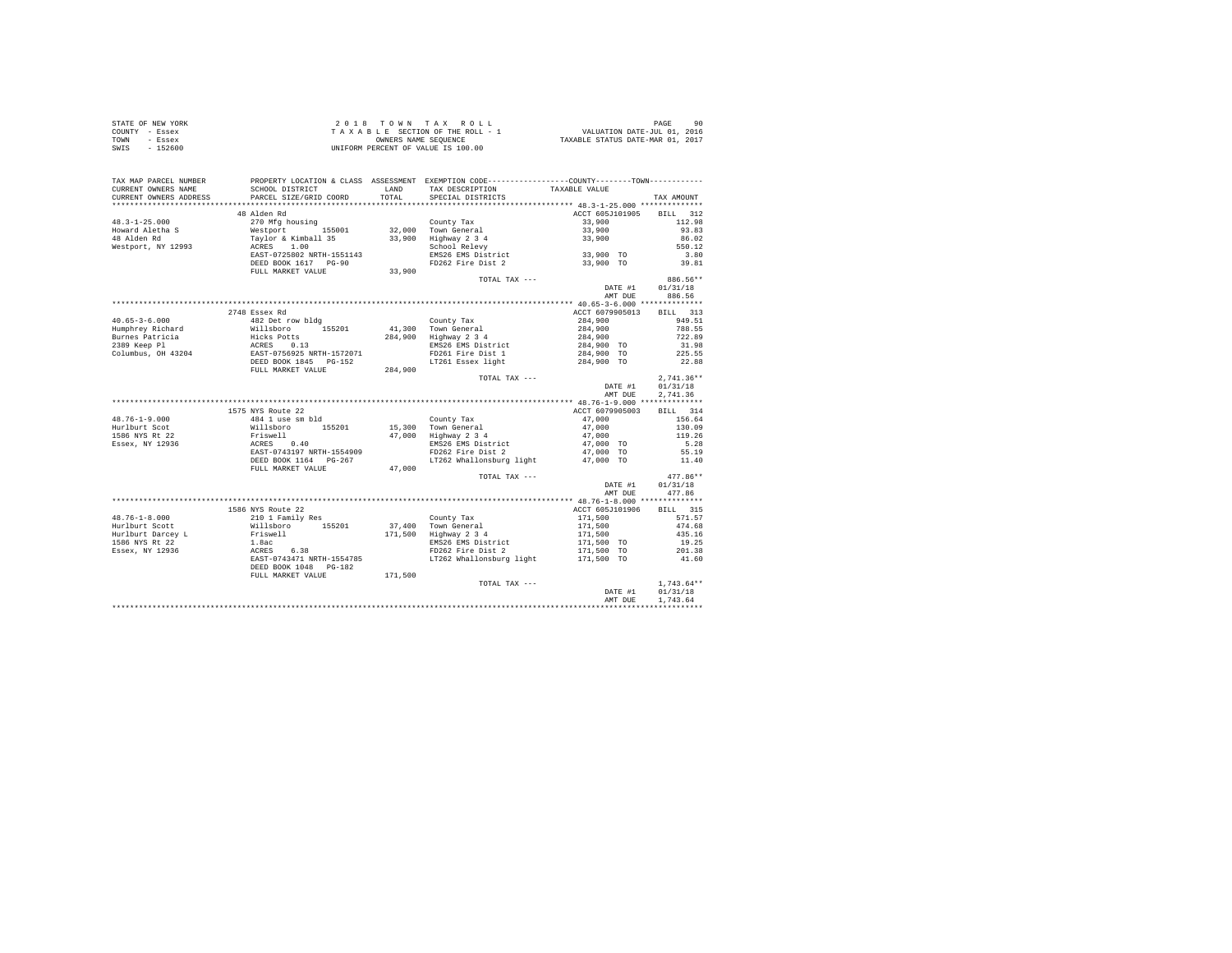| STATE OF NEW YORK | 2018 TOWN TAX ROLL                 | 90<br>PAGE                       |
|-------------------|------------------------------------|----------------------------------|
| COUNTY - Essex    | TAXABLE SECTION OF THE ROLL - 1    | VALUATION DATE-JUL 01, 2016      |
| TOWN<br>- Essex   | OWNERS NAME SEOUENCE               | TAXABLE STATUS DATE-MAR 01, 2017 |
| - 152600<br>SWIS  | UNIFORM PERCENT OF VALUE IS 100.00 |                                  |

| ********************<br>************************<br>48 Alden Rd<br>ACCT 605J101905<br><b>BILL</b><br>312<br>$48.3 - 1 - 25.000$<br>112.98<br>270 Mfg housing<br>County Tax<br>33,900<br>Howard Aletha S<br>Westport 155001<br>32,000 Town General<br>33,900<br>93.83<br>48 Alden Rd<br>Taylor & Kimball 35<br>33,900 Highway 2 3 4<br>86.02<br>33,900<br>School Relevy<br>ACRES<br>Westport, NY 12993<br>1.00<br>550.12<br>33,900 TO<br>EAST-0725802 NRTH-1551143<br>EMS26 EMS District<br>3.80<br>FD262 Fire Dist 2<br>39.81<br>DEED BOOK 1617 PG-90<br>33,900 TO<br>FULL MARKET VALUE<br>33,900<br>886.56**<br>TOTAL TAX ---<br>01/31/18<br>DATE #1<br>886.56<br>AMT DUE<br>2748 Essex Rd<br>ACCT 6079905013<br>BILL 313<br>$40.65 - 3 - 6.000$<br>482 Det row bldg<br>284,900<br>949.51<br>County Tax<br>41,300<br>Humphrey Richard<br>Willsboro<br>155201<br>Town General<br>284,900<br>788.55<br>284,900 Highway 2 3 4<br>Burnes Patricia<br>Hicks Potts<br>284,900<br>722.89<br>2389 Keep Pl<br>ACRES 0.13<br>EAST-0756925 NRTH-1572071<br>DEED BOOK 1845 PG-152<br>EMS26 EMS District<br>284,900 TO<br>31.98<br>Columbus, OH 43204<br>284,900 TO<br>FD261 Fire Dist 1<br>225.55<br>LT261 Essex light<br>284,900 TO<br>22.88<br>FULL MARKET VALUE<br>284,900<br>$2.741.36**$<br>TOTAL TAX ---<br>01/31/18<br>DATE #1<br>2.741.36<br>AMT DUE<br>ACCT 6079905003<br>1575 NYS Route 22<br>BILL 314<br>484 1 use sm bld<br>47,000<br>156.64<br>County Tax<br>15,300 Town General<br>47,000 Highway 2 3 4<br>Willsboro 155201<br>47,000<br>47,000<br>130.09<br>Friswell<br>119.26<br>ACRES 0.40<br>EMS26 EMS District<br>5.28<br>47,000 TO<br>EAST-0743197 NRTH-1554909<br>FD262 Fire Dist 2<br>47,000 TO<br>55.19<br>DEED BOOK 1164 PG-267<br>LT262 Whallonsburg light<br>11.40<br>47,000 TO<br>FULL MARKET VALUE<br>47,000<br>$477.86**$<br>TOTAL TAX ---<br>DATE #1<br>01/31/18<br>477.86<br>AMT DUE<br>1586 NYS Route 22<br>ACCT 605J101906<br>BILL 315<br>210 1 Family Res<br>171,500<br>571.57<br>County Tax<br>Hurlburt Scott<br>37,400 Town General<br>171,500<br>171,500<br>Willsboro<br>155201<br>474.68<br>Friswell<br>171,500 Highway 2 3 4<br>Hurlburt Darcey L<br>435.16<br>1586 NYS Rt 22<br>$1.8ac$<br>ACRES 6.38<br>EMS26 EMS District<br>171,500 TO<br>19.25<br>Essex, NY 12936<br>FD262 Fire Dist 2<br>201.38<br>171,500 TO<br>EAST-0743471 NRTH-1554785<br>LT262 Whallonsburg light<br>171,500 TO<br>41.60<br>DEED BOOK 1048 PG-182<br>171,500<br>FULL MARKET VALUE<br>$1,743.64**$<br>TOTAL TAX ---<br>01/31/18<br>DATE #1 | TAX MAP PARCEL NUMBER<br>CURRENT OWNERS NAME | SCHOOL DISTRICT        | <b>T.AND</b> | PROPERTY LOCATION & CLASS ASSESSMENT EXEMPTION CODE---------------COUNTY-------TOWN---------<br>TAX DESCRIPTION | TAXABLE VALUE |            |
|--------------------------------------------------------------------------------------------------------------------------------------------------------------------------------------------------------------------------------------------------------------------------------------------------------------------------------------------------------------------------------------------------------------------------------------------------------------------------------------------------------------------------------------------------------------------------------------------------------------------------------------------------------------------------------------------------------------------------------------------------------------------------------------------------------------------------------------------------------------------------------------------------------------------------------------------------------------------------------------------------------------------------------------------------------------------------------------------------------------------------------------------------------------------------------------------------------------------------------------------------------------------------------------------------------------------------------------------------------------------------------------------------------------------------------------------------------------------------------------------------------------------------------------------------------------------------------------------------------------------------------------------------------------------------------------------------------------------------------------------------------------------------------------------------------------------------------------------------------------------------------------------------------------------------------------------------------------------------------------------------------------------------------------------------------------------------------------------------------------------------------------------------------------------------------------------------------------------------------------------------------------------------------------------------------------------------------------------------------------------------------------------------------------------------------------------------------------------------------------------------------------------------------------------------|----------------------------------------------|------------------------|--------------|-----------------------------------------------------------------------------------------------------------------|---------------|------------|
|                                                                                                                                                                                                                                                                                                                                                                                                                                                                                                                                                                                                                                                                                                                                                                                                                                                                                                                                                                                                                                                                                                                                                                                                                                                                                                                                                                                                                                                                                                                                                                                                                                                                                                                                                                                                                                                                                                                                                                                                                                                                                                                                                                                                                                                                                                                                                                                                                                                                                                                                                  | CURRENT OWNERS ADDRESS                       | PARCEL SIZE/GRID COORD | TOTAL        | SPECIAL DISTRICTS                                                                                               |               | TAX AMOUNT |
|                                                                                                                                                                                                                                                                                                                                                                                                                                                                                                                                                                                                                                                                                                                                                                                                                                                                                                                                                                                                                                                                                                                                                                                                                                                                                                                                                                                                                                                                                                                                                                                                                                                                                                                                                                                                                                                                                                                                                                                                                                                                                                                                                                                                                                                                                                                                                                                                                                                                                                                                                  |                                              |                        |              |                                                                                                                 |               |            |
|                                                                                                                                                                                                                                                                                                                                                                                                                                                                                                                                                                                                                                                                                                                                                                                                                                                                                                                                                                                                                                                                                                                                                                                                                                                                                                                                                                                                                                                                                                                                                                                                                                                                                                                                                                                                                                                                                                                                                                                                                                                                                                                                                                                                                                                                                                                                                                                                                                                                                                                                                  |                                              |                        |              |                                                                                                                 |               |            |
|                                                                                                                                                                                                                                                                                                                                                                                                                                                                                                                                                                                                                                                                                                                                                                                                                                                                                                                                                                                                                                                                                                                                                                                                                                                                                                                                                                                                                                                                                                                                                                                                                                                                                                                                                                                                                                                                                                                                                                                                                                                                                                                                                                                                                                                                                                                                                                                                                                                                                                                                                  |                                              |                        |              |                                                                                                                 |               |            |
|                                                                                                                                                                                                                                                                                                                                                                                                                                                                                                                                                                                                                                                                                                                                                                                                                                                                                                                                                                                                                                                                                                                                                                                                                                                                                                                                                                                                                                                                                                                                                                                                                                                                                                                                                                                                                                                                                                                                                                                                                                                                                                                                                                                                                                                                                                                                                                                                                                                                                                                                                  |                                              |                        |              |                                                                                                                 |               |            |
|                                                                                                                                                                                                                                                                                                                                                                                                                                                                                                                                                                                                                                                                                                                                                                                                                                                                                                                                                                                                                                                                                                                                                                                                                                                                                                                                                                                                                                                                                                                                                                                                                                                                                                                                                                                                                                                                                                                                                                                                                                                                                                                                                                                                                                                                                                                                                                                                                                                                                                                                                  |                                              |                        |              |                                                                                                                 |               |            |
|                                                                                                                                                                                                                                                                                                                                                                                                                                                                                                                                                                                                                                                                                                                                                                                                                                                                                                                                                                                                                                                                                                                                                                                                                                                                                                                                                                                                                                                                                                                                                                                                                                                                                                                                                                                                                                                                                                                                                                                                                                                                                                                                                                                                                                                                                                                                                                                                                                                                                                                                                  |                                              |                        |              |                                                                                                                 |               |            |
|                                                                                                                                                                                                                                                                                                                                                                                                                                                                                                                                                                                                                                                                                                                                                                                                                                                                                                                                                                                                                                                                                                                                                                                                                                                                                                                                                                                                                                                                                                                                                                                                                                                                                                                                                                                                                                                                                                                                                                                                                                                                                                                                                                                                                                                                                                                                                                                                                                                                                                                                                  |                                              |                        |              |                                                                                                                 |               |            |
|                                                                                                                                                                                                                                                                                                                                                                                                                                                                                                                                                                                                                                                                                                                                                                                                                                                                                                                                                                                                                                                                                                                                                                                                                                                                                                                                                                                                                                                                                                                                                                                                                                                                                                                                                                                                                                                                                                                                                                                                                                                                                                                                                                                                                                                                                                                                                                                                                                                                                                                                                  |                                              |                        |              |                                                                                                                 |               |            |
|                                                                                                                                                                                                                                                                                                                                                                                                                                                                                                                                                                                                                                                                                                                                                                                                                                                                                                                                                                                                                                                                                                                                                                                                                                                                                                                                                                                                                                                                                                                                                                                                                                                                                                                                                                                                                                                                                                                                                                                                                                                                                                                                                                                                                                                                                                                                                                                                                                                                                                                                                  |                                              |                        |              |                                                                                                                 |               |            |
|                                                                                                                                                                                                                                                                                                                                                                                                                                                                                                                                                                                                                                                                                                                                                                                                                                                                                                                                                                                                                                                                                                                                                                                                                                                                                                                                                                                                                                                                                                                                                                                                                                                                                                                                                                                                                                                                                                                                                                                                                                                                                                                                                                                                                                                                                                                                                                                                                                                                                                                                                  |                                              |                        |              |                                                                                                                 |               |            |
|                                                                                                                                                                                                                                                                                                                                                                                                                                                                                                                                                                                                                                                                                                                                                                                                                                                                                                                                                                                                                                                                                                                                                                                                                                                                                                                                                                                                                                                                                                                                                                                                                                                                                                                                                                                                                                                                                                                                                                                                                                                                                                                                                                                                                                                                                                                                                                                                                                                                                                                                                  |                                              |                        |              |                                                                                                                 |               |            |
|                                                                                                                                                                                                                                                                                                                                                                                                                                                                                                                                                                                                                                                                                                                                                                                                                                                                                                                                                                                                                                                                                                                                                                                                                                                                                                                                                                                                                                                                                                                                                                                                                                                                                                                                                                                                                                                                                                                                                                                                                                                                                                                                                                                                                                                                                                                                                                                                                                                                                                                                                  |                                              |                        |              |                                                                                                                 |               |            |
|                                                                                                                                                                                                                                                                                                                                                                                                                                                                                                                                                                                                                                                                                                                                                                                                                                                                                                                                                                                                                                                                                                                                                                                                                                                                                                                                                                                                                                                                                                                                                                                                                                                                                                                                                                                                                                                                                                                                                                                                                                                                                                                                                                                                                                                                                                                                                                                                                                                                                                                                                  |                                              |                        |              |                                                                                                                 |               |            |
|                                                                                                                                                                                                                                                                                                                                                                                                                                                                                                                                                                                                                                                                                                                                                                                                                                                                                                                                                                                                                                                                                                                                                                                                                                                                                                                                                                                                                                                                                                                                                                                                                                                                                                                                                                                                                                                                                                                                                                                                                                                                                                                                                                                                                                                                                                                                                                                                                                                                                                                                                  |                                              |                        |              |                                                                                                                 |               |            |
|                                                                                                                                                                                                                                                                                                                                                                                                                                                                                                                                                                                                                                                                                                                                                                                                                                                                                                                                                                                                                                                                                                                                                                                                                                                                                                                                                                                                                                                                                                                                                                                                                                                                                                                                                                                                                                                                                                                                                                                                                                                                                                                                                                                                                                                                                                                                                                                                                                                                                                                                                  |                                              |                        |              |                                                                                                                 |               |            |
|                                                                                                                                                                                                                                                                                                                                                                                                                                                                                                                                                                                                                                                                                                                                                                                                                                                                                                                                                                                                                                                                                                                                                                                                                                                                                                                                                                                                                                                                                                                                                                                                                                                                                                                                                                                                                                                                                                                                                                                                                                                                                                                                                                                                                                                                                                                                                                                                                                                                                                                                                  |                                              |                        |              |                                                                                                                 |               |            |
|                                                                                                                                                                                                                                                                                                                                                                                                                                                                                                                                                                                                                                                                                                                                                                                                                                                                                                                                                                                                                                                                                                                                                                                                                                                                                                                                                                                                                                                                                                                                                                                                                                                                                                                                                                                                                                                                                                                                                                                                                                                                                                                                                                                                                                                                                                                                                                                                                                                                                                                                                  |                                              |                        |              |                                                                                                                 |               |            |
|                                                                                                                                                                                                                                                                                                                                                                                                                                                                                                                                                                                                                                                                                                                                                                                                                                                                                                                                                                                                                                                                                                                                                                                                                                                                                                                                                                                                                                                                                                                                                                                                                                                                                                                                                                                                                                                                                                                                                                                                                                                                                                                                                                                                                                                                                                                                                                                                                                                                                                                                                  |                                              |                        |              |                                                                                                                 |               |            |
|                                                                                                                                                                                                                                                                                                                                                                                                                                                                                                                                                                                                                                                                                                                                                                                                                                                                                                                                                                                                                                                                                                                                                                                                                                                                                                                                                                                                                                                                                                                                                                                                                                                                                                                                                                                                                                                                                                                                                                                                                                                                                                                                                                                                                                                                                                                                                                                                                                                                                                                                                  |                                              |                        |              |                                                                                                                 |               |            |
|                                                                                                                                                                                                                                                                                                                                                                                                                                                                                                                                                                                                                                                                                                                                                                                                                                                                                                                                                                                                                                                                                                                                                                                                                                                                                                                                                                                                                                                                                                                                                                                                                                                                                                                                                                                                                                                                                                                                                                                                                                                                                                                                                                                                                                                                                                                                                                                                                                                                                                                                                  |                                              |                        |              |                                                                                                                 |               |            |
|                                                                                                                                                                                                                                                                                                                                                                                                                                                                                                                                                                                                                                                                                                                                                                                                                                                                                                                                                                                                                                                                                                                                                                                                                                                                                                                                                                                                                                                                                                                                                                                                                                                                                                                                                                                                                                                                                                                                                                                                                                                                                                                                                                                                                                                                                                                                                                                                                                                                                                                                                  |                                              |                        |              |                                                                                                                 |               |            |
|                                                                                                                                                                                                                                                                                                                                                                                                                                                                                                                                                                                                                                                                                                                                                                                                                                                                                                                                                                                                                                                                                                                                                                                                                                                                                                                                                                                                                                                                                                                                                                                                                                                                                                                                                                                                                                                                                                                                                                                                                                                                                                                                                                                                                                                                                                                                                                                                                                                                                                                                                  |                                              |                        |              |                                                                                                                 |               |            |
|                                                                                                                                                                                                                                                                                                                                                                                                                                                                                                                                                                                                                                                                                                                                                                                                                                                                                                                                                                                                                                                                                                                                                                                                                                                                                                                                                                                                                                                                                                                                                                                                                                                                                                                                                                                                                                                                                                                                                                                                                                                                                                                                                                                                                                                                                                                                                                                                                                                                                                                                                  |                                              |                        |              |                                                                                                                 |               |            |
|                                                                                                                                                                                                                                                                                                                                                                                                                                                                                                                                                                                                                                                                                                                                                                                                                                                                                                                                                                                                                                                                                                                                                                                                                                                                                                                                                                                                                                                                                                                                                                                                                                                                                                                                                                                                                                                                                                                                                                                                                                                                                                                                                                                                                                                                                                                                                                                                                                                                                                                                                  |                                              |                        |              |                                                                                                                 |               |            |
|                                                                                                                                                                                                                                                                                                                                                                                                                                                                                                                                                                                                                                                                                                                                                                                                                                                                                                                                                                                                                                                                                                                                                                                                                                                                                                                                                                                                                                                                                                                                                                                                                                                                                                                                                                                                                                                                                                                                                                                                                                                                                                                                                                                                                                                                                                                                                                                                                                                                                                                                                  |                                              |                        |              |                                                                                                                 |               |            |
|                                                                                                                                                                                                                                                                                                                                                                                                                                                                                                                                                                                                                                                                                                                                                                                                                                                                                                                                                                                                                                                                                                                                                                                                                                                                                                                                                                                                                                                                                                                                                                                                                                                                                                                                                                                                                                                                                                                                                                                                                                                                                                                                                                                                                                                                                                                                                                                                                                                                                                                                                  |                                              |                        |              |                                                                                                                 |               |            |
|                                                                                                                                                                                                                                                                                                                                                                                                                                                                                                                                                                                                                                                                                                                                                                                                                                                                                                                                                                                                                                                                                                                                                                                                                                                                                                                                                                                                                                                                                                                                                                                                                                                                                                                                                                                                                                                                                                                                                                                                                                                                                                                                                                                                                                                                                                                                                                                                                                                                                                                                                  | 48.76-1-9.000                                |                        |              |                                                                                                                 |               |            |
|                                                                                                                                                                                                                                                                                                                                                                                                                                                                                                                                                                                                                                                                                                                                                                                                                                                                                                                                                                                                                                                                                                                                                                                                                                                                                                                                                                                                                                                                                                                                                                                                                                                                                                                                                                                                                                                                                                                                                                                                                                                                                                                                                                                                                                                                                                                                                                                                                                                                                                                                                  | Hurlburt Scot                                |                        |              |                                                                                                                 |               |            |
|                                                                                                                                                                                                                                                                                                                                                                                                                                                                                                                                                                                                                                                                                                                                                                                                                                                                                                                                                                                                                                                                                                                                                                                                                                                                                                                                                                                                                                                                                                                                                                                                                                                                                                                                                                                                                                                                                                                                                                                                                                                                                                                                                                                                                                                                                                                                                                                                                                                                                                                                                  | 1586 NYS Rt 22                               |                        |              |                                                                                                                 |               |            |
|                                                                                                                                                                                                                                                                                                                                                                                                                                                                                                                                                                                                                                                                                                                                                                                                                                                                                                                                                                                                                                                                                                                                                                                                                                                                                                                                                                                                                                                                                                                                                                                                                                                                                                                                                                                                                                                                                                                                                                                                                                                                                                                                                                                                                                                                                                                                                                                                                                                                                                                                                  | Essex, NY 12936                              |                        |              |                                                                                                                 |               |            |
|                                                                                                                                                                                                                                                                                                                                                                                                                                                                                                                                                                                                                                                                                                                                                                                                                                                                                                                                                                                                                                                                                                                                                                                                                                                                                                                                                                                                                                                                                                                                                                                                                                                                                                                                                                                                                                                                                                                                                                                                                                                                                                                                                                                                                                                                                                                                                                                                                                                                                                                                                  |                                              |                        |              |                                                                                                                 |               |            |
|                                                                                                                                                                                                                                                                                                                                                                                                                                                                                                                                                                                                                                                                                                                                                                                                                                                                                                                                                                                                                                                                                                                                                                                                                                                                                                                                                                                                                                                                                                                                                                                                                                                                                                                                                                                                                                                                                                                                                                                                                                                                                                                                                                                                                                                                                                                                                                                                                                                                                                                                                  |                                              |                        |              |                                                                                                                 |               |            |
|                                                                                                                                                                                                                                                                                                                                                                                                                                                                                                                                                                                                                                                                                                                                                                                                                                                                                                                                                                                                                                                                                                                                                                                                                                                                                                                                                                                                                                                                                                                                                                                                                                                                                                                                                                                                                                                                                                                                                                                                                                                                                                                                                                                                                                                                                                                                                                                                                                                                                                                                                  |                                              |                        |              |                                                                                                                 |               |            |
|                                                                                                                                                                                                                                                                                                                                                                                                                                                                                                                                                                                                                                                                                                                                                                                                                                                                                                                                                                                                                                                                                                                                                                                                                                                                                                                                                                                                                                                                                                                                                                                                                                                                                                                                                                                                                                                                                                                                                                                                                                                                                                                                                                                                                                                                                                                                                                                                                                                                                                                                                  |                                              |                        |              |                                                                                                                 |               |            |
|                                                                                                                                                                                                                                                                                                                                                                                                                                                                                                                                                                                                                                                                                                                                                                                                                                                                                                                                                                                                                                                                                                                                                                                                                                                                                                                                                                                                                                                                                                                                                                                                                                                                                                                                                                                                                                                                                                                                                                                                                                                                                                                                                                                                                                                                                                                                                                                                                                                                                                                                                  |                                              |                        |              |                                                                                                                 |               |            |
|                                                                                                                                                                                                                                                                                                                                                                                                                                                                                                                                                                                                                                                                                                                                                                                                                                                                                                                                                                                                                                                                                                                                                                                                                                                                                                                                                                                                                                                                                                                                                                                                                                                                                                                                                                                                                                                                                                                                                                                                                                                                                                                                                                                                                                                                                                                                                                                                                                                                                                                                                  |                                              |                        |              |                                                                                                                 |               |            |
|                                                                                                                                                                                                                                                                                                                                                                                                                                                                                                                                                                                                                                                                                                                                                                                                                                                                                                                                                                                                                                                                                                                                                                                                                                                                                                                                                                                                                                                                                                                                                                                                                                                                                                                                                                                                                                                                                                                                                                                                                                                                                                                                                                                                                                                                                                                                                                                                                                                                                                                                                  |                                              |                        |              |                                                                                                                 |               |            |
|                                                                                                                                                                                                                                                                                                                                                                                                                                                                                                                                                                                                                                                                                                                                                                                                                                                                                                                                                                                                                                                                                                                                                                                                                                                                                                                                                                                                                                                                                                                                                                                                                                                                                                                                                                                                                                                                                                                                                                                                                                                                                                                                                                                                                                                                                                                                                                                                                                                                                                                                                  |                                              |                        |              |                                                                                                                 |               |            |
|                                                                                                                                                                                                                                                                                                                                                                                                                                                                                                                                                                                                                                                                                                                                                                                                                                                                                                                                                                                                                                                                                                                                                                                                                                                                                                                                                                                                                                                                                                                                                                                                                                                                                                                                                                                                                                                                                                                                                                                                                                                                                                                                                                                                                                                                                                                                                                                                                                                                                                                                                  | $48.76 - 1 - 8.000$                          |                        |              |                                                                                                                 |               |            |
|                                                                                                                                                                                                                                                                                                                                                                                                                                                                                                                                                                                                                                                                                                                                                                                                                                                                                                                                                                                                                                                                                                                                                                                                                                                                                                                                                                                                                                                                                                                                                                                                                                                                                                                                                                                                                                                                                                                                                                                                                                                                                                                                                                                                                                                                                                                                                                                                                                                                                                                                                  |                                              |                        |              |                                                                                                                 |               |            |
|                                                                                                                                                                                                                                                                                                                                                                                                                                                                                                                                                                                                                                                                                                                                                                                                                                                                                                                                                                                                                                                                                                                                                                                                                                                                                                                                                                                                                                                                                                                                                                                                                                                                                                                                                                                                                                                                                                                                                                                                                                                                                                                                                                                                                                                                                                                                                                                                                                                                                                                                                  |                                              |                        |              |                                                                                                                 |               |            |
|                                                                                                                                                                                                                                                                                                                                                                                                                                                                                                                                                                                                                                                                                                                                                                                                                                                                                                                                                                                                                                                                                                                                                                                                                                                                                                                                                                                                                                                                                                                                                                                                                                                                                                                                                                                                                                                                                                                                                                                                                                                                                                                                                                                                                                                                                                                                                                                                                                                                                                                                                  |                                              |                        |              |                                                                                                                 |               |            |
|                                                                                                                                                                                                                                                                                                                                                                                                                                                                                                                                                                                                                                                                                                                                                                                                                                                                                                                                                                                                                                                                                                                                                                                                                                                                                                                                                                                                                                                                                                                                                                                                                                                                                                                                                                                                                                                                                                                                                                                                                                                                                                                                                                                                                                                                                                                                                                                                                                                                                                                                                  |                                              |                        |              |                                                                                                                 |               |            |
|                                                                                                                                                                                                                                                                                                                                                                                                                                                                                                                                                                                                                                                                                                                                                                                                                                                                                                                                                                                                                                                                                                                                                                                                                                                                                                                                                                                                                                                                                                                                                                                                                                                                                                                                                                                                                                                                                                                                                                                                                                                                                                                                                                                                                                                                                                                                                                                                                                                                                                                                                  |                                              |                        |              |                                                                                                                 |               |            |
|                                                                                                                                                                                                                                                                                                                                                                                                                                                                                                                                                                                                                                                                                                                                                                                                                                                                                                                                                                                                                                                                                                                                                                                                                                                                                                                                                                                                                                                                                                                                                                                                                                                                                                                                                                                                                                                                                                                                                                                                                                                                                                                                                                                                                                                                                                                                                                                                                                                                                                                                                  |                                              |                        |              |                                                                                                                 |               |            |
|                                                                                                                                                                                                                                                                                                                                                                                                                                                                                                                                                                                                                                                                                                                                                                                                                                                                                                                                                                                                                                                                                                                                                                                                                                                                                                                                                                                                                                                                                                                                                                                                                                                                                                                                                                                                                                                                                                                                                                                                                                                                                                                                                                                                                                                                                                                                                                                                                                                                                                                                                  |                                              |                        |              |                                                                                                                 |               |            |
|                                                                                                                                                                                                                                                                                                                                                                                                                                                                                                                                                                                                                                                                                                                                                                                                                                                                                                                                                                                                                                                                                                                                                                                                                                                                                                                                                                                                                                                                                                                                                                                                                                                                                                                                                                                                                                                                                                                                                                                                                                                                                                                                                                                                                                                                                                                                                                                                                                                                                                                                                  |                                              |                        |              |                                                                                                                 |               |            |
|                                                                                                                                                                                                                                                                                                                                                                                                                                                                                                                                                                                                                                                                                                                                                                                                                                                                                                                                                                                                                                                                                                                                                                                                                                                                                                                                                                                                                                                                                                                                                                                                                                                                                                                                                                                                                                                                                                                                                                                                                                                                                                                                                                                                                                                                                                                                                                                                                                                                                                                                                  |                                              |                        |              |                                                                                                                 |               |            |
| 1.743.64<br>AMT DUE                                                                                                                                                                                                                                                                                                                                                                                                                                                                                                                                                                                                                                                                                                                                                                                                                                                                                                                                                                                                                                                                                                                                                                                                                                                                                                                                                                                                                                                                                                                                                                                                                                                                                                                                                                                                                                                                                                                                                                                                                                                                                                                                                                                                                                                                                                                                                                                                                                                                                                                              |                                              |                        |              |                                                                                                                 |               |            |
|                                                                                                                                                                                                                                                                                                                                                                                                                                                                                                                                                                                                                                                                                                                                                                                                                                                                                                                                                                                                                                                                                                                                                                                                                                                                                                                                                                                                                                                                                                                                                                                                                                                                                                                                                                                                                                                                                                                                                                                                                                                                                                                                                                                                                                                                                                                                                                                                                                                                                                                                                  |                                              |                        |              |                                                                                                                 |               |            |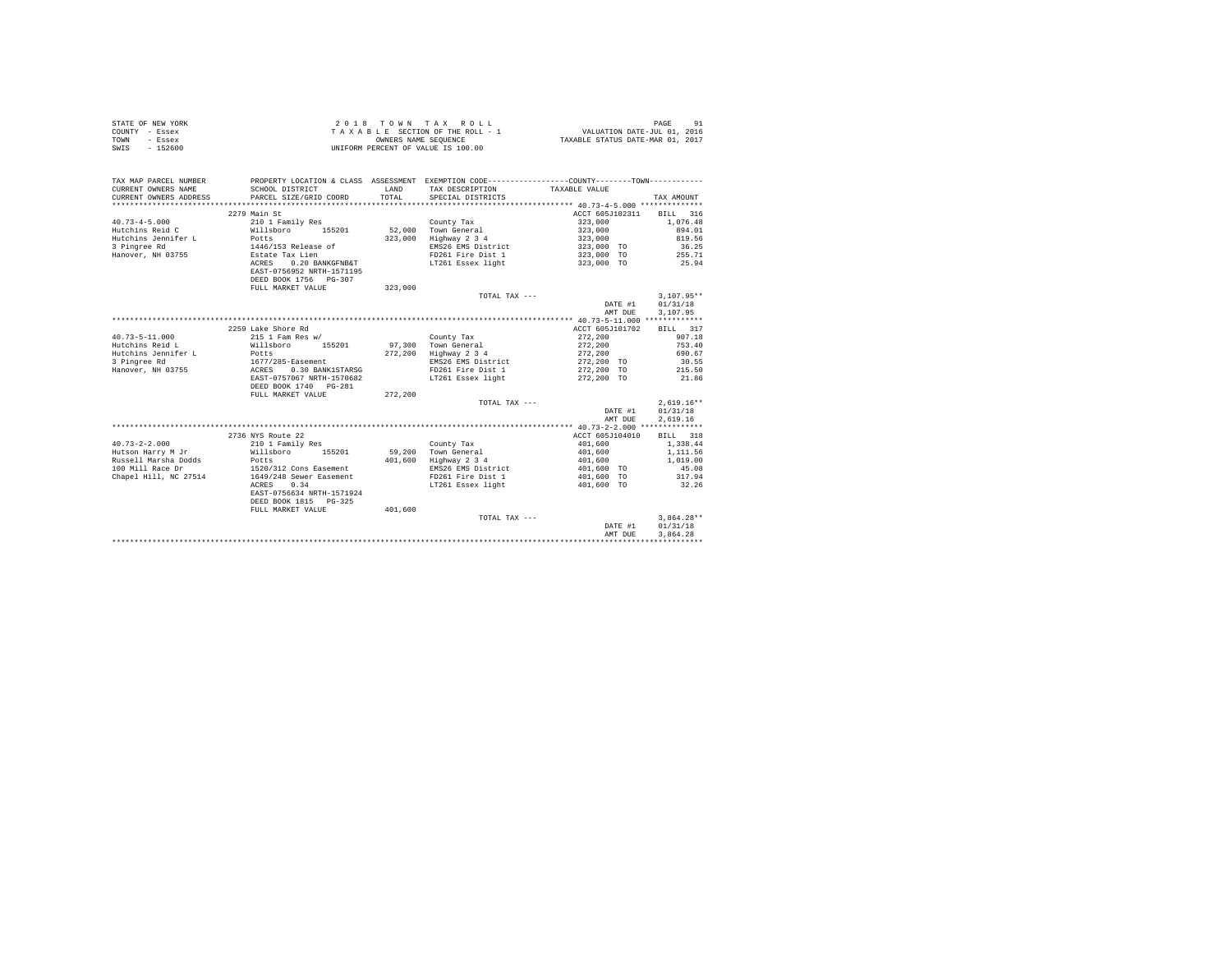|                | STATE OF NEW YORK | 2018 TOWN TAX ROLL                 | PAGE<br>-91                      |
|----------------|-------------------|------------------------------------|----------------------------------|
| COUNTY - Essex |                   | TAXABLE SECTION OF THE ROLL - 1    | VALUATION DATE-JUL 01, 2016      |
| TOWN           | - Essex           | OWNERS NAME SEOUENCE               | TAXABLE STATUS DATE-MAR 01, 2017 |
| SWIS           | $-152600$         | UNIFORM PERCENT OF VALUE IS 100.00 |                                  |

| TAX MAP PARCEL NUMBER<br>CURRENT OWNERS NAME<br>CURRENT OWNERS ADDRESS | SCHOOL DISTRICT<br>PARCEL SIZE/GRID COORD | LAND<br>TOTAL | PROPERTY LOCATION & CLASS ASSESSMENT EXEMPTION CODE----------------COUNTY--------TOWN----------<br>TAX DESCRIPTION<br>SPECIAL DISTRICTS | TAXABLE VALUE            | TAX AMOUNT           |
|------------------------------------------------------------------------|-------------------------------------------|---------------|-----------------------------------------------------------------------------------------------------------------------------------------|--------------------------|----------------------|
|                                                                        |                                           |               |                                                                                                                                         |                          |                      |
|                                                                        | 2279 Main St                              |               |                                                                                                                                         | ACCT 605J102311 BILL 316 |                      |
| $40.73 - 4 - 5.000$                                                    | 210 1 Family Res                          |               | County Tax                                                                                                                              | 323,000                  | 1,076.48             |
| Hutchins Reid C                                                        | Willsboro<br>155201                       | 52,000        | Town General                                                                                                                            | 323,000                  | 894.01               |
| Hutchins Jennifer L                                                    | Potts                                     | 323,000       | Highway 2 3 4                                                                                                                           | 323,000                  | 819.56               |
| 3 Pingree Rd                                                           | 1446/153 Release of                       |               | EMS26 EMS District                                                                                                                      | 323,000 TO               | 36.25                |
| Hanover, NH 03755                                                      | Estate Tax Lien                           |               | FD261 Fire Dist 1                                                                                                                       | 323,000 TO               | 255.71               |
|                                                                        | 0.20 BANKGFNB&T<br>ACRES                  |               | LT261 Essex light                                                                                                                       | 323,000 TO               | 25.94                |
|                                                                        | EAST-0756952 NRTH-1571195                 |               |                                                                                                                                         |                          |                      |
|                                                                        | DEED BOOK 1756 PG-307                     |               |                                                                                                                                         |                          |                      |
|                                                                        | FULL MARKET VALUE                         | 323,000       |                                                                                                                                         |                          |                      |
|                                                                        |                                           |               | TOTAL TAX ---                                                                                                                           |                          | $3,107.95**$         |
|                                                                        |                                           |               |                                                                                                                                         | DATE #1                  | 01/31/18             |
|                                                                        |                                           |               |                                                                                                                                         | AMT DUE                  | 3,107.95             |
|                                                                        |                                           |               |                                                                                                                                         |                          |                      |
|                                                                        | 2259 Lake Shore Rd                        |               |                                                                                                                                         | ACCT 605J101702          | BILL 317             |
| $40.73 - 5 - 11.000$                                                   | 215 1 Fam Res w/                          |               | County Tax<br>97.300 Town General                                                                                                       | 272,200                  | 907.18<br>753.40     |
| Hutchins Reid L<br>Hutchins Jennifer L                                 | 155201<br>Willsboro                       | 272.200       | Highway 2 3 4                                                                                                                           | 272,200<br>272,200       | 690.67               |
| 3 Pingree Rd                                                           | Potts<br>1677/285-Easement                |               | EMS26 EMS District                                                                                                                      | 272,200 TO               | 30.55                |
| Hanover, NH 03755                                                      | ACRES<br>0.30 BANK1STARSG                 |               | FD261 Fire Dist 1                                                                                                                       | 272,200 TO               | 215.50               |
|                                                                        | EAST-0757067 NRTH-1570682                 |               | LT261 Essex light                                                                                                                       | 272,200 TO               | 21.86                |
|                                                                        | DEED BOOK 1740 PG-281                     |               |                                                                                                                                         |                          |                      |
|                                                                        | FULL MARKET VALUE                         | 272,200       |                                                                                                                                         |                          |                      |
|                                                                        |                                           |               | TOTAL TAX ---                                                                                                                           |                          | $2,619.16**$         |
|                                                                        |                                           |               |                                                                                                                                         | DATE #1                  | 01/31/18             |
|                                                                        |                                           |               |                                                                                                                                         | AMT DUE                  | 2.619.16             |
|                                                                        |                                           |               |                                                                                                                                         |                          |                      |
|                                                                        | 2736 NYS Route 22                         |               |                                                                                                                                         | ACCT 605J104010          | BILL 318             |
| $40.73 - 2 - 2.000$                                                    | 210 1 Family Res                          |               | County Tax                                                                                                                              | 401,600                  | 1,338.44             |
| Hutson Harry M Jr                                                      | Willsboro 155201                          |               | 59,200 Town General                                                                                                                     | 401,600                  | 1,111.56             |
| Russell Marsha Dodds                                                   | Potts                                     | 401,600       | Highway 2 3 4                                                                                                                           | 401,600                  | 1,019.00             |
| 100 Mill Race Dr                                                       | 1520/312 Cons Easement                    |               | EMS26 EMS District                                                                                                                      | 401,600 TO               | 45.08                |
| Chapel Hill, NC 27514                                                  | 1649/248 Sewer Easement                   |               | FD261 Fire Dist 1                                                                                                                       | 401,600 TO               | 317.94               |
|                                                                        | 0.34<br>ACRES                             |               | LT261 Essex light                                                                                                                       | 401,600 TO               | 32.26                |
|                                                                        | EAST-0756634 NRTH-1571924                 |               |                                                                                                                                         |                          |                      |
|                                                                        | DEED BOOK 1815 PG-325                     |               |                                                                                                                                         |                          |                      |
|                                                                        | FULL MARKET VALUE                         | 401,600       |                                                                                                                                         |                          |                      |
|                                                                        |                                           |               | TOTAL TAX ---                                                                                                                           |                          | $3.864.28**$         |
|                                                                        |                                           |               |                                                                                                                                         | DATE #1                  | 01/31/18<br>3.864.28 |
|                                                                        |                                           |               |                                                                                                                                         | AMT DUE                  |                      |
|                                                                        |                                           |               |                                                                                                                                         |                          |                      |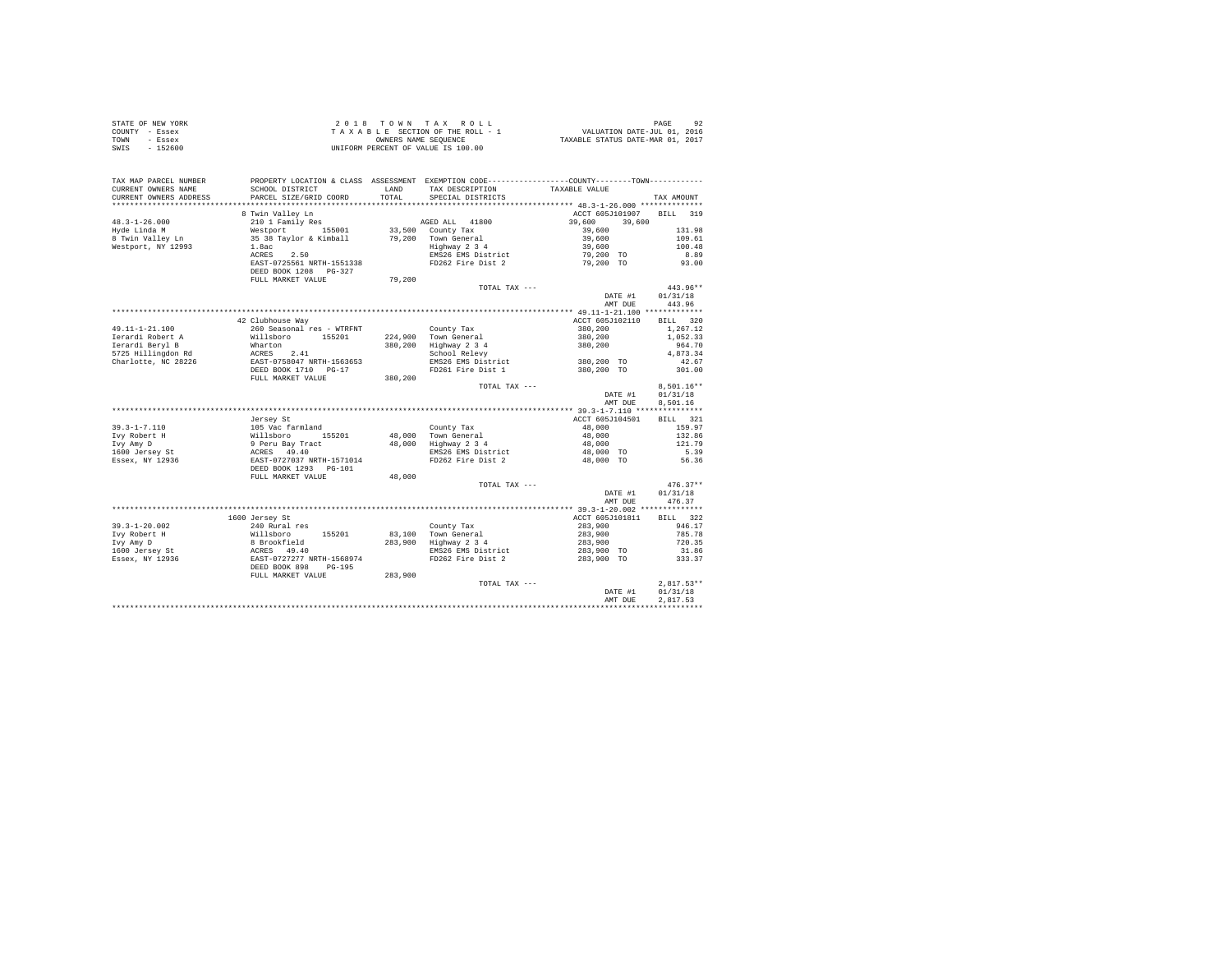| COUNTY - Essex<br>TOWN<br>- Essex<br>SWIS - 152600                     | T A X A B L E SECTION OF THE ROLL - 1 WALUATION DATE-JUL 01, 2016<br>OWNERS NAWE SEQUENCE HOUSE TAXABLE STATUS DATE-MAR 01, 2017<br>UNIFORM PERCENT OF VALUE IS 100.00 |               |                                                                                                                                                       |                          |               |
|------------------------------------------------------------------------|------------------------------------------------------------------------------------------------------------------------------------------------------------------------|---------------|-------------------------------------------------------------------------------------------------------------------------------------------------------|--------------------------|---------------|
| TAX MAP PARCEL NUMBER<br>CURRENT OWNERS NAME<br>CURRENT OWNERS ADDRESS | SCHOOL DISTRICT<br>PARCEL SIZE/GRID COORD                                                                                                                              | LAND<br>TOTAL | PROPERTY LOCATION & CLASS ASSESSMENT EXEMPTION CODE----------------COUNTY--------TOWN----------<br>TAX DESCRIPTION TAXABLE VALUE<br>SPECIAL DISTRICTS |                          | TAX AMOUNT    |
|                                                                        |                                                                                                                                                                        |               |                                                                                                                                                       |                          |               |
|                                                                        | 8 Twin Valley Ln                                                                                                                                                       |               |                                                                                                                                                       | ACCT 605J101907 BILL 319 |               |
|                                                                        |                                                                                                                                                                        |               |                                                                                                                                                       |                          |               |
|                                                                        |                                                                                                                                                                        |               |                                                                                                                                                       |                          | 131.98        |
|                                                                        |                                                                                                                                                                        |               |                                                                                                                                                       |                          | 109.61        |
|                                                                        |                                                                                                                                                                        |               |                                                                                                                                                       |                          | 100.48        |
|                                                                        |                                                                                                                                                                        |               |                                                                                                                                                       |                          | 8.89<br>93.00 |
|                                                                        | EAST-0725561 NRTH-1551338<br>DEED BOOK 1208 PG-327                                                                                                                     |               |                                                                                                                                                       |                          |               |
|                                                                        | FULL MARKET VALUE 79, 200                                                                                                                                              |               |                                                                                                                                                       |                          |               |
|                                                                        |                                                                                                                                                                        |               | TOTAL TAX ---                                                                                                                                         |                          | $443.96**$    |
|                                                                        |                                                                                                                                                                        |               |                                                                                                                                                       | DATE #1 01/31/18         |               |
|                                                                        |                                                                                                                                                                        |               |                                                                                                                                                       | AMT DUE 443.96           |               |
|                                                                        |                                                                                                                                                                        |               |                                                                                                                                                       |                          |               |
|                                                                        | 42 Clubhouse Way                                                                                                                                                       |               |                                                                                                                                                       | ACCT 605J102110 BILL 320 |               |
|                                                                        |                                                                                                                                                                        |               |                                                                                                                                                       |                          |               |
|                                                                        |                                                                                                                                                                        |               |                                                                                                                                                       |                          |               |
|                                                                        |                                                                                                                                                                        |               |                                                                                                                                                       |                          |               |
|                                                                        |                                                                                                                                                                        |               |                                                                                                                                                       |                          |               |
|                                                                        |                                                                                                                                                                        |               |                                                                                                                                                       |                          |               |
|                                                                        |                                                                                                                                                                        |               |                                                                                                                                                       |                          |               |
|                                                                        |                                                                                                                                                                        |               | TOTAL TAX $---$                                                                                                                                       |                          | 8.501.16**    |
|                                                                        |                                                                                                                                                                        |               |                                                                                                                                                       | DATE #1                  | 01/31/18      |
|                                                                        |                                                                                                                                                                        |               |                                                                                                                                                       | AMT DUE                  | 8.501.16      |
|                                                                        |                                                                                                                                                                        |               |                                                                                                                                                       |                          |               |
|                                                                        | Jersey St                                                                                                                                                              |               |                                                                                                                                                       | ACCT 605J104501          | BILL 321      |
|                                                                        |                                                                                                                                                                        |               |                                                                                                                                                       |                          |               |
|                                                                        |                                                                                                                                                                        |               |                                                                                                                                                       |                          |               |
|                                                                        |                                                                                                                                                                        |               |                                                                                                                                                       |                          |               |
|                                                                        |                                                                                                                                                                        |               |                                                                                                                                                       |                          |               |
|                                                                        |                                                                                                                                                                        |               |                                                                                                                                                       |                          |               |
|                                                                        |                                                                                                                                                                        |               |                                                                                                                                                       |                          |               |
|                                                                        |                                                                                                                                                                        |               | TOTAL TAX ---                                                                                                                                         |                          | $476.37**$    |
|                                                                        |                                                                                                                                                                        |               |                                                                                                                                                       | DATE #1                  | 01/31/18      |
|                                                                        |                                                                                                                                                                        |               |                                                                                                                                                       | AMT DUE                  | 476.37        |
|                                                                        |                                                                                                                                                                        |               |                                                                                                                                                       |                          |               |
|                                                                        | 1600 Jersev St                                                                                                                                                         |               |                                                                                                                                                       | ACCT 605J101811          | BILL 322      |
|                                                                        |                                                                                                                                                                        |               |                                                                                                                                                       |                          |               |
|                                                                        |                                                                                                                                                                        |               |                                                                                                                                                       |                          |               |
|                                                                        |                                                                                                                                                                        |               |                                                                                                                                                       |                          |               |
|                                                                        |                                                                                                                                                                        |               |                                                                                                                                                       |                          |               |
|                                                                        |                                                                                                                                                                        |               |                                                                                                                                                       |                          |               |
|                                                                        |                                                                                                                                                                        |               |                                                                                                                                                       |                          |               |
|                                                                        |                                                                                                                                                                        |               | TOTAL TAX ---                                                                                                                                         |                          | $2.817.53**$  |
|                                                                        |                                                                                                                                                                        |               |                                                                                                                                                       | DATE #1                  | 01/31/18      |
|                                                                        |                                                                                                                                                                        |               |                                                                                                                                                       | AMT DUE                  | 2.817.53      |
|                                                                        |                                                                                                                                                                        |               |                                                                                                                                                       |                          |               |

STATE OF NEW YORK 2 0 1 8 T O W N T A X R O L L PAGE 92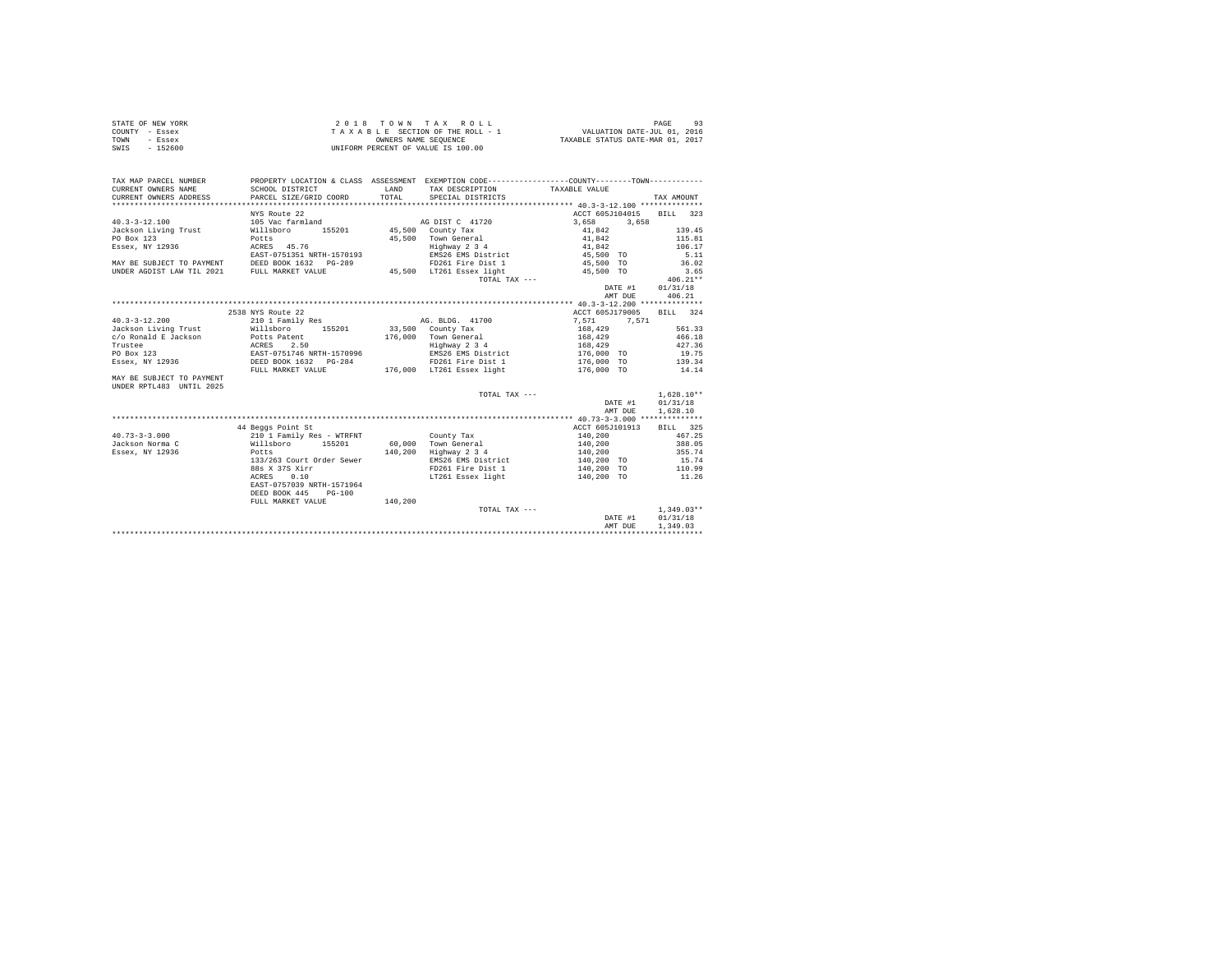| STATE OF NEW YORK | 2018 TOWN TAX ROLL                 | 93<br>PAGE                       |
|-------------------|------------------------------------|----------------------------------|
| COUNTY - Essex    | TAXABLE SECTION OF THE ROLL - 1    | VALUATION DATE-JUL 01, 2016      |
| TOWN<br>- Essex   | OWNERS NAME SEOUENCE               | TAXABLE STATUS DATE-MAR 01, 2017 |
| $-152600$<br>SWIS | UNIFORM PERCENT OF VALUE IS 100.00 |                                  |

| TAX MAP PARCEL NUMBER<br>CURRENT OWNERS NAME                                                   | PROPERTY LOCATION & CLASS ASSESSMENT EXEMPTION CODE---------------COUNTY-------TOWN---------<br>SCHOOL DISTRICT | LAND    | TAX DESCRIPTION TAXABLE VALUE         |                       |                          |
|------------------------------------------------------------------------------------------------|-----------------------------------------------------------------------------------------------------------------|---------|---------------------------------------|-----------------------|--------------------------|
| CURRENT OWNERS ADDRESS                                                                         | PARCEL SIZE/GRID COORD                                                                                          | TOTAL   | SPECIAL DISTRICTS                     |                       | TAX AMOUNT               |
|                                                                                                |                                                                                                                 |         |                                       |                       |                          |
|                                                                                                | NYS Route 22                                                                                                    |         |                                       |                       | ACCT 605J104015 BILL 323 |
| $40.3 - 3 - 12.100$                                                                            | 105 Vac farmland                                                                                                |         | AG DIST C 41720                       | 3,658 3,658           |                          |
| Jackson Living Trust                                                                           | Willsboro<br>155201 45,500 County Tax                                                                           |         |                                       | 41,842                | 139.45                   |
| PO Box 123                                                                                     | Potts                                                                                                           |         | 45,500 Town General                   | $41,842$<br>$41,842$  | 115.81                   |
| Essex, NY 12936                                                                                | ACRES 45.76                                                                                                     |         | Highway 2 3 4                         |                       | 106.17                   |
|                                                                                                | EAST-0751351 NRTH-1570193                                                                                       |         | EMS26 EMS District 45,500 TO          |                       | 5.11                     |
| MAY BE SUBJECT TO PAYMENT DEED BOOK 1632 PG-289<br>UNDER AGDIST LAW TIL 2021 FULL MARKET VALUE |                                                                                                                 |         | FD261 Fire Dist 1 45,500 TO           |                       | 36.02                    |
|                                                                                                |                                                                                                                 |         | 45,500 LT261 Essex light              | 45,500 TO             | 3.65                     |
|                                                                                                |                                                                                                                 |         | TOTAL TAX ---                         |                       | $406.21**$               |
|                                                                                                |                                                                                                                 |         |                                       | DATE #1               | 01/31/18                 |
|                                                                                                |                                                                                                                 |         |                                       | AMT DUE               | 406.21                   |
|                                                                                                |                                                                                                                 |         |                                       |                       |                          |
|                                                                                                | 2538 NYS Route 22                                                                                               |         |                                       | ACCT 605J179005       | BILL 324                 |
| $40.3 - 3 - 12.200$                                                                            |                                                                                                                 |         | AG. BLDG. 41700                       | 7.571<br>7,571        |                          |
| Jackson Living Trust                                                                           | 210 1 Family Res<br>Willsboro 155201                                                                            |         | 33,500 County Tax                     | 168,429               | 561.33                   |
| c/o Ronald E Jackson Potts Patent                                                              |                                                                                                                 |         | 176,000 Town General                  | 168,429               | 466.18                   |
| Trustee                                                                                        |                                                                                                                 |         | Highway 2 3 4                         |                       |                          |
| PO Box 123                                                                                     | ACRES 2.50<br>EAST-0751746 NRTH-1570996<br>DEED BOOK 1632 PG-284                                                |         | EMS26 EMS District                    | 168,429<br>176,000 TO | 427.36<br>19.75          |
| Essex, NY 12936                                                                                |                                                                                                                 |         | FD261 Fire Dist 1 0 176,000 TO 139.34 |                       |                          |
|                                                                                                | FULL MARKET VALUE                                                                                               |         | 176,000 LT261 Essex light 176,000 TO  |                       | 14.14                    |
| MAY BE SUBJECT TO PAYMENT                                                                      |                                                                                                                 |         |                                       |                       |                          |
| UNDER RPTL483 UNTIL 2025                                                                       |                                                                                                                 |         |                                       |                       |                          |
|                                                                                                |                                                                                                                 |         | TOTAL TAX ---                         |                       | $1.628.10**$             |
|                                                                                                |                                                                                                                 |         |                                       | DATE #1               | 01/31/18                 |
|                                                                                                |                                                                                                                 |         |                                       | AMT DUE               | 1,628.10                 |
|                                                                                                |                                                                                                                 |         |                                       |                       |                          |
|                                                                                                | 44 Beggs Point St                                                                                               |         |                                       | ACCT 605J101913       | BILL 325                 |
| $40.73 - 3 - 3.000$                                                                            | 210 1 Family Res - WTRFNT                                                                                       |         | County Tax                            | 140,200               | 467.25                   |
| Jackson Norma C                                                                                | Willsboro 155201 60.000 Town General                                                                            |         |                                       | 140,200               | 388.05                   |
| Essex, NY 12936                                                                                | Potts                                                                                                           |         | 140,200 Highway 2 3 4                 | 140,200<br>140,200 TO | $35 - 74$                |
|                                                                                                | 133/263 Court Order Sewer                                                                                       |         | EMS26 EMS District                    |                       |                          |
|                                                                                                | 88s X 37S Xirr                                                                                                  |         | FD261 Fire Dist 1 140,200 TO 110.99   |                       |                          |
|                                                                                                | 0.10<br>ACRES                                                                                                   |         | LT261 Essex light 140,200 TO          |                       | 11.26                    |
|                                                                                                | EAST-0757039 NRTH-1571964                                                                                       |         |                                       |                       |                          |
|                                                                                                | DEED BOOK 445<br>$PG-100$                                                                                       |         |                                       |                       |                          |
|                                                                                                | FULL MARKET VALUE                                                                                               | 140,200 |                                       |                       |                          |
|                                                                                                |                                                                                                                 |         | TOTAL TAX ---                         |                       | $1,349.03**$             |
|                                                                                                |                                                                                                                 |         |                                       | DATE #1               | 01/31/18                 |
|                                                                                                |                                                                                                                 |         |                                       | AMT DUE               | 1,349.03                 |
|                                                                                                |                                                                                                                 |         |                                       |                       |                          |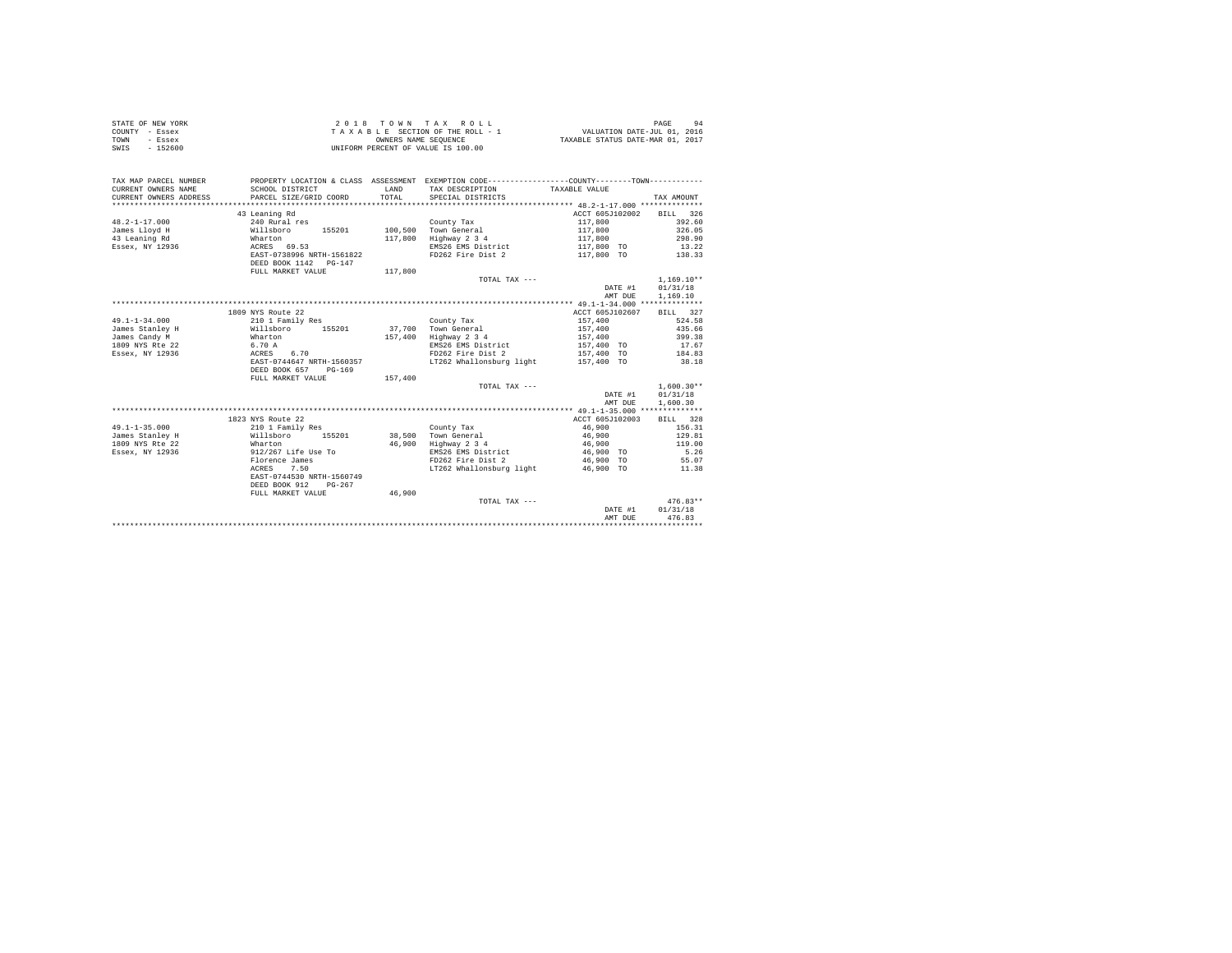|                | STATE OF NEW YORK |  |  |  | 2018 TOWN TAX ROLL                 |  |  |  |  |                                  | PAGE | 94 |
|----------------|-------------------|--|--|--|------------------------------------|--|--|--|--|----------------------------------|------|----|
| COUNTY - Essex |                   |  |  |  | TAXABLE SECTION OF THE ROLL - 1    |  |  |  |  | VALUATION DATE-JUL 01, 2016      |      |    |
| TOWN           | - Essex           |  |  |  | OWNERS NAME SEOUENCE               |  |  |  |  | TAXABLE STATUS DATE-MAR 01, 2017 |      |    |
| SWIS           | - 152600          |  |  |  | UNIFORM PERCENT OF VALUE IS 100.00 |  |  |  |  |                                  |      |    |

| ACCT 605J102002<br>43 Leaning Rd<br>BILL 326<br>392.60<br>$48.2 - 1 - 17.000$<br>240 Rural res<br>117,800<br>County Tax<br>Willsboro 155201<br>117,800<br>100.500 Town General<br>326.05<br>Wharton<br>Highway 2 3 4<br>117,800<br>117,800<br>298.90<br>Essex, NY 12936 69.53<br>EMS26 EMS District<br>117,800 TO<br>13.22<br>EAST-0738996 NRTH-1561822<br>FD262 Fire Dist 2<br>117,800 TO<br>138.33<br>DEED BOOK 1142 PG-147<br>FULL MARKET VALUE<br>117,800<br>$1.169.10**$<br>TOTAL TAX ---<br>DATE #1<br>01/31/18<br>1,169.10<br>AMT DUE<br>1809 NYS Route 22<br>ACCT 605J102607<br>BILL 327<br>$49.1 - 1 - 34.000$<br>210 1 Family Res<br>157,400<br>524.58<br>County Tax<br>Willsboro<br>435.66<br>James Stanley H<br>155201 37.700 Town General<br>157,400<br>Highway 2 3 4<br>399.38<br>James Candy M<br>Wharton<br>157,400<br>157,400<br>1809 NYS Rte 22<br>6.70 A<br>ACRES<br>17.67<br>EMS26 EMS District<br>157,400 TO<br>FD262 Fire Dist 2<br>184.83<br>Essex, NY 12936<br>6.70<br>157,400 TO<br>LT262 Whallonsburg light<br>EAST-0744647 NRTH-1560357<br>157,400 TO<br>38.18<br>DEED BOOK 657<br>$PG-169$<br>FULL MARKET VALUE<br>157,400<br>$1.600.30**$<br>TOTAL TAX ---<br>DATE #1<br>01/31/18<br>1,600.30<br>AMT DUE<br>1823 NYS Route 22<br>ACCT 605J102003<br>BILL 328<br>$49.1 - 1 - 35.000$<br>46,900<br>156.31<br>210 1 Family Res<br>County Tax<br>James Stanley H<br>38,500 Town General<br>46,900 Highway 2 3 4<br>129.81<br>Willsboro 155201<br>46,900<br>1809 NYS Rte 22<br>Wharton<br>46,900<br>119.00<br>912/267 Life Use To<br>EMS26 EMS District 46,900 TO<br>5.26<br>Essex, NY 12936<br>Florence James<br>FD262 Fire Dist 2<br>46,900 TO<br>55.07<br>ACRES<br>7.50<br>LT262 Whallonsburg light<br>46,900 TO<br>11.38<br>EAST-0744530 NRTH-1560749<br>DEED BOOK 912<br>$PG-267$<br>46,900<br>FULL MARKET VALUE<br>$476.83**$<br>TOTAL TAX ---<br>01/31/18<br>DATE #1<br>476.83<br>AMT DUE | TAX MAP PARCEL NUMBER<br>CURRENT OWNERS NAME<br>CURRENT OWNERS ADDRESS | SCHOOL DISTRICT<br>PARCEL SIZE/GRID COORD | LAND<br>TOTAL | PROPERTY LOCATION & CLASS ASSESSMENT EXEMPTION CODE----------------COUNTY--------TOWN----------<br>TAX DESCRIPTION TAXABLE VALUE<br>SPECIAL DISTRICTS | TAX AMOUNT |
|--------------------------------------------------------------------------------------------------------------------------------------------------------------------------------------------------------------------------------------------------------------------------------------------------------------------------------------------------------------------------------------------------------------------------------------------------------------------------------------------------------------------------------------------------------------------------------------------------------------------------------------------------------------------------------------------------------------------------------------------------------------------------------------------------------------------------------------------------------------------------------------------------------------------------------------------------------------------------------------------------------------------------------------------------------------------------------------------------------------------------------------------------------------------------------------------------------------------------------------------------------------------------------------------------------------------------------------------------------------------------------------------------------------------------------------------------------------------------------------------------------------------------------------------------------------------------------------------------------------------------------------------------------------------------------------------------------------------------------------------------------------------------------------------------------------------------------------------------------------------------------------------------------------------------|------------------------------------------------------------------------|-------------------------------------------|---------------|-------------------------------------------------------------------------------------------------------------------------------------------------------|------------|
|                                                                                                                                                                                                                                                                                                                                                                                                                                                                                                                                                                                                                                                                                                                                                                                                                                                                                                                                                                                                                                                                                                                                                                                                                                                                                                                                                                                                                                                                                                                                                                                                                                                                                                                                                                                                                                                                                                                          |                                                                        |                                           |               |                                                                                                                                                       |            |
|                                                                                                                                                                                                                                                                                                                                                                                                                                                                                                                                                                                                                                                                                                                                                                                                                                                                                                                                                                                                                                                                                                                                                                                                                                                                                                                                                                                                                                                                                                                                                                                                                                                                                                                                                                                                                                                                                                                          |                                                                        |                                           |               |                                                                                                                                                       |            |
|                                                                                                                                                                                                                                                                                                                                                                                                                                                                                                                                                                                                                                                                                                                                                                                                                                                                                                                                                                                                                                                                                                                                                                                                                                                                                                                                                                                                                                                                                                                                                                                                                                                                                                                                                                                                                                                                                                                          |                                                                        |                                           |               |                                                                                                                                                       |            |
|                                                                                                                                                                                                                                                                                                                                                                                                                                                                                                                                                                                                                                                                                                                                                                                                                                                                                                                                                                                                                                                                                                                                                                                                                                                                                                                                                                                                                                                                                                                                                                                                                                                                                                                                                                                                                                                                                                                          | James Lloyd H                                                          |                                           |               |                                                                                                                                                       |            |
|                                                                                                                                                                                                                                                                                                                                                                                                                                                                                                                                                                                                                                                                                                                                                                                                                                                                                                                                                                                                                                                                                                                                                                                                                                                                                                                                                                                                                                                                                                                                                                                                                                                                                                                                                                                                                                                                                                                          | 43 Leaning Rd                                                          |                                           |               |                                                                                                                                                       |            |
|                                                                                                                                                                                                                                                                                                                                                                                                                                                                                                                                                                                                                                                                                                                                                                                                                                                                                                                                                                                                                                                                                                                                                                                                                                                                                                                                                                                                                                                                                                                                                                                                                                                                                                                                                                                                                                                                                                                          |                                                                        |                                           |               |                                                                                                                                                       |            |
|                                                                                                                                                                                                                                                                                                                                                                                                                                                                                                                                                                                                                                                                                                                                                                                                                                                                                                                                                                                                                                                                                                                                                                                                                                                                                                                                                                                                                                                                                                                                                                                                                                                                                                                                                                                                                                                                                                                          |                                                                        |                                           |               |                                                                                                                                                       |            |
|                                                                                                                                                                                                                                                                                                                                                                                                                                                                                                                                                                                                                                                                                                                                                                                                                                                                                                                                                                                                                                                                                                                                                                                                                                                                                                                                                                                                                                                                                                                                                                                                                                                                                                                                                                                                                                                                                                                          |                                                                        |                                           |               |                                                                                                                                                       |            |
|                                                                                                                                                                                                                                                                                                                                                                                                                                                                                                                                                                                                                                                                                                                                                                                                                                                                                                                                                                                                                                                                                                                                                                                                                                                                                                                                                                                                                                                                                                                                                                                                                                                                                                                                                                                                                                                                                                                          |                                                                        |                                           |               |                                                                                                                                                       |            |
|                                                                                                                                                                                                                                                                                                                                                                                                                                                                                                                                                                                                                                                                                                                                                                                                                                                                                                                                                                                                                                                                                                                                                                                                                                                                                                                                                                                                                                                                                                                                                                                                                                                                                                                                                                                                                                                                                                                          |                                                                        |                                           |               |                                                                                                                                                       |            |
|                                                                                                                                                                                                                                                                                                                                                                                                                                                                                                                                                                                                                                                                                                                                                                                                                                                                                                                                                                                                                                                                                                                                                                                                                                                                                                                                                                                                                                                                                                                                                                                                                                                                                                                                                                                                                                                                                                                          |                                                                        |                                           |               |                                                                                                                                                       |            |
|                                                                                                                                                                                                                                                                                                                                                                                                                                                                                                                                                                                                                                                                                                                                                                                                                                                                                                                                                                                                                                                                                                                                                                                                                                                                                                                                                                                                                                                                                                                                                                                                                                                                                                                                                                                                                                                                                                                          |                                                                        |                                           |               |                                                                                                                                                       |            |
|                                                                                                                                                                                                                                                                                                                                                                                                                                                                                                                                                                                                                                                                                                                                                                                                                                                                                                                                                                                                                                                                                                                                                                                                                                                                                                                                                                                                                                                                                                                                                                                                                                                                                                                                                                                                                                                                                                                          |                                                                        |                                           |               |                                                                                                                                                       |            |
|                                                                                                                                                                                                                                                                                                                                                                                                                                                                                                                                                                                                                                                                                                                                                                                                                                                                                                                                                                                                                                                                                                                                                                                                                                                                                                                                                                                                                                                                                                                                                                                                                                                                                                                                                                                                                                                                                                                          |                                                                        |                                           |               |                                                                                                                                                       |            |
|                                                                                                                                                                                                                                                                                                                                                                                                                                                                                                                                                                                                                                                                                                                                                                                                                                                                                                                                                                                                                                                                                                                                                                                                                                                                                                                                                                                                                                                                                                                                                                                                                                                                                                                                                                                                                                                                                                                          |                                                                        |                                           |               |                                                                                                                                                       |            |
|                                                                                                                                                                                                                                                                                                                                                                                                                                                                                                                                                                                                                                                                                                                                                                                                                                                                                                                                                                                                                                                                                                                                                                                                                                                                                                                                                                                                                                                                                                                                                                                                                                                                                                                                                                                                                                                                                                                          |                                                                        |                                           |               |                                                                                                                                                       |            |
|                                                                                                                                                                                                                                                                                                                                                                                                                                                                                                                                                                                                                                                                                                                                                                                                                                                                                                                                                                                                                                                                                                                                                                                                                                                                                                                                                                                                                                                                                                                                                                                                                                                                                                                                                                                                                                                                                                                          |                                                                        |                                           |               |                                                                                                                                                       |            |
|                                                                                                                                                                                                                                                                                                                                                                                                                                                                                                                                                                                                                                                                                                                                                                                                                                                                                                                                                                                                                                                                                                                                                                                                                                                                                                                                                                                                                                                                                                                                                                                                                                                                                                                                                                                                                                                                                                                          |                                                                        |                                           |               |                                                                                                                                                       |            |
|                                                                                                                                                                                                                                                                                                                                                                                                                                                                                                                                                                                                                                                                                                                                                                                                                                                                                                                                                                                                                                                                                                                                                                                                                                                                                                                                                                                                                                                                                                                                                                                                                                                                                                                                                                                                                                                                                                                          |                                                                        |                                           |               |                                                                                                                                                       |            |
|                                                                                                                                                                                                                                                                                                                                                                                                                                                                                                                                                                                                                                                                                                                                                                                                                                                                                                                                                                                                                                                                                                                                                                                                                                                                                                                                                                                                                                                                                                                                                                                                                                                                                                                                                                                                                                                                                                                          |                                                                        |                                           |               |                                                                                                                                                       |            |
|                                                                                                                                                                                                                                                                                                                                                                                                                                                                                                                                                                                                                                                                                                                                                                                                                                                                                                                                                                                                                                                                                                                                                                                                                                                                                                                                                                                                                                                                                                                                                                                                                                                                                                                                                                                                                                                                                                                          |                                                                        |                                           |               |                                                                                                                                                       |            |
|                                                                                                                                                                                                                                                                                                                                                                                                                                                                                                                                                                                                                                                                                                                                                                                                                                                                                                                                                                                                                                                                                                                                                                                                                                                                                                                                                                                                                                                                                                                                                                                                                                                                                                                                                                                                                                                                                                                          |                                                                        |                                           |               |                                                                                                                                                       |            |
|                                                                                                                                                                                                                                                                                                                                                                                                                                                                                                                                                                                                                                                                                                                                                                                                                                                                                                                                                                                                                                                                                                                                                                                                                                                                                                                                                                                                                                                                                                                                                                                                                                                                                                                                                                                                                                                                                                                          |                                                                        |                                           |               |                                                                                                                                                       |            |
|                                                                                                                                                                                                                                                                                                                                                                                                                                                                                                                                                                                                                                                                                                                                                                                                                                                                                                                                                                                                                                                                                                                                                                                                                                                                                                                                                                                                                                                                                                                                                                                                                                                                                                                                                                                                                                                                                                                          |                                                                        |                                           |               |                                                                                                                                                       |            |
|                                                                                                                                                                                                                                                                                                                                                                                                                                                                                                                                                                                                                                                                                                                                                                                                                                                                                                                                                                                                                                                                                                                                                                                                                                                                                                                                                                                                                                                                                                                                                                                                                                                                                                                                                                                                                                                                                                                          |                                                                        |                                           |               |                                                                                                                                                       |            |
|                                                                                                                                                                                                                                                                                                                                                                                                                                                                                                                                                                                                                                                                                                                                                                                                                                                                                                                                                                                                                                                                                                                                                                                                                                                                                                                                                                                                                                                                                                                                                                                                                                                                                                                                                                                                                                                                                                                          |                                                                        |                                           |               |                                                                                                                                                       |            |
|                                                                                                                                                                                                                                                                                                                                                                                                                                                                                                                                                                                                                                                                                                                                                                                                                                                                                                                                                                                                                                                                                                                                                                                                                                                                                                                                                                                                                                                                                                                                                                                                                                                                                                                                                                                                                                                                                                                          |                                                                        |                                           |               |                                                                                                                                                       |            |
|                                                                                                                                                                                                                                                                                                                                                                                                                                                                                                                                                                                                                                                                                                                                                                                                                                                                                                                                                                                                                                                                                                                                                                                                                                                                                                                                                                                                                                                                                                                                                                                                                                                                                                                                                                                                                                                                                                                          |                                                                        |                                           |               |                                                                                                                                                       |            |
|                                                                                                                                                                                                                                                                                                                                                                                                                                                                                                                                                                                                                                                                                                                                                                                                                                                                                                                                                                                                                                                                                                                                                                                                                                                                                                                                                                                                                                                                                                                                                                                                                                                                                                                                                                                                                                                                                                                          |                                                                        |                                           |               |                                                                                                                                                       |            |
|                                                                                                                                                                                                                                                                                                                                                                                                                                                                                                                                                                                                                                                                                                                                                                                                                                                                                                                                                                                                                                                                                                                                                                                                                                                                                                                                                                                                                                                                                                                                                                                                                                                                                                                                                                                                                                                                                                                          |                                                                        |                                           |               |                                                                                                                                                       |            |
|                                                                                                                                                                                                                                                                                                                                                                                                                                                                                                                                                                                                                                                                                                                                                                                                                                                                                                                                                                                                                                                                                                                                                                                                                                                                                                                                                                                                                                                                                                                                                                                                                                                                                                                                                                                                                                                                                                                          |                                                                        |                                           |               |                                                                                                                                                       |            |
|                                                                                                                                                                                                                                                                                                                                                                                                                                                                                                                                                                                                                                                                                                                                                                                                                                                                                                                                                                                                                                                                                                                                                                                                                                                                                                                                                                                                                                                                                                                                                                                                                                                                                                                                                                                                                                                                                                                          |                                                                        |                                           |               |                                                                                                                                                       |            |
|                                                                                                                                                                                                                                                                                                                                                                                                                                                                                                                                                                                                                                                                                                                                                                                                                                                                                                                                                                                                                                                                                                                                                                                                                                                                                                                                                                                                                                                                                                                                                                                                                                                                                                                                                                                                                                                                                                                          |                                                                        |                                           |               |                                                                                                                                                       |            |
|                                                                                                                                                                                                                                                                                                                                                                                                                                                                                                                                                                                                                                                                                                                                                                                                                                                                                                                                                                                                                                                                                                                                                                                                                                                                                                                                                                                                                                                                                                                                                                                                                                                                                                                                                                                                                                                                                                                          |                                                                        |                                           |               |                                                                                                                                                       |            |
|                                                                                                                                                                                                                                                                                                                                                                                                                                                                                                                                                                                                                                                                                                                                                                                                                                                                                                                                                                                                                                                                                                                                                                                                                                                                                                                                                                                                                                                                                                                                                                                                                                                                                                                                                                                                                                                                                                                          |                                                                        |                                           |               |                                                                                                                                                       |            |
|                                                                                                                                                                                                                                                                                                                                                                                                                                                                                                                                                                                                                                                                                                                                                                                                                                                                                                                                                                                                                                                                                                                                                                                                                                                                                                                                                                                                                                                                                                                                                                                                                                                                                                                                                                                                                                                                                                                          |                                                                        |                                           |               |                                                                                                                                                       |            |
|                                                                                                                                                                                                                                                                                                                                                                                                                                                                                                                                                                                                                                                                                                                                                                                                                                                                                                                                                                                                                                                                                                                                                                                                                                                                                                                                                                                                                                                                                                                                                                                                                                                                                                                                                                                                                                                                                                                          |                                                                        |                                           |               |                                                                                                                                                       |            |
|                                                                                                                                                                                                                                                                                                                                                                                                                                                                                                                                                                                                                                                                                                                                                                                                                                                                                                                                                                                                                                                                                                                                                                                                                                                                                                                                                                                                                                                                                                                                                                                                                                                                                                                                                                                                                                                                                                                          |                                                                        |                                           |               |                                                                                                                                                       |            |
|                                                                                                                                                                                                                                                                                                                                                                                                                                                                                                                                                                                                                                                                                                                                                                                                                                                                                                                                                                                                                                                                                                                                                                                                                                                                                                                                                                                                                                                                                                                                                                                                                                                                                                                                                                                                                                                                                                                          |                                                                        |                                           |               |                                                                                                                                                       |            |
|                                                                                                                                                                                                                                                                                                                                                                                                                                                                                                                                                                                                                                                                                                                                                                                                                                                                                                                                                                                                                                                                                                                                                                                                                                                                                                                                                                                                                                                                                                                                                                                                                                                                                                                                                                                                                                                                                                                          |                                                                        |                                           |               |                                                                                                                                                       |            |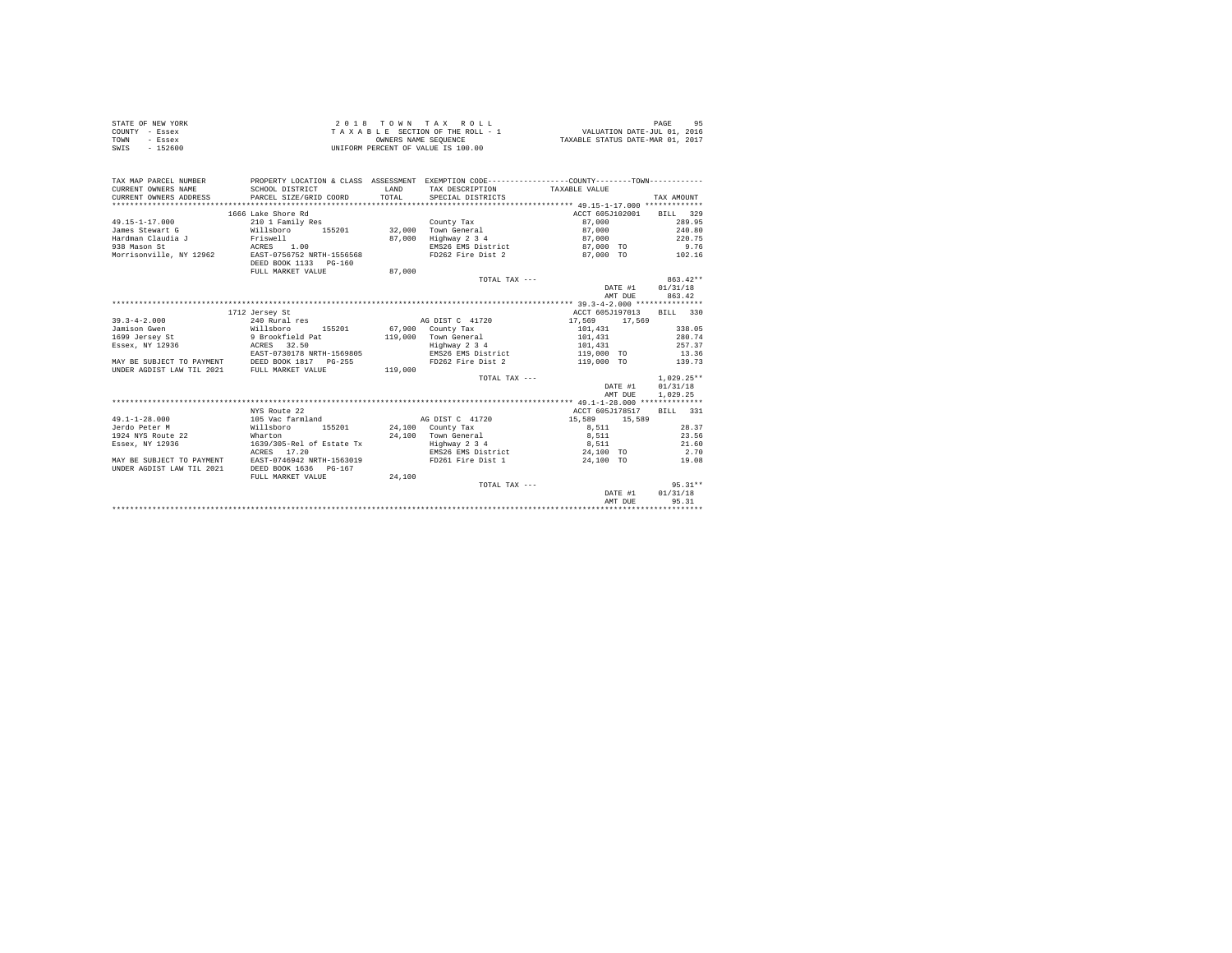|      | STATE OF NEW YORK | 2018 TOWN TAX ROLL                 | PAGE                             |
|------|-------------------|------------------------------------|----------------------------------|
|      | COUNTY - Essex    | TAXABLE SECTION OF THE ROLL - 1    | VALUATION DATE-JUL 01, 2016      |
| TOWN | - Essex           | OWNERS NAME SEOUENCE               | TAXABLE STATUS DATE-MAR 01, 2017 |
| SWIS | - 152600          | UNIFORM PERCENT OF VALUE IS 100.00 |                                  |

| TAX MAP PARCEL NUMBER                                  | PROPERTY LOCATION & CLASS ASSESSMENT EXEMPTION CODE---------------COUNTY-------TOWN---------- |         |                                          |                                     |                  |
|--------------------------------------------------------|-----------------------------------------------------------------------------------------------|---------|------------------------------------------|-------------------------------------|------------------|
|                                                        |                                                                                               |         |                                          |                                     |                  |
|                                                        | 1666 Lake Shore Rd                                                                            |         |                                          | ACCT 605J102001 BILL 329            |                  |
| 49.15-1-17.000                                         | 210 1 Family Res                                                                              |         | County Tax                               | 87,000                              | 289.95           |
| James Stewart G                                        | Willsboro 155201 32,000 Town General                                                          |         |                                          | 87,000                              | 240.80           |
| Hardman Claudia J                                      | Friswell<br>ACRES 1.00                                                                        | 87,000  | Highway 2 3 4                            | 87,000                              | 220.75           |
| 938 Mason St                                           |                                                                                               |         | EMS26 EMS District                       | 87,000 TO                           | 9.76             |
| Morrisonville, NY 12962                                | EAST-0756752 NRTH-1556568                                                                     |         | FD262 Fire Dist 2                        | 87.000 TO 102.16                    |                  |
|                                                        | DEED BOOK 1133 PG-160                                                                         |         |                                          |                                     |                  |
|                                                        | FULL MARKET VALUE                                                                             | 87,000  |                                          |                                     |                  |
|                                                        |                                                                                               |         | TOTAL TAX ---                            |                                     | $863.42**$       |
|                                                        |                                                                                               |         |                                          |                                     | DATE #1 01/31/18 |
|                                                        |                                                                                               |         |                                          | AMT DUE                             | 863.42           |
|                                                        |                                                                                               |         |                                          |                                     |                  |
|                                                        | 1712 Jersey St                                                                                |         |                                          | ACCT 605J197013                     | BILL 330         |
| $39.3 - 4 - 2.000$                                     |                                                                                               |         | AG DIST C 41720                          | 17,569 17,569                       |                  |
| Jamison Gwen                                           |                                                                                               |         | 67,900 County Tax                        | 101,431<br>101,431                  | 338.05           |
| 1699 Jersey St                                         |                                                                                               |         | 119,000 Town General                     |                                     | 280.74           |
| Essex, NY 12936                                        | ACRES 32.50                                                                                   |         | Highway 2 3 4                            | 101,431                             | 257.37           |
|                                                        | EAST-0730178 NRTH-1569805                                                                     |         |                                          | EMS26 EMS District 119,000 TO 13.36 |                  |
| MAY BE SUBJECT TO PAYMENT DEED BOOK 1817 PG-255        |                                                                                               |         | FD262 Fire Dist 2                        | 119,000 TO                          | 139.73           |
| UNDER AGDIST LAW TIL 2021 FULL MARKET VALUE            |                                                                                               | 119,000 |                                          |                                     |                  |
|                                                        |                                                                                               |         | TOTAL TAX ---                            |                                     | $1.029.25**$     |
|                                                        |                                                                                               |         |                                          | DATE #1                             | 01/31/18         |
|                                                        |                                                                                               |         |                                          | AMT DUE                             | 1,029.25         |
|                                                        |                                                                                               |         |                                          |                                     | BILL 331         |
|                                                        | NYS Route 22                                                                                  |         |                                          | ACCT 605J178517                     |                  |
| $49.1 - 1 - 28.000$                                    | 105 Vac farmland                                                                              |         | AG DIST C 41720                          | 15,589 15,589                       |                  |
| Jerdo Peter M                                          | Willsboro 155201                                                                              |         | 24,100 County Tax<br>24,100 Town General | 8,511                               | 28.37            |
| 1924 NYS Route 22                                      | Wharton                                                                                       |         |                                          | 8,511                               | 23.56            |
| Essex, NY 12936                                        | 1639/305-Rel of Estate Tx                                                                     |         | Highway 2 3 4                            | 8,511                               | 21.60            |
|                                                        | ACRES 17.20                                                                                   |         |                                          | EMS26 EMS District 24,100 TO        | 2.70             |
| MAY BE SUBJECT TO PAYMENT<br>UNDER AGDIST LAW TIL 2021 | EAST-0746942 NRTH-1563019<br>DEED BOOK 1636 PG-167                                            |         | FD261 Fire Dist 1                        | 24,100 TO                           | 19.08            |
|                                                        |                                                                                               |         |                                          |                                     |                  |
|                                                        | FULL MARKET VALUE                                                                             | 24,100  | TOTAL TAX ---                            |                                     | $95.31**$        |
|                                                        |                                                                                               |         |                                          | DATE #1                             | 01/31/18         |
|                                                        |                                                                                               |         |                                          | AMT DUE                             | 95.31            |
|                                                        |                                                                                               |         |                                          |                                     |                  |
|                                                        |                                                                                               |         |                                          |                                     |                  |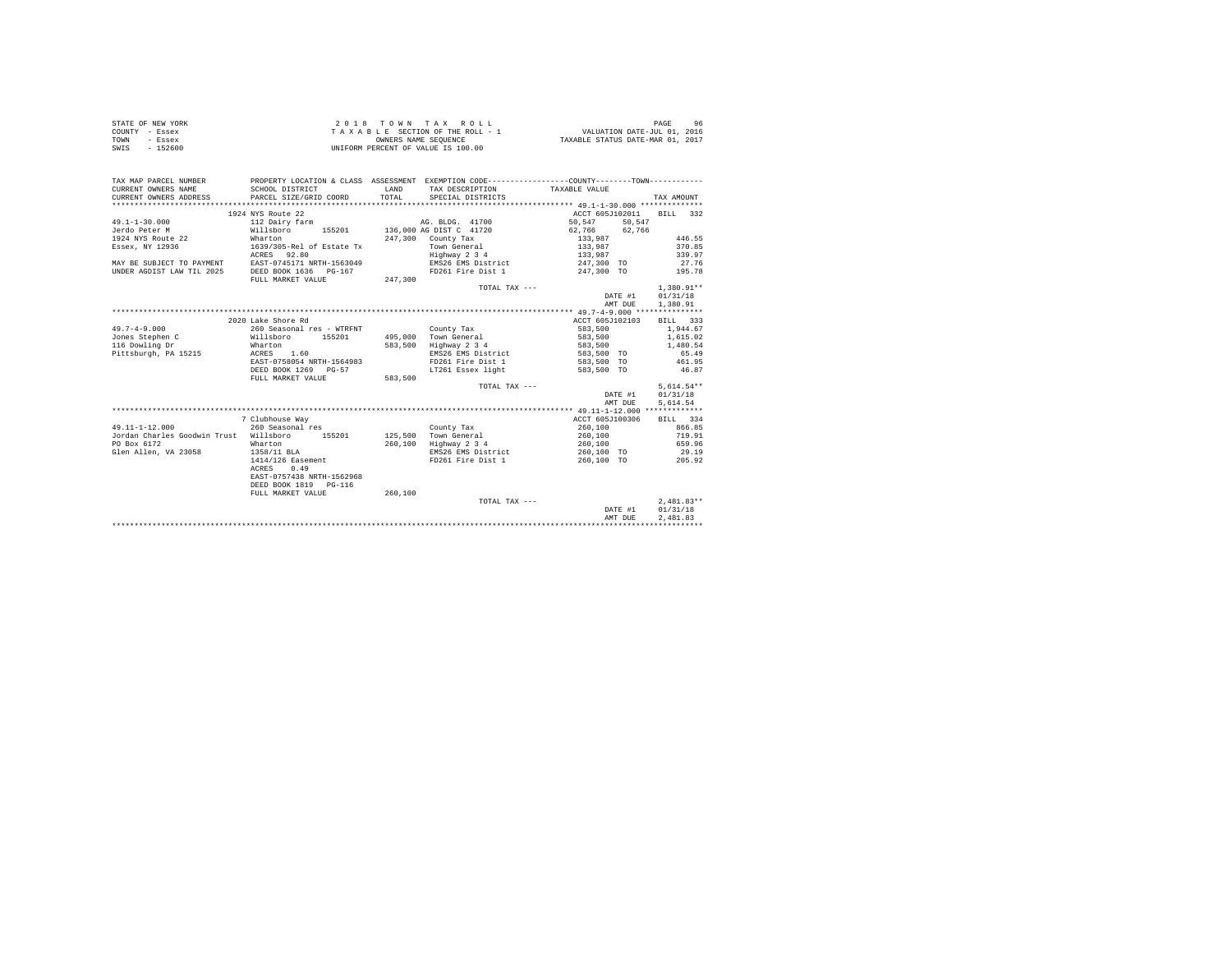|                | STATE OF NEW YORK | 2018 TOWN TAX ROLL                 | 96<br>PAGE                       |
|----------------|-------------------|------------------------------------|----------------------------------|
| COUNTY - Essex |                   | TAXABLE SECTION OF THE ROLL - 1    | VALUATION DATE-JUL 01, 2016      |
| TOWN           | - Essex           | OWNERS NAME SEOUENCE               | TAXABLE STATUS DATE-MAR 01, 2017 |
| SWIS           | $-152600$         | UNIFORM PERCENT OF VALUE IS 100.00 |                                  |

| TAX MAP PARCEL NUMBER<br>CURRENT OWNERS NAME        | PROPERTY LOCATION & CLASS ASSESSMENT EXEMPTION CODE----------------COUNTY--------TOWN----------<br>SCHOOL DISTRICT | T.AND    | TAX DESCRIPTION TAXABLE VALUE                 |                                     |                  |
|-----------------------------------------------------|--------------------------------------------------------------------------------------------------------------------|----------|-----------------------------------------------|-------------------------------------|------------------|
| CURRENT OWNERS ADDRESS PARCEL SIZE/GRID COORD       |                                                                                                                    | TOTAL    | SPECIAL DISTRICTS                             |                                     | TAX AMOUNT       |
|                                                     |                                                                                                                    |          |                                               |                                     |                  |
|                                                     | 1924 NYS Route 22                                                                                                  |          |                                               | ACCT 605J102011 BILL 332            |                  |
|                                                     |                                                                                                                    |          |                                               | 50.547 50.547                       |                  |
|                                                     |                                                                                                                    |          |                                               |                                     |                  |
| 1924 NYS Route 22 Wharton                           |                                                                                                                    |          | 247,300 County Tax                            | 133,987                             | 446.55           |
| Essex, NY 12936                                     | 1639/305-Rel of Estate Tx<br>ACRES 92.80                                                                           |          | Town General                                  | 133,987<br>133,987                  | 370.85           |
|                                                     |                                                                                                                    |          | Highway 2 3 4                                 |                                     | 339.97           |
| MAY BE SUBJECT TO PAYMENT EAST-0745171 NRTH-1563049 |                                                                                                                    |          |                                               | EMS26 EMS District 247,300 TO 27.76 |                  |
| UNDER AGDIST LAW TIL 2025 DEED BOOK 1636 PG-167     |                                                                                                                    |          |                                               | FD261 Fire Dist 1 247,300 TO        | 195.78           |
|                                                     | FULL MARKET VALUE                                                                                                  | 247,300  |                                               |                                     |                  |
|                                                     |                                                                                                                    |          | TOTAL TAX ---                                 |                                     | $1.380.91**$     |
|                                                     |                                                                                                                    |          |                                               |                                     | DATE #1 01/31/18 |
|                                                     |                                                                                                                    |          |                                               | AMT DUE                             | 1,380.91         |
|                                                     |                                                                                                                    |          |                                               |                                     |                  |
|                                                     | 2020 Lake Shore Rd                                                                                                 |          |                                               | ACCT 605J102103 BILL 333            |                  |
| $49.7 - 4 - 9.000$                                  | 260 Seasonal res - WTRFNT                                                                                          |          | County Tax                                    | 583,500                             | 1,944.67         |
|                                                     |                                                                                                                    |          |                                               | 583,500                             | 1,615.02         |
|                                                     |                                                                                                                    |          |                                               | 583,500                             | 1,480.54         |
|                                                     |                                                                                                                    |          | EMS26 EMS District                            | 583,500 TO                          | 65.49            |
|                                                     | EAST-0758054 NRTH-1564983                                                                                          |          |                                               | FD261 Fire Dist 1 583,500 TO        | 461.95           |
|                                                     | DEED BOOK 1269 PG-57                                                                                               |          |                                               | LT261 Essex light 583,500 TO        | 46.87            |
|                                                     | FULL MARKET VALUE                                                                                                  | 583,500  |                                               |                                     |                  |
|                                                     |                                                                                                                    |          |                                               | TOTAL TAX ---                       | $5.614.54**$     |
|                                                     |                                                                                                                    |          |                                               |                                     | DATE #1 01/31/18 |
|                                                     |                                                                                                                    |          |                                               | AMT DUE                             | 5.614.54         |
|                                                     |                                                                                                                    |          |                                               |                                     |                  |
|                                                     | 7 Clubhouse Way                                                                                                    |          |                                               | ACCT 605J100306 BILL 334            |                  |
| $49.11 - 1 - 12.000$                                | 260 Seasonal res                                                                                                   |          | County Tax                                    | 260,100                             | 866.85           |
| Jordan Charles Goodwin Trust Willsboro 155201       |                                                                                                                    |          | 125,500 Town General<br>260,100 Highway 2 3 4 | 260,100<br>260,100                  | 719.91           |
| PO Box 6172                                         | Wharton                                                                                                            |          |                                               |                                     | 659.96           |
| Glen Allen, VA 23058 1358/11 BLA                    |                                                                                                                    |          |                                               | EMS26 EMS District 260,100 TO 29.19 |                  |
|                                                     | 1414/126 Easement                                                                                                  |          |                                               | FD261 Fire Dist 1 260,100 TO 205.92 |                  |
|                                                     | ACRES 0.49                                                                                                         |          |                                               |                                     |                  |
|                                                     | EAST-0757438 NRTH-1562968                                                                                          |          |                                               |                                     |                  |
|                                                     | DEED BOOK 1819 PG-116                                                                                              |          |                                               |                                     |                  |
|                                                     | FULL MARKET VALUE                                                                                                  | 260, 100 |                                               |                                     |                  |
|                                                     |                                                                                                                    |          | TOTAL TAX ---                                 |                                     | $2.481.83**$     |
|                                                     |                                                                                                                    |          |                                               | DATE #1                             | 01/31/18         |
|                                                     |                                                                                                                    |          |                                               | AMT DUE                             | 2.481.83         |
|                                                     |                                                                                                                    |          |                                               |                                     |                  |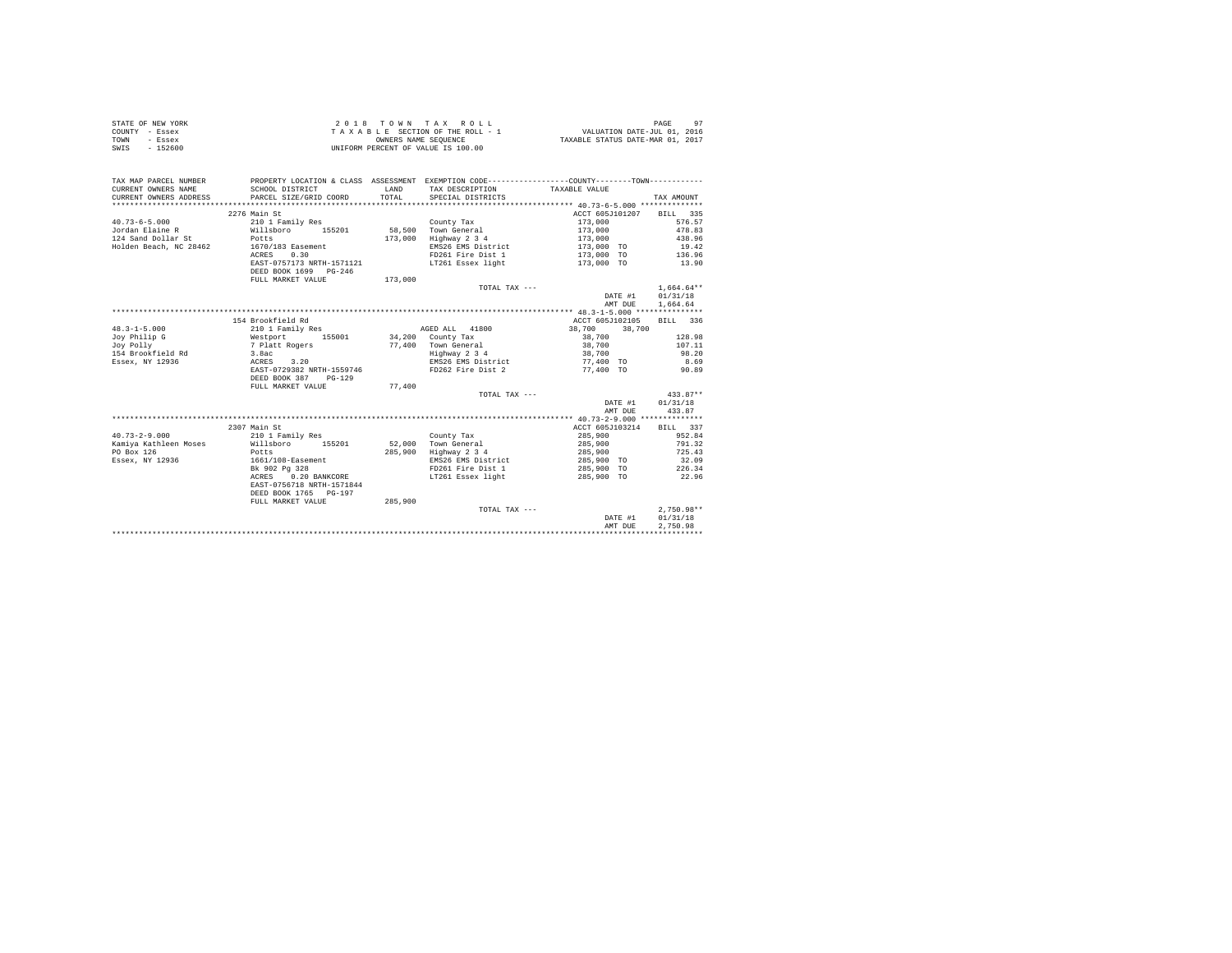| STATE OF NEW YORK | 2018 TOWN TAX ROLL                 | 97<br>PAGE                       |
|-------------------|------------------------------------|----------------------------------|
| COUNTY - Essex    | TAXABLE SECTION OF THE ROLL - 1    | VALUATION DATE-JUL 01, 2016      |
| TOWN<br>- Essex   | OWNERS NAME SEOUENCE               | TAXABLE STATUS DATE-MAR 01, 2017 |
| SWIS<br>$-152600$ | UNIFORM PERCENT OF VALUE IS 100.00 |                                  |

| 2276 Main St<br>ACCT 605J101207<br>BILL 335<br>$40.73 - 6 - 5.000$<br>210 1 Family Res<br>173,000<br>576.57<br>County Tax<br>Willsboro 155201<br>58,500 Town General<br>173,000<br>478.83<br>Jordan Elaine R<br>124 Sand Dollar St<br>173,000<br>Highway 2 3 4<br>438.96<br>Potts<br>173,000<br>EMS26 EMS District<br>1670/183 Easement<br>19.42<br>173,000 TO<br>0.30<br>ACRES<br>FD261 Fire Dist 1<br>173,000 TO<br>136.96<br>EAST-0757173 NRTH-1571121<br>LT261 Essex light<br>173,000 TO<br>13.90<br>DEED BOOK 1699 PG-246<br>FULL MARKET VALUE<br>173,000<br>$1.664.64**$<br>TOTAL TAX ---<br>01/31/18<br>DATE #1<br>1,664.64<br>AMT DUE<br>154 Brookfield Rd<br>ACCT 605J102105<br>BILL 336<br>210 1 Family Res<br>AGED ALL 41800<br>38,700<br>38,700<br>Westport 155001 34,200 County Tax<br>38,700<br>128.98<br>77.400 Town General<br>38,700<br>7 Platt Rogers<br>107.11<br>98.20<br>3.8ac<br>Highway 2 3 4<br>38,700<br>ACRES 3.20<br>77,400 TO<br>EMS26 EMS District<br>8.69<br>EAST-0729382 NRTH-1559746<br>FD262 Fire Dist 2<br>77,400 TO<br>90.89<br>DEED BOOK 387 PG-129<br>77,400<br>FULL MARKET VALUE<br>$433.87**$<br>TOTAL TAX $---$<br>DATE #1<br>01/31/18<br>433.87<br>AMT DUE<br>2307 Main St<br>ACCT 605J103214<br>BILL 337<br>$40.73 - 2 - 9.000$<br>210 1 Family Res<br>285,900<br>952.84<br>County Tax |
|----------------------------------------------------------------------------------------------------------------------------------------------------------------------------------------------------------------------------------------------------------------------------------------------------------------------------------------------------------------------------------------------------------------------------------------------------------------------------------------------------------------------------------------------------------------------------------------------------------------------------------------------------------------------------------------------------------------------------------------------------------------------------------------------------------------------------------------------------------------------------------------------------------------------------------------------------------------------------------------------------------------------------------------------------------------------------------------------------------------------------------------------------------------------------------------------------------------------------------------------------------------------------------------------------------------------------------|
|                                                                                                                                                                                                                                                                                                                                                                                                                                                                                                                                                                                                                                                                                                                                                                                                                                                                                                                                                                                                                                                                                                                                                                                                                                                                                                                                  |
|                                                                                                                                                                                                                                                                                                                                                                                                                                                                                                                                                                                                                                                                                                                                                                                                                                                                                                                                                                                                                                                                                                                                                                                                                                                                                                                                  |
|                                                                                                                                                                                                                                                                                                                                                                                                                                                                                                                                                                                                                                                                                                                                                                                                                                                                                                                                                                                                                                                                                                                                                                                                                                                                                                                                  |
| Holden Beach, NC 28462<br>$48.3 - 1 - 5.000$<br>Joy Philip G<br>Joy Polly<br>154 Brookfield Rd<br>Essex, NY 12936                                                                                                                                                                                                                                                                                                                                                                                                                                                                                                                                                                                                                                                                                                                                                                                                                                                                                                                                                                                                                                                                                                                                                                                                                |
|                                                                                                                                                                                                                                                                                                                                                                                                                                                                                                                                                                                                                                                                                                                                                                                                                                                                                                                                                                                                                                                                                                                                                                                                                                                                                                                                  |
|                                                                                                                                                                                                                                                                                                                                                                                                                                                                                                                                                                                                                                                                                                                                                                                                                                                                                                                                                                                                                                                                                                                                                                                                                                                                                                                                  |
|                                                                                                                                                                                                                                                                                                                                                                                                                                                                                                                                                                                                                                                                                                                                                                                                                                                                                                                                                                                                                                                                                                                                                                                                                                                                                                                                  |
|                                                                                                                                                                                                                                                                                                                                                                                                                                                                                                                                                                                                                                                                                                                                                                                                                                                                                                                                                                                                                                                                                                                                                                                                                                                                                                                                  |
|                                                                                                                                                                                                                                                                                                                                                                                                                                                                                                                                                                                                                                                                                                                                                                                                                                                                                                                                                                                                                                                                                                                                                                                                                                                                                                                                  |
|                                                                                                                                                                                                                                                                                                                                                                                                                                                                                                                                                                                                                                                                                                                                                                                                                                                                                                                                                                                                                                                                                                                                                                                                                                                                                                                                  |
|                                                                                                                                                                                                                                                                                                                                                                                                                                                                                                                                                                                                                                                                                                                                                                                                                                                                                                                                                                                                                                                                                                                                                                                                                                                                                                                                  |
|                                                                                                                                                                                                                                                                                                                                                                                                                                                                                                                                                                                                                                                                                                                                                                                                                                                                                                                                                                                                                                                                                                                                                                                                                                                                                                                                  |
|                                                                                                                                                                                                                                                                                                                                                                                                                                                                                                                                                                                                                                                                                                                                                                                                                                                                                                                                                                                                                                                                                                                                                                                                                                                                                                                                  |
|                                                                                                                                                                                                                                                                                                                                                                                                                                                                                                                                                                                                                                                                                                                                                                                                                                                                                                                                                                                                                                                                                                                                                                                                                                                                                                                                  |
|                                                                                                                                                                                                                                                                                                                                                                                                                                                                                                                                                                                                                                                                                                                                                                                                                                                                                                                                                                                                                                                                                                                                                                                                                                                                                                                                  |
|                                                                                                                                                                                                                                                                                                                                                                                                                                                                                                                                                                                                                                                                                                                                                                                                                                                                                                                                                                                                                                                                                                                                                                                                                                                                                                                                  |
|                                                                                                                                                                                                                                                                                                                                                                                                                                                                                                                                                                                                                                                                                                                                                                                                                                                                                                                                                                                                                                                                                                                                                                                                                                                                                                                                  |
|                                                                                                                                                                                                                                                                                                                                                                                                                                                                                                                                                                                                                                                                                                                                                                                                                                                                                                                                                                                                                                                                                                                                                                                                                                                                                                                                  |
|                                                                                                                                                                                                                                                                                                                                                                                                                                                                                                                                                                                                                                                                                                                                                                                                                                                                                                                                                                                                                                                                                                                                                                                                                                                                                                                                  |
|                                                                                                                                                                                                                                                                                                                                                                                                                                                                                                                                                                                                                                                                                                                                                                                                                                                                                                                                                                                                                                                                                                                                                                                                                                                                                                                                  |
|                                                                                                                                                                                                                                                                                                                                                                                                                                                                                                                                                                                                                                                                                                                                                                                                                                                                                                                                                                                                                                                                                                                                                                                                                                                                                                                                  |
|                                                                                                                                                                                                                                                                                                                                                                                                                                                                                                                                                                                                                                                                                                                                                                                                                                                                                                                                                                                                                                                                                                                                                                                                                                                                                                                                  |
|                                                                                                                                                                                                                                                                                                                                                                                                                                                                                                                                                                                                                                                                                                                                                                                                                                                                                                                                                                                                                                                                                                                                                                                                                                                                                                                                  |
|                                                                                                                                                                                                                                                                                                                                                                                                                                                                                                                                                                                                                                                                                                                                                                                                                                                                                                                                                                                                                                                                                                                                                                                                                                                                                                                                  |
|                                                                                                                                                                                                                                                                                                                                                                                                                                                                                                                                                                                                                                                                                                                                                                                                                                                                                                                                                                                                                                                                                                                                                                                                                                                                                                                                  |
|                                                                                                                                                                                                                                                                                                                                                                                                                                                                                                                                                                                                                                                                                                                                                                                                                                                                                                                                                                                                                                                                                                                                                                                                                                                                                                                                  |
|                                                                                                                                                                                                                                                                                                                                                                                                                                                                                                                                                                                                                                                                                                                                                                                                                                                                                                                                                                                                                                                                                                                                                                                                                                                                                                                                  |
|                                                                                                                                                                                                                                                                                                                                                                                                                                                                                                                                                                                                                                                                                                                                                                                                                                                                                                                                                                                                                                                                                                                                                                                                                                                                                                                                  |
| Kamiya Kathleen Moses<br>Willsboro 155201<br>52.000 Town General<br>285,900<br>791.32                                                                                                                                                                                                                                                                                                                                                                                                                                                                                                                                                                                                                                                                                                                                                                                                                                                                                                                                                                                                                                                                                                                                                                                                                                            |
| PO Box 126<br>285,900<br>Highway 2 3 4<br>725.43<br>Potts<br>285,900                                                                                                                                                                                                                                                                                                                                                                                                                                                                                                                                                                                                                                                                                                                                                                                                                                                                                                                                                                                                                                                                                                                                                                                                                                                             |
| 32.09<br>Essex, NY 12936<br>1661/108-Easement<br>EMS26 EMS District<br>285,900 TO                                                                                                                                                                                                                                                                                                                                                                                                                                                                                                                                                                                                                                                                                                                                                                                                                                                                                                                                                                                                                                                                                                                                                                                                                                                |
| FD261 Fire Dist 1<br>285,900 TO<br>226.34<br>Bk 902 Pg 328                                                                                                                                                                                                                                                                                                                                                                                                                                                                                                                                                                                                                                                                                                                                                                                                                                                                                                                                                                                                                                                                                                                                                                                                                                                                       |
| LT261 Essex light<br>ACRES<br>0.20 BANKCORE<br>285,900 TO<br>22.96                                                                                                                                                                                                                                                                                                                                                                                                                                                                                                                                                                                                                                                                                                                                                                                                                                                                                                                                                                                                                                                                                                                                                                                                                                                               |
| EAST-0756718 NRTH-1571844                                                                                                                                                                                                                                                                                                                                                                                                                                                                                                                                                                                                                                                                                                                                                                                                                                                                                                                                                                                                                                                                                                                                                                                                                                                                                                        |
| DEED BOOK 1765 PG-197                                                                                                                                                                                                                                                                                                                                                                                                                                                                                                                                                                                                                                                                                                                                                                                                                                                                                                                                                                                                                                                                                                                                                                                                                                                                                                            |
| FULL MARKET VALUE<br>285,900                                                                                                                                                                                                                                                                                                                                                                                                                                                                                                                                                                                                                                                                                                                                                                                                                                                                                                                                                                                                                                                                                                                                                                                                                                                                                                     |
| $2.750.98**$<br>TOTAL TAX ---                                                                                                                                                                                                                                                                                                                                                                                                                                                                                                                                                                                                                                                                                                                                                                                                                                                                                                                                                                                                                                                                                                                                                                                                                                                                                                    |
| 01/31/18<br>DATE #1                                                                                                                                                                                                                                                                                                                                                                                                                                                                                                                                                                                                                                                                                                                                                                                                                                                                                                                                                                                                                                                                                                                                                                                                                                                                                                              |
| 2.750.98<br>AMT DUE                                                                                                                                                                                                                                                                                                                                                                                                                                                                                                                                                                                                                                                                                                                                                                                                                                                                                                                                                                                                                                                                                                                                                                                                                                                                                                              |
|                                                                                                                                                                                                                                                                                                                                                                                                                                                                                                                                                                                                                                                                                                                                                                                                                                                                                                                                                                                                                                                                                                                                                                                                                                                                                                                                  |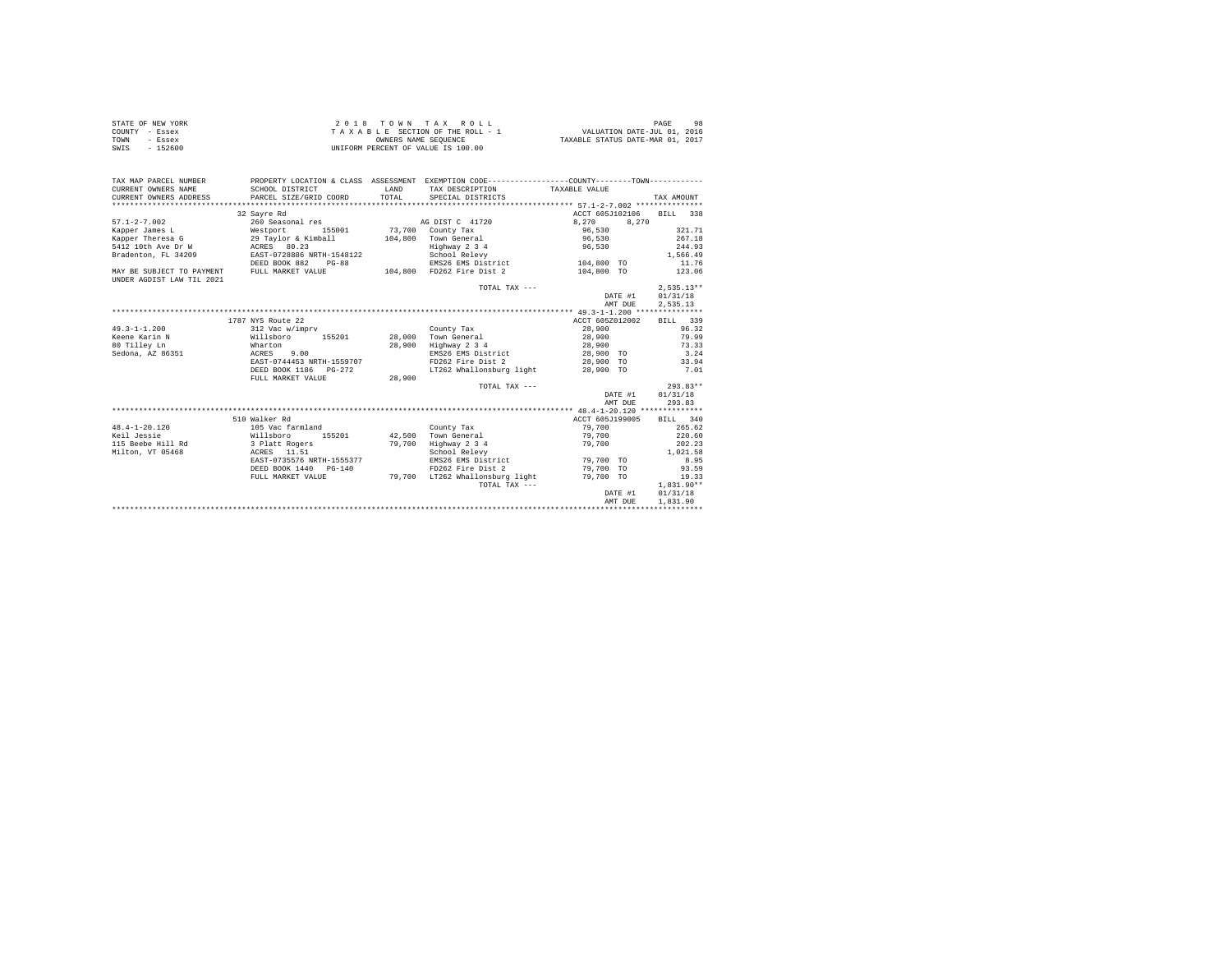| STATE OF NEW YORK | 2018 TOWN TAX ROLL                 | 98<br>PAGE                       |
|-------------------|------------------------------------|----------------------------------|
| COUNTY - Essex    | TAXABLE SECTION OF THE ROLL - 1    | VALUATION DATE-JUL 01, 2016      |
| TOWN<br>- Essex   | OWNERS NAME SEOUENCE               | TAXABLE STATUS DATE-MAR 01, 2017 |
| - 152600<br>SWIS  | UNIFORM PERCENT OF VALUE IS 100.00 |                                  |

| TAX MAP PARCEL NUMBER<br>CURRENT OWNERS NAME<br>CURRENT OWNERS ADDRESS | PROPERTY LOCATION & CLASS ASSESSMENT EXEMPTION CODE---------------COUNTY--------TOWN----------<br>SCHOOL DISTRICT<br>PARCEL SIZE/GRID COORD | LAND<br>TOTAL | TAX DESCRIPTION<br>SPECIAL DISTRICTS | TAXABLE VALUE   |         | TAX AMOUNT   |
|------------------------------------------------------------------------|---------------------------------------------------------------------------------------------------------------------------------------------|---------------|--------------------------------------|-----------------|---------|--------------|
|                                                                        | 32 Savre Rd                                                                                                                                 |               |                                      | ACCT 605J102106 |         | BILL 338     |
| $57.1 - 2 - 7.002$                                                     | 260 Seasonal res                                                                                                                            |               | AG DIST C 41720                      | 8,270           | 8,270   |              |
| Kapper James L                                                         | Westport<br>155001                                                                                                                          |               | 73.700 County Tax                    | 96,530          |         | 321.71       |
| Kapper Theresa G                                                       | 29 Taylor & Kimball                                                                                                                         | 104,800       | Town General                         | 96,530          |         | 267.18       |
| 5412 10th Ave Dr W                                                     | ACRES 80.23                                                                                                                                 |               | Highway 2 3 4                        | 96,530          |         | 244.93       |
| Bradenton, FL 34209                                                    | EAST-0728886 NRTH-1548122                                                                                                                   |               | School Relevy                        |                 |         | 1,566.49     |
|                                                                        | DEED BOOK 882<br>$PG-8.8$                                                                                                                   |               | EMS26 EMS District                   | 104,800 TO      |         | 11.76        |
| MAY BE SUBJECT TO PAYMENT                                              | FULL MARKET VALUE                                                                                                                           |               | 104,800 FD262 Fire Dist 2            | 104,800 TO      |         | 123.06       |
| UNDER AGDIST LAW TIL 2021                                              |                                                                                                                                             |               |                                      |                 |         |              |
|                                                                        |                                                                                                                                             |               | TOTAL TAX ---                        |                 |         | $2,535.13**$ |
|                                                                        |                                                                                                                                             |               |                                      |                 | DATE #1 | 01/31/18     |
|                                                                        |                                                                                                                                             |               |                                      |                 | AMT DUE | 2,535.13     |
|                                                                        |                                                                                                                                             |               |                                      |                 |         |              |
|                                                                        | 1787 NYS Route 22                                                                                                                           |               |                                      | ACCT 605Z012002 |         | BILL 339     |
| $49.3 - 1 - 1.200$                                                     | 312 Vac w/imprv                                                                                                                             |               | County Tax                           | 28,900          |         | 96.32        |
| Keene Karin N                                                          | Willsboro<br>155201                                                                                                                         |               | 28.000 Town General                  | 28,900          |         | 79.99        |
| 80 Tilley Ln                                                           | Wharton                                                                                                                                     | 28,900        | Highway 2 3 4                        | 28,900          |         | 73.33        |
| Sedona, AZ 86351                                                       | ACRES<br>9.00                                                                                                                               |               | EMS26 EMS District                   | 28,900 TO       |         | 3.24         |
|                                                                        | EAST-0744453 NRTH-1559707                                                                                                                   |               | FD262 Fire Dist 2                    | 28,900 TO       |         | 33.94        |
|                                                                        | DEED BOOK 1186 PG-272                                                                                                                       |               | LT262 Whallonsburg light             | 28,900 TO       |         | 7.01         |
|                                                                        | FULL MARKET VALUE                                                                                                                           | 28,900        |                                      |                 |         |              |
|                                                                        |                                                                                                                                             |               | TOTAL TAX ---                        |                 |         | $293.83**$   |
|                                                                        |                                                                                                                                             |               |                                      |                 | DATE #1 | 01/31/18     |
|                                                                        |                                                                                                                                             |               |                                      |                 | AMT DUE | 293.83       |
|                                                                        |                                                                                                                                             |               |                                      |                 |         |              |
|                                                                        | 510 Walker Rd                                                                                                                               |               |                                      | ACCT 605J199005 |         | BILL 340     |
| $48.4 - 1 - 20.120$                                                    | 105 Vac farmland                                                                                                                            |               | County Tax                           | 79,700          |         | 265.62       |
| Keil Jessie                                                            | 155201<br>Willsboro                                                                                                                         | 42,500        | Town General                         | 79,700          |         | 220.60       |
| 115 Beebe Hill Rd                                                      | 3 Platt Rogers                                                                                                                              | 79,700        | Highway 2 3 4                        | 79,700          |         | 202.23       |
| Milton, VT 05468                                                       | ACRES 11.51                                                                                                                                 |               | School Relevy                        |                 |         | 1,021.58     |
|                                                                        | EAST-0735576 NRTH-1555377                                                                                                                   |               | EMS26 EMS District                   | 79,700 TO       |         | 8.95         |
|                                                                        | DEED BOOK 1440 PG-140                                                                                                                       |               | FD262 Fire Dist 2                    | 79,700 TO       |         | 93.59        |
|                                                                        | FULL MARKET VALUE                                                                                                                           |               | 79,700 LT262 Whallonsburg light      | 79,700 TO       |         | 19.33        |
|                                                                        |                                                                                                                                             |               | TOTAL TAX ---                        |                 |         | $1,831.90**$ |
|                                                                        |                                                                                                                                             |               |                                      |                 | DATE #1 | 01/31/18     |
|                                                                        |                                                                                                                                             |               |                                      |                 | AMT DUE | 1,831.90     |
|                                                                        |                                                                                                                                             |               |                                      |                 |         |              |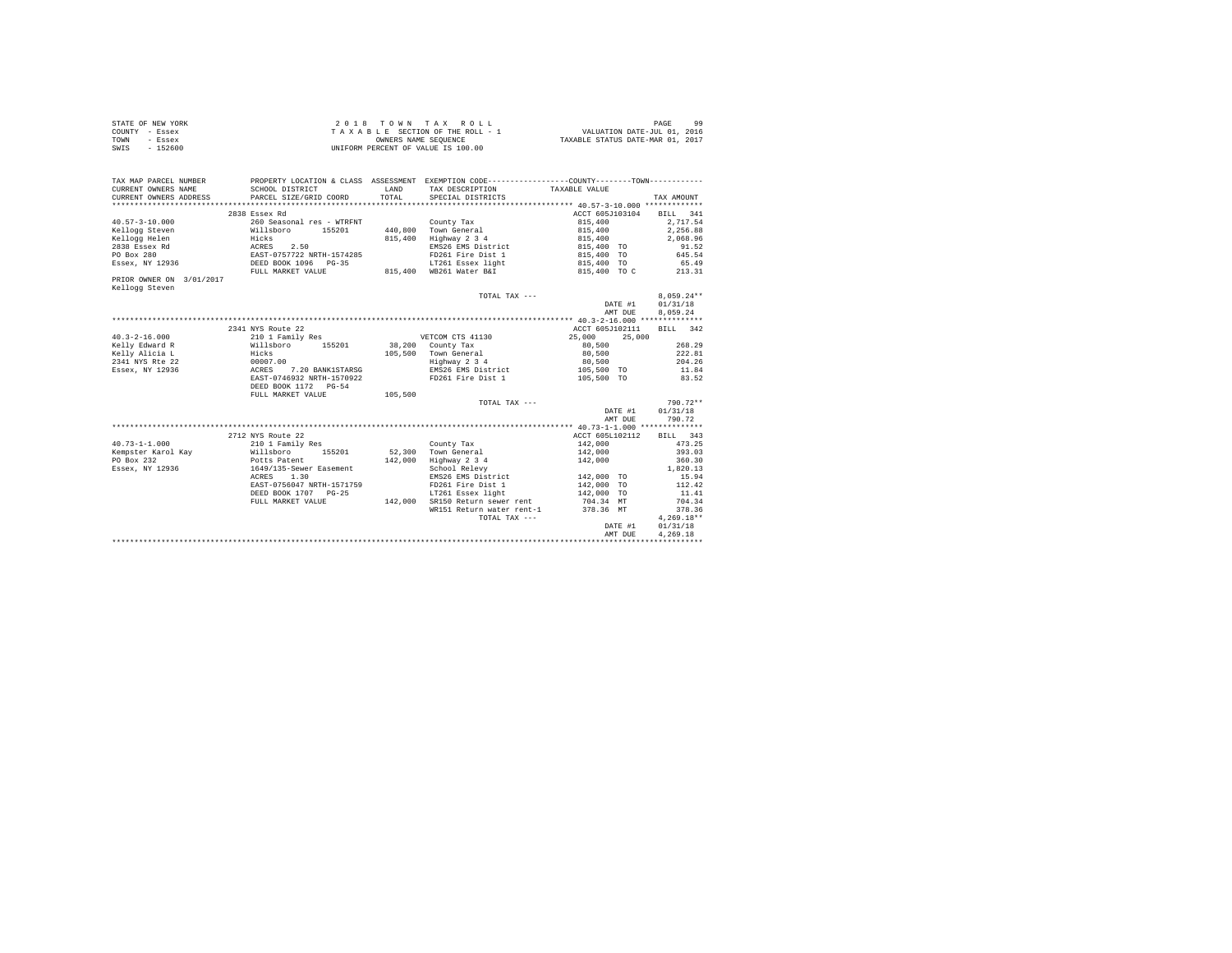|                | STATE OF NEW YORK | 2018 TOWN TAX ROLL                 | PAGE                             |
|----------------|-------------------|------------------------------------|----------------------------------|
| COUNTY - Essex |                   | TAXABLE SECTION OF THE ROLL - 1    | VALUATION DATE-JUL 01, 2016      |
| TOWN           | - Essex           | OWNERS NAME SEOUENCE               | TAXABLE STATUS DATE-MAR 01, 2017 |
| SWIS           | $-152600$         | UNIFORM PERCENT OF VALUE IS 100.00 |                                  |

| TAX MAP PARCEL NUMBER<br>CURRENT OWNERS NAME<br>CURRENT OWNERS ADDRESS | SCHOOL DISTRICT<br>PARCEL SIZE/GRID COORD         | <b>T.AND</b><br>TOTAL | PROPERTY LOCATION & CLASS ASSESSMENT EXEMPTION CODE---------------COUNTY-------TOWN----------<br>TAX DESCRIPTION TAXABLE VALUE<br>SPECIAL DISTRICTS |                  | TAX AMOUNT   |
|------------------------------------------------------------------------|---------------------------------------------------|-----------------------|-----------------------------------------------------------------------------------------------------------------------------------------------------|------------------|--------------|
|                                                                        | 2838 Essex Rd                                     |                       |                                                                                                                                                     | ACCT 605J103104  | BILL<br>341  |
| $40.57 - 3 - 10.000$                                                   | 260 Seasonal res - WTRFNT                         |                       |                                                                                                                                                     | 815,400          | 2.717.54     |
|                                                                        |                                                   |                       | County Tax                                                                                                                                          |                  |              |
| Kellogg Steven                                                         | Willsboro<br>155201                               | 440,800               | Town General                                                                                                                                        | 815,400          | 2.256.88     |
| Kellogg Helen                                                          | Hicks                                             | 815,400               | Highway 2 3 4                                                                                                                                       | 815,400          | 2.068.96     |
| 2838 Essex Rd                                                          | ACRES<br>2.50                                     |                       | EMS26 EMS District                                                                                                                                  | 815,400 TO       | 91.52        |
| PO Box 280                                                             | EAST-0757722 NRTH-1574285<br>DEED BOOK 1096 PG-35 |                       | FD261 Fire Dist 1                                                                                                                                   | 815,400 TO       | 645.54       |
| Essex, NY 12936                                                        |                                                   |                       | LT261 Essex light                                                                                                                                   | 815,400 TO       | 65.49        |
|                                                                        | FULL MARKET VALUE                                 |                       | 815,400 WB261 Water B&I                                                                                                                             | 815,400 TO C     | 213.31       |
| PRIOR OWNER ON 3/01/2017<br>Kellogg Steven                             |                                                   |                       |                                                                                                                                                     |                  |              |
|                                                                        |                                                   |                       | TOTAL TAX ---                                                                                                                                       |                  | $8.059.24**$ |
|                                                                        |                                                   |                       |                                                                                                                                                     | DATE #1          | 01/31/18     |
|                                                                        |                                                   |                       |                                                                                                                                                     | AMT DUE          | 8.059.24     |
|                                                                        |                                                   |                       |                                                                                                                                                     |                  |              |
|                                                                        | 2341 NYS Route 22                                 |                       |                                                                                                                                                     | ACCT 605J102111  | BILL 342     |
| $40.3 - 2 - 16.000$                                                    | 210 1 Family Res                                  |                       | VETCOM CTS 41130                                                                                                                                    | 25,000<br>25,000 |              |
| Kelly Edward R                                                         | Willsboro<br>155201                               |                       | 38,200 County Tax                                                                                                                                   | 80,500           | 268.29       |
| Kelly Alicia L                                                         | Hicks                                             |                       | 105,500 Town General                                                                                                                                | 80,500           | 222.81       |
| 2341 NYS Rte 22                                                        | 00007.00                                          |                       | Highway 2 3 4                                                                                                                                       | 80,500           | 204.26       |
| Essex, NY 12936                                                        | 7.20 BANK1STARSG<br>ACRES                         |                       | EMS26 EMS District                                                                                                                                  | 105,500 TO       | 11.84        |
|                                                                        | EAST-0746932 NRTH-1570922                         |                       | FD261 Fire Dist 1                                                                                                                                   | 105,500 TO       | 83.52        |
|                                                                        | DEED BOOK 1172 PG-54                              |                       |                                                                                                                                                     |                  |              |
|                                                                        | FULL MARKET VALUE                                 | 105,500               |                                                                                                                                                     |                  |              |
|                                                                        |                                                   |                       | TOTAL TAX ---                                                                                                                                       |                  | $790.72**$   |
|                                                                        |                                                   |                       |                                                                                                                                                     | DATE #1          | 01/31/18     |
|                                                                        |                                                   |                       |                                                                                                                                                     | AMT DUE          | 790.72       |
|                                                                        |                                                   |                       |                                                                                                                                                     |                  |              |
|                                                                        | 2712 NYS Route 22                                 |                       |                                                                                                                                                     | ACCT 605L102112  | BILL 343     |
| $40.73 - 1 - 1.000$                                                    | 210 1 Family Res                                  |                       | County Tax                                                                                                                                          | 142,000          | 473.25       |
| Kempster Karol Kay                                                     | Willsboro<br>155201                               |                       | 52.300 Town General                                                                                                                                 | 142,000          | 393.03       |
| PO Box 232                                                             | Potts Patent                                      | 142,000               | Highway 2 3 4                                                                                                                                       | 142,000          | 360.30       |
| Essex, NY 12936                                                        | 1649/135-Sewer Easement                           |                       | School Relevy                                                                                                                                       |                  | 1.820.13     |
|                                                                        | 1.30<br>ACRES                                     |                       | EMS26 EMS District                                                                                                                                  | 142,000 TO       | 15.94        |
|                                                                        | EAST-0756047 NRTH-1571759                         |                       | FD261 Fire Dist 1                                                                                                                                   | 142,000 TO       | 112.42       |
|                                                                        | DEED BOOK 1707 PG-25                              |                       | LT261 Essex light                                                                                                                                   | 142,000 TO       | 11.41        |
|                                                                        | FULL MARKET VALUE                                 | 142,000               | SR150 Return sewer rent                                                                                                                             | 704.34 MT        | 704.34       |
|                                                                        |                                                   |                       | WR151 Return water rent-1                                                                                                                           | 378.36 MT        | 378.36       |
|                                                                        |                                                   |                       | TOTAL TAX ---                                                                                                                                       |                  | $4.269.18**$ |
|                                                                        |                                                   |                       |                                                                                                                                                     | DATE #1          | 01/31/18     |
|                                                                        |                                                   |                       |                                                                                                                                                     | AMT DUE          | 4.269.18     |
|                                                                        |                                                   |                       |                                                                                                                                                     |                  |              |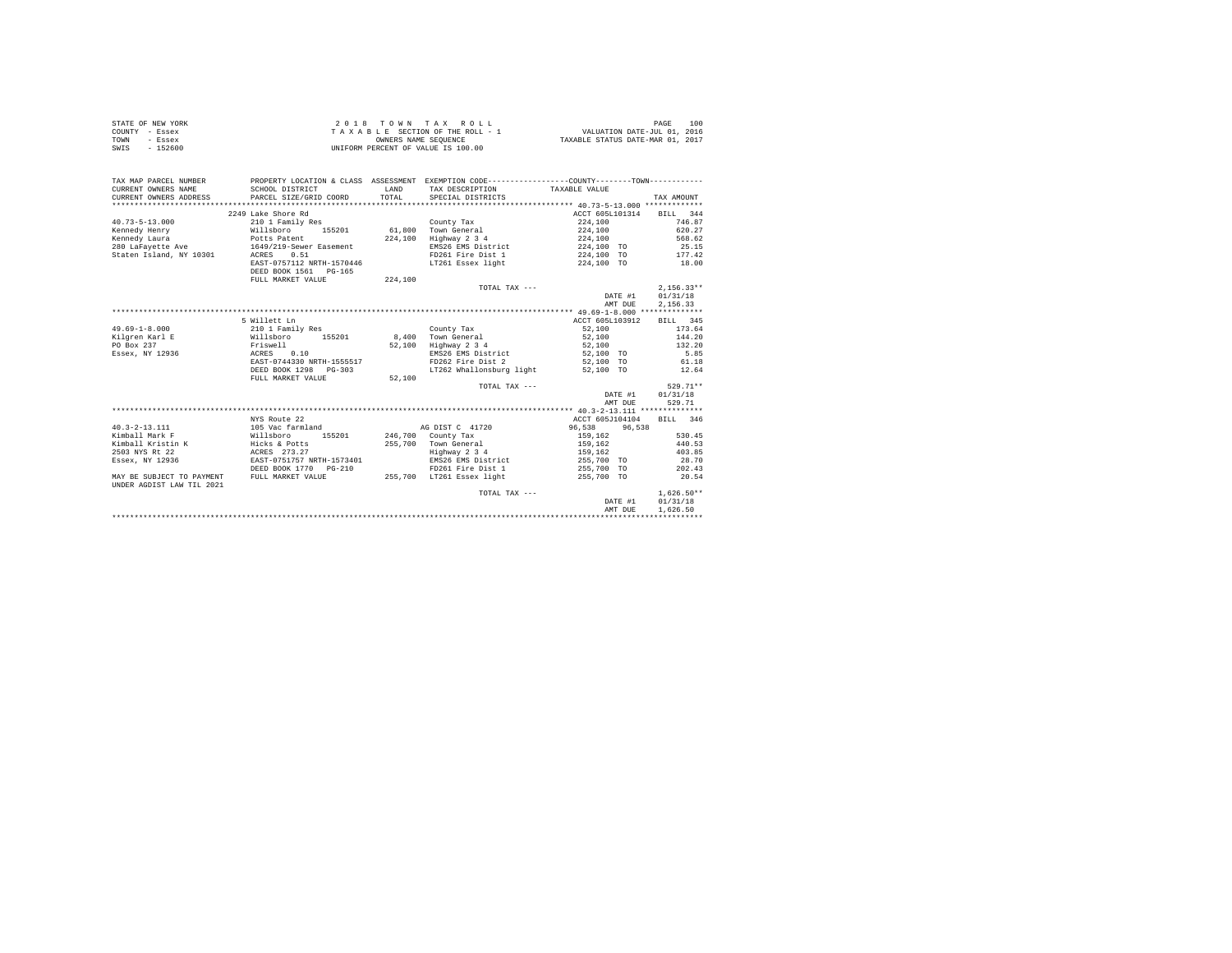| STATE OF NEW YORK | 2018 TOWN TAX ROLL                 | 100<br>PAGE                      |
|-------------------|------------------------------------|----------------------------------|
| COUNTY - Essex    | TAXABLE SECTION OF THE ROLL - 1    | VALUATION DATE-JUL 01, 2016      |
| TOWN<br>- Essex   | OWNERS NAME SEOUENCE               | TAXABLE STATUS DATE-MAR 01, 2017 |
| $-152600$<br>SWIS | UNIFORM PERCENT OF VALUE IS 100.00 |                                  |

| TAX MAP PARCEL NUMBER<br>CURRENT OWNERS NAME<br>CURRENT OWNERS ADDRESS | SCHOOL DISTRICT<br>PARCEL SIZE/GRID COORD                  | LAND<br>TOTAL | PROPERTY LOCATION & CLASS ASSESSMENT EXEMPTION CODE---------------COUNTY-------TOWN---------<br>TAX DESCRIPTION TAXABLE VALUE<br>SPECIAL DISTRICTS |                                                | TAX AMOUNT               |
|------------------------------------------------------------------------|------------------------------------------------------------|---------------|----------------------------------------------------------------------------------------------------------------------------------------------------|------------------------------------------------|--------------------------|
| $40.73 - 5 - 13.000$<br>Kennedy Henry<br>Willsboro                     | 2249 Lake Shore Rd<br>210 1 Family Res<br>155201           | 61,800        | County Tax<br>Town General                                                                                                                         | ACCT 605L101314 BILL 344<br>224,100<br>224,100 | 746.87<br>620.27         |
|                                                                        |                                                            | 224,100       | Highway 2 3 4<br>EMS26 EMS District                                                                                                                | 224,100<br>224,100 TO                          | 568.62<br>25.15          |
| Staten Island, NY 10301 ACRES                                          | 0.51<br>EAST-0757112 NRTH-1570446<br>DEED BOOK 1561 PG-165 |               | FD261 Fire Dist 1 224.100 TO 177.42<br>LT261 Essex light                                                                                           | 224.100 TO 18.00                               |                          |
|                                                                        | FULL MARKET VALUE                                          | 224,100       |                                                                                                                                                    |                                                |                          |
|                                                                        |                                                            |               | TOTAL TAX $---$                                                                                                                                    | DATE #1                                        | $2.156.33**$<br>01/31/18 |
|                                                                        |                                                            |               |                                                                                                                                                    | AMT DUE                                        | 2,156.33                 |
|                                                                        |                                                            |               |                                                                                                                                                    |                                                |                          |
| $49.69 - 1 - 8.000$                                                    | 5 Willett Ln<br>210 1 Family Res                           |               | County Tax                                                                                                                                         | ACCT 605L103912 BILL 345<br>52,100             | 173.64                   |
| Kilgren Karl E Millsboro 155201 8,400                                  |                                                            |               | Town General                                                                                                                                       | 52,100                                         | 144.20                   |
| PO Box 237                                                             |                                                            | 52,100        | Highway 2 3 4                                                                                                                                      | 52,100                                         | 132.20                   |
| Essex, NY 12936                                                        | Friswell<br>ACRES 0.10                                     |               | EMS26 EMS District                                                                                                                                 | 52,100 TO                                      | 5.85                     |
|                                                                        | EAST-0744330 NRTH-1555517                                  |               | FD262 Fire Dist 2 52,100 TO 61.18                                                                                                                  |                                                |                          |
|                                                                        | DEED BOOK 1298 PG-303                                      |               | LT262 Whallonsburg light 52.100 TO                                                                                                                 |                                                | 12.64                    |
|                                                                        | FULL MARKET VALUE                                          | 52,100        |                                                                                                                                                    |                                                |                          |
|                                                                        |                                                            |               | TOTAL TAX ---                                                                                                                                      |                                                | 529.71**                 |
|                                                                        |                                                            |               |                                                                                                                                                    | DATE #1 01/31/18                               |                          |
|                                                                        |                                                            |               |                                                                                                                                                    | AMT DUE                                        | 529.71                   |
|                                                                        |                                                            |               |                                                                                                                                                    |                                                |                          |
|                                                                        | NYS Route 22                                               |               |                                                                                                                                                    | ACCT 605J104104                                | BILL 346                 |
| $40.3 - 2 - 13.111$                                                    | 105 Vac farmland Communication AG DIST C 41720             |               |                                                                                                                                                    | 96.538<br>96,538                               |                          |
| Kimball Mark F                                                         | 155201 246,700 County Tax<br>Willsboro                     |               |                                                                                                                                                    | 159,162                                        | 530.45                   |
| Kimball Kristin K Micks & Potts                                        |                                                            | 255,700       | Town General                                                                                                                                       | 159,162                                        | 440.53                   |
| 2503 NYS Rt 22                                                         | ACRES 273.27                                               |               | Highway 2 3 4<br>EMS26 EMS District                                                                                                                | 159.162                                        | 403.85                   |
| Essex, NY 12936                                                        | EAST-0751757 NRTH-1573401                                  |               |                                                                                                                                                    | 255,700 TO                                     | 28.70                    |
|                                                                        | DEED BOOK 1770 PG-210                                      |               | FD261 Fire Dist 1                                                                                                                                  | 255,700 TO                                     | 202.43                   |
| MAY BE SUBJECT TO PAYMENT<br>UNDER AGDIST LAW TIL 2021                 | FULL MARKET VALUE                                          |               | 255,700 LT261 Essex light                                                                                                                          | 255,700 TO                                     | 20.54                    |
|                                                                        |                                                            |               | TOTAL TAX ---                                                                                                                                      |                                                | $1.626.50**$             |
|                                                                        |                                                            |               |                                                                                                                                                    | DATE #1                                        | 01/31/18                 |
|                                                                        |                                                            |               |                                                                                                                                                    | AMT DUE                                        | 1,626.50                 |
|                                                                        |                                                            |               |                                                                                                                                                    |                                                |                          |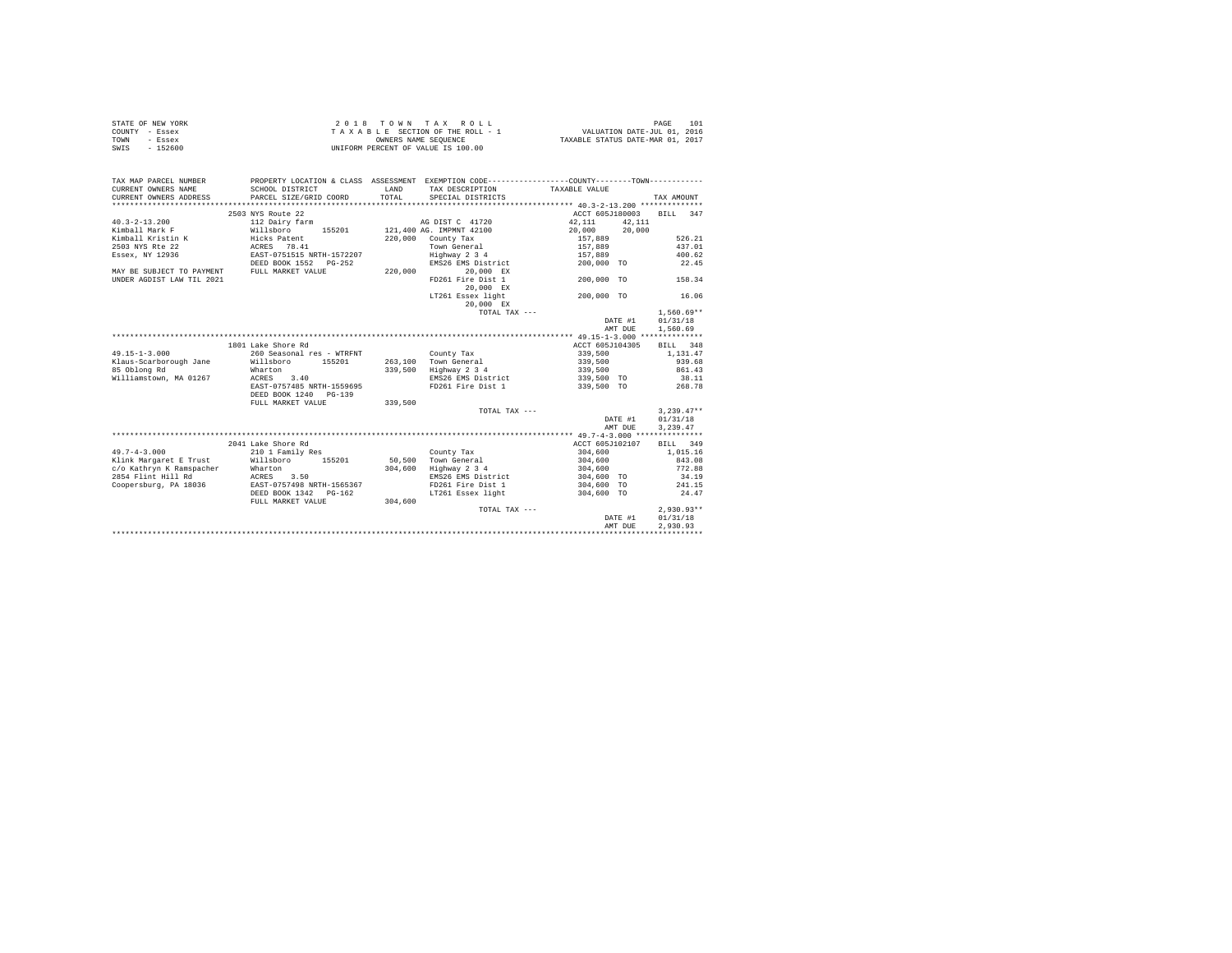|                | STATE OF NEW YORK |  |  |  | 2018 TOWN TAX ROLL                 |  |  |  | 101<br>PAGE                      |
|----------------|-------------------|--|--|--|------------------------------------|--|--|--|----------------------------------|
| COUNTY - Essex |                   |  |  |  | TAXABLE SECTION OF THE ROLL - 1    |  |  |  | VALUATION DATE-JUL 01, 2016      |
| TOWN           | - Essex           |  |  |  | OWNERS NAME SEOUENCE               |  |  |  | TAXABLE STATUS DATE-MAR 01, 2017 |
| SWIS           | $-152600$         |  |  |  | UNIFORM PERCENT OF VALUE IS 100.00 |  |  |  |                                  |

| TAX MAP PARCEL NUMBER<br>CURRENT OWNERS NAME<br>CURRENT OWNERS ADDRESS | SCHOOL DISTRICT<br>PARCEL SIZE/GRID COORD | LAND<br>TOTAL | TAX DESCRIPTION<br>SPECIAL DISTRICTS | PROPERTY LOCATION & CLASS ASSESSMENT EXEMPTION CODE---------------COUNTY-------TOWN----------<br>TAXABLE VALUE | TAX AMOUNT   |
|------------------------------------------------------------------------|-------------------------------------------|---------------|--------------------------------------|----------------------------------------------------------------------------------------------------------------|--------------|
|                                                                        |                                           |               |                                      |                                                                                                                |              |
|                                                                        | 2503 NYS Route 22                         |               |                                      | ACCT 605J180003                                                                                                | BILL 347     |
| $40.3 - 2 - 13.200$                                                    | 112 Dairy farm                            |               | AG DIST C 41720                      | 42.111<br>42,111                                                                                               |              |
| Kimball Mark F                                                         | Willsboro                                 |               | 155201 121,400 AG. IMPMNT 42100      | 20,000 20,000                                                                                                  |              |
| Kimball Kristin K                                                      | Hicks Patent                              |               | 220,000 County Tax                   | 157,889                                                                                                        | 526.21       |
| 2503 NYS Rte 22                                                        | ACRES 78.41                               |               | Town General                         | 157,889                                                                                                        | 437.01       |
| Essex, NY 12936                                                        | EAST-0751515 NRTH-1572207                 |               | Highway 2 3 4                        | 157,889                                                                                                        | 400.62       |
|                                                                        | DEED BOOK 1552 PG-252                     |               | EMS26 EMS District                   | 200,000 TO                                                                                                     | 22.45        |
| MAY BE SUBJECT TO PAYMENT FULL MARKET VALUE                            |                                           | 220,000       | 20.000 EX                            |                                                                                                                |              |
| UNDER AGDIST LAW TIL 2021                                              |                                           |               | FD261 Fire Dist 1                    | 200,000 TO                                                                                                     | 158.34       |
|                                                                        |                                           |               | 20,000 EX                            |                                                                                                                |              |
|                                                                        |                                           |               | LT261 Essex light                    | 200,000 TO                                                                                                     | 16.06        |
|                                                                        |                                           |               | 20,000 EX                            |                                                                                                                |              |
|                                                                        |                                           |               | TOTAL TAX ---                        |                                                                                                                | $1.560.69**$ |
|                                                                        |                                           |               |                                      | DATE #1                                                                                                        | 01/31/18     |
|                                                                        |                                           |               |                                      | AMT DUE                                                                                                        | 1,560.69     |
|                                                                        |                                           |               |                                      |                                                                                                                |              |
|                                                                        | 1801 Lake Shore Rd                        |               |                                      | ACCT 605J104305                                                                                                | 348<br>BILL  |
| $49.15 - 1 - 3.000$                                                    | 260 Seasonal res - WTRFNT                 |               | County Tax                           | 339,500                                                                                                        | 1,131,47     |
| Klaus-Scarborough Jane                                                 | Willsboro 155201                          |               | 263,100 Town General                 | 339,500                                                                                                        | 939.68       |
| 85 Oblong Rd                                                           | Wharton                                   | 339,500       | Highway 2 3 4                        | 339,500                                                                                                        | 861.43       |
| Williamstown, MA 01267                                                 | ACRES 3.40                                |               | EMS26 EMS District                   | 339,500 TO                                                                                                     | 38.11        |
|                                                                        | EAST-0757485 NRTH-1559695                 |               | FD261 Fire Dist 1                    | 339,500 TO                                                                                                     | 268.78       |
|                                                                        | DEED BOOK 1240 PG-139                     |               |                                      |                                                                                                                |              |
|                                                                        | FULL MARKET VALUE                         | 339,500       |                                      |                                                                                                                |              |
|                                                                        |                                           |               | TOTAL TAX ---                        |                                                                                                                | $3,239.47**$ |
|                                                                        |                                           |               |                                      | DATE #1                                                                                                        | 01/31/18     |
|                                                                        |                                           |               |                                      | AMT DUE                                                                                                        | 3,239.47     |
|                                                                        |                                           |               |                                      |                                                                                                                |              |
|                                                                        | 2041 Lake Shore Rd                        |               |                                      | ACCT 605J102107                                                                                                | BILL 349     |
| $49.7 - 4 - 3.000$                                                     | 210 1 Family Res                          |               | County Tax                           | 304,600                                                                                                        | 1,015.16     |
| Klink Margaret E Trust                                                 | Willsboro 155201                          | 50,500        | Town General                         | 304,600                                                                                                        | 843.08       |
| c/o Kathryn K Ramspacher                                               | Wharton                                   | 304,600       | Highway 2 3 4                        | 304,600                                                                                                        | 772.88       |
| 2854 Flint Hill Rd                                                     | ACRES<br>3.50                             |               | EMS26 EMS District                   | 304,600 TO                                                                                                     | 34.19        |
| Coopersburg, PA 18036                                                  | EAST-0757498 NRTH-1565367                 |               | FD261 Fire Dist 1                    | 304,600 TO                                                                                                     | 241.15       |
|                                                                        | DEED BOOK 1342 PG-162                     |               | LT261 Essex light                    | 304,600 TO                                                                                                     | 24.47        |
|                                                                        | FULL MARKET VALUE                         | 304,600       |                                      |                                                                                                                |              |
|                                                                        |                                           |               | TOTAL TAX ---                        |                                                                                                                | $2.930.93**$ |
|                                                                        |                                           |               |                                      | DATE #1                                                                                                        | 01/31/18     |
|                                                                        |                                           |               |                                      | AMT DUE                                                                                                        | 2.930.93     |
|                                                                        |                                           |               |                                      |                                                                                                                |              |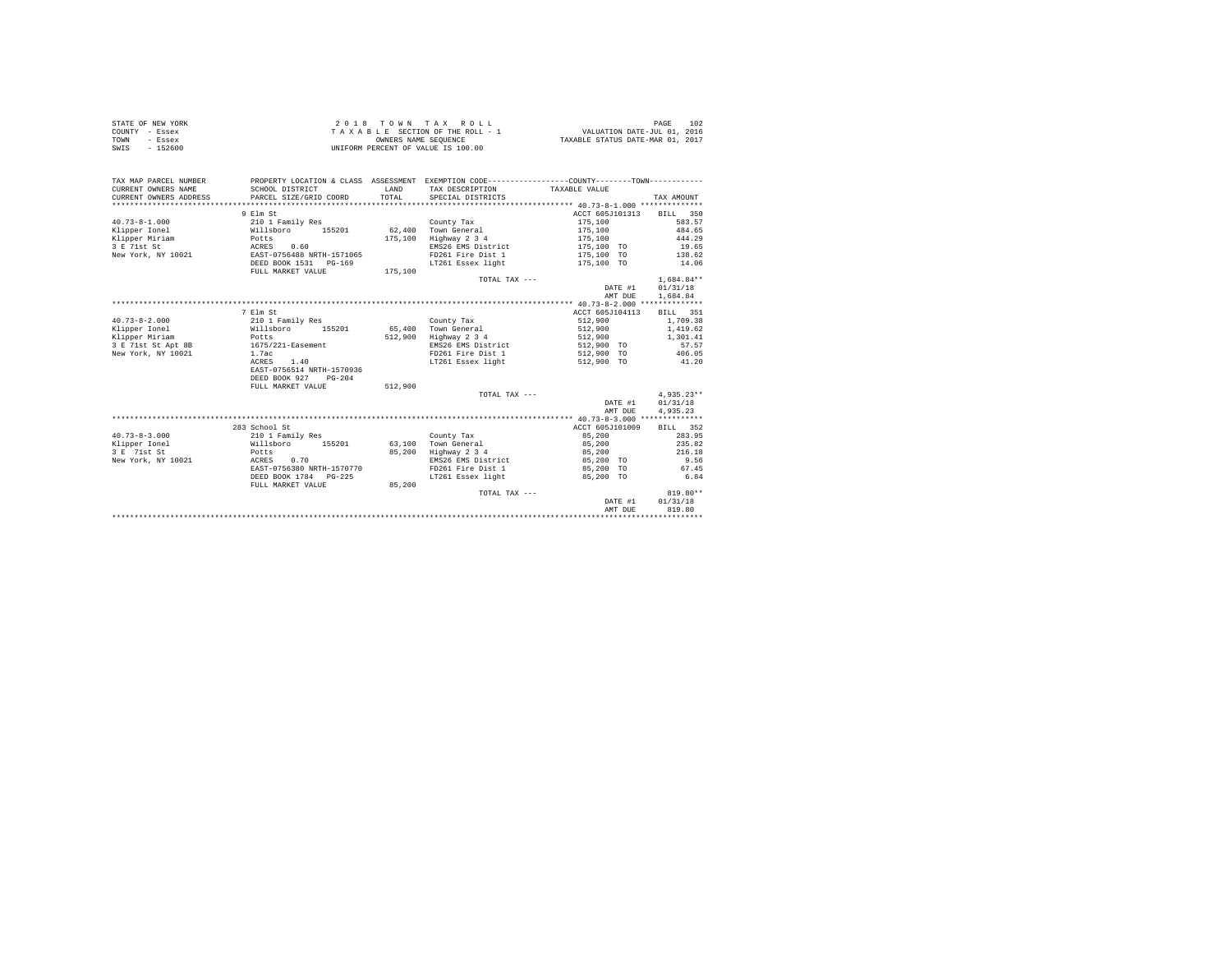| STATE OF NEW YORK | 2018 TOWN TAX ROLL                 | 102<br>PAGE                      |
|-------------------|------------------------------------|----------------------------------|
| COUNTY - Essex    | TAXABLE SECTION OF THE ROLL - 1    | VALUATION DATE-JUL 01, 2016      |
| TOWN<br>- Essex   | OWNERS NAME SEOUENCE               | TAXABLE STATUS DATE-MAR 01, 2017 |
| SWIS<br>$-152600$ | UNIFORM PERCENT OF VALUE IS 100.00 |                                  |

| TAX MAP PARCEL NUMBER<br>CURRENT OWNERS NAME<br>CURRENT OWNERS ADDRESS<br>************************** | SCHOOL DISTRICT<br>PARCEL SIZE/GRID COORD | LAND<br>TOTAL | PROPERTY LOCATION & CLASS ASSESSMENT EXEMPTION CODE----------------COUNTY-------TOWN----------<br>TAX DESCRIPTION<br>SPECIAL DISTRICTS | TAXABLE VALUE   | TAX AMOUNT   |
|------------------------------------------------------------------------------------------------------|-------------------------------------------|---------------|----------------------------------------------------------------------------------------------------------------------------------------|-----------------|--------------|
|                                                                                                      | 9 Elm St                                  |               |                                                                                                                                        | ACCT 605J101313 | BILL 350     |
| $40.73 - 8 - 1.000$                                                                                  | 210 1 Family Res                          |               | County Tax                                                                                                                             | 175,100         | 583.57       |
| Klipper Ionel                                                                                        | 155201<br>Willsboro                       | 62,400        | Town General                                                                                                                           | 175,100         | 484.65       |
| Klipper Miriam                                                                                       | Potts                                     | 175,100       | Highway 2 3 4                                                                                                                          | 175,100         | 444.29       |
| 3 E 71st St                                                                                          | ACRES<br>0.60                             |               | EMS26 EMS District                                                                                                                     | 175,100 TO      | 19.65        |
| New York, NY 10021                                                                                   | EAST-0756488 NRTH-1571065                 |               | FD261 Fire Dist 1                                                                                                                      | 175,100 TO      | 138.62       |
|                                                                                                      | DEED BOOK 1531 PG-169                     |               | LT261 Essex light                                                                                                                      | 175,100 TO      | 14.06        |
|                                                                                                      | FULL MARKET VALUE                         | 175,100       |                                                                                                                                        |                 |              |
|                                                                                                      |                                           |               | TOTAL TAX ---                                                                                                                          |                 | $1,684.84**$ |
|                                                                                                      |                                           |               |                                                                                                                                        | DATE #1         | 01/31/18     |
|                                                                                                      |                                           |               |                                                                                                                                        | AMT DUE         | 1,684.84     |
|                                                                                                      |                                           |               |                                                                                                                                        |                 |              |
|                                                                                                      | 7 Elm St                                  |               |                                                                                                                                        | ACCT 605J104113 | BILL 351     |
| $40.73 - 8 - 2.000$                                                                                  | 210 1 Family Res                          |               | County Tax                                                                                                                             | 512,900         | 1,709.38     |
| Klipper Ionel                                                                                        | Willsboro<br>155201                       | 65,400        | Town General                                                                                                                           | 512,900         | 1,419.62     |
| Klipper Miriam                                                                                       | Potts                                     | 512,900       | Highway 2 3 4                                                                                                                          | 512,900         | 1,301.41     |
| 3 E 71st St Apt 8B                                                                                   | 1675/221-Easement                         |               | EMS26 EMS District                                                                                                                     | 512,900 TO      | 57.57        |
| New York, NY 10021                                                                                   | 1.7ac                                     |               | FD261 Fire Dist 1                                                                                                                      | 512,900 TO      | 406.05       |
|                                                                                                      | 1.40<br>ACRES                             |               | LT261 Essex light                                                                                                                      | 512,900 TO      | 41.20        |
|                                                                                                      | EAST-0756514 NRTH-1570936                 |               |                                                                                                                                        |                 |              |
|                                                                                                      | DEED BOOK 927<br>$PG-204$                 |               |                                                                                                                                        |                 |              |
|                                                                                                      | FULL MARKET VALUE                         | 512,900       |                                                                                                                                        |                 |              |
|                                                                                                      |                                           |               | TOTAL TAX ---                                                                                                                          |                 | $4.935.23**$ |
|                                                                                                      |                                           |               |                                                                                                                                        | DATE #1         | 01/31/18     |
|                                                                                                      |                                           |               |                                                                                                                                        | AMT DUE         | 4,935.23     |
|                                                                                                      |                                           |               |                                                                                                                                        |                 |              |
|                                                                                                      | 283 School St                             |               |                                                                                                                                        | ACCT 605J101009 | BILL 352     |
| $40.73 - 8 - 3.000$                                                                                  | 210 1 Family Res                          |               | County Tax                                                                                                                             | 85,200          | 283.95       |
| Klipper Ionel                                                                                        | Willsboro<br>155201                       | 63,100        | Town General                                                                                                                           | 85,200          | 235.82       |
| 3 E 71st St                                                                                          | Potts                                     | 85,200        | Highway 2 3 4                                                                                                                          | 85,200          | 216.18       |
| New York, NY 10021                                                                                   | ACRES<br>0.70                             |               | EMS26 EMS District                                                                                                                     | 85,200 TO       | 9.56         |
|                                                                                                      | EAST-0756380 NRTH-1570770                 |               | FD261 Fire Dist 1                                                                                                                      | 85,200 TO       | 67.45        |
|                                                                                                      | DEED BOOK 1784 PG-225                     |               | LT261 Essex light                                                                                                                      | 85,200 TO       | 6.84         |
|                                                                                                      | FULL MARKET VALUE                         | 85,200        |                                                                                                                                        |                 |              |
|                                                                                                      |                                           |               | TOTAL TAX ---                                                                                                                          |                 | 819.80**     |
|                                                                                                      |                                           |               |                                                                                                                                        | DATE #1         | 01/31/18     |
|                                                                                                      |                                           |               |                                                                                                                                        | AMT DUE         | 819.80       |
|                                                                                                      |                                           |               |                                                                                                                                        |                 |              |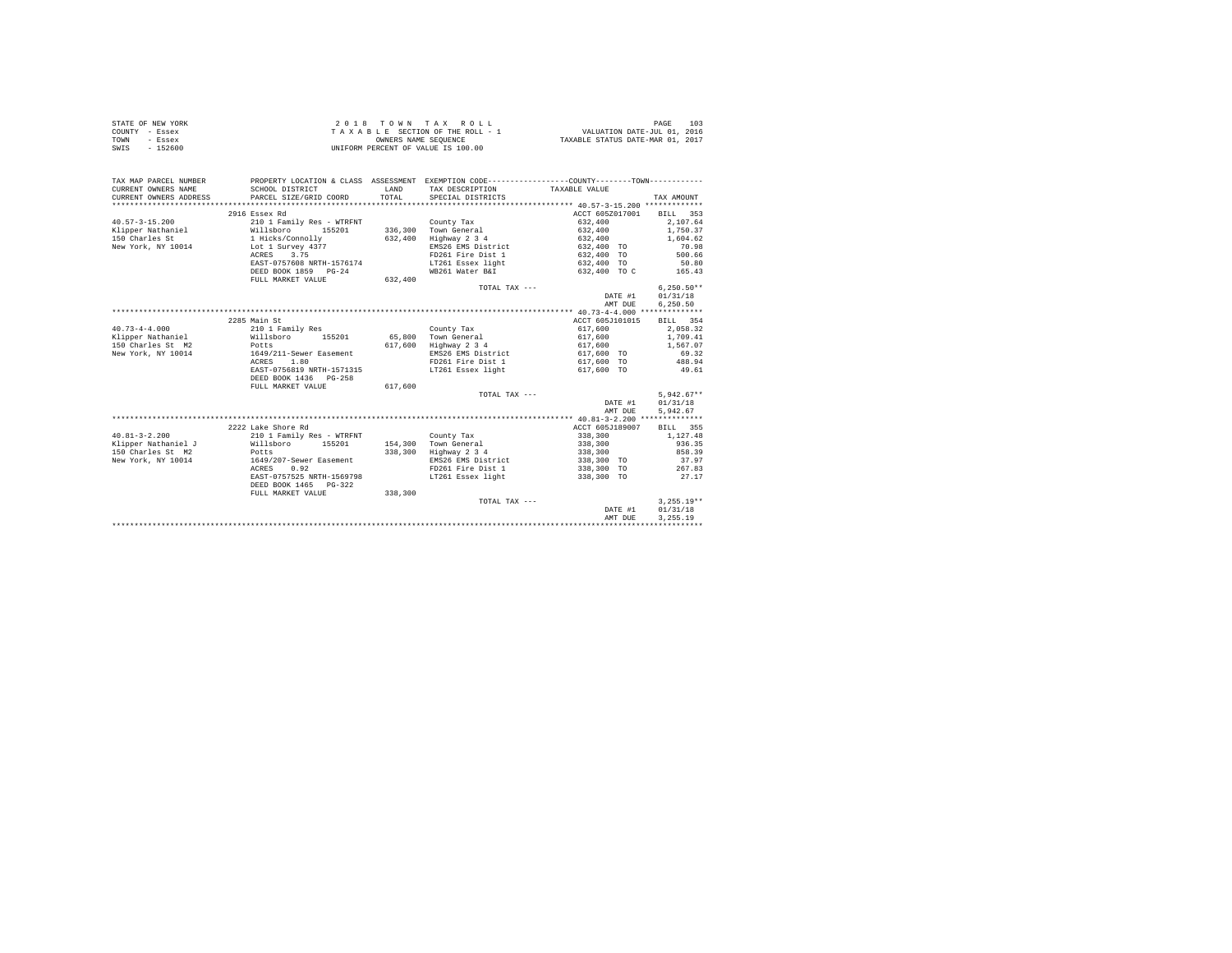| STATE OF NEW YORK | 2018 TOWN TAX ROLL                                       | PAGE                        | 103 |
|-------------------|----------------------------------------------------------|-----------------------------|-----|
| COUNTY - Essex    | TAXABLE SECTION OF THE ROLL - 1                          | VALUATION DATE-JUL 01, 2016 |     |
| TOWN<br>- Essex   | TAXABLE STATUS DATE-MAR 01, 2017<br>OWNERS NAME SEOUENCE |                             |     |
| $-152600$<br>SWIS | UNIFORM PERCENT OF VALUE IS 100.00                       |                             |     |

| TAX MAP PARCEL NUMBER<br>CURRENT OWNERS NAME<br>CURRENT OWNERS ADDRESS | PROPERTY LOCATION & CLASS ASSESSMENT EXEMPTION CODE---------------COUNTY--------TOWN----------<br>SCHOOL DISTRICT<br>PARCEL SIZE/GRID COORD | <b>T.AND</b><br>TOTAL | TAX DESCRIPTION<br>SPECIAL DISTRICTS | TAXABLE VALUE                | TAX AMOUNT           |
|------------------------------------------------------------------------|---------------------------------------------------------------------------------------------------------------------------------------------|-----------------------|--------------------------------------|------------------------------|----------------------|
|                                                                        |                                                                                                                                             |                       |                                      |                              |                      |
|                                                                        | 2916 Essex Rd                                                                                                                               |                       |                                      | ACCT 605Z017001              | BILL 353             |
| $40.57 - 3 - 15.200$                                                   | 210 1 Family Res - WTRFNT                                                                                                                   |                       | County Tax                           | 632,400                      | 2.107.64             |
| Klipper Nathaniel                                                      | Willsboro                                                                                                                                   |                       | 155201 336,300 Town General          | 632,400                      | 1,750.37             |
| 150 Charles St                                                         | 1 Hicks/Connolly                                                                                                                            | 632,400               | Highway 2 3 4                        | 632,400                      | 1,604.62             |
| New York, NY 10014 Lot 1 Survey 4377                                   |                                                                                                                                             |                       | EMS26 EMS District                   | 632,400 TO                   | 70.98                |
|                                                                        | ACRES 3.75                                                                                                                                  |                       | FD261 Fire Dist 1                    | 632,400 TO                   | 500.66               |
|                                                                        | EAST-0757608 NRTH-1576174                                                                                                                   |                       | LT261 Essex light                    | 632,400 TO                   | 50.80                |
|                                                                        | DEED BOOK 1859 PG-24                                                                                                                        |                       | WB261 Water B&I                      | 632,400 TO C                 | 165.43               |
|                                                                        | FULL MARKET VALUE                                                                                                                           | 632,400               |                                      |                              |                      |
|                                                                        |                                                                                                                                             |                       | TOTAL TAX ---                        |                              | $6.250.50**$         |
|                                                                        |                                                                                                                                             |                       |                                      | DATE #1                      | 01/31/18             |
|                                                                        |                                                                                                                                             |                       |                                      | AMT DUE                      | 6,250.50             |
|                                                                        |                                                                                                                                             |                       |                                      |                              |                      |
|                                                                        | 2285 Main St                                                                                                                                |                       |                                      | ACCT 605J101015              | <b>BILL</b> 354      |
| $40.73 - 4 - 4.000$                                                    | 210 1 Family Res                                                                                                                            |                       | County Tax                           | 617,600                      | 2,058.32             |
| Klipper Nathaniel Millsboro                                            | 155201                                                                                                                                      |                       | 65.800 Town General                  | 617,600                      | 1,709.41             |
| 150 Charles St M2                                                      | Potts                                                                                                                                       |                       | 617.600 Highway 2 3 4                | 617,600                      | 1,567.07             |
| New York, NY 10014                                                     | 1649/211-Sewer Easement                                                                                                                     |                       | EMS26 EMS District                   | 617,600 TO                   | 69.32                |
|                                                                        | ACRES<br>1.80                                                                                                                               |                       |                                      | FD261 Fire Dist 1 617,600 TO | 488.94               |
|                                                                        | EAST-0756819 NRTH-1571315<br>DEED BOOK 1436 PG-258                                                                                          |                       | LT261 Essex light                    | 617,600 TO                   | 49.61                |
|                                                                        | FULL MARKET VALUE                                                                                                                           | 617,600               |                                      |                              |                      |
|                                                                        |                                                                                                                                             |                       | TOTAL TAX ---                        |                              | $5.942.67**$         |
|                                                                        |                                                                                                                                             |                       |                                      | DATE #1                      | 01/31/18             |
|                                                                        |                                                                                                                                             |                       |                                      | AMT DUE                      | 5,942.67             |
|                                                                        |                                                                                                                                             |                       |                                      |                              |                      |
|                                                                        | 2222 Lake Shore Rd                                                                                                                          |                       |                                      | ACCT 605J189007              | BILL 355<br>1,127.48 |
| $40.81 - 3 - 2.200$<br>Klipper Nathaniel J                             | 210 1 Family Res - WTRFNT<br>Willsboro 155201                                                                                               |                       | County Tax<br>154.300 Town General   | 338,300<br>338,300           | 936.35               |
| 150 Charles St M2<br>Potts                                             |                                                                                                                                             | 338,300               | Highway 2 3 4                        | 338,300                      | 858.39               |
| New York, NY 10014                                                     | 1649/207-Sewer Easement                                                                                                                     |                       | EMS26 EMS District                   | 338,300 TO                   | 37.97                |
|                                                                        | ACRES 0.92                                                                                                                                  |                       | FD261 Fire Dist 1                    | 338,300 TO                   | 267.83               |
|                                                                        | EAST-0757525 NRTH-1569798                                                                                                                   |                       | LT261 Essex light                    | 338,300 TO                   | 27.17                |
|                                                                        | DEED BOOK 1465 PG-322                                                                                                                       |                       |                                      |                              |                      |
|                                                                        | FULL MARKET VALUE                                                                                                                           | 338,300               |                                      |                              |                      |
|                                                                        |                                                                                                                                             |                       | TOTAL TAX ---                        |                              | $3.255.19**$         |
|                                                                        |                                                                                                                                             |                       |                                      | DATE #1                      | 01/31/18             |
|                                                                        |                                                                                                                                             |                       |                                      | AMT DUE                      | 3.255.19             |
|                                                                        |                                                                                                                                             |                       |                                      |                              |                      |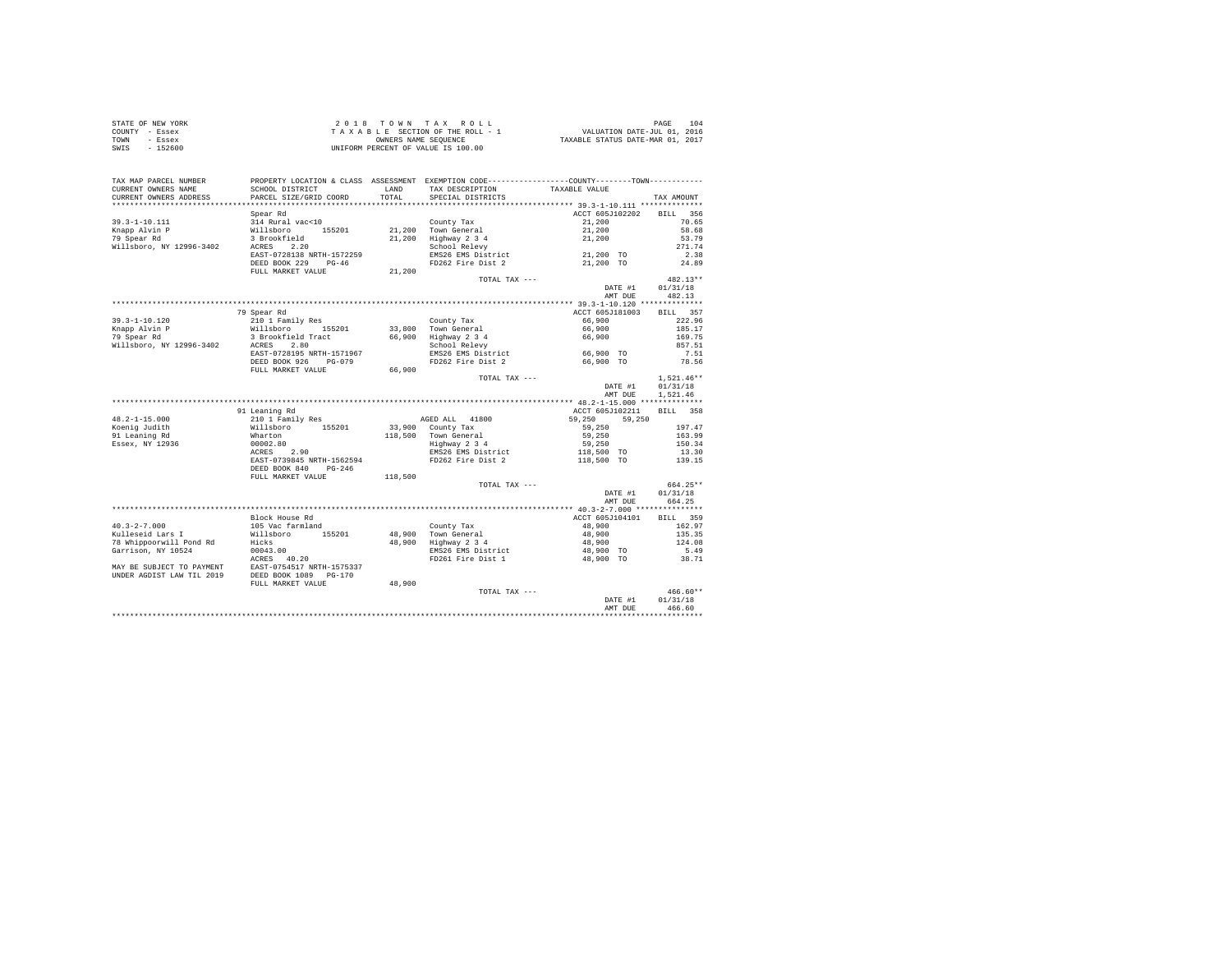| STATE OF NEW YORK | 2018 TOWN TAX ROLL                 | 104<br>PAGE                      |
|-------------------|------------------------------------|----------------------------------|
| COUNTY - Essex    | TAXABLE SECTION OF THE ROLL - 1    | VALUATION DATE-JUL 01, 2016      |
| TOWN<br>- Essex   | OWNERS NAME SEOUENCE               | TAXABLE STATUS DATE-MAR 01, 2017 |
| SWIS<br>$-152600$ | UNIFORM PERCENT OF VALUE IS 100.00 |                                  |

| TAX MAP PARCEL NUMBER     |                                                                    |         | PROPERTY LOCATION & CLASS ASSESSMENT EXEMPTION CODE----------------COUNTY--------TOWN---------- |                  |                     |
|---------------------------|--------------------------------------------------------------------|---------|-------------------------------------------------------------------------------------------------|------------------|---------------------|
| CURRENT OWNERS NAME       | SCHOOL DISTRICT                                                    | LAND    | TAX DESCRIPTION                                                                                 | TAXABLE VALUE    |                     |
| CURRENT OWNERS ADDRESS    | PARCEL SIZE/GRID COORD                                             | TOTAL   | SPECIAL DISTRICTS                                                                               |                  | TAX AMOUNT          |
|                           |                                                                    |         |                                                                                                 |                  |                     |
|                           | Spear Rd                                                           |         |                                                                                                 | ACCT 605J102202  | BILL 356            |
| $39.3 - 1 - 10.111$       | 314 Rural vac<10                                                   |         | County Tax                                                                                      | 21,200           | 70.65               |
| Knapp Alvin P             | Willsboro 155201                                                   |         | 21,200 Town General                                                                             | 21,200<br>21,200 | 58.68               |
| 79 Spear Rd               | 3 Brookfield                                                       |         | 21,200 Highway 2 3 4                                                                            |                  | 53.79               |
| Willsboro, NY 12996-3402  | ACRES 2.20                                                         |         | School Relevy                                                                                   |                  | 271.74              |
|                           | EAST-0728138 NRTH-1572259                                          |         | EMS26 EMS District                                                                              | 21,200 TO        | 2.38                |
|                           | DEED BOOK 229 PG-46                                                |         | FD262 Fire Dist 2                                                                               | 21,200 TO        | 24.89               |
|                           | FULL MARKET VALUE                                                  | 21,200  |                                                                                                 |                  |                     |
|                           |                                                                    |         | TOTAL TAX ---                                                                                   |                  | 482.13**            |
|                           |                                                                    |         |                                                                                                 | DATE #1          | 01/31/18            |
|                           |                                                                    |         |                                                                                                 | AMT DUE          | 482.13              |
|                           |                                                                    |         |                                                                                                 |                  |                     |
|                           | 79 Spear Rd                                                        |         |                                                                                                 | ACCT 605J181003  | BILL 357            |
| $39.3 - 1 - 10.120$       | 210 1 Family Res                                                   |         | County Tax                                                                                      | 66,900           | 222.96              |
| Knapp Alvin P             | Willsboro 155201<br>3 Brookfield Tract<br>ACRES 2.80               |         | 33,800 Town General                                                                             | 66,900           | 185.17              |
| 79 Spear Rd               |                                                                    |         | 66,900 Highway 2 3 4<br>School Relevy                                                           | 66,900           | 169.75              |
| Willsboro, NY 12996-3402  |                                                                    |         |                                                                                                 |                  | 857.51              |
|                           | EAST-0728195 NRTH-1571967                                          |         | EMS26 EMS District                                                                              | $66,900$ TO      | 7.51                |
|                           | DEED BOOK 926 PG-079                                               |         | FD262 Fire Dist 2                                                                               | 66,900 TO        | 78.56               |
|                           | FULL MARKET VALUE                                                  | 66,900  | TOTAL TAX ---                                                                                   |                  | $1.521.46**$        |
|                           |                                                                    |         |                                                                                                 | DATE #1          | 01/31/18            |
|                           |                                                                    |         |                                                                                                 | AMT DUE          | 1,521.46            |
|                           |                                                                    |         |                                                                                                 |                  |                     |
|                           | 91 Leaning Rd                                                      |         |                                                                                                 | ACCT 605J102211  | BILL 358            |
| $48.2 - 1 - 15.000$       | 210 1 Family Res                                                   |         | AGED ALL 41800                                                                                  | 59.250 59.250    |                     |
| Koenig Judith             | Willsboro<br>155201                                                |         | 33,900 County Tax                                                                               | 59,250           | 197.47              |
| 91 Leaning Rd             | Wharton                                                            |         | 118,500 Town General                                                                            | 59,250           | 163.99              |
| Essex, NY 12936           |                                                                    |         | Highway 2 3 4                                                                                   | 59,250           | 150.34              |
|                           | 00002.80<br>ACRES 2.90                                             |         | EMS26 EMS District                                                                              | 118,500 TO       |                     |
|                           |                                                                    |         | FD262 Fire Dist 2                                                                               |                  | 13.30               |
|                           | EAST-0739845 NRTH-1562594<br>DEED BOOK 840 PG-246                  |         |                                                                                                 | 118,500 TO       | 139.15              |
|                           | FULL MARKET VALUE                                                  | 118,500 |                                                                                                 |                  |                     |
|                           |                                                                    |         | TOTAL TAX ---                                                                                   |                  | 664.25**            |
|                           |                                                                    |         |                                                                                                 | DATE #1          | 01/31/18            |
|                           |                                                                    |         |                                                                                                 | AMT DUE          | 664.25              |
|                           |                                                                    |         |                                                                                                 |                  |                     |
|                           | Block House Rd                                                     |         |                                                                                                 | ACCT 605J104101  | BILL 359            |
| $40.3 - 2 - 7.000$        | 105 Vac farmland                                                   |         | County Tax                                                                                      | 48,900           | 162.97              |
| Kulleseid Lars I          | Willsboro 155201                                                   |         | 48,900 Town General                                                                             | 48,900           | 135.35              |
| 78 Whippoorwill Pond Rd   | Hicks                                                              |         | 48,900 Highway 2 3 4                                                                            | 48,900           | 124.08              |
| Garrison, NY 10524        | 00043.00                                                           |         |                                                                                                 | 48,900 TO        | 5.49                |
|                           | ACRES 40.20                                                        |         | EMS26 EMS District<br>FD261 Fire Dist 1                                                         | 48,900 TO        | 38.71               |
|                           | ACRES 40.20<br>MAY BE SUBJECT TO PAYMENT EAST-0754517 NRTH-1575337 |         |                                                                                                 |                  |                     |
| UNDER AGDIST LAW TIL 2019 | DEED BOOK 1089 PG-170                                              |         |                                                                                                 |                  |                     |
|                           | FULL MARKET VALUE                                                  | 48,900  |                                                                                                 |                  |                     |
|                           |                                                                    |         | TOTAL TAX ---                                                                                   |                  | $466.60**$          |
|                           |                                                                    |         |                                                                                                 | DATE #1          | 01/31/18            |
|                           |                                                                    |         |                                                                                                 | AMT DUE          | 466.60              |
|                           |                                                                    |         |                                                                                                 |                  | ******************* |
|                           |                                                                    |         |                                                                                                 |                  |                     |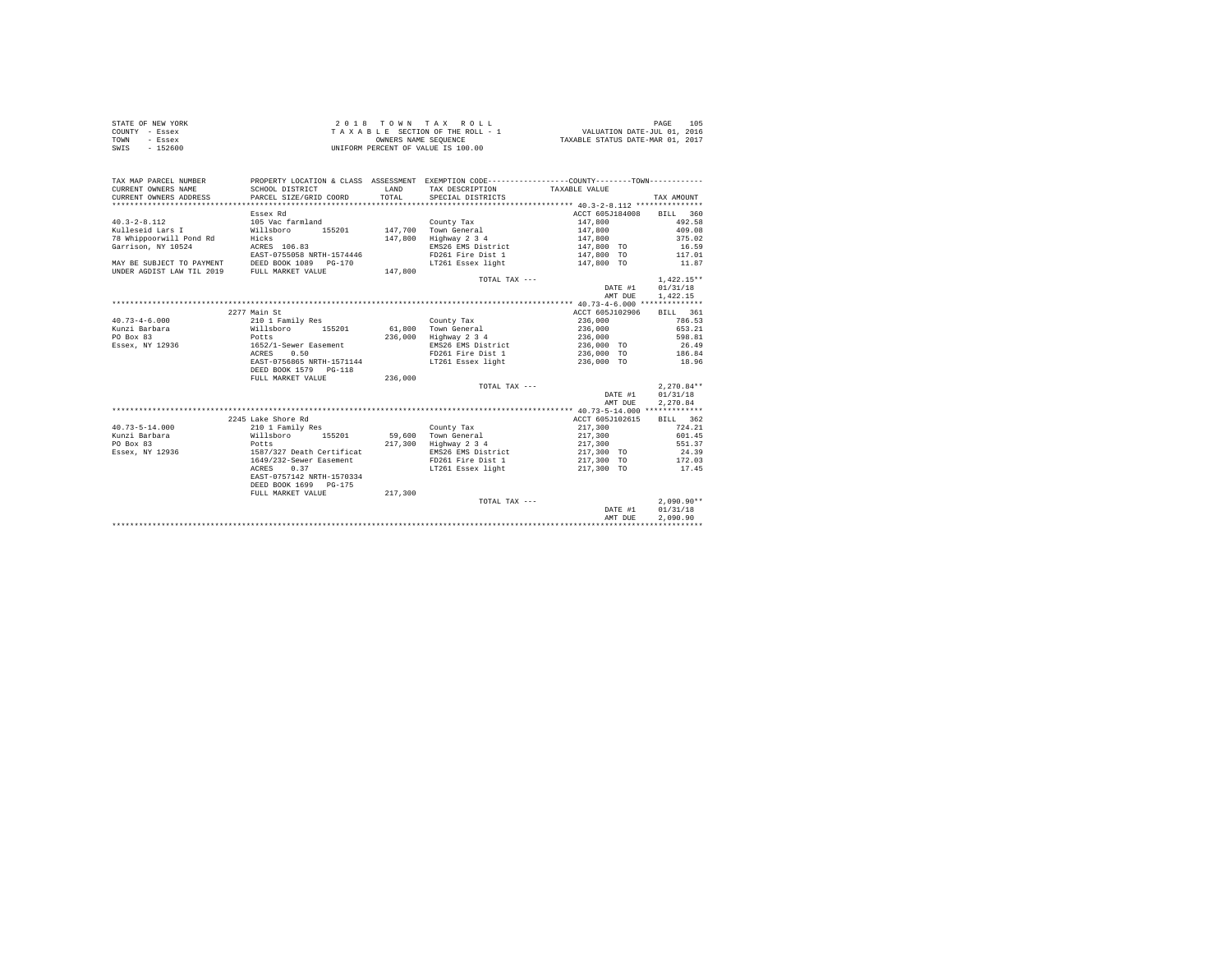| STATE OF NEW YORK | 2018 TOWN TAX ROLL                 | 105<br>PAGE                      |
|-------------------|------------------------------------|----------------------------------|
| COUNTY - Essex    | TAXABLE SECTION OF THE ROLL - 1    | VALUATION DATE-JUL 01, 2016      |
| TOWN<br>- Essex   | OWNERS NAME SEOUENCE               | TAXABLE STATUS DATE-MAR 01, 2017 |
| - 152600<br>SWIS  | UNIFORM PERCENT OF VALUE IS 100.00 |                                  |

| TAX MAP PARCEL NUMBER<br>CURRENT OWNERS NAME<br>CURRENT OWNERS ADDRESS | PROPERTY LOCATION & CLASS ASSESSMENT EXEMPTION CODE----------------COUNTY-------TOWN----------<br>SCHOOL DISTRICT<br>PARCEL SIZE/GRID COORD | <b>T.AND</b><br>TOTAL | TAX DESCRIPTION TAXABLE VALUE<br>SPECIAL DISTRICTS |                 | TAX AMOUNT   |
|------------------------------------------------------------------------|---------------------------------------------------------------------------------------------------------------------------------------------|-----------------------|----------------------------------------------------|-----------------|--------------|
|                                                                        |                                                                                                                                             |                       |                                                    |                 |              |
|                                                                        | Essex Rd                                                                                                                                    |                       |                                                    | ACCT 605J184008 | BILL 360     |
| $40.3 - 2 - 8.112$                                                     | 105 Vac farmland                                                                                                                            |                       | County Tax                                         | 147,800         | 492.58       |
| Kulleseid Lars I                                                       | 155201<br>Willsboro                                                                                                                         |                       | 147.700 Town General                               | 147.800         | 409.08       |
| 78 Whippoorwill Pond Rd                                                | Hicks                                                                                                                                       | 147,800               | Highway 2 3 4                                      | 147,800         | 375.02       |
| Garrison, NY 10524                                                     | ACRES 106.83                                                                                                                                |                       | EMS26 EMS District                                 | 147,800 TO      | 16.59        |
|                                                                        | EAST-0755058 NRTH-1574446                                                                                                                   |                       | FD261 Fire Dist 1                                  | 147,800 TO      | 117.01       |
| MAY BE SUBJECT TO PAYMENT DEED BOOK 1089 PG-170                        |                                                                                                                                             |                       | LT261 Essex light                                  | 147,800 TO      | 11.87        |
| UNDER AGDIST LAW TIL 2019                                              | FULL MARKET VALUE                                                                                                                           | 147,800               |                                                    |                 |              |
|                                                                        |                                                                                                                                             |                       | TOTAL TAX ---                                      |                 | $1,422.15**$ |
|                                                                        |                                                                                                                                             |                       |                                                    | DATE #1         | 01/31/18     |
|                                                                        |                                                                                                                                             |                       |                                                    | AMT DUE         | 1,422.15     |
|                                                                        |                                                                                                                                             |                       |                                                    |                 |              |
|                                                                        | 2277 Main St                                                                                                                                |                       |                                                    | ACCT 605J102906 | BILL 361     |
| $40.73 - 4 - 6.000$                                                    | 210 1 Family Res                                                                                                                            |                       | County Tax                                         | 236,000         | 786.53       |
| Kunzi Barbara                                                          | Willsboro<br>155201                                                                                                                         |                       | 61.800 Town General                                | 236,000         | 653.21       |
| PO Box 83                                                              | Potts                                                                                                                                       | 236,000               | Highway 2 3 4                                      | 236,000         | 598.81       |
| Essex, NY 12936                                                        | 1652/1-Sewer Easement                                                                                                                       |                       | EMS26 EMS District                                 | 236,000 TO      | 26.49        |
|                                                                        | ACRES 0.50                                                                                                                                  |                       | FD261 Fire Dist 1                                  | 236,000 TO      | 186.84       |
|                                                                        | EAST-0756865 NRTH-1571144<br>DEED BOOK 1579 PG-118                                                                                          |                       | LT261 Essex light                                  | 236,000 TO      | 18.96        |
|                                                                        | FULL MARKET VALUE                                                                                                                           | 236,000               |                                                    |                 |              |
|                                                                        |                                                                                                                                             |                       | TOTAL TAX ---                                      |                 | $2,270.84**$ |
|                                                                        |                                                                                                                                             |                       |                                                    | DATE #1         | 01/31/18     |
|                                                                        |                                                                                                                                             |                       |                                                    | AMT DUE         | 2.270.84     |
|                                                                        |                                                                                                                                             |                       |                                                    |                 |              |
|                                                                        | 2245 Lake Shore Rd                                                                                                                          |                       |                                                    | ACCT 605J102615 | BILL 362     |
| $40.73 - 5 - 14.000$                                                   | 210 1 Family Res                                                                                                                            |                       | County Tax                                         | 217,300         | 724.21       |
| Kunzi Barbara                                                          | Willsboro 155201                                                                                                                            |                       | 59,600 Town General                                | 217,300         | 601.45       |
| PO Box 83                                                              | Potts                                                                                                                                       | 217,300               | Highway 2 3 4                                      | 217,300         | 551.37       |
| Essex, NY 12936                                                        | 1587/327 Death Certificat                                                                                                                   |                       | EMS26 EMS District                                 | 217,300 TO      | 24.39        |
|                                                                        | 1649/232-Sewer Easement                                                                                                                     |                       | FD261 Fire Dist 1                                  | 217,300 TO      | 172.03       |
|                                                                        | ACRES 0.37                                                                                                                                  |                       | LT261 Essex light                                  | 217,300 TO      | 17.45        |
|                                                                        | EAST-0757142 NRTH-1570334                                                                                                                   |                       |                                                    |                 |              |
|                                                                        | DEED BOOK 1699 PG-175                                                                                                                       |                       |                                                    |                 |              |
|                                                                        | FULL MARKET VALUE                                                                                                                           | 217,300               |                                                    |                 | $2.090.90**$ |
|                                                                        |                                                                                                                                             |                       | TOTAL TAX ---                                      |                 | 01/31/18     |
|                                                                        |                                                                                                                                             |                       |                                                    | DATE #1         | 2.090.90     |
|                                                                        |                                                                                                                                             |                       |                                                    | AMT DUE         |              |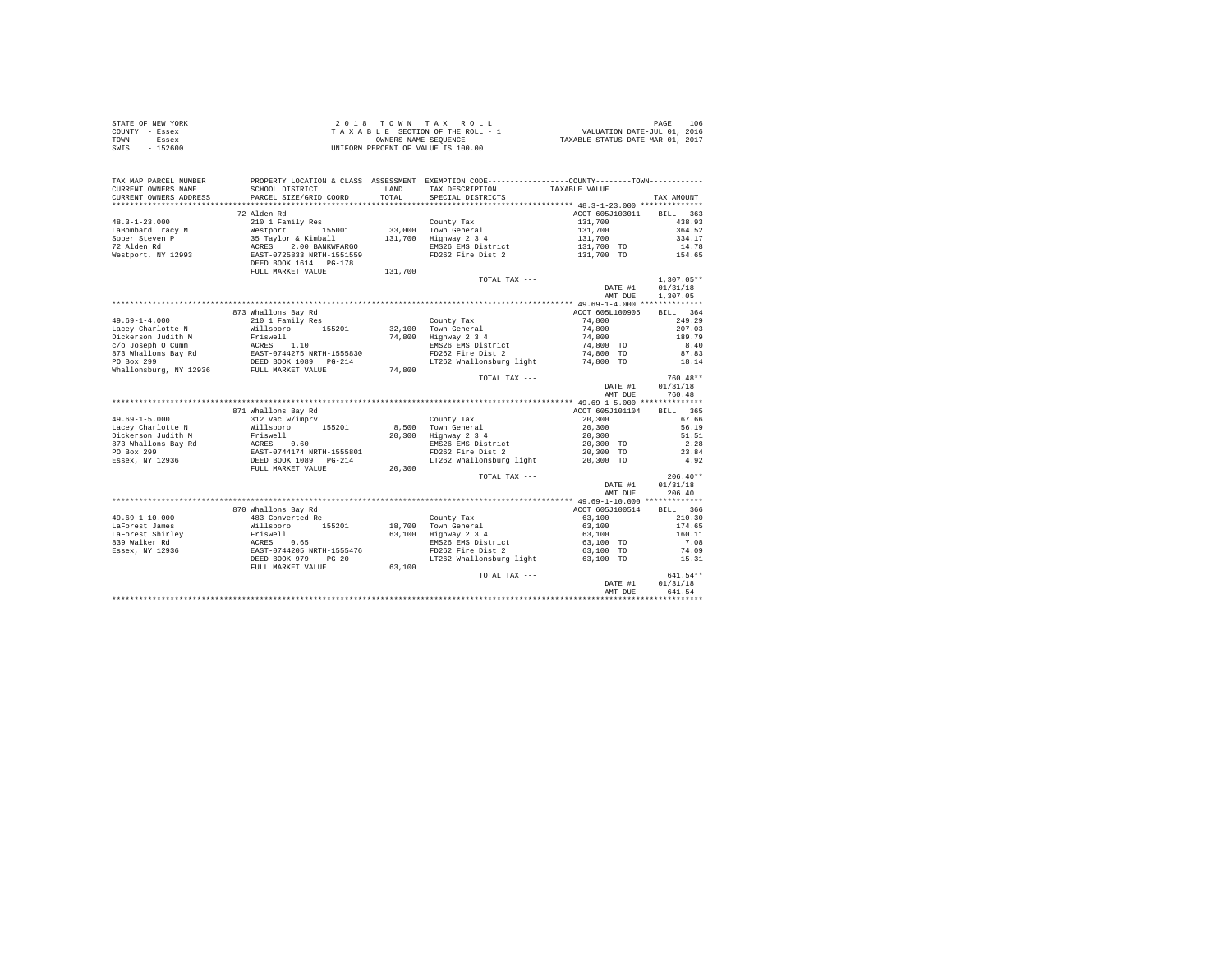|                | STATE OF NEW YORK | 2018 TOWN TAX ROLL                 | 106<br>PAGE                      |
|----------------|-------------------|------------------------------------|----------------------------------|
| COUNTY - Essex |                   | TAXABLE SECTION OF THE ROLL - 1    | VALUATION DATE-JUL 01, 2016      |
| TOWN           | - Essex           | OWNERS NAME SEOUENCE               | TAXABLE STATUS DATE-MAR 01, 2017 |
| SWIS           | $-152600$         | UNIFORM PERCENT OF VALUE IS 100.00 |                                  |

| TAX MAP PARCEL NUMBER<br>CURRENT OWNERS NAME<br>CURRENT OWNERS ADDRESS | SCHOOL DISTRICT<br>PARCEL SIZE/GRID COORD                                                           | LAND<br>TOTAL | PROPERTY LOCATION & CLASS ASSESSMENT EXEMPTION CODE----------------COUNTY-------TOWN----------<br>TAX DESCRIPTION<br>SPECIAL DISTRICTS | TAXABLE VALUE                                    | TAX AMOUNT                                       |
|------------------------------------------------------------------------|-----------------------------------------------------------------------------------------------------|---------------|----------------------------------------------------------------------------------------------------------------------------------------|--------------------------------------------------|--------------------------------------------------|
| *************************                                              |                                                                                                     |               |                                                                                                                                        |                                                  |                                                  |
| $48.3 - 1 - 23.000$<br>LaBombard Tracy M<br>Soper Steven P             | 72 Alden Rd<br>210 1 Family Res<br>Westport<br>155001<br>35 Taylor & Kimball                        | 131,700       | County Tax<br>33,000 Town General<br>Highway 2 3 4                                                                                     | ACCT 605J103011<br>131,700<br>131,700<br>131,700 | <b>BILL</b><br>363<br>438.93<br>364.52<br>334.17 |
| 72 Alden Rd<br>Westport, NY 12993                                      | ACRES<br>2.00 BANKWFARGO<br>EAST-0725833 NRTH-1551559<br>DEED BOOK 1614 PG-178<br>FULL MARKET VALUE | 131,700       | EMS26 EMS District<br>FD262 Fire Dist 2                                                                                                | 131,700 TO<br>131,700 TO                         | 14.78<br>154.65                                  |
|                                                                        |                                                                                                     |               | TOTAL TAX ---                                                                                                                          | DATE #1<br>AMT DUE                               | $1,307.05**$<br>01/31/18<br>1,307.05             |
|                                                                        |                                                                                                     |               |                                                                                                                                        | ACCT 605L100905                                  |                                                  |
| $49.69 - 1 - 4.000$                                                    | 873 Whallons Bay Rd<br>210 1 Family Res                                                             |               | County Tax                                                                                                                             | 74,800                                           | BILL 364<br>249.29                               |
| Lacey Charlotte N                                                      | Willsboro 155201                                                                                    | 32,100        | Town General                                                                                                                           | 74,800                                           | 207.03                                           |
| Dickerson Judith M                                                     | Friswell                                                                                            | 74,800        | Highway 2 3 4                                                                                                                          | 74,800                                           | 189.79                                           |
| c/o Joseph 0 Cumm                                                      | ACRES<br>1.10                                                                                       |               | EMS26 EMS District                                                                                                                     | 74,800 TO                                        | 8.40                                             |
| 873 Whallons Bay Rd                                                    |                                                                                                     |               | FD262 Fire Dist 2                                                                                                                      | 74,800 TO                                        | 87.83                                            |
| PO Box 299                                                             | EAST-0744275 NRTH-1555830<br>DEED BOOK 1089 PG-214                                                  |               | LT262 Whallonsburg light                                                                                                               | 74,800 TO                                        | 18.14                                            |
| Whallonsburg, NY 12936                                                 | FULL MARKET VALUE                                                                                   | 74,800        |                                                                                                                                        |                                                  |                                                  |
|                                                                        |                                                                                                     |               | TOTAL TAX ---                                                                                                                          |                                                  | $760.48**$                                       |
|                                                                        |                                                                                                     |               |                                                                                                                                        | DATE #1                                          | 01/31/18                                         |
|                                                                        |                                                                                                     |               |                                                                                                                                        | AMT DUE                                          | 760.48                                           |
|                                                                        |                                                                                                     |               |                                                                                                                                        |                                                  |                                                  |
|                                                                        | 871 Whallons Bay Rd                                                                                 |               |                                                                                                                                        | ACCT 605J101104                                  | 365<br>BILL                                      |
| $49.69 - 1 - 5.000$                                                    | 312 Vac w/imprv                                                                                     |               | County Tax                                                                                                                             | 20,300                                           | 67.66                                            |
| Lacey Charlotte N                                                      | 155201<br>Willsboro                                                                                 | 8,500         | Town General                                                                                                                           | 20,300                                           | 56.19                                            |
| Dickerson Judith M                                                     | Friswell                                                                                            | 20,300        | Highway 2 3 4                                                                                                                          | 20,300                                           | 51.51                                            |
| 873 Whallons Bay Rd                                                    |                                                                                                     |               | EMS26 EMS District                                                                                                                     | 20,300 TO                                        | 2.28                                             |
| PO Box 299                                                             | ACRES 0.60<br>EAST-0744174 NRTH-1555801<br>DEED BOOK 1089 PG-214                                    |               | FD262 Fire Dist 2                                                                                                                      | 20,300 TO                                        | 23.84<br>4.92                                    |
| Essex, NY 12936                                                        | FULL MARKET VALUE                                                                                   | 20,300        | LT262 Whallonsburg light                                                                                                               | 20,300 TO                                        |                                                  |
|                                                                        |                                                                                                     |               | TOTAL TAX ---                                                                                                                          |                                                  | $206.40**$                                       |
|                                                                        |                                                                                                     |               |                                                                                                                                        | DATE #1                                          | 01/31/18                                         |
|                                                                        |                                                                                                     |               |                                                                                                                                        | AMT DUE                                          | 206.40                                           |
|                                                                        |                                                                                                     |               |                                                                                                                                        |                                                  |                                                  |
|                                                                        | 870 Whallons Bay Rd                                                                                 |               |                                                                                                                                        | ACCT 605J100514                                  | 366<br>BILL                                      |
| $49.69 - 1 - 10.000$                                                   | 483 Converted Re                                                                                    |               | County Tax                                                                                                                             | 63,100                                           | 210.30                                           |
| LaForest James                                                         | 155201<br>Willsboro                                                                                 | 18,700        | Town General                                                                                                                           | 63,100                                           | 174.65                                           |
| LaForest Shirley                                                       | Friswell                                                                                            | 63,100        | Highway 2 3 4                                                                                                                          | 63,100                                           | 160.11                                           |
| 839 Walker Rd                                                          | ACRES<br>0.65                                                                                       |               | EMS26 EMS District                                                                                                                     | 63,100 TO                                        | 7.08                                             |
| Essex, NY 12936                                                        | EAST-0744205 NRTH-1555476                                                                           |               | FD262 Fire Dist 2                                                                                                                      | 63,100 TO                                        | 74.09                                            |
|                                                                        | DEED BOOK 979<br>$PG-20$                                                                            |               | LT262 Whallonsburg light                                                                                                               | 63,100 TO                                        | 15.31                                            |
|                                                                        | FULL MARKET VALUE                                                                                   | 63,100        |                                                                                                                                        |                                                  |                                                  |
|                                                                        |                                                                                                     |               | TOTAL TAX ---                                                                                                                          |                                                  | 641.54**                                         |
|                                                                        |                                                                                                     |               |                                                                                                                                        | DATE #1                                          | 01/31/18                                         |
|                                                                        |                                                                                                     |               |                                                                                                                                        | AMT DUE                                          | 641.54<br>**********                             |
|                                                                        |                                                                                                     |               |                                                                                                                                        |                                                  |                                                  |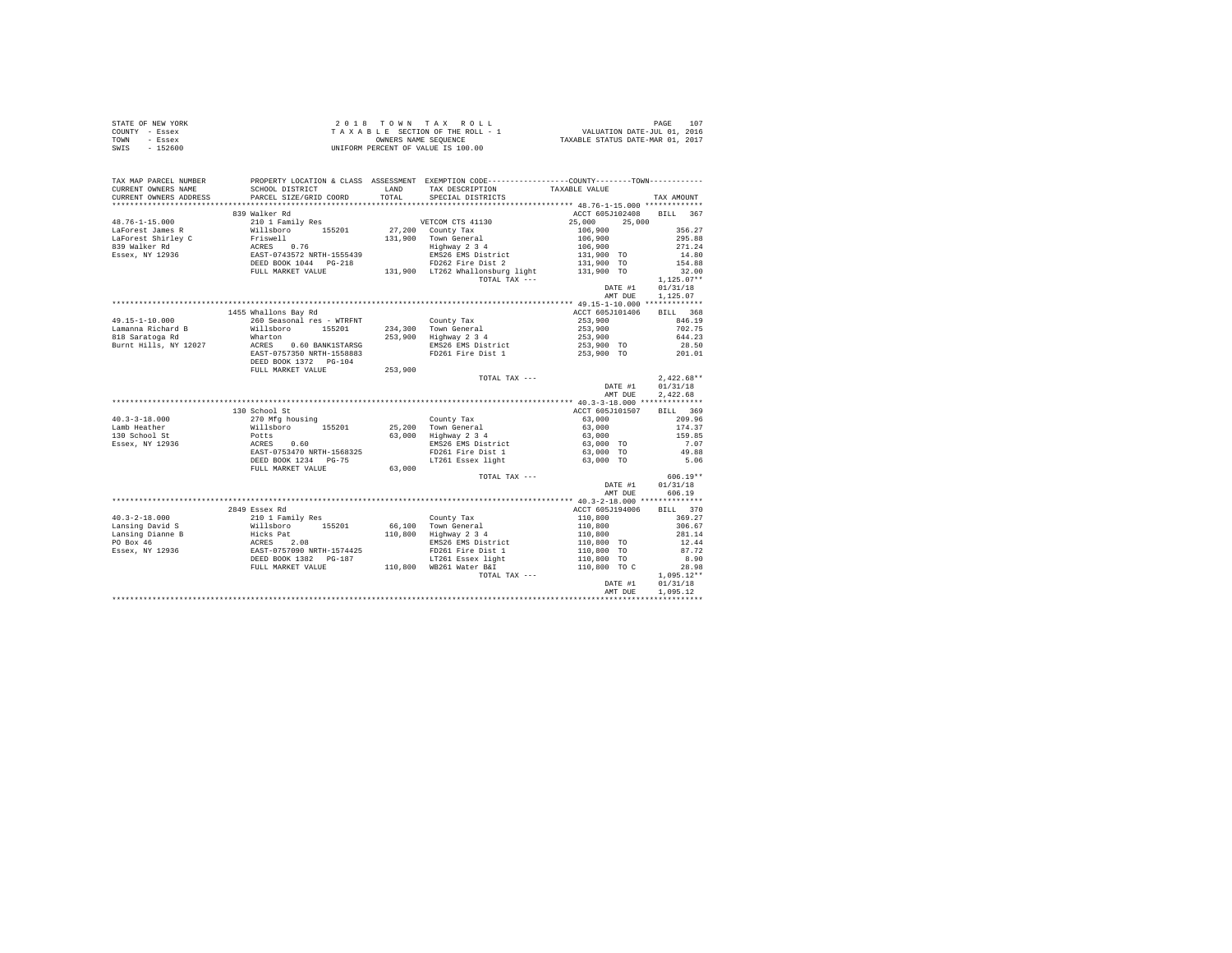| STATE OF NEW YORK             |                                                                                                                                                                                                                                              |         |                                                                                                                                                                                 |                                                                                                                                                                                                                                             |              |
|-------------------------------|----------------------------------------------------------------------------------------------------------------------------------------------------------------------------------------------------------------------------------------------|---------|---------------------------------------------------------------------------------------------------------------------------------------------------------------------------------|---------------------------------------------------------------------------------------------------------------------------------------------------------------------------------------------------------------------------------------------|--------------|
| COUNTY - Essex                |                                                                                                                                                                                                                                              |         |                                                                                                                                                                                 |                                                                                                                                                                                                                                             |              |
| <b>TOWN</b><br>- Essex        |                                                                                                                                                                                                                                              |         |                                                                                                                                                                                 |                                                                                                                                                                                                                                             |              |
| SWIS<br>$-152600$             |                                                                                                                                                                                                                                              |         |                                                                                                                                                                                 |                                                                                                                                                                                                                                             |              |
|                               |                                                                                                                                                                                                                                              |         |                                                                                                                                                                                 |                                                                                                                                                                                                                                             |              |
|                               |                                                                                                                                                                                                                                              |         |                                                                                                                                                                                 |                                                                                                                                                                                                                                             |              |
|                               |                                                                                                                                                                                                                                              |         |                                                                                                                                                                                 |                                                                                                                                                                                                                                             |              |
| TAX MAP PARCEL NUMBER         | PROPERTY LOCATION & CLASS ASSESSMENT EXEMPTION CODE----------------COUNTY-------TOWN----------                                                                                                                                               |         |                                                                                                                                                                                 |                                                                                                                                                                                                                                             |              |
| CURRENT OWNERS NAME           | SCHOOL DISTRICT                                                                                                                                                                                                                              | LAND    | TAX DESCRIPTION                                                                                                                                                                 | TAXABLE VALUE                                                                                                                                                                                                                               |              |
| CURRENT OWNERS ADDRESS        | PARCEL SIZE/GRID COORD                                                                                                                                                                                                                       | TOTAL   | SPECIAL DISTRICTS                                                                                                                                                               |                                                                                                                                                                                                                                             | TAX AMOUNT   |
|                               |                                                                                                                                                                                                                                              |         |                                                                                                                                                                                 |                                                                                                                                                                                                                                             |              |
|                               |                                                                                                                                                                                                                                              |         |                                                                                                                                                                                 |                                                                                                                                                                                                                                             |              |
|                               | 839 Walker Rd                                                                                                                                                                                                                                |         |                                                                                                                                                                                 | ACCT 605J102408 BILL 367                                                                                                                                                                                                                    |              |
| $48.76 - 1 - 15.000$          | 210 1 Family Res                                                                                                                                                                                                                             |         | VETCOM CTS 41130                                                                                                                                                                | 25,000<br>25,000                                                                                                                                                                                                                            |              |
| LaForest James R              |                                                                                                                                                                                                                                              |         | 27,200 County Tax                                                                                                                                                               | 106,900                                                                                                                                                                                                                                     | 356.27       |
| LaForest Shirley C            |                                                                                                                                                                                                                                              |         |                                                                                                                                                                                 |                                                                                                                                                                                                                                             | 295.88       |
| 839 Walker Rd                 | %10-11 railing<br>Willisboro 155201<br>Friswell<br>ACRES 0.76<br>REST-0743572 NRTH-1555439<br>DEED BOOK 1044 PG-218<br>FULL MARKET VALUE                                                                                                     |         | 191,900 County Ham (1916,900<br>191,900 Town General<br>Highway 2 3 4<br>ENS26 EMS District (105,900 TO<br>FD262 Fire Dist 2<br>131,900 TO LT262 Whallonsburg light (131,900 TO |                                                                                                                                                                                                                                             | 271.24       |
| Essex, NY 12936               |                                                                                                                                                                                                                                              |         |                                                                                                                                                                                 |                                                                                                                                                                                                                                             | 14.80        |
|                               |                                                                                                                                                                                                                                              |         |                                                                                                                                                                                 |                                                                                                                                                                                                                                             | 154.88       |
|                               |                                                                                                                                                                                                                                              |         |                                                                                                                                                                                 |                                                                                                                                                                                                                                             | 32.00        |
|                               |                                                                                                                                                                                                                                              |         | TOTAL TAX ---                                                                                                                                                                   |                                                                                                                                                                                                                                             | $1.125.07**$ |
|                               |                                                                                                                                                                                                                                              |         |                                                                                                                                                                                 | DATE #1                                                                                                                                                                                                                                     | 01/31/18     |
|                               |                                                                                                                                                                                                                                              |         |                                                                                                                                                                                 |                                                                                                                                                                                                                                             |              |
|                               |                                                                                                                                                                                                                                              |         |                                                                                                                                                                                 | AMT DUE                                                                                                                                                                                                                                     | 1,125.07     |
|                               |                                                                                                                                                                                                                                              |         |                                                                                                                                                                                 |                                                                                                                                                                                                                                             |              |
|                               | 1455 Whallons Bay Rd                                                                                                                                                                                                                         |         |                                                                                                                                                                                 | ACCT 605J101406                                                                                                                                                                                                                             | BILL 368     |
| 49.15-1-10.000                | 260 Seasonal res - WTRFNT                                                                                                                                                                                                                    |         | County Tax                                                                                                                                                                      | 253,900                                                                                                                                                                                                                                     | 846.19       |
| Lamanna Richard B             | Willsboro<br>155201                                                                                                                                                                                                                          | 234,300 |                                                                                                                                                                                 |                                                                                                                                                                                                                                             | 702.75       |
| 818 Saratoga Rd               | Wharton                                                                                                                                                                                                                                      | 253,900 | Town General<br>Highway 2 3 4                                                                                                                                                   | 253,900<br>253,900<br>253,900 TO<br>253,900 TO                                                                                                                                                                                              | 644.23       |
| Burnt Hills, NY 12027         | ACRES 0.60 BANK1STARSG                                                                                                                                                                                                                       |         | EMS26 EMS District                                                                                                                                                              |                                                                                                                                                                                                                                             | 28.50        |
|                               | EAST-0757350 NRTH-1558883                                                                                                                                                                                                                    |         | FD261 Fire Dist 1                                                                                                                                                               |                                                                                                                                                                                                                                             | 201.01       |
|                               | DEED BOOK 1372 PG-104                                                                                                                                                                                                                        |         |                                                                                                                                                                                 |                                                                                                                                                                                                                                             |              |
|                               | FULL MARKET VALUE                                                                                                                                                                                                                            | 253,900 |                                                                                                                                                                                 |                                                                                                                                                                                                                                             |              |
|                               |                                                                                                                                                                                                                                              |         | TOTAL TAX ---                                                                                                                                                                   |                                                                                                                                                                                                                                             | $2.422.68**$ |
|                               |                                                                                                                                                                                                                                              |         |                                                                                                                                                                                 | DATE #1                                                                                                                                                                                                                                     | 01/31/18     |
|                               |                                                                                                                                                                                                                                              |         |                                                                                                                                                                                 | AMT DUE                                                                                                                                                                                                                                     | 2.422.68     |
|                               |                                                                                                                                                                                                                                              |         |                                                                                                                                                                                 |                                                                                                                                                                                                                                             |              |
|                               | 130 School St                                                                                                                                                                                                                                |         |                                                                                                                                                                                 | ACCT 605J101507                                                                                                                                                                                                                             | BILL 369     |
|                               |                                                                                                                                                                                                                                              |         |                                                                                                                                                                                 |                                                                                                                                                                                                                                             |              |
| $40.3 - 3 - 18.000$           | 270 Mfg housing                                                                                                                                                                                                                              |         |                                                                                                                                                                                 | 63,000                                                                                                                                                                                                                                      | 209.96       |
| Lamb Heather                  | Willsboro 155201                                                                                                                                                                                                                             |         | County Tax<br>25,200 Town General<br>63,000 Highway 2 3 4                                                                                                                       | 63,000                                                                                                                                                                                                                                      | 174.37       |
| 130 School St                 |                                                                                                                                                                                                                                              |         |                                                                                                                                                                                 | 63,000                                                                                                                                                                                                                                      | 159.85       |
| Essex, NY 12936               |                                                                                                                                                                                                                                              |         | EMS26 EMS District                                                                                                                                                              | 63,000 TO                                                                                                                                                                                                                                   | 7.07         |
|                               |                                                                                                                                                                                                                                              |         | FD261 Fire Dist 1                                                                                                                                                               | 63,000 TO                                                                                                                                                                                                                                   | 49.88        |
|                               | POLLS<br>RCRES 0.60<br>EAST-0753470 NRTH-1568325<br>DEED BOOK 1234 PG-75                                                                                                                                                                     |         | LT261 Essex light                                                                                                                                                               | 63,000 TO                                                                                                                                                                                                                                   | 5.06         |
|                               | FULL MARKET VALUE                                                                                                                                                                                                                            | 63,000  |                                                                                                                                                                                 |                                                                                                                                                                                                                                             |              |
|                               |                                                                                                                                                                                                                                              |         | TOTAL TAX ---                                                                                                                                                                   |                                                                                                                                                                                                                                             | $606.19**$   |
|                               |                                                                                                                                                                                                                                              |         |                                                                                                                                                                                 | DATE #1                                                                                                                                                                                                                                     | 01/31/18     |
|                               |                                                                                                                                                                                                                                              |         |                                                                                                                                                                                 | AMT DUE                                                                                                                                                                                                                                     | 606.19       |
|                               |                                                                                                                                                                                                                                              |         |                                                                                                                                                                                 |                                                                                                                                                                                                                                             |              |
|                               | 2849 Essex Rd                                                                                                                                                                                                                                |         |                                                                                                                                                                                 | ACCT 605J194006                                                                                                                                                                                                                             | BILL 370     |
|                               |                                                                                                                                                                                                                                              |         |                                                                                                                                                                                 |                                                                                                                                                                                                                                             |              |
| $40.3 - 2 - 18.000$           | 210 1 Family Res                                                                                                                                                                                                                             |         | County Tax                                                                                                                                                                      |                                                                                                                                                                                                                                             | 369.27       |
| Lansing David S               |                                                                                                                                                                                                                                              |         |                                                                                                                                                                                 |                                                                                                                                                                                                                                             | 306.67       |
| Lansing Dianne B<br>PO Box 46 |                                                                                                                                                                                                                                              |         |                                                                                                                                                                                 |                                                                                                                                                                                                                                             | 281.14       |
|                               |                                                                                                                                                                                                                                              |         | EMS26 EMS District                                                                                                                                                              |                                                                                                                                                                                                                                             | 12.44        |
| Essex, NY 12936               |                                                                                                                                                                                                                                              |         |                                                                                                                                                                                 |                                                                                                                                                                                                                                             | 87.72        |
|                               |                                                                                                                                                                                                                                              |         |                                                                                                                                                                                 |                                                                                                                                                                                                                                             | 8.90         |
|                               | % 11 Passer<br>Willshoro 155201 66,100 Town General<br>Hicks Pat<br>ACRES 2.08 EMS26 EMS26 EMS 14 Passer<br>EAST-0757090 RETH-1574425 FD261 Fire Dist 1<br>DEED BOOK 1362 PG-187<br>FULL MARKET VALUE 110,800 WE261 Essex light<br>FULL MARK |         |                                                                                                                                                                                 | $\begin{array}{ll} \text{110,800} \\ \text{110,800} \\ \text{110,800} \\ \text{110,800} \\ \text{110,800} \\ \text{10,800} \text{ T0} \\ \text{110,800} \text{ T0} \\ \text{110,800} \text{ T0} \\ \text{110,800} \text{ T0 C} \end{array}$ | 28.98        |
|                               |                                                                                                                                                                                                                                              |         | TOTAL TAX ---                                                                                                                                                                   |                                                                                                                                                                                                                                             | $1.095.12**$ |
|                               |                                                                                                                                                                                                                                              |         |                                                                                                                                                                                 | DATE #1                                                                                                                                                                                                                                     | 01/31/18     |
|                               |                                                                                                                                                                                                                                              |         |                                                                                                                                                                                 | AMT DUE                                                                                                                                                                                                                                     | 1.095.12     |
|                               |                                                                                                                                                                                                                                              |         |                                                                                                                                                                                 |                                                                                                                                                                                                                                             |              |
|                               |                                                                                                                                                                                                                                              |         |                                                                                                                                                                                 |                                                                                                                                                                                                                                             |              |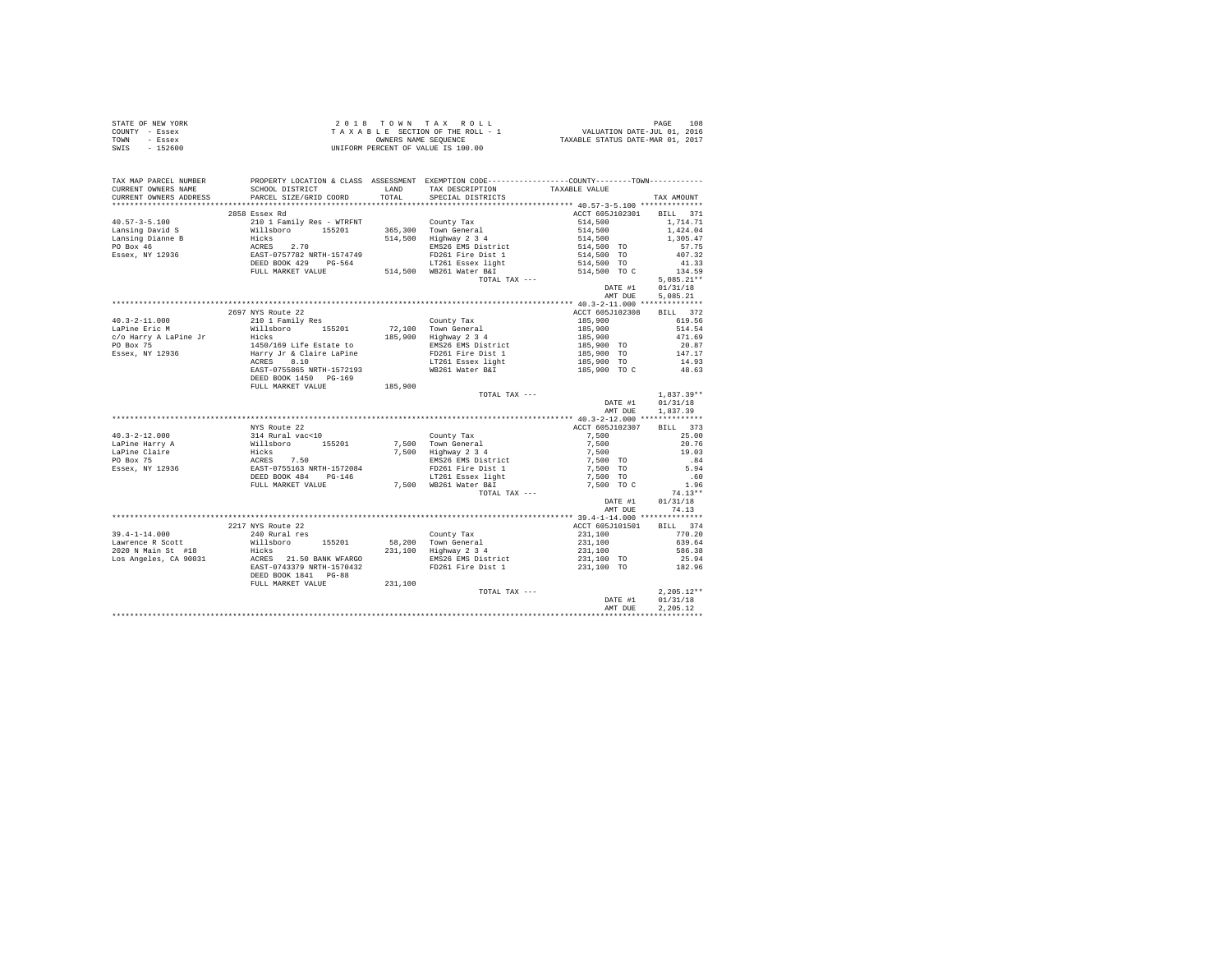| STATE OF NEW YORK | 2018 TOWN TAX ROLL                 | 108<br>PAGE                      |
|-------------------|------------------------------------|----------------------------------|
| COUNTY - Essex    | TAXABLE SECTION OF THE ROLL - 1    | VALUATION DATE-JUL 01, 2016      |
| TOWN<br>- Essex   | OWNERS NAME SEOUENCE               | TAXABLE STATUS DATE-MAR 01, 2017 |
| SWIS<br>$-152600$ | UNIFORM PERCENT OF VALUE IS 100.00 |                                  |

| TAX MAP PARCEL NUMBER                                                                                                                                                                                                                       |                           |         | PROPERTY LOCATION & CLASS ASSESSMENT EXEMPTION CODE---------------COUNTY-------TOWN--------- |                                                                                        |              |
|---------------------------------------------------------------------------------------------------------------------------------------------------------------------------------------------------------------------------------------------|---------------------------|---------|----------------------------------------------------------------------------------------------|----------------------------------------------------------------------------------------|--------------|
| CURRENT OWNERS NAME<br>CURRENT OWNERS NAME  SCHOOL DISIRICI<br>CURRENT OWNERS ADDRESS  PARCEL SIZE/GRID COORD                                                                                                                               | SCHOOL DISTRICT           |         | LAND TAX DESCRIPTION<br>TOTAL SPECIAL DISTRICTS                                              | TAXABLE VALUE                                                                          |              |
|                                                                                                                                                                                                                                             |                           |         |                                                                                              |                                                                                        | TAX AMOUNT   |
|                                                                                                                                                                                                                                             |                           |         |                                                                                              |                                                                                        |              |
|                                                                                                                                                                                                                                             | 2858 Essex Rd             |         |                                                                                              | ACCT 605J102301                                                                        | BILL 371     |
|                                                                                                                                                                                                                                             |                           |         |                                                                                              | 514,500                                                                                | 1,714.71     |
|                                                                                                                                                                                                                                             |                           |         |                                                                                              |                                                                                        | 1,424.04     |
|                                                                                                                                                                                                                                             |                           |         |                                                                                              |                                                                                        | 1,305.47     |
|                                                                                                                                                                                                                                             |                           |         | EMS26 EMS District                                                                           | $514,500$<br>$514,500$<br>$514,500$ TO<br>$514,500$ TO<br>$514,500$ TO<br>$514,500$ TO | 57.75        |
|                                                                                                                                                                                                                                             |                           |         | FD261 Fire Dist 1<br>LT261 Feeev licht                                                       |                                                                                        | 407.32       |
|                                                                                                                                                                                                                                             |                           |         |                                                                                              |                                                                                        | 41.33        |
|                                                                                                                                                                                                                                             |                           |         |                                                                                              | 514,500 TO C                                                                           | 134.59       |
|                                                                                                                                                                                                                                             |                           |         | TOTAL TAX ---                                                                                |                                                                                        | $5.085.21**$ |
|                                                                                                                                                                                                                                             |                           |         |                                                                                              | DATE #1                                                                                | 01/31/18     |
|                                                                                                                                                                                                                                             |                           |         |                                                                                              | AMT DUE                                                                                | 5,085.21     |
|                                                                                                                                                                                                                                             |                           |         |                                                                                              |                                                                                        |              |
|                                                                                                                                                                                                                                             | 2697 NYS Route 22         |         |                                                                                              | ACCT 605J102308                                                                        | BILL 372     |
| $40.3 - 2 - 11.000$                                                                                                                                                                                                                         | 210 1 Family Res          |         | County Tax                                                                                   | 185,900<br>185,900<br>185,900<br>185,900 TO                                            | 619.56       |
| LaPine Eric M                                                                                                                                                                                                                               | Willsboro 155201          |         | 72.100 Town General                                                                          |                                                                                        | 514.54       |
| LaPine Sirus nichts and the state of the state of the state of the state of the state of the state of the state of the state of the state of the state of the state of the state of the state of the state of the state of the              |                           |         | 72,100 Town General<br>185,900 Highway 2 3 4                                                 |                                                                                        | 471.69       |
|                                                                                                                                                                                                                                             |                           |         | EMS26 EMS District                                                                           |                                                                                        | 20.87        |
|                                                                                                                                                                                                                                             |                           |         | FD261 Fire Dist 1                                                                            |                                                                                        | 147.17       |
|                                                                                                                                                                                                                                             |                           |         | LT261 Essex light                                                                            | 185,900 TO<br>185,900 TO                                                               | 14.93        |
|                                                                                                                                                                                                                                             |                           |         | WB261 Water B&I                                                                              | 185,900 TO C                                                                           | 48.63        |
|                                                                                                                                                                                                                                             | DEED BOOK 1450 PG-169     |         |                                                                                              |                                                                                        |              |
|                                                                                                                                                                                                                                             | FULL MARKET VALUE 185,900 |         |                                                                                              |                                                                                        |              |
|                                                                                                                                                                                                                                             |                           |         | TOTAL TAX ---                                                                                |                                                                                        | $1.837.39**$ |
|                                                                                                                                                                                                                                             |                           |         |                                                                                              | DATE #1                                                                                | 01/31/18     |
|                                                                                                                                                                                                                                             |                           |         |                                                                                              | AMT DUE                                                                                | 1,837.39     |
|                                                                                                                                                                                                                                             |                           |         |                                                                                              |                                                                                        |              |
|                                                                                                                                                                                                                                             | NYS Route 22              |         |                                                                                              | ACCT 605J102307                                                                        | BILL 373     |
|                                                                                                                                                                                                                                             |                           |         |                                                                                              | 7.500                                                                                  | 25.00        |
|                                                                                                                                                                                                                                             |                           |         |                                                                                              |                                                                                        | 20.76        |
|                                                                                                                                                                                                                                             |                           |         |                                                                                              | 7,500<br>7,500                                                                         | 19.03        |
|                                                                                                                                                                                                                                             |                           |         |                                                                                              | 7,500 TO                                                                               | .84          |
|                                                                                                                                                                                                                                             |                           |         |                                                                                              | 7,500 TO                                                                               | 5.94         |
|                                                                                                                                                                                                                                             |                           |         |                                                                                              | 7.500 TO                                                                               | .60          |
|                                                                                                                                                                                                                                             | FULL MARKET VALUE         |         | $7,500$ WB261 Water B&I                                                                      | 7,500 то с                                                                             | 1.96         |
|                                                                                                                                                                                                                                             |                           |         | TOTAL TAX ---                                                                                |                                                                                        | $74.13**$    |
|                                                                                                                                                                                                                                             |                           |         |                                                                                              | DATE #1                                                                                | 01/31/18     |
|                                                                                                                                                                                                                                             |                           |         |                                                                                              | AMT DUE                                                                                | 74.13        |
|                                                                                                                                                                                                                                             |                           |         |                                                                                              |                                                                                        |              |
|                                                                                                                                                                                                                                             |                           |         |                                                                                              |                                                                                        |              |
|                                                                                                                                                                                                                                             | 2217 NYS Route 22         |         |                                                                                              | ACCT 605J101501                                                                        | BILL 374     |
|                                                                                                                                                                                                                                             |                           |         |                                                                                              | 231,100                                                                                | 770.20       |
|                                                                                                                                                                                                                                             |                           |         |                                                                                              | 231,100<br>231,100<br>231,100 TO                                                       | 639.64       |
|                                                                                                                                                                                                                                             |                           |         |                                                                                              |                                                                                        | 586.38       |
|                                                                                                                                                                                                                                             |                           |         |                                                                                              |                                                                                        | 25.94        |
| 39.4-1-14.000<br>39.4-1-14.000<br>221/ NY Rax and Research County Tax<br>2020 N Main St #18 Hicks<br>231,100 Highway 234<br>231,100 Highway 234<br>Los Angeles, CA 90031<br>2216 BAST-0743379 NRTH-1570432 PD261 Fire Dist 1<br>221,100 EMS |                           |         |                                                                                              | 231,100 TO                                                                             | 182.96       |
|                                                                                                                                                                                                                                             | DEED BOOK 1841 PG-88      |         |                                                                                              |                                                                                        |              |
|                                                                                                                                                                                                                                             | FULL MARKET VALUE         | 231,100 |                                                                                              |                                                                                        |              |
|                                                                                                                                                                                                                                             |                           |         | TOTAL TAX ---                                                                                |                                                                                        | $2.205.12**$ |
|                                                                                                                                                                                                                                             |                           |         |                                                                                              | DATE #1                                                                                | 01/31/18     |
|                                                                                                                                                                                                                                             |                           |         |                                                                                              | AMT DUE                                                                                | 2,205.12     |
|                                                                                                                                                                                                                                             |                           |         |                                                                                              |                                                                                        |              |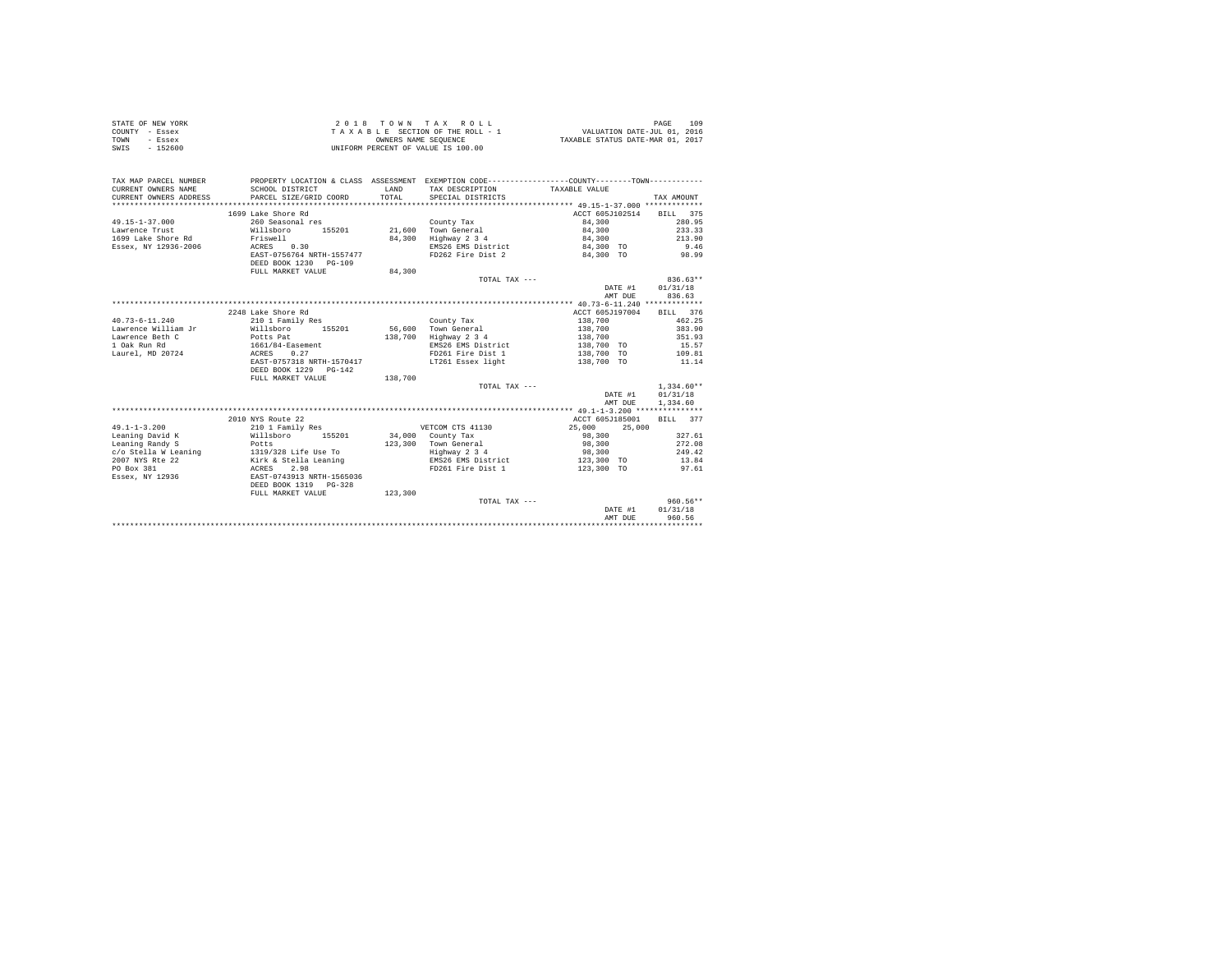|                | STATE OF NEW YORK | 2018 TOWN TAX ROLL                 | 109<br>PAGE                      |
|----------------|-------------------|------------------------------------|----------------------------------|
| COUNTY - Essex |                   | TAXABLE SECTION OF THE ROLL - 1    | VALUATION DATE-JUL 01, 2016      |
| TOWN           | - Essex           | OWNERS NAME SEOUENCE               | TAXABLE STATUS DATE-MAR 01, 2017 |
| SWIS           | $-152600$         | UNIFORM PERCENT OF VALUE IS 100.00 |                                  |

| TAX MAP PARCEL NUMBER<br>CURRENT OWNERS NAME<br>CURRENT OWNERS ADDRESS | PROPERTY LOCATION & CLASS ASSESSMENT EXEMPTION CODE----------------COUNTY--------TOWN----------<br>SCHOOL DISTRICT<br>PARCEL SIZE/GRID COORD | <b>T.AND</b><br>TOTAL | TAX DESCRIPTION TAXABLE VALUE<br>SPECIAL DISTRICTS |                  | TAX AMOUNT       |
|------------------------------------------------------------------------|----------------------------------------------------------------------------------------------------------------------------------------------|-----------------------|----------------------------------------------------|------------------|------------------|
|                                                                        | 1699 Lake Shore Rd                                                                                                                           |                       |                                                    | ACCT 605J102514  | BILL 375         |
| $49.15 - 1 - 37.000$                                                   | 260 Seasonal res                                                                                                                             |                       |                                                    | 84,300           | 280.95           |
|                                                                        | willsboro 155201 21.600 Town General                                                                                                         |                       | County Tax                                         | 84,300           | 233.33           |
| Lawrence Trust<br>1699 Lake Shore Rd Friswell                          |                                                                                                                                              | 84,300                | Highway 2 3 4                                      | 84,300           | 213.90           |
| Essex, NY 12936-2006                                                   |                                                                                                                                              |                       |                                                    |                  | 9.46             |
|                                                                        | ACRES 0.30<br>EAST-0756764 NRTH-1557477                                                                                                      |                       | EMS26 EMS District<br>FD262 Fire Dist 2            | 84,300 TO        |                  |
|                                                                        |                                                                                                                                              |                       |                                                    | 84,300 TO        | 98.99            |
|                                                                        | DEED BOOK 1230 PG-109<br>FULL MARKET VALUE                                                                                                   | 84,300                |                                                    |                  |                  |
|                                                                        |                                                                                                                                              |                       |                                                    |                  |                  |
|                                                                        |                                                                                                                                              |                       | TOTAL TAX ---                                      |                  | $836.63**$       |
|                                                                        |                                                                                                                                              |                       |                                                    |                  | DATE #1 01/31/18 |
|                                                                        |                                                                                                                                              |                       |                                                    | AMT DUE          | 836.63           |
|                                                                        |                                                                                                                                              |                       |                                                    |                  |                  |
|                                                                        | 2248 Lake Shore Rd                                                                                                                           |                       |                                                    | ACCT 605J197004  | BILL 376         |
| $40.73 - 6 - 11.240$                                                   | 210 1 Family Res                                                                                                                             |                       | County Tax                                         | 138,700          | 462.25           |
| Lawrence William Jr                                                    | Willsboro                                                                                                                                    |                       | 155201 56,600 Town General                         | 138,700          | 383.90           |
| Lawrence Beth C                                                        | Potts Pat                                                                                                                                    | 138,700               | Highway 2 3 4                                      | 138,700          | 351.93           |
| 1 Oak Run Rd                                                           | $1661/84$ -Easement<br>ACRES 0.27                                                                                                            |                       | EMS26 EMS District                                 | 138,700 TO       | 15.57            |
| Laurel, MD 20724                                                       |                                                                                                                                              |                       | FD261 Fire Dist 1                                  | 138,700 TO       | 109.81           |
|                                                                        | EAST-0757318 NRTH-1570417<br>DEED BOOK 1229 PG-142                                                                                           |                       | LT261 Essex light                                  | 138,700 TO       | 11.14            |
|                                                                        | FULL MARKET VALUE                                                                                                                            | 138,700               |                                                    |                  |                  |
|                                                                        |                                                                                                                                              |                       | TOTAL TAX ---                                      |                  | $1.334.60**$     |
|                                                                        |                                                                                                                                              |                       |                                                    | DATE #1          | 01/31/18         |
|                                                                        |                                                                                                                                              |                       |                                                    | AMT DUE          | 1,334.60         |
|                                                                        |                                                                                                                                              |                       |                                                    |                  |                  |
|                                                                        | 2010 NYS Route 22                                                                                                                            |                       |                                                    | ACCT 605J185001  | BTLL 377         |
| $49.1 - 1 - 3.200$                                                     | 210 1 Family Res                                                                                                                             |                       | VETCOM CTS 41130                                   | 25,000<br>25,000 |                  |
| Leaning David K                                                        | Willsboro 155201                                                                                                                             |                       | 34,000 County Tax                                  | 98,300           | 327.61           |
| Leaning Randy S                                                        | Potts                                                                                                                                        |                       | 123,300 Town General                               | 98,300           | 272.08           |
| c/o Stella W Leaning 1319/328 Life Use To                              |                                                                                                                                              |                       | Highway 2 3 4                                      | 98,300           | 249.42           |
| 2007 NYS Rte 22                                                        | Kirk & Stella Leaning                                                                                                                        |                       | EMS26 EMS District                                 | 123,300 TO       | 13.84            |
| PO Box 381                                                             | 2.98<br>ACRES                                                                                                                                |                       | FD261 Fire Dist 1                                  | 123,300 TO       | 97.61            |
| Essex, NY 12936                                                        | EAST-0743913 NRTH-1565036                                                                                                                    |                       |                                                    |                  |                  |
|                                                                        | DEED BOOK 1319 PG-328                                                                                                                        |                       |                                                    |                  |                  |
|                                                                        | FULL MARKET VALUE                                                                                                                            | 123,300               |                                                    |                  |                  |
|                                                                        |                                                                                                                                              |                       | TOTAL TAX ---                                      |                  | $960.56**$       |
|                                                                        |                                                                                                                                              |                       |                                                    | DATE #1          | 01/31/18         |
|                                                                        |                                                                                                                                              |                       |                                                    | AMT DUE          | 960.56           |
|                                                                        |                                                                                                                                              |                       |                                                    |                  |                  |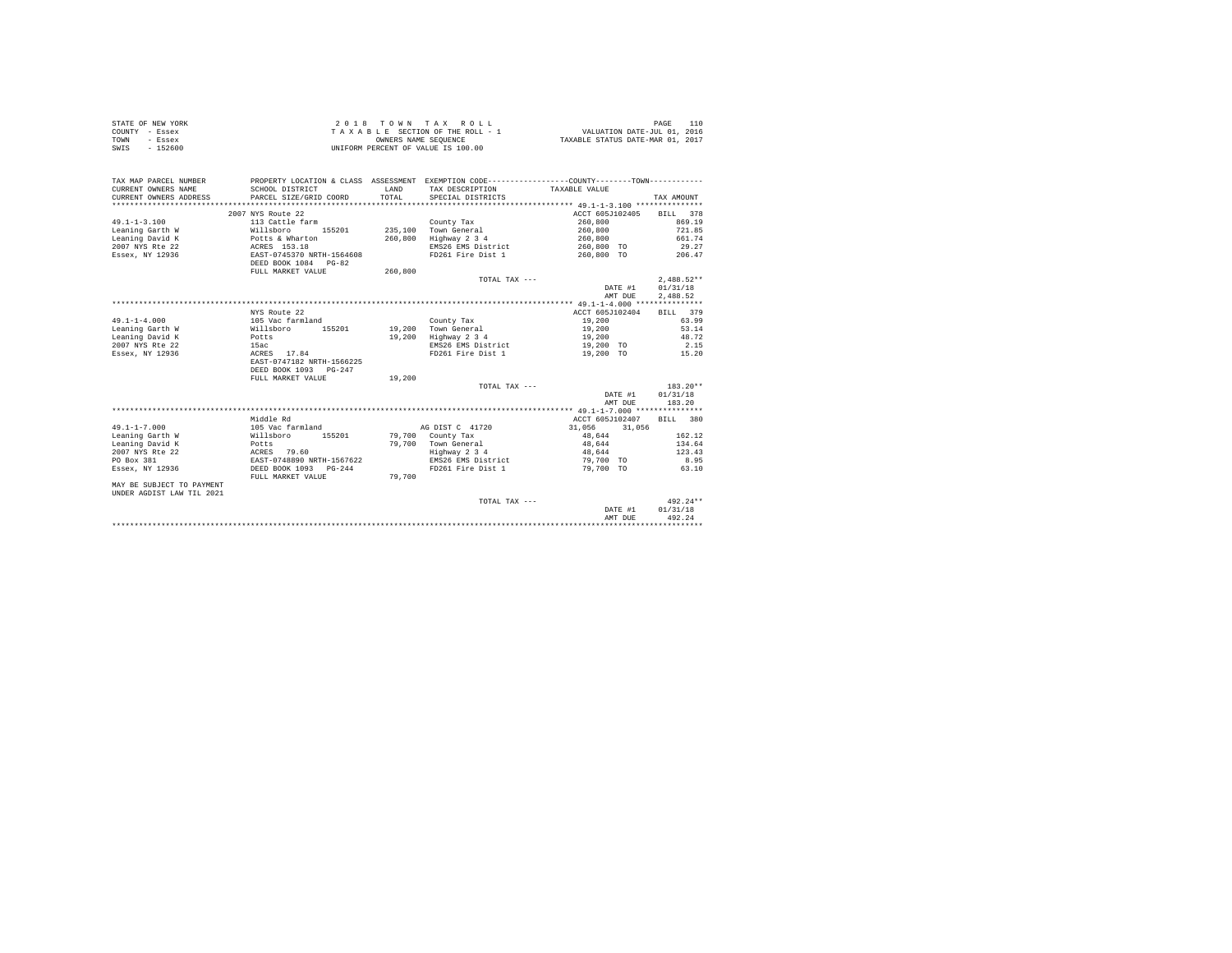| STATE OF NEW YORK | 2018 TOWN TAX ROLL                 | PAGE                             |
|-------------------|------------------------------------|----------------------------------|
| COUNTY - Essex    | TAXABLE SECTION OF THE ROLL - 1    | VALUATION DATE-JUL 01, 2016      |
| TOWN<br>- Essex   | OWNERS NAME SEOUENCE               | TAXABLE STATUS DATE-MAR 01, 2017 |
| $-152600$<br>SWIS | UNIFORM PERCENT OF VALUE IS 100.00 |                                  |

| TAX MAP PARCEL NUMBER<br>CURRENT OWNERS NAME<br>CURRENT OWNERS ADDRESS | SCHOOL DISTRICT<br>PARCEL SIZE/GRID COORD | <b>T.AND</b><br>TOTAL | PROPERTY LOCATION & CLASS ASSESSMENT EXEMPTION CODE----------------COUNTY--------TOWN----------<br>TAX DESCRIPTION<br>SPECIAL DISTRICTS | TAXABLE VALUE    | TAX AMOUNT   |
|------------------------------------------------------------------------|-------------------------------------------|-----------------------|-----------------------------------------------------------------------------------------------------------------------------------------|------------------|--------------|
|                                                                        | 2007 NYS Route 22                         |                       |                                                                                                                                         | ACCT 605J102405  | BILL 378     |
| $49.1 - 1 - 3.100$                                                     | 113 Cattle farm                           |                       | County Tax                                                                                                                              | 260,800          | 869.19       |
| Leaning Garth W                                                        | Willsboro<br>155201                       |                       | 235,100 Town General                                                                                                                    | 260,800          | 721.85       |
| Leaning David K                                                        | Potts & Wharton                           | 260,800               | Highway 2 3 4                                                                                                                           | 260,800          | 661.74       |
| 2007 NYS Rte 22                                                        | ACRES 153.18                              |                       | EMS26 EMS District                                                                                                                      | 260,800 TO       | 29.27        |
| Essex, NY 12936                                                        | EAST-0745370 NRTH-1564608                 |                       | FD261 Fire Dist 1                                                                                                                       | 260,800 TO       | 206.47       |
|                                                                        | DEED BOOK 1084 PG-82                      |                       |                                                                                                                                         |                  |              |
|                                                                        | FULL MARKET VALUE                         | 260,800               |                                                                                                                                         |                  |              |
|                                                                        |                                           |                       | TOTAL TAX ---                                                                                                                           |                  | $2.488.52**$ |
|                                                                        |                                           |                       |                                                                                                                                         | DATE #1          | 01/31/18     |
|                                                                        |                                           |                       |                                                                                                                                         | AMT DUE          | 2.488.52     |
|                                                                        |                                           |                       |                                                                                                                                         |                  |              |
|                                                                        | NYS Route 22                              |                       |                                                                                                                                         | ACCT 605J102404  | BILL 379     |
| $49.1 - 1 - 4.000$                                                     | 105 Vac farmland                          |                       | County Tax                                                                                                                              | 19,200           | 63.99        |
| Leaning Garth W                                                        | Willsboro<br>155201                       |                       | 19,200 Town General                                                                                                                     | 19,200           | 53.14        |
| Leaning David K                                                        | Potts                                     | 19,200                | Highway 2 3 4                                                                                                                           | 19,200           | 48.72        |
| 2007 NYS Rte 22                                                        | 15ac                                      |                       | EMS26 EMS District                                                                                                                      | 19,200 TO        | 2.15         |
| Essex, NY 12936                                                        | ACRES 17.84                               |                       | FD261 Fire Dist 1                                                                                                                       | 19,200 TO        | 15.20        |
|                                                                        | EAST-0747182 NRTH-1566225                 |                       |                                                                                                                                         |                  |              |
|                                                                        | DEED BOOK 1093 PG-247                     |                       |                                                                                                                                         |                  |              |
|                                                                        | FULL MARKET VALUE                         | 19,200                |                                                                                                                                         |                  |              |
|                                                                        |                                           |                       | TOTAL TAX ---                                                                                                                           |                  | $183.20**$   |
|                                                                        |                                           |                       |                                                                                                                                         | DATE #1          | 01/31/18     |
|                                                                        |                                           |                       |                                                                                                                                         | AMT DUE          | 183.20       |
|                                                                        |                                           |                       |                                                                                                                                         |                  |              |
|                                                                        | bg efbbiM                                 |                       |                                                                                                                                         | ACCT 605J102407  | BTLL 380     |
| $49.1 - 1 - 7.000$                                                     | 105 Vac farmland                          |                       | AG DIST C 41720                                                                                                                         | 31,056<br>31,056 |              |
| Leaning Garth W                                                        | Willsboro<br>155201                       |                       | 79.700 County Tax                                                                                                                       | 48.644           | 162.12       |
| Leaning David K                                                        | Potts                                     | 79,700                | Town General                                                                                                                            | 48,644           | 134.64       |
| 2007 NYS Rte 22                                                        | ACRES 79.60                               |                       | Highway 2 3 4                                                                                                                           | 48.644           | 123.43       |
| PO Box 381                                                             | EAST-0748890 NRTH-1567622                 |                       | EMS26 EMS District                                                                                                                      | 79,700 TO        | 8.95         |
| Essex, NY 12936                                                        | DEED BOOK 1093 PG-244                     |                       | FD261 Fire Dist 1                                                                                                                       | 79,700 TO        | 63.10        |
|                                                                        | FULL MARKET VALUE                         | 79,700                |                                                                                                                                         |                  |              |
| MAY BE SUBJECT TO PAYMENT                                              |                                           |                       |                                                                                                                                         |                  |              |
| UNDER AGDIST LAW TIL 2021                                              |                                           |                       |                                                                                                                                         |                  |              |
|                                                                        |                                           |                       | TOTAL TAX ---                                                                                                                           |                  | $492.24**$   |
|                                                                        |                                           |                       |                                                                                                                                         | DATE #1          | 01/31/18     |
|                                                                        |                                           |                       |                                                                                                                                         | AMT DUE          | 492.24       |
|                                                                        |                                           |                       |                                                                                                                                         |                  |              |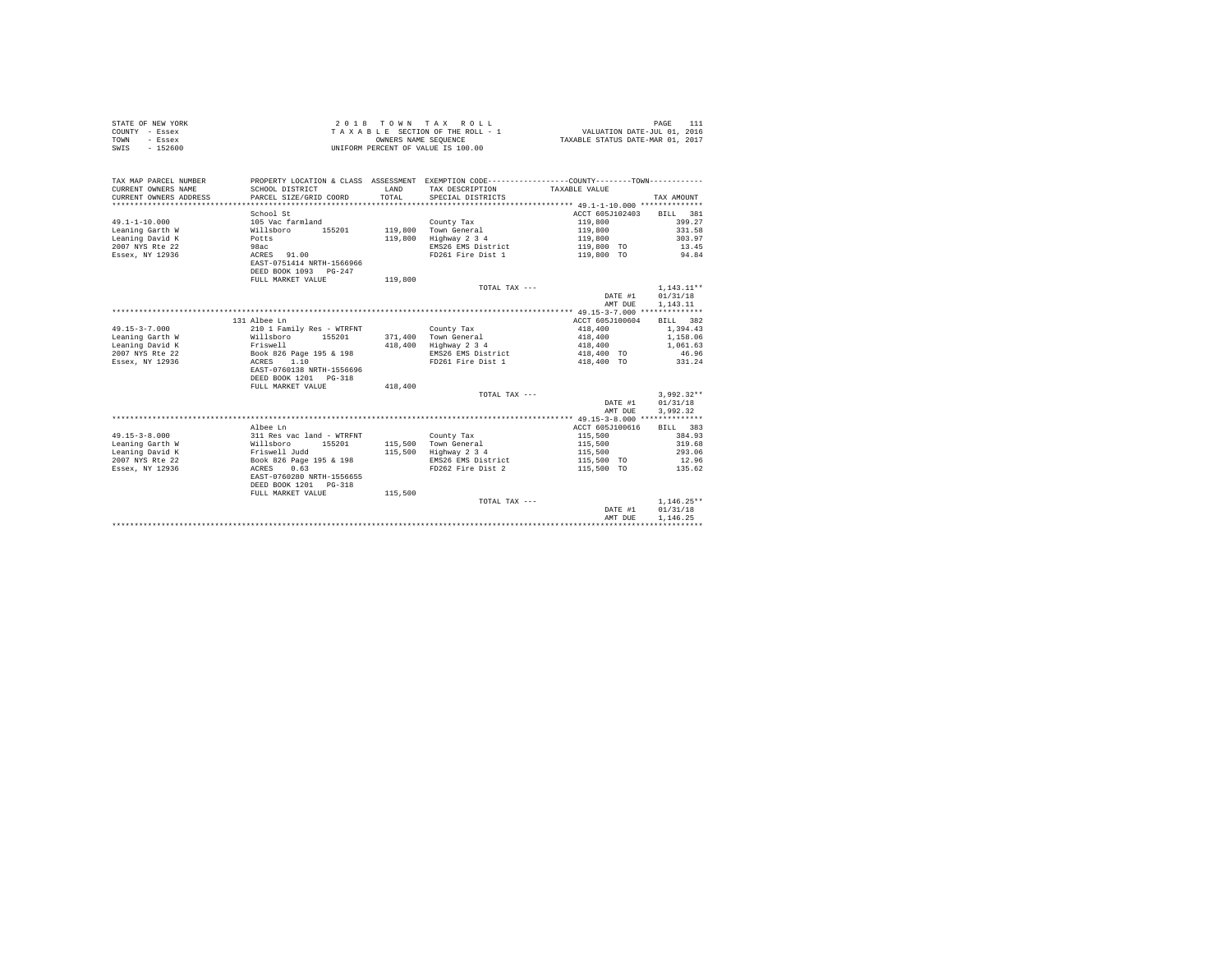|                | STATE OF NEW YORK | 2018 TOWN TAX ROLL                 |  |  |                      |  |  |  |                                  | PAGE |  |
|----------------|-------------------|------------------------------------|--|--|----------------------|--|--|--|----------------------------------|------|--|
| COUNTY - Essex |                   | TAXABLE SECTION OF THE ROLL - 1    |  |  |                      |  |  |  | VALUATION DATE-JUL 01, 2016      |      |  |
| TOWN           | - Essex           |                                    |  |  | OWNERS NAME SEOUENCE |  |  |  | TAXABLE STATUS DATE-MAR 01, 2017 |      |  |
| SWIS           | $-152600$         | UNIFORM PERCENT OF VALUE IS 100.00 |  |  |                      |  |  |  |                                  |      |  |

| TAX MAP PARCEL NUMBER<br>CURRENT OWNERS NAME<br>CURRENT OWNERS ADDRESS | SCHOOL DISTRICT<br>PARCEL SIZE/GRID COORD  | LAND<br>TOTAL | PROPERTY LOCATION & CLASS ASSESSMENT EXEMPTION CODE----------------COUNTY--------TOWN----------<br>TAX DESCRIPTION<br>SPECIAL DISTRICTS | TAXABLE VALUE   | TAX AMOUNT   |
|------------------------------------------------------------------------|--------------------------------------------|---------------|-----------------------------------------------------------------------------------------------------------------------------------------|-----------------|--------------|
|                                                                        | School St                                  |               |                                                                                                                                         | ACCT 605J102403 | BTLL<br>381  |
| $49.1 - 1 - 10.000$                                                    | 105 Vac farmland                           |               | County Tax                                                                                                                              | 119,800         | 399.27       |
| Leaning Garth W                                                        | Willsboro<br>155201                        | 119,800       | Town General                                                                                                                            | 119,800         | 331.58       |
| Leaning David K                                                        | Potts                                      | 119,800       | Highway 2 3 4                                                                                                                           | 119,800         | 303.97       |
| 2007 NYS Rte 22                                                        | 98ac                                       |               | EMS26 EMS District                                                                                                                      | 119,800 TO      | 13.45        |
| Essex, NY 12936                                                        | ACRES 91.00                                |               | FD261 Fire Dist 1                                                                                                                       | 119,800 TO      | 94.84        |
|                                                                        | EAST-0751414 NRTH-1566966                  |               |                                                                                                                                         |                 |              |
|                                                                        | DEED BOOK 1093 PG-247                      |               |                                                                                                                                         |                 |              |
|                                                                        | FULL MARKET VALUE                          | 119,800       |                                                                                                                                         |                 |              |
|                                                                        |                                            |               | TOTAL TAX ---                                                                                                                           |                 | $1.143.11**$ |
|                                                                        |                                            |               |                                                                                                                                         | DATE #1         | 01/31/18     |
|                                                                        |                                            |               |                                                                                                                                         | AMT DUE         | 1,143,11     |
|                                                                        |                                            |               |                                                                                                                                         |                 |              |
|                                                                        | 131 Albee Ln                               |               |                                                                                                                                         | ACCT 605J100604 | BILL 382     |
| $49.15 - 3 - 7.000$                                                    | 210 1 Family Res - WTRFNT                  |               | County Tax                                                                                                                              | 418,400         | 1,394.43     |
| Leaning Garth W                                                        | Willsboro<br>155201                        | 371,400       | Town General                                                                                                                            | 418,400         | 1,158.06     |
| Leaning David K                                                        | Friswell                                   | 418,400       | Highway 2 3 4                                                                                                                           | 418,400         | 1,061.63     |
| 2007 NYS Rte 22                                                        | Book 826 Page 195 & 198                    |               | EMS26 EMS District                                                                                                                      | 418,400 TO      | 46.96        |
| Essex, NY 12936                                                        | 1.10<br>ACRES<br>EAST-0760138 NRTH-1556696 |               | FD261 Fire Dist 1                                                                                                                       | 418,400 TO      | 331.24       |
|                                                                        | DEED BOOK 1201 PG-318                      |               |                                                                                                                                         |                 |              |
|                                                                        | FULL MARKET VALUE                          | 418,400       |                                                                                                                                         |                 |              |
|                                                                        |                                            |               | TOTAL TAX ---                                                                                                                           |                 | $3.992.32**$ |
|                                                                        |                                            |               |                                                                                                                                         | DATE #1         | 01/31/18     |
|                                                                        |                                            |               |                                                                                                                                         | AMT DUE         | 3,992.32     |
|                                                                        |                                            |               |                                                                                                                                         |                 |              |
|                                                                        | Albee Ln                                   |               |                                                                                                                                         | ACCT 605J100616 | BILL 383     |
| $49.15 - 3 - 8.000$                                                    | 311 Res vac land - WTRFNT                  |               | County Tax                                                                                                                              | 115,500         | 384.93       |
| Leaning Garth W                                                        | 155201<br>Willsboro                        | 115,500       | Town General                                                                                                                            | 115,500         | 319.68       |
| Leaning David K                                                        | Friswell Judd                              | 115,500       | Highway 2 3 4                                                                                                                           | 115,500         | 293.06       |
| 2007 NYS Rte 22                                                        | Book 826 Page 195 & 198                    |               | EMS26 EMS District                                                                                                                      | 115,500 TO      | 12.96        |
| Essex, NY 12936                                                        | ACRES<br>0.63                              |               | FD262 Fire Dist 2                                                                                                                       | 115,500 TO      | 135.62       |
|                                                                        | EAST-0760280 NRTH-1556655                  |               |                                                                                                                                         |                 |              |
|                                                                        | DEED BOOK 1201   PG-318                    |               |                                                                                                                                         |                 |              |
|                                                                        | FULL MARKET VALUE                          | 115,500       |                                                                                                                                         |                 |              |
|                                                                        |                                            |               | TOTAL TAX ---                                                                                                                           |                 | $1.146.25**$ |
|                                                                        |                                            |               |                                                                                                                                         | DATE #1         | 01/31/18     |
|                                                                        |                                            |               |                                                                                                                                         | AMT DUE         | 1,146.25     |
|                                                                        |                                            |               |                                                                                                                                         |                 |              |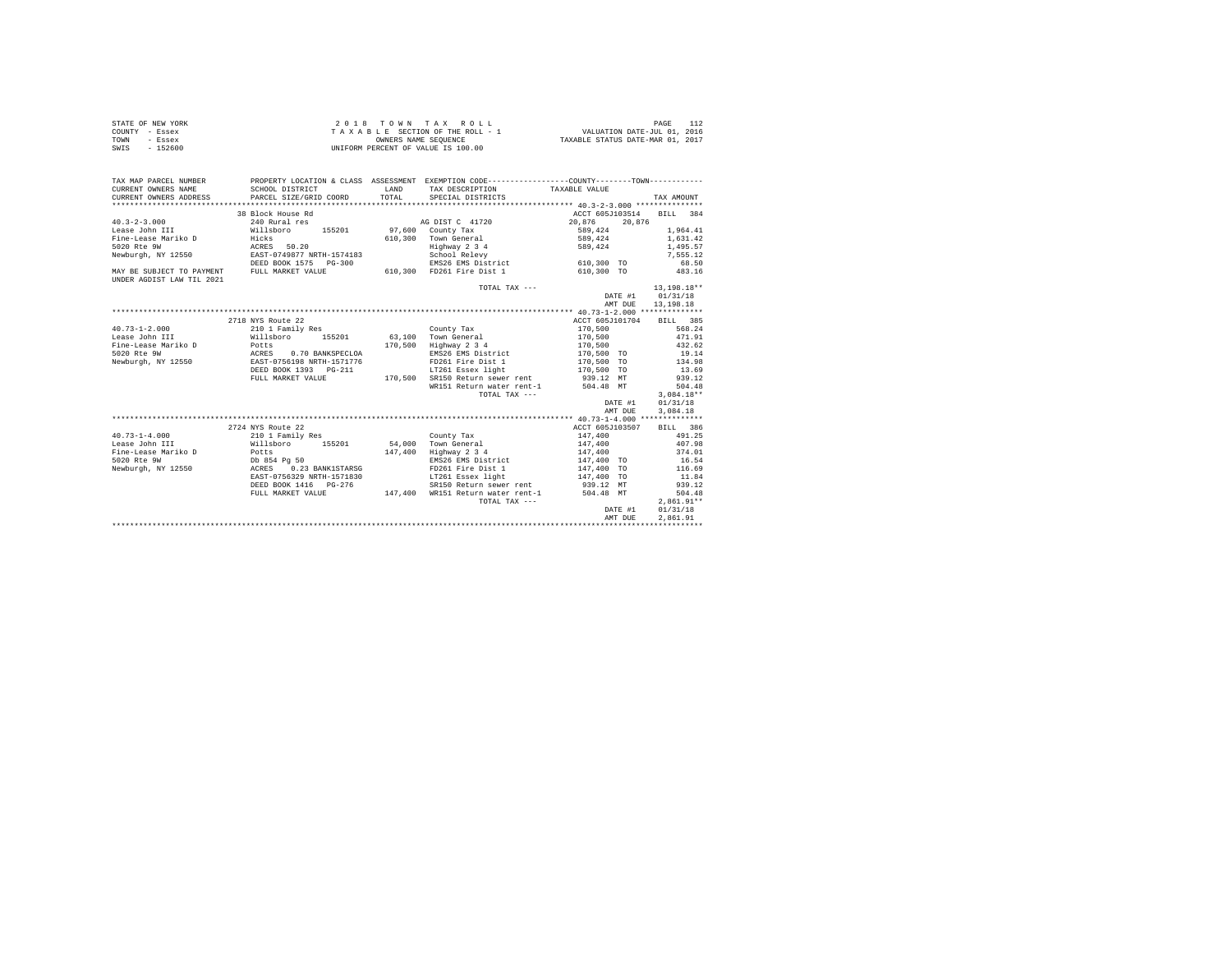| STATE OF NEW YORK |           | 2018 TOWN TAX ROLL                 | 112<br>PAGE                      |
|-------------------|-----------|------------------------------------|----------------------------------|
| COUNTY - Essex    |           | TAXABLE SECTION OF THE ROLL - 1    | VALUATION DATE-JUL 01, 2016      |
| TOWN              | - Essex   | OWNERS NAME SEOUENCE               | TAXABLE STATUS DATE-MAR 01, 2017 |
| SWIS              | $-152600$ | UNIFORM PERCENT OF VALUE IS 100.00 |                                  |

| TAX MAP PARCEL NUMBER<br>CURRENT OWNERS NAME<br>CURRENT OWNERS ADDRESS | SCHOOL DISTRICT<br>PARCEL SIZE/GRID COORD                    | LAND<br>TOTAL | PROPERTY LOCATION & CLASS ASSESSMENT EXEMPTION CODE---------------COUNTY--------TOWN----------<br>TAX DESCRIPTION TAXABLE VALUE<br>SPECIAL DISTRICTS |                    | TAX AMOUNT   |
|------------------------------------------------------------------------|--------------------------------------------------------------|---------------|------------------------------------------------------------------------------------------------------------------------------------------------------|--------------------|--------------|
|                                                                        | 38 Block House Rd                                            |               |                                                                                                                                                      | ACCT 605J103514    | RTT.T. 384   |
| $40.3 - 2 - 3.000$                                                     | 240 Rural res                                                |               | AG DIST C 41720                                                                                                                                      | 20.876<br>20,876   |              |
| Lease John III                                                         | Willsboro 155201                                             |               | 97,600 County Tax                                                                                                                                    |                    | 1,964.41     |
| Fine-Lease Mariko D                                                    | Hicks                                                        | 610,300       | Town General                                                                                                                                         | 589,424<br>589,424 | 1,631.42     |
| 5020 Rte 9W                                                            | ACRES 50.20                                                  |               | Highway 2 3 4 589, 424                                                                                                                               |                    | 1,495.57     |
| Newburgh, NY 12550                                                     | EAST-0749877 NRTH-1574183                                    |               |                                                                                                                                                      |                    | 7.555.12     |
|                                                                        | DEED BOOK 1575 PG-300                                        |               | School Relevy<br>EMS26 EMS District 610,300 TO                                                                                                       |                    | 68.50        |
| MAY BE SUBJECT TO PAYMENT                                              | FULL MARKET VALUE                                            |               | 610.300 FD261 Fire Dist 1 610.300 TO                                                                                                                 |                    | 483.16       |
| UNDER AGDIST LAW TIL 2021                                              |                                                              |               |                                                                                                                                                      |                    |              |
|                                                                        |                                                              |               |                                                                                                                                                      |                    | 13,198.18**  |
|                                                                        |                                                              |               | TOTAL TAX $---$                                                                                                                                      | DATE #1            | 01/31/18     |
|                                                                        |                                                              |               |                                                                                                                                                      | AMT DUE            | 13,198.18    |
|                                                                        |                                                              |               |                                                                                                                                                      |                    |              |
|                                                                        | 2718 NYS Route 22                                            |               |                                                                                                                                                      | ACCT 605J101704    | BILL 385     |
| $40.73 - 1 - 2.000$                                                    | 210 1 Family Res                                             |               | County Tax                                                                                                                                           | 170,500            | 568.24       |
| Lease John III<br>Willsboro                                            | 155201                                                       |               | 63.100 Town General                                                                                                                                  | 170,500            | 471.91       |
| Fine-Lease Mariko D                                                    |                                                              |               | 170,500 Highway 2 3 4                                                                                                                                | 170,500            | 432.62       |
| 5020 Rte 9W                                                            |                                                              |               | EMS26 EMS District                                                                                                                                   | 170,500 TO         | 19.14        |
| Newburgh, NY 12550                                                     | Potts<br>ACRES 0.70 BANKSPECLOA<br>EAST-0756198 NRTH-1571776 |               | FD261 Fire Dist 1 170,500 TO                                                                                                                         |                    | 134.98       |
|                                                                        | DEED BOOK 1393 PG-211                                        |               | LT261 Essex light                                                                                                                                    | 170,500 TO         | 13.69        |
|                                                                        | FULL MARKET VALUE                                            |               | 170,500 SR150 Return sewer rent                                                                                                                      | 939.12 MT          | 939.12       |
|                                                                        |                                                              |               | WR151 Return water rent-1                                                                                                                            | 504.48 MT          | 504.48       |
|                                                                        |                                                              |               | TOTAL TAX ---                                                                                                                                        |                    | $3,084.18**$ |
|                                                                        |                                                              |               |                                                                                                                                                      | DATE #1            | 01/31/18     |
|                                                                        |                                                              |               |                                                                                                                                                      | AMT DUE            | 3,084.18     |
|                                                                        |                                                              |               |                                                                                                                                                      |                    |              |
|                                                                        | 2724 NYS Route 22                                            |               |                                                                                                                                                      | ACCT 605J103507    | BILL 386     |
| $40.73 - 1 - 4.000$                                                    | 210 1 Family Res                                             |               | County Tax                                                                                                                                           | 147,400            | 491.25       |
| Lease John III                                                         | Willsboro 155201                                             |               | 54.000 Town General                                                                                                                                  | 147,400            | 407.98       |
| Fine-Lease Mariko D                                                    | Potts                                                        | 147,400       | Highway 2 3 4                                                                                                                                        | 147,400            | 374.01       |
| 5020 Rte 9W                                                            |                                                              |               | EMS26 EMS District                                                                                                                                   | 147,400 TO         | 16.54        |
| Newburgh, NY 12550                                                     | Db 854 Pg 50<br>ACRES 0.23 BANK1STARSG                       |               | FD261 Fire Dist 1                                                                                                                                    | 147,400 TO         | 116.69       |
|                                                                        | EAST-0756329 NRTH-1571830                                    |               | LT261 Essex light                                                                                                                                    | 147,400 TO         | 11.84        |
|                                                                        | DEED BOOK 1416 PG-276                                        |               | SR150 Return sewer rent 939.12 MT                                                                                                                    |                    | 939.12       |
|                                                                        | FULL MARKET VALUE                                            |               | 147,400 WR151 Return water rent-1 504.48 MT                                                                                                          |                    | 504.48       |
|                                                                        |                                                              |               | TOTAL TAX ---                                                                                                                                        |                    | $2,861.91**$ |
|                                                                        |                                                              |               |                                                                                                                                                      | DATE #1            | 01/31/18     |
|                                                                        |                                                              |               |                                                                                                                                                      | AMT DUE            | 2.861.91     |
|                                                                        |                                                              |               |                                                                                                                                                      |                    |              |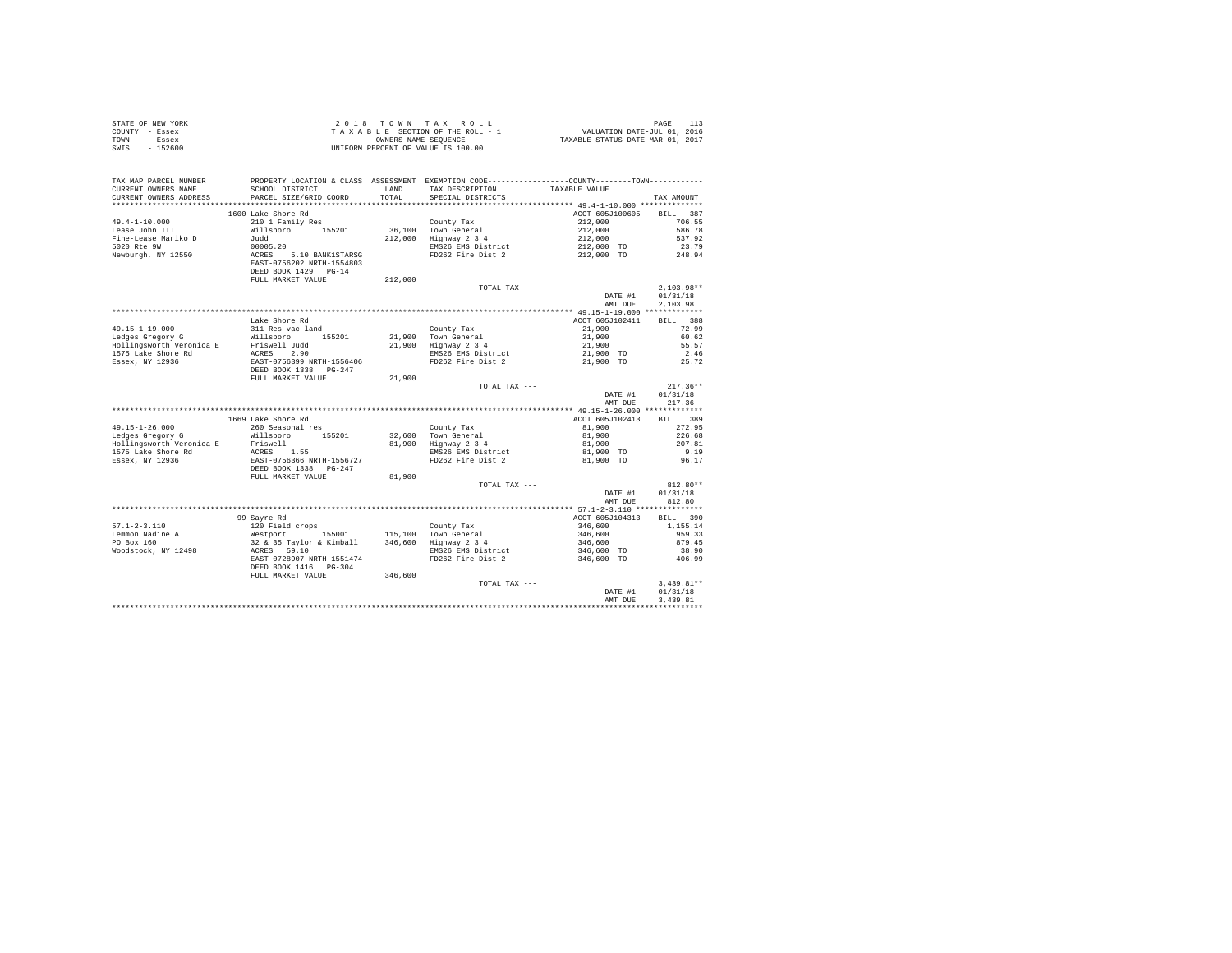| STATE OF NEW YORK | 2018 TOWN TAX ROLL                 | PAGE                             |  |
|-------------------|------------------------------------|----------------------------------|--|
| COUNTY - Essex    | TAXABLE SECTION OF THE ROLL - 1    | VALUATION DATE-JUL 01, 2016      |  |
| TOWN<br>- Essex   | OWNERS NAME SEOUENCE               | TAXABLE STATUS DATE-MAR 01, 2017 |  |
| SWIS<br>$-152600$ | UNIFORM PERCENT OF VALUE IS 100.00 |                                  |  |

| TAX MAP PARCEL NUMBER<br>CURRENT OWNERS NAME<br>CURRENT OWNERS ADDRESS | SCHOOL DISTRICT<br>PARCEL SIZE/GRID COORD                                                                                            | LAND<br>TOTAL. | PROPERTY LOCATION & CLASS ASSESSMENT EXEMPTION CODE----------------COUNTY--------TOWN----------<br>TAX DESCRIPTION<br>SPECIAL DISTRICTS | TAXABLE VALUE                                                       | TAX AMOUNT           |
|------------------------------------------------------------------------|--------------------------------------------------------------------------------------------------------------------------------------|----------------|-----------------------------------------------------------------------------------------------------------------------------------------|---------------------------------------------------------------------|----------------------|
| *************************                                              |                                                                                                                                      |                |                                                                                                                                         |                                                                     |                      |
| 49.4-1-10.000                                                          | 1600 Lake Shore Rd<br>210 1 Family Res                                                                                               |                |                                                                                                                                         | ACCT 605J100605 BILL 387                                            | 706.55               |
| Lease John III                                                         | Willsboro 155201                                                                                                                     |                | County Tax<br>36,100 Town General                                                                                                       |                                                                     | 586.78               |
| Fine-Lease Mariko D                                                    | Judd                                                                                                                                 |                | 212,000 Highway 2 3 4                                                                                                                   |                                                                     | 537.92               |
| 5020 Rte 9W                                                            |                                                                                                                                      |                | EMS26 EMS District                                                                                                                      |                                                                     | 23.79                |
| Newburgh, NY 12550                                                     | ° 00005.20<br>ACRES 5.10 BANK1STARSG<br>EAST-0756202 NRTH-1554803<br>DEED BOOK 1429 PG-14                                            |                | FD262 Fire Dist 2                                                                                                                       | $212,000$<br>$212,000$<br>$212,000$<br>$212,000$ TO<br>$212,000$ TO | 248.94               |
|                                                                        | FULL MARKET VALUE                                                                                                                    | 212,000        |                                                                                                                                         |                                                                     |                      |
|                                                                        |                                                                                                                                      |                | TOTAL TAX ---                                                                                                                           |                                                                     | $2.103.98**$         |
|                                                                        |                                                                                                                                      |                |                                                                                                                                         | DATE #1                                                             | 01/31/18             |
|                                                                        |                                                                                                                                      |                |                                                                                                                                         | AMT DUE                                                             | 2,103.98             |
|                                                                        |                                                                                                                                      |                |                                                                                                                                         |                                                                     |                      |
|                                                                        | Lake Shore Rd                                                                                                                        |                |                                                                                                                                         | ACCT 605J102411                                                     | BILL 388             |
| $49.15 - 1 - 19.000$                                                   | 311 Res vac land                                                                                                                     |                | County Tax                                                                                                                              | 21,900                                                              | 72.99                |
| Ledges Gregory G                                                       | Willsboro 155201                                                                                                                     |                | 21,900 Town General                                                                                                                     | 21,900                                                              | 60.62                |
|                                                                        |                                                                                                                                      |                | 21,900 Highway 2 3 4                                                                                                                    | 21,900                                                              | 55.57                |
|                                                                        |                                                                                                                                      |                | EMS26 EMS District                                                                                                                      | 21,900 TO                                                           | 2.46                 |
| Essex, NY 12936                                                        | EAST-0756399 NRTH-1556406<br>DEED BOOK 1338 PG-247                                                                                   |                | FD262 Fire Dist 2                                                                                                                       | 21,900 TO                                                           | 25.72                |
|                                                                        | FULL MARKET VALUE                                                                                                                    | 21,900         |                                                                                                                                         |                                                                     |                      |
|                                                                        |                                                                                                                                      |                | TOTAL TAX ---                                                                                                                           |                                                                     | $217.36**$           |
|                                                                        |                                                                                                                                      |                |                                                                                                                                         | DATE #1                                                             | 01/31/18             |
|                                                                        |                                                                                                                                      |                |                                                                                                                                         | AMT DUE                                                             | 217.36               |
|                                                                        |                                                                                                                                      |                |                                                                                                                                         |                                                                     |                      |
|                                                                        | 1669 Lake Shore Rd                                                                                                                   |                |                                                                                                                                         | ACCT 605J102413                                                     | BILL 389             |
|                                                                        |                                                                                                                                      |                | County Tax                                                                                                                              | 81,900                                                              | 272.95               |
|                                                                        |                                                                                                                                      |                | 32,600 Town General                                                                                                                     | 81,900                                                              | 226.68               |
|                                                                        |                                                                                                                                      |                | 81,900 Highway 2 3 4                                                                                                                    | 81,900                                                              | 207.81               |
|                                                                        |                                                                                                                                      |                | EMS26 EMS District                                                                                                                      | 81,900 TO                                                           | 9.19                 |
|                                                                        |                                                                                                                                      |                | FD262 Fire Dist 2                                                                                                                       | 81,900 TO                                                           | 96.17                |
|                                                                        | FULL MARKET VALUE                                                                                                                    | 81,900         |                                                                                                                                         |                                                                     |                      |
|                                                                        |                                                                                                                                      |                | TOTAL TAX ---                                                                                                                           |                                                                     | 812.80**             |
|                                                                        |                                                                                                                                      |                |                                                                                                                                         | DATE #1<br>AMT DUE                                                  | 01/31/18<br>812.80   |
|                                                                        |                                                                                                                                      |                |                                                                                                                                         |                                                                     |                      |
|                                                                        |                                                                                                                                      |                |                                                                                                                                         | ACCT 605J104313                                                     | BILL 390             |
| $57.1 - 2 - 3.110$                                                     |                                                                                                                                      |                |                                                                                                                                         | 346,600                                                             | 1,155.14             |
| Lemmon Nadine A                                                        |                                                                                                                                      |                |                                                                                                                                         | 346,600                                                             | 959.33               |
| PO Box 160                                                             |                                                                                                                                      |                |                                                                                                                                         |                                                                     | 879.45               |
| Woodstock, NY 12498                                                    | -----<br>120 Field crops 155001 115,100 Town General<br>32 & 35 Taylor & Kimball 346,600 Highway 2 34<br>ACRES 159.10<br>ACRES 19.10 |                | EMS26 EMS District                                                                                                                      | 346,600<br>346,600 TO                                               | 38.90                |
|                                                                        | EAST-0728907 NRTH-1551474                                                                                                            |                | FD262 Fire Dist 2                                                                                                                       | 346,600 TO                                                          | 406.99               |
|                                                                        | DEED BOOK 1416 PG-304                                                                                                                |                |                                                                                                                                         |                                                                     |                      |
|                                                                        | FULL MARKET VALUE                                                                                                                    | 346,600        |                                                                                                                                         |                                                                     |                      |
|                                                                        |                                                                                                                                      |                | TOTAL TAX ---                                                                                                                           |                                                                     | $3,439.81**$         |
|                                                                        |                                                                                                                                      |                |                                                                                                                                         | DATE #1<br>AMT DUE                                                  | 01/31/18<br>3,439.81 |
|                                                                        |                                                                                                                                      |                |                                                                                                                                         |                                                                     |                      |
|                                                                        |                                                                                                                                      |                |                                                                                                                                         |                                                                     |                      |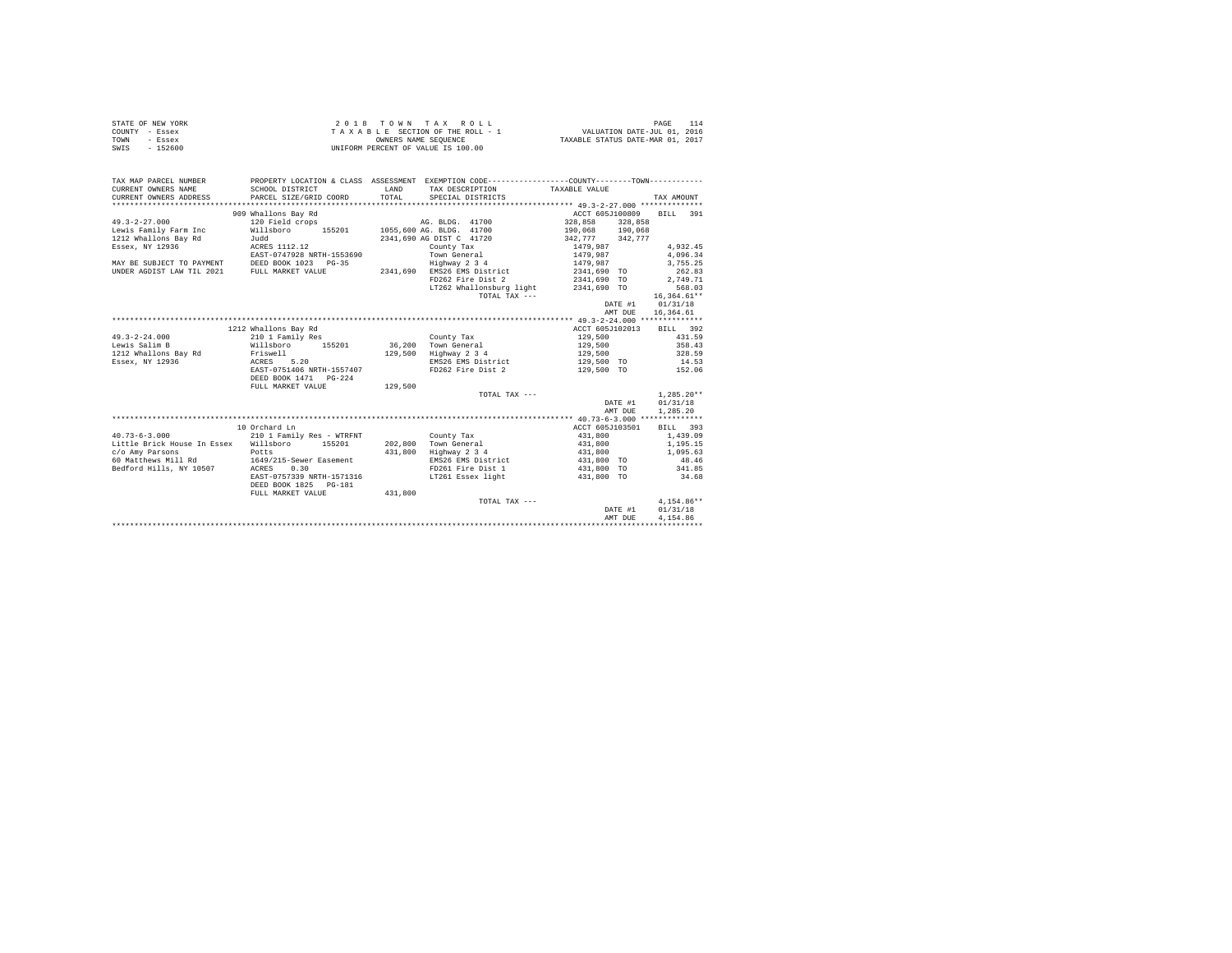| STATE OF NEW YORK<br>COUNTY - Essex | 2 0 1 8                   |         | TOWN TAX ROLL<br>TAXABLE SECTION OF THE ROLL - 1                                             | VALUATION DATE-JUL 01, 2016<br>TAXABLE STATUS DATE-MAR 01, 2017 | PAGE<br>114        |
|-------------------------------------|---------------------------|---------|----------------------------------------------------------------------------------------------|-----------------------------------------------------------------|--------------------|
| TOWN<br>- Essex                     |                           |         | OWNERS NAME SEQUENCE                                                                         |                                                                 |                    |
| $-152600$<br>SWIS                   |                           |         | UNIFORM PERCENT OF VALUE IS 100.00                                                           |                                                                 |                    |
|                                     |                           |         |                                                                                              |                                                                 |                    |
| TAX MAP PARCEL NUMBER               |                           |         | PROPERTY LOCATION & CLASS ASSESSMENT EXEMPTION CODE---------------COUNTY-------TOWN--------- |                                                                 |                    |
| CURRENT OWNERS NAME                 | SCHOOL DISTRICT           | LAND    | TAX DESCRIPTION                                                                              | TAXABLE VALUE                                                   |                    |
| CURRENT OWNERS ADDRESS              | PARCEL SIZE/GRID COORD    | TOTAL   | SPECIAL DISTRICTS                                                                            |                                                                 | TAX AMOUNT         |
|                                     |                           |         |                                                                                              |                                                                 |                    |
|                                     | 909 Whallons Bay Rd       |         |                                                                                              | ACCT 605J100809                                                 | <b>BILL</b><br>391 |
| $49.3 - 2 - 27.000$                 | 120 Field crops           |         | AG. BLDG. 41700                                                                              | 328,858<br>328,858                                              |                    |
| Lewis Family Farm Inc               | Willsboro<br>155201       |         | 1055,600 AG, BLDG, 41700                                                                     | 190,068<br>190,068<br>342,777                                   |                    |
| 1212 Whallons Bay Rd                | Judd                      |         | 2341,690 AG DIST C 41720                                                                     | 342.777                                                         |                    |
| Essex, NY 12936                     | ACRES 1112.12             |         | County Tax                                                                                   | 1479,987                                                        | 4,932.45           |
|                                     | EAST-0747928 NRTH-1553690 |         | Town General                                                                                 | 1479,987                                                        | 4,096.34           |
| MAY BE SUBJECT TO PAYMENT           | DEED BOOK 1023 PG-35      |         | Highway 2 3 4                                                                                | 1479,987                                                        | 3,755.25           |
| UNDER AGDIST LAW TIL 2021           | FULL MARKET VALUE         |         | 2341,690 EMS26 EMS District                                                                  | 2341,690 TO                                                     | 262.83             |
|                                     |                           |         | FD262 Fire Dist 2                                                                            | 2341,690 TO                                                     | 2,749.71           |
|                                     |                           |         | LT262 Whallonsburg light                                                                     | 2341,690 TO                                                     | 568.03             |
|                                     |                           |         | TOTAL TAX ---                                                                                |                                                                 | $16.364.61**$      |
|                                     |                           |         |                                                                                              | DATE #1                                                         | 01/31/18           |
|                                     |                           |         |                                                                                              | AMT DUE                                                         | 16,364.61          |
|                                     |                           |         |                                                                                              |                                                                 |                    |
|                                     | 1212 Whallons Bay Rd      |         |                                                                                              | ACCT 605J102013                                                 | BILL 392           |
| $49.3 - 2 - 24.000$                 | 210 1 Family Res          |         | County Tax                                                                                   | 129,500                                                         | 431.59             |
| Lewis Salim B                       | Willsboro<br>155201       | 36,200  | Town General                                                                                 | 129,500                                                         | 358.43             |
| 1212 Whallons Bay Rd                | Friswell                  | 129,500 | Highway 2 3 4                                                                                | 129,500                                                         | 328.59             |
| Essex, NY 12936                     | 5.20<br>ACRES             |         | EMS26 EMS District                                                                           | 129,500 TO                                                      | 14.53              |
|                                     | EAST-0751406 NRTH-1557407 |         | FD262 Fire Dist 2                                                                            | 129,500 TO                                                      | 152.06             |
|                                     | DEED BOOK 1471 PG-224     |         |                                                                                              |                                                                 |                    |
|                                     | FULL MARKET VALUE         | 129,500 |                                                                                              |                                                                 |                    |
|                                     |                           |         | TOTAL TAX ---                                                                                |                                                                 | $1,285.20**$       |
|                                     |                           |         |                                                                                              | DATE #1                                                         | 01/31/18           |
|                                     |                           |         |                                                                                              | AMT DUE                                                         | 1,285.20           |
|                                     |                           |         |                                                                                              |                                                                 |                    |
|                                     | 10 Orchard Ln             |         |                                                                                              | ACCT 605J103501                                                 | BILL 393           |
| $40.73 - 6 - 3.000$                 | 210 1 Family Res - WTRFNT |         | County Tax                                                                                   | 431,800                                                         | 1,439.09           |
| Little Brick House In Essex         | Willsboro<br>155201       | 202,800 | Town General                                                                                 | 431,800                                                         | 1,195.15           |
| c/o Amy Parsons                     | Potts                     | 431,800 | Highway 2 3 4                                                                                | 431,800                                                         | 1,095.63           |
| 60 Matthews Mill Rd                 | 1649/215-Sewer Easement   |         | EMS26 EMS District                                                                           | 431,800 TO                                                      | 48.46              |
| Bedford Hills, NY 10507             | 0.30<br>ACRES             |         | FD261 Fire Dist 1                                                                            | 431,800 TO                                                      | 341.85             |
|                                     | EAST-0757339 NRTH-1571316 |         | LT261 Essex light                                                                            | 431,800 TO                                                      | 34.68              |
|                                     | DEED BOOK 1825 PG-181     |         |                                                                                              |                                                                 |                    |
|                                     | FULL MARKET VALUE         | 431,800 |                                                                                              |                                                                 |                    |
|                                     |                           |         | TOTAL TAX ---                                                                                |                                                                 | $4,154.86**$       |
|                                     |                           |         |                                                                                              | DATE #1                                                         | 01/31/18           |
|                                     |                           |         |                                                                                              | AMT DUE                                                         | 4.154.86           |
|                                     |                           |         |                                                                                              |                                                                 |                    |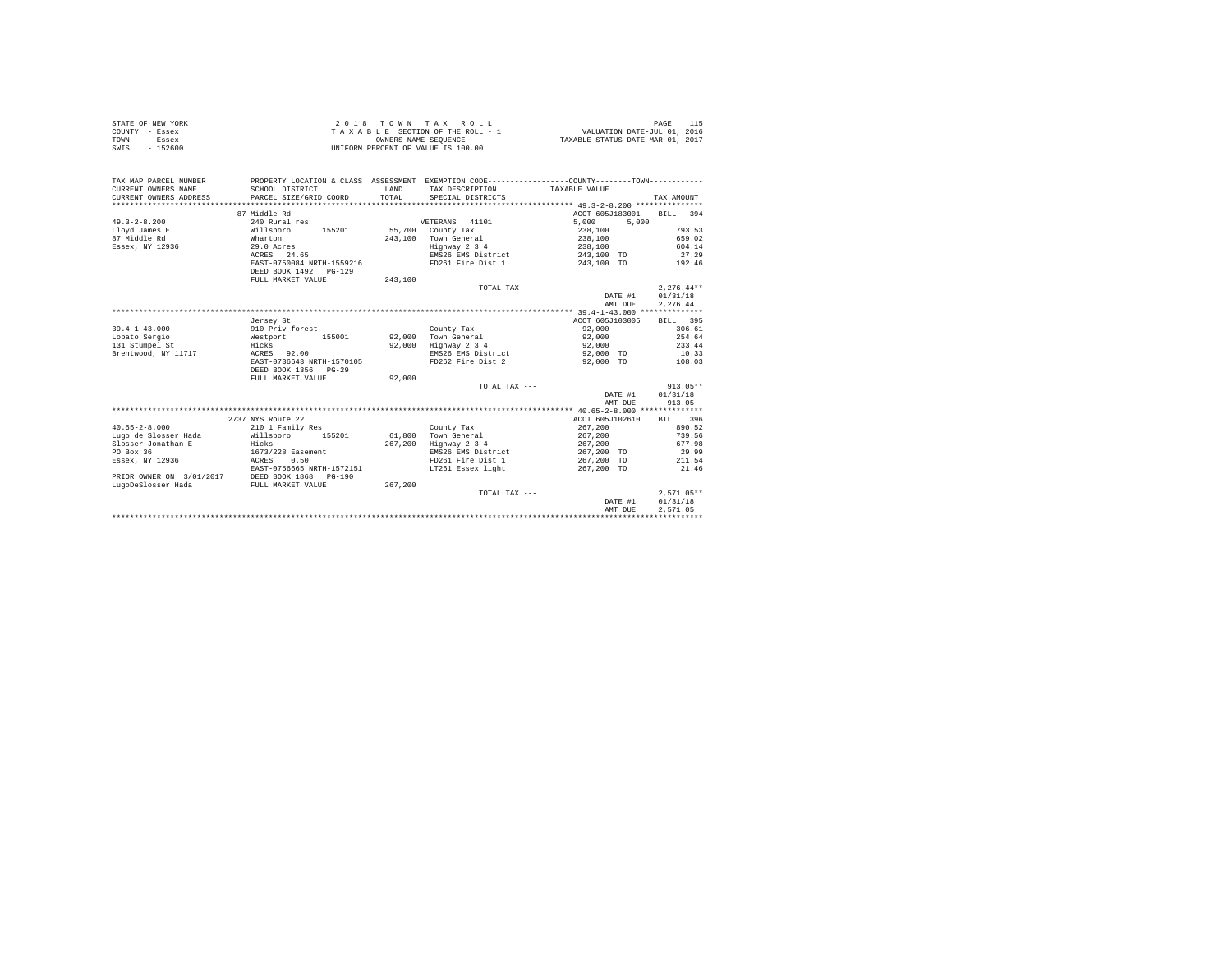| STATE OF NEW YORK | 2018 TOWN TAX ROLL                 | 115<br>PAGE                      |
|-------------------|------------------------------------|----------------------------------|
| COUNTY - Essex    | TAXABLE SECTION OF THE ROLL - 1    | VALUATION DATE-JUL 01, 2016      |
| TOWN<br>- Essex   | OWNERS NAME SEOUENCE               | TAXABLE STATUS DATE-MAR 01, 2017 |
| $-152600$<br>SWIS | UNIFORM PERCENT OF VALUE IS 100.00 |                                  |

| TAX MAP PARCEL NUMBER<br>CURRENT OWNERS NAME<br>CURRENT OWNERS ADDRESS | SCHOOL DISTRICT<br>PARCEL SIZE/GRID COORD          | LAND<br>TOTAL | PROPERTY LOCATION & CLASS ASSESSMENT EXEMPTION CODE---------------COUNTY-------TOWN---------<br>TAX DESCRIPTION<br>SPECIAL DISTRICTS | TAXABLE VALUE      | TAX AMOUNT           |
|------------------------------------------------------------------------|----------------------------------------------------|---------------|--------------------------------------------------------------------------------------------------------------------------------------|--------------------|----------------------|
|                                                                        |                                                    |               |                                                                                                                                      |                    |                      |
|                                                                        | 87 Middle Rd                                       |               |                                                                                                                                      | ACCT 605J183001    | BILL 394             |
| $49.3 - 2 - 8.200$                                                     | 240 Rural res                                      |               | VETERANS 41101                                                                                                                       | 5,000<br>5,000     |                      |
| Llovd James E                                                          | Willsboro<br>155201                                |               | 55,700 County Tax                                                                                                                    | 238,100            | 793.53               |
| 87 Middle Rd                                                           | Wharton                                            | 243,100       | Town General                                                                                                                         | 238,100            | 659.02               |
| Essex, NY 12936                                                        | 29.0 Acres                                         |               | Highway 2 3 4                                                                                                                        | 238,100            | 604.14               |
|                                                                        | ACRES 24.65                                        |               | EMS26 EMS District                                                                                                                   | 243,100 TO         | 27.29                |
|                                                                        | EAST-0750084 NRTH-1559216<br>DEED BOOK 1492 PG-129 |               | FD261 Fire Dist 1                                                                                                                    | 243,100 TO         | 192.46               |
|                                                                        | FULL MARKET VALUE                                  | 243,100       |                                                                                                                                      |                    |                      |
|                                                                        |                                                    |               | TOTAL TAX ---                                                                                                                        |                    | $2.276.44**$         |
|                                                                        |                                                    |               |                                                                                                                                      | DATE #1<br>AMT DUE | 01/31/18<br>2,276.44 |
|                                                                        |                                                    |               |                                                                                                                                      |                    |                      |
|                                                                        | Jersey St                                          |               |                                                                                                                                      | ACCT 605J103005    | BILL 395             |
| $39.4 - 1 - 43.000$                                                    | 910 Priv forest                                    |               | County Tax                                                                                                                           | 92,000             | 306.61               |
| Lobato Sergio                                                          | 155001<br>Westport                                 |               | 92,000 Town General                                                                                                                  | 92,000             | 254.64               |
| 131 Stumpel St                                                         | Hicks                                              | 92,000        | Highway 2 3 4                                                                                                                        | 92,000             | 233.44               |
| Brentwood, NY 11717                                                    | ACRES 92.00                                        |               | EMS26 EMS District                                                                                                                   | 92,000 TO          | 10.33                |
|                                                                        | EAST-0736643 NRTH-1570105                          |               | FD262 Fire Dist 2                                                                                                                    | 92,000 TO          | 108.03               |
|                                                                        | DEED BOOK 1356 PG-29                               |               |                                                                                                                                      |                    |                      |
|                                                                        | FULL MARKET VALUE                                  | 92,000        |                                                                                                                                      |                    |                      |
|                                                                        |                                                    |               | TOTAL TAX ---                                                                                                                        |                    | $913.05**$           |
|                                                                        |                                                    |               |                                                                                                                                      | DATE #1            | 01/31/18             |
|                                                                        |                                                    |               |                                                                                                                                      | AMT DUE            | 913.05               |
|                                                                        |                                                    |               |                                                                                                                                      |                    |                      |
|                                                                        | 2737 NYS Route 22                                  |               |                                                                                                                                      | ACCT 605J102610    | BILL 396             |
| $40.65 - 2 - 8.000$                                                    | 210 1 Family Res                                   |               | County Tax                                                                                                                           | 267,200            | 890.52               |
| Lugo de Slosser Hada                                                   | Willsboro<br>155201                                | 61,800        | Town General                                                                                                                         | 267,200            | 739.56               |
| Slosser Jonathan E                                                     | Hicks                                              | 267.200       | Highway 2 3 4                                                                                                                        | 267.200            | 677.98               |
| PO Box 36                                                              | 1673/228 Easement                                  |               | EMS26 EMS District                                                                                                                   | 267,200 TO         | 29.99                |
| Essex, NY 12936                                                        | 0.50<br>ACRES                                      |               | FD261 Fire Dist 1                                                                                                                    | 267,200 TO         | 211.54               |
|                                                                        | EAST-0756665 NRTH-1572151                          |               | LT261 Essex light                                                                                                                    | 267,200 TO         | 21.46                |
| PRIOR OWNER ON 3/01/2017                                               | DEED BOOK 1868<br>PG-190                           |               |                                                                                                                                      |                    |                      |
| LugoDeSlosser Hada                                                     | FULL MARKET VALUE                                  | 267,200       |                                                                                                                                      |                    |                      |
|                                                                        |                                                    |               | TOTAL TAX ---                                                                                                                        |                    | $2.571.05**$         |
|                                                                        |                                                    |               |                                                                                                                                      | DATE #1            | 01/31/18             |
|                                                                        |                                                    |               |                                                                                                                                      | AMT DUE            | 2.571.05             |
|                                                                        |                                                    |               |                                                                                                                                      |                    |                      |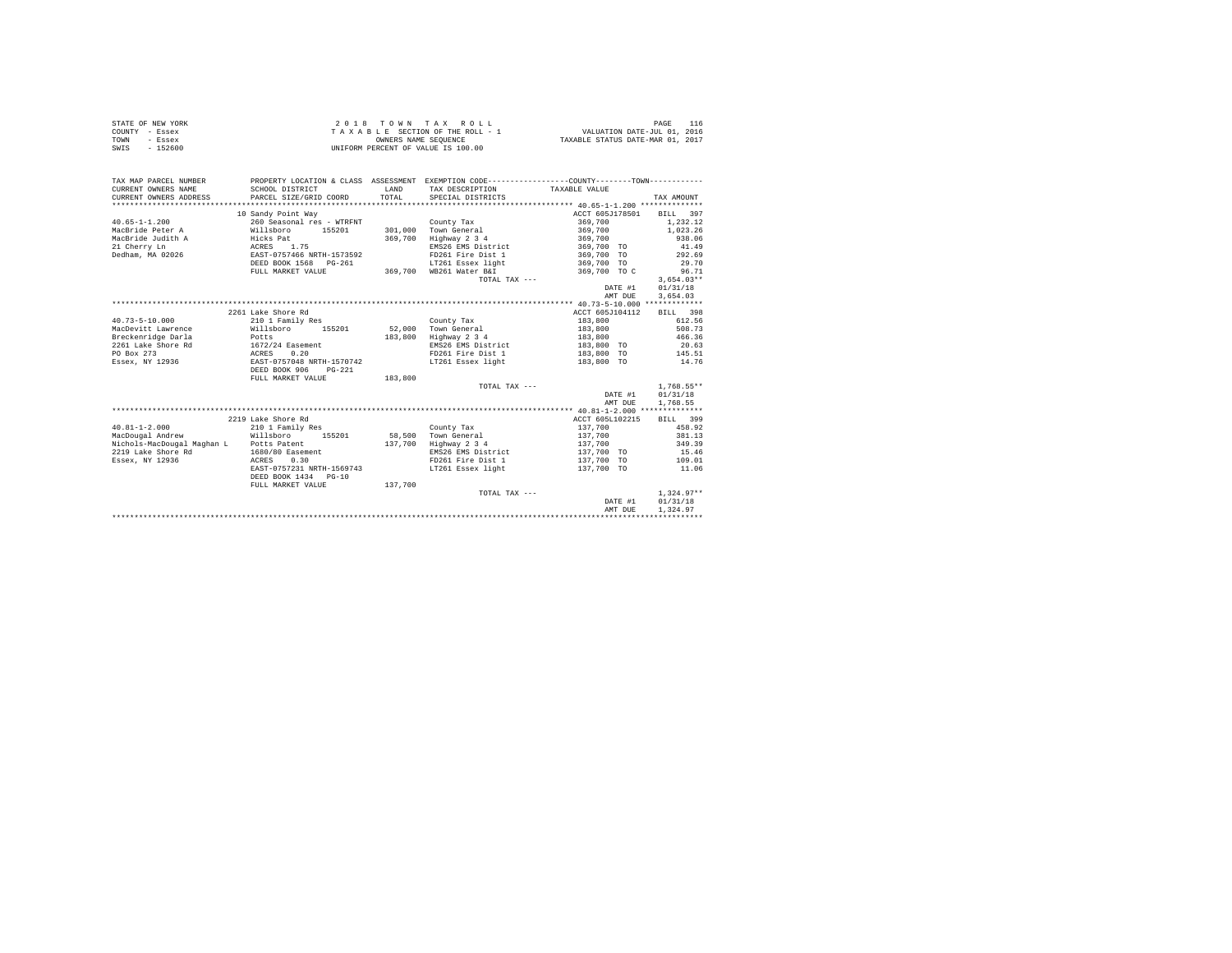| STATE OF NEW YORK | 2018 TOWN TAX ROLL                 | 116<br>PAGE                      |
|-------------------|------------------------------------|----------------------------------|
| COUNTY - Essex    | TAXABLE SECTION OF THE ROLL - 1    | VALUATION DATE-JUL 01, 2016      |
| TOWN<br>- Essex   | OWNERS NAME SEOUENCE               | TAXABLE STATUS DATE-MAR 01, 2017 |
| SWIS<br>$-152600$ | UNIFORM PERCENT OF VALUE IS 100.00 |                                  |

|                                                                                  | BILL 397<br>1,232.12 |
|----------------------------------------------------------------------------------|----------------------|
|                                                                                  |                      |
| ACCT 605J178501<br>10 Sandy Point Way                                            |                      |
| $40.65 - 1 - 1.200$<br>260 Seasonal res - WTRFNT<br>County Tax<br>369,700        |                      |
| MacBride Peter A<br>Willsboro<br>155201<br>301,000 Town General<br>369,700       | 1,023.26             |
| MacBride Judith A<br>Hicks Pat<br>369,700<br>Highway 2 3 4<br>369,700            | 938.06               |
| 21 Cherry Ln<br>EMS26 EMS District<br>ACRES<br>1.75<br>369,700 TO                | 41.49                |
| Dedham, MA 02026<br>EAST-0757466 NRTH-1573592<br>FD261 Fire Dist 1<br>369,700 TO | 292.69               |
| DEED BOOK 1568 PG-261<br>LT261 Essex light<br>369,700 TO                         | 29.70                |
| 369.700 WB261 Water B&I<br>369,700 TO C<br>FULL MARKET VALUE                     | 96.71                |
| $3.654.03**$<br>TOTAL TAX ---                                                    |                      |
| DATE #1<br>01/31/18                                                              |                      |
| AMT DUE<br>3.654.03                                                              |                      |
|                                                                                  |                      |
| 2261 Lake Shore Rd<br>ACCT 605J104112<br>BILL 398                                |                      |
| $40.73 - 5 - 10.000$<br>183,800<br>210 1 Family Res<br>County Tax                | 612.56               |
| MacDevitt Lawrence<br>52,000<br>Town General<br>Willsboro<br>155201<br>183,800   | 508.73               |
| Breckenridge Darla<br>Potts<br>183,800<br>Highway 2 3 4<br>183,800               | 466.36               |
| $1672/24$ Easement<br>2261 Lake Shore Rd<br>EMS26 EMS District<br>183,800 TO     | 20.63                |
| PO Box 273<br>0.20<br>FD261 Fire Dist 1<br>183,800 TO<br>145.51<br>ACRES         |                      |
| Essex, NY 12936<br>EAST-0757048 NRTH-1570742<br>LT261 Essex light<br>183,800 TO  | 14.76                |
| DEED BOOK 906<br>$PG-221$                                                        |                      |
| 183,800<br>FULL MARKET VALUE                                                     |                      |
| $1.768.55**$<br>TOTAL TAX ---                                                    |                      |
| DATE #1<br>01/31/18                                                              |                      |
| 1,768.55<br>AMT DUE                                                              |                      |
|                                                                                  |                      |
| 2219 Lake Shore Rd<br>ACCT 605L102215<br>BILL 399                                |                      |
| 137,700<br>$40.81 - 1 - 2.000$<br>210 1 Family Res<br>County Tax                 | 458.92               |
| MacDougal Andrew<br>Willsboro<br>155201<br>58,500<br>Town General<br>137,700     | 381.13               |
| Nichols-MacDougal Maghan L Potts Patent<br>137,700<br>Highway 2 3 4<br>137,700   | 349.39               |
| 2219 Lake Shore Rd<br>137,700 TO<br>1680/80 Easement<br>EMS26 EMS District       | 15.46                |
| FD261 Fire Dist 1<br>Essex, NY 12936<br>ACRES<br>0.30<br>137,700 TO              | 109.01               |
| EAST-0757231 NRTH-1569743<br>LT261 Essex light<br>137,700 TO                     | 11.06                |
| DEED BOOK 1434 PG-10                                                             |                      |
| 137,700<br>FULL MARKET VALUE                                                     |                      |
| $1.324.97**$<br>TOTAL TAX ---                                                    |                      |
| 01/31/18<br>DATE #1                                                              |                      |
| 1,324.97<br>AMT DUE                                                              |                      |
|                                                                                  |                      |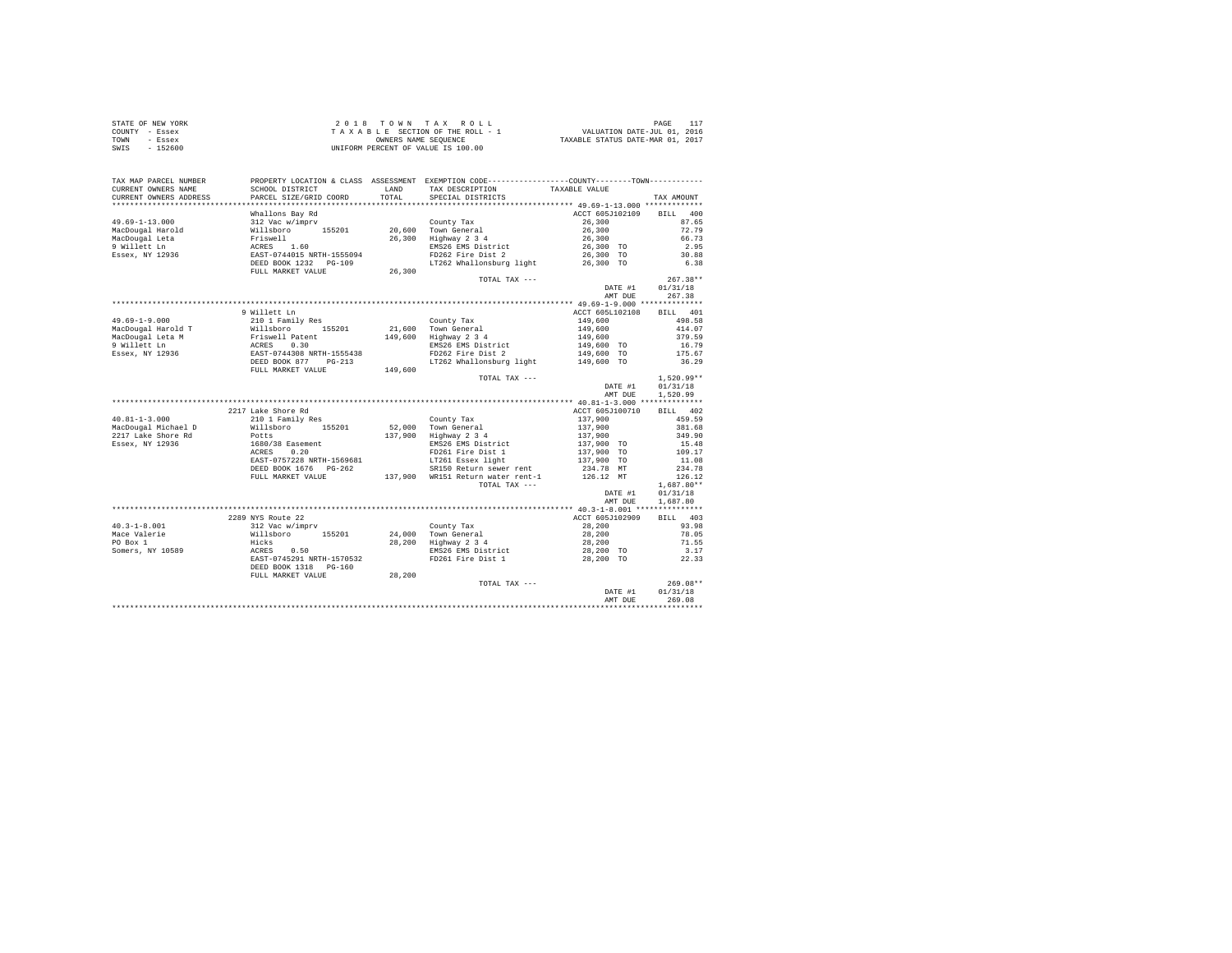| STATE OF NEW YORK | 2018 TOWN TAX ROLL                 | PAGE                             |
|-------------------|------------------------------------|----------------------------------|
| COUNTY - Essex    | TAXABLE SECTION OF THE ROLL - 1    | VALUATION DATE-JUL 01, 2016      |
| TOWN<br>- Essex   | OWNERS NAME SEOUENCE               | TAXABLE STATUS DATE-MAR 01, 2017 |
| $-152600$<br>SWIS | UNIFORM PERCENT OF VALUE IS 100.00 |                                  |

| TAX MAP PARCEL NUMBER<br>CURRENT OWNERS NAME<br>CURRENT OWNERS ADDRESS | SCHOOL DISTRICT<br>PARCEL SIZE/GRID COORD                                                                                                                                                                                               | LAND<br>TOTAL | PROPERTY LOCATION & CLASS ASSESSMENT EXEMPTION CODE---------------COUNTY-------TOWN---------<br>TAX DESCRIPTION<br>SPECIAL DISTRICTS | TAXABLE VALUE                                                                       | TAX AMOUNT                                              |
|------------------------------------------------------------------------|-----------------------------------------------------------------------------------------------------------------------------------------------------------------------------------------------------------------------------------------|---------------|--------------------------------------------------------------------------------------------------------------------------------------|-------------------------------------------------------------------------------------|---------------------------------------------------------|
|                                                                        |                                                                                                                                                                                                                                         |               |                                                                                                                                      |                                                                                     |                                                         |
|                                                                        | Whallons Bay Rd                                                                                                                                                                                                                         |               |                                                                                                                                      | ACCT 605J102109 BILL 400                                                            |                                                         |
| $49.69 - 1 - 13.000$                                                   | Amazonus Day Rull (2001)<br>20.600 Town General<br>Friswell 155201 20.600 Town General<br>Friswell 26.300 Highway 234<br>REES 1.600 EMS26 EMS District<br>EAST-D744015 NRTH-1555094 PD262 Fire Dist 2<br>DEED BOOK 1232 PG-109  LT762 W |               |                                                                                                                                      |                                                                                     | 87.65                                                   |
|                                                                        |                                                                                                                                                                                                                                         |               |                                                                                                                                      | $26,300$<br>$26,300$<br>$26,300$<br>$26,300$<br>$26,300$ TO<br>$26,300$ TO          | 72.79                                                   |
| MacDougal Harold                                                       |                                                                                                                                                                                                                                         |               |                                                                                                                                      |                                                                                     |                                                         |
| MacDougal Leta                                                         |                                                                                                                                                                                                                                         |               |                                                                                                                                      |                                                                                     | 66.73                                                   |
| 9 Willett Ln                                                           |                                                                                                                                                                                                                                         |               | EMS26 EMS District                                                                                                                   |                                                                                     | $\begin{array}{r} 2.95 \\ 30.88 \end{array}$            |
| Essex, NY 12936                                                        |                                                                                                                                                                                                                                         |               | FD262 Fire Dist 2                                                                                                                    |                                                                                     |                                                         |
|                                                                        |                                                                                                                                                                                                                                         | 26,300        | LT262 Whallonsburg light 26,300 TO                                                                                                   |                                                                                     | 6.38                                                    |
|                                                                        | FULL MARKET VALUE                                                                                                                                                                                                                       |               |                                                                                                                                      |                                                                                     |                                                         |
|                                                                        |                                                                                                                                                                                                                                         |               | TOTAL TAX ---                                                                                                                        |                                                                                     | $267.38**$                                              |
|                                                                        |                                                                                                                                                                                                                                         |               |                                                                                                                                      | DATE #1                                                                             | 01/31/18                                                |
|                                                                        |                                                                                                                                                                                                                                         |               |                                                                                                                                      | AMT DUE                                                                             | 267.38                                                  |
|                                                                        |                                                                                                                                                                                                                                         |               |                                                                                                                                      |                                                                                     |                                                         |
|                                                                        | 9 Willett Ln                                                                                                                                                                                                                            |               |                                                                                                                                      | ACCT 605L102108 BILL 401                                                            |                                                         |
|                                                                        |                                                                                                                                                                                                                                         |               |                                                                                                                                      | $149,600$ $149,600$ $149,600$ $149,600$ $149,600$ TO<br>$149,600$ TO                | 498.58                                                  |
|                                                                        |                                                                                                                                                                                                                                         |               |                                                                                                                                      |                                                                                     | 414.07                                                  |
|                                                                        |                                                                                                                                                                                                                                         |               | 149,600 Highway 2 3 4                                                                                                                |                                                                                     | 379.59                                                  |
|                                                                        |                                                                                                                                                                                                                                         |               | EMS26 EMS District<br>FD262 Fire Dist 2                                                                                              |                                                                                     | 16.79                                                   |
|                                                                        |                                                                                                                                                                                                                                         |               |                                                                                                                                      | 149,600 TO                                                                          | 175.67                                                  |
|                                                                        |                                                                                                                                                                                                                                         |               | LT262 Whallonsburg light                                                                                                             | 149,600 TO                                                                          | 36.29                                                   |
|                                                                        |                                                                                                                                                                                                                                         |               |                                                                                                                                      |                                                                                     |                                                         |
|                                                                        |                                                                                                                                                                                                                                         |               | TOTAL TAX ---                                                                                                                        |                                                                                     | $1.520.99**$                                            |
|                                                                        |                                                                                                                                                                                                                                         |               |                                                                                                                                      | DATE #1                                                                             | 01/31/18                                                |
|                                                                        |                                                                                                                                                                                                                                         |               |                                                                                                                                      | AMT DUE                                                                             | 1,520.99                                                |
|                                                                        |                                                                                                                                                                                                                                         |               |                                                                                                                                      |                                                                                     |                                                         |
|                                                                        | 2217 Lake Shore Rd                                                                                                                                                                                                                      |               |                                                                                                                                      | ACCT 605J100710                                                                     | BILL 402                                                |
| $40.81 - 1 - 3.000$                                                    | 210 1 Family Res                                                                                                                                                                                                                        |               | County Tax                                                                                                                           |                                                                                     | 459.59                                                  |
| MacDougal Michael D                                                    |                                                                                                                                                                                                                                         |               |                                                                                                                                      |                                                                                     | 381.68                                                  |
| 2217 Lake Shore Rd                                                     |                                                                                                                                                                                                                                         |               | $52,000$ Town General<br>137,900 Highway 2 3 4                                                                                       | $137,900$<br>$137,900$<br>$137,900$<br>$137,900$ TO<br>$137,900$ TO<br>$137,900$ TO | 349.90                                                  |
| Essex, NY 12936                                                        |                                                                                                                                                                                                                                         |               | EMS26 EMS District<br>FD261 Fire Dist 1                                                                                              |                                                                                     | $\begin{array}{r} 15.48 \\ 109.17 \\ 11.08 \end{array}$ |
|                                                                        |                                                                                                                                                                                                                                         |               |                                                                                                                                      |                                                                                     |                                                         |
|                                                                        | EAST-0757228 NRTH-1569681                                                                                                                                                                                                               |               | LT261 Essex light                                                                                                                    |                                                                                     |                                                         |
|                                                                        |                                                                                                                                                                                                                                         |               | DEED BOOK 1676 PG-262<br>PEED BOOK 1676 PG-262<br>FULL MARKET VALUE 137,900 WR151 Return water rent-1                                | 234.78 MT                                                                           | 234.78                                                  |
|                                                                        |                                                                                                                                                                                                                                         |               |                                                                                                                                      | 126.12 MT                                                                           | 126.12                                                  |
|                                                                        |                                                                                                                                                                                                                                         |               | TOTAL TAX ---                                                                                                                        |                                                                                     | $1.687.80**$                                            |
|                                                                        |                                                                                                                                                                                                                                         |               |                                                                                                                                      | DATE #1                                                                             | 01/31/18                                                |
|                                                                        |                                                                                                                                                                                                                                         |               |                                                                                                                                      | AMT DUE                                                                             | 1,687.80                                                |
|                                                                        |                                                                                                                                                                                                                                         |               |                                                                                                                                      |                                                                                     |                                                         |
|                                                                        | 2289 NYS Route 22                                                                                                                                                                                                                       |               |                                                                                                                                      | ACCT 605J102909                                                                     | BILL 403                                                |
|                                                                        |                                                                                                                                                                                                                                         |               |                                                                                                                                      |                                                                                     | 93.98                                                   |
|                                                                        |                                                                                                                                                                                                                                         |               |                                                                                                                                      |                                                                                     | 78.05                                                   |
|                                                                        |                                                                                                                                                                                                                                         |               |                                                                                                                                      |                                                                                     | 71.55                                                   |
|                                                                        |                                                                                                                                                                                                                                         |               |                                                                                                                                      |                                                                                     | 3.17                                                    |
|                                                                        |                                                                                                                                                                                                                                         |               |                                                                                                                                      | 28,200 TO                                                                           | 22.33                                                   |
|                                                                        | DEED BOOK 1318 PG-160                                                                                                                                                                                                                   |               | EMS26 EWS Distance.<br>FD261 Fire Dist 1                                                                                             |                                                                                     |                                                         |
|                                                                        | FULL MARKET VALUE                                                                                                                                                                                                                       | 28,200        |                                                                                                                                      |                                                                                     |                                                         |
|                                                                        |                                                                                                                                                                                                                                         |               | TOTAL TAX ---                                                                                                                        |                                                                                     | $269.08**$                                              |
|                                                                        |                                                                                                                                                                                                                                         |               |                                                                                                                                      | DATE #1                                                                             | 01/31/18                                                |
|                                                                        |                                                                                                                                                                                                                                         |               |                                                                                                                                      | AMT DUE                                                                             | 269.08                                                  |
|                                                                        |                                                                                                                                                                                                                                         |               |                                                                                                                                      | *******************************                                                     |                                                         |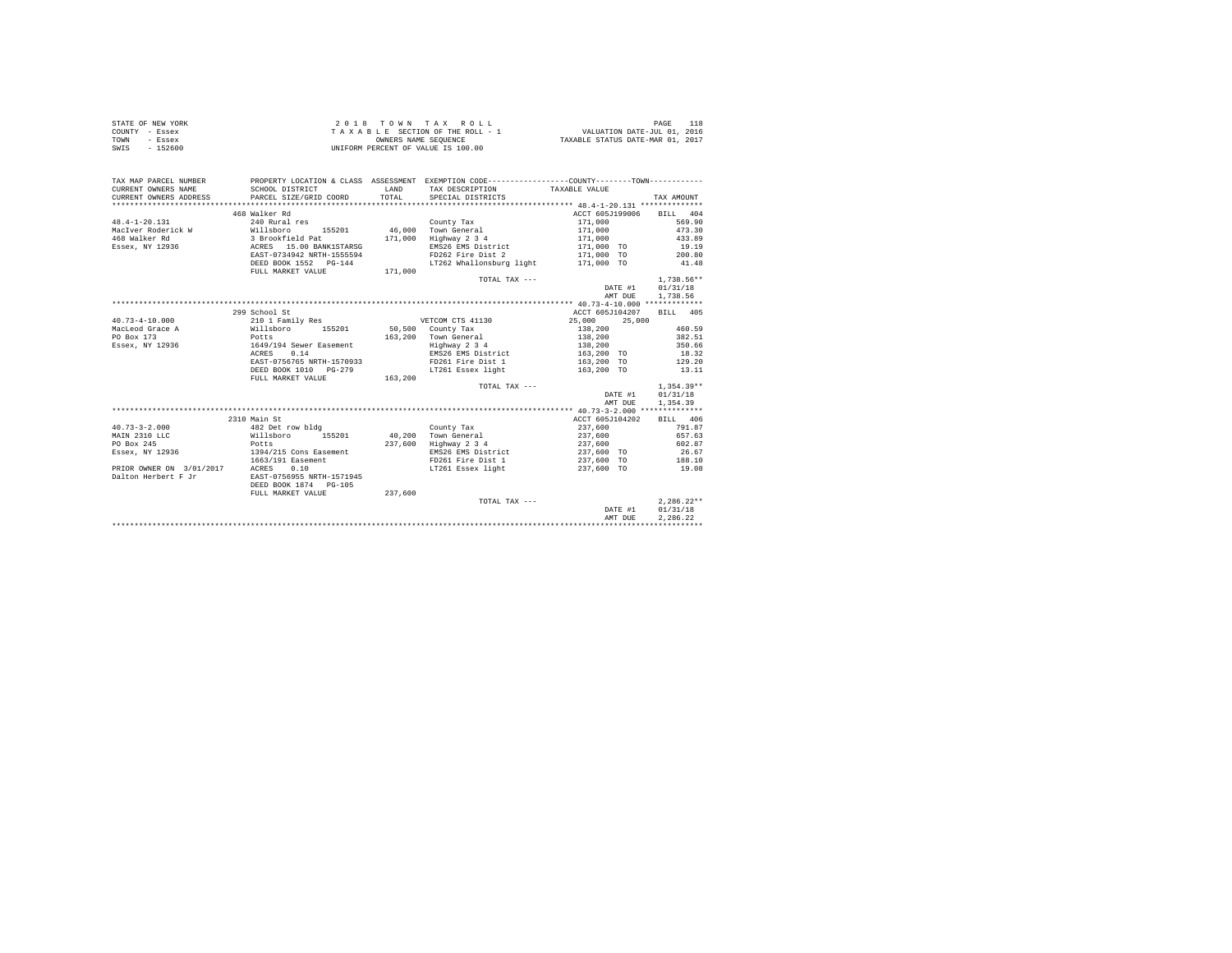|                | STATE OF NEW YORK | 2018 TOWN TAX ROLL                 | PAGE                             |
|----------------|-------------------|------------------------------------|----------------------------------|
| COUNTY - Essex |                   | TAXABLE SECTION OF THE ROLL - 1    | VALUATION DATE-JUL 01, 2016      |
| TOWN           | - Essex           | OWNERS NAME SEOUENCE               | TAXABLE STATUS DATE-MAR 01, 2017 |
| SWIS           | - 152600          | UNIFORM PERCENT OF VALUE IS 100.00 |                                  |

| TAX MAP PARCEL NUMBER<br>CURRENT OWNERS NAME<br>CURRENT OWNERS ADDRESS PARCEL SIZE/GRID COORD | PROPERTY LOCATION & CLASS ASSESSMENT EXEMPTION CODE----------------COUNTY-------TOWN----------<br>SCHOOL DISTRICT | <b>T.AND</b><br>TOTAL | TAX DESCRIPTION<br>SPECIAL DISTRICTS    | TAXABLE VALUE            | TAX AMOUNT   |
|-----------------------------------------------------------------------------------------------|-------------------------------------------------------------------------------------------------------------------|-----------------------|-----------------------------------------|--------------------------|--------------|
|                                                                                               |                                                                                                                   |                       |                                         |                          |              |
|                                                                                               | 468 Walker Rd                                                                                                     |                       |                                         | ACCT 605J199006 BILL 404 |              |
| $48.4 - 1 - 20.131$                                                                           | 240 Rural res                                                                                                     |                       | County Tax                              | 171,000                  | 569.90       |
| MacIver Roderick W Willsboro                                                                  |                                                                                                                   |                       | 155201 46.000 Town General              | 171,000                  | 473.30       |
| 468 Walker Rd                                                                                 | 3 Brookfield Pat                                                                                                  | 171,000               | Highway 2 3 4                           | 171,000                  | 433.89       |
| Essex, NY 12936<br>ACRES 15.00 BANK1STARSG                                                    |                                                                                                                   |                       |                                         | 171,000 TO<br>171,000 TO | 19.19        |
|                                                                                               | EAST-0734942 NRTH-1555594                                                                                         |                       | EMS26 EMS District<br>FD262 Fire Dist 2 |                          | 200.80       |
|                                                                                               | DEED BOOK 1552 PG-144                                                                                             |                       | LT262 Whallonsburg light 171,000 TO     |                          | 41.48        |
|                                                                                               | FULL MARKET VALUE                                                                                                 | 171,000               |                                         |                          |              |
|                                                                                               |                                                                                                                   |                       | TOTAL TAX ---                           |                          | $1.738.56**$ |
|                                                                                               |                                                                                                                   |                       |                                         | DATE #1 01/31/18         |              |
|                                                                                               |                                                                                                                   |                       |                                         | AMT DUE                  | 1,738.56     |
|                                                                                               |                                                                                                                   |                       |                                         |                          |              |
|                                                                                               | 299 School St                                                                                                     |                       |                                         | ACCT 605J104207          | BILL 405     |
| $40.73 - 4 - 10.000$                                                                          | 210 1 Family Res 60 8 210 210 1130                                                                                |                       |                                         | 25,000 25,000            |              |
| MacLeod Grace A                                                                               | Willsboro 155201 50,500 County Tax                                                                                |                       |                                         | 138,200                  | 460.59       |
| PO Box 173                                                                                    | Potts<br>1649/194 Sewer Easement                                                                                  |                       | 163,200 Town General                    | 138,200<br>138,200       | 382.51       |
| Essex, NY 12936                                                                               |                                                                                                                   |                       | Highway 2 3 4<br>EMS26 EMS District     |                          | 350.66       |
|                                                                                               | ACRES 0.14                                                                                                        |                       |                                         | 163,200 TO               | 18.32        |
|                                                                                               | EAST-0756765 NRTH-1570933<br>DEED BOOK 1010 PG-279                                                                |                       | FD261 Fire Dist 1 163,200 TO 129.20     |                          |              |
|                                                                                               | FULL MARKET VALUE                                                                                                 | 163,200               | LT261 Essex light 163,200 TO            |                          | 13.11        |
|                                                                                               |                                                                                                                   |                       | TOTAL TAX ---                           |                          | $1.354.39**$ |
|                                                                                               |                                                                                                                   |                       |                                         | DATE #1                  | 01/31/18     |
|                                                                                               |                                                                                                                   |                       |                                         | AMT DUE                  | 1,354.39     |
|                                                                                               |                                                                                                                   |                       |                                         |                          |              |
|                                                                                               | 2310 Main St                                                                                                      |                       |                                         | ACCT 605J104202          | BILL 406     |
| $40.73 - 3 - 2.000$                                                                           | 482 Det row bldg                                                                                                  |                       | County Tax                              | 237,600                  | 791.87       |
| MAIN 2310 LLC                                                                                 |                                                                                                                   |                       | 40.200 Town General                     |                          | 657.63       |
| PO Box 245                                                                                    | Willsboro 155201<br>Potts                                                                                         | 237,600               | $Highway$ 2 3 4                         | 237,600<br>237,600       | 602.87       |
| Essex, NY 12936                                                                               | 1394/215 Cons Easement                                                                                            |                       | EMS26 EMS District 237,600 TO 26.67     |                          |              |
|                                                                                               | 1663/191 Easement                                                                                                 |                       | FD261 Fire Dist 1 237,600 TO            |                          | 188.10       |
| PRIOR OWNER ON 3/01/2017 ACRES 0.10                                                           |                                                                                                                   |                       | LT261 Essex light                       | 237,600 TO               | 19.08        |
| Dalton Herbert F Jr                                                                           | EAST-0756955 NRTH-1571945                                                                                         |                       |                                         |                          |              |
|                                                                                               | DEED BOOK 1874 PG-105                                                                                             |                       |                                         |                          |              |
|                                                                                               | FULL MARKET VALUE                                                                                                 | 237.600               |                                         |                          |              |
|                                                                                               |                                                                                                                   |                       | TOTAL TAX ---                           |                          | $2.286.22**$ |
|                                                                                               |                                                                                                                   |                       |                                         | DATE #1                  | 01/31/18     |
|                                                                                               |                                                                                                                   |                       |                                         | AMT DUE                  | 2.286.22     |
|                                                                                               |                                                                                                                   |                       |                                         |                          |              |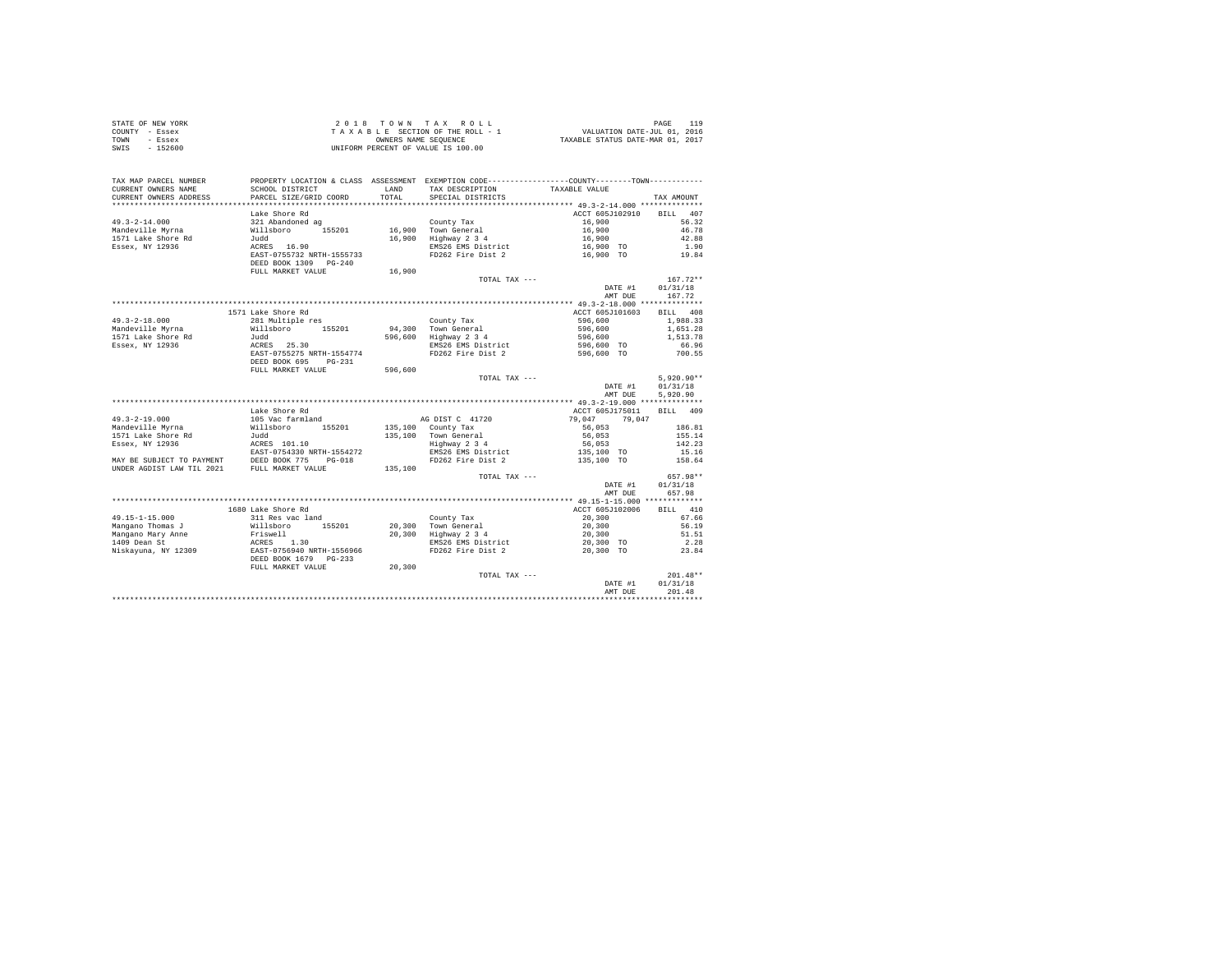| STATE OF NEW YORK | 2018 TOWN TAX ROLL                 | PAGE                             |
|-------------------|------------------------------------|----------------------------------|
| COUNTY - Essex    | TAXABLE SECTION OF THE ROLL - 1    | VALUATION DATE-JUL 01, 2016      |
| TOWN<br>- Essex   | OWNERS NAME SEOUENCE               | TAXABLE STATUS DATE-MAR 01, 2017 |
| SWIS<br>$-152600$ | UNIFORM PERCENT OF VALUE IS 100.00 |                                  |

| TAX MAP PARCEL NUMBER<br>CURRENT OWNERS NAME<br>CURRENT OWNERS ADDRESS                                             | SCHOOL DISTRICT<br>PARCEL SIZE/GRID COORD                               | LAND<br>TOTAL | PROPERTY LOCATION & CLASS ASSESSMENT EXEMPTION CODE----------------COUNTY-------TOWN----------<br>TAX DESCRIPTION<br>SPECIAL DISTRICTS | TAXABLE VALUE             | TAX AMOUNT                  |
|--------------------------------------------------------------------------------------------------------------------|-------------------------------------------------------------------------|---------------|----------------------------------------------------------------------------------------------------------------------------------------|---------------------------|-----------------------------|
|                                                                                                                    |                                                                         |               |                                                                                                                                        |                           |                             |
| $49.3 - 2 - 14.000$                                                                                                | Lake Shore Rd<br>321 Abandoned ag                                       |               | County Tax                                                                                                                             | ACCT 605J102910<br>16,900 | <b>BILL</b><br>407<br>56.32 |
| Mandeville Myrna<br>1571 Lake Shore Rd                                                                             | 155201<br>Willsboro<br>Judd                                             |               | 16,900 Town General<br>16,900 Highway 2 3 4                                                                                            | 16,900<br>16,900          | 46.78<br>42.88              |
| Essex, NY 12936                                                                                                    | ACRES 16.90                                                             |               | EMS26 EMS District                                                                                                                     | 16,900 TO                 | 1.90                        |
|                                                                                                                    | EAST-0755732 NRTH-1555733<br>DEED BOOK 1309 PG-240<br>FULL MARKET VALUE | 16,900        | FD262 Fire Dist 2                                                                                                                      | 16,900 TO                 | 19.84                       |
|                                                                                                                    |                                                                         |               | TOTAL TAX ---                                                                                                                          |                           | $167.72**$                  |
|                                                                                                                    |                                                                         |               |                                                                                                                                        | DATE #1<br>AMT DUE        | 01/31/18<br>167.72          |
|                                                                                                                    |                                                                         |               |                                                                                                                                        |                           |                             |
|                                                                                                                    | 1571 Lake Shore Rd                                                      |               |                                                                                                                                        | ACCT 605J101603           | BILL 408                    |
| $49.3 - 2 - 18.000$                                                                                                | 281 Multiple res                                                        |               | County Tax                                                                                                                             | 596,600                   | 1,988.33                    |
| Mandeville Myrna                                                                                                   | Willsboro 155201                                                        |               | 94.300 Town General                                                                                                                    | 596,600                   | 1,651.28                    |
| 1571 Lake Shore Rd                                                                                                 | Judd                                                                    |               | 596,600 Highway 2 3 4                                                                                                                  | 596,600                   | 1,513.78                    |
| Essex, NY 12936                                                                                                    | ACRES 25.30<br>EAST-0755275 NRTH-1554774                                |               | EMS26 EMS District<br>FD262 Fire Dist 2                                                                                                | 596,600 TO<br>596,600 TO  | 66.96<br>700.55             |
|                                                                                                                    | DEED BOOK 695<br>$PG-231$                                               |               |                                                                                                                                        |                           |                             |
|                                                                                                                    | FULL MARKET VALUE                                                       | 596,600       | TOTAL TAX ---                                                                                                                          |                           | $5.920.90**$                |
|                                                                                                                    |                                                                         |               |                                                                                                                                        | DATE #1                   | 01/31/18                    |
|                                                                                                                    |                                                                         |               |                                                                                                                                        | AMT DUE                   | 5,920.90                    |
|                                                                                                                    | Lake Shore Rd                                                           |               |                                                                                                                                        | ACCT 605J175011           | BILL 409                    |
| $49.3 - 2 - 19.000$                                                                                                | 105 Vac farmland                                                        |               | AG DIST C 41720                                                                                                                        | 79.047<br>79,047          |                             |
| Mandeville Myrna                                                                                                   | 155201<br>Willsboro                                                     |               | 135,100 County Tax                                                                                                                     | 56,053                    | 186.81                      |
| 1571 Lake Shore Rd                                                                                                 | Judd                                                                    |               | 135,100 Town General                                                                                                                   | 56,053                    | 155.14                      |
| Essex, NY 12936                                                                                                    | ACRES 101.10                                                            |               | Highway 2 3 4                                                                                                                          | 56,053                    | 142.23                      |
|                                                                                                                    |                                                                         |               | EMS26 EMS District                                                                                                                     | 135,100 TO                | 15.16                       |
| -----, -- ----<br>MAY BE SUBJECT TO PAYMENT DEED BOOK 775 DG-018<br>UNDER AGDIST LAW TIL 2021 DEED BOOK 775 DG-018 |                                                                         |               | FD262 Fire Dist 2                                                                                                                      | 135,100 TO                | 158.64                      |
|                                                                                                                    |                                                                         | 135,100       |                                                                                                                                        |                           |                             |
|                                                                                                                    |                                                                         |               | TOTAL TAX ---                                                                                                                          | DATE #1                   | 657.98**<br>01/31/18        |
|                                                                                                                    |                                                                         |               |                                                                                                                                        | AMT DUE                   | 657.98                      |
|                                                                                                                    |                                                                         |               |                                                                                                                                        |                           |                             |
|                                                                                                                    | 1680 Lake Shore Rd                                                      |               |                                                                                                                                        | ACCT 605J102006           | BILL 410                    |
| 49.15-1-15.000                                                                                                     | 311 Res vac land                                                        |               | County Tax                                                                                                                             | 20,300                    | 67.66                       |
| Mangano Thomas J                                                                                                   | 155201<br>Willsboro                                                     |               | 20,300 Town General                                                                                                                    | 20,300                    | 56.19                       |
| Mangano Mary Anne                                                                                                  |                                                                         |               | 20,300 Highway 2 3 4                                                                                                                   | 20,300                    | 51.51                       |
| 1409 Dean St                                                                                                       | Friswell<br>ACRES 1.30<br>EAST-0756940_NRTH-1556966                     |               | EMS26 EMS District                                                                                                                     | 20,300 TO                 | 2.28                        |
| Niskayuna, NY 12309                                                                                                | DEED BOOK 1679 PG-233                                                   |               | FD262 Fire Dist 2                                                                                                                      | 20,300 TO                 | 23.84                       |
|                                                                                                                    | FULL MARKET VALUE                                                       | 20,300        |                                                                                                                                        |                           |                             |
|                                                                                                                    |                                                                         |               | TOTAL TAX ---                                                                                                                          | DATE #1                   | $201.48**$<br>01/31/18      |
|                                                                                                                    |                                                                         |               |                                                                                                                                        | AMT DUE                   | 201.48                      |
|                                                                                                                    |                                                                         |               |                                                                                                                                        |                           |                             |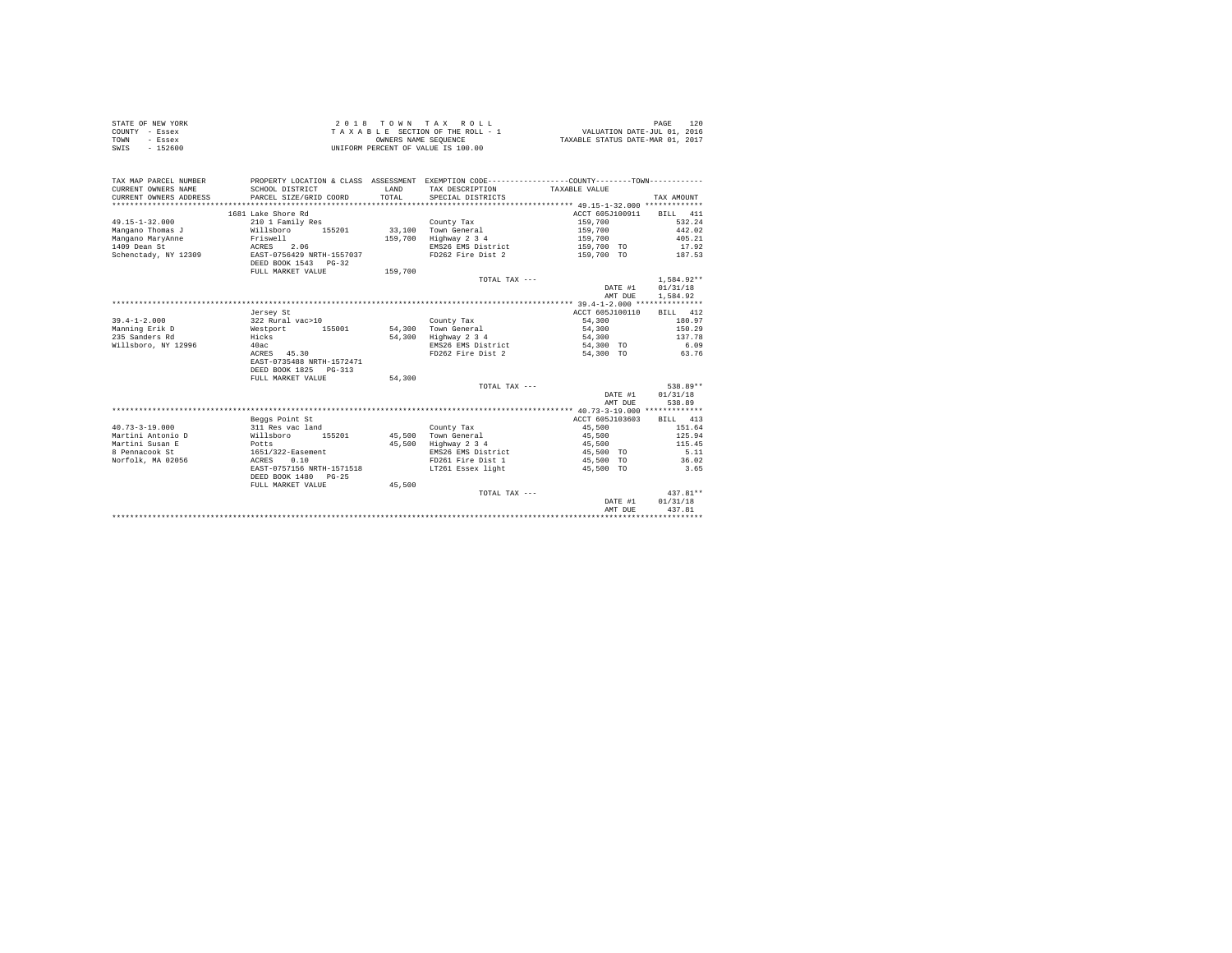| STATE OF NEW YORK | 2018 TOWN TAX ROLL                 | PAGE                             |
|-------------------|------------------------------------|----------------------------------|
| COUNTY - Essex    | TAXABLE SECTION OF THE ROLL - 1    | VALUATION DATE-JUL 01, 2016      |
| TOWN<br>- Essex   | OWNERS NAME SEOUENCE               | TAXABLE STATUS DATE-MAR 01, 2017 |
| SWIS<br>$-152600$ | UNIFORM PERCENT OF VALUE IS 100.00 |                                  |

| TAX MAP PARCEL NUMBER<br>CURRENT OWNERS NAME<br>CURRENT OWNERS ADDRESS | SCHOOL DISTRICT<br>PARCEL SIZE/GRID COORD         | LAND<br>TOTAL | PROPERTY LOCATION & CLASS ASSESSMENT EXEMPTION CODE----------------COUNTY--------TOWN----------<br>TAX DESCRIPTION<br>SPECIAL DISTRICTS | TAXABLE VALUE          | TAX AMOUNT       |
|------------------------------------------------------------------------|---------------------------------------------------|---------------|-----------------------------------------------------------------------------------------------------------------------------------------|------------------------|------------------|
|                                                                        | 1681 Lake Shore Rd                                |               |                                                                                                                                         | ACCT 605J100911        | BILL 411         |
| $49.15 - 1 - 32.000$                                                   | 210 1 Family Res                                  |               | County Tax                                                                                                                              | 159,700                | 532.24           |
| Mangano Thomas J                                                       | Willsboro 155201                                  |               | 33,100 Town General                                                                                                                     | 159,700                | 442.02           |
| Mangano MaryAnne                                                       | Friswell                                          | 159,700       | Highway 2 3 4                                                                                                                           | 159,700                | 405.21           |
| 1409 Dean St                                                           | ACRES<br>2.06                                     |               | EMS26 EMS District                                                                                                                      | 159,700 TO             | 17.92            |
| Schenctady, NY 12309                                                   | EAST-0756429 NRTH-1557037<br>DEED BOOK 1543 PG-32 |               | FD262 Fire Dist 2                                                                                                                       | 159,700 TO             | 187.53           |
|                                                                        | FULL MARKET VALUE                                 | 159,700       |                                                                                                                                         |                        |                  |
|                                                                        |                                                   |               | TOTAL TAX ---                                                                                                                           |                        | $1.584.92**$     |
|                                                                        |                                                   |               |                                                                                                                                         | DATE #1                | 01/31/18         |
|                                                                        |                                                   |               |                                                                                                                                         | AMT DUE                | 1,584.92         |
|                                                                        |                                                   |               |                                                                                                                                         |                        |                  |
|                                                                        | Jersey St                                         |               |                                                                                                                                         | ACCT 605J100110        | BILL 412         |
| $39.4 - 1 - 2.000$                                                     | 322 Rural vac>10                                  |               | County Tax                                                                                                                              | 54,300                 | 180.97           |
| Manning Erik D                                                         | Westport<br>155001                                | 54,300        | Town General                                                                                                                            | 54,300                 | 150.29           |
| 235 Sanders Rd                                                         | Hicks                                             | 54,300        | Highway 2 3 4                                                                                                                           | 54,300                 | 137.78           |
| Willsboro, NY 12996                                                    | 40ac                                              |               | EMS26 EMS District                                                                                                                      | 54,300 TO              | 6.09             |
|                                                                        | ACRES 45.30                                       |               | FD262 Fire Dist 2                                                                                                                       | 54,300 TO              | 63.76            |
|                                                                        | EAST-0735488 NRTH-1572471                         |               |                                                                                                                                         |                        |                  |
|                                                                        | DEED BOOK 1825 PG-313                             |               |                                                                                                                                         |                        |                  |
|                                                                        | FULL MARKET VALUE                                 | 54,300        |                                                                                                                                         |                        |                  |
|                                                                        |                                                   |               | TOTAL TAX ---                                                                                                                           |                        | 538.89**         |
|                                                                        |                                                   |               |                                                                                                                                         | DATE #1                | 01/31/18         |
|                                                                        |                                                   |               |                                                                                                                                         | AMT DUE                | 538.89           |
|                                                                        |                                                   |               |                                                                                                                                         |                        |                  |
|                                                                        | Beggs Point St                                    |               |                                                                                                                                         | ACCT 605J103603        | BILL 413         |
| $40.73 - 3 - 19.000$                                                   | 311 Res vac land                                  |               | County Tax                                                                                                                              | 45,500                 | 151.64           |
| Martini Antonio D<br>Martini Susan E                                   | Willsboro<br>155201                               | 45,500        | Town General                                                                                                                            | 45,500                 | 125.94<br>115.45 |
| 8 Pennacook St                                                         | Potts                                             | 45,500        | Highway 2 3 4                                                                                                                           | 45,500                 | 5.11             |
| Norfolk, MA 02056                                                      | 1651/322-Easement<br>ACRES<br>0.10                |               | EMS26 EMS District<br>FD261 Fire Dist 1                                                                                                 | 45,500 TO              | 36.02            |
|                                                                        | EAST-0757156 NRTH-1571518                         |               | LT261 Essex light                                                                                                                       | 45,500 TO<br>45,500 TO | 3.65             |
|                                                                        | DEED BOOK 1480 PG-25                              |               |                                                                                                                                         |                        |                  |
|                                                                        | FULL MARKET VALUE                                 | 45,500        |                                                                                                                                         |                        |                  |
|                                                                        |                                                   |               | TOTAL TAX ---                                                                                                                           |                        | $437.81**$       |
|                                                                        |                                                   |               |                                                                                                                                         | DATE #1                | 01/31/18         |
|                                                                        |                                                   |               |                                                                                                                                         | AMT DUE                | 437.81           |
|                                                                        |                                                   |               |                                                                                                                                         |                        |                  |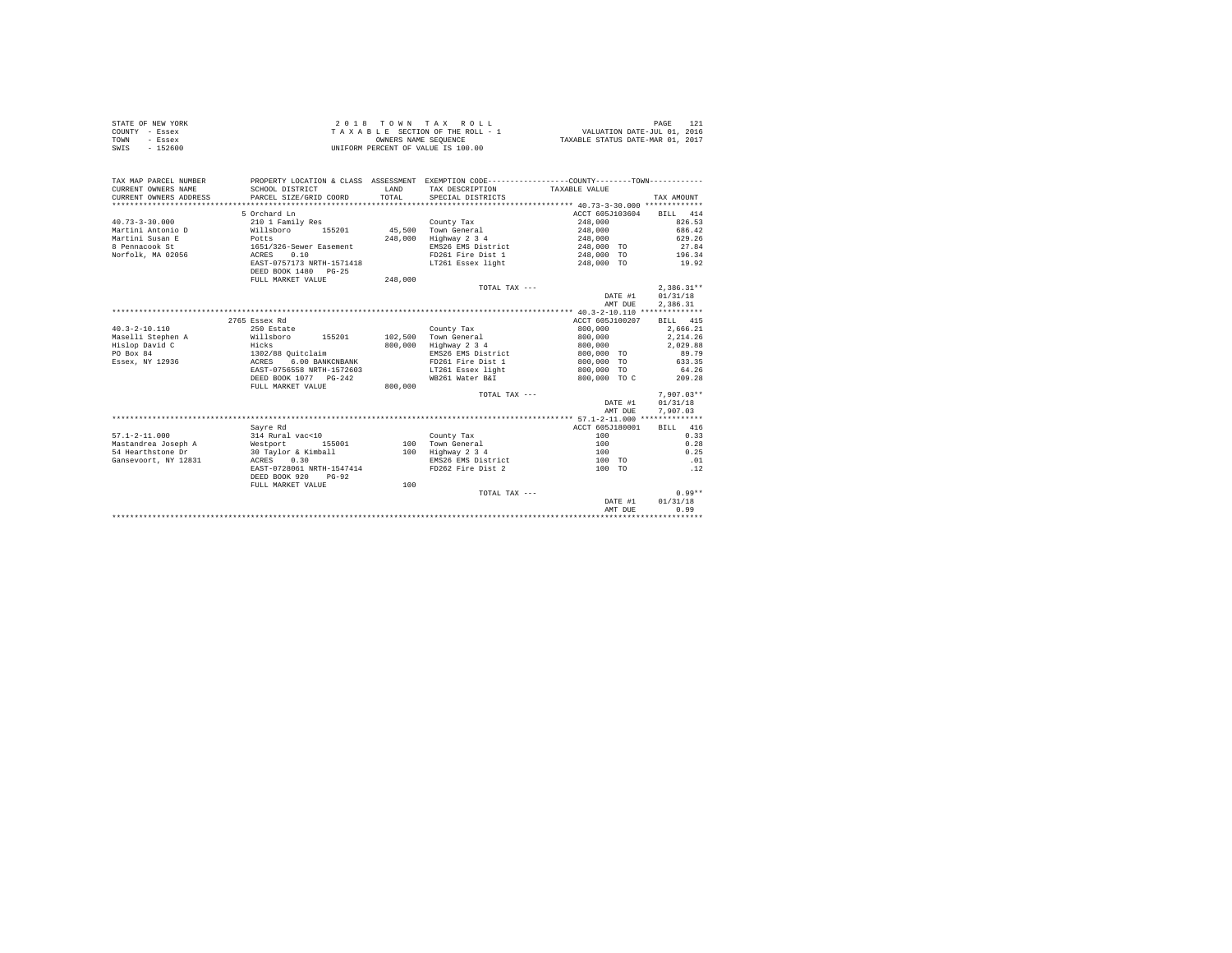|                | STATE OF NEW YORK | 2018 TOWN TAX ROLL                 | PAGE                             |
|----------------|-------------------|------------------------------------|----------------------------------|
| COUNTY - Essex |                   | TAXABLE SECTION OF THE ROLL - 1    | VALUATION DATE-JUL 01, 2016      |
| TOWN           | - Essex           | OWNERS NAME SEOUENCE               | TAXABLE STATUS DATE-MAR 01, 2017 |
| SWIS           | $-152600$         | UNIFORM PERCENT OF VALUE IS 100.00 |                                  |

| TAX MAP PARCEL NUMBER<br>CURRENT OWNERS NAME<br>CURRENT OWNERS ADDRESS<br>*************************** | SCHOOL DISTRICT<br>PARCEL SIZE/GRID COORD             | LAND<br>TOTAL | PROPERTY LOCATION & CLASS ASSESSMENT EXEMPTION CODE----------------COUNTY-------TOWN----------<br>TAX DESCRIPTION<br>SPECIAL DISTRICTS | TAXABLE VALUE   | TAX AMOUNT   |
|-------------------------------------------------------------------------------------------------------|-------------------------------------------------------|---------------|----------------------------------------------------------------------------------------------------------------------------------------|-----------------|--------------|
|                                                                                                       | 5 Orchard Ln                                          |               |                                                                                                                                        | ACCT 605J103604 | BILL 414     |
| $40.73 - 3 - 30.000$                                                                                  | 210 1 Family Res                                      |               | County Tax                                                                                                                             | 248,000         | 826.53       |
| Martini Antonio D                                                                                     | 155201<br>Willsboro                                   | 45,500        | Town General                                                                                                                           | 248,000         | 686.42       |
| Martini Susan E                                                                                       | Potts                                                 | 248,000       | Highway 2 3 4                                                                                                                          | 248,000         | 629.26       |
| 8 Pennacook St                                                                                        | 1651/326-Sewer Easement                               |               | EMS26 EMS District                                                                                                                     | 248,000 TO      | 27.84        |
| Norfolk, MA 02056                                                                                     | 0.10<br>ACRES                                         |               | FD261 Fire Dist 1                                                                                                                      | 248,000 TO      | 196.34       |
|                                                                                                       | EAST-0757173 NRTH-1571418                             |               | LT261 Essex light                                                                                                                      | 248,000 TO      | 19.92        |
|                                                                                                       | DEED BOOK 1480 PG-25                                  |               |                                                                                                                                        |                 |              |
|                                                                                                       | FULL MARKET VALUE                                     | 248,000       |                                                                                                                                        |                 |              |
|                                                                                                       |                                                       |               | TOTAL TAX ---                                                                                                                          |                 | $2.386.31**$ |
|                                                                                                       |                                                       |               |                                                                                                                                        | DATE #1         | 01/31/18     |
|                                                                                                       |                                                       |               |                                                                                                                                        | AMT DUE         | 2.386.31     |
|                                                                                                       |                                                       |               |                                                                                                                                        |                 |              |
|                                                                                                       | 2765 Essex Rd                                         |               |                                                                                                                                        | ACCT 605J100207 | BILL 415     |
| $40.3 - 2 - 10.110$                                                                                   | 250 Estate                                            |               | County Tax                                                                                                                             | 800,000         | 2.666.21     |
| Maselli Stephen A                                                                                     | Willsboro<br>155201                                   | 102,500       | Town General                                                                                                                           | 800,000         | 2,214.26     |
| Hislop David C                                                                                        | Hicks                                                 | 800,000       | Highway 2 3 4                                                                                                                          | 800,000         | 2.029.88     |
| PO Box 84                                                                                             | 1302/88 Ouitclaim                                     |               | EMS26 EMS District                                                                                                                     | 800,000 TO      | 89.79        |
| Essex, NY 12936                                                                                       | 6.00 BANKCNBANK<br>ACRES                              |               | FD261 Fire Dist 1                                                                                                                      | 800,000 TO      | 633.35       |
|                                                                                                       | EAST-0756558 NRTH-1572603                             |               | LT261 Essex light                                                                                                                      | 800,000 TO      | 64.26        |
|                                                                                                       | DEED BOOK 1077 PG-242                                 |               | WB261 Water B&I                                                                                                                        | 800,000 TO C    | 209.28       |
|                                                                                                       | FULL MARKET VALUE                                     | 800,000       |                                                                                                                                        |                 |              |
|                                                                                                       |                                                       |               | TOTAL TAX ---                                                                                                                          |                 | $7.907.03**$ |
|                                                                                                       |                                                       |               |                                                                                                                                        | DATE #1         | 01/31/18     |
|                                                                                                       |                                                       |               |                                                                                                                                        | AMT DUE         | 7,907.03     |
|                                                                                                       |                                                       |               |                                                                                                                                        |                 |              |
|                                                                                                       | Sayre Rd                                              |               |                                                                                                                                        | ACCT 605J180001 | BILL 416     |
| $57.1 - 2 - 11.000$                                                                                   | 314 Rural vac<10                                      |               | County Tax                                                                                                                             | 100             | 0.33         |
| Mastandrea Joseph A                                                                                   | Westport<br>155001                                    | 100           | Town General                                                                                                                           | 100             | 0.28         |
| 54 Hearthstone Dr                                                                                     | 30 Taylor & Kimball                                   | 100           | Highway 2 3 4                                                                                                                          | 100             | 0.25         |
| Gansevoort, NY 12831                                                                                  | ACRES<br>0.30                                         |               | EMS26 EMS District                                                                                                                     | 100 TO          | .01          |
|                                                                                                       | EAST-0728061 NRTH-1547414<br>DEED BOOK 920<br>$PG-92$ |               | FD262 Fire Dist 2                                                                                                                      | 100 TO          | .12          |
|                                                                                                       | FULL MARKET VALUE                                     | 100           |                                                                                                                                        |                 |              |
|                                                                                                       |                                                       |               | TOTAL TAX ---                                                                                                                          |                 | $0.99**$     |
|                                                                                                       |                                                       |               |                                                                                                                                        | DATE #1         | 01/31/18     |
|                                                                                                       |                                                       |               |                                                                                                                                        | AMT DUE         | 0.99         |
|                                                                                                       |                                                       |               |                                                                                                                                        |                 |              |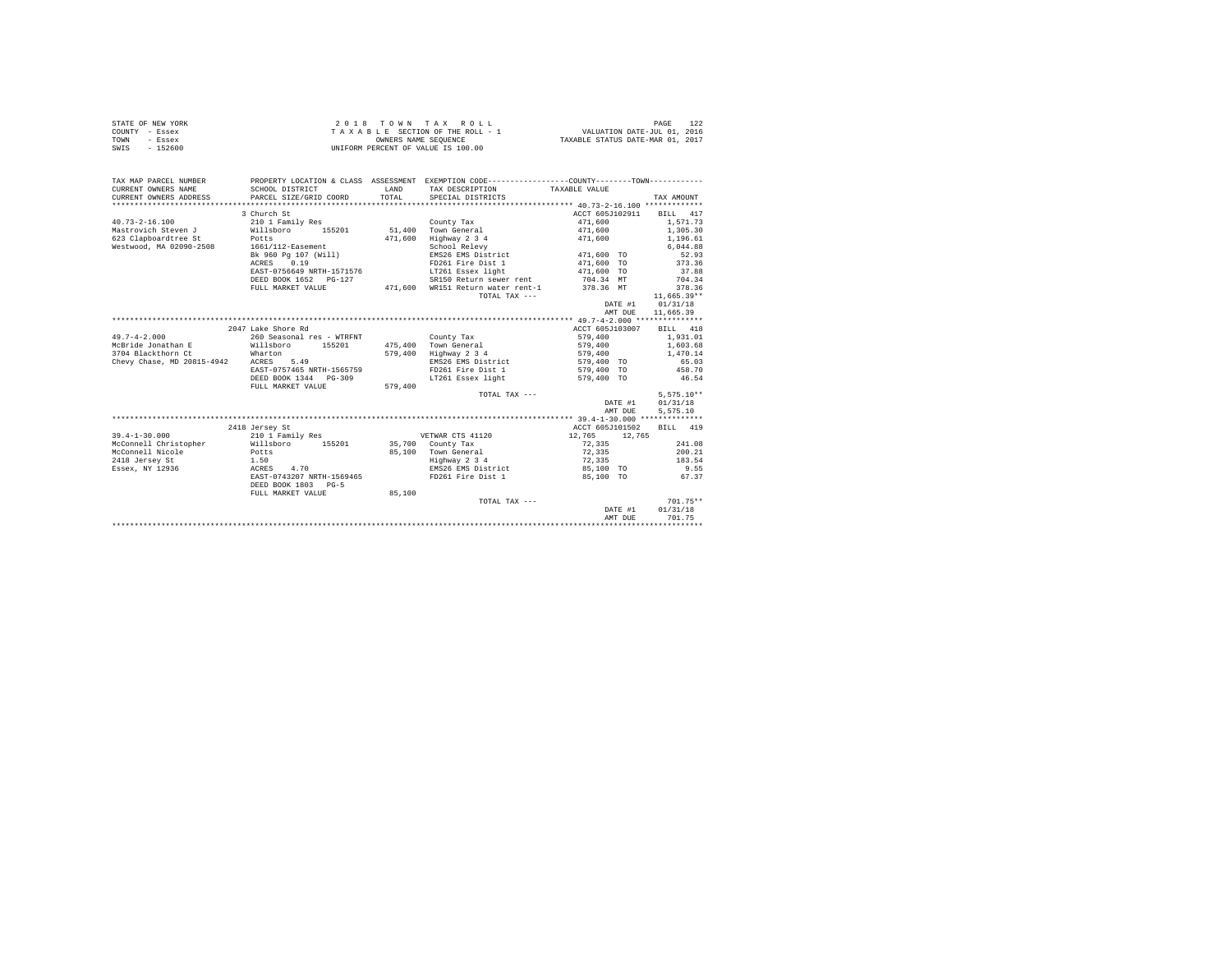| STATE OF NEW YORK | 2018 TOWN TAX ROLL                 | PAGE                             |
|-------------------|------------------------------------|----------------------------------|
| COUNTY - Essex    | TAXABLE SECTION OF THE ROLL - 1    | VALUATION DATE-JUL 01, 2016      |
| TOWN<br>- Essex   | OWNERS NAME SEOUENCE               | TAXABLE STATUS DATE-MAR 01, 2017 |
| $-152600$<br>SWIS | UNIFORM PERCENT OF VALUE IS 100.00 |                                  |

| TAX MAP PARCEL NUMBER      | PROPERTY LOCATION & CLASS ASSESSMENT EXEMPTION CODE----------------COUNTY-------TOWN---------- |         |                                   |                               |                      |
|----------------------------|------------------------------------------------------------------------------------------------|---------|-----------------------------------|-------------------------------|----------------------|
| CURRENT OWNERS NAME        | SCHOOL DISTRICT                                                                                | LAND    | TAX DESCRIPTION                   | TAXABLE VALUE                 |                      |
| CURRENT OWNERS ADDRESS     | PARCEL SIZE/GRID COORD                                                                         | TOTAL   | SPECIAL DISTRICTS                 |                               | TAX AMOUNT           |
|                            |                                                                                                |         |                                   |                               |                      |
|                            | 3 Church St                                                                                    |         |                                   | ACCT 605J102911               | BILL 417             |
| $40.73 - 2 - 16.100$       | 210 1 Family Res                                                                               |         | County Tax                        | 471,600                       | 1,571.73             |
|                            |                                                                                                |         |                                   | 471,600                       | 1,305.30             |
| 623 Clapboardtree St       | Potts                                                                                          | 471,600 | Highway 2 3 4                     | 471,600                       | 1,196.61             |
| Westwood, MA 02090-2508    | 1661/112-Easement                                                                              |         | School Relevy                     |                               | 6,044.88             |
|                            | Bk 960 Pg 107 (Will)                                                                           |         |                                   | EMS26 EMS District 471,600 TO | 52.93                |
|                            | ACRES 0.19                                                                                     |         | FD261 Fire Dist 1                 | 471,600 TO                    | 373.36               |
|                            | EAST-0756649 NRTH-1571576                                                                      |         | LT261 Essex light                 | 471,600 TO                    | 37.88                |
|                            | DEED BOOK 1652 PG-127                                                                          |         | SR150 Return sewer rent           | 704.34 MT                     | 704.34               |
|                            | FULL MARKET VALUE                                                                              |         | 471,600 WR151 Return water rent-1 | 378.36 MT                     | 378.36               |
|                            |                                                                                                |         |                                   | TOTAL TAX ---                 | $11,665.39**$        |
|                            |                                                                                                |         |                                   |                               | DATE #1<br>01/31/18  |
|                            |                                                                                                |         |                                   |                               | 11,665.39<br>AMT DUE |
|                            |                                                                                                |         |                                   |                               |                      |
|                            | 2047 Lake Shore Rd                                                                             |         |                                   | ACCT 605J103007               | BILL 418             |
| $49.7 - 4 - 2.000$         | 260 Seasonal res - WTRFNT                                                                      |         | County Tax                        | 579,400                       | 1,931.01             |
| McBride Jonathan E         | Willsboro 155201                                                                               |         | 475.400 Town General              | 579,400                       | 1,603.68             |
| 3704 Blackthorn Ct         | Wharton                                                                                        | 579,400 | Highway 2 3 4                     | 579,400                       | 1,470.14             |
| Chevy Chase, MD 20815-4942 | ACRES 5.49                                                                                     |         | EMS26 EMS District                | 579,400 TO                    | 65.03                |
|                            | EAST-0757465 NRTH-1565759                                                                      |         | FD261 Fire Dist 1                 | 579,400 TO                    | 458.70               |
|                            | DEED BOOK 1344 PG-309                                                                          |         | LT261 Essex light                 | 579,400 TO                    | 46.54                |
|                            | FULL MARKET VALUE                                                                              | 579,400 |                                   |                               |                      |
|                            |                                                                                                |         |                                   | TOTAL TAX ---                 | $5,575.10**$         |
|                            |                                                                                                |         |                                   |                               | DATE #1<br>01/31/18  |
|                            |                                                                                                |         |                                   |                               | 5,575.10<br>AMT DUE  |
|                            |                                                                                                |         |                                   |                               |                      |
|                            | 2418 Jersey St                                                                                 |         |                                   | ACCT 605J101502               | BILL 419             |
| $39.4 - 1 - 30.000$        | 210 1 Family Res                                                                               |         | VETWAR CTS 41120                  | 12.765 12.765                 |                      |
| McConnell Christopher      | Willsboro<br>155201                                                                            |         | 35,700 County Tax                 | 72.335                        | 241.08               |
| McConnell Nicole           | Potts                                                                                          |         | 85.100 Town General               | 72,335                        | 200.21               |
| 2418 Jersey St             | $1.50$                                                                                         |         | Highway 2 3 4                     | 72.335                        | 183.54               |
| Essex, NY 12936            | ACRES 4.70                                                                                     |         | EMS26 EMS District                | 85,100 TO                     | 9.55                 |
|                            | EAST-0743207 NRTH-1569465                                                                      |         | FD261 Fire Dist 1                 | 85,100 TO                     | 67.37                |
|                            | DEED BOOK 1803 PG-5                                                                            |         |                                   |                               |                      |
|                            | FULL MARKET VALUE                                                                              | 85,100  |                                   |                               |                      |
|                            |                                                                                                |         | TOTAL TAX ---                     |                               | 701.75**             |
|                            |                                                                                                |         |                                   |                               | 01/31/18<br>DATE #1  |
|                            |                                                                                                |         |                                   |                               | AMT DUE<br>701.75    |
|                            |                                                                                                |         |                                   |                               |                      |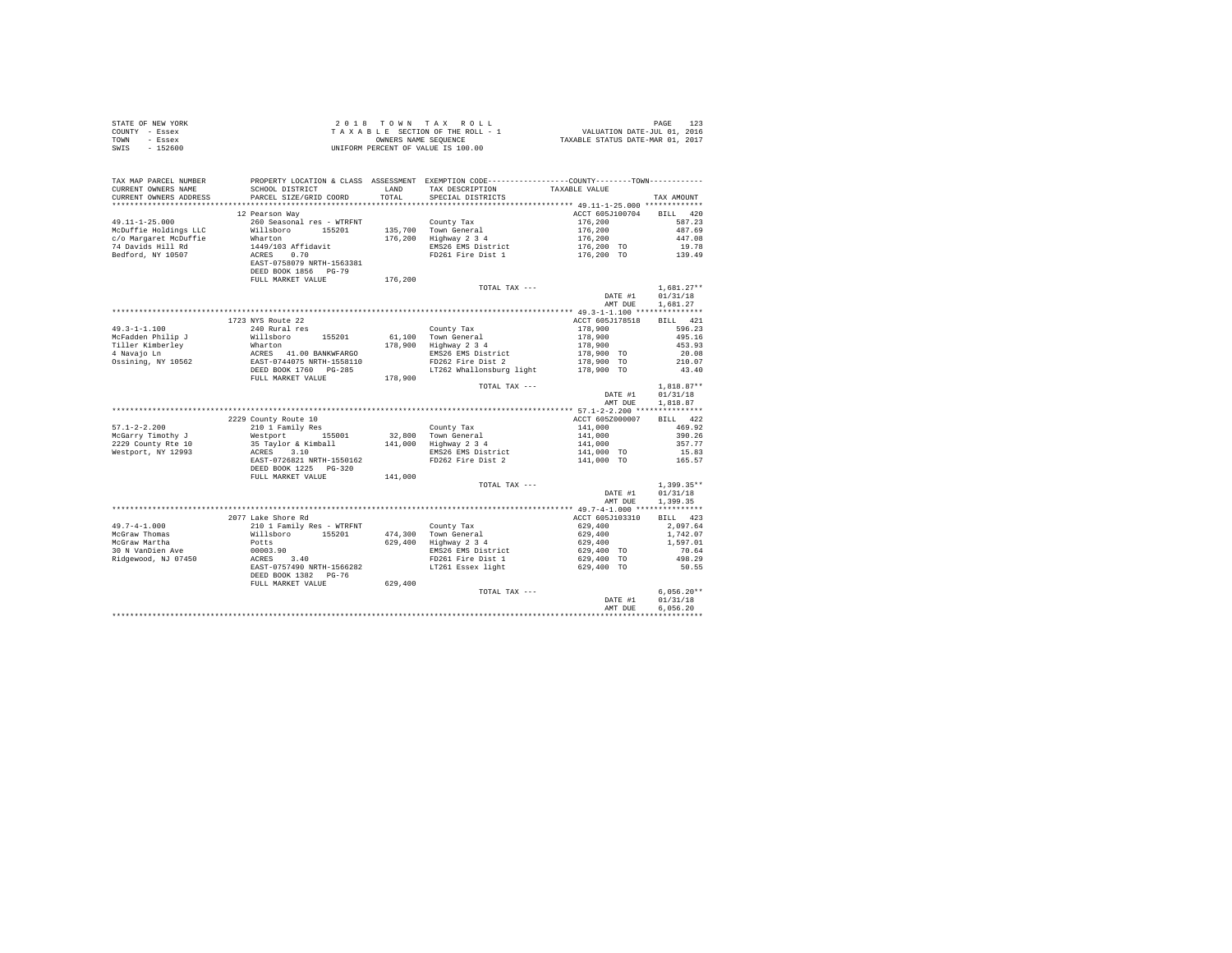|      | STATE OF NEW YORK | 2018 TOWN TAX ROLL                 | PAGE                             |
|------|-------------------|------------------------------------|----------------------------------|
|      | COUNTY - Essex    | TAXABLE SECTION OF THE ROLL - 1    | VALUATION DATE-JUL 01, 2016      |
| TOWN | - Essex           | OWNERS NAME SEOUENCE               | TAXABLE STATUS DATE-MAR 01, 2017 |
| SWIS | $-152600$         | UNIFORM PERCENT OF VALUE IS 100.00 |                                  |

| TAX MAP PARCEL NUMBER<br>CURRENT OWNERS NAME<br>CURRENT OWNERS ADDRESS                      | PROPERTY LOCATION & CLASS ASSESSMENT EXEMPTION CODE---------------COUNTY-------TOWN----------<br>SCHOOL DISTRICT<br>PARCEL SIZE/GRID COORD | LAND<br>TOTAL. | TAX DESCRIPTION<br>SPECIAL DISTRICTS                                              | TAXABLE VALUE                                                                                                                                   | TAX AMOUNT                          |
|---------------------------------------------------------------------------------------------|--------------------------------------------------------------------------------------------------------------------------------------------|----------------|-----------------------------------------------------------------------------------|-------------------------------------------------------------------------------------------------------------------------------------------------|-------------------------------------|
| ***********************                                                                     |                                                                                                                                            |                |                                                                                   |                                                                                                                                                 |                                     |
| $49.11 - 1 - 25.000$<br>McDuffie Holdings LLC<br>c/o Margaret McDuffie<br>74 Davids Hill Rd | 12 Pearson Way<br>260 Seasonal res - WTRFNT<br>Willsboro 155201<br>Wharton                                                                 |                | County Tax<br>135,700 Town General<br>176,200 Highway 2 3 4<br>EMS26 EMS District | ACCT 605J100704 BILL 420<br>$176,200$<br>$176,200$<br>$176,200$<br>$176,200$ TO<br>$176,200$ TO                                                 | 587.23<br>487.69<br>447.08<br>19.78 |
| Bedford, NY 10507                                                                           | 1449/103 Affidavit<br>ACRES 0.70<br>EAST-0758079 NRTH-1563381<br>DEED BOOK 1856 PG-79<br>FULL MARKET VALUE                                 | 176,200        | FD261 Fire Dist 1                                                                 |                                                                                                                                                 | 139.49                              |
|                                                                                             |                                                                                                                                            |                | TOTAL TAX ---                                                                     |                                                                                                                                                 | $1.681.27**$                        |
|                                                                                             |                                                                                                                                            |                |                                                                                   | DATE #1                                                                                                                                         | 01/31/18                            |
|                                                                                             |                                                                                                                                            |                |                                                                                   | AMT DUE                                                                                                                                         | 1,681.27                            |
|                                                                                             |                                                                                                                                            |                |                                                                                   |                                                                                                                                                 |                                     |
|                                                                                             | 1723 NYS Route 22                                                                                                                          |                |                                                                                   | ACCT 605J178518                                                                                                                                 | BILL 421                            |
| $49.3 - 1 - 1.100$                                                                          | 240 Rural res                                                                                                                              |                | County Tax                                                                        |                                                                                                                                                 | 596.23                              |
| McFadden Philip J                                                                           | Willsboro 155201                                                                                                                           |                | 61,100 Town General<br>178,900 Highway 2 3 4                                      | $\begin{array}{lll} \text{178, 900} \\ \text{178, 900} \\ \text{178, 900} \\ \text{178, 900} \\ \text{178, 900} \\ \text{178, 900} \end{array}$ | 495.16                              |
| Tiller Kimberley                                                                            |                                                                                                                                            |                |                                                                                   |                                                                                                                                                 | 453.93                              |
| 4 Navajo Ln                                                                                 | Wharton<br>ACRES 41.00 BANKWPARGO<br>EAST-0744075 NRTH-1558110<br>DEED BOOK 1760 PG-285                                                    |                | EMS26 EMS District                                                                |                                                                                                                                                 | 20.08                               |
| Ossining, NY 10562                                                                          |                                                                                                                                            |                | FD262 Fire Dist 2                                                                 | 178,900 TO                                                                                                                                      | 210.07                              |
|                                                                                             | FULL MARKET VALUE                                                                                                                          | 178,900        | LT262 Whallonsburg light                                                          | 178,900 TO                                                                                                                                      | 43.40                               |
|                                                                                             |                                                                                                                                            |                | TOTAL TAX ---                                                                     |                                                                                                                                                 | $1,818.87**$                        |
|                                                                                             |                                                                                                                                            |                |                                                                                   | DATE #1                                                                                                                                         | 01/31/18                            |
|                                                                                             |                                                                                                                                            |                |                                                                                   | AMT DUE                                                                                                                                         | 1,818.87                            |
|                                                                                             |                                                                                                                                            |                |                                                                                   |                                                                                                                                                 |                                     |
|                                                                                             | 2229 County Route 10                                                                                                                       |                |                                                                                   | ACCT 605Z000007                                                                                                                                 | BILL 422                            |
| $57.1 - 2 - 2.200$                                                                          | 210 1 Family Res                                                                                                                           |                | County Tax                                                                        | 141,000                                                                                                                                         | 469.92                              |
| McGarry Timothy J                                                                           | Westport 155001                                                                                                                            |                | 32,800 Town General                                                               | 141,000                                                                                                                                         | 390.26                              |
| 2229 County Rte 10                                                                          | 35 Taylor & Kimball                                                                                                                        |                | 141,000 Highway 2 3 4                                                             | 141,000                                                                                                                                         | 357.77                              |
| Westport, NY 12993                                                                          | ACRES 3.10                                                                                                                                 |                | EMS26 EMS District                                                                | $141,000$ TO                                                                                                                                    | 15.83                               |
|                                                                                             | EAST-0726821 NRTH-1550162<br>DEED BOOK 1225 PG-320<br>FULL MARKET VALUE                                                                    | 141,000        | FD262 Fire Dist 2                                                                 | 141,000 TO                                                                                                                                      | 165.57                              |
|                                                                                             |                                                                                                                                            |                | TOTAL TAX ---                                                                     |                                                                                                                                                 | $1.399.35**$                        |
|                                                                                             |                                                                                                                                            |                |                                                                                   | DATE #1                                                                                                                                         | 01/31/18                            |
|                                                                                             |                                                                                                                                            |                |                                                                                   | AMT DUE                                                                                                                                         | 1,399.35                            |
|                                                                                             |                                                                                                                                            |                |                                                                                   |                                                                                                                                                 |                                     |
|                                                                                             | 2077 Lake Shore Rd                                                                                                                         |                |                                                                                   | ACCT 605J103310                                                                                                                                 | BILL 423                            |
| $49.7 - 4 - 1.000$                                                                          | 210 1 Family Res - WTRFNT                                                                                                                  |                | County Tax                                                                        | 629,400                                                                                                                                         | 2,097.64                            |
| McGraw Thomas                                                                               | Willsboro 155201                                                                                                                           |                | 474,300 Town General                                                              | 629,400                                                                                                                                         | 1,742.07                            |
| McGraw Martha                                                                               | Potts                                                                                                                                      |                | 629,400 Highway 2 3 4                                                             | 629,400                                                                                                                                         | 1,597.01                            |
| 30 N VanDien Ave                                                                            | 00003.90<br>ACRES 3.40                                                                                                                     |                | EMS26 EMS District                                                                | 629,400 TO                                                                                                                                      | 70.64                               |
| Ridgewood, NJ 07450                                                                         |                                                                                                                                            |                | FD261 Fire Dist 1                                                                 | 629,400 TO                                                                                                                                      | 498.29                              |
|                                                                                             | EAST-0757490 NRTH-1566282<br>DEED BOOK 1382 PG-76                                                                                          |                | LT261 Essex light                                                                 | 629,400 TO                                                                                                                                      | 50.55                               |
|                                                                                             | FULL MARKET VALUE                                                                                                                          | 629,400        | TOTAL TAX ---                                                                     |                                                                                                                                                 | $6.056.20**$                        |
|                                                                                             |                                                                                                                                            |                |                                                                                   | DATE #1                                                                                                                                         | 01/31/18                            |
|                                                                                             |                                                                                                                                            |                |                                                                                   | AMT DUE                                                                                                                                         | 6.056.20                            |
|                                                                                             |                                                                                                                                            |                |                                                                                   |                                                                                                                                                 |                                     |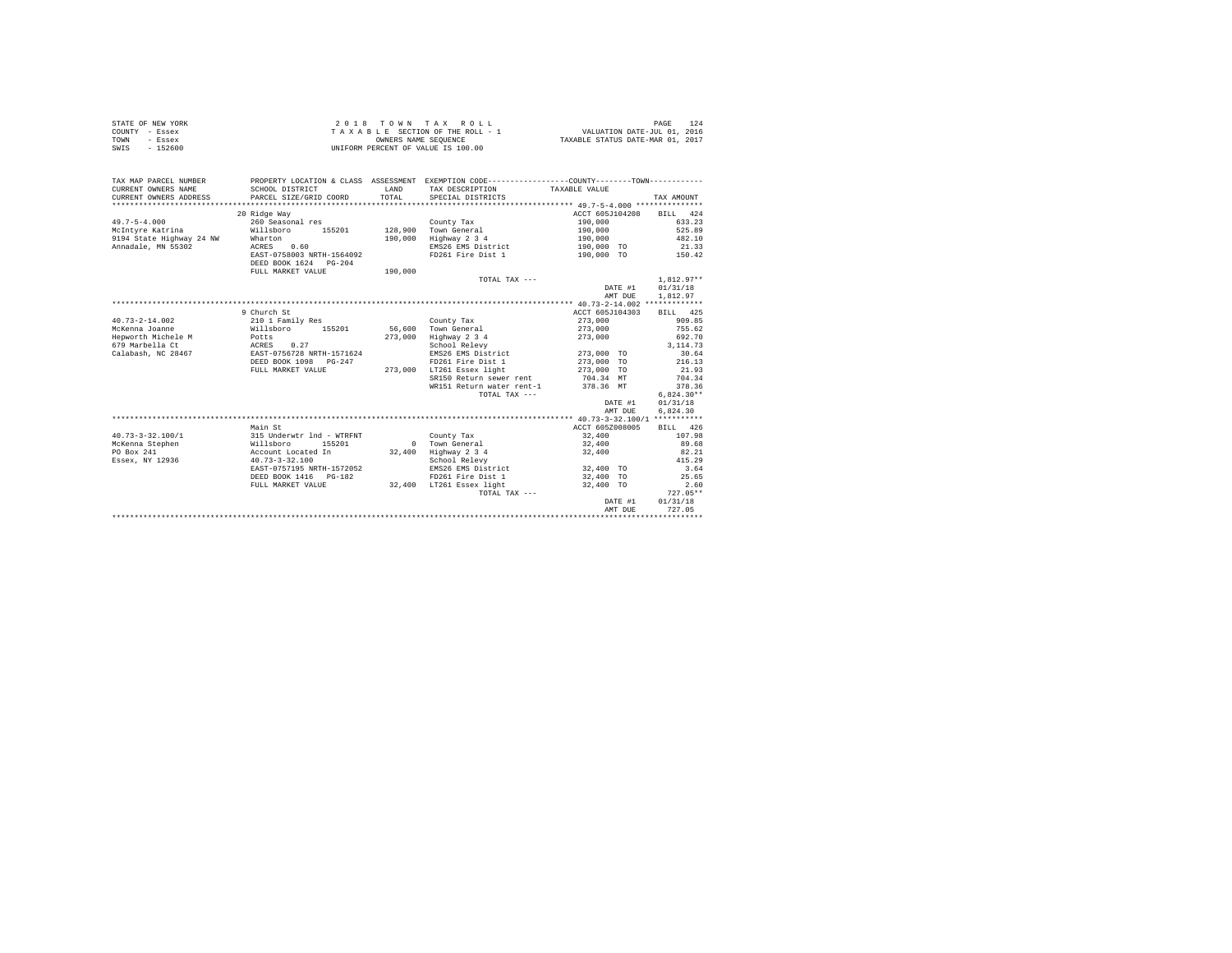|      | STATE OF NEW YORK | 2018 TOWN TAX ROLL                 | PAGE                             |
|------|-------------------|------------------------------------|----------------------------------|
|      | COUNTY - Essex    | TAXABLE SECTION OF THE ROLL - 1    | VALUATION DATE-JUL 01, 2016      |
| TOWN | - Essex           | OWNERS NAME SEOUENCE               | TAXABLE STATUS DATE-MAR 01, 2017 |
| SWIS | $-152600$         | UNIFORM PERCENT OF VALUE IS 100.00 |                                  |

| TAX MAP PARCEL NUMBER<br>CURRENT OWNERS NAME<br>CURRENT OWNERS ADDRESS | SCHOOL DISTRICT<br>PARCEL SIZE/GRID COORD          | <b>T.AND</b><br>TOTAL | PROPERTY LOCATION & CLASS ASSESSMENT EXEMPTION CODE---------------COUNTY-------TOWN----------<br>TAX DESCRIPTION<br>SPECIAL DISTRICTS | TAXABLE VALUE   | TAX AMOUNT   |
|------------------------------------------------------------------------|----------------------------------------------------|-----------------------|---------------------------------------------------------------------------------------------------------------------------------------|-----------------|--------------|
|                                                                        | 20 Ridge Way                                       |                       |                                                                                                                                       | ACCT 605J104208 | BILL 424     |
| $49.7 - 5 - 4.000$                                                     | 260 Seasonal res                                   |                       | County Tax                                                                                                                            | 190,000         | 633.23       |
|                                                                        | Willsboro<br>155201                                | 128,900               | Town General                                                                                                                          | 190,000         | 525.89       |
| McIntyre Katrina                                                       |                                                    |                       |                                                                                                                                       |                 |              |
| 9194 State Highway 24 NW                                               | Wharton                                            | 190,000               | Highway 2 3 4                                                                                                                         | 190,000         | 482.10       |
| Annadale, MN 55302                                                     | 0.60<br>ACRES                                      |                       | EMS26 EMS District                                                                                                                    | 190,000 TO      | 21.33        |
|                                                                        | EAST-0758003 NRTH-1564092<br>DEED BOOK 1624 PG-204 |                       | FD261 Fire Dist 1                                                                                                                     | 190,000 TO      | 150.42       |
|                                                                        | FULL MARKET VALUE                                  | 190,000               |                                                                                                                                       |                 |              |
|                                                                        |                                                    |                       | TOTAL TAX $---$                                                                                                                       |                 | $1.812.97**$ |
|                                                                        |                                                    |                       |                                                                                                                                       | DATE #1         | 01/31/18     |
|                                                                        |                                                    |                       |                                                                                                                                       | AMT DUE         | 1,812.97     |
|                                                                        |                                                    |                       |                                                                                                                                       |                 |              |
|                                                                        | 9 Church St                                        |                       |                                                                                                                                       | ACCT 605J104303 | BILL 425     |
| $40.73 - 2 - 14.002$                                                   | 210 1 Family Res                                   |                       | County Tax                                                                                                                            | 273,000         | 909.85       |
| McKenna Joanne                                                         | Willsboro<br>155201                                | 56,600                | Town General                                                                                                                          | 273,000         | 755.62       |
| Hepworth Michele M                                                     |                                                    | 273,000               | Highway 2 3 4                                                                                                                         | 273,000         | 692.70       |
| 679 Marbella Ct                                                        | uils<br>Potts<br>مح<br>ACRES<br>0.27               |                       | School Relevy                                                                                                                         |                 | 3.114.73     |
| Calabash, NC 28467                                                     | EAST-0756728 NRTH-1571624                          |                       | EMS26 EMS District                                                                                                                    | 273,000 TO      | 30.64        |
|                                                                        | DEED BOOK 1098 PG-247                              |                       | FD261 Fire Dist 1                                                                                                                     | 273,000 TO      | 216.13       |
|                                                                        | FULL MARKET VALUE                                  | 273,000               | LT261 Essex light                                                                                                                     | 273,000 TO      | 21.93        |
|                                                                        |                                                    |                       | SR150 Return sewer rent                                                                                                               | 704.34 MT       | 704.34       |
|                                                                        |                                                    |                       | WR151 Return water rent-1                                                                                                             | 378.36 MT       | 378.36       |
|                                                                        |                                                    |                       | TOTAL TAX ---                                                                                                                         |                 | $6.824.30**$ |
|                                                                        |                                                    |                       |                                                                                                                                       | DATE #1         | 01/31/18     |
|                                                                        |                                                    |                       |                                                                                                                                       | AMT DUE         | 6,824.30     |
|                                                                        |                                                    |                       |                                                                                                                                       |                 |              |
|                                                                        | Main St                                            |                       |                                                                                                                                       | ACCT 605Z008005 | BILL 426     |
| $40.73 - 3 - 32.100/1$                                                 | 315 Underwtr 1nd - WTRFNT                          |                       | County Tax                                                                                                                            | 32,400          | 107.98       |
| McKenna Stephen                                                        | Willsboro<br>155201                                |                       | 0 Town General                                                                                                                        | 32,400          | 89.68        |
| PO Box 241                                                             |                                                    | 32,400                | Highway 2 3 4                                                                                                                         | 32,400          | 82.21        |
| Essex, NY 12936                                                        | Account Located In                                 |                       | School Relevy                                                                                                                         |                 | 415.29       |
|                                                                        | $40.73 - 3 - 32.100$                               |                       |                                                                                                                                       |                 |              |
|                                                                        | EAST-0757195 NRTH-1572052                          |                       | EMS26 EMS District                                                                                                                    | 32,400 TO       | 3.64         |
|                                                                        | DEED BOOK 1416 PG-182                              |                       | FD261 Fire Dist 1                                                                                                                     | 32,400 TO       | 25.65        |
|                                                                        | FULL MARKET VALUE                                  |                       | 32.400 LT261 Essex light                                                                                                              | 32,400 TO       | 2.60         |
|                                                                        |                                                    |                       | TOTAL TAX ---                                                                                                                         |                 | $727.05**$   |
|                                                                        |                                                    |                       |                                                                                                                                       | DATE #1         | 01/31/18     |
|                                                                        |                                                    |                       |                                                                                                                                       | AMT DUE         | 727.05       |
|                                                                        |                                                    |                       |                                                                                                                                       |                 |              |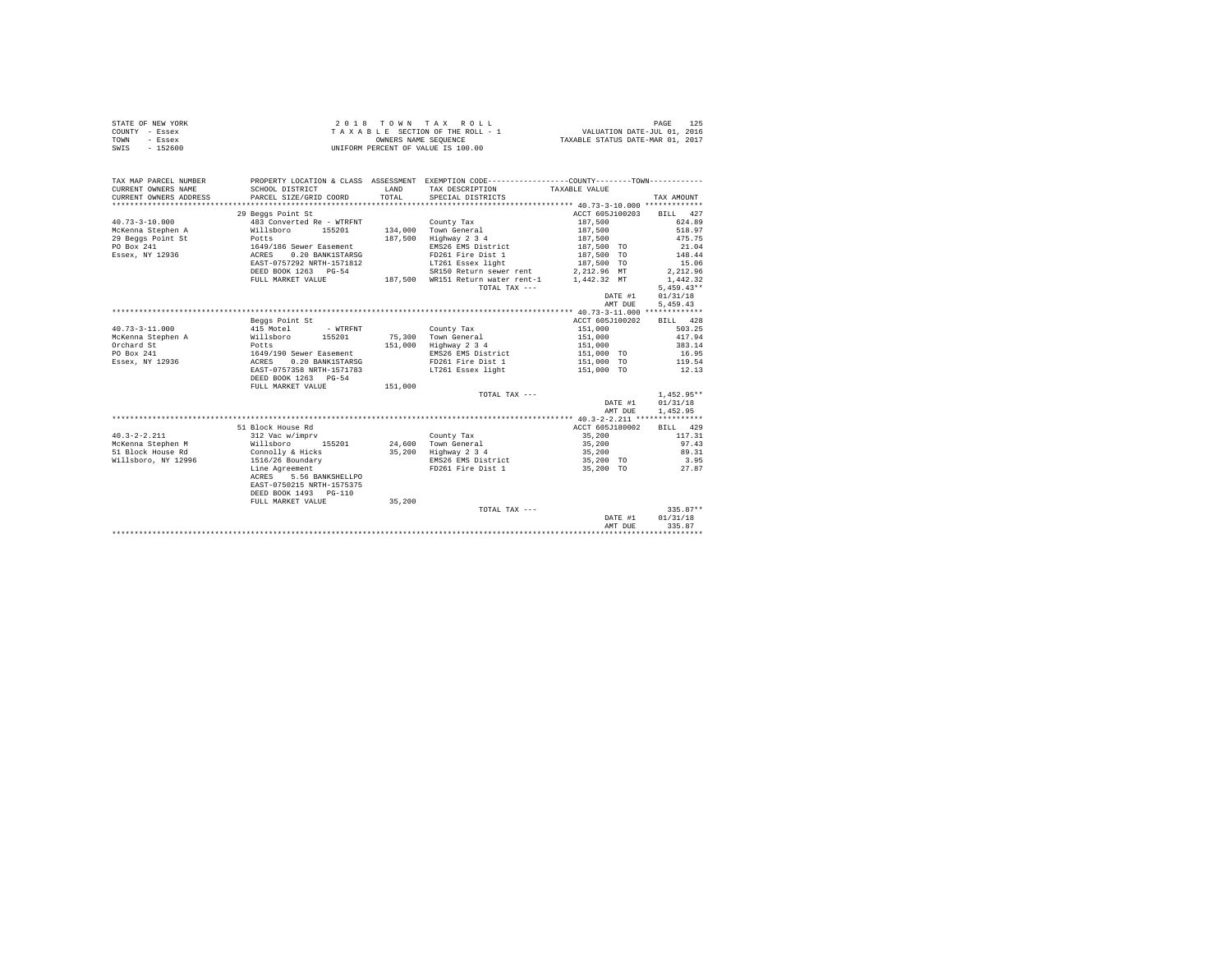| 2018 TOWN TAX ROLL<br>PAGE<br>125<br>STATE OF NEW YORK<br>VALUATION DATE-JUL 01, 2016<br>TAXABLE STATUS DATE-MAR 01, 2017<br>COUNTY - Essex<br>T A X A B L E SECTION OF THE ROLL - 1<br>OWNERS NAME SEQUENCE<br>$-$ Essex<br>TOWN<br>SWIS<br>$-152600$<br>UNIFORM PERCENT OF VALUE IS 100.00 |                                                     |         |                                                                                                |                               |                  |
|----------------------------------------------------------------------------------------------------------------------------------------------------------------------------------------------------------------------------------------------------------------------------------------------|-----------------------------------------------------|---------|------------------------------------------------------------------------------------------------|-------------------------------|------------------|
| TAX MAP PARCEL NUMBER                                                                                                                                                                                                                                                                        |                                                     |         | PROPERTY LOCATION & CLASS ASSESSMENT EXEMPTION CODE----------------COUNTY-------TOWN---------- |                               |                  |
| CURRENT OWNERS NAME                                                                                                                                                                                                                                                                          | SCHOOL DISTRICT                                     | LAND    | TAX DESCRIPTION                                                                                | TAXABLE VALUE                 |                  |
| CURRENT OWNERS ADDRESS                                                                                                                                                                                                                                                                       | PARCEL SIZE/GRID COORD                              | TOTAL   | SPECIAL DISTRICTS                                                                              |                               | TAX AMOUNT       |
|                                                                                                                                                                                                                                                                                              |                                                     |         |                                                                                                |                               |                  |
|                                                                                                                                                                                                                                                                                              | 29 Beggs Point St<br>483 Converted Re - WTRFNT      |         |                                                                                                | ACCT 605J100203               | BILL 427         |
| $40.73 - 3 - 10.000$<br>McKenna Stephen A                                                                                                                                                                                                                                                    | Willsboro<br>155201                                 |         | County Tax<br>134,000 Town General                                                             | 187,500                       | 624.89<br>518.97 |
| 29 Beggs Point St                                                                                                                                                                                                                                                                            | Potts                                               | 187,500 | Highway 2 3 4                                                                                  | 187,500<br>187,500            | 475.75           |
| PO Box 241                                                                                                                                                                                                                                                                                   | 1649/186 Sewer Easement                             |         | EMS26 EMS District                                                                             | 187,500 TO                    | 21.04            |
| Essex, NY 12936                                                                                                                                                                                                                                                                              | ACRES 0.20 BANK1STARSG                              |         | FD261 Fire Dist 1                                                                              | 187,500 TO                    | 148.44           |
|                                                                                                                                                                                                                                                                                              | EAST-0757292 NRTH-1571812                           |         | LT261 Essex light                                                                              | 187,500 TO                    | 15.06            |
|                                                                                                                                                                                                                                                                                              | DEED BOOK 1263 PG-54                                |         | SR150 Return sewer rent                                                                        | 2,212.96 MT                   | 2.212.96         |
|                                                                                                                                                                                                                                                                                              | FULL MARKET VALUE                                   |         | 187,500 WR151 Return water rent-1                                                              | 1.442.32 MT                   | 1,442.32         |
|                                                                                                                                                                                                                                                                                              |                                                     |         | TOTAL TAX ---                                                                                  |                               | $5.459.43**$     |
|                                                                                                                                                                                                                                                                                              |                                                     |         |                                                                                                | DATE #1                       | 01/31/18         |
|                                                                                                                                                                                                                                                                                              |                                                     |         |                                                                                                | AMT DUE                       | 5,459.43         |
|                                                                                                                                                                                                                                                                                              |                                                     |         |                                                                                                |                               |                  |
|                                                                                                                                                                                                                                                                                              | Beggs Point St                                      |         |                                                                                                | ACCT 605J100202               | BILL 428         |
| $40.73 - 3 - 11.000$                                                                                                                                                                                                                                                                         | 415 Motel<br>- WTRFNT                               |         | County Tax                                                                                     | 151,000                       | 503.25           |
| McKenna Stephen A                                                                                                                                                                                                                                                                            | Willsboro<br>155201                                 |         | 75,300 Town General                                                                            | 151,000                       | 417.94           |
| Orchard St                                                                                                                                                                                                                                                                                   | Potts                                               |         | 151,000 Highway 2 3 4                                                                          | 151,000                       | 383.14           |
| PO Box 241                                                                                                                                                                                                                                                                                   | 1649/190 Sewer Easement<br>ACRES 0.20 BANK1STARSG   |         | EMS26 EMS District                                                                             | 151,000 TO                    | 16.95            |
| Essex, NY 12936                                                                                                                                                                                                                                                                              | EAST-0757358 NRTH-1571783                           |         | FD261 Fire Dist 1<br>LT261 Essex light                                                         | 151,000 TO<br>151,000 TO      | 119.54<br>12.13  |
|                                                                                                                                                                                                                                                                                              | DEED BOOK 1263 PG-54                                |         |                                                                                                |                               |                  |
|                                                                                                                                                                                                                                                                                              | FULL MARKET VALUE                                   | 151,000 |                                                                                                |                               |                  |
|                                                                                                                                                                                                                                                                                              |                                                     |         | TOTAL TAX ---                                                                                  |                               | $1,452.95**$     |
|                                                                                                                                                                                                                                                                                              |                                                     |         |                                                                                                | DATE #1                       | 01/31/18         |
|                                                                                                                                                                                                                                                                                              |                                                     |         |                                                                                                | AMT DUE                       | 1.452.95         |
|                                                                                                                                                                                                                                                                                              |                                                     |         |                                                                                                |                               |                  |
|                                                                                                                                                                                                                                                                                              | 51 Block House Rd                                   |         |                                                                                                | ACCT 605J180002               | BILL 429         |
| $40.3 - 2 - 2.211$                                                                                                                                                                                                                                                                           | 312 Vac w/imprv                                     |         | County Tax                                                                                     | 35,200                        | 117.31           |
| McKenna Stephen M                                                                                                                                                                                                                                                                            | Willsboro<br>155201                                 |         | 24,600 Town General<br>35,200 Highway 2 3 4                                                    | 35,200                        | 97.43            |
| 51 Block House Rd                                                                                                                                                                                                                                                                            | Connolly & Hicks                                    |         |                                                                                                | 35,200                        | 89.31            |
| Willsboro, NY 12996                                                                                                                                                                                                                                                                          | 1516/26 Boundary                                    |         | EMS26 EMS District                                                                             | 35,200 TO                     | 3.95             |
|                                                                                                                                                                                                                                                                                              | Line Agreement                                      |         | FD261 Fire Dist 1                                                                              | 35,200 TO                     | 27.87            |
|                                                                                                                                                                                                                                                                                              | ACRES 5.56 BANKSHELLPO<br>EAST-0750215 NRTH-1575375 |         |                                                                                                |                               |                  |
|                                                                                                                                                                                                                                                                                              | DEED BOOK 1493 PG-110                               |         |                                                                                                |                               |                  |
|                                                                                                                                                                                                                                                                                              | FULL MARKET VALUE                                   | 35,200  |                                                                                                |                               |                  |
|                                                                                                                                                                                                                                                                                              |                                                     |         | TOTAL TAX ---                                                                                  |                               | $335.87**$       |
|                                                                                                                                                                                                                                                                                              |                                                     |         |                                                                                                | DATE #1                       | 01/31/18         |
|                                                                                                                                                                                                                                                                                              |                                                     |         |                                                                                                | AMT DUE                       | 335.87           |
|                                                                                                                                                                                                                                                                                              |                                                     |         |                                                                                                | ***************************** |                  |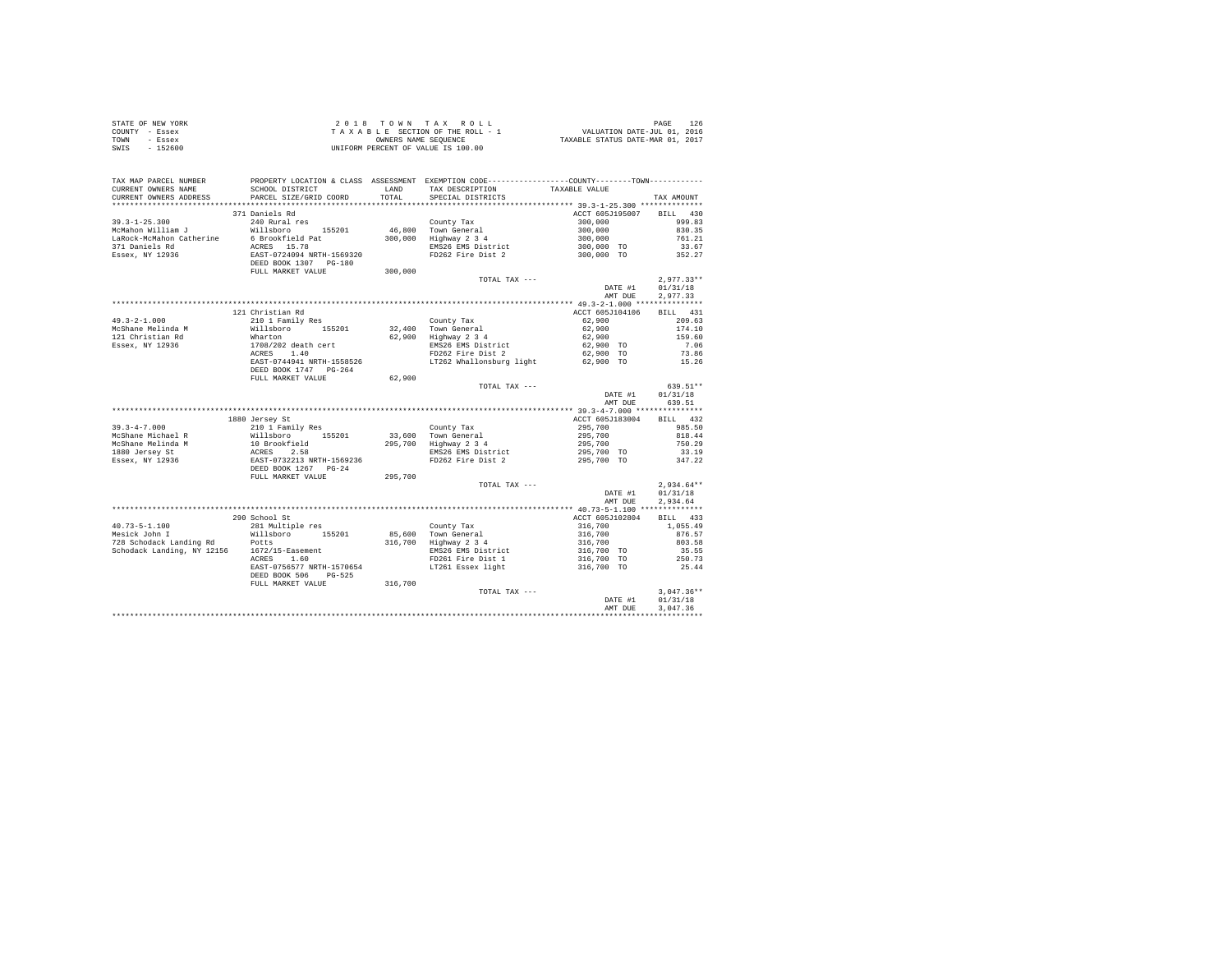|                | STATE OF NEW YORK | 2018 TOWN TAX ROLL                 | - 126<br>PAGE                    |
|----------------|-------------------|------------------------------------|----------------------------------|
| COUNTY - Essex |                   | TAXABLE SECTION OF THE ROLL - 1    | VALUATION DATE-JUL 01, 2016      |
| TOWN           | - Essex           | OWNERS NAME SEOUENCE               | TAXABLE STATUS DATE-MAR 01, 2017 |
| SWIS           | $-152600$         | UNIFORM PERCENT OF VALUE IS 100.00 |                                  |

| TAX MAP PARCEL NUMBER<br>CURRENT OWNERS NAME | SCHOOL DISTRICT                                           | <b>T.AND</b> | PROPERTY LOCATION & CLASS ASSESSMENT EXEMPTION CODE---------------COUNTY-------TOWN---------<br>TAX DESCRIPTION | TAXABLE VALUE                                                                                                                                                                                                                                   |              |
|----------------------------------------------|-----------------------------------------------------------|--------------|-----------------------------------------------------------------------------------------------------------------|-------------------------------------------------------------------------------------------------------------------------------------------------------------------------------------------------------------------------------------------------|--------------|
| CURRENT OWNERS ADDRESS                       | PARCEL SIZE/GRID COORD                                    | TOTAL        | SPECIAL DISTRICTS                                                                                               |                                                                                                                                                                                                                                                 | TAX AMOUNT   |
|                                              | **************************                                |              |                                                                                                                 |                                                                                                                                                                                                                                                 |              |
|                                              | 371 Daniels Rd                                            |              |                                                                                                                 | ACCT 605J195007                                                                                                                                                                                                                                 | BILL 430     |
| $39.3 - 1 - 25.300$                          | 240 Rural res                                             |              | County Tax                                                                                                      | $300,000$<br>$300,000$<br>$300,000$<br>$300,000$ TO<br>$300,000$ TO                                                                                                                                                                             | 999.83       |
| McMahon William J                            | Willsboro 155201                                          |              | 46,800 Town General<br>300,000 Highway 2 3 4                                                                    |                                                                                                                                                                                                                                                 | 830.35       |
| LaRock-McMahon Catherine                     | 6 Brookfield Pat                                          |              |                                                                                                                 |                                                                                                                                                                                                                                                 | 761.21       |
| 371 Daniels Rd                               | ACRES 15.78                                               |              | EMS26 EMS District                                                                                              |                                                                                                                                                                                                                                                 | 33.67        |
| Essex, NY 12936                              | EAST-0724094 NRTH-1569320<br>DEED BOOK 1307 PG-180        |              | FD262 Fire Dist 2                                                                                               |                                                                                                                                                                                                                                                 | 352.27       |
|                                              |                                                           |              |                                                                                                                 |                                                                                                                                                                                                                                                 |              |
|                                              | FULL MARKET VALUE                                         | 300,000      |                                                                                                                 |                                                                                                                                                                                                                                                 |              |
|                                              |                                                           |              | TOTAL TAX ---                                                                                                   |                                                                                                                                                                                                                                                 | $2,977.33**$ |
|                                              |                                                           |              |                                                                                                                 | DATE #1                                                                                                                                                                                                                                         | 01/31/18     |
|                                              |                                                           |              |                                                                                                                 | AMT DUE                                                                                                                                                                                                                                         | 2.977.33     |
|                                              |                                                           |              |                                                                                                                 |                                                                                                                                                                                                                                                 |              |
|                                              | 121 Christian Rd                                          |              |                                                                                                                 | ACCT 605J104106                                                                                                                                                                                                                                 | BILL 431     |
| $49.3 - 2 - 1.000$                           | 210 1 Family Res                                          |              | County Tax                                                                                                      | 62,900                                                                                                                                                                                                                                          | 209.63       |
| McShane Melinda M                            | Willsboro 155201                                          |              | 32,400 Town General<br>62,900 Highway 2 3 4                                                                     | $62,900$<br>$62,900$<br>$62,900$<br>$62,900$<br>$62,900$<br>$70$<br>$73.86$<br>$62,900$<br>$70$<br>$73.86$<br>$70.06$<br>$75.26$                                                                                                                |              |
| 121 Christian Rd                             | Wharton<br>1708/202 death cert<br>ACRES 1.40              |              |                                                                                                                 |                                                                                                                                                                                                                                                 |              |
| Essex, NY 12936                              |                                                           |              | EMS26 EMS District                                                                                              |                                                                                                                                                                                                                                                 |              |
|                                              |                                                           |              | FD262 Fire Dist 2                                                                                               |                                                                                                                                                                                                                                                 |              |
|                                              | EAST-0744941 NRTH-1558526                                 |              | LT262 Whallonsburg light                                                                                        |                                                                                                                                                                                                                                                 |              |
|                                              | DEED BOOK 1747 PG-264<br>FULL MARKET VALUE                |              |                                                                                                                 |                                                                                                                                                                                                                                                 |              |
|                                              |                                                           | 62,900       | TOTAL TAX ---                                                                                                   |                                                                                                                                                                                                                                                 | 639.51**     |
|                                              |                                                           |              |                                                                                                                 | DATE #1                                                                                                                                                                                                                                         | 01/31/18     |
|                                              |                                                           |              |                                                                                                                 | AMT DUE                                                                                                                                                                                                                                         | 639.51       |
|                                              |                                                           |              |                                                                                                                 |                                                                                                                                                                                                                                                 |              |
|                                              | 1880 Jersey St                                            |              |                                                                                                                 | ACCT 605J183004                                                                                                                                                                                                                                 | BILL 432     |
|                                              |                                                           |              | County Tax                                                                                                      |                                                                                                                                                                                                                                                 | 985.50       |
|                                              |                                                           |              |                                                                                                                 | $295,700$<br>$295,700$<br>$295,700$<br>$295,700$ TO                                                                                                                                                                                             | 818.44       |
|                                              |                                                           |              | 33,600 Town General<br>295,700 Highway 2 3 4                                                                    |                                                                                                                                                                                                                                                 | 750.29       |
|                                              |                                                           |              | EMS26 EMS District                                                                                              |                                                                                                                                                                                                                                                 | 33.19        |
|                                              |                                                           |              | FD262 Fire Dist 2                                                                                               | 295,700 TO                                                                                                                                                                                                                                      | 347.22       |
|                                              |                                                           |              |                                                                                                                 |                                                                                                                                                                                                                                                 |              |
|                                              | FULL MARKET VALUE                                         | 295,700      |                                                                                                                 |                                                                                                                                                                                                                                                 |              |
|                                              |                                                           |              | TOTAL TAX ---                                                                                                   |                                                                                                                                                                                                                                                 | $2,934.64**$ |
|                                              |                                                           |              |                                                                                                                 | DATE #1                                                                                                                                                                                                                                         | 01/31/18     |
|                                              |                                                           |              |                                                                                                                 | AMT DUE                                                                                                                                                                                                                                         | 2,934.64     |
|                                              |                                                           |              |                                                                                                                 |                                                                                                                                                                                                                                                 |              |
|                                              | 290 School St                                             |              |                                                                                                                 | ACCT 605J102804                                                                                                                                                                                                                                 | BILL 433     |
| $40.73 - 5 - 1.100$<br>$Tanh 1$              | 281 Multiple res                                          |              |                                                                                                                 | $\begin{array}{lll} \textbf{116} , \textbf{700} \\ \textbf{316} , \textbf{700} \\ \textbf{316} , \textbf{700} \\ \textbf{316} , \textbf{700} \\ \textbf{316} , \textbf{700} \textbf{70} \\ \textbf{316} , \textbf{700} \textbf{70} \end{array}$ | 1,055.49     |
|                                              |                                                           |              | County Tax<br>85,600 Town General                                                                               |                                                                                                                                                                                                                                                 | 876.57       |
|                                              |                                                           |              | 316,700 Highway 2 3 4                                                                                           |                                                                                                                                                                                                                                                 | 803.58       |
|                                              | Schodack Landing, NY 12156 1672/15-Easement<br>ACRES 1.60 |              | EMS26 EMS District                                                                                              |                                                                                                                                                                                                                                                 | 35.55        |
|                                              |                                                           |              |                                                                                                                 |                                                                                                                                                                                                                                                 | 250.73       |
|                                              | EAST-0756577 NRTH-1570654                                 |              | FD261 Fire Dist 1<br>LT261 Essex light                                                                          | 316,700 TO                                                                                                                                                                                                                                      | 25.44        |
|                                              | DEED BOOK 506 PG-525                                      |              |                                                                                                                 |                                                                                                                                                                                                                                                 |              |
|                                              | FULL MARKET VALUE                                         | 316,700      |                                                                                                                 |                                                                                                                                                                                                                                                 |              |
|                                              |                                                           |              | TOTAL TAX ---                                                                                                   |                                                                                                                                                                                                                                                 | $3,047.36**$ |
|                                              |                                                           |              |                                                                                                                 | DATE #1                                                                                                                                                                                                                                         | 01/31/18     |
|                                              |                                                           |              |                                                                                                                 | AMT DUE                                                                                                                                                                                                                                         | 3.047.36     |
|                                              |                                                           |              |                                                                                                                 |                                                                                                                                                                                                                                                 |              |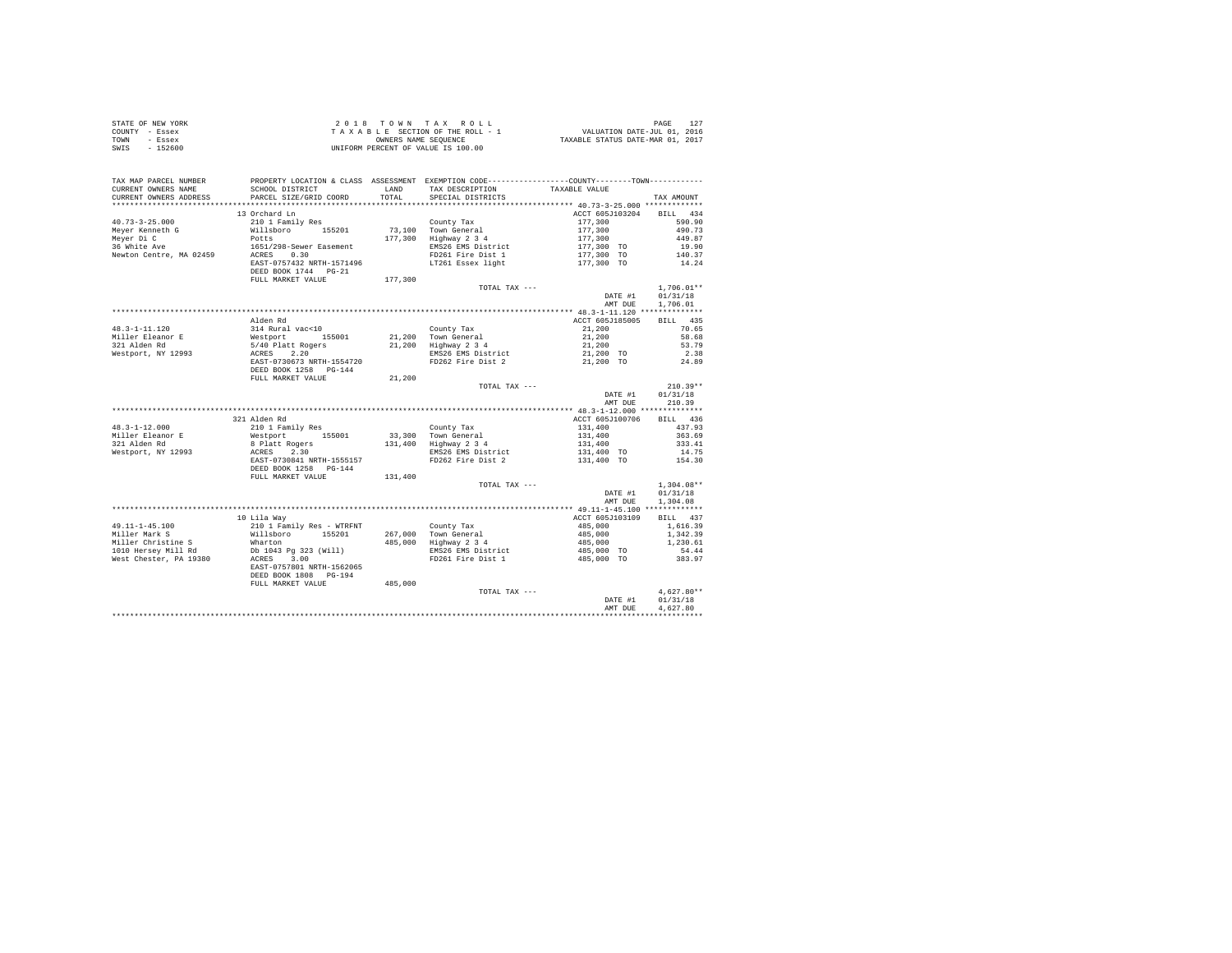| STATE OF NEW YORK | 2018 TOWN TAX ROLL                 | PAGE                             |
|-------------------|------------------------------------|----------------------------------|
| COUNTY - Essex    | TAXABLE SECTION OF THE ROLL - 1    | VALUATION DATE-JUL 01, 2016      |
| TOWN<br>- Essex   | OWNERS NAME SEOUENCE               | TAXABLE STATUS DATE-MAR 01, 2017 |
| - 152600<br>SWIS  | UNIFORM PERCENT OF VALUE IS 100.00 |                                  |

| TAX MAP PARCEL NUMBER<br>CURRENT OWNERS NAME<br>CURRENT OWNERS ADDRESS | PROPERTY LOCATION & CLASS ASSESSMENT EXEMPTION CODE---------------COUNTY-------TOWN----------<br>SCHOOL DISTRICT<br>PARCEL SIZE/GRID COORD | LAND<br>TOTAL | TAX DESCRIPTION<br>SPECIAL DISTRICTS              | TAXABLE VALUE                                                       | TAX AMOUNT    |
|------------------------------------------------------------------------|--------------------------------------------------------------------------------------------------------------------------------------------|---------------|---------------------------------------------------|---------------------------------------------------------------------|---------------|
| ***********************                                                | *************************                                                                                                                  |               |                                                   |                                                                     |               |
|                                                                        | 13 Orchard Ln                                                                                                                              |               |                                                   | ACCT 605J103204 BILL 434                                            |               |
| $40.73 - 3 - 25.000$                                                   | 210 1 Family Res                                                                                                                           |               | County Tax                                        | $177,300$<br>$177,300$<br>$177,300$<br>$177,300$ TO<br>$177,300$ TO | 590.90        |
| Meyer Kenneth G                                                        | Willsboro 155201                                                                                                                           |               | 73,100 Town General                               |                                                                     | 490.73        |
| Mever Di C                                                             | Potts                                                                                                                                      |               | 177,300 Highway 2 3 4                             |                                                                     | 449.87        |
| 36 White Ave                                                           | 1651/298-Sewer Easement<br>ACRES 0.30                                                                                                      |               | EMS26 EMS District                                |                                                                     | 19.90         |
| Newton Centre, MA 02459                                                |                                                                                                                                            |               | FD261 Fire Dist 1                                 |                                                                     | 140.37        |
|                                                                        | EAST-0757432 NRTH-1571496                                                                                                                  |               | LT261 Essex light                                 | 177,300 TO                                                          | 14.24         |
|                                                                        | DEED BOOK 1744   PG-21                                                                                                                     |               |                                                   |                                                                     |               |
|                                                                        | FULL MARKET VALUE                                                                                                                          | 177,300       |                                                   |                                                                     |               |
|                                                                        |                                                                                                                                            |               | TOTAL TAX ---                                     |                                                                     | $1,706.01**$  |
|                                                                        |                                                                                                                                            |               |                                                   | DATE #1                                                             | 01/31/18      |
|                                                                        |                                                                                                                                            |               |                                                   | AMT DUE                                                             | 1,706.01      |
|                                                                        |                                                                                                                                            |               |                                                   |                                                                     |               |
|                                                                        | Alden Rd                                                                                                                                   |               |                                                   | ACCT 605J185005                                                     | BILL 435      |
| 48.3-1-11.120                                                          | 314 Rural vac<10                                                                                                                           |               | County Tax                                        | 21,200                                                              | 70.65         |
| Miller Eleanor E                                                       |                                                                                                                                            |               | $21,200$ Town General<br>$21,200$ Highway $2$ 3 4 | 21,200                                                              | 58.68         |
| 321 Alden Rd                                                           |                                                                                                                                            |               |                                                   | 21,200                                                              | 53.79         |
| Westport, NY 12993                                                     |                                                                                                                                            |               | EMS26 EMS District                                | 21,200 TO<br>21,200 TO                                              | 2.38<br>24.89 |
|                                                                        | EAST-0730673 NRTH-1554720<br>DEED BOOK 1258 PG-144                                                                                         |               | FD262 Fire Dist 2                                 |                                                                     |               |
|                                                                        | FULL MARKET VALUE                                                                                                                          |               |                                                   |                                                                     |               |
|                                                                        |                                                                                                                                            | 21,200        | TOTAL TAX ---                                     |                                                                     | $210.39**$    |
|                                                                        |                                                                                                                                            |               |                                                   | DATE #1                                                             | 01/31/18      |
|                                                                        |                                                                                                                                            |               |                                                   | AMT DUE                                                             | 210.39        |
|                                                                        |                                                                                                                                            |               |                                                   |                                                                     |               |
|                                                                        | 321 Alden Rd                                                                                                                               |               |                                                   | ACCT 605J100706                                                     | BILL 436      |
| $48.3 - 1 - 12.000$                                                    | 210 1 Family Res                                                                                                                           |               | County Tax                                        | 131,400                                                             | 437.93        |
| Miller Eleanor E                                                       | Westport 155001                                                                                                                            |               |                                                   |                                                                     | 363.69        |
| 321 Alden Rd                                                           | 8 Platt Rogers                                                                                                                             |               | 33,300 Town General<br>131,400 Highway 2 3 4      | 131,400<br>131,400<br>131,400 TO                                    | 333.41        |
| Westport, NY 12993                                                     | ACRES 2.30                                                                                                                                 |               | EMS26 EMS District                                |                                                                     | 14.75         |
|                                                                        | EAST-0730841 NRTH-1555157                                                                                                                  |               | FD262 Fire Dist 2                                 | 131,400 TO                                                          | 154.30        |
|                                                                        | DEED BOOK 1258 PG-144                                                                                                                      |               |                                                   |                                                                     |               |
|                                                                        | FULL MARKET VALUE                                                                                                                          | 131,400       |                                                   |                                                                     |               |
|                                                                        |                                                                                                                                            |               | TOTAL TAX ---                                     |                                                                     | $1,304.08**$  |
|                                                                        |                                                                                                                                            |               |                                                   | DATE #1                                                             | 01/31/18      |
|                                                                        |                                                                                                                                            |               |                                                   | AMT DUE                                                             | 1,304.08      |
|                                                                        |                                                                                                                                            |               |                                                   |                                                                     |               |
|                                                                        | 10 Lila Way                                                                                                                                |               |                                                   | ACCT 605J103109                                                     | BILL 437      |
| 49.11-1-45.100                                                         |                                                                                                                                            |               | County Tax                                        | 485,000                                                             | 1,616.39      |
| Miller Mark S                                                          | 210 1 Family Res - WTRFNT<br>Willsboro 155201<br>Wharton                                                                                   |               | 267,000 Town General                              | 485,000                                                             | 1,342.39      |
| Miller Christine S                                                     |                                                                                                                                            |               | 485,000 Highway 2 3 4                             | 485,000                                                             | 1,230.61      |
| 1010 Hersey Mill Rd                                                    | Db 1043 Pg 323 (Will)<br>ACRES 3.00                                                                                                        |               | EMS26 EMS District<br>FD261 Fire Dist 1           | 485,000 TO                                                          | 54.44         |
| West Chester, PA 19380                                                 |                                                                                                                                            |               |                                                   | 485,000 TO                                                          | 383.97        |
|                                                                        | EAST-0757801 NRTH-1562065<br>DEED BOOK 1808 PG-194                                                                                         |               |                                                   |                                                                     |               |
|                                                                        | FULL MARKET VALUE                                                                                                                          | 485,000       |                                                   |                                                                     |               |
|                                                                        |                                                                                                                                            |               | TOTAL TAX ---                                     |                                                                     | $4.627.80**$  |
|                                                                        |                                                                                                                                            |               |                                                   | DATE #1                                                             | 01/31/18      |
|                                                                        |                                                                                                                                            |               |                                                   | AMT DUE                                                             | 4.627.80      |
|                                                                        |                                                                                                                                            |               |                                                   |                                                                     |               |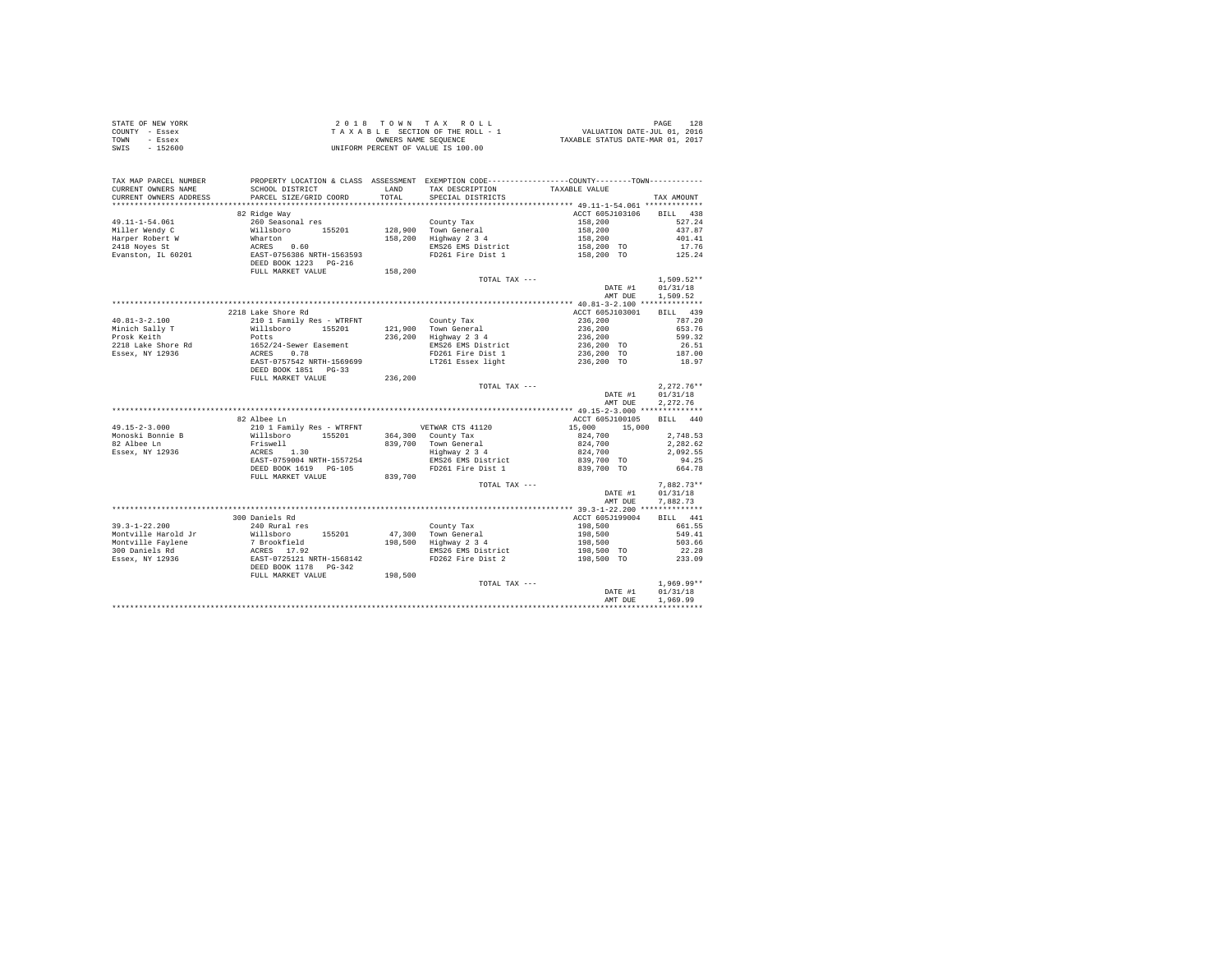|                | STATE OF NEW YORK | 2018 TOWN TAX ROLL                 | 128<br>PAGE                      |
|----------------|-------------------|------------------------------------|----------------------------------|
| COUNTY - Essex |                   | TAXABLE SECTION OF THE ROLL - 1    | VALUATION DATE-JUL 01, 2016      |
| TOWN           | - Essex           | OWNERS NAME SEOUENCE               | TAXABLE STATUS DATE-MAR 01, 2017 |
| SWIS           | $-152600$         | UNIFORM PERCENT OF VALUE IS 100.00 |                                  |

| TAX MAP PARCEL NUMBER<br>CURRENT OWNERS NAME<br>CURRENT OWNERS ADDRESS | SCHOOL DISTRICT<br>PARCEL SIZE/GRID COORD                                                                   | LAND<br>TOTAL. | PROPERTY LOCATION & CLASS ASSESSMENT EXEMPTION CODE----------------COUNTY-------TOWN----------<br>TAX DESCRIPTION<br>SPECIAL DISTRICTS | TAXABLE VALUE                                                                     | TAX AMOUNT                           |
|------------------------------------------------------------------------|-------------------------------------------------------------------------------------------------------------|----------------|----------------------------------------------------------------------------------------------------------------------------------------|-----------------------------------------------------------------------------------|--------------------------------------|
| ************************                                               |                                                                                                             |                |                                                                                                                                        |                                                                                   |                                      |
| 49.11-1-54.061<br>Miller Wendy C                                       | 82 Ridge Way                                                                                                |                | County Tax<br>$128,900$ Town General                                                                                                   | ACCT 605J103106 BILL 438                                                          | 527.24<br>437.87                     |
| Harper Robert W<br>2418 Noyes St<br>Evanston, IL 60201                 | 22 August 100<br>260 Seasonal res<br>Willsboro 155201<br>Wharton<br>ACRES 0.60<br>EAST-0756386 NRTH-1563593 |                | 158,200 Highway 2 3 4<br>EMS26 EMS District<br>FD261 Fire Dist 1                                                                       | $158,200$<br>$158,200$<br>$158,200$<br>$158,200$<br>$158,200$<br>TO<br>158,200 TO | 401.41<br>17.76<br>125.24            |
|                                                                        | DEED BOOK 1223 PG-216<br>FULL MARKET VALUE                                                                  | 158,200        |                                                                                                                                        |                                                                                   |                                      |
|                                                                        |                                                                                                             |                | TOTAL TAX ---                                                                                                                          | DATE #1<br>AMT DUE                                                                | $1.509.52**$<br>01/31/18<br>1,509.52 |
|                                                                        |                                                                                                             |                |                                                                                                                                        |                                                                                   |                                      |
|                                                                        | 2218 Lake Shore Rd                                                                                          |                |                                                                                                                                        | ACCT 605J103001                                                                   | BILL 439                             |
| $40.81 - 3 - 2.100$                                                    | 210 1 Family Res - WTRFNT                                                                                   |                | County Tax                                                                                                                             | 236,200                                                                           | 787.20                               |
| Minich Sally T                                                         | Willsboro 155201                                                                                            |                | 121.900 Town General                                                                                                                   | 236,200                                                                           | 653.76                               |
| Prosk Keith                                                            | Potts                                                                                                       |                | 236,200 Highway 2 3 4                                                                                                                  | 236,200                                                                           | 599.32                               |
| 2218 Lake Shore Rd                                                     | 1652/24-Sewer Easement<br>ACRES 0.78                                                                        |                | EMS26 EMS District                                                                                                                     | 236,200 TO                                                                        | 26.51                                |
| Essex, NY 12936                                                        |                                                                                                             |                | FD261 Fire Dist 1                                                                                                                      | 236,200 TO                                                                        | 187.00                               |
|                                                                        | EAST-0757542 NRTH-1569699<br>DEED BOOK 1851 PG-33<br>FULL MARKET VALUE                                      | 236,200        | LT261 Essex light                                                                                                                      | 236,200 TO                                                                        | 18.97                                |
|                                                                        |                                                                                                             |                | TOTAL TAX ---                                                                                                                          |                                                                                   | $2.272.76**$                         |
|                                                                        |                                                                                                             |                |                                                                                                                                        | DATE #1                                                                           | 01/31/18                             |
|                                                                        |                                                                                                             |                |                                                                                                                                        | AMT DUE                                                                           | 2.272.76                             |
|                                                                        |                                                                                                             |                |                                                                                                                                        |                                                                                   |                                      |
|                                                                        | 82 Albee Ln                                                                                                 |                |                                                                                                                                        | ACCT 605J100105                                                                   | RTT.T. 440                           |
| $49.15 - 2 - 3.000$                                                    | 210 1 Family Res - WTRFNT                                                                                   |                | VETWAR CTS 41120                                                                                                                       | 15,000<br>15,000                                                                  |                                      |
| Monoski Bonnie B                                                       | Willsboro 155201                                                                                            |                | 364,300 County Tax                                                                                                                     | 824,700                                                                           | 2,748.53                             |
| 82 Albee Ln                                                            | Friswell                                                                                                    |                |                                                                                                                                        | 824,700                                                                           | 2,282.62                             |
| Essex, NY 12936                                                        | ACRES 1.30                                                                                                  |                | 839,700 Town General<br>Highway 2 3 4                                                                                                  | 824,700                                                                           | 2.092.55                             |
|                                                                        | EAST-0759004 NRTH-1557254                                                                                   |                | EMS26 EMS District                                                                                                                     | 839,700 TO                                                                        | 94.25                                |
|                                                                        | DEED BOOK 1619 PG-105<br>FULL MARKET VALUE                                                                  | 839,700        | FD261 Fire Dist 1                                                                                                                      | 839,700 TO                                                                        | 664.78                               |
|                                                                        |                                                                                                             |                | TOTAL TAX ---                                                                                                                          | DATE #1<br>AMT DUE                                                                | $7.882.73**$<br>01/31/18<br>7.882.73 |
|                                                                        |                                                                                                             |                |                                                                                                                                        |                                                                                   |                                      |
|                                                                        | 300 Daniels Rd                                                                                              |                |                                                                                                                                        | ACCT 605J199004                                                                   | BILL 441                             |
| $39.3 - 1 - 22.200$                                                    | 240 Rural res                                                                                               |                | County Tax<br>47,300 Town General                                                                                                      | 198,500<br>198,500                                                                | 661.55                               |
| Montville Harold Jr                                                    |                                                                                                             |                |                                                                                                                                        |                                                                                   | 549.41                               |
| Montville Faylene<br>300 Daniels Rd                                    |                                                                                                             |                | 198,500 Highway 2 3 4<br>EMS26 EMS District                                                                                            | 198,500<br>198,500 TO                                                             | 503.66<br>22.28                      |
|                                                                        |                                                                                                             |                | FD262 Fire Dist 2                                                                                                                      |                                                                                   | 233.09                               |
| Essex, NY 12936                                                        | DEED BOOK 1178 PG-342<br>FULL MARKET VALUE                                                                  | 198,500        |                                                                                                                                        | 198,500 TO                                                                        |                                      |
|                                                                        |                                                                                                             |                | TOTAL TAX ---                                                                                                                          |                                                                                   | $1,969.99**$                         |
|                                                                        |                                                                                                             |                |                                                                                                                                        | DATE #1                                                                           | 01/31/18                             |
|                                                                        |                                                                                                             |                |                                                                                                                                        | AMT DUE                                                                           | 1,969.99                             |
|                                                                        |                                                                                                             |                |                                                                                                                                        |                                                                                   |                                      |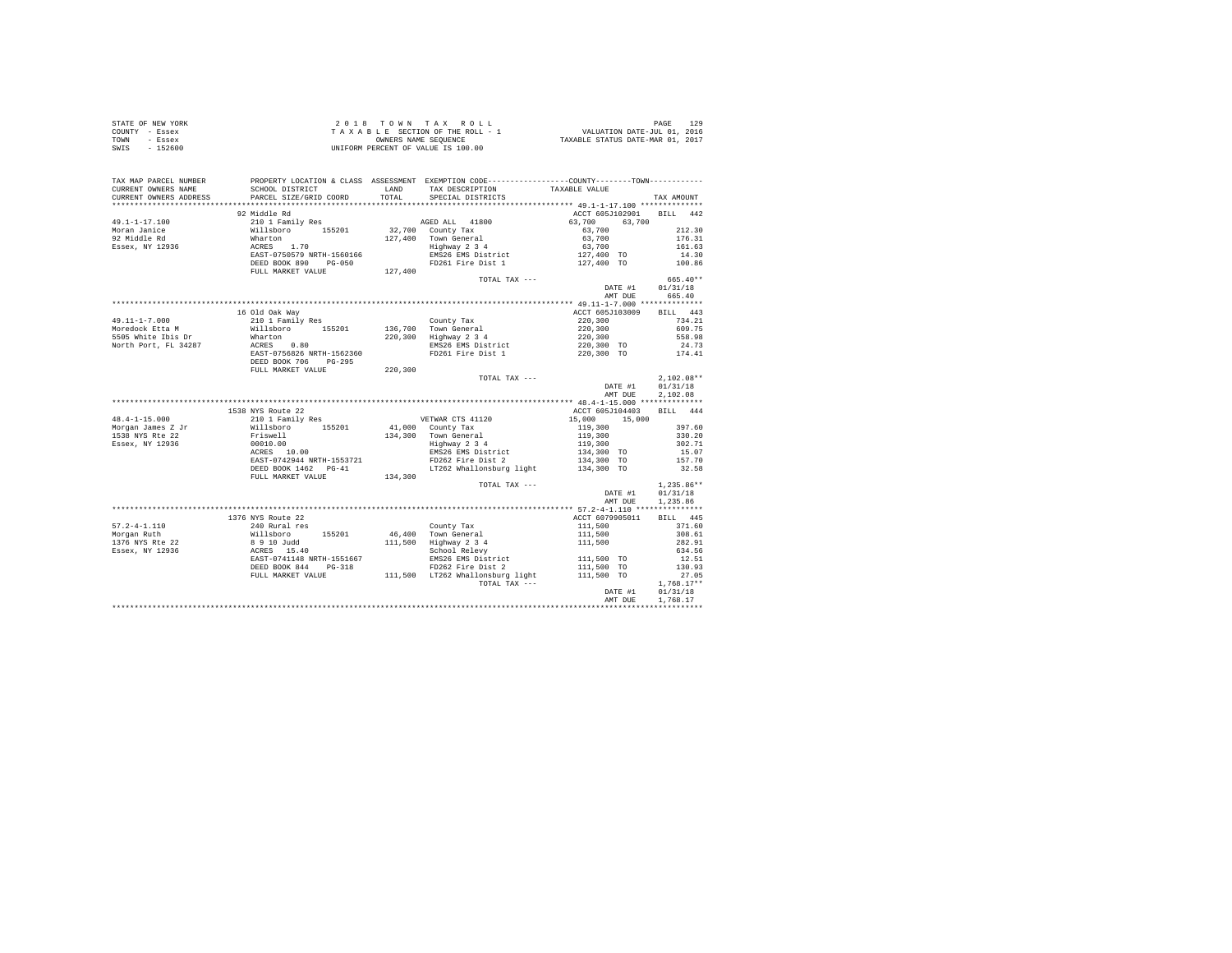| STATE OF NEW YORK                                                                                                                                                                                                    |                        |          |                                                                                                                                                                                                                                                           |                          |              |
|----------------------------------------------------------------------------------------------------------------------------------------------------------------------------------------------------------------------|------------------------|----------|-----------------------------------------------------------------------------------------------------------------------------------------------------------------------------------------------------------------------------------------------------------|--------------------------|--------------|
| COUNTY - Essex                                                                                                                                                                                                       |                        |          |                                                                                                                                                                                                                                                           |                          |              |
| TOWN - Essex                                                                                                                                                                                                         |                        |          |                                                                                                                                                                                                                                                           |                          |              |
| SWIS - 152600                                                                                                                                                                                                        |                        |          |                                                                                                                                                                                                                                                           |                          |              |
|                                                                                                                                                                                                                      |                        |          |                                                                                                                                                                                                                                                           |                          |              |
|                                                                                                                                                                                                                      |                        |          |                                                                                                                                                                                                                                                           |                          |              |
|                                                                                                                                                                                                                      |                        |          |                                                                                                                                                                                                                                                           |                          |              |
| TAX MAP PARCEL NUMBER     PROPERTY LOCATION & CLASS ASSESSMENT EXEMPTION CODE----------------COUNTY--------TOWN-----------<br>CURRENT OWNERS NAME     SCHOOL DISTRICT       LAND   TAX DESCRIPTION     TAXABLE VALUE |                        |          |                                                                                                                                                                                                                                                           |                          |              |
| CURRENT OWNERS ADDRESS                                                                                                                                                                                               | PARCEL SIZE/GRID COORD |          | TOTAL SPECIAL DISTRICTS                                                                                                                                                                                                                                   |                          |              |
|                                                                                                                                                                                                                      |                        |          |                                                                                                                                                                                                                                                           |                          | TAX AMOUNT   |
|                                                                                                                                                                                                                      |                        |          |                                                                                                                                                                                                                                                           | ACCT 605J102901 BILL 442 |              |
|                                                                                                                                                                                                                      |                        |          |                                                                                                                                                                                                                                                           |                          |              |
|                                                                                                                                                                                                                      |                        |          |                                                                                                                                                                                                                                                           |                          | 212.30       |
|                                                                                                                                                                                                                      |                        |          |                                                                                                                                                                                                                                                           |                          | 176.31       |
|                                                                                                                                                                                                                      |                        |          |                                                                                                                                                                                                                                                           |                          |              |
|                                                                                                                                                                                                                      |                        |          |                                                                                                                                                                                                                                                           |                          | 161.63       |
|                                                                                                                                                                                                                      |                        |          |                                                                                                                                                                                                                                                           |                          | 14.30        |
|                                                                                                                                                                                                                      |                        |          |                                                                                                                                                                                                                                                           |                          | 100.86       |
|                                                                                                                                                                                                                      |                        |          |                                                                                                                                                                                                                                                           |                          |              |
|                                                                                                                                                                                                                      |                        |          | TOTAL TAX ---                                                                                                                                                                                                                                             |                          | $665.40**$   |
|                                                                                                                                                                                                                      |                        |          |                                                                                                                                                                                                                                                           | DATE #1 01/31/18         |              |
|                                                                                                                                                                                                                      |                        |          |                                                                                                                                                                                                                                                           | AMT DUE 665.40           |              |
|                                                                                                                                                                                                                      |                        |          |                                                                                                                                                                                                                                                           |                          |              |
|                                                                                                                                                                                                                      |                        |          |                                                                                                                                                                                                                                                           | ACCT 605J103009          | BILL 443     |
|                                                                                                                                                                                                                      |                        |          |                                                                                                                                                                                                                                                           |                          |              |
|                                                                                                                                                                                                                      |                        |          |                                                                                                                                                                                                                                                           |                          |              |
|                                                                                                                                                                                                                      |                        |          |                                                                                                                                                                                                                                                           |                          |              |
|                                                                                                                                                                                                                      |                        |          |                                                                                                                                                                                                                                                           |                          |              |
|                                                                                                                                                                                                                      |                        |          |                                                                                                                                                                                                                                                           |                          |              |
|                                                                                                                                                                                                                      |                        |          |                                                                                                                                                                                                                                                           |                          |              |
|                                                                                                                                                                                                                      | FULL MARKET VALUE      | 220, 300 |                                                                                                                                                                                                                                                           |                          |              |
|                                                                                                                                                                                                                      |                        |          | TOTAL TAX ---                                                                                                                                                                                                                                             |                          | $2.102.08**$ |
|                                                                                                                                                                                                                      |                        |          |                                                                                                                                                                                                                                                           | DATE #1 01/31/18         |              |
|                                                                                                                                                                                                                      |                        |          |                                                                                                                                                                                                                                                           | AMT DUE                  | 2.102.08     |
|                                                                                                                                                                                                                      |                        |          |                                                                                                                                                                                                                                                           |                          |              |
|                                                                                                                                                                                                                      | 1538 NYS Route 22      |          |                                                                                                                                                                                                                                                           | ACCT 605J104403 BILL 444 |              |
| $48.4 - 1 - 15.000$                                                                                                                                                                                                  | 210 1 Family Res       |          |                                                                                                                                                                                                                                                           |                          |              |
|                                                                                                                                                                                                                      |                        |          |                                                                                                                                                                                                                                                           |                          |              |
|                                                                                                                                                                                                                      |                        |          |                                                                                                                                                                                                                                                           |                          |              |
|                                                                                                                                                                                                                      |                        |          |                                                                                                                                                                                                                                                           |                          |              |
|                                                                                                                                                                                                                      |                        |          |                                                                                                                                                                                                                                                           |                          |              |
|                                                                                                                                                                                                                      |                        |          |                                                                                                                                                                                                                                                           |                          |              |
|                                                                                                                                                                                                                      |                        |          |                                                                                                                                                                                                                                                           |                          |              |
|                                                                                                                                                                                                                      | FULL MARKET VALUE      |          | VETWAR CTS 41120 15,000 15,000 EILL 444<br>41,000 County Tax 1120<br>134,300 Town General 119,300<br>197.600 397.60<br>1982.71<br>19826 EMS District 114,300 TO 302.71<br>19762 Fire Dist 124,300 TO 15.07<br>17862 Fire Dist 2<br>174,300 TO 157.70<br>1 |                          |              |
|                                                                                                                                                                                                                      |                        |          | TOTAL TAX ---                                                                                                                                                                                                                                             |                          | $1,235.86**$ |
|                                                                                                                                                                                                                      |                        |          |                                                                                                                                                                                                                                                           | DATE #1 01/31/18         |              |
|                                                                                                                                                                                                                      |                        |          |                                                                                                                                                                                                                                                           | AMT DUE 1,235.86         |              |
|                                                                                                                                                                                                                      |                        |          |                                                                                                                                                                                                                                                           |                          |              |
|                                                                                                                                                                                                                      |                        |          |                                                                                                                                                                                                                                                           |                          |              |
|                                                                                                                                                                                                                      |                        |          |                                                                                                                                                                                                                                                           | ACCT 6079905011          |              |
|                                                                                                                                                                                                                      |                        |          |                                                                                                                                                                                                                                                           |                          |              |
|                                                                                                                                                                                                                      |                        |          |                                                                                                                                                                                                                                                           |                          |              |
|                                                                                                                                                                                                                      |                        |          |                                                                                                                                                                                                                                                           |                          |              |
|                                                                                                                                                                                                                      |                        |          |                                                                                                                                                                                                                                                           |                          |              |
|                                                                                                                                                                                                                      |                        |          |                                                                                                                                                                                                                                                           |                          |              |
|                                                                                                                                                                                                                      |                        |          |                                                                                                                                                                                                                                                           |                          |              |
|                                                                                                                                                                                                                      |                        |          |                                                                                                                                                                                                                                                           |                          |              |
|                                                                                                                                                                                                                      |                        |          |                                                                                                                                                                                                                                                           |                          |              |
|                                                                                                                                                                                                                      |                        |          |                                                                                                                                                                                                                                                           | DATE #1 01/31/18         |              |
|                                                                                                                                                                                                                      |                        |          |                                                                                                                                                                                                                                                           | AMT DUE                  | 1,768.17     |
|                                                                                                                                                                                                                      |                        |          |                                                                                                                                                                                                                                                           |                          |              |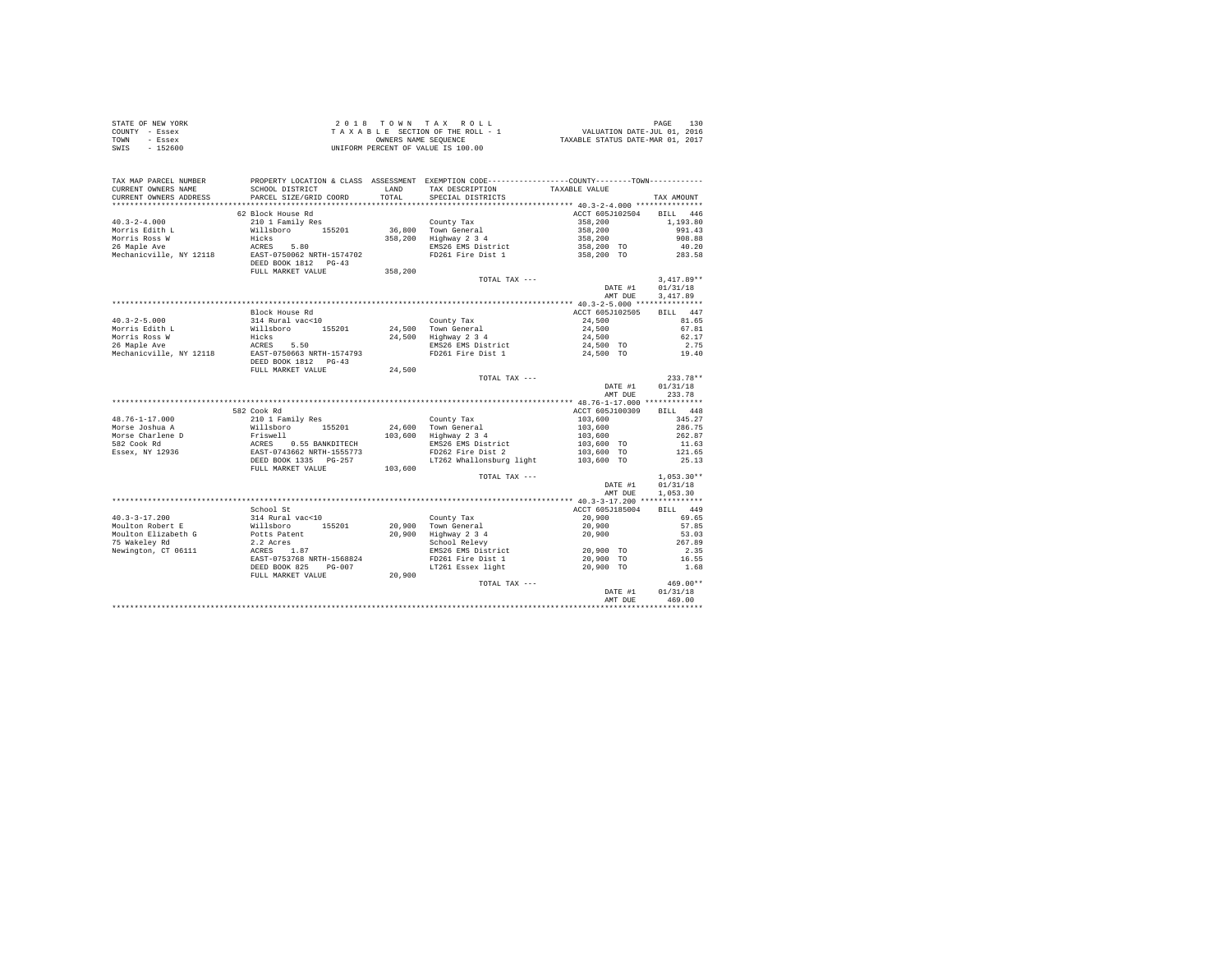| STATE OF NEW YORK | 2018 TOWN TAX ROLL                 | 130<br>PAGE                      |
|-------------------|------------------------------------|----------------------------------|
| COUNTY - Essex    | TAXABLE SECTION OF THE ROLL - 1    | VALUATION DATE-JUL 01, 2016      |
| TOWN<br>- Essex   | OWNERS NAME SEOUENCE               | TAXABLE STATUS DATE-MAR 01, 2017 |
| - 152600<br>SWIS  | UNIFORM PERCENT OF VALUE IS 100.00 |                                  |

| TAX MAP PARCEL NUMBER<br>CURRENT OWNERS NAME | SCHOOL DISTRICT                                                                                            | LAND    | PROPERTY LOCATION & CLASS ASSESSMENT EXEMPTION CODE----------------COUNTY-------TOWN----------<br>TAX DESCRIPTION | TAXABLE VALUE      |              |
|----------------------------------------------|------------------------------------------------------------------------------------------------------------|---------|-------------------------------------------------------------------------------------------------------------------|--------------------|--------------|
| CURRENT OWNERS ADDRESS                       | PARCEL SIZE/GRID COORD                                                                                     | TOTAL   | SPECIAL DISTRICTS                                                                                                 |                    | TAX AMOUNT   |
|                                              |                                                                                                            |         |                                                                                                                   |                    |              |
|                                              | 62 Block House Rd                                                                                          |         |                                                                                                                   | ACCT 605J102504    | BILL 446     |
| $40.3 - 2 - 4.000$                           | 210 1 Family Res                                                                                           |         | County Tax                                                                                                        | 358,200<br>358,200 | 1,193.80     |
| Morris Edith L                               | Willsboro 155201                                                                                           |         | 36,800 Town General                                                                                               |                    | 991.43       |
| Morris Ross W                                | Hicks                                                                                                      | 358,200 | Highway 2 3 4                                                                                                     | 358,200            | 908.88       |
| 26 Maple Ave                                 | ACRES 5.80<br>EAST-0750062 NRTH-1574702                                                                    |         | EMS26 EMS District                                                                                                | 358,200 TO         | 40.20        |
| Mechanicville, NY 12118                      |                                                                                                            |         | FD261 Fire Dist 1                                                                                                 | 358,200 TO         | 283.58       |
|                                              | DEED BOOK 1812 PG-43                                                                                       |         |                                                                                                                   |                    |              |
|                                              | FULL MARKET VALUE                                                                                          | 358,200 |                                                                                                                   |                    |              |
|                                              |                                                                                                            |         | TOTAL TAX ---                                                                                                     |                    | $3,417.89**$ |
|                                              |                                                                                                            |         |                                                                                                                   | DATE #1            | 01/31/18     |
|                                              |                                                                                                            |         |                                                                                                                   | AMT DUE            | 3,417.89     |
|                                              |                                                                                                            |         |                                                                                                                   |                    |              |
|                                              | Block House Rd                                                                                             |         |                                                                                                                   | ACCT 605J102505    | BILL 447     |
| $40.3 - 2 - 5.000$                           | 314 Rural vac<10                                                                                           |         | County Tax                                                                                                        | 24,500             | 81.65        |
| Morris Edith L                               | Willsboro<br>155201                                                                                        |         | 24,500 Town General                                                                                               | 24,500             | 67.81        |
| Morris Ross W                                | Hicks                                                                                                      |         | 24,500 Highway 2 3 4                                                                                              | 24,500             | 62.17        |
| 26 Maple Ave                                 |                                                                                                            |         | EMS26 EMS District                                                                                                | 24,500 TO          | 2.75         |
| Mechanicville, NY 12118                      | ACRES 5.50<br>EAST-0750663 NRTH-1574793                                                                    |         | FD261 Fire Dist 1                                                                                                 | 24,500 TO          | 19.40        |
|                                              | DEED BOOK 1812 PG-43                                                                                       |         |                                                                                                                   |                    |              |
|                                              | FULL MARKET VALUE                                                                                          | 24,500  |                                                                                                                   |                    |              |
|                                              |                                                                                                            |         | TOTAL TAX ---                                                                                                     |                    | $233.78**$   |
|                                              |                                                                                                            |         |                                                                                                                   | DATE #1            | 01/31/18     |
|                                              |                                                                                                            |         |                                                                                                                   | AMT DUE            | 233.78       |
|                                              |                                                                                                            |         |                                                                                                                   |                    |              |
|                                              | 582 Cook Rd                                                                                                |         |                                                                                                                   | ACCT 605J100309    | BILL 448     |
| $48.76 - 1 - 17.000$                         | 210 1 Family Res                                                                                           |         | County Tax                                                                                                        | 103,600            | 345.27       |
| Morse Joshua A                               |                                                                                                            |         |                                                                                                                   | 103,600<br>103,600 | 286.75       |
| Morse Charlene D                             |                                                                                                            |         | 24,600 Town General<br>103,600 Highway 2 3 4                                                                      |                    | 262.87       |
| 582 Cook Rd                                  |                                                                                                            |         | EMS26 EMS District                                                                                                | 103,600 TO         | 11.63        |
| Essex, NY 12936                              |                                                                                                            |         | FD262 Fire Dist 2                                                                                                 | 103,600 TO         | 121.65       |
|                                              | Willsboro 155201<br>Riswell<br>RCRES 0.55 BANKDITECH<br>RAST-0743662 NRTH-1555773<br>DEED BOOK 1335 PG-257 |         | LT262 Whallonsburg light                                                                                          | 103,600 TO         | 25.13        |
|                                              | FULL MARKET VALUE                                                                                          | 103,600 |                                                                                                                   |                    |              |
|                                              |                                                                                                            |         | TOTAL TAX ---                                                                                                     |                    | $1,053.30**$ |
|                                              |                                                                                                            |         |                                                                                                                   | DATE #1            | 01/31/18     |
|                                              |                                                                                                            |         |                                                                                                                   | AMT DUE            | 1,053.30     |
|                                              |                                                                                                            |         |                                                                                                                   |                    |              |
|                                              | School St                                                                                                  |         |                                                                                                                   | ACCT 605J185004    | BILL 449     |
| $40.3 - 3 - 17.200$                          | 314 Rural vac<10                                                                                           |         | County Tax                                                                                                        | 20,900             | 69.65        |
| Moulton Robert E                             |                                                                                                            | 20,900  | Town General                                                                                                      | 20,900             | 57.85        |
| Moulton Elizabeth G                          |                                                                                                            |         | 20,900 Highway 2 3 4                                                                                              | 20,900             | 53.03        |
| 75 Wakeley Rd                                | %illsboro 155201<br>Potts Patent<br>2.2 Acres                                                              |         | School Relevy                                                                                                     |                    | 267.89       |
| Newington, CT 06111                          | ACRES<br>1.87                                                                                              |         | EMS26 EMS District                                                                                                | 20,900 TO          | 2.35         |
|                                              | EAST-0753768 NRTH-1568824                                                                                  |         | FD261 Fire Dist 1                                                                                                 | 20,900 TO          | 16.55        |
|                                              | DEED BOOK 825<br>$PG-007$                                                                                  |         | LT261 Essex light                                                                                                 | 20,900 TO          | 1.68         |
|                                              | FULL MARKET VALUE                                                                                          | 20,900  |                                                                                                                   |                    |              |
|                                              |                                                                                                            |         | TOTAL TAX ---                                                                                                     |                    | $469.00**$   |
|                                              |                                                                                                            |         |                                                                                                                   | DATE #1            | 01/31/18     |
|                                              |                                                                                                            |         |                                                                                                                   | AMT DUE            | 469.00       |
|                                              |                                                                                                            |         |                                                                                                                   |                    |              |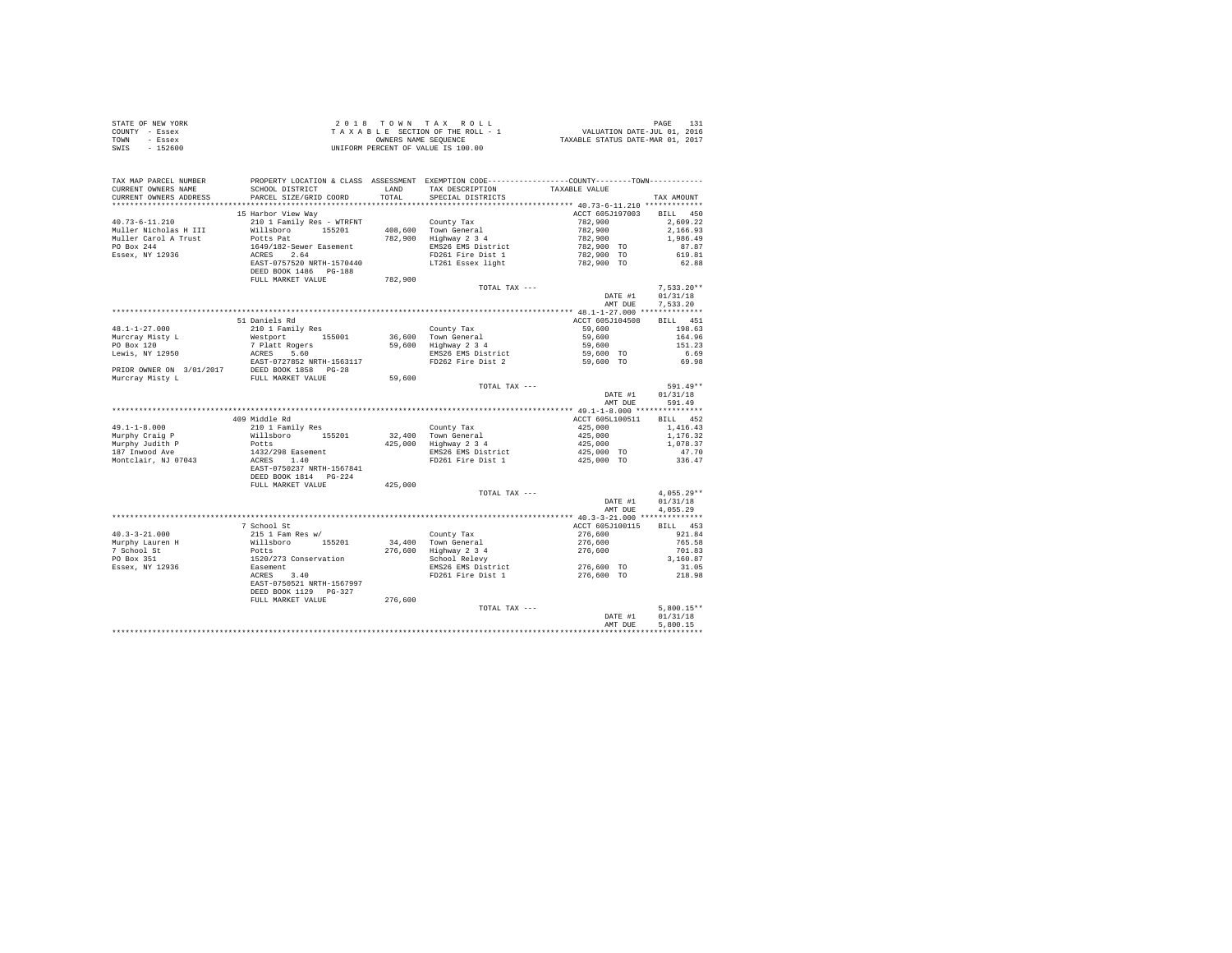|                | STATE OF NEW YORK | 2018 TOWN TAX ROLL                 | PAGE                             |
|----------------|-------------------|------------------------------------|----------------------------------|
| COUNTY - Essex |                   | TAXABLE SECTION OF THE ROLL - 1    | VALUATION DATE-JUL 01, 2016      |
| TOWN           | - Essex           | OWNERS NAME SEOUENCE               | TAXABLE STATUS DATE-MAR 01, 2017 |
| SWIS           | $-152600$         | UNIFORM PERCENT OF VALUE IS 100.00 |                                  |

| TAX MAP PARCEL NUMBER<br>CURRENT OWNERS NAME<br>CURRENT OWNERS ADDRESS | PROPERTY LOCATION & CLASS ASSESSMENT EXEMPTION CODE----------------COUNTY-------TOWN----------<br>SCHOOL DISTRICT<br>PARCEL SIZE/GRID COORD          | LAND<br>TOTAL | TAX DESCRIPTION<br>SPECIAL DISTRICTS         | TAXABLE VALUE            |                      |
|------------------------------------------------------------------------|------------------------------------------------------------------------------------------------------------------------------------------------------|---------------|----------------------------------------------|--------------------------|----------------------|
|                                                                        |                                                                                                                                                      |               |                                              |                          | TAX AMOUNT           |
|                                                                        | 15 Harbor View Way                                                                                                                                   |               |                                              | ACCT 605J197003          | BILL 450             |
| $40.73 - 6 - 11.210$                                                   | 210 1 Family Res - WTRFNT                                                                                                                            |               | County Tax                                   | 782,900                  | 2.609.22             |
| Muller Nicholas H III                                                  | Willsboro 155201                                                                                                                                     |               | 408,600 Town General                         | 782,900                  | 2,166.93             |
| Muller Carol A Trust                                                   | Potts Pat                                                                                                                                            |               | 782,900 Highway 2 3 4                        | 782,900                  | 1,986.49             |
| PO Box 244                                                             | 1649/182-Sewer Easement                                                                                                                              |               | EMS26 EMS District                           | 782,900 TO               | 87.87                |
| Essex, NY 12936                                                        | ACRES 2.64                                                                                                                                           |               | FD261 Fire Dist 1                            | 782,900 TO               | 619.81               |
|                                                                        | EAST-0757520 NRTH-1570440<br>DEED BOOK 1486 PG-188                                                                                                   |               | LT261 Essex light                            | 782,900 TO               | 62.88                |
|                                                                        | FULL MARKET VALUE                                                                                                                                    | 782,900       |                                              |                          |                      |
|                                                                        |                                                                                                                                                      |               | TOTAL TAX ---                                |                          | $7.533.20**$         |
|                                                                        |                                                                                                                                                      |               |                                              | DATE #1<br>AMT DUE       | 01/31/18<br>7.533.20 |
|                                                                        |                                                                                                                                                      |               |                                              |                          |                      |
|                                                                        | 51 Daniels Rd                                                                                                                                        |               |                                              | ACCT 605J104508          | BILL 451             |
| $48.1 - 1 - 27.000$                                                    | 210 1 Family Res                                                                                                                                     |               | County Tax                                   | 59,600                   | 198.63               |
| Murcray Misty L                                                        | Westport<br>155001                                                                                                                                   | 36,600        |                                              | 59,600                   | 164.96               |
|                                                                        |                                                                                                                                                      |               | 36,600 Town General<br>59,600 Highway 2 3 4  | 59,600                   | 151.23               |
|                                                                        |                                                                                                                                                      |               | EMS26 EMS District                           | 59,600 TO                | 6.69                 |
|                                                                        |                                                                                                                                                      |               | FD262 Fire Dist 2                            | 59,600 TO                | 69.98                |
|                                                                        | PO Box 120<br>Lewis, NY 12950<br>Lewis, NY 12950<br>PRIOR OWNER ON 3/01/2017<br>PRIOR OWNER ON 3/01/2017<br>DEED BOOK 1658 POLE<br>MULL MARKET VALUE | 59,600        |                                              |                          |                      |
|                                                                        |                                                                                                                                                      |               | TOTAL TAX ---                                |                          | 591.49**             |
|                                                                        |                                                                                                                                                      |               |                                              | DATE #1                  | 01/31/18             |
|                                                                        |                                                                                                                                                      |               |                                              | AMT DUE                  | 591.49               |
|                                                                        |                                                                                                                                                      |               |                                              |                          |                      |
|                                                                        | 409 Middle Rd                                                                                                                                        |               |                                              | ACCT 605L100511          | BILL 452             |
| $49.1 - 1 - 8.000$                                                     | 210 1 Family Res                                                                                                                                     |               | County Tax                                   | 425,000                  | 1,416.43             |
| Murphy Craig P                                                         | Willsboro 155201                                                                                                                                     | 32,400        | 32,400 Town General<br>425,000 Highway 2 3 4 | 425,000                  | 1,176.32             |
| Murphy Judith P                                                        | Potts                                                                                                                                                |               | EMS26 EMS District                           | 425,000                  | 1,078.37             |
| 187 Inwood Ave<br>Montclair, NJ 07043                                  | 1432/298 Easement<br>ACRES 1.40                                                                                                                      |               | FD261 Fire Dist 1                            | 425,000 TO<br>425,000 TO | 47.70<br>336.47      |
|                                                                        | EAST-0750237 NRTH-1567841                                                                                                                            |               |                                              |                          |                      |
|                                                                        | DEED BOOK 1814 PG-224                                                                                                                                |               |                                              |                          |                      |
|                                                                        | FULL MARKET VALUE                                                                                                                                    | 425,000       |                                              |                          |                      |
|                                                                        |                                                                                                                                                      |               | TOTAL TAX ---                                |                          | $4,055.29**$         |
|                                                                        |                                                                                                                                                      |               |                                              | DATE #1                  | 01/31/18             |
|                                                                        |                                                                                                                                                      |               |                                              | AMT DUE                  | 4,055.29             |
|                                                                        |                                                                                                                                                      |               |                                              |                          |                      |
|                                                                        | 7 School St                                                                                                                                          |               |                                              | ACCT 605J100115          | BILL 453             |
| $40.3 - 3 - 21.000$                                                    | $215$ 1 Fam Res $w/$                                                                                                                                 |               | County Tax                                   | 276,600                  | 921.84               |
| Murphy Lauren H                                                        | Willsboro 155201                                                                                                                                     |               | 34,400 Town General                          | 276,600                  | 765.58               |
| 7 School St                                                            | Potts                                                                                                                                                | 276,600       | Highway 2 3 4                                | 276,600                  | 701.83               |
| PO Box 351                                                             | 1520/273 Conservation<br>Easement                                                                                                                    |               | School Relevy                                |                          | 3,160.87             |
| Essex, NY 12936                                                        |                                                                                                                                                      |               | EMS26 EMS District                           | 276,600 TO               | 31.05                |
|                                                                        | ACRES 3.40                                                                                                                                           |               | FD261 Fire Dist 1                            | 276,600 TO               | 218.98               |
|                                                                        | EAST-0750521 NRTH-1567997                                                                                                                            |               |                                              |                          |                      |
|                                                                        | DEED BOOK 1129 PG-327<br>FULL MARKET VALUE                                                                                                           | 276,600       |                                              |                          |                      |
|                                                                        |                                                                                                                                                      |               | TOTAL TAX ---                                |                          | $5,800.15**$         |
|                                                                        |                                                                                                                                                      |               |                                              | DATE #1                  | 01/31/18             |
|                                                                        |                                                                                                                                                      |               |                                              | AMT DUE                  | 5,800.15             |
|                                                                        |                                                                                                                                                      |               |                                              |                          |                      |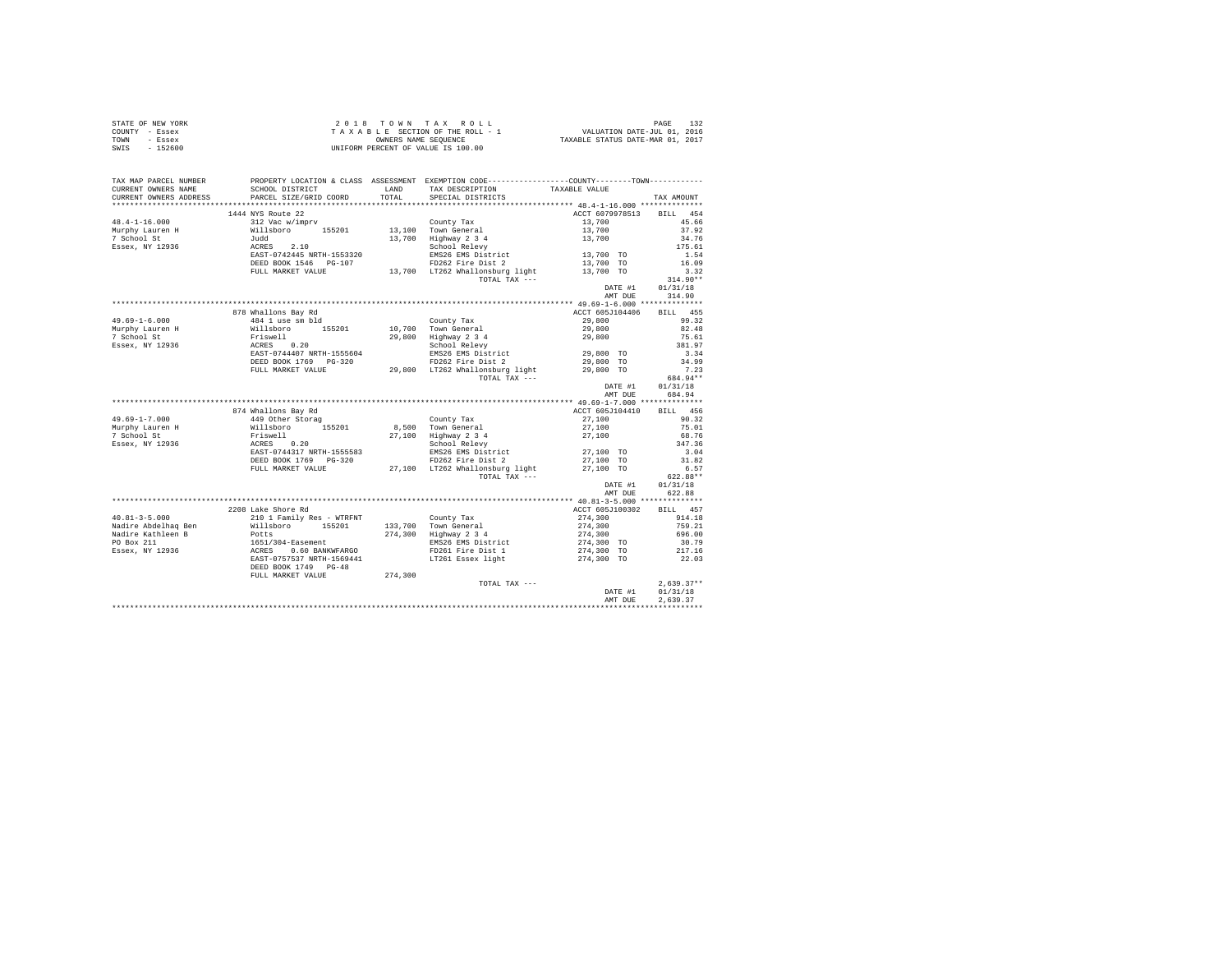|      | STATE OF NEW YORK | 2018 TOWN TAX ROLL                 | 132<br>PAGE                      |
|------|-------------------|------------------------------------|----------------------------------|
|      | COUNTY - Essex    | TAXABLE SECTION OF THE ROLL - 1    | VALUATION DATE-JUL 01, 2016      |
| TOWN | - Essex           | OWNERS NAME SEOUENCE               | TAXABLE STATUS DATE-MAR 01, 2017 |
| SWIS | $-152600$         | UNIFORM PERCENT OF VALUE IS 100.00 |                                  |

| LAND TAX DESCRIPTION TAXABLE VALUE TOTAL SPECIAL DISTRICTS<br>CURRENT OWNERS NAME<br>CURRENT OWNERS ADDRESS<br>PARCEL SIZE/GRID COORD<br>TAX AMOUNT<br>ACCT 6079978513 BILL 454<br>1444 NYS Route 22<br>45.66<br>37.92<br>34.76<br>175.61<br>1.54<br>16.09<br>FULL MARKET VALUE 13,700 LT262 Whallonsburg light 13,700 TO<br>$3.32$<br>$314.90**$<br>TOTAL TAX ---<br>DATE #1 01/31/18<br>AMT DUE<br>314.90<br>878 Whallons Bay Rd<br>ACCT 605J104406 BILL 455<br>$484$ 1 use sm bld<br>29,800<br>99.32<br>$29,800$<br>$29,800$<br>82.48<br>75.61<br>$\begin{array}{r} 381.97 \\ 3.34 \end{array}$<br>EMS26 EMS District 29,800 TO<br>DATE #1 01/31/18<br>AMT DUE 684.94<br>ACCT 605J104410 BILL 456<br>90.32<br>75.01<br>68.76<br>347.36<br>3.04<br>31.82<br>${\tt DEED\ BOOK\ 1769\quad PG-320\qquad \qquad FD262\ {\tt Fire\ Dist\ 2\qquad \qquad 27,100\ \hskip 1.2cm TQ} \eqno {\tt FUL\ MARKET\ VALUE\qquad \qquad 27,100\quad \qquad 27,100\quad \qquad 27,100\quad \qquad 27,100\quad \qquad 27,100\quad \qquad 27,100\quad \qquad 27,100\quad \qquad 27,100\quad \qquad 27,100\quad \qquad 27,100\quad \qquad 27,100\quad \qquad 27$<br>$6.57$<br>$622.88**$<br>TOTAL TAX ---<br>DATE #1<br>01/31/18<br>622.88<br>AMT DUE<br>2208 Lake Shore Rd<br>ACCT 605J100302 BILL 457<br>759.21<br>696.00<br>DEED BOOK 1749 PG-48<br>FULL MARKET VALUE 274,300<br>DATE #1<br>$2,639.37**$<br>TOTAL TAX ---<br>01/31/18<br>AMT DUE<br>2.639.37 | TAX MAP PARCEL NUMBER |  | PROPERTY LOCATION & CLASS ASSESSMENT EXEMPTION CODE----------------COUNTY-------TOWN---------- |  |
|----------------------------------------------------------------------------------------------------------------------------------------------------------------------------------------------------------------------------------------------------------------------------------------------------------------------------------------------------------------------------------------------------------------------------------------------------------------------------------------------------------------------------------------------------------------------------------------------------------------------------------------------------------------------------------------------------------------------------------------------------------------------------------------------------------------------------------------------------------------------------------------------------------------------------------------------------------------------------------------------------------------------------------------------------------------------------------------------------------------------------------------------------------------------------------------------------------------------------------------------------------------------------------------------------------------------------------------------------------------------------------------------------------------------------------------------|-----------------------|--|------------------------------------------------------------------------------------------------|--|
|                                                                                                                                                                                                                                                                                                                                                                                                                                                                                                                                                                                                                                                                                                                                                                                                                                                                                                                                                                                                                                                                                                                                                                                                                                                                                                                                                                                                                                              |                       |  |                                                                                                |  |
|                                                                                                                                                                                                                                                                                                                                                                                                                                                                                                                                                                                                                                                                                                                                                                                                                                                                                                                                                                                                                                                                                                                                                                                                                                                                                                                                                                                                                                              |                       |  |                                                                                                |  |
|                                                                                                                                                                                                                                                                                                                                                                                                                                                                                                                                                                                                                                                                                                                                                                                                                                                                                                                                                                                                                                                                                                                                                                                                                                                                                                                                                                                                                                              |                       |  |                                                                                                |  |
|                                                                                                                                                                                                                                                                                                                                                                                                                                                                                                                                                                                                                                                                                                                                                                                                                                                                                                                                                                                                                                                                                                                                                                                                                                                                                                                                                                                                                                              |                       |  |                                                                                                |  |
|                                                                                                                                                                                                                                                                                                                                                                                                                                                                                                                                                                                                                                                                                                                                                                                                                                                                                                                                                                                                                                                                                                                                                                                                                                                                                                                                                                                                                                              |                       |  |                                                                                                |  |
|                                                                                                                                                                                                                                                                                                                                                                                                                                                                                                                                                                                                                                                                                                                                                                                                                                                                                                                                                                                                                                                                                                                                                                                                                                                                                                                                                                                                                                              |                       |  |                                                                                                |  |
|                                                                                                                                                                                                                                                                                                                                                                                                                                                                                                                                                                                                                                                                                                                                                                                                                                                                                                                                                                                                                                                                                                                                                                                                                                                                                                                                                                                                                                              |                       |  |                                                                                                |  |
|                                                                                                                                                                                                                                                                                                                                                                                                                                                                                                                                                                                                                                                                                                                                                                                                                                                                                                                                                                                                                                                                                                                                                                                                                                                                                                                                                                                                                                              |                       |  |                                                                                                |  |
|                                                                                                                                                                                                                                                                                                                                                                                                                                                                                                                                                                                                                                                                                                                                                                                                                                                                                                                                                                                                                                                                                                                                                                                                                                                                                                                                                                                                                                              |                       |  |                                                                                                |  |
|                                                                                                                                                                                                                                                                                                                                                                                                                                                                                                                                                                                                                                                                                                                                                                                                                                                                                                                                                                                                                                                                                                                                                                                                                                                                                                                                                                                                                                              |                       |  |                                                                                                |  |
|                                                                                                                                                                                                                                                                                                                                                                                                                                                                                                                                                                                                                                                                                                                                                                                                                                                                                                                                                                                                                                                                                                                                                                                                                                                                                                                                                                                                                                              |                       |  |                                                                                                |  |
|                                                                                                                                                                                                                                                                                                                                                                                                                                                                                                                                                                                                                                                                                                                                                                                                                                                                                                                                                                                                                                                                                                                                                                                                                                                                                                                                                                                                                                              |                       |  |                                                                                                |  |
|                                                                                                                                                                                                                                                                                                                                                                                                                                                                                                                                                                                                                                                                                                                                                                                                                                                                                                                                                                                                                                                                                                                                                                                                                                                                                                                                                                                                                                              |                       |  |                                                                                                |  |
|                                                                                                                                                                                                                                                                                                                                                                                                                                                                                                                                                                                                                                                                                                                                                                                                                                                                                                                                                                                                                                                                                                                                                                                                                                                                                                                                                                                                                                              |                       |  |                                                                                                |  |
|                                                                                                                                                                                                                                                                                                                                                                                                                                                                                                                                                                                                                                                                                                                                                                                                                                                                                                                                                                                                                                                                                                                                                                                                                                                                                                                                                                                                                                              |                       |  |                                                                                                |  |
|                                                                                                                                                                                                                                                                                                                                                                                                                                                                                                                                                                                                                                                                                                                                                                                                                                                                                                                                                                                                                                                                                                                                                                                                                                                                                                                                                                                                                                              |                       |  |                                                                                                |  |
|                                                                                                                                                                                                                                                                                                                                                                                                                                                                                                                                                                                                                                                                                                                                                                                                                                                                                                                                                                                                                                                                                                                                                                                                                                                                                                                                                                                                                                              |                       |  |                                                                                                |  |
|                                                                                                                                                                                                                                                                                                                                                                                                                                                                                                                                                                                                                                                                                                                                                                                                                                                                                                                                                                                                                                                                                                                                                                                                                                                                                                                                                                                                                                              |                       |  |                                                                                                |  |
|                                                                                                                                                                                                                                                                                                                                                                                                                                                                                                                                                                                                                                                                                                                                                                                                                                                                                                                                                                                                                                                                                                                                                                                                                                                                                                                                                                                                                                              |                       |  |                                                                                                |  |
|                                                                                                                                                                                                                                                                                                                                                                                                                                                                                                                                                                                                                                                                                                                                                                                                                                                                                                                                                                                                                                                                                                                                                                                                                                                                                                                                                                                                                                              |                       |  |                                                                                                |  |
|                                                                                                                                                                                                                                                                                                                                                                                                                                                                                                                                                                                                                                                                                                                                                                                                                                                                                                                                                                                                                                                                                                                                                                                                                                                                                                                                                                                                                                              |                       |  |                                                                                                |  |
|                                                                                                                                                                                                                                                                                                                                                                                                                                                                                                                                                                                                                                                                                                                                                                                                                                                                                                                                                                                                                                                                                                                                                                                                                                                                                                                                                                                                                                              |                       |  |                                                                                                |  |
|                                                                                                                                                                                                                                                                                                                                                                                                                                                                                                                                                                                                                                                                                                                                                                                                                                                                                                                                                                                                                                                                                                                                                                                                                                                                                                                                                                                                                                              |                       |  |                                                                                                |  |
|                                                                                                                                                                                                                                                                                                                                                                                                                                                                                                                                                                                                                                                                                                                                                                                                                                                                                                                                                                                                                                                                                                                                                                                                                                                                                                                                                                                                                                              |                       |  |                                                                                                |  |
|                                                                                                                                                                                                                                                                                                                                                                                                                                                                                                                                                                                                                                                                                                                                                                                                                                                                                                                                                                                                                                                                                                                                                                                                                                                                                                                                                                                                                                              |                       |  |                                                                                                |  |
|                                                                                                                                                                                                                                                                                                                                                                                                                                                                                                                                                                                                                                                                                                                                                                                                                                                                                                                                                                                                                                                                                                                                                                                                                                                                                                                                                                                                                                              |                       |  |                                                                                                |  |
|                                                                                                                                                                                                                                                                                                                                                                                                                                                                                                                                                                                                                                                                                                                                                                                                                                                                                                                                                                                                                                                                                                                                                                                                                                                                                                                                                                                                                                              |                       |  |                                                                                                |  |
|                                                                                                                                                                                                                                                                                                                                                                                                                                                                                                                                                                                                                                                                                                                                                                                                                                                                                                                                                                                                                                                                                                                                                                                                                                                                                                                                                                                                                                              |                       |  |                                                                                                |  |
|                                                                                                                                                                                                                                                                                                                                                                                                                                                                                                                                                                                                                                                                                                                                                                                                                                                                                                                                                                                                                                                                                                                                                                                                                                                                                                                                                                                                                                              |                       |  |                                                                                                |  |
|                                                                                                                                                                                                                                                                                                                                                                                                                                                                                                                                                                                                                                                                                                                                                                                                                                                                                                                                                                                                                                                                                                                                                                                                                                                                                                                                                                                                                                              |                       |  |                                                                                                |  |
|                                                                                                                                                                                                                                                                                                                                                                                                                                                                                                                                                                                                                                                                                                                                                                                                                                                                                                                                                                                                                                                                                                                                                                                                                                                                                                                                                                                                                                              |                       |  |                                                                                                |  |
|                                                                                                                                                                                                                                                                                                                                                                                                                                                                                                                                                                                                                                                                                                                                                                                                                                                                                                                                                                                                                                                                                                                                                                                                                                                                                                                                                                                                                                              |                       |  |                                                                                                |  |
|                                                                                                                                                                                                                                                                                                                                                                                                                                                                                                                                                                                                                                                                                                                                                                                                                                                                                                                                                                                                                                                                                                                                                                                                                                                                                                                                                                                                                                              |                       |  |                                                                                                |  |
|                                                                                                                                                                                                                                                                                                                                                                                                                                                                                                                                                                                                                                                                                                                                                                                                                                                                                                                                                                                                                                                                                                                                                                                                                                                                                                                                                                                                                                              |                       |  |                                                                                                |  |
|                                                                                                                                                                                                                                                                                                                                                                                                                                                                                                                                                                                                                                                                                                                                                                                                                                                                                                                                                                                                                                                                                                                                                                                                                                                                                                                                                                                                                                              |                       |  |                                                                                                |  |
|                                                                                                                                                                                                                                                                                                                                                                                                                                                                                                                                                                                                                                                                                                                                                                                                                                                                                                                                                                                                                                                                                                                                                                                                                                                                                                                                                                                                                                              |                       |  |                                                                                                |  |
|                                                                                                                                                                                                                                                                                                                                                                                                                                                                                                                                                                                                                                                                                                                                                                                                                                                                                                                                                                                                                                                                                                                                                                                                                                                                                                                                                                                                                                              |                       |  |                                                                                                |  |
|                                                                                                                                                                                                                                                                                                                                                                                                                                                                                                                                                                                                                                                                                                                                                                                                                                                                                                                                                                                                                                                                                                                                                                                                                                                                                                                                                                                                                                              |                       |  |                                                                                                |  |
|                                                                                                                                                                                                                                                                                                                                                                                                                                                                                                                                                                                                                                                                                                                                                                                                                                                                                                                                                                                                                                                                                                                                                                                                                                                                                                                                                                                                                                              |                       |  |                                                                                                |  |
|                                                                                                                                                                                                                                                                                                                                                                                                                                                                                                                                                                                                                                                                                                                                                                                                                                                                                                                                                                                                                                                                                                                                                                                                                                                                                                                                                                                                                                              |                       |  |                                                                                                |  |
|                                                                                                                                                                                                                                                                                                                                                                                                                                                                                                                                                                                                                                                                                                                                                                                                                                                                                                                                                                                                                                                                                                                                                                                                                                                                                                                                                                                                                                              |                       |  |                                                                                                |  |
|                                                                                                                                                                                                                                                                                                                                                                                                                                                                                                                                                                                                                                                                                                                                                                                                                                                                                                                                                                                                                                                                                                                                                                                                                                                                                                                                                                                                                                              |                       |  |                                                                                                |  |
|                                                                                                                                                                                                                                                                                                                                                                                                                                                                                                                                                                                                                                                                                                                                                                                                                                                                                                                                                                                                                                                                                                                                                                                                                                                                                                                                                                                                                                              |                       |  |                                                                                                |  |
|                                                                                                                                                                                                                                                                                                                                                                                                                                                                                                                                                                                                                                                                                                                                                                                                                                                                                                                                                                                                                                                                                                                                                                                                                                                                                                                                                                                                                                              |                       |  |                                                                                                |  |
|                                                                                                                                                                                                                                                                                                                                                                                                                                                                                                                                                                                                                                                                                                                                                                                                                                                                                                                                                                                                                                                                                                                                                                                                                                                                                                                                                                                                                                              |                       |  |                                                                                                |  |
|                                                                                                                                                                                                                                                                                                                                                                                                                                                                                                                                                                                                                                                                                                                                                                                                                                                                                                                                                                                                                                                                                                                                                                                                                                                                                                                                                                                                                                              |                       |  |                                                                                                |  |
|                                                                                                                                                                                                                                                                                                                                                                                                                                                                                                                                                                                                                                                                                                                                                                                                                                                                                                                                                                                                                                                                                                                                                                                                                                                                                                                                                                                                                                              |                       |  |                                                                                                |  |
|                                                                                                                                                                                                                                                                                                                                                                                                                                                                                                                                                                                                                                                                                                                                                                                                                                                                                                                                                                                                                                                                                                                                                                                                                                                                                                                                                                                                                                              |                       |  |                                                                                                |  |
|                                                                                                                                                                                                                                                                                                                                                                                                                                                                                                                                                                                                                                                                                                                                                                                                                                                                                                                                                                                                                                                                                                                                                                                                                                                                                                                                                                                                                                              |                       |  |                                                                                                |  |
|                                                                                                                                                                                                                                                                                                                                                                                                                                                                                                                                                                                                                                                                                                                                                                                                                                                                                                                                                                                                                                                                                                                                                                                                                                                                                                                                                                                                                                              |                       |  |                                                                                                |  |
|                                                                                                                                                                                                                                                                                                                                                                                                                                                                                                                                                                                                                                                                                                                                                                                                                                                                                                                                                                                                                                                                                                                                                                                                                                                                                                                                                                                                                                              |                       |  |                                                                                                |  |
|                                                                                                                                                                                                                                                                                                                                                                                                                                                                                                                                                                                                                                                                                                                                                                                                                                                                                                                                                                                                                                                                                                                                                                                                                                                                                                                                                                                                                                              |                       |  |                                                                                                |  |
|                                                                                                                                                                                                                                                                                                                                                                                                                                                                                                                                                                                                                                                                                                                                                                                                                                                                                                                                                                                                                                                                                                                                                                                                                                                                                                                                                                                                                                              |                       |  |                                                                                                |  |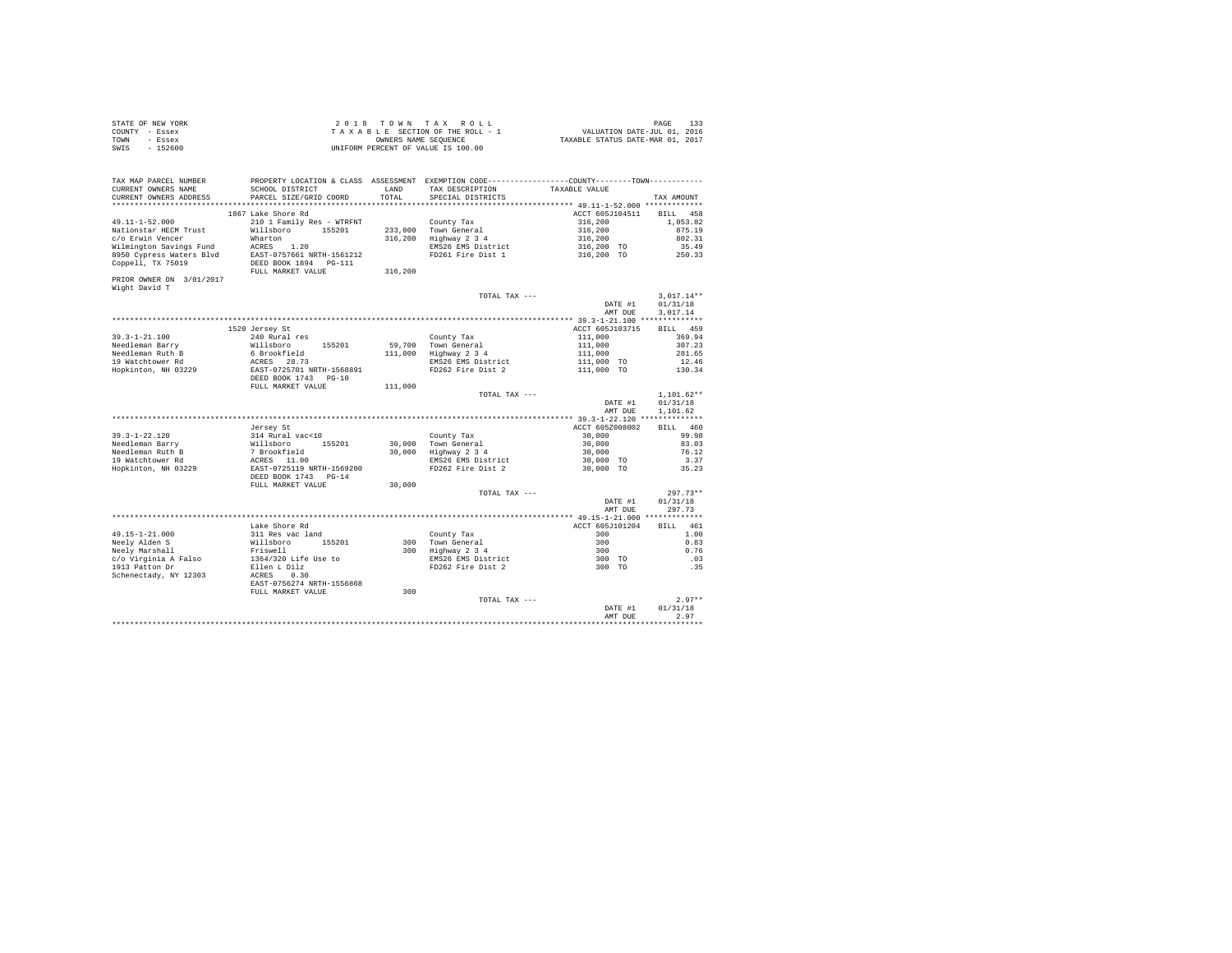|                | STATE OF NEW YORK | 2018 TOWN TAX ROLL                 | PAGE                             |
|----------------|-------------------|------------------------------------|----------------------------------|
| COUNTY - Essex |                   | TAXABLE SECTION OF THE ROLL - 1    | VALUATION DATE-JUL 01, 2016      |
| TOWN           | - Essex           | OWNERS NAME SEOUENCE               | TAXABLE STATUS DATE-MAR 01, 2017 |
| SWIS           | $-152600$         | UNIFORM PERCENT OF VALUE IS 100.00 |                                  |

| CURRENT OWNERS NAME<br>SCHOOL DISTRICT<br>LAND<br>TAX DESCRIPTION<br>TAXABLE VALUE<br>TOTAL<br>CURRENT OWNERS ADDRESS<br>PARCEL SIZE/GRID COORD<br>SPECIAL DISTRICTS<br>TAX AMOUNT<br>*************************<br>1867 Lake Shore Rd<br>ACCT 605J104511<br>458<br><b>BILL</b><br>316,200<br>$49.11 - 1 - 52.000$<br>210 1 Family Res - WTRFNT<br>1,053.82<br>County Tax<br>316,200<br>875.19<br>Nationstar HECM Trust<br>Willsboro<br>155201<br>233,000<br>Town General<br>316,200<br>Highway 2 3 4<br>c/o Erwin Vencer<br>Wharton<br>316,200<br>802.31<br>Wilmington Savings Fund<br>ACRES<br>1.20<br>EMS26 EMS District<br>316,200 TO<br>35.49<br>EAST-0757661 NRTH-1561212<br>250.33<br>8950 Cypress Waters Blvd<br>FD261 Fire Dist 1<br>316,200 TO<br>Coppell, TX 75019<br>DEED BOOK 1894 PG-111<br>316,200<br>FULL MARKET VALUE<br>PRIOR OWNER ON 3/01/2017<br>Wight David T<br>$3,017.14**$<br>TOTAL TAX ---<br>DATE #1<br>01/31/18<br>3,017.14<br>AMT DUE<br>1520 Jersey St<br>ACCT 605J103715<br>BILL 459<br>$39.3 - 1 - 21.100$<br>240 Rural res<br>111,000<br>369.94<br>County Tax<br>307.23<br>Needleman Barry<br>Willsboro<br>155201<br>59,700<br>Town General<br>111,000<br>Needleman Ruth B<br>111,000<br>Highway 2 3 4<br>111,000<br>281.65<br>6 Brookfield<br>19 Watchtower Rd<br>ACRES 28.73<br>EMS26 EMS District<br>111,000 TO<br>12.46<br>Hopkinton, NH 03229<br>FD262 Fire Dist 2<br>EAST-0725701 NRTH-1568891<br>111,000 TO<br>130.34<br>DEED BOOK 1743 PG-10<br>FULL MARKET VALUE<br>111,000<br>$1.101.62**$<br>TOTAL TAX ---<br>01/31/18<br>DATE #1<br>AMT DUE<br>1,101.62<br>ACCT 605Z008002<br>BILL 460<br>Jersey St<br>99.98<br>314 Rural vac<10<br>30,000<br>County Tax<br>155201<br>30,000<br>Town General<br>30,000<br>83.03<br>Willsboro<br>7 Brookfield<br>30,000<br>Highway 2 3 4<br>30,000<br>76.12<br>3.37<br>ACRES 11.00<br>EMS26 EMS District<br>30,000 TO<br>Hopkinton, NH 03229<br>EAST-0725119 NRTH-1569200<br>FD262 Fire Dist 2<br>30,000 TO<br>35.23<br>DEED BOOK 1743 PG-14<br>FULL MARKET VALUE<br>30,000<br>$297.73**$<br>TOTAL TAX ---<br>01/31/18<br>DATE #1<br>AMT DUE<br>297.73<br>Lake Shore Rd<br>ACCT 605J101204<br>461<br><b>BILL</b><br>49.15-1-21.000<br>311 Res vac land<br>300<br>1.00<br>County Tax<br>Neely Alden S<br>155201<br>Town General<br>300<br>0.83<br>Willsboro<br>300<br>Highway 2 3 4<br>Neely Marshall<br>Friswell<br>300<br>300<br>0.76<br>c/o Virginia A Falso<br>1364/320 Life Use to<br>EMS26 EMS District<br>.03<br>300 TO<br>1913 Patton Dr<br>Ellen L Dilz<br>FD262 Fire Dist 2<br>300 TO<br>.35<br>ACRES<br>0.30<br>EAST-0756274 NRTH-1556868<br>FULL MARKET VALUE<br>300<br>$2.97**$<br>TOTAL TAX ---<br>DATE #1<br>01/31/18<br>2.97<br>AMT DUE<br>. | TAX MAP PARCEL NUMBER |  | PROPERTY LOCATION & CLASS ASSESSMENT EXEMPTION CODE----------------COUNTY-------TOWN--------- |  |
|----------------------------------------------------------------------------------------------------------------------------------------------------------------------------------------------------------------------------------------------------------------------------------------------------------------------------------------------------------------------------------------------------------------------------------------------------------------------------------------------------------------------------------------------------------------------------------------------------------------------------------------------------------------------------------------------------------------------------------------------------------------------------------------------------------------------------------------------------------------------------------------------------------------------------------------------------------------------------------------------------------------------------------------------------------------------------------------------------------------------------------------------------------------------------------------------------------------------------------------------------------------------------------------------------------------------------------------------------------------------------------------------------------------------------------------------------------------------------------------------------------------------------------------------------------------------------------------------------------------------------------------------------------------------------------------------------------------------------------------------------------------------------------------------------------------------------------------------------------------------------------------------------------------------------------------------------------------------------------------------------------------------------------------------------------------------------------------------------------------------------------------------------------------------------------------------------------------------------------------------------------------------------------------------------------------------------------------------------------------------------------------------------------------------------------------------------------------------------------------------------------------------------------------------------------------------------------------------------------------------------------------------------------------------------------------------------------------------------------------|-----------------------|--|-----------------------------------------------------------------------------------------------|--|
|                                                                                                                                                                                                                                                                                                                                                                                                                                                                                                                                                                                                                                                                                                                                                                                                                                                                                                                                                                                                                                                                                                                                                                                                                                                                                                                                                                                                                                                                                                                                                                                                                                                                                                                                                                                                                                                                                                                                                                                                                                                                                                                                                                                                                                                                                                                                                                                                                                                                                                                                                                                                                                                                                                                                        |                       |  |                                                                                               |  |
|                                                                                                                                                                                                                                                                                                                                                                                                                                                                                                                                                                                                                                                                                                                                                                                                                                                                                                                                                                                                                                                                                                                                                                                                                                                                                                                                                                                                                                                                                                                                                                                                                                                                                                                                                                                                                                                                                                                                                                                                                                                                                                                                                                                                                                                                                                                                                                                                                                                                                                                                                                                                                                                                                                                                        |                       |  |                                                                                               |  |
|                                                                                                                                                                                                                                                                                                                                                                                                                                                                                                                                                                                                                                                                                                                                                                                                                                                                                                                                                                                                                                                                                                                                                                                                                                                                                                                                                                                                                                                                                                                                                                                                                                                                                                                                                                                                                                                                                                                                                                                                                                                                                                                                                                                                                                                                                                                                                                                                                                                                                                                                                                                                                                                                                                                                        |                       |  |                                                                                               |  |
|                                                                                                                                                                                                                                                                                                                                                                                                                                                                                                                                                                                                                                                                                                                                                                                                                                                                                                                                                                                                                                                                                                                                                                                                                                                                                                                                                                                                                                                                                                                                                                                                                                                                                                                                                                                                                                                                                                                                                                                                                                                                                                                                                                                                                                                                                                                                                                                                                                                                                                                                                                                                                                                                                                                                        |                       |  |                                                                                               |  |
|                                                                                                                                                                                                                                                                                                                                                                                                                                                                                                                                                                                                                                                                                                                                                                                                                                                                                                                                                                                                                                                                                                                                                                                                                                                                                                                                                                                                                                                                                                                                                                                                                                                                                                                                                                                                                                                                                                                                                                                                                                                                                                                                                                                                                                                                                                                                                                                                                                                                                                                                                                                                                                                                                                                                        |                       |  |                                                                                               |  |
|                                                                                                                                                                                                                                                                                                                                                                                                                                                                                                                                                                                                                                                                                                                                                                                                                                                                                                                                                                                                                                                                                                                                                                                                                                                                                                                                                                                                                                                                                                                                                                                                                                                                                                                                                                                                                                                                                                                                                                                                                                                                                                                                                                                                                                                                                                                                                                                                                                                                                                                                                                                                                                                                                                                                        |                       |  |                                                                                               |  |
|                                                                                                                                                                                                                                                                                                                                                                                                                                                                                                                                                                                                                                                                                                                                                                                                                                                                                                                                                                                                                                                                                                                                                                                                                                                                                                                                                                                                                                                                                                                                                                                                                                                                                                                                                                                                                                                                                                                                                                                                                                                                                                                                                                                                                                                                                                                                                                                                                                                                                                                                                                                                                                                                                                                                        |                       |  |                                                                                               |  |
|                                                                                                                                                                                                                                                                                                                                                                                                                                                                                                                                                                                                                                                                                                                                                                                                                                                                                                                                                                                                                                                                                                                                                                                                                                                                                                                                                                                                                                                                                                                                                                                                                                                                                                                                                                                                                                                                                                                                                                                                                                                                                                                                                                                                                                                                                                                                                                                                                                                                                                                                                                                                                                                                                                                                        |                       |  |                                                                                               |  |
|                                                                                                                                                                                                                                                                                                                                                                                                                                                                                                                                                                                                                                                                                                                                                                                                                                                                                                                                                                                                                                                                                                                                                                                                                                                                                                                                                                                                                                                                                                                                                                                                                                                                                                                                                                                                                                                                                                                                                                                                                                                                                                                                                                                                                                                                                                                                                                                                                                                                                                                                                                                                                                                                                                                                        |                       |  |                                                                                               |  |
|                                                                                                                                                                                                                                                                                                                                                                                                                                                                                                                                                                                                                                                                                                                                                                                                                                                                                                                                                                                                                                                                                                                                                                                                                                                                                                                                                                                                                                                                                                                                                                                                                                                                                                                                                                                                                                                                                                                                                                                                                                                                                                                                                                                                                                                                                                                                                                                                                                                                                                                                                                                                                                                                                                                                        |                       |  |                                                                                               |  |
|                                                                                                                                                                                                                                                                                                                                                                                                                                                                                                                                                                                                                                                                                                                                                                                                                                                                                                                                                                                                                                                                                                                                                                                                                                                                                                                                                                                                                                                                                                                                                                                                                                                                                                                                                                                                                                                                                                                                                                                                                                                                                                                                                                                                                                                                                                                                                                                                                                                                                                                                                                                                                                                                                                                                        |                       |  |                                                                                               |  |
|                                                                                                                                                                                                                                                                                                                                                                                                                                                                                                                                                                                                                                                                                                                                                                                                                                                                                                                                                                                                                                                                                                                                                                                                                                                                                                                                                                                                                                                                                                                                                                                                                                                                                                                                                                                                                                                                                                                                                                                                                                                                                                                                                                                                                                                                                                                                                                                                                                                                                                                                                                                                                                                                                                                                        |                       |  |                                                                                               |  |
|                                                                                                                                                                                                                                                                                                                                                                                                                                                                                                                                                                                                                                                                                                                                                                                                                                                                                                                                                                                                                                                                                                                                                                                                                                                                                                                                                                                                                                                                                                                                                                                                                                                                                                                                                                                                                                                                                                                                                                                                                                                                                                                                                                                                                                                                                                                                                                                                                                                                                                                                                                                                                                                                                                                                        |                       |  |                                                                                               |  |
|                                                                                                                                                                                                                                                                                                                                                                                                                                                                                                                                                                                                                                                                                                                                                                                                                                                                                                                                                                                                                                                                                                                                                                                                                                                                                                                                                                                                                                                                                                                                                                                                                                                                                                                                                                                                                                                                                                                                                                                                                                                                                                                                                                                                                                                                                                                                                                                                                                                                                                                                                                                                                                                                                                                                        |                       |  |                                                                                               |  |
|                                                                                                                                                                                                                                                                                                                                                                                                                                                                                                                                                                                                                                                                                                                                                                                                                                                                                                                                                                                                                                                                                                                                                                                                                                                                                                                                                                                                                                                                                                                                                                                                                                                                                                                                                                                                                                                                                                                                                                                                                                                                                                                                                                                                                                                                                                                                                                                                                                                                                                                                                                                                                                                                                                                                        |                       |  |                                                                                               |  |
|                                                                                                                                                                                                                                                                                                                                                                                                                                                                                                                                                                                                                                                                                                                                                                                                                                                                                                                                                                                                                                                                                                                                                                                                                                                                                                                                                                                                                                                                                                                                                                                                                                                                                                                                                                                                                                                                                                                                                                                                                                                                                                                                                                                                                                                                                                                                                                                                                                                                                                                                                                                                                                                                                                                                        |                       |  |                                                                                               |  |
|                                                                                                                                                                                                                                                                                                                                                                                                                                                                                                                                                                                                                                                                                                                                                                                                                                                                                                                                                                                                                                                                                                                                                                                                                                                                                                                                                                                                                                                                                                                                                                                                                                                                                                                                                                                                                                                                                                                                                                                                                                                                                                                                                                                                                                                                                                                                                                                                                                                                                                                                                                                                                                                                                                                                        |                       |  |                                                                                               |  |
|                                                                                                                                                                                                                                                                                                                                                                                                                                                                                                                                                                                                                                                                                                                                                                                                                                                                                                                                                                                                                                                                                                                                                                                                                                                                                                                                                                                                                                                                                                                                                                                                                                                                                                                                                                                                                                                                                                                                                                                                                                                                                                                                                                                                                                                                                                                                                                                                                                                                                                                                                                                                                                                                                                                                        |                       |  |                                                                                               |  |
|                                                                                                                                                                                                                                                                                                                                                                                                                                                                                                                                                                                                                                                                                                                                                                                                                                                                                                                                                                                                                                                                                                                                                                                                                                                                                                                                                                                                                                                                                                                                                                                                                                                                                                                                                                                                                                                                                                                                                                                                                                                                                                                                                                                                                                                                                                                                                                                                                                                                                                                                                                                                                                                                                                                                        |                       |  |                                                                                               |  |
|                                                                                                                                                                                                                                                                                                                                                                                                                                                                                                                                                                                                                                                                                                                                                                                                                                                                                                                                                                                                                                                                                                                                                                                                                                                                                                                                                                                                                                                                                                                                                                                                                                                                                                                                                                                                                                                                                                                                                                                                                                                                                                                                                                                                                                                                                                                                                                                                                                                                                                                                                                                                                                                                                                                                        |                       |  |                                                                                               |  |
|                                                                                                                                                                                                                                                                                                                                                                                                                                                                                                                                                                                                                                                                                                                                                                                                                                                                                                                                                                                                                                                                                                                                                                                                                                                                                                                                                                                                                                                                                                                                                                                                                                                                                                                                                                                                                                                                                                                                                                                                                                                                                                                                                                                                                                                                                                                                                                                                                                                                                                                                                                                                                                                                                                                                        |                       |  |                                                                                               |  |
|                                                                                                                                                                                                                                                                                                                                                                                                                                                                                                                                                                                                                                                                                                                                                                                                                                                                                                                                                                                                                                                                                                                                                                                                                                                                                                                                                                                                                                                                                                                                                                                                                                                                                                                                                                                                                                                                                                                                                                                                                                                                                                                                                                                                                                                                                                                                                                                                                                                                                                                                                                                                                                                                                                                                        |                       |  |                                                                                               |  |
|                                                                                                                                                                                                                                                                                                                                                                                                                                                                                                                                                                                                                                                                                                                                                                                                                                                                                                                                                                                                                                                                                                                                                                                                                                                                                                                                                                                                                                                                                                                                                                                                                                                                                                                                                                                                                                                                                                                                                                                                                                                                                                                                                                                                                                                                                                                                                                                                                                                                                                                                                                                                                                                                                                                                        |                       |  |                                                                                               |  |
|                                                                                                                                                                                                                                                                                                                                                                                                                                                                                                                                                                                                                                                                                                                                                                                                                                                                                                                                                                                                                                                                                                                                                                                                                                                                                                                                                                                                                                                                                                                                                                                                                                                                                                                                                                                                                                                                                                                                                                                                                                                                                                                                                                                                                                                                                                                                                                                                                                                                                                                                                                                                                                                                                                                                        |                       |  |                                                                                               |  |
|                                                                                                                                                                                                                                                                                                                                                                                                                                                                                                                                                                                                                                                                                                                                                                                                                                                                                                                                                                                                                                                                                                                                                                                                                                                                                                                                                                                                                                                                                                                                                                                                                                                                                                                                                                                                                                                                                                                                                                                                                                                                                                                                                                                                                                                                                                                                                                                                                                                                                                                                                                                                                                                                                                                                        |                       |  |                                                                                               |  |
|                                                                                                                                                                                                                                                                                                                                                                                                                                                                                                                                                                                                                                                                                                                                                                                                                                                                                                                                                                                                                                                                                                                                                                                                                                                                                                                                                                                                                                                                                                                                                                                                                                                                                                                                                                                                                                                                                                                                                                                                                                                                                                                                                                                                                                                                                                                                                                                                                                                                                                                                                                                                                                                                                                                                        |                       |  |                                                                                               |  |
|                                                                                                                                                                                                                                                                                                                                                                                                                                                                                                                                                                                                                                                                                                                                                                                                                                                                                                                                                                                                                                                                                                                                                                                                                                                                                                                                                                                                                                                                                                                                                                                                                                                                                                                                                                                                                                                                                                                                                                                                                                                                                                                                                                                                                                                                                                                                                                                                                                                                                                                                                                                                                                                                                                                                        |                       |  |                                                                                               |  |
|                                                                                                                                                                                                                                                                                                                                                                                                                                                                                                                                                                                                                                                                                                                                                                                                                                                                                                                                                                                                                                                                                                                                                                                                                                                                                                                                                                                                                                                                                                                                                                                                                                                                                                                                                                                                                                                                                                                                                                                                                                                                                                                                                                                                                                                                                                                                                                                                                                                                                                                                                                                                                                                                                                                                        |                       |  |                                                                                               |  |
|                                                                                                                                                                                                                                                                                                                                                                                                                                                                                                                                                                                                                                                                                                                                                                                                                                                                                                                                                                                                                                                                                                                                                                                                                                                                                                                                                                                                                                                                                                                                                                                                                                                                                                                                                                                                                                                                                                                                                                                                                                                                                                                                                                                                                                                                                                                                                                                                                                                                                                                                                                                                                                                                                                                                        |                       |  |                                                                                               |  |
|                                                                                                                                                                                                                                                                                                                                                                                                                                                                                                                                                                                                                                                                                                                                                                                                                                                                                                                                                                                                                                                                                                                                                                                                                                                                                                                                                                                                                                                                                                                                                                                                                                                                                                                                                                                                                                                                                                                                                                                                                                                                                                                                                                                                                                                                                                                                                                                                                                                                                                                                                                                                                                                                                                                                        |                       |  |                                                                                               |  |
|                                                                                                                                                                                                                                                                                                                                                                                                                                                                                                                                                                                                                                                                                                                                                                                                                                                                                                                                                                                                                                                                                                                                                                                                                                                                                                                                                                                                                                                                                                                                                                                                                                                                                                                                                                                                                                                                                                                                                                                                                                                                                                                                                                                                                                                                                                                                                                                                                                                                                                                                                                                                                                                                                                                                        |                       |  |                                                                                               |  |
|                                                                                                                                                                                                                                                                                                                                                                                                                                                                                                                                                                                                                                                                                                                                                                                                                                                                                                                                                                                                                                                                                                                                                                                                                                                                                                                                                                                                                                                                                                                                                                                                                                                                                                                                                                                                                                                                                                                                                                                                                                                                                                                                                                                                                                                                                                                                                                                                                                                                                                                                                                                                                                                                                                                                        |                       |  |                                                                                               |  |
|                                                                                                                                                                                                                                                                                                                                                                                                                                                                                                                                                                                                                                                                                                                                                                                                                                                                                                                                                                                                                                                                                                                                                                                                                                                                                                                                                                                                                                                                                                                                                                                                                                                                                                                                                                                                                                                                                                                                                                                                                                                                                                                                                                                                                                                                                                                                                                                                                                                                                                                                                                                                                                                                                                                                        | $39.3 - 1 - 22.120$   |  |                                                                                               |  |
|                                                                                                                                                                                                                                                                                                                                                                                                                                                                                                                                                                                                                                                                                                                                                                                                                                                                                                                                                                                                                                                                                                                                                                                                                                                                                                                                                                                                                                                                                                                                                                                                                                                                                                                                                                                                                                                                                                                                                                                                                                                                                                                                                                                                                                                                                                                                                                                                                                                                                                                                                                                                                                                                                                                                        | Needleman Barry       |  |                                                                                               |  |
|                                                                                                                                                                                                                                                                                                                                                                                                                                                                                                                                                                                                                                                                                                                                                                                                                                                                                                                                                                                                                                                                                                                                                                                                                                                                                                                                                                                                                                                                                                                                                                                                                                                                                                                                                                                                                                                                                                                                                                                                                                                                                                                                                                                                                                                                                                                                                                                                                                                                                                                                                                                                                                                                                                                                        | Needleman Ruth B      |  |                                                                                               |  |
|                                                                                                                                                                                                                                                                                                                                                                                                                                                                                                                                                                                                                                                                                                                                                                                                                                                                                                                                                                                                                                                                                                                                                                                                                                                                                                                                                                                                                                                                                                                                                                                                                                                                                                                                                                                                                                                                                                                                                                                                                                                                                                                                                                                                                                                                                                                                                                                                                                                                                                                                                                                                                                                                                                                                        | 19 Watchtower Rd      |  |                                                                                               |  |
|                                                                                                                                                                                                                                                                                                                                                                                                                                                                                                                                                                                                                                                                                                                                                                                                                                                                                                                                                                                                                                                                                                                                                                                                                                                                                                                                                                                                                                                                                                                                                                                                                                                                                                                                                                                                                                                                                                                                                                                                                                                                                                                                                                                                                                                                                                                                                                                                                                                                                                                                                                                                                                                                                                                                        |                       |  |                                                                                               |  |
|                                                                                                                                                                                                                                                                                                                                                                                                                                                                                                                                                                                                                                                                                                                                                                                                                                                                                                                                                                                                                                                                                                                                                                                                                                                                                                                                                                                                                                                                                                                                                                                                                                                                                                                                                                                                                                                                                                                                                                                                                                                                                                                                                                                                                                                                                                                                                                                                                                                                                                                                                                                                                                                                                                                                        |                       |  |                                                                                               |  |
|                                                                                                                                                                                                                                                                                                                                                                                                                                                                                                                                                                                                                                                                                                                                                                                                                                                                                                                                                                                                                                                                                                                                                                                                                                                                                                                                                                                                                                                                                                                                                                                                                                                                                                                                                                                                                                                                                                                                                                                                                                                                                                                                                                                                                                                                                                                                                                                                                                                                                                                                                                                                                                                                                                                                        |                       |  |                                                                                               |  |
|                                                                                                                                                                                                                                                                                                                                                                                                                                                                                                                                                                                                                                                                                                                                                                                                                                                                                                                                                                                                                                                                                                                                                                                                                                                                                                                                                                                                                                                                                                                                                                                                                                                                                                                                                                                                                                                                                                                                                                                                                                                                                                                                                                                                                                                                                                                                                                                                                                                                                                                                                                                                                                                                                                                                        |                       |  |                                                                                               |  |
|                                                                                                                                                                                                                                                                                                                                                                                                                                                                                                                                                                                                                                                                                                                                                                                                                                                                                                                                                                                                                                                                                                                                                                                                                                                                                                                                                                                                                                                                                                                                                                                                                                                                                                                                                                                                                                                                                                                                                                                                                                                                                                                                                                                                                                                                                                                                                                                                                                                                                                                                                                                                                                                                                                                                        |                       |  |                                                                                               |  |
|                                                                                                                                                                                                                                                                                                                                                                                                                                                                                                                                                                                                                                                                                                                                                                                                                                                                                                                                                                                                                                                                                                                                                                                                                                                                                                                                                                                                                                                                                                                                                                                                                                                                                                                                                                                                                                                                                                                                                                                                                                                                                                                                                                                                                                                                                                                                                                                                                                                                                                                                                                                                                                                                                                                                        |                       |  |                                                                                               |  |
|                                                                                                                                                                                                                                                                                                                                                                                                                                                                                                                                                                                                                                                                                                                                                                                                                                                                                                                                                                                                                                                                                                                                                                                                                                                                                                                                                                                                                                                                                                                                                                                                                                                                                                                                                                                                                                                                                                                                                                                                                                                                                                                                                                                                                                                                                                                                                                                                                                                                                                                                                                                                                                                                                                                                        |                       |  |                                                                                               |  |
|                                                                                                                                                                                                                                                                                                                                                                                                                                                                                                                                                                                                                                                                                                                                                                                                                                                                                                                                                                                                                                                                                                                                                                                                                                                                                                                                                                                                                                                                                                                                                                                                                                                                                                                                                                                                                                                                                                                                                                                                                                                                                                                                                                                                                                                                                                                                                                                                                                                                                                                                                                                                                                                                                                                                        |                       |  |                                                                                               |  |
|                                                                                                                                                                                                                                                                                                                                                                                                                                                                                                                                                                                                                                                                                                                                                                                                                                                                                                                                                                                                                                                                                                                                                                                                                                                                                                                                                                                                                                                                                                                                                                                                                                                                                                                                                                                                                                                                                                                                                                                                                                                                                                                                                                                                                                                                                                                                                                                                                                                                                                                                                                                                                                                                                                                                        |                       |  |                                                                                               |  |
|                                                                                                                                                                                                                                                                                                                                                                                                                                                                                                                                                                                                                                                                                                                                                                                                                                                                                                                                                                                                                                                                                                                                                                                                                                                                                                                                                                                                                                                                                                                                                                                                                                                                                                                                                                                                                                                                                                                                                                                                                                                                                                                                                                                                                                                                                                                                                                                                                                                                                                                                                                                                                                                                                                                                        |                       |  |                                                                                               |  |
|                                                                                                                                                                                                                                                                                                                                                                                                                                                                                                                                                                                                                                                                                                                                                                                                                                                                                                                                                                                                                                                                                                                                                                                                                                                                                                                                                                                                                                                                                                                                                                                                                                                                                                                                                                                                                                                                                                                                                                                                                                                                                                                                                                                                                                                                                                                                                                                                                                                                                                                                                                                                                                                                                                                                        |                       |  |                                                                                               |  |
|                                                                                                                                                                                                                                                                                                                                                                                                                                                                                                                                                                                                                                                                                                                                                                                                                                                                                                                                                                                                                                                                                                                                                                                                                                                                                                                                                                                                                                                                                                                                                                                                                                                                                                                                                                                                                                                                                                                                                                                                                                                                                                                                                                                                                                                                                                                                                                                                                                                                                                                                                                                                                                                                                                                                        |                       |  |                                                                                               |  |
|                                                                                                                                                                                                                                                                                                                                                                                                                                                                                                                                                                                                                                                                                                                                                                                                                                                                                                                                                                                                                                                                                                                                                                                                                                                                                                                                                                                                                                                                                                                                                                                                                                                                                                                                                                                                                                                                                                                                                                                                                                                                                                                                                                                                                                                                                                                                                                                                                                                                                                                                                                                                                                                                                                                                        |                       |  |                                                                                               |  |
|                                                                                                                                                                                                                                                                                                                                                                                                                                                                                                                                                                                                                                                                                                                                                                                                                                                                                                                                                                                                                                                                                                                                                                                                                                                                                                                                                                                                                                                                                                                                                                                                                                                                                                                                                                                                                                                                                                                                                                                                                                                                                                                                                                                                                                                                                                                                                                                                                                                                                                                                                                                                                                                                                                                                        |                       |  |                                                                                               |  |
|                                                                                                                                                                                                                                                                                                                                                                                                                                                                                                                                                                                                                                                                                                                                                                                                                                                                                                                                                                                                                                                                                                                                                                                                                                                                                                                                                                                                                                                                                                                                                                                                                                                                                                                                                                                                                                                                                                                                                                                                                                                                                                                                                                                                                                                                                                                                                                                                                                                                                                                                                                                                                                                                                                                                        | Schenectady, NY 12303 |  |                                                                                               |  |
|                                                                                                                                                                                                                                                                                                                                                                                                                                                                                                                                                                                                                                                                                                                                                                                                                                                                                                                                                                                                                                                                                                                                                                                                                                                                                                                                                                                                                                                                                                                                                                                                                                                                                                                                                                                                                                                                                                                                                                                                                                                                                                                                                                                                                                                                                                                                                                                                                                                                                                                                                                                                                                                                                                                                        |                       |  |                                                                                               |  |
|                                                                                                                                                                                                                                                                                                                                                                                                                                                                                                                                                                                                                                                                                                                                                                                                                                                                                                                                                                                                                                                                                                                                                                                                                                                                                                                                                                                                                                                                                                                                                                                                                                                                                                                                                                                                                                                                                                                                                                                                                                                                                                                                                                                                                                                                                                                                                                                                                                                                                                                                                                                                                                                                                                                                        |                       |  |                                                                                               |  |
|                                                                                                                                                                                                                                                                                                                                                                                                                                                                                                                                                                                                                                                                                                                                                                                                                                                                                                                                                                                                                                                                                                                                                                                                                                                                                                                                                                                                                                                                                                                                                                                                                                                                                                                                                                                                                                                                                                                                                                                                                                                                                                                                                                                                                                                                                                                                                                                                                                                                                                                                                                                                                                                                                                                                        |                       |  |                                                                                               |  |
|                                                                                                                                                                                                                                                                                                                                                                                                                                                                                                                                                                                                                                                                                                                                                                                                                                                                                                                                                                                                                                                                                                                                                                                                                                                                                                                                                                                                                                                                                                                                                                                                                                                                                                                                                                                                                                                                                                                                                                                                                                                                                                                                                                                                                                                                                                                                                                                                                                                                                                                                                                                                                                                                                                                                        |                       |  |                                                                                               |  |
|                                                                                                                                                                                                                                                                                                                                                                                                                                                                                                                                                                                                                                                                                                                                                                                                                                                                                                                                                                                                                                                                                                                                                                                                                                                                                                                                                                                                                                                                                                                                                                                                                                                                                                                                                                                                                                                                                                                                                                                                                                                                                                                                                                                                                                                                                                                                                                                                                                                                                                                                                                                                                                                                                                                                        |                       |  |                                                                                               |  |
|                                                                                                                                                                                                                                                                                                                                                                                                                                                                                                                                                                                                                                                                                                                                                                                                                                                                                                                                                                                                                                                                                                                                                                                                                                                                                                                                                                                                                                                                                                                                                                                                                                                                                                                                                                                                                                                                                                                                                                                                                                                                                                                                                                                                                                                                                                                                                                                                                                                                                                                                                                                                                                                                                                                                        |                       |  |                                                                                               |  |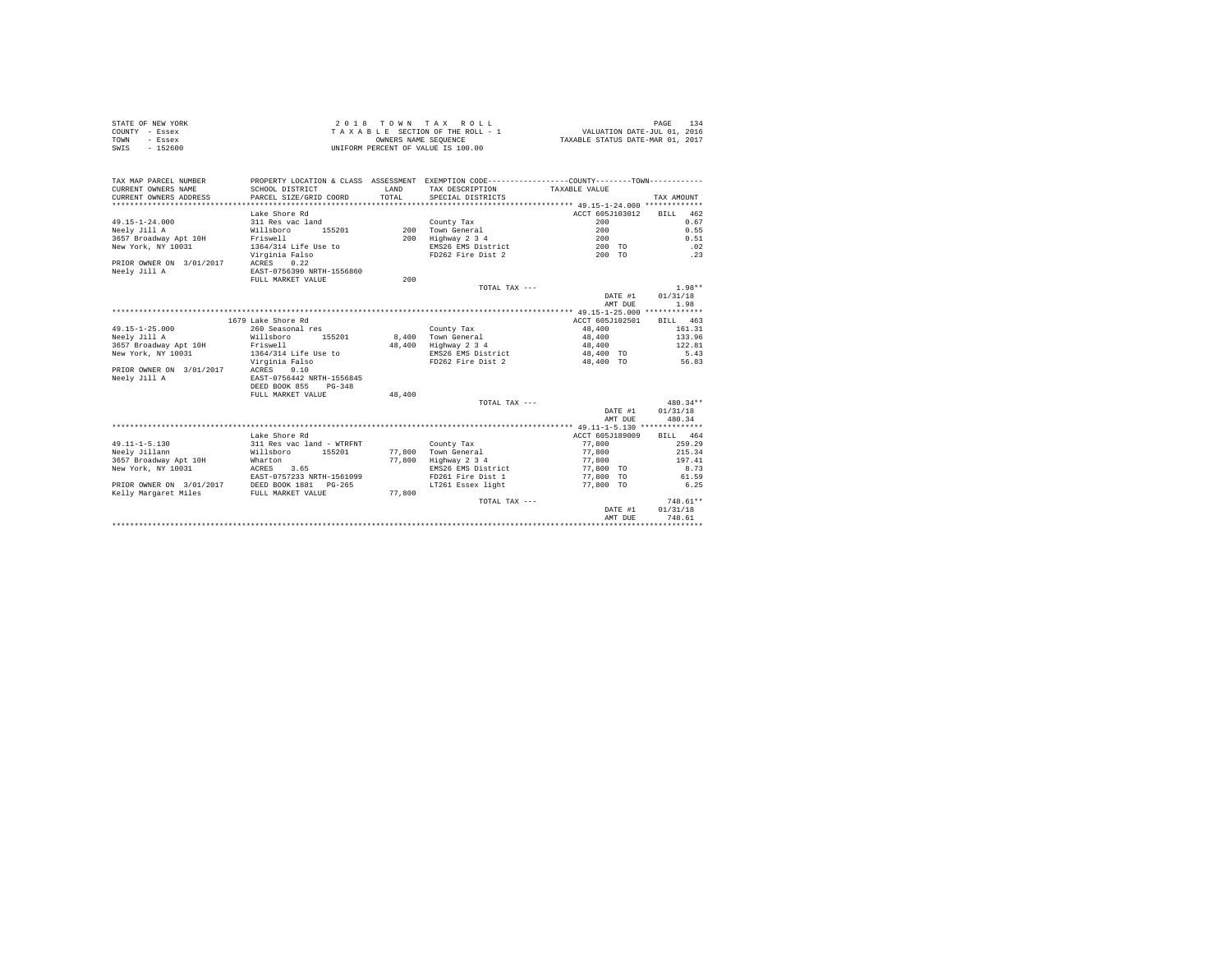| STATE OF NEW YORK | 2018 TOWN TAX ROLL                 | 134<br>PAGE                      |
|-------------------|------------------------------------|----------------------------------|
| COUNTY - Essex    | TAXABLE SECTION OF THE ROLL - 1    | VALUATION DATE-JUL 01, 2016      |
| TOWN<br>- Essex   | OWNERS NAME SEOUENCE               | TAXABLE STATUS DATE-MAR 01, 2017 |
| $-152600$<br>SWIS | UNIFORM PERCENT OF VALUE IS 100.00 |                                  |

| TAX MAP PARCEL NUMBER<br>CURRENT OWNERS NAME<br>CURRENT OWNERS ADDRESS                                          | PROPERTY LOCATION & CLASS ASSESSMENT EXEMPTION CODE---------------COUNTY-------TOWN---------<br>SCHOOL DISTRICT<br>PARCEL SIZE/GRID COORD | LAND<br>TOTAL | TAX DESCRIPTION TAXABLE VALUE<br>SPECIAL DISTRICTS                                         |                                                          | TAX AMOUNT                                         |
|-----------------------------------------------------------------------------------------------------------------|-------------------------------------------------------------------------------------------------------------------------------------------|---------------|--------------------------------------------------------------------------------------------|----------------------------------------------------------|----------------------------------------------------|
| $49.15 - 1 - 24.000$<br>Neely Jill A<br>3657 Broadway Apt 10H<br>New York, NY 10031<br>PRIOR OWNER ON 3/01/2017 | Lake Shore Rd<br>311 Res vac land<br>Willsboro<br>155201<br>Friswell<br>1364/314 Life Use to<br>Virginia Falso<br>ACRES 0.22              | 200           | County Tax<br>200 Town General<br>Highway 2 3 4<br>EMS26 EMS District<br>FD262 Fire Dist 2 | ACCT 605J103012<br>200<br>200<br>200<br>200 TO<br>200 TO | RTLL.<br>462<br>0.67<br>0.55<br>0.51<br>.02<br>.23 |
| Neelv Jill A                                                                                                    | EAST-0756390 NRTH-1556860<br>FULL MARKET VALUE                                                                                            | 200           | TOTAL TAX ---                                                                              | DATE #1                                                  | $1.98**$<br>01/31/18                               |
|                                                                                                                 |                                                                                                                                           |               |                                                                                            | AMT DUE                                                  | 1.98                                               |
|                                                                                                                 |                                                                                                                                           |               |                                                                                            |                                                          |                                                    |
|                                                                                                                 | 1679 Lake Shore Rd                                                                                                                        |               |                                                                                            | ACCT 605J102501                                          | BILL 463                                           |
| $49.15 - 1 - 25.000$                                                                                            | 260 Seasonal res                                                                                                                          |               | County Tax                                                                                 | 48,400                                                   | 161.31                                             |
| Neelv Jill A                                                                                                    | 155201<br>Willsboro                                                                                                                       | 8,400         | Town General                                                                               | 48,400                                                   | 133.96                                             |
| 3657 Broadway Apt 10H                                                                                           | Friswell                                                                                                                                  | 48,400        | Highway 2 3 4                                                                              | 48,400                                                   | 122.81                                             |
| New York, NY 10031                                                                                              | 1364/314 Life Use to                                                                                                                      |               | EMS26 EMS District                                                                         | 48,400 TO                                                | 5.43                                               |
|                                                                                                                 | Virginia Falso                                                                                                                            |               | FD262 Fire Dist 2                                                                          | 48,400 TO                                                | 56.83                                              |
| PRIOR OWNER ON 3/01/2017                                                                                        | ACRES 0.10                                                                                                                                |               |                                                                                            |                                                          |                                                    |
| Neelv Jill A                                                                                                    | EAST-0756442 NRTH-1556845                                                                                                                 |               |                                                                                            |                                                          |                                                    |
|                                                                                                                 | DEED BOOK 855<br>$PG-348$                                                                                                                 |               |                                                                                            |                                                          |                                                    |
|                                                                                                                 | FULL MARKET VALUE                                                                                                                         | 48,400        |                                                                                            |                                                          |                                                    |
|                                                                                                                 |                                                                                                                                           |               | TOTAL TAX ---                                                                              |                                                          | $480.34**$                                         |
|                                                                                                                 |                                                                                                                                           |               |                                                                                            | DATE #1                                                  | 01/31/18                                           |
|                                                                                                                 |                                                                                                                                           |               |                                                                                            | AMT DUE                                                  | 480.34                                             |
|                                                                                                                 |                                                                                                                                           |               |                                                                                            |                                                          |                                                    |
|                                                                                                                 | Lake Shore Rd                                                                                                                             |               |                                                                                            | ACCT 605J189009                                          | BILL 464                                           |
| $49.11 - 1 - 5.130$                                                                                             | 311 Res vac land - WTRFNT                                                                                                                 |               | County Tax                                                                                 | 77,800                                                   | 259.29                                             |
| Neelv Jillann                                                                                                   | Willsboro<br>155201                                                                                                                       |               | 77.800 Town General                                                                        | 77.800                                                   | 215.34                                             |
| 3657 Broadway Apt 10H                                                                                           | Wharton                                                                                                                                   | 77.800        | Highway 2 3 4                                                                              | 77.800                                                   | 197.41                                             |
| New York, NY 10031                                                                                              | ACRES 3.65                                                                                                                                |               | EMS26 EMS District                                                                         | 77,800 TO                                                | 8.73                                               |
|                                                                                                                 | EAST-0757233 NRTH-1561099                                                                                                                 |               | FD261 Fire Dist 1                                                                          | 77,800 TO                                                | 61.59                                              |
| PRIOR OWNER ON 3/01/2017 DEED BOOK 1881 PG-265                                                                  |                                                                                                                                           |               | LT261 Essex light                                                                          | 77.800 TO                                                | 6.25                                               |
| Kelly Margaret Miles                                                                                            | FULL MARKET VALUE                                                                                                                         | 77,800        |                                                                                            |                                                          |                                                    |
|                                                                                                                 |                                                                                                                                           |               | TOTAL TAX ---                                                                              |                                                          | 748.61**                                           |
|                                                                                                                 |                                                                                                                                           |               |                                                                                            | DATE #1                                                  | 01/31/18                                           |
|                                                                                                                 |                                                                                                                                           |               |                                                                                            | AMT DUE                                                  | 748.61                                             |
|                                                                                                                 |                                                                                                                                           |               |                                                                                            |                                                          |                                                    |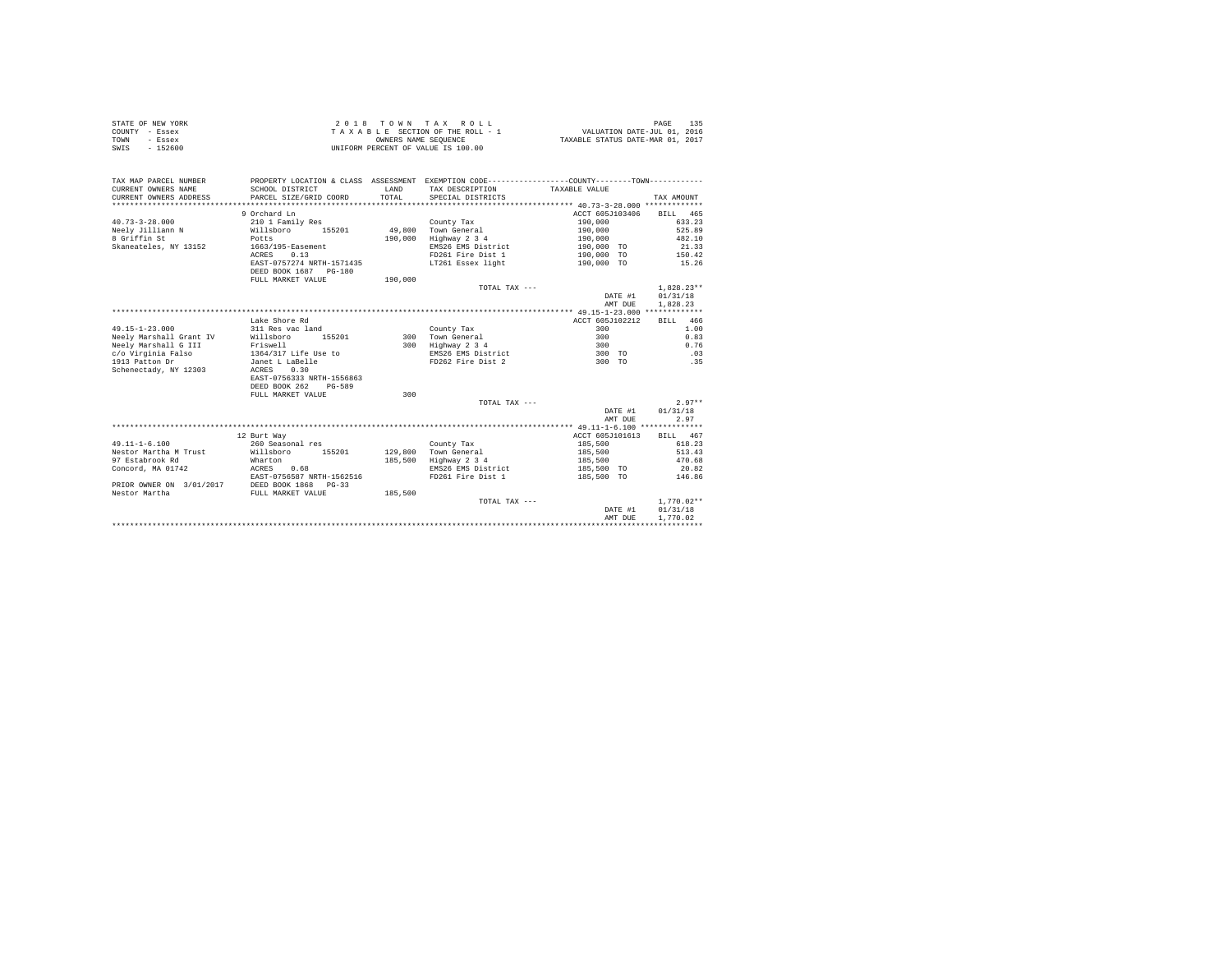| STATE OF NEW YORK | 2018 TOWN TAX ROLL                 | 135<br>PAGE                      |
|-------------------|------------------------------------|----------------------------------|
| COUNTY - Essex    | TAXABLE SECTION OF THE ROLL - 1    | VALUATION DATE-JUL 01, 2016      |
| TOWN<br>- Essex   | OWNERS NAME SEOUENCE               | TAXABLE STATUS DATE-MAR 01, 2017 |
| - 152600<br>SWIS  | UNIFORM PERCENT OF VALUE IS 100.00 |                                  |

| TAX MAP PARCEL NUMBER<br>CURRENT OWNERS NAME<br>CURRENT OWNERS ADDRESS | SCHOOL DISTRICT<br>PARCEL SIZE/GRID COORD | LAND<br>TOTAL. | PROPERTY LOCATION & CLASS ASSESSMENT EXEMPTION CODE----------------COUNTY--------TOWN----------<br>TAX DESCRIPTION TAXABLE VALUE<br>SPECIAL DISTRICTS |                 | TAX AMOUNT   |
|------------------------------------------------------------------------|-------------------------------------------|----------------|-------------------------------------------------------------------------------------------------------------------------------------------------------|-----------------|--------------|
|                                                                        | 9 Orchard Ln                              |                |                                                                                                                                                       | ACCT 605J103406 | BILL 465     |
| $40.73 - 3 - 28.000$                                                   | 210 1 Family Res                          |                | County Tax                                                                                                                                            | 190,000         | 633.23       |
| Neelv Jilliann N                                                       | Willsboro<br>155201                       |                | 49.800 Town General                                                                                                                                   | 190,000         | 525.89       |
| 8 Griffin St                                                           | Potts                                     | 190,000        | Highway 2 3 4                                                                                                                                         | 190,000         | 482.10       |
| Skaneateles, NY 13152                                                  | 1663/195-Easement                         |                | EMS26 EMS District                                                                                                                                    | 190,000 TO      | 21.33        |
|                                                                        | 0.13<br>ACRES                             |                | FD261 Fire Dist 1                                                                                                                                     | 190,000 TO      | 150.42       |
|                                                                        | EAST-0757274 NRTH-1571435                 |                | LT261 Essex light                                                                                                                                     | 190,000 TO      | 15.26        |
|                                                                        | DEED BOOK 1687 PG-180                     |                |                                                                                                                                                       |                 |              |
|                                                                        | FULL MARKET VALUE                         | 190,000        |                                                                                                                                                       |                 |              |
|                                                                        |                                           |                | TOTAL TAX ---                                                                                                                                         |                 | $1.828.23**$ |
|                                                                        |                                           |                |                                                                                                                                                       | DATE #1         | 01/31/18     |
|                                                                        |                                           |                |                                                                                                                                                       | AMT DUE         | 1,828.23     |
|                                                                        |                                           |                |                                                                                                                                                       |                 |              |
|                                                                        | Lake Shore Rd                             |                |                                                                                                                                                       | ACCT 605J102212 | BILL 466     |
| $49.15 - 1 - 23.000$                                                   | 311 Res vac land                          |                |                                                                                                                                                       | 300             | 1.00         |
| Neely Marshall Grant IV                                                | 155201<br>Willsboro                       |                | County Tax<br>300 Town General                                                                                                                        | 300             | 0.83         |
| Neelv Marshall G III                                                   | Friswell                                  |                |                                                                                                                                                       | 300             | 0.76         |
| c/o Virginia Falso                                                     |                                           |                | 300 Highway 2 3 4<br>EMS26 EMS District                                                                                                               | 300 TO          | .03          |
| 1913 Patton Dr                                                         | 1364/317 Life Use to<br>Janet L LaBelle   |                | FD262 Fire Dist 2                                                                                                                                     | 300 TO          | .35          |
| Schenectady, NY 12303                                                  | 0.30<br>ACRES                             |                |                                                                                                                                                       |                 |              |
|                                                                        | EAST-0756333 NRTH-1556863                 |                |                                                                                                                                                       |                 |              |
|                                                                        | DEED BOOK 262<br>$PG - 589$               |                |                                                                                                                                                       |                 |              |
|                                                                        | FULL MARKET VALUE                         | 300            |                                                                                                                                                       |                 |              |
|                                                                        |                                           |                | TOTAL TAX ---                                                                                                                                         |                 | $2.97**$     |
|                                                                        |                                           |                |                                                                                                                                                       | DATE #1         | 01/31/18     |
|                                                                        |                                           |                |                                                                                                                                                       | AMT DUE         | 2.97         |
|                                                                        |                                           |                |                                                                                                                                                       |                 |              |
|                                                                        | 12 Burt Way                               |                |                                                                                                                                                       | ACCT 605J101613 | BILL 467     |
| $49.11 - 1 - 6.100$                                                    | 260 Seasonal res                          |                | County Tax                                                                                                                                            | 185,500         | 618.23       |
| Nestor Martha M Trust                                                  | Willsboro<br>155201                       |                | 129,800 Town General                                                                                                                                  | 185,500         | 513.43       |
| 97 Estabrook Rd                                                        | Wharton                                   | 185,500        | Highway 2 3 4                                                                                                                                         | 185,500         | 470.68       |
| Concord, MA 01742                                                      | ACRES 0.68                                |                | EMS26 EMS District                                                                                                                                    | 185,500 TO      | 20.82        |
|                                                                        | EAST-0756587 NRTH-1562516                 |                | FD261 Fire Dist 1                                                                                                                                     | 185,500 TO      | 146.86       |
| PRIOR OWNER ON 3/01/2017                                               | DEED BOOK 1868 PG-33                      |                |                                                                                                                                                       |                 |              |
| Nestor Martha                                                          | FULL MARKET VALUE                         | 185,500        |                                                                                                                                                       |                 |              |
|                                                                        |                                           |                | TOTAL TAX ---                                                                                                                                         |                 | $1,770.02**$ |
|                                                                        |                                           |                |                                                                                                                                                       | DATE #1         | 01/31/18     |
|                                                                        |                                           |                |                                                                                                                                                       | AMT DUE         | 1,770.02     |
|                                                                        |                                           |                |                                                                                                                                                       |                 |              |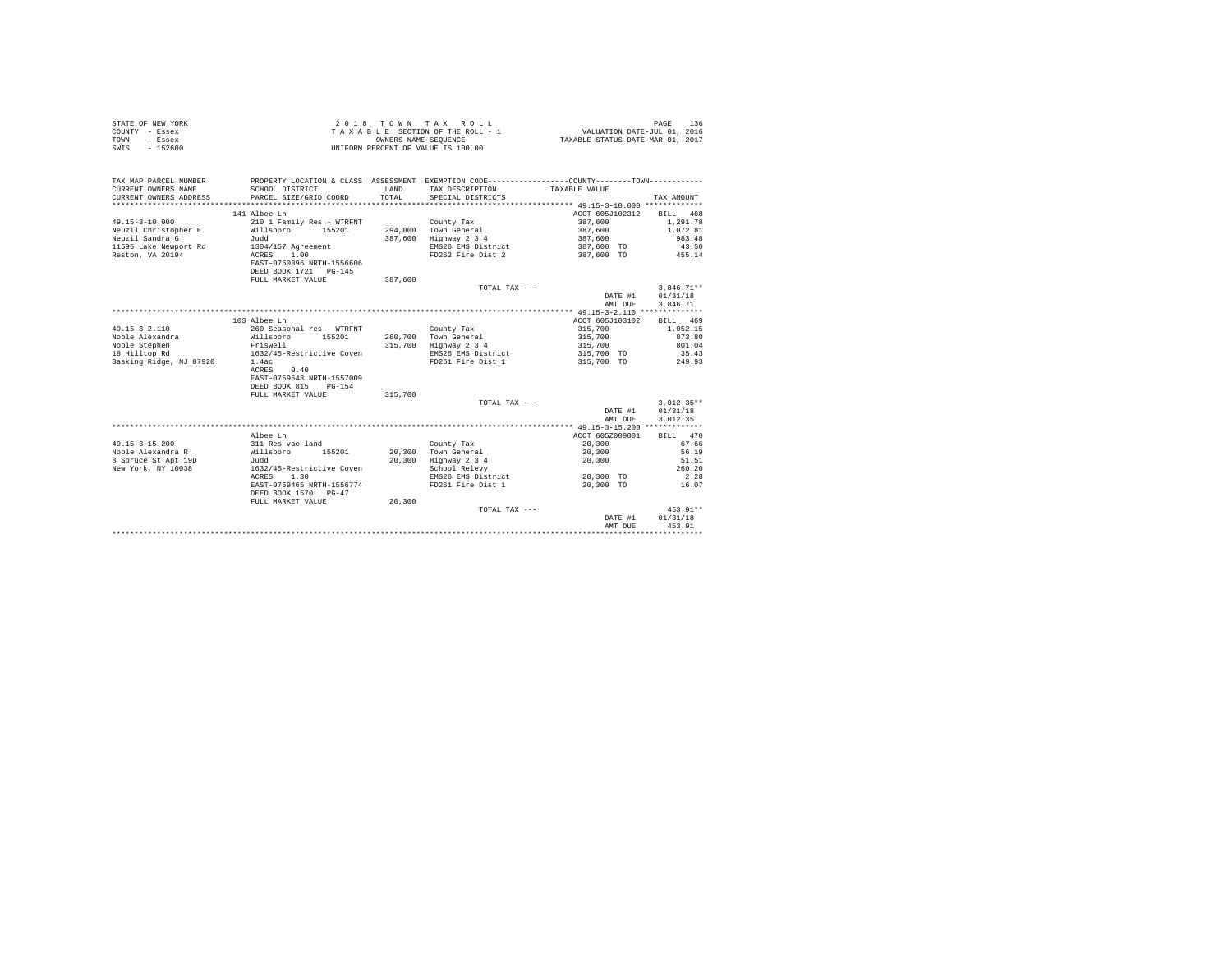|                | STATE OF NEW YORK |  |  |  | 2018 TOWN TAX ROLL                 |  |  |  |  | 136<br>PAGE                      |
|----------------|-------------------|--|--|--|------------------------------------|--|--|--|--|----------------------------------|
| COUNTY - Essex |                   |  |  |  | TAXABLE SECTION OF THE ROLL - 1    |  |  |  |  | VALUATION DATE-JUL 01, 2016      |
| TOWN           | - Essex           |  |  |  | OWNERS NAME SEOUENCE               |  |  |  |  | TAXABLE STATUS DATE-MAR 01, 2017 |
| SWIS           | - 152600          |  |  |  | UNIFORM PERCENT OF VALUE IS 100.00 |  |  |  |  |                                  |

| TAX MAP PARCEL NUMBER<br>CURRENT OWNERS NAME<br>CURRENT OWNERS ADDRESS | PROPERTY LOCATION & CLASS ASSESSMENT EXEMPTION CODE----------------COUNTY--------TOWN----------<br>SCHOOL DISTRICT<br>PARCEL SIZE/GRID COORD | <b>T.AND</b><br>TOTAL | TAX DESCRIPTION<br>SPECIAL DISTRICTS | TAXABLE VALUE   | TAX AMOUNT   |
|------------------------------------------------------------------------|----------------------------------------------------------------------------------------------------------------------------------------------|-----------------------|--------------------------------------|-----------------|--------------|
|                                                                        | 141 Albee Ln                                                                                                                                 |                       |                                      | ACCT 605J102312 | BILL 468     |
| $49.15 - 3 - 10.000$                                                   | 210 1 Family Res - WTRFNT                                                                                                                    |                       | County Tax                           | 387,600         | 1,291.78     |
| Neuzil Christopher E                                                   | Willsboro<br>155201                                                                                                                          |                       | 294.000 Town General                 | 387,600         | 1,072.81     |
| Neuzil Sandra G                                                        | Judd                                                                                                                                         | 387,600               | Highway 2 3 4                        | 387,600         | 983.48       |
| 11595 Lake Newport Rd                                                  | 1304/157 Agreement                                                                                                                           |                       | EMS26 EMS District                   | 387,600 TO      | 43.50        |
| Reston, VA 20194                                                       | 1.00<br>ACRES                                                                                                                                |                       | FD262 Fire Dist 2                    | 387,600 TO      | 455.14       |
|                                                                        | EAST-0760396 NRTH-1556606                                                                                                                    |                       |                                      |                 |              |
|                                                                        | DEED BOOK 1721 PG-145                                                                                                                        |                       |                                      |                 |              |
|                                                                        | FULL MARKET VALUE                                                                                                                            | 387,600               |                                      |                 |              |
|                                                                        |                                                                                                                                              |                       | TOTAL TAX ---                        |                 | $3,846.71**$ |
|                                                                        |                                                                                                                                              |                       |                                      | DATE #1         | 01/31/18     |
|                                                                        |                                                                                                                                              |                       |                                      | AMT DUE         | 3,846.71     |
|                                                                        |                                                                                                                                              |                       |                                      |                 |              |
|                                                                        | 103 Albee Ln                                                                                                                                 |                       |                                      | ACCT 605J103102 | BILL 469     |
| $49.15 - 3 - 2.110$                                                    | 260 Seasonal res - WTRFNT                                                                                                                    |                       | County Tax                           | 315,700         | 1,052.15     |
| Noble Alexandra                                                        | Willsboro<br>155201                                                                                                                          |                       | 260,700 Town General                 | 315,700         | 873.80       |
| Noble Stephen                                                          | Friswell                                                                                                                                     | 315,700               | Highway 2 3 4                        | 315,700         | 801.04       |
| 18 Hilltop Rd                                                          | 1632/45-Restrictive Coven                                                                                                                    |                       | EMS26 EMS District                   | 315,700 TO      | 35.43        |
| Basking Ridge, NJ 07920                                                | 1.4ac                                                                                                                                        |                       | FD261 Fire Dist 1                    | 315,700 TO      | 249.93       |
|                                                                        | ACRES<br>0.40                                                                                                                                |                       |                                      |                 |              |
|                                                                        | EAST-0759548 NRTH-1557009                                                                                                                    |                       |                                      |                 |              |
|                                                                        | DEED BOOK 815<br>$PG-154$                                                                                                                    |                       |                                      |                 |              |
|                                                                        | FULL MARKET VALUE                                                                                                                            | 315,700               |                                      |                 |              |
|                                                                        |                                                                                                                                              |                       | TOTAL TAX ---                        |                 | $3.012.35**$ |
|                                                                        |                                                                                                                                              |                       |                                      | DATE #1         | 01/31/18     |
|                                                                        |                                                                                                                                              |                       |                                      | AMT DUE         | 3,012,35     |
|                                                                        |                                                                                                                                              |                       |                                      |                 |              |
|                                                                        | Albee Ln                                                                                                                                     |                       |                                      | ACCT 605Z009001 | BILL 470     |
| $49.15 - 3 - 15.200$                                                   | 311 Res vac land                                                                                                                             |                       | County Tax                           | 20,300          | 67.66        |
| Noble Alexandra R                                                      | 155201<br>Willsboro                                                                                                                          | 20,300                | Town General                         | 20,300          | 56.19        |
| 8 Spruce St Apt 19D                                                    | Judd                                                                                                                                         | 20,300                | Highway 2 3 4                        | 20,300          | 51.51        |
| New York, NY 10038                                                     | 1632/45-Restrictive Coven                                                                                                                    |                       | School Relevy                        |                 | 260.20       |
|                                                                        | ACRES<br>1.30                                                                                                                                |                       | EMS26 EMS District                   | 20,300 TO       | 2.28         |
|                                                                        | EAST-0759465 NRTH-1556774                                                                                                                    |                       | FD261 Fire Dist 1                    | 20,300 TO       | 16.07        |
|                                                                        | DEED BOOK 1570 PG-47                                                                                                                         |                       |                                      |                 |              |
|                                                                        | FULL MARKET VALUE                                                                                                                            | 20,300                |                                      |                 |              |
|                                                                        |                                                                                                                                              |                       | TOTAL TAX ---                        |                 | 453.91**     |
|                                                                        |                                                                                                                                              |                       |                                      | DATE #1         | 01/31/18     |
|                                                                        |                                                                                                                                              |                       |                                      | AMT DUE         | 453.91       |
|                                                                        |                                                                                                                                              |                       |                                      |                 |              |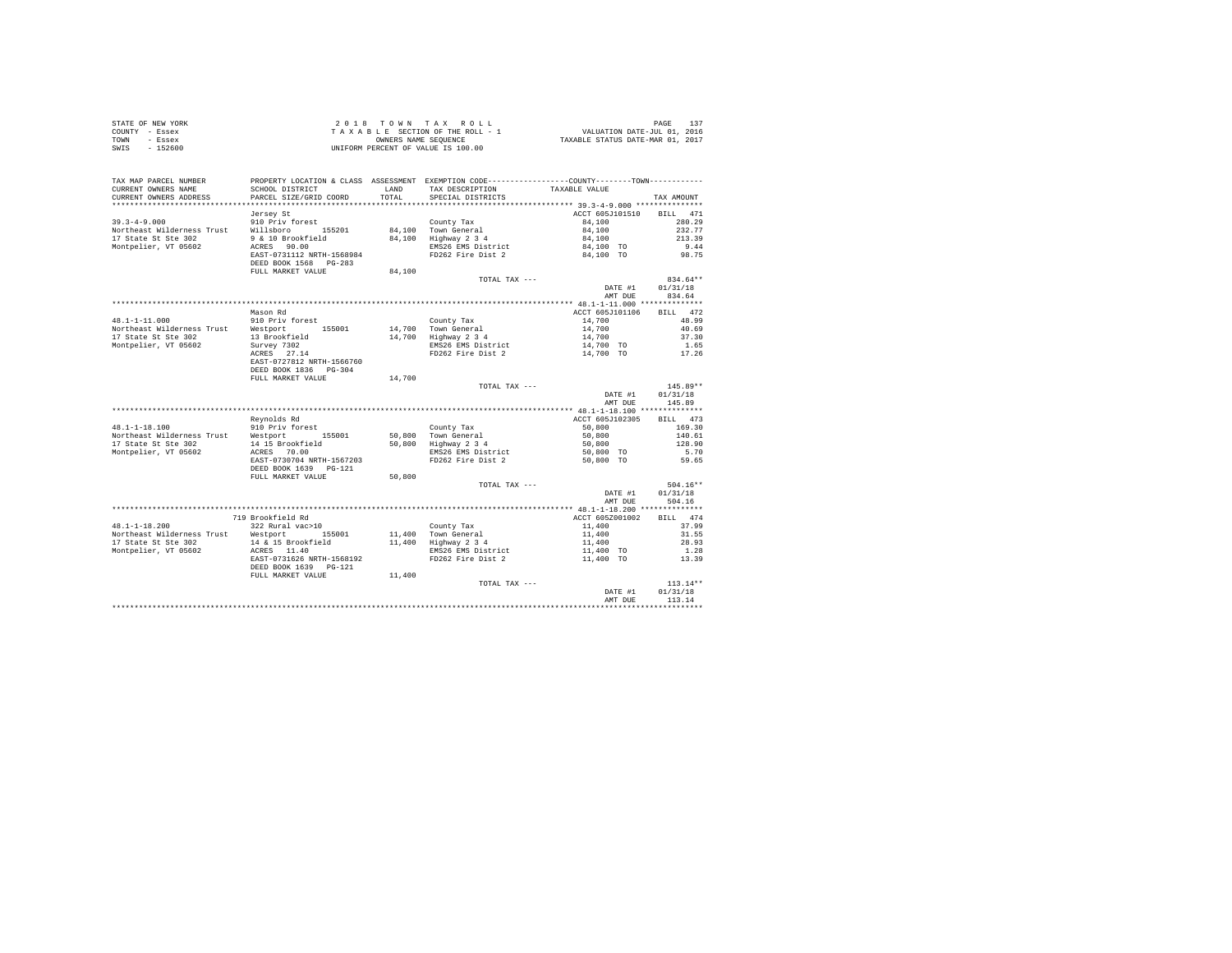| STATE OF NEW YORK | 2018 TOWN TAX ROLL                 | 137<br>PAGE                      |
|-------------------|------------------------------------|----------------------------------|
| COUNTY - Essex    | TAXABLE SECTION OF THE ROLL - 1    | VALUATION DATE-JUL 01, 2016      |
| TOWN<br>- Essex   | OWNERS NAME SEOUENCE               | TAXABLE STATUS DATE-MAR 01, 2017 |
| $-152600$<br>SWIS | UNIFORM PERCENT OF VALUE IS 100.00 |                                  |

| TAX MAP PARCEL NUMBER<br>CURRENT OWNERS NAME<br>CURRENT OWNERS ADDRESS | SCHOOL DISTRICT<br>PARCEL SIZE/GRID COORD          | LAND<br>TOTAL | PROPERTY LOCATION & CLASS ASSESSMENT EXEMPTION CODE---------------COUNTY-------TOWN---------<br>TAX DESCRIPTION<br>SPECIAL DISTRICTS | TAXABLE VALUE   | TAX AMOUNT |
|------------------------------------------------------------------------|----------------------------------------------------|---------------|--------------------------------------------------------------------------------------------------------------------------------------|-----------------|------------|
|                                                                        |                                                    |               |                                                                                                                                      |                 |            |
|                                                                        | Jersey St                                          |               |                                                                                                                                      | ACCT 605J101510 | BILL 471   |
| $39.3 - 4 - 9.000$                                                     | 910 Priv forest                                    |               | County Tax                                                                                                                           | 84,100          | 280.29     |
| Northeast Wilderness Trust                                             | Willsboro 155201                                   |               | 84.100 Town General                                                                                                                  | 84,100          | 232.77     |
| 17 State St Ste 302                                                    | 9 & 10 Brookfield                                  |               | 84,100 Highway 2 3 4                                                                                                                 | 84,100          | 213.39     |
| Montpelier, VT 05602                                                   | ACRES 90.00                                        |               | EMS26 EMS District                                                                                                                   | 84,100 TO       | 9.44       |
|                                                                        | EAST-0731112 NRTH-1568984                          |               | FD262 Fire Dist 2                                                                                                                    | 84,100 TO       | 98.75      |
|                                                                        | DEED BOOK 1568 PG-283                              |               |                                                                                                                                      |                 |            |
|                                                                        | FULL MARKET VALUE                                  | 84,100        |                                                                                                                                      |                 |            |
|                                                                        |                                                    |               | TOTAL TAX ---                                                                                                                        |                 | $834.64**$ |
|                                                                        |                                                    |               |                                                                                                                                      | DATE #1         | 01/31/18   |
|                                                                        |                                                    |               |                                                                                                                                      | AMT DUE         | 834.64     |
|                                                                        |                                                    |               |                                                                                                                                      |                 |            |
|                                                                        | Mason Rd                                           |               |                                                                                                                                      | ACCT 605J101106 | BILL 472   |
| $48.1 - 1 - 11.000$                                                    | 910 Priv forest                                    |               | County Tax                                                                                                                           | 14,700          | 48.99      |
| Northeast Wilderness Trust Westport                                    | 155001                                             |               | 14.700 Town General                                                                                                                  | 14,700          | 40.69      |
| 17 State St Ste 302                                                    | 13 Brookfield                                      |               | 14,700 Highway 2 3 4                                                                                                                 | 14,700          | 37.30      |
| Montpelier, VT 05602                                                   | Survey 7302<br>Survey 7302<br>ACRES 27.14          |               | EMS26 EMS District                                                                                                                   | 14,700 TO       | 1.65       |
|                                                                        |                                                    |               | FD262 Fire Dist 2                                                                                                                    | 14,700 TO       | 17.26      |
|                                                                        | EAST-0727812 NRTH-1566760                          |               |                                                                                                                                      |                 |            |
|                                                                        | DEED BOOK 1836 PG-304                              |               |                                                                                                                                      |                 |            |
|                                                                        | FULL MARKET VALUE                                  | 14,700        |                                                                                                                                      |                 |            |
|                                                                        |                                                    |               | TOTAL TAX ---                                                                                                                        |                 | $145.89**$ |
|                                                                        |                                                    |               |                                                                                                                                      | DATE #1         | 01/31/18   |
|                                                                        |                                                    |               |                                                                                                                                      | AMT DUE         | 145.89     |
|                                                                        |                                                    |               |                                                                                                                                      |                 |            |
|                                                                        | Reynolds Rd                                        |               |                                                                                                                                      | ACCT 605J102305 | BILL 473   |
| $48.1 - 1 - 18.100$                                                    | 910 Priv forest                                    |               | County Tax                                                                                                                           | 50,800          | 169.30     |
| Northeast Wilderness Trust Westport 155001                             |                                                    |               | 50.800 Town General                                                                                                                  | 50,800          | 140.61     |
| 17 State St Ste 302                                                    | 14 15 Brookfield                                   |               | 50,800 Highway 2 3 4                                                                                                                 | 50,800          | 128.90     |
| Montpelier, VT 05602                                                   | ACRES 70.00                                        |               | EMS26 EMS District<br>FD262 Fire Dist 2                                                                                              | 50,800 TO       | 5.70       |
|                                                                        | EAST-0730704 NRTH-1567203<br>DEED BOOK 1639 PG-121 |               |                                                                                                                                      | 50.800 TO       | 59.65      |
|                                                                        | FULL MARKET VALUE                                  | 50,800        |                                                                                                                                      |                 |            |
|                                                                        |                                                    |               | TOTAL TAX ---                                                                                                                        |                 | $504.16**$ |
|                                                                        |                                                    |               |                                                                                                                                      | DATE #1         | 01/31/18   |
|                                                                        |                                                    |               |                                                                                                                                      | AMT DUE         | 504.16     |
|                                                                        |                                                    |               |                                                                                                                                      |                 |            |
|                                                                        | 719 Brookfield Rd                                  |               |                                                                                                                                      | ACCT 605Z001002 | BILL 474   |
| 48.1-1-18.200                                                          | 322 Rural vac>10                                   |               | County Tax                                                                                                                           | 11,400          | 37.99      |
| Northeast Wilderness Trust Westport 155001                             |                                                    |               | 11,400 Town General                                                                                                                  | 11,400          | 31.55      |
| 17 State St Ste 302                                                    | 14 & 15 Brookfield                                 |               | 11,400 Highway 2 3 4                                                                                                                 | 11,400          | 28.93      |
| Montpelier, VT 05602                                                   | ACRES 11.40                                        |               | EMS26 EMS District                                                                                                                   | 11,400 TO       | 1.28       |
|                                                                        | EAST-0731626 NRTH-1568192                          |               | FD262 Fire Dist 2                                                                                                                    | 11,400 TO       | 13.39      |
|                                                                        | DEED BOOK 1639 PG-121                              |               |                                                                                                                                      |                 |            |
|                                                                        | FULL MARKET VALUE                                  | 11,400        |                                                                                                                                      |                 |            |
|                                                                        |                                                    |               | TOTAL TAX ---                                                                                                                        |                 | $113.14**$ |
|                                                                        |                                                    |               |                                                                                                                                      | DATE #1         | 01/31/18   |
|                                                                        |                                                    |               |                                                                                                                                      | AMT DUE         | 113.14     |
|                                                                        |                                                    |               |                                                                                                                                      |                 |            |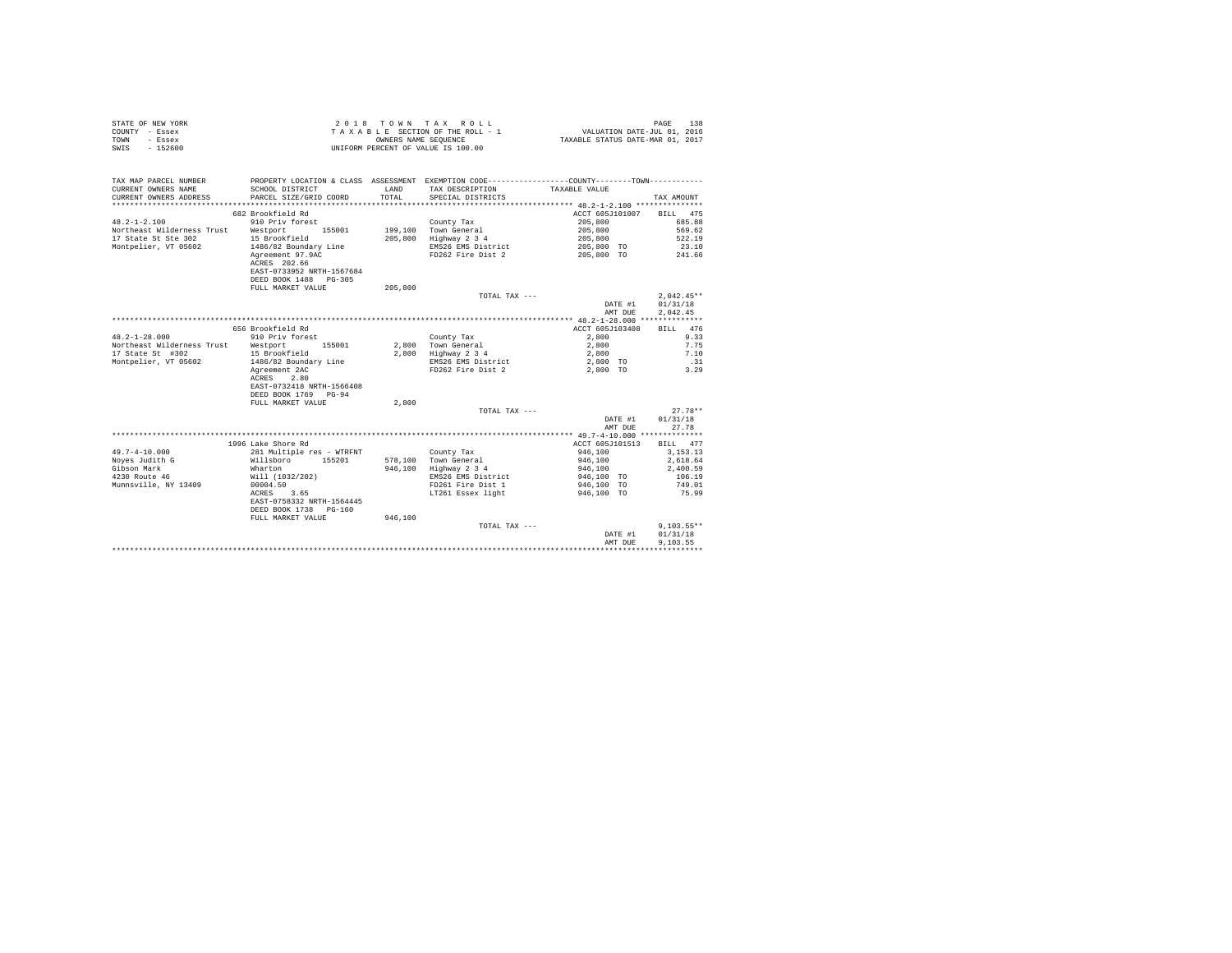|                | STATE OF NEW YORK | 2018 TOWN TAX ROLL                 | 138<br>PAGE                      |
|----------------|-------------------|------------------------------------|----------------------------------|
| COUNTY - Essex |                   | TAXABLE SECTION OF THE ROLL - 1    | VALUATION DATE-JUL 01, 2016      |
| TOWN           | - Essex           | OWNERS NAME SEOUENCE               | TAXABLE STATUS DATE-MAR 01, 2017 |
| SWIS           | $-152600$         | UNIFORM PERCENT OF VALUE IS 100.00 |                                  |

| TAX MAP PARCEL NUMBER<br>CURRENT OWNERS NAME<br>CURRENT OWNERS ADDRESS | SCHOOL DISTRICT<br>PARCEL SIZE/GRID COORD                                              | <b>T.AND</b><br>TOTAL | PROPERTY LOCATION & CLASS ASSESSMENT EXEMPTION CODE---------------COUNTY-------TOWN---------<br>TAX DESCRIPTION<br>SPECIAL DISTRICTS | TAXABLE VALUE            | TAX AMOUNT   |
|------------------------------------------------------------------------|----------------------------------------------------------------------------------------|-----------------------|--------------------------------------------------------------------------------------------------------------------------------------|--------------------------|--------------|
|                                                                        |                                                                                        |                       |                                                                                                                                      |                          |              |
|                                                                        | 682 Brookfield Rd                                                                      |                       |                                                                                                                                      | ACCT 605J101007 BILL 475 |              |
| $48.2 - 1 - 2.100$                                                     | 910 Priv forest                                                                        |                       | County Tax                                                                                                                           | 205,800                  | 685.88       |
| Northeast Wilderness Trust                                             | 155001<br>Westport                                                                     |                       | 199.100 Town General                                                                                                                 | 205,800                  | 569.62       |
| 17 State St Ste 302                                                    | 15 Brookfield                                                                          | 205,800               | Highway 2 3 4                                                                                                                        | 205,800                  | 522.19       |
| Montpelier, VT 05602                                                   | 1486/82 Boundary Line                                                                  |                       | EMS26 EMS District                                                                                                                   | 205,800 TO               | 23.10        |
|                                                                        | Agreement 97.9AC<br>ACRES 202.66<br>EAST-0733952 NRTH-1567684<br>DEED BOOK 1488 PG-305 |                       | FD262 Fire Dist 2                                                                                                                    | 205,800 TO               | 241.66       |
|                                                                        | FULL MARKET VALUE                                                                      | 205,800               |                                                                                                                                      |                          |              |
|                                                                        |                                                                                        |                       | TOTAL TAX ---                                                                                                                        |                          | $2.042.45**$ |
|                                                                        |                                                                                        |                       |                                                                                                                                      | DATE #1                  | 01/31/18     |
|                                                                        |                                                                                        |                       |                                                                                                                                      | AMT DUE                  | 2,042.45     |
|                                                                        |                                                                                        |                       |                                                                                                                                      |                          |              |
|                                                                        | 656 Brookfield Rd                                                                      |                       |                                                                                                                                      | ACCT 605J103408          | BILL 476     |
| $48.2 - 1 - 28.000$                                                    | 910 Priv forest                                                                        |                       | County Tax                                                                                                                           | 2,800                    | 9.33         |
| Northeast Wilderness Trust                                             | 155001<br>Westport                                                                     |                       | 2.800 Town General                                                                                                                   | 2,800                    | 7.75         |
| 17 State St #302                                                       | 15 Brookfield                                                                          | 2,800                 | Highway 2 3 4                                                                                                                        | 2,800                    | 7.10         |
| Montpelier, VT 05602                                                   | 1486/82 Boundary Line                                                                  |                       | EMS26 EMS District                                                                                                                   | 2,800 TO                 | .31          |
|                                                                        | Agreement 2AC<br>2.80<br>ACRES<br>EAST-0732418 NRTH-1566408                            |                       | FD262 Fire Dist 2                                                                                                                    | 2,800 TO                 | 3.29         |
|                                                                        | DEED BOOK 1769 PG-94                                                                   |                       |                                                                                                                                      |                          |              |
|                                                                        | FULL MARKET VALUE                                                                      | 2,800                 | TOTAL TAX ---                                                                                                                        |                          | $27.78**$    |
|                                                                        |                                                                                        |                       |                                                                                                                                      | DATE #1                  | 01/31/18     |
|                                                                        |                                                                                        |                       |                                                                                                                                      | AMT DUE                  | 27.78        |
|                                                                        |                                                                                        |                       |                                                                                                                                      |                          |              |
|                                                                        | 1996 Lake Shore Rd                                                                     |                       |                                                                                                                                      | ACCT 605J101513          | BILL 477     |
| $49.7 - 4 - 10.000$                                                    | 281 Multiple res - WTRFNT                                                              |                       | County Tax                                                                                                                           | 946,100                  | 3.153.13     |
| Noves Judith G                                                         | 155201<br>Willsboro                                                                    |                       | 578.100 Town General                                                                                                                 | 946,100                  | 2.618.64     |
| Gibson Mark                                                            | Wharton                                                                                |                       | 946,100 Highway 2 3 4                                                                                                                | 946,100                  | 2,400.59     |
| 4230 Route 46                                                          | Will (1032/202)                                                                        |                       | EMS26 EMS District                                                                                                                   | 946,100 TO               | 106.19       |
| Munnsville, NY 13409                                                   | 00004.50                                                                               |                       | FD261 Fire Dist 1                                                                                                                    | 946,100 TO               | 749.01       |
|                                                                        | 3.65<br>ACRES                                                                          |                       | LT261 Essex light                                                                                                                    | 946,100 TO               | 75.99        |
|                                                                        | EAST-0758332 NRTH-1564445                                                              |                       |                                                                                                                                      |                          |              |
|                                                                        | DEED BOOK 1738 PG-160                                                                  |                       |                                                                                                                                      |                          |              |
|                                                                        | FULL MARKET VALUE                                                                      | 946,100               |                                                                                                                                      |                          |              |
|                                                                        |                                                                                        |                       | TOTAL TAX ---                                                                                                                        |                          | $9.103.55**$ |
|                                                                        |                                                                                        |                       |                                                                                                                                      | DATE #1                  | 01/31/18     |
|                                                                        |                                                                                        |                       |                                                                                                                                      | AMT DUE                  | 9,103.55     |
|                                                                        |                                                                                        |                       |                                                                                                                                      |                          |              |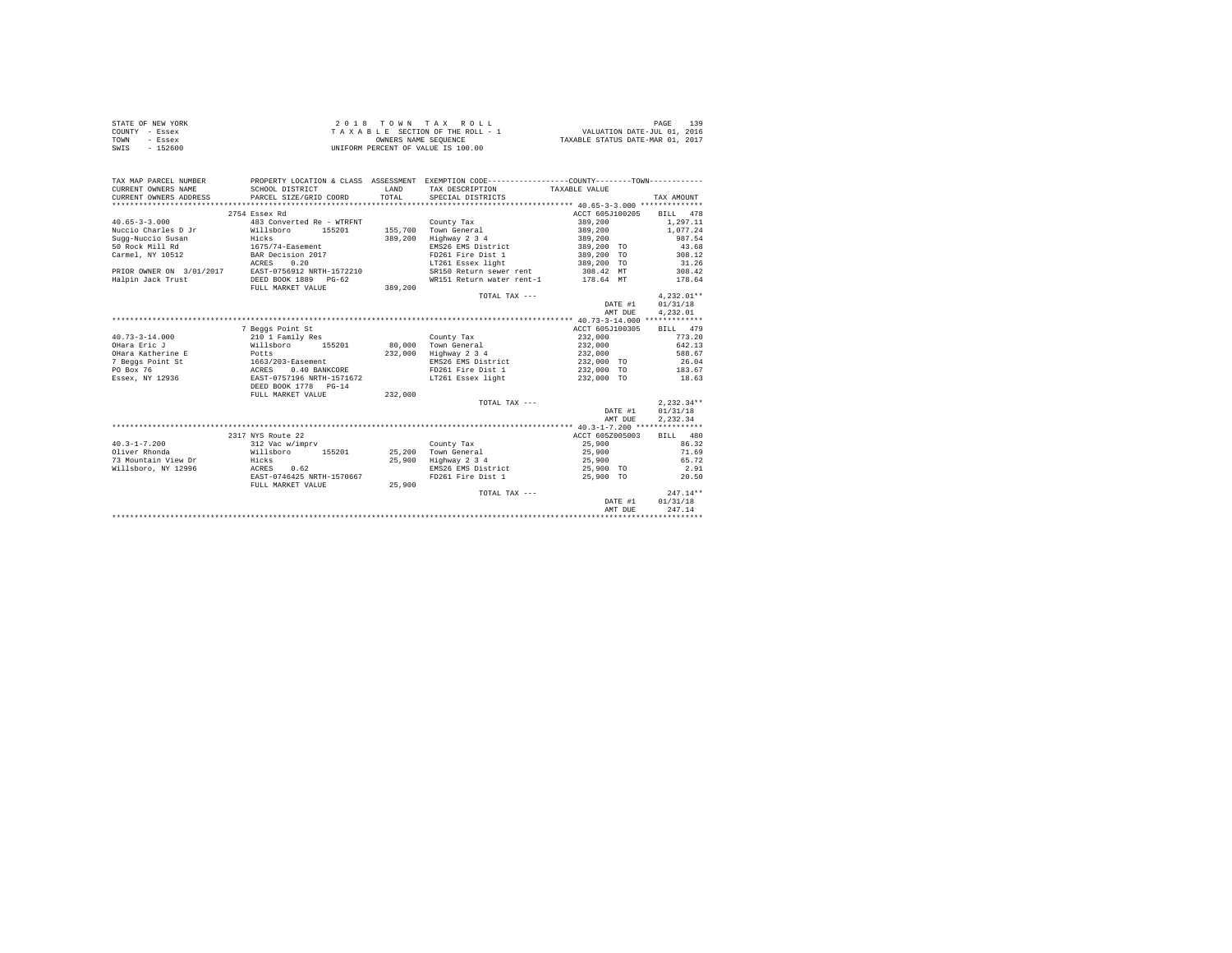| STATE OF NEW YORK | 2018 TOWN TAX ROLL                 | PAGE                             |
|-------------------|------------------------------------|----------------------------------|
| COUNTY - Essex    | TAXABLE SECTION OF THE ROLL - 1    | VALUATION DATE-JUL 01, 2016      |
| TOWN<br>- Essex   | OWNERS NAME SEOUENCE               | TAXABLE STATUS DATE-MAR 01, 2017 |
| $-152600$<br>SWIS | UNIFORM PERCENT OF VALUE IS 100.00 |                                  |

| TAX MAP PARCEL NUMBER    | PROPERTY LOCATION & CLASS ASSESSMENT EXEMPTION CODE---------------COUNTY-------TOWN--------- |              |                           |                 |              |
|--------------------------|----------------------------------------------------------------------------------------------|--------------|---------------------------|-----------------|--------------|
| CURRENT OWNERS NAME      | SCHOOL DISTRICT                                                                              | <b>T.AND</b> | TAX DESCRIPTION           | TAXABLE VALUE   |              |
| CURRENT OWNERS ADDRESS   | PARCEL SIZE/GRID COORD                                                                       | TOTAL        | SPECIAL DISTRICTS         |                 | TAX AMOUNT   |
|                          |                                                                                              |              |                           |                 |              |
|                          | 2754 Essex Rd                                                                                |              |                           | ACCT 605J100205 | BILL 478     |
| $40.65 - 3 - 3.000$      | 483 Converted Re - WTRFNT                                                                    |              | County Tax                | 389,200         | 1.297.11     |
| Nuccio Charles D Jr      | Willsboro<br>155201                                                                          |              | 155.700 Town General      | 389,200         | 1,077.24     |
| Sugg-Nuccio Susan        | Hicks                                                                                        | 389,200      | Highway 2 3 4             | 389,200         | 987.54       |
| 50 Rock Mill Rd          | 1675/74-Easement                                                                             |              | EMS26 EMS District        | 389,200 TO      | 43.68        |
| Carmel, NY 10512         | BAR Decision 2017                                                                            |              | FD261 Fire Dist 1         | 389,200 TO      | 308.12       |
|                          | ACRES<br>0.20                                                                                |              | LT261 Essex light         | 389,200 TO      | 31.26        |
| PRIOR OWNER ON 3/01/2017 | EAST-0756912 NRTH-1572210                                                                    |              | SR150 Return sewer rent   | 308.42 MT       | 308.42       |
| Halpin Jack Trust        | DEED BOOK 1889 PG-62                                                                         |              | WR151 Return water rent-1 | 178.64 MT       | 178.64       |
|                          | FULL MARKET VALUE                                                                            | 389,200      |                           |                 |              |
|                          |                                                                                              |              | TOTAL TAX ---             |                 | $4,232.01**$ |
|                          |                                                                                              |              |                           | DATE #1         | 01/31/18     |
|                          |                                                                                              |              |                           | AMT DUE         | 4.232.01     |
|                          |                                                                                              |              |                           |                 |              |
|                          | 7 Beggs Point St                                                                             |              |                           | ACCT 605J100305 | BILL 479     |
| $40.73 - 3 - 14.000$     | 210 1 Family Res                                                                             |              | County Tax                | 232,000         | 773.20       |
| OHara Eric J             | Willsboro<br>155201                                                                          | 80,000       | Town General              | 232,000         | 642.13       |
| OHara Katherine E        | Potts                                                                                        | 232,000      | Highway 2 3 4             | 232,000         | 588.67       |
| 7 Beggs Point St         | 1663/203-Easement                                                                            |              | EMS26 EMS District        | 232,000 TO      | 26.04        |
| PO Box 76                | ACRES 0.40 BANKCORE<br>EAST-0757196 NRTH-1571672                                             |              | FD261 Fire Dist 1         | 232,000 TO      | 183.67       |
| Essex, NY 12936          |                                                                                              |              | LT261 Essex light         | 232,000 TO      | 18.63        |
|                          | DEED BOOK 1778 PG-14                                                                         |              |                           |                 |              |
|                          | FULL MARKET VALUE                                                                            | 232,000      |                           |                 |              |
|                          |                                                                                              |              | TOTAL TAX ---             |                 | $2.232.34**$ |
|                          |                                                                                              |              |                           | DATE #1         | 01/31/18     |
|                          |                                                                                              |              |                           | AMT DUE         | 2,232.34     |
|                          |                                                                                              |              |                           |                 |              |
|                          | 2317 NYS Route 22                                                                            |              |                           | ACCT 605Z005003 | BILL 480     |
| $40.3 - 1 - 7.200$       | 312 Vac w/imprv                                                                              |              | County Tax                | 25,900          | 86.32        |
| Oliver Rhonda            | Willsboro 155201                                                                             |              | 25.200 Town General       | 25,900          | 71.69        |
| 73 Mountain View Dr      | Hicks                                                                                        | 25,900       | Highway 2 3 4             | 25,900          | 65.72        |
| Willsboro, NY 12996      | ACRES<br>0.62                                                                                |              | EMS26 EMS District        | 25,900 TO       | 2.91         |
|                          | EAST-0746425 NRTH-1570667                                                                    |              | FD261 Fire Dist 1         | 25,900 TO       | 20.50        |
|                          | FULL MARKET VALUE                                                                            | 25,900       |                           |                 |              |
|                          |                                                                                              |              | TOTAL TAX ---             |                 | $247.14**$   |
|                          |                                                                                              |              |                           | DATE #1         | 01/31/18     |
|                          |                                                                                              |              |                           | AMT DUE         | 247.14       |
|                          |                                                                                              |              |                           |                 |              |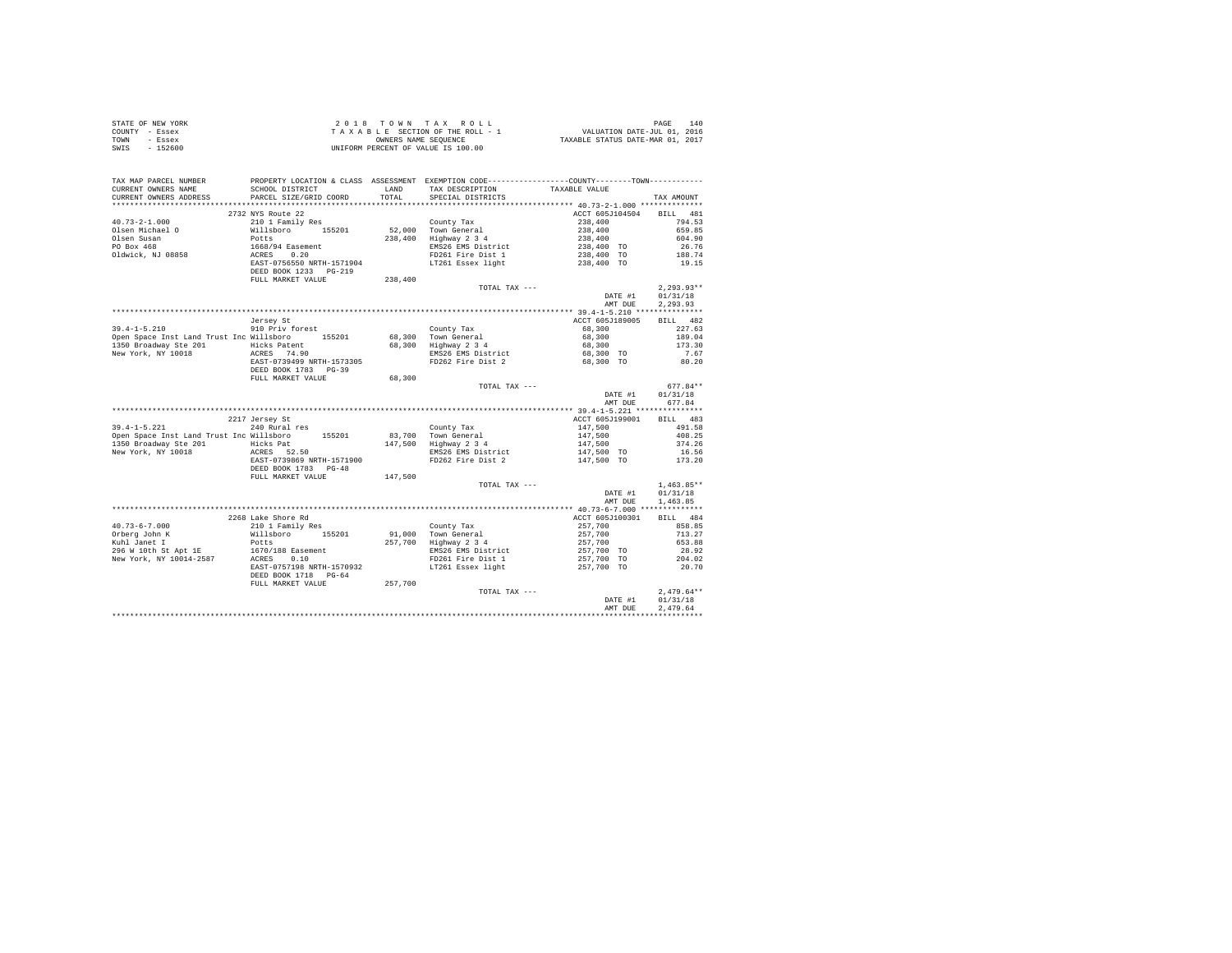| STATE OF NEW YORK | 2018 TOWN TAX ROLL                 | 14 P<br>PAGE                     |
|-------------------|------------------------------------|----------------------------------|
| COUNTY - Essex    | TAXABLE SECTION OF THE ROLL - 1    | VALUATION DATE-JUL 01, 2016      |
| TOWN<br>- Essex   | OWNERS NAME SEOUENCE               | TAXABLE STATUS DATE-MAR 01, 2017 |
| $-152600$<br>SWIS | UNIFORM PERCENT OF VALUE IS 100.00 |                                  |

| TAX MAP PARCEL NUMBER<br>CURRENT OWNERS NAME                                                                                                                                                                                                                          | SCHOOL DISTRICT           | LAND    | PROPERTY LOCATION & CLASS ASSESSMENT EXEMPTION CODE---------------COUNTY-------TOWN----------<br>TAX DESCRIPTION                                                     | TAXABLE VALUE                                       |                 |
|-----------------------------------------------------------------------------------------------------------------------------------------------------------------------------------------------------------------------------------------------------------------------|---------------------------|---------|----------------------------------------------------------------------------------------------------------------------------------------------------------------------|-----------------------------------------------------|-----------------|
| CURRENT OWNERS ADDRESS                                                                                                                                                                                                                                                | PARCEL SIZE/GRID COORD    | TOTAL   | SPECIAL DISTRICTS                                                                                                                                                    |                                                     | TAX AMOUNT      |
|                                                                                                                                                                                                                                                                       |                           |         |                                                                                                                                                                      |                                                     |                 |
|                                                                                                                                                                                                                                                                       | 2732 NYS Route 22         |         |                                                                                                                                                                      | ACCT 605J104504 BILL 481                            |                 |
|                                                                                                                                                                                                                                                                       |                           |         | County Tax                                                                                                                                                           |                                                     |                 |
|                                                                                                                                                                                                                                                                       |                           |         | 52,000 Town General<br>238,400 Highway 2 3 4                                                                                                                         |                                                     |                 |
|                                                                                                                                                                                                                                                                       |                           |         |                                                                                                                                                                      |                                                     |                 |
|                                                                                                                                                                                                                                                                       |                           |         | EMS26 EMS District<br>FD261 Fire Dist 1                                                                                                                              |                                                     |                 |
|                                                                                                                                                                                                                                                                       |                           |         |                                                                                                                                                                      |                                                     |                 |
|                                                                                                                                                                                                                                                                       | DEED BOOK 1233 PG-219     |         | LT261 Essex light                                                                                                                                                    |                                                     |                 |
|                                                                                                                                                                                                                                                                       | FULL MARKET VALUE         | 238,400 |                                                                                                                                                                      |                                                     |                 |
|                                                                                                                                                                                                                                                                       |                           |         | TOTAL TAX ---                                                                                                                                                        |                                                     | $2, 293.93**$   |
|                                                                                                                                                                                                                                                                       |                           |         |                                                                                                                                                                      | DATE #1                                             | 01/31/18        |
|                                                                                                                                                                                                                                                                       |                           |         |                                                                                                                                                                      | AMT DUE                                             | 2,293.93        |
|                                                                                                                                                                                                                                                                       |                           |         |                                                                                                                                                                      |                                                     |                 |
|                                                                                                                                                                                                                                                                       | Jersey St                 |         |                                                                                                                                                                      | ACCT 605J189005                                     | BILL 482        |
|                                                                                                                                                                                                                                                                       |                           |         |                                                                                                                                                                      |                                                     | 227.63          |
| $139.4-1-5.210 \t\t\t 69.300 \t\t 70.0000 \t\t 70.0000 \t\t 70.0000 \t\t 70.0000 \t\t 70.0000 \t\t 70.0000 \t\t 70.0000 \t\t 70.0000 \t\t 70.0000 \t\t 70.0000 \t\t 70.0000 \t\t 70.0000 \t\t 70.0000 \t\t 70.0000 \t\t 70.0000 \t\t 70.0000 \t\t 70.0000 \t\t 70.00$ |                           |         |                                                                                                                                                                      |                                                     | 189.04          |
|                                                                                                                                                                                                                                                                       |                           |         |                                                                                                                                                                      |                                                     | 173.30          |
|                                                                                                                                                                                                                                                                       |                           |         |                                                                                                                                                                      |                                                     | 7.67            |
|                                                                                                                                                                                                                                                                       |                           |         |                                                                                                                                                                      |                                                     | 80.20           |
|                                                                                                                                                                                                                                                                       | DEED BOOK 1783 PG-39      |         |                                                                                                                                                                      |                                                     |                 |
|                                                                                                                                                                                                                                                                       | FULL MARKET VALUE         | 68,300  |                                                                                                                                                                      |                                                     |                 |
|                                                                                                                                                                                                                                                                       |                           |         | TOTAL TAX ---                                                                                                                                                        |                                                     | $677.84**$      |
|                                                                                                                                                                                                                                                                       |                           |         |                                                                                                                                                                      | DATE #1                                             | 01/31/18        |
|                                                                                                                                                                                                                                                                       |                           |         |                                                                                                                                                                      | AMT DUE                                             | 677.84          |
|                                                                                                                                                                                                                                                                       |                           |         |                                                                                                                                                                      |                                                     |                 |
|                                                                                                                                                                                                                                                                       | 2217 Jersey St            |         |                                                                                                                                                                      | ACCT 605J199001                                     | BILL 483        |
| $39.4 - 1 - 5.221$                                                                                                                                                                                                                                                    | $240$ Rural res           |         | County Tax                                                                                                                                                           |                                                     | 491.58          |
| Open Space Inst Land Trust Inc Willshoro 155201 83,700 Town General<br>1350 Broadway Ste 201 Hicks Pat 147,500 Highway 2 3 4<br>New York, NY 10018 ACRES 52.50 HIGHWay 2 3 4<br>Rest -0739869 NRTH-1571900 PD262 Fire Dist 2                                          |                           |         |                                                                                                                                                                      | $147,500$<br>$147,500$<br>$147,500$<br>$147,500$ TO | 408.25          |
|                                                                                                                                                                                                                                                                       |                           |         |                                                                                                                                                                      |                                                     | 374.26          |
|                                                                                                                                                                                                                                                                       |                           |         |                                                                                                                                                                      |                                                     | 16.56           |
|                                                                                                                                                                                                                                                                       |                           |         | FD262 Fire Dist 2                                                                                                                                                    | 147,500 TO                                          | 173.20          |
|                                                                                                                                                                                                                                                                       | DEED BOOK 1783 PG-48      |         |                                                                                                                                                                      |                                                     |                 |
|                                                                                                                                                                                                                                                                       | FULL MARKET VALUE         | 147,500 |                                                                                                                                                                      |                                                     |                 |
|                                                                                                                                                                                                                                                                       |                           |         | TOTAL TAX ---                                                                                                                                                        |                                                     | $1,463.85**$    |
|                                                                                                                                                                                                                                                                       |                           |         |                                                                                                                                                                      | DATE #1                                             | 01/31/18        |
|                                                                                                                                                                                                                                                                       |                           |         |                                                                                                                                                                      | AMT DUE                                             | 1,463.85        |
|                                                                                                                                                                                                                                                                       |                           |         |                                                                                                                                                                      |                                                     |                 |
|                                                                                                                                                                                                                                                                       | 2268 Lake Shore Rd        |         |                                                                                                                                                                      | ACCT 605J100301 BILL 484                            |                 |
|                                                                                                                                                                                                                                                                       |                           |         |                                                                                                                                                                      |                                                     | 858.85          |
|                                                                                                                                                                                                                                                                       |                           |         |                                                                                                                                                                      |                                                     | 713.27          |
|                                                                                                                                                                                                                                                                       |                           |         | 257,700 Highway 2 3 4                                                                                                                                                |                                                     | 653.88          |
|                                                                                                                                                                                                                                                                       |                           |         |                                                                                                                                                                      |                                                     |                 |
|                                                                                                                                                                                                                                                                       |                           |         |                                                                                                                                                                      |                                                     | 28.92<br>204.02 |
|                                                                                                                                                                                                                                                                       | EAST-0757198 NRTH-1570932 |         |                                                                                                                                                                      |                                                     | 20.70           |
|                                                                                                                                                                                                                                                                       | DEED BOOK 1718 PG-64      |         |                                                                                                                                                                      |                                                     |                 |
|                                                                                                                                                                                                                                                                       | FULL MARKET VALUE         | 257,700 | ut 60551100301<br>7,700 Highway 2 3 4<br>7,700 Highway 2 3 4<br>EMS26 EMS District<br>FD261 Fire Dist 1 257,700<br>FD261 Essex light<br>700 TD261 Essex light<br>700 |                                                     |                 |
|                                                                                                                                                                                                                                                                       |                           |         | TOTAL TAX ---                                                                                                                                                        |                                                     | $2,479.64**$    |
|                                                                                                                                                                                                                                                                       |                           |         |                                                                                                                                                                      | DATE #1                                             | 01/31/18        |
|                                                                                                                                                                                                                                                                       |                           |         |                                                                                                                                                                      | AMT DUE                                             | 2.479.64        |
|                                                                                                                                                                                                                                                                       |                           |         |                                                                                                                                                                      |                                                     |                 |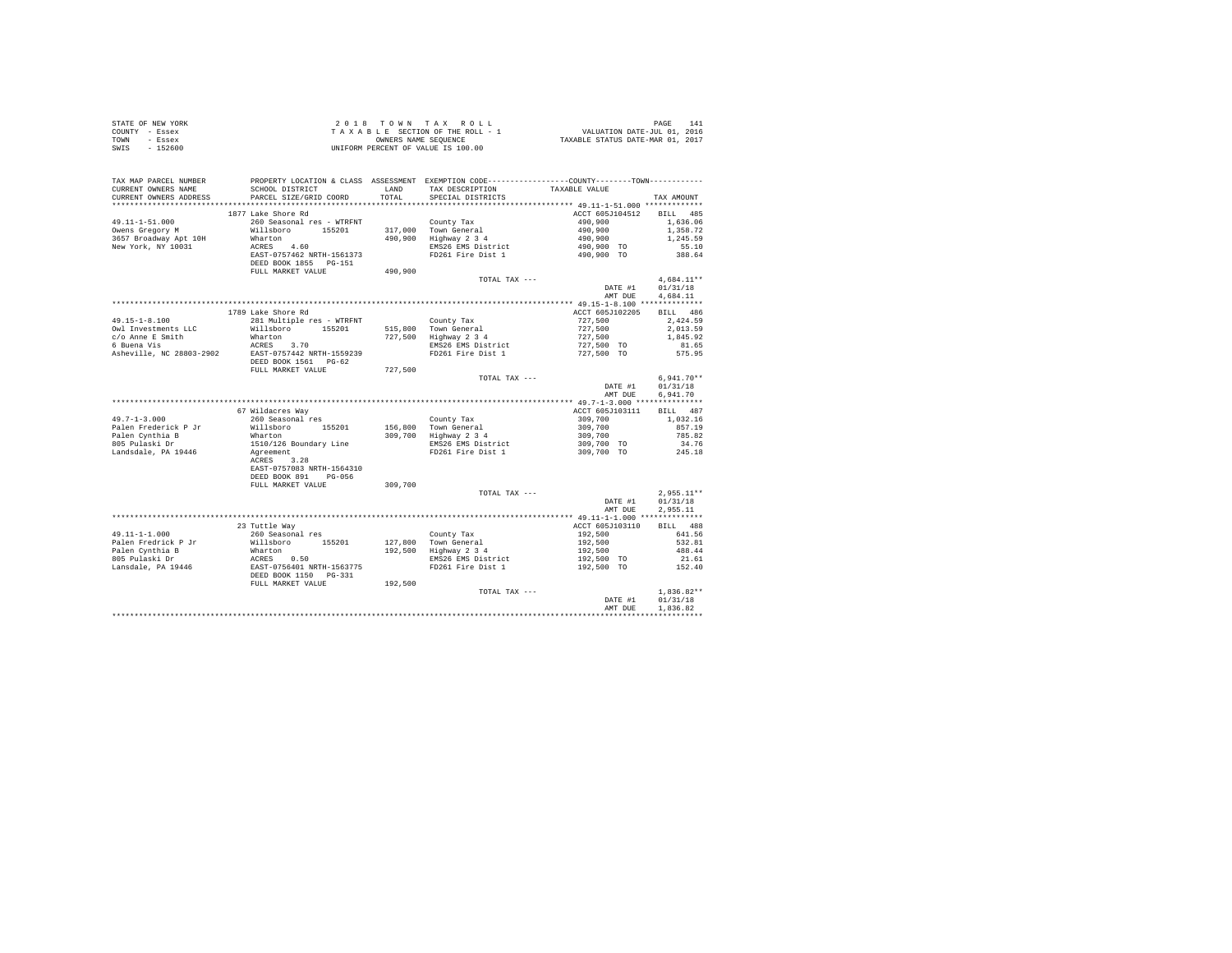| STATE OF NEW YORK | 2018 TOWN TAX ROLL                 | 141<br>PAGE                      |
|-------------------|------------------------------------|----------------------------------|
| COUNTY - Essex    | TAXABLE SECTION OF THE ROLL - 1    | VALUATION DATE-JUL 01, 2016      |
| TOWN<br>- Essex   | OWNERS NAME SEOUENCE               | TAXABLE STATUS DATE-MAR 01, 2017 |
| $-152600$<br>SWIS | UNIFORM PERCENT OF VALUE IS 100.00 |                                  |

| TAX MAP PARCEL NUMBER<br>CURRENT OWNERS NAME<br>CURRENT OWNERS ADDRESS | SCHOOL DISTRICT<br>PARCEL SIZE/GRID COORD                                               | TOTAL   | PROPERTY LOCATION & CLASS ASSESSMENT EXEMPTION CODE----------------COUNTY-------TOWN----------<br>LAND TAX DESCRIPTION<br>SPECIAL DISTRICTS | TAXABLE VALUE                                                    | TAX AMOUNT   |
|------------------------------------------------------------------------|-----------------------------------------------------------------------------------------|---------|---------------------------------------------------------------------------------------------------------------------------------------------|------------------------------------------------------------------|--------------|
|                                                                        |                                                                                         |         |                                                                                                                                             |                                                                  |              |
|                                                                        | 1877 Lake Shore Rd                                                                      |         |                                                                                                                                             | ACCT 605J104512                                                  | BILL 485     |
| 49.11-1-51.000                                                         | 260 Seasonal res - WTRFNT                                                               |         | County Tax                                                                                                                                  | 490,900                                                          | 1,636.06     |
| Owens Gregory M                                                        | Willsboro 155201                                                                        |         | 317,000 Town General<br>490,900 Highway 2 3 4                                                                                               |                                                                  | 1,358.72     |
| 3657 Broadway Apt 10H                                                  | Wharton                                                                                 |         |                                                                                                                                             |                                                                  | 1,245.59     |
| New York, NY 10031                                                     | ACRES 4.60                                                                              |         | EMS26 EMS District                                                                                                                          | $490,900$<br>$490,900$<br>$490,900$ TO<br>$490,900$ TO           | 55.10        |
|                                                                        | EAST-0757462 NRTH-1561373                                                               |         | FD261 Fire Dist 1                                                                                                                           |                                                                  | 388.64       |
|                                                                        | DEED BOOK 1855 PG-151                                                                   |         |                                                                                                                                             |                                                                  |              |
|                                                                        | FULL MARKET VALUE                                                                       | 490,900 |                                                                                                                                             |                                                                  |              |
|                                                                        |                                                                                         |         | TOTAL TAX ---                                                                                                                               |                                                                  | $4,684.11**$ |
|                                                                        |                                                                                         |         |                                                                                                                                             | DATE #1                                                          | 01/31/18     |
|                                                                        |                                                                                         |         |                                                                                                                                             | AMT DUE                                                          | 4,684.11     |
|                                                                        |                                                                                         |         |                                                                                                                                             |                                                                  |              |
|                                                                        | 1789 Lake Shore Rd                                                                      |         |                                                                                                                                             | ACCT 605J102205                                                  | BILL 486     |
| $49.15 - 1 - 8.100$                                                    | 281 Multiple res - WTRFNT County Tax                                                    |         |                                                                                                                                             | 727,500                                                          | 2,424.59     |
| Owl Investments LLC                                                    | Willsboro 155201                                                                        |         | 515,800 Town General                                                                                                                        | 727,500<br>727,500<br>727,500 TO                                 | 2,013.59     |
| c/o Anne E Smith<br>6 Buena Vis                                        | Wharton                                                                                 |         | 727,500 Highway 2 3 4                                                                                                                       |                                                                  | 1,845.92     |
|                                                                        | ACRES 3.70                                                                              |         | EMS26 EMS District                                                                                                                          |                                                                  | 81.65        |
|                                                                        | Asheville, NC 28803-2902 EAST-0757442 NRTH-1559239                                      |         | FD261 Fire Dist 1                                                                                                                           | 727,500 TO                                                       | 575.95       |
|                                                                        | DEED BOOK 1561 PG-62                                                                    |         |                                                                                                                                             |                                                                  |              |
|                                                                        | FULL MARKET VALUE                                                                       | 727,500 |                                                                                                                                             |                                                                  |              |
|                                                                        |                                                                                         |         | TOTAL TAX ---                                                                                                                               |                                                                  | $6.941.70**$ |
|                                                                        |                                                                                         |         |                                                                                                                                             | DATE #1                                                          | 01/31/18     |
|                                                                        |                                                                                         |         |                                                                                                                                             | AMT DUE                                                          | 6,941.70     |
|                                                                        |                                                                                         |         |                                                                                                                                             |                                                                  |              |
|                                                                        | 67 Wildacres Way                                                                        |         |                                                                                                                                             | ACCT 605J103111                                                  | BILL 487     |
| $49.7 - 1 - 3.000$                                                     | 260 Seasonal res                                                                        |         | County Tax                                                                                                                                  |                                                                  | 1,032.16     |
| Palen Frederick P Jr                                                   | Willsboro<br>155201                                                                     |         | $156,800$ Town General                                                                                                                      | $309,700$<br>$309,700$                                           | 857.19       |
| Palen Cynthia B                                                        |                                                                                         |         | 309,700 Highway 2 3 4                                                                                                                       | 309,700                                                          | 785.82       |
| 805 Pulaski Dr                                                         |                                                                                         |         | EMS26 EMS District                                                                                                                          | 309,700 TO                                                       | 34.76        |
| Landsdale, PA 19446                                                    | Wharton<br>1510/126 Boundary Line<br>Agreement                                          |         | FD261 Fire Dist 1                                                                                                                           | 309,700 TO                                                       | 245.18       |
|                                                                        | ACRES 3.28                                                                              |         |                                                                                                                                             |                                                                  |              |
|                                                                        | EAST-0757083 NRTH-1564310                                                               |         |                                                                                                                                             |                                                                  |              |
|                                                                        | DEED BOOK 891 PG-056                                                                    |         |                                                                                                                                             |                                                                  |              |
|                                                                        | FULL MARKET VALUE                                                                       | 309,700 |                                                                                                                                             |                                                                  |              |
|                                                                        |                                                                                         |         | TOTAL TAX ---                                                                                                                               |                                                                  | $2,955.11**$ |
|                                                                        |                                                                                         |         |                                                                                                                                             | DATE #1                                                          | 01/31/18     |
|                                                                        |                                                                                         |         |                                                                                                                                             | AMT DUE                                                          | 2.955.11     |
|                                                                        |                                                                                         |         |                                                                                                                                             |                                                                  |              |
|                                                                        | 23 Tuttle Way                                                                           |         |                                                                                                                                             | ACCT 605J103110                                                  | BILL 488     |
| 49.11-1-1.000                                                          | 260 Seasonal res                                                                        |         | County Tax                                                                                                                                  | $192,500$<br>$192,500$<br>$192,500$<br>$192,500$<br>$192,500$ TO | 641.56       |
| Palen Fredrick P Jr                                                    | Willsboro 155201                                                                        |         | 127,800 Town General                                                                                                                        |                                                                  | 532.81       |
| Palen Frequency<br>Palen Cynthia B                                     |                                                                                         |         | 127,800 Town General<br>192,500 Highway 2 3 4                                                                                               |                                                                  | 488.44       |
| 805 Pulaski Dr                                                         |                                                                                         |         | EMS26 EMS District                                                                                                                          |                                                                  | 21.61        |
| Lansdale, PA 19446                                                     |                                                                                         |         | FD261 Fire Dist 1                                                                                                                           | 192,500 TO                                                       | 152.40       |
|                                                                        | Whatsure<br>Mharton<br>RCRES 0.50<br>EAST-0756401 NRTH-1563775<br>DEED BOOK 1150 PG-331 |         |                                                                                                                                             |                                                                  |              |
|                                                                        | FULL MARKET VALUE                                                                       | 192,500 |                                                                                                                                             |                                                                  |              |
|                                                                        |                                                                                         |         | TOTAL TAX ---                                                                                                                               |                                                                  | $1,836.82**$ |
|                                                                        |                                                                                         |         |                                                                                                                                             | DATE #1                                                          | 01/31/18     |
|                                                                        |                                                                                         |         |                                                                                                                                             | AMT DUE                                                          | 1.836.82     |
|                                                                        |                                                                                         |         |                                                                                                                                             |                                                                  |              |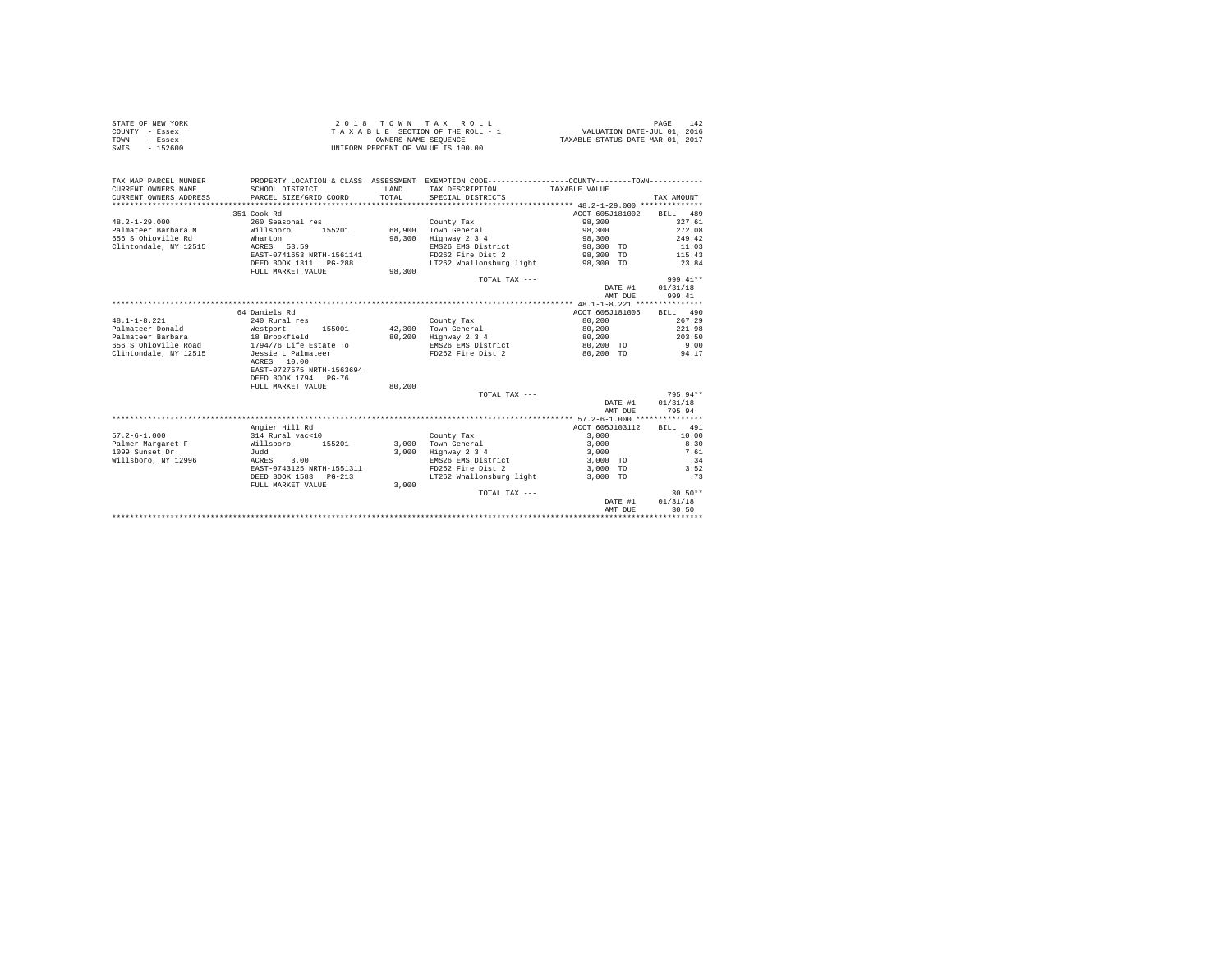| STATE OF NEW YORK | 2018 TOWN TAX ROLL                 | 142<br>PAGE                      |
|-------------------|------------------------------------|----------------------------------|
| COUNTY - Essex    | TAXABLE SECTION OF THE ROLL - 1    | VALUATION DATE-JUL 01, 2016      |
| TOWN<br>- Essex   | OWNERS NAME SEOUENCE               | TAXABLE STATUS DATE-MAR 01, 2017 |
| SWIS<br>$-152600$ | UNIFORM PERCENT OF VALUE IS 100.00 |                                  |

| TAX MAP PARCEL NUMBER<br>CURRENT OWNERS NAME<br>CURRENT OWNERS ADDRESS<br>************************* | SCHOOL DISTRICT<br>PARCEL SIZE/GRID COORD                                  | LAND<br>TOTAL | PROPERTY LOCATION & CLASS ASSESSMENT EXEMPTION CODE----------------COUNTY-------TOWN----------<br>TAX DESCRIPTION<br>SPECIAL DISTRICTS | TAXABLE VALUE   | TAX AMOUNT |
|-----------------------------------------------------------------------------------------------------|----------------------------------------------------------------------------|---------------|----------------------------------------------------------------------------------------------------------------------------------------|-----------------|------------|
|                                                                                                     | 351 Cook Rd                                                                |               |                                                                                                                                        | ACCT 605J181002 | BILL 489   |
| $48.2 - 1 - 29.000$                                                                                 | 260 Seasonal res                                                           |               | County Tax                                                                                                                             | 98,300          | 327.61     |
| Palmateer Barbara M                                                                                 | 155201<br>Willsboro                                                        | 68,900        | Town General                                                                                                                           | 98,300          | 272.08     |
| 656 S Ohioville Rd                                                                                  | Wharton                                                                    | 98,300        | Highway 2 3 4                                                                                                                          | 98,300          | 249.42     |
| Clintondale, NY 12515                                                                               | ACRES 53.59                                                                |               | EMS26 EMS District                                                                                                                     | 98,300 TO       | 11.03      |
|                                                                                                     |                                                                            |               | FD262 Fire Dist 2                                                                                                                      |                 |            |
|                                                                                                     | EAST-0741653 NRTH-1561141                                                  |               |                                                                                                                                        | 98,300 TO       | 115.43     |
|                                                                                                     | DEED BOOK 1311 PG-288                                                      |               | LT262 Whallonsburg light                                                                                                               | 98,300 TO       | 23.84      |
|                                                                                                     | FULL MARKET VALUE                                                          | 98,300        |                                                                                                                                        |                 |            |
|                                                                                                     |                                                                            |               | TOTAL TAX ---                                                                                                                          |                 | 999.41**   |
|                                                                                                     |                                                                            |               |                                                                                                                                        | DATE #1         | 01/31/18   |
|                                                                                                     |                                                                            |               |                                                                                                                                        | AMT DUE         | 999.41     |
|                                                                                                     |                                                                            |               |                                                                                                                                        |                 |            |
|                                                                                                     | 64 Daniels Rd                                                              |               |                                                                                                                                        | ACCT 605J181005 | BILL 490   |
| $48.1 - 1 - 8.221$                                                                                  | 240 Rural res                                                              |               | County Tax                                                                                                                             | 80,200          | 267.29     |
| Palmateer Donald                                                                                    | Example 155001<br>18 Brookfield<br>1794/76 Life Estate To<br>Jessie I Brit |               | 42.300 Town General                                                                                                                    | 80,200          | 221.98     |
| Palmateer Barbara                                                                                   |                                                                            | 80,200        | Highway 2 3 4                                                                                                                          | 80,200          | 203.50     |
| 656 S Ohioville Road                                                                                |                                                                            |               | EMS26 EMS District                                                                                                                     | 80,200 TO       | 9.00       |
| Clintondale, NY 12515                                                                               |                                                                            |               | FD262 Fire Dist 2                                                                                                                      | 80.200 TO       | 94.17      |
|                                                                                                     | ACRES 10.00                                                                |               |                                                                                                                                        |                 |            |
|                                                                                                     | EAST-0727575 NRTH-1563694                                                  |               |                                                                                                                                        |                 |            |
|                                                                                                     | DEED BOOK 1794 PG-76                                                       |               |                                                                                                                                        |                 |            |
|                                                                                                     | FULL MARKET VALUE                                                          | 80,200        |                                                                                                                                        |                 |            |
|                                                                                                     |                                                                            |               | TOTAL TAX ---                                                                                                                          |                 | $795.94**$ |
|                                                                                                     |                                                                            |               |                                                                                                                                        | DATE #1         | 01/31/18   |
|                                                                                                     |                                                                            |               |                                                                                                                                        | AMT DUE         | 795.94     |
|                                                                                                     |                                                                            |               |                                                                                                                                        |                 |            |
|                                                                                                     | Angier Hill Rd                                                             |               |                                                                                                                                        | ACCT 605J103112 | BILL 491   |
| $57.2 - 6 - 1.000$                                                                                  | 314 Rural vac<10                                                           |               | County Tax                                                                                                                             | 3,000           | 10.00      |
| Palmer Margaret F Willsboro                                                                         | 155201                                                                     | 3,000         | Town General                                                                                                                           | 3,000           | 8.30       |
| 1099 Sunset Dr                                                                                      | Judd                                                                       | 3,000         | Highway 2 3 4                                                                                                                          | 3,000           | 7.61       |
| Willsboro, NY 12996                                                                                 | ACRES<br>3.00                                                              |               | EMS26 EMS District                                                                                                                     | 3,000 TO        | .34        |
|                                                                                                     | EAST-0743125 NRTH-1551311                                                  |               | FD262 Fire Dist 2                                                                                                                      | 3,000 TO        | 3.52       |
|                                                                                                     | DEED BOOK 1583 PG-213                                                      |               | LT262 Whallonsburg light                                                                                                               | 3,000 TO        | .73        |
|                                                                                                     | FULL MARKET VALUE                                                          | 3,000         |                                                                                                                                        |                 |            |
|                                                                                                     |                                                                            |               | TOTAL TAX ---                                                                                                                          |                 | $30.50**$  |
|                                                                                                     |                                                                            |               |                                                                                                                                        | DATE #1         | 01/31/18   |
|                                                                                                     |                                                                            |               |                                                                                                                                        | AMT DUE         | 30.50      |
|                                                                                                     |                                                                            |               |                                                                                                                                        |                 |            |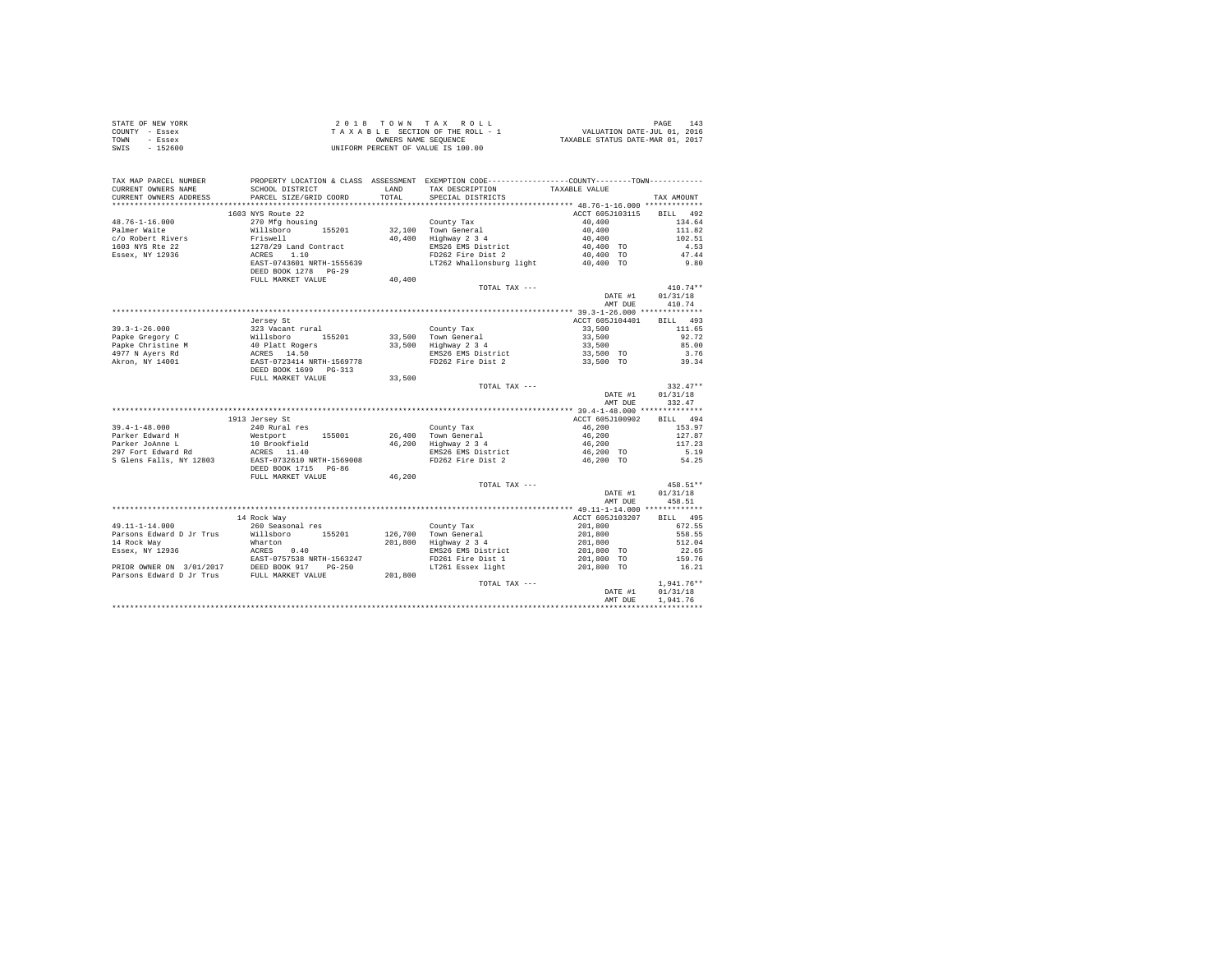| STATE OF NEW YORK | 2018 TOWN TAX ROLL                 | 143<br>PAGE                      |
|-------------------|------------------------------------|----------------------------------|
| COUNTY - Essex    | TAXABLE SECTION OF THE ROLL - 1    | VALUATION DATE-JUL 01, 2016      |
| TOWN<br>- Essex   | OWNERS NAME SEOUENCE               | TAXABLE STATUS DATE-MAR 01, 2017 |
| - 152600<br>SWIS  | UNIFORM PERCENT OF VALUE IS 100.00 |                                  |

| TAX MAP PARCEL NUMBER<br>CURRENT OWNERS NAME<br>CURRENT OWNERS ADDRESS | SCHOOL DISTRICT<br>PARCEL SIZE/GRID COORD                                                                                                                                                                                                  | LAND<br>TOTAL     | PROPERTY LOCATION & CLASS ASSESSMENT EXEMPTION CODE----------------COUNTY-------TOWN----------<br>TAX DESCRIPTION<br>SPECIAL DISTRICTS | TAXABLE VALUE                                                                               | TAX AMOUNT       |
|------------------------------------------------------------------------|--------------------------------------------------------------------------------------------------------------------------------------------------------------------------------------------------------------------------------------------|-------------------|----------------------------------------------------------------------------------------------------------------------------------------|---------------------------------------------------------------------------------------------|------------------|
| ************************                                               |                                                                                                                                                                                                                                            |                   |                                                                                                                                        |                                                                                             |                  |
|                                                                        | 1603 NYS Route 22                                                                                                                                                                                                                          |                   |                                                                                                                                        | ACCT 605J103115 BILL 492                                                                    |                  |
| $48.76 - 1 - 16.000$                                                   | 270 Mfg housing                                                                                                                                                                                                                            |                   |                                                                                                                                        | 40,400                                                                                      | 134.64           |
| Palmer Waite                                                           |                                                                                                                                                                                                                                            |                   |                                                                                                                                        |                                                                                             | 111.82           |
| c/o Robert Rivers                                                      |                                                                                                                                                                                                                                            |                   | County Tax<br>32,100 Town General<br>40,400 Highway 2 3 4                                                                              |                                                                                             | 102.51           |
| 1603 NYS Rte 22                                                        |                                                                                                                                                                                                                                            |                   |                                                                                                                                        |                                                                                             | 4.53             |
| Essex, NY 12936                                                        |                                                                                                                                                                                                                                            |                   |                                                                                                                                        |                                                                                             | 47.44            |
|                                                                        | 270 Millsboro 155201 32,100 County and the 40,400<br>Willsboro 155201 32,100 Town General 40,400<br>Priswell 40,400 Highway 2 3 4 40,400<br>278/29 Land Contract 2001<br>2825 1.10<br>2825 1001 Millsboro 15556539<br>2825 101262 Whallons |                   |                                                                                                                                        |                                                                                             | 9.80             |
|                                                                        | DEED BOOK 1278 PG-29                                                                                                                                                                                                                       |                   |                                                                                                                                        |                                                                                             |                  |
|                                                                        | FULL MARKET VALUE                                                                                                                                                                                                                          | 40,400            |                                                                                                                                        |                                                                                             |                  |
|                                                                        |                                                                                                                                                                                                                                            |                   | TOTAL TAX ---                                                                                                                          |                                                                                             | $410.74**$       |
|                                                                        |                                                                                                                                                                                                                                            |                   |                                                                                                                                        | DATE #1                                                                                     | 01/31/18         |
|                                                                        |                                                                                                                                                                                                                                            |                   |                                                                                                                                        | AMT DUE                                                                                     | 410.74           |
|                                                                        |                                                                                                                                                                                                                                            |                   |                                                                                                                                        |                                                                                             |                  |
|                                                                        | Jersey St                                                                                                                                                                                                                                  |                   |                                                                                                                                        | ACCT 605J104401                                                                             | BILL 493         |
|                                                                        |                                                                                                                                                                                                                                            |                   | County Tax                                                                                                                             | 33,500                                                                                      | 111.65           |
|                                                                        |                                                                                                                                                                                                                                            |                   |                                                                                                                                        | 33,500                                                                                      | 92.72            |
|                                                                        |                                                                                                                                                                                                                                            |                   |                                                                                                                                        | 33,500<br>33,500 TO                                                                         | 85.00            |
|                                                                        |                                                                                                                                                                                                                                            |                   | 33,500 Town General<br>33,500 Highway 2 3 4<br>EMS26 EMS District                                                                      |                                                                                             | 3.76             |
|                                                                        |                                                                                                                                                                                                                                            |                   | FD262 Fire Dist 2                                                                                                                      | 33,500 TO                                                                                   | 39.34            |
|                                                                        | FULL MARKET VALUE                                                                                                                                                                                                                          | 33,500            |                                                                                                                                        |                                                                                             |                  |
|                                                                        |                                                                                                                                                                                                                                            |                   | TOTAL TAX ---                                                                                                                          |                                                                                             | $332.47**$       |
|                                                                        |                                                                                                                                                                                                                                            |                   |                                                                                                                                        |                                                                                             | DATE #1 01/31/18 |
|                                                                        |                                                                                                                                                                                                                                            |                   |                                                                                                                                        | AMT DUE                                                                                     | 332.47           |
|                                                                        |                                                                                                                                                                                                                                            |                   |                                                                                                                                        |                                                                                             |                  |
|                                                                        | 1913 Jersey St                                                                                                                                                                                                                             |                   |                                                                                                                                        | ACCT 605J100902                                                                             | BILL 494         |
|                                                                        |                                                                                                                                                                                                                                            |                   | County Tax                                                                                                                             | 46,200                                                                                      | 153.97           |
|                                                                        |                                                                                                                                                                                                                                            |                   | 26,400 Town General                                                                                                                    | 46,200                                                                                      | 127.87           |
|                                                                        |                                                                                                                                                                                                                                            |                   | 26,400 Town General<br>46,200 Highway 2 3 4<br>EMS26 EMS District                                                                      | 46,200                                                                                      | 117.23           |
|                                                                        |                                                                                                                                                                                                                                            |                   |                                                                                                                                        | 46,200 TO                                                                                   | 5.19             |
|                                                                        | 39.4-1-48.000<br>Parker Edward H Mestport Henry Henry 155001<br>Parker Johanne L 10 Horokfield<br>297 Fort Edward Rd ACRES 11.40<br>S Glens Palls, NY 12803<br>RAST-0732610 NRTH-1569008                                                   |                   | FD262 Fire Dist 2                                                                                                                      | 46,200 TO                                                                                   | 54.25            |
|                                                                        | DEED BOOK 1715 PG-86                                                                                                                                                                                                                       |                   |                                                                                                                                        |                                                                                             |                  |
|                                                                        | FULL MARKET VALUE                                                                                                                                                                                                                          | 46,200            |                                                                                                                                        |                                                                                             |                  |
|                                                                        |                                                                                                                                                                                                                                            |                   | TOTAL TAX ---                                                                                                                          |                                                                                             | 458.51**         |
|                                                                        |                                                                                                                                                                                                                                            |                   |                                                                                                                                        | DATE #1                                                                                     | 01/31/18         |
|                                                                        |                                                                                                                                                                                                                                            |                   |                                                                                                                                        | AMT DUE                                                                                     | 458.51           |
|                                                                        |                                                                                                                                                                                                                                            |                   |                                                                                                                                        |                                                                                             |                  |
|                                                                        | 14 Rock Way                                                                                                                                                                                                                                |                   |                                                                                                                                        | ACCT 605J103207                                                                             | BILL 495         |
|                                                                        |                                                                                                                                                                                                                                            |                   | County Tax<br>126,700 Town General                                                                                                     |                                                                                             | 672.55           |
|                                                                        |                                                                                                                                                                                                                                            |                   |                                                                                                                                        |                                                                                             | 558.55           |
|                                                                        | 49.11-1-14.000<br>Parsons Edward D Jr Trus (1911 short of 155201<br>14 Rock Way<br>16 Rock Way 12936<br>Basex, NY 12936<br>Parson Commence (1911 2011 0017)<br>Parson Commence (1911 2011 0017)                                            |                   | 201,800 Highway 2 3 4<br>EMS26 EMS District                                                                                            | $\begin{array}{r} 201,800 \\ 201,800 \\ 201,800 \\ 201,800 \\ 201,800 \\ 70 \\ \end{array}$ | 512.04<br>22.65  |
|                                                                        |                                                                                                                                                                                                                                            |                   | FD261 Fire Dist 1                                                                                                                      |                                                                                             | 159.76           |
|                                                                        |                                                                                                                                                                                                                                            |                   | LT261 Essex light 201,800 TO                                                                                                           | 201,800 TO                                                                                  | 16.21            |
|                                                                        | PRIOR OWNER ON 3/01/2017<br>PEED BOOK 917 PG-250<br>Parsons Edward D Jr Trus FULL MARKET VALUE                                                                                                                                             | $G - 250$ 201,800 |                                                                                                                                        |                                                                                             |                  |
|                                                                        |                                                                                                                                                                                                                                            |                   | TOTAL TAX ---                                                                                                                          |                                                                                             | $1,941.76**$     |
|                                                                        |                                                                                                                                                                                                                                            |                   |                                                                                                                                        | DATE #1                                                                                     | 01/31/18         |
|                                                                        |                                                                                                                                                                                                                                            |                   |                                                                                                                                        | AMT DUE                                                                                     | 1.941.76         |
|                                                                        |                                                                                                                                                                                                                                            |                   |                                                                                                                                        |                                                                                             |                  |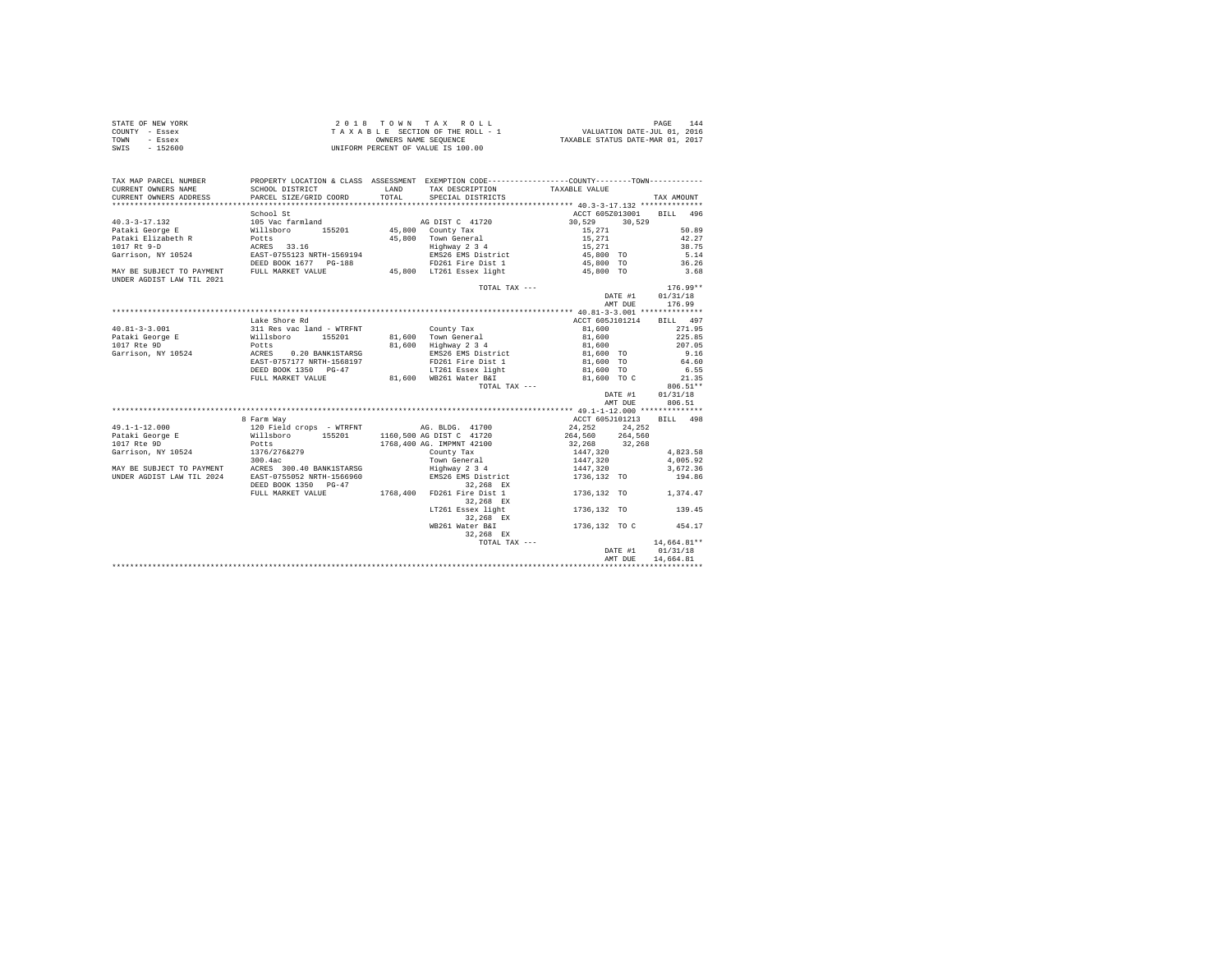| STATE OF NEW YORK | 2018 TOWN TAX ROLL                 | 144<br>PAGE                      |
|-------------------|------------------------------------|----------------------------------|
| COUNTY - Essex    | TAXABLE SECTION OF THE ROLL - 1    | VALUATION DATE-JUL 01, 2016      |
| TOWN<br>- Essex   | OWNERS NAME SEOUENCE               | TAXABLE STATUS DATE-MAR 01, 2017 |
| - 152600<br>SWIS  | UNIFORM PERCENT OF VALUE IS 100.00 |                                  |

| TAX MAP PARCEL NUMBER<br>CURRENT OWNERS NAME<br>CURRENT OWNERS ADDRESS   | SCHOOL DISTRICT<br>PARCEL SIZE/GRID COORD           | LAND<br>TOTAL | PROPERTY LOCATION & CLASS ASSESSMENT EXEMPTION CODE---------------COUNTY-------TOWN---------<br>TAX DESCRIPTION<br>SPECIAL DISTRICTS | TAXABLE VALUE   |         | TAX AMOUNT               |
|--------------------------------------------------------------------------|-----------------------------------------------------|---------------|--------------------------------------------------------------------------------------------------------------------------------------|-----------------|---------|--------------------------|
|                                                                          |                                                     |               |                                                                                                                                      |                 |         |                          |
|                                                                          | School St                                           |               |                                                                                                                                      | ACCT 605Z013001 |         | BILL 496                 |
| $40.3 - 3 - 17.132$                                                      | 105 Vac farmland                                    |               | AG DIST C 41720                                                                                                                      | 30,529          | 30.529  |                          |
| Pataki George E                                                          | Willsboro<br>155201                                 |               | 45,800 County Tax                                                                                                                    | 15,271          |         | 50.89                    |
| Pataki Elizabeth R                                                       | Potts<br>ACRES 33.16                                |               | 45,800 Town General                                                                                                                  | 15,271          |         | 42.27                    |
| 1017 Rt 9-D                                                              |                                                     |               | Highway 2 3 4                                                                                                                        | 15,271          |         | 38.75                    |
| Garrison, NY 10524                                                       | EAST-0755123 NRTH-1569194<br>DEED BOOK 1677 PG-188  |               | EMS26 EMS District                                                                                                                   | 45,800 TO       |         | 5.14                     |
|                                                                          |                                                     |               | FD261 Fire Dist 1                                                                                                                    | 45,800 TO       |         | 36.26                    |
| MAY BE SUBJECT TO PAYMENT FULL MARKET VALUE<br>UNDER AGDIST LAW TIL 2021 |                                                     |               | 45,800 LT261 Essex light                                                                                                             | 45,800 TO       |         | 3.68                     |
|                                                                          |                                                     |               | TOTAL TAX ---                                                                                                                        |                 |         | $176.99**$               |
|                                                                          |                                                     |               |                                                                                                                                      |                 | DATE #1 | 01/31/18                 |
|                                                                          |                                                     |               |                                                                                                                                      |                 | AMT DUE | 176.99                   |
|                                                                          |                                                     |               |                                                                                                                                      |                 |         |                          |
|                                                                          | Lake Shore Rd                                       |               |                                                                                                                                      |                 |         | ACCT 605J101214 BILL 497 |
| $40.81 - 3 - 3.001$                                                      | 311 Res vac land - WTRFNT                           |               | County Tax                                                                                                                           | 81,600          |         | 271.95                   |
| Pataki George E                                                          | Willsboro<br>155201                                 |               | 81,600 Town General                                                                                                                  | 81,600          |         | 225.85                   |
| 1017 Rte 9D                                                              | Potts<br>ACRES       0.20  BANK1STARSG              |               | 81,600 Highway 2 3 4                                                                                                                 | 81,600          |         | 207.05                   |
| Garrison, NY 10524                                                       |                                                     |               | EMS26 EMS District                                                                                                                   | 81,600 TO       |         | 9.16                     |
|                                                                          | EAST-0757177 NRTH-1568197                           |               | FD261 Fire Dist 1                                                                                                                    | 81,600 TO       |         | 64.60                    |
|                                                                          | DEED BOOK 1350 PG-47                                |               | LT261 Essex light                                                                                                                    | 81,600 TO       |         | 6.55                     |
|                                                                          | FULL MARKET VALUE                                   |               | 81,600 WB261 Water B&I                                                                                                               | 81,600 TO C     |         | 21.35                    |
|                                                                          |                                                     |               | TOTAL TAX ---                                                                                                                        |                 |         | $806.51**$               |
|                                                                          |                                                     |               |                                                                                                                                      |                 | DATE #1 | 01/31/18                 |
|                                                                          |                                                     |               |                                                                                                                                      |                 | AMT DUE | 806.51                   |
|                                                                          |                                                     |               |                                                                                                                                      |                 |         |                          |
|                                                                          | 8 Farm Way                                          |               |                                                                                                                                      | ACCT 605J101213 |         | BILL 498                 |
| $49.1 - 1 - 12.000$                                                      | 120 Field crops - WTRFNT                            |               | AG. BLDG. 41700                                                                                                                      | 24,252          | 24,252  |                          |
| Pataki George E                                                          | Willsboro<br>155201                                 |               | 1160,500 AG DIST C 41720                                                                                                             | 264,560         | 264,560 |                          |
| 1017 Rte 9D                                                              | Potts                                               |               | 1768,400 AG. IMPMNT 42100                                                                                                            | 32,268 32,268   |         |                          |
| Garrison, NY 10524                                                       | 1376/276&279                                        |               | County Tax                                                                                                                           | 1447,320        |         | 4.823.58                 |
|                                                                          | 300.4ac                                             |               | Town General                                                                                                                         | 1447.320        |         | 4.005.92                 |
|                                                                          | MAY BE SUBJECT TO PAYMENT ACRES 300.40 BANK1STARSG  |               | Highway 2 3 4                                                                                                                        | 1447.320        |         | 3,672.36                 |
|                                                                          | UNDER AGDIST LAW TIL 2024 EAST-0755052 NRTH-1566960 |               | EMS26 EMS District                                                                                                                   | 1736,132 TO     |         | 194.86                   |
|                                                                          | DEED BOOK 1350 PG-47                                |               | 32.268 EX                                                                                                                            |                 |         |                          |
|                                                                          | FULL MARKET VALUE                                   |               | 1768,400 FD261 Fire Dist 1                                                                                                           |                 |         | 1736, 132 TO 1, 374.47   |
|                                                                          |                                                     |               | 32.268 EX                                                                                                                            |                 |         |                          |
|                                                                          |                                                     |               | LT261 Essex light                                                                                                                    | 1736,132 TO     |         | 139.45                   |
|                                                                          |                                                     |               | 32.268 EX                                                                                                                            |                 |         |                          |
|                                                                          |                                                     |               | WB261 Water B&I                                                                                                                      | 1736,132 TO C   |         | 454.17                   |
|                                                                          |                                                     |               | 32,268 EX                                                                                                                            |                 |         |                          |
|                                                                          |                                                     |               | TOTAL TAX ---                                                                                                                        |                 |         | 14,664.81**              |
|                                                                          |                                                     |               |                                                                                                                                      |                 | DATE #1 | 01/31/18                 |
|                                                                          |                                                     |               |                                                                                                                                      |                 | AMT DUE | 14,664.81                |
|                                                                          |                                                     |               |                                                                                                                                      |                 |         |                          |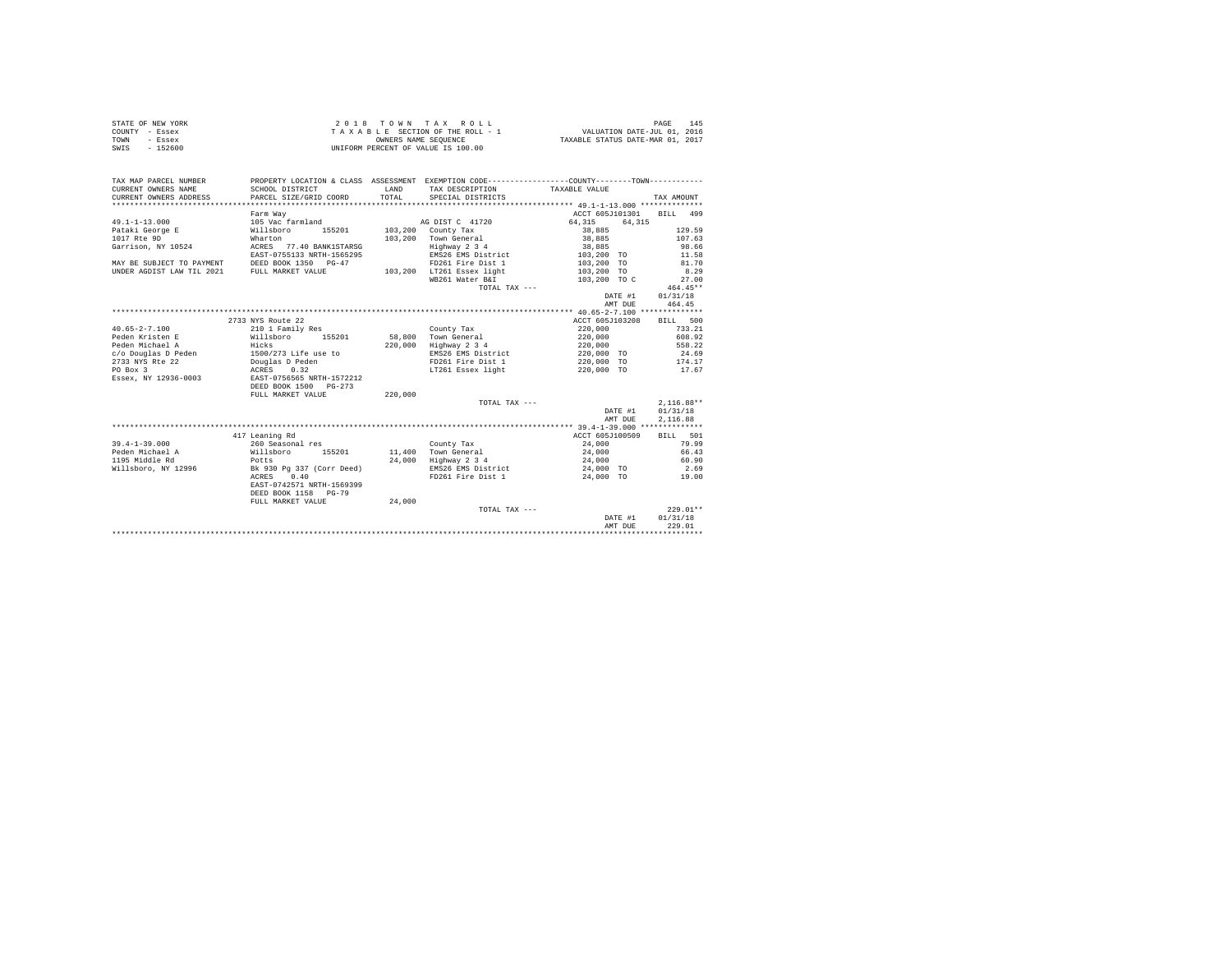| STATE OF NEW YORK | 2018 TOWN TAX ROLL                 | 145<br>PAGE                      |
|-------------------|------------------------------------|----------------------------------|
| COUNTY - Essex    | TAXABLE SECTION OF THE ROLL - 1    | VALUATION DATE-JUL 01, 2016      |
| TOWN<br>- Essex   | OWNERS NAME SEOUENCE               | TAXABLE STATUS DATE-MAR 01, 2017 |
| SWIS<br>$-152600$ | UNIFORM PERCENT OF VALUE IS 100.00 |                                  |

| TAX MAP PARCEL NUMBER                                                                         |                           |         | PROPERTY LOCATION & CLASS ASSESSMENT EXEMPTION CODE----------------COUNTY-------TOWN---------- |                      |              |
|-----------------------------------------------------------------------------------------------|---------------------------|---------|------------------------------------------------------------------------------------------------|----------------------|--------------|
| CURRENT OWNERS NAME                                                                           | SCHOOL DISTRICT           | LAND    | TAX DESCRIPTION                                                                                | TAXABLE VALUE        |              |
| CURRENT OWNERS ADDRESS                                                                        | PARCEL SIZE/GRID COORD    | TOTAL   | SPECIAL DISTRICTS                                                                              |                      | TAX AMOUNT   |
|                                                                                               |                           |         |                                                                                                |                      |              |
|                                                                                               | Farm Way                  |         |                                                                                                | ACCT 605J101301      | BILL 499     |
| $49.1 - 1 - 13.000$                                                                           | 105 Vac farmland          |         | AG DIST C 41720                                                                                | 64, 315 64, 315      |              |
| Pataki George E Willsboro                                                                     | 155201                    |         | 103,200 County Tax                                                                             | 38,885               | 129.59       |
| 1017 Rte 9D                                                                                   | Wharton                   |         | 103,200 Town General                                                                           | 38,885               | 107.63       |
| Garrison, NY 10524                                                                            | ACRES 77.40 BANK1STARSG   |         | $Highway$ 2 3 4                                                                                | 38,885               | 98.66        |
|                                                                                               | EAST-0755133 NRTH-1565295 |         | EMS26 EMS District                                                                             | 103,200 TO           | 11.58        |
| MAY BE SUBJECT TO PAYMENT DEED BOOK 1350 PG-47<br>UNDER AGDIST LAW TIL 2021 FULL MARKET VALUE |                           |         | FD261 Fire Dist 1                                                                              | $103, 200$ TO        | 81.70        |
|                                                                                               |                           |         | 103,200 LT261 Essex light                                                                      | 103,200 TO           | 8.29         |
|                                                                                               |                           |         | WB261 Water B&I                                                                                | 103,200 TO C         | 27.00        |
|                                                                                               |                           |         | TOTAL TAX ---                                                                                  |                      | $464.45**$   |
|                                                                                               |                           |         |                                                                                                | DATE #1              | 01/31/18     |
|                                                                                               |                           |         |                                                                                                | AMT DUE              | 464.45       |
|                                                                                               |                           |         |                                                                                                |                      |              |
|                                                                                               | 2733 NYS Route 22         |         |                                                                                                | ACCT 605J103208      | BILL 500     |
| $40.65 - 2 - 7.100$                                                                           | 210 1 Family Res          |         | County Tax                                                                                     | 220,000              | 733.21       |
| Peden Kristen E                                                                               | Willsboro 155201          |         | 58.800 Town General                                                                            | 220,000              | 608.92       |
| Peden Michael A                                                                               | Hicks                     |         | 220,000 Highway 2 3 4                                                                          | 220,000              | 558.22       |
| c/o Douglas D Peden                                                                           | 1500/273 Life use to      |         | EMS26 EMS District                                                                             | 220,000 TO           | 24.69        |
| 2733 NYS Rte 22                                                                               | Douglas D Peden           |         | FD261 Fire Dist 1                                                                              | 220,000 TO 174.17    |              |
| PO Box 3                                                                                      | ACRES 0.32                |         | LT261 Essex light                                                                              | 220,000 TO           | 17.67        |
| Essex, NY 12936-0003                                                                          | EAST-0756565 NRTH-1572212 |         |                                                                                                |                      |              |
|                                                                                               | DEED BOOK 1500 PG-273     |         |                                                                                                |                      |              |
|                                                                                               | FULL MARKET VALUE         | 220,000 |                                                                                                |                      |              |
|                                                                                               |                           |         | TOTAL TAX ---                                                                                  |                      | $2,116.88**$ |
|                                                                                               |                           |         |                                                                                                | DATE #1              | 01/31/18     |
|                                                                                               |                           |         |                                                                                                | AMT DUE              | 2,116.88     |
|                                                                                               |                           |         |                                                                                                |                      |              |
|                                                                                               | 417 Leaning Rd            |         |                                                                                                | ACCT 605J100509      | BILL 501     |
| $39.4 - 1 - 39.000$                                                                           | 260 Seasonal res          |         | County Tax                                                                                     | 24,000               | 79.99        |
| Peden Michael A                                                                               | 155201<br>Willsboro       |         | 11,400 Town General                                                                            | $24,000$<br>$24,000$ | 66.43        |
| 1195 Middle Rd                                                                                | Potts                     |         | 24,000 Highway 2 3 4                                                                           |                      | 60.90        |
| Willsboro, NY 12996                                                                           | Bk 930 Pg 337 (Corr Deed) |         | EMS26 EMS District 24.000 TO                                                                   |                      | 2.69         |
|                                                                                               | ACRES<br>0.40             |         | FD261 Fire Dist 1                                                                              | 24,000 TO            | 19.00        |
|                                                                                               | EAST-0742571 NRTH-1569399 |         |                                                                                                |                      |              |
|                                                                                               | DEED BOOK 1158 PG-79      |         |                                                                                                |                      |              |
|                                                                                               | FULL MARKET VALUE         | 24,000  |                                                                                                |                      |              |
|                                                                                               |                           |         | TOTAL TAX ---                                                                                  |                      | $229.01**$   |
|                                                                                               |                           |         |                                                                                                | DATE #1              | 01/31/18     |
|                                                                                               |                           |         |                                                                                                | AMT DUE              | 229.01       |
|                                                                                               |                           |         |                                                                                                |                      |              |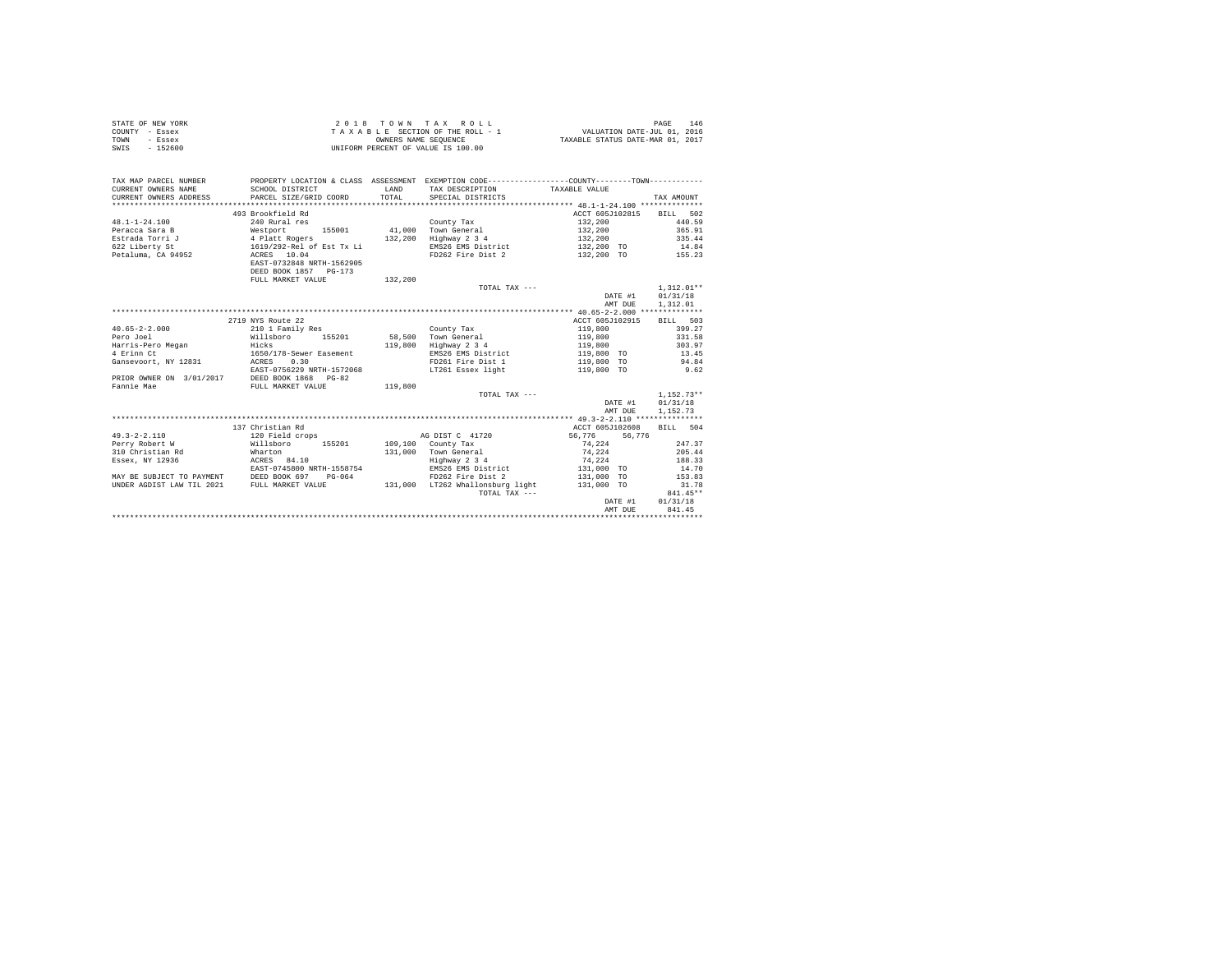| STATE OF NEW YORK | 2018 TOWN TAX ROLL                 | 146<br>PAGE                      |
|-------------------|------------------------------------|----------------------------------|
| COUNTY - Essex    | TAXABLE SECTION OF THE ROLL - 1    | VALUATION DATE-JUL 01, 2016      |
| TOWN<br>- Essex   | OWNERS NAME SEOUENCE               | TAXABLE STATUS DATE-MAR 01, 2017 |
| $-152600$<br>SWIS | UNIFORM PERCENT OF VALUE IS 100.00 |                                  |

| TAX MAP PARCEL NUMBER<br>CURRENT OWNERS NAME<br>CURRENT OWNERS ADDRESS | SCHOOL DISTRICT<br>PARCEL SIZE/GRID COORD                      | <b>T.AND</b><br>TOTAL | PROPERTY LOCATION & CLASS ASSESSMENT EXEMPTION CODE----------------COUNTY-------TOWN----------<br>TAX DESCRIPTION<br>SPECIAL DISTRICTS | TAXABLE VALUE            | TAX AMOUNT           |
|------------------------------------------------------------------------|----------------------------------------------------------------|-----------------------|----------------------------------------------------------------------------------------------------------------------------------------|--------------------------|----------------------|
|                                                                        | 493 Brookfield Rd                                              |                       |                                                                                                                                        | ACCT 605J102815 BILL 502 |                      |
| $48.1 - 1 - 24.100$                                                    | 240 Rural res                                                  |                       | County Tax                                                                                                                             | 132,200                  | 440.59               |
| Peracca Sara B                                                         |                                                                |                       | 41.000 Town General                                                                                                                    | 132,200                  | 365.91               |
| Estrada Torri J                                                        | Westport 155001<br>4 Platt Rogers<br>1619/292-Rel of Est Tx Li |                       | 132,200 Highway 2 3 4                                                                                                                  | 132,200                  | 335.44               |
| 622 Liberty St                                                         |                                                                |                       | EMS26 EMS District                                                                                                                     | 132.200 TO 14.84         |                      |
| Petaluma, CA 94952                                                     | ACRES 10.04                                                    |                       | FD262 Fire Dist 2                                                                                                                      | 132,200 TO 155.23        |                      |
|                                                                        | EAST-0732848 NRTH-1562905<br>DEED BOOK 1857 PG-173             |                       |                                                                                                                                        |                          |                      |
|                                                                        | FULL MARKET VALUE                                              | 132,200               |                                                                                                                                        |                          |                      |
|                                                                        |                                                                |                       | TOTAL TAX ---                                                                                                                          |                          | $1.312.01**$         |
|                                                                        |                                                                |                       |                                                                                                                                        | DATE #1<br>AMT DUE       | 01/31/18<br>1,312.01 |
|                                                                        |                                                                |                       |                                                                                                                                        |                          |                      |
|                                                                        | 2719 NYS Route 22                                              |                       |                                                                                                                                        | ACCT 605J102915          | BTLL 503             |
| $40.65 - 2 - 2.000$                                                    | 210 1 Family Res                                               |                       | County Tax                                                                                                                             | 119,800                  | 399.27               |
| Pero Joel                                                              | Willsboro 155201                                               |                       | 58,500 Town General                                                                                                                    | 119,800                  | 331.58               |
| Harris-Pero Megan<br>4 Frinn Ct                                        | Hicks                                                          | 119,800               | Highway 2 3 4                                                                                                                          | 119,800                  | 303.97               |
| 4 Erinn Ct                                                             | 1650/178-Sewer Easement                                        |                       | EMS26 EMS District                                                                                                                     | 119,800 TO               | 13.45                |
| Gansevoort, NY 12831                                                   | ACRES<br>0.30                                                  |                       | FD261 Fire Dist 1                                                                                                                      | 119,800 TO               | 94.84                |
|                                                                        | EAST-0756229 NRTH-1572068                                      |                       | LT261 Essex light                                                                                                                      | 119,800 TO               | 9.62                 |
| PRIOR OWNER ON 3/01/2017                                               | DEED BOOK 1868 PG-82                                           |                       |                                                                                                                                        |                          |                      |
| Fannie Mae                                                             | FULL MARKET VALUE                                              | 119,800               |                                                                                                                                        |                          |                      |
|                                                                        |                                                                |                       | TOTAL TAX ---                                                                                                                          |                          | $1.152.73**$         |
|                                                                        |                                                                |                       |                                                                                                                                        | DATE #1                  | 01/31/18             |
|                                                                        |                                                                |                       |                                                                                                                                        | AMT DUE                  | 1,152.73             |
|                                                                        |                                                                |                       |                                                                                                                                        |                          |                      |
|                                                                        | 137 Christian Rd                                               |                       |                                                                                                                                        | ACCT 605J102608          | RTLL 504             |
| $49.3 - 2 - 2.110$                                                     | 120 Field crops                                                |                       | AG DIST C 41720                                                                                                                        | 56.776<br>56,776         |                      |
| Perry Robert W                                                         | Willsboro 155201                                               |                       | 109,100 County Tax                                                                                                                     | 74,224                   | 247.37               |
| 310 Christian Rd                                                       | Wharton                                                        |                       | 131,000 Town General<br>Highway 2 3 4                                                                                                  | 74.224                   | 205.44               |
| Essex, NY 12936                                                        | ACRES 84.10                                                    |                       |                                                                                                                                        | 74,224                   | 188.33               |
|                                                                        | EAST-0745800 NRTH-1558754                                      |                       | EMS26 EMS District                                                                                                                     | 131,000 TO               | 14.70                |
| MAY BE SUBJECT TO PAYMENT                                              | DEED BOOK 697<br>PG-064                                        |                       | FD262 Fire Dist 2                                                                                                                      | 131,000 TO               | 153.83               |
| UNDER AGDIST LAW TIL 2021                                              | FULL MARKET VALUE                                              |                       | 131,000 LT262 Whallonsburg light                                                                                                       | 131,000 TO               | 31.78                |
|                                                                        |                                                                |                       | TOTAL TAX $---$                                                                                                                        |                          | 841.45**             |
|                                                                        |                                                                |                       |                                                                                                                                        | DATE #1                  | 01/31/18             |
|                                                                        |                                                                |                       |                                                                                                                                        | AMT DUE                  | 841.45               |
|                                                                        |                                                                |                       |                                                                                                                                        |                          |                      |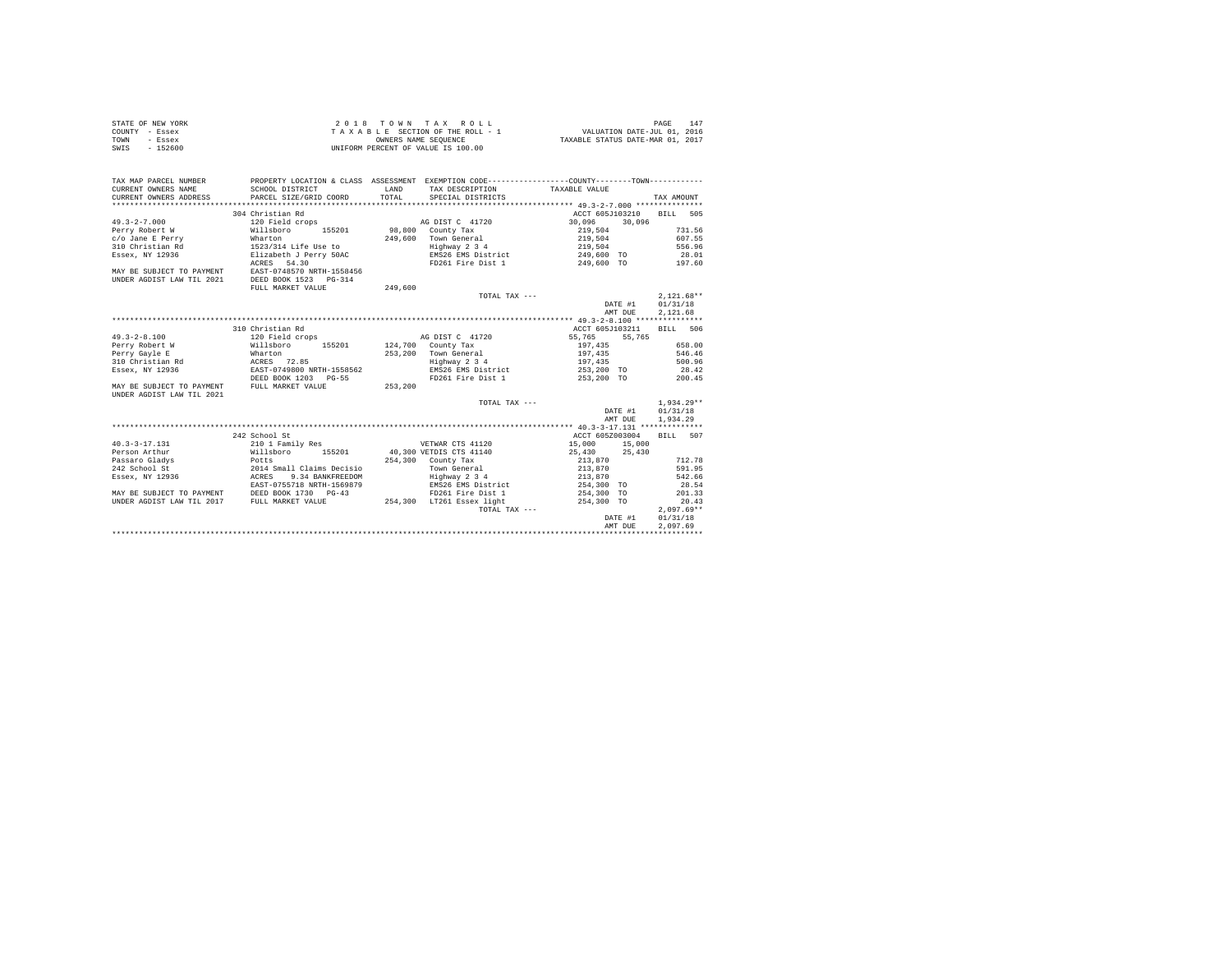| STATE OF NEW YORK | 2018 TOWN TAX ROLL                 | 147<br>PAGE                      |
|-------------------|------------------------------------|----------------------------------|
| COUNTY - Essex    | TAXABLE SECTION OF THE ROLL - 1    | VALUATION DATE-JUL 01, 2016      |
| TOWN<br>- Essex   | OWNERS NAME SEOUENCE               | TAXABLE STATUS DATE-MAR 01, 2017 |
| $-152600$<br>SWIS | UNIFORM PERCENT OF VALUE IS 100.00 |                                  |

| TAX MAP PARCEL NUMBER<br>CURRENT OWNERS NAME<br>CURRENT OWNERS ADDRESS                                                                                                                                                                                                                                         | SCHOOL DISTRICT<br>PARCEL SIZE/GRID COORD | LAND<br>TOTAL. | PROPERTY LOCATION & CLASS ASSESSMENT EXEMPTION CODE---------------COUNTY--------TOWN----------<br>TAX DESCRIPTION TAXABLE VALUE<br>SPECIAL DISTRICTS |                              |         | TAX AMOUNT   |        |
|----------------------------------------------------------------------------------------------------------------------------------------------------------------------------------------------------------------------------------------------------------------------------------------------------------------|-------------------------------------------|----------------|------------------------------------------------------------------------------------------------------------------------------------------------------|------------------------------|---------|--------------|--------|
|                                                                                                                                                                                                                                                                                                                | 304 Christian Rd                          |                |                                                                                                                                                      | ACCT 605J103210 BILL 505     |         |              |        |
| $49.3 - 2 - 7.000$                                                                                                                                                                                                                                                                                             | 120 Field crops                           |                | AG DIST C 41720                                                                                                                                      |                              |         |              |        |
| Perry Robert W Willsboro 155201 98,800 County Tax                                                                                                                                                                                                                                                              |                                           |                |                                                                                                                                                      | $30,096$ $30,096$<br>219,504 |         | 731.56       |        |
|                                                                                                                                                                                                                                                                                                                |                                           |                |                                                                                                                                                      |                              |         |              |        |
|                                                                                                                                                                                                                                                                                                                |                                           |                | 249,600 Town General 219,504<br>Highway 2 3 4 219,504                                                                                                |                              |         |              |        |
|                                                                                                                                                                                                                                                                                                                |                                           |                |                                                                                                                                                      |                              |         |              |        |
|                                                                                                                                                                                                                                                                                                                | ACRES 54.30                               |                | FD261 Fire Dist 1 249,600 TO 197.60                                                                                                                  |                              |         |              |        |
| MAY BE SUBJECT TO PAYMENT                                                                                                                                                                                                                                                                                      | EAST-0748570 NRTH-1558456                 |                |                                                                                                                                                      |                              |         |              |        |
| UNDER AGDIST LAW TIL 2021 DEED BOOK 1523 PG-314                                                                                                                                                                                                                                                                |                                           |                |                                                                                                                                                      |                              |         |              |        |
|                                                                                                                                                                                                                                                                                                                | FULL MARKET VALUE                         | 249,600        |                                                                                                                                                      |                              |         |              |        |
|                                                                                                                                                                                                                                                                                                                |                                           |                | TOTAL TAX ---                                                                                                                                        |                              |         | $2.121.68**$ |        |
|                                                                                                                                                                                                                                                                                                                |                                           |                |                                                                                                                                                      |                              | DATE #1 | 01/31/18     |        |
|                                                                                                                                                                                                                                                                                                                |                                           |                |                                                                                                                                                      |                              |         | 2.121.68     |        |
|                                                                                                                                                                                                                                                                                                                |                                           |                |                                                                                                                                                      |                              | AMT DUE |              |        |
|                                                                                                                                                                                                                                                                                                                |                                           |                |                                                                                                                                                      |                              |         |              |        |
|                                                                                                                                                                                                                                                                                                                | 310 Christian Rd                          |                |                                                                                                                                                      | ACCT 605J103211              |         | BTLL 506     |        |
| $49.3 - 2 - 8.100$                                                                                                                                                                                                                                                                                             | 120 Field crops                           |                | AG DIST C 41720 55.765 55.765                                                                                                                        |                              |         |              |        |
|                                                                                                                                                                                                                                                                                                                |                                           |                | 124,700 County Tax<br>253,200 Town General<br>Highway 2 3 4                                                                                          | $\frac{197}{197}$ , 435      |         | 658.00       |        |
|                                                                                                                                                                                                                                                                                                                |                                           |                |                                                                                                                                                      | 197,435                      |         |              | 546.46 |
|                                                                                                                                                                                                                                                                                                                |                                           |                |                                                                                                                                                      | 197,435                      |         |              | 500.96 |
| Essex, NY 12936                                                                                                                                                                                                                                                                                                | EAST-0749800 NRTH-1558562                 |                | EMS26 EMS District 253,200 TO 28.42                                                                                                                  |                              |         |              |        |
|                                                                                                                                                                                                                                                                                                                | DEED BOOK 1203 PG-55                      | $-55$ 253,200  | FD261 Fire Dist 1                                                                                                                                    | 253,200 TO                   |         |              | 200.45 |
| MAY BE SUBJECT TO PAYMENT FULL MARKET VALUE                                                                                                                                                                                                                                                                    |                                           |                |                                                                                                                                                      |                              |         |              |        |
| UNDER AGDIST LAW TIL 2021                                                                                                                                                                                                                                                                                      |                                           |                |                                                                                                                                                      |                              |         |              |        |
|                                                                                                                                                                                                                                                                                                                |                                           |                | TOTAL TAX ---                                                                                                                                        |                              |         | $1.934.29**$ |        |
|                                                                                                                                                                                                                                                                                                                |                                           |                |                                                                                                                                                      |                              | DATE #1 | 01/31/18     |        |
|                                                                                                                                                                                                                                                                                                                |                                           |                |                                                                                                                                                      |                              | AMT DUE | 1,934.29     |        |
|                                                                                                                                                                                                                                                                                                                |                                           |                |                                                                                                                                                      |                              |         |              |        |
| ${\small \begin{tabular}{c c c c c c c} \hline & $\mathit{a$-u$-u$-1~Pami1y$ Res & $V\&$WITWAR CTS 41120 & $A$-05-217.131 & $+0.33$ & $1.321$ & $1.321$ & $1.321$ \\ & $A$-acc $6520030044 & $1.321$ & $1.321$ & $1.321$ & $1.321$ & $1.321$ & $1.321$ & $1.321$ & $1.321$ \\ & $1.3900$ & $1.5900$ & $1.5900$ |                                           |                |                                                                                                                                                      | ACCT 605Z003004              |         | BTLL 507     |        |
|                                                                                                                                                                                                                                                                                                                |                                           |                |                                                                                                                                                      |                              |         |              |        |
|                                                                                                                                                                                                                                                                                                                |                                           |                |                                                                                                                                                      |                              |         |              |        |
|                                                                                                                                                                                                                                                                                                                |                                           |                |                                                                                                                                                      |                              |         |              | 712.78 |
|                                                                                                                                                                                                                                                                                                                |                                           |                |                                                                                                                                                      |                              |         |              | 591.95 |
|                                                                                                                                                                                                                                                                                                                |                                           |                |                                                                                                                                                      |                              |         |              | 542.66 |
|                                                                                                                                                                                                                                                                                                                |                                           |                |                                                                                                                                                      |                              |         |              | 28.54  |
| MAY BE SUBJECT TO PAYMENT DEED BOOK 1730 PG-43                                                                                                                                                                                                                                                                 |                                           |                | FD261 Fire Dist 1 254.300 TO                                                                                                                         |                              |         |              | 201.33 |
| UNDER AGDIST LAW TIL 2017 FULL MARKET VALUE 254,300 LT261 Essex light 254,300 TO                                                                                                                                                                                                                               |                                           |                |                                                                                                                                                      |                              |         |              | 20.43  |
|                                                                                                                                                                                                                                                                                                                |                                           |                | TOTAL TAX ---                                                                                                                                        |                              |         | $2,097.69**$ |        |
|                                                                                                                                                                                                                                                                                                                |                                           |                |                                                                                                                                                      |                              | DATE #1 | 01/31/18     |        |
|                                                                                                                                                                                                                                                                                                                |                                           |                |                                                                                                                                                      |                              | AMT DUE | 2.097.69     |        |
|                                                                                                                                                                                                                                                                                                                |                                           |                |                                                                                                                                                      |                              |         |              |        |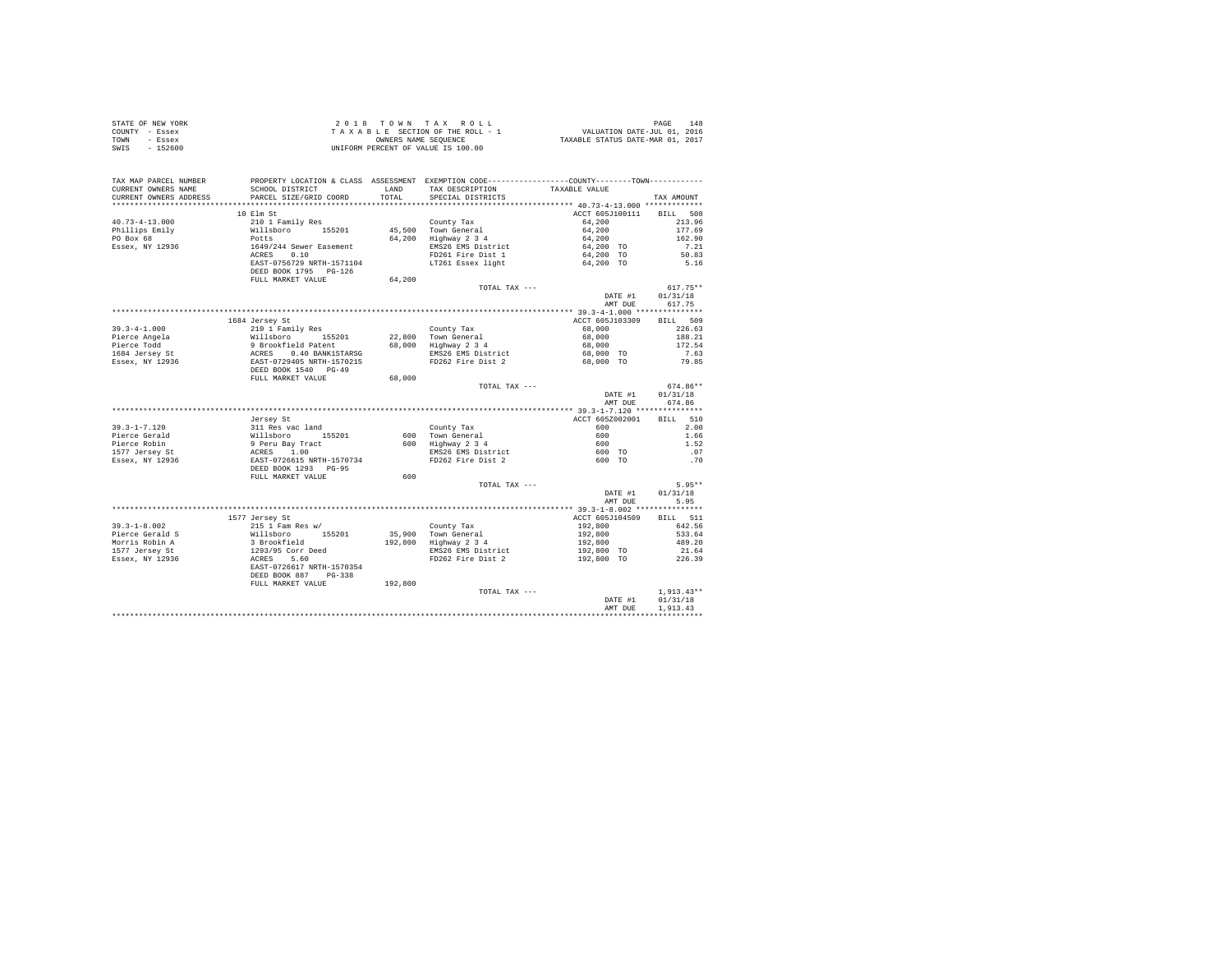| STATE OF NEW YORK | 2018 TOWN TAX ROLL                 | 148<br>PAGE                      |
|-------------------|------------------------------------|----------------------------------|
| COUNTY - Essex    | TAXABLE SECTION OF THE ROLL - 1    | VALUATION DATE-JUL 01, 2016      |
| TOWN<br>- Essex   | OWNERS NAME SEOUENCE               | TAXABLE STATUS DATE-MAR 01, 2017 |
| $-152600$<br>SWIS | UNIFORM PERCENT OF VALUE IS 100.00 |                                  |

| TAX MAP PARCEL NUMBER<br>CURRENT OWNERS NAME<br>CURRENT OWNERS ADDRESS | PROPERTY LOCATION & CLASS ASSESSMENT EXEMPTION CODE---------------COUNTY-------TOWN----------<br>SCHOOL DISTRICT<br>PARCEL SIZE/GRID COORD                             | LAND<br>TOTAL | TAX DESCRIPTION<br>SPECIAL DISTRICTS                        | TAXABLE VALUE            | TAX AMOUNT       |
|------------------------------------------------------------------------|------------------------------------------------------------------------------------------------------------------------------------------------------------------------|---------------|-------------------------------------------------------------|--------------------------|------------------|
| **********************                                                 | *************************                                                                                                                                              |               |                                                             |                          |                  |
|                                                                        | 10 Elm St                                                                                                                                                              |               |                                                             | ACCT 605J100111 BILL 508 |                  |
| $40.73 - 4 - 13.000$                                                   | 210 1 Family Res<br>Willsboro 155201                                                                                                                                   |               | County Tax                                                  | 64,200                   | 213.96           |
| Phillips Emily                                                         |                                                                                                                                                                        |               | 45,500 Town General                                         | 64,200                   | 177.69           |
| PO Box 68                                                              | Potts<br>1649/244 Sewer Easement<br>ACRES 0.10                                                                                                                         |               | 64,200 Highway 2 3 4                                        | 64,200                   | 162.90           |
| Essex, NY 12936                                                        |                                                                                                                                                                        |               | EMS26 EMS District                                          | 64,200 TO                | 7.21             |
|                                                                        |                                                                                                                                                                        |               | FD261 Fire Dist 1                                           | 64.200 TO                | 50.83            |
|                                                                        | EAST-0756729 NRTH-1571104                                                                                                                                              |               | LT261 Essex light                                           | 64,200 TO                | 5.16             |
|                                                                        | DEED BOOK 1795 PG-126                                                                                                                                                  |               |                                                             |                          |                  |
|                                                                        | FULL MARKET VALUE                                                                                                                                                      | 64,200        |                                                             |                          |                  |
|                                                                        |                                                                                                                                                                        |               | TOTAL TAX ---                                               |                          | $617.75**$       |
|                                                                        |                                                                                                                                                                        |               |                                                             | DATE #1                  | 01/31/18         |
|                                                                        |                                                                                                                                                                        |               |                                                             | AMT DUE                  | 617.75           |
|                                                                        |                                                                                                                                                                        |               |                                                             |                          |                  |
|                                                                        | 1684 Jersey St                                                                                                                                                         |               |                                                             | ACCT 605J103309          | BILL 509         |
| $39.3 - 4 - 1.000$                                                     | 210 1 Family Res                                                                                                                                                       |               | County Tax                                                  | 68,000                   | 226.63           |
| Pierce Angela                                                          |                                                                                                                                                                        |               | $22,800$ Town General                                       | 68,000                   | 188.21           |
| Pierce Todd                                                            |                                                                                                                                                                        |               | 68,000 Highway 2 3 4                                        | 68,000                   | 172.54           |
| 1684 Jersey St<br>Essex. NY 12936                                      |                                                                                                                                                                        |               | EMS26 EMS District                                          | 68,000 TO                | 7.63             |
| Essex, NY 12936                                                        | %10 1 ramily Res<br>Willsboro 155201<br>9 Brookfield Patent<br>ACRES 0.40 BANK1STARSG<br>EAST-0729405 NRTH-1570215<br>DEED BOOK 1540 PG-49                             |               | FD262 Fire Dist 2                                           | 68,000 TO                | 79.85            |
|                                                                        |                                                                                                                                                                        |               |                                                             |                          |                  |
|                                                                        | FULL MARKET VALUE                                                                                                                                                      | 68,000        |                                                             |                          |                  |
|                                                                        |                                                                                                                                                                        |               | TOTAL TAX ---                                               |                          | $674.86**$       |
|                                                                        |                                                                                                                                                                        |               |                                                             | DATE #1                  | 01/31/18         |
|                                                                        |                                                                                                                                                                        |               |                                                             | AMT DUE                  | 674.86           |
|                                                                        |                                                                                                                                                                        |               |                                                             |                          |                  |
|                                                                        | Jersey St                                                                                                                                                              |               |                                                             | ACCT 605Z002001          | BILL 510         |
| $39.3 - 1 - 7.120$                                                     |                                                                                                                                                                        |               | County Tax                                                  | 600                      | 2.00             |
| Pierce Gerald                                                          |                                                                                                                                                                        |               | 600 Town General                                            | 600                      | 1.66             |
| Pierce Robin                                                           |                                                                                                                                                                        |               | 600 Town Generai<br>600 Highway 2 3 4<br>EMS26 EMS District | 600                      | 1.52             |
| 1577 Jersey St                                                         |                                                                                                                                                                        |               |                                                             | 600 TO                   | .07              |
| Essex, NY 12936                                                        |                                                                                                                                                                        |               | FD262 Fire Dist 2                                           | 600 TO                   | .70              |
|                                                                        | % = 1987 star<br>311 Res vac land<br>311 Res vac land<br>9 Peru Bay Tract<br>RERS = 1.00<br>ERST-0726615 NRTH-1570734<br>DEED BOOK 1293 PG-95<br>9 PERS DON 1293 PG-95 |               |                                                             |                          |                  |
|                                                                        | FULL MARKET VALUE                                                                                                                                                      | 600           |                                                             |                          |                  |
|                                                                        |                                                                                                                                                                        |               | TOTAL TAX ---                                               |                          | $5.95**$         |
|                                                                        |                                                                                                                                                                        |               |                                                             | DATE #1<br>AMT DUE       | 01/31/18<br>5.95 |
|                                                                        |                                                                                                                                                                        |               |                                                             |                          |                  |
|                                                                        | 1577 Jersey St                                                                                                                                                         |               |                                                             | ACCT 605J104509          | BILL 511         |
| $39.3 - 1 - 8.002$                                                     | 215 1 Fam Res w/                                                                                                                                                       |               | County Tax                                                  |                          | 642.56           |
| Pierce Gerald S                                                        |                                                                                                                                                                        |               | 35,900 Town General                                         | 192,800<br>192,800       | 533.64           |
| Morris Robin A                                                         |                                                                                                                                                                        |               | 192,800 Highway 2 3 4                                       | 192,800                  | 489.20           |
| 1577 Jersey St                                                         |                                                                                                                                                                        |               | EMS26 EMS District                                          | 192,800 TO               | 21.64            |
| Essex, NY 12936                                                        |                                                                                                                                                                        |               | FD262 Fire Dist 2                                           | 192,800 TO               | 226.39           |
|                                                                        | EAST-0726617 NRTH-1570354                                                                                                                                              |               |                                                             |                          |                  |
|                                                                        | DEED BOOK 887 PG-338                                                                                                                                                   |               |                                                             |                          |                  |
|                                                                        | FULL MARKET VALUE                                                                                                                                                      | 192,800       |                                                             |                          |                  |
|                                                                        |                                                                                                                                                                        |               | TOTAL TAX ---                                               |                          | $1.913.43**$     |
|                                                                        |                                                                                                                                                                        |               |                                                             | DATE #1                  | 01/31/18         |
|                                                                        |                                                                                                                                                                        |               |                                                             | AMT DUE                  | 1,913.43         |
|                                                                        |                                                                                                                                                                        |               |                                                             |                          |                  |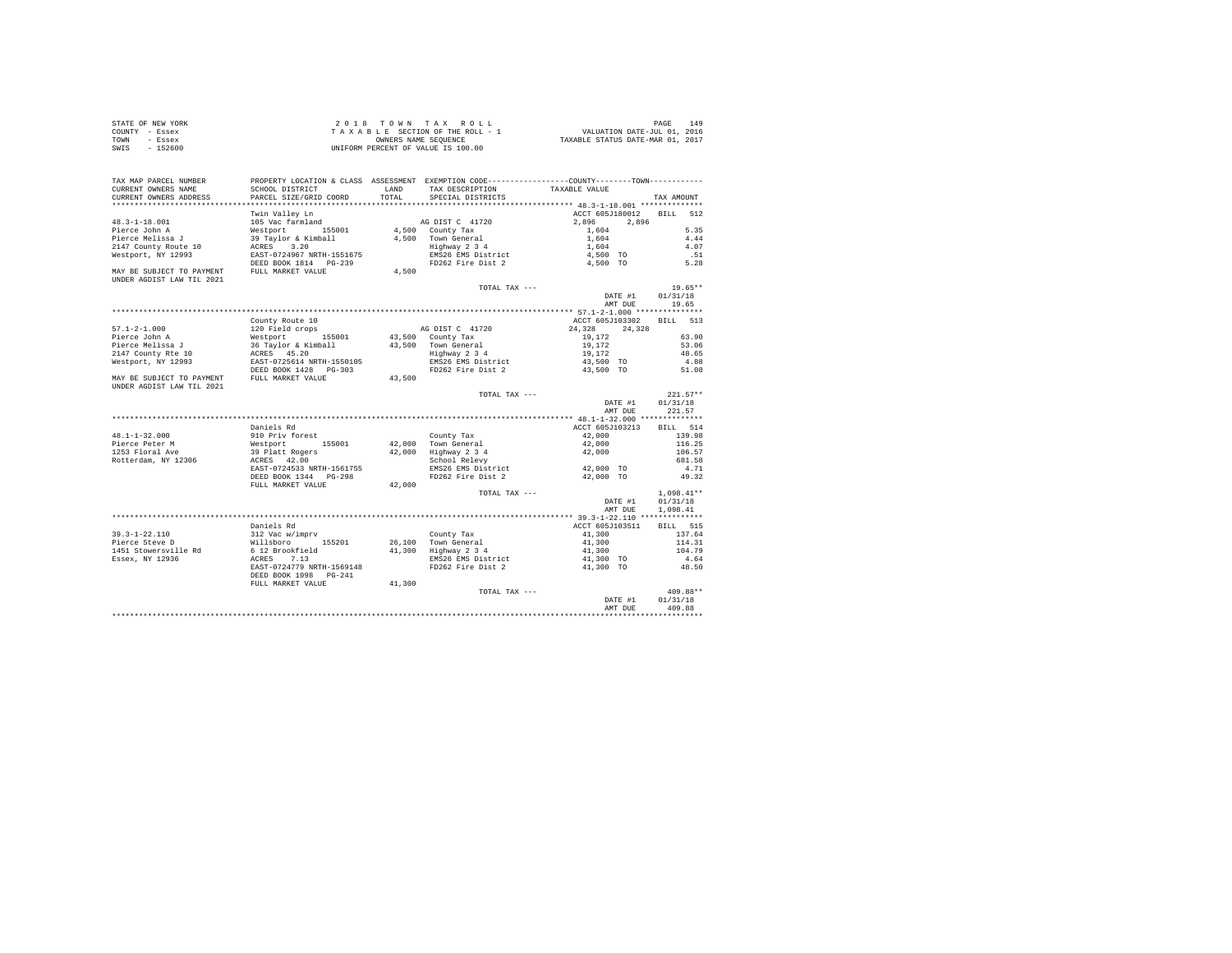| STATE OF NEW YORK | 2018 TOWN TAX ROLL                 | 149<br>PAGE                      |
|-------------------|------------------------------------|----------------------------------|
| COUNTY - Essex    | TAXABLE SECTION OF THE ROLL - 1    | VALUATION DATE-JUL 01, 2016      |
| TOWN<br>- Essex   | OWNERS NAME SEOUENCE               | TAXABLE STATUS DATE-MAR 01, 2017 |
| $-152600$<br>SWIS | UNIFORM PERCENT OF VALUE IS 100.00 |                                  |

| TAX MAP PARCEL NUMBER                                                    |                                                                                                                                                                        |              |                                                     | PROPERTY LOCATION & CLASS ASSESSMENT EXEMPTION CODE----------------COUNTY--------TOWN---------- |              |
|--------------------------------------------------------------------------|------------------------------------------------------------------------------------------------------------------------------------------------------------------------|--------------|-----------------------------------------------------|-------------------------------------------------------------------------------------------------|--------------|
| CURRENT OWNERS NAME                                                      | SCHOOL DISTRICT                                                                                                                                                        | <b>T.AND</b> | TAX DESCRIPTION                                     | TAXABLE VALUE                                                                                   |              |
| CURRENT OWNERS ADDRESS                                                   | PARCEL SIZE/GRID COORD                                                                                                                                                 | TOTAL        | SPECIAL DISTRICTS                                   |                                                                                                 | TAX AMOUNT   |
|                                                                          |                                                                                                                                                                        |              |                                                     |                                                                                                 |              |
|                                                                          | Twin Valley Ln                                                                                                                                                         |              |                                                     | ACCT 605J180012 BILL                                                                            | 512          |
| $48.3 - 1 - 18.001$                                                      | 105 Vac farmland                                                                                                                                                       |              | AG DIST C 41720                                     | 2,896<br>2.896                                                                                  |              |
| Pierce John A                                                            |                                                                                                                                                                        |              | 4,500 County Tax                                    | 1,604                                                                                           | 5.35         |
| Pierce Melissa J                                                         | Westport 155001<br>39 Taylor & Kimball                                                                                                                                 |              | 4,500 Town General                                  | 1,604                                                                                           | 4.44         |
| 2147 County Route 10                                                     | ACRES 3.20<br>EAST-0724967 NRTH-1551675                                                                                                                                |              |                                                     |                                                                                                 | 4.07         |
| Westport, NY 12993                                                       |                                                                                                                                                                        |              |                                                     |                                                                                                 | .51          |
|                                                                          | DEED BOOK 1814    PG-239                                                                                                                                               |              |                                                     |                                                                                                 | 5.28         |
| MAY BE SUBJECT TO PAYMENT FULL MARKET VALUE<br>UNDER AGDIST LAW TIL 2021 |                                                                                                                                                                        | 4,500        |                                                     |                                                                                                 |              |
|                                                                          |                                                                                                                                                                        |              | TOTAL TAX ---                                       |                                                                                                 | $19.65**$    |
|                                                                          |                                                                                                                                                                        |              |                                                     | DATE #1                                                                                         | 01/31/18     |
|                                                                          |                                                                                                                                                                        |              |                                                     | AMT DUE                                                                                         | 19.65        |
|                                                                          |                                                                                                                                                                        |              |                                                     |                                                                                                 |              |
|                                                                          | County Route 10                                                                                                                                                        |              |                                                     | ACCT 605J103302 BILL                                                                            | 513          |
| $57.1 - 2 - 1.000$                                                       |                                                                                                                                                                        |              | AG DIST C 41720                                     | 24,328<br>24,328                                                                                |              |
| Pierce John A                                                            | County Aude Is<br>Nestport<br>Nestport & Kimball<br>ACRES 45.20<br>EAFO725614 NRTH-1550105<br>DEED BOOK 1428 PG-303                                                    |              | $43.500$ County Tax                                 | 19,172                                                                                          | 63.90        |
| Pierce Melissa J                                                         |                                                                                                                                                                        |              | 43,500 Town General                                 | 19,172                                                                                          | 53.06        |
| 2147 County Rte 10                                                       |                                                                                                                                                                        |              |                                                     |                                                                                                 | 48.65        |
| Westport, NY 12993                                                       |                                                                                                                                                                        |              | TOWN General<br>Highway 2 3 4<br>EMS26 EMS District | 19,172<br>43,500 TO                                                                             | 4.88         |
|                                                                          |                                                                                                                                                                        |              | FD262 Fire Dist 2                                   | 43,500 TO                                                                                       | 51.08        |
| MAY BE SUBJECT TO PAYMENT FULL MARKET VALUE<br>UNDER AGDIST LAW TIL 2021 |                                                                                                                                                                        | 43,500       |                                                     |                                                                                                 |              |
|                                                                          |                                                                                                                                                                        |              | TOTAL TAX ---                                       |                                                                                                 | $221.57**$   |
|                                                                          |                                                                                                                                                                        |              |                                                     | DATE #1                                                                                         | 01/31/18     |
|                                                                          |                                                                                                                                                                        |              |                                                     | AMT DUE                                                                                         | 221.57       |
|                                                                          |                                                                                                                                                                        |              |                                                     |                                                                                                 |              |
|                                                                          | Daniels Rd                                                                                                                                                             |              |                                                     | ACCT 605J103213                                                                                 | BILL 514     |
| $48.1 - 1 - 32.000$                                                      | 910 Priv forest                                                                                                                                                        |              | County Tax                                          | 42,000                                                                                          | 139.98       |
| Pierce Peter M                                                           |                                                                                                                                                                        |              | 42,000 Town General                                 | 42,000                                                                                          | 116.25       |
| 1253 Floral Ave                                                          | Microsoft 155001<br>39 platt Rogers<br>ACRES 42.00<br>EAST-0724533 NRTH-1561755                                                                                        |              |                                                     | 42.000                                                                                          | 106.57       |
| Rotterdam, NY 12306                                                      |                                                                                                                                                                        |              | 42,000 Highway 2 3 4<br>School Relevy               |                                                                                                 | 681.58       |
|                                                                          |                                                                                                                                                                        |              |                                                     | EMS26 EMS District 42,000 TO                                                                    | 4.71         |
|                                                                          | DEED BOOK 1344 PG-298                                                                                                                                                  |              | FD262 Fire Dist 2                                   |                                                                                                 | 49.32        |
|                                                                          | FULL MARKET VALUE                                                                                                                                                      |              |                                                     | 42,000 TO                                                                                       |              |
|                                                                          |                                                                                                                                                                        | 42,000       | TOTAL TAX ---                                       |                                                                                                 | $1,098.41**$ |
|                                                                          |                                                                                                                                                                        |              |                                                     | DATE #1                                                                                         | 01/31/18     |
|                                                                          |                                                                                                                                                                        |              |                                                     | AMT DUE                                                                                         | 1,098.41     |
|                                                                          |                                                                                                                                                                        |              |                                                     |                                                                                                 |              |
|                                                                          | Daniels Rd                                                                                                                                                             |              |                                                     |                                                                                                 |              |
|                                                                          |                                                                                                                                                                        |              |                                                     | ACCT 605J103511                                                                                 | BILL 515     |
| $39.3 - 1 - 22.110$                                                      | 312 Vac w/imprv<br>Willsboro 155201                                                                                                                                    |              | County Tax                                          | 41,300                                                                                          | 137.64       |
|                                                                          | Pierce Steve D. Millsboro – 155201 26,100 Town-General<br>1451 Stowersville Rd 12 Brookfield 141,300 Highway 234<br>Essex, NY 12936 6 ACRES 7.13 18 EMS26 EMS District |              |                                                     | 41,300                                                                                          | 114.31       |
|                                                                          |                                                                                                                                                                        |              |                                                     | 41,300                                                                                          | 104.79       |
|                                                                          |                                                                                                                                                                        |              |                                                     | 41,300 TO                                                                                       | 4.64         |
|                                                                          | EAST-0724779 NRTH-1569148                                                                                                                                              |              | FD262 Fire Dist 2                                   | 41,300 TO                                                                                       | 48.50        |
|                                                                          | DEED BOOK 1098    PG-241                                                                                                                                               |              |                                                     |                                                                                                 |              |
|                                                                          | FULL MARKET VALUE                                                                                                                                                      | 41,300       |                                                     |                                                                                                 |              |
|                                                                          |                                                                                                                                                                        |              | TOTAL TAX ---                                       |                                                                                                 | 409.88**     |
|                                                                          |                                                                                                                                                                        |              |                                                     | DATE #1                                                                                         | 01/31/18     |
|                                                                          |                                                                                                                                                                        |              |                                                     | AMT DUE                                                                                         | 409.88       |
|                                                                          |                                                                                                                                                                        |              |                                                     |                                                                                                 |              |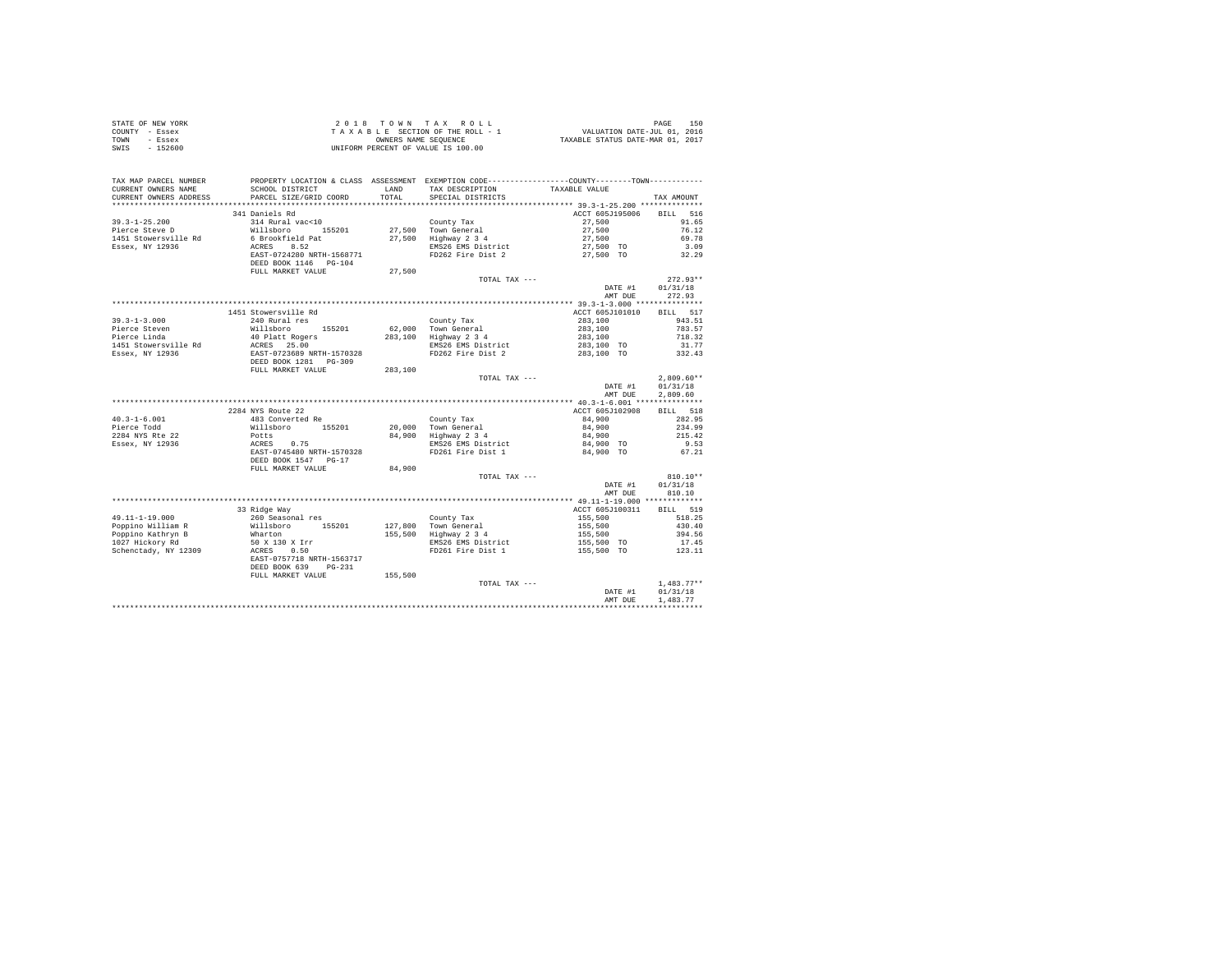|                | STATE OF NEW YORK | 2018 TOWN TAX ROLL                 | 150<br>PAGE                      |
|----------------|-------------------|------------------------------------|----------------------------------|
| COUNTY - Essex |                   | TAXABLE SECTION OF THE ROLL - 1    | VALUATION DATE-JUL 01, 2016      |
| TOWN           | - Essex           | OWNERS NAME SEOUENCE               | TAXABLE STATUS DATE-MAR 01, 2017 |
| SWIS           | $-152600$         | UNIFORM PERCENT OF VALUE IS 100.00 |                                  |

| TAX MAP PARCEL NUMBER<br>CURRENT OWNERS NAME<br>CURRENT OWNERS ADDRESS | PROPERTY LOCATION & CLASS ASSESSMENT EXEMPTION CODE----------------COUNTY-------TOWN----------<br>SCHOOL DISTRICT<br>PARCEL SIZE/GRID COORD | LAND<br>TOTAL. | TAX DESCRIPTION<br>SPECIAL DISTRICTS | TAXABLE VALUE             | TAX AMOUNT                  |
|------------------------------------------------------------------------|---------------------------------------------------------------------------------------------------------------------------------------------|----------------|--------------------------------------|---------------------------|-----------------------------|
| **********************                                                 | ***************************                                                                                                                 |                |                                      |                           |                             |
| $39.3 - 1 - 25.200$                                                    | 341 Daniels Rd<br>314 Rural vac<10                                                                                                          |                | County Tax                           | ACCT 605J195006<br>27,500 | 516<br><b>BILL</b><br>91.65 |
| Pierce Steve D                                                         | Willsboro 155201                                                                                                                            |                | 27,500 Town General                  | 27,500                    | 76.12                       |
| 1451 Stowersville Rd                                                   | 6 Brookfield Pat                                                                                                                            | 27,500         | Highway 2 3 4                        | 27,500                    | 69.78                       |
| Essex, NY 12936                                                        | 8.52<br>ACRES                                                                                                                               |                | EMS26 EMS District                   | 27,500 TO                 | 3.09                        |
|                                                                        | EAST-0724280 NRTH-1568771                                                                                                                   |                | FD262 Fire Dist 2                    | 27,500 TO                 | 32.29                       |
|                                                                        | DEED BOOK 1146 PG-104                                                                                                                       |                |                                      |                           |                             |
|                                                                        | FULL MARKET VALUE                                                                                                                           | 27,500         |                                      |                           |                             |
|                                                                        |                                                                                                                                             |                | TOTAL TAX ---                        |                           | $272.93**$                  |
|                                                                        |                                                                                                                                             |                |                                      | DATE #1                   | 01/31/18                    |
|                                                                        |                                                                                                                                             |                |                                      | AMT DUE                   | 272.93                      |
|                                                                        |                                                                                                                                             |                |                                      |                           |                             |
|                                                                        | 1451 Stowersville Rd                                                                                                                        |                |                                      | ACCT 605J101010           | BILL 517                    |
| $39.3 - 1 - 3.000$                                                     | 240 Rural res                                                                                                                               |                | County Tax                           | 283,100                   | 943.51                      |
| Pierce Steven                                                          | Willsboro<br>155201                                                                                                                         | 62,000         | Town General                         | 283,100                   | 783.57                      |
| Pierce Linda                                                           | 40 Platt Rogers                                                                                                                             | 283,100        | Highway 2 3 4                        | 283,100                   | 718.32                      |
| 1451 Stowersville Rd                                                   | ACRES 25.00                                                                                                                                 |                | EMS26 EMS District                   | 283,100 TO                | 31.77                       |
| Essex, NY 12936                                                        | EAST-0723689 NRTH-1570328                                                                                                                   |                | FD262 Fire Dist 2                    | 283,100 TO                | 332.43                      |
|                                                                        | DEED BOOK 1281 PG-309                                                                                                                       |                |                                      |                           |                             |
|                                                                        | FULL MARKET VALUE                                                                                                                           | 283,100        |                                      |                           |                             |
|                                                                        |                                                                                                                                             |                | TOTAL TAX ---                        |                           | $2.809.60**$                |
|                                                                        |                                                                                                                                             |                |                                      | DATE #1                   | 01/31/18                    |
|                                                                        |                                                                                                                                             |                |                                      | AMT DUE                   | 2,809.60                    |
|                                                                        |                                                                                                                                             |                |                                      |                           |                             |
|                                                                        | 2284 NYS Route 22                                                                                                                           |                |                                      | ACCT 605J102908           | BILL 518                    |
| $40.3 - 1 - 6.001$                                                     | 483 Converted Re                                                                                                                            |                | County Tax                           | 84,900                    | 282.95                      |
| Pierce Todd                                                            | 155201<br>Willsboro                                                                                                                         |                | 20,000 Town General                  | 84,900                    | 234.99                      |
| 2284 NYS Rte 22                                                        | Potts                                                                                                                                       |                | 84,900 Highway 2 3 4                 | 84,900                    | 215.42                      |
| Essex, NY 12936                                                        | ACRES 0.75                                                                                                                                  |                | EMS26 EMS District                   | 84,900 TO                 | 9.53                        |
|                                                                        | EAST-0745480 NRTH-1570328                                                                                                                   |                | FD261 Fire Dist 1                    | 84,900 TO                 | 67.21                       |
|                                                                        | DEED BOOK 1547 PG-17                                                                                                                        |                |                                      |                           |                             |
|                                                                        | FULL MARKET VALUE                                                                                                                           | 84,900         |                                      |                           |                             |
|                                                                        |                                                                                                                                             |                | TOTAL TAX ---                        |                           | $810.10**$                  |
|                                                                        |                                                                                                                                             |                |                                      | DATE #1                   | 01/31/18                    |
|                                                                        |                                                                                                                                             |                |                                      | AMT DUE                   | 810.10                      |
|                                                                        |                                                                                                                                             |                |                                      |                           |                             |
|                                                                        | 33 Ridge Way                                                                                                                                |                |                                      | ACCT 605J100311           | BILL 519                    |
| $49.11 - 1 - 19.000$                                                   | 260 Seasonal res                                                                                                                            |                | County Tax                           | 155,500                   | 518.25                      |
| Poppino William R                                                      |                                                                                                                                             | 127,800        | Town General                         | 155,500                   | 430.40                      |
| Poppino Kathryn B                                                      | Willsboro 155201<br>Wharton                                                                                                                 | 155,500        | Highway 2 3 4                        | 155,500                   | 394.56                      |
| 1027 Hickory Rd                                                        | 50 X 130 X Irr                                                                                                                              |                | EMS26 EMS District                   | 155,500 TO                | 17.45                       |
| Schenctady, NY 12309                                                   | 0.50<br>ACRES                                                                                                                               |                | FD261 Fire Dist 1                    | 155,500 TO                | 123.11                      |
|                                                                        | EAST-0757718 NRTH-1563717                                                                                                                   |                |                                      |                           |                             |
|                                                                        | DEED BOOK 639<br>$PG-231$                                                                                                                   |                |                                      |                           |                             |
|                                                                        | FULL MARKET VALUE                                                                                                                           | 155,500        |                                      |                           |                             |
|                                                                        |                                                                                                                                             |                | TOTAL TAX ---                        |                           | $1,483.77**$                |
|                                                                        |                                                                                                                                             |                |                                      | DATE #1                   | 01/31/18                    |
|                                                                        |                                                                                                                                             |                |                                      | AMT DUE                   | 1,483.77                    |
|                                                                        |                                                                                                                                             |                |                                      |                           |                             |
|                                                                        |                                                                                                                                             |                |                                      |                           |                             |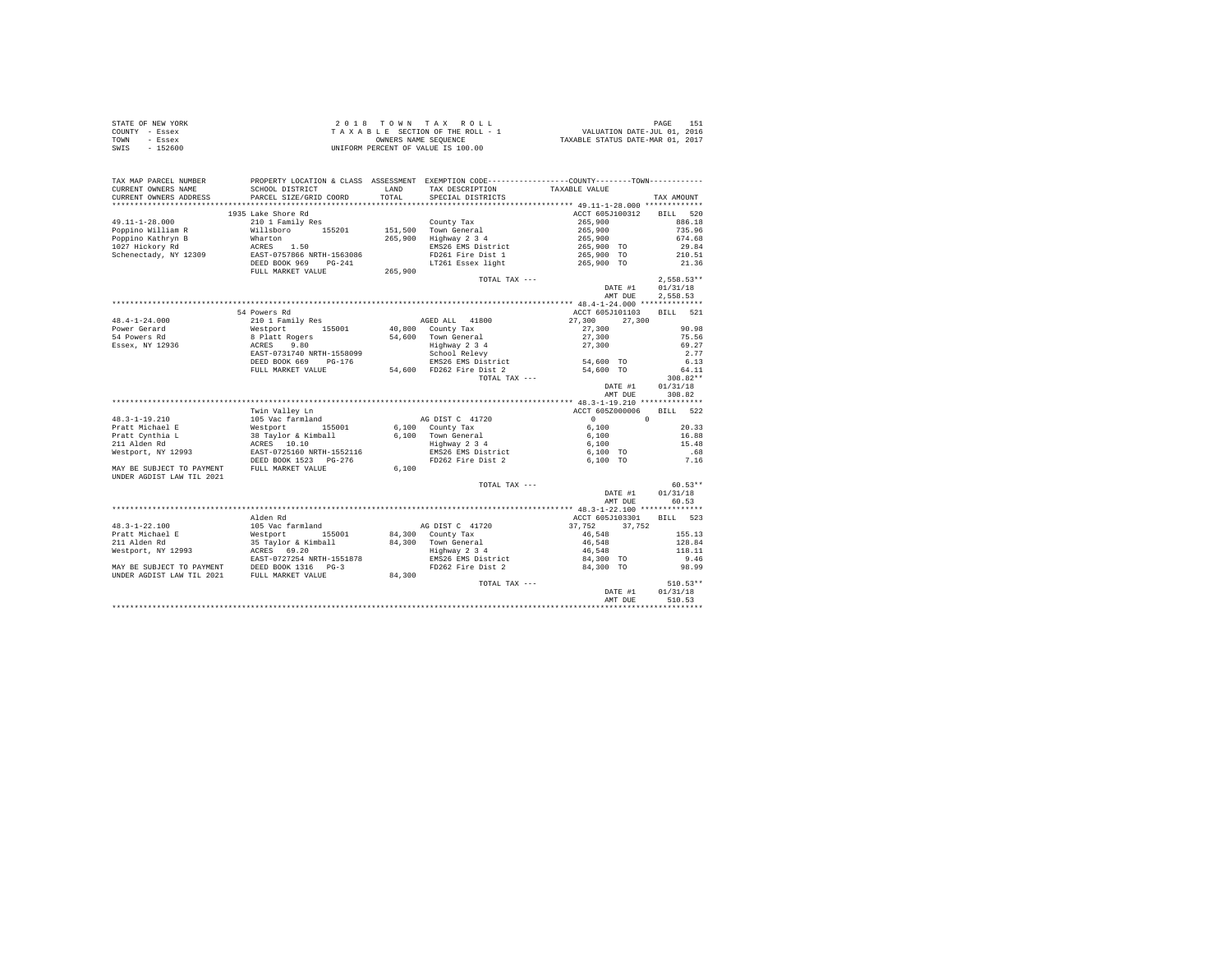| STATE OF NEW YORK | 2018 TOWN TAX ROLL                 | 151<br>PAGE                      |
|-------------------|------------------------------------|----------------------------------|
| COUNTY - Essex    | TAXABLE SECTION OF THE ROLL - 1    | VALUATION DATE-JUL 01, 2016      |
| TOWN<br>- Essex   | OWNERS NAME SEOUENCE               | TAXABLE STATUS DATE-MAR 01, 2017 |
| $-152600$<br>SWIS | UNIFORM PERCENT OF VALUE IS 100.00 |                                  |

| TAX MAP PARCEL NUMBER<br>CURRENT OWNERS NAME                                                                                                                                                                                               | SCHOOL DISTRICT                                                                                                                                                                                    |         | PROPERTY LOCATION & CLASS ASSESSMENT EXEMPTION CODE---------------COUNTY-------TOWN---------<br>LAND TAX DESCRIPTION | TAXABLE VALUE                                |                  |
|--------------------------------------------------------------------------------------------------------------------------------------------------------------------------------------------------------------------------------------------|----------------------------------------------------------------------------------------------------------------------------------------------------------------------------------------------------|---------|----------------------------------------------------------------------------------------------------------------------|----------------------------------------------|------------------|
| CURRENT OWNERS ADDRESS                                                                                                                                                                                                                     | PARCEL SIZE/GRID COORD                                                                                                                                                                             | TOTAL   | SPECIAL DISTRICTS                                                                                                    |                                              | TAX AMOUNT       |
|                                                                                                                                                                                                                                            |                                                                                                                                                                                                    |         |                                                                                                                      |                                              |                  |
|                                                                                                                                                                                                                                            | 1935 Lake Shore Rd                                                                                                                                                                                 |         |                                                                                                                      | ACCT 605J100312 BILL 520                     |                  |
| 49.11-1-28.000                                                                                                                                                                                                                             | 210 1 Family Res                                                                                                                                                                                   |         | County Tax                                                                                                           |                                              | 886.18           |
|                                                                                                                                                                                                                                            |                                                                                                                                                                                                    |         |                                                                                                                      | 265,900<br>265,900<br>265,900                | 735.96           |
|                                                                                                                                                                                                                                            |                                                                                                                                                                                                    |         |                                                                                                                      |                                              |                  |
|                                                                                                                                                                                                                                            |                                                                                                                                                                                                    |         |                                                                                                                      |                                              | 674.68           |
|                                                                                                                                                                                                                                            |                                                                                                                                                                                                    |         | EMS26 EMS District<br>FD261 Fire Dist 1                                                                              | 265,900 TO<br>265,900 TO                     | 29.84<br>210.51  |
|                                                                                                                                                                                                                                            |                                                                                                                                                                                                    |         |                                                                                                                      |                                              |                  |
|                                                                                                                                                                                                                                            |                                                                                                                                                                                                    |         | LT261 Essex light                                                                                                    | 265,900 TO                                   | 21.36            |
|                                                                                                                                                                                                                                            | FULL MARKET VALUE                                                                                                                                                                                  | 265,900 |                                                                                                                      |                                              |                  |
|                                                                                                                                                                                                                                            |                                                                                                                                                                                                    |         | TOTAL TAX ---                                                                                                        |                                              | $2,558.53**$     |
|                                                                                                                                                                                                                                            |                                                                                                                                                                                                    |         |                                                                                                                      | DATE #1                                      | 01/31/18         |
|                                                                                                                                                                                                                                            |                                                                                                                                                                                                    |         |                                                                                                                      | AMT DUE                                      | 2.558.53         |
|                                                                                                                                                                                                                                            |                                                                                                                                                                                                    |         |                                                                                                                      |                                              |                  |
|                                                                                                                                                                                                                                            | 54 Powers Rd                                                                                                                                                                                       |         |                                                                                                                      | ACCT 605J101103 BILL 521                     |                  |
| $48.4 - 1 - 24.000$                                                                                                                                                                                                                        | 31 Family Res 155001 Magnetic 2012<br>Westport 155001 40,800 County Tax<br>8 Platt Rogers 54,600 Town General<br>ACRES 9.80 AGRES<br>2 14 EARST-0731740 NRTH-1558099 Highway 2 34<br>Echool Relevy |         |                                                                                                                      | 27,300 27,300                                |                  |
| Power Gerard                                                                                                                                                                                                                               |                                                                                                                                                                                                    |         |                                                                                                                      |                                              | 90.98            |
| 54 Powers Rd                                                                                                                                                                                                                               |                                                                                                                                                                                                    |         | County Tax<br>Town General<br>Highway 2 3 4<br>School Relevy                                                         | $27,300$<br>$27,300$                         | 75.56            |
| Essex, NY 12936                                                                                                                                                                                                                            |                                                                                                                                                                                                    |         |                                                                                                                      | 27,300                                       | 69.27            |
|                                                                                                                                                                                                                                            |                                                                                                                                                                                                    |         |                                                                                                                      |                                              | 2.77             |
|                                                                                                                                                                                                                                            |                                                                                                                                                                                                    |         |                                                                                                                      |                                              |                  |
|                                                                                                                                                                                                                                            |                                                                                                                                                                                                    |         |                                                                                                                      |                                              |                  |
|                                                                                                                                                                                                                                            |                                                                                                                                                                                                    |         |                                                                                                                      |                                              |                  |
|                                                                                                                                                                                                                                            |                                                                                                                                                                                                    |         |                                                                                                                      |                                              | DATE #1 01/31/18 |
|                                                                                                                                                                                                                                            |                                                                                                                                                                                                    |         |                                                                                                                      | AMT DUE                                      | 308.82           |
|                                                                                                                                                                                                                                            |                                                                                                                                                                                                    |         |                                                                                                                      |                                              |                  |
|                                                                                                                                                                                                                                            |                                                                                                                                                                                                    |         |                                                                                                                      |                                              |                  |
|                                                                                                                                                                                                                                            | Twin Valley Ln                                                                                                                                                                                     |         |                                                                                                                      | ACCT 605Z000006                              | BILL 522         |
| $48.3 - 1 - 19.210$                                                                                                                                                                                                                        | 105 Vac farmland                                                                                                                                                                                   |         | AG DIST C 41720                                                                                                      | $\begin{array}{ccc}\n0 & & & 0\n\end{array}$ |                  |
|                                                                                                                                                                                                                                            |                                                                                                                                                                                                    |         |                                                                                                                      | $6,100$<br>$6,100$                           | 20.33            |
|                                                                                                                                                                                                                                            |                                                                                                                                                                                                    |         |                                                                                                                      |                                              | 16.88            |
|                                                                                                                                                                                                                                            |                                                                                                                                                                                                    |         |                                                                                                                      |                                              | 15.48            |
|                                                                                                                                                                                                                                            |                                                                                                                                                                                                    |         |                                                                                                                      |                                              | .68              |
| 48.3-1-19.420 E<br>Pratt Cythia and B and B and B and B and B and B and B and B and B and B and B and B and B and B and B and B and B and B and B and B and B and B and B and B and B and B and B and B and B and B and B and B            |                                                                                                                                                                                                    |         | FD262 Fire Dist 2                                                                                                    | 6,100 TO                                     | 7.16             |
| MAY BE SUBJECT TO PAYMENT FULL MARKET VALUE                                                                                                                                                                                                |                                                                                                                                                                                                    | 6,100   |                                                                                                                      |                                              |                  |
| UNDER AGDIST LAW TIL 2021                                                                                                                                                                                                                  |                                                                                                                                                                                                    |         |                                                                                                                      |                                              |                  |
|                                                                                                                                                                                                                                            |                                                                                                                                                                                                    |         | TOTAL TAX ---                                                                                                        |                                              | $60.53**$        |
|                                                                                                                                                                                                                                            |                                                                                                                                                                                                    |         |                                                                                                                      | DATE #1                                      | 01/31/18         |
|                                                                                                                                                                                                                                            |                                                                                                                                                                                                    |         |                                                                                                                      | AMT DUE                                      | 60.53            |
|                                                                                                                                                                                                                                            |                                                                                                                                                                                                    |         |                                                                                                                      |                                              |                  |
|                                                                                                                                                                                                                                            | Alden Rd                                                                                                                                                                                           |         |                                                                                                                      | ACCT 605J103301 BILL 523                     |                  |
| 48.3-1-22.100 105 Vac farmland AG DIST C 41720<br>211 Alden Reight Michael Mestport 155001 84,300 County Tax<br>211 Alden Rd 35 Taylor & Kimball 84,300 Town General<br>211 Alden Rd 35 Taylor & Kimball 84,300 Town General<br>234 Mestpo |                                                                                                                                                                                                    |         |                                                                                                                      |                                              |                  |
|                                                                                                                                                                                                                                            |                                                                                                                                                                                                    |         |                                                                                                                      | $37,752$ $37,752$<br>$46,548$                | 155.13           |
|                                                                                                                                                                                                                                            |                                                                                                                                                                                                    |         |                                                                                                                      |                                              | 128.84           |
|                                                                                                                                                                                                                                            |                                                                                                                                                                                                    |         |                                                                                                                      | $46,548$<br>$46,548$<br>$84,300$ TO          | 118.11           |
|                                                                                                                                                                                                                                            |                                                                                                                                                                                                    |         |                                                                                                                      |                                              | 9.46             |
|                                                                                                                                                                                                                                            |                                                                                                                                                                                                    |         | EMS26 EMS District 84,300 TO<br>FD262 Fire Dist 2 84,300 TO                                                          |                                              | 98.99            |
| MAY BE SUBJECT TO PAYMENT DEED BOOK 1316 PG-3<br>UNDER AGDIST LAW TIL 2021 FULL MARKET VALUE                                                                                                                                               |                                                                                                                                                                                                    | 84,300  |                                                                                                                      |                                              |                  |
|                                                                                                                                                                                                                                            |                                                                                                                                                                                                    |         |                                                                                                                      |                                              |                  |
|                                                                                                                                                                                                                                            |                                                                                                                                                                                                    |         | TOTAL TAX ---                                                                                                        |                                              | $510.53**$       |
|                                                                                                                                                                                                                                            |                                                                                                                                                                                                    |         |                                                                                                                      | DATE #1                                      | 01/31/18         |
|                                                                                                                                                                                                                                            |                                                                                                                                                                                                    |         |                                                                                                                      | AMT DUE                                      | 510.53           |
|                                                                                                                                                                                                                                            |                                                                                                                                                                                                    |         |                                                                                                                      |                                              |                  |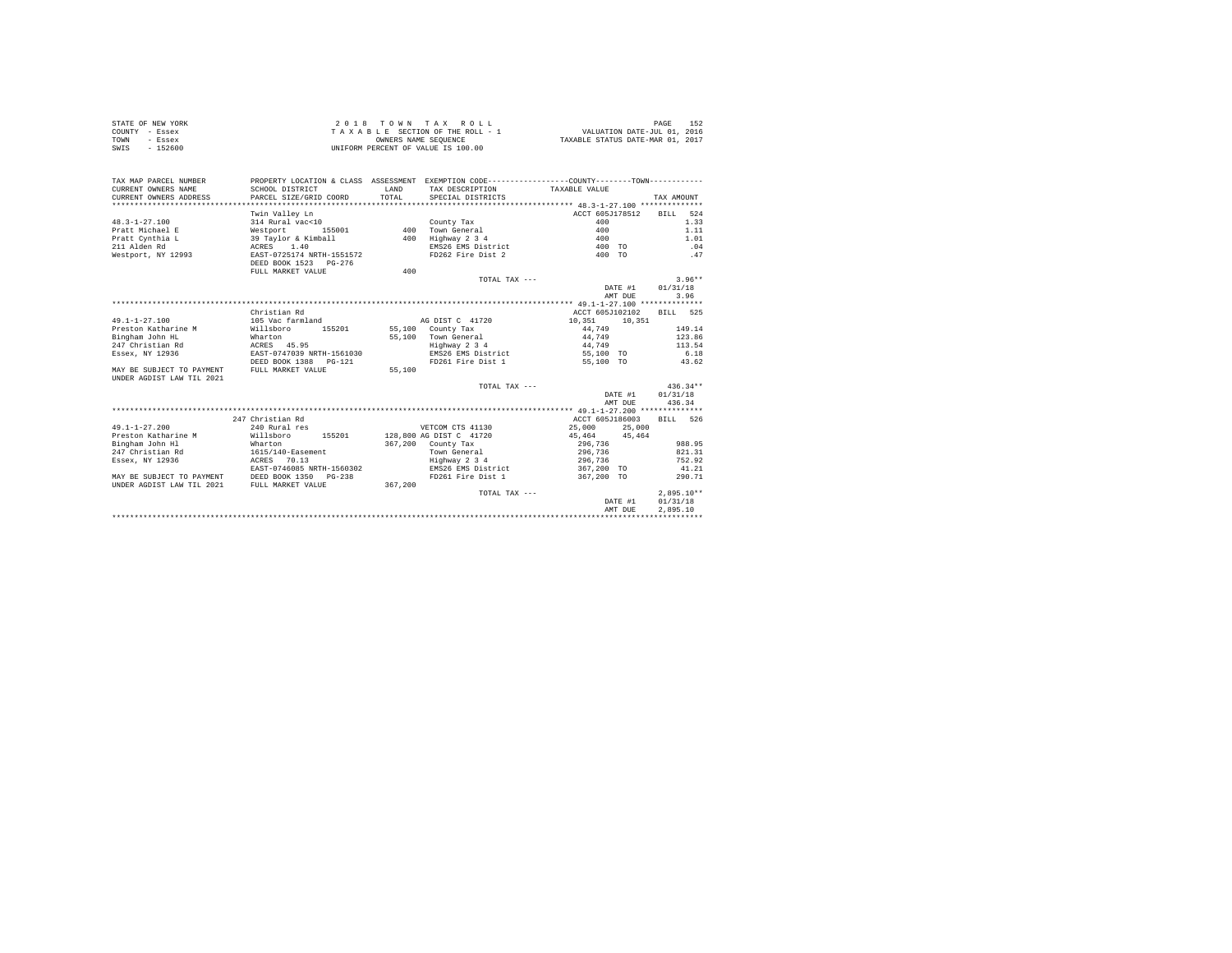| STATE OF NEW YORK | 2018 TOWN TAX ROLL                 | 152<br>PAGE                      |
|-------------------|------------------------------------|----------------------------------|
| COUNTY - Essex    | TAXABLE SECTION OF THE ROLL - 1    | VALUATION DATE-JUL 01, 2016      |
| TOWN<br>- Essex   | OWNERS NAME SEOUENCE               | TAXABLE STATUS DATE-MAR 01, 2017 |
| $-152600$<br>SWIS | UNIFORM PERCENT OF VALUE IS 100.00 |                                  |

| TAX MAP PARCEL NUMBER<br>CURRENT OWNERS NAME<br>CURRENT OWNERS ADDRESS | SCHOOL DISTRICT<br>PARCEL SIZE/GRID COORD | <b>T.AND</b><br>TOTAL | PROPERTY LOCATION & CLASS ASSESSMENT EXEMPTION CODE---------------COUNTY-------TOWN----------<br>TAX DESCRIPTION<br>SPECIAL DISTRICTS | TAXABLE VALUE    | TAX AMOUNT   |  |
|------------------------------------------------------------------------|-------------------------------------------|-----------------------|---------------------------------------------------------------------------------------------------------------------------------------|------------------|--------------|--|
|                                                                        | Twin Valley Ln                            |                       |                                                                                                                                       | ACCT 605J178512  | 524<br>RTLL  |  |
| $48.3 - 1 - 27.100$                                                    | 314 Rural vac<10                          |                       | County Tax                                                                                                                            | 400              | 1.33         |  |
| Pratt Michael E                                                        | 155001                                    |                       | 400 Town General                                                                                                                      | 400              | 1.11         |  |
| Pratt Cynthia L                                                        | Westport 1550<br>39 Taylor & Kimball      | 400                   | Highway 2 3 4                                                                                                                         | 400              | 1.01         |  |
| 211 Alden Rd                                                           | ACRES 1.40                                |                       | EMS26 EMS District                                                                                                                    | 400 TO           | .04          |  |
| Westport, NY 12993                                                     | EAST-0725174 NRTH-1551572                 |                       | FD262 Fire Dist 2 400 TO                                                                                                              |                  | .47          |  |
|                                                                        | DEED BOOK 1523 PG-276                     |                       |                                                                                                                                       |                  |              |  |
|                                                                        | FULL MARKET VALUE                         | 400                   |                                                                                                                                       |                  |              |  |
|                                                                        |                                           |                       | TOTAL TAX $---$                                                                                                                       |                  | $3.96**$     |  |
|                                                                        |                                           |                       |                                                                                                                                       | DATE #1          | 01/31/18     |  |
|                                                                        |                                           |                       |                                                                                                                                       |                  |              |  |
|                                                                        |                                           |                       |                                                                                                                                       | AMT DUE          | 3.96         |  |
|                                                                        |                                           |                       |                                                                                                                                       |                  |              |  |
|                                                                        | Christian Rd                              |                       |                                                                                                                                       | ACCT 605J102102  | BTLL 525     |  |
| $49.1 - 1 - 27.100$                                                    | 105 Vac farmland                          |                       | AG DIST C 41720                                                                                                                       | 10,351<br>10,351 |              |  |
| Preston Katharine M                                                    | Willsboro<br>155201                       |                       | 55,100 County Tax                                                                                                                     | 44.749           | 149.14       |  |
| Bingham John HL                                                        | Wharton                                   |                       | 55,100 Town General                                                                                                                   | 44,749           | 123.86       |  |
| 247 Christian Rd                                                       | ACRES 45.95                               |                       | Highway 2 3 4                                                                                                                         | 44,749           | 113.54       |  |
| Essex, NY 12936                                                        | EAST-0747039 NRTH-1561030                 |                       | EMS26 EMS District                                                                                                                    | 55,100 TO        | 6.18         |  |
|                                                                        | DEED BOOK 1388   PG-121                   |                       | FD261 Fire Dist 1                                                                                                                     | 55,100 TO        | 43.62        |  |
| MAY BE SUBJECT TO PAYMENT<br>UNDER AGDIST LAW TIL 2021                 | FULL MARKET VALUE                         | 55,100                |                                                                                                                                       |                  |              |  |
|                                                                        |                                           |                       | TOTAL TAX ---                                                                                                                         |                  | $436.34**$   |  |
|                                                                        |                                           |                       |                                                                                                                                       | DATE #1          | 01/31/18     |  |
|                                                                        |                                           |                       |                                                                                                                                       | AMT DUE          | 436.34       |  |
|                                                                        |                                           |                       |                                                                                                                                       |                  |              |  |
|                                                                        | 247 Christian Rd                          |                       |                                                                                                                                       | ACCT 605J186003  | RTLL 526     |  |
| $49.1 - 1 - 27.200$                                                    | 240 Rural res                             |                       | VETCOM CTS 41130                                                                                                                      | 25,000<br>25,000 |              |  |
| Preston Katharine M                                                    | Willsboro<br>155201                       |                       | 128,800 AG DIST C 41720                                                                                                               | 45,464 45,464    |              |  |
| Bingham John Hl                                                        | Wharton                                   |                       | 367,200 County Tax                                                                                                                    | 296,736          | 988.95       |  |
| 247 Christian Rd                                                       | 1615/140-Easement                         |                       | Town General                                                                                                                          | 296.736          | 821.31       |  |
| Essex, NY 12936                                                        | ACRES 70.13                               |                       | Highway 2 3 4                                                                                                                         | 296,736          | 752.92       |  |
|                                                                        | EAST-0746085 NRTH-1560302                 |                       | EMS26 EMS District                                                                                                                    | 367,200 TO       | 41.21        |  |
| MAY BE SUBJECT TO PAYMENT                                              | DEED BOOK 1350<br>$PG-238$                |                       | FD261 Fire Dist 1                                                                                                                     | 367,200 TO       | 290.71       |  |
| UNDER AGDIST LAW TIL 2021                                              | FULL MARKET VALUE                         | 367,200               |                                                                                                                                       |                  |              |  |
|                                                                        |                                           |                       | TOTAL TAX ---                                                                                                                         |                  | $2,895.10**$ |  |
|                                                                        |                                           |                       |                                                                                                                                       | DATE #1          | 01/31/18     |  |
|                                                                        |                                           |                       |                                                                                                                                       | AMT DUE          | 2.895.10     |  |
|                                                                        |                                           |                       |                                                                                                                                       |                  |              |  |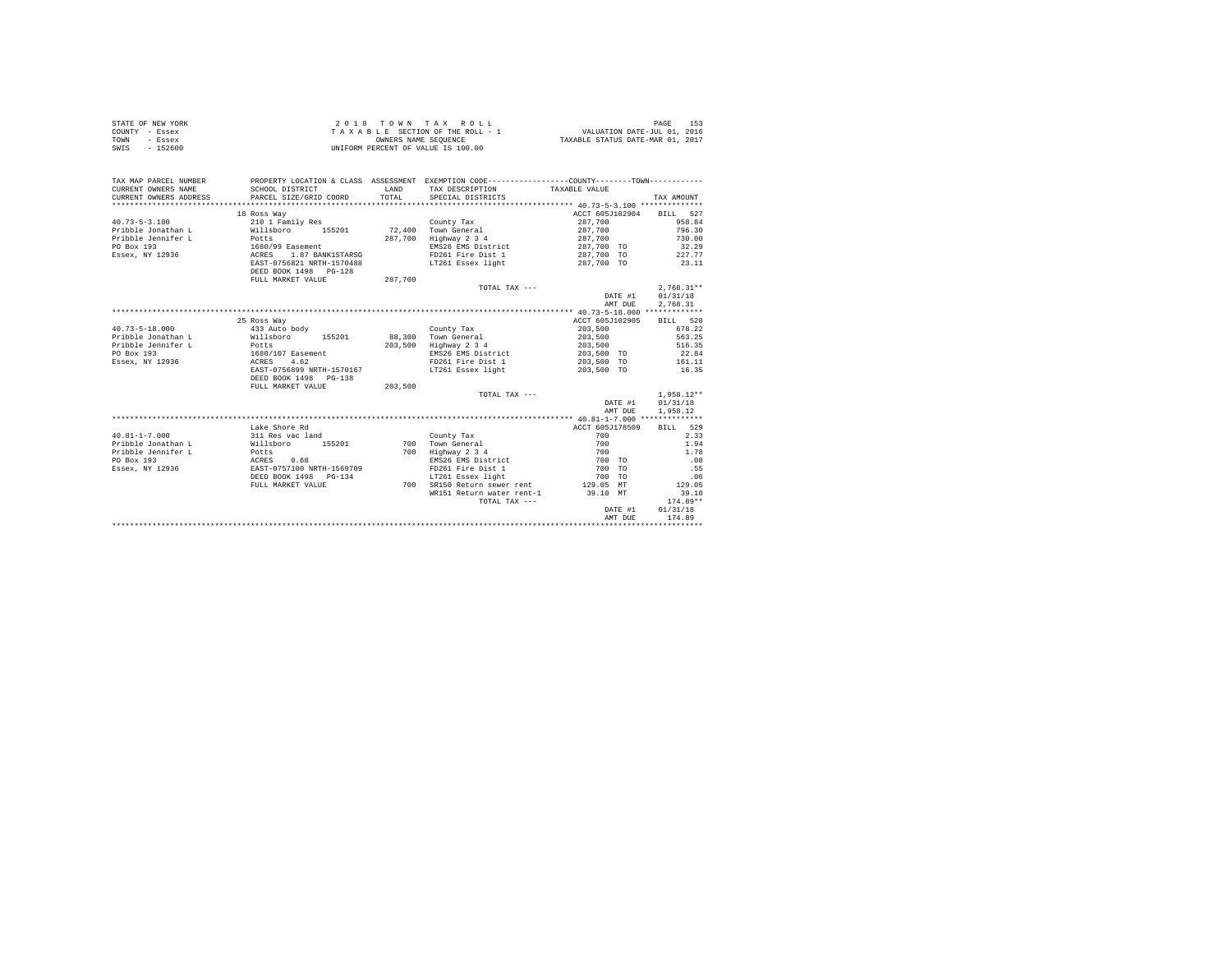|                | STATE OF NEW YORK |  |  |  | 2018 TOWN TAX ROLL                 |  |  |  |  |                                  | PAGE | 153 |
|----------------|-------------------|--|--|--|------------------------------------|--|--|--|--|----------------------------------|------|-----|
| COUNTY - Essex |                   |  |  |  | TAXABLE SECTION OF THE ROLL - 1    |  |  |  |  | VALUATION DATE-JUL 01, 2016      |      |     |
| TOWN           | - Essex           |  |  |  | OWNERS NAME SEOUENCE               |  |  |  |  | TAXABLE STATUS DATE-MAR 01, 2017 |      |     |
| SWIS           | - 152600          |  |  |  | UNIFORM PERCENT OF VALUE IS 100.00 |  |  |  |  |                                  |      |     |

| TAX MAP PARCEL NUMBER<br>CURRENT OWNERS NAME<br>CURRENT OWNERS ADDRESS | SCHOOL DISTRICT<br>PARCEL SIZE/GRID COORD | LAND<br>TOTAL. | PROPERTY LOCATION & CLASS ASSESSMENT EXEMPTION CODE----------------COUNTY-------TOWN----------<br>TAX DESCRIPTION<br>SPECIAL DISTRICTS | TAXABLE VALUE   | TAX AMOUNT   |
|------------------------------------------------------------------------|-------------------------------------------|----------------|----------------------------------------------------------------------------------------------------------------------------------------|-----------------|--------------|
|                                                                        | 18 Ross Way                               |                |                                                                                                                                        | ACCT 605J102904 | BILL 527     |
| $40.73 - 5 - 3.100$                                                    | 210 1 Family Res                          |                | County Tax                                                                                                                             | 287,700         | 958.84       |
| Pribble Jonathan L                                                     | Willsboro<br>155201                       |                | 72.400 Town General                                                                                                                    | 287,700         | 796.30       |
| Pribble Jennifer L                                                     | Potts                                     | 287,700        | Highway 2 3 4                                                                                                                          | 287,700         | 730.00       |
| PO Box 193                                                             | 1680/99 Easement                          |                | EMS26 EMS District                                                                                                                     | 287,700 TO      | 32.29        |
| Essex, NY 12936                                                        | 1.87 BANK1STARSG<br>ACRES                 |                | FD261 Fire Dist 1                                                                                                                      | 287,700 TO      | 227.77       |
|                                                                        | EAST-0756821 NRTH-1570488                 |                | LT261 Essex light                                                                                                                      | 287,700 TO      | 23.11        |
|                                                                        | DEED BOOK 1498 PG-128                     |                |                                                                                                                                        |                 |              |
|                                                                        | FULL MARKET VALUE                         | 287,700        |                                                                                                                                        |                 |              |
|                                                                        |                                           |                | TOTAL TAX ---                                                                                                                          |                 | $2,768.31**$ |
|                                                                        |                                           |                |                                                                                                                                        | DATE #1         | 01/31/18     |
|                                                                        |                                           |                |                                                                                                                                        | AMT DUE         | 2,768.31     |
|                                                                        |                                           |                |                                                                                                                                        |                 |              |
|                                                                        | 25 Ross Way                               |                |                                                                                                                                        | ACCT 605J102905 | BILL 528     |
| $40.73 - 5 - 18.000$                                                   | 433 Auto body                             |                | County Tax                                                                                                                             | 203,500         | 678.22       |
| Pribble Jonathan L                                                     | Willsboro<br>155201                       | 88,300         | Town General                                                                                                                           | 203,500         | 563.25       |
| Pribble Jennifer L                                                     | Potts                                     | 203,500        | Highway 2 3 4                                                                                                                          | 203,500         | 516.35       |
| PO Box 193                                                             | 1680/107 Easement                         |                | EMS26 EMS District                                                                                                                     | 203,500 TO      | 22.84        |
| Essex, NY 12936                                                        | 4.62<br>ACRES                             |                | FD261 Fire Dist 1                                                                                                                      | 203,500 TO      | 161.11       |
|                                                                        | EAST-0756899 NRTH-1570167                 |                | LT261 Essex light                                                                                                                      | 203,500 TO      | 16.35        |
|                                                                        | DEED BOOK 1498<br>$PG-1.3.8$              |                |                                                                                                                                        |                 |              |
|                                                                        | FULL MARKET VALUE                         | 203,500        |                                                                                                                                        |                 |              |
|                                                                        |                                           |                | TOTAL TAX $---$                                                                                                                        |                 | $1.958.12**$ |
|                                                                        |                                           |                |                                                                                                                                        | DATE #1         | 01/31/18     |
|                                                                        |                                           |                |                                                                                                                                        | AMT DUE         | 1,958.12     |
|                                                                        |                                           |                |                                                                                                                                        |                 |              |
|                                                                        | Lake Shore Rd                             |                |                                                                                                                                        | ACCT 605J178509 | 529<br>BTLL. |
| $40.81 - 1 - 7.000$                                                    | 311 Res vac land                          |                | County Tax                                                                                                                             | 700             | 2.33         |
| Pribble Jonathan L                                                     | Willsboro<br>155201                       | 700            | Town General                                                                                                                           | 700             | 1.94         |
| Pribble Jennifer L                                                     | Potts                                     | 700            | Highway 2 3 4                                                                                                                          | 700             | 1.78         |
| PO Box 193                                                             | ACRES 0.68                                |                | EMS26 EMS District                                                                                                                     | 700 TO          | .08          |
| Essex, NY 12936                                                        | EAST-0757100 NRTH-1569709                 |                | FD261 Fire Dist 1                                                                                                                      | 700 TO          | .55          |
|                                                                        | DEED BOOK 1498 PG-134                     |                | LT261 Essex light                                                                                                                      | 700 TO          | .06          |
|                                                                        | FULL MARKET VALUE                         | 700            | SR150 Return sewer rent 129.05 MT                                                                                                      |                 | 129.05       |
|                                                                        |                                           |                | WR151 Return water rent-1                                                                                                              | 39.10 MT        | 39.10        |
|                                                                        |                                           |                | TOTAL TAX ---                                                                                                                          |                 | $174.89**$   |
|                                                                        |                                           |                |                                                                                                                                        | DATE #1         | 01/31/18     |
|                                                                        |                                           |                |                                                                                                                                        | AMT DUE         | 174.89       |
|                                                                        |                                           |                |                                                                                                                                        |                 |              |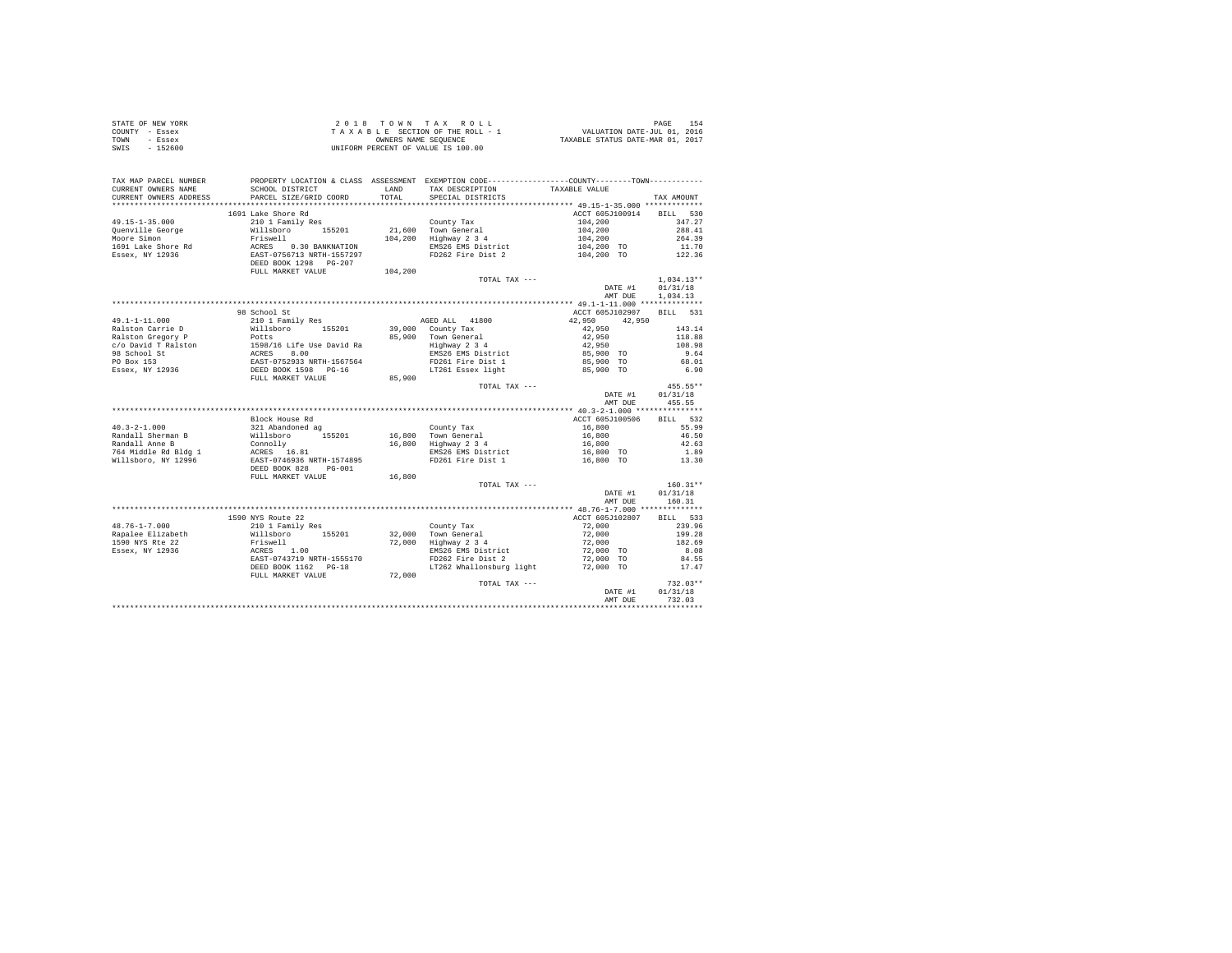| STATE OF NEW YORK | 2018 TOWN TAX ROLL                 | 154<br>PAGE                      |
|-------------------|------------------------------------|----------------------------------|
| COUNTY - Essex    | TAXABLE SECTION OF THE ROLL - 1    | VALUATION DATE-JUL 01, 2016      |
| TOWN<br>- Essex   | OWNERS NAME SEOUENCE               | TAXABLE STATUS DATE-MAR 01, 2017 |
| $-152600$<br>SWIS | UNIFORM PERCENT OF VALUE IS 100.00 |                                  |

| TAX MAP PARCEL NUMBER<br>CURRENT OWNERS NAME<br>CURRENT OWNERS ADDRESS                                                                                                                                                         | PROPERTY LOCATION & CLASS ASSESSMENT EXEMPTION CODE----------------COUNTY-------TOWN----------<br>SCHOOL DISTRICT<br>PARCEL SIZE/GRID COORD | LAND<br>TOTAL. | TAX DESCRIPTION<br>SPECIAL DISTRICTS                                             | TAXABLE VALUE                                                       | TAX AMOUNT                           |
|--------------------------------------------------------------------------------------------------------------------------------------------------------------------------------------------------------------------------------|---------------------------------------------------------------------------------------------------------------------------------------------|----------------|----------------------------------------------------------------------------------|---------------------------------------------------------------------|--------------------------------------|
| *************************                                                                                                                                                                                                      |                                                                                                                                             |                |                                                                                  |                                                                     |                                      |
| $49.15 - 1 - 35.000$                                                                                                                                                                                                           | 1691 Lake Shore Rd<br>210 1 Family Res                                                                                                      |                |                                                                                  | ACCT 605J100914 BILL 530                                            | 347.27                               |
|                                                                                                                                                                                                                                |                                                                                                                                             |                | County Tax<br>21,600 Town General<br>104,200 Highway 2 3 4<br>EMS26 EMS District | $104,200$<br>$104,200$<br>$104,200$<br>$104,200$ TO<br>$104,200$ TO | 288.41<br>264.39<br>11.70            |
|                                                                                                                                                                                                                                | FULL MARKET VALUE                                                                                                                           | 104,200        | FD262 Fire Dist 2                                                                |                                                                     | 122.36                               |
|                                                                                                                                                                                                                                |                                                                                                                                             |                | TOTAL TAX ---                                                                    | DATE #1<br>AMT DUE                                                  | $1.034.13**$<br>01/31/18<br>1,034.13 |
|                                                                                                                                                                                                                                |                                                                                                                                             |                |                                                                                  |                                                                     |                                      |
|                                                                                                                                                                                                                                | 98 School St                                                                                                                                |                |                                                                                  | ACCT 605J102907                                                     | BILL 531                             |
| 49.1-1-11.000                                                                                                                                                                                                                  | 210 1 Family Res                                                                                                                            |                | AGED ALL 41800                                                                   | 42.950 42.950                                                       |                                      |
| Ralston Carrie D                                                                                                                                                                                                               | Willsboro 155201 39,000 County Tax                                                                                                          |                |                                                                                  | 42,950                                                              | 143.14                               |
| Ralston Gregory P                                                                                                                                                                                                              | Potts                                                                                                                                       |                | 85,900 Town General<br>Town General<br>Highway 2 3 4<br>EMS26 EMS District       | 42,950                                                              | 118.88                               |
|                                                                                                                                                                                                                                |                                                                                                                                             |                |                                                                                  | $42,950$<br>85,900 TO                                               | 108.98<br>9.64                       |
| Malascul orgony P<br>rol David T Ralaton<br>98 School St<br>PO Box 153<br>PO Box 153<br>PO Box 153<br>PO Box 153<br>ERSP PODK 1598<br>DEED BOOK 1598<br>DEED BOOK 1598<br>PO Box 159<br>PO Box 159<br>PO Box 159<br>PO Box 159 |                                                                                                                                             |                |                                                                                  |                                                                     | 68.01                                |
|                                                                                                                                                                                                                                |                                                                                                                                             |                | FD261 Fire Dist 1 85,900 TO<br>LT261 Essex light 68,900 TO                       |                                                                     | 6.90                                 |
|                                                                                                                                                                                                                                | FULL MARKET VALUE                                                                                                                           | 85,900         |                                                                                  |                                                                     |                                      |
|                                                                                                                                                                                                                                |                                                                                                                                             |                | TOTAL TAX ---                                                                    |                                                                     | 455.55**                             |
|                                                                                                                                                                                                                                |                                                                                                                                             |                |                                                                                  |                                                                     | DATE #1 01/31/18                     |
|                                                                                                                                                                                                                                |                                                                                                                                             |                |                                                                                  | AMT DUE                                                             | 455.55                               |
|                                                                                                                                                                                                                                |                                                                                                                                             |                |                                                                                  |                                                                     |                                      |
|                                                                                                                                                                                                                                | Block House Rd                                                                                                                              |                |                                                                                  | ACCT 605J100506                                                     | BILL 532                             |
| $40.3 - 2 - 1.000$                                                                                                                                                                                                             |                                                                                                                                             |                | County Tax                                                                       |                                                                     | 55.99                                |
| Randall Sherman B                                                                                                                                                                                                              | 321 Abandoned ag<br>Willsboro 155201                                                                                                        |                | 16,800 Town General                                                              | 16,800<br>16,800                                                    | 46.50                                |
| Randall Anne B                                                                                                                                                                                                                 |                                                                                                                                             |                | 16,800 Town General<br>16,800 Highway 2 3 4                                      |                                                                     | 42.63                                |
| 764 Middle Rd Bldg 1                                                                                                                                                                                                           |                                                                                                                                             |                | EMS26 EMS District                                                               | 16,800<br>16,800 TO                                                 | 1.89                                 |
| Willsboro, NY 12996                                                                                                                                                                                                            |                                                                                                                                             |                | FD261 Fire Dist 1                                                                | 16,800 TO                                                           | 13.30                                |
|                                                                                                                                                                                                                                |                                                                                                                                             |                |                                                                                  |                                                                     |                                      |
|                                                                                                                                                                                                                                | FULL MARKET VALUE                                                                                                                           | 16,800         |                                                                                  |                                                                     |                                      |
|                                                                                                                                                                                                                                |                                                                                                                                             |                | TOTAL TAX ---                                                                    |                                                                     | $160.31**$                           |
|                                                                                                                                                                                                                                |                                                                                                                                             |                |                                                                                  | DATE #1                                                             | 01/31/18                             |
|                                                                                                                                                                                                                                |                                                                                                                                             |                |                                                                                  | AMT DUE                                                             | 160.31                               |
|                                                                                                                                                                                                                                |                                                                                                                                             |                |                                                                                  |                                                                     |                                      |
|                                                                                                                                                                                                                                | 1590 NYS Route 22                                                                                                                           |                |                                                                                  | ACCT 605J102807 BILL 533                                            |                                      |
| $48.76 - 1 - 7.000$                                                                                                                                                                                                            | 210 1 Family Res                                                                                                                            |                | County Tax<br>32,000 Town General<br>72,000 Highway 2 3 4                        | 72,000                                                              | 239.96                               |
| Rapalee Elizabeth                                                                                                                                                                                                              |                                                                                                                                             |                |                                                                                  | $72,000$<br>$72,000$                                                | 199.28                               |
| 1590 NYS Rte 22                                                                                                                                                                                                                |                                                                                                                                             |                |                                                                                  | 72,000 TO                                                           | 182.69                               |
| Essex, NY 12936                                                                                                                                                                                                                |                                                                                                                                             |                | EMS26 EMS District<br>FD262 Fire Dist 2                                          |                                                                     | 8.08                                 |
|                                                                                                                                                                                                                                |                                                                                                                                             |                | LT262 Whallonsburg light 72,000 TO 17.47                                         | 72,000 TO                                                           | 84.55                                |
|                                                                                                                                                                                                                                | DEED BOOK 1162 PG-18<br>FULL MARKET VALUE                                                                                                   | 72,000         |                                                                                  |                                                                     |                                      |
|                                                                                                                                                                                                                                |                                                                                                                                             |                | TOTAL TAX ---                                                                    |                                                                     | $732.03**$                           |
|                                                                                                                                                                                                                                |                                                                                                                                             |                |                                                                                  | DATE #1                                                             | 01/31/18                             |
|                                                                                                                                                                                                                                |                                                                                                                                             |                |                                                                                  | AMT DUE                                                             | 732.03                               |
|                                                                                                                                                                                                                                |                                                                                                                                             |                |                                                                                  |                                                                     |                                      |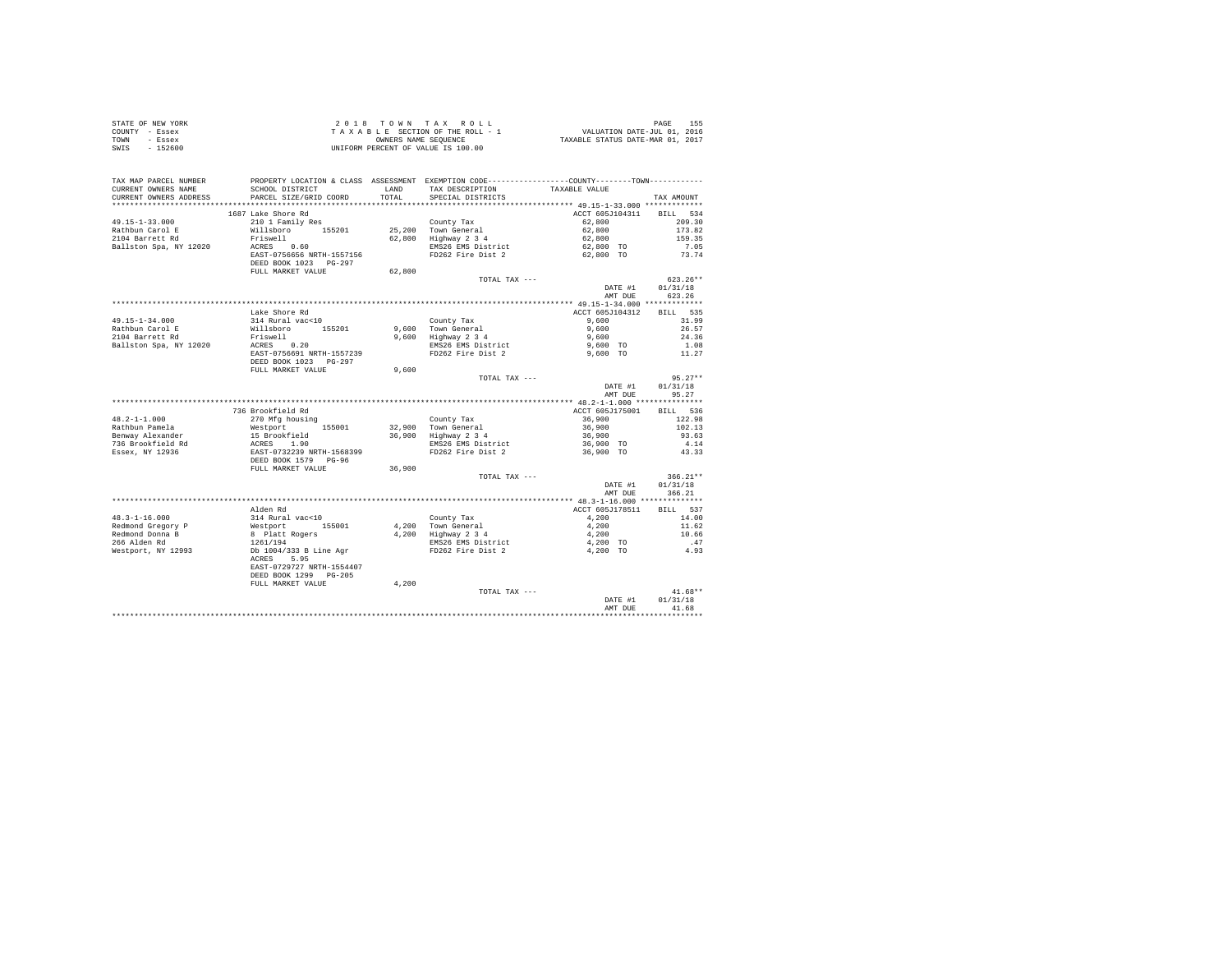| STATE OF NEW YORK | 2018 TOWN TAX ROLL                 | 155<br>PAGE                      |
|-------------------|------------------------------------|----------------------------------|
| COUNTY - Essex    | TAXABLE SECTION OF THE ROLL - 1    | VALUATION DATE-JUL 01, 2016      |
| TOWN<br>- Essex   | OWNERS NAME SEOUENCE               | TAXABLE STATUS DATE-MAR 01, 2017 |
| SWIS<br>$-152600$ | UNIFORM PERCENT OF VALUE IS 100.00 |                                  |

| TAX MAP PARCEL NUMBER<br>CURRENT OWNERS NAME<br>CURRENT OWNERS ADDRESS | PROPERTY LOCATION & CLASS ASSESSMENT EXEMPTION CODE---------------COUNTY-------TOWN----------<br>SCHOOL DISTRICT<br>PARCEL SIZE/GRID COORD | LAND<br>TOTAL. | TAX DESCRIPTION<br>SPECIAL DISTRICTS          | TAXABLE VALUE                                                  | TAX AMOUNT     |
|------------------------------------------------------------------------|--------------------------------------------------------------------------------------------------------------------------------------------|----------------|-----------------------------------------------|----------------------------------------------------------------|----------------|
| *******************                                                    |                                                                                                                                            | .              |                                               | ********************************* 49.15-1-33.000 ************* |                |
| $49.15 - 1 - 33.000$                                                   | 1687 Lake Shore Rd<br>210 1 Family Res                                                                                                     |                | County Tax                                    | ACCT 605J104311 BILL 534<br>62,800                             | 209.30         |
| Rathbun Carol E                                                        | Willsboro 155201                                                                                                                           |                | 25.200 Town General                           | 62.800                                                         | 173.82         |
| 2104 Barrett Rd                                                        | Friswell                                                                                                                                   |                | 62.800 Highway 2 3 4                          | 62,800                                                         | 159.35         |
| Ballston Spa, NY 12020                                                 | ACRES 0.60                                                                                                                                 |                | EMS26 EMS District                            | 62.800 TO                                                      | 7.05           |
|                                                                        | EAST-0756656 NRTH-1557156                                                                                                                  |                | FD262 Fire Dist 2                             | 62.800 TO                                                      | 73.74          |
|                                                                        | DEED BOOK 1023 PG-297                                                                                                                      |                |                                               |                                                                |                |
|                                                                        | FULL MARKET VALUE                                                                                                                          | 62,800         |                                               |                                                                |                |
|                                                                        |                                                                                                                                            |                | TOTAL TAX ---                                 |                                                                | $623.26**$     |
|                                                                        |                                                                                                                                            |                |                                               | DATE #1                                                        | 01/31/18       |
|                                                                        |                                                                                                                                            |                |                                               | AMT DUE                                                        | 623.26         |
|                                                                        |                                                                                                                                            |                |                                               |                                                                |                |
|                                                                        | Lake Shore Rd                                                                                                                              |                |                                               | ACCT 605J104312                                                | BILL 535       |
| $49.15 - 1 - 34.000$                                                   | 314 Rural vac<10                                                                                                                           |                | County Tax                                    | 9,600                                                          | 31.99          |
| Rathbun Carol E<br>2104 Barrett Rd                                     | Willsboro 155201<br>Friswell                                                                                                               |                | 9.600 Town General<br>9,600 Highway 2 3 4     | 9,600<br>9,600                                                 | 26.57<br>24.36 |
| Ballston Spa, NY 12020                                                 | ACRES 0.20                                                                                                                                 |                | EMS26 EMS District                            | 9,600 TO                                                       | 1.08           |
|                                                                        | EAST-0756691 NRTH-1557239                                                                                                                  |                | FD262 Fire Dist 2                             | 9,600 TO                                                       | 11.27          |
|                                                                        | DEED BOOK 1023 PG-297                                                                                                                      |                |                                               |                                                                |                |
|                                                                        | FULL MARKET VALUE                                                                                                                          | 9,600          |                                               |                                                                |                |
|                                                                        |                                                                                                                                            |                | TOTAL TAX ---                                 |                                                                | $95.27**$      |
|                                                                        |                                                                                                                                            |                |                                               | DATE #1                                                        | 01/31/18       |
|                                                                        |                                                                                                                                            |                |                                               | AMT DUE                                                        | 95.27          |
|                                                                        |                                                                                                                                            |                |                                               |                                                                |                |
|                                                                        | 736 Brookfield Rd                                                                                                                          |                |                                               | ACCT 605J175001                                                | BILL 536       |
| $48.2 - 1 - 1.000$                                                     | 270 Mfg housing                                                                                                                            |                | County Tax                                    | 36,900                                                         | 122.98         |
| Rathbun Pamela                                                         | Westport<br>155001                                                                                                                         |                | 32,900 Town General                           | 36,900                                                         | 102.13         |
| Benway Alexander<br>736 Brookfield Rd                                  | 15 Brookfield                                                                                                                              |                | 36,900 Highway 2 3 4<br>EMS26 EMS District    | 36,900                                                         | 93.63<br>4.14  |
| Essex, NY 12936                                                        | ACRES 1.90<br>EAST-0732239 NRTH-1568399                                                                                                    |                | FD262 Fire Dist 2                             | 36,900 TO<br>36,900 TO                                         | 43.33          |
|                                                                        | DEED BOOK 1579 PG-96                                                                                                                       |                |                                               |                                                                |                |
|                                                                        | FULL MARKET VALUE                                                                                                                          | 36,900         |                                               |                                                                |                |
|                                                                        |                                                                                                                                            |                | TOTAL TAX ---                                 |                                                                | $366.21**$     |
|                                                                        |                                                                                                                                            |                |                                               | DATE #1                                                        | 01/31/18       |
|                                                                        |                                                                                                                                            |                |                                               | AMT DUE                                                        | 366.21         |
|                                                                        |                                                                                                                                            |                |                                               |                                                                |                |
|                                                                        | Alden Rd                                                                                                                                   |                |                                               | ACCT 605J178511                                                | BILL 537       |
| $48.3 - 1 - 16.000$                                                    | 314 Rural vac<10                                                                                                                           |                | County Tax                                    | 4,200                                                          | 14.00          |
| Redmond Gregory P                                                      | westport 155001<br>8 Platt Rogers<br>1261/194                                                                                              |                | $4,200$ Town General<br>$4,200$ Highway 2 3 4 | 4,200                                                          | 11.62          |
| Redmond Donna B                                                        |                                                                                                                                            |                |                                               | 4,200                                                          | 10.66          |
| 266 Alden Rd                                                           |                                                                                                                                            |                | EMS26 EMS District                            | 4,200 TO                                                       | .47            |
| Westport, NY 12993                                                     | Db 1004/333 B Line Agr<br>5.95<br>ACRES                                                                                                    |                | FD262 Fire Dist 2                             | 4.200 TO                                                       | 4.93           |
|                                                                        | EAST-0729727 NRTH-1554407                                                                                                                  |                |                                               |                                                                |                |
|                                                                        | DEED BOOK 1299 PG-205<br>FULL MARKET VALUE                                                                                                 | 4,200          |                                               |                                                                |                |
|                                                                        |                                                                                                                                            |                | TOTAL TAX ---                                 |                                                                | $41.68**$      |
|                                                                        |                                                                                                                                            |                |                                               | DATE #1                                                        | 01/31/18       |
|                                                                        |                                                                                                                                            |                |                                               | AMT DUE                                                        | 41.68          |
|                                                                        |                                                                                                                                            |                |                                               |                                                                |                |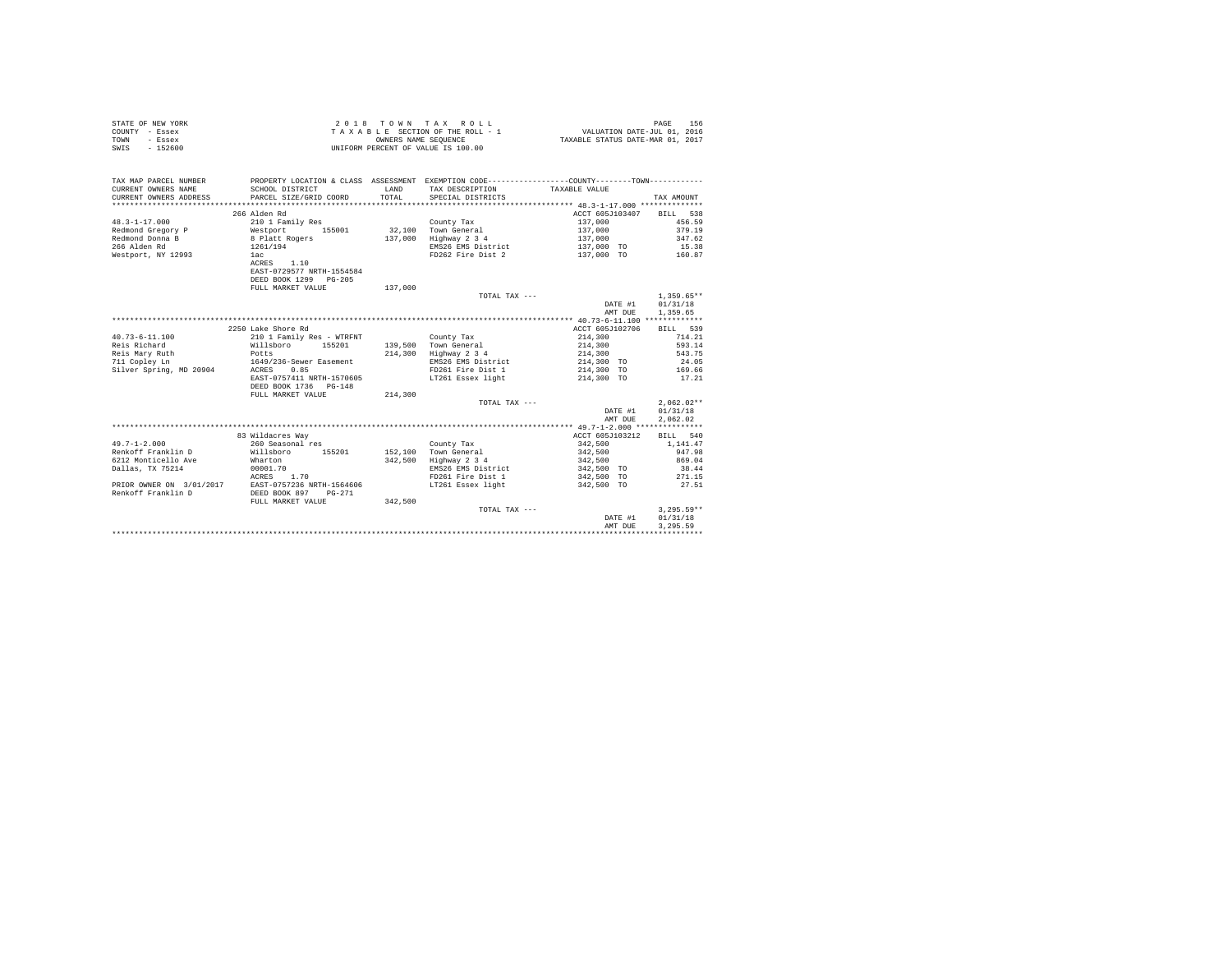| STATE OF NEW YORK | 2018 TOWN TAX ROLL                 | 156<br>PAGE                      |
|-------------------|------------------------------------|----------------------------------|
| COUNTY - Essex    | TAXABLE SECTION OF THE ROLL - 1    | VALUATION DATE-JUL 01, 2016      |
| TOWN<br>- Essex   | OWNERS NAME SEOUENCE               | TAXABLE STATUS DATE-MAR 01, 2017 |
| $-152600$<br>SWIS | UNIFORM PERCENT OF VALUE IS 100.00 |                                  |

| TAX MAP PARCEL NUMBER<br>CURRENT OWNERS NAME<br>CURRENT OWNERS ADDRESS     | SCHOOL DISTRICT<br>PARCEL SIZE/GRID COORD | LAND<br>TOTAL. | PROPERTY LOCATION & CLASS ASSESSMENT EXEMPTION CODE----------------COUNTY--------TOWN----------<br>TAX DESCRIPTION<br>SPECIAL DISTRICTS | TAXABLE VALUE            | TAX AMOUNT   |
|----------------------------------------------------------------------------|-------------------------------------------|----------------|-----------------------------------------------------------------------------------------------------------------------------------------|--------------------------|--------------|
|                                                                            | 266 Alden Rd                              |                |                                                                                                                                         | ACCT 605J103407 BILL 538 |              |
| $48.3 - 1 - 17.000$                                                        | 210 1 Family Res                          |                |                                                                                                                                         | 137,000                  | 456.59       |
| Redmond Gregory P Westport 155001 32,100 Town General                      |                                           |                | County Tax                                                                                                                              | 137,000                  | 379.19       |
|                                                                            |                                           |                |                                                                                                                                         |                          |              |
| Redmond Donna B<br>266 Alden Rd<br>266 Alden Rd<br>266 Alden Rd<br>261/194 |                                           | 137,000        | Highway 2 3 4                                                                                                                           | 137,000                  | 347.62       |
|                                                                            |                                           |                | EMS26 EMS District                                                                                                                      | 137,000 TO               | 15.38        |
| Westport, NY 12993 1ac                                                     |                                           |                | FD262 Fire Dist 2                                                                                                                       | 137,000 TO 160.87        |              |
|                                                                            | ACRES 1.10                                |                |                                                                                                                                         |                          |              |
|                                                                            | EAST-0729577 NRTH-1554584                 |                |                                                                                                                                         |                          |              |
|                                                                            | DEED BOOK 1299 PG-205                     |                |                                                                                                                                         |                          |              |
|                                                                            | FULL MARKET VALUE                         | 137,000        |                                                                                                                                         |                          |              |
|                                                                            |                                           |                | TOTAL TAX ---                                                                                                                           |                          | $1.359.65**$ |
|                                                                            |                                           |                |                                                                                                                                         | DATE #1                  | 01/31/18     |
|                                                                            |                                           |                |                                                                                                                                         | AMT DUE                  | 1,359.65     |
|                                                                            |                                           |                |                                                                                                                                         |                          |              |
|                                                                            | 2250 Lake Shore Rd                        |                |                                                                                                                                         | ACCT 605J102706          | BILL 539     |
| $40.73 - 6 - 11.100$                                                       | 210 1 Family Res - WTRFNT                 |                | County Tax                                                                                                                              | 214,300                  | 714.21       |
| Reis Richard                                                               | Willsboro<br>155201                       |                | 139,500 Town General                                                                                                                    | 214,300                  | 593.14       |
| Reis Mary Ruth                                                             | Potts                                     | 214,300        | Highway 2 3 4                                                                                                                           | 214,300                  | 543.75       |
| 711 Copley Ln                                                              | 1649/236-Sewer Easement                   |                | EMS26 EMS District                                                                                                                      | 214,300 TO               | 24.05        |
| Silver Spring, MD 20904                                                    | 0.85<br>ACRES                             |                | FD261 Fire Dist 1 214,300 TO                                                                                                            |                          | 169.66       |
|                                                                            | EAST-0757411 NRTH-1570605                 |                | LT261 Essex light                                                                                                                       | 214,300 TO               | 17.21        |
|                                                                            | DEED BOOK 1736 PG-148                     |                |                                                                                                                                         |                          |              |
|                                                                            | FULL MARKET VALUE                         | 214,300        |                                                                                                                                         |                          |              |
|                                                                            |                                           |                | TOTAL TAX ---                                                                                                                           |                          | $2.062.02**$ |
|                                                                            |                                           |                |                                                                                                                                         | DATE #1                  | 01/31/18     |
|                                                                            |                                           |                |                                                                                                                                         | AMT DUE                  | 2.062.02     |
|                                                                            |                                           |                |                                                                                                                                         |                          |              |
|                                                                            | 83 Wildacres Way                          |                |                                                                                                                                         | ACCT 605J103212          | BILL 540     |
| $49.7 - 1 - 2.000$                                                         | 260 Seasonal res                          |                | County Tax                                                                                                                              | 342,500                  | 1,141.47     |
| Renkoff Franklin D                                                         | Willsboro<br>155201                       |                | 152,100 Town General                                                                                                                    | 342,500                  | 947.98       |
| 6212 Monticello Ave                                                        | Wharton                                   | 342,500        | Highway 2 3 4                                                                                                                           | 342,500                  | 869.04       |
| Dallas, TX 75214                                                           | 00001.70                                  |                | EMS26 EMS District                                                                                                                      | 342,500 TO               | 38.44        |
|                                                                            | ACRES 1.70                                |                | FD261 Fire Dist 1                                                                                                                       | 342,500 TO               | 271.15       |
| PRIOR OWNER ON 3/01/2017 EAST-0757236 NRTH-1564606                         |                                           |                | LT261 Essex light                                                                                                                       | 342,500 TO               | 27.51        |
| Renkoff Franklin D                                                         | DEED BOOK 897 PG-271                      |                |                                                                                                                                         |                          |              |
|                                                                            |                                           |                |                                                                                                                                         |                          |              |
|                                                                            | FULL MARKET VALUE                         | 342,500        |                                                                                                                                         |                          |              |
|                                                                            |                                           |                | TOTAL TAX ---                                                                                                                           |                          | $3.295.59**$ |
|                                                                            |                                           |                |                                                                                                                                         | DATE #1                  | 01/31/18     |
|                                                                            |                                           |                |                                                                                                                                         | AMT DUE                  | 3.295.59     |
|                                                                            |                                           |                |                                                                                                                                         |                          |              |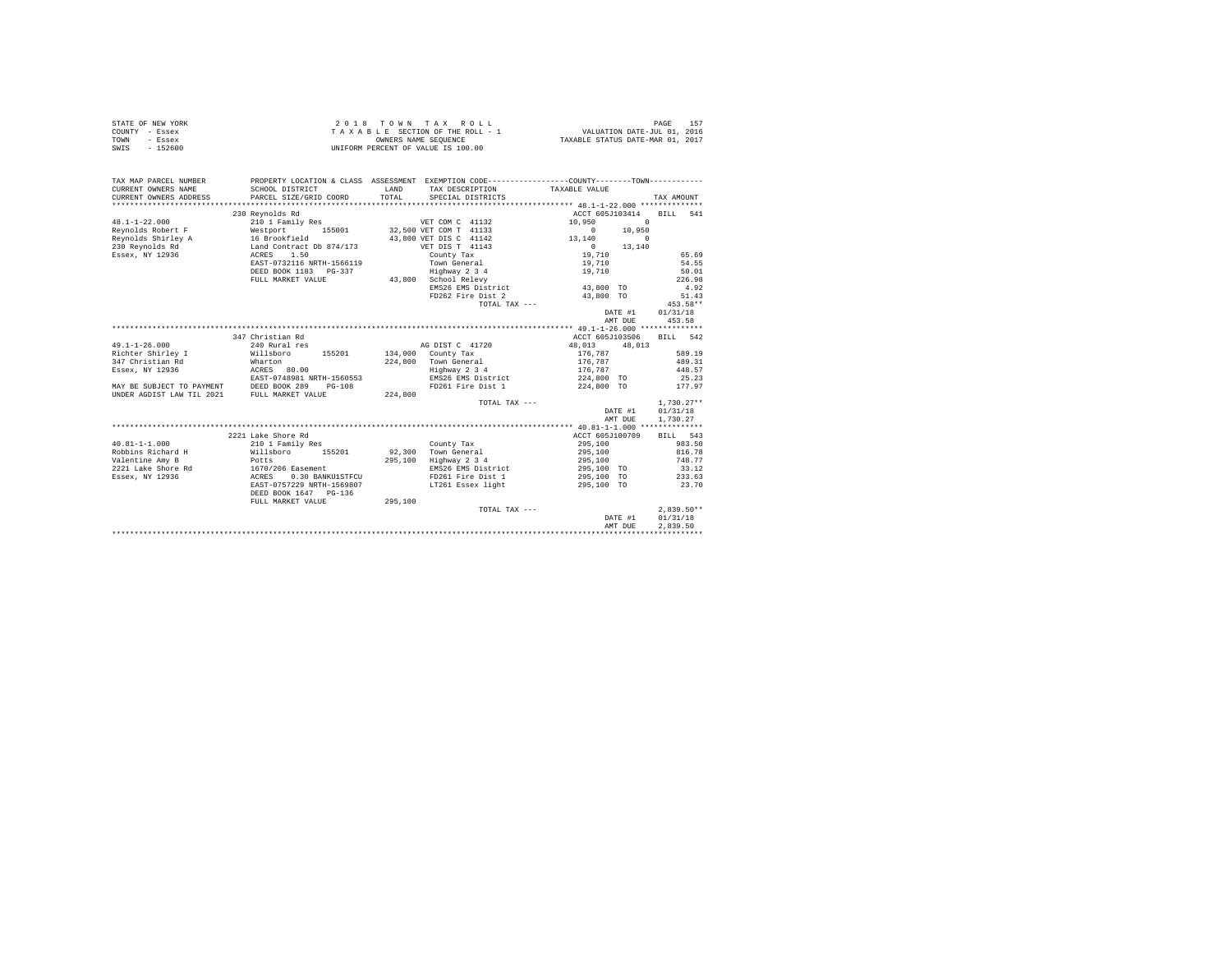| STATE OF NEW YORK | 2018 TOWN TAX ROLL                 | 157<br>PAGE                      |
|-------------------|------------------------------------|----------------------------------|
| COUNTY - Essex    | TAXABLE SECTION OF THE ROLL - 1    | VALUATION DATE-JUL 01, 2016      |
| TOWN<br>- Essex   | OWNERS NAME SEOUENCE               | TAXABLE STATUS DATE-MAR 01, 2017 |
| $-152600$<br>SWIS | UNIFORM PERCENT OF VALUE IS 100.00 |                                  |

| TAX MAP PARCEL NUMBER                       |                                          |         |                                              | PROPERTY LOCATION & CLASS ASSESSMENT EXEMPTION CODE---------------COUNTY--------TOWN---------- |              |
|---------------------------------------------|------------------------------------------|---------|----------------------------------------------|------------------------------------------------------------------------------------------------|--------------|
| CURRENT OWNERS NAME                         | SCHOOL DISTRICT                          | LAND    | TAX DESCRIPTION                              | TAXABLE VALUE                                                                                  |              |
| CURRENT OWNERS ADDRESS                      | PARCEL SIZE/GRID COORD                   | TOTAL.  | SPECIAL DISTRICTS                            |                                                                                                | TAX AMOUNT   |
|                                             |                                          |         |                                              |                                                                                                |              |
|                                             | 230 Reynolds Rd                          |         |                                              | ACCT 605J103414 BILL 541                                                                       |              |
| $48.1 - 1 - 22.000$                         | 210 1 Family Res                         |         | VET COM C 41132                              | $\sim$ 0<br>10,950                                                                             |              |
|                                             |                                          |         | 155001 32,500 VET COM T 41133                | $\begin{smallmatrix}&&&0\\1&3&,1&4&0\\&&&0\end{smallmatrix}$<br>10,950                         |              |
|                                             |                                          |         | 43,800 VET DIS C 41142                       | $\sim$ 0                                                                                       |              |
|                                             |                                          |         | VET DIS T 41143                              | 13,140                                                                                         |              |
|                                             |                                          |         | County Tax                                   | 19,710                                                                                         | 65.69        |
|                                             | EAST-0732116 NRTH-1566119                |         | Town General                                 | 19,710                                                                                         | 54.55        |
|                                             | DEED BOOK 1183 PG-337                    |         | Highway 2 3 4                                | 19,710                                                                                         | 50.01        |
|                                             | FULL MARKET VALUE                        |         | 43,800 School Relevy                         |                                                                                                | 226.98       |
|                                             |                                          |         | EMS26 EMS District                           | 43,800 TO                                                                                      | 4.92         |
|                                             |                                          |         | FD262 Fire Dist 2                            | 43,800 TO                                                                                      | 51.43        |
|                                             |                                          |         | TOTAL TAX ---                                |                                                                                                | 453.58**     |
|                                             |                                          |         |                                              | DATE #1                                                                                        | 01/31/18     |
|                                             |                                          |         |                                              | AMT DUE                                                                                        | 453.58       |
|                                             |                                          |         |                                              |                                                                                                |              |
|                                             | 347 Christian Rd                         |         |                                              | ACCT 605J103506                                                                                | RTLL 542     |
| $49.1 - 1 - 26.000$                         | 240 Rural res                            |         | AG DIST C 41720                              | 48,013 48,013                                                                                  |              |
| Richter Shirley I                           | Willsboro 155201 134,000 County Tax      |         |                                              | 176.787                                                                                        | 589.19       |
| 347 Christian Rd                            | Wharton                                  |         | 224.800 Town General                         | 176,787                                                                                        | 489.31       |
| Essex, NY 12936                             | ACRES 80.00<br>EAST-0748981 NRTH-1560553 |         | Highway 2 3 4<br>EMS26 EMS District          | 176,787<br>224,800 TO                                                                          | 448.57       |
|                                             |                                          |         |                                              |                                                                                                | 25.23        |
| MAY BE SUBJECT TO PAYMENT DEED BOOK 289     | PG-108                                   |         |                                              | FD261 Fire Dist 1 224,800 TO 177.97                                                            |              |
| UNDER AGDIST LAW TIL 2021 FULL MARKET VALUE |                                          | 224,800 |                                              |                                                                                                |              |
|                                             |                                          |         | TOTAL TAX ---                                |                                                                                                | $1.730.27**$ |
|                                             |                                          |         |                                              | DATE #1                                                                                        | 01/31/18     |
|                                             |                                          |         |                                              | AMT DUE                                                                                        | 1.730.27     |
|                                             |                                          |         |                                              |                                                                                                |              |
|                                             | 2221 Lake Shore Rd                       |         |                                              | ACCT 605J100709 BILL 543                                                                       |              |
| $40.81 - 1 - 1.000$                         | 210 1 Family Res                         |         | County Tax                                   | 295,100                                                                                        | 983.50       |
| Robbins Richard H                           | Willsboro 155201<br>Potts                |         | 92,300 Town General<br>295,100 Highway 2 3 4 | 295,100<br>295,100                                                                             | 816.78       |
| Valentine Amy B                             |                                          |         |                                              |                                                                                                | 748.77       |
| 2221 Lake Shore Rd 1670/206 Easement        |                                          |         |                                              | EMS26 EMS District 295.100 TO 33.12                                                            |              |
| Essex, NY 12936                             | ACRES 0.30 BANKU1STFCU                   |         | FD261 Fire Dist 1                            | 295,100 TO                                                                                     | 233.63       |
|                                             | EAST-0757229 NRTH-1569807                |         | LT261 Essex light                            | 295,100 TO                                                                                     | 23.70        |
|                                             | DEED BOOK 1647 PG-136                    |         |                                              |                                                                                                |              |
|                                             | FULL MARKET VALUE                        | 295,100 |                                              |                                                                                                |              |
|                                             |                                          |         | TOTAL TAX ---                                |                                                                                                | $2.839.50**$ |
|                                             |                                          |         |                                              | DATE #1                                                                                        | 01/31/18     |
|                                             |                                          |         |                                              | AMT DUE                                                                                        | 2.839.50     |
|                                             |                                          |         |                                              |                                                                                                |              |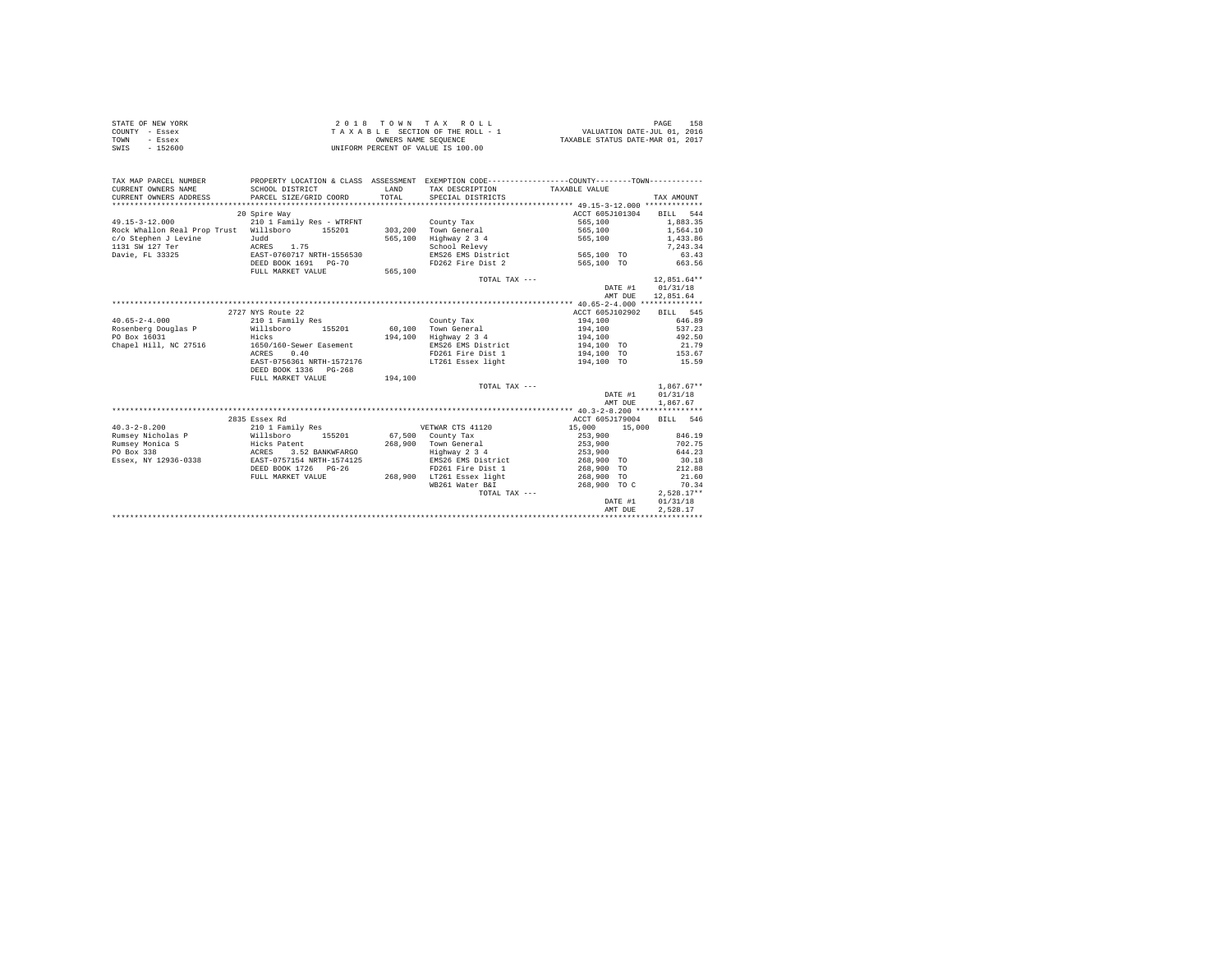| STATE OF NEW YORK | 2018 TOWN TAX ROLL                 | 158<br>PAGE                      |
|-------------------|------------------------------------|----------------------------------|
| COUNTY - Essex    | TAXABLE SECTION OF THE ROLL - 1    | VALUATION DATE-JUL 01, 2016      |
| TOWN<br>- Essex   | OWNERS NAME SEOUENCE               | TAXABLE STATUS DATE-MAR 01, 2017 |
| SWIS<br>$-152600$ | UNIFORM PERCENT OF VALUE IS 100.00 |                                  |

| PROPERTY LOCATION & CLASS ASSESSMENT EXEMPTION CODE----------------COUNTY-------TOWN----------<br>TAX MAP PARCEL NUMBER<br>CURRENT OWNERS NAME<br>SCHOOL DISTRICT |                           | LAND    | TAX DESCRIPTION                      | TAXABLE VALUE            |                      |
|-------------------------------------------------------------------------------------------------------------------------------------------------------------------|---------------------------|---------|--------------------------------------|--------------------------|----------------------|
| CURRENT OWNERS ADDRESS PARCEL SIZE/GRID COORD                                                                                                                     |                           | TOTAL   | SPECIAL DISTRICTS                    |                          | TAX AMOUNT           |
|                                                                                                                                                                   |                           |         |                                      |                          |                      |
|                                                                                                                                                                   | 20 Spire Way              |         |                                      | ACCT 605J101304          | BILL 544             |
| $49.15 - 3 - 12.000$                                                                                                                                              | 210 1 Family Res - WTRFNT |         | County Tax                           | 565,100                  | 1,883.35<br>1,564.10 |
| Rock Whallon Real Prop Trust Willsboro 155201 303,200 Town General                                                                                                |                           |         |                                      | 565,100                  |                      |
| c/o Stephen J Levine                                                                                                                                              | Judd                      | 565,100 | Highway 2 3 4                        | 565,100                  | 1,433.86             |
| 1131 SW 127 Ter                                                                                                                                                   | ACRES 1.75                |         | School Relevy                        |                          | 7,243.34             |
| Davie, FL 33325                                                                                                                                                   | EAST-0760717 NRTH-1556530 |         | EMS26 EMS District                   | 565,100 TO               | 63.43                |
|                                                                                                                                                                   | DEED BOOK 1691 PG-70      |         | FD262 Fire Dist 2                    | 565,100 TO               | 663.56               |
|                                                                                                                                                                   | FULL MARKET VALUE         | 565,100 |                                      |                          |                      |
|                                                                                                                                                                   |                           |         | TOTAL TAX ---                        |                          | $12.851.64**$        |
|                                                                                                                                                                   |                           |         |                                      | DATE #1                  | 01/31/18             |
|                                                                                                                                                                   |                           |         |                                      | AMT DUE                  | 12,851.64            |
|                                                                                                                                                                   |                           |         |                                      |                          |                      |
|                                                                                                                                                                   | 2727 NYS Route 22         |         |                                      | ACCT 605J102902 BILL 545 |                      |
| $40.65 - 2 - 4.000$                                                                                                                                               | 210 1 Family Res          |         | County Tax                           | 194,100                  | 646.89               |
| Rosenberg Douglas P Willsboro 155201 60,100 Town General                                                                                                          |                           |         |                                      | 194,100                  | 537.23               |
| PO Box 16031                                                                                                                                                      | Hicks                     |         | 194,100 Highway 2 3 4                | 194,100                  | 492.50               |
| Chapel Hill, NC 27516                                                                                                                                             | 1650/160-Sewer Easement   |         | EMS26 EMS District                   | 194,100 TO               | 21.79                |
|                                                                                                                                                                   | ACRES 0.40                |         | FD261 Fire Dist 1 194.100 TO 153.67  |                          |                      |
|                                                                                                                                                                   | EAST-0756361 NRTH-1572176 |         | LT261 Essex light 6 194,100 TO 15.59 |                          |                      |
|                                                                                                                                                                   | DEED BOOK 1336 PG-268     |         |                                      |                          |                      |
|                                                                                                                                                                   | FULL MARKET VALUE         | 194,100 |                                      |                          |                      |
|                                                                                                                                                                   |                           |         | TOTAL TAX ---                        |                          | $1,867.67**$         |
|                                                                                                                                                                   |                           |         |                                      |                          | DATE #1 01/31/18     |
|                                                                                                                                                                   |                           |         |                                      | AMT DUE                  | 1,867.67             |
|                                                                                                                                                                   |                           |         |                                      |                          |                      |
|                                                                                                                                                                   | 2835 Essex Rd             |         |                                      | ACCT 605J179004 BILL 546 |                      |
| $40.3 - 2 - 8.200$                                                                                                                                                | 210 1 Family Res          |         | VETWAR CTS 41120                     | 15,000 15,000            |                      |
| Rumsey Nicholas P Willsboro 155201 67,500 County Tax                                                                                                              |                           |         |                                      | 253,900                  | 846.19               |
|                                                                                                                                                                   |                           |         |                                      | 253,900                  | 702.75               |
|                                                                                                                                                                   |                           |         | Highway 2 3 4                        | 253,900                  | 644.23               |
| Essex, NY 12936-0338                                                                                                                                              | EAST-0757154 NRTH-1574125 |         | EMS26 EMS District                   | 268,900 TO               | 30.18                |
|                                                                                                                                                                   | DEED BOOK 1726 PG-26      |         | FD261 Fire Dist 1 268,900 TO         |                          | 212.88               |
|                                                                                                                                                                   | FULL MARKET VALUE         |         | 268,900 LT261 Essex light            | 268,900 TO               | 21.60                |
|                                                                                                                                                                   |                           |         | WB261 Water B&I                      | 268,900 TO C             | 70.34                |
|                                                                                                                                                                   |                           |         | TOTAL TAX ---                        |                          | $2,528.17**$         |
|                                                                                                                                                                   |                           |         |                                      | DATE #1                  | 01/31/18             |
|                                                                                                                                                                   |                           |         |                                      | AMT DUE                  | 2.528.17             |
|                                                                                                                                                                   |                           |         |                                      |                          |                      |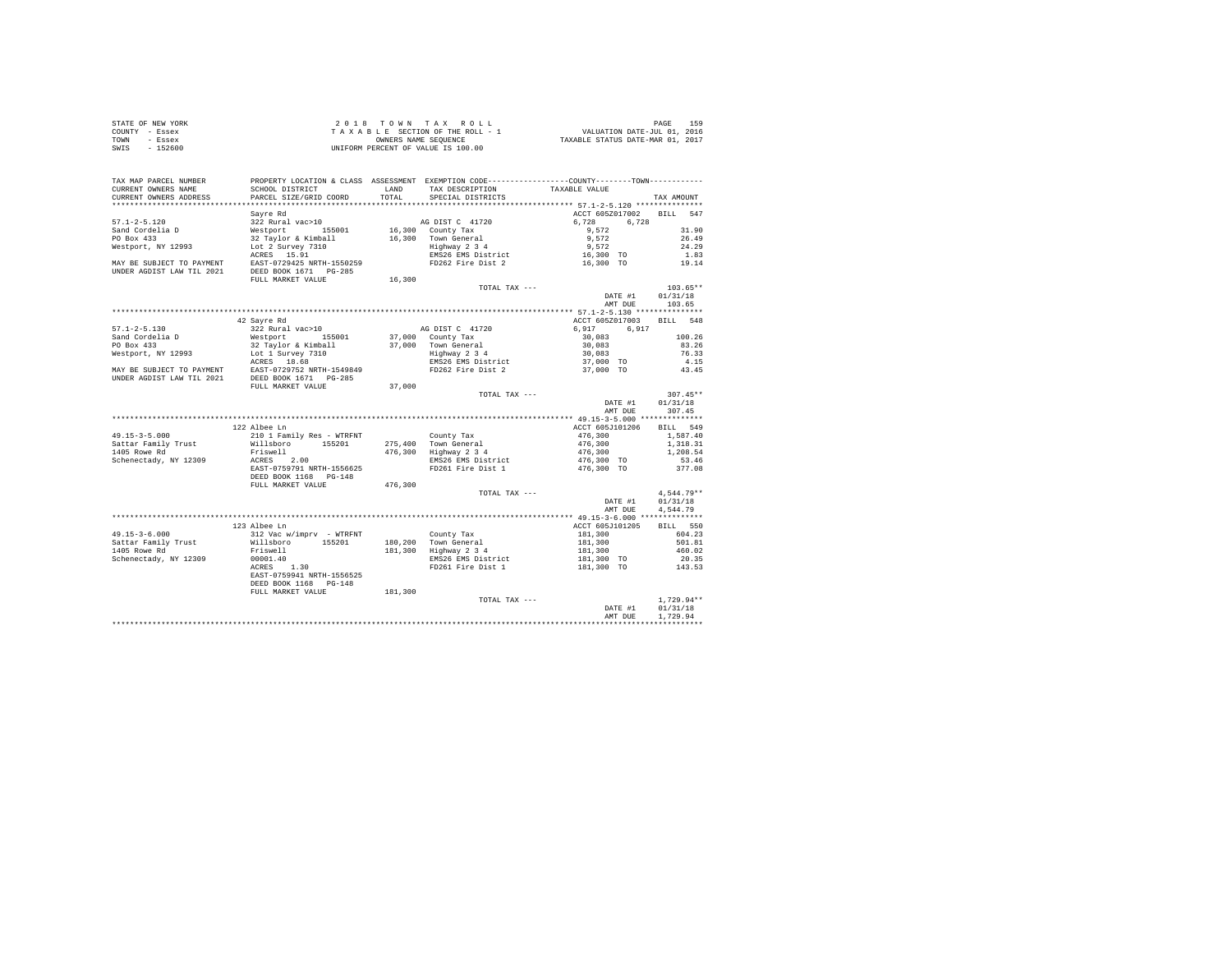| STATE OF NEW YORK | 2018 TOWN TAX ROLL                 | 159<br>PAGE                      |
|-------------------|------------------------------------|----------------------------------|
| COUNTY - Essex    | TAXABLE SECTION OF THE ROLL - 1    | VALUATION DATE-JUL 01, 2016      |
| TOWN<br>- Essex   | OWNERS NAME SEOUENCE               | TAXABLE STATUS DATE-MAR 01, 2017 |
| $-152600$<br>SWIS | UNIFORM PERCENT OF VALUE IS 100.00 |                                  |

| TAX MAP PARCEL NUMBER                                |                                                    |         | PROPERTY LOCATION & CLASS ASSESSMENT EXEMPTION CODE---------------COUNTY-------TOWN--------- |                          |                      |
|------------------------------------------------------|----------------------------------------------------|---------|----------------------------------------------------------------------------------------------|--------------------------|----------------------|
| CURRENT OWNERS NAME                                  | SCHOOL DISTRICT                                    | LAND    | TAX DESCRIPTION                                                                              | TAXABLE VALUE            |                      |
| CURRENT OWNERS ADDRESS<br>************************** | PARCEL SIZE/GRID COORD                             | TOTAL   | SPECIAL DISTRICTS                                                                            |                          | TAX AMOUNT           |
|                                                      |                                                    |         |                                                                                              |                          |                      |
|                                                      | Sayre Rd                                           |         |                                                                                              | ACCT 605Z017002 BILL 547 |                      |
| $57.1 - 2 - 5.120$                                   | 322 Rural vac>10                                   |         | AG DIST C 41720                                                                              | 6.728<br>6.728           |                      |
| Sand Cordelia D                                      | Westport<br>155001                                 |         | 16,300 County Tax                                                                            | 9,572                    | 31.90                |
| PO Box 433                                           | 32 Taylor & Kimball                                |         | 16,300 Town General                                                                          | 9,572                    | 26.49                |
| Westport, NY 12993                                   | Lot 2 Survey 7310                                  |         | Highway 2 3 4                                                                                | 9.572                    | 24.29                |
|                                                      | ACRES 15.91                                        |         | EMS26 EMS District                                                                           | 16,300 TO                | 1.83                 |
| MAY BE SUBJECT TO PAYMENT                            | EAST-0729425 NRTH-1550259                          |         | FD262 Fire Dist 2                                                                            | 16,300 TO                | 19.14                |
| UNDER AGDIST LAW TIL 2021                            | DEED BOOK 1671 PG-285                              |         |                                                                                              |                          |                      |
|                                                      | FULL MARKET VALUE                                  | 16,300  |                                                                                              |                          |                      |
|                                                      |                                                    |         | TOTAL TAX ---                                                                                |                          | $103.65**$           |
|                                                      |                                                    |         |                                                                                              | DATE #1                  | 01/31/18             |
|                                                      |                                                    |         |                                                                                              | AMT DUE                  | 103.65               |
|                                                      |                                                    |         |                                                                                              |                          |                      |
|                                                      | 42 Sayre Rd                                        |         |                                                                                              | ACCT 605Z017003          | BILL 548             |
| $57.1 - 2 - 5.130$                                   | 322 Rural vac>10                                   |         | AG DIST C 41720                                                                              | 6,917<br>6.917           |                      |
| Sand Cordelia D                                      | Westport 155001                                    |         | 37,000 County Tax                                                                            | 30,083                   | 100.26               |
| PO Box 433                                           | 32 Taylor & Kimball<br>Lot 1 Survey 7310           |         | 37,000 Town General                                                                          | 30,083                   | 83.26                |
| Westport, NY 12993                                   |                                                    |         | $\frac{1}{2}$<br>Highway 2 3 4<br>RMS36                                                      | 30,083                   | 76.33                |
|                                                      | ACRES 18.68                                        |         | EMS26 EMS District                                                                           | 37,000 TO                | 4.15                 |
| MAY BE SUBJECT TO PAYMENT                            | EAST-0729752 NRTH-1549849<br>DEED BOOK 1671 PG-285 |         | FD262 Fire Dist 2                                                                            | 37,000 TO                | 43.45                |
| UNDER AGDIST LAW TIL 2021                            |                                                    |         |                                                                                              |                          |                      |
|                                                      | FULL MARKET VALUE                                  | 37,000  |                                                                                              |                          |                      |
|                                                      |                                                    |         | TOTAL TAX ---                                                                                |                          | $307.45**$           |
|                                                      |                                                    |         |                                                                                              | DATE #1                  | 01/31/18             |
|                                                      |                                                    |         |                                                                                              | AMT DUE                  | 307.45               |
|                                                      |                                                    |         |                                                                                              |                          |                      |
|                                                      | 122 Albee Ln                                       |         |                                                                                              | ACCT 605J101206          | BILL 549             |
| $49.15 - 3 - 5.000$                                  | 210 1 Family Res - WTRFNT                          |         | County Tax                                                                                   | 476.300                  | 1,587.40             |
| Sattar Family Trust                                  | Willsboro<br>155201                                | 275,400 | Town General                                                                                 | 476,300                  | 1,318.31             |
| 1405 Rowe Rd                                         | Friswell                                           |         | 476,300 Highway 2 3 4                                                                        | 476,300                  | 1,208.54             |
| Schenectady, NY 12309                                | ACRES 2.00                                         |         | EMS26 EMS District                                                                           | 476,300 TO               | 53.46                |
|                                                      | EAST-0759791 NRTH-1556625                          |         | FD261 Fire Dist 1                                                                            | 476,300 TO               | 377.08               |
|                                                      | DEED BOOK 1168 PG-148                              |         |                                                                                              |                          |                      |
|                                                      | FULL MARKET VALUE                                  | 476,300 |                                                                                              |                          |                      |
|                                                      |                                                    |         | TOTAL TAX ---                                                                                |                          | $4.544.79**$         |
|                                                      |                                                    |         |                                                                                              | DATE #1                  | 01/31/18<br>4.544.79 |
|                                                      |                                                    |         |                                                                                              | AMT DUE                  |                      |
|                                                      |                                                    |         |                                                                                              |                          | BTLL 550             |
|                                                      | 123 Albee Ln                                       |         |                                                                                              | ACCT 605J101205          |                      |
| $49.15 - 3 - 6.000$<br>Sattar Family Trust           | 312 Vac w/imprv - WTRFNT<br>Willsboro 155201       |         | County Tax<br>180.200 Town General                                                           | 181,300<br>181,300       | 604.23<br>501.81     |
| 1405 Rowe Rd                                         |                                                    |         |                                                                                              |                          | 460.02               |
| Schenectady, NY 12309                                | Friswell<br>00001.40                               | 181,300 | Highway 2 3 4<br>EMS26 EMS District                                                          | 181,300<br>181,300 TO    | 20.35                |
|                                                      | ACRES 1.30                                         |         | FD261 Fire Dist 1                                                                            | 181,300 TO               | 143.53               |
|                                                      | EAST-0759941 NRTH-1556525                          |         |                                                                                              |                          |                      |
|                                                      | DEED BOOK 1168 PG-148                              |         |                                                                                              |                          |                      |
|                                                      | FULL MARKET VALUE                                  | 181,300 |                                                                                              |                          |                      |
|                                                      |                                                    |         | TOTAL TAX ---                                                                                |                          | $1.729.94**$         |
|                                                      |                                                    |         |                                                                                              | DATE #1                  | 01/31/18             |
|                                                      |                                                    |         |                                                                                              | AMT DUE                  | 1,729.94             |
|                                                      |                                                    |         |                                                                                              |                          |                      |
|                                                      |                                                    |         |                                                                                              |                          |                      |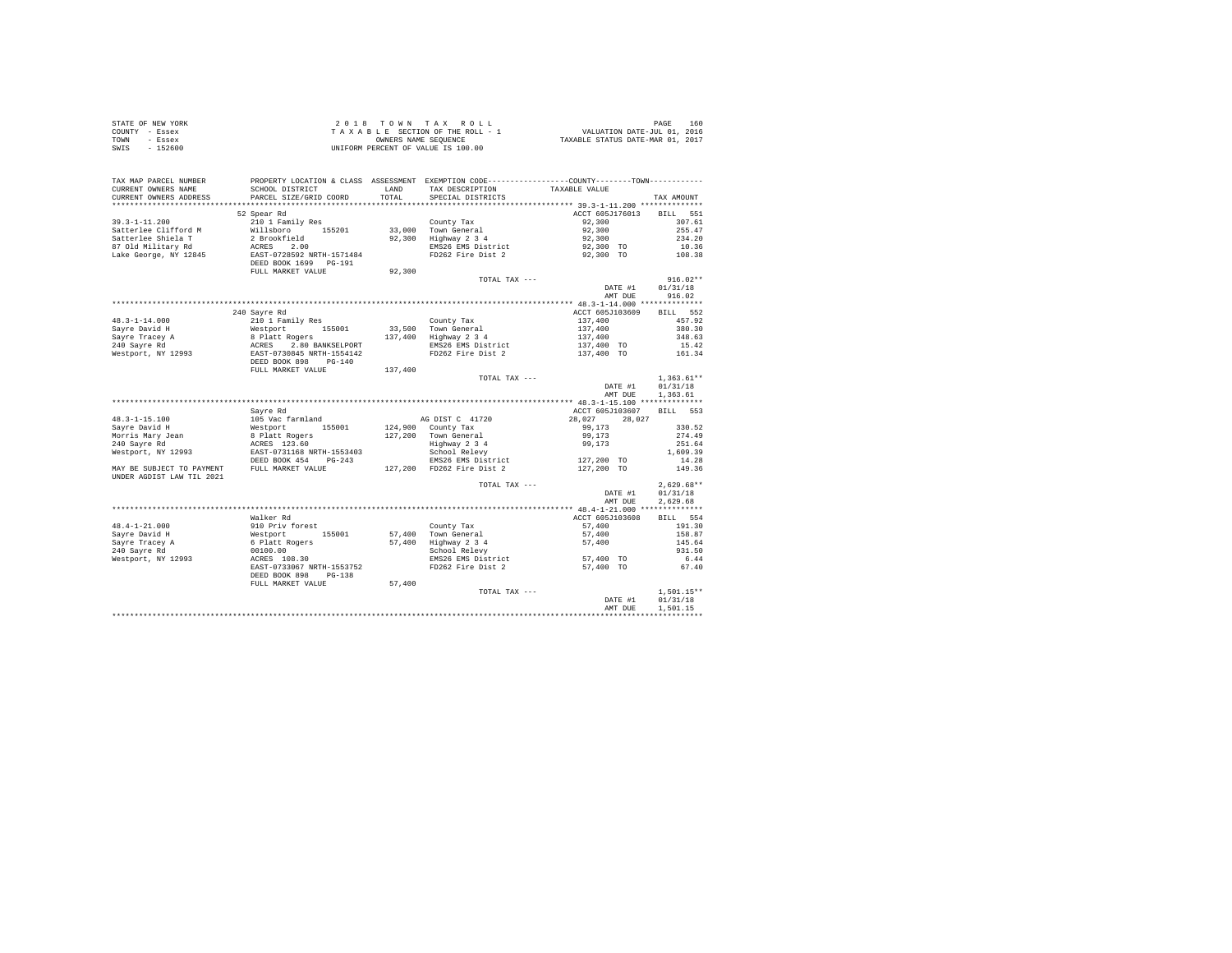| STATE OF NEW YORK | 2018 TOWN TAX ROLL                 | 160<br>PAGE                      |
|-------------------|------------------------------------|----------------------------------|
| COUNTY - Essex    | TAXABLE SECTION OF THE ROLL - 1    | VALUATION DATE-JUL 01, 2016      |
| TOWN<br>- Essex   | OWNERS NAME SEOUENCE               | TAXABLE STATUS DATE-MAR 01, 2017 |
| $-152600$<br>SWIS | UNIFORM PERCENT OF VALUE IS 100.00 |                                  |

| ACCT 605J176013<br>52 Spear Rd<br>BILL 551<br>$39.3 - 1 - 11.200$<br>210 1 Family Res<br>92,300<br>County Tax<br>307.61<br>33,000 Town General<br>92,300 Highway 2 3 4<br>92,300<br>Satterlee Clifford M<br>Willsboro 155201<br>255.47<br>Satterlee Shiela T<br>2 Brookfield<br>92,300<br>234.20<br>87 Old Military Rd<br>ACRES 2.00<br>EMS26 EMS District<br>10.36<br>92,300 TO<br>EAST-0728592 NRTH-1571484<br>FD262 Fire Dist 2<br>92,300 TO<br>Lake George, NY 12845<br>108.38<br>DEED BOOK 1699 PG-191<br>FULL MARKET VALUE<br>92,300<br>$916.02**$<br>TOTAL TAX ---<br>01/31/18<br>DATE #1<br>AMT DUE<br>916.02<br>BILL 552<br>240 Sayre Rd<br>ACCT 605J103609<br>210 1 Family Res<br>137,400<br>457.92<br>County Tax<br>33.500 Town General<br>380.30<br>Westport 155001<br>8 Platt Rogers<br>ACRES 2.80 BANKSELPORT<br>EAST-0730845 NRTH-1554142<br>DEED BOOK 898 PG-140<br>137,400<br>137,400 Highway 2 3 4<br>137,400<br>348.63<br>137,400 TO<br>2.80 BANKSELPORT<br>EMS26 EMS District<br>15.42<br>FD262 Fire Dist 2<br>Westport, NY 12993<br>137,400 TO<br>161.34<br>137,400<br>FULL MARKET VALUE<br>$1.363.61**$<br>TOTAL TAX ---<br>01/31/18<br>DATE #1<br>AMT DUE<br>1,363.61<br>Sayre Rd<br>ACCT 605J103607<br>BILL 553<br>$48.3 - 1 - 15.100$<br>28.027<br>28,027<br>AG DIST C 41720<br>105 Vac farmland<br>Westport 155001<br>8 Platt Rogers<br>ACRES 123.60<br>2021160 NDTH-1553403<br>Sayre David H<br>124,900 County Tax<br>99,173<br>330.52<br>Morris Mary Jean<br>127,200 Town General<br>99.173<br>274.49<br>$Highway$ 2 3 4<br>240 Sayre Rd<br>99,173<br>251.64<br>EAST-0731168 NRTH-1553403<br>Westport, NY 12993<br>School Relevy<br>1,609.39<br>127,200 TO<br>DEED BOOK 454 PG-243<br>EMS26 EMS District<br>14.28<br>127,200 TO<br>127,200 FD262 Fire Dist 2<br>149.36<br>MAY BE SUBJECT TO PAYMENT<br>FULL MARKET VALUE<br>UNDER AGDIST LAW TIL 2021<br>$2,629.68**$<br>TOTAL TAX ---<br>01/31/18<br>DATE #1<br>AMT DUE<br>2,629.68<br>ACCT 605J103608<br>Walker Rd<br>BILL 554<br>910 Priv forest<br>191.30<br>County Tax<br>57,400<br>910 Priv forest<br>Westport<br>6 Platt Rogers<br>00100.00<br>ACRES 108.30<br>57,400 Town General<br>Sayre David H<br>57,400<br>158.87<br>57,400 Highway 2 3 4<br>57,400<br>145.64<br>School Relevy<br>931.50<br>240 Sayre Rd<br>EMS26 EMS District 57,400 TO<br>Westport, NY 12993<br>6.44<br>FD262 Fire Dist 2<br>67.40<br>EAST-0733067 NRTH-1553752<br>57,400 TO<br>DEED BOOK 898<br>$PG-138$<br>57,400<br>FULL MARKET VALUE<br>$1,501.15**$<br>TOTAL TAX ---<br>DATE #1<br>01/31/18<br>AMT DUE<br>1,501.15 | TAX MAP PARCEL NUMBER<br>CURRENT OWNERS NAME<br>CURRENT OWNERS ADDRESS | PROPERTY LOCATION & CLASS ASSESSMENT EXEMPTION CODE---------------COUNTY-------TOWN----------<br>SCHOOL DISTRICT<br>PARCEL SIZE/GRID COORD | LAND<br>TOTAL | TAX DESCRIPTION<br>SPECIAL DISTRICTS | TAXABLE VALUE | TAX AMOUNT |
|------------------------------------------------------------------------------------------------------------------------------------------------------------------------------------------------------------------------------------------------------------------------------------------------------------------------------------------------------------------------------------------------------------------------------------------------------------------------------------------------------------------------------------------------------------------------------------------------------------------------------------------------------------------------------------------------------------------------------------------------------------------------------------------------------------------------------------------------------------------------------------------------------------------------------------------------------------------------------------------------------------------------------------------------------------------------------------------------------------------------------------------------------------------------------------------------------------------------------------------------------------------------------------------------------------------------------------------------------------------------------------------------------------------------------------------------------------------------------------------------------------------------------------------------------------------------------------------------------------------------------------------------------------------------------------------------------------------------------------------------------------------------------------------------------------------------------------------------------------------------------------------------------------------------------------------------------------------------------------------------------------------------------------------------------------------------------------------------------------------------------------------------------------------------------------------------------------------------------------------------------------------------------------------------------------------------------------------------------------------------------------------------------------------------------------------------------------------------------------------------------------------------------------------------------------------------------------|------------------------------------------------------------------------|--------------------------------------------------------------------------------------------------------------------------------------------|---------------|--------------------------------------|---------------|------------|
|                                                                                                                                                                                                                                                                                                                                                                                                                                                                                                                                                                                                                                                                                                                                                                                                                                                                                                                                                                                                                                                                                                                                                                                                                                                                                                                                                                                                                                                                                                                                                                                                                                                                                                                                                                                                                                                                                                                                                                                                                                                                                                                                                                                                                                                                                                                                                                                                                                                                                                                                                                                    |                                                                        |                                                                                                                                            |               |                                      |               |            |
|                                                                                                                                                                                                                                                                                                                                                                                                                                                                                                                                                                                                                                                                                                                                                                                                                                                                                                                                                                                                                                                                                                                                                                                                                                                                                                                                                                                                                                                                                                                                                                                                                                                                                                                                                                                                                                                                                                                                                                                                                                                                                                                                                                                                                                                                                                                                                                                                                                                                                                                                                                                    |                                                                        |                                                                                                                                            |               |                                      |               |            |
|                                                                                                                                                                                                                                                                                                                                                                                                                                                                                                                                                                                                                                                                                                                                                                                                                                                                                                                                                                                                                                                                                                                                                                                                                                                                                                                                                                                                                                                                                                                                                                                                                                                                                                                                                                                                                                                                                                                                                                                                                                                                                                                                                                                                                                                                                                                                                                                                                                                                                                                                                                                    |                                                                        |                                                                                                                                            |               |                                      |               |            |
|                                                                                                                                                                                                                                                                                                                                                                                                                                                                                                                                                                                                                                                                                                                                                                                                                                                                                                                                                                                                                                                                                                                                                                                                                                                                                                                                                                                                                                                                                                                                                                                                                                                                                                                                                                                                                                                                                                                                                                                                                                                                                                                                                                                                                                                                                                                                                                                                                                                                                                                                                                                    |                                                                        |                                                                                                                                            |               |                                      |               |            |
|                                                                                                                                                                                                                                                                                                                                                                                                                                                                                                                                                                                                                                                                                                                                                                                                                                                                                                                                                                                                                                                                                                                                                                                                                                                                                                                                                                                                                                                                                                                                                                                                                                                                                                                                                                                                                                                                                                                                                                                                                                                                                                                                                                                                                                                                                                                                                                                                                                                                                                                                                                                    |                                                                        |                                                                                                                                            |               |                                      |               |            |
|                                                                                                                                                                                                                                                                                                                                                                                                                                                                                                                                                                                                                                                                                                                                                                                                                                                                                                                                                                                                                                                                                                                                                                                                                                                                                                                                                                                                                                                                                                                                                                                                                                                                                                                                                                                                                                                                                                                                                                                                                                                                                                                                                                                                                                                                                                                                                                                                                                                                                                                                                                                    |                                                                        |                                                                                                                                            |               |                                      |               |            |
|                                                                                                                                                                                                                                                                                                                                                                                                                                                                                                                                                                                                                                                                                                                                                                                                                                                                                                                                                                                                                                                                                                                                                                                                                                                                                                                                                                                                                                                                                                                                                                                                                                                                                                                                                                                                                                                                                                                                                                                                                                                                                                                                                                                                                                                                                                                                                                                                                                                                                                                                                                                    |                                                                        |                                                                                                                                            |               |                                      |               |            |
|                                                                                                                                                                                                                                                                                                                                                                                                                                                                                                                                                                                                                                                                                                                                                                                                                                                                                                                                                                                                                                                                                                                                                                                                                                                                                                                                                                                                                                                                                                                                                                                                                                                                                                                                                                                                                                                                                                                                                                                                                                                                                                                                                                                                                                                                                                                                                                                                                                                                                                                                                                                    |                                                                        |                                                                                                                                            |               |                                      |               |            |
|                                                                                                                                                                                                                                                                                                                                                                                                                                                                                                                                                                                                                                                                                                                                                                                                                                                                                                                                                                                                                                                                                                                                                                                                                                                                                                                                                                                                                                                                                                                                                                                                                                                                                                                                                                                                                                                                                                                                                                                                                                                                                                                                                                                                                                                                                                                                                                                                                                                                                                                                                                                    |                                                                        |                                                                                                                                            |               |                                      |               |            |
|                                                                                                                                                                                                                                                                                                                                                                                                                                                                                                                                                                                                                                                                                                                                                                                                                                                                                                                                                                                                                                                                                                                                                                                                                                                                                                                                                                                                                                                                                                                                                                                                                                                                                                                                                                                                                                                                                                                                                                                                                                                                                                                                                                                                                                                                                                                                                                                                                                                                                                                                                                                    |                                                                        |                                                                                                                                            |               |                                      |               |            |
|                                                                                                                                                                                                                                                                                                                                                                                                                                                                                                                                                                                                                                                                                                                                                                                                                                                                                                                                                                                                                                                                                                                                                                                                                                                                                                                                                                                                                                                                                                                                                                                                                                                                                                                                                                                                                                                                                                                                                                                                                                                                                                                                                                                                                                                                                                                                                                                                                                                                                                                                                                                    |                                                                        |                                                                                                                                            |               |                                      |               |            |
|                                                                                                                                                                                                                                                                                                                                                                                                                                                                                                                                                                                                                                                                                                                                                                                                                                                                                                                                                                                                                                                                                                                                                                                                                                                                                                                                                                                                                                                                                                                                                                                                                                                                                                                                                                                                                                                                                                                                                                                                                                                                                                                                                                                                                                                                                                                                                                                                                                                                                                                                                                                    |                                                                        |                                                                                                                                            |               |                                      |               |            |
|                                                                                                                                                                                                                                                                                                                                                                                                                                                                                                                                                                                                                                                                                                                                                                                                                                                                                                                                                                                                                                                                                                                                                                                                                                                                                                                                                                                                                                                                                                                                                                                                                                                                                                                                                                                                                                                                                                                                                                                                                                                                                                                                                                                                                                                                                                                                                                                                                                                                                                                                                                                    |                                                                        |                                                                                                                                            |               |                                      |               |            |
|                                                                                                                                                                                                                                                                                                                                                                                                                                                                                                                                                                                                                                                                                                                                                                                                                                                                                                                                                                                                                                                                                                                                                                                                                                                                                                                                                                                                                                                                                                                                                                                                                                                                                                                                                                                                                                                                                                                                                                                                                                                                                                                                                                                                                                                                                                                                                                                                                                                                                                                                                                                    | $48.3 - 1 - 14.000$                                                    |                                                                                                                                            |               |                                      |               |            |
|                                                                                                                                                                                                                                                                                                                                                                                                                                                                                                                                                                                                                                                                                                                                                                                                                                                                                                                                                                                                                                                                                                                                                                                                                                                                                                                                                                                                                                                                                                                                                                                                                                                                                                                                                                                                                                                                                                                                                                                                                                                                                                                                                                                                                                                                                                                                                                                                                                                                                                                                                                                    | Sayre David H                                                          |                                                                                                                                            |               |                                      |               |            |
|                                                                                                                                                                                                                                                                                                                                                                                                                                                                                                                                                                                                                                                                                                                                                                                                                                                                                                                                                                                                                                                                                                                                                                                                                                                                                                                                                                                                                                                                                                                                                                                                                                                                                                                                                                                                                                                                                                                                                                                                                                                                                                                                                                                                                                                                                                                                                                                                                                                                                                                                                                                    | Savre Tracev A                                                         |                                                                                                                                            |               |                                      |               |            |
|                                                                                                                                                                                                                                                                                                                                                                                                                                                                                                                                                                                                                                                                                                                                                                                                                                                                                                                                                                                                                                                                                                                                                                                                                                                                                                                                                                                                                                                                                                                                                                                                                                                                                                                                                                                                                                                                                                                                                                                                                                                                                                                                                                                                                                                                                                                                                                                                                                                                                                                                                                                    | 240 Savre Rd                                                           |                                                                                                                                            |               |                                      |               |            |
|                                                                                                                                                                                                                                                                                                                                                                                                                                                                                                                                                                                                                                                                                                                                                                                                                                                                                                                                                                                                                                                                                                                                                                                                                                                                                                                                                                                                                                                                                                                                                                                                                                                                                                                                                                                                                                                                                                                                                                                                                                                                                                                                                                                                                                                                                                                                                                                                                                                                                                                                                                                    |                                                                        |                                                                                                                                            |               |                                      |               |            |
|                                                                                                                                                                                                                                                                                                                                                                                                                                                                                                                                                                                                                                                                                                                                                                                                                                                                                                                                                                                                                                                                                                                                                                                                                                                                                                                                                                                                                                                                                                                                                                                                                                                                                                                                                                                                                                                                                                                                                                                                                                                                                                                                                                                                                                                                                                                                                                                                                                                                                                                                                                                    |                                                                        |                                                                                                                                            |               |                                      |               |            |
|                                                                                                                                                                                                                                                                                                                                                                                                                                                                                                                                                                                                                                                                                                                                                                                                                                                                                                                                                                                                                                                                                                                                                                                                                                                                                                                                                                                                                                                                                                                                                                                                                                                                                                                                                                                                                                                                                                                                                                                                                                                                                                                                                                                                                                                                                                                                                                                                                                                                                                                                                                                    |                                                                        |                                                                                                                                            |               |                                      |               |            |
|                                                                                                                                                                                                                                                                                                                                                                                                                                                                                                                                                                                                                                                                                                                                                                                                                                                                                                                                                                                                                                                                                                                                                                                                                                                                                                                                                                                                                                                                                                                                                                                                                                                                                                                                                                                                                                                                                                                                                                                                                                                                                                                                                                                                                                                                                                                                                                                                                                                                                                                                                                                    |                                                                        |                                                                                                                                            |               |                                      |               |            |
|                                                                                                                                                                                                                                                                                                                                                                                                                                                                                                                                                                                                                                                                                                                                                                                                                                                                                                                                                                                                                                                                                                                                                                                                                                                                                                                                                                                                                                                                                                                                                                                                                                                                                                                                                                                                                                                                                                                                                                                                                                                                                                                                                                                                                                                                                                                                                                                                                                                                                                                                                                                    |                                                                        |                                                                                                                                            |               |                                      |               |            |
|                                                                                                                                                                                                                                                                                                                                                                                                                                                                                                                                                                                                                                                                                                                                                                                                                                                                                                                                                                                                                                                                                                                                                                                                                                                                                                                                                                                                                                                                                                                                                                                                                                                                                                                                                                                                                                                                                                                                                                                                                                                                                                                                                                                                                                                                                                                                                                                                                                                                                                                                                                                    |                                                                        |                                                                                                                                            |               |                                      |               |            |
|                                                                                                                                                                                                                                                                                                                                                                                                                                                                                                                                                                                                                                                                                                                                                                                                                                                                                                                                                                                                                                                                                                                                                                                                                                                                                                                                                                                                                                                                                                                                                                                                                                                                                                                                                                                                                                                                                                                                                                                                                                                                                                                                                                                                                                                                                                                                                                                                                                                                                                                                                                                    |                                                                        |                                                                                                                                            |               |                                      |               |            |
|                                                                                                                                                                                                                                                                                                                                                                                                                                                                                                                                                                                                                                                                                                                                                                                                                                                                                                                                                                                                                                                                                                                                                                                                                                                                                                                                                                                                                                                                                                                                                                                                                                                                                                                                                                                                                                                                                                                                                                                                                                                                                                                                                                                                                                                                                                                                                                                                                                                                                                                                                                                    |                                                                        |                                                                                                                                            |               |                                      |               |            |
|                                                                                                                                                                                                                                                                                                                                                                                                                                                                                                                                                                                                                                                                                                                                                                                                                                                                                                                                                                                                                                                                                                                                                                                                                                                                                                                                                                                                                                                                                                                                                                                                                                                                                                                                                                                                                                                                                                                                                                                                                                                                                                                                                                                                                                                                                                                                                                                                                                                                                                                                                                                    |                                                                        |                                                                                                                                            |               |                                      |               |            |
|                                                                                                                                                                                                                                                                                                                                                                                                                                                                                                                                                                                                                                                                                                                                                                                                                                                                                                                                                                                                                                                                                                                                                                                                                                                                                                                                                                                                                                                                                                                                                                                                                                                                                                                                                                                                                                                                                                                                                                                                                                                                                                                                                                                                                                                                                                                                                                                                                                                                                                                                                                                    |                                                                        |                                                                                                                                            |               |                                      |               |            |
|                                                                                                                                                                                                                                                                                                                                                                                                                                                                                                                                                                                                                                                                                                                                                                                                                                                                                                                                                                                                                                                                                                                                                                                                                                                                                                                                                                                                                                                                                                                                                                                                                                                                                                                                                                                                                                                                                                                                                                                                                                                                                                                                                                                                                                                                                                                                                                                                                                                                                                                                                                                    |                                                                        |                                                                                                                                            |               |                                      |               |            |
|                                                                                                                                                                                                                                                                                                                                                                                                                                                                                                                                                                                                                                                                                                                                                                                                                                                                                                                                                                                                                                                                                                                                                                                                                                                                                                                                                                                                                                                                                                                                                                                                                                                                                                                                                                                                                                                                                                                                                                                                                                                                                                                                                                                                                                                                                                                                                                                                                                                                                                                                                                                    |                                                                        |                                                                                                                                            |               |                                      |               |            |
|                                                                                                                                                                                                                                                                                                                                                                                                                                                                                                                                                                                                                                                                                                                                                                                                                                                                                                                                                                                                                                                                                                                                                                                                                                                                                                                                                                                                                                                                                                                                                                                                                                                                                                                                                                                                                                                                                                                                                                                                                                                                                                                                                                                                                                                                                                                                                                                                                                                                                                                                                                                    |                                                                        |                                                                                                                                            |               |                                      |               |            |
|                                                                                                                                                                                                                                                                                                                                                                                                                                                                                                                                                                                                                                                                                                                                                                                                                                                                                                                                                                                                                                                                                                                                                                                                                                                                                                                                                                                                                                                                                                                                                                                                                                                                                                                                                                                                                                                                                                                                                                                                                                                                                                                                                                                                                                                                                                                                                                                                                                                                                                                                                                                    |                                                                        |                                                                                                                                            |               |                                      |               |            |
|                                                                                                                                                                                                                                                                                                                                                                                                                                                                                                                                                                                                                                                                                                                                                                                                                                                                                                                                                                                                                                                                                                                                                                                                                                                                                                                                                                                                                                                                                                                                                                                                                                                                                                                                                                                                                                                                                                                                                                                                                                                                                                                                                                                                                                                                                                                                                                                                                                                                                                                                                                                    |                                                                        |                                                                                                                                            |               |                                      |               |            |
|                                                                                                                                                                                                                                                                                                                                                                                                                                                                                                                                                                                                                                                                                                                                                                                                                                                                                                                                                                                                                                                                                                                                                                                                                                                                                                                                                                                                                                                                                                                                                                                                                                                                                                                                                                                                                                                                                                                                                                                                                                                                                                                                                                                                                                                                                                                                                                                                                                                                                                                                                                                    |                                                                        |                                                                                                                                            |               |                                      |               |            |
|                                                                                                                                                                                                                                                                                                                                                                                                                                                                                                                                                                                                                                                                                                                                                                                                                                                                                                                                                                                                                                                                                                                                                                                                                                                                                                                                                                                                                                                                                                                                                                                                                                                                                                                                                                                                                                                                                                                                                                                                                                                                                                                                                                                                                                                                                                                                                                                                                                                                                                                                                                                    |                                                                        |                                                                                                                                            |               |                                      |               |            |
|                                                                                                                                                                                                                                                                                                                                                                                                                                                                                                                                                                                                                                                                                                                                                                                                                                                                                                                                                                                                                                                                                                                                                                                                                                                                                                                                                                                                                                                                                                                                                                                                                                                                                                                                                                                                                                                                                                                                                                                                                                                                                                                                                                                                                                                                                                                                                                                                                                                                                                                                                                                    |                                                                        |                                                                                                                                            |               |                                      |               |            |
|                                                                                                                                                                                                                                                                                                                                                                                                                                                                                                                                                                                                                                                                                                                                                                                                                                                                                                                                                                                                                                                                                                                                                                                                                                                                                                                                                                                                                                                                                                                                                                                                                                                                                                                                                                                                                                                                                                                                                                                                                                                                                                                                                                                                                                                                                                                                                                                                                                                                                                                                                                                    |                                                                        |                                                                                                                                            |               |                                      |               |            |
|                                                                                                                                                                                                                                                                                                                                                                                                                                                                                                                                                                                                                                                                                                                                                                                                                                                                                                                                                                                                                                                                                                                                                                                                                                                                                                                                                                                                                                                                                                                                                                                                                                                                                                                                                                                                                                                                                                                                                                                                                                                                                                                                                                                                                                                                                                                                                                                                                                                                                                                                                                                    |                                                                        |                                                                                                                                            |               |                                      |               |            |
|                                                                                                                                                                                                                                                                                                                                                                                                                                                                                                                                                                                                                                                                                                                                                                                                                                                                                                                                                                                                                                                                                                                                                                                                                                                                                                                                                                                                                                                                                                                                                                                                                                                                                                                                                                                                                                                                                                                                                                                                                                                                                                                                                                                                                                                                                                                                                                                                                                                                                                                                                                                    | $48.4 - 1 - 21.000$                                                    |                                                                                                                                            |               |                                      |               |            |
|                                                                                                                                                                                                                                                                                                                                                                                                                                                                                                                                                                                                                                                                                                                                                                                                                                                                                                                                                                                                                                                                                                                                                                                                                                                                                                                                                                                                                                                                                                                                                                                                                                                                                                                                                                                                                                                                                                                                                                                                                                                                                                                                                                                                                                                                                                                                                                                                                                                                                                                                                                                    |                                                                        |                                                                                                                                            |               |                                      |               |            |
|                                                                                                                                                                                                                                                                                                                                                                                                                                                                                                                                                                                                                                                                                                                                                                                                                                                                                                                                                                                                                                                                                                                                                                                                                                                                                                                                                                                                                                                                                                                                                                                                                                                                                                                                                                                                                                                                                                                                                                                                                                                                                                                                                                                                                                                                                                                                                                                                                                                                                                                                                                                    | Sayre Tracey A                                                         |                                                                                                                                            |               |                                      |               |            |
|                                                                                                                                                                                                                                                                                                                                                                                                                                                                                                                                                                                                                                                                                                                                                                                                                                                                                                                                                                                                                                                                                                                                                                                                                                                                                                                                                                                                                                                                                                                                                                                                                                                                                                                                                                                                                                                                                                                                                                                                                                                                                                                                                                                                                                                                                                                                                                                                                                                                                                                                                                                    |                                                                        |                                                                                                                                            |               |                                      |               |            |
|                                                                                                                                                                                                                                                                                                                                                                                                                                                                                                                                                                                                                                                                                                                                                                                                                                                                                                                                                                                                                                                                                                                                                                                                                                                                                                                                                                                                                                                                                                                                                                                                                                                                                                                                                                                                                                                                                                                                                                                                                                                                                                                                                                                                                                                                                                                                                                                                                                                                                                                                                                                    |                                                                        |                                                                                                                                            |               |                                      |               |            |
|                                                                                                                                                                                                                                                                                                                                                                                                                                                                                                                                                                                                                                                                                                                                                                                                                                                                                                                                                                                                                                                                                                                                                                                                                                                                                                                                                                                                                                                                                                                                                                                                                                                                                                                                                                                                                                                                                                                                                                                                                                                                                                                                                                                                                                                                                                                                                                                                                                                                                                                                                                                    |                                                                        |                                                                                                                                            |               |                                      |               |            |
|                                                                                                                                                                                                                                                                                                                                                                                                                                                                                                                                                                                                                                                                                                                                                                                                                                                                                                                                                                                                                                                                                                                                                                                                                                                                                                                                                                                                                                                                                                                                                                                                                                                                                                                                                                                                                                                                                                                                                                                                                                                                                                                                                                                                                                                                                                                                                                                                                                                                                                                                                                                    |                                                                        |                                                                                                                                            |               |                                      |               |            |
|                                                                                                                                                                                                                                                                                                                                                                                                                                                                                                                                                                                                                                                                                                                                                                                                                                                                                                                                                                                                                                                                                                                                                                                                                                                                                                                                                                                                                                                                                                                                                                                                                                                                                                                                                                                                                                                                                                                                                                                                                                                                                                                                                                                                                                                                                                                                                                                                                                                                                                                                                                                    |                                                                        |                                                                                                                                            |               |                                      |               |            |
|                                                                                                                                                                                                                                                                                                                                                                                                                                                                                                                                                                                                                                                                                                                                                                                                                                                                                                                                                                                                                                                                                                                                                                                                                                                                                                                                                                                                                                                                                                                                                                                                                                                                                                                                                                                                                                                                                                                                                                                                                                                                                                                                                                                                                                                                                                                                                                                                                                                                                                                                                                                    |                                                                        |                                                                                                                                            |               |                                      |               |            |
|                                                                                                                                                                                                                                                                                                                                                                                                                                                                                                                                                                                                                                                                                                                                                                                                                                                                                                                                                                                                                                                                                                                                                                                                                                                                                                                                                                                                                                                                                                                                                                                                                                                                                                                                                                                                                                                                                                                                                                                                                                                                                                                                                                                                                                                                                                                                                                                                                                                                                                                                                                                    |                                                                        |                                                                                                                                            |               |                                      |               |            |
|                                                                                                                                                                                                                                                                                                                                                                                                                                                                                                                                                                                                                                                                                                                                                                                                                                                                                                                                                                                                                                                                                                                                                                                                                                                                                                                                                                                                                                                                                                                                                                                                                                                                                                                                                                                                                                                                                                                                                                                                                                                                                                                                                                                                                                                                                                                                                                                                                                                                                                                                                                                    |                                                                        |                                                                                                                                            |               |                                      |               |            |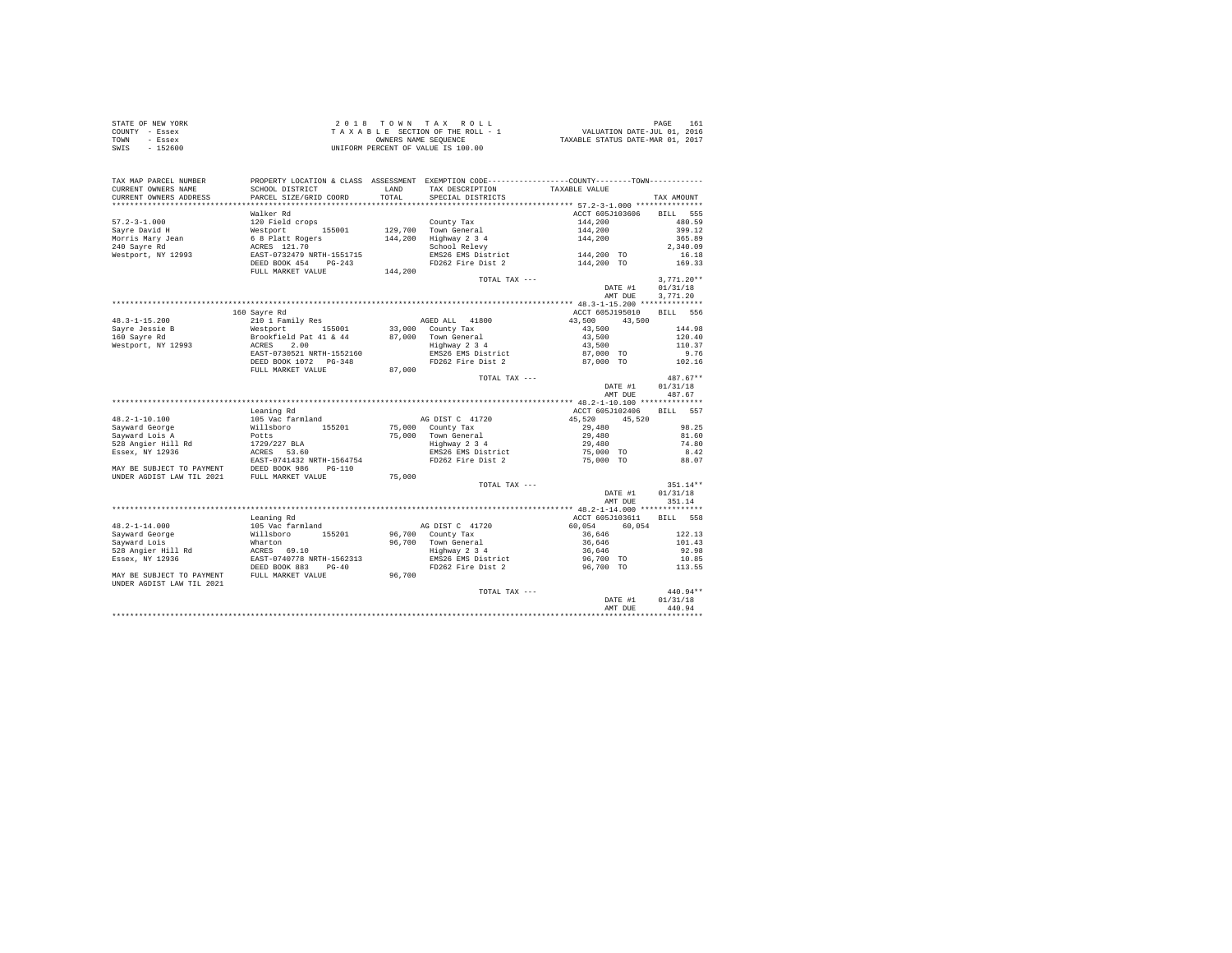| STATE OF NEW YORK | 2018 TOWN TAX ROLL                 | 161<br>PAGE                      |
|-------------------|------------------------------------|----------------------------------|
| COUNTY - Essex    | TAXABLE SECTION OF THE ROLL - 1    | VALUATION DATE-JUL 01, 2016      |
| TOWN<br>- Essex   | OWNERS NAME SEOUENCE               | TAXABLE STATUS DATE-MAR 01, 2017 |
| $-152600$<br>SWIS | UNIFORM PERCENT OF VALUE IS 100.00 |                                  |

| TAX MAP PARCEL NUMBER     |                                                  |         |                      | PROPERTY LOCATION & CLASS ASSESSMENT EXEMPTION CODE----------------COUNTY-------TOWN---------- |              |
|---------------------------|--------------------------------------------------|---------|----------------------|------------------------------------------------------------------------------------------------|--------------|
| CURRENT OWNERS NAME       | SCHOOL DISTRICT                                  | LAND    | TAX DESCRIPTION      | TAXABLE VALUE                                                                                  |              |
| CURRENT OWNERS ADDRESS    | PARCEL SIZE/GRID COORD                           | TOTAL.  | SPECIAL DISTRICTS    |                                                                                                | TAX AMOUNT   |
|                           |                                                  |         |                      |                                                                                                |              |
|                           | Walker Rd                                        |         |                      | ACCT 605J103606                                                                                | BILL 555     |
| $57.2 - 3 - 1.000$        | 120 Field crops                                  |         | County Tax           | 144,200                                                                                        | 480.59       |
| Sayre David H             | Westport<br>155001                               |         | 129,700 Town General | 144,200                                                                                        | 399.12       |
| Morris Mary Jean          | 6 8 Platt Rogers                                 | 144,200 | Highway 2 3 4        | 144,200                                                                                        | 365.89       |
| 240 Sayre Rd              | ACRES 121.70                                     |         | School Relevy        |                                                                                                | 2.340.09     |
| Westport, NY 12993        | EAST-0732479 NRTH-1551715                        |         | EMS26 EMS District   | 144,200 TO                                                                                     | 16.18        |
|                           | DEED BOOK 454 PG-243                             |         | FD262 Fire Dist 2    | 144,200 TO                                                                                     | 169.33       |
|                           | FULL MARKET VALUE                                | 144,200 |                      |                                                                                                |              |
|                           |                                                  |         | TOTAL TAX ---        |                                                                                                | $3,771.20**$ |
|                           |                                                  |         |                      | DATE #1                                                                                        | 01/31/18     |
|                           |                                                  |         |                      | AMT DUE                                                                                        | 3.771.20     |
|                           |                                                  |         |                      |                                                                                                |              |
|                           | 160 Savre Rd                                     |         |                      | ACCT 605J195010                                                                                | BILL 556     |
| $48.3 - 1 - 15.200$       | 210 1 Family Res                                 |         | AGED ALL 41800       | 43,500 43,500                                                                                  |              |
| Sayre Jessie B            |                                                  |         | 33,000 County Tax    | 43,500                                                                                         | 144.98       |
| 160 Savre Rd              | Westport 155001<br>Brookfield Pat 41 & 44        |         | 87.000 Town General  | 43,500                                                                                         | 120.40       |
| Westport, NY 12993        | ACRES<br>2.00                                    |         | $Highway$ 2 3 4      | 43,500                                                                                         | 110.37       |
|                           | EAST-0730521 NRTH-1552160                        |         | EMS26 EMS District   | 87,000 TO                                                                                      | 9.76         |
|                           | DEED BOOK 1072 PG-348                            |         |                      | FD262 Fire Dist 2 87,000 TO                                                                    | 102.16       |
|                           | FULL MARKET VALUE                                | 87,000  |                      |                                                                                                |              |
|                           |                                                  |         | TOTAL TAX ---        |                                                                                                | $487.67**$   |
|                           |                                                  |         |                      | DATE #1                                                                                        | 01/31/18     |
|                           |                                                  |         |                      | AMT DUE                                                                                        | 487.67       |
|                           |                                                  |         |                      | ******* 48.2-1-10.100 **************                                                           |              |
|                           | Leaning Rd                                       |         |                      | ACCT 605J102406                                                                                | BILL 557     |
| $48.2 - 1 - 10.100$       | 105 Vac farmland                                 |         | AG DIST C 41720      | 45.520 45.520                                                                                  |              |
| Sayward George            | Willsboro<br>155201                              |         | 75,000 County Tax    | 29,480                                                                                         | 98.25        |
| Sayward Lois A            | Potts                                            |         | 75,000 Town General  | 29,480                                                                                         | 81.60        |
| 528 Angier Hill Rd        | 1729/227 BLA                                     |         | Highway 2 3 4        | 29,480                                                                                         | 74.80        |
| Essex, NY 12936           | ACRES 53.60                                      |         | EMS26 EMS District   | 75,000 TO                                                                                      | 8.42         |
|                           | EAST-0741432 NRTH-1564754                        |         | FD262 Fire Dist 2    | 75,000 TO                                                                                      | 88.07        |
| MAY BE SUBJECT TO PAYMENT | DEED BOOK 986 F<br>FULL MARKET VALUE<br>$PG-110$ |         |                      |                                                                                                |              |
| UNDER AGDIST LAW TIL 2021 |                                                  | 75,000  |                      |                                                                                                |              |
|                           |                                                  |         | TOTAL TAX ---        |                                                                                                | $351.14**$   |
|                           |                                                  |         |                      | DATE #1                                                                                        | 01/31/18     |
|                           |                                                  |         |                      | AMT DUE                                                                                        | 351.14       |
|                           |                                                  |         |                      | ******* 48.2-1-14.000 **************                                                           |              |
|                           | Leaning Rd                                       |         |                      | ACCT 605J103611                                                                                | BILL 558     |
| $48.2 - 1 - 14.000$       | 105 Vac farmland                                 |         | AG DIST C 41720      | 60.054 60.054                                                                                  |              |
| Sayward George            | Willsboro<br>155201                              |         | 96,700 County Tax    | 36,646                                                                                         | 122.13       |
| Sayward Lois              | Wharton                                          |         | 96,700 Town General  | 36,646                                                                                         | 101.43       |
| 528 Angier Hill Rd        | ACRES 69.10                                      |         | Highway 2 3 4        | 36,646                                                                                         | 92.98        |
| Essex, NY 12936           | EAST-0740778 NRTH-1562313                        |         | EMS26 EMS District   | 96,700 TO                                                                                      | 10.85        |
|                           | DEED BOOK 883 PG-40                              |         | FD262 Fire Dist 2    | 96,700 TO                                                                                      | 113.55       |
| MAY BE SUBJECT TO PAYMENT | FULL MARKET VALUE                                | 96,700  |                      |                                                                                                |              |
| UNDER AGDIST LAW TIL 2021 |                                                  |         |                      |                                                                                                |              |
|                           |                                                  |         | TOTAL TAX ---        |                                                                                                | $440.94**$   |
|                           |                                                  |         |                      | DATE #1                                                                                        | 01/31/18     |
|                           |                                                  |         |                      | AMT DUE                                                                                        | 440.94       |
|                           |                                                  |         |                      |                                                                                                |              |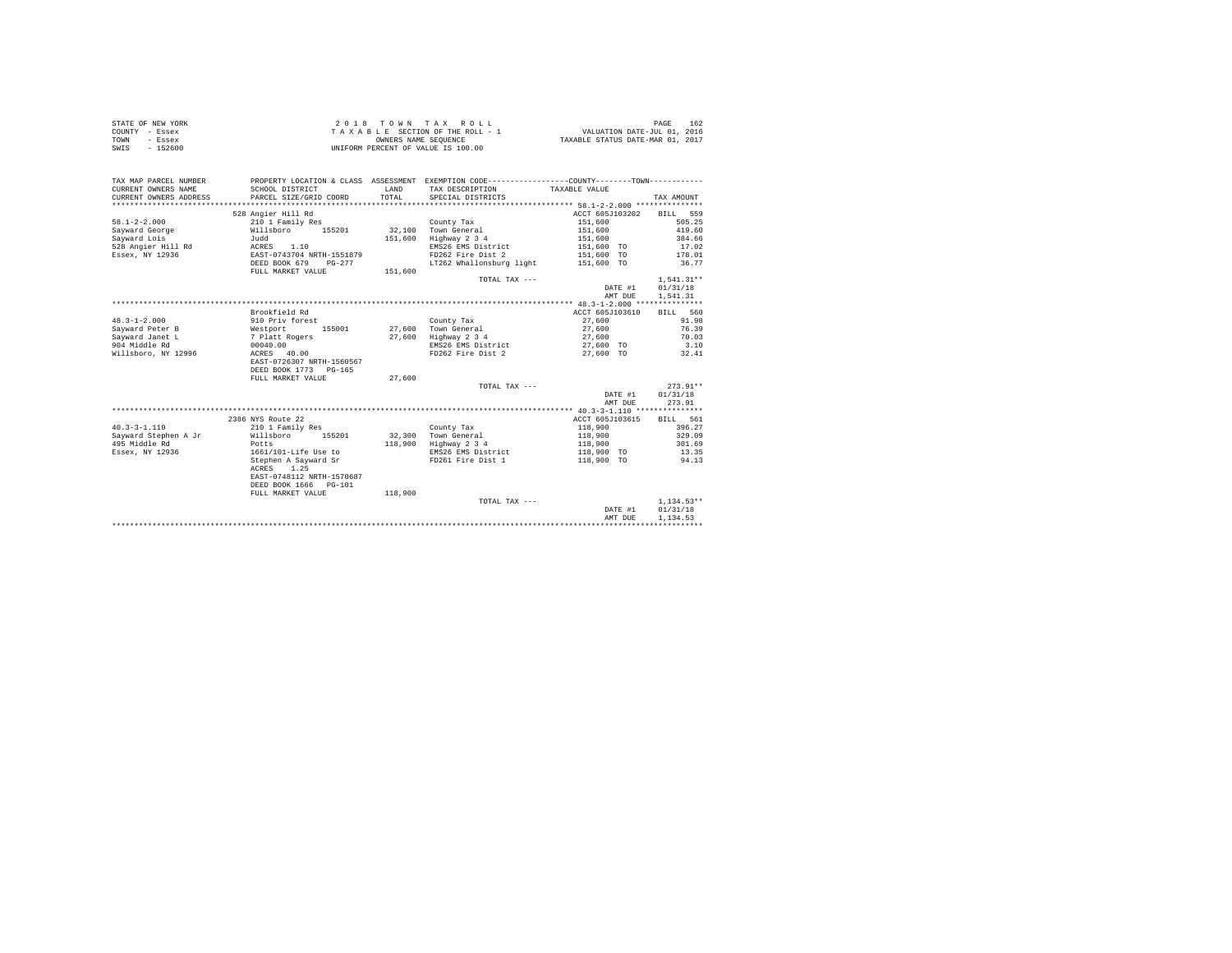|                | STATE OF NEW YORK |  |  |  | 2018 TOWN TAX ROLL                 |  |  |  |  | 162<br>PAGE                      |
|----------------|-------------------|--|--|--|------------------------------------|--|--|--|--|----------------------------------|
| COUNTY - Essex |                   |  |  |  | TAXABLE SECTION OF THE ROLL - 1    |  |  |  |  | VALUATION DATE-JUL 01, 2016      |
| TOWN           | - Essex           |  |  |  | OWNERS NAME SEOUENCE               |  |  |  |  | TAXABLE STATUS DATE-MAR 01, 2017 |
| SWIS           | - 152600          |  |  |  | UNIFORM PERCENT OF VALUE IS 100.00 |  |  |  |  |                                  |

| TAX MAP PARCEL NUMBER<br>CURRENT OWNERS NAME<br>CURRENT OWNERS ADDRESS | SCHOOL DISTRICT<br>PARCEL SIZE/GRID COORD | <b>T.AND</b><br>TOTAL | PROPERTY LOCATION & CLASS ASSESSMENT EXEMPTION CODE----------------COUNTY-------TOWN----------<br>TAX DESCRIPTION TAXABLE VALUE<br>SPECIAL DISTRICTS |                 | TAX AMOUNT   |
|------------------------------------------------------------------------|-------------------------------------------|-----------------------|------------------------------------------------------------------------------------------------------------------------------------------------------|-----------------|--------------|
|                                                                        |                                           |                       |                                                                                                                                                      |                 |              |
|                                                                        | 528 Angier Hill Rd                        |                       |                                                                                                                                                      | ACCT 605J103202 | BILL 559     |
| $58.1 - 2 - 2.000$                                                     | 210 1 Family Res                          |                       | County Tax                                                                                                                                           | 151,600         | 505.25       |
| Sayward George                                                         | Willsboro 155201                          |                       | 32,100 Town General                                                                                                                                  | 151,600         | 419.60       |
| Savward Lois                                                           | Judd                                      | 151,600               | Highway 2 3 4                                                                                                                                        | 151,600         | 384.66       |
| 528 Angier Hill Rd                                                     | ACRES 1.10                                |                       | EMS26 EMS District                                                                                                                                   | 151,600 TO      | 17.02        |
| Essex, NY 12936                                                        | EAST-0743704 NRTH-1551879                 |                       | FD262 Fire Dist 2                                                                                                                                    | 151,600 TO      | 178.01       |
|                                                                        | DEED BOOK 679<br>$PG-277$                 |                       | LT262 Whallonsburg light 151,600 TO                                                                                                                  |                 | 36.77        |
|                                                                        | FULL MARKET VALUE                         | 151,600               |                                                                                                                                                      |                 |              |
|                                                                        |                                           |                       | TOTAL TAX ---                                                                                                                                        |                 | $1,541.31**$ |
|                                                                        |                                           |                       |                                                                                                                                                      | DATE #1         | 01/31/18     |
|                                                                        |                                           |                       |                                                                                                                                                      | AMT DUE         | 1,541,31     |
|                                                                        |                                           |                       |                                                                                                                                                      |                 |              |
|                                                                        | Brookfield Rd                             |                       |                                                                                                                                                      | ACCT 605J103610 | BILL 560     |
| $48.3 - 1 - 2.000$                                                     | 910 Priv forest                           |                       | County Tax                                                                                                                                           | 27,600          | 91.98        |
| Savward Peter B                                                        | 155001<br>Westport                        |                       | 27,600 Town General                                                                                                                                  | 27,600          | 76.39        |
| Sayward Janet L                                                        | 7 Platt Rogers                            |                       | 27,600 Highway 2 3 4                                                                                                                                 | 27.600          | 70.03        |
| 904 Middle Rd                                                          | 00040.00                                  |                       | EMS26 EMS District                                                                                                                                   | 27,600 TO       | 3.10         |
| Willsboro, NY 12996                                                    | ACRES 40.00                               |                       | FD262 Fire Dist 2                                                                                                                                    | 27.600 TO       | 32.41        |
|                                                                        | EAST-0726307 NRTH-1560567                 |                       |                                                                                                                                                      |                 |              |
|                                                                        | DEED BOOK 1773 PG-165                     |                       |                                                                                                                                                      |                 |              |
|                                                                        | FULL MARKET VALUE                         | 27,600                |                                                                                                                                                      |                 |              |
|                                                                        |                                           |                       | TOTAL TAX ---                                                                                                                                        |                 | $273.91**$   |
|                                                                        |                                           |                       |                                                                                                                                                      | DATE #1         | 01/31/18     |
|                                                                        |                                           |                       |                                                                                                                                                      | AMT DUE         | 273.91       |
|                                                                        | 2386 NYS Route 22                         |                       |                                                                                                                                                      | ACCT 605J103615 | BILL 561     |
| $40.3 - 3 - 1.110$                                                     | 210 1 Family Res                          |                       | County Tax                                                                                                                                           | 118,900         | 396.27       |
| Savward Stephen A Jr                                                   | Willsboro 155201                          |                       | 32,300 Town General                                                                                                                                  | 118,900         | 329.09       |
| 495 Middle Rd                                                          | Potts                                     | 118,900               | Highway 2 3 4                                                                                                                                        | 118,900         | 301.69       |
| Essex, NY 12936                                                        | 1661/101-Life Use to                      |                       | EMS26 EMS District                                                                                                                                   | 118,900 TO      | 13.35        |
|                                                                        | Stephen A Sayward Sr                      |                       | FD261 Fire Dist 1                                                                                                                                    | 118,900 TO      | 94.13        |
|                                                                        | ACRES 1.25                                |                       |                                                                                                                                                      |                 |              |
|                                                                        | EAST-0748112 NRTH-1570687                 |                       |                                                                                                                                                      |                 |              |
|                                                                        | DEED BOOK 1666 PG-101                     |                       |                                                                                                                                                      |                 |              |
|                                                                        | FULL MARKET VALUE                         | 118,900               |                                                                                                                                                      |                 |              |
|                                                                        |                                           |                       | TOTAL TAX ---                                                                                                                                        |                 | $1.134.53**$ |
|                                                                        |                                           |                       |                                                                                                                                                      | DATE #1         | 01/31/18     |
|                                                                        |                                           |                       |                                                                                                                                                      | AMT DUE         | 1,134.53     |
|                                                                        |                                           |                       |                                                                                                                                                      |                 |              |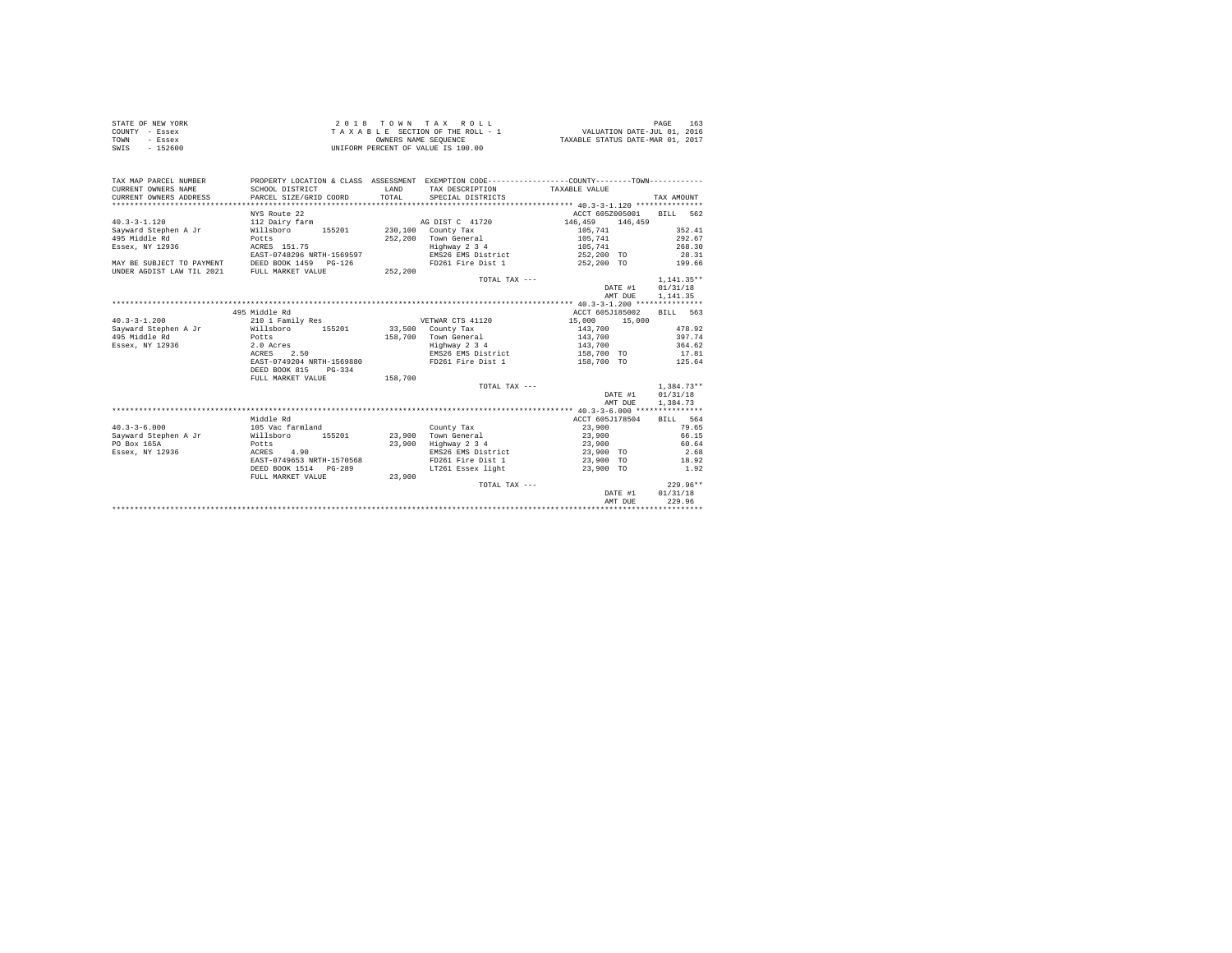| STATE OF NEW YORK | 2018 TOWN TAX ROLL                 | 163<br>PAGE                      |
|-------------------|------------------------------------|----------------------------------|
| COUNTY - Essex    | TAXABLE SECTION OF THE ROLL - 1    | VALUATION DATE-JUL 01, 2016      |
| TOWN<br>- Essex   | OWNERS NAME SEOUENCE               | TAXABLE STATUS DATE-MAR 01, 2017 |
| SWIS<br>$-152600$ | UNIFORM PERCENT OF VALUE IS 100.00 |                                  |

| TAX MAP PARCEL NUMBER<br>CURRENT OWNERS NAME<br>CURRENT OWNERS ADDRESS | PROPERTY LOCATION & CLASS ASSESSMENT EXEMPTION CODE----------------COUNTY--------TOWN----------<br>SCHOOL DISTRICT<br>PARCEL SIZE/GRID COORD | LAND<br>TOTAL | TAX DESCRIPTION TAXABLE VALUE<br>SPECIAL DISTRICTS |                                     | TAX AMOUNT   |
|------------------------------------------------------------------------|----------------------------------------------------------------------------------------------------------------------------------------------|---------------|----------------------------------------------------|-------------------------------------|--------------|
|                                                                        | NYS Route 22                                                                                                                                 |               |                                                    | ACCT 605Z005001                     | BILL 562     |
| $40.3 - 3 - 1.120$                                                     | 112 Dairy farm                                                                                                                               |               | AG DIST C 41720                                    | 146,459<br>146,459                  |              |
| Sayward Stephen A Jr                                                   | Willsboro 155201 230.100 County Tax                                                                                                          |               |                                                    | 105,741                             | 352.41       |
| 495 Middle Rd                                                          | Potts                                                                                                                                        |               | 252,200 Town General                               | 105,741                             | 292.67       |
| Essex, NY 12936                                                        | ACRES 151.75                                                                                                                                 |               |                                                    | 105,741                             | 268.30       |
|                                                                        | EAST-0748296 NRTH-1569597                                                                                                                    |               | Highway 2 3 4<br>EMS26 EMS District                | $252, 200$ TO                       | 28.31        |
| MAY BE SUBJECT TO PAYMENT DEED BOOK 1459 PG-126                        |                                                                                                                                              |               | FD261 Fire Dist 1                                  | 252,200 TO                          | 199.66       |
| UNDER AGDIST LAW TIL 2021 FULL MARKET VALUE                            |                                                                                                                                              | 252,200       |                                                    |                                     |              |
|                                                                        |                                                                                                                                              |               | TOTAL TAX ---                                      |                                     | $1.141.35**$ |
|                                                                        |                                                                                                                                              |               |                                                    | DATE #1                             | 01/31/18     |
|                                                                        |                                                                                                                                              |               |                                                    | AMT DUE                             | 1,141.35     |
|                                                                        |                                                                                                                                              |               |                                                    |                                     |              |
|                                                                        | 495 Middle Rd                                                                                                                                |               |                                                    | ACCT 605J185002                     | BILL 563     |
| $40.3 - 3 - 1.200$                                                     | 210 1 Family Res                                                                                                                             |               | VETWAR CTS 41120                                   | 15,000 15,000                       |              |
| Sayward Stephen A Jr Willsboro                                         | 155201                                                                                                                                       |               | 33,500 County Tax                                  | 143,700                             | 478.92       |
| 495 Middle Rd                                                          | Potts                                                                                                                                        |               | 158.700 Town General                               |                                     | 397.74       |
| Essex, NY 12936                                                        | $2.0$ Acres                                                                                                                                  |               | $Highway$ 2 3 4                                    | 143,700<br>143,700                  | 364.62       |
|                                                                        | 2.50<br>ACRES                                                                                                                                |               |                                                    | EMS26 EMS District 158,700 TO 17.81 |              |
|                                                                        | EAST-0749204 NRTH-1569880                                                                                                                    |               |                                                    | FD261 Fire Dist 1 158,700 TO 125.64 |              |
|                                                                        | DEED BOOK 815<br>PG-334                                                                                                                      |               |                                                    |                                     |              |
|                                                                        | FULL MARKET VALUE                                                                                                                            | 158,700       |                                                    |                                     |              |
|                                                                        |                                                                                                                                              |               | TOTAL TAX $---$                                    |                                     | $1.384.73**$ |
|                                                                        |                                                                                                                                              |               |                                                    | DATE #1                             | 01/31/18     |
|                                                                        |                                                                                                                                              |               |                                                    | AMT DUE                             | 1,384.73     |
|                                                                        |                                                                                                                                              |               |                                                    |                                     |              |
|                                                                        | Middle Rd                                                                                                                                    |               |                                                    | ACCT 605J178504                     | BILL 564     |
| $40.3 - 3 - 6.000$                                                     | 105 Vac farmland                                                                                                                             |               | County Tax                                         | 23,900                              | 79.65        |
| Sayward Stephen A Jr                                                   | Willsboro<br>155201                                                                                                                          |               | 23,900 Town General                                | 23,900                              | 66.15        |
| PO Box 165A                                                            | Potts                                                                                                                                        | 23,900        | Highway 2 3 4                                      | 23,900                              | 60.64        |
| Essex, NY 12936                                                        | ACRES<br>4.90                                                                                                                                |               |                                                    | EMS26 EMS District 23,900 TO        | 2.68         |
|                                                                        | EAST-0749653 NRTH-1570568                                                                                                                    |               |                                                    | FD261 Fire Dist 1 23,900 TO         | 18.92        |
|                                                                        | DEED BOOK 1514 PG-289                                                                                                                        |               | LT261 Essex light                                  | 23,900 TO                           | 1.92         |
|                                                                        | FULL MARKET VALUE                                                                                                                            | 23,900        |                                                    |                                     |              |
|                                                                        |                                                                                                                                              |               | TOTAL TAX ---                                      |                                     | $229.96**$   |
|                                                                        |                                                                                                                                              |               |                                                    | DATE #1                             | 01/31/18     |
|                                                                        |                                                                                                                                              |               |                                                    | AMT DUE                             | 229.96       |
|                                                                        |                                                                                                                                              |               |                                                    |                                     |              |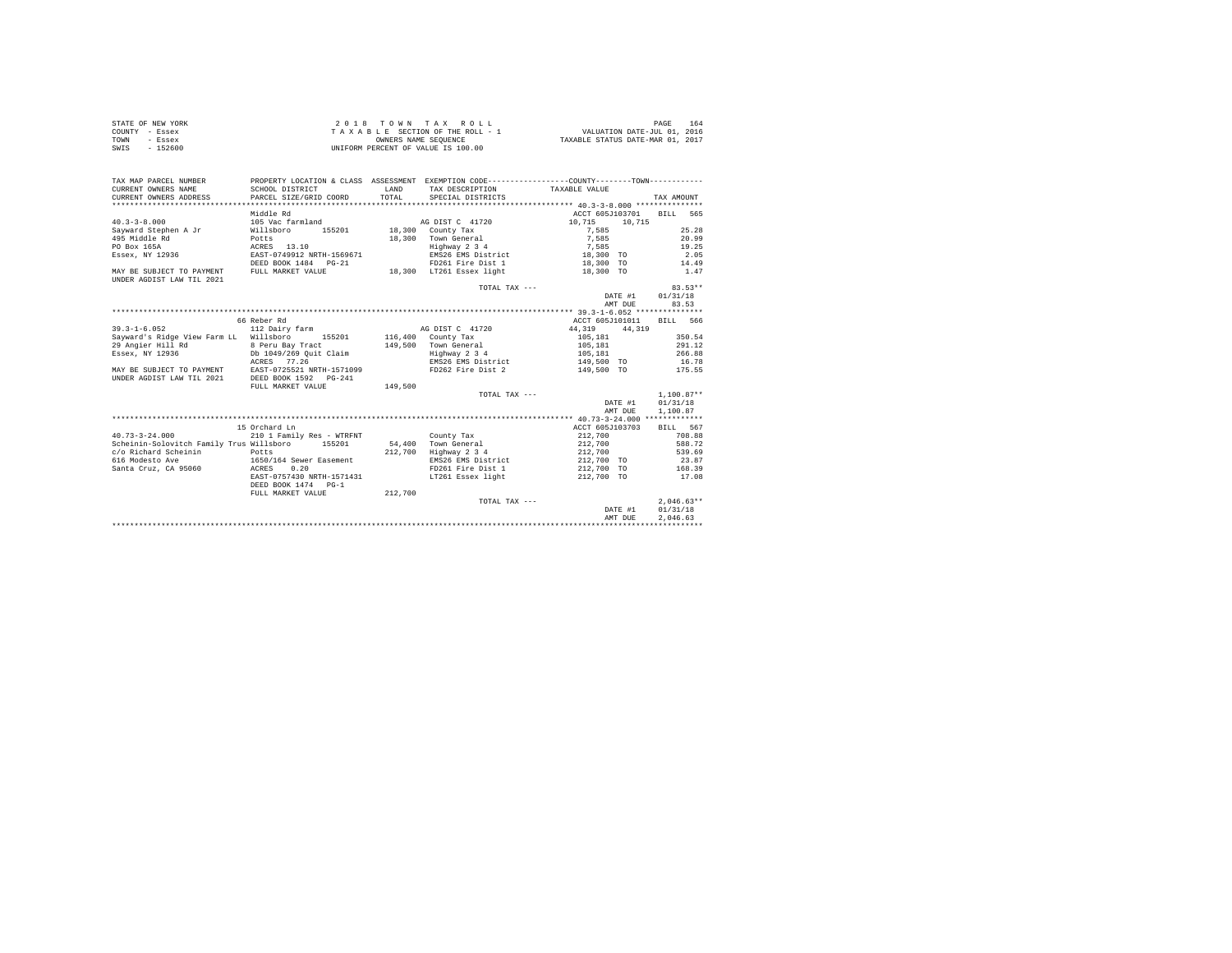| STATE OF NEW YORK | 2018 TOWN TAX ROLL                 | 164<br>PAGE                      |
|-------------------|------------------------------------|----------------------------------|
| COUNTY - Essex    | TAXABLE SECTION OF THE ROLL - 1    | VALUATION DATE-JUL 01, 2016      |
| TOWN<br>- Essex   | OWNERS NAME SEOUENCE               | TAXABLE STATUS DATE-MAR 01, 2017 |
| $-152600$<br>SWIS | UNIFORM PERCENT OF VALUE IS 100.00 |                                  |

| TAX MAP PARCEL NUMBER<br>CURRENT OWNERS NAME                                                           | PROPERTY LOCATION & CLASS ASSESSMENT EXEMPTION CODE----------------COUNTY--------TOWN----------<br>SCHOOL DISTRICT | <b>T.AND</b> | TAX DESCRIPTION TAXABLE VALUE                                 |                                        |                  |            |              |
|--------------------------------------------------------------------------------------------------------|--------------------------------------------------------------------------------------------------------------------|--------------|---------------------------------------------------------------|----------------------------------------|------------------|------------|--------------|
| CURRENT OWNERS ADDRESS PARCEL SIZE/GRID COORD                                                          |                                                                                                                    | TOTAL        | SPECIAL DISTRICTS                                             |                                        |                  | TAX AMOUNT |              |
|                                                                                                        |                                                                                                                    |              |                                                               |                                        |                  |            |              |
|                                                                                                        | Middle Rd                                                                                                          |              |                                                               | ACCT 605J103701 BILL 565               |                  |            |              |
| $40.3 - 3 - 8.000$                                                                                     | 105 Vac farmland                                                                                                   |              | AG DIST C 41720                                               | $10, 715$ $10, 715$                    |                  |            |              |
|                                                                                                        |                                                                                                                    |              | 155201 18,300 County Tax                                      | 7.585                                  |                  |            | 25.28        |
| 495 Middle Rd                                                                                          | Potts<br>ACRES 13.10<br>EAST-0749912 NRTH-1569671                                                                  |              | 18,300 Town General                                           | 7,585                                  |                  |            | 20.99        |
| PO Box 165A                                                                                            |                                                                                                                    |              | Highway 2 3 4<br>EMS26 EMS District                           | 7,585                                  |                  |            | 19.25        |
| Essex, NY 12936                                                                                        |                                                                                                                    |              |                                                               | $18,300$ TO                            |                  |            | 2.05         |
|                                                                                                        | DEED BOOK 1484 PG-21                                                                                               |              | FD261 Fire Dist 1 18,300 TO 14.49                             |                                        |                  |            |              |
| MAY BE SUBJECT TO PAYMENT FULL MARKET VALUE                                                            |                                                                                                                    |              | 18,300 LT261 Essex light 18,300 TO                            |                                        |                  |            | 1.47         |
| UNDER AGDIST LAW TIL 2021                                                                              |                                                                                                                    |              |                                                               |                                        |                  |            |              |
|                                                                                                        |                                                                                                                    |              | TOTAL TAX ---                                                 |                                        |                  |            | 83.53**      |
|                                                                                                        |                                                                                                                    |              |                                                               |                                        | DATE #1 01/31/18 |            |              |
|                                                                                                        |                                                                                                                    |              |                                                               |                                        | AMT DUE 83.53    |            |              |
|                                                                                                        |                                                                                                                    |              |                                                               |                                        |                  |            |              |
|                                                                                                        | 66 Reber Rd                                                                                                        |              |                                                               | ACCT 605J101011 BILL 566               |                  |            |              |
| $39.3 - 1 - 6.052$                                                                                     | 112 Dairy farm                                                                                                     |              | AG DIST C 41720 44,319 44,319                                 |                                        |                  |            |              |
| Sayward's Ridge View Farm LL Willsboro 155201 116,400 County Tax                                       |                                                                                                                    |              |                                                               | $105, 181$<br>$105, 181$<br>$105, 181$ |                  | 350.54     |              |
|                                                                                                        |                                                                                                                    |              | 149,500 Town General<br>Highway 2 3 4                         |                                        |                  |            | 291.12       |
|                                                                                                        |                                                                                                                    |              |                                                               |                                        |                  |            | 266.88       |
|                                                                                                        | ACRES 77.26                                                                                                        |              | EMS26 EMS District 149,500 TO 16.78                           |                                        |                  |            |              |
| MAY BE SUBJECT TO PAYMENT EAST-0725521 NRTH-1571099<br>UNDER AGDIST LAW TIL 2021 DEED BOOK 1592 PG-241 |                                                                                                                    |              | FD262 Fire Dist 2 149,500 TO 175.55                           |                                        |                  |            |              |
|                                                                                                        | FULL MARKET VALUE                                                                                                  | 149,500      |                                                               |                                        |                  |            |              |
|                                                                                                        |                                                                                                                    |              | TOTAL TAX ---                                                 |                                        |                  |            | $1.100.87**$ |
|                                                                                                        |                                                                                                                    |              |                                                               |                                        | DATE #1          |            | 01/31/18     |
|                                                                                                        |                                                                                                                    |              |                                                               |                                        | AMT DUE          | 1,100.87   |              |
|                                                                                                        |                                                                                                                    |              |                                                               |                                        |                  |            |              |
|                                                                                                        | 15 Orchard Ln                                                                                                      |              |                                                               | ACCT 605J103703                        |                  |            | BILL 567     |
| $40.73 - 3 - 24.000$                                                                                   | 210 1 Family Res - WTRFNT                                                                                          |              | County Tax                                                    |                                        |                  |            | 708.88       |
| Scheinin-Solovitch Family Trus Willsboro 155201                                                        |                                                                                                                    |              | 54,400 Town General                                           | 212,700<br>212,700                     |                  |            | 588.72       |
| c/o Richard Scheinin Potts                                                                             |                                                                                                                    |              | 212,700 Highway 2 3 4 212,700                                 |                                        |                  | 539.69     |              |
|                                                                                                        |                                                                                                                    |              |                                                               |                                        |                  |            | 23.87        |
|                                                                                                        |                                                                                                                    |              | EMS26 EMS District 212,700 TO<br>FD261 Fire Dist 1 212,700 TO |                                        |                  |            | 168.39       |
|                                                                                                        | EAST-0757430 NRTH-1571431                                                                                          |              | LT261 Essex light                                             | 212,700 TO                             |                  |            | 17.08        |
|                                                                                                        | DEED BOOK 1474 PG-1                                                                                                |              |                                                               |                                        |                  |            |              |
|                                                                                                        | FULL MARKET VALUE 212,700                                                                                          |              |                                                               |                                        |                  |            |              |
|                                                                                                        |                                                                                                                    |              | TOTAL TAX ---                                                 |                                        |                  |            | $2.046.63**$ |
|                                                                                                        |                                                                                                                    |              |                                                               |                                        | DATE #1          |            | 01/31/18     |
|                                                                                                        |                                                                                                                    |              |                                                               |                                        | AMT DUE          | 2.046.63   |              |
|                                                                                                        |                                                                                                                    |              |                                                               |                                        |                  |            |              |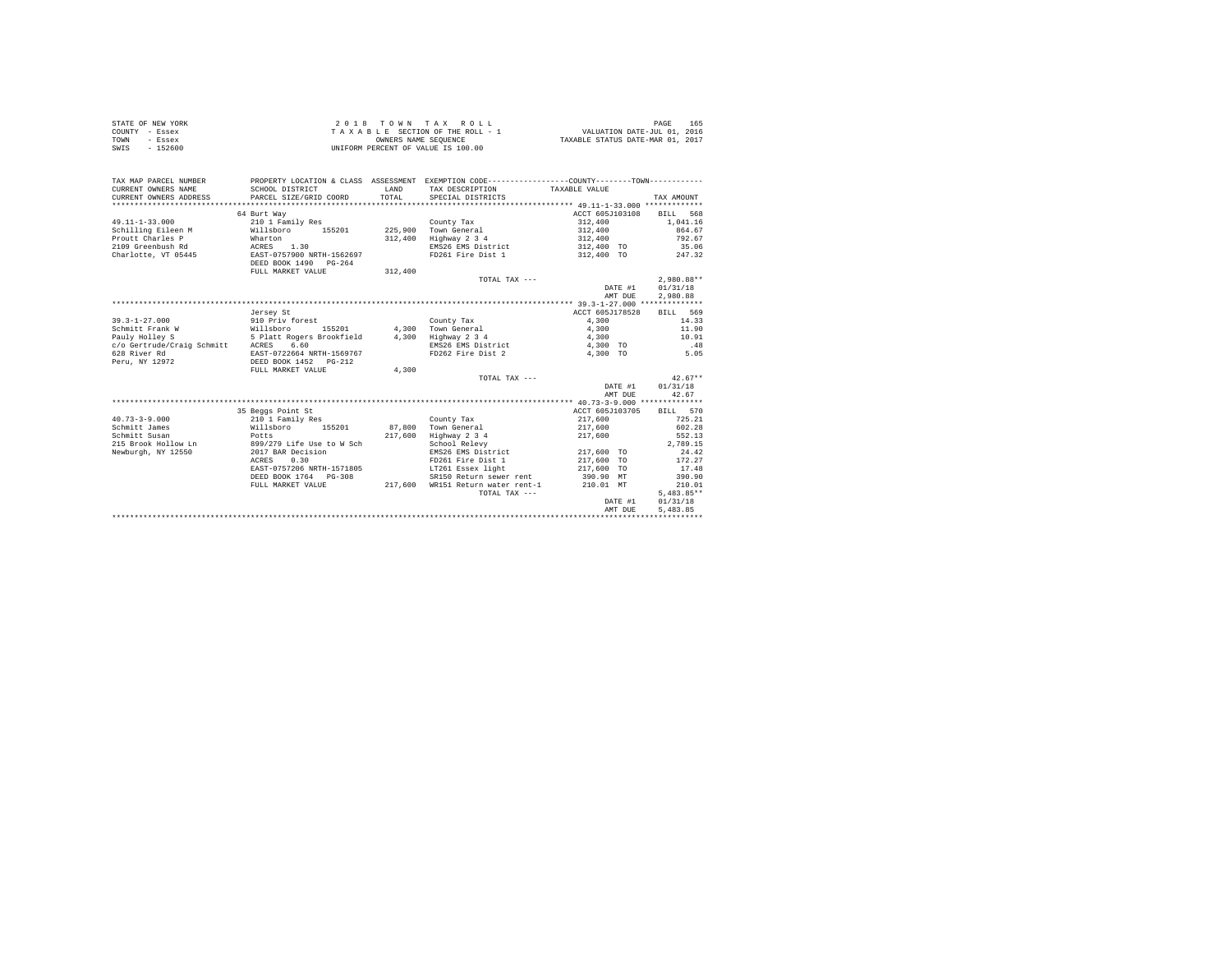| STATE OF NEW YORK | 2018 TOWN TAX ROLL                 | 165<br>PAGE                      |
|-------------------|------------------------------------|----------------------------------|
| COUNTY - Essex    | TAXABLE SECTION OF THE ROLL - 1    | VALUATION DATE-JUL 01, 2016      |
| TOWN<br>- Essex   | OWNERS NAME SEOUENCE               | TAXABLE STATUS DATE-MAR 01, 2017 |
| SWIS<br>$-152600$ | UNIFORM PERCENT OF VALUE IS 100.00 |                                  |

| TAX MAP PARCEL NUMBER<br>CURRENT OWNERS NAME<br>CURRENT OWNERS ADDRESS | SCHOOL DISTRICT<br>PARCEL SIZE/GRID COORD | <b>T.AND</b><br>TOTAL | PROPERTY LOCATION & CLASS ASSESSMENT EXEMPTION CODE---------------COUNTY-------TOWN----------<br>TAX DESCRIPTION TAXABLE VALUE<br>SPECIAL DISTRICTS |                 | TAX AMOUNT   |
|------------------------------------------------------------------------|-------------------------------------------|-----------------------|-----------------------------------------------------------------------------------------------------------------------------------------------------|-----------------|--------------|
|                                                                        | 64 Burt Way                               |                       |                                                                                                                                                     | ACCT 605J103108 | BILL 568     |
| $49.11 - 1 - 33.000$                                                   | 210 1 Family Res                          |                       | County Tax                                                                                                                                          | 312,400         | 1,041.16     |
| Schilling Eileen M                                                     | Willsboro<br>155201                       |                       | 225,900 Town General                                                                                                                                | 312,400         | 864.67       |
| Proutt Charles P                                                       | Wharton                                   | 312,400               | Highway 2 3 4                                                                                                                                       | 312,400         | 792.67       |
| ACRES<br>2109 Greenbush Rd                                             | 1.30                                      |                       | EMS26 EMS District                                                                                                                                  | 312,400 TO      | 35.06        |
| Charlotte, VT 05445                                                    | EAST-0757900 NRTH-1562697                 |                       | FD261 Fire Dist 1 312,400 TO 247.32                                                                                                                 |                 |              |
|                                                                        | DEED BOOK 1490 PG-264                     |                       |                                                                                                                                                     |                 |              |
|                                                                        | FULL MARKET VALUE                         | 312,400               |                                                                                                                                                     |                 |              |
|                                                                        |                                           |                       | TOTAL TAX ---                                                                                                                                       |                 | $2.980.88**$ |
|                                                                        |                                           |                       |                                                                                                                                                     | DATE #1         | 01/31/18     |
|                                                                        |                                           |                       |                                                                                                                                                     | AMT DUE         | 2,980.88     |
|                                                                        |                                           |                       |                                                                                                                                                     |                 |              |
|                                                                        | Jersey St                                 |                       |                                                                                                                                                     | ACCT 605J178528 | BILL 569     |
| $39.3 - 1 - 27.000$                                                    | 910 Priv forest                           |                       | County Tax                                                                                                                                          | 4,300           | 14.33        |
| Schmitt Frank W<br>Willsboro                                           |                                           |                       | 155201 4.300 Town General                                                                                                                           | 4,300           | 11.90        |
| Pauly Holley S                                                         | 5 Platt Rogers Brookfield                 | 4,300                 | Highway 2 3 4                                                                                                                                       | 4,300           | 10.91        |
| c/o Gertrude/Craig Schmitt ACRES 6.60                                  |                                           |                       | EMS26 EMS District                                                                                                                                  | 4,300 TO        | .48          |
| 628 River Rd                                                           | EAST-0722664 NRTH-1569767                 |                       | FD262 Fire Dist 2                                                                                                                                   | 4,300 TO        | 5.05         |
| Peru, NY 12972                                                         | DEED BOOK 1452   PG-212                   |                       |                                                                                                                                                     |                 |              |
|                                                                        | FULL MARKET VALUE                         | 4,300                 |                                                                                                                                                     |                 |              |
|                                                                        |                                           |                       | TOTAL TAX ---                                                                                                                                       |                 | $42.67**$    |
|                                                                        |                                           |                       |                                                                                                                                                     | DATE #1         | 01/31/18     |
|                                                                        |                                           |                       |                                                                                                                                                     | AMT DUE         | 42.67        |
|                                                                        |                                           |                       |                                                                                                                                                     |                 |              |
|                                                                        | 35 Beggs Point St                         |                       |                                                                                                                                                     | ACCT 605J103705 | BILL 570     |
| $40.73 - 3 - 9.000$                                                    | 210 1 Family Res                          |                       | County Tax                                                                                                                                          | 217,600         | 725.21       |
| Schmitt James                                                          | Willsboro<br>155201                       |                       | 87.800 Town General                                                                                                                                 | 217,600         | 602.28       |
| Schmitt Susan<br><b>Potts</b>                                          |                                           | 217,600               | Highway 2 3 4                                                                                                                                       | 217,600         | 552.13       |
| 215 Brook Hollow Ln                                                    | 899/279 Life Use to W Sch                 |                       | School Relevy                                                                                                                                       |                 | 2,789.15     |
| Newburgh, NY 12550                                                     | 2017 BAR Decision                         |                       | EMS26 EMS District                                                                                                                                  | 217,600 TO      | 24.42        |
|                                                                        | 0.30<br>ACRES                             |                       | FD261 Fire Dist 1                                                                                                                                   | 217,600 TO      | 172.27       |
|                                                                        | EAST-0757206 NRTH-1571805                 |                       | LT261 Essex light                                                                                                                                   | 217,600 TO      | 17.48        |
|                                                                        | DEED BOOK 1764 PG-308                     |                       | SR150 Return sewer rent                                                                                                                             | 390.90 MT       | 390.90       |
|                                                                        | FULL MARKET VALUE                         | 217,600               | WR151 Return water rent-1                                                                                                                           | 210.01 MT       | 210.01       |
|                                                                        |                                           |                       | TOTAL TAX ---                                                                                                                                       |                 | $5.483.85**$ |
|                                                                        |                                           |                       |                                                                                                                                                     | DATE #1         | 01/31/18     |
|                                                                        |                                           |                       |                                                                                                                                                     | AMT DUE         | 5,483.85     |
|                                                                        |                                           |                       |                                                                                                                                                     |                 |              |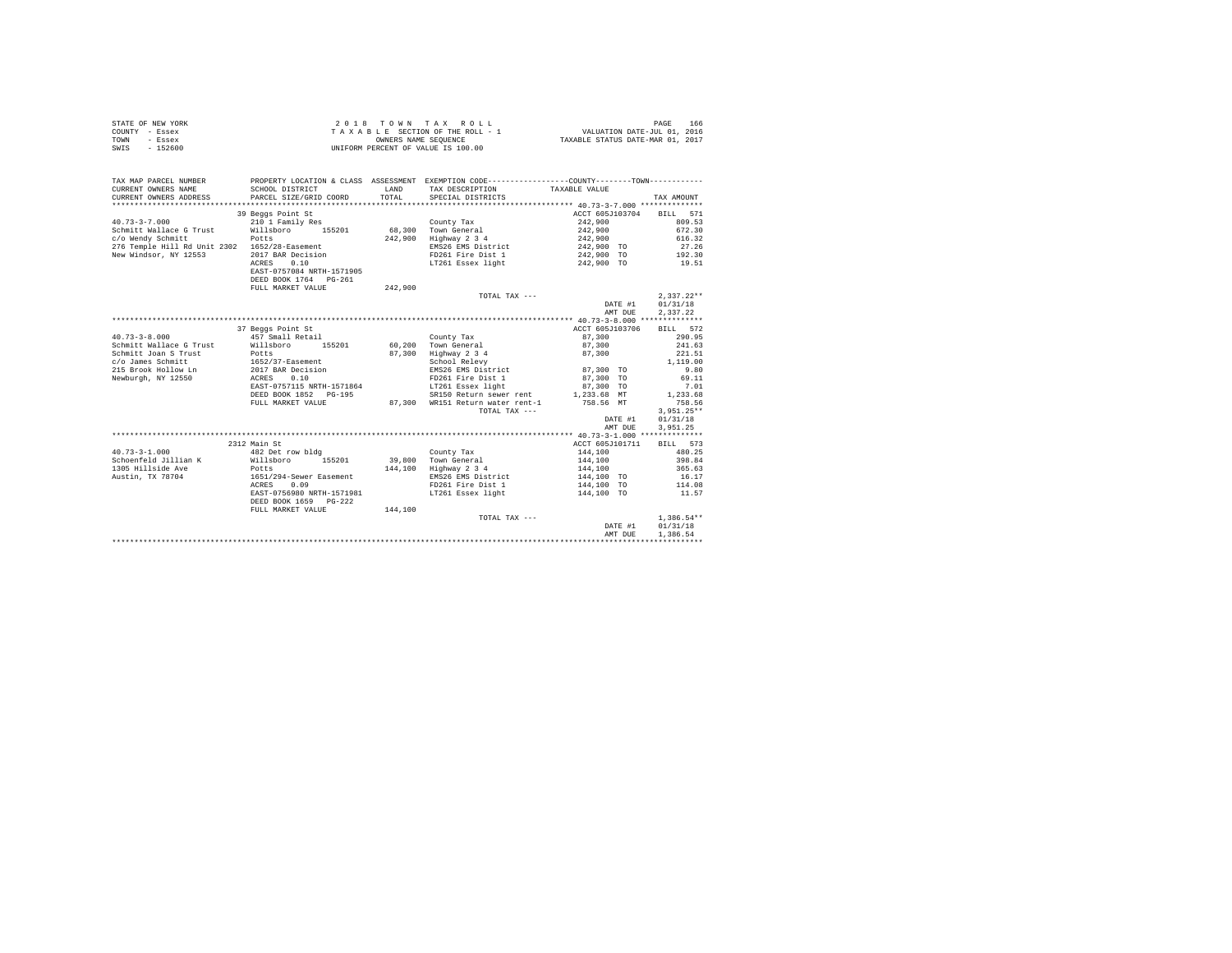|                | STATE OF NEW YORK | 2018 TOWN TAX ROLL                 | 166<br>PAGE                      |
|----------------|-------------------|------------------------------------|----------------------------------|
| COUNTY - Essex |                   | TAXABLE SECTION OF THE ROLL - 1    | VALUATION DATE-JUL 01, 2016      |
| TOWN           | - Essex           | OWNERS NAME SEOUENCE               | TAXABLE STATUS DATE-MAR 01, 2017 |
| SWIS           | $-152600$         | UNIFORM PERCENT OF VALUE IS 100.00 |                                  |

| TAX MAP PARCEL NUMBER<br>CURRENT OWNERS NAME<br>CURRENT OWNERS ADDRESS | PROPERTY LOCATION & CLASS ASSESSMENT EXEMPTION CODE----------------COUNTY--------TOWN----------<br>SCHOOL DISTRICT<br>PARCEL SIZE/GRID COORD | <b>T.AND</b><br>TOTAL | TAX DESCRIPTION<br>SPECIAL DISTRICTS   | TAXABLE VALUE |                 | TAX AMOUNT   |
|------------------------------------------------------------------------|----------------------------------------------------------------------------------------------------------------------------------------------|-----------------------|----------------------------------------|---------------|-----------------|--------------|
|                                                                        |                                                                                                                                              |                       |                                        |               |                 |              |
|                                                                        | 39 Beggs Point St                                                                                                                            |                       |                                        |               | ACCT 605J103704 | BILL 571     |
| $40.73 - 3 - 7.000$                                                    | 210 1 Family Res                                                                                                                             |                       | County Tax                             | 242,900       |                 | 809.53       |
| Schmitt Wallace G Trust                                                | Willsboro<br>155201                                                                                                                          | 68,300                | Town General                           | 242,900       |                 | 672.30       |
| c/o Wendy Schmitt                                                      | Potts                                                                                                                                        | 242.900               | Highway 2 3 4                          | 242,900       |                 | 616.32       |
| 276 Temple Hill Rd Unit 2302 1652/28-Easement                          |                                                                                                                                              |                       | EMS26 EMS District                     | 242,900 TO    |                 | 27.26        |
| New Windsor, NY 12553                                                  | 2017 BAR Decision                                                                                                                            |                       | FD261 Fire Dist 1                      | 242,900 TO    |                 | 192.30       |
|                                                                        | 0.10<br>ACRES                                                                                                                                |                       | LT261 Essex light                      |               | 242,900 TO      | 19.51        |
|                                                                        | EAST-0757084 NRTH-1571905                                                                                                                    |                       |                                        |               |                 |              |
|                                                                        | DEED BOOK 1764 PG-261                                                                                                                        |                       |                                        |               |                 |              |
|                                                                        | FULL MARKET VALUE                                                                                                                            | 242.900               |                                        |               |                 |              |
|                                                                        |                                                                                                                                              |                       | TOTAL TAX ---                          |               |                 | $2,337.22**$ |
|                                                                        |                                                                                                                                              |                       |                                        |               | DATE #1         | 01/31/18     |
|                                                                        |                                                                                                                                              |                       |                                        |               | AMT DUE         | 2.337.22     |
|                                                                        |                                                                                                                                              |                       |                                        |               |                 |              |
|                                                                        | 37 Beggs Point St                                                                                                                            |                       |                                        |               | ACCT 605J103706 | 572<br>BILL  |
| $40.73 - 3 - 8.000$                                                    | 457 Small Retail                                                                                                                             |                       | County Tax                             | 87,300        |                 | 290.95       |
| Schmitt Wallace G Trust                                                | Willsboro<br>155201                                                                                                                          | 60.200                | Town General                           | 87,300        |                 | 241.63       |
| Schmitt Joan S Trust                                                   | Potts                                                                                                                                        | 87,300                | Highway 2 3 4                          | 87,300        |                 | 221.51       |
| c/o James Schmitt                                                      | 1652/37-Easement                                                                                                                             |                       | School Relevy                          |               |                 | 1,119.00     |
| 215 Brook Hollow Ln                                                    | 2017 BAR Decision                                                                                                                            |                       | EMS26 EMS District                     | 87,300 TO     |                 | 9.80         |
| Newburgh, NY 12550                                                     | 0.10<br>ACRES                                                                                                                                |                       | FD261 Fire Dist 1                      |               | 87,300 TO       | 69.11        |
|                                                                        | EAST-0757115 NRTH-1571864                                                                                                                    |                       | LT261 Essex light                      | 87,300 TO     |                 | 7.01         |
|                                                                        | DEED BOOK 1852 PG-195                                                                                                                        |                       | SR150 Return sewer rent                | 1,233.68 MT   |                 | 1,233.68     |
|                                                                        | FULL MARKET VALUE                                                                                                                            |                       | 87,300 WR151 Return water rent-1       |               | 758.56 MT       | 758.56       |
|                                                                        |                                                                                                                                              |                       | TOTAL TAX ---                          |               |                 | $3,951.25**$ |
|                                                                        |                                                                                                                                              |                       |                                        |               | DATE #1         | 01/31/18     |
|                                                                        |                                                                                                                                              |                       |                                        |               | AMT DUE         | 3,951.25     |
|                                                                        |                                                                                                                                              |                       |                                        |               |                 |              |
|                                                                        | 2312 Main St                                                                                                                                 |                       |                                        |               | ACCT 605J101711 | BILL 573     |
| $40.73 - 3 - 1.000$                                                    | 482 Det row bldg                                                                                                                             |                       | County Tax                             | 144,100       |                 | 480.25       |
| Schoenfeld Jillian K                                                   | Willsboro<br>155201                                                                                                                          |                       | 39,800 Town General                    | 144,100       |                 | 398.84       |
| 1305 Hillside Ave                                                      | Potts<br>1651/294-Sewer Easement                                                                                                             | 144,100               | Highway 2 3 4                          | 144,100       |                 | 365.63       |
| Austin, TX 78704                                                       | 0.09                                                                                                                                         |                       | EMS26 EMS District                     | 144,100 TO    |                 | 16.17        |
|                                                                        | ACRES                                                                                                                                        |                       | FD261 Fire Dist 1<br>LT261 Essex light | 144,100 TO    |                 | 114.08       |
|                                                                        | EAST-0756980 NRTH-1571981<br>DEED BOOK 1659 PG-222                                                                                           |                       |                                        |               | 144,100 TO      | 11.57        |
|                                                                        | FULL MARKET VALUE                                                                                                                            | 144,100               |                                        |               |                 |              |
|                                                                        |                                                                                                                                              |                       | TOTAL TAX ---                          |               |                 | $1.386.54**$ |
|                                                                        |                                                                                                                                              |                       |                                        |               | DATE #1         | 01/31/18     |
|                                                                        |                                                                                                                                              |                       |                                        |               | AMT DUE         | 1,386.54     |
|                                                                        |                                                                                                                                              |                       |                                        |               |                 |              |
|                                                                        |                                                                                                                                              |                       |                                        |               |                 |              |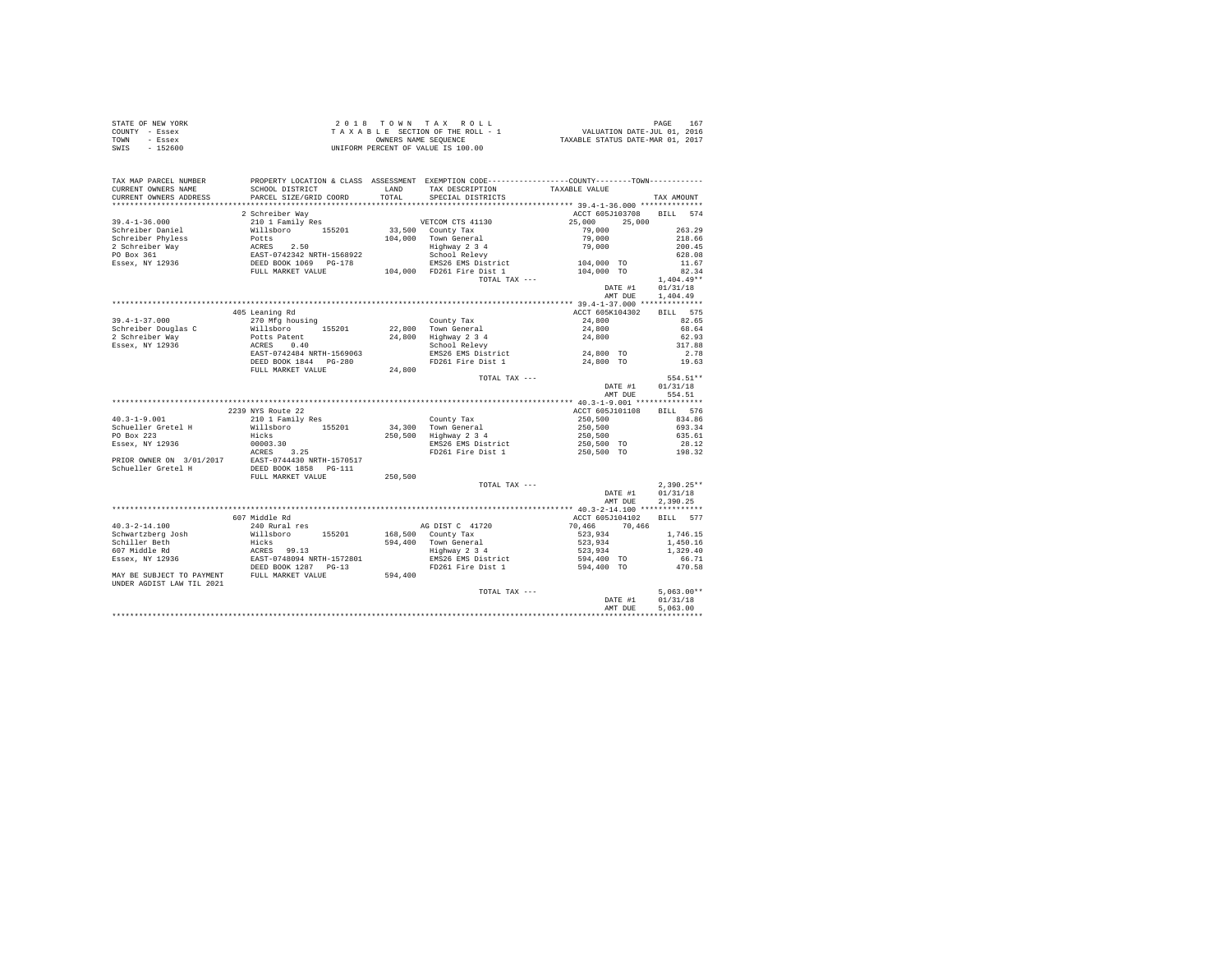|      | STATE OF NEW YORK | 2018 TOWN TAX ROLL                 | 167<br>PAGE                      |
|------|-------------------|------------------------------------|----------------------------------|
|      | COUNTY - Essex    | TAXABLE SECTION OF THE ROLL - 1    | VALUATION DATE-JUL 01, 2016      |
| TOWN | - Essex           | OWNERS NAME SEOUENCE               | TAXABLE STATUS DATE-MAR 01, 2017 |
| SWIS | - 152600          | UNIFORM PERCENT OF VALUE IS 100.00 |                                  |

| TAX MAP PARCEL NUMBER                         |                                                                                             |               | PROPERTY LOCATION & CLASS ASSESSMENT EXEMPTION CODE---------------COUNTY-------TOWN--------- |                          |              |
|-----------------------------------------------|---------------------------------------------------------------------------------------------|---------------|----------------------------------------------------------------------------------------------|--------------------------|--------------|
| CURRENT OWNERS NAME<br>CURRENT OWNERS ADDRESS | SCHOOL DISTRICT<br>PARCEL SIZE/GRID COORD                                                   | LAND<br>TOTAL | TAX DESCRIPTION<br>SPECIAL DISTRICTS                                                         | TAXABLE VALUE            | TAX AMOUNT   |
|                                               |                                                                                             |               |                                                                                              |                          |              |
|                                               | 2 Schreiber Way                                                                             |               |                                                                                              | ACCT 605J103708 BILL 574 |              |
| $39.4 - 1 - 36.000$                           | 210 1 Family Res                                                                            |               | VETCOM CTS 41130                                                                             | 25,000<br>25,000         |              |
| Schreiber Daniel                              | Willsboro 155201                                                                            |               | 33,500 County Tax                                                                            | 79,000                   | 263.29       |
| Schreiber Phyless                             | Potts                                                                                       |               | 104,000 Town General                                                                         | 79,000                   | 218.66       |
| 2 Schreiber Way                               |                                                                                             |               | Highway 2 3 4                                                                                | 79,000                   | 200.45       |
| PO Box 361                                    |                                                                                             |               | School Relevy                                                                                |                          | 628.08       |
| Essex, NY 12936                               | - - - - - - - 50<br>EAST-0742342 NRTH-1568922<br>DEED BOOK 1069 PG-178<br>FULL MARKET VALUE |               | EMS26 EMS District                                                                           | 104,000 TO               | 11.67        |
|                                               |                                                                                             |               | 104,000 FD261 Fire Dist 1                                                                    | 104,000 TO               | 82.34        |
|                                               |                                                                                             |               | TOTAL TAX ---                                                                                |                          | $1,404.49**$ |
|                                               |                                                                                             |               |                                                                                              | DATE #1                  | 01/31/18     |
|                                               |                                                                                             |               |                                                                                              | AMT DUE                  | 1,404.49     |
|                                               |                                                                                             |               |                                                                                              |                          |              |
|                                               | 405 Leaning Rd                                                                              |               |                                                                                              | ACCT 605K104302          | BILL 575     |
| $39.4 - 1 - 37.000$                           | 270 Mfg housing                                                                             |               | County Tax                                                                                   | 24,800                   | 82.65        |
| Schreiber Douglas C                           | Willsboro 155201                                                                            |               | 22.800 Town General                                                                          | 24,800                   | 68.64        |
| 2 Schreiber Way                               | Potts Patent                                                                                |               | 24,800 Highway 2 3 4                                                                         | 24,800                   | 62.93        |
| Essex, NY 12936                               | ACRES 0.40                                                                                  |               | School Relevy                                                                                |                          | 317.88       |
|                                               | EAST-0742484 NRTH-1569063                                                                   |               | EMS26 EMS District                                                                           | 24,800 TO                | 2.78         |
|                                               | DEED BOOK 1844 PG-280                                                                       |               | FD261 Fire Dist 1                                                                            | 24,800 TO                | 19.63        |
|                                               | FULL MARKET VALUE                                                                           | 24,800        |                                                                                              |                          |              |
|                                               |                                                                                             |               | TOTAL TAX ---                                                                                |                          | 554.51**     |
|                                               |                                                                                             |               |                                                                                              | DATE #1                  | 01/31/18     |
|                                               |                                                                                             |               |                                                                                              | AMT DUE                  | 554.51       |
|                                               | 2239 NYS Route 22                                                                           |               |                                                                                              | ACCT 605J101108          | BILL 576     |
| $40.3 - 1 - 9.001$                            | 210 1 Family Res                                                                            |               | County $\text{Tax}$                                                                          | 250,500                  | 834.86       |
| Schueller Gretel H                            | Willsboro 155201                                                                            |               | 34,300 Town General                                                                          | 250,500                  | 693.34       |
| PO Box 223                                    | Hicks                                                                                       |               | 250,500 Highway 2 3 4                                                                        | 250,500                  | 635.61       |
| Essex, NY 12936                               | 00003.30                                                                                    |               |                                                                                              | 250,500 TO               | 28.12        |
|                                               |                                                                                             |               | EMS26 EMS District<br>FD261 Fire Dist 1                                                      | 250,500 TO               | 198.32       |
|                                               |                                                                                             |               |                                                                                              |                          |              |
|                                               |                                                                                             |               |                                                                                              |                          |              |
|                                               | FULL MARKET VALUE                                                                           | 250,500       |                                                                                              |                          |              |
|                                               |                                                                                             |               | TOTAL TAX ---                                                                                |                          | $2.390.25**$ |
|                                               |                                                                                             |               |                                                                                              | DATE #1                  | 01/31/18     |
|                                               |                                                                                             |               |                                                                                              | AMT DUE                  | 2,390.25     |
|                                               |                                                                                             |               |                                                                                              |                          |              |
|                                               | 607 Middle Rd                                                                               |               |                                                                                              | ACCT 605J104102          | BILL 577     |
| $40.3 - 2 - 14.100$                           | 240 Rural res                                                                               |               | AG DIST C 41720                                                                              | 70.466 70.466            |              |
| Schwartzberg Josh                             | Willsboro 155201                                                                            |               | 168,500 County Tax                                                                           | 523,934                  | 1,746.15     |
| Schiller Beth                                 | Hicks                                                                                       |               | 594,400 Town General                                                                         | 523,934                  | 1,450.16     |
| 607 Middle Rd                                 | ACRES 99.13<br>EAST-0748094 NRTH-1572801                                                    |               | Town Genera⊥<br>Highway 2 3 4                                                                | 523,934                  | 1,329.40     |
| Essex, NY 12936                               |                                                                                             |               | EMS26 EMS District                                                                           | 594,400 TO               | 66.71        |
|                                               | DEED BOOK 1287 PG-13                                                                        |               | FD261 Fire Dist 1                                                                            | 594,400 TO               | 470.58       |
| MAY BE SUBJECT TO PAYMENT                     | FULL MARKET VALUE                                                                           | 594,400       |                                                                                              |                          |              |
| UNDER AGDIST LAW TIL 2021                     |                                                                                             |               |                                                                                              |                          |              |
|                                               |                                                                                             |               | TOTAL TAX ---                                                                                |                          | $5,063.00**$ |
|                                               |                                                                                             |               |                                                                                              | DATE #1                  | 01/31/18     |
|                                               |                                                                                             |               |                                                                                              | AMT DUE                  | 5,063.00     |
|                                               |                                                                                             |               |                                                                                              |                          |              |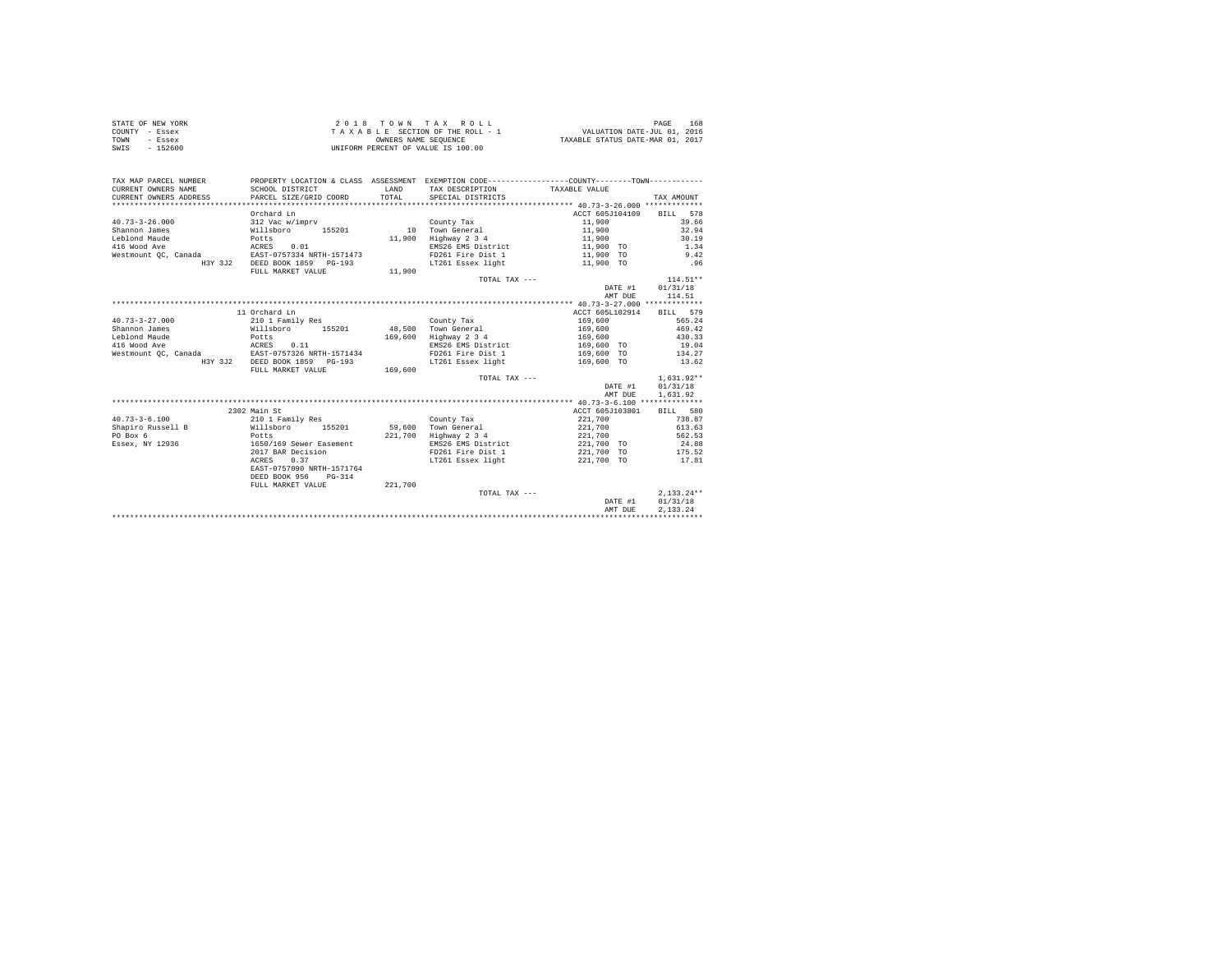| STATE OF NEW YORK | 2018 TOWN TAX ROLL                 | 168<br>PAGE                      |
|-------------------|------------------------------------|----------------------------------|
| COUNTY - Essex    | TAXABLE SECTION OF THE ROLL - 1    | VALUATION DATE-JUL 01, 2016      |
| TOWN<br>- Essex   | OWNERS NAME SEOUENCE               | TAXABLE STATUS DATE-MAR 01, 2017 |
| SWIS<br>$-152600$ | UNIFORM PERCENT OF VALUE IS 100.00 |                                  |

| TAX MAP PARCEL NUMBER<br>CURRENT OWNERS NAME<br>CURRENT OWNERS ADDRESS | PROPERTY LOCATION & CLASS ASSESSMENT EXEMPTION CODE----------------COUNTY--------TOWN----------<br>SCHOOL DISTRICT<br>PARCEL SIZE/GRID COORD | LAND<br>TOTAL | TAX DESCRIPTION TAXABLE VALUE<br>SPECIAL DISTRICTS |                          | TAX AMOUNT   |
|------------------------------------------------------------------------|----------------------------------------------------------------------------------------------------------------------------------------------|---------------|----------------------------------------------------|--------------------------|--------------|
|                                                                        |                                                                                                                                              |               |                                                    |                          |              |
|                                                                        | Orchard Ln                                                                                                                                   |               |                                                    | ACCT 605J104109          | BILL 578     |
| $40.73 - 3 - 26.000$                                                   | 312 Vac w/imprv                                                                                                                              |               | County Tax                                         | 11,900                   | 39.66        |
| Shannon James                                                          | Willsboro 155201                                                                                                                             |               | 10 Town General                                    | 11,900                   | 32.94        |
| Leblond Maude                                                          | Potts                                                                                                                                        | 11,900        | Highway 2 3 4                                      | 11,900                   | 30.19        |
| 416 Wood Ave                                                           | ACRES 0.01                                                                                                                                   |               | EMS26 EMS District                                 | 11,900 TO                | 1.34         |
| Westmount OC, Canada                                                   | EAST-0757334 NRTH-1571473                                                                                                                    |               | FD261 Fire Dist 1                                  | 11,900 TO                | 9.42         |
| H3Y 3J2                                                                | DEED BOOK 1859 PG-193                                                                                                                        |               | LT261 Essex light                                  | 11,900 TO                | .96          |
|                                                                        | FULL MARKET VALUE                                                                                                                            | 11,900        |                                                    |                          |              |
|                                                                        |                                                                                                                                              |               | TOTAL TAX ---                                      |                          | $114.51**$   |
|                                                                        |                                                                                                                                              |               |                                                    | DATE #1                  | 01/31/18     |
|                                                                        |                                                                                                                                              |               |                                                    | AMT DUE                  | 114.51       |
|                                                                        |                                                                                                                                              |               |                                                    |                          |              |
|                                                                        | 11 Orchard Ln                                                                                                                                |               |                                                    | ACCT 605L102914 BILL 579 |              |
| $40.73 - 3 - 27.000$                                                   | 210 1 Family Res                                                                                                                             |               | County Tax                                         | 169,600                  | 565.24       |
| Shannon James                                                          | Willsboro 155201                                                                                                                             | 48,500        | Town General                                       | 169,600                  | 469.42       |
| Leblond Maude                                                          | Potts                                                                                                                                        | 169,600       | Highway 2 3 4                                      | 169,600                  | 430.33       |
| 416 Wood Ave                                                           | ACRES 0.11                                                                                                                                   |               | EMS26 EMS District                                 | 169,600 TO               | 19.04        |
| Westmount OC, Canada                                                   | EAST-0757326 NRTH-1571434                                                                                                                    |               | FD261 Fire Dist 1                                  | 169,600 TO               | 134.27       |
|                                                                        | H3Y 3J2 DEED BOOK 1859 PG-193                                                                                                                |               | LT261 Essex light                                  | 169,600 TO               | 13.62        |
|                                                                        | FULL MARKET VALUE                                                                                                                            | 169,600       |                                                    |                          |              |
|                                                                        |                                                                                                                                              |               | TOTAL TAX ---                                      |                          | $1.631.92**$ |
|                                                                        |                                                                                                                                              |               |                                                    | DATE #1                  | 01/31/18     |
|                                                                        |                                                                                                                                              |               |                                                    | AMT DUE                  | 1,631.92     |
|                                                                        |                                                                                                                                              |               |                                                    |                          |              |
|                                                                        | 2302 Main St                                                                                                                                 |               |                                                    | ACCT 605J103801          | BILL 580     |
| $40.73 - 3 - 6.100$                                                    | 210 1 Family Res                                                                                                                             |               | County Tax                                         | 221,700                  | 738.87       |
| Shapiro Russell B                                                      | Willsboro<br>155201                                                                                                                          |               | 59.600 Town General                                | 221,700                  | 613.63       |
| PO Box 6                                                               | Potts                                                                                                                                        | 221,700       | Highway 2 3 4                                      | 221,700                  | 562.53       |
| Essex, NY 12936                                                        | 1650/169 Sewer Easement                                                                                                                      |               | EMS26 EMS District                                 | 221,700 TO               | 24.88        |
|                                                                        | 2017 BAR Decision                                                                                                                            |               | FD261 Fire Dist 1                                  | 221,700 TO               | 175.52       |
|                                                                        | 0.37<br>ACRES                                                                                                                                |               | LT261 Essex light                                  | 221,700 TO               | 17.81        |
|                                                                        | EAST-0757090 NRTH-1571764                                                                                                                    |               |                                                    |                          |              |
|                                                                        | DEED BOOK 956<br>$PG-314$                                                                                                                    |               |                                                    |                          |              |
|                                                                        | FULL MARKET VALUE                                                                                                                            | 221,700       |                                                    |                          |              |
|                                                                        |                                                                                                                                              |               | TOTAL TAX ---                                      |                          | $2.133.24**$ |
|                                                                        |                                                                                                                                              |               |                                                    | DATE #1                  | 01/31/18     |
|                                                                        |                                                                                                                                              |               |                                                    | AMT DUE                  | 2.133.24     |
|                                                                        |                                                                                                                                              |               |                                                    |                          |              |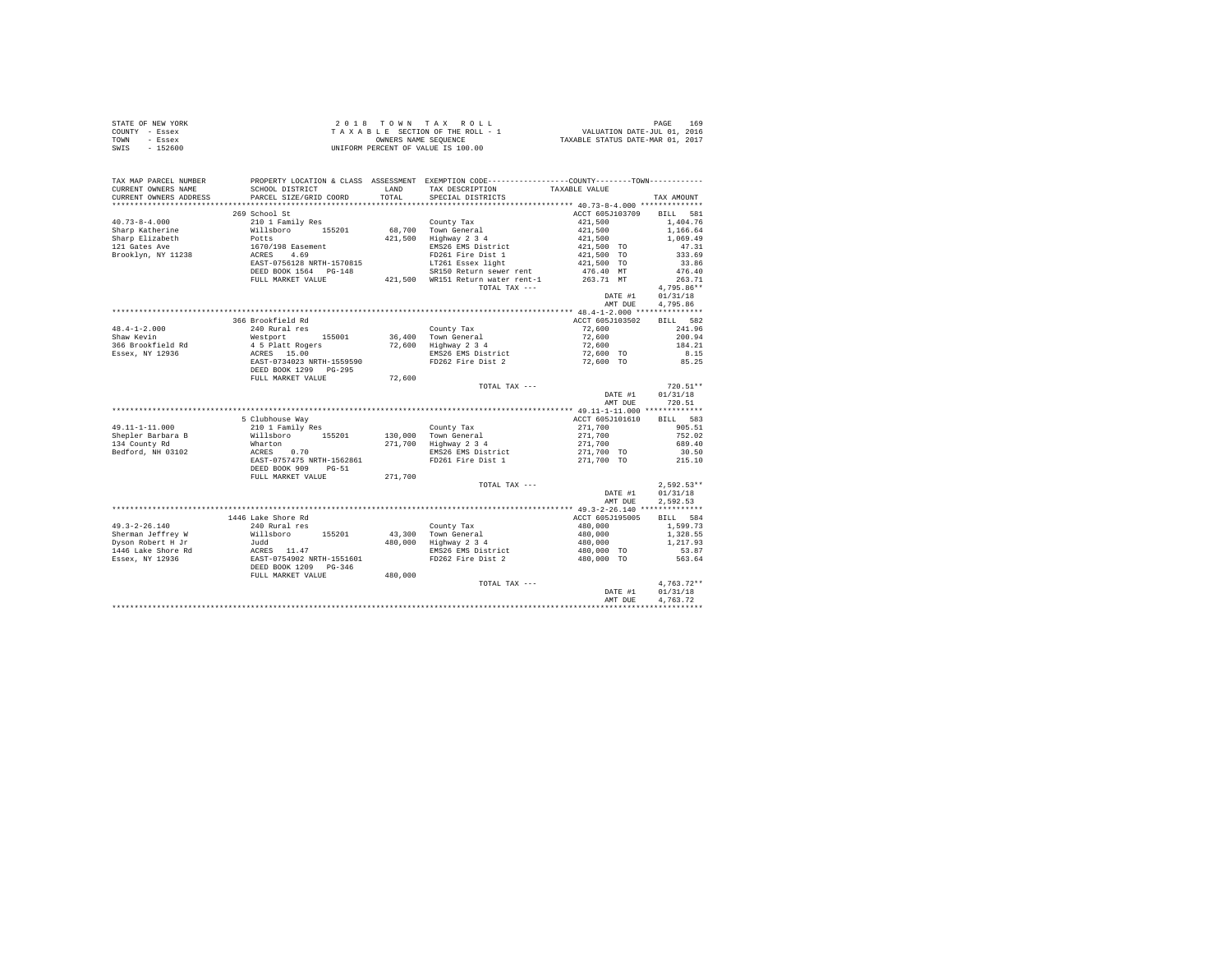|      | STATE OF NEW YORK | 2018 TOWN TAX ROLL                 | 169<br>PAGE                      |
|------|-------------------|------------------------------------|----------------------------------|
|      | COUNTY - Essex    | TAXABLE SECTION OF THE ROLL - 1    | VALUATION DATE-JUL 01, 2016      |
| TOWN | - Essex           | OWNERS NAME SEOUENCE               | TAXABLE STATUS DATE-MAR 01, 2017 |
| SWIS | $-152600$         | UNIFORM PERCENT OF VALUE IS 100.00 |                                  |

| TAX MAP PARCEL NUMBER<br>CURRENT OWNERS NAME                                                                                                                                                                                              | SCHOOL DISTRICT                                                                                     |         | PROPERTY LOCATION & CLASS ASSESSMENT EXEMPTION CODE---------------COUNTY-------TOWN----------<br>LAND TAX DESCRIPTION | TAXABLE VALUE                    |              |
|-------------------------------------------------------------------------------------------------------------------------------------------------------------------------------------------------------------------------------------------|-----------------------------------------------------------------------------------------------------|---------|-----------------------------------------------------------------------------------------------------------------------|----------------------------------|--------------|
| CURRENT OWNERS ADDRESS                                                                                                                                                                                                                    | PARCEL SIZE/GRID COORD                                                                              |         | TOTAL SPECIAL DISTRICTS                                                                                               |                                  | TAX AMOUNT   |
|                                                                                                                                                                                                                                           |                                                                                                     |         |                                                                                                                       |                                  |              |
|                                                                                                                                                                                                                                           | 269 School St                                                                                       |         |                                                                                                                       | ACCT 605J103709 BILL 581         |              |
| $40.73 - 8 - 4.000$                                                                                                                                                                                                                       | 210 1 Family Res                                                                                    |         | County Tax                                                                                                            | 421,500                          | 1,404.76     |
| Sharp Katherine                                                                                                                                                                                                                           |                                                                                                     |         |                                                                                                                       |                                  | 1,166.64     |
| Sharp Elizabeth                                                                                                                                                                                                                           |                                                                                                     |         |                                                                                                                       | $421,500$<br>$421,500$           | 1,069.49     |
| 121 Gates Ave                                                                                                                                                                                                                             |                                                                                                     |         | EMS26 EMS District                                                                                                    | 421,500 TO<br>421,500 TO         | 47.31        |
| Brooklyn, NY 11238                                                                                                                                                                                                                        |                                                                                                     |         |                                                                                                                       |                                  | 333.69       |
|                                                                                                                                                                                                                                           |                                                                                                     |         | LT261 Essex light $421,500$ TO<br>SR150 Return sewer rent $476.40$ MT                                                 | 421,500 TO                       | 33.86        |
|                                                                                                                                                                                                                                           | DEED BOOK 1564 PG-148                                                                               |         |                                                                                                                       |                                  | 476.40       |
|                                                                                                                                                                                                                                           |                                                                                                     |         | FULL MARKET VALUE 421,500 WR151 Return water rent-1                                                                   | 263.71 MT                        | 263.71       |
|                                                                                                                                                                                                                                           |                                                                                                     |         | TOTAL TAX ---                                                                                                         |                                  | $4.795.86**$ |
|                                                                                                                                                                                                                                           |                                                                                                     |         |                                                                                                                       | DATE #1                          | 01/31/18     |
|                                                                                                                                                                                                                                           |                                                                                                     |         |                                                                                                                       | AMT DUE                          | 4,795.86     |
|                                                                                                                                                                                                                                           |                                                                                                     |         |                                                                                                                       |                                  |              |
|                                                                                                                                                                                                                                           | 366 Brookfield Rd                                                                                   |         |                                                                                                                       | ACCT 605J103502                  | BILL 582     |
| $48.4 - 1 - 2.000$                                                                                                                                                                                                                        |                                                                                                     |         |                                                                                                                       |                                  | 241.96       |
|                                                                                                                                                                                                                                           |                                                                                                     |         |                                                                                                                       |                                  | 200.94       |
|                                                                                                                                                                                                                                           |                                                                                                     |         |                                                                                                                       |                                  | 184.21       |
|                                                                                                                                                                                                                                           |                                                                                                     |         |                                                                                                                       |                                  | 8.15         |
| 48.4-1-2.000<br>366 Brookfield Rd Messon (2010)<br>240 Rural res 155001 36,400 Town General 72,600<br>366 Brookfield Rd Messon (2010)<br>366 Brookfield Rd 4 5 Platt Rogers 15.000 70<br>288ex, NY 12936 ACRES 15.00 20<br>288ex, NY 1293 | DEED BOOK 1299 PG-295                                                                               |         |                                                                                                                       |                                  | 85.25        |
|                                                                                                                                                                                                                                           | FULL MARKET VALUE                                                                                   | 72,600  |                                                                                                                       |                                  |              |
|                                                                                                                                                                                                                                           |                                                                                                     |         | TOTAL TAX ---                                                                                                         | 720.51**<br>DATE #1 01/31/18     | $720.51**$   |
|                                                                                                                                                                                                                                           |                                                                                                     |         |                                                                                                                       |                                  |              |
|                                                                                                                                                                                                                                           |                                                                                                     |         |                                                                                                                       | AMT DUE                          | 720.51       |
|                                                                                                                                                                                                                                           |                                                                                                     |         |                                                                                                                       |                                  |              |
|                                                                                                                                                                                                                                           | 5 Clubhouse Way                                                                                     |         |                                                                                                                       | ACCT 605J101610 BILL 583         |              |
| 49.11-1-11.000                                                                                                                                                                                                                            | 21011<br>21011 Family Res<br>Willsboro 155201<br>Wharton<br>ACRES 0.70<br>EAST-0757475 NRTH-1562861 |         | County Tax                                                                                                            | 271,700 905.51<br>271,700 752.02 |              |
| Shepler Barbara B                                                                                                                                                                                                                         |                                                                                                     |         | 130.000 Town General                                                                                                  |                                  |              |
| 134 County Rd                                                                                                                                                                                                                             |                                                                                                     |         | 271,700 Highway 2 3 4                                                                                                 | 271,700                          | 689.40       |
| Bedford, NH 03102                                                                                                                                                                                                                         |                                                                                                     |         | EMS26 EMS District                                                                                                    | 271,700 TO                       | 30.50        |
|                                                                                                                                                                                                                                           |                                                                                                     |         | FD261 Fire Dist 1                                                                                                     | 271,700 TO                       | 215.10       |
|                                                                                                                                                                                                                                           | DEED BOOK 909 PG-51                                                                                 |         |                                                                                                                       |                                  |              |
|                                                                                                                                                                                                                                           | FULL MARKET VALUE                                                                                   | 271,700 |                                                                                                                       |                                  |              |
|                                                                                                                                                                                                                                           |                                                                                                     |         | TOTAL TAX ---                                                                                                         |                                  | $2,592.53**$ |
|                                                                                                                                                                                                                                           |                                                                                                     |         |                                                                                                                       | DATE #1                          | 01/31/18     |
|                                                                                                                                                                                                                                           |                                                                                                     |         |                                                                                                                       | AMT DUE                          | 2.592.53     |
|                                                                                                                                                                                                                                           |                                                                                                     |         |                                                                                                                       |                                  |              |
|                                                                                                                                                                                                                                           | 1446 Lake Shore Rd                                                                                  |         |                                                                                                                       | ACCT 605J195005                  | BILL 584     |
|                                                                                                                                                                                                                                           |                                                                                                     |         |                                                                                                                       | $480,000$<br>$480,000$           | 1,599.73     |
|                                                                                                                                                                                                                                           |                                                                                                     |         |                                                                                                                       |                                  | 1,328.55     |
|                                                                                                                                                                                                                                           |                                                                                                     |         |                                                                                                                       | 480,000                          | 1,217.93     |
|                                                                                                                                                                                                                                           |                                                                                                     |         | EMS26 EMS District 480,000 TO                                                                                         |                                  | 53.87        |
|                                                                                                                                                                                                                                           |                                                                                                     |         | FD262 Fire Dist 2                                                                                                     | 480,000 TO                       | 563.64       |
|                                                                                                                                                                                                                                           | FULL MARKET VALUE 480,000                                                                           |         |                                                                                                                       |                                  |              |
|                                                                                                                                                                                                                                           |                                                                                                     |         |                                                                                                                       |                                  |              |
|                                                                                                                                                                                                                                           |                                                                                                     |         | TOTAL TAX ---                                                                                                         |                                  | $4,763.72**$ |
|                                                                                                                                                                                                                                           |                                                                                                     |         |                                                                                                                       | DATE #1                          | 01/31/18     |
|                                                                                                                                                                                                                                           |                                                                                                     |         |                                                                                                                       | AMT DUE                          | 4.763.72     |
|                                                                                                                                                                                                                                           |                                                                                                     |         |                                                                                                                       |                                  |              |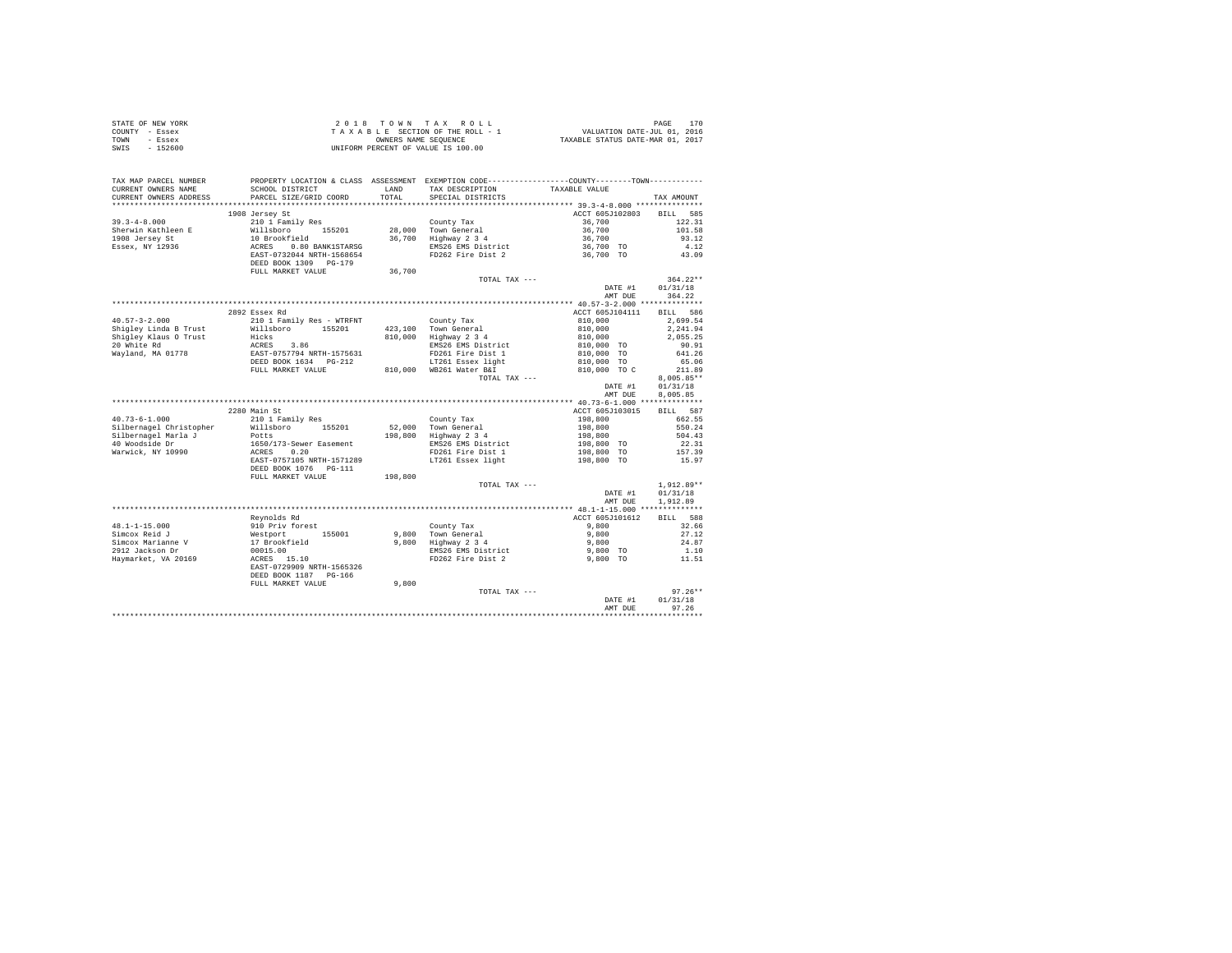| STATE OF NEW YORK |          | 2018 TOWN TAX ROLL                 | 170<br>PAGE                      |
|-------------------|----------|------------------------------------|----------------------------------|
| COUNTY - Essex    |          | TAXABLE SECTION OF THE ROLL - 1    | VALUATION DATE-JUL 01, 2016      |
| TOWN              | - Essex  | OWNERS NAME SEOUENCE               | TAXABLE STATUS DATE-MAR 01, 2017 |
| SWIS              | - 152600 | UNIFORM PERCENT OF VALUE IS 100.00 |                                  |

| TAX MAP PARCEL NUMBER<br>CURRENT OWNERS NAME | PROPERTY LOCATION & CLASS ASSESSMENT EXEMPTION CODE---------------COUNTY-------TOWN---------<br>SCHOOL DISTRICT | LAND    | TAX DESCRIPTION                               | TAXABLE VALUE                    |              |
|----------------------------------------------|-----------------------------------------------------------------------------------------------------------------|---------|-----------------------------------------------|----------------------------------|--------------|
| CURRENT OWNERS ADDRESS                       | PARCEL SIZE/GRID COORD                                                                                          | TOTAL   | SPECIAL DISTRICTS                             |                                  | TAX AMOUNT   |
|                                              | ************************                                                                                        |         |                                               |                                  |              |
|                                              | 1908 Jersey St                                                                                                  |         |                                               | ACCT 605J102803                  | BILL 585     |
| $39.3 - 4 - 8.000$                           | 210 1 Family Res                                                                                                |         | County Tax                                    | 36,700                           | 122.31       |
| Sherwin Kathleen E                           | Willsboro 155201<br>10 Brookfield<br>ACRES 0.80 BANK1STARSG<br>EAST-0732044 NRTH-1568654                        |         |                                               | 36,700                           | 101.58       |
| 1908 Jersey St                               |                                                                                                                 |         | 28,000 Town General<br>36,700 Highway 2 3 4   | 36,700                           | 93.12        |
| Essex, NY 12936                              |                                                                                                                 |         | EMS26 EMS District                            |                                  | 4.12         |
|                                              |                                                                                                                 |         | FD262 Fire Dist 2                             | 36,700 TO<br>36,700 TO           | 43.09        |
|                                              | DEED BOOK 1309 PG-179                                                                                           |         |                                               |                                  |              |
|                                              | FULL MARKET VALUE                                                                                               | 36,700  |                                               |                                  |              |
|                                              |                                                                                                                 |         | TOTAL TAX ---                                 |                                  | $364.22**$   |
|                                              |                                                                                                                 |         |                                               | DATE #1                          | 01/31/18     |
|                                              |                                                                                                                 |         |                                               | AMT DUE                          | 364.22       |
|                                              |                                                                                                                 |         |                                               |                                  |              |
|                                              | 2892 Essex Rd                                                                                                   |         |                                               | ACCT 605J104111                  | BILL 586     |
| $40.57 - 3 - 2.000$                          | 210 1 Family Res - WTRFNT                                                                                       |         | County Tax                                    | 810,000                          | 2,699.54     |
| Shigley Linda B Trust                        | Willsboro 155201                                                                                                |         |                                               |                                  | 2.241.94     |
| Shigley Klaus O Trust                        | Hicks                                                                                                           |         | 423,100 Town General<br>810,000 Highway 2 3 4 | 810,000<br>810,000<br>810,000 TO | 2.055.25     |
| 20 White Rd                                  | ACRES 3.86                                                                                                      |         | EMS26 EMS District                            |                                  | 90.91        |
| Wayland, MA 01778                            |                                                                                                                 |         | FD261 Fire Dist 1                             | 810,000 TO                       | 641.26       |
|                                              | EAST-0757794 NRTH-1575631<br>DEED BOOK 1634 PG-212                                                              |         | LT261 Essex light                             | $810,000$ TO                     | 65.06        |
|                                              | FULL MARKET VALUE                                                                                               |         | 810,000 WB261 Water B&I                       | 810,000 TO C                     | 211.89       |
|                                              |                                                                                                                 |         | TOTAL TAX ---                                 |                                  | $8,005.85**$ |
|                                              |                                                                                                                 |         |                                               | DATE #1                          | 01/31/18     |
|                                              |                                                                                                                 |         |                                               | AMT DUE                          | 8,005.85     |
|                                              |                                                                                                                 |         |                                               |                                  |              |
|                                              | 2280 Main St                                                                                                    |         |                                               | ACCT 605J103015                  | BILL 587     |
| $40.73 - 6 - 1.000$                          | 210 1 Family Res                                                                                                |         | County Tax                                    |                                  | 662.55       |
| Silbernagel Christopher                      | Willsboro 155201                                                                                                |         | 52,000 Town General                           |                                  | 550.24       |
| Silbernagel Marla J                          | Potts                                                                                                           |         | 198,800 Highway 2 3 4                         | 198,800<br>198,800<br>198,800    | 504.43       |
| 40 Woodside Dr                               |                                                                                                                 |         | EMS26 EMS District                            | 198,800 TO                       | 22.31        |
| Warwick, NY 10990                            | 1650/173-Sewer Easement<br>ACRES 0.20                                                                           |         | FD261 Fire Dist 1                             | 198,800 TO                       | 157.39       |
|                                              | EAST-0757105 NRTH-1571289                                                                                       |         | LT261 Essex light                             | 198,800 TO                       | 15.97        |
|                                              | DEED BOOK 1076    PG-111                                                                                        |         |                                               |                                  |              |
|                                              | FULL MARKET VALUE                                                                                               | 198,800 |                                               |                                  |              |
|                                              |                                                                                                                 |         | TOTAL TAX ---                                 |                                  | $1,912.89**$ |
|                                              |                                                                                                                 |         |                                               | DATE #1                          | 01/31/18     |
|                                              |                                                                                                                 |         |                                               | AMT DUE                          | 1,912.89     |
|                                              |                                                                                                                 |         |                                               |                                  |              |
|                                              | Reynolds Rd                                                                                                     |         |                                               | ACCT 605J101612                  | BILL 588     |
| $48.1 - 1 - 15.000$                          | 910 Priv forest<br>Westport 155001<br>17 Brookfield                                                             |         | County Tax                                    | 9,800                            | 32.66        |
| Simcox Reid J                                |                                                                                                                 |         | 9.800 Town General                            | 9,800                            | 27.12        |
| Simcox Marianne V                            |                                                                                                                 |         | 9,800 Highway 2 3 4                           | 9,800                            | 24.87        |
| 2912 Jackson Dr                              | 00015.00                                                                                                        |         | Hignway<br>EMS26 EMS District                 | 9,800 TO                         | 1.10         |
| Haymarket, VA 20169                          | ACRES 15.10                                                                                                     |         | FD262 Fire Dist 2                             | 9,800 TO                         | 11.51        |
|                                              | EAST-0729909 NRTH-1565326                                                                                       |         |                                               |                                  |              |
|                                              | DEED BOOK 1187 PG-166                                                                                           |         |                                               |                                  |              |
|                                              | FULL MARKET VALUE                                                                                               | 9,800   |                                               |                                  |              |
|                                              |                                                                                                                 |         | TOTAL TAX ---                                 |                                  | $97.26**$    |
|                                              |                                                                                                                 |         |                                               | DATE #1                          | 01/31/18     |
|                                              |                                                                                                                 |         |                                               | AMT DUE                          | 97.26        |
|                                              |                                                                                                                 |         |                                               |                                  |              |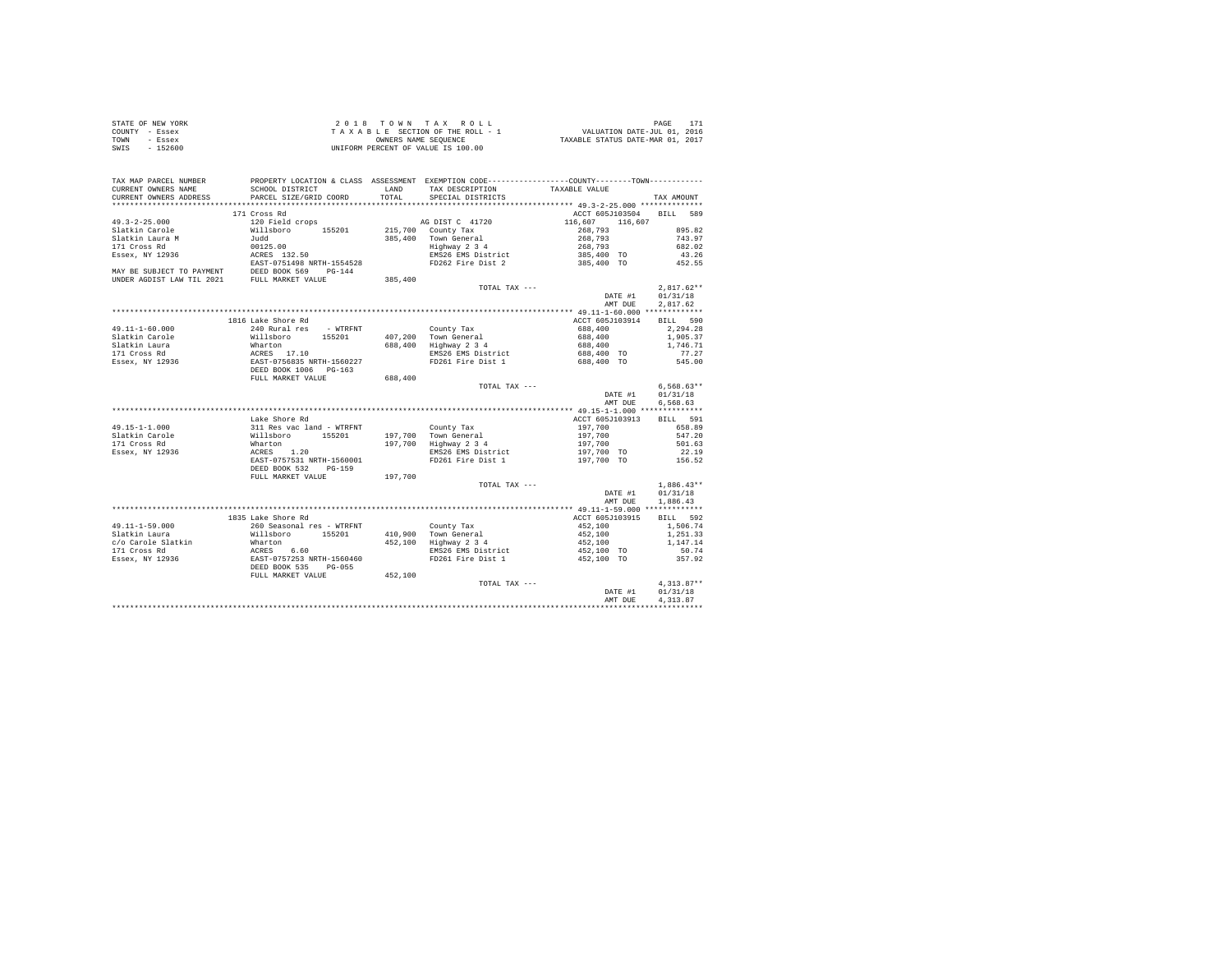| STATE OF NEW YORK | 2018 TOWN TAX ROLL                 | PAGE                             |
|-------------------|------------------------------------|----------------------------------|
| COUNTY - Essex    | TAXABLE SECTION OF THE ROLL - 1    | VALUATION DATE-JUL 01, 2016      |
| TOWN<br>- Essex   | OWNERS NAME SEOUENCE               | TAXABLE STATUS DATE-MAR 01, 2017 |
| $-152600$<br>SWIS | UNIFORM PERCENT OF VALUE IS 100.00 |                                  |

| TAX MAP PARCEL NUMBER<br>CURRENT OWNERS NAME                                | SCHOOL DISTRICT                                                              | LAND    | PROPERTY LOCATION & CLASS ASSESSMENT EXEMPTION CODE----------------COUNTY-------TOWN---------<br>TAX DESCRIPTION | TAXABLE VALUE      |              |
|-----------------------------------------------------------------------------|------------------------------------------------------------------------------|---------|------------------------------------------------------------------------------------------------------------------|--------------------|--------------|
| CURRENT OWNERS ADDRESS                                                      | PARCEL SIZE/GRID COORD                                                       | TOTAL   | SPECIAL DISTRICTS                                                                                                |                    | TAX AMOUNT   |
|                                                                             |                                                                              |         |                                                                                                                  |                    |              |
|                                                                             | 171 Cross Rd                                                                 |         |                                                                                                                  | ACCT 605J103504    | BILL 589     |
| $49.3 - 2 - 25.000$                                                         | 120 Field crops                                                              |         | AG DIST C 41720                                                                                                  | 116,607<br>116,607 |              |
| Slatkin Carole                                                              | Willsboro 155201                                                             |         | 215,700 County Tax                                                                                               | 268,793            | 895.82       |
| Slatkin Laura M                                                             | Judd                                                                         |         | 385,400 Town General                                                                                             |                    | 743.97       |
| 171 Cross Rd                                                                | 00125.00                                                                     |         | Eighway 2 3 4<br>EMS26 PM                                                                                        | 268,793<br>268,793 | 682.02       |
| Essex, NY 12936                                                             | ACRES 132.50                                                                 |         | EMS26 EMS District                                                                                               | 385,400 TO         | 43.26        |
|                                                                             |                                                                              |         | FD262 Fire Dist 2                                                                                                | 385,400 TO         | 452.55       |
| EAST-0751498 NRTH-1554528<br>MAY BE SUBJECT TO PAYMENT DEED BOOK 569 PG-144 |                                                                              |         |                                                                                                                  |                    |              |
| UNDER AGDIST LAW TIL 2021 FULL MARKET VALUE                                 |                                                                              | 385,400 |                                                                                                                  |                    |              |
|                                                                             |                                                                              |         | TOTAL TAX ---                                                                                                    |                    | $2.817.62**$ |
|                                                                             |                                                                              |         |                                                                                                                  | DATE #1            | 01/31/18     |
|                                                                             |                                                                              |         |                                                                                                                  | AMT DUE            | 2.817.62     |
|                                                                             |                                                                              |         |                                                                                                                  |                    |              |
|                                                                             | 1816 Lake Shore Rd                                                           |         |                                                                                                                  | ACCT 605J103914    | BILL 590     |
| $49.11 - 1 - 60.000$                                                        | 240 Rural res - WTRFNT                                                       |         | County Tax                                                                                                       | 688,400            | 2,294.28     |
| Slatkin Carole                                                              | Willsboro 155201                                                             |         | 407.200 Town General                                                                                             | 688,400            | 1,905.37     |
| Slatkin Laura                                                               |                                                                              |         | 688,400 Highway 2 3 4                                                                                            | 688,400            | 1,746.71     |
| 171 Cross Rd                                                                | Wharton<br>ACRES 17.10<br>EAST-0756835 NRTH-1560227<br>DEED BOOK 1006 PG-163 |         | EMS26 EMS District                                                                                               | 688,400 TO         | 77.27        |
| Essex, NY 12936                                                             |                                                                              |         | FD261 Fire Dist 1                                                                                                | 688,400 TO         | 545.00       |
|                                                                             |                                                                              |         |                                                                                                                  |                    |              |
|                                                                             | FULL MARKET VALUE                                                            | 688,400 |                                                                                                                  |                    |              |
|                                                                             |                                                                              |         | TOTAL TAX ---                                                                                                    |                    | $6.568.63**$ |
|                                                                             |                                                                              |         |                                                                                                                  | DATE #1            | 01/31/18     |
|                                                                             |                                                                              |         |                                                                                                                  | AMT DUE            | 6,568.63     |
|                                                                             |                                                                              |         |                                                                                                                  |                    |              |
|                                                                             | Lake Shore Rd                                                                |         |                                                                                                                  | ACCT 605J103913    | BTT.T. 591   |
| $49.15 - 1 - 1.000$                                                         | 311 Res vac land - WTRFNT                                                    |         | County Tax                                                                                                       | 197,700            | 658.89       |
| Slatkin Carole                                                              | Willsboro 155201                                                             |         | 197.700 Town General                                                                                             | 197,700            | 547.20       |
| 171 Cross Rd                                                                | Wharton                                                                      |         | 197,700 Highway 2 3 4                                                                                            | 197,700            | 501.63       |
| Essex, NY 12936                                                             | ACRES 1.20                                                                   |         | EMS26 EMS District                                                                                               | 197,700 TO         | 22.19        |
|                                                                             | EAST-0757531 NRTH-1560001                                                    |         | FD261 Fire Dist 1                                                                                                | 197,700 TO         | 156.52       |
|                                                                             | DEED BOOK 532<br>PG-159                                                      |         |                                                                                                                  |                    |              |
|                                                                             | FULL MARKET VALUE                                                            | 197,700 |                                                                                                                  |                    |              |
|                                                                             |                                                                              |         | TOTAL TAX ---                                                                                                    |                    | $1.886.43**$ |
|                                                                             |                                                                              |         |                                                                                                                  | DATE #1            | 01/31/18     |
|                                                                             |                                                                              |         |                                                                                                                  | AMT DUE            | 1.886.43     |
|                                                                             |                                                                              |         |                                                                                                                  |                    |              |
|                                                                             | 1835 Lake Shore Rd                                                           |         |                                                                                                                  | ACCT 605J103915    | BILL 592     |
| $49.11 - 1 - 59.000$                                                        | 260 Seasonal res - WTRFNT                                                    |         | County Tax                                                                                                       | 452,100            | 1,506.74     |
| Slatkin Laura                                                               | Willsboro 155201                                                             |         | 410,900 Town General                                                                                             | 452,100            | 1,251,33     |
| c/o Carole Slatkin                                                          | Wharton<br>ACRES 6.60<br>EAST-0757253 NRTH-1560460                           |         | 452,100 Highway 2 3 4                                                                                            | 452,100            | 1,147.14     |
| 171 Cross Rd                                                                |                                                                              |         | EMS26 EMS District                                                                                               | 452,100 TO         | 50.74        |
| Essex, NY 12936                                                             |                                                                              |         | FD261 Fire Dist 1                                                                                                | 452,100 TO         | 357.92       |
|                                                                             | DEED BOOK 535<br>$PG-055$                                                    |         |                                                                                                                  |                    |              |
|                                                                             | FULL MARKET VALUE                                                            | 452,100 |                                                                                                                  |                    |              |
|                                                                             |                                                                              |         | TOTAL TAX ---                                                                                                    |                    | $4,313.87**$ |
|                                                                             |                                                                              |         |                                                                                                                  | DATE #1            | 01/31/18     |
|                                                                             |                                                                              |         |                                                                                                                  | AMT DUE            | 4.313.87     |
|                                                                             |                                                                              |         |                                                                                                                  |                    |              |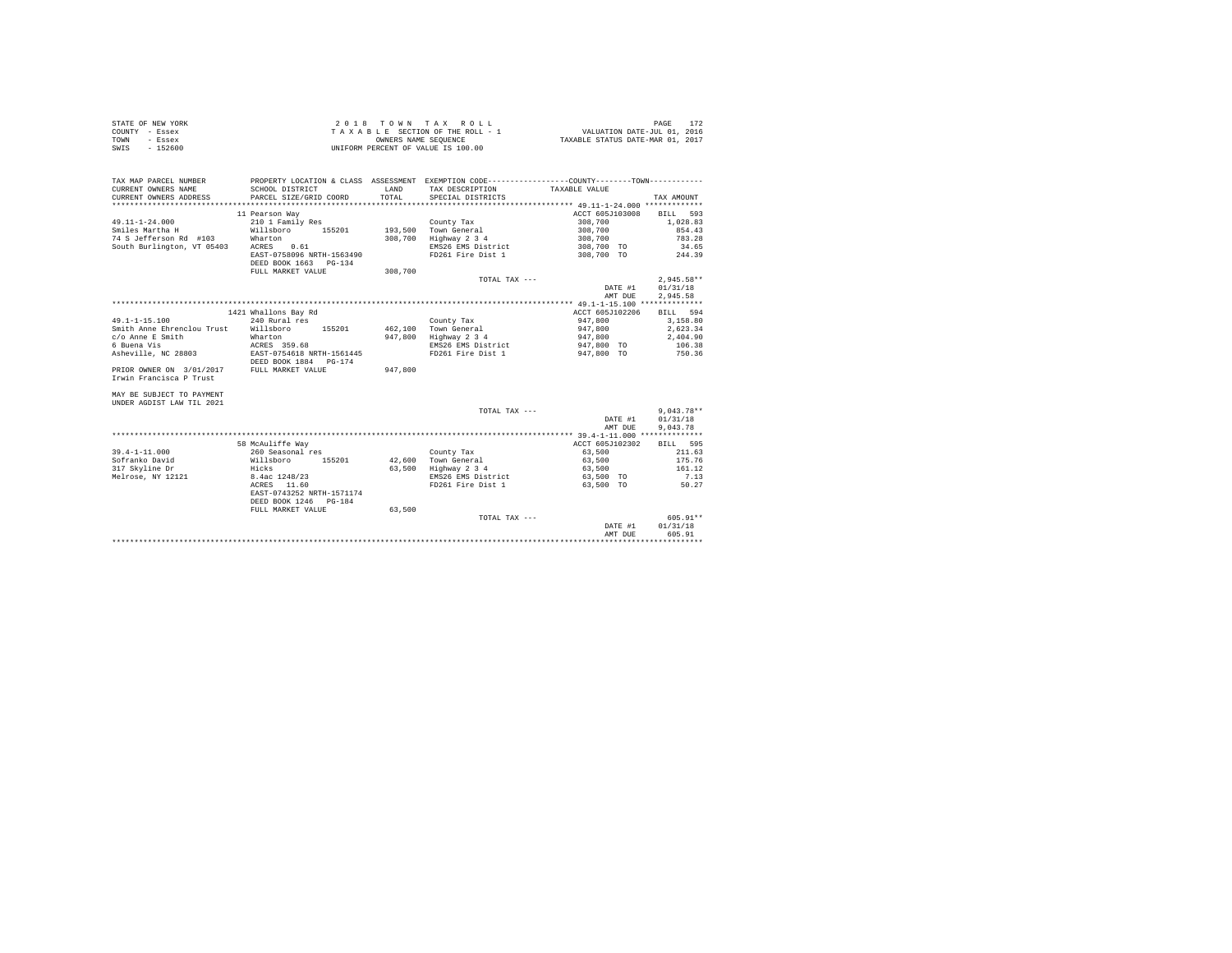| STATE OF NEW YORK | 2018 TOWN TAX ROLL                 | PAGE                             |
|-------------------|------------------------------------|----------------------------------|
| COUNTY - Essex    | TAXABLE SECTION OF THE ROLL - 1    | VALUATION DATE-JUL 01, 2016      |
| TOWN<br>- Essex   | OWNERS NAME SEOUENCE               | TAXABLE STATUS DATE-MAR 01, 2017 |
| SWIS<br>$-152600$ | UNIFORM PERCENT OF VALUE IS 100.00 |                                  |

| TAX MAP PARCEL NUMBER                                           |                                           |         | PROPERTY LOCATION & CLASS ASSESSMENT EXEMPTION CODE----------------COUNTY-------TOWN---------- |                          |                      |
|-----------------------------------------------------------------|-------------------------------------------|---------|------------------------------------------------------------------------------------------------|--------------------------|----------------------|
| CURRENT OWNERS NAME                                             | SCHOOL DISTRICT                           | LAND    | TAX DESCRIPTION                                                                                | TAXABLE VALUE            |                      |
| CURRENT OWNERS ADDRESS                                          | PARCEL SIZE/GRID COORD                    | TOTAL   | SPECIAL DISTRICTS                                                                              |                          | TAX AMOUNT           |
|                                                                 |                                           |         |                                                                                                |                          |                      |
|                                                                 | 11 Pearson Way                            |         |                                                                                                | ACCT 605J103008 BILL 593 |                      |
| $49.11 - 1 - 24.000$                                            | 210 1 Family Res                          |         | County Tax                                                                                     | 308,700                  | 1,028.83             |
| Smiles Martha H                                                 | Willsboro 155201                          |         | 193,500 Town General                                                                           | 308,700                  | 854.43               |
| 74 S Jefferson Rd #103                                          | Wharton                                   |         | 308,700 Highway 2 3 4                                                                          | 308,700                  | 783.28               |
| South Burlington, VT 05403 ACRES                                | 0.61                                      |         | EMS26 EMS District                                                                             | 308,700 TO               | 34.65                |
|                                                                 | EAST-0758096 NRTH-1563490                 |         | FD261 Fire Dist 1                                                                              | 308,700 TO               | 244.39               |
|                                                                 | DEED BOOK 1663 PG-134                     |         |                                                                                                |                          |                      |
|                                                                 | FULL MARKET VALUE                         | 308,700 |                                                                                                |                          |                      |
|                                                                 |                                           |         | TOTAL TAX $---$                                                                                |                          | $2.945.58**$         |
|                                                                 |                                           |         |                                                                                                | DATE #1                  | 01/31/18             |
|                                                                 |                                           |         |                                                                                                | AMT DUE                  | 2.945.58             |
|                                                                 |                                           |         |                                                                                                |                          |                      |
|                                                                 | 1421 Whallons Bay Rd                      |         |                                                                                                | ACCT 605J102206          | BILL 594             |
| $49.1 - 1 - 15.100$                                             | 240 Rural res                             |         | County Tax                                                                                     | 947,800                  | 3,158.80             |
| Smith Anne Ehrenclou Trust Willsboro 155201<br>c/o Anne E Smith | Wharton                                   |         | 462,100 Town General<br>947,800 Highway 2 3 4                                                  | 947,800<br>947,800       | 2,623.34<br>2,404.90 |
| 6 Buena Vis                                                     |                                           |         | EMS26 EMS District                                                                             | 947,800 TO               | 106.38               |
| Asheville, NC 28803                                             | ACRES 359.68<br>EAST-0754618 NRTH-1561445 |         | FD261 Fire Dist 1                                                                              | 947,800 TO               | 750.36               |
|                                                                 | DEED BOOK 1884 PG-174                     |         |                                                                                                |                          |                      |
| PRIOR OWNER ON 3/01/2017 FULL MARKET VALUE                      |                                           | 947,800 |                                                                                                |                          |                      |
| Irwin Francisca P Trust                                         |                                           |         |                                                                                                |                          |                      |
|                                                                 |                                           |         |                                                                                                |                          |                      |
| MAY BE SUBJECT TO PAYMENT                                       |                                           |         |                                                                                                |                          |                      |
| UNDER AGDIST LAW TIL 2021                                       |                                           |         |                                                                                                |                          |                      |
|                                                                 |                                           |         | TOTAL TAX ---                                                                                  |                          | $9,043.78**$         |
|                                                                 |                                           |         |                                                                                                | DATE #1                  | 01/31/18             |
|                                                                 |                                           |         |                                                                                                | AMT DUE                  | 9,043.78             |
|                                                                 |                                           |         |                                                                                                |                          |                      |
|                                                                 | 58 McAuliffe Way                          |         |                                                                                                | ACCT 605J102302          | BILL 595             |
| $39.4 - 1 - 11.000$                                             | 260 Seasonal res                          |         | County Tax                                                                                     | 63,500                   | 211.63               |
| Sofranko David                                                  | Willsboro<br>155201                       |         | 42,600 Town General                                                                            | 63,500                   | 175.76               |
| 317 Skyline Dr                                                  | Hicks<br>8.4ac 1248/23                    |         | 63,500 Highway 2 3 4                                                                           | 63,500                   | 161.12               |
| Melrose, NY 12121                                               |                                           |         | EMS26 EMS District                                                                             | 63,500 TO                | 7.13                 |
|                                                                 | ACRES 11.60                               |         | FD261 Fire Dist 1                                                                              | 63,500 TO                | 50.27                |
|                                                                 | EAST-0743252 NRTH-1571174                 |         |                                                                                                |                          |                      |
|                                                                 | DEED BOOK 1246 PG-184                     |         |                                                                                                |                          |                      |
|                                                                 | FULL MARKET VALUE                         | 63,500  |                                                                                                |                          |                      |
|                                                                 |                                           |         | TOTAL TAX ---                                                                                  |                          | $605.91**$           |
|                                                                 |                                           |         |                                                                                                | DATE #1                  | 01/31/18             |
|                                                                 |                                           |         |                                                                                                | AMT DUE                  | 605.91               |
|                                                                 |                                           |         |                                                                                                |                          |                      |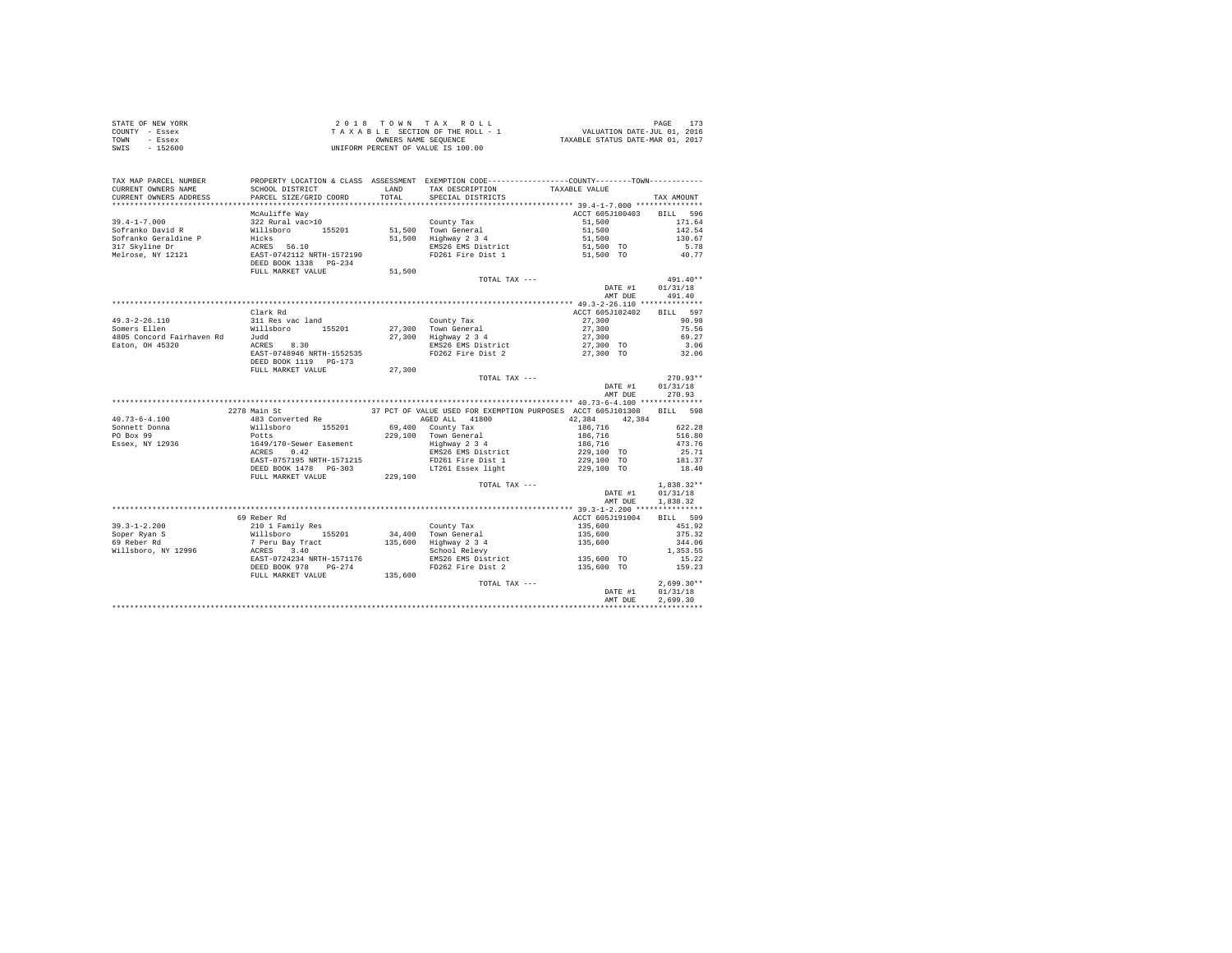| STATE OF NEW YORK | 2018 TOWN TAX ROLL                 | PAGE                             |
|-------------------|------------------------------------|----------------------------------|
| COUNTY - Essex    | TAXABLE SECTION OF THE ROLL - 1    | VALUATION DATE-JUL 01, 2016      |
| TOWN<br>- Essex   | OWNERS NAME SEOUENCE               | TAXABLE STATUS DATE-MAR 01, 2017 |
| - 152600<br>SWIS  | UNIFORM PERCENT OF VALUE IS 100.00 |                                  |

| TAX MAP PARCEL NUMBER<br>CURRENT OWNERS NAME<br>CURRENT OWNERS ADDRESS                                                                                                                                                                                                                                      | SCHOOL DISTRICT<br>PARCEL SIZE/GRID COORD                                                                                                                                                     | TOTAL | LAND TAX DESCRIPTION<br>SPECIAL DISTRICTS | PROPERTY LOCATION & CLASS ASSESSMENT EXEMPTION CODE----------------COUNTY-------TOWN----------<br>TAXABLE VALUE | TAX AMOUNT        |
|-------------------------------------------------------------------------------------------------------------------------------------------------------------------------------------------------------------------------------------------------------------------------------------------------------------|-----------------------------------------------------------------------------------------------------------------------------------------------------------------------------------------------|-------|-------------------------------------------|-----------------------------------------------------------------------------------------------------------------|-------------------|
|                                                                                                                                                                                                                                                                                                             |                                                                                                                                                                                               |       |                                           |                                                                                                                 |                   |
|                                                                                                                                                                                                                                                                                                             | McAuliffe Wav                                                                                                                                                                                 |       |                                           | ACCT 605J100403 BILL 596                                                                                        |                   |
|                                                                                                                                                                                                                                                                                                             |                                                                                                                                                                                               |       |                                           |                                                                                                                 | 171.64            |
|                                                                                                                                                                                                                                                                                                             |                                                                                                                                                                                               |       |                                           |                                                                                                                 | 142.54            |
|                                                                                                                                                                                                                                                                                                             |                                                                                                                                                                                               |       |                                           |                                                                                                                 | 130.67            |
|                                                                                                                                                                                                                                                                                                             |                                                                                                                                                                                               |       |                                           |                                                                                                                 | 5.78              |
|                                                                                                                                                                                                                                                                                                             |                                                                                                                                                                                               |       |                                           |                                                                                                                 |                   |
|                                                                                                                                                                                                                                                                                                             |                                                                                                                                                                                               |       |                                           |                                                                                                                 | 40.77             |
|                                                                                                                                                                                                                                                                                                             |                                                                                                                                                                                               |       |                                           |                                                                                                                 |                   |
|                                                                                                                                                                                                                                                                                                             |                                                                                                                                                                                               |       |                                           |                                                                                                                 |                   |
|                                                                                                                                                                                                                                                                                                             |                                                                                                                                                                                               |       | TOTAL TAX ---                             | $491.40°$<br>DATE #1 $01/31/18$                                                                                 | $491.40**$        |
|                                                                                                                                                                                                                                                                                                             |                                                                                                                                                                                               |       |                                           |                                                                                                                 |                   |
|                                                                                                                                                                                                                                                                                                             |                                                                                                                                                                                               |       |                                           | AMT DUE 491.40                                                                                                  |                   |
|                                                                                                                                                                                                                                                                                                             |                                                                                                                                                                                               |       |                                           |                                                                                                                 |                   |
|                                                                                                                                                                                                                                                                                                             | Clark Rd                                                                                                                                                                                      |       |                                           | ACCT 605J102402 BILL 597                                                                                        |                   |
|                                                                                                                                                                                                                                                                                                             |                                                                                                                                                                                               |       |                                           |                                                                                                                 |                   |
|                                                                                                                                                                                                                                                                                                             |                                                                                                                                                                                               |       |                                           | $27,300$ 90.98<br>$27,300$ 75.56                                                                                |                   |
|                                                                                                                                                                                                                                                                                                             |                                                                                                                                                                                               |       |                                           | 27,300                                                                                                          | 69.27             |
|                                                                                                                                                                                                                                                                                                             |                                                                                                                                                                                               |       |                                           |                                                                                                                 |                   |
|                                                                                                                                                                                                                                                                                                             |                                                                                                                                                                                               |       | EMS26 EMS District<br>FD262 Fire Dist 2   | 27,300 TO<br>27,300 TO                                                                                          | $3.06$<br>$32.06$ |
|                                                                                                                                                                                                                                                                                                             |                                                                                                                                                                                               |       |                                           |                                                                                                                 |                   |
|                                                                                                                                                                                                                                                                                                             |                                                                                                                                                                                               |       |                                           |                                                                                                                 |                   |
| 49.3-2-26.110<br>19.3-2-26.110<br>Somers Ellen Willsboro 155201<br>19.30 Town General<br>4805 Concord Fairhaven Rd Juddes RES 8.30<br>Eaton, OH 45320<br>EASON EAST-0748946 NRTH-1552535<br>EASON PRIMERS 8.30<br>EASON EAST-0748946 NRT                                                                    |                                                                                                                                                                                               |       |                                           |                                                                                                                 |                   |
|                                                                                                                                                                                                                                                                                                             |                                                                                                                                                                                               |       | TOTAL TAX ---                             |                                                                                                                 | $270.93**$        |
|                                                                                                                                                                                                                                                                                                             |                                                                                                                                                                                               |       |                                           |                                                                                                                 |                   |
|                                                                                                                                                                                                                                                                                                             |                                                                                                                                                                                               |       |                                           | DATE #1 01/31/18<br>AMT DUE 270.93                                                                              |                   |
|                                                                                                                                                                                                                                                                                                             |                                                                                                                                                                                               |       |                                           |                                                                                                                 |                   |
|                                                                                                                                                                                                                                                                                                             | 2278 Main St                                                                                                                                                                                  |       |                                           | 37 PCT OF VALUE USED FOR EXEMPTION PURPOSES ACCT 605J101308 BILL 598                                            |                   |
|                                                                                                                                                                                                                                                                                                             |                                                                                                                                                                                               |       | AGED ALL 41800                            | 42,384 42,384                                                                                                   |                   |
|                                                                                                                                                                                                                                                                                                             |                                                                                                                                                                                               |       |                                           |                                                                                                                 |                   |
|                                                                                                                                                                                                                                                                                                             |                                                                                                                                                                                               |       |                                           |                                                                                                                 |                   |
|                                                                                                                                                                                                                                                                                                             |                                                                                                                                                                                               |       |                                           |                                                                                                                 |                   |
|                                                                                                                                                                                                                                                                                                             |                                                                                                                                                                                               |       |                                           |                                                                                                                 |                   |
|                                                                                                                                                                                                                                                                                                             |                                                                                                                                                                                               |       |                                           |                                                                                                                 |                   |
|                                                                                                                                                                                                                                                                                                             |                                                                                                                                                                                               |       |                                           |                                                                                                                 |                   |
|                                                                                                                                                                                                                                                                                                             | DEED BOOK 1478 PG-303<br>FULL MARKET VALUE 229,100<br>FULL MARKET VALUE 229,100<br>229,100<br>229,100<br>229,100                                                                              |       |                                           |                                                                                                                 |                   |
|                                                                                                                                                                                                                                                                                                             |                                                                                                                                                                                               |       |                                           |                                                                                                                 |                   |
|                                                                                                                                                                                                                                                                                                             |                                                                                                                                                                                               |       | TOTAL TAX ---                             |                                                                                                                 | $1,838.32**$      |
|                                                                                                                                                                                                                                                                                                             |                                                                                                                                                                                               |       |                                           | DATE #1 01/31/18                                                                                                |                   |
|                                                                                                                                                                                                                                                                                                             |                                                                                                                                                                                               |       |                                           | AMT DUE                                                                                                         | 1,838.32          |
|                                                                                                                                                                                                                                                                                                             |                                                                                                                                                                                               |       |                                           |                                                                                                                 |                   |
|                                                                                                                                                                                                                                                                                                             | 69 Reber Rd                                                                                                                                                                                   |       |                                           | ACCT 605J191004 BILL 599                                                                                        |                   |
| 39.3-1-2.200<br>$2010$ Family Res<br>Soper Ryan S<br>$\text{Willsboro}$ 2010 1 Family Res<br>$\text{Willsboro}$ 34,400 Town General<br>$\text{Willsboro}$ 2 34<br>$\text{Willsboro}$ 2 34<br>$\text{RART}-0724234 \text{ NRTH}-1571176$<br>$\text{RMS26 EMS}$ EMS26 EMS District<br>$\text{RMS26 EMS}$ EMS2 |                                                                                                                                                                                               |       |                                           | $135,600$<br>$135,600$<br>$135,600$                                                                             | 451.92            |
|                                                                                                                                                                                                                                                                                                             |                                                                                                                                                                                               |       |                                           |                                                                                                                 | 375.32            |
|                                                                                                                                                                                                                                                                                                             |                                                                                                                                                                                               |       |                                           |                                                                                                                 | 344.06            |
|                                                                                                                                                                                                                                                                                                             |                                                                                                                                                                                               |       |                                           |                                                                                                                 |                   |
|                                                                                                                                                                                                                                                                                                             |                                                                                                                                                                                               |       |                                           |                                                                                                                 |                   |
|                                                                                                                                                                                                                                                                                                             |                                                                                                                                                                                               |       |                                           |                                                                                                                 |                   |
|                                                                                                                                                                                                                                                                                                             | DEED BOOK 978 PG-274                                                                                                                                                                          |       |                                           |                                                                                                                 |                   |
|                                                                                                                                                                                                                                                                                                             | EAST-0724234 NRTH-1571176<br>DEED BOOK 978 PG-274 BASSE EMS District 135,600 TO 1.353.55<br>PULL MARKET VALUE 135,600 PD262 Fire Dist 2 135,600 TO 159.23<br>PULL MARKET VALUE 135,600 199.23 |       |                                           | TOTAL TAX ---<br>$2,699.30**$<br>$2,699.30**$<br>$DATE #1$<br>$0.131.18$                                        |                   |
|                                                                                                                                                                                                                                                                                                             |                                                                                                                                                                                               |       |                                           |                                                                                                                 | $2,699.30**$      |
|                                                                                                                                                                                                                                                                                                             |                                                                                                                                                                                               |       |                                           |                                                                                                                 |                   |
|                                                                                                                                                                                                                                                                                                             |                                                                                                                                                                                               |       |                                           | AMT DUE                                                                                                         | 2.699.30          |
|                                                                                                                                                                                                                                                                                                             |                                                                                                                                                                                               |       |                                           |                                                                                                                 |                   |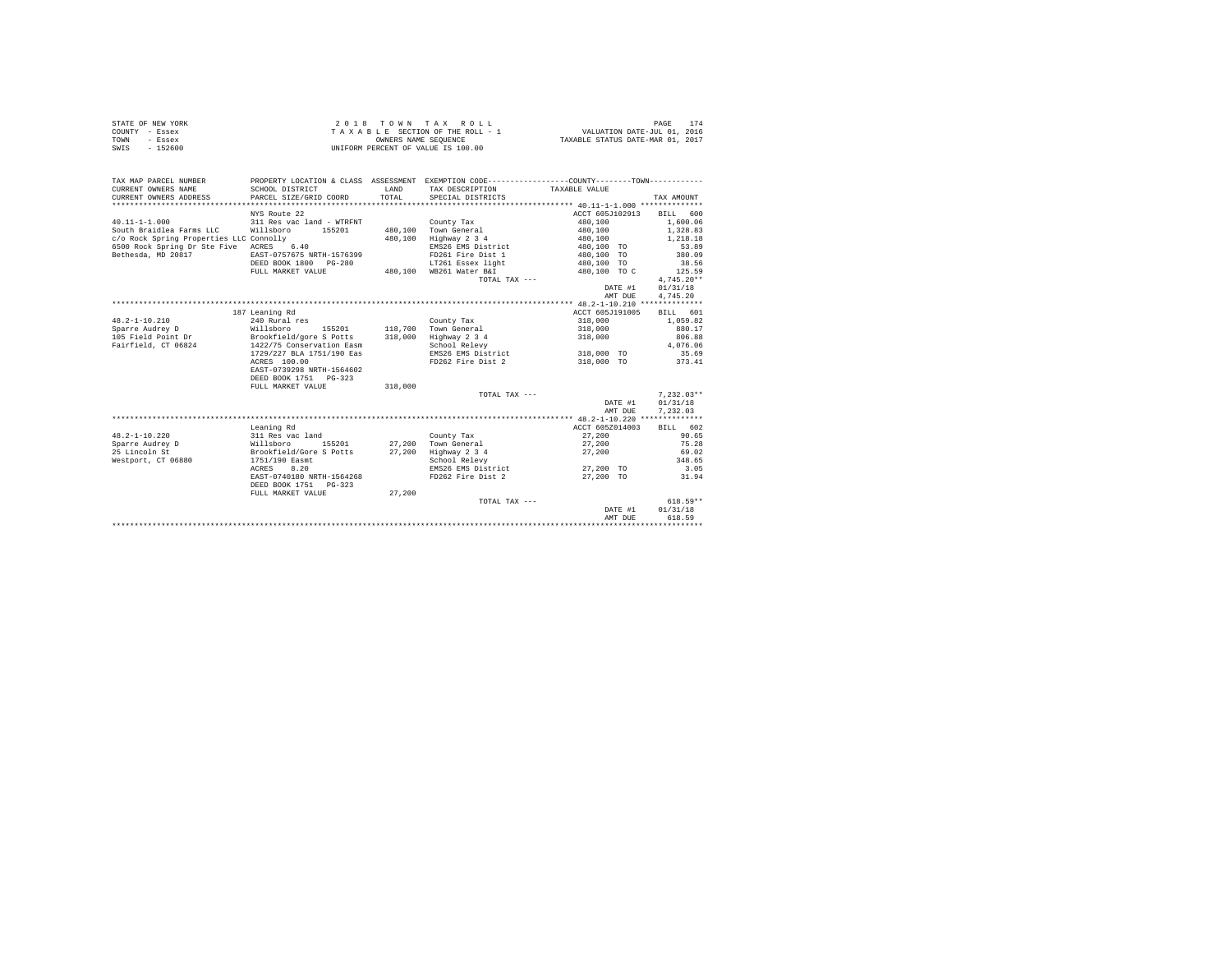| STATE OF NEW YORK | 2018 TOWN TAX ROLL                 | 174<br>PAGE                      |
|-------------------|------------------------------------|----------------------------------|
| COUNTY - Essex    | TAXABLE SECTION OF THE ROLL - 1    | VALUATION DATE-JUL 01, 2016      |
| TOWN<br>- Essex   | OWNERS NAME SEOUENCE               | TAXABLE STATUS DATE-MAR 01, 2017 |
| - 152600<br>SWIS  | UNIFORM PERCENT OF VALUE IS 100.00 |                                  |

| TAX MAP PARCEL NUMBER                   |                           |         | PROPERTY LOCATION & CLASS ASSESSMENT EXEMPTION CODE----------------COUNTY--------TOWN---------- |                          |              |
|-----------------------------------------|---------------------------|---------|-------------------------------------------------------------------------------------------------|--------------------------|--------------|
| CURRENT OWNERS NAME                     | SCHOOL DISTRICT           | LAND    | TAX DESCRIPTION                                                                                 | TAXABLE VALUE            |              |
| CURRENT OWNERS ADDRESS                  | PARCEL SIZE/GRID COORD    | TOTAL   | SPECIAL DISTRICTS                                                                               |                          | TAX AMOUNT   |
|                                         |                           |         |                                                                                                 |                          |              |
|                                         | NYS Route 22              |         |                                                                                                 | ACCT 605J102913 BILL 600 |              |
| $40.11 - 1 - 1.000$                     | 311 Res vac land - WTRFNT |         | County Tax                                                                                      | 480,100                  | 1,600.06     |
| South Braidlea Farms LLC                | Willsboro 155201          |         | 480.100 Town General                                                                            | 480,100                  | 1,328.83     |
| c/o Rock Spring Properties LLC Connolly |                           | 480,100 | Highway 2 3 4                                                                                   | 480,100                  | 1,218.18     |
| 6500 Rock Spring Dr Ste Five ACRES 6.40 |                           |         | EMS26 EMS District                                                                              | 480,100 TO               | 53.89        |
| Bethesda, MD 20817                      | EAST-0757675 NRTH-1576399 |         | FD261 Fire Dist 1                                                                               | 480,100 TO               | 380.09       |
|                                         | DEED BOOK 1800 PG-280     |         | LT261 Essex light 480,100 TO                                                                    |                          | 38.56        |
|                                         | FULL MARKET VALUE         |         | 480,100 WB261 Water B&I                                                                         | 480,100 TO C             | 125.59       |
|                                         |                           |         | TOTAL TAX ---                                                                                   |                          | $4.745.20**$ |
|                                         |                           |         |                                                                                                 | DATE #1                  | 01/31/18     |
|                                         |                           |         |                                                                                                 | AMT DUE                  | 4,745.20     |
|                                         |                           |         |                                                                                                 |                          |              |
|                                         | 187 Leaning Rd            |         |                                                                                                 | ACCT 605J191005          | BILL 601     |
| $48.2 - 1 - 10.210$                     | 240 Rural res             |         | County Tax                                                                                      | 318,000                  | 1,059.82     |
| Sparre Audrey D<br>Willsboro            | 155201                    |         | 118,700 Town General                                                                            | 318,000                  | 880.17       |
| 105 Field Point Dr                      | Brookfield/gore S Potts   |         | 318,000 Highway 2 3 4                                                                           | 318,000                  | 806.88       |
| Fairfield, CT 06824                     | 1422/75 Conservation Easm |         | School Relevy                                                                                   |                          | 4,076.06     |
|                                         | 1729/227 BLA 1751/190 Eas |         | EMS26 EMS District 318,000 TO                                                                   |                          | 35.69        |
|                                         | ACRES 100.00              |         | FD262 Fire Dist 2 318,000 TO 373.41                                                             |                          |              |
|                                         | EAST-0739298 NRTH-1564602 |         |                                                                                                 |                          |              |
|                                         | DEED BOOK 1751 PG-323     |         |                                                                                                 |                          |              |
|                                         | FULL MARKET VALUE         | 318,000 |                                                                                                 |                          |              |
|                                         |                           |         | TOTAL TAX ---                                                                                   |                          | $7,232.03**$ |
|                                         |                           |         |                                                                                                 | DATE #1                  | 01/31/18     |
|                                         |                           |         |                                                                                                 | AMT DUE                  | 7,232.03     |
|                                         |                           |         |                                                                                                 |                          |              |
|                                         | Leaning Rd                |         |                                                                                                 | ACCT 605Z014003          | BILL 602     |
| $48.2 - 1 - 10.220$                     | 311 Res vac land          |         | County Tax                                                                                      | 27,200                   | 90.65        |
| Sparre Audrey D                         | Willsboro<br>155201       |         | 27,200 Town General                                                                             | 27,200                   | 75.28        |
| 25 Lincoln St                           | Brookfield/Gore S Potts   | 27,200  | Highway 2 3 4                                                                                   | 27,200                   | 69.02        |
| Westport, CT 06880                      | 1751/190 Easmt            |         | School Relevy                                                                                   |                          | 348.65       |
|                                         | ACRES<br>8.20             |         | EMS26 EMS District                                                                              | 27,200 TO                | 3.05         |
|                                         | EAST-0740180 NRTH-1564268 |         | FD262 Fire Dist 2                                                                               | 27,200 TO                | 31.94        |
|                                         | DEED BOOK 1751 PG-323     |         |                                                                                                 |                          |              |
|                                         | FULL MARKET VALUE         | 27,200  |                                                                                                 |                          |              |
|                                         |                           |         | TOTAL TAX ---                                                                                   |                          | $618.59**$   |
|                                         |                           |         |                                                                                                 | DATE #1                  | 01/31/18     |
|                                         |                           |         |                                                                                                 | AMT DUE                  | 618.59       |
|                                         |                           |         |                                                                                                 |                          |              |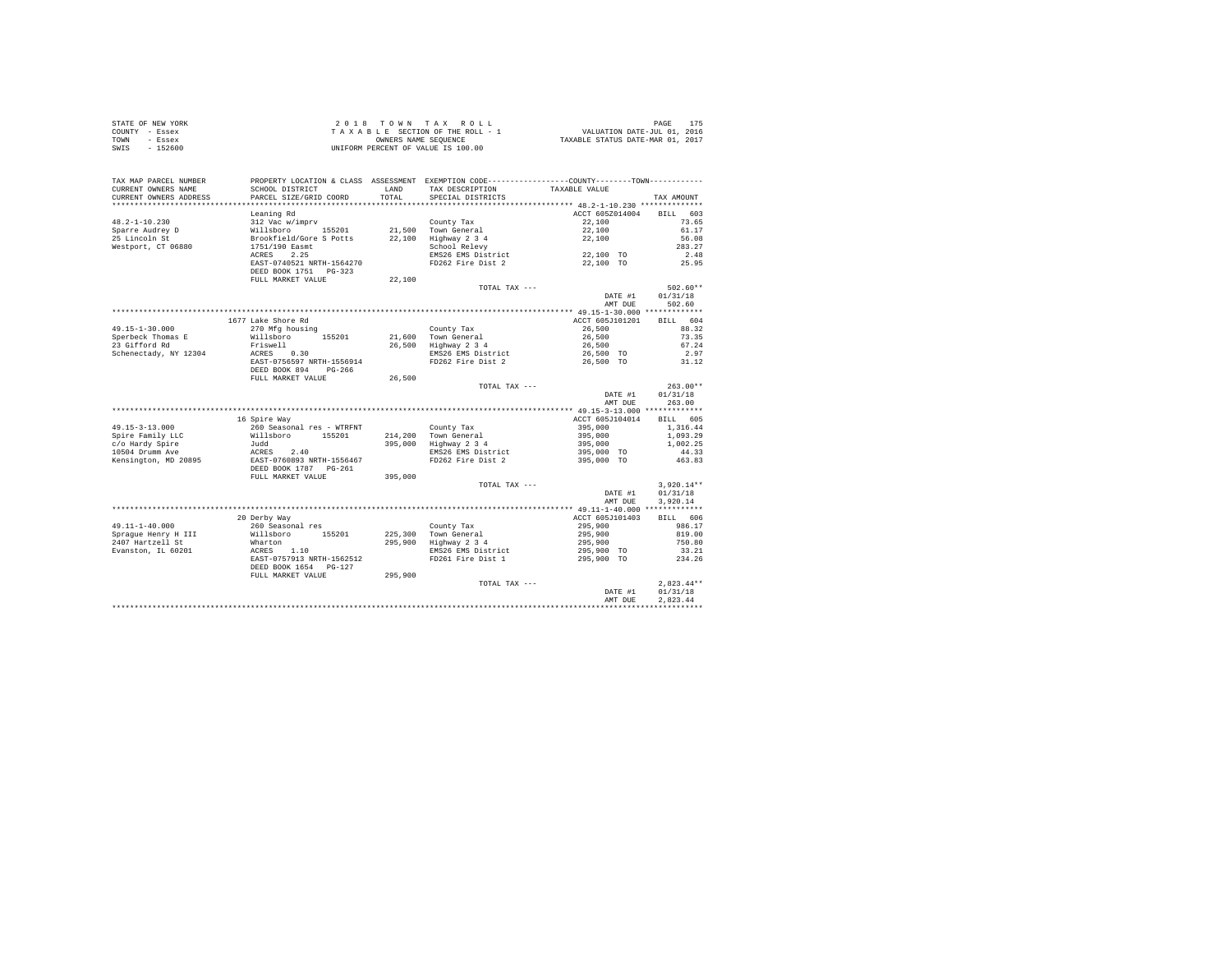| STATE OF NEW YORK | 2018 TOWN TAX ROLL                 | PAGE                             |
|-------------------|------------------------------------|----------------------------------|
| COUNTY - Essex    | TAXABLE SECTION OF THE ROLL - 1    | VALUATION DATE-JUL 01, 2016      |
| TOWN<br>- Essex   | OWNERS NAME SEOUENCE               | TAXABLE STATUS DATE-MAR 01, 2017 |
| - 152600<br>SWIS  | UNIFORM PERCENT OF VALUE IS 100.00 |                                  |

| TAX MAP PARCEL NUMBER<br>CURRENT OWNERS NAME<br>CURRENT OWNERS ADDRESS | SCHOOL DISTRICT<br>PARCEL SIZE/GRID COORD                           | LAND<br>TOTAL. | PROPERTY LOCATION & CLASS ASSESSMENT EXEMPTION CODE----------------COUNTY-------TOWN----------<br>TAX DESCRIPTION<br>SPECIAL DISTRICTS | TAXABLE VALUE             | TAX AMOUNT                           |
|------------------------------------------------------------------------|---------------------------------------------------------------------|----------------|----------------------------------------------------------------------------------------------------------------------------------------|---------------------------|--------------------------------------|
| **********************                                                 |                                                                     |                |                                                                                                                                        |                           |                                      |
| $48.2 - 1 - 10.230$                                                    | Leaning Rd<br>312 Vac w/imprv                                       |                | County Tax                                                                                                                             | ACCT 605Z014004<br>22,100 | <b>BILL</b><br>603<br>73.65          |
| Sparre Audrey D<br>25 Lincoln St<br>Westport, CT 06880                 | Willsboro<br>155201<br>Brookfield/Gore S Potts<br>1751/190 Easmt    | 22,100         | 21,500 Town General<br>Highway 2 3 4<br>School Relevy                                                                                  | 22,100<br>22,100          | 61.17<br>56.08<br>283.27             |
|                                                                        | 2.25<br>ACRES<br>EAST-0740521 NRTH-1564270<br>DEED BOOK 1751 PG-323 |                | EMS26 EMS District<br>FD262 Fire Dist 2                                                                                                | 22,100 TO<br>22,100 TO    | 2.48<br>25.95                        |
|                                                                        | FULL MARKET VALUE                                                   | 22,100         |                                                                                                                                        |                           |                                      |
|                                                                        |                                                                     |                | TOTAL TAX ---                                                                                                                          |                           | $502.60**$                           |
|                                                                        |                                                                     |                |                                                                                                                                        | DATE #1<br>AMT DUE        | 01/31/18<br>502.60                   |
|                                                                        |                                                                     |                |                                                                                                                                        |                           |                                      |
|                                                                        | 1677 Lake Shore Rd                                                  |                |                                                                                                                                        | ACCT 605J101201           | BILL 604                             |
| $49.15 - 1 - 30.000$                                                   | 270 Mfg housing                                                     |                | County Tax                                                                                                                             | 26,500                    | 88.32                                |
| Sperbeck Thomas E                                                      | Willsboro<br>155201                                                 |                | 21,600 Town General                                                                                                                    | 26,500                    | 73.35                                |
| 23 Gifford Rd                                                          | Friswell                                                            |                | 26,500 Highway 2 3 4                                                                                                                   | 26,500                    | 67.24                                |
| Schenectady, NY 12304                                                  | ACRES 0.30<br>EAST-0756597 NRTH-1556914                             |                | EMS26 EMS District<br>FD262 Fire Dist 2                                                                                                | 26,500 TO                 | 2.97<br>31.12                        |
|                                                                        | DEED BOOK 894 PG-266<br>FULL MARKET VALUE                           | 26,500         |                                                                                                                                        | 26,500 TO                 |                                      |
|                                                                        |                                                                     |                | TOTAL TAX ---                                                                                                                          |                           | $263.00**$                           |
|                                                                        |                                                                     |                |                                                                                                                                        | DATE #1                   | 01/31/18                             |
|                                                                        |                                                                     |                |                                                                                                                                        | AMT DUE                   | 263.00                               |
|                                                                        |                                                                     |                |                                                                                                                                        |                           |                                      |
|                                                                        | 16 Spire Way                                                        |                |                                                                                                                                        | ACCT 605J104014           | BILL 605                             |
| $49.15 - 3 - 13.000$                                                   | 260 Seasonal res - WTRFNT                                           |                | County Tax                                                                                                                             | 395,000                   | 1,316,44                             |
| Spire Family LLC                                                       | Willsboro<br>155201                                                 |                | 214,200 Town General                                                                                                                   | 395,000                   | 1,093.29                             |
| c/o Hardy Spire                                                        | Judd                                                                | 395,000        | Highway 2 3 4                                                                                                                          | 395,000                   | 1,002.25                             |
| 10504 Drumm Ave                                                        | 2.40<br>ACRES                                                       |                | EMS26 EMS District                                                                                                                     | 395,000 TO                | 44.33                                |
| Kensington, MD 20895                                                   | EAST-0760893 NRTH-1556467<br>DEED BOOK 1787 PG-261                  |                | FD262 Fire Dist 2                                                                                                                      | 395,000 TO                | 463.83                               |
|                                                                        | FULL MARKET VALUE                                                   | 395,000        |                                                                                                                                        |                           |                                      |
|                                                                        |                                                                     |                | TOTAL TAX ---                                                                                                                          | DATE #1<br>AMT DUE        | $3,920.14**$<br>01/31/18<br>3.920.14 |
|                                                                        | 20 Derby Way                                                        |                |                                                                                                                                        | ACCT 605J101403           | BILL 606                             |
| $49.11 - 1 - 40.000$                                                   | 260 Seasonal res                                                    |                | County Tax                                                                                                                             | 295,900                   | 986.17                               |
| Spraque Henry H III                                                    | Willsboro 155201                                                    |                | 225,300 Town General                                                                                                                   | 295,900                   | 819.00                               |
| 2407 Hartzell St                                                       | Wharton                                                             | 295,900        | Highway 2 3 4                                                                                                                          | 295,900                   | 750.80                               |
| Evanston, IL 60201                                                     | 1.10<br>ACRES                                                       |                | EMS26 EMS District                                                                                                                     | 295,900 TO                | 33.21                                |
|                                                                        | EAST-0757913 NRTH-1562512<br>DEED BOOK 1654 PG-127                  |                | FD261 Fire Dist 1                                                                                                                      | 295,900 TO                | 234.26                               |
|                                                                        | FULL MARKET VALUE                                                   | 295,900        |                                                                                                                                        |                           |                                      |
|                                                                        |                                                                     |                | TOTAL TAX ---                                                                                                                          |                           | $2,823.44**$                         |
|                                                                        |                                                                     |                |                                                                                                                                        | DATE #1                   | 01/31/18                             |
|                                                                        |                                                                     |                |                                                                                                                                        | AMT DUE                   | 2.823.44                             |
|                                                                        |                                                                     |                |                                                                                                                                        |                           |                                      |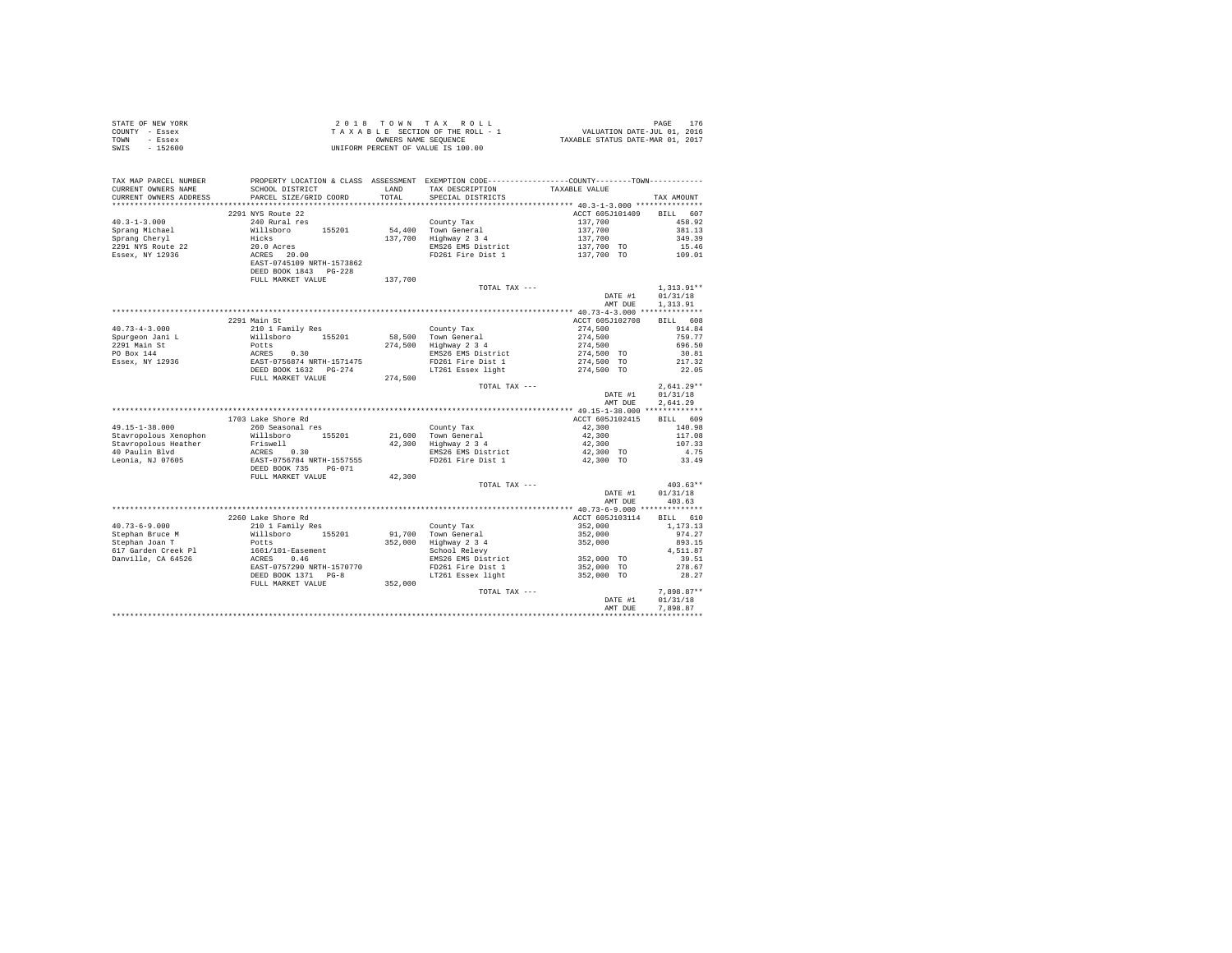| STATE OF NEW YORK |          | 2018 TOWN TAX ROLL                 | PAGE                             |
|-------------------|----------|------------------------------------|----------------------------------|
| COUNTY - Essex    |          | TAXABLE SECTION OF THE ROLL - 1    | VALUATION DATE-JUL 01, 2016      |
| TOWN              | - Essex  | OWNERS NAME SEOUENCE               | TAXABLE STATUS DATE-MAR 01, 2017 |
| SWIS              | - 152600 | UNIFORM PERCENT OF VALUE IS 100.00 |                                  |

| TAX MAP PARCEL NUMBER<br>CURRENT OWNERS NAME<br>CURRENT OWNERS ADDRESS | SCHOOL DISTRICT<br>PARCEL SIZE/GRID COORD                                 | LAND<br>TOTAL | PROPERTY LOCATION & CLASS ASSESSMENT EXEMPTION CODE---------------COUNTY-------TOWN----------<br>TAX DESCRIPTION<br>SPECIAL DISTRICTS | TAXABLE VALUE              | TAX AMOUNT         |
|------------------------------------------------------------------------|---------------------------------------------------------------------------|---------------|---------------------------------------------------------------------------------------------------------------------------------------|----------------------------|--------------------|
| **********************                                                 | ***************************                                               |               |                                                                                                                                       |                            |                    |
| $40.3 - 1 - 3.000$                                                     | 2291 NYS Route 22<br>240 Rural res                                        |               | County Tax                                                                                                                            | ACCT 605J101409<br>137,700 | BILL 607<br>458.92 |
| Sprang Michael                                                         | Willsboro 155201                                                          |               | 54,400 Town General                                                                                                                   | 137,700                    | 381.13             |
| Sprang Cheryl                                                          | Hicks                                                                     | 137,700       | Highway 2 3 4                                                                                                                         | 137,700                    | 349.39             |
| 2291 NYS Route 22                                                      | 20.0 Acres                                                                |               | EMS26 EMS District                                                                                                                    | 137,700 TO                 | 15.46              |
| Essex, NY 12936                                                        | ACRES 20.00                                                               |               | FD261 Fire Dist 1                                                                                                                     | 137,700 TO                 | 109.01             |
|                                                                        | EAST-0745109 NRTH-1573862                                                 |               |                                                                                                                                       |                            |                    |
|                                                                        | DEED BOOK 1843 PG-228                                                     |               |                                                                                                                                       |                            |                    |
|                                                                        | FULL MARKET VALUE                                                         | 137,700       |                                                                                                                                       |                            |                    |
|                                                                        |                                                                           |               | TOTAL TAX ---                                                                                                                         |                            | $1,313.91**$       |
|                                                                        |                                                                           |               |                                                                                                                                       | DATE #1                    | 01/31/18           |
|                                                                        |                                                                           |               |                                                                                                                                       | AMT DUE                    | 1,313.91           |
|                                                                        |                                                                           |               |                                                                                                                                       |                            |                    |
|                                                                        | 2291 Main St                                                              |               |                                                                                                                                       | ACCT 605J102708            | 608<br><b>BILL</b> |
| $40.73 - 4 - 3.000$                                                    | 210 1 Family Res                                                          |               | County Tax                                                                                                                            | 274,500                    | 914.84<br>759.77   |
| Spurgeon Jani L<br>2291 Main St                                        | Willsboro 155201                                                          |               | 58.500 Town General<br>274,500 Highway 2 3 4                                                                                          | 274.500                    | 696.50             |
| PO Box 144                                                             | Potts<br>ACRES 0.30<br>EAST-0756874 NRTH-1571475<br>DEED BOOK 1632 PG-274 |               |                                                                                                                                       | 274,500<br>274,500 TO      |                    |
| Essex, NY 12936                                                        |                                                                           |               | EMS26 EMS District<br>FD261 Fire Dist 1                                                                                               | 274,500 TO                 | 30.81<br>217.32    |
|                                                                        |                                                                           |               | LT261 Essex light                                                                                                                     | 274,500 TO                 | 22.05              |
|                                                                        | FULL MARKET VALUE                                                         | 274,500       |                                                                                                                                       |                            |                    |
|                                                                        |                                                                           |               | TOTAL TAX ---                                                                                                                         |                            | $2,641.29**$       |
|                                                                        |                                                                           |               |                                                                                                                                       | DATE #1                    | 01/31/18           |
|                                                                        |                                                                           |               |                                                                                                                                       | AMT DUE                    | 2.641.29           |
|                                                                        |                                                                           |               |                                                                                                                                       |                            |                    |
|                                                                        | 1703 Lake Shore Rd                                                        |               |                                                                                                                                       | ACCT 605J102415            | BILL 609           |
| $49.15 - 1 - 38.000$                                                   | 260 Seasonal res                                                          |               | County Tax                                                                                                                            | 42,300                     | 140.98             |
| Stavropolous Xenophon                                                  | Willsboro<br>155201                                                       |               | 21,600 Town General                                                                                                                   | 42,300                     | 117.08             |
| Stavropolous Heather                                                   | Friswell                                                                  | 42.300        | Highway 2 3 4                                                                                                                         | 42,300                     | 107.33             |
| 40 Paulin Blvd                                                         | ACRES 0.30                                                                |               | EMS26 EMS District                                                                                                                    | 42,300 TO                  | 4.75               |
| Leonia, NJ 07605                                                       | EAST-0756784 NRTH-1557555<br>DEED BOOK 735 PG-071                         |               | FD261 Fire Dist 1                                                                                                                     | 42,300 TO                  | 33.49              |
|                                                                        |                                                                           |               |                                                                                                                                       |                            |                    |
|                                                                        | FULL MARKET VALUE                                                         | 42,300        |                                                                                                                                       |                            |                    |
|                                                                        |                                                                           |               | TOTAL TAX ---                                                                                                                         |                            | $403.63**$         |
|                                                                        |                                                                           |               |                                                                                                                                       | DATE #1                    | 01/31/18           |
|                                                                        |                                                                           |               |                                                                                                                                       | AMT DUE                    | 403.63             |
|                                                                        |                                                                           |               |                                                                                                                                       |                            |                    |
|                                                                        | 2260 Lake Shore Rd                                                        |               |                                                                                                                                       | ACCT 605J103114            | BILL 610           |
| $40.73 - 6 - 9.000$                                                    | 210 1 Family Res                                                          |               | County Tax                                                                                                                            | 352,000                    | 1,173.13           |
| Stephan Bruce M                                                        | Willsboro<br>155201                                                       | 91,700        | Town General                                                                                                                          | 352,000                    | 974.27             |
| Stephan Joan T                                                         | Potts                                                                     | 352,000       | Highway 2 3 4                                                                                                                         | 352,000                    | 893.15             |
| 617 Garden Creek Pl                                                    | $1661/101$ -Easement<br>ACRES 0.46                                        |               | School Relevy<br>EMS26 EMS District                                                                                                   | 352,000 TO                 | 4.511.87<br>39.51  |
| Danville, CA 64526                                                     | EAST-0757290 NRTH-1570770                                                 |               | FD261 Fire Dist 1                                                                                                                     | 352,000 TO                 | 278.67             |
|                                                                        | DEED BOOK 1371 PG-8                                                       |               | LT261 Essex light                                                                                                                     | 352,000 TO                 | 28.27              |
|                                                                        | FULL MARKET VALUE                                                         | 352,000       |                                                                                                                                       |                            |                    |
|                                                                        |                                                                           |               | TOTAL TAX ---                                                                                                                         |                            | $7.898.87**$       |
|                                                                        |                                                                           |               |                                                                                                                                       | DATE #1                    | 01/31/18           |
|                                                                        |                                                                           |               |                                                                                                                                       | AMT DUE                    | 7.898.87           |
|                                                                        |                                                                           |               |                                                                                                                                       |                            |                    |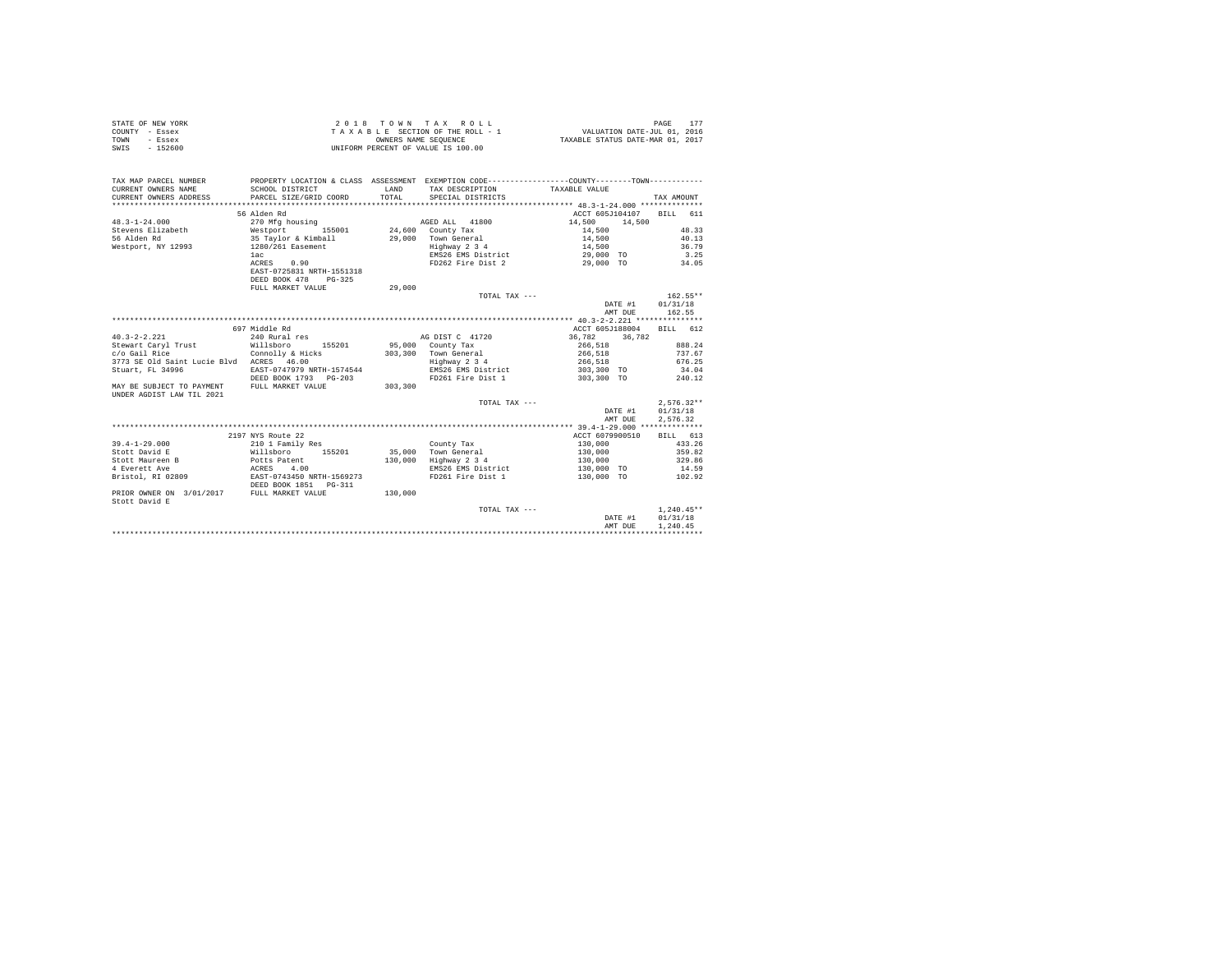| STATE OF NEW YORK | 2018 TOWN TAX ROLL                 | PAGE                             |
|-------------------|------------------------------------|----------------------------------|
| COUNTY - Essex    | TAXABLE SECTION OF THE ROLL - 1    | VALUATION DATE-JUL 01, 2016      |
| TOWN<br>- Essex   | OWNERS NAME SEOUENCE               | TAXABLE STATUS DATE-MAR 01, 2017 |
| SWIS<br>$-152600$ | UNIFORM PERCENT OF VALUE IS 100.00 |                                  |

| ACCT 605J104107 BILL 611<br>56 Alden Rd<br>$14,500$ $14,500$<br>$48.3 - 1 - 24.000$<br>270 Mfg housing<br>AGED ALL 41800<br>Stevens Elizabeth Westport 155001 24,600 County Tax<br>48.33<br>35 Taylor & Kimball $29,000$ Town General<br>1280/261 Easement Highway 2 3 4<br>40.13<br>36.79<br>56 Alden Rd<br>Westport, NY 12993<br>14,500<br>14,500<br>EMS26 EMS District 29,000 TO 3.25<br>1ac<br>FD262 Fire Dist 2 29,000 TO 34.05<br>ACRES 0.90<br>EAST-0725831 NRTH-1551318<br>DEED BOOK 478 PG-325<br>FULL MARKET VALUE<br>29,000<br>$162.55**$<br>TOTAL TAX ---<br>DATE #1 01/31/18<br>162.55<br>AMT DUE<br>697 Middle Rd<br>ACCT 605J188004 BILL 612<br>240 Rural res<br>AG DIST C 41720 36.782<br>36,782<br>Stewart Caryl Trust Millsboro<br>95,000 County Tax<br>888.24<br>155201<br>266,518<br>Connolly & Hicks<br>737.67<br>303,300 Town General<br>266,518<br>Highway 2 3 4<br>266.518 676.25<br>3773 SE Old Saint Lucie Blvd ACRES 46.00<br>EAST-0747979 NRTH-1574544<br>EMS26 EMS District 303,300 TO 34.04<br>DEED BOOK 1793 PG-203<br>FD261 Fire Dist 1<br>303,300 TO<br>240.12<br>303,300<br>MAY BE SUBJECT TO PAYMENT FULL MARKET VALUE<br>$2.576.32**$<br>TOTAL TAX ---<br>DATE #1 01/31/18<br>2.576.32<br>AMT DUE<br>2197 NYS Route 22<br>ACCT 6079900510 BILL 613<br>$39.4 - 1 - 29.000$<br>433.26<br>210 1 Family Res<br>130,000<br>County Tax<br>35,000 Town General<br>359.82<br>Stott David E<br>Willsboro 1972<br>Potts Patent<br>Potts Patent<br>ACRES 4.00<br>BAST-0743450 NRTH-1569273<br>DEED BOOK 1851 PG-311<br>130,000<br>Stott Maureen B<br>130,000 Highway 2 3 4<br>130,000<br>329.86<br>EMS26 EMS District 130,000 TO 14.59<br>4 Everett Ave<br>Bristol, RI 02809<br>FD261 Fire Dist 1 130,000 TO 102.92<br>PRIOR OWNER ON 3/01/2017 FULL MARKET VALUE<br>130,000<br>Stott David E<br>$1.240.45**$<br>TOTAL TAX ---<br>01/31/18<br>DATE #1<br>1,240.45<br>AMT DUE | TAX MAP PARCEL NUMBER<br>CURRENT OWNERS NAME<br>CURRENT OWNERS ADDRESS | SCHOOL DISTRICT<br>PARCEL SIZE/GRID COORD | LAND<br>TOTAL. | PROPERTY LOCATION & CLASS ASSESSMENT EXEMPTION CODE----------------COUNTY--------TOWN----------<br>TAX DESCRIPTION TAXABLE VALUE<br>SPECIAL DISTRICTS | TAX AMOUNT |
|-------------------------------------------------------------------------------------------------------------------------------------------------------------------------------------------------------------------------------------------------------------------------------------------------------------------------------------------------------------------------------------------------------------------------------------------------------------------------------------------------------------------------------------------------------------------------------------------------------------------------------------------------------------------------------------------------------------------------------------------------------------------------------------------------------------------------------------------------------------------------------------------------------------------------------------------------------------------------------------------------------------------------------------------------------------------------------------------------------------------------------------------------------------------------------------------------------------------------------------------------------------------------------------------------------------------------------------------------------------------------------------------------------------------------------------------------------------------------------------------------------------------------------------------------------------------------------------------------------------------------------------------------------------------------------------------------------------------------------------------------------------------------------------------------------------------------------------------------------------------------------------------------------|------------------------------------------------------------------------|-------------------------------------------|----------------|-------------------------------------------------------------------------------------------------------------------------------------------------------|------------|
|                                                                                                                                                                                                                                                                                                                                                                                                                                                                                                                                                                                                                                                                                                                                                                                                                                                                                                                                                                                                                                                                                                                                                                                                                                                                                                                                                                                                                                                                                                                                                                                                                                                                                                                                                                                                                                                                                                       |                                                                        |                                           |                |                                                                                                                                                       |            |
|                                                                                                                                                                                                                                                                                                                                                                                                                                                                                                                                                                                                                                                                                                                                                                                                                                                                                                                                                                                                                                                                                                                                                                                                                                                                                                                                                                                                                                                                                                                                                                                                                                                                                                                                                                                                                                                                                                       |                                                                        |                                           |                |                                                                                                                                                       |            |
|                                                                                                                                                                                                                                                                                                                                                                                                                                                                                                                                                                                                                                                                                                                                                                                                                                                                                                                                                                                                                                                                                                                                                                                                                                                                                                                                                                                                                                                                                                                                                                                                                                                                                                                                                                                                                                                                                                       |                                                                        |                                           |                |                                                                                                                                                       |            |
|                                                                                                                                                                                                                                                                                                                                                                                                                                                                                                                                                                                                                                                                                                                                                                                                                                                                                                                                                                                                                                                                                                                                                                                                                                                                                                                                                                                                                                                                                                                                                                                                                                                                                                                                                                                                                                                                                                       |                                                                        |                                           |                |                                                                                                                                                       |            |
|                                                                                                                                                                                                                                                                                                                                                                                                                                                                                                                                                                                                                                                                                                                                                                                                                                                                                                                                                                                                                                                                                                                                                                                                                                                                                                                                                                                                                                                                                                                                                                                                                                                                                                                                                                                                                                                                                                       |                                                                        |                                           |                |                                                                                                                                                       |            |
|                                                                                                                                                                                                                                                                                                                                                                                                                                                                                                                                                                                                                                                                                                                                                                                                                                                                                                                                                                                                                                                                                                                                                                                                                                                                                                                                                                                                                                                                                                                                                                                                                                                                                                                                                                                                                                                                                                       |                                                                        |                                           |                |                                                                                                                                                       |            |
|                                                                                                                                                                                                                                                                                                                                                                                                                                                                                                                                                                                                                                                                                                                                                                                                                                                                                                                                                                                                                                                                                                                                                                                                                                                                                                                                                                                                                                                                                                                                                                                                                                                                                                                                                                                                                                                                                                       |                                                                        |                                           |                |                                                                                                                                                       |            |
|                                                                                                                                                                                                                                                                                                                                                                                                                                                                                                                                                                                                                                                                                                                                                                                                                                                                                                                                                                                                                                                                                                                                                                                                                                                                                                                                                                                                                                                                                                                                                                                                                                                                                                                                                                                                                                                                                                       |                                                                        |                                           |                |                                                                                                                                                       |            |
|                                                                                                                                                                                                                                                                                                                                                                                                                                                                                                                                                                                                                                                                                                                                                                                                                                                                                                                                                                                                                                                                                                                                                                                                                                                                                                                                                                                                                                                                                                                                                                                                                                                                                                                                                                                                                                                                                                       |                                                                        |                                           |                |                                                                                                                                                       |            |
|                                                                                                                                                                                                                                                                                                                                                                                                                                                                                                                                                                                                                                                                                                                                                                                                                                                                                                                                                                                                                                                                                                                                                                                                                                                                                                                                                                                                                                                                                                                                                                                                                                                                                                                                                                                                                                                                                                       |                                                                        |                                           |                |                                                                                                                                                       |            |
|                                                                                                                                                                                                                                                                                                                                                                                                                                                                                                                                                                                                                                                                                                                                                                                                                                                                                                                                                                                                                                                                                                                                                                                                                                                                                                                                                                                                                                                                                                                                                                                                                                                                                                                                                                                                                                                                                                       |                                                                        |                                           |                |                                                                                                                                                       |            |
|                                                                                                                                                                                                                                                                                                                                                                                                                                                                                                                                                                                                                                                                                                                                                                                                                                                                                                                                                                                                                                                                                                                                                                                                                                                                                                                                                                                                                                                                                                                                                                                                                                                                                                                                                                                                                                                                                                       |                                                                        |                                           |                |                                                                                                                                                       |            |
|                                                                                                                                                                                                                                                                                                                                                                                                                                                                                                                                                                                                                                                                                                                                                                                                                                                                                                                                                                                                                                                                                                                                                                                                                                                                                                                                                                                                                                                                                                                                                                                                                                                                                                                                                                                                                                                                                                       |                                                                        |                                           |                |                                                                                                                                                       |            |
|                                                                                                                                                                                                                                                                                                                                                                                                                                                                                                                                                                                                                                                                                                                                                                                                                                                                                                                                                                                                                                                                                                                                                                                                                                                                                                                                                                                                                                                                                                                                                                                                                                                                                                                                                                                                                                                                                                       |                                                                        |                                           |                |                                                                                                                                                       |            |
|                                                                                                                                                                                                                                                                                                                                                                                                                                                                                                                                                                                                                                                                                                                                                                                                                                                                                                                                                                                                                                                                                                                                                                                                                                                                                                                                                                                                                                                                                                                                                                                                                                                                                                                                                                                                                                                                                                       |                                                                        |                                           |                |                                                                                                                                                       |            |
|                                                                                                                                                                                                                                                                                                                                                                                                                                                                                                                                                                                                                                                                                                                                                                                                                                                                                                                                                                                                                                                                                                                                                                                                                                                                                                                                                                                                                                                                                                                                                                                                                                                                                                                                                                                                                                                                                                       |                                                                        |                                           |                |                                                                                                                                                       |            |
|                                                                                                                                                                                                                                                                                                                                                                                                                                                                                                                                                                                                                                                                                                                                                                                                                                                                                                                                                                                                                                                                                                                                                                                                                                                                                                                                                                                                                                                                                                                                                                                                                                                                                                                                                                                                                                                                                                       | $40.3 - 2 - 2.221$                                                     |                                           |                |                                                                                                                                                       |            |
|                                                                                                                                                                                                                                                                                                                                                                                                                                                                                                                                                                                                                                                                                                                                                                                                                                                                                                                                                                                                                                                                                                                                                                                                                                                                                                                                                                                                                                                                                                                                                                                                                                                                                                                                                                                                                                                                                                       |                                                                        |                                           |                |                                                                                                                                                       |            |
|                                                                                                                                                                                                                                                                                                                                                                                                                                                                                                                                                                                                                                                                                                                                                                                                                                                                                                                                                                                                                                                                                                                                                                                                                                                                                                                                                                                                                                                                                                                                                                                                                                                                                                                                                                                                                                                                                                       | c/o Gail Rice                                                          |                                           |                |                                                                                                                                                       |            |
|                                                                                                                                                                                                                                                                                                                                                                                                                                                                                                                                                                                                                                                                                                                                                                                                                                                                                                                                                                                                                                                                                                                                                                                                                                                                                                                                                                                                                                                                                                                                                                                                                                                                                                                                                                                                                                                                                                       |                                                                        |                                           |                |                                                                                                                                                       |            |
|                                                                                                                                                                                                                                                                                                                                                                                                                                                                                                                                                                                                                                                                                                                                                                                                                                                                                                                                                                                                                                                                                                                                                                                                                                                                                                                                                                                                                                                                                                                                                                                                                                                                                                                                                                                                                                                                                                       | Stuart, FL 34996                                                       |                                           |                |                                                                                                                                                       |            |
|                                                                                                                                                                                                                                                                                                                                                                                                                                                                                                                                                                                                                                                                                                                                                                                                                                                                                                                                                                                                                                                                                                                                                                                                                                                                                                                                                                                                                                                                                                                                                                                                                                                                                                                                                                                                                                                                                                       |                                                                        |                                           |                |                                                                                                                                                       |            |
|                                                                                                                                                                                                                                                                                                                                                                                                                                                                                                                                                                                                                                                                                                                                                                                                                                                                                                                                                                                                                                                                                                                                                                                                                                                                                                                                                                                                                                                                                                                                                                                                                                                                                                                                                                                                                                                                                                       |                                                                        |                                           |                |                                                                                                                                                       |            |
|                                                                                                                                                                                                                                                                                                                                                                                                                                                                                                                                                                                                                                                                                                                                                                                                                                                                                                                                                                                                                                                                                                                                                                                                                                                                                                                                                                                                                                                                                                                                                                                                                                                                                                                                                                                                                                                                                                       | UNDER AGDIST LAW TIL 2021                                              |                                           |                |                                                                                                                                                       |            |
|                                                                                                                                                                                                                                                                                                                                                                                                                                                                                                                                                                                                                                                                                                                                                                                                                                                                                                                                                                                                                                                                                                                                                                                                                                                                                                                                                                                                                                                                                                                                                                                                                                                                                                                                                                                                                                                                                                       |                                                                        |                                           |                |                                                                                                                                                       |            |
|                                                                                                                                                                                                                                                                                                                                                                                                                                                                                                                                                                                                                                                                                                                                                                                                                                                                                                                                                                                                                                                                                                                                                                                                                                                                                                                                                                                                                                                                                                                                                                                                                                                                                                                                                                                                                                                                                                       |                                                                        |                                           |                |                                                                                                                                                       |            |
|                                                                                                                                                                                                                                                                                                                                                                                                                                                                                                                                                                                                                                                                                                                                                                                                                                                                                                                                                                                                                                                                                                                                                                                                                                                                                                                                                                                                                                                                                                                                                                                                                                                                                                                                                                                                                                                                                                       |                                                                        |                                           |                |                                                                                                                                                       |            |
|                                                                                                                                                                                                                                                                                                                                                                                                                                                                                                                                                                                                                                                                                                                                                                                                                                                                                                                                                                                                                                                                                                                                                                                                                                                                                                                                                                                                                                                                                                                                                                                                                                                                                                                                                                                                                                                                                                       |                                                                        |                                           |                |                                                                                                                                                       |            |
|                                                                                                                                                                                                                                                                                                                                                                                                                                                                                                                                                                                                                                                                                                                                                                                                                                                                                                                                                                                                                                                                                                                                                                                                                                                                                                                                                                                                                                                                                                                                                                                                                                                                                                                                                                                                                                                                                                       |                                                                        |                                           |                |                                                                                                                                                       |            |
|                                                                                                                                                                                                                                                                                                                                                                                                                                                                                                                                                                                                                                                                                                                                                                                                                                                                                                                                                                                                                                                                                                                                                                                                                                                                                                                                                                                                                                                                                                                                                                                                                                                                                                                                                                                                                                                                                                       |                                                                        |                                           |                |                                                                                                                                                       |            |
|                                                                                                                                                                                                                                                                                                                                                                                                                                                                                                                                                                                                                                                                                                                                                                                                                                                                                                                                                                                                                                                                                                                                                                                                                                                                                                                                                                                                                                                                                                                                                                                                                                                                                                                                                                                                                                                                                                       |                                                                        |                                           |                |                                                                                                                                                       |            |
|                                                                                                                                                                                                                                                                                                                                                                                                                                                                                                                                                                                                                                                                                                                                                                                                                                                                                                                                                                                                                                                                                                                                                                                                                                                                                                                                                                                                                                                                                                                                                                                                                                                                                                                                                                                                                                                                                                       |                                                                        |                                           |                |                                                                                                                                                       |            |
|                                                                                                                                                                                                                                                                                                                                                                                                                                                                                                                                                                                                                                                                                                                                                                                                                                                                                                                                                                                                                                                                                                                                                                                                                                                                                                                                                                                                                                                                                                                                                                                                                                                                                                                                                                                                                                                                                                       |                                                                        |                                           |                |                                                                                                                                                       |            |
|                                                                                                                                                                                                                                                                                                                                                                                                                                                                                                                                                                                                                                                                                                                                                                                                                                                                                                                                                                                                                                                                                                                                                                                                                                                                                                                                                                                                                                                                                                                                                                                                                                                                                                                                                                                                                                                                                                       |                                                                        |                                           |                |                                                                                                                                                       |            |
|                                                                                                                                                                                                                                                                                                                                                                                                                                                                                                                                                                                                                                                                                                                                                                                                                                                                                                                                                                                                                                                                                                                                                                                                                                                                                                                                                                                                                                                                                                                                                                                                                                                                                                                                                                                                                                                                                                       |                                                                        |                                           |                |                                                                                                                                                       |            |
|                                                                                                                                                                                                                                                                                                                                                                                                                                                                                                                                                                                                                                                                                                                                                                                                                                                                                                                                                                                                                                                                                                                                                                                                                                                                                                                                                                                                                                                                                                                                                                                                                                                                                                                                                                                                                                                                                                       |                                                                        |                                           |                |                                                                                                                                                       |            |
|                                                                                                                                                                                                                                                                                                                                                                                                                                                                                                                                                                                                                                                                                                                                                                                                                                                                                                                                                                                                                                                                                                                                                                                                                                                                                                                                                                                                                                                                                                                                                                                                                                                                                                                                                                                                                                                                                                       |                                                                        |                                           |                |                                                                                                                                                       |            |
|                                                                                                                                                                                                                                                                                                                                                                                                                                                                                                                                                                                                                                                                                                                                                                                                                                                                                                                                                                                                                                                                                                                                                                                                                                                                                                                                                                                                                                                                                                                                                                                                                                                                                                                                                                                                                                                                                                       |                                                                        |                                           |                |                                                                                                                                                       |            |
|                                                                                                                                                                                                                                                                                                                                                                                                                                                                                                                                                                                                                                                                                                                                                                                                                                                                                                                                                                                                                                                                                                                                                                                                                                                                                                                                                                                                                                                                                                                                                                                                                                                                                                                                                                                                                                                                                                       |                                                                        |                                           |                |                                                                                                                                                       |            |
|                                                                                                                                                                                                                                                                                                                                                                                                                                                                                                                                                                                                                                                                                                                                                                                                                                                                                                                                                                                                                                                                                                                                                                                                                                                                                                                                                                                                                                                                                                                                                                                                                                                                                                                                                                                                                                                                                                       |                                                                        |                                           |                |                                                                                                                                                       |            |
|                                                                                                                                                                                                                                                                                                                                                                                                                                                                                                                                                                                                                                                                                                                                                                                                                                                                                                                                                                                                                                                                                                                                                                                                                                                                                                                                                                                                                                                                                                                                                                                                                                                                                                                                                                                                                                                                                                       |                                                                        |                                           |                |                                                                                                                                                       |            |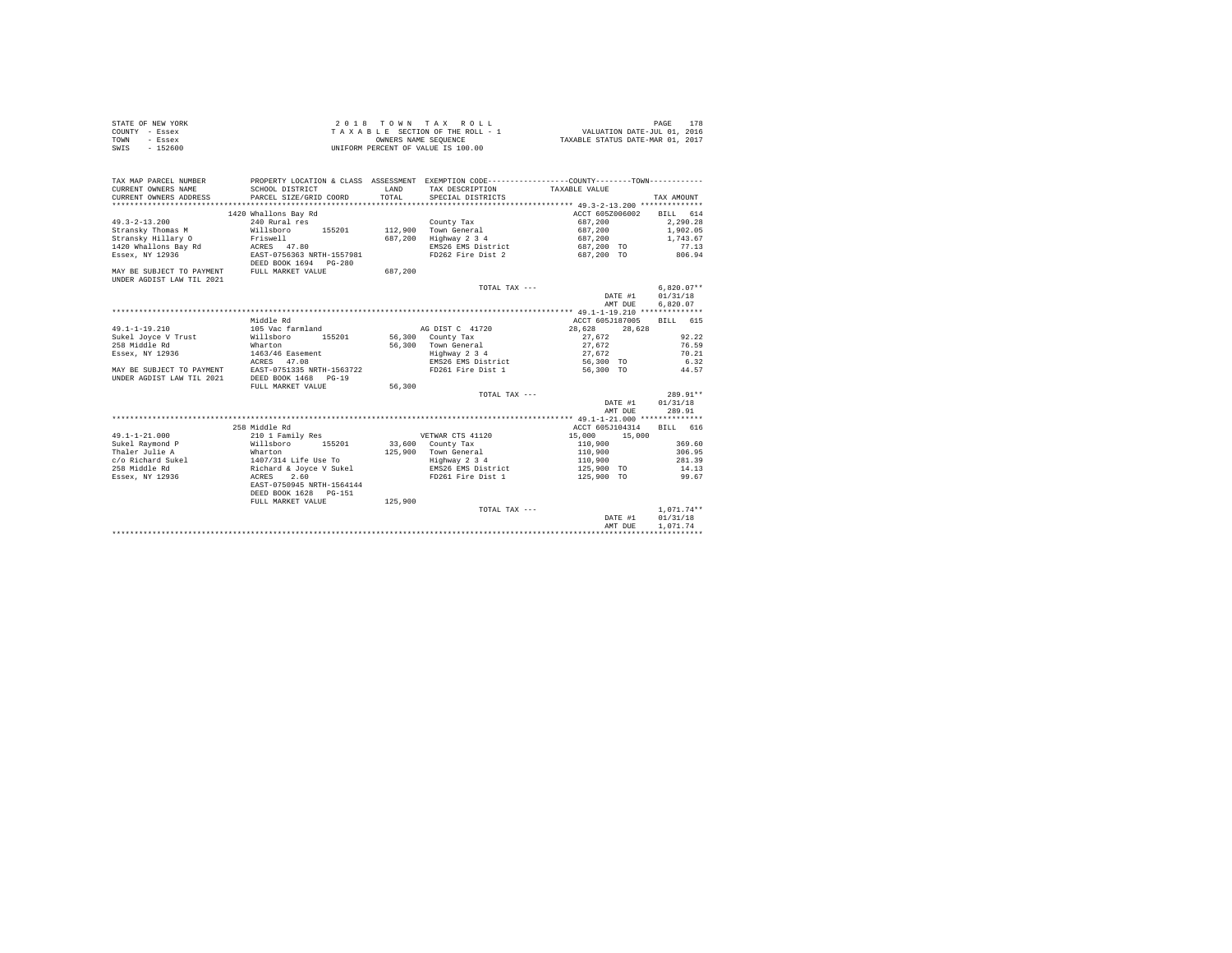| STATE OF NEW YORK | 2018 TOWN TAX ROLL                 | 178<br>PAGE                      |
|-------------------|------------------------------------|----------------------------------|
| COUNTY - Essex    | TAXABLE SECTION OF THE ROLL - 1    | VALUATION DATE-JUL 01, 2016      |
| TOWN<br>- Essex   | OWNERS NAME SEOUENCE               | TAXABLE STATUS DATE-MAR 01, 2017 |
| $-152600$<br>SWIS | UNIFORM PERCENT OF VALUE IS 100.00 |                                  |

| TAX MAP PARCEL NUMBER                                                                                                                                 | PROPERTY LOCATION & CLASS ASSESSMENT EXEMPTION CODE----------------COUNTY-------TOWN---------- |         |                                       |                                      |                  |
|-------------------------------------------------------------------------------------------------------------------------------------------------------|------------------------------------------------------------------------------------------------|---------|---------------------------------------|--------------------------------------|------------------|
| CURRENT OWNERS NAME                                                                                                                                   | SCHOOL DISTRICT                                                                                | LAND    | TAX DESCRIPTION                       | TAXABLE VALUE                        |                  |
| CURRENT OWNERS ADDRESS PARCEL SIZE/GRID COORD                                                                                                         |                                                                                                | TOTAL.  | SPECIAL DISTRICTS                     |                                      | TAX AMOUNT       |
|                                                                                                                                                       |                                                                                                |         |                                       |                                      |                  |
|                                                                                                                                                       | 1420 Whallons Bay Rd                                                                           |         |                                       | ACCT 605Z006002 BILL 614             |                  |
| $49.3 - 2 - 13.200$                                                                                                                                   | 240 Rural res                                                                                  |         | County Tax                            | 687,200                              | 2,290.28         |
| Stransky Thomas M = Millsboro 155201 = 112,900 Town General 687,200 = 1,902.05                                                                        |                                                                                                |         |                                       |                                      |                  |
|                                                                                                                                                       |                                                                                                |         | 687,200 Highway 2 3 4                 | 687,200 1,743.67<br>687,200 TO 77.13 |                  |
|                                                                                                                                                       |                                                                                                |         | EMS26 EMS District                    |                                      |                  |
| Essex, NY 12936                                                                                                                                       | EAST-0756363 NRTH-1557981<br>DEED BOOK 1694 PG-280                                             |         | FD262 Fire Dist 2                     | 687.200 TO 806.94                    |                  |
| MAY BE SUBJECT TO PAYMENT FULL MARKET VALUE                                                                                                           |                                                                                                | 687,200 |                                       |                                      |                  |
| UNDER AGDIST LAW TIL 2021                                                                                                                             |                                                                                                |         |                                       |                                      |                  |
|                                                                                                                                                       |                                                                                                |         | TOTAL TAX ---                         |                                      | $6.820.07**$     |
|                                                                                                                                                       |                                                                                                |         |                                       | $6, 820.07$<br>DATE #1 $01/31/18$    |                  |
|                                                                                                                                                       |                                                                                                |         |                                       | AMT DUE                              | 6.820.07         |
|                                                                                                                                                       |                                                                                                |         |                                       |                                      |                  |
|                                                                                                                                                       | Middle Rd                                                                                      |         |                                       | ACCT 605J187005                      | BILL 615         |
| $49.1 - 1 - 19.210$                                                                                                                                   | 105 Vac farmland                                                                               |         | AG DIST C 41720                       | 28,628<br>28,628                     |                  |
| Sukel Joyce V Trust Willsboro                                                                                                                         |                                                                                                |         | 155201 56,300 County Tax              | 27,672                               | 92.22            |
| 258 Middle Rd                                                                                                                                         | Wharton                                                                                        |         |                                       |                                      | 76.59            |
| Essex, NY 12936                                                                                                                                       | $1463/46$ Easement                                                                             |         | 56,300 Town General<br>Highway 2 3 4  | 27,672<br>27,672                     | 70.21            |
|                                                                                                                                                       | ACRES 47.08                                                                                    |         | EMS26 EMS District 56.300 TO 6.32     |                                      |                  |
|                                                                                                                                                       |                                                                                                |         | FD261 Fire Dist 1                     | 56,300 TO                            | 44.57            |
| MAY BE SUBJECT TO PAYMENT EAST-0751335 NRTH-1563722<br>UNDER AGDIST LAW TIL 2021 DEED BOOK 1468 PG-19                                                 |                                                                                                |         |                                       |                                      |                  |
|                                                                                                                                                       | FULL MARKET VALUE                                                                              | 56.300  |                                       |                                      |                  |
|                                                                                                                                                       |                                                                                                |         | TOTAL TAX ---                         |                                      | 289.91**         |
|                                                                                                                                                       |                                                                                                |         |                                       | DATE #1 01/31/18                     |                  |
|                                                                                                                                                       |                                                                                                |         |                                       | AMT DUE                              | 289.91           |
|                                                                                                                                                       |                                                                                                |         |                                       |                                      |                  |
|                                                                                                                                                       | 258 Middle Rd                                                                                  |         |                                       | ACCT 605J104314 BILL 616             |                  |
| $49.1 - 1 - 21.000$                                                                                                                                   | 210 1 Family Res                                                                               |         | VETWAR CTS 41120                      | 15,000 15,000                        |                  |
|                                                                                                                                                       |                                                                                                |         |                                       | 110,900                              | 369.60           |
| Thaler Julie A (Mharton 125,900 Town General 1990)<br>c/o Richard Sukel 1407/314 Life Use To 11 Highway 2 34<br>258 Middle Rd Richard & Joyce V Sukel |                                                                                                |         | 125,900 Town General<br>Highway 2 3 4 | 110,900<br>110,900                   | 306.95<br>281.39 |
|                                                                                                                                                       |                                                                                                |         |                                       |                                      |                  |
|                                                                                                                                                       |                                                                                                |         |                                       | 125,900 TO 14.13                     |                  |
| Essex, NY 12936                                                                                                                                       | ACRES 2.60                                                                                     |         | FD261 Fire Dist 1                     | 125,900 TO 99.67                     |                  |
|                                                                                                                                                       | EAST-0750945 NRTH-1564144                                                                      |         |                                       |                                      |                  |
|                                                                                                                                                       | DEED BOOK 1628 PG-151                                                                          |         |                                       |                                      |                  |
|                                                                                                                                                       | FULL MARKET VALUE                                                                              | 125.900 |                                       |                                      |                  |
|                                                                                                                                                       |                                                                                                |         | TOTAL TAX ---                         |                                      | $1.071.74**$     |
|                                                                                                                                                       |                                                                                                |         |                                       | DATE #1                              | 01/31/18         |
|                                                                                                                                                       |                                                                                                |         |                                       | AMT DUE                              | 1,071.74         |
|                                                                                                                                                       |                                                                                                |         |                                       |                                      |                  |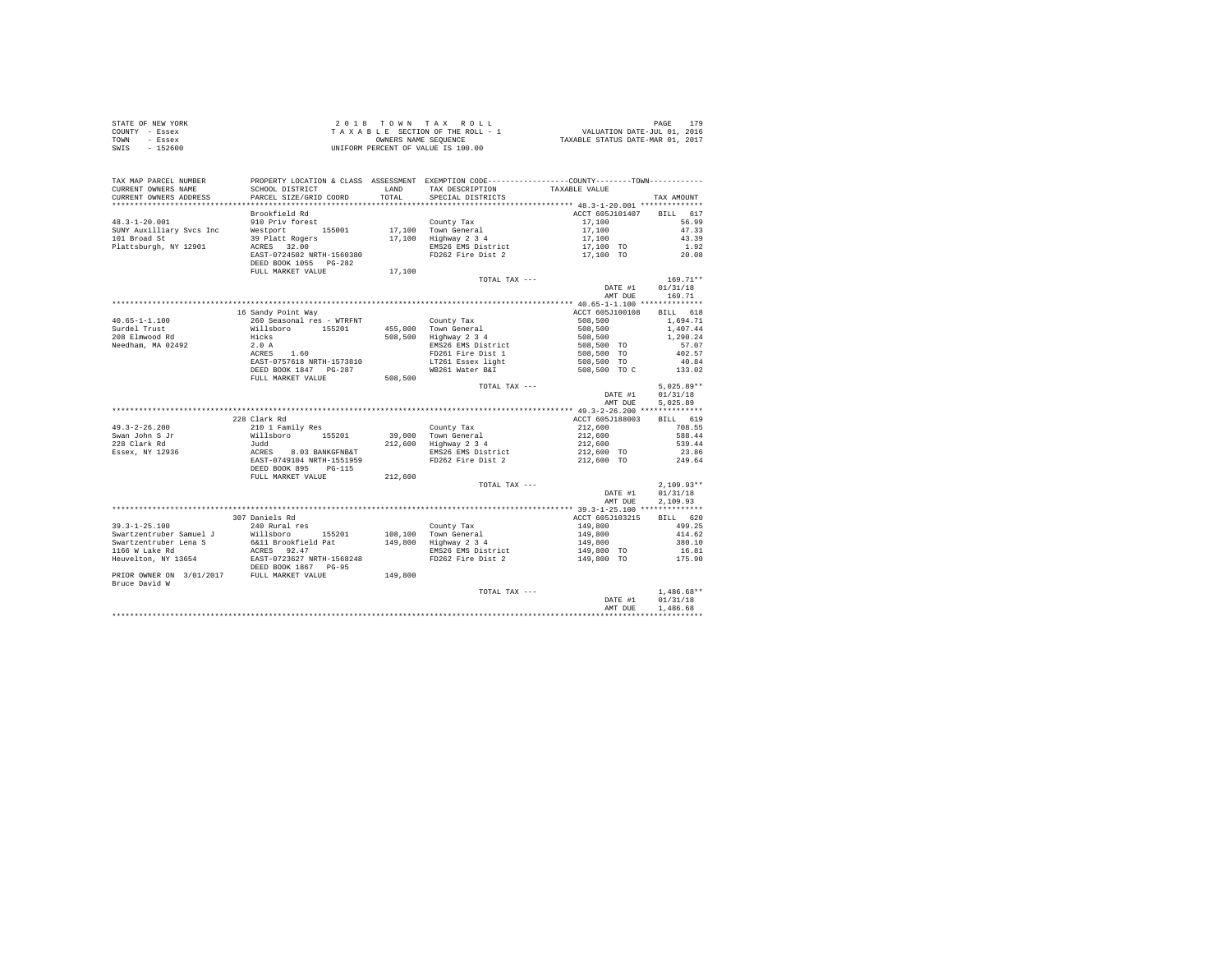| STATE OF NEW YORK | 2018 TOWN TAX ROLL                 | 179<br>PAGE                      |
|-------------------|------------------------------------|----------------------------------|
| COUNTY - Essex    | TAXABLE SECTION OF THE ROLL - 1    | VALUATION DATE-JUL 01, 2016      |
| TOWN<br>- Essex   | OWNERS NAME SEOUENCE               | TAXABLE STATUS DATE-MAR 01, 2017 |
| $-152600$<br>SWIS | UNIFORM PERCENT OF VALUE IS 100.00 |                                  |

| TAX MAP PARCEL NUMBER<br>CURRENT OWNERS NAME<br>CURRENT OWNERS ADDRESS | PROPERTY LOCATION & CLASS ASSESSMENT EXEMPTION CODE----------------COUNTY-------TOWN----------<br>SCHOOL DISTRICT<br>PARCEL SIZE/GRID COORD | LAND<br>TOTAL. | TAX DESCRIPTION<br>SPECIAL DISTRICTS | TAXABLE VALUE   | TAX AMOUNT               |
|------------------------------------------------------------------------|---------------------------------------------------------------------------------------------------------------------------------------------|----------------|--------------------------------------|-----------------|--------------------------|
| **********************                                                 |                                                                                                                                             |                |                                      |                 |                          |
|                                                                        | Brookfield Rd                                                                                                                               |                |                                      | ACCT 605J101407 | BILL 617                 |
| $48.3 - 1 - 20.001$                                                    | 910 Priv forest                                                                                                                             |                | County Tax                           | 17,100          | 56.99                    |
| SUNY Auxilliary Svcs Inc                                               | Westport 155001                                                                                                                             |                | 17.100 Town General                  | 17,100          | 47.33                    |
| 101 Broad St                                                           | 39 Platt Rogers                                                                                                                             | 17,100         | Highway 2 3 4                        | 17,100          | 43.39                    |
| Plattsburgh, NY 12901                                                  | ACRES 32.00                                                                                                                                 |                | EMS26 EMS District                   | 17,100 TO       | 1.92                     |
|                                                                        | EAST-0724502 NRTH-1560380                                                                                                                   |                | FD262 Fire Dist 2                    | 17,100 TO       | 20.08                    |
|                                                                        | DEED BOOK 1055 PG-282                                                                                                                       |                |                                      |                 |                          |
|                                                                        | FULL MARKET VALUE                                                                                                                           | 17,100         |                                      |                 |                          |
|                                                                        |                                                                                                                                             |                | TOTAL TAX ---                        |                 | 169.71**                 |
|                                                                        |                                                                                                                                             |                |                                      | DATE #1         | 01/31/18                 |
|                                                                        |                                                                                                                                             |                |                                      | AMT DUE         | 169.71                   |
|                                                                        |                                                                                                                                             |                |                                      |                 |                          |
|                                                                        | 16 Sandy Point Way                                                                                                                          |                |                                      | ACCT 605J100108 | BILL 618                 |
| $40.65 - 1 - 1.100$                                                    | 260 Seasonal res - WTRFNT                                                                                                                   |                | County Tax                           | 508,500         | 1,694.71                 |
| Surdel Trust                                                           | Willsboro 155201                                                                                                                            |                | 455,800 Town General                 | 508,500         | 1,407.44                 |
| 208 Elmwood Rd                                                         | Hicks                                                                                                                                       | 508,500        | Highway 2 3 4                        | 508,500         | 1,290.24                 |
| Needham, MA 02492                                                      | 2.0 A                                                                                                                                       |                | EMS26 EMS District                   | 508,500 TO      | 57.07                    |
|                                                                        | ACRES 1.60                                                                                                                                  |                | FD261 Fire Dist 1                    | 508,500 TO      | 402.57                   |
|                                                                        | EAST-0757618 NRTH-1573810                                                                                                                   |                | LT261 Essex light                    | 508,500 TO      | 40.84                    |
|                                                                        | DEED BOOK 1847 PG-287                                                                                                                       |                | WB261 Water B&I                      | 508,500 TO C    | 133.02                   |
|                                                                        | FULL MARKET VALUE                                                                                                                           | 508,500        |                                      |                 |                          |
|                                                                        |                                                                                                                                             |                | TOTAL TAX ---                        |                 | $5,025.89**$             |
|                                                                        |                                                                                                                                             |                |                                      | DATE #1         | 01/31/18                 |
|                                                                        |                                                                                                                                             |                |                                      | AMT DUE         | 5.025.89                 |
|                                                                        |                                                                                                                                             |                |                                      |                 |                          |
|                                                                        | 228 Clark Rd                                                                                                                                |                |                                      | ACCT 605J188003 | BILL 619                 |
| $49.3 - 2 - 26.200$                                                    | 210 1 Family Res                                                                                                                            |                | County Tax                           | 212,600         | 708.55                   |
| Swan John S Jr                                                         | Willsboro 155201                                                                                                                            |                | 39,000 Town General                  | 212,600         | 588.44                   |
| 228 Clark Rd                                                           |                                                                                                                                             |                | 212,600 Highway 2 3 4                | 212,600         | 539.44                   |
| Essex, NY 12936                                                        |                                                                                                                                             |                | EMS26 EMS District                   | 212,600 TO      | 23.86                    |
|                                                                        | EAST-0749104 NRTH-1551959                                                                                                                   |                | FD262 Fire Dist 2                    | 212,600 TO      | 249.64                   |
|                                                                        | DEED BOOK 895 PG-115                                                                                                                        |                |                                      |                 |                          |
|                                                                        | FULL MARKET VALUE                                                                                                                           | 212,600        |                                      |                 |                          |
|                                                                        |                                                                                                                                             |                | TOTAL TAX ---                        | DATE #1         | $2.109.93**$<br>01/31/18 |
|                                                                        |                                                                                                                                             |                |                                      | AMT DUE         | 2,109.93                 |
|                                                                        |                                                                                                                                             |                |                                      |                 |                          |
|                                                                        | 307 Daniels Rd                                                                                                                              |                |                                      | ACCT 605J103215 | BILL 620                 |
| $39.3 - 1 - 25.100$                                                    | 240 Rural res                                                                                                                               |                | County Tax                           | 149,800         | 499.25                   |
| Swartzentruber Samuel J                                                | Willsboro<br>155201                                                                                                                         |                | 108,100 Town General                 | 149,800         | 414.62                   |
| Swartzentruber Lena S                                                  | 6&11 Brookfield Pat                                                                                                                         | 149,800        | Highway 2 3 4                        | 149,800         | 380.10                   |
| 1166 W Lake Rd                                                         |                                                                                                                                             |                | EMS26 EMS District                   | 149,800 TO      | 16.81                    |
| Heuvelton, NY 13654                                                    |                                                                                                                                             |                | FD262 Fire Dist 2                    | 149,800 TO      | 175.90                   |
|                                                                        | ACRES 92.47<br>EAST-0723627 NRTH-1568248<br>DEED BOOK 1867 PG-95                                                                            |                |                                      |                 |                          |
| PRIOR OWNER ON 3/01/2017 FULL MARKET VALUE                             |                                                                                                                                             | 149,800        |                                      |                 |                          |
| Bruce David W                                                          |                                                                                                                                             |                |                                      |                 |                          |
|                                                                        |                                                                                                                                             |                | TOTAL TAX ---                        |                 | $1.486.68**$             |
|                                                                        |                                                                                                                                             |                |                                      | DATE #1         | 01/31/18                 |
|                                                                        |                                                                                                                                             |                |                                      | AMT DUE         | 1,486.68                 |
|                                                                        |                                                                                                                                             |                |                                      |                 |                          |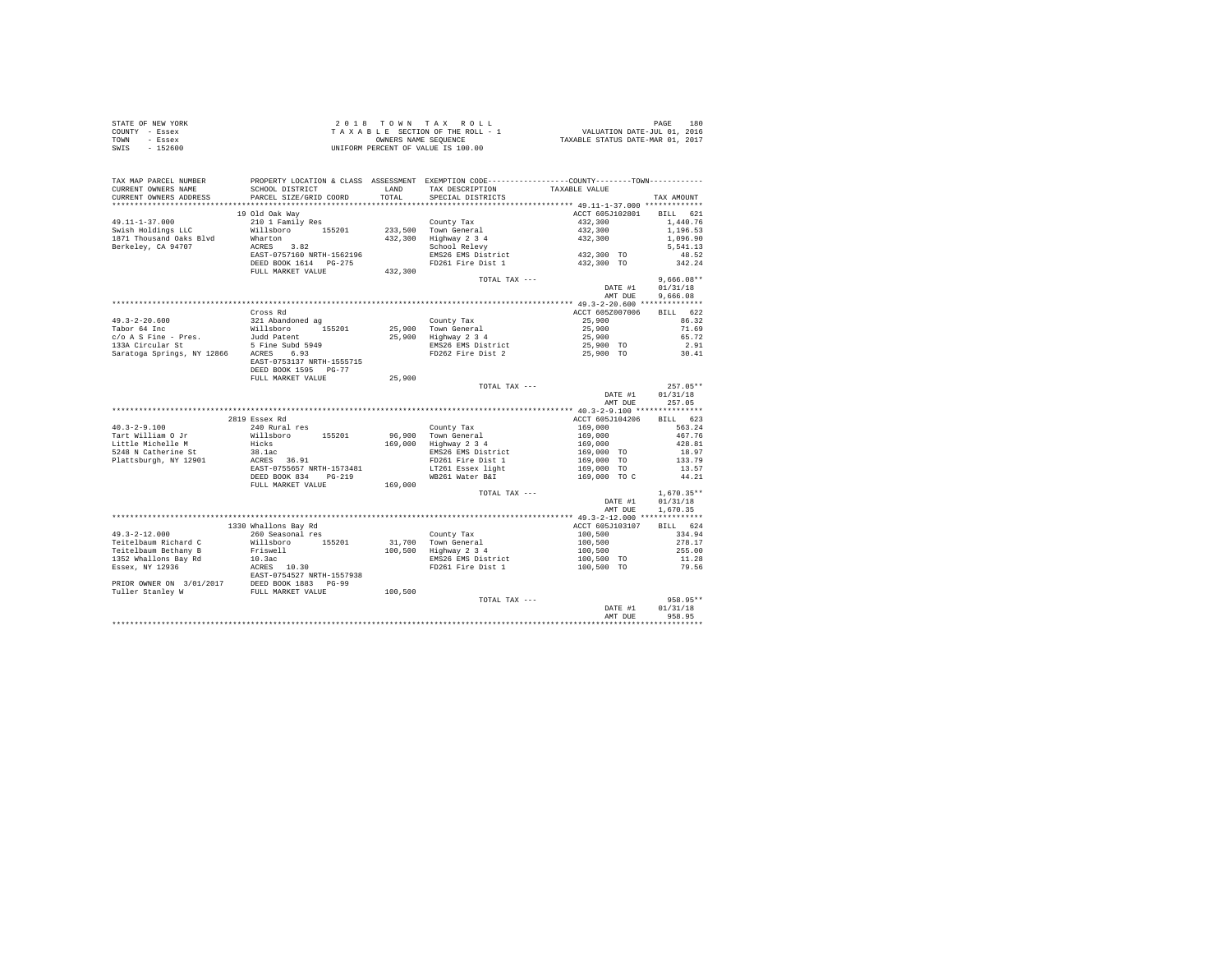| STATE OF NEW YORK | 2018 TOWN TAX ROLL                 | 180<br>PAGE                      |
|-------------------|------------------------------------|----------------------------------|
| COUNTY - Essex    | TAXABLE SECTION OF THE ROLL - 1    | VALUATION DATE-JUL 01, 2016      |
| TOWN<br>- Essex   | OWNERS NAME SEOUENCE               | TAXABLE STATUS DATE-MAR 01, 2017 |
| $-152600$<br>SWIS | UNIFORM PERCENT OF VALUE IS 100.00 |                                  |

| TAX MAP PARCEL NUMBER<br>CURRENT OWNERS NAME<br>CURRENT OWNERS ADDRESS              | PROPERTY LOCATION & CLASS ASSESSMENT EXEMPTION CODE----------------COUNTY-------TOWN----------<br>SCHOOL DISTRICT<br>PARCEL SIZE/GRID COORD | T.AND<br>TOTAL | TAX DESCRIPTION<br>SPECIAL DISTRICTS | TAXABLE VALUE   | TAX AMOUNT   |
|-------------------------------------------------------------------------------------|---------------------------------------------------------------------------------------------------------------------------------------------|----------------|--------------------------------------|-----------------|--------------|
|                                                                                     |                                                                                                                                             |                |                                      |                 |              |
|                                                                                     | 19 Old Oak Way                                                                                                                              |                |                                      | ACCT 605J102801 | BILL 621     |
| $49.11 - 1 - 37.000$                                                                | 210 1 Family Res                                                                                                                            |                | County Tax                           | 432,300         | 1,440.76     |
| Swish Holdings LLC                                                                  | Willsboro 155201                                                                                                                            | 233,500        | Town General                         | 432,300         | 1,196.53     |
| 1871 Thousand Oaks Blvd                                                             | Wharton                                                                                                                                     | 432,300        | Highway 2 3 4                        | 432,300         | 1,096.90     |
| Berkeley, CA 94707                                                                  | ACRES<br>3.82                                                                                                                               |                | School Relevy                        |                 | 5,541.13     |
|                                                                                     | EAST-0757160 NRTH-1562196                                                                                                                   |                | EMS26 EMS District                   | 432,300 TO      | 48.52        |
|                                                                                     | DEED BOOK 1614 PG-275                                                                                                                       |                | FD261 Fire Dist 1                    | 432,300 TO      | 342.24       |
|                                                                                     | FULL MARKET VALUE                                                                                                                           | 432,300        |                                      |                 |              |
|                                                                                     |                                                                                                                                             |                | TOTAL TAX ---                        |                 | $9.666.08**$ |
|                                                                                     |                                                                                                                                             |                |                                      | DATE #1         | 01/31/18     |
|                                                                                     |                                                                                                                                             |                |                                      | AMT DUE         | 9,666.08     |
|                                                                                     |                                                                                                                                             |                |                                      |                 |              |
|                                                                                     | Cross Rd                                                                                                                                    |                |                                      | ACCT 605Z007006 | BILL 622     |
| $49.3 - 2 - 20.600$                                                                 | 321 Abandoned ag                                                                                                                            |                | County Tax                           | 25,900          | 86.32        |
| Tabor 64 Inc                                                                        | Willsboro<br>155201                                                                                                                         |                | 25,900 Town General                  | 25,900          | 71.69        |
| $c/o$ A S Fine - Pres.                                                              | Judd Patent                                                                                                                                 |                | 25,900 Highway 2 3 4                 | 25,900          | 65.72        |
|                                                                                     |                                                                                                                                             |                | EMS26 EMS District                   | 25,900 TO       | 2.91         |
| 133A Circular St 5 Fine Subd 5949<br>Saratoga Springs, NY 12866 ACRES 6.93          |                                                                                                                                             |                | FD262 Fire Dist 2                    | 25,900 TO       | 30.41        |
|                                                                                     | EAST-0753137 NRTH-1555715                                                                                                                   |                |                                      |                 |              |
|                                                                                     | DEED BOOK 1595 PG-77                                                                                                                        |                |                                      |                 |              |
|                                                                                     | FULL MARKET VALUE                                                                                                                           | 25,900         |                                      |                 |              |
|                                                                                     |                                                                                                                                             |                | TOTAL TAX ---                        |                 | $257.05**$   |
|                                                                                     |                                                                                                                                             |                |                                      | DATE #1         | 01/31/18     |
|                                                                                     |                                                                                                                                             |                |                                      | AMT DUE         | 257.05       |
|                                                                                     | 2819 Essex Rd                                                                                                                               |                |                                      | ACCT 605J104206 | BILL 623     |
| $40.3 - 2 - 9.100$                                                                  | 240 Rural res                                                                                                                               |                | County Tax                           | 169,000         | 563.24       |
| Tart William O Jr                                                                   | Willsboro<br>155201                                                                                                                         | 96,900         | Town General                         | 169,000         | 467.76       |
| Little Michelle M                                                                   | Hicks                                                                                                                                       | 169,000        | Highway 2 3 4                        | 169,000         | 428.81       |
| 5248 N Catherine St                                                                 | 38.1ac                                                                                                                                      |                | EMS26 EMS District                   | 169,000 TO      | 18.97        |
| Plattsburgh, NY 12901                                                               | ACRES 36.91                                                                                                                                 |                | FD261 Fire Dist 1                    | 169,000 TO      | 133.79       |
|                                                                                     | EAST-0755657 NRTH-1573481                                                                                                                   |                | LT261 Essex light                    | 169,000 TO      | 13.57        |
|                                                                                     | DEED BOOK 834 PG-219                                                                                                                        |                | WB261 Water B&I                      | 169,000 TO C    | 44.21        |
|                                                                                     | FULL MARKET VALUE                                                                                                                           | 169,000        |                                      |                 |              |
|                                                                                     |                                                                                                                                             |                | TOTAL TAX ---                        |                 | $1.670.35**$ |
|                                                                                     |                                                                                                                                             |                |                                      | DATE #1         | 01/31/18     |
|                                                                                     |                                                                                                                                             |                |                                      | AMT DUE         | 1,670.35     |
|                                                                                     |                                                                                                                                             |                |                                      |                 |              |
|                                                                                     | 1330 Whallons Bay Rd                                                                                                                        |                |                                      | ACCT 605J103107 | BILL 624     |
| $49.3 - 2 - 12.000$                                                                 | 260 Seasonal res                                                                                                                            |                | County Tax                           | 100,500         | 334.94       |
| Teitelbaum Richard C                                                                | Willsboro<br>155201                                                                                                                         |                | 31,700 Town General                  | 100,500         | 278.17       |
| Teitelbaum Bethany B                                                                | Friswell                                                                                                                                    | 100,500        | Highway 2 3 4                        | 100,500         | 255.00       |
| 1352 Whallons Bay Rd                                                                |                                                                                                                                             |                | EMS26 EMS District                   | 100,500 TO      | 11.28        |
| Essex, NY 12936                                                                     | $\begin{tabular}{cc} 10.3ac \\ ACRES & 10.30 \end{tabular}$                                                                                 |                | FD261 Fire Dist 1                    | 100,500 TO      | 79.56        |
|                                                                                     | EAST-0754527 NRTH-1557938                                                                                                                   |                |                                      |                 |              |
| PRIOR OWNER ON 3/01/2017 DEED BOOK 1883 PG-99<br>Tuller Stanley W FULL MARKET VALUE |                                                                                                                                             |                |                                      |                 |              |
|                                                                                     |                                                                                                                                             | 100,500        |                                      |                 |              |
|                                                                                     |                                                                                                                                             |                | TOTAL TAX ---                        |                 | 958.95**     |
|                                                                                     |                                                                                                                                             |                |                                      | DATE #1         | 01/31/18     |
|                                                                                     |                                                                                                                                             |                |                                      | AMT DUE         | 958.95       |
|                                                                                     |                                                                                                                                             |                |                                      |                 |              |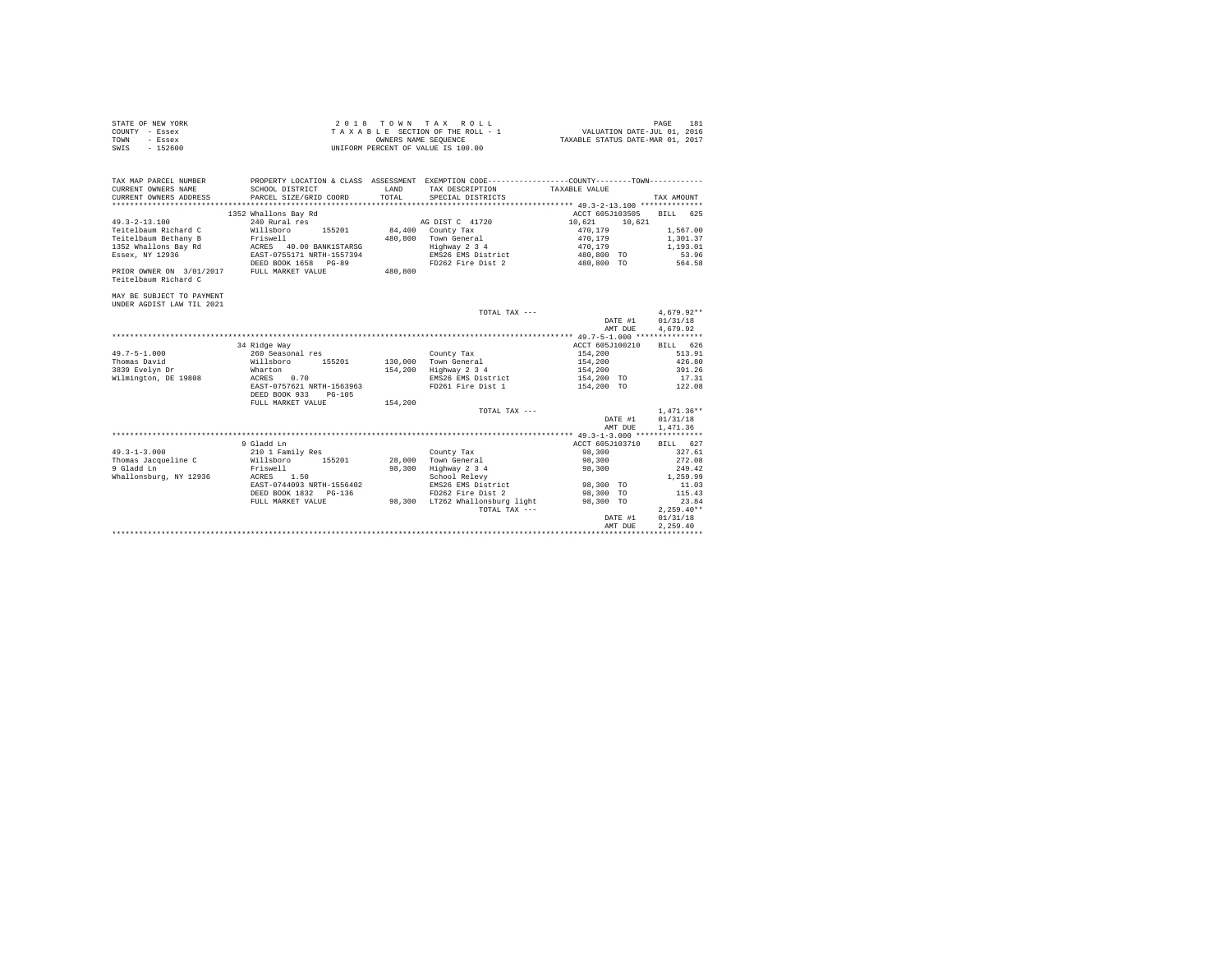| STATE OF NEW YORK | 2018 TOWN TAX ROLL                 | 181<br>PAGE                      |
|-------------------|------------------------------------|----------------------------------|
| COUNTY - Essex    | TAXABLE SECTION OF THE ROLL - 1    | VALUATION DATE-JUL 01, 2016      |
| TOWN<br>- Essex   | OWNERS NAME SEOUENCE               | TAXABLE STATUS DATE-MAR 01, 2017 |
| SWIS<br>$-152600$ | UNIFORM PERCENT OF VALUE IS 100.00 |                                  |

| TAX MAP PARCEL NUMBER     | PROPERTY LOCATION & CLASS ASSESSMENT |         |                    | EXEMPTION CODE-----------------COUNTY-------TOWN----------- |              |
|---------------------------|--------------------------------------|---------|--------------------|-------------------------------------------------------------|--------------|
| CURRENT OWNERS NAME       | SCHOOL DISTRICT                      | LAND    | TAX DESCRIPTION    | TAXABLE VALUE                                               |              |
| CURRENT OWNERS ADDRESS    | PARCEL SIZE/GRID COORD               | TOTAL   | SPECIAL DISTRICTS  |                                                             | TAX AMOUNT   |
|                           |                                      |         |                    |                                                             |              |
|                           | 1352 Whallons Bay Rd                 |         |                    | ACCT 605J103505                                             | BILL 625     |
| 49.3-2-13.100             | 240 Rural res                        |         | AG DIST C 41720    | 10,621<br>10.621                                            |              |
| Teitelbaum Richard C      | Willsboro<br>155201                  | 84,400  | County Tax         | 470,179                                                     | 1,567.00     |
| Teitelbaum Bethany B      | Friswell                             | 480,800 | Town General       | 470.179                                                     | 1,301.37     |
| 1352 Whallons Bay Rd      | ACRES 40.00 BANK1STARSG              |         | Highway 2 3 4      | 470.179                                                     | 1,193.01     |
| Essex, NY 12936           | EAST-0755171 NRTH-1557394            |         | EMS26 EMS District | 480,800 TO                                                  | 53.96        |
|                           | DEED BOOK 1658 PG-89                 |         | FD262 Fire Dist 2  | 480.800 TO                                                  | 564.58       |
| PRIOR OWNER ON 3/01/2017  | FULL MARKET VALUE                    | 480,800 |                    |                                                             |              |
| Teitelbaum Richard C      |                                      |         |                    |                                                             |              |
| MAY BE SUBJECT TO PAYMENT |                                      |         |                    |                                                             |              |
| UNDER AGDIST LAW TIL 2021 |                                      |         |                    |                                                             |              |
|                           |                                      |         | TOTAL TAX $---$    |                                                             | $4.679.92**$ |
|                           |                                      |         |                    | DATE #1                                                     | 01/31/18     |
|                           |                                      |         |                    | AMT DUE                                                     | 4,679.92     |
|                           |                                      |         |                    |                                                             |              |
|                           | 34 Ridge Way                         |         |                    | ACCT 605J100210                                             | BILL 626     |
| $49.7 - 5 - 1.000$        | 260 Seasonal res                     |         | County Tax         | 154,200                                                     | 513.91       |
| Thomas David              | 155201<br>Willsboro                  | 130,000 | Town General       | 154,200                                                     | 426.80       |

| Thomas David           | Willsboro<br>155201                                  | 130,000 | Town General             | 154,200         | 426.80       |
|------------------------|------------------------------------------------------|---------|--------------------------|-----------------|--------------|
| 3839 Evelyn Dr         | Wharton                                              | 154,200 | Highway 2 3 4            | 154,200         | 391.26       |
| Wilmington, DE 19808   | 0.70<br>ACRES                                        |         | EMS26 EMS District       | 154,200 TO      | 17.31        |
|                        | EAST-0757621 NRTH-1563963<br>DEED BOOK 933<br>PG-105 |         | FD261 Fire Dist 1        | 154,200 TO      | 122.08       |
|                        | FULL MARKET VALUE                                    | 154,200 |                          |                 |              |
|                        |                                                      |         | TOTAL TAX ---            |                 | $1.471.36**$ |
|                        |                                                      |         |                          | DATE #1         | 01/31/18     |
|                        |                                                      |         |                          | AMT DUE         | 1,471.36     |
|                        |                                                      |         |                          |                 |              |
|                        | 9 Gladd Ln                                           |         |                          | ACCT 605J103710 | BILL 627     |
| $49.3 - 1 - 3.000$     | 210 1 Family Res                                     |         | County Tax               | 98,300          | 327.61       |
| Thomas Jacqueline C    | Willsboro<br>155201                                  | 28,000  | Town General             | 98,300          | 272.08       |
| 9 Gladd Ln             | Friswell                                             | 98,300  | Highway 2 3 4            | 98,300          | 249.42       |
| Whallonsburg, NY 12936 | 1.50<br>ACRES                                        |         | School Relevy            |                 | 1,259.99     |
|                        | EAST-0744093 NRTH-1556402                            |         | EMS26 EMS District       | 98,300 TO       | 11.03        |
|                        | DEED BOOK 1832 PG-136                                |         | FD262 Fire Dist 2        | 98,300 TO       | 115.43       |
|                        | FULL MARKET VALUE                                    | 98,300  | LT262 Whallonsburg light | 98,300 TO       | 23.84        |
|                        |                                                      |         | TOTAL TAX ---            |                 | $2.259.40**$ |
|                        |                                                      |         |                          | DATE #1         | 01/31/18     |
|                        |                                                      |         |                          | AMT DUE         | 2.259.40     |
|                        |                                                      |         |                          |                 |              |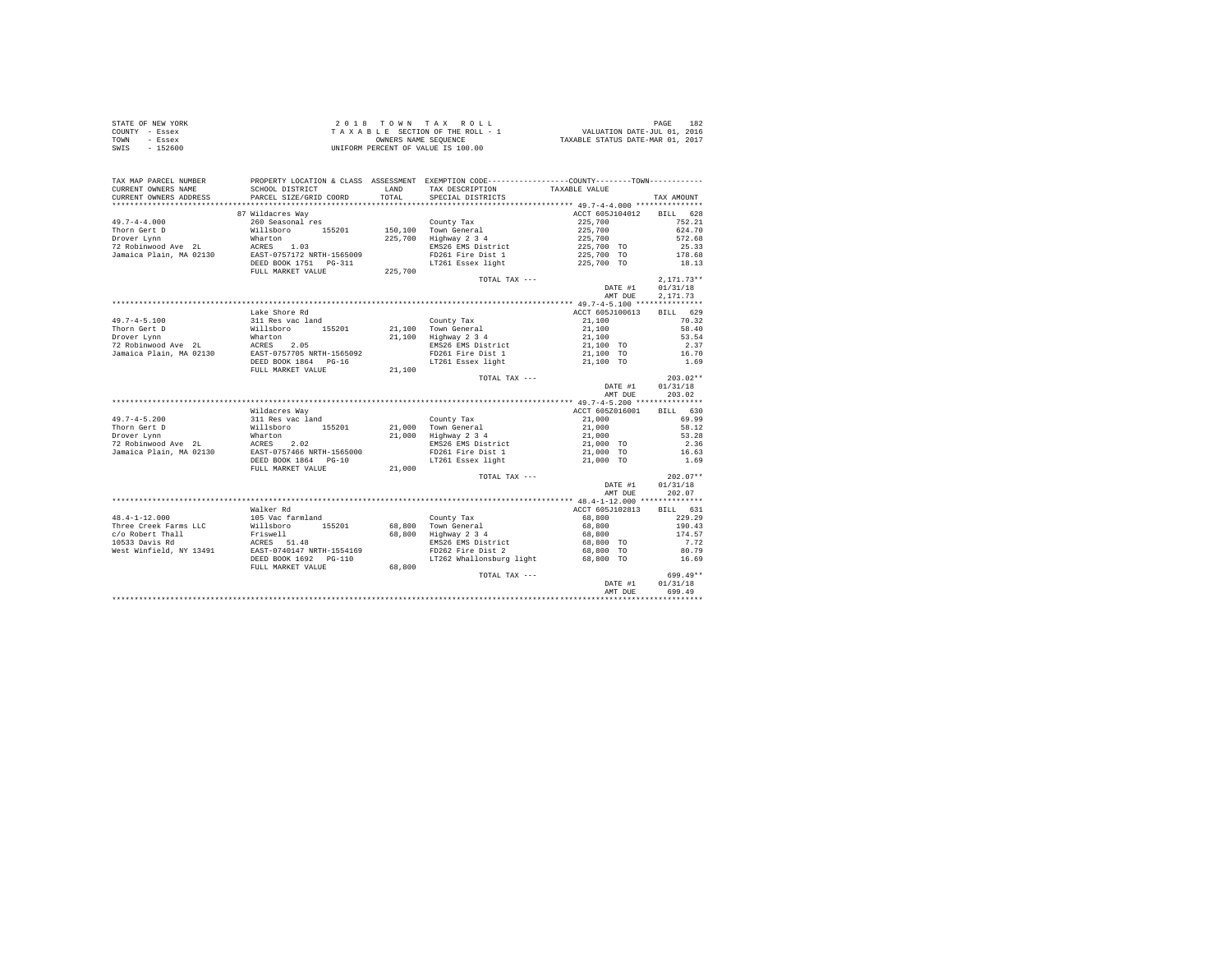| STATE OF NEW YORK | 2018 TOWN TAX ROLL                 | 182<br>PAGE                      |
|-------------------|------------------------------------|----------------------------------|
| COUNTY - Essex    | TAXABLE SECTION OF THE ROLL - 1    | VALUATION DATE-JUL 01, 2016      |
| TOWN<br>- Essex   | OWNERS NAME SEOUENCE               | TAXABLE STATUS DATE-MAR 01, 2017 |
| $-152600$<br>SWIS | UNIFORM PERCENT OF VALUE IS 100.00 |                                  |

| TAX MAP PARCEL NUMBER<br>CURRENT OWNERS NAME   | PROPERTY LOCATION & CLASS ASSESSMENT EXEMPTION CODE----------------COUNTY--------TOWN----------<br>SCHOOL DISTRICT | LAND    | TAX DESCRIPTION                             | TAXABLE VALUE                 |               |
|------------------------------------------------|--------------------------------------------------------------------------------------------------------------------|---------|---------------------------------------------|-------------------------------|---------------|
| CURRENT OWNERS ADDRESS                         | PARCEL SIZE/GRID COORD                                                                                             | TOTAL   | SPECIAL DISTRICTS                           |                               | TAX AMOUNT    |
| *******************                            | ***************************                                                                                        |         |                                             |                               |               |
|                                                | 87 Wildacres Way                                                                                                   |         |                                             | ACCT 605J104012               | BILL 628      |
| $49.7 - 4 - 4.000$                             | 260 Seasonal res                                                                                                   |         | County Tax                                  | 225,700<br>225,700            | 752.21        |
| Thorn Gert D                                   | Willsboro 155201                                                                                                   |         | 150.100 Town General                        |                               | 624.70        |
| Drover Lynn                                    | Wharton                                                                                                            |         | 225,700 Highway 2 3 4                       | 225,700                       | 572.68        |
| 72 Robinwood Ave 2L                            | ARRES 1.03<br>RCRES 1.03<br>EAST-0757172 NRTH-1565009                                                              |         | EMS26 EMS District                          | $225,700$ TO                  | 25.33         |
| Jamaica Plain, MA 02130                        |                                                                                                                    |         | FD261 Fire Dist 1                           | 225,700 TO                    | 178.68        |
|                                                | DEED BOOK 1751    PG-311                                                                                           |         |                                             | LT261 Essex light 225,700 TO  | 18.13         |
|                                                | FULL MARKET VALUE                                                                                                  | 225,700 |                                             |                               |               |
|                                                |                                                                                                                    |         | TOTAL TAX ---                               |                               | $2,171.73**$  |
|                                                |                                                                                                                    |         |                                             | DATE #1                       | 01/31/18      |
|                                                |                                                                                                                    |         |                                             | AMT DUE                       | 2.171.73      |
|                                                |                                                                                                                    |         |                                             |                               |               |
|                                                | Lake Shore Rd                                                                                                      |         |                                             | ACCT 605J100613               | BILL 629      |
| $49.7 - 4 - 5.100$                             | 311 Res vac land                                                                                                   |         | County Tax                                  | 21,100                        | 70.32         |
| Thorn Gert D                                   | Willsboro 155201                                                                                                   |         | 21.100 Town General                         | 21,100                        | 58.40         |
| Drover Lynn                                    | Wharton<br>ACRES 2.05                                                                                              |         | 21,100 Highway 2 3 4                        | 21,100<br>21,100 TO           | 53.54         |
| 72 Robinwood Ave 2L                            |                                                                                                                    |         | EMS26 EMS District                          |                               | 2.37          |
| Jamaica Plain, MA 02130                        | EAST-0757705 NRTH-1565092                                                                                          |         | FD261 Fire Dist 1                           | 21,100 TO                     | 16.70         |
|                                                | DEED BOOK 1864 PG-16                                                                                               |         | LT261 Essex light                           | 21,100 TO                     | 1.69          |
|                                                | FULL MARKET VALUE                                                                                                  | 21,100  |                                             |                               |               |
|                                                |                                                                                                                    |         | TOTAL TAX ---                               |                               | $203.02**$    |
|                                                |                                                                                                                    |         |                                             | DATE #1                       | 01/31/18      |
|                                                |                                                                                                                    |         |                                             | AMT DUE                       | 203.02        |
|                                                |                                                                                                                    |         |                                             |                               |               |
|                                                | Wildacres Way<br>311 Res vac land                                                                                  |         |                                             | ACCT 605Z016001               | BILL 630      |
| $49.7 - 4 - 5.200$                             |                                                                                                                    |         | County Tax                                  | 21,000                        | 69.99         |
| Thorn Gert D                                   |                                                                                                                    |         | 21,000 Town General                         |                               | 58.12         |
| Drover Lynn                                    | Willsboro 155201<br>Wharton<br>ACRES 2.02                                                                          |         | 21,000 $\frac{1}{2}$ Highway 2 3 4          | 21,000<br>21,000<br>21,000 TO | 53.28<br>2.36 |
| 72 Robinwood Ave 2L<br>Jamaica Plain, MA 02130 | EAST-0757466 NRTH-1565000                                                                                          |         | EMS26 EMS District<br>FD261 Fire Dist 1     | 21,000 TO                     | 16.63         |
|                                                | DEED BOOK 1864 PG-10                                                                                               |         | LT261 Essex light                           | 21,000 TO                     | 1.69          |
|                                                | FULL MARKET VALUE                                                                                                  | 21,000  |                                             |                               |               |
|                                                |                                                                                                                    |         | TOTAL TAX ---                               |                               | $202.07**$    |
|                                                |                                                                                                                    |         |                                             | DATE #1                       | 01/31/18      |
|                                                |                                                                                                                    |         |                                             | AMT DUE                       | 202.07        |
|                                                |                                                                                                                    |         |                                             |                               |               |
|                                                | Walker Rd                                                                                                          |         |                                             | ACCT 605J102813               | BILL 631      |
| $48.4 - 1 - 12.000$                            | 105 Vac farmland                                                                                                   |         | County Tax                                  | 68,800                        | 229.29        |
| Three Creek Farms LLC                          | Willsboro<br>155201                                                                                                |         |                                             |                               | 190.43        |
| c/o Robert Thall                               | Friswell                                                                                                           |         | 68,800 Town General<br>68,800 Highway 2 3 4 | 68,800<br>68,800              | 174.57        |
| 10533 Davis Rd                                 |                                                                                                                    |         | EMS26 EMS District                          | 68,800 TO                     | 7.72          |
| West Winfield, NY 13491                        | ACRES 51.48<br>EAST-0740147 NRTH-1554169                                                                           |         | FD262 Fire Dist 2                           | 68,800 TO                     | 80.79         |
|                                                | DEED BOOK 1692    PG-110                                                                                           |         | LT262 Whallonsburg light 68,800 TO          |                               | 16.69         |
|                                                | FULL MARKET VALUE                                                                                                  | 68,800  |                                             |                               |               |
|                                                |                                                                                                                    |         | TOTAL TAX ---                               |                               | 699.49**      |
|                                                |                                                                                                                    |         |                                             | DATE #1                       | 01/31/18      |
|                                                |                                                                                                                    |         |                                             | AMT DUE                       | 699.49        |
|                                                |                                                                                                                    |         |                                             |                               |               |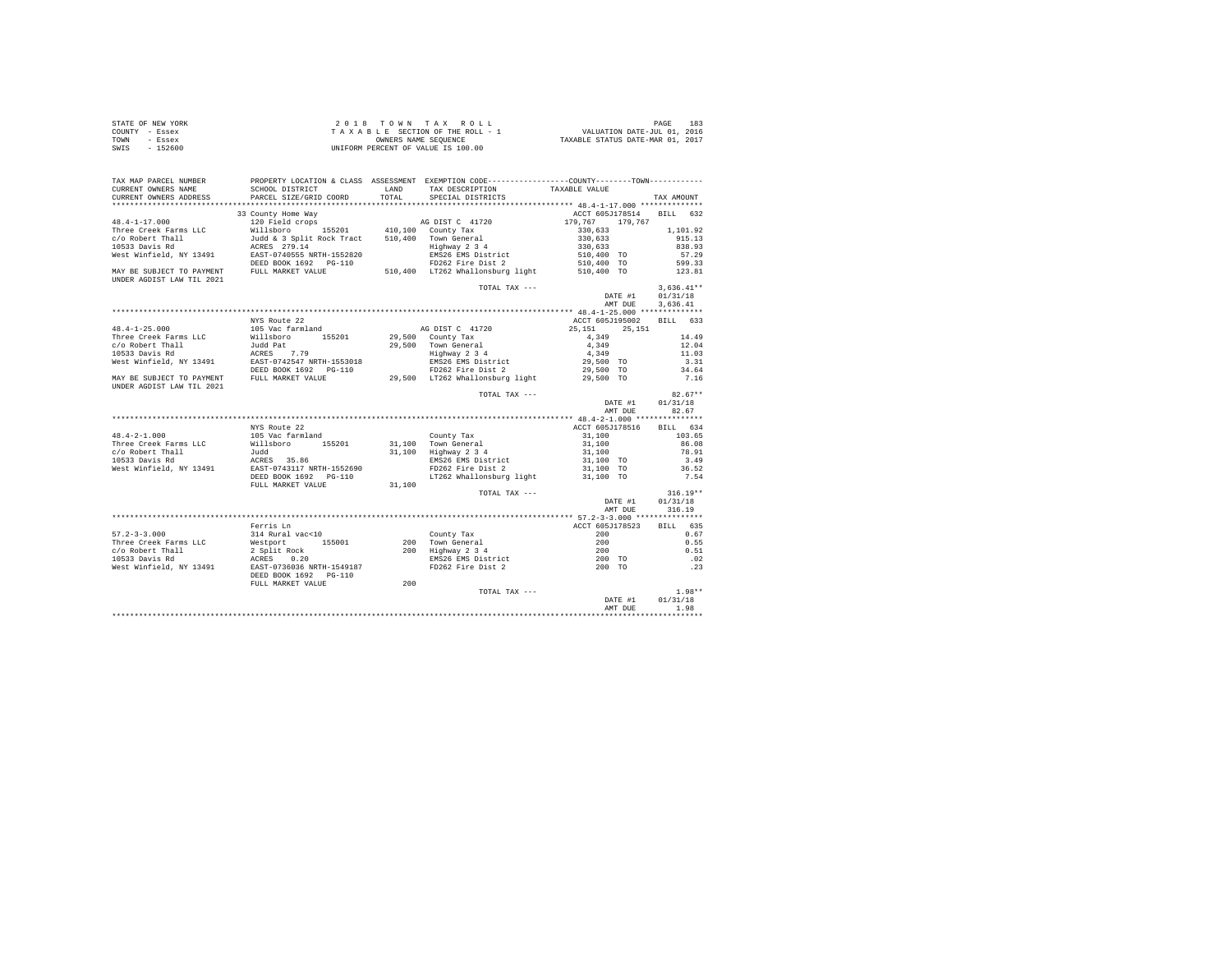| STATE OF NEW YORK | 2018 TOWN TAX ROLL                 | 183<br>PAGE                      |
|-------------------|------------------------------------|----------------------------------|
| COUNTY - Essex    | TAXABLE SECTION OF THE ROLL - 1    | VALUATION DATE-JUL 01, 2016      |
| TOWN<br>- Essex   | OWNERS NAME SEOUENCE               | TAXABLE STATUS DATE-MAR 01, 2017 |
| $-152600$<br>SWIS | UNIFORM PERCENT OF VALUE IS 100.00 |                                  |

| TAX MAP PARCEL NUMBER     |                                                                                                                                                                                                                                                             | PROPERTY LOCATION & CLASS ASSESSMENT EXEMPTION CODE---------------COUNTY-------TOWN--------- |                                                                                    |                |
|---------------------------|-------------------------------------------------------------------------------------------------------------------------------------------------------------------------------------------------------------------------------------------------------------|----------------------------------------------------------------------------------------------|------------------------------------------------------------------------------------|----------------|
| CURRENT OWNERS NAME       |                                                                                                                                                                                                                                                             | LAND TAX DESCRIPTION TAXABLE VALUE                                                           |                                                                                    |                |
| CURRENT OWNERS ADDRESS    | -----<br>SCHOOL DISTRICT<br>PARCEL SIZE/GRID COORD                                                                                                                                                                                                          | TOTAL SPECIAL DISTRICTS                                                                      |                                                                                    | TAX AMOUNT     |
|                           |                                                                                                                                                                                                                                                             |                                                                                              |                                                                                    |                |
|                           | 33 County Home Way                                                                                                                                                                                                                                          |                                                                                              | ACCT 605J178514 BILL 632                                                           |                |
|                           |                                                                                                                                                                                                                                                             |                                                                                              |                                                                                    |                |
|                           |                                                                                                                                                                                                                                                             |                                                                                              |                                                                                    |                |
|                           |                                                                                                                                                                                                                                                             |                                                                                              |                                                                                    |                |
|                           |                                                                                                                                                                                                                                                             |                                                                                              |                                                                                    |                |
|                           |                                                                                                                                                                                                                                                             |                                                                                              |                                                                                    |                |
|                           |                                                                                                                                                                                                                                                             |                                                                                              |                                                                                    |                |
| UNDER AGDIST LAW TIL 2021 |                                                                                                                                                                                                                                                             |                                                                                              |                                                                                    |                |
|                           |                                                                                                                                                                                                                                                             | TOTAL TAX ---                                                                                |                                                                                    | $3,636.41**$   |
|                           |                                                                                                                                                                                                                                                             |                                                                                              | DATE #1                                                                            | 01/31/18       |
|                           |                                                                                                                                                                                                                                                             |                                                                                              | AMT DUE                                                                            | 3,636.41       |
|                           |                                                                                                                                                                                                                                                             |                                                                                              |                                                                                    |                |
|                           | NYS Route 22                                                                                                                                                                                                                                                |                                                                                              | ACCT 605J195002 BILL 633                                                           |                |
|                           |                                                                                                                                                                                                                                                             |                                                                                              |                                                                                    |                |
|                           |                                                                                                                                                                                                                                                             |                                                                                              |                                                                                    |                |
|                           |                                                                                                                                                                                                                                                             |                                                                                              |                                                                                    |                |
|                           |                                                                                                                                                                                                                                                             |                                                                                              |                                                                                    |                |
|                           |                                                                                                                                                                                                                                                             |                                                                                              |                                                                                    |                |
|                           |                                                                                                                                                                                                                                                             |                                                                                              |                                                                                    |                |
| UNDER AGDIST LAW TIL 2021 |                                                                                                                                                                                                                                                             |                                                                                              |                                                                                    |                |
|                           |                                                                                                                                                                                                                                                             | TOTAL TAX ---                                                                                |                                                                                    | $82.67**$      |
|                           |                                                                                                                                                                                                                                                             |                                                                                              | DATE #1 01/31/18                                                                   |                |
|                           |                                                                                                                                                                                                                                                             |                                                                                              | AMT DUE                                                                            | 82.67          |
|                           |                                                                                                                                                                                                                                                             |                                                                                              |                                                                                    |                |
|                           | NYS Route 22                                                                                                                                                                                                                                                |                                                                                              | ACCT 605J178516 BILL 634                                                           |                |
|                           |                                                                                                                                                                                                                                                             |                                                                                              |                                                                                    |                |
|                           |                                                                                                                                                                                                                                                             |                                                                                              |                                                                                    |                |
|                           |                                                                                                                                                                                                                                                             |                                                                                              |                                                                                    |                |
|                           |                                                                                                                                                                                                                                                             |                                                                                              |                                                                                    |                |
|                           |                                                                                                                                                                                                                                                             |                                                                                              |                                                                                    |                |
|                           |                                                                                                                                                                                                                                                             |                                                                                              |                                                                                    |                |
|                           | 48.4-2-1.000 105 Note 22<br>Three Creek Farms LLC Willsboro 155201 31,100 Town General 31,100 86.08<br>2011,100 105.65 Note farmland 21,100 Town General 31,100 86.08<br>20133 Davis Rd<br>20133 Davis Rd<br>20133 Davis Rd<br>20133 Davis                  |                                                                                              |                                                                                    |                |
|                           |                                                                                                                                                                                                                                                             | TOTAL TAX ---                                                                                |                                                                                    | $316.19**$     |
|                           |                                                                                                                                                                                                                                                             |                                                                                              | DATE #1                                                                            | 01/31/18       |
|                           |                                                                                                                                                                                                                                                             |                                                                                              |                                                                                    | AMT DUE 316.19 |
|                           |                                                                                                                                                                                                                                                             |                                                                                              |                                                                                    |                |
|                           |                                                                                                                                                                                                                                                             |                                                                                              |                                                                                    |                |
|                           |                                                                                                                                                                                                                                                             |                                                                                              |                                                                                    |                |
|                           |                                                                                                                                                                                                                                                             |                                                                                              |                                                                                    |                |
|                           |                                                                                                                                                                                                                                                             |                                                                                              |                                                                                    |                |
|                           |                                                                                                                                                                                                                                                             |                                                                                              |                                                                                    |                |
|                           |                                                                                                                                                                                                                                                             |                                                                                              |                                                                                    |                |
|                           | 97.2–3–3.000<br>Three Creek Farms LLC March 200 (200 Forms and 200 (200 Forms LLC March 200 (200 Forms LLC March 200 (200 Forms 200 (200 Forms 200 (3.4)<br>Three Creek Farms LLC March 200 Town General 200 (3.57 (2.57 March 200<br>FULL MARKET VALUE 200 |                                                                                              |                                                                                    |                |
|                           |                                                                                                                                                                                                                                                             |                                                                                              |                                                                                    |                |
|                           |                                                                                                                                                                                                                                                             | TOTAL TAX ---                                                                                | $\begin{tabular}{cc} & & & 1.98** \\ \texttt{DATE \#1} & & 01/31/18 \end{tabular}$ |                |
|                           |                                                                                                                                                                                                                                                             |                                                                                              | AMT DUE 1.98                                                                       |                |
|                           |                                                                                                                                                                                                                                                             |                                                                                              |                                                                                    |                |
|                           |                                                                                                                                                                                                                                                             |                                                                                              |                                                                                    |                |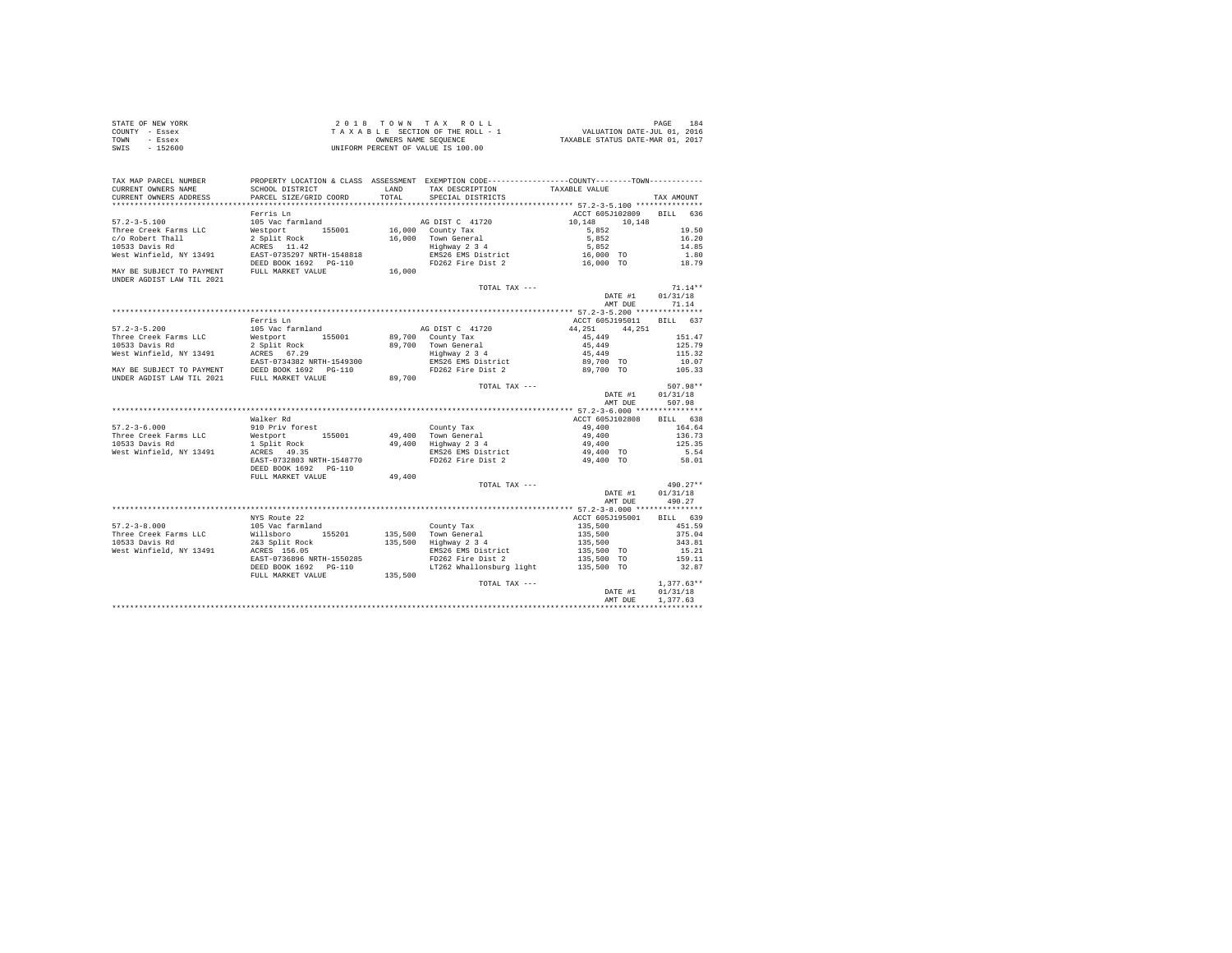|                | STATE OF NEW YORK | 2018 TOWN TAX ROLL                                       | PAGE                        | 184 |
|----------------|-------------------|----------------------------------------------------------|-----------------------------|-----|
| COUNTY - Essex |                   | TAXABLE SECTION OF THE ROLL - 1                          | VALUATION DATE-JUL 01, 2016 |     |
| TOWN           | - Essex           | TAXABLE STATUS DATE-MAR 01, 2017<br>OWNERS NAME SEOUENCE |                             |     |
| SWIS           | $-152600$         | UNIFORM PERCENT OF VALUE IS 100.00                       |                             |     |

| TAX MAP PARCEL NUMBER                                                    |                                           |                | PROPERTY LOCATION & CLASS ASSESSMENT EXEMPTION CODE---------------COUNTY-------TOWN--------- |                          |                 |
|--------------------------------------------------------------------------|-------------------------------------------|----------------|----------------------------------------------------------------------------------------------|--------------------------|-----------------|
| CURRENT OWNERS NAME                                                      | SCHOOL DISTRICT                           | LAND<br>TOTAL. | TAX DESCRIPTION                                                                              | TAXABLE VALUE            |                 |
| CURRENT OWNERS ADDRESS                                                   | PARCEL SIZE/GRID COORD                    |                | SPECIAL DISTRICTS                                                                            |                          | TAX AMOUNT      |
|                                                                          | Ferris Ln                                 |                |                                                                                              | ACCT 605J102809          | BILL 636        |
| $57.2 - 3 - 5.100$                                                       | 105 Vac farmland                          |                | AG DIST C 41720                                                                              | 10,148<br>10,148         |                 |
| Three Creek Farms LLC                                                    | Westport 155001                           |                | 16,000 County Tax                                                                            | 5.852                    | 19.50           |
| c/o Robert Thall                                                         | 2 Split Rock                              |                | 16,000 Town General<br>Highway 2 3 4                                                         | 5.852                    | 16.20           |
| 10533 Davis Rd                                                           | ACRES 11.42                               |                |                                                                                              | 5,852                    | 14.85           |
| West Winfield, NY 13491                                                  | EAST-0735297 NRTH-1548818                 |                |                                                                                              |                          | 1,80            |
|                                                                          | DEED BOOK 1692    PG-110                  |                | EMS26 EMS District 16,000 TO<br>FD262 Fire Dist 2 16,000 TO                                  |                          | 18.79           |
| MAY BE SUBJECT TO PAYMENT<br>IINDER AGDIST LAW TIL 2021                  | FULL MARKET VALUE                         | 16,000         |                                                                                              |                          |                 |
|                                                                          |                                           |                | TOTAL TAX ---                                                                                |                          | $71.14**$       |
|                                                                          |                                           |                |                                                                                              | DATE #1                  | 01/31/18        |
|                                                                          |                                           |                |                                                                                              | AMT DUE                  | 71.14           |
|                                                                          |                                           |                |                                                                                              |                          |                 |
|                                                                          | Ferris Ln                                 |                |                                                                                              | ACCT 605J195011 BILL 637 |                 |
| $57.2 - 3 - 5.200$                                                       | 105 Vac farmland                          |                | AG DIST C 41720                                                                              | 44.251<br>44.251         |                 |
| Three Creek Farms LLC                                                    | Westport 155001                           |                | 89,700 County Tax                                                                            | 45,449                   | 151.47          |
| 10533 Davis Rd                                                           | 2 Split Rock                              |                | 89,700 County Islam<br>89,700 Town General<br>Highway 2 3 4                                  | 45,449                   | 125.79          |
| West Winfield, NY 13491                                                  | ACRES 67.29                               |                |                                                                                              | 45,449                   | 115.32          |
|                                                                          | EAST-0734382 NRTH-1549300                 |                | EMS26 EMS District                                                                           | 89,700 TO                | 10.07           |
| MAY BE SUBJECT TO PAYMENT<br>UNDER AGDIST LAW TIL 2021 FULL MARKET VALUE |                                           |                | FD262 Fire Dist 2                                                                            | 89,700 TO                | 105.33          |
|                                                                          |                                           | 89,700         | TOTAL TAX ---                                                                                |                          | 507.98**        |
|                                                                          |                                           |                |                                                                                              | DATE #1                  | 01/31/18        |
|                                                                          |                                           |                |                                                                                              | AMT DUE                  | 507.98          |
|                                                                          |                                           |                |                                                                                              |                          |                 |
|                                                                          | Walker Rd                                 |                |                                                                                              | ACCT 605J102808          | BILL 638        |
| $57.2 - 3 - 6.000$                                                       | 910 Priv forest                           |                | County Tax                                                                                   | 49,400                   | 164.64          |
| Three Creek Farms LLC                                                    | Westport 155001                           |                | 49.400 Town General                                                                          | 49,400                   | 136.73          |
| 10533 Davis Rd                                                           | 1 Split Rock                              |                | 49,400 Highway 2 3 4                                                                         | 49,400                   | 125.35          |
| West Winfield, NY 13491                                                  | ACRES 49.35                               |                | EMS26 EMS District                                                                           | 49,400 TO                | 5.54            |
|                                                                          | EAST-0732803 NRTH-1548770                 |                | FD262 Fire Dist 2                                                                            | 49,400 TO                | 58.01           |
|                                                                          | DEED BOOK 1692    PG-110                  |                |                                                                                              |                          |                 |
|                                                                          | FULL MARKET VALUE                         | 49,400         |                                                                                              |                          |                 |
|                                                                          |                                           |                | TOTAL TAX ---                                                                                |                          | $490.27**$      |
|                                                                          |                                           |                |                                                                                              | DATE #1                  | 01/31/18        |
|                                                                          |                                           |                |                                                                                              | AMT DUE                  | 490.27          |
|                                                                          |                                           |                |                                                                                              |                          |                 |
|                                                                          | NYS Route 22                              |                |                                                                                              | ACCT 605J195001          | BILL 639        |
| $57.2 - 3 - 8.000$                                                       | 105 Vac farmland<br>Willsboro 155201      |                | County Tax<br>135,500 Town General<br>135,500 Highway 2 3 4                                  | 135,500                  | 451.59          |
| Three Creek Farms LLC                                                    |                                           |                |                                                                                              | 135,500                  | 375.04          |
| 10533 Davis Rd                                                           | 2&3 Split Rock<br>ACRES 156.05            |                |                                                                                              | 135,500                  | 343.81          |
| West Winfield, NY 13491                                                  | ACRES 156.05<br>EAST-0736896 NRTH-1550285 |                | EMS26 EMS District<br>FD262 Fire Dist 2                                                      | 135,500 TO<br>135,500 TO | 15.21<br>159.11 |
|                                                                          | DEED BOOK 1692   PG-110                   |                | LT262 Whallonsburg light 135,500 TO                                                          |                          | 32.87           |
|                                                                          | FULL MARKET VALUE                         | 135,500        |                                                                                              |                          |                 |
|                                                                          |                                           |                | TOTAL TAX ---                                                                                |                          | $1,377.63**$    |
|                                                                          |                                           |                |                                                                                              | DATE #1                  | 01/31/18        |
|                                                                          |                                           |                |                                                                                              | AMT DUE                  | 1.377.63        |
|                                                                          |                                           |                |                                                                                              |                          |                 |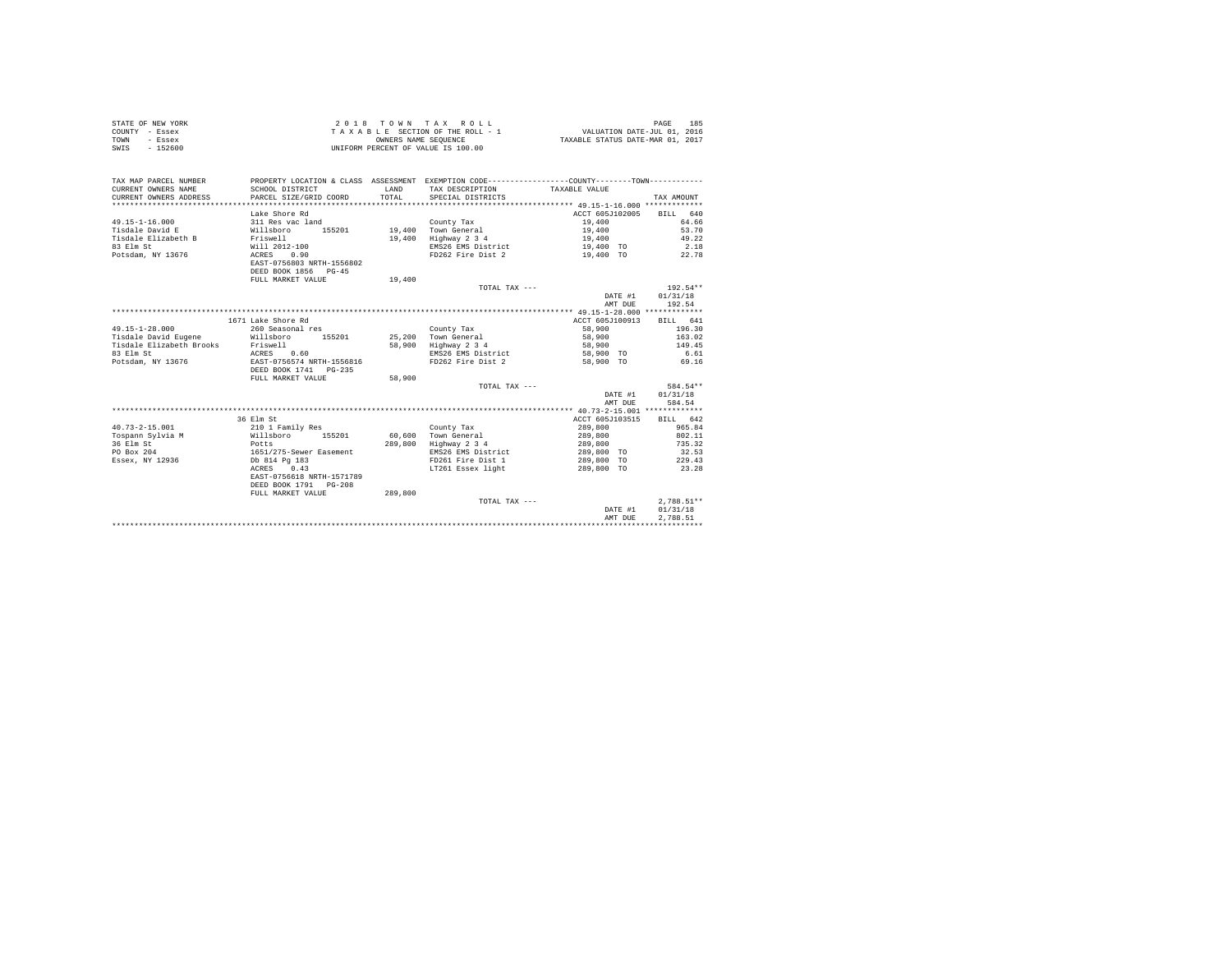| STATE OF NEW YORK | 2018 TOWN TAX ROLL                 | 185<br>PAGE                      |
|-------------------|------------------------------------|----------------------------------|
| COUNTY - Essex    | TAXABLE SECTION OF THE ROLL - 1    | VALUATION DATE-JUL 01, 2016      |
| TOWN<br>- Essex   | OWNERS NAME SEOUENCE               | TAXABLE STATUS DATE-MAR 01, 2017 |
| $-152600$<br>SWIS | UNIFORM PERCENT OF VALUE IS 100.00 |                                  |

| TAX MAP PARCEL NUMBER<br>CURRENT OWNERS NAME<br>CURRENT OWNERS ADDRESS | SCHOOL DISTRICT<br>PARCEL SIZE/GRID COORD | LAND<br>TOTAL. | PROPERTY LOCATION & CLASS ASSESSMENT EXEMPTION CODE----------------COUNTY-------TOWN----------<br>TAX DESCRIPTION TAXABLE VALUE<br>SPECIAL DISTRICTS |                 | TAX AMOUNT   |
|------------------------------------------------------------------------|-------------------------------------------|----------------|------------------------------------------------------------------------------------------------------------------------------------------------------|-----------------|--------------|
|                                                                        |                                           |                |                                                                                                                                                      |                 |              |
|                                                                        | Lake Shore Rd                             |                |                                                                                                                                                      | ACCT 605J102005 | BILL 640     |
| $49.15 - 1 - 16.000$                                                   | 311 Res vac land                          |                | County Tax                                                                                                                                           | 19,400          | 64.66        |
| Tisdale David E                                                        | Willsboro 155201                          |                | 19,400 Town General                                                                                                                                  | 19,400          | 53.70        |
| Tisdale Elizabeth B Friswell                                           |                                           | 19,400         | Highway 2 3 4                                                                                                                                        | 19,400          | 49.22        |
| 83 Elm St                                                              | Will 2012-100                             |                | EMS26 EMS District                                                                                                                                   | 19,400 TO       | 2.18         |
| Potsdam, NY 13676                                                      | ACRES 0.90                                |                | FD262 Fire Dist 2                                                                                                                                    | 19,400 TO       | 22.78        |
|                                                                        | EAST-0756803 NRTH-1556802                 |                |                                                                                                                                                      |                 |              |
|                                                                        | DEED BOOK 1856 PG-45                      |                |                                                                                                                                                      |                 |              |
|                                                                        | FULL MARKET VALUE                         | 19,400         |                                                                                                                                                      |                 |              |
|                                                                        |                                           |                | TOTAL TAX ---                                                                                                                                        |                 | $192.54**$   |
|                                                                        |                                           |                |                                                                                                                                                      | DATE #1         | 01/31/18     |
|                                                                        |                                           |                |                                                                                                                                                      | AMT DUE         | 192.54       |
|                                                                        |                                           |                |                                                                                                                                                      |                 |              |
|                                                                        | 1671 Lake Shore Rd                        |                |                                                                                                                                                      | ACCT 605J100913 | BILL 641     |
| $49.15 - 1 - 28.000$                                                   | 260 Seasonal res                          |                | County Tax                                                                                                                                           | 58,900          | 196.30       |
| Tisdale David Eugene Millsboro                                         | 155201                                    | 25,200         | Town General                                                                                                                                         | 58,900          | 163.02       |
| Tisdale Elizabeth Brooks                                               | Friswell                                  |                | 58,900 Highway 2 3 4                                                                                                                                 | 58,900          | 149.45       |
| 83 Elm St                                                              | ACRES 0.60                                |                | EMS26 EMS District                                                                                                                                   | 58,900 TO       | 6.61         |
| Potsdam, NY 13676                                                      | EAST-0756574 NRTH-1556816                 |                | FD262 Fire Dist 2                                                                                                                                    | 58,900 TO       | 69.16        |
|                                                                        | DEED BOOK 1741   PG-235                   |                |                                                                                                                                                      |                 |              |
|                                                                        | FULL MARKET VALUE                         | 58,900         |                                                                                                                                                      |                 |              |
|                                                                        |                                           |                | TOTAL TAX ---                                                                                                                                        |                 | 584.54**     |
|                                                                        |                                           |                |                                                                                                                                                      | DATE #1         | 01/31/18     |
|                                                                        |                                           |                |                                                                                                                                                      | AMT DUE         | 584.54       |
|                                                                        |                                           |                |                                                                                                                                                      |                 |              |
|                                                                        | 36 Elm St                                 |                |                                                                                                                                                      | ACCT 605J103515 | BILL 642     |
| $40.73 - 2 - 15.001$                                                   | 210 1 Family Res                          |                | County Tax                                                                                                                                           | 289,800         | 965.84       |
| Tospann Sylvia M                                                       | Willsboro 155201                          |                | 60.600 Town General                                                                                                                                  | 289,800         | 802.11       |
| 36 Elm St                                                              | Potts                                     | 289,800        | Highway 2 3 4                                                                                                                                        | 289,800         | 735.32       |
| PO Box 204                                                             | 1651/275-Sewer Easement                   |                | EMS26 EMS District                                                                                                                                   | 289,800 TO      | 32.53        |
| Essex, NY 12936                                                        | Db 814 Pg 183                             |                | FD261 Fire Dist 1                                                                                                                                    | 289,800 TO      | 229.43       |
|                                                                        | ACRES 0.43                                |                | LT261 Essex light                                                                                                                                    | 289,800 TO      | 23.28        |
|                                                                        | EAST-0756618 NRTH-1571789                 |                |                                                                                                                                                      |                 |              |
|                                                                        | DEED BOOK 1791 PG-208                     |                |                                                                                                                                                      |                 |              |
|                                                                        | FULL MARKET VALUE                         | 289,800        |                                                                                                                                                      |                 |              |
|                                                                        |                                           |                | TOTAL TAX ---                                                                                                                                        |                 | $2.788.51**$ |
|                                                                        |                                           |                |                                                                                                                                                      | DATE #1         | 01/31/18     |
|                                                                        |                                           |                |                                                                                                                                                      | AMT DUE         | 2.788.51     |
|                                                                        |                                           |                |                                                                                                                                                      |                 |              |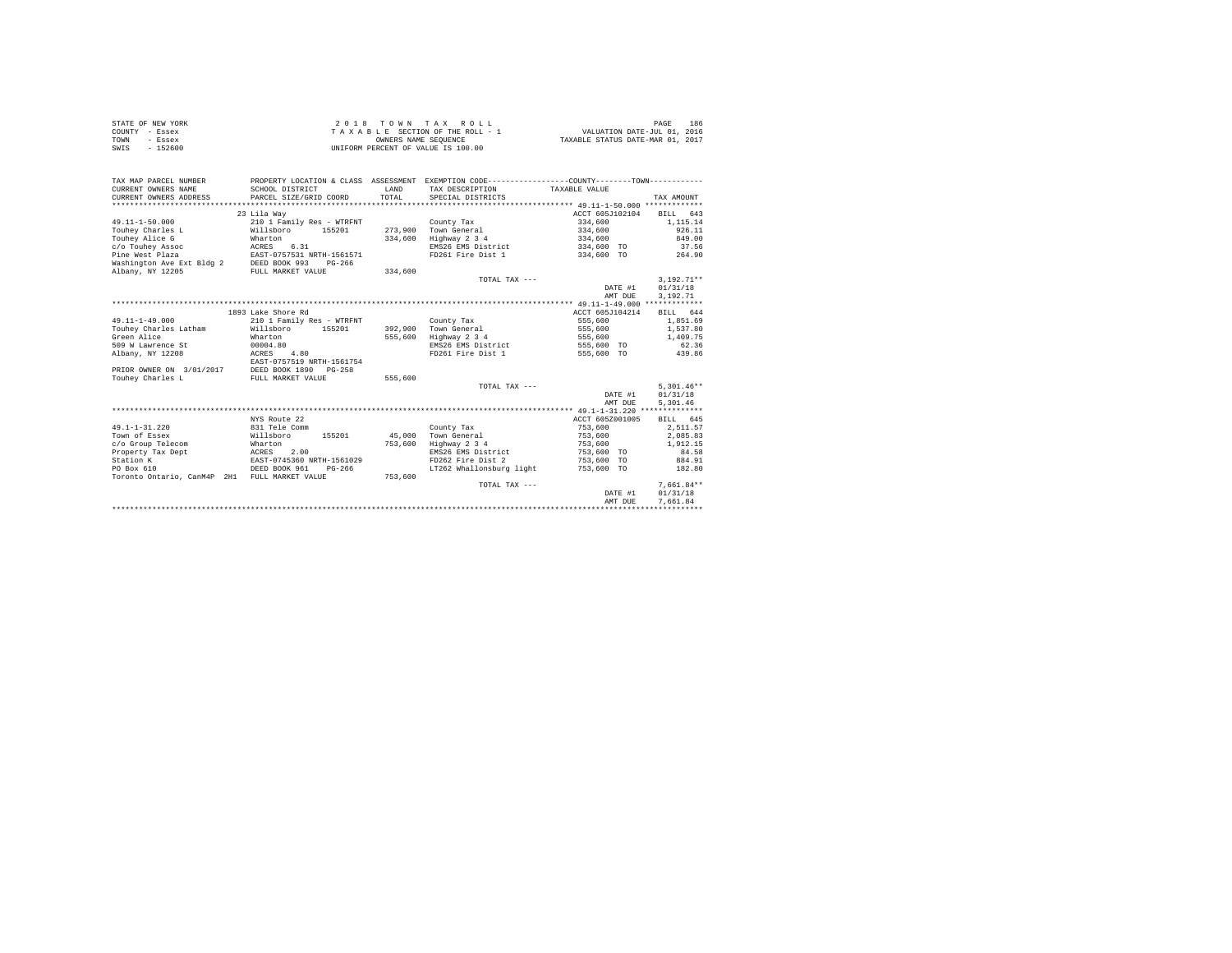| STATE OF NEW YORK | 2018 TOWN TAX ROLL                 | 186<br>PAGE                      |
|-------------------|------------------------------------|----------------------------------|
| COUNTY - Essex    | TAXABLE SECTION OF THE ROLL - 1    | VALUATION DATE-JUL 01, 2016      |
| TOWN<br>- Essex   | OWNERS NAME SEOUENCE               | TAXABLE STATUS DATE-MAR 01, 2017 |
| $-152600$<br>SWIS | UNIFORM PERCENT OF VALUE IS 100.00 |                                  |

| TAX MAP PARCEL NUMBER<br>CURRENT OWNERS NAME<br>CURRENT OWNERS ADDRESS<br>************************* | SCHOOL DISTRICT<br>PARCEL SIZE/GRID COORD | LAND<br>TOTAL | PROPERTY LOCATION & CLASS ASSESSMENT EXEMPTION CODE----------------COUNTY--------TOWN----------<br>TAX DESCRIPTION<br>SPECIAL DISTRICTS | TAXABLE VALUE   | TAX AMOUNT   |
|-----------------------------------------------------------------------------------------------------|-------------------------------------------|---------------|-----------------------------------------------------------------------------------------------------------------------------------------|-----------------|--------------|
|                                                                                                     | 23 Lila Wav                               |               |                                                                                                                                         | ACCT 605J102104 | BILL 643     |
| $49.11 - 1 - 50.000$                                                                                | 210 1 Family Res - WTRFNT                 |               | County Tax                                                                                                                              | 334,600         | 1,115,14     |
| Touhey Charles L                                                                                    | Willsboro<br>155201                       | 273,900       | Town General                                                                                                                            | 334,600         | 926.11       |
| Touhey Alice G                                                                                      | Wharton                                   | 334,600       | Highway 2 3 4                                                                                                                           | 334,600         | 849.00       |
| c/o Touhev Assoc                                                                                    | 6.31<br>ACRES                             |               | EMS26 EMS District                                                                                                                      | 334,600 TO      | 37.56        |
| Pine West Plaza                                                                                     | EAST-0757531 NRTH-1561571                 |               | FD261 Fire Dist 1                                                                                                                       | 334,600 TO      | 264.90       |
| Washington Ave Ext Bldg 2                                                                           | DEED BOOK 993<br>$PG - 266$               |               |                                                                                                                                         |                 |              |
| Albany, NY 12205                                                                                    | FULL MARKET VALUE                         | 334,600       |                                                                                                                                         |                 |              |
|                                                                                                     |                                           |               | TOTAL TAX $---$                                                                                                                         |                 | $3.192.71**$ |
|                                                                                                     |                                           |               |                                                                                                                                         | DATE #1         | 01/31/18     |
|                                                                                                     |                                           |               |                                                                                                                                         | AMT DUE         | 3.192.71     |
|                                                                                                     |                                           |               |                                                                                                                                         |                 |              |
|                                                                                                     | 1893 Lake Shore Rd                        |               |                                                                                                                                         | ACCT 605J104214 | BILL 644     |
| $49.11 - 1 - 49.000$                                                                                | 210 1 Family Res - WTRFNT                 |               |                                                                                                                                         | 555,600         | 1.851.69     |
|                                                                                                     | Willsboro                                 |               | County Tax<br>392.900 Town General                                                                                                      |                 |              |
| Touhey Charles Latham                                                                               | 155201                                    |               |                                                                                                                                         | 555,600         | 1,537.80     |
| Green Alice                                                                                         | Wharton                                   | 555,600       | Highway 2 3 4                                                                                                                           | 555,600         | 1,409.75     |
| 509 W Lawrence St                                                                                   | 00004.80                                  |               | EMS26 EMS District                                                                                                                      | 555,600 TO      | 62.36        |
| Albany, NY 12208                                                                                    | 4.80<br>ACRES                             |               | FD261 Fire Dist 1                                                                                                                       | 555,600 TO      | 439.86       |
|                                                                                                     | EAST-0757519 NRTH-1561754                 |               |                                                                                                                                         |                 |              |
| PRIOR OWNER ON 3/01/2017                                                                            | DEED BOOK 1890<br>PG-258                  |               |                                                                                                                                         |                 |              |
| Touhey Charles L                                                                                    | FULL MARKET VALUE                         | 555,600       |                                                                                                                                         |                 |              |
|                                                                                                     |                                           |               | TOTAL TAX $---$                                                                                                                         |                 | $5.301.46**$ |
|                                                                                                     |                                           |               |                                                                                                                                         | DATE #1         | 01/31/18     |
|                                                                                                     |                                           |               |                                                                                                                                         | AMT DUE         | 5,301.46     |
|                                                                                                     |                                           |               |                                                                                                                                         |                 |              |
|                                                                                                     | NYS Route 22                              |               |                                                                                                                                         | ACCT 605Z001005 | BILL 645     |
| $49.1 - 1 - 31.220$                                                                                 | 831 Tele Comm                             |               | County Tax                                                                                                                              | 753,600         | 2.511.57     |
| Town of Essex                                                                                       | Willsboro 155201                          | 45,000        | Town General                                                                                                                            | 753,600         | 2,085.83     |
| c/o Group Telecom<br>Wharton                                                                        |                                           | 753,600       | Highway 2 3 4                                                                                                                           | 753,600         | 1,912.15     |
| Property Tax Dept<br>ACRES                                                                          | 2.00                                      |               | EMS26 EMS District                                                                                                                      | 753,600 TO      | 84.58        |
| Station K                                                                                           | EAST-0745360 NRTH-1561029                 |               | FD262 Fire Dist 2                                                                                                                       | 753,600 TO      | 884.91       |
| PO Box 610                                                                                          | DEED BOOK 961<br>$PG-266$                 |               | LT262 Whallonsburg light                                                                                                                | 753,600 TO      | 182.80       |
| Toronto Ontario, CanM4P 2H1 FULL MARKET VALUE                                                       |                                           | 753,600       |                                                                                                                                         |                 |              |
|                                                                                                     |                                           |               | TOTAL TAX ---                                                                                                                           |                 | $7.661.84**$ |
|                                                                                                     |                                           |               |                                                                                                                                         | DATE #1         | 01/31/18     |
|                                                                                                     |                                           |               |                                                                                                                                         | AMT DUE         | 7.661.84     |
|                                                                                                     |                                           |               |                                                                                                                                         |                 |              |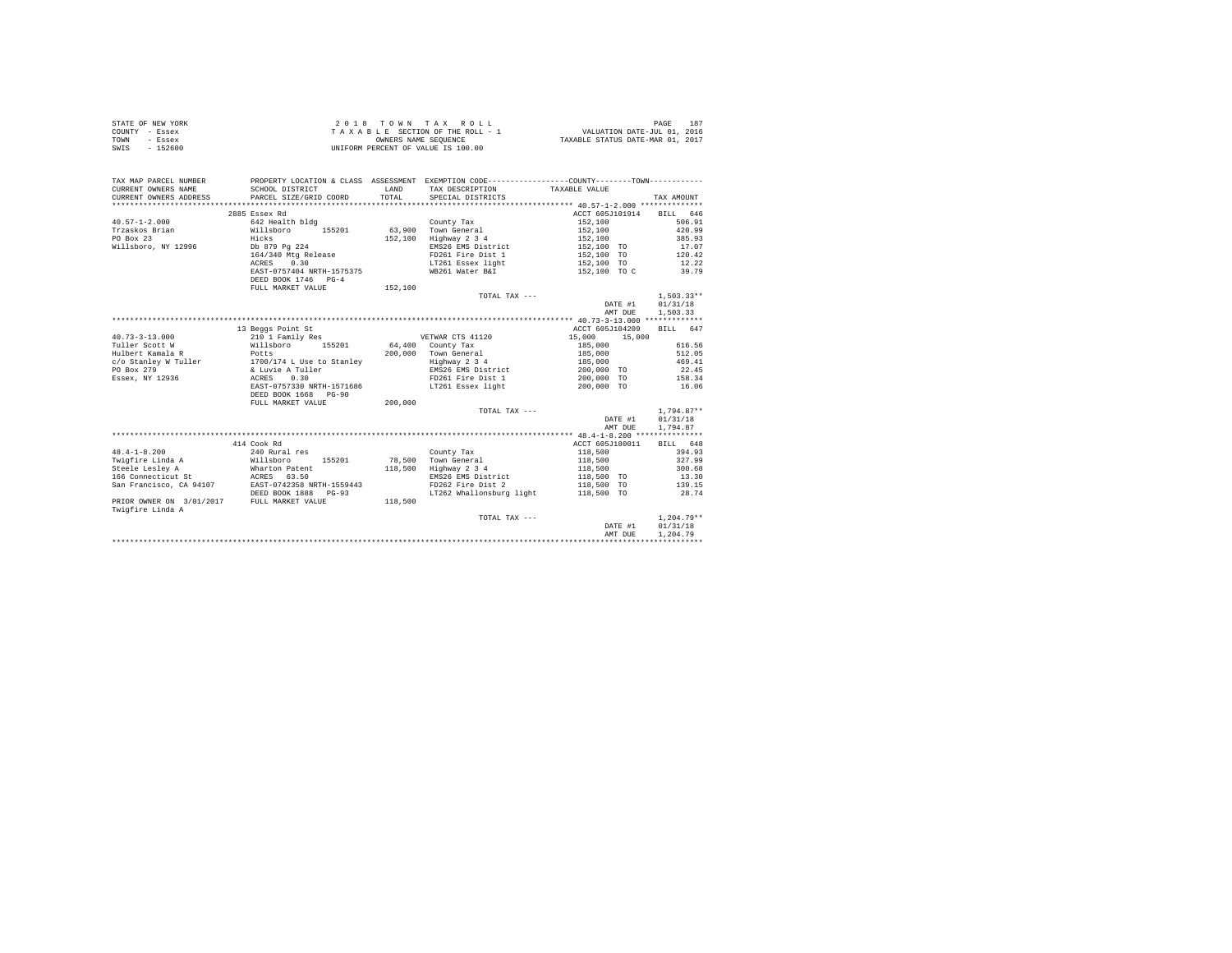|                | STATE OF NEW YORK | 2018 TOWN TAX ROLL                 | 187<br>PAGE                      |
|----------------|-------------------|------------------------------------|----------------------------------|
| COUNTY - Essex |                   | TAXABLE SECTION OF THE ROLL - 1    | VALUATION DATE-JUL 01, 2016      |
| TOWN           | - Essex           | OWNERS NAME SEOUENCE               | TAXABLE STATUS DATE-MAR 01, 2017 |
| SWIS           | $-152600$         | UNIFORM PERCENT OF VALUE IS 100.00 |                                  |

| TAX MAP PARCEL NUMBER<br>CURRENT OWNERS NAME                   | SCHOOL DISTRICT                                  | LAND    | PROPERTY LOCATION & CLASS ASSESSMENT EXEMPTION CODE----------------COUNTY-------TOWN----------<br>TAX DESCRIPTION | TAXABLE VALUE            |              |
|----------------------------------------------------------------|--------------------------------------------------|---------|-------------------------------------------------------------------------------------------------------------------|--------------------------|--------------|
| CURRENT OWNERS ADDRESS                                         | PARCEL SIZE/GRID COORD                           | TOTAL.  | SPECIAL DISTRICTS                                                                                                 |                          | TAX AMOUNT   |
|                                                                |                                                  |         |                                                                                                                   |                          |              |
|                                                                | 2885 Essex Rd                                    |         |                                                                                                                   | ACCT 605J101914 BILL 646 |              |
| $40.57 - 1 - 2.000$                                            | 642 Health bldg                                  |         | County Tax                                                                                                        | 152,100                  | 506.91       |
| Trzaskos Brian                                                 | 155201<br>Willsboro                              |         | 63.900 Town General                                                                                               | 152,100                  | 420.99       |
| PO Box 23                                                      | Hicks                                            | 152,100 | Highway 2 3 4                                                                                                     | 152,100                  | 385.93       |
| Willsboro, NY 12996                                            | Db 879 Pg 224                                    |         | EMS26 EMS District                                                                                                | 152,100 TO               | 17.07        |
|                                                                | 164/340 Mtg Release                              |         | FD261 Fire Dist 1                                                                                                 | 152,100 TO<br>152,100 TO | 120.42       |
|                                                                | 0.30<br>ACRES                                    |         | LT261 Essex light                                                                                                 |                          | 12.22        |
|                                                                | EAST-0757404 NRTH-1575375<br>DEED BOOK 1746 PG-4 |         | WB261 Water B&I                                                                                                   | 152,100 TO C             | 39.79        |
|                                                                | FULL MARKET VALUE                                | 152,100 |                                                                                                                   |                          |              |
|                                                                |                                                  |         | TOTAL TAX ---                                                                                                     |                          | $1.503.33**$ |
|                                                                |                                                  |         |                                                                                                                   | DATE #1                  | 01/31/18     |
|                                                                |                                                  |         |                                                                                                                   | AMT DUE                  | 1,503.33     |
|                                                                |                                                  |         |                                                                                                                   |                          |              |
|                                                                | 13 Beggs Point St                                |         |                                                                                                                   | ACCT 605J104209          | BILL 647     |
| $40.73 - 3 - 13.000$                                           | 210 1 Family Res                                 |         | VETWAR CTS 41120                                                                                                  | 15,000<br>15,000         |              |
| Tuller Scott W                                                 | Willsboro<br>155201                              |         | 64,400 County Tax                                                                                                 | 185,000                  | 616.56       |
| Hulbert Kamala R                                               | Potts                                            |         | 200,000 Town General                                                                                              | 185,000                  | 512.05       |
| c/o Stanley W Tuller 1700/174 L Use to Stanley                 |                                                  |         | Highway 2 3 4                                                                                                     | 185,000                  | 469.41       |
| PO Box 279                                                     | & Luvie A Tuller                                 |         | EMS26 EMS District                                                                                                | 200,000 TO               | 22.45        |
| Essex, NY 12936                                                | ACRES 0.30                                       |         | FD261 Fire Dist 1                                                                                                 | 200,000 TO               | 158.34       |
|                                                                | EAST-0757330 NRTH-1571686                        |         | LT261 Essex light                                                                                                 | 200,000 TO               | 16.06        |
|                                                                | DEED BOOK 1668 PG-90                             |         |                                                                                                                   |                          |              |
|                                                                | FULL MARKET VALUE                                | 200,000 |                                                                                                                   |                          |              |
|                                                                |                                                  |         | TOTAL TAX ---                                                                                                     |                          | $1,794.87**$ |
|                                                                |                                                  |         |                                                                                                                   | DATE #1                  | 01/31/18     |
|                                                                |                                                  |         |                                                                                                                   | AMT DUE                  | 1,794.87     |
|                                                                |                                                  |         |                                                                                                                   |                          |              |
|                                                                | 414 Cook Rd                                      |         |                                                                                                                   | ACCT 605J180011          | BILL 648     |
| $48.4 - 1 - 8.200$                                             | 240 Rural res                                    |         | County Tax                                                                                                        | 118,500                  | 394.93       |
| Twigfire Linda A Willsboro                                     | 155201                                           |         | 78.500 Town General                                                                                               | 118,500                  | 327.99       |
| Steele Lesley A                                                | Wharton Patent<br>3t ACRES 63.50                 | 118,500 | Highway 2 3 4                                                                                                     | 118,500                  | 300.68       |
| 166 Connecticut St                                             |                                                  |         | EMS26 EMS District                                                                                                | 118,500 TO               | 13.30        |
| San Francisco, CA 94107 EAST-0742358 NRTH-1559443              |                                                  |         | FD262 Fire Dist 2                                                                                                 | 118,500 TO 139.15        |              |
|                                                                | DEED BOOK 1888 PG-93                             |         | LT262 Whallonsburg light 118,500 TO                                                                               |                          | 28.74        |
| PRIOR OWNER ON 3/01/2017 FULL MARKET VALUE<br>Twigfire Linda A |                                                  | 118,500 |                                                                                                                   |                          |              |
|                                                                |                                                  |         | TOTAL TAX ---                                                                                                     |                          | $1.204.79**$ |
|                                                                |                                                  |         |                                                                                                                   | DATE #1                  | 01/31/18     |
|                                                                |                                                  |         |                                                                                                                   | AMT DUE                  | 1,204.79     |
|                                                                |                                                  |         |                                                                                                                   |                          |              |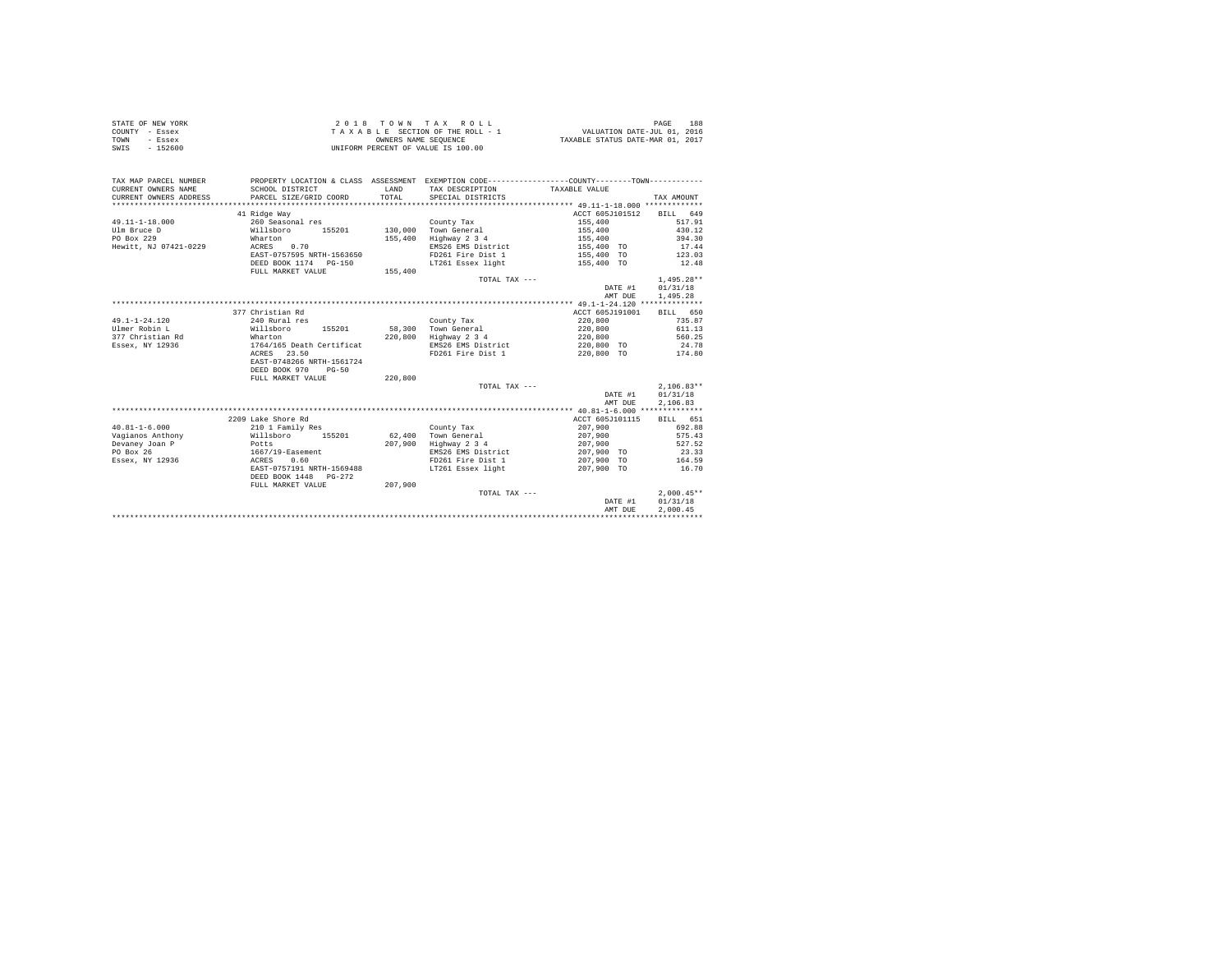| STATE OF NEW YORK | 2018 TOWN TAX ROLL                 | 188<br>PAGE                      |
|-------------------|------------------------------------|----------------------------------|
| COUNTY - Essex    | TAXABLE SECTION OF THE ROLL - 1    | VALUATION DATE-JUL 01, 2016      |
| TOWN<br>- Essex   | OWNERS NAME SEOUENCE               | TAXABLE STATUS DATE-MAR 01, 2017 |
| SWIS<br>$-152600$ | UNIFORM PERCENT OF VALUE IS 100.00 |                                  |

| TAX MAP PARCEL NUMBER<br>CURRENT OWNERS NAME<br>CURRENT OWNERS ADDRESS<br>************************** | SCHOOL DISTRICT<br>PARCEL SIZE/GRID COORD | LAND<br>TOTAL | PROPERTY LOCATION & CLASS ASSESSMENT EXEMPTION CODE----------------COUNTY-------TOWN----------<br>TAX DESCRIPTION TAXABLE VALUE<br>SPECIAL DISTRICTS |                 | TAX AMOUNT   |
|------------------------------------------------------------------------------------------------------|-------------------------------------------|---------------|------------------------------------------------------------------------------------------------------------------------------------------------------|-----------------|--------------|
|                                                                                                      | 41 Ridge Way                              |               |                                                                                                                                                      | ACCT 605J101512 | BILL 649     |
| $49.11 - 1 - 18.000$                                                                                 | 260 Seasonal res                          |               | County Tax                                                                                                                                           | 155,400         | 517.91       |
| Ulm Bruce D                                                                                          | Willsboro<br>155201                       |               | 130.000 Town General                                                                                                                                 | 155,400         | 430.12       |
| PO Box 229                                                                                           | Wharton                                   | 155,400       | Highway 2 3 4                                                                                                                                        | 155,400         | 394.30       |
| Hewitt, NJ 07421-0229                                                                                | 0.70<br>ACRES                             |               | EMS26 EMS District                                                                                                                                   | 155,400 TO      | 17.44        |
|                                                                                                      | EAST-0757595 NRTH-1563650                 |               | FD261 Fire Dist 1                                                                                                                                    | 155,400 TO      | 123.03       |
|                                                                                                      | DEED BOOK 1174   PG-150                   |               | LT261 Essex light                                                                                                                                    | 155,400 TO      | 12.48        |
|                                                                                                      | FULL MARKET VALUE                         | 155,400       |                                                                                                                                                      |                 |              |
|                                                                                                      |                                           |               | TOTAL TAX ---                                                                                                                                        |                 | $1,495.28**$ |
|                                                                                                      |                                           |               |                                                                                                                                                      | DATE #1         | 01/31/18     |
|                                                                                                      |                                           |               |                                                                                                                                                      | AMT DUE         | 1,495.28     |
|                                                                                                      |                                           |               |                                                                                                                                                      |                 |              |
|                                                                                                      | 377 Christian Rd                          |               |                                                                                                                                                      | ACCT 605J191001 | BILL 650     |
| $49.1 - 1 - 24.120$                                                                                  | 240 Rural res                             |               | County Tax                                                                                                                                           | 220,800         | 735.87       |
| Ulmer Robin L                                                                                        | Willsboro<br>155201                       |               | 58.300 Town General                                                                                                                                  | 220,800         | 611.13       |
| 377 Christian Rd                                                                                     | Wharton                                   | 220,800       | Highway 2 3 4                                                                                                                                        | 220,800         | 560.25       |
| Essex, NY 12936                                                                                      | 1764/165 Death Certificat                 |               | EMS26 EMS District                                                                                                                                   | 220,800 TO      | 24.78        |
|                                                                                                      | ACRES 23.50                               |               | FD261 Fire Dist 1                                                                                                                                    | 220,800 TO      | 174.80       |
|                                                                                                      | EAST-0748266 NRTH-1561724                 |               |                                                                                                                                                      |                 |              |
|                                                                                                      | DEED BOOK 970<br>$PG-50$                  |               |                                                                                                                                                      |                 |              |
|                                                                                                      | FULL MARKET VALUE                         | 220,800       |                                                                                                                                                      |                 |              |
|                                                                                                      |                                           |               | TOTAL TAX ---                                                                                                                                        |                 | $2.106.83**$ |
|                                                                                                      |                                           |               |                                                                                                                                                      | DATE #1         | 01/31/18     |
|                                                                                                      |                                           |               |                                                                                                                                                      | AMT DUE         | 2,106.83     |
|                                                                                                      |                                           |               |                                                                                                                                                      |                 |              |
|                                                                                                      | 2209 Lake Shore Rd                        |               |                                                                                                                                                      | ACCT 605J101115 | BILL 651     |
| $40.81 - 1 - 6.000$                                                                                  | 210 1 Family Res                          |               | County Tax                                                                                                                                           | 207,900         | 692.88       |
| Vagianos Anthony<br>Willsboro                                                                        | 155201                                    | 62,400        | Town General                                                                                                                                         | 207,900         | 575.43       |
| Devaney Joan P                                                                                       | Potts                                     | 207.900       | Highway 2 3 4                                                                                                                                        | 207,900         | 527.52       |
| PO Box 26                                                                                            | 1667/19-Easement                          |               | EMS26 EMS District                                                                                                                                   | 207,900 TO      | 23.33        |
| Essex, NY 12936                                                                                      | ACRES 0.60                                |               | FD261 Fire Dist 1                                                                                                                                    | 207,900 TO      | 164.59       |
|                                                                                                      | EAST-0757191 NRTH-1569488                 |               | LT261 Essex light                                                                                                                                    | 207,900 TO      | 16.70        |
|                                                                                                      | DEED BOOK 1448 PG-272                     |               |                                                                                                                                                      |                 |              |
|                                                                                                      | FULL MARKET VALUE                         | 207,900       |                                                                                                                                                      |                 |              |
|                                                                                                      |                                           |               | TOTAL TAX ---                                                                                                                                        |                 | $2.000.45**$ |
|                                                                                                      |                                           |               |                                                                                                                                                      | DATE #1         | 01/31/18     |
|                                                                                                      |                                           |               |                                                                                                                                                      | AMT DUE         | 2.000.45     |
|                                                                                                      |                                           |               |                                                                                                                                                      |                 |              |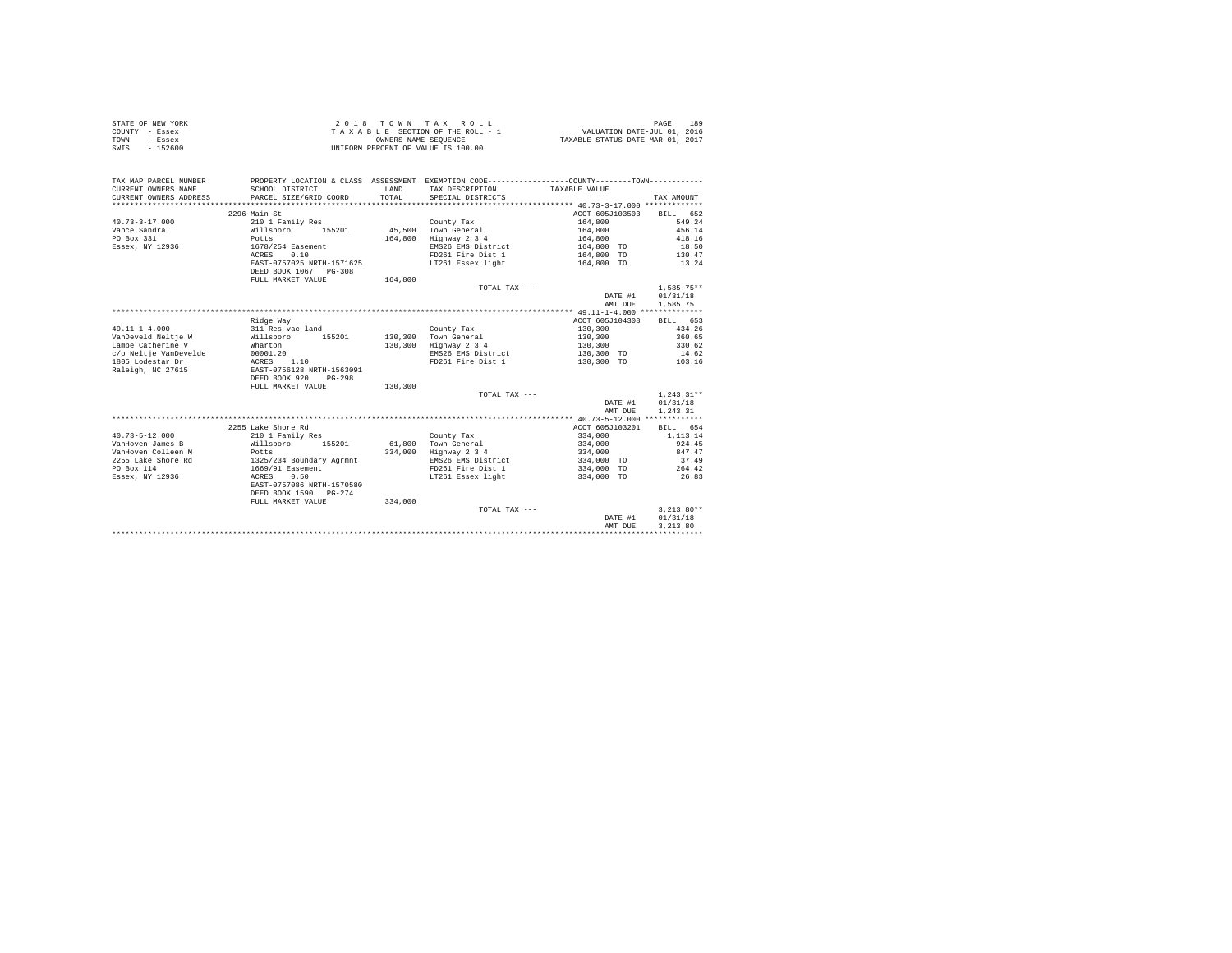| STATE OF NEW YORK | 2018 TOWN TAX ROLL                 | 189<br>PAGE                      |
|-------------------|------------------------------------|----------------------------------|
| COUNTY - Essex    | TAXABLE SECTION OF THE ROLL - 1    | VALUATION DATE-JUL 01, 2016      |
| TOWN<br>- Essex   | OWNERS NAME SEOUENCE               | TAXABLE STATUS DATE-MAR 01, 2017 |
| SWIS<br>$-152600$ | UNIFORM PERCENT OF VALUE IS 100.00 |                                  |

| TAX MAP PARCEL NUMBER<br>CURRENT OWNERS NAME<br>CURRENT OWNERS ADDRESS | SCHOOL DISTRICT<br>PARCEL SIZE/GRID COORD | <b>T.AND</b><br>TOTAL | PROPERTY LOCATION & CLASS ASSESSMENT EXEMPTION CODE----------------COUNTY-------TOWN----------<br>TAX DESCRIPTION<br>SPECIAL DISTRICTS | TAXABLE VALUE   | TAX AMOUNT               |
|------------------------------------------------------------------------|-------------------------------------------|-----------------------|----------------------------------------------------------------------------------------------------------------------------------------|-----------------|--------------------------|
|                                                                        | 2296 Main St                              |                       |                                                                                                                                        | ACCT 605J103503 | BILL 652                 |
| $40.73 - 3 - 17.000$                                                   | 210 1 Family Res                          |                       | County Tax                                                                                                                             | 164,800         | 549.24                   |
| Vance Sandra                                                           | Willsboro<br>155201                       |                       | 45,500 Town General                                                                                                                    | 164,800         | 456.14                   |
| PO Box 331                                                             | Potts                                     | 164,800               | Highway 2 3 4                                                                                                                          | 164,800         | 418.16                   |
| Essex, NY 12936                                                        | 1678/254 Easement                         |                       | EMS26 EMS District                                                                                                                     | 164,800 TO      | 18.50                    |
|                                                                        | 0.10<br>ACRES                             |                       | FD261 Fire Dist 1                                                                                                                      | 164,800 TO      | 130.47                   |
|                                                                        | EAST-0757025 NRTH-1571625                 |                       | LT261 Essex light                                                                                                                      | 164,800 TO      | 13.24                    |
|                                                                        | DEED BOOK 1067 PG-308                     |                       |                                                                                                                                        |                 |                          |
|                                                                        |                                           | 164,800               |                                                                                                                                        |                 |                          |
|                                                                        | FULL MARKET VALUE                         |                       | TOTAL TAX $---$                                                                                                                        |                 | $1,585.75**$             |
|                                                                        |                                           |                       |                                                                                                                                        | DATE #1         | 01/31/18                 |
|                                                                        |                                           |                       |                                                                                                                                        | AMT DUE         |                          |
|                                                                        |                                           |                       |                                                                                                                                        |                 | 1,585.75                 |
|                                                                        |                                           |                       |                                                                                                                                        | ACCT 605J104308 | BILL 653                 |
| $49.11 - 1 - 4.000$                                                    | Ridge Way<br>311 Res vac land             |                       |                                                                                                                                        | 130,300         | 434.26                   |
| VanDeveld Neltie W                                                     | 155201                                    |                       | County Tax<br>130.300 Town General                                                                                                     | 130,300         | 360.65                   |
| Lambe Catherine V                                                      | Willsboro                                 | 130,300               | Highway 2 3 4                                                                                                                          |                 | 330.62                   |
|                                                                        | Wharton<br>00001.20                       |                       |                                                                                                                                        | 130,300         | 14.62                    |
| c/o Neltje VanDevelde                                                  |                                           |                       | EMS26 EMS District<br>FD261 Fire Dist 1                                                                                                | 130,300 TO      |                          |
| 1805 Lodestar Dr                                                       | 1.10<br>ACRES                             |                       |                                                                                                                                        | 130,300 TO      | 103.16                   |
| Raleigh, NC 27615                                                      | EAST-0756128 NRTH-1563091                 |                       |                                                                                                                                        |                 |                          |
|                                                                        | DEED BOOK 920<br>$PG-298$                 |                       |                                                                                                                                        |                 |                          |
|                                                                        | FULL MARKET VALUE                         | 130,300               |                                                                                                                                        |                 |                          |
|                                                                        |                                           |                       | TOTAL TAX ---                                                                                                                          |                 | $1.243.31**$<br>01/31/18 |
|                                                                        |                                           |                       |                                                                                                                                        | DATE #1         |                          |
|                                                                        |                                           |                       |                                                                                                                                        | AMT DUE         | 1,243,31                 |
|                                                                        |                                           |                       |                                                                                                                                        |                 |                          |
|                                                                        | 2255 Lake Shore Rd                        |                       |                                                                                                                                        | ACCT 605J103201 | BILL 654                 |
| $40.73 - 5 - 12.000$                                                   | 210 1 Family Res                          |                       | County Tax                                                                                                                             | 334,000         | 1,113,14                 |
| VanHoven James B                                                       | Willsboro<br>155201                       | 61,800                | Town General                                                                                                                           | 334,000         | 924.45                   |
| VanHoven Colleen M                                                     | Potts                                     | 334,000               | Highway 2 3 4                                                                                                                          | 334,000         | 847.47                   |
| 2255 Lake Shore Rd                                                     | 1325/234 Boundary Agrmnt                  |                       | EMS26 EMS District                                                                                                                     | 334,000 TO      | 37.49                    |
| PO Box 114                                                             | 1669/91 Easement                          |                       | FD261 Fire Dist 1                                                                                                                      | 334,000 TO      | 264.42                   |
| Essex, NY 12936                                                        | ACRES<br>0.50                             |                       | LT261 Essex light                                                                                                                      | 334,000 TO      | 26.83                    |
|                                                                        | EAST-0757086 NRTH-1570580                 |                       |                                                                                                                                        |                 |                          |
|                                                                        | DEED BOOK 1590 PG-274                     |                       |                                                                                                                                        |                 |                          |
|                                                                        | FULL MARKET VALUE                         | 334,000               |                                                                                                                                        |                 |                          |
|                                                                        |                                           |                       | TOTAL TAX ---                                                                                                                          |                 | $3.213.80**$             |
|                                                                        |                                           |                       |                                                                                                                                        | DATE #1         | 01/31/18                 |
|                                                                        |                                           |                       |                                                                                                                                        | AMT DUE         | 3.213.80                 |
|                                                                        |                                           |                       |                                                                                                                                        |                 |                          |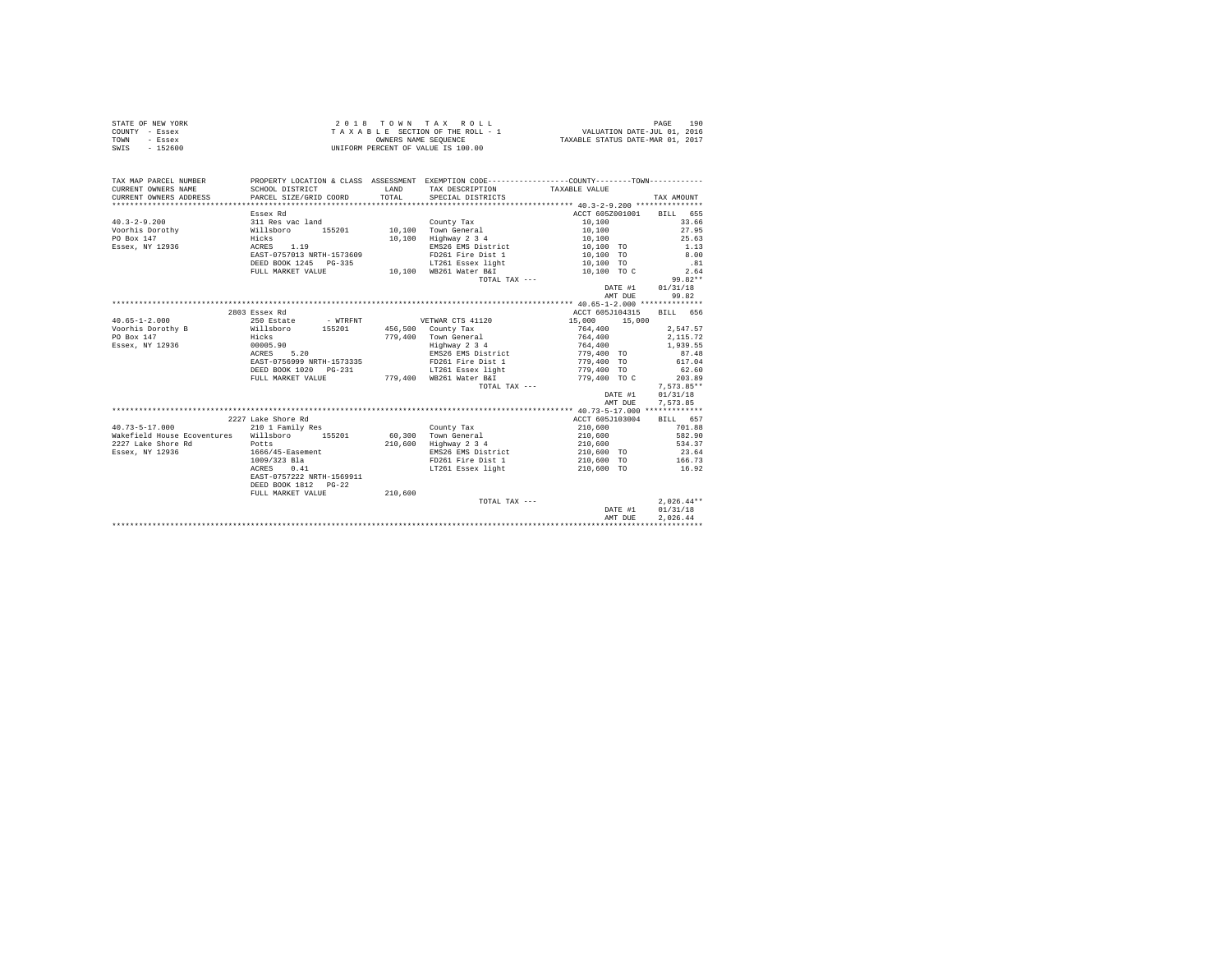| STATE OF NEW YORK | 2018 TOWN TAX ROLL                 | 190<br>PAGE                      |
|-------------------|------------------------------------|----------------------------------|
| COUNTY - Essex    | TAXABLE SECTION OF THE ROLL - 1    | VALUATION DATE-JUL 01, 2016      |
| TOWN<br>- Essex   | OWNERS NAME SEOUENCE               | TAXABLE STATUS DATE-MAR 01, 2017 |
| $-152600$<br>SWIS | UNIFORM PERCENT OF VALUE IS 100.00 |                                  |

| TAX MAP PARCEL NUMBER<br>CURRENT OWNERS NAME<br>CURRENT OWNERS ADDRESS TO PORTUGAL TOTAL THE SPECIAL TEST COMMUNITY CONTROL THE TRANSPORT THAT ANOUNT THE STREET THAT ANOUNT THAT ANOUNT THAT ANOUNT THAT ANOUNT THAT ANOUNT THAT AND THAT ANOUNT THAT ANOUNT THAT ANOUNT THAT | PROPERTY LOCATION & CLASS ASSESSMENT EXEMPTION CODE----------------COUNTY-------TOWN----------<br>SCHOOL DISTRICT | <b>T.AND</b> | TAX DESCRIPTION TAXABLE VALUE                        |                                        |              |
|--------------------------------------------------------------------------------------------------------------------------------------------------------------------------------------------------------------------------------------------------------------------------------|-------------------------------------------------------------------------------------------------------------------|--------------|------------------------------------------------------|----------------------------------------|--------------|
|                                                                                                                                                                                                                                                                                |                                                                                                                   |              |                                                      |                                        |              |
|                                                                                                                                                                                                                                                                                | Essex Rd                                                                                                          |              |                                                      | ACCT 605Z001001                        | BILL 655     |
| $40.3 - 2 - 9.200$                                                                                                                                                                                                                                                             | 311 Res vac land                                                                                                  |              | County Tax                                           | 10,100                                 | 33.66        |
| Voorhis Dorothy                                                                                                                                                                                                                                                                | willsboro 155201 10,100 Town General                                                                              |              |                                                      | 10,100                                 | 27.95        |
| PO Box 147                                                                                                                                                                                                                                                                     | Hicks                                                                                                             | 10,100       | Highway 2 3 4                                        | 10,100                                 | 25.63        |
| Essex, NY 12936    ACRES    1.19                                                                                                                                                                                                                                               |                                                                                                                   |              | EMS26 EMS District                                   | 10,100 TO                              | 1.13         |
|                                                                                                                                                                                                                                                                                | EAST-0757013 NRTH-1573609                                                                                         |              | FD261 Fire Dist 1                                    | 10,100 TO                              | 8.00         |
|                                                                                                                                                                                                                                                                                | DEED BOOK 1245 PG-335                                                                                             |              | LT261 Essex light                                    | 10,100 TO                              | .81          |
|                                                                                                                                                                                                                                                                                | FULL MARKET VALUE                                                                                                 |              | 10.100 WB261 Water B&I 00.100 TO C                   |                                        | 2.64         |
|                                                                                                                                                                                                                                                                                |                                                                                                                   |              | TOTAL TAX ---                                        |                                        | 99.82**      |
|                                                                                                                                                                                                                                                                                |                                                                                                                   |              |                                                      | DATE #1                                | 01/31/18     |
|                                                                                                                                                                                                                                                                                |                                                                                                                   |              |                                                      | AMT DUE                                | 99.82        |
|                                                                                                                                                                                                                                                                                |                                                                                                                   |              |                                                      |                                        |              |
|                                                                                                                                                                                                                                                                                | 2803 Essex Rd                                                                                                     |              |                                                      | ACCT 605J104315                        | BILL 656     |
| $40.65 - 1 - 2.000$                                                                                                                                                                                                                                                            | 250 Estate - WTRFNT - WETWAR CTS 41120                                                                            |              |                                                      | 15,000                                 | 15,000       |
| Voorhis Dorothy B Willsboro 155201                                                                                                                                                                                                                                             |                                                                                                                   |              | 456,500 County Tax                                   | 764,400                                | 2.547.57     |
| PO Box 147                                                                                                                                                                                                                                                                     | Hicks<br>00005.90                                                                                                 |              | 779.400 Town General                                 | 764,400<br>764,400<br>779,400 TO       | 2,115.72     |
| Essex, NY 12936                                                                                                                                                                                                                                                                |                                                                                                                   |              | Highway 2 3 4<br>Highway 2 3 4<br>EMS26 EMS District |                                        | 1,939.55     |
|                                                                                                                                                                                                                                                                                | ACRES 5.20                                                                                                        |              |                                                      |                                        | 87.48        |
|                                                                                                                                                                                                                                                                                | EAST-0756999 NRTH-1573335                                                                                         |              | FD261 Fire Dist 1 779,400 TO                         |                                        | 617.04       |
|                                                                                                                                                                                                                                                                                | DEED BOOK 1020 PG-231<br>DEED BOOK 1020 PG-231 LT261 Essex light<br>FULL MARKET VALUE 779,400 WB261 Water B&I     |              | LT261 Essex light                                    |                                        | 62.60        |
|                                                                                                                                                                                                                                                                                |                                                                                                                   |              |                                                      | , 100 10<br>779,400 TO<br>779,400 TO C | 203.89       |
|                                                                                                                                                                                                                                                                                |                                                                                                                   |              | TOTAL TAX ---                                        |                                        | $7,573.85**$ |
|                                                                                                                                                                                                                                                                                |                                                                                                                   |              |                                                      | DATE #1                                | 01/31/18     |
|                                                                                                                                                                                                                                                                                |                                                                                                                   |              |                                                      | AMT DUE                                | 7.573.85     |
|                                                                                                                                                                                                                                                                                |                                                                                                                   |              |                                                      |                                        |              |
|                                                                                                                                                                                                                                                                                | 2227 Lake Shore Rd                                                                                                |              |                                                      | ACCT 605J103004                        | BILL 657     |
| $40.73 - 5 - 17.000$                                                                                                                                                                                                                                                           | 210 1 Family Res                                                                                                  |              | County Tax                                           | 210,600                                | 701.88       |
| Wakefield House Ecoventures Willsboro 155201                                                                                                                                                                                                                                   |                                                                                                                   |              | 60,300 Town General<br>210,600 Highway 2 3 4         | 210,600<br>210,600                     | 582.90       |
| 2227 Lake Shore Rd                                                                                                                                                                                                                                                             | Potts                                                                                                             |              |                                                      |                                        | 534.37       |
| Essex, NY 12936                                                                                                                                                                                                                                                                | $1666/45$ -Easement                                                                                               |              | EMS26 EMS District 210,600 TO 23.64                  |                                        |              |
|                                                                                                                                                                                                                                                                                | 1009/323 Bla                                                                                                      |              | FD261 Fire Dist 1 210,600 TO                         |                                        | 166.73       |
|                                                                                                                                                                                                                                                                                | ACRES 0.41                                                                                                        |              | LT261 Essex light                                    | 210,600 TO                             | 16.92        |
|                                                                                                                                                                                                                                                                                | EAST-0757222 NRTH-1569911                                                                                         |              |                                                      |                                        |              |
|                                                                                                                                                                                                                                                                                | DEED BOOK 1812 PG-22                                                                                              |              |                                                      |                                        |              |
|                                                                                                                                                                                                                                                                                | FULL MARKET VALUE 210,600                                                                                         |              |                                                      |                                        |              |
|                                                                                                                                                                                                                                                                                |                                                                                                                   |              | TOTAL TAX ---                                        |                                        | $2.026.44**$ |
|                                                                                                                                                                                                                                                                                |                                                                                                                   |              |                                                      | DATE #1                                | 01/31/18     |
|                                                                                                                                                                                                                                                                                |                                                                                                                   |              |                                                      | AMT DUE                                | 2.026.44     |
|                                                                                                                                                                                                                                                                                |                                                                                                                   |              |                                                      |                                        |              |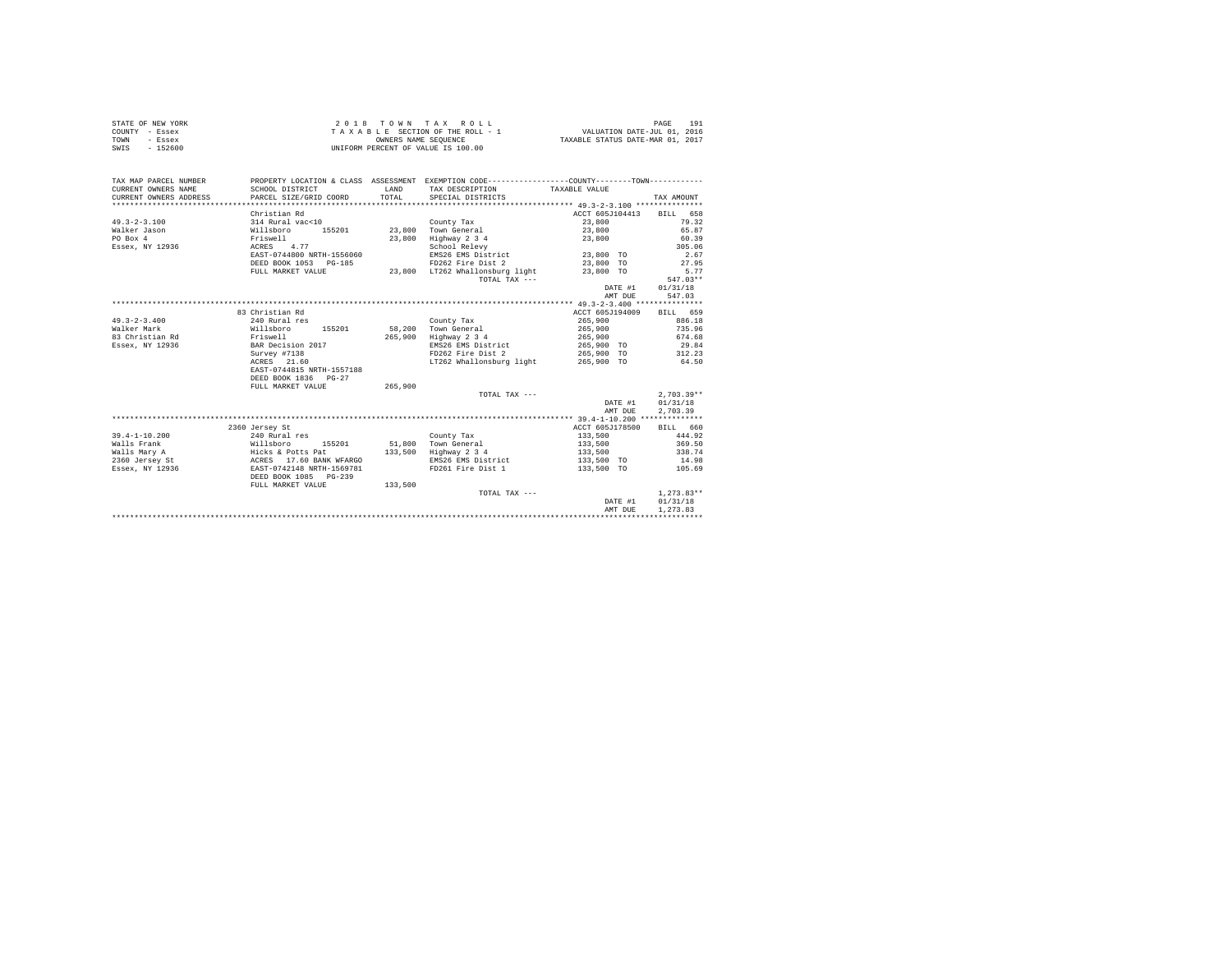|                | STATE OF NEW YORK | 2018 TOWN TAX ROLL                 | 191<br>PAGE                      |
|----------------|-------------------|------------------------------------|----------------------------------|
| COUNTY - Essex |                   | TAXABLE SECTION OF THE ROLL - 1    | VALUATION DATE-JUL 01, 2016      |
| TOWN           | - Essex           | OWNERS NAME SEOUENCE               | TAXABLE STATUS DATE-MAR 01, 2017 |
| SWIS           | $-152600$         | UNIFORM PERCENT OF VALUE IS 100.00 |                                  |

| TAX MAP PARCEL NUMBER<br>CURRENT OWNERS NAME | SCHOOL DISTRICT                                                                                                             | LAND    | PROPERTY LOCATION & CLASS ASSESSMENT EXEMPTION CODE----------------COUNTY--------TOWN----------<br>TAX DESCRIPTION TAXABLE VALUE |                          |              |
|----------------------------------------------|-----------------------------------------------------------------------------------------------------------------------------|---------|----------------------------------------------------------------------------------------------------------------------------------|--------------------------|--------------|
| CURRENT OWNERS ADDRESS                       | PARCEL SIZE/GRID COORD                                                                                                      | TOTAL   | SPECIAL DISTRICTS                                                                                                                |                          | TAX AMOUNT   |
|                                              |                                                                                                                             |         |                                                                                                                                  |                          |              |
|                                              | Christian Rd                                                                                                                |         |                                                                                                                                  | ACCT 605J104413 BILL 658 |              |
| $49.3 - 2 - 3.100$                           |                                                                                                                             |         | County Tax                                                                                                                       | 23,800                   | 79.32        |
| Walker Jason                                 |                                                                                                                             |         |                                                                                                                                  | 23,800                   | 65.87        |
| PO Box 4                                     | uri Kurai vackil (County Tax<br>Millsboro (155201 - 23,800 Town General<br>Friswell - 23,800 - 21 April                     |         | 23,800 Highway 2 3 4                                                                                                             | 23,800                   | 60.39        |
| Essex, NY 12936                              | ACRES 4.77                                                                                                                  |         | School Relevy                                                                                                                    |                          | 305.06       |
|                                              | EAST-0744800 NRTH-1556060                                                                                                   |         | EMS26 EMS District 23,800 TO                                                                                                     |                          | 2.67         |
|                                              | DEED BOOK 1053 PG-185                                                                                                       |         | FD262 Fire Dist 2                                                                                                                | 23,800 TO                | 27.95        |
|                                              | FULL MARKET VALUE                                                                                                           |         | 23,800 LT262 Whallonsburg light                                                                                                  | 23,800 TO                | 5.77         |
|                                              |                                                                                                                             |         | TOTAL TAX ---                                                                                                                    |                          | $547.03**$   |
|                                              |                                                                                                                             |         |                                                                                                                                  | DATE #1 01/31/18         |              |
|                                              |                                                                                                                             |         |                                                                                                                                  | AMT DUE                  | 547.03       |
|                                              |                                                                                                                             |         |                                                                                                                                  |                          |              |
|                                              | 83 Christian Rd                                                                                                             |         |                                                                                                                                  | ACCT 605J194009 BILL 659 |              |
| $49.3 - 2 - 3.400$                           | 240 Rural res                                                                                                               |         | County Tax                                                                                                                       | 265,900                  | 886.18       |
| Walker Mark                                  | Willsboro 155201 58,200 Town General                                                                                        |         |                                                                                                                                  | 265,900                  | 735.96       |
| 83 Christian Rd                              | Friswell<br>BAR Decision 2017                                                                                               |         | 265,900 Highway 2 3 4                                                                                                            | 265,900<br>265,900 TO    | 674.68       |
| Essex, NY 12936                              |                                                                                                                             |         | EMS26 EMS District                                                                                                               |                          | 29.84        |
|                                              | Survey #7138                                                                                                                |         | FD262 Fire Dist 2 265,900 TO 312.23                                                                                              |                          |              |
|                                              | ACRES 21.60                                                                                                                 |         | LT262 Whallonsburg light 265,900 TO 64.50                                                                                        |                          |              |
|                                              | EAST-0744815 NRTH-1557188                                                                                                   |         |                                                                                                                                  |                          |              |
|                                              | DEED BOOK 1836 PG-27                                                                                                        |         |                                                                                                                                  |                          |              |
|                                              | FULL MARKET VALUE                                                                                                           | 265,900 |                                                                                                                                  |                          |              |
|                                              |                                                                                                                             |         | TOTAL TAX ---                                                                                                                    |                          | $2.703.39**$ |
|                                              |                                                                                                                             |         |                                                                                                                                  | DATE #1 01/31/18         |              |
|                                              |                                                                                                                             |         |                                                                                                                                  | AMT DUE                  | 2,703.39     |
|                                              |                                                                                                                             |         |                                                                                                                                  |                          |              |
|                                              | 2360 Jersey St                                                                                                              |         |                                                                                                                                  | ACCT 605J178500 BILL 660 |              |
| $39.4 - 1 - 10.200$                          | 240 Rural res                                                                                                               |         | County Tax                                                                                                                       | 133,500                  | 444.92       |
| Walls Frank                                  |                                                                                                                             |         |                                                                                                                                  | 133,500                  | 369.50       |
| Walls Mary A                                 |                                                                                                                             |         |                                                                                                                                  | 133,500                  | 338.74       |
| 2360 Jersey St                               | Willsboro 155201 51,800 Town General<br>Hicks & Potts Pat 133,500 Highway 234<br>ACRES 17.60 BANK WFARGO NMS26 EMS District |         | EMS26 EMS District                                                                                                               | 133,500 TO 14.98         |              |
| Essex, NY 12936                              | EAST-0742148 NRTH-1569781                                                                                                   |         | FD261 Fire Dist 1 133,500 TO 105.69                                                                                              |                          |              |
|                                              | DEED BOOK 1085 PG-239                                                                                                       |         |                                                                                                                                  |                          |              |
|                                              | FULL MARKET VALUE                                                                                                           | 133,500 |                                                                                                                                  |                          |              |
|                                              |                                                                                                                             |         | TOTAL TAX ---                                                                                                                    |                          | $1.273.83**$ |
|                                              |                                                                                                                             |         |                                                                                                                                  | DATE #1                  | 01/31/18     |
|                                              |                                                                                                                             |         |                                                                                                                                  | AMT DUE                  | 1,273.83     |
|                                              |                                                                                                                             |         |                                                                                                                                  |                          |              |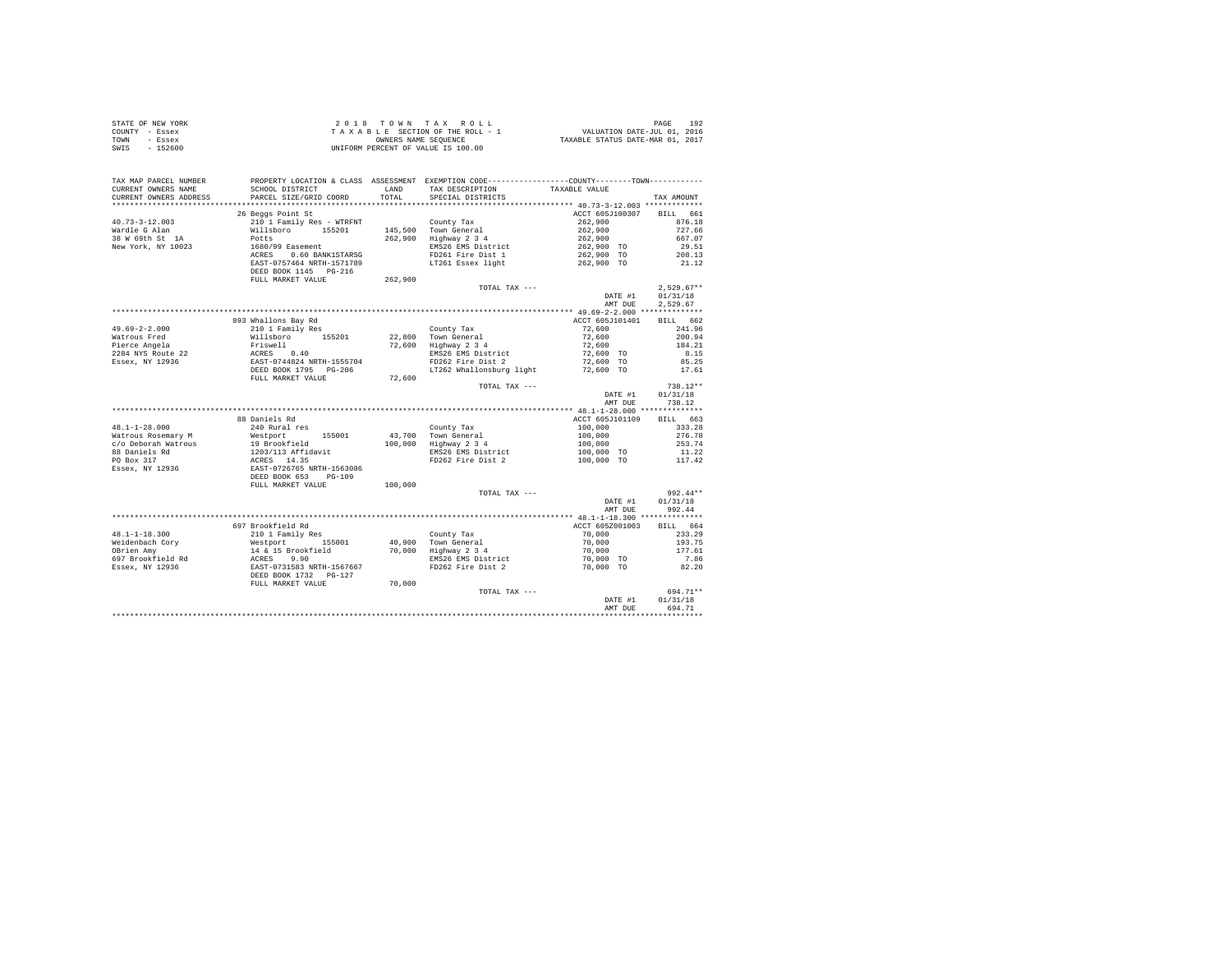| STATE OF NEW YORK     | 2018 TOWN TAX ROLL                                                                            | 192<br>PAGE                      |
|-----------------------|-----------------------------------------------------------------------------------------------|----------------------------------|
| COUNTY - Essex        | TAXABLE SECTION OF THE ROLL - 1                                                               | VALUATION DATE-JUL 01, 2016      |
| TOWN<br>- Essex       | OWNERS NAME SEOUENCE                                                                          | TAXABLE STATUS DATE-MAR 01, 2017 |
| $-152600$<br>SWIS     | UNIFORM PERCENT OF VALUE IS 100.00                                                            |                                  |
|                       |                                                                                               |                                  |
|                       |                                                                                               |                                  |
|                       |                                                                                               |                                  |
| TAX MAP PARCEL NUMBER | PROPERTY LOCATION & CLASS ASSESSMENT EXEMPTION CODE---------------COUNTY-------TOWN---------- |                                  |

| CURRENT OWNERS NAME     | SCHOOL DISTRICT                                                                                    | LAND    | TAX DESCRIPTION                              | TAXABLE VALUE      |              |
|-------------------------|----------------------------------------------------------------------------------------------------|---------|----------------------------------------------|--------------------|--------------|
| CURRENT OWNERS ADDRESS  | PARCEL SIZE/GRID COORD                                                                             | TOTAL   | SPECIAL DISTRICTS                            |                    | TAX AMOUNT   |
| *********************** |                                                                                                    |         |                                              |                    |              |
|                         | 26 Beggs Point St                                                                                  |         |                                              | ACCT 605J100307    | BILL 661     |
| $40.73 - 3 - 12.003$    |                                                                                                    |         | County Tax                                   | 262,900            | 876.18       |
| Wardle G Alan           | 210 1 Family Res - WTRFNT<br>Willsboro 155201                                                      |         | 145,500 Town General                         | 262,900            | 727.66       |
| 38 W 69th St 1A         | Potts                                                                                              | 262,900 | Highway 2 3 4                                | 262,900            | 667.07       |
| New York, NY 10023      | 1680/99 Easement                                                                                   |         | EMS26 EMS District                           | 262.900 TO         | 29.51        |
|                         | ACRES 0.60 BANK1STARSG                                                                             |         | FD261 Fire Dist 1                            | 262,900 TO         | 208.13       |
|                         | EAST-0757464 NRTH-1571789                                                                          |         | LT261 Essex light                            | 262,900 TO         | 21.12        |
|                         | DEED BOOK 1145 PG-216                                                                              |         |                                              |                    |              |
|                         |                                                                                                    | 262,900 |                                              |                    |              |
|                         | FULL MARKET VALUE                                                                                  |         |                                              |                    |              |
|                         |                                                                                                    |         | TOTAL TAX ---                                |                    | $2,529.67**$ |
|                         |                                                                                                    |         |                                              | DATE #1            | 01/31/18     |
|                         |                                                                                                    |         |                                              | AMT DUE            | 2.529.67     |
|                         |                                                                                                    |         |                                              |                    |              |
|                         | 893 Whallons Bay Rd                                                                                |         |                                              | ACCT 605J101401    | BILL 662     |
| $49.69 - 2 - 2.000$     | 210 1 Family Res                                                                                   |         | County Tax                                   | 72,600             | 241.96       |
| Watrous Fred            |                                                                                                    |         | 22,800 Town General<br>72,600 Highway 2 3 4  | 72,600             | 200.94       |
| Pierce Angela           |                                                                                                    |         |                                              | 72,600             | 184.21       |
| 2284 NYS Route 22       |                                                                                                    |         | EMS26 EMS District                           | 72,600 TO          | 8.15         |
| Essex, NY 12936         | Willsboro 155201<br>Friswell<br>ACRES 0.40<br>EAST-0744824 NRTH-1555704                            |         | FD262 Fire Dist 2                            | 72,600 TO          | 85.25        |
|                         | DEED BOOK 1795 PG-206                                                                              |         | LT262 Whallonsburg light                     | 72,600 TO          | 17.61        |
|                         | FULL MARKET VALUE                                                                                  | 72,600  |                                              |                    |              |
|                         |                                                                                                    |         | TOTAL TAX ---                                |                    | $738.12**$   |
|                         |                                                                                                    |         |                                              | DATE #1            | 01/31/18     |
|                         |                                                                                                    |         |                                              | AMT DUE            | 738.12       |
|                         |                                                                                                    |         |                                              |                    |              |
|                         | 88 Daniels Rd                                                                                      |         |                                              |                    |              |
|                         |                                                                                                    |         |                                              | ACCT 605J101109    | BILL 663     |
| $48.1 - 1 - 28.000$     | 240 Rural res                                                                                      |         | County Tax                                   | 100,000            | 333.28       |
| Watrous Rosemary M      |                                                                                                    |         | 43,700 Town General<br>100,000 Highway 2 3 4 | 100,000<br>100,000 | 276.78       |
| c/o Deborah Watrous     |                                                                                                    |         |                                              |                    | 253.74       |
| 88 Daniels Rd           |                                                                                                    |         | EMS26 EMS District                           | 100,000 TO         | 11.22        |
| PO Box 317              |                                                                                                    |         | FD262 Fire Dist 2                            | 100,000 TO 117.42  |              |
| Essex, NY 12936         | Nestport 155001<br>19 Brookfield<br>1203/113 Affidavit<br>RCRES 14.35<br>EAST-0726765 NRTH-1563086 |         |                                              |                    |              |
|                         | DEED BOOK 653 PG-109                                                                               |         |                                              |                    |              |
|                         | FULL MARKET VALUE                                                                                  | 100,000 |                                              |                    |              |
|                         |                                                                                                    |         | TOTAL TAX ---                                |                    | $992.44**$   |
|                         |                                                                                                    |         |                                              | DATE #1            | 01/31/18     |
|                         |                                                                                                    |         |                                              | AMT DUE            | 992.44       |
|                         |                                                                                                    |         |                                              |                    |              |
|                         | 697 Brookfield Rd                                                                                  |         |                                              | ACCT 605Z001003    | BILL 664     |
| $48.1 - 1 - 18.300$     | 210 1 Family Res                                                                                   |         |                                              | 70,000             | 233.29       |
| Weidenbach Cory         | %<br>Westport 155001<br>14 & 15 Brookfield<br>ACRES 9.90<br>EAST-0731583 NRTH-1567667              |         | County Tax<br>40,900 Town General            | 70,000             | 193.75       |
| OBrien Amv              |                                                                                                    |         | 70,000 Highway 2 3 4                         | 70,000             | 177.61       |
| 697 Brookfield Rd       |                                                                                                    |         | EMS26 EMS District                           | 70,000 TO          | 7.86         |
| Essex, NY 12936         |                                                                                                    |         | FD262 Fire Dist 2                            | 70,000 TO          | 82.20        |
|                         |                                                                                                    |         |                                              |                    |              |
|                         | DEED BOOK 1732 PG-127                                                                              |         |                                              |                    |              |
|                         | FULL MARKET VALUE                                                                                  | 70,000  |                                              |                    |              |
|                         |                                                                                                    |         | TOTAL TAX ---                                |                    | 694.71**     |
|                         |                                                                                                    |         |                                              | DATE #1            | 01/31/18     |
|                         |                                                                                                    |         |                                              | AMT DUE            | 694.71       |
|                         |                                                                                                    |         |                                              |                    |              |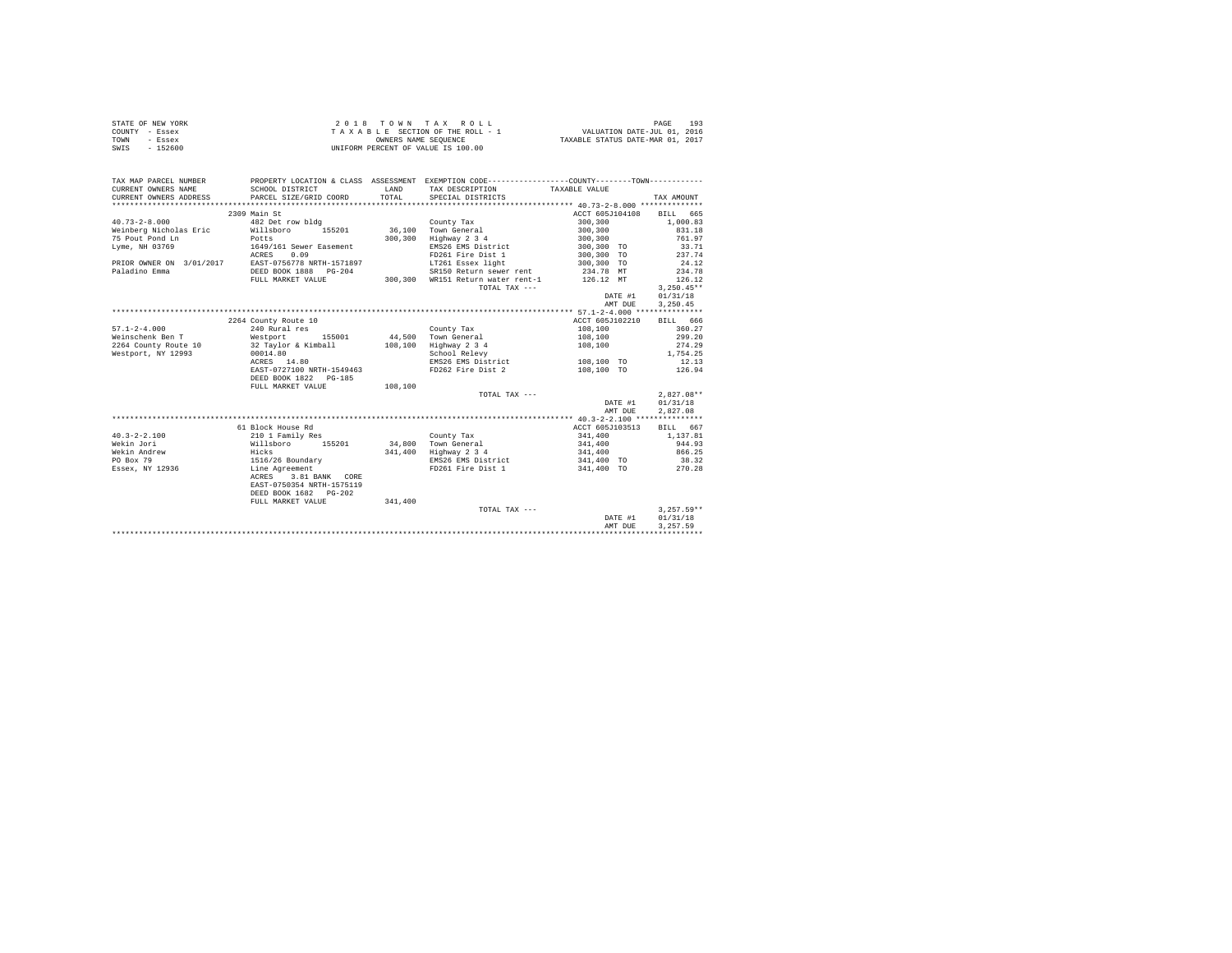| STATE OF NEW YORK | 2018 TOWN TAX ROLL                 | 193<br>PAGE                      |
|-------------------|------------------------------------|----------------------------------|
| COUNTY - Essex    | TAXABLE SECTION OF THE ROLL - 1    | VALUATION DATE-JUL 01, 2016      |
| TOWN<br>- Essex   | OWNERS NAME SEOUENCE               | TAXABLE STATUS DATE-MAR 01, 2017 |
| $-152600$<br>SWIS | UNIFORM PERCENT OF VALUE IS 100.00 |                                  |

| TAX MAP PARCEL NUMBER<br>CURRENT OWNERS NAME       | SCHOOL DISTRICT                           | LAND    | PROPERTY LOCATION & CLASS ASSESSMENT EXEMPTION CODE---------------COUNTY-------TOWN----------<br>TAX DESCRIPTION | TAXABLE VALUE   |              |
|----------------------------------------------------|-------------------------------------------|---------|------------------------------------------------------------------------------------------------------------------|-----------------|--------------|
| CURRENT OWNERS ADDRESS                             | PARCEL SIZE/GRID COORD                    | TOTAL   | SPECIAL DISTRICTS                                                                                                |                 | TAX AMOUNT   |
|                                                    |                                           |         |                                                                                                                  |                 |              |
|                                                    | 2309 Main St                              |         |                                                                                                                  | ACCT 605J104108 | BILL 665     |
| $40.73 - 2 - 8.000$                                | 482 Det row bldg                          |         | County Tax                                                                                                       | 300,300         | 1,000.83     |
| Weinberg Nicholas Eric                             | Willsboro 155201                          |         | 36.100 Town General                                                                                              | 300,300         | 831.18       |
| 75 Pout Pond Ln                                    | Potts                                     |         | 300,300 Highway 2 3 4                                                                                            | 300,300         | 761.97       |
| Lyme, NH 03769                                     | 1649/161 Sewer Easement                   |         | EMS26 EMS District                                                                                               | 300,300 TO      | 33.71        |
|                                                    | ACRES<br>0.09                             |         | FD261 Fire Dist 1 300.300 TO                                                                                     |                 | 237.74       |
| PRIOR OWNER ON 3/01/2017 EAST-0756778 NRTH-1571897 |                                           |         | LT261 Essex light 300,300 TO                                                                                     |                 | 24.12        |
| Paladino Emma                                      | DEED BOOK 1888 PG-204                     |         | SR150 Return sewer rent                                                                                          | 234.78 MT       | 234.78       |
|                                                    | FULL MARKET VALUE                         |         | 300,300 WR151 Return water rent-1 126.12 MT                                                                      |                 | 126.12       |
|                                                    |                                           |         | TOTAL TAX ---                                                                                                    |                 | $3.250.45**$ |
|                                                    |                                           |         |                                                                                                                  | DATE #1         | 01/31/18     |
|                                                    |                                           |         |                                                                                                                  | AMT DUE         | 3,250.45     |
|                                                    |                                           |         |                                                                                                                  |                 |              |
|                                                    | 2264 County Route 10                      |         |                                                                                                                  | ACCT 605J102210 | BILL 666     |
| $57.1 - 2 - 4.000$                                 | 240 Rural res                             |         | County Tax                                                                                                       | 108,100         | 360.27       |
| Weinschenk Ben T Westport                          |                                           |         | 155001 44.500 Town General                                                                                       | 108,100         | 299.20       |
| 2264 County Route 10                               | 32 Taylor & Kimball 108,100 Highway 2 3 4 |         |                                                                                                                  | 108,100         | 274.29       |
| Westport, NY 12993                                 | 00014.80                                  |         | School Relevy                                                                                                    |                 | 1,754.25     |
|                                                    | ACRES 14.80                               |         | EMS26 EMS District 108,100 TO                                                                                    |                 | 12.13        |
|                                                    | EAST-0727100 NRTH-1549463                 |         | FD262 Fire Dist 2                                                                                                | 108,100 TO      | 126.94       |
|                                                    | DEED BOOK 1822 PG-185                     |         |                                                                                                                  |                 |              |
|                                                    | FULL MARKET VALUE                         | 108,100 |                                                                                                                  |                 |              |
|                                                    |                                           |         | TOTAL TAX ---                                                                                                    |                 | $2.827.08**$ |
|                                                    |                                           |         |                                                                                                                  | DATE #1         | 01/31/18     |
|                                                    |                                           |         |                                                                                                                  | AMT DUE         | 2,827.08     |
|                                                    |                                           |         |                                                                                                                  |                 |              |
|                                                    | 61 Block House Rd                         |         |                                                                                                                  | ACCT 605J103513 | BILL 667     |
| $40.3 - 2 - 2.100$                                 | 210 1 Family Res                          |         | County Tax                                                                                                       | 341,400         | 1,137.81     |
| Wekin Jori                                         | Willsboro 155201 34,800 Town General      |         |                                                                                                                  | 341,400         | 944.93       |
| Wekin Andrew                                       | Hicks<br>1516/26 Boundary                 |         | 341,400 Highway 2 3 4                                                                                            | 341,400         | 866.25       |
| PO Box 79                                          |                                           |         | EMS26 EMS District                                                                                               | 341,400 TO      | 38.32        |
| Essex, NY 12936                                    | Line Agreement                            |         | FD261 Fire Dist 1 341,400 TO 270.28                                                                              |                 |              |
|                                                    | ACRES 3.81 BANK CORE                      |         |                                                                                                                  |                 |              |
|                                                    | EAST-0750354 NRTH-1575119                 |         |                                                                                                                  |                 |              |
|                                                    | DEED BOOK 1682 PG-202                     |         |                                                                                                                  |                 |              |
|                                                    | FULL MARKET VALUE                         | 341,400 |                                                                                                                  |                 |              |
|                                                    |                                           |         | TOTAL TAX ---                                                                                                    |                 | $3.257.59**$ |
|                                                    |                                           |         |                                                                                                                  | DATE #1         | 01/31/18     |
|                                                    |                                           |         |                                                                                                                  | AMT DUE         | 3.257.59     |
|                                                    |                                           |         |                                                                                                                  |                 |              |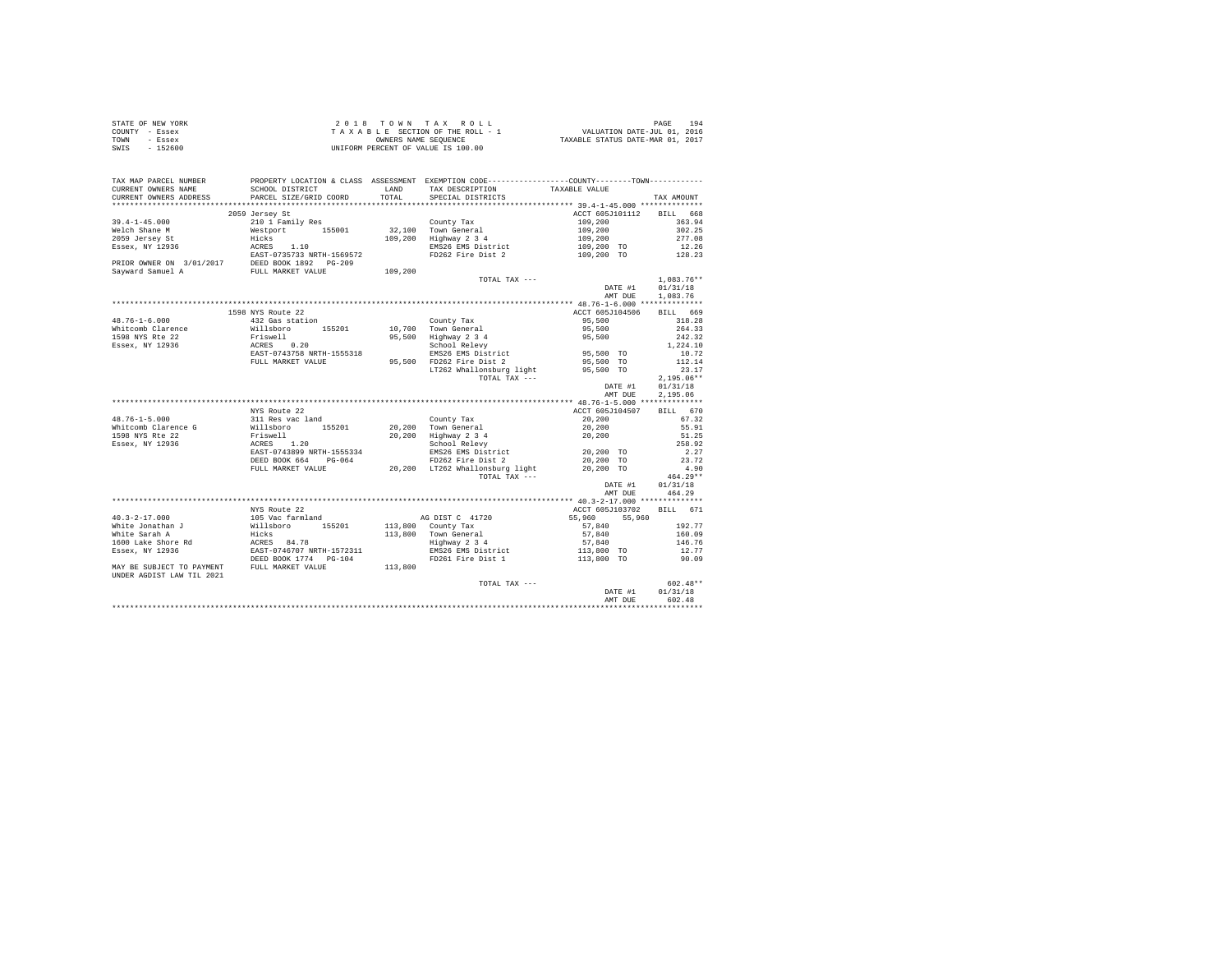| STATE OF NEW YORK | 2018 TOWN TAX ROLL                 | 194<br>PAGE                      |
|-------------------|------------------------------------|----------------------------------|
| COUNTY - Essex    | TAXABLE SECTION OF THE ROLL - 1    | VALUATION DATE-JUL 01, 2016      |
| TOWN<br>- Essex   | OWNERS NAME SEOUENCE               | TAXABLE STATUS DATE-MAR 01, 2017 |
| $-152600$<br>SWIS | UNIFORM PERCENT OF VALUE IS 100.00 |                                  |

| TAX MAP PARCEL NUMBER<br>CURRENT OWNERS NAME<br>CURRENT OWNERS ADDRESS               | PROPERTY LOCATION & CLASS ASSESSMENT EXEMPTION CODE----------------COUNTY-------TOWN----------<br>SCHOOL DISTRICT<br>PARCEL SIZE/GRID COORD                                                                                                                                                                                                                                       | LAND<br>TOTAL. | TAX DESCRIPTION<br>SPECIAL DISTRICTS                                                                                                                                                                      | TAXABLE VALUE            | TAX AMOUNT                           |
|--------------------------------------------------------------------------------------|-----------------------------------------------------------------------------------------------------------------------------------------------------------------------------------------------------------------------------------------------------------------------------------------------------------------------------------------------------------------------------------|----------------|-----------------------------------------------------------------------------------------------------------------------------------------------------------------------------------------------------------|--------------------------|--------------------------------------|
|                                                                                      |                                                                                                                                                                                                                                                                                                                                                                                   |                |                                                                                                                                                                                                           |                          |                                      |
| $39.4 - 1 - 45.000$<br>Welch Shane M                                                 | 2059 Jersey St                                                                                                                                                                                                                                                                                                                                                                    |                |                                                                                                                                                                                                           | ACCT 605J101112 BILL 668 | 363.94<br>302.25                     |
| 2059 Jersey St<br>Essex, NY 12936                                                    | 210 1 Family Res<br>Westport 155001<br>Hicks<br>ACRES 1.10<br>EAST-0735733 NRTH-1569572                                                                                                                                                                                                                                                                                           |                | County Tax 109,200<br>109,200 Town General 109,200<br>109,200 Highway 2 3<br>IMSIS EMS District 109,200 TO<br>EMSIS EMS District 109,200 TO<br>FD262 Fire Dist 2 109,200 TO                               |                          | 277.08<br>12.26<br>128.23            |
| PRIOR OWNER ON 3/01/2017 DEED BOOK 1892 PG-209<br>Sayward Samuel A FULL MARKET VALUE |                                                                                                                                                                                                                                                                                                                                                                                   | 109,200        |                                                                                                                                                                                                           |                          |                                      |
|                                                                                      |                                                                                                                                                                                                                                                                                                                                                                                   |                | TOTAL TAX ---                                                                                                                                                                                             | DATE #1<br>AMT DUE       | $1.083.76**$<br>01/31/18<br>1,083.76 |
|                                                                                      |                                                                                                                                                                                                                                                                                                                                                                                   |                |                                                                                                                                                                                                           |                          |                                      |
|                                                                                      | 1598 NYS Route 22                                                                                                                                                                                                                                                                                                                                                                 |                |                                                                                                                                                                                                           | ACCT 605J104506          | BILL 669                             |
|                                                                                      |                                                                                                                                                                                                                                                                                                                                                                                   |                |                                                                                                                                                                                                           | 95,500                   | 318.28                               |
|                                                                                      |                                                                                                                                                                                                                                                                                                                                                                                   |                |                                                                                                                                                                                                           | 95,500                   | 264.33                               |
|                                                                                      |                                                                                                                                                                                                                                                                                                                                                                                   |                |                                                                                                                                                                                                           |                          | 242.32                               |
|                                                                                      |                                                                                                                                                                                                                                                                                                                                                                                   |                |                                                                                                                                                                                                           |                          | 1,224.10                             |
|                                                                                      |                                                                                                                                                                                                                                                                                                                                                                                   |                | 95,500 Highway 2 3 4<br>95,500 Highway 2 3 4<br>School Relevy<br>EMS26 EMS District<br>95,500 FD262 Fire Dist 2<br>95,500 FD262 Whallonsburg light<br>195,500 TO<br>19762 Whallonsburg light<br>95,500 TO |                          | 10.72                                |
|                                                                                      |                                                                                                                                                                                                                                                                                                                                                                                   |                |                                                                                                                                                                                                           |                          | 112.14                               |
|                                                                                      |                                                                                                                                                                                                                                                                                                                                                                                   |                |                                                                                                                                                                                                           |                          | 23.17                                |
|                                                                                      |                                                                                                                                                                                                                                                                                                                                                                                   |                | TOTAL TAX ---                                                                                                                                                                                             |                          | $2.195.06**$                         |
|                                                                                      |                                                                                                                                                                                                                                                                                                                                                                                   |                |                                                                                                                                                                                                           | DATE #1                  | 01/31/18                             |
|                                                                                      |                                                                                                                                                                                                                                                                                                                                                                                   |                |                                                                                                                                                                                                           | AMT DUE                  | 2,195.06                             |
|                                                                                      | NYS Route 22                                                                                                                                                                                                                                                                                                                                                                      |                |                                                                                                                                                                                                           | ACCT 605J104507          | BILL 670                             |
|                                                                                      |                                                                                                                                                                                                                                                                                                                                                                                   |                |                                                                                                                                                                                                           |                          | 67.32                                |
|                                                                                      |                                                                                                                                                                                                                                                                                                                                                                                   |                |                                                                                                                                                                                                           | 20,200<br>20,200         | 55.91                                |
|                                                                                      |                                                                                                                                                                                                                                                                                                                                                                                   |                |                                                                                                                                                                                                           |                          | 51.25                                |
|                                                                                      |                                                                                                                                                                                                                                                                                                                                                                                   |                |                                                                                                                                                                                                           |                          | 258.92                               |
|                                                                                      |                                                                                                                                                                                                                                                                                                                                                                                   |                |                                                                                                                                                                                                           |                          | 2.27                                 |
|                                                                                      | DEED BOOK 664 PG-064                                                                                                                                                                                                                                                                                                                                                              |                |                                                                                                                                                                                                           |                          | 23.72                                |
|                                                                                      | FULL MARKET VALUE $20,200$ LT262 Whallonsburg light $20,200$ TO                                                                                                                                                                                                                                                                                                                   |                |                                                                                                                                                                                                           |                          | 4.90                                 |
|                                                                                      |                                                                                                                                                                                                                                                                                                                                                                                   |                | TOTAL TAX ---                                                                                                                                                                                             |                          | $464.29**$                           |
|                                                                                      |                                                                                                                                                                                                                                                                                                                                                                                   |                |                                                                                                                                                                                                           | DATE #1                  | 01/31/18                             |
|                                                                                      |                                                                                                                                                                                                                                                                                                                                                                                   |                |                                                                                                                                                                                                           | AMT DUE                  | 464.29                               |
|                                                                                      |                                                                                                                                                                                                                                                                                                                                                                                   |                |                                                                                                                                                                                                           |                          |                                      |
|                                                                                      | NYS Route 22                                                                                                                                                                                                                                                                                                                                                                      |                |                                                                                                                                                                                                           | ACCT 605J103702 BILL 671 |                                      |
| $40.3 - 2 - 17.000$                                                                  | $\begin{tabular}{l c c c c c} \hline \texttt{NTS} & \texttt{RoutC} & \texttt{ACT} & \texttt{ACT} & \texttt{ACCT} & \texttt{605.103702} \\ \hline 105 \texttt{VaC} & \texttt{farland} & 155201 & 113,800 & \texttt{Countty Tax} & 55,960 & 55,960 \\ \texttt{Hicks} & \texttt{M1Isboro} & 155201 & 113,800 & \texttt{Countty Tax} & 57,840 \\ \texttt{Hicks} & 4.78 & 113,800 & \$ |                |                                                                                                                                                                                                           | 55,960                   |                                      |
| White Jonathan J                                                                     |                                                                                                                                                                                                                                                                                                                                                                                   |                |                                                                                                                                                                                                           | 57,840                   | 192.77                               |
| White Sarah A                                                                        |                                                                                                                                                                                                                                                                                                                                                                                   |                |                                                                                                                                                                                                           |                          | 160.09                               |
| 1600 Lake Shore Rd                                                                   |                                                                                                                                                                                                                                                                                                                                                                                   |                |                                                                                                                                                                                                           |                          | 146.76                               |
| Essex, NY 12936                                                                      |                                                                                                                                                                                                                                                                                                                                                                                   |                |                                                                                                                                                                                                           |                          | 12.77                                |
|                                                                                      |                                                                                                                                                                                                                                                                                                                                                                                   |                |                                                                                                                                                                                                           |                          | 90.09                                |
| MAY BE SUBJECT TO PAYMENT FULL MARKET VALUE 113,800<br>UNDER AGDIST LAW TIL 2021     |                                                                                                                                                                                                                                                                                                                                                                                   |                |                                                                                                                                                                                                           |                          |                                      |
|                                                                                      |                                                                                                                                                                                                                                                                                                                                                                                   |                | TOTAL TAX ---                                                                                                                                                                                             |                          | $602.48**$                           |
|                                                                                      |                                                                                                                                                                                                                                                                                                                                                                                   |                |                                                                                                                                                                                                           | DATE #1                  | 01/31/18                             |
|                                                                                      |                                                                                                                                                                                                                                                                                                                                                                                   |                |                                                                                                                                                                                                           | AMT DUE                  | 602.48                               |
|                                                                                      |                                                                                                                                                                                                                                                                                                                                                                                   |                |                                                                                                                                                                                                           |                          |                                      |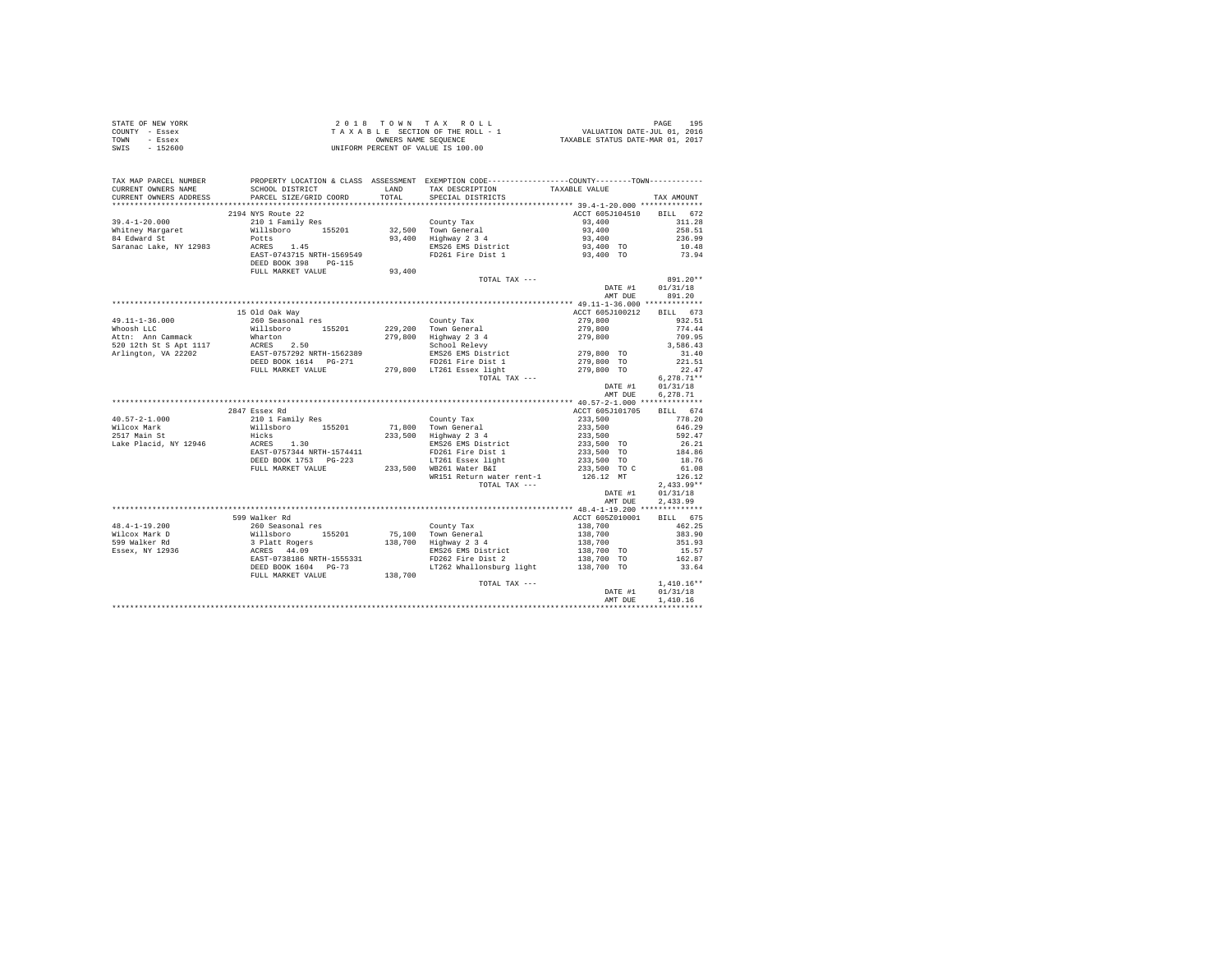| STATE OF NEW YORK |           | 2018 TOWN TAX ROLL                 |                      |  | 195<br>PAGE                      |
|-------------------|-----------|------------------------------------|----------------------|--|----------------------------------|
| COUNTY - Essex    |           | TAXABLE SECTION OF THE ROLL - 1    |                      |  | VALUATION DATE-JUL 01, 2016      |
| TOWN              | - Essex   |                                    | OWNERS NAME SEOUENCE |  | TAXABLE STATUS DATE-MAR 01, 2017 |
| SWIS              | $-152600$ | UNIFORM PERCENT OF VALUE IS 100.00 |                      |  |                                  |

| TAX MAP PARCEL NUMBER<br>CURRENT OWNERS NAME<br>CURRENT OWNERS ADDRESS | PROPERTY LOCATION & CLASS ASSESSMENT EXEMPTION CODE---------------COUNTY-------TOWN---------<br>SCHOOL DISTRICT<br>PARCEL SIZE/GRID COORD |        | LAND TAX DESCRIPTION<br>TOTAL SPECIAL DISTRICTS | TAXABLE VALUE                                                                      | TAX AMOUNT       |
|------------------------------------------------------------------------|-------------------------------------------------------------------------------------------------------------------------------------------|--------|-------------------------------------------------|------------------------------------------------------------------------------------|------------------|
|                                                                        |                                                                                                                                           |        |                                                 |                                                                                    |                  |
|                                                                        | 2194 NYS Route 22                                                                                                                         |        |                                                 | ACCT 605J104510 BILL 672                                                           |                  |
| $39.4 - 1 - 20.000$                                                    |                                                                                                                                           |        |                                                 |                                                                                    |                  |
| Whitney Margaret                                                       |                                                                                                                                           |        |                                                 |                                                                                    |                  |
|                                                                        |                                                                                                                                           |        |                                                 |                                                                                    |                  |
|                                                                        |                                                                                                                                           |        |                                                 |                                                                                    |                  |
|                                                                        |                                                                                                                                           |        |                                                 |                                                                                    |                  |
|                                                                        | DEED BOOK 398 PG-115                                                                                                                      |        |                                                 |                                                                                    |                  |
|                                                                        | FULL MARKET VALUE                                                                                                                         | 93,400 |                                                 |                                                                                    |                  |
|                                                                        |                                                                                                                                           |        | TOTAL TAX ---                                   |                                                                                    | 891.20**         |
|                                                                        |                                                                                                                                           |        |                                                 | $\overline{DATE}$ #1 $01/31/18$                                                    |                  |
|                                                                        |                                                                                                                                           |        |                                                 |                                                                                    | AMT DUE 891.20   |
|                                                                        |                                                                                                                                           |        |                                                 |                                                                                    |                  |
|                                                                        |                                                                                                                                           |        |                                                 |                                                                                    |                  |
|                                                                        | 15 Old Oak Wav                                                                                                                            |        |                                                 | ACCT 605J100212 BILL 673                                                           |                  |
|                                                                        |                                                                                                                                           |        |                                                 |                                                                                    | 932.51           |
|                                                                        |                                                                                                                                           |        |                                                 |                                                                                    | 774.44           |
|                                                                        |                                                                                                                                           |        |                                                 |                                                                                    | 709.95           |
|                                                                        |                                                                                                                                           |        |                                                 |                                                                                    | 3,586.43         |
|                                                                        |                                                                                                                                           |        |                                                 |                                                                                    | 31.40            |
|                                                                        |                                                                                                                                           |        |                                                 |                                                                                    | 221.51           |
|                                                                        |                                                                                                                                           |        |                                                 |                                                                                    | 22.47            |
|                                                                        |                                                                                                                                           |        | TOTAL TAX ---                                   |                                                                                    | $6.278.71**$     |
|                                                                        |                                                                                                                                           |        |                                                 | DATE #1<br>AMT DUE                                                                 | 01/31/18         |
|                                                                        |                                                                                                                                           |        |                                                 |                                                                                    | 6.278.71         |
|                                                                        |                                                                                                                                           |        |                                                 |                                                                                    |                  |
|                                                                        | 2847 Essex Rd                                                                                                                             |        |                                                 | ACCT 605J101705 BILL 674                                                           |                  |
|                                                                        |                                                                                                                                           |        |                                                 |                                                                                    |                  |
|                                                                        |                                                                                                                                           |        |                                                 |                                                                                    |                  |
|                                                                        |                                                                                                                                           |        |                                                 |                                                                                    |                  |
|                                                                        |                                                                                                                                           |        |                                                 |                                                                                    |                  |
|                                                                        |                                                                                                                                           |        |                                                 |                                                                                    |                  |
|                                                                        |                                                                                                                                           |        |                                                 |                                                                                    |                  |
|                                                                        |                                                                                                                                           |        |                                                 |                                                                                    |                  |
|                                                                        |                                                                                                                                           |        |                                                 |                                                                                    |                  |
|                                                                        |                                                                                                                                           |        | TOTAL TAX ---                                   |                                                                                    | $2.433.99**$     |
|                                                                        |                                                                                                                                           |        |                                                 |                                                                                    | DATE #1 01/31/18 |
|                                                                        |                                                                                                                                           |        |                                                 | AMT DUE                                                                            | 2,433.99         |
|                                                                        |                                                                                                                                           |        |                                                 |                                                                                    |                  |
|                                                                        | 599 Walker Rd                                                                                                                             |        |                                                 | ACCT 605Z010001 BILL 675                                                           |                  |
|                                                                        |                                                                                                                                           |        |                                                 |                                                                                    |                  |
|                                                                        |                                                                                                                                           |        |                                                 |                                                                                    | 462.25           |
|                                                                        |                                                                                                                                           |        |                                                 |                                                                                    | 383.90<br>351.93 |
|                                                                        |                                                                                                                                           |        |                                                 |                                                                                    |                  |
|                                                                        |                                                                                                                                           |        |                                                 |                                                                                    | 15.57<br>162.87  |
|                                                                        |                                                                                                                                           |        |                                                 |                                                                                    |                  |
|                                                                        |                                                                                                                                           |        |                                                 | LT262 Whallonsburg light 138,700 TO 33.64                                          |                  |
|                                                                        |                                                                                                                                           |        |                                                 | <br>TOTAL TAX ---<br>DATE #1 01/31/18<br>$0.1731/18$<br>$0.1731/18$<br>$0.1731/18$ |                  |
|                                                                        |                                                                                                                                           |        |                                                 |                                                                                    | $1,410.16**$     |
|                                                                        |                                                                                                                                           |        |                                                 |                                                                                    |                  |
|                                                                        |                                                                                                                                           |        |                                                 | AMT DUE                                                                            | 1,410.16         |
|                                                                        |                                                                                                                                           |        |                                                 |                                                                                    |                  |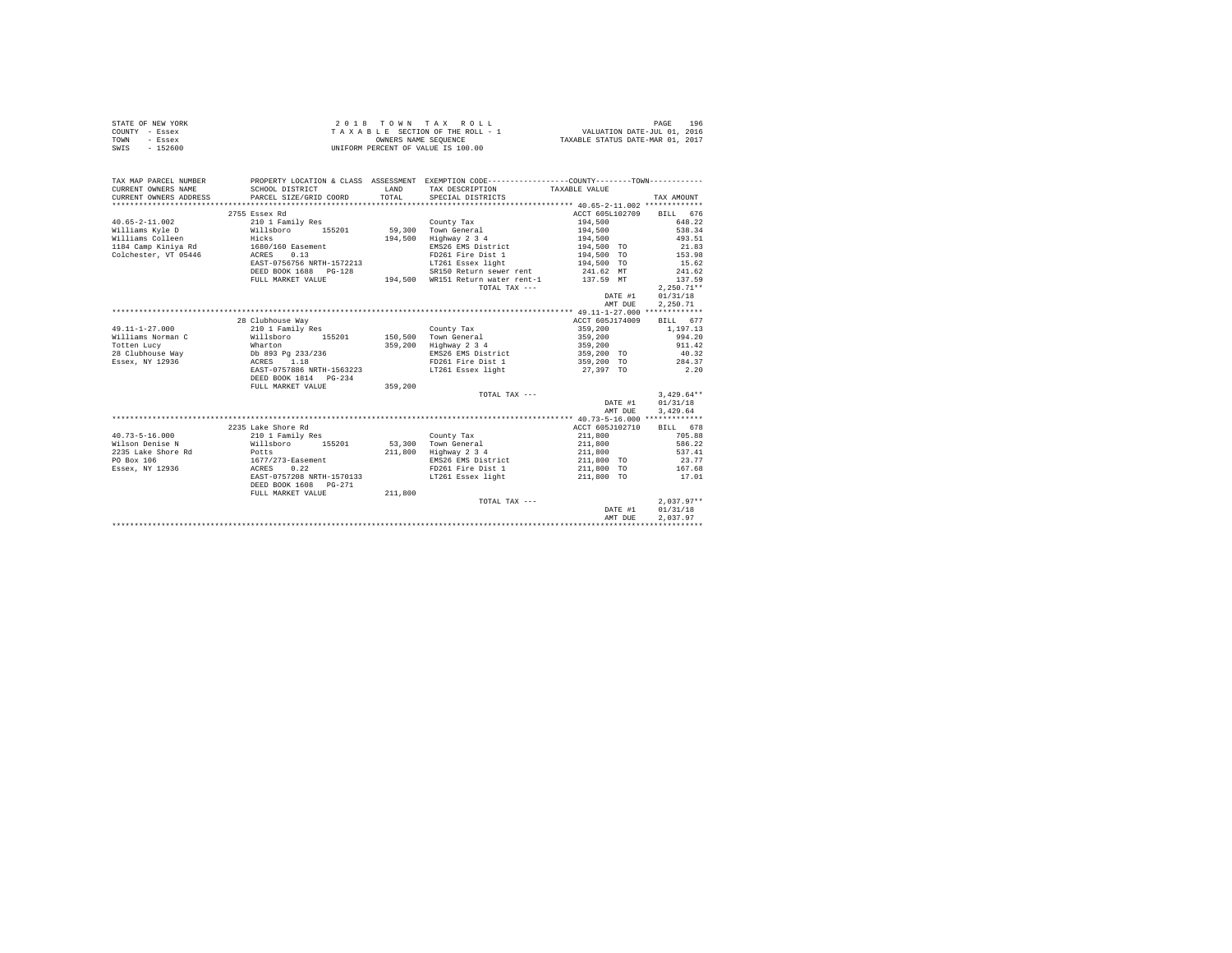|                | STATE OF NEW YORK | 2018 TOWN TAX ROLL                 | 196<br>PAGE                      |
|----------------|-------------------|------------------------------------|----------------------------------|
| COUNTY - Essex |                   | TAXABLE SECTION OF THE ROLL - 1    | VALUATION DATE-JUL 01, 2016      |
| TOWN           | - Essex           | OWNERS NAME SEOUENCE               | TAXABLE STATUS DATE-MAR 01, 2017 |
| SWIS           | - 152600          | UNIFORM PERCENT OF VALUE IS 100.00 |                                  |

| TAX MAP PARCEL NUMBER<br>CURRENT OWNERS NAME | SCHOOL DISTRICT              | <b>T.AND</b> | PROPERTY LOCATION & CLASS ASSESSMENT EXEMPTION CODE----------------COUNTY--------TOWN----------<br>TAX DESCRIPTION | TAXABLE VALUE            |              |
|----------------------------------------------|------------------------------|--------------|--------------------------------------------------------------------------------------------------------------------|--------------------------|--------------|
| CURRENT OWNERS ADDRESS                       | PARCEL SIZE/GRID COORD       | TOTAL.       | SPECIAL DISTRICTS                                                                                                  |                          | TAX AMOUNT   |
|                                              |                              |              |                                                                                                                    |                          |              |
|                                              | 2755 Essex Rd                |              |                                                                                                                    | ACCT 605L102709 BILL 676 |              |
| $40.65 - 2 - 11.002$                         | 210 1 Family Res             |              | County Tax                                                                                                         | 194,500                  | 648.22       |
| Williams Kyle D Willsboro 155201             |                              |              | 59.300 Town General                                                                                                | 194,500                  | 538.34       |
| Williams Colleen Hicks                       |                              | 194,500      | Highway 2 3 4                                                                                                      | 194,500                  | 493.51       |
| 1184 Camp Kiniya Rd 1680/160 Easement        |                              |              | EMS26 EMS District                                                                                                 | 194,500 TO               | 21.83        |
| Colchester, VT 05446                         | ACRES 0.13                   |              | FD261 Fire Dist 1                                                                                                  | 194,500 TO               | 153.98       |
|                                              | EAST-0756756 NRTH-1572213    |              | LT261 Essex light 194,500 TO                                                                                       |                          | 15.62        |
|                                              | DEED BOOK 1688 PG-128        |              | SR150 Return sewer rent 241.62 MT                                                                                  |                          | 241.62       |
|                                              | FULL MARKET VALUE            |              | 194.500 WR151 Return water rent-1                                                                                  | 137.59 MT                | 137.59       |
|                                              |                              |              | TOTAL TAX ---                                                                                                      |                          | $2.250.71**$ |
|                                              |                              |              |                                                                                                                    | DATE #1                  | 01/31/18     |
|                                              |                              |              |                                                                                                                    | AMT DUE                  | 2,250.71     |
|                                              |                              |              |                                                                                                                    |                          |              |
|                                              | 28 Clubhouse Way             |              |                                                                                                                    | ACCT 605J174009          | BILL 677     |
| $49.11 - 1 - 27.000$                         | 210 1 Family Res             |              | County Tax                                                                                                         | 359,200                  | 1,197.13     |
| Williams Norman C                            | Willsboro<br>155201          |              | 150,500 Town General                                                                                               | 359,200                  | 994.20       |
| Totten Lucy                                  |                              |              | 359.200 Highway 2 3 4                                                                                              | 359,200                  | 911.42       |
| 28 Clubhouse Way                             | Wharton<br>Db 893 Pg 233/236 |              | EMS26 EMS District                                                                                                 | 359,200 TO               | 40.32        |
| Essex, NY 12936<br>ACRES                     | 1.18                         |              | FD261 Fire Dist 1                                                                                                  | 359,200 TO               | 284.37       |
|                                              | EAST-0757886 NRTH-1563223    |              | LT261 Essex light                                                                                                  | 27,397 TO                | 2.20         |
|                                              | DEED BOOK 1814 PG-234        |              |                                                                                                                    |                          |              |
|                                              | FULL MARKET VALUE            | 359,200      |                                                                                                                    |                          |              |
|                                              |                              |              | TOTAL TAX ---                                                                                                      |                          | $3.429.64**$ |
|                                              |                              |              |                                                                                                                    | DATE #1                  | 01/31/18     |
|                                              |                              |              |                                                                                                                    | AMT DUE                  | 3,429.64     |
|                                              |                              |              |                                                                                                                    |                          |              |
|                                              | 2235 Lake Shore Rd           |              |                                                                                                                    | ACCT 605J102710          | BILL 678     |
| $40.73 - 5 - 16.000$                         | 210 1 Family Res             |              | County Tax                                                                                                         | 211,800                  | 705.88       |
| Wilson Denise N                              | Willsboro 155201             |              | 53.300 Town General                                                                                                | 211,800                  | 586.22       |
| 2235 Lake Shore Rd<br><b>Potts</b>           |                              | 211,800      | Highway 2 3 4                                                                                                      | 211,800                  | 537.41       |
| PO Box 106                                   | 1677/273-Easement            |              | EMS26 EMS District                                                                                                 | 211,800 TO               | 23.77        |
| Essex, NY 12936                              | ACRES 0.22                   |              | FD261 Fire Dist 1                                                                                                  | 211,800 TO               | 167.68       |
|                                              | EAST-0757208 NRTH-1570133    |              | LT261 Essex light                                                                                                  | 211,800 TO               | 17.01        |
|                                              | DEED BOOK 1608 PG-271        |              |                                                                                                                    |                          |              |
|                                              | FULL MARKET VALUE            | 211,800      |                                                                                                                    |                          |              |
|                                              |                              |              | TOTAL TAX ---                                                                                                      |                          | $2.037.97**$ |
|                                              |                              |              |                                                                                                                    | DATE #1                  | 01/31/18     |
|                                              |                              |              |                                                                                                                    | AMT DUE                  | 2.037.97     |
|                                              |                              |              |                                                                                                                    |                          |              |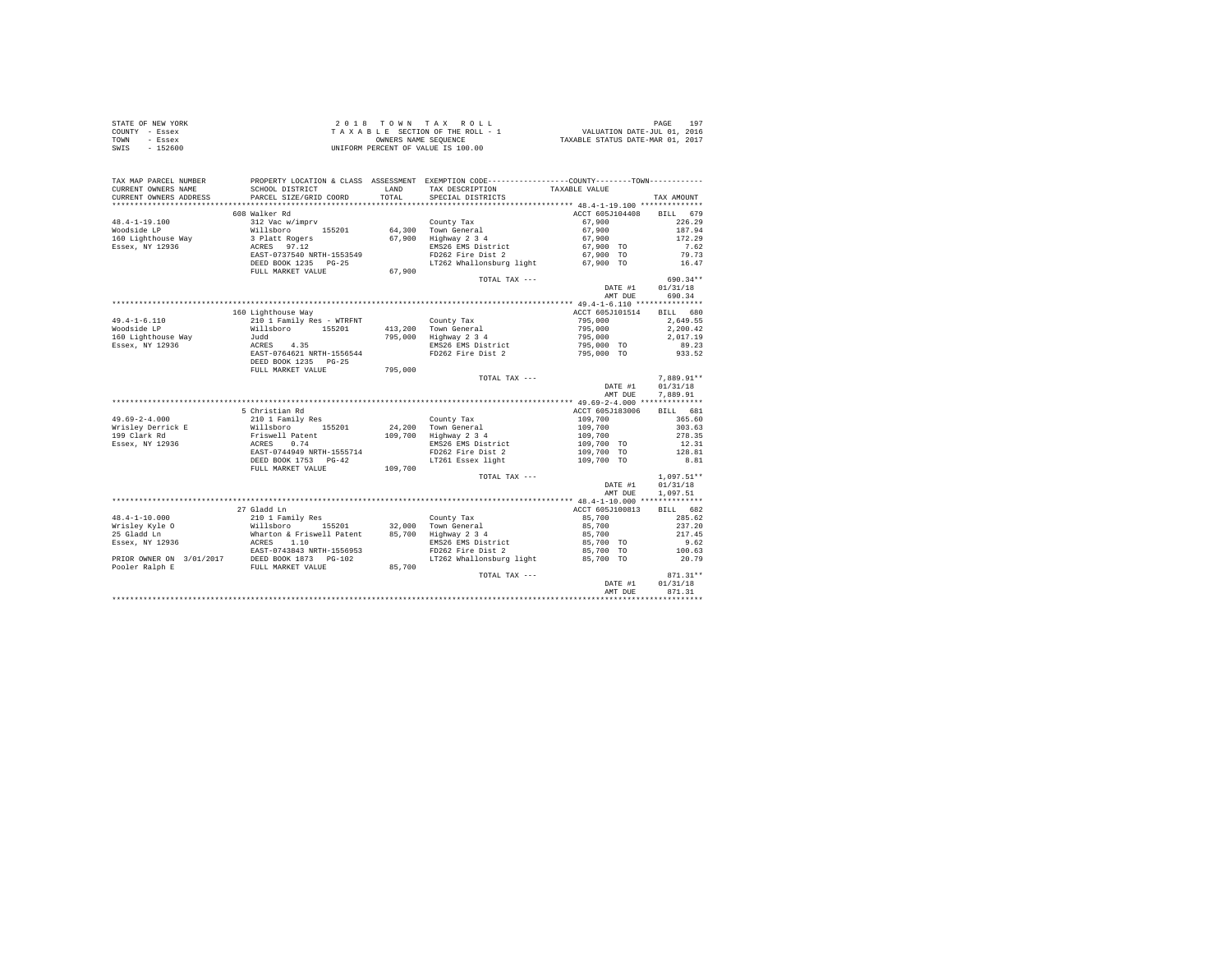|      | STATE OF NEW YORK | 2018 TOWN TAX ROLL                 | 19 <sup>r</sup><br>PAGE          |
|------|-------------------|------------------------------------|----------------------------------|
|      | COUNTY - Essex    | TAXABLE SECTION OF THE ROLL - 1    | VALUATION DATE-JUL 01, 2016      |
| TOWN | - Essex           | OWNERS NAME SEOUENCE               | TAXABLE STATUS DATE-MAR 01, 2017 |
| SWIS | $-152600$         | UNIFORM PERCENT OF VALUE IS 100.00 |                                  |

| TAX MAP PARCEL NUMBER                         |                                                   |               | PROPERTY LOCATION & CLASS ASSESSMENT EXEMPTION CODE----------------COUNTY--------TOWN---------- |                          |                  |
|-----------------------------------------------|---------------------------------------------------|---------------|-------------------------------------------------------------------------------------------------|--------------------------|------------------|
| CURRENT OWNERS NAME<br>CURRENT OWNERS ADDRESS | SCHOOL DISTRICT<br>PARCEL SIZE/GRID COORD         | LAND<br>TOTAL | TAX DESCRIPTION<br>SPECIAL DISTRICTS                                                            | TAXABLE VALUE            | TAX AMOUNT       |
| *********************                         | **************************                        |               |                                                                                                 |                          |                  |
|                                               | 608 Walker Rd                                     |               |                                                                                                 | ACCT 605J104408 BILL 679 |                  |
| $48.4 - 1 - 19.100$                           | 312 Vac w/imprv                                   |               | County Tax                                                                                      | 67,900                   | 226.29           |
| Woodside LP                                   | 155201                                            |               | 64,300 Town General                                                                             | 67.900                   | 187.94           |
| 160 Lighthouse Way<br>Essex, NY 12936         |                                                   |               | 67.900 Highway 2 3 4                                                                            | 67,900                   | 172.29           |
|                                               |                                                   |               | EMS26 EMS District                                                                              | 67,900 TO                | 7.62             |
|                                               | EAST-0737540 NRTH-1553549                         |               | FD262 Fire Dist 2                                                                               | 67,900 TO                | 79.73            |
|                                               | DEED BOOK 1235 PG-25                              |               | LT262 Whallonsburg light 67,900 TO                                                              |                          | 16.47            |
|                                               | FULL MARKET VALUE                                 | 67,900        |                                                                                                 |                          |                  |
|                                               |                                                   |               | TOTAL TAX ---                                                                                   |                          | 690.34**         |
|                                               |                                                   |               |                                                                                                 |                          | DATE #1 01/31/18 |
|                                               |                                                   |               |                                                                                                 | AMT DUE                  | 690.34           |
|                                               |                                                   |               |                                                                                                 |                          |                  |
|                                               | 160 Lighthouse Way                                |               |                                                                                                 | ACCT 605J101514          | BILL 680         |
| $49.4 - 1 - 6.110$                            | 210 1 Family Res - WTRFNT                         |               | County Tax                                                                                      | 795,000                  | 2.649.55         |
| Woodside LP                                   | Willsboro 155201                                  |               | 413.200 Town General                                                                            | 795,000                  | 2,200.42         |
| 160 Lighthouse Way                            | Judd                                              |               | 795,000 Highway 2 3 4                                                                           | 795,000                  | 2.017.19         |
| Essex, NY 12936                               | ACRES 4.35                                        |               | EMS26 EMS District                                                                              | 795,000 TO               | 89.23            |
|                                               | EAST-0764621 NRTH-1556544                         |               | FD262 Fire Dist 2 795,000 TO                                                                    |                          | 933.52           |
|                                               | DEED BOOK 1235 PG-25                              |               |                                                                                                 |                          |                  |
|                                               | FULL MARKET VALUE                                 | 795,000       |                                                                                                 |                          |                  |
|                                               |                                                   |               | TOTAL TAX ---                                                                                   |                          | 7.889.91**       |
|                                               |                                                   |               |                                                                                                 | DATE #1                  | 01/31/18         |
|                                               |                                                   |               |                                                                                                 | AMT DUE                  | 7,889.91         |
|                                               |                                                   |               |                                                                                                 |                          |                  |
|                                               | 5 Christian Rd                                    |               |                                                                                                 | ACCT 605J183006          | BILL 681         |
| $49.69 - 2 - 4.000$                           | 210 1 Family Res                                  |               | County Tax                                                                                      | 109,700                  | 365.60           |
| Wrisley Derrick E                             | Willsboro 155201<br>Friswell Patent<br>ACRES 0.74 |               | 24,200 Town General<br>109,700 Highway 2 3 4                                                    | 109,700<br>109,700       | 303.63           |
| 199 Clark Rd                                  |                                                   |               |                                                                                                 |                          | 278.35           |
| Essex, NY 12936                               |                                                   |               | EMS26 EMS District                                                                              | 109,700 TO               | 12.31            |
|                                               | EAST-0744949 NRTH-1555714                         |               | FD262 Fire Dist 2                                                                               | 109,700 TO               | 128.81           |
|                                               | DEED BOOK 1753 PG-42                              |               | LT261 Essex light                                                                               | 109,700 TO               | 8.81             |
|                                               | FULL MARKET VALUE 109,700                         |               |                                                                                                 |                          |                  |
|                                               |                                                   |               | TOTAL TAX ---                                                                                   |                          | $1,097.51**$     |
|                                               |                                                   |               |                                                                                                 | DATE #1                  | 01/31/18         |
|                                               |                                                   |               |                                                                                                 | AMT DUE                  | 1,097.51         |
|                                               |                                                   |               |                                                                                                 |                          |                  |
|                                               | 27 Gladd Ln                                       |               |                                                                                                 | ACCT 605J100813          | BILL 682         |
| $48.4 - 1 - 10.000$                           | 210 1 Family Res                                  |               | County Tax                                                                                      | 85,700                   | 285.62           |
|                                               |                                                   |               |                                                                                                 | 85,700<br>85,700         | 237.20           |
|                                               |                                                   |               |                                                                                                 |                          | 217.45           |
|                                               |                                                   |               | EMS26 EMS District                                                                              | 85,700 TO                | 9.62             |
|                                               |                                                   |               |                                                                                                 | 85,700 TO                | 100.63           |
|                                               |                                                   |               | LT262 Whallonsburg light 85,700 TO                                                              |                          | 20.79            |
|                                               |                                                   |               |                                                                                                 |                          |                  |
|                                               |                                                   |               | TOTAL TAX ---                                                                                   |                          | 871.31**         |
|                                               |                                                   |               |                                                                                                 | DATE #1                  | 01/31/18         |
|                                               |                                                   |               |                                                                                                 | AMT DUE                  | 871.31           |
|                                               |                                                   |               |                                                                                                 |                          |                  |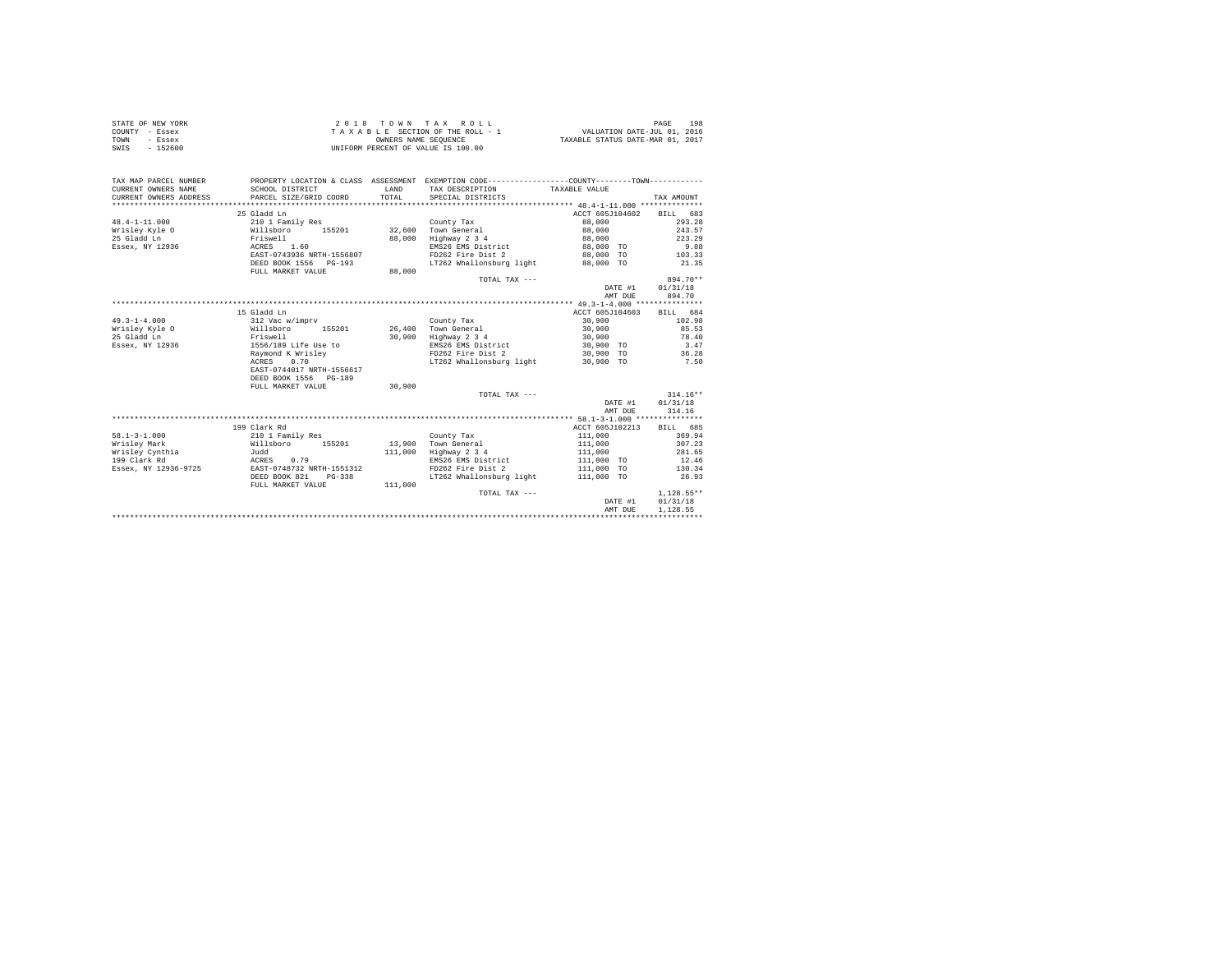|      | STATE OF NEW YORK | 2018 TOWN TAX ROLL                 | 198<br>PAGE                      |
|------|-------------------|------------------------------------|----------------------------------|
|      | COUNTY - Essex    | TAXABLE SECTION OF THE ROLL - 1    | VALUATION DATE-JUL 01, 2016      |
| TOWN | - Essex           | OWNERS NAME SEOUENCE               | TAXABLE STATUS DATE-MAR 01, 2017 |
| SWIS | $-152600$         | UNIFORM PERCENT OF VALUE IS 100.00 |                                  |

| TAX MAP PARCEL NUMBER<br>CURRENT OWNERS NAME<br>CURRENT OWNERS ADDRESS | SCHOOL DISTRICT<br>PARCEL SIZE/GRID COORD | LAND<br>TOTAL | PROPERTY LOCATION & CLASS ASSESSMENT EXEMPTION CODE----------------COUNTY-------TOWN----------<br>TAX DESCRIPTION TAXABLE VALUE<br>SPECIAL DISTRICTS |                 | TAX AMOUNT   |
|------------------------------------------------------------------------|-------------------------------------------|---------------|------------------------------------------------------------------------------------------------------------------------------------------------------|-----------------|--------------|
|                                                                        | 25 Gladd Ln                               |               |                                                                                                                                                      | ACCT 605J104602 | BILL 683     |
| $48.4 - 1 - 11.000$                                                    | 210 1 Family Res                          |               | County Tax                                                                                                                                           | 88,000          | 293.28       |
| Wrisley Kyle O                                                         | 155201<br>Willsboro                       |               | 32.600 Town General                                                                                                                                  | 88,000          | 243.57       |
| 25 Gladd Ln                                                            | Friswell                                  | 88,000        | Highway 2 3 4                                                                                                                                        | 88,000          | 223.29       |
| Essex, NY 12936                                                        | ACRES<br>1.60                             |               | EMS26 EMS District                                                                                                                                   | 88,000 TO       | 9.88         |
|                                                                        | EAST-0743936 NRTH-1556807                 |               | FD262 Fire Dist 2                                                                                                                                    | 88,000 TO       | 103.33       |
|                                                                        | DEED BOOK 1556 PG-193                     |               | LT262 Whallonsburg light 88,000 TO                                                                                                                   |                 | 21.35        |
|                                                                        |                                           | 88,000        |                                                                                                                                                      |                 |              |
|                                                                        | FULL MARKET VALUE                         |               |                                                                                                                                                      |                 | 894.70**     |
|                                                                        |                                           |               | TOTAL TAX ---                                                                                                                                        |                 |              |
|                                                                        |                                           |               |                                                                                                                                                      | DATE #1         | 01/31/18     |
|                                                                        |                                           |               |                                                                                                                                                      | AMT DUE         | 894.70       |
|                                                                        |                                           |               |                                                                                                                                                      |                 |              |
|                                                                        | 15 Gladd Ln                               |               |                                                                                                                                                      | ACCT 605J104603 | BILL 684     |
| $49.3 - 1 - 4.000$                                                     | 312 Vac w/imprv                           |               | County Tax                                                                                                                                           | 30,900          | 102.98       |
| Wrisley Kyle 0 Willsboro                                               | 155201                                    |               | 26.400 Town General                                                                                                                                  | 30,900          | 85.53        |
| 25 Gladd Ln                                                            | Friswell                                  | 30,900        | Highway 2 3 4                                                                                                                                        | 30,900          | 78.40        |
| Essex, NY 12936                                                        | 1556/189 Life Use to                      |               | EMS26 EMS District                                                                                                                                   | 30,900 TO       | 3.47         |
|                                                                        | Ravmond K Wrislev                         |               | FD262 Fire Dist 2                                                                                                                                    | 30,900 TO       | 36.28        |
|                                                                        | 0.70<br>ACRES                             |               | LT262 Whallonsburg light                                                                                                                             | 30,900 TO       | 7.50         |
|                                                                        | EAST-0744017 NRTH-1556617                 |               |                                                                                                                                                      |                 |              |
|                                                                        | DEED BOOK 1556 PG-189                     |               |                                                                                                                                                      |                 |              |
|                                                                        | FULL MARKET VALUE                         | 30,900        |                                                                                                                                                      |                 |              |
|                                                                        |                                           |               | TOTAL TAX ---                                                                                                                                        |                 | $314.16**$   |
|                                                                        |                                           |               |                                                                                                                                                      | DATE #1         | 01/31/18     |
|                                                                        |                                           |               |                                                                                                                                                      | AMT DUE         | 314.16       |
|                                                                        |                                           |               |                                                                                                                                                      |                 |              |
|                                                                        | 199 Clark Rd                              |               |                                                                                                                                                      | ACCT 605J102213 | BILL 685     |
| $58.1 - 3 - 1.000$                                                     | 210 1 Family Res                          |               | County Tax                                                                                                                                           | 111,000         | 369.94       |
| Wrisley Mark                                                           | Willsboro<br>155201                       | 13,900        | Town General                                                                                                                                         | 111,000         | 307.23       |
| Wrisley Cynthia                                                        | Judd                                      | 111,000       | Highway 2 3 4                                                                                                                                        | 111,000         | 281.65       |
| 199 Clark Rd                                                           | ACRES 0.79                                |               | EMS26 EMS District                                                                                                                                   | 111,000 TO      | 12.46        |
| Essex, NY 12936-9725                                                   | EAST-0748732 NRTH-1551312                 |               | FD262 Fire Dist 2                                                                                                                                    | 111,000 TO      | 130.34       |
|                                                                        | DEED BOOK 821<br>$PG-338$                 |               | LT262 Whallonsburg light 111,000 TO                                                                                                                  |                 | 26.93        |
|                                                                        | FULL MARKET VALUE                         | 111,000       |                                                                                                                                                      |                 |              |
|                                                                        |                                           |               | TOTAL TAX ---                                                                                                                                        |                 | $1,128.55**$ |
|                                                                        |                                           |               |                                                                                                                                                      | DATE #1         | 01/31/18     |
|                                                                        |                                           |               |                                                                                                                                                      | AMT DUE         | 1,128.55     |
|                                                                        |                                           |               |                                                                                                                                                      |                 |              |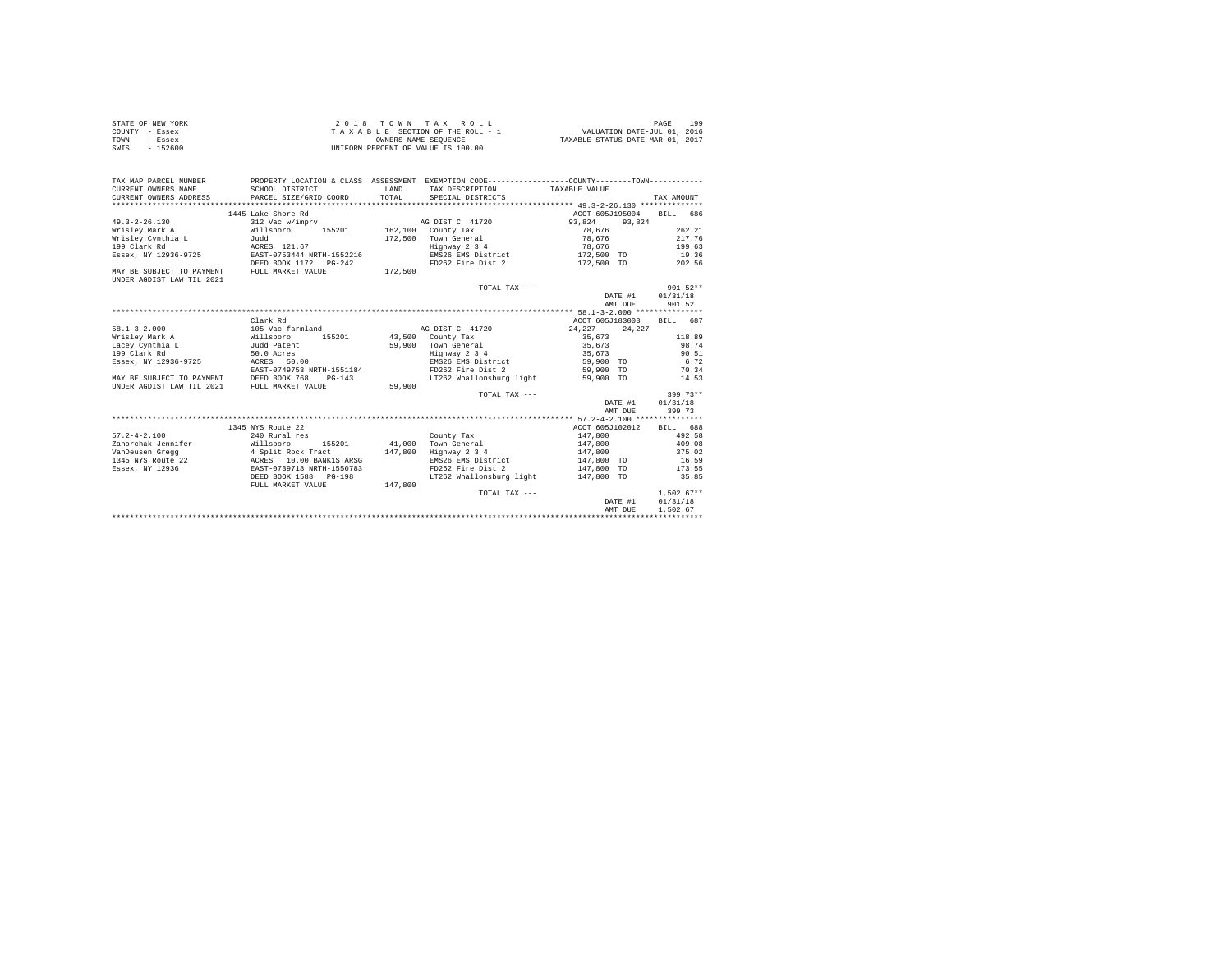| STATE OF NEW YORK | 2018 TOWN TAX ROLL                 | 199<br>PAGE                      |
|-------------------|------------------------------------|----------------------------------|
| COUNTY - Essex    | TAXABLE SECTION OF THE ROLL - 1    | VALUATION DATE-JUL 01, 2016      |
| TOWN<br>- Essex   | OWNERS NAME SEOUENCE               | TAXABLE STATUS DATE-MAR 01, 2017 |
| $-152600$<br>SWIS | UNIFORM PERCENT OF VALUE IS 100.00 |                                  |

| 1445 Lake Shore Rd<br>ACCT 605J195004<br>BILL 686<br>$49.3 - 2 - 26.130$<br>AG DIST C 41720<br>312 Vac w/imprv<br>93.824<br>93.824<br>262.21<br>Wrisley Mark A<br>Willsboro<br>155201<br>162,100 County Tax<br>78,676<br>Wrisley Cynthia L<br>172.500 Town General<br>78,676<br>217.76<br>Judd<br>Highway 2 3 4<br>78,676<br>199 Clark Rd<br>199.63<br>ACRES 121.67<br>Essex, NY 12936-9725<br>EMS26 EMS District 172,500 TO<br>EAST-0753444 NRTH-1552216<br>19.36<br>FD262 Fire Dist 2<br>DEED BOOK 1172    PG-242<br>172,500 TO<br>202.56<br>FULL MARKET VALUE<br>172,500<br>UNDER AGDIST LAW TIL 2021<br>$901.52**$<br>TOTAL TAX ---<br>DATE #1<br>01/31/18<br>AMT DUE<br>901.52<br>Clark Rd<br>ACCT 605J183003<br>BILL 687<br>AG DIST C 41720<br>$58.1 - 3 - 2.000$<br>105 Vac farmland<br>24.227<br>24.227<br>Wrisley Mark A<br>Willsboro<br>155201<br>43,500 County Tax<br>118.89<br>35,673<br>98.74<br>Lacev Cynthia L<br>59,900 Town General<br>35,673<br>Judd Patent<br>Highway 2 3 4<br>35,673<br>50.0 Acres<br>199 Clark Rd<br>90.51<br>Essex, NY 12936-9725<br>ACRES 50.00<br>EMS26 EMS District 59,900 TO<br>6.72<br>EAST-0749753 NRTH-1551184<br>FD262 Fire Dist 2<br>59,900 TO<br>70.34<br>MAY BE SUBJECT TO PAYMENT DEED BOOK 768<br>$PG-143$<br>LT262 Whallonsburg light<br>59,900 TO<br>14.53<br>FULL MARKET VALUE<br>59,900<br>UNDER AGDIST LAW TIL 2021<br>$399.73**$<br>TOTAL TAX ---<br>DATE #1<br>01/31/18<br>399.73<br>AMT DUE<br>1345 NYS Route 22<br>BILL 688<br>ACCT 605J102012<br>$57.2 - 4 - 2.100$<br>240 Rural res<br>147,800<br>492.58<br>County Tax<br>Zahorchak Jennifer<br>41.000 Town General<br>409.08<br>Willsboro<br>155201<br>147,800<br>VanDeusen Gregg<br>4 Split Rock Tract<br>ACRES 10.00 BANK1STARSG<br>147,800<br>Highway 2 3 4<br>147.800<br>375.02<br>EMS26 EMS District<br>1345 NYS Route 22<br>147,800 TO<br>16.59<br>FD262 Fire Dist 2<br>EAST-0739718 NRTH-1550783<br>147,800 TO<br>Essex, NY 12936<br>173.55<br>35.85<br>DEED BOOK 1588<br>LT262 Whallonsburg light 147,800 TO<br>PG-198<br>147,800<br>FULL MARKET VALUE<br>$1.502.67**$<br>TOTAL TAX ---<br>01/31/18<br>DATE #1<br>AMT DUE<br>1,502.67 | TAX MAP PARCEL NUMBER<br>CURRENT OWNERS NAME<br>CURRENT OWNERS ADDRESS | SCHOOL DISTRICT<br>PARCEL SIZE/GRID COORD | <b>T.AND</b><br>TOTAL | PROPERTY LOCATION & CLASS ASSESSMENT EXEMPTION CODE----------------COUNTY-------TOWN----------<br>TAX DESCRIPTION TAXABLE VALUE<br>SPECIAL DISTRICTS | TAX AMOUNT |
|--------------------------------------------------------------------------------------------------------------------------------------------------------------------------------------------------------------------------------------------------------------------------------------------------------------------------------------------------------------------------------------------------------------------------------------------------------------------------------------------------------------------------------------------------------------------------------------------------------------------------------------------------------------------------------------------------------------------------------------------------------------------------------------------------------------------------------------------------------------------------------------------------------------------------------------------------------------------------------------------------------------------------------------------------------------------------------------------------------------------------------------------------------------------------------------------------------------------------------------------------------------------------------------------------------------------------------------------------------------------------------------------------------------------------------------------------------------------------------------------------------------------------------------------------------------------------------------------------------------------------------------------------------------------------------------------------------------------------------------------------------------------------------------------------------------------------------------------------------------------------------------------------------------------------------------------------------------------------------------------------------------------------------------------------------------------------------------------------------------------------------------------------------------|------------------------------------------------------------------------|-------------------------------------------|-----------------------|------------------------------------------------------------------------------------------------------------------------------------------------------|------------|
|                                                                                                                                                                                                                                                                                                                                                                                                                                                                                                                                                                                                                                                                                                                                                                                                                                                                                                                                                                                                                                                                                                                                                                                                                                                                                                                                                                                                                                                                                                                                                                                                                                                                                                                                                                                                                                                                                                                                                                                                                                                                                                                                                              |                                                                        |                                           |                       |                                                                                                                                                      |            |
|                                                                                                                                                                                                                                                                                                                                                                                                                                                                                                                                                                                                                                                                                                                                                                                                                                                                                                                                                                                                                                                                                                                                                                                                                                                                                                                                                                                                                                                                                                                                                                                                                                                                                                                                                                                                                                                                                                                                                                                                                                                                                                                                                              |                                                                        |                                           |                       |                                                                                                                                                      |            |
|                                                                                                                                                                                                                                                                                                                                                                                                                                                                                                                                                                                                                                                                                                                                                                                                                                                                                                                                                                                                                                                                                                                                                                                                                                                                                                                                                                                                                                                                                                                                                                                                                                                                                                                                                                                                                                                                                                                                                                                                                                                                                                                                                              |                                                                        |                                           |                       |                                                                                                                                                      |            |
|                                                                                                                                                                                                                                                                                                                                                                                                                                                                                                                                                                                                                                                                                                                                                                                                                                                                                                                                                                                                                                                                                                                                                                                                                                                                                                                                                                                                                                                                                                                                                                                                                                                                                                                                                                                                                                                                                                                                                                                                                                                                                                                                                              |                                                                        |                                           |                       |                                                                                                                                                      |            |
|                                                                                                                                                                                                                                                                                                                                                                                                                                                                                                                                                                                                                                                                                                                                                                                                                                                                                                                                                                                                                                                                                                                                                                                                                                                                                                                                                                                                                                                                                                                                                                                                                                                                                                                                                                                                                                                                                                                                                                                                                                                                                                                                                              |                                                                        |                                           |                       |                                                                                                                                                      |            |
|                                                                                                                                                                                                                                                                                                                                                                                                                                                                                                                                                                                                                                                                                                                                                                                                                                                                                                                                                                                                                                                                                                                                                                                                                                                                                                                                                                                                                                                                                                                                                                                                                                                                                                                                                                                                                                                                                                                                                                                                                                                                                                                                                              |                                                                        |                                           |                       |                                                                                                                                                      |            |
|                                                                                                                                                                                                                                                                                                                                                                                                                                                                                                                                                                                                                                                                                                                                                                                                                                                                                                                                                                                                                                                                                                                                                                                                                                                                                                                                                                                                                                                                                                                                                                                                                                                                                                                                                                                                                                                                                                                                                                                                                                                                                                                                                              |                                                                        |                                           |                       |                                                                                                                                                      |            |
|                                                                                                                                                                                                                                                                                                                                                                                                                                                                                                                                                                                                                                                                                                                                                                                                                                                                                                                                                                                                                                                                                                                                                                                                                                                                                                                                                                                                                                                                                                                                                                                                                                                                                                                                                                                                                                                                                                                                                                                                                                                                                                                                                              | MAY BE SUBJECT TO PAYMENT                                              |                                           |                       |                                                                                                                                                      |            |
|                                                                                                                                                                                                                                                                                                                                                                                                                                                                                                                                                                                                                                                                                                                                                                                                                                                                                                                                                                                                                                                                                                                                                                                                                                                                                                                                                                                                                                                                                                                                                                                                                                                                                                                                                                                                                                                                                                                                                                                                                                                                                                                                                              |                                                                        |                                           |                       |                                                                                                                                                      |            |
|                                                                                                                                                                                                                                                                                                                                                                                                                                                                                                                                                                                                                                                                                                                                                                                                                                                                                                                                                                                                                                                                                                                                                                                                                                                                                                                                                                                                                                                                                                                                                                                                                                                                                                                                                                                                                                                                                                                                                                                                                                                                                                                                                              |                                                                        |                                           |                       |                                                                                                                                                      |            |
|                                                                                                                                                                                                                                                                                                                                                                                                                                                                                                                                                                                                                                                                                                                                                                                                                                                                                                                                                                                                                                                                                                                                                                                                                                                                                                                                                                                                                                                                                                                                                                                                                                                                                                                                                                                                                                                                                                                                                                                                                                                                                                                                                              |                                                                        |                                           |                       |                                                                                                                                                      |            |
|                                                                                                                                                                                                                                                                                                                                                                                                                                                                                                                                                                                                                                                                                                                                                                                                                                                                                                                                                                                                                                                                                                                                                                                                                                                                                                                                                                                                                                                                                                                                                                                                                                                                                                                                                                                                                                                                                                                                                                                                                                                                                                                                                              |                                                                        |                                           |                       |                                                                                                                                                      |            |
|                                                                                                                                                                                                                                                                                                                                                                                                                                                                                                                                                                                                                                                                                                                                                                                                                                                                                                                                                                                                                                                                                                                                                                                                                                                                                                                                                                                                                                                                                                                                                                                                                                                                                                                                                                                                                                                                                                                                                                                                                                                                                                                                                              |                                                                        |                                           |                       |                                                                                                                                                      |            |
|                                                                                                                                                                                                                                                                                                                                                                                                                                                                                                                                                                                                                                                                                                                                                                                                                                                                                                                                                                                                                                                                                                                                                                                                                                                                                                                                                                                                                                                                                                                                                                                                                                                                                                                                                                                                                                                                                                                                                                                                                                                                                                                                                              |                                                                        |                                           |                       |                                                                                                                                                      |            |
|                                                                                                                                                                                                                                                                                                                                                                                                                                                                                                                                                                                                                                                                                                                                                                                                                                                                                                                                                                                                                                                                                                                                                                                                                                                                                                                                                                                                                                                                                                                                                                                                                                                                                                                                                                                                                                                                                                                                                                                                                                                                                                                                                              |                                                                        |                                           |                       |                                                                                                                                                      |            |
|                                                                                                                                                                                                                                                                                                                                                                                                                                                                                                                                                                                                                                                                                                                                                                                                                                                                                                                                                                                                                                                                                                                                                                                                                                                                                                                                                                                                                                                                                                                                                                                                                                                                                                                                                                                                                                                                                                                                                                                                                                                                                                                                                              |                                                                        |                                           |                       |                                                                                                                                                      |            |
|                                                                                                                                                                                                                                                                                                                                                                                                                                                                                                                                                                                                                                                                                                                                                                                                                                                                                                                                                                                                                                                                                                                                                                                                                                                                                                                                                                                                                                                                                                                                                                                                                                                                                                                                                                                                                                                                                                                                                                                                                                                                                                                                                              |                                                                        |                                           |                       |                                                                                                                                                      |            |
|                                                                                                                                                                                                                                                                                                                                                                                                                                                                                                                                                                                                                                                                                                                                                                                                                                                                                                                                                                                                                                                                                                                                                                                                                                                                                                                                                                                                                                                                                                                                                                                                                                                                                                                                                                                                                                                                                                                                                                                                                                                                                                                                                              |                                                                        |                                           |                       |                                                                                                                                                      |            |
|                                                                                                                                                                                                                                                                                                                                                                                                                                                                                                                                                                                                                                                                                                                                                                                                                                                                                                                                                                                                                                                                                                                                                                                                                                                                                                                                                                                                                                                                                                                                                                                                                                                                                                                                                                                                                                                                                                                                                                                                                                                                                                                                                              |                                                                        |                                           |                       |                                                                                                                                                      |            |
|                                                                                                                                                                                                                                                                                                                                                                                                                                                                                                                                                                                                                                                                                                                                                                                                                                                                                                                                                                                                                                                                                                                                                                                                                                                                                                                                                                                                                                                                                                                                                                                                                                                                                                                                                                                                                                                                                                                                                                                                                                                                                                                                                              |                                                                        |                                           |                       |                                                                                                                                                      |            |
|                                                                                                                                                                                                                                                                                                                                                                                                                                                                                                                                                                                                                                                                                                                                                                                                                                                                                                                                                                                                                                                                                                                                                                                                                                                                                                                                                                                                                                                                                                                                                                                                                                                                                                                                                                                                                                                                                                                                                                                                                                                                                                                                                              |                                                                        |                                           |                       |                                                                                                                                                      |            |
|                                                                                                                                                                                                                                                                                                                                                                                                                                                                                                                                                                                                                                                                                                                                                                                                                                                                                                                                                                                                                                                                                                                                                                                                                                                                                                                                                                                                                                                                                                                                                                                                                                                                                                                                                                                                                                                                                                                                                                                                                                                                                                                                                              |                                                                        |                                           |                       |                                                                                                                                                      |            |
|                                                                                                                                                                                                                                                                                                                                                                                                                                                                                                                                                                                                                                                                                                                                                                                                                                                                                                                                                                                                                                                                                                                                                                                                                                                                                                                                                                                                                                                                                                                                                                                                                                                                                                                                                                                                                                                                                                                                                                                                                                                                                                                                                              |                                                                        |                                           |                       |                                                                                                                                                      |            |
|                                                                                                                                                                                                                                                                                                                                                                                                                                                                                                                                                                                                                                                                                                                                                                                                                                                                                                                                                                                                                                                                                                                                                                                                                                                                                                                                                                                                                                                                                                                                                                                                                                                                                                                                                                                                                                                                                                                                                                                                                                                                                                                                                              |                                                                        |                                           |                       |                                                                                                                                                      |            |
|                                                                                                                                                                                                                                                                                                                                                                                                                                                                                                                                                                                                                                                                                                                                                                                                                                                                                                                                                                                                                                                                                                                                                                                                                                                                                                                                                                                                                                                                                                                                                                                                                                                                                                                                                                                                                                                                                                                                                                                                                                                                                                                                                              |                                                                        |                                           |                       |                                                                                                                                                      |            |
|                                                                                                                                                                                                                                                                                                                                                                                                                                                                                                                                                                                                                                                                                                                                                                                                                                                                                                                                                                                                                                                                                                                                                                                                                                                                                                                                                                                                                                                                                                                                                                                                                                                                                                                                                                                                                                                                                                                                                                                                                                                                                                                                                              |                                                                        |                                           |                       |                                                                                                                                                      |            |
|                                                                                                                                                                                                                                                                                                                                                                                                                                                                                                                                                                                                                                                                                                                                                                                                                                                                                                                                                                                                                                                                                                                                                                                                                                                                                                                                                                                                                                                                                                                                                                                                                                                                                                                                                                                                                                                                                                                                                                                                                                                                                                                                                              |                                                                        |                                           |                       |                                                                                                                                                      |            |
|                                                                                                                                                                                                                                                                                                                                                                                                                                                                                                                                                                                                                                                                                                                                                                                                                                                                                                                                                                                                                                                                                                                                                                                                                                                                                                                                                                                                                                                                                                                                                                                                                                                                                                                                                                                                                                                                                                                                                                                                                                                                                                                                                              |                                                                        |                                           |                       |                                                                                                                                                      |            |
|                                                                                                                                                                                                                                                                                                                                                                                                                                                                                                                                                                                                                                                                                                                                                                                                                                                                                                                                                                                                                                                                                                                                                                                                                                                                                                                                                                                                                                                                                                                                                                                                                                                                                                                                                                                                                                                                                                                                                                                                                                                                                                                                                              |                                                                        |                                           |                       |                                                                                                                                                      |            |
|                                                                                                                                                                                                                                                                                                                                                                                                                                                                                                                                                                                                                                                                                                                                                                                                                                                                                                                                                                                                                                                                                                                                                                                                                                                                                                                                                                                                                                                                                                                                                                                                                                                                                                                                                                                                                                                                                                                                                                                                                                                                                                                                                              |                                                                        |                                           |                       |                                                                                                                                                      |            |
|                                                                                                                                                                                                                                                                                                                                                                                                                                                                                                                                                                                                                                                                                                                                                                                                                                                                                                                                                                                                                                                                                                                                                                                                                                                                                                                                                                                                                                                                                                                                                                                                                                                                                                                                                                                                                                                                                                                                                                                                                                                                                                                                                              |                                                                        |                                           |                       |                                                                                                                                                      |            |
|                                                                                                                                                                                                                                                                                                                                                                                                                                                                                                                                                                                                                                                                                                                                                                                                                                                                                                                                                                                                                                                                                                                                                                                                                                                                                                                                                                                                                                                                                                                                                                                                                                                                                                                                                                                                                                                                                                                                                                                                                                                                                                                                                              |                                                                        |                                           |                       |                                                                                                                                                      |            |
|                                                                                                                                                                                                                                                                                                                                                                                                                                                                                                                                                                                                                                                                                                                                                                                                                                                                                                                                                                                                                                                                                                                                                                                                                                                                                                                                                                                                                                                                                                                                                                                                                                                                                                                                                                                                                                                                                                                                                                                                                                                                                                                                                              |                                                                        |                                           |                       |                                                                                                                                                      |            |
|                                                                                                                                                                                                                                                                                                                                                                                                                                                                                                                                                                                                                                                                                                                                                                                                                                                                                                                                                                                                                                                                                                                                                                                                                                                                                                                                                                                                                                                                                                                                                                                                                                                                                                                                                                                                                                                                                                                                                                                                                                                                                                                                                              |                                                                        |                                           |                       |                                                                                                                                                      |            |
|                                                                                                                                                                                                                                                                                                                                                                                                                                                                                                                                                                                                                                                                                                                                                                                                                                                                                                                                                                                                                                                                                                                                                                                                                                                                                                                                                                                                                                                                                                                                                                                                                                                                                                                                                                                                                                                                                                                                                                                                                                                                                                                                                              |                                                                        |                                           |                       |                                                                                                                                                      |            |
|                                                                                                                                                                                                                                                                                                                                                                                                                                                                                                                                                                                                                                                                                                                                                                                                                                                                                                                                                                                                                                                                                                                                                                                                                                                                                                                                                                                                                                                                                                                                                                                                                                                                                                                                                                                                                                                                                                                                                                                                                                                                                                                                                              |                                                                        |                                           |                       |                                                                                                                                                      |            |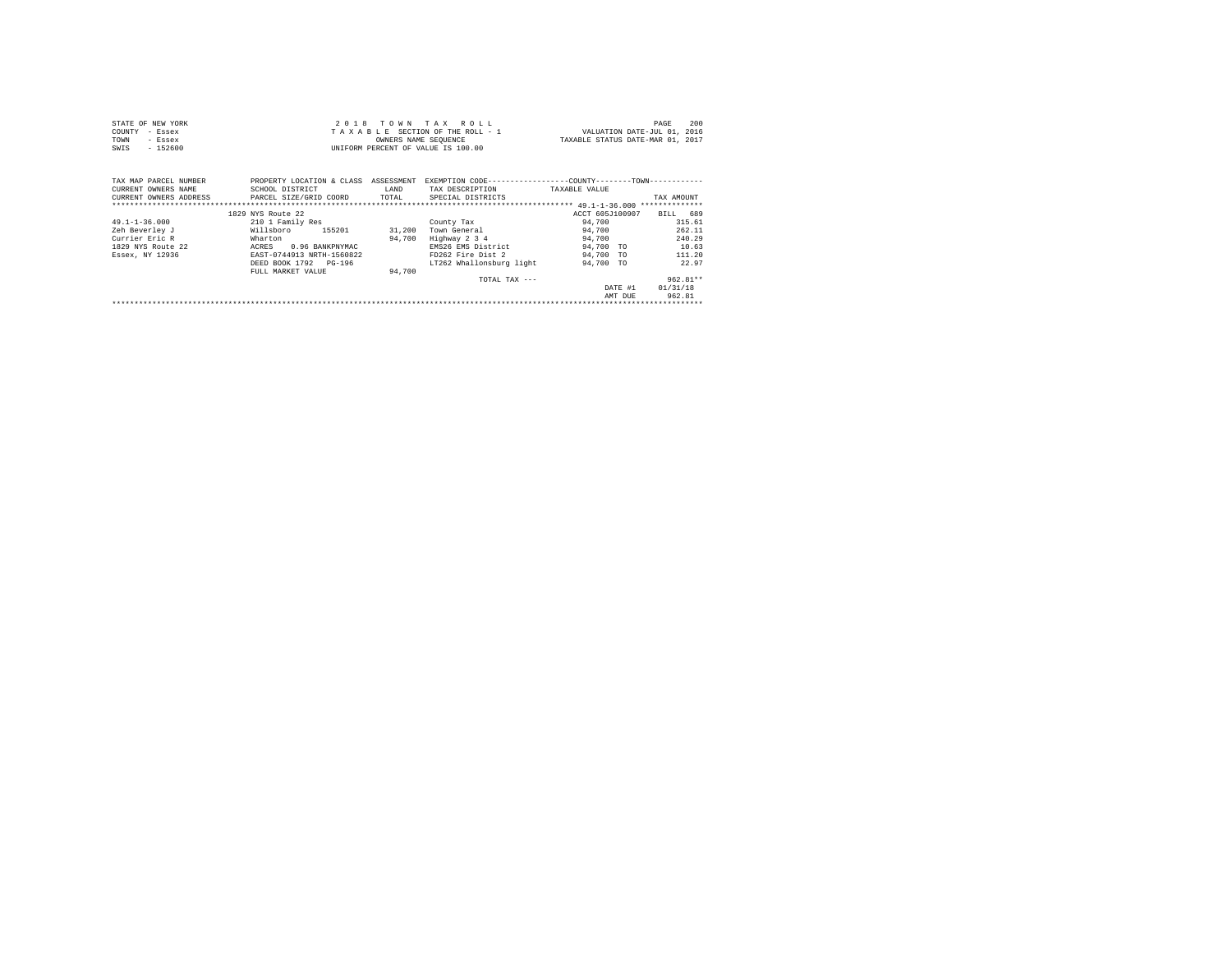| STATE OF NEW YORK | 2018 TOWN TAX ROLL                 |                                  | PAGE | 200 |
|-------------------|------------------------------------|----------------------------------|------|-----|
| COUNTY - Essex    | TAXABLE SECTION OF THE ROLL - 1    | VALUATION DATE-JUL 01, 2016      |      |     |
| TOWN<br>- Essex   | OWNERS NAME SEOUENCE               | TAXABLE STATUS DATE-MAR 01, 2017 |      |     |
| SWIS<br>- 152600  | UNIFORM PERCENT OF VALUE IS 100.00 |                                  |      |     |

| TAX MAP PARCEL NUMBER  | PROPERTY LOCATION & CLASS | ASSESSMENT | EXEMPTION CODE--         | ---------COUNTY--------TOWN----------- |                |
|------------------------|---------------------------|------------|--------------------------|----------------------------------------|----------------|
| CURRENT OWNERS NAME    | SCHOOL DISTRICT           | LAND       | TAX DESCRIPTION          | TAXABLE VALUE                          |                |
| CURRENT OWNERS ADDRESS | PARCEL SIZE/GRID COORD    | TOTAL      | SPECIAL DISTRICTS        |                                        | TAX AMOUNT     |
|                        |                           |            |                          |                                        | ************** |
|                        | 1829 NYS Route 22         |            |                          | ACCT 605J100907                        | 689<br>BILL    |
| $49.1 - 1 - 36.000$    | 210 1 Family Res          |            | County Tax               | 94,700                                 | 315.61         |
| Zeh Beverley J         | 155201<br>Willsboro       | 31,200     | Town General             | 94,700                                 | 262.11         |
| Currier Eric R         | Wharton                   | 94,700     | Highway 2 3 4            | 94,700                                 | 240.29         |
| 1829 NYS Route 22      | 0.96 BANKPNYMAC<br>ACRES  |            | EMS26 EMS District       | 94,700 TO                              | 10.63          |
| Essex, NY 12936        | EAST-0744913 NRTH-1560822 |            | FD262 Fire Dist 2        | 94,700 TO                              | 111.20         |
|                        | DEED BOOK 1792 PG-196     |            | LT262 Whallonsburg light | 94,700 TO                              | 22.97          |
|                        | FULL MARKET VALUE         | 94,700     |                          |                                        |                |
|                        |                           |            | TOTAL TAX ---            |                                        | $962.81**$     |
|                        |                           |            |                          | DATE #1                                | 01/31/18       |
|                        |                           |            |                          | AMT DUE                                | 962.81         |
|                        |                           |            |                          |                                        |                |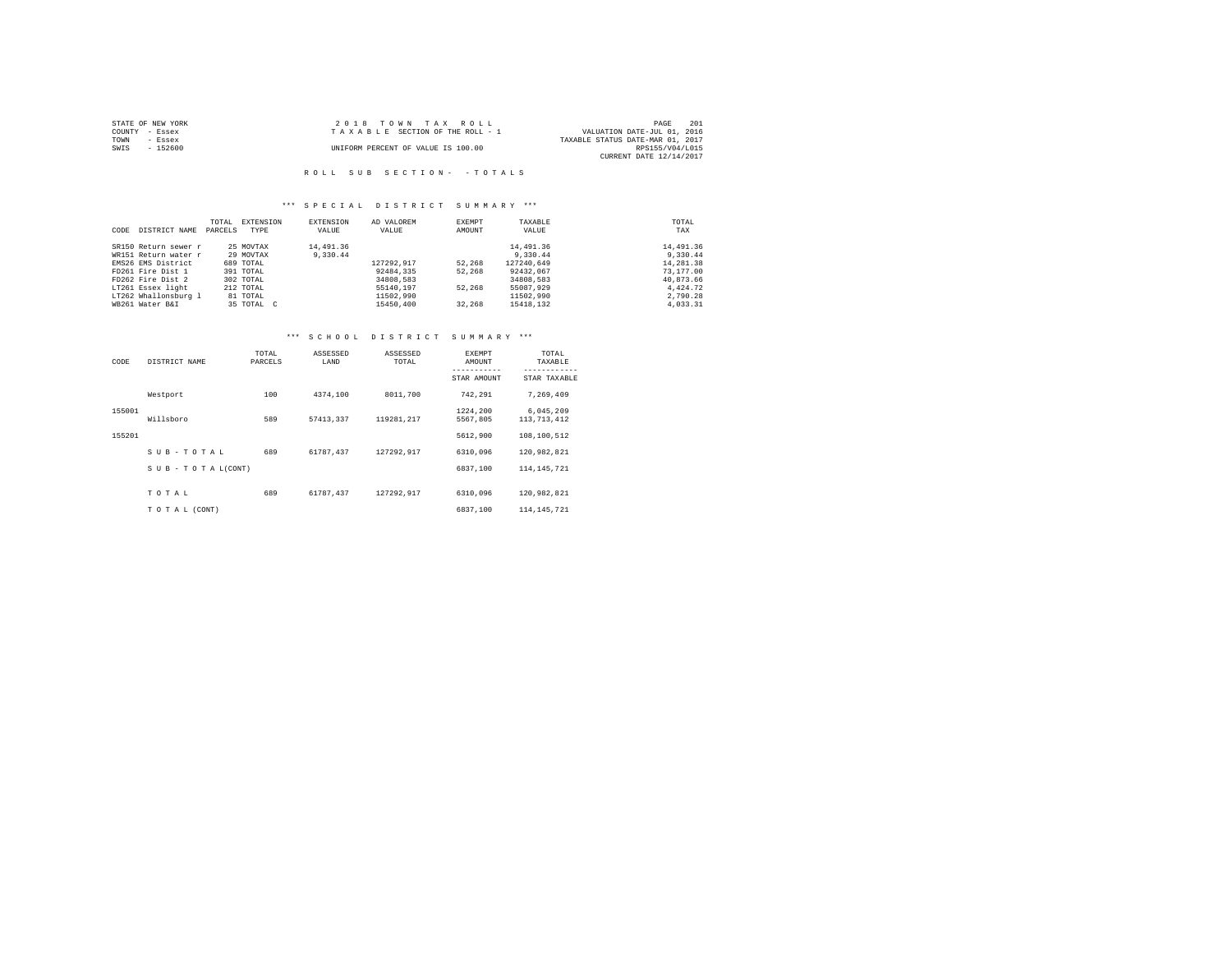| STATE OF NEW YORK | 2018 TOWN TAX ROLL                 | 201<br>PAGE                      |
|-------------------|------------------------------------|----------------------------------|
| COUNTY - Essex    | TAXABLE SECTION OF THE ROLL - 1    | VALUATION DATE-JUL 01, 2016      |
| TOWN<br>- Essex   |                                    | TAXABLE STATUS DATE-MAR 01, 2017 |
| $-152600$<br>SWIS | UNIFORM PERCENT OF VALUE IS 100.00 | RPS155/V04/L015                  |
|                   |                                    | CURRENT DATE 12/14/2017          |

## R O L L S U B S E C T I O N - - T O T A L S

## \*\*\* S P E C I A L D I S T R I C T S U M M A R Y \*\*\*

|      |                      | TOTAL   | EXTENSION  | EXTENSION | AD VALOREM | EXEMPT | TAXABLE    | TOTAL     |
|------|----------------------|---------|------------|-----------|------------|--------|------------|-----------|
| CODE | DISTRICT NAME        | PARCELS | TYPE       | VALUE     | VALUE      | AMOUNT | VALUE      | TAX       |
|      | SR150 Return sewer r |         | 25 MOVTAX  | 14,491.36 |            |        | 14,491.36  | 14,491.36 |
|      | WR151 Return water r |         | 29 MOVTAX  | 9,330.44  |            |        | 9,330.44   | 9.330.44  |
|      | EMS26 EMS District   |         | 689 TOTAL  |           | 127292.917 | 52,268 | 127240.649 | 14,281.38 |
|      | FD261 Fire Dist 1    |         | 391 TOTAL  |           | 92484,335  | 52,268 | 92432.067  | 73,177,00 |
|      | FD262 Fire Dist 2    |         | 302 TOTAL  |           | 34808.583  |        | 34808.583  | 40.873.66 |
|      | LT261 Essex light    |         | 212 TOTAL  |           | 55140.197  | 52,268 | 55087.929  | 4.424.72  |
|      | LT262 Whallonsburg 1 |         | 81 TOTAL   |           | 11502,990  |        | 11502.990  | 2,790.28  |
|      | WB261 Water B&I      |         | 35 TOTAL C |           | 15450.400  | 32,268 | 15418.132  | 4.033.31  |

# \*\*\* S C H O O L D I S T R I C T S U M M A R Y \*\*\*

| CODE   | DISTRICT NAME             | TOTAL<br>PARCELS | ASSESSED<br>LAND | ASSESSED<br>TOTAL | EXEMPT<br>AMOUNT<br>----------- | TOTAL<br>TAXABLE<br>------------ |
|--------|---------------------------|------------------|------------------|-------------------|---------------------------------|----------------------------------|
|        |                           |                  |                  |                   | STAR AMOUNT                     | STAR TAXABLE                     |
|        | Westport                  | 100              | 4374,100         | 8011,700          | 742.291                         | 7.269.409                        |
| 155001 | Willsboro                 | 589              | 57413.337        | 119281.217        | 1224,200<br>5567.805            | 6,045,209<br>113, 713, 412       |
| 155201 |                           |                  |                  |                   | 5612,900                        | 108,100,512                      |
|        | SUB-TOTAL                 | 689              | 61787.437        | 127292.917        | 6310,096                        | 120.982.821                      |
|        | $S$ U B - T O T A L(CONT) |                  |                  |                   | 6837,100                        | 114, 145, 721                    |
|        | TOTAL                     | 689              | 61787.437        | 127292.917        | 6310,096                        | 120.982.821                      |
|        | TO TAL (CONT)             |                  |                  |                   | 6837.100                        | 114, 145, 721                    |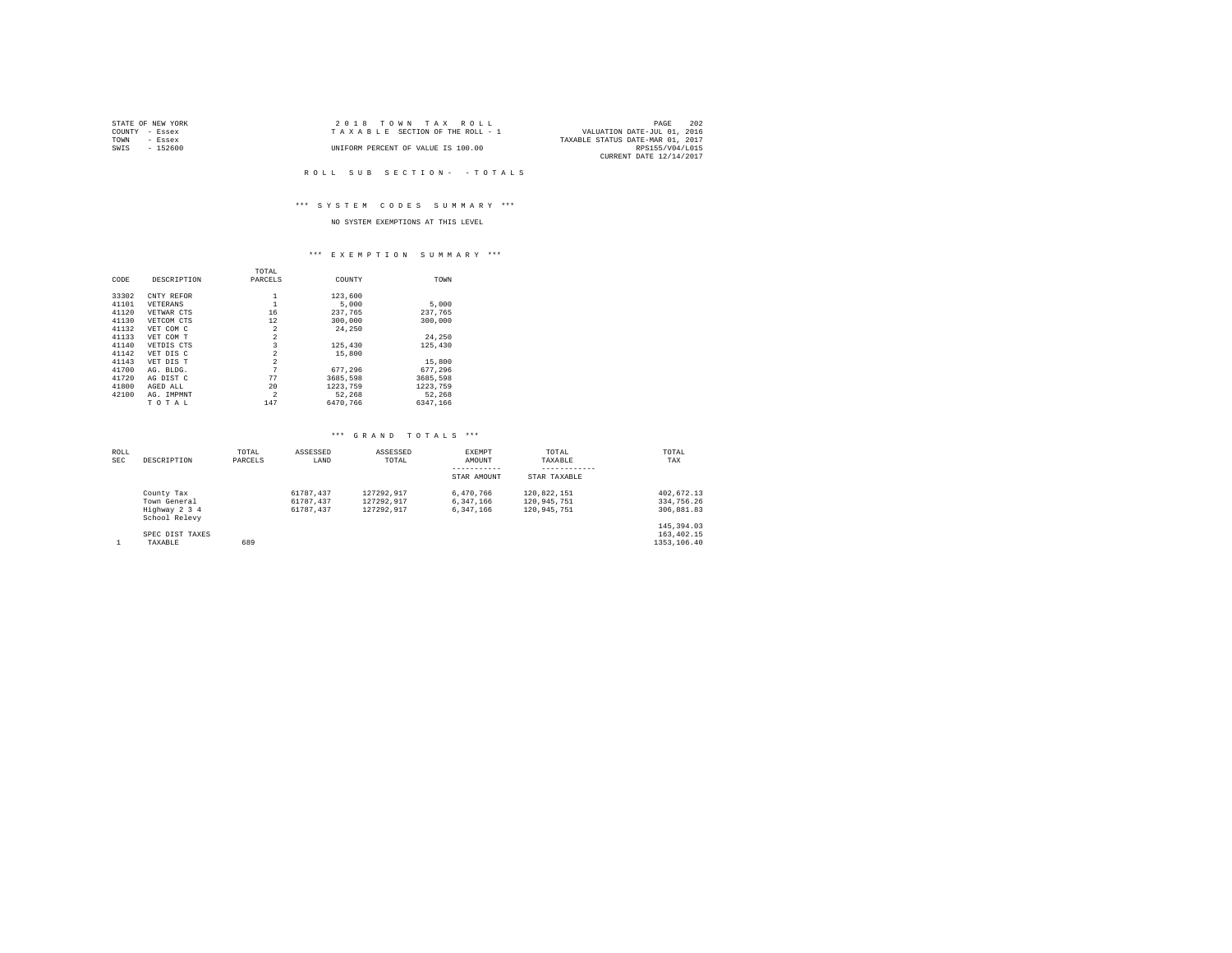| STATE OF NEW YORK | 2018 TOWN TAX ROLL                 | 202<br>PAGE                      |
|-------------------|------------------------------------|----------------------------------|
| COUNTY - Essex    | TAXABLE SECTION OF THE ROLL - 1    | VALUATION DATE-JUL 01, 2016      |
| TOWN<br>- Essex   |                                    | TAXABLE STATUS DATE-MAR 01, 2017 |
| SWIS<br>$-152600$ | UNIFORM PERCENT OF VALUE IS 100.00 | RPS155/V04/L015                  |
|                   |                                    | CURRENT DATE 12/14/2017          |

#### R O L L S U B S E C T I O N - - T O T A L S

## \*\*\* S Y S T E M C O D E S S U M M A R Y \*\*\*

## NO SYSTEM EXEMPTIONS AT THIS LEVEL

#### \*\*\* E X E M P T I O N S U M M A R Y \*\*\*

|       |             | TOTAL                   |          |          |  |
|-------|-------------|-------------------------|----------|----------|--|
| CODE  | DESCRIPTION | PARCELS                 | COUNTY   | TOWN     |  |
| 33302 | CNTY REFOR  | 1                       | 123,600  |          |  |
| 41101 | VETERANS    |                         | 5,000    | 5,000    |  |
| 41120 | VETWAR CTS  | 16                      | 237,765  | 237.765  |  |
| 41130 | VETCOM CTS  | 12                      | 300,000  | 300,000  |  |
| 41132 | VET COM C   | $\overline{2}$          | 24,250   |          |  |
| 41133 | VET COM T   | $\overline{2}$          |          | 24,250   |  |
| 41140 | VETDIS CTS  | $\overline{\mathbf{3}}$ | 125,430  | 125,430  |  |
| 41142 | VET DIS C   | $\overline{2}$          | 15,800   |          |  |
| 41143 | VET DIS T   | $\overline{2}$          |          | 15,800   |  |
| 41700 | AG. BLDG.   | 7                       | 677.296  | 677.296  |  |
| 41720 | AG DIST C   | 77                      | 3685,598 | 3685,598 |  |
| 41800 | AGED ALL    | 20                      | 1223.759 | 1223,759 |  |
| 42100 | AG. IMPMNT  | 2                       | 52,268   | 52.268   |  |
|       | TOTAL       | 147                     | 6470.766 | 6347.166 |  |
|       |             |                         |          |          |  |

## \*\*\* G R A N D T O T A L S \*\*\*

| ROLL<br>SEC | DESCRIPTION                                                  | TOTAL<br>PARCELS | ASSESSED<br>LAND                    | ASSESSED<br>TOTAL                      | EXEMPT<br>AMOUNT<br>STAR AMOUNT     | TOTAL<br>TAXARLE<br>STAR TAXABLE          | TOTAL.<br>TAX                                 |
|-------------|--------------------------------------------------------------|------------------|-------------------------------------|----------------------------------------|-------------------------------------|-------------------------------------------|-----------------------------------------------|
|             | County Tax<br>Town General<br>Highway 2 3 4<br>School Relevy |                  | 61787.437<br>61787.437<br>61787.437 | 127292.917<br>127292.917<br>127292.917 | 6,470,766<br>6.347.166<br>6.347.166 | 120.822.151<br>120.945.751<br>120,945,751 | 402.672.13<br>334,756.26<br>306,881.83        |
| 1           | SPEC DIST TAXES<br>TAXABLE                                   | 689              |                                     |                                        |                                     |                                           | 145, 394, 03<br>163, 402. 15<br>1353, 106, 40 |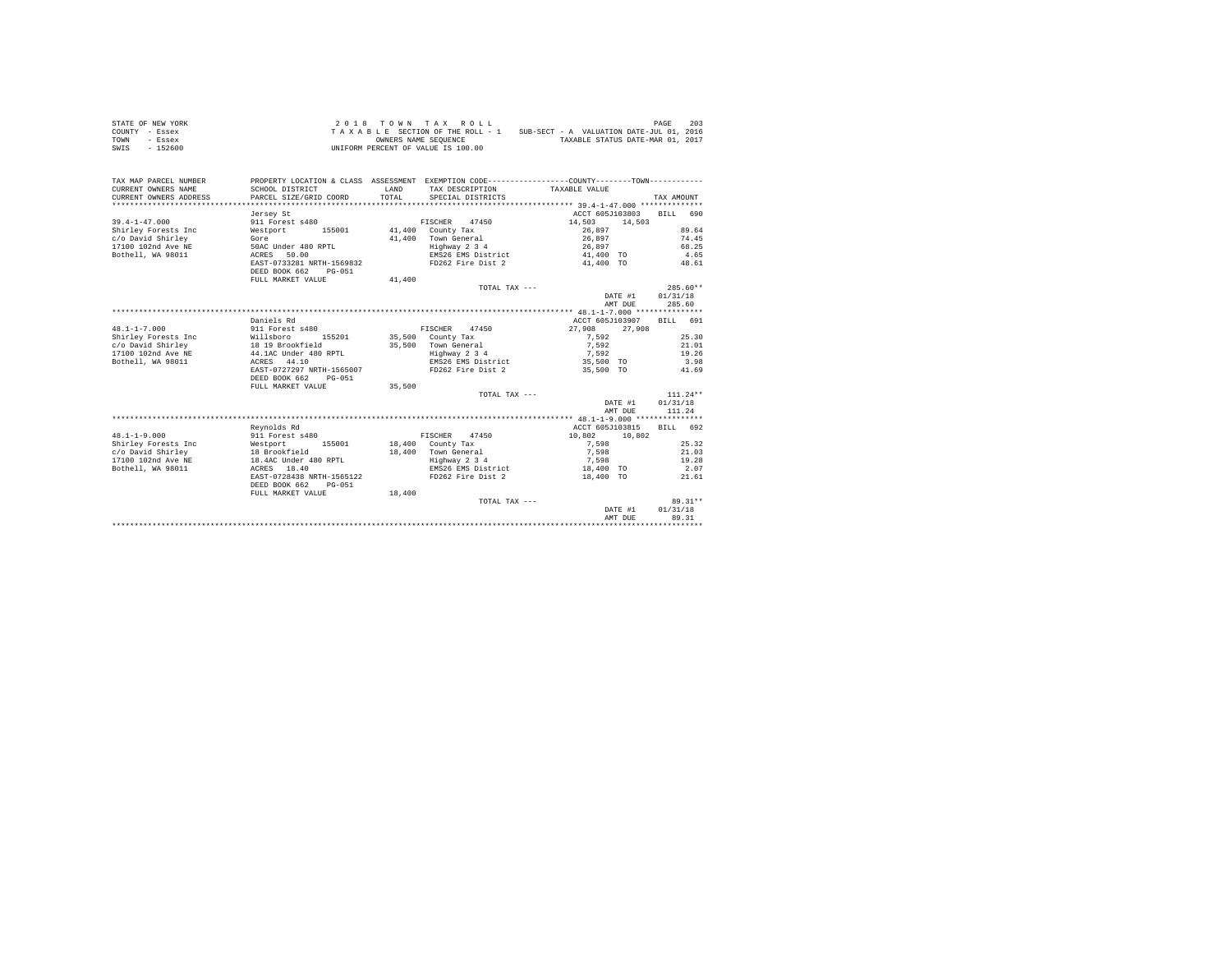| STATE OF NEW YORK | 2018 TOWN TAX ROLL                 | 203<br>PAGE                              |
|-------------------|------------------------------------|------------------------------------------|
| COUNTY - Essex    | TAXABLE SECTION OF THE ROLL - 1    | SUB-SECT - A VALUATION DATE-JUL 01, 2016 |
| TOWN<br>- Essex   | OWNERS NAME SEOUENCE               | TAXABLE STATUS DATE-MAR 01, 2017         |
| $-152600$<br>SWIS | UNIFORM PERCENT OF VALUE IS 100.00 |                                          |

| TAX MAP PARCEL NUMBER<br>CURRENT OWNERS NAME<br>CURRENT OWNERS ADDRESS | PROPERTY LOCATION & CLASS ASSESSMENT EXEMPTION CODE----------------COUNTY--------TOWN----------<br>SCHOOL DISTRICT<br>PARCEL SIZE/GRID COORD | LAND<br>TOTAL | TAX DESCRIPTION<br>SPECIAL DISTRICTS | TAXABLE VALUE      | TAX AMOUNT   |
|------------------------------------------------------------------------|----------------------------------------------------------------------------------------------------------------------------------------------|---------------|--------------------------------------|--------------------|--------------|
|                                                                        | Jersey St                                                                                                                                    |               |                                      | ACCT 605J103803    | 690<br>BTLL. |
| $39.4 - 1 - 47.000$                                                    | 911 Forest s480                                                                                                                              |               | FISCHER<br>47450                     | 14,503<br>14,503   |              |
| Shirley Forests Inc                                                    | 155001<br>Westport                                                                                                                           |               | 41,400 County Tax                    | 26,897             | 89.64        |
| c/o David Shirley                                                      | Gore                                                                                                                                         | 41,400        | Town General                         | 26,897             | 74.45        |
| 17100 102nd Ave NE                                                     | 50AC Under 480 RPTL                                                                                                                          |               | Highway 2 3 4                        | 26,897             | 68.25        |
| Bothell, WA 98011                                                      | ACRES 50.00                                                                                                                                  |               | EMS26 EMS District                   | 41,400 TO          | 4.65         |
|                                                                        | EAST-0733281 NRTH-1569832                                                                                                                    |               | FD262 Fire Dist 2                    | 41,400 TO          | 48.61        |
|                                                                        | DEED BOOK 662<br>$PG-0.51$                                                                                                                   |               |                                      |                    |              |
|                                                                        | FULL MARKET VALUE                                                                                                                            | 41,400        |                                      |                    |              |
|                                                                        |                                                                                                                                              |               |                                      |                    | $285.60**$   |
|                                                                        |                                                                                                                                              |               | TOTAL TAX ---                        |                    | 01/31/18     |
|                                                                        |                                                                                                                                              |               |                                      | DATE #1<br>AMT DUE | 285.60       |
|                                                                        |                                                                                                                                              |               |                                      |                    |              |
|                                                                        |                                                                                                                                              |               |                                      |                    |              |
|                                                                        | Daniels Rd                                                                                                                                   |               |                                      | ACCT 605J103907    | BILL 691     |
| $48.1 - 1 - 7.000$                                                     | 911 Forest s480                                                                                                                              |               | FISCHER<br>47450                     | 27,908<br>27,908   |              |
| Shirley Forests Inc                                                    | Willsboro<br>155201                                                                                                                          |               | 35,500 County Tax                    | 7,592              | 25.30        |
| c/o David Shirley                                                      | 18 19 Brookfield                                                                                                                             |               | 35,500 Town General                  | 7.592              | 21.01        |
| 17100 102nd Ave NE                                                     | 44.1AC Under 480 RPTL                                                                                                                        |               | Highway 2 3 4                        | 7,592              | 19.26        |
| Bothell, WA 98011                                                      | 44.10<br>ACRES                                                                                                                               |               | EMS26 EMS District                   | 35,500 TO          | 3.98         |
|                                                                        | EAST-0727297 NRTH-1565007                                                                                                                    |               | FD262 Fire Dist 2                    | 35,500 TO          | 41.69        |
|                                                                        | DEED BOOK 662<br>$PG-0.51$                                                                                                                   |               |                                      |                    |              |
|                                                                        | FULL MARKET VALUE                                                                                                                            | 35,500        |                                      |                    |              |
|                                                                        |                                                                                                                                              |               | TOTAL TAX ---                        |                    | $111.24**$   |
|                                                                        |                                                                                                                                              |               |                                      | DATE #1            | 01/31/18     |
|                                                                        |                                                                                                                                              |               |                                      | AMT DUE            | 111.24       |
|                                                                        |                                                                                                                                              |               |                                      |                    |              |
|                                                                        | Revnolds Rd                                                                                                                                  |               |                                      | ACCT 605J103815    | BILL 692     |
| $48.1 - 1 - 9.000$                                                     | 911 Forest s480                                                                                                                              |               | FISCHER<br>47450                     | 10,802<br>10,802   |              |
| Shirley Forests Inc                                                    | 155001<br>Westport                                                                                                                           |               | 18,400 County Tax                    | 7.598              | 25.32        |
| c/o David Shirley                                                      | 18 Brookfield                                                                                                                                |               | 18,400 Town General                  | 7,598              | 21.03        |
| 17100 102nd Ave NE                                                     | 18.4AC Under 480 RPTL                                                                                                                        |               | Highway 2 3 4                        | 7.598              | 19.28        |
| Bothell, WA 98011                                                      | ACRES 18.40                                                                                                                                  |               | EMS26 EMS District                   | 18,400 TO          | 2.07         |
|                                                                        | EAST-0728438 NRTH-1565122                                                                                                                    |               | FD262 Fire Dist 2                    | 18,400 TO          | 21.61        |
|                                                                        | DEED BOOK 662<br>$PG-051$                                                                                                                    |               |                                      |                    |              |
|                                                                        | FULL MARKET VALUE                                                                                                                            | 18,400        |                                      |                    |              |
|                                                                        |                                                                                                                                              |               | TOTAL TAX ---                        |                    | $89.31**$    |
|                                                                        |                                                                                                                                              |               |                                      | DATE #1            | 01/31/18     |
|                                                                        |                                                                                                                                              |               |                                      | AMT DUE            | 89.31        |
|                                                                        |                                                                                                                                              |               |                                      |                    |              |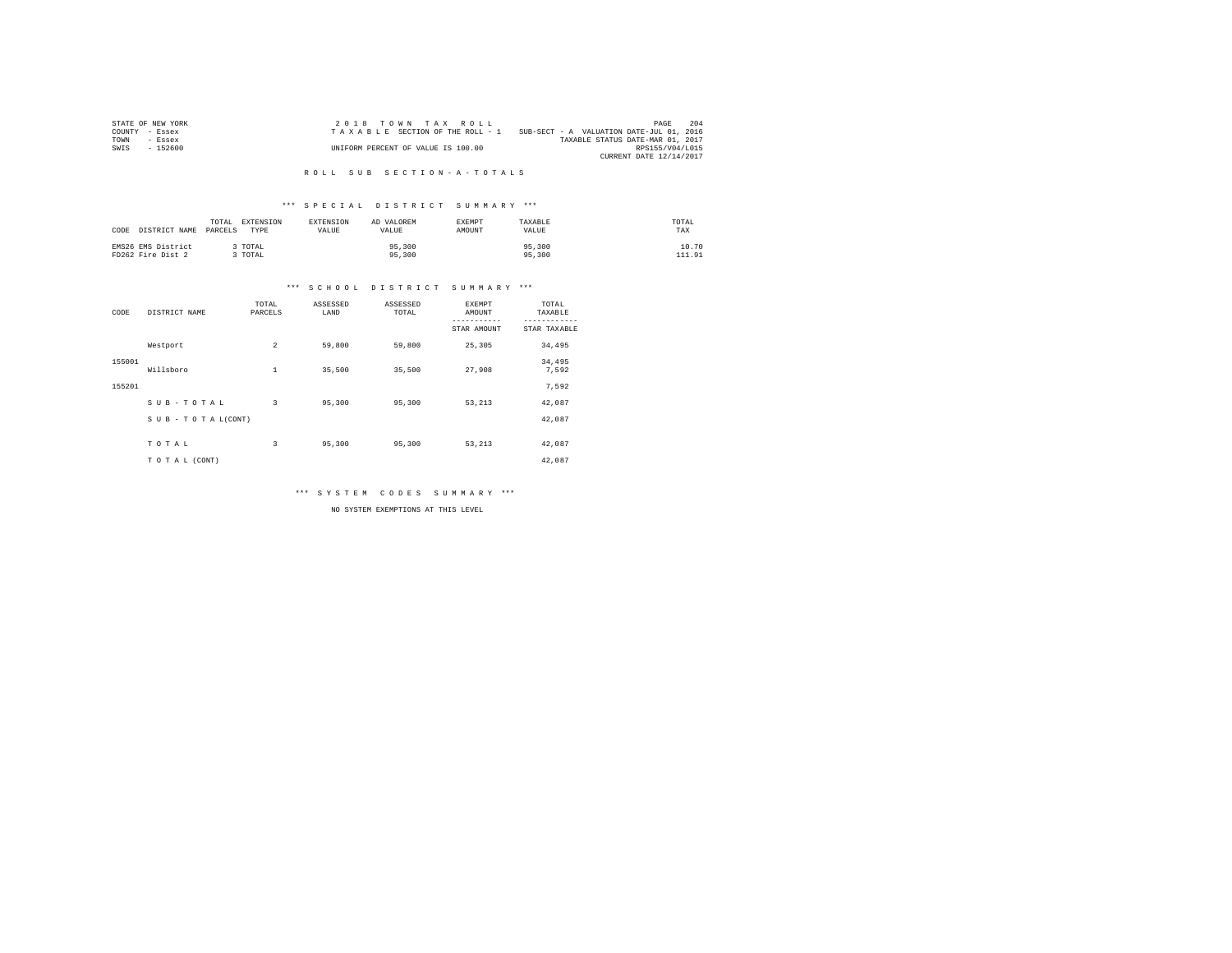| STATE OF NEW YORK | 2018 TOWN TAX ROLL                 | 204<br>PAGE                              |
|-------------------|------------------------------------|------------------------------------------|
| COUNTY - Essex    | TAXABLE SECTION OF THE ROLL - 1    | SUB-SECT - A VALUATION DATE-JUL 01, 2016 |
| TOWN<br>- Essex   |                                    | TAXABLE STATUS DATE-MAR 01, 2017         |
| $-152600$<br>SWIS | UNIFORM PERCENT OF VALUE IS 100.00 | RPS155/V04/L015                          |
|                   |                                    | CURRENT DATE 12/14/2017                  |

#### R O L L S U B S E C T I O N - A - T O T A L S

## \*\*\* S P E C I A L D I S T R I C T S U M M A R Y \*\*\*

| CODE | DISTRICT NAME                           | EXTENSION<br>TOTAL<br>PARCELS<br>TYPE | <b>EXTENSION</b><br>VALUE | AD VALOREM<br>VALUE | EXEMPT<br>AMOUNT | TAXABLE<br>VALUE | TOTAL<br>TAX    |
|------|-----------------------------------------|---------------------------------------|---------------------------|---------------------|------------------|------------------|-----------------|
|      | EMS26 EMS District<br>FD262 Fire Dist 2 | TOTAL<br>TOTAL                        |                           | 95,300<br>95,300    |                  | 95,300<br>95,300 | 10.70<br>111.91 |

## \*\*\* S C H O O L D I S T R I C T S U M M A R Y \*\*\*

| CODE   | DISTRICT NAME      | TOTAL<br>PARCELS        | ASSESSED<br>LAND | ASSESSED<br>TOTAL | EXEMPT<br>AMOUNT<br>STAR AMOUNT | TOTAL<br>TAXABLE<br>---------<br>STAR TAXABLE |
|--------|--------------------|-------------------------|------------------|-------------------|---------------------------------|-----------------------------------------------|
|        | Westport           | $\overline{\mathbf{2}}$ | 59,800           | 59,800            | 25,305                          | 34,495                                        |
| 155001 | Willsboro          | $\mathbf{1}$            | 35,500           | 35,500            | 27,908                          | 34,495<br>7,592                               |
| 155201 |                    |                         |                  |                   |                                 | 7,592                                         |
|        | SUB-TOTAL          | 3                       | 95,300           | 95,300            | 53,213                          | 42,087                                        |
|        | SUB - TO TAL(CONT) |                         |                  |                   |                                 | 42,087                                        |
|        | TOTAL              | 3                       | 95,300           | 95,300            | 53,213                          | 42,087                                        |
|        | TOTAL (CONT)       |                         |                  |                   |                                 | 42,087                                        |

\*\*\* S Y S T E M C O D E S S U M M A R Y \*\*\*

NO SYSTEM EXEMPTIONS AT THIS LEVEL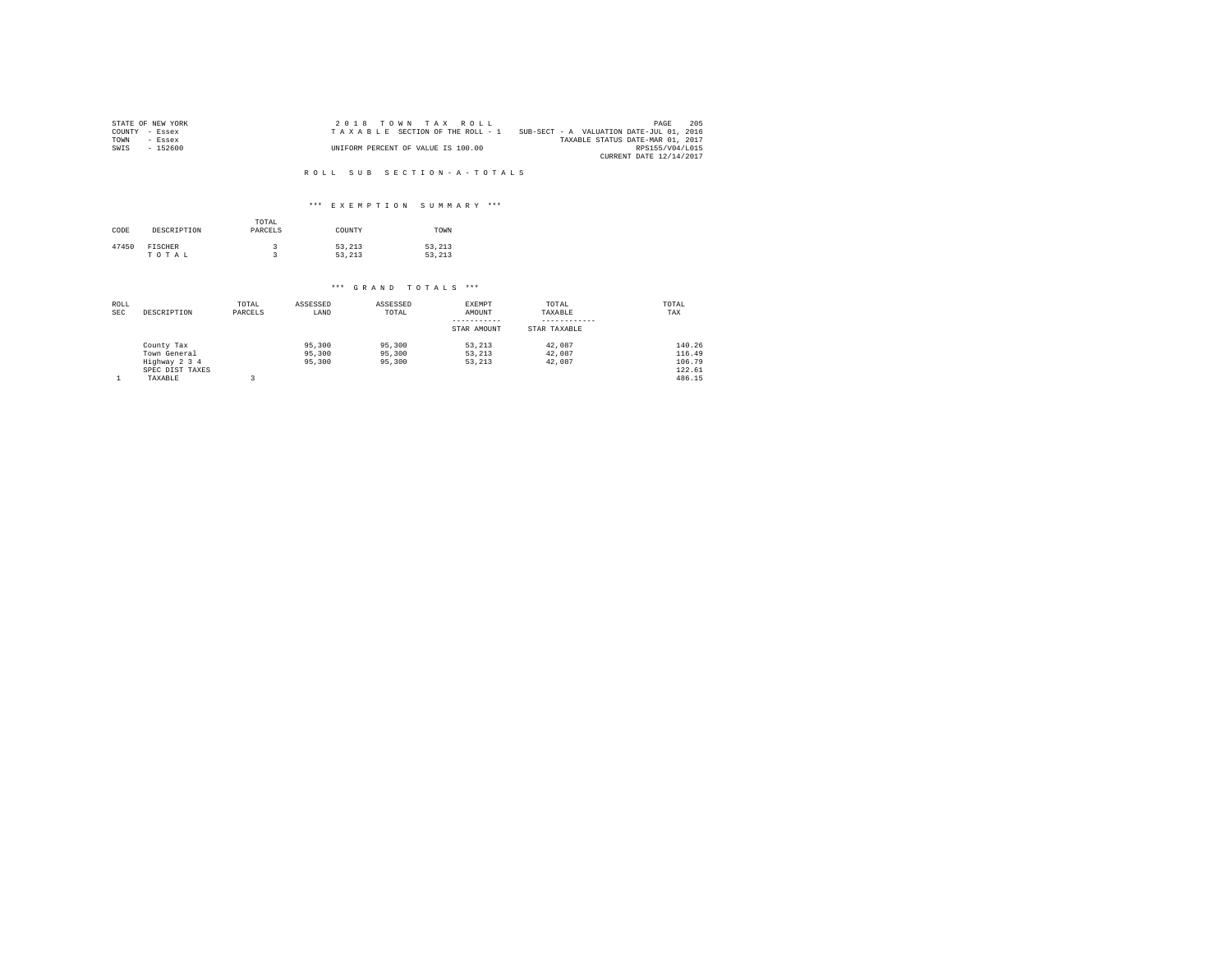|                | STATE OF NEW YORK | 2018 TOWN TAX ROLL                 | PAGE                                     | 205 |
|----------------|-------------------|------------------------------------|------------------------------------------|-----|
| COUNTY - Essex |                   | TAXABLE SECTION OF THE ROLL - 1    | SUB-SECT - A VALUATION DATE-JUL 01, 2016 |     |
| TOWN           | $-$ Essex         |                                    | TAXABLE STATUS DATE-MAR 01, 2017         |     |
| SWIS           | $-152600$         | UNIFORM PERCENT OF VALUE IS 100.00 | RPS155/V04/L015                          |     |
|                |                   |                                    | CURRENT DATE 12/14/2017                  |     |

#### R O L L S U B S E C T I O N - A - T O T A L S

## \*\*\* E X E M P T I O N S U M M A R Y \*\*\*

| CODE  | DESCRIPTION      | TOTAL<br>PARCELS | COUNTY           | TOWN             |
|-------|------------------|------------------|------------------|------------------|
| 47450 | FISCHER<br>TOTAL |                  | 53.213<br>53.213 | 53.213<br>53.213 |

# \*\*\* G R A N D T O T A L S \*\*\*

| ROLL       |                 | TOTAL   | ASSESSED | ASSESSED | EXEMPT      | TOTAL        | TOTAL  |
|------------|-----------------|---------|----------|----------|-------------|--------------|--------|
| <b>SEC</b> | DESCRIPTION     | PARCELS | LAND     | TOTAL    | AMOUNT      | TAXABLE      | TAX    |
|            |                 |         |          |          |             |              |        |
|            |                 |         |          |          | STAR AMOUNT | STAR TAXABLE |        |
|            | County Tax      |         | 95,300   | 95,300   | 53.213      | 42.087       | 140.26 |
|            | Town General    |         | 95,300   | 95,300   | 53.213      | 42.087       | 116.49 |
|            | Highway 2 3 4   |         | 95,300   | 95,300   | 53.213      | 42.087       | 106.79 |
|            | SPEC DIST TAXES |         |          |          |             |              | 122.61 |
|            | TAXABLE         |         |          |          |             |              | 486.15 |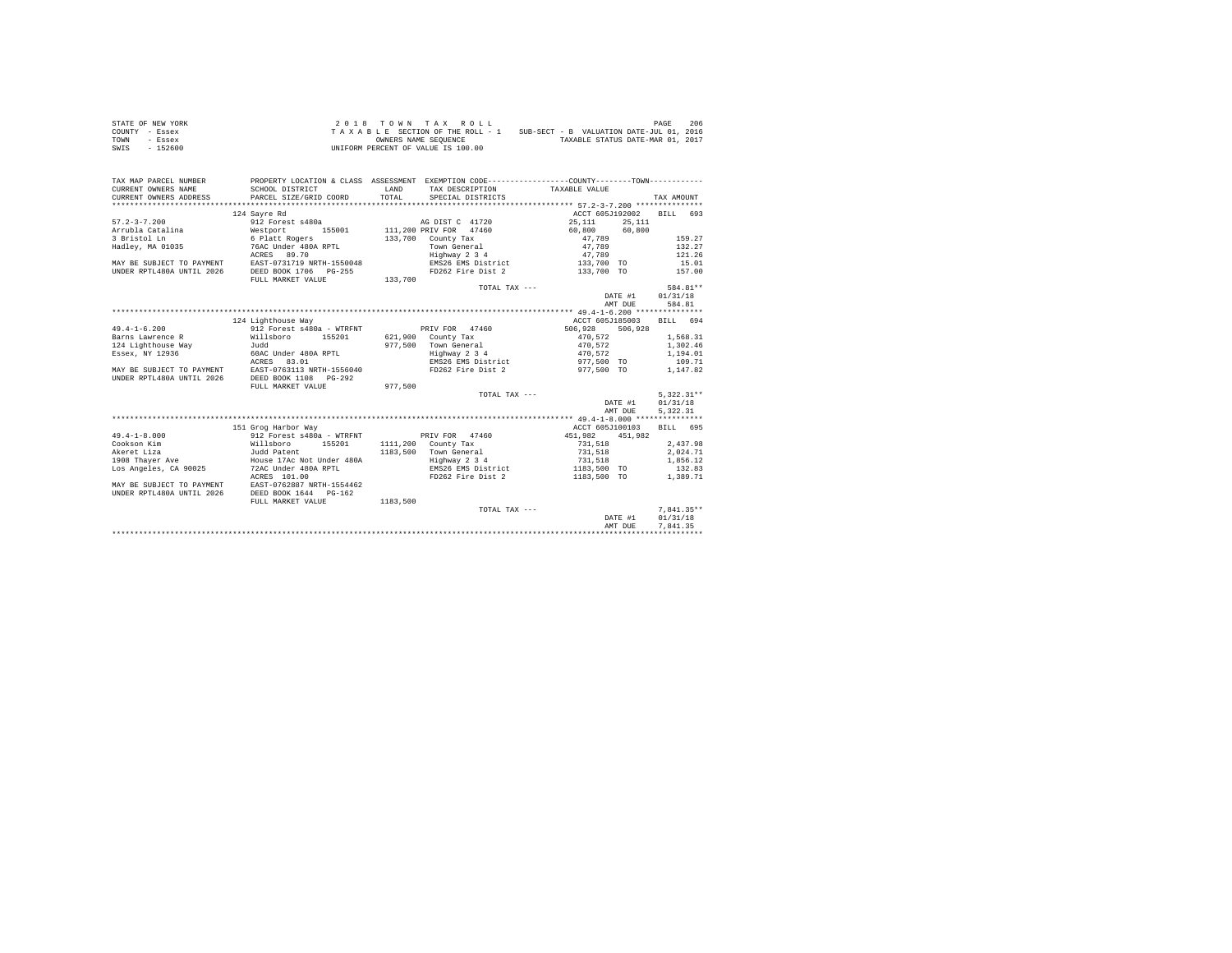| STATE OF NEW YORK | 2018 TOWN TAX ROLL                                                          | 206<br>PAGE                      |
|-------------------|-----------------------------------------------------------------------------|----------------------------------|
| COUNTY - Essex    | SUB-SECT - B VALUATION DATE-JUL 01, 2016<br>TAXABLE SECTION OF THE ROLL - 1 |                                  |
| TOWN<br>- Essex   | OWNERS NAME SEOUENCE                                                        | TAXABLE STATUS DATE-MAR 01, 2017 |
| SWIS<br>$-152600$ | UNIFORM PERCENT OF VALUE IS 100.00                                          |                                  |

| ACCT 605J192002<br>BTLL 693<br>124 Savre Rd<br>$57.2 - 3 - 7.200$<br>912 Forest s480a<br>25.111<br>25, 111<br>AG DIST C 41720<br>111,200 PRIV FOR 47460<br>60,800<br>Arrubla Catalina<br>Westport<br>155001<br>60,800<br>3 Bristol Ln<br>6 Platt Rogers<br>133,700 County Tax<br>159.27<br>47.789<br>76AC Under 480A RPTL<br>Town General<br>132.27<br>Hadley, MA 01035<br>47.789<br>Highway 2 3 4<br>ACRES 89.70<br>47,789<br>121.26<br>EAST-0731719 NRTH-1550048<br>EMS26 EMS District<br>MAY BE SUBJECT TO PAYMENT<br>133,700 TO<br>15.01<br>UNDER RPTL480A UNTIL 2026<br>DEED BOOK 1706 PG-255<br>FD262 Fire Dist 2<br>157.00<br>133,700 TO<br>FULL MARKET VALUE<br>133,700<br>584.81**<br>TOTAL TAX ---<br>DATE #1<br>01/31/18<br>584.81<br>AMT DUE<br>124 Lighthouse Way<br>ACCT 605J185003<br>BILL 694<br>912 Forest s480a - WTRFNT<br>PRIV FOR 47460<br>506,928<br>506,928<br>Willsboro<br>155201<br>621,900 County Tax<br>470.572<br>1,568.31<br>977,500 Town General<br>124 Lighthouse Way<br>bbut.<br>470,572<br>470,572<br>1,302.46<br>Highway 2 3 4<br>60AC Under 480A RPTL<br>1,194.01<br>EMS26 EMS District 6977,500 TO 109.71<br>83.01<br>ACRES<br>EAST-0763113 NRTH-1556040<br>FD262 Fire Dist 2 977.500 TO<br>MAY BE SUBJECT TO PAYMENT<br>1,147.82<br>UNDER RPTL480A UNTIL 2026<br>DEED BOOK 1108 PG-292<br>FULL MARKET VALUE<br>977,500<br>$5.322.31**$<br>TOTAL TAX ---<br>DATE #1<br>01/31/18<br>5,322.31<br>AMT DUE<br>BILL 695<br>151 Grog Harbor Way<br>ACCT 605J100103<br>$49.4 - 1 - 8.000$<br>912 Forest s480a - WTRFNT<br>PRIV FOR 47460<br>451,982<br>451,982<br>731.518<br>Cookson Kim<br>Willsboro 155201<br>1111,200 County Tax<br>2.437.98<br>731,518<br>731,518<br>Akeret Liza<br>1183,500 Town General<br>Judd Patent<br>House 17Ac Not Under 480A<br>2,024.71<br>1908 Thaver Ave<br>Highway 2 3 4<br>1,856.12<br>EMS26 EMS District<br>1183,500 TO<br>72AC Under 480A RPTL<br>132.83<br>Los Angeles, CA 90025<br>ACRES 101.00<br>FD262 Fire Dist 2<br>1183,500 TO<br>1,389.71<br>EAST-0762887 NRTH-1554462<br>MAY BE SUBJECT TO PAYMENT<br>UNDER RPTL480A UNTIL 2026<br>DEED BOOK 1644 PG-162<br>FULL MARKET VALUE<br>1183,500<br>$7.841.35**$<br>TOTAL TAX ---<br>01/31/18<br>DATE #1<br>7.841.35<br>AMT DUR | TAX MAP PARCEL NUMBER<br>CURRENT OWNERS NAME<br>CURRENT OWNERS ADDRESS | SCHOOL DISTRICT<br>PARCEL SIZE/GRID COORD | LAND<br>TOTAL. | TAX DESCRIPTION<br>SPECIAL DISTRICTS | PROPERTY LOCATION & CLASS ASSESSMENT EXEMPTION CODE----------------COUNTY--------TOWN----------<br>TAXABLE VALUE | TAX AMOUNT |
|----------------------------------------------------------------------------------------------------------------------------------------------------------------------------------------------------------------------------------------------------------------------------------------------------------------------------------------------------------------------------------------------------------------------------------------------------------------------------------------------------------------------------------------------------------------------------------------------------------------------------------------------------------------------------------------------------------------------------------------------------------------------------------------------------------------------------------------------------------------------------------------------------------------------------------------------------------------------------------------------------------------------------------------------------------------------------------------------------------------------------------------------------------------------------------------------------------------------------------------------------------------------------------------------------------------------------------------------------------------------------------------------------------------------------------------------------------------------------------------------------------------------------------------------------------------------------------------------------------------------------------------------------------------------------------------------------------------------------------------------------------------------------------------------------------------------------------------------------------------------------------------------------------------------------------------------------------------------------------------------------------------------------------------------------------------------------------------------------------------------------------------------------------------------------------------------------------------------------------------------------|------------------------------------------------------------------------|-------------------------------------------|----------------|--------------------------------------|------------------------------------------------------------------------------------------------------------------|------------|
|                                                                                                                                                                                                                                                                                                                                                                                                                                                                                                                                                                                                                                                                                                                                                                                                                                                                                                                                                                                                                                                                                                                                                                                                                                                                                                                                                                                                                                                                                                                                                                                                                                                                                                                                                                                                                                                                                                                                                                                                                                                                                                                                                                                                                                                    |                                                                        |                                           |                |                                      |                                                                                                                  |            |
|                                                                                                                                                                                                                                                                                                                                                                                                                                                                                                                                                                                                                                                                                                                                                                                                                                                                                                                                                                                                                                                                                                                                                                                                                                                                                                                                                                                                                                                                                                                                                                                                                                                                                                                                                                                                                                                                                                                                                                                                                                                                                                                                                                                                                                                    |                                                                        |                                           |                |                                      |                                                                                                                  |            |
|                                                                                                                                                                                                                                                                                                                                                                                                                                                                                                                                                                                                                                                                                                                                                                                                                                                                                                                                                                                                                                                                                                                                                                                                                                                                                                                                                                                                                                                                                                                                                                                                                                                                                                                                                                                                                                                                                                                                                                                                                                                                                                                                                                                                                                                    |                                                                        |                                           |                |                                      |                                                                                                                  |            |
|                                                                                                                                                                                                                                                                                                                                                                                                                                                                                                                                                                                                                                                                                                                                                                                                                                                                                                                                                                                                                                                                                                                                                                                                                                                                                                                                                                                                                                                                                                                                                                                                                                                                                                                                                                                                                                                                                                                                                                                                                                                                                                                                                                                                                                                    |                                                                        |                                           |                |                                      |                                                                                                                  |            |
|                                                                                                                                                                                                                                                                                                                                                                                                                                                                                                                                                                                                                                                                                                                                                                                                                                                                                                                                                                                                                                                                                                                                                                                                                                                                                                                                                                                                                                                                                                                                                                                                                                                                                                                                                                                                                                                                                                                                                                                                                                                                                                                                                                                                                                                    |                                                                        |                                           |                |                                      |                                                                                                                  |            |
|                                                                                                                                                                                                                                                                                                                                                                                                                                                                                                                                                                                                                                                                                                                                                                                                                                                                                                                                                                                                                                                                                                                                                                                                                                                                                                                                                                                                                                                                                                                                                                                                                                                                                                                                                                                                                                                                                                                                                                                                                                                                                                                                                                                                                                                    |                                                                        |                                           |                |                                      |                                                                                                                  |            |
|                                                                                                                                                                                                                                                                                                                                                                                                                                                                                                                                                                                                                                                                                                                                                                                                                                                                                                                                                                                                                                                                                                                                                                                                                                                                                                                                                                                                                                                                                                                                                                                                                                                                                                                                                                                                                                                                                                                                                                                                                                                                                                                                                                                                                                                    |                                                                        |                                           |                |                                      |                                                                                                                  |            |
|                                                                                                                                                                                                                                                                                                                                                                                                                                                                                                                                                                                                                                                                                                                                                                                                                                                                                                                                                                                                                                                                                                                                                                                                                                                                                                                                                                                                                                                                                                                                                                                                                                                                                                                                                                                                                                                                                                                                                                                                                                                                                                                                                                                                                                                    |                                                                        |                                           |                |                                      |                                                                                                                  |            |
|                                                                                                                                                                                                                                                                                                                                                                                                                                                                                                                                                                                                                                                                                                                                                                                                                                                                                                                                                                                                                                                                                                                                                                                                                                                                                                                                                                                                                                                                                                                                                                                                                                                                                                                                                                                                                                                                                                                                                                                                                                                                                                                                                                                                                                                    |                                                                        |                                           |                |                                      |                                                                                                                  |            |
|                                                                                                                                                                                                                                                                                                                                                                                                                                                                                                                                                                                                                                                                                                                                                                                                                                                                                                                                                                                                                                                                                                                                                                                                                                                                                                                                                                                                                                                                                                                                                                                                                                                                                                                                                                                                                                                                                                                                                                                                                                                                                                                                                                                                                                                    |                                                                        |                                           |                |                                      |                                                                                                                  |            |
|                                                                                                                                                                                                                                                                                                                                                                                                                                                                                                                                                                                                                                                                                                                                                                                                                                                                                                                                                                                                                                                                                                                                                                                                                                                                                                                                                                                                                                                                                                                                                                                                                                                                                                                                                                                                                                                                                                                                                                                                                                                                                                                                                                                                                                                    |                                                                        |                                           |                |                                      |                                                                                                                  |            |
|                                                                                                                                                                                                                                                                                                                                                                                                                                                                                                                                                                                                                                                                                                                                                                                                                                                                                                                                                                                                                                                                                                                                                                                                                                                                                                                                                                                                                                                                                                                                                                                                                                                                                                                                                                                                                                                                                                                                                                                                                                                                                                                                                                                                                                                    |                                                                        |                                           |                |                                      |                                                                                                                  |            |
|                                                                                                                                                                                                                                                                                                                                                                                                                                                                                                                                                                                                                                                                                                                                                                                                                                                                                                                                                                                                                                                                                                                                                                                                                                                                                                                                                                                                                                                                                                                                                                                                                                                                                                                                                                                                                                                                                                                                                                                                                                                                                                                                                                                                                                                    |                                                                        |                                           |                |                                      |                                                                                                                  |            |
|                                                                                                                                                                                                                                                                                                                                                                                                                                                                                                                                                                                                                                                                                                                                                                                                                                                                                                                                                                                                                                                                                                                                                                                                                                                                                                                                                                                                                                                                                                                                                                                                                                                                                                                                                                                                                                                                                                                                                                                                                                                                                                                                                                                                                                                    |                                                                        |                                           |                |                                      |                                                                                                                  |            |
|                                                                                                                                                                                                                                                                                                                                                                                                                                                                                                                                                                                                                                                                                                                                                                                                                                                                                                                                                                                                                                                                                                                                                                                                                                                                                                                                                                                                                                                                                                                                                                                                                                                                                                                                                                                                                                                                                                                                                                                                                                                                                                                                                                                                                                                    |                                                                        |                                           |                |                                      |                                                                                                                  |            |
|                                                                                                                                                                                                                                                                                                                                                                                                                                                                                                                                                                                                                                                                                                                                                                                                                                                                                                                                                                                                                                                                                                                                                                                                                                                                                                                                                                                                                                                                                                                                                                                                                                                                                                                                                                                                                                                                                                                                                                                                                                                                                                                                                                                                                                                    | $49.4 - 1 - 6.200$                                                     |                                           |                |                                      |                                                                                                                  |            |
|                                                                                                                                                                                                                                                                                                                                                                                                                                                                                                                                                                                                                                                                                                                                                                                                                                                                                                                                                                                                                                                                                                                                                                                                                                                                                                                                                                                                                                                                                                                                                                                                                                                                                                                                                                                                                                                                                                                                                                                                                                                                                                                                                                                                                                                    | Barns Lawrence R                                                       |                                           |                |                                      |                                                                                                                  |            |
|                                                                                                                                                                                                                                                                                                                                                                                                                                                                                                                                                                                                                                                                                                                                                                                                                                                                                                                                                                                                                                                                                                                                                                                                                                                                                                                                                                                                                                                                                                                                                                                                                                                                                                                                                                                                                                                                                                                                                                                                                                                                                                                                                                                                                                                    |                                                                        |                                           |                |                                      |                                                                                                                  |            |
|                                                                                                                                                                                                                                                                                                                                                                                                                                                                                                                                                                                                                                                                                                                                                                                                                                                                                                                                                                                                                                                                                                                                                                                                                                                                                                                                                                                                                                                                                                                                                                                                                                                                                                                                                                                                                                                                                                                                                                                                                                                                                                                                                                                                                                                    | Essex, NY 12936                                                        |                                           |                |                                      |                                                                                                                  |            |
|                                                                                                                                                                                                                                                                                                                                                                                                                                                                                                                                                                                                                                                                                                                                                                                                                                                                                                                                                                                                                                                                                                                                                                                                                                                                                                                                                                                                                                                                                                                                                                                                                                                                                                                                                                                                                                                                                                                                                                                                                                                                                                                                                                                                                                                    |                                                                        |                                           |                |                                      |                                                                                                                  |            |
|                                                                                                                                                                                                                                                                                                                                                                                                                                                                                                                                                                                                                                                                                                                                                                                                                                                                                                                                                                                                                                                                                                                                                                                                                                                                                                                                                                                                                                                                                                                                                                                                                                                                                                                                                                                                                                                                                                                                                                                                                                                                                                                                                                                                                                                    |                                                                        |                                           |                |                                      |                                                                                                                  |            |
|                                                                                                                                                                                                                                                                                                                                                                                                                                                                                                                                                                                                                                                                                                                                                                                                                                                                                                                                                                                                                                                                                                                                                                                                                                                                                                                                                                                                                                                                                                                                                                                                                                                                                                                                                                                                                                                                                                                                                                                                                                                                                                                                                                                                                                                    |                                                                        |                                           |                |                                      |                                                                                                                  |            |
|                                                                                                                                                                                                                                                                                                                                                                                                                                                                                                                                                                                                                                                                                                                                                                                                                                                                                                                                                                                                                                                                                                                                                                                                                                                                                                                                                                                                                                                                                                                                                                                                                                                                                                                                                                                                                                                                                                                                                                                                                                                                                                                                                                                                                                                    |                                                                        |                                           |                |                                      |                                                                                                                  |            |
|                                                                                                                                                                                                                                                                                                                                                                                                                                                                                                                                                                                                                                                                                                                                                                                                                                                                                                                                                                                                                                                                                                                                                                                                                                                                                                                                                                                                                                                                                                                                                                                                                                                                                                                                                                                                                                                                                                                                                                                                                                                                                                                                                                                                                                                    |                                                                        |                                           |                |                                      |                                                                                                                  |            |
|                                                                                                                                                                                                                                                                                                                                                                                                                                                                                                                                                                                                                                                                                                                                                                                                                                                                                                                                                                                                                                                                                                                                                                                                                                                                                                                                                                                                                                                                                                                                                                                                                                                                                                                                                                                                                                                                                                                                                                                                                                                                                                                                                                                                                                                    |                                                                        |                                           |                |                                      |                                                                                                                  |            |
|                                                                                                                                                                                                                                                                                                                                                                                                                                                                                                                                                                                                                                                                                                                                                                                                                                                                                                                                                                                                                                                                                                                                                                                                                                                                                                                                                                                                                                                                                                                                                                                                                                                                                                                                                                                                                                                                                                                                                                                                                                                                                                                                                                                                                                                    |                                                                        |                                           |                |                                      |                                                                                                                  |            |
|                                                                                                                                                                                                                                                                                                                                                                                                                                                                                                                                                                                                                                                                                                                                                                                                                                                                                                                                                                                                                                                                                                                                                                                                                                                                                                                                                                                                                                                                                                                                                                                                                                                                                                                                                                                                                                                                                                                                                                                                                                                                                                                                                                                                                                                    |                                                                        |                                           |                |                                      |                                                                                                                  |            |
|                                                                                                                                                                                                                                                                                                                                                                                                                                                                                                                                                                                                                                                                                                                                                                                                                                                                                                                                                                                                                                                                                                                                                                                                                                                                                                                                                                                                                                                                                                                                                                                                                                                                                                                                                                                                                                                                                                                                                                                                                                                                                                                                                                                                                                                    |                                                                        |                                           |                |                                      |                                                                                                                  |            |
|                                                                                                                                                                                                                                                                                                                                                                                                                                                                                                                                                                                                                                                                                                                                                                                                                                                                                                                                                                                                                                                                                                                                                                                                                                                                                                                                                                                                                                                                                                                                                                                                                                                                                                                                                                                                                                                                                                                                                                                                                                                                                                                                                                                                                                                    |                                                                        |                                           |                |                                      |                                                                                                                  |            |
|                                                                                                                                                                                                                                                                                                                                                                                                                                                                                                                                                                                                                                                                                                                                                                                                                                                                                                                                                                                                                                                                                                                                                                                                                                                                                                                                                                                                                                                                                                                                                                                                                                                                                                                                                                                                                                                                                                                                                                                                                                                                                                                                                                                                                                                    |                                                                        |                                           |                |                                      |                                                                                                                  |            |
|                                                                                                                                                                                                                                                                                                                                                                                                                                                                                                                                                                                                                                                                                                                                                                                                                                                                                                                                                                                                                                                                                                                                                                                                                                                                                                                                                                                                                                                                                                                                                                                                                                                                                                                                                                                                                                                                                                                                                                                                                                                                                                                                                                                                                                                    |                                                                        |                                           |                |                                      |                                                                                                                  |            |
|                                                                                                                                                                                                                                                                                                                                                                                                                                                                                                                                                                                                                                                                                                                                                                                                                                                                                                                                                                                                                                                                                                                                                                                                                                                                                                                                                                                                                                                                                                                                                                                                                                                                                                                                                                                                                                                                                                                                                                                                                                                                                                                                                                                                                                                    |                                                                        |                                           |                |                                      |                                                                                                                  |            |
|                                                                                                                                                                                                                                                                                                                                                                                                                                                                                                                                                                                                                                                                                                                                                                                                                                                                                                                                                                                                                                                                                                                                                                                                                                                                                                                                                                                                                                                                                                                                                                                                                                                                                                                                                                                                                                                                                                                                                                                                                                                                                                                                                                                                                                                    |                                                                        |                                           |                |                                      |                                                                                                                  |            |
|                                                                                                                                                                                                                                                                                                                                                                                                                                                                                                                                                                                                                                                                                                                                                                                                                                                                                                                                                                                                                                                                                                                                                                                                                                                                                                                                                                                                                                                                                                                                                                                                                                                                                                                                                                                                                                                                                                                                                                                                                                                                                                                                                                                                                                                    |                                                                        |                                           |                |                                      |                                                                                                                  |            |
|                                                                                                                                                                                                                                                                                                                                                                                                                                                                                                                                                                                                                                                                                                                                                                                                                                                                                                                                                                                                                                                                                                                                                                                                                                                                                                                                                                                                                                                                                                                                                                                                                                                                                                                                                                                                                                                                                                                                                                                                                                                                                                                                                                                                                                                    |                                                                        |                                           |                |                                      |                                                                                                                  |            |
|                                                                                                                                                                                                                                                                                                                                                                                                                                                                                                                                                                                                                                                                                                                                                                                                                                                                                                                                                                                                                                                                                                                                                                                                                                                                                                                                                                                                                                                                                                                                                                                                                                                                                                                                                                                                                                                                                                                                                                                                                                                                                                                                                                                                                                                    |                                                                        |                                           |                |                                      |                                                                                                                  |            |
|                                                                                                                                                                                                                                                                                                                                                                                                                                                                                                                                                                                                                                                                                                                                                                                                                                                                                                                                                                                                                                                                                                                                                                                                                                                                                                                                                                                                                                                                                                                                                                                                                                                                                                                                                                                                                                                                                                                                                                                                                                                                                                                                                                                                                                                    |                                                                        |                                           |                |                                      |                                                                                                                  |            |
|                                                                                                                                                                                                                                                                                                                                                                                                                                                                                                                                                                                                                                                                                                                                                                                                                                                                                                                                                                                                                                                                                                                                                                                                                                                                                                                                                                                                                                                                                                                                                                                                                                                                                                                                                                                                                                                                                                                                                                                                                                                                                                                                                                                                                                                    |                                                                        |                                           |                |                                      |                                                                                                                  |            |
|                                                                                                                                                                                                                                                                                                                                                                                                                                                                                                                                                                                                                                                                                                                                                                                                                                                                                                                                                                                                                                                                                                                                                                                                                                                                                                                                                                                                                                                                                                                                                                                                                                                                                                                                                                                                                                                                                                                                                                                                                                                                                                                                                                                                                                                    |                                                                        |                                           |                |                                      |                                                                                                                  |            |
|                                                                                                                                                                                                                                                                                                                                                                                                                                                                                                                                                                                                                                                                                                                                                                                                                                                                                                                                                                                                                                                                                                                                                                                                                                                                                                                                                                                                                                                                                                                                                                                                                                                                                                                                                                                                                                                                                                                                                                                                                                                                                                                                                                                                                                                    |                                                                        |                                           |                |                                      |                                                                                                                  |            |
|                                                                                                                                                                                                                                                                                                                                                                                                                                                                                                                                                                                                                                                                                                                                                                                                                                                                                                                                                                                                                                                                                                                                                                                                                                                                                                                                                                                                                                                                                                                                                                                                                                                                                                                                                                                                                                                                                                                                                                                                                                                                                                                                                                                                                                                    |                                                                        |                                           |                |                                      |                                                                                                                  |            |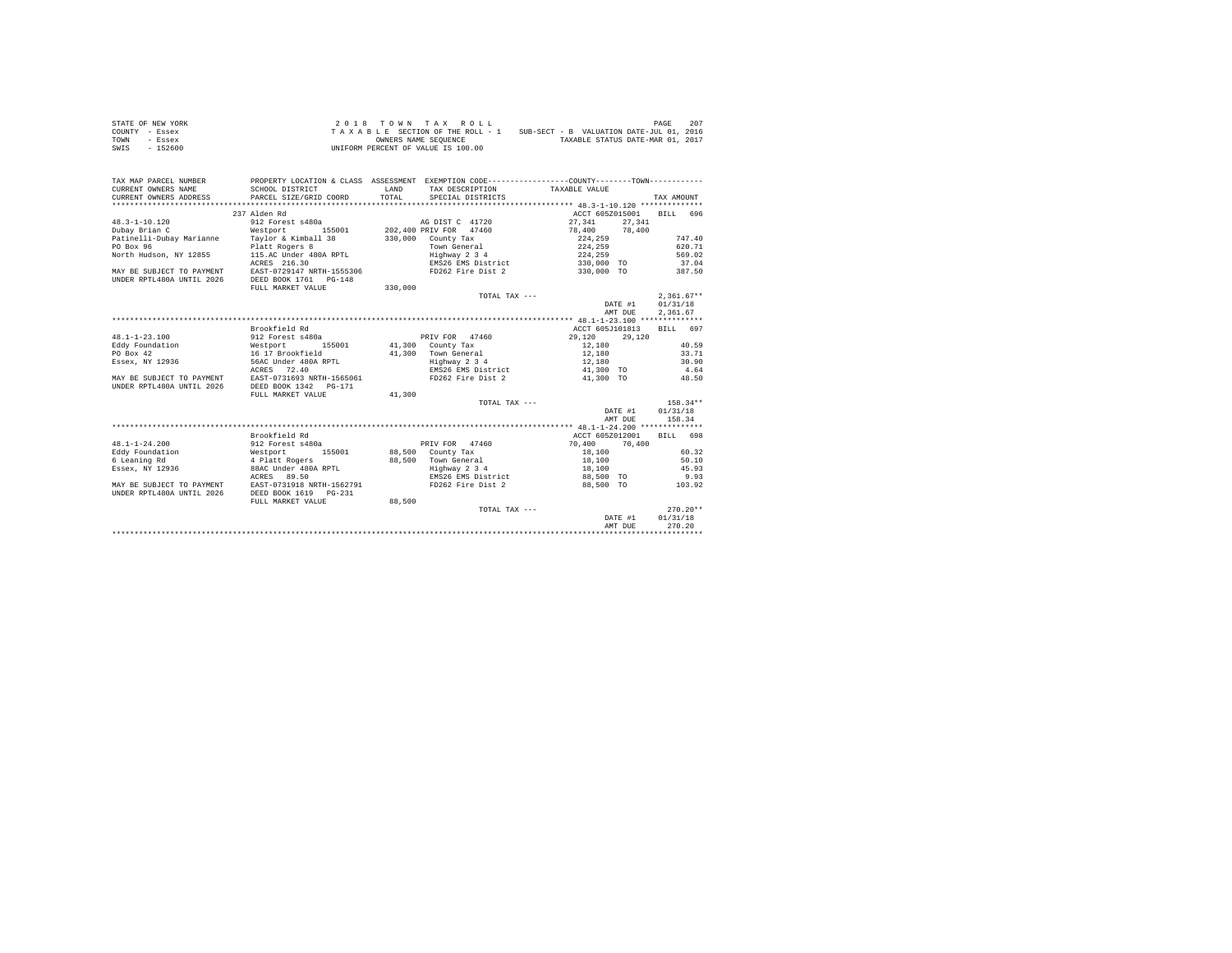| STATE OF NEW YORK | 2018 TOWN TAX ROLL                                                          | 207<br>PAGE                      |
|-------------------|-----------------------------------------------------------------------------|----------------------------------|
| COUNTY - Essex    | SUB-SECT - B VALUATION DATE-JUL 01, 2016<br>TAXABLE SECTION OF THE ROLL - 1 |                                  |
| TOWN<br>- Essex   | OWNERS NAME SEOUENCE                                                        | TAXABLE STATUS DATE-MAR 01, 2017 |
| SWIS<br>$-152600$ | UNIFORM PERCENT OF VALUE IS 100.00                                          |                                  |

| TAX MAP PARCEL NUMBER<br>CURRENT OWNERS NAME<br>CURRENT OWNERS ADDRESS | SCHOOL DISTRICT<br>PARCEL SIZE/GRID COORD | LAND<br>TOTAL. | TAX DESCRIPTION TAXABLE VALUE<br>SPECIAL DISTRICTS | PROPERTY LOCATION & CLASS ASSESSMENT EXEMPTION CODE---------------COUNTY--------TOWN---------- | TAX AMOUNT   |
|------------------------------------------------------------------------|-------------------------------------------|----------------|----------------------------------------------------|------------------------------------------------------------------------------------------------|--------------|
|                                                                        |                                           |                |                                                    |                                                                                                |              |
|                                                                        | 237 Alden Rd                              |                |                                                    | ACCT 605Z015001 BILL 696                                                                       |              |
| $48.3 - 1 - 10.120$                                                    | 912 Forest s480a                          |                | AG DIST C 41720                                    | 27.341 27.341                                                                                  |              |
| Dubay Brian C                                                          | Westport                                  |                |                                                    | 155001 202,400 PRIV FOR 47460 78,400 78,400                                                    |              |
|                                                                        |                                           |                |                                                    | 224,259                                                                                        | 747.40       |
|                                                                        |                                           |                |                                                    | 224,259                                                                                        | 620.71       |
| North Hudson, NY 12855 115.AC Under 480A RPTL                          |                                           |                | Highway 2 3 4                                      | 224, 259                                                                                       | 569.02       |
|                                                                        | ACRES 216.30                              |                |                                                    | EMS26 EMS District 330,000 TO 37.04                                                            |              |
| MAY BE SUBJECT TO PAYMENT EAST-0729147 NRTH-1555306                    |                                           |                | FD262 Fire Dist 2                                  | 330,000 TO                                                                                     | 387.50       |
| UNDER RPTL480A UNTIL 2026 DEED BOOK 1761 PG-148                        |                                           |                |                                                    |                                                                                                |              |
|                                                                        | FULL MARKET VALUE                         | 330.000        |                                                    |                                                                                                |              |
|                                                                        |                                           |                | TOTAL TAX ---                                      |                                                                                                | $2.361.67**$ |
|                                                                        |                                           |                |                                                    | DATE #1                                                                                        | 01/31/18     |
|                                                                        |                                           |                |                                                    | AMT DUE                                                                                        | 2.361.67     |
|                                                                        |                                           |                |                                                    |                                                                                                |              |
|                                                                        | Brookfield Rd                             |                |                                                    | ACCT 605J101813                                                                                | BILL 697     |
| $48.1 - 1 - 23.100$                                                    | 912 Forest s480a                          |                | PRIV FOR 47460 29.120                              | 29,120                                                                                         |              |
|                                                                        |                                           |                | 155001 41,300 County Tax                           | 12,180                                                                                         | 40.59        |
| Eddy Foundation Mestport 1<br>PO Box 42 16 17 Brookfield               |                                           |                | $41,300$ Town General                              | 12,180                                                                                         | 33.71        |
| Essex, NY 12936 56AC Under 480A RPTL                                   |                                           |                | Highway 2 3 4                                      | 12,180                                                                                         | 30.90        |
|                                                                        | ACRES 72.40                               |                |                                                    |                                                                                                |              |
| MAY BE SUBJECT TO PAYMENT EAST-0731693 NRTH-1565061                    |                                           |                | FD262 Fire Dist 2                                  | EMS26 EMS District 41,300 TO 4.64<br>41,300 TO                                                 | 48.50        |
|                                                                        | DEED BOOK 1342 PG-171                     |                |                                                    |                                                                                                |              |
| UNDER RPTL480A UNTIL 2026                                              |                                           | 41,300         |                                                    |                                                                                                |              |
|                                                                        | FULL MARKET VALUE                         |                |                                                    |                                                                                                |              |
|                                                                        |                                           |                | TOTAL TAX ---                                      |                                                                                                | 158.34**     |
|                                                                        |                                           |                |                                                    | DATE #1                                                                                        | 01/31/18     |
|                                                                        |                                           |                |                                                    | AMT DUE                                                                                        | 158.34       |
|                                                                        |                                           |                |                                                    |                                                                                                |              |
|                                                                        | Brookfield Rd                             |                |                                                    | ACCT 605Z012001                                                                                | BTT.T. 698   |
| $48.1 - 1 - 24.200$                                                    | 912 Forest s480a                          |                |                                                    | PRIV FOR 47460 70.400 70.400                                                                   |              |
| Eddy Foundation Mestport 155001<br>6 Leaning Rd 1998 1999 1999 1999    |                                           |                | 88,500 County Tax<br>$88,500$ Town General         | 18,100                                                                                         | 60.32        |
|                                                                        |                                           |                |                                                    | 18,100                                                                                         | 50.10        |
| Essex, NY 12936 88AC Under 480A RPTL                                   |                                           |                | Highway 2 3 4                                      | 18,100                                                                                         | 45.93        |
|                                                                        | ACRES 89.50                               |                |                                                    | EMS26 EMS District 88,500 TO                                                                   | 9.93         |
| MAY BE SUBJECT TO PAYMENT                                              | EAST-0731918 NRTH-1562791                 |                | FD262 Fire Dist 2                                  | 88,500 TO                                                                                      | 103.92       |
| UNDER RPTL480A UNTIL 2026                                              | DEED BOOK 1619 PG-231                     |                |                                                    |                                                                                                |              |
|                                                                        | FULL MARKET VALUE                         | 88.500         |                                                    |                                                                                                |              |
|                                                                        |                                           |                | TOTAL TAX ---                                      |                                                                                                | $270.20**$   |
|                                                                        |                                           |                |                                                    | DATE #1                                                                                        | 01/31/18     |
|                                                                        |                                           |                |                                                    | AMT DUE                                                                                        | 270.20       |
|                                                                        |                                           |                |                                                    |                                                                                                |              |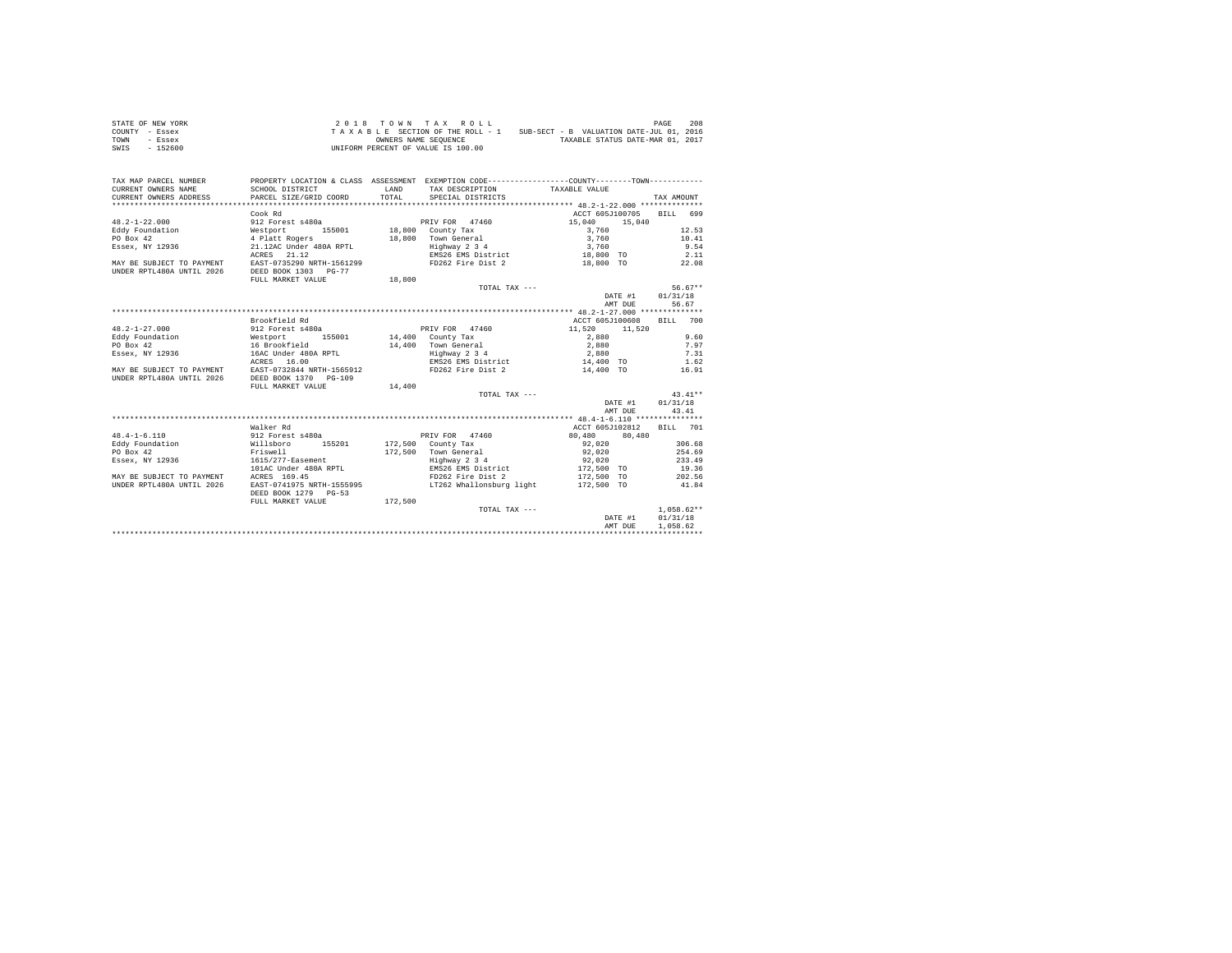| STATE OF NEW YORK | 2018 TOWN TAX ROLL                 | 208<br>PAGE                              |
|-------------------|------------------------------------|------------------------------------------|
| COUNTY - Essex    | TAXABLE SECTION OF THE ROLL - 1    | SUB-SECT - B VALUATION DATE-JUL 01, 2016 |
| TOWN<br>- Essex   | OWNERS NAME SEOUENCE               | TAXABLE STATUS DATE-MAR 01, 2017         |
| SWIS<br>- 152600  | UNIFORM PERCENT OF VALUE IS 100.00 |                                          |

| TAX MAP PARCEL NUMBER     |                           |              | PROPERTY LOCATION & CLASS ASSESSMENT EXEMPTION CODE----------------COUNTY--------TOWN---------- |                  |              |
|---------------------------|---------------------------|--------------|-------------------------------------------------------------------------------------------------|------------------|--------------|
| CURRENT OWNERS NAME       | SCHOOL DISTRICT           | <b>T.AND</b> | TAX DESCRIPTION                                                                                 | TAXABLE VALUE    |              |
| CURRENT OWNERS ADDRESS    | PARCEL SIZE/GRID COORD    | TOTAL.       | SPECIAL DISTRICTS                                                                               |                  | TAX AMOUNT   |
|                           |                           |              |                                                                                                 |                  |              |
|                           | Cook Rd                   |              |                                                                                                 | ACCT 605J100705  | BILL 699     |
| $48.2 - 1 - 22.000$       | 912 Forest s480a          |              | PRIV FOR 47460                                                                                  | 15,040<br>15,040 |              |
| Eddy Foundation           | Westport<br>155001        |              | 18,800 County Tax                                                                               | 3,760            | 12.53        |
| PO Box 42                 | 4 Platt Rogers            | 18,800       | Town General                                                                                    | 3,760            | 10.41        |
| Essex, NY 12936           | 21.12AC Under 480A RPTL   |              | Highway 2 3 4                                                                                   | 3,760            | 9.54         |
|                           | ACRES 21.12               |              | EMS26 EMS District                                                                              | 18,800 TO        | 2.11         |
| MAY BE SUBJECT TO PAYMENT | EAST-0735290 NRTH-1561299 |              | FD262 Fire Dist 2                                                                               | 18,800 TO        | 22.08        |
| UNDER RPTL480A UNTIL 2026 | DEED BOOK 1303 PG-77      |              |                                                                                                 |                  |              |
|                           | FULL MARKET VALUE         | 18,800       |                                                                                                 |                  |              |
|                           |                           |              | TOTAL TAX ---                                                                                   |                  | $56.67**$    |
|                           |                           |              |                                                                                                 | DATE #1          | 01/31/18     |
|                           |                           |              |                                                                                                 | AMT DUE          | 56.67        |
|                           |                           |              |                                                                                                 |                  |              |
|                           | Brookfield Rd             |              |                                                                                                 | ACCT 605J100608  | BILL 700     |
| $48.2 - 1 - 27.000$       | 912 Forest s480a          |              | PRIV FOR 47460                                                                                  | 11,520<br>11,520 |              |
| Eddy Foundation           | Westport<br>155001        |              | 14,400 County Tax                                                                               | 2,880            | 9.60         |
| PO Box 42                 | 16 Brookfield             |              | 14,400 Town General                                                                             | 2,880            | 7.97         |
| Essex, NY 12936           | 16AC Under 480A RPTL      |              | Highway 2 3 4                                                                                   | 2,880            | 7.31         |
|                           | ACRES 16.00               |              | EMS26 EMS District                                                                              | 14,400 TO        | 1.62         |
| MAY BE SUBJECT TO PAYMENT | EAST-0732844 NRTH-1565912 |              | FD262 Fire Dist 2                                                                               | 14,400 TO        | 16.91        |
| UNDER RPTL480A UNTIL 2026 | DEED BOOK 1370 PG-109     |              |                                                                                                 |                  |              |
|                           | FULL MARKET VALUE         | 14,400       |                                                                                                 |                  |              |
|                           |                           |              | TOTAL TAX $---$                                                                                 |                  | $43.41**$    |
|                           |                           |              |                                                                                                 | DATE #1          | 01/31/18     |
|                           |                           |              |                                                                                                 | AMT DUE          | 43.41        |
|                           |                           |              |                                                                                                 |                  |              |
|                           | Walker Rd                 |              |                                                                                                 | ACCT 605J102812  | BILL 701     |
| $48.4 - 1 - 6.110$        | 912 Forest s480a          |              | PRIV FOR 47460                                                                                  | 80.480 80.480    |              |
| Eddy Foundation           | 155201<br>Willsboro       |              | $172.500$ County Tax                                                                            | 92.020           | 306.68       |
| PO Box 42                 | Friswell                  | 172,500      | Town General                                                                                    | 92,020           | 254.69       |
| Essex, NY 12936           | 1615/277-Easement         |              | Highway 2 3 4                                                                                   | 92,020           | 233.49       |
|                           | 101AC Under 480A RPTL     |              | EMS26 EMS District                                                                              | 172,500 TO       | 19.36        |
| MAY BE SUBJECT TO PAYMENT | ACRES 169.45              |              | FD262 Fire Dist 2                                                                               | 172,500<br>TO.   | 202.56       |
| UNDER RPTL480A UNTIL 2026 | EAST-0741975 NRTH-1555995 |              | LT262 Whallonsburg light                                                                        | 172,500 TO       | 41.84        |
|                           | DEED BOOK 1279 PG-53      |              |                                                                                                 |                  |              |
|                           | FULL MARKET VALUE         | 172,500      |                                                                                                 |                  |              |
|                           |                           |              | TOTAL TAX ---                                                                                   |                  | $1,058.62**$ |
|                           |                           |              |                                                                                                 | DATE #1          | 01/31/18     |
|                           |                           |              |                                                                                                 | AMT DUE          | 1.058.62     |
|                           |                           |              |                                                                                                 |                  |              |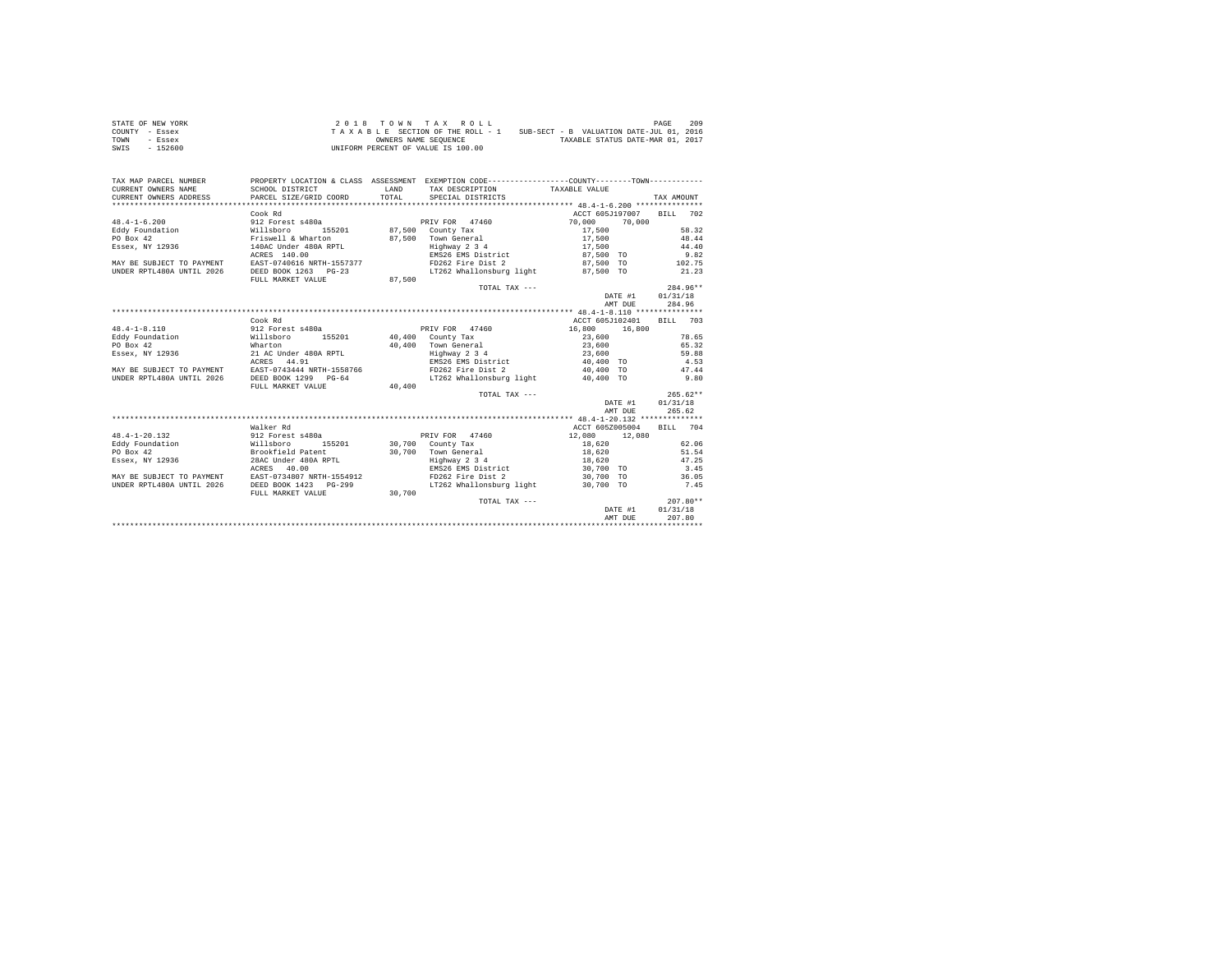| STATE OF NEW YORK | 2018 TOWN TAX ROLL                                                          | 209<br>PAGE                      |
|-------------------|-----------------------------------------------------------------------------|----------------------------------|
| COUNTY - Essex    | SUB-SECT - B VALUATION DATE-JUL 01, 2016<br>TAXABLE SECTION OF THE ROLL - 1 |                                  |
| TOWN<br>- Essex   | OWNERS NAME SEOUENCE                                                        | TAXABLE STATUS DATE-MAR 01, 2017 |
| SWIS<br>$-152600$ | UNIFORM PERCENT OF VALUE IS 100.00                                          |                                  |

| TAX MAP PARCEL NUMBER<br>CURRENT OWNERS NAME        | PROPERTY LOCATION & CLASS ASSESSMENT EXEMPTION CODE----------------COUNTY-------TOWN----------<br>SCHOOL DISTRICT | LAND   |                                                    |                          |                  |            |            |
|-----------------------------------------------------|-------------------------------------------------------------------------------------------------------------------|--------|----------------------------------------------------|--------------------------|------------------|------------|------------|
| CURRENT OWNERS ADDRESS                              | PARCEL SIZE/GRID COORD                                                                                            | TOTAL. | TAX DESCRIPTION TAXABLE VALUE<br>SPECIAL DISTRICTS |                          |                  | TAX AMOUNT |            |
|                                                     |                                                                                                                   |        |                                                    |                          |                  |            |            |
|                                                     |                                                                                                                   |        |                                                    |                          |                  |            |            |
|                                                     | Cook Rd                                                                                                           |        |                                                    | ACCT 605J197007          |                  | BTLL 702   |            |
| $48.4 - 1 - 6.200$                                  | 912 Forest s480a<br>Willsboro       155<br>Friswell & Wharton                                                     |        | PRIV FOR 47460                                     | 70,000                   | 70,000           |            |            |
| Eddy Foundation                                     | 155201                                                                                                            |        | 87,500 County Tax                                  | 17,500                   |                  |            | 58.32      |
| PO Box 42                                           |                                                                                                                   |        | 87,500 Town General                                | 17,500                   |                  |            | 48.44      |
| Essex, NY 12936                                     | 140AC Under 480A RPTL                                                                                             |        | Highway 2 3 4                                      | 17,500                   |                  |            | 44.40      |
|                                                     | ACRES 140.00                                                                                                      |        | EMS26 EMS District                                 | 87,500 TO                |                  |            | 9.82       |
| MAY BE SUBJECT TO PAYMENT EAST-0740616 NRTH-1557377 |                                                                                                                   |        | FD262 Fire Dist 2                                  | 87,500 TO                |                  | 102.75     |            |
| UNDER RPTL480A UNTIL 2026                           | DEED BOOK 1263 PG-23                                                                                              |        | LT262 Whallonsburg light 87,500 TO                 |                          |                  |            | 21.23      |
|                                                     | FULL MARKET VALUE                                                                                                 | 87,500 |                                                    |                          |                  |            |            |
|                                                     |                                                                                                                   |        | TOTAL TAX ---                                      |                          |                  | 284.96**   |            |
|                                                     |                                                                                                                   |        |                                                    |                          | DATE #1 01/31/18 |            |            |
|                                                     |                                                                                                                   |        |                                                    |                          | AMT DUE          | 284.96     |            |
|                                                     |                                                                                                                   |        |                                                    |                          |                  |            |            |
|                                                     | Cook Rd                                                                                                           |        |                                                    | ACCT 605J102401 BILL 703 |                  |            |            |
| $48.4 - 1 - 8.110$                                  | 912 Forest s480a                                                                                                  |        | PRIV FOR 47460                                     | 16,800 16,800            |                  |            |            |
| Eddy Foundation<br>Willsboro                        | 155201                                                                                                            |        | 40,400 County Tax                                  | 23,600                   |                  |            | 78.65      |
| PO Box 42                                           |                                                                                                                   |        | 40.400 Town General                                | 23,600                   |                  |            | 65.32      |
| Essex, NY 12936                                     | Wharton<br>21 AC Under 480A RPTL                                                                                  |        | $Highway$ 2 3 4                                    | 23,600                   |                  |            | 59.88      |
|                                                     | ACRES 44.91                                                                                                       |        | EMS26 EMS District 40.400 TO                       |                          |                  | 4.53       |            |
| MAY BE SUBJECT TO PAYMENT EAST-0743444 NRTH-1558766 |                                                                                                                   |        | FD262 Fire Dist 2                                  | 40,400 TO                |                  | 47.44      |            |
| UNDER RPTL480A UNTIL 2026                           | DEED BOOK 1299 PG-64                                                                                              |        | LT262 Whallonsburg light                           | 40,400 TO                |                  |            | 9.80       |
|                                                     | FULL MARKET VALUE                                                                                                 | 40,400 |                                                    |                          |                  |            |            |
|                                                     |                                                                                                                   |        | TOTAL TAX ---                                      |                          |                  |            | $265.62**$ |
|                                                     |                                                                                                                   |        |                                                    |                          | DATE #1 01/31/18 |            |            |
|                                                     |                                                                                                                   |        |                                                    |                          |                  | 265.62     |            |
|                                                     |                                                                                                                   |        |                                                    |                          | AMT DUE          |            |            |
|                                                     | Walker Rd                                                                                                         |        |                                                    | ACCT 605Z005004          |                  | BTLL 704   |            |
|                                                     |                                                                                                                   |        |                                                    |                          |                  |            |            |
| $48.4 - 1 - 20.132$                                 | 912 Forest s480a<br>Willsboro 1                                                                                   |        | PRIV FOR 47460                                     | 12,080                   | 12,080           |            |            |
| Eddy Foundation                                     | 155201<br>Brookfield Patent                                                                                       |        | 30.700 County Tax                                  | 18,620                   |                  |            | 62.06      |
| PO Box 42                                           |                                                                                                                   |        | 30.700 Town General                                | 18,620                   |                  |            | 51.54      |
| Essex, NY 12936                                     | 28AC Under 480A RPTL                                                                                              |        | Highway 2 3 4                                      | 18,620                   |                  |            | 47.25      |
|                                                     | ACRES 40.00                                                                                                       |        | EMS26 EMS District                                 | 30,700 TO                |                  |            | 3.45       |
| MAY BE SUBJECT TO PAYMENT EAST-0734807 NRTH-1554912 |                                                                                                                   |        | FD262 Fire Dist 2                                  | 30,700 TO                |                  | 36.05      |            |
| UNDER RPTL480A UNTIL 2026                           | DEED BOOK 1423 PG-299                                                                                             |        | LT262 Whallonsburg light 30,700 TO                 |                          |                  |            | 7.45       |
|                                                     | FULL MARKET VALUE                                                                                                 | 30,700 |                                                    |                          |                  |            |            |
|                                                     |                                                                                                                   |        | TOTAL TAX ---                                      |                          |                  |            | $207.80**$ |
|                                                     |                                                                                                                   |        |                                                    |                          | DATE #1          | 01/31/18   |            |
|                                                     |                                                                                                                   |        |                                                    |                          | AMT DUE          | 207.80     |            |
|                                                     |                                                                                                                   |        |                                                    |                          |                  |            |            |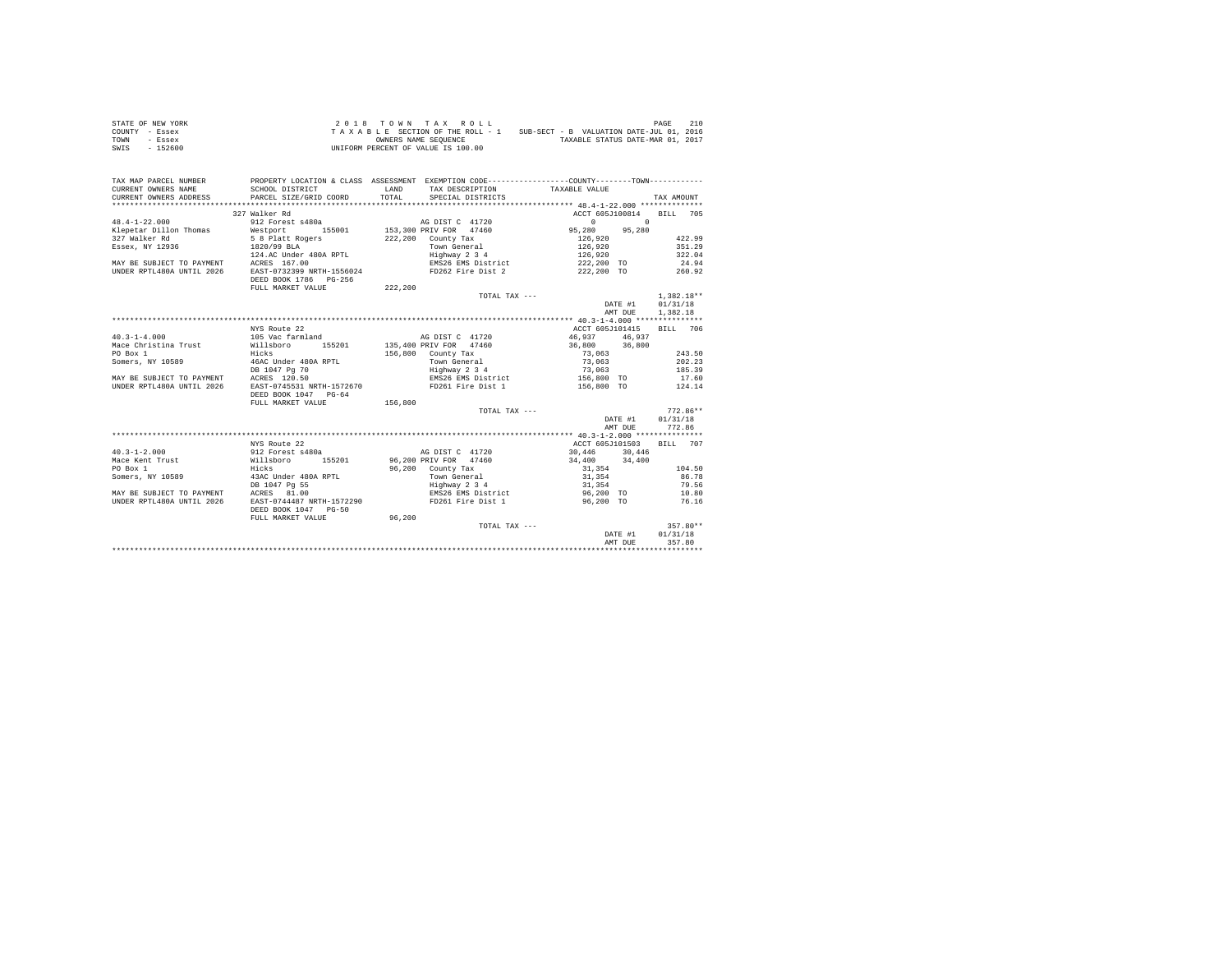| STATE OF NEW YORK | 2018 TOWN TAX ROLL                 | PAGE                                     | 210 |
|-------------------|------------------------------------|------------------------------------------|-----|
| COUNTY - Essex    | TAXABLE SECTION OF THE ROLL - 1    | SUB-SECT - B VALUATION DATE-JUL 01, 2016 |     |
| TOWN<br>- Essex   | OWNERS NAME SEOUENCE               | TAXABLE STATUS DATE-MAR 01, 2017         |     |
| SWIS<br>$-152600$ | UNIFORM PERCENT OF VALUE IS 100.00 |                                          |     |

| TAX MAP PARCEL NUMBER<br>CURRENT OWNERS NAME<br>CURRENT OWNERS ADDRESS             | PROPERTY LOCATION & CLASS ASSESSMENT EXEMPTION CODE----------------COUNTY-------TOWN----------<br>SCHOOL DISTRICT<br>PARCEL SIZE/GRID COORD | <b>LAND</b><br>TOTAL. | TAX DESCRIPTION TAXABLE VALUE<br>SPECIAL DISTRICTS |                                                                                                                 | TAX AMOUNT       |
|------------------------------------------------------------------------------------|---------------------------------------------------------------------------------------------------------------------------------------------|-----------------------|----------------------------------------------------|-----------------------------------------------------------------------------------------------------------------|------------------|
|                                                                                    |                                                                                                                                             |                       |                                                    |                                                                                                                 |                  |
|                                                                                    | 327 Walker Rd                                                                                                                               |                       |                                                    | ACCT 605J100814 BILL 705                                                                                        |                  |
|                                                                                    |                                                                                                                                             |                       |                                                    |                                                                                                                 |                  |
|                                                                                    |                                                                                                                                             |                       |                                                    |                                                                                                                 |                  |
|                                                                                    |                                                                                                                                             |                       |                                                    |                                                                                                                 |                  |
|                                                                                    |                                                                                                                                             |                       |                                                    |                                                                                                                 |                  |
|                                                                                    |                                                                                                                                             |                       |                                                    |                                                                                                                 |                  |
|                                                                                    |                                                                                                                                             |                       |                                                    |                                                                                                                 |                  |
|                                                                                    | UNDER RPTL480A UNTIL 2026 EAST-0732399 NRTH-1556024 FD262 Fire Dist 2 222,200 TO 260.92                                                     |                       |                                                    |                                                                                                                 |                  |
|                                                                                    | DEED BOOK 1786 PG-256                                                                                                                       |                       |                                                    |                                                                                                                 |                  |
|                                                                                    | FULL MARKET VALUE                                                                                                                           | 222.200               |                                                    |                                                                                                                 |                  |
|                                                                                    |                                                                                                                                             |                       | TOTAL TAX ---                                      |                                                                                                                 | $1.382.18**$     |
|                                                                                    |                                                                                                                                             |                       |                                                    | DATE #1 01/31/18                                                                                                |                  |
|                                                                                    |                                                                                                                                             |                       |                                                    |                                                                                                                 |                  |
|                                                                                    |                                                                                                                                             |                       |                                                    |                                                                                                                 | AMT DUE 1,382.18 |
|                                                                                    |                                                                                                                                             |                       |                                                    |                                                                                                                 |                  |
|                                                                                    | NYS Route 22                                                                                                                                |                       |                                                    | ACCT 605J101415 BILL 706                                                                                        |                  |
|                                                                                    |                                                                                                                                             |                       |                                                    |                                                                                                                 |                  |
|                                                                                    |                                                                                                                                             |                       |                                                    |                                                                                                                 |                  |
|                                                                                    | Hicks<br>46AC Under 480A RPTL                                                                                                               |                       |                                                    |                                                                                                                 | 243.50           |
| Somers, NY 10589                                                                   |                                                                                                                                             |                       | Town General<br>Highway 2 3 4                      | 73,063                                                                                                          | 202.23           |
|                                                                                    | DB 1047 Pg 70                                                                                                                               |                       |                                                    | $\begin{array}{ccc} 75,063 & 185.39 \\ 156,800 & \text{TO} & 17.60 \\ 156,800 & \text{TO} & 124.14 \end{array}$ |                  |
| MAY BE SUBJECT TO PAYMENT ACRES 120.50<br>UNDER RPTL480A UNTIL 2026 EAST-0745531 N |                                                                                                                                             |                       |                                                    |                                                                                                                 |                  |
| UNDER RPTL480A UNTIL 2026                                                          | DEED BOOK 1047 PG-64                                                                                                                        |                       |                                                    |                                                                                                                 |                  |
|                                                                                    | FULL MARKET VALUE                                                                                                                           | 156,800               |                                                    |                                                                                                                 |                  |
|                                                                                    |                                                                                                                                             |                       |                                                    | TOTAL TAX ---                                                                                                   | $772.86**$       |
|                                                                                    |                                                                                                                                             |                       |                                                    |                                                                                                                 | DATE #1 01/31/18 |
|                                                                                    |                                                                                                                                             |                       |                                                    | AMT DUE                                                                                                         | 772.86           |
|                                                                                    |                                                                                                                                             |                       |                                                    |                                                                                                                 |                  |
|                                                                                    | NYS Route 22                                                                                                                                |                       |                                                    | ACCT 605J101503 BILL 707                                                                                        |                  |
| $40.3 - 1 - 2.000$                                                                 | 912 Forest s480a<br>912 Forest s480a March 2015 Band AG DIST C 41720                                                                        |                       |                                                    | 30,446 30,446                                                                                                   |                  |
|                                                                                    |                                                                                                                                             |                       |                                                    |                                                                                                                 |                  |
|                                                                                    |                                                                                                                                             |                       |                                                    |                                                                                                                 | 104.50           |
|                                                                                    | Somers, NY 10589 43AC Under 480A RPTL                                                                                                       |                       |                                                    | 96,200 County Tax 31,354<br>Town General 31,354                                                                 | 86.78            |
|                                                                                    |                                                                                                                                             |                       |                                                    |                                                                                                                 | 79.56            |
| DB 1047 Pg 55<br>MAY BE SUBJECT TO PAYMENT ACRES 81.00                             |                                                                                                                                             |                       |                                                    | Highway 2 3 4 31,354<br>EMS26 EMS District 36,200 TO                                                            | 10.80            |
| IINDER RPTL480A IINTIL 2026                                                        | EAST-0744487 NRTH-1572290                                                                                                                   |                       |                                                    | FD261 Fire Dist 1 96,200 TO                                                                                     | 76.16            |
|                                                                                    | DEED BOOK 1047 PG-50                                                                                                                        |                       |                                                    |                                                                                                                 |                  |
|                                                                                    | FULL MARKET VALUE                                                                                                                           | 96,200                |                                                    |                                                                                                                 |                  |
|                                                                                    |                                                                                                                                             |                       | TOTAL TAX ---                                      |                                                                                                                 | $357.80**$       |
|                                                                                    |                                                                                                                                             |                       |                                                    |                                                                                                                 | DATE #1 01/31/18 |
|                                                                                    |                                                                                                                                             |                       |                                                    | AMT DUE                                                                                                         | 357.80           |
|                                                                                    |                                                                                                                                             |                       |                                                    |                                                                                                                 |                  |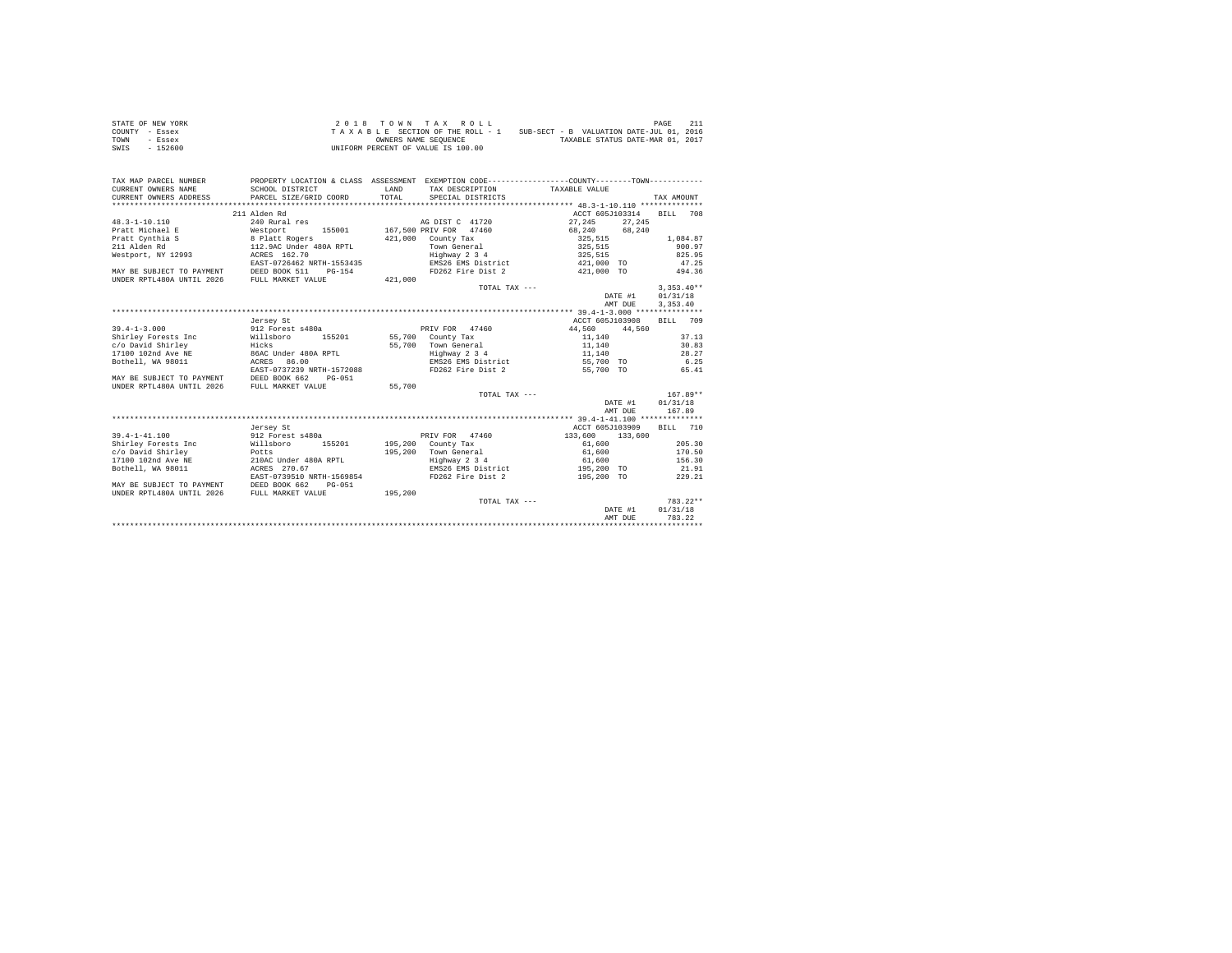| STATE OF NEW YORK | 2018 TOWN TAX ROLL                                                          | 211<br>PAGE                      |
|-------------------|-----------------------------------------------------------------------------|----------------------------------|
| COUNTY - Essex    | SUB-SECT - B VALUATION DATE-JUL 01, 2016<br>TAXABLE SECTION OF THE ROLL - 1 |                                  |
| TOWN<br>- Essex   | OWNERS NAME SEOUENCE                                                        | TAXABLE STATUS DATE-MAR 01, 2017 |
| SWIS<br>- 152600  | UNIFORM PERCENT OF VALUE IS 100.00                                          |                                  |

| TAX MAP PARCEL NUMBER     |                            |         |                        | PROPERTY LOCATION & CLASS ASSESSMENT EXEMPTION CODE----------------COUNTY--------TOWN---------- |                 |
|---------------------------|----------------------------|---------|------------------------|-------------------------------------------------------------------------------------------------|-----------------|
| CURRENT OWNERS NAME       | SCHOOL DISTRICT            | LAND    | TAX DESCRIPTION        | TAXABLE VALUE                                                                                   |                 |
| CURRENT OWNERS ADDRESS    | PARCEL SIZE/GRID COORD     | TOTAL.  | SPECIAL DISTRICTS      |                                                                                                 | TAX AMOUNT      |
|                           |                            |         |                        |                                                                                                 |                 |
|                           | 211 Alden Rd               |         |                        | ACCT 605J103314                                                                                 | <b>BTLL</b> 708 |
| $48.3 - 1 - 10.110$       | 240 Rural res              |         | AG DIST C 41720        | 27,245<br>27.245                                                                                |                 |
| Pratt Michael E           | Westport<br>155001         |         | 167,500 PRIV FOR 47460 | 68,240<br>68,240                                                                                |                 |
| Pratt Cynthia S           | 8 Platt Rogers             |         | 421,000 County Tax     | 325,515                                                                                         | 1,084.87        |
| 211 Alden Rd              | 112.9AC Under 480A RPTL    |         | Town General           | 325,515                                                                                         | 900.97          |
| Westport, NY 12993        | ACRES 162.70               |         | Highway 2 3 4          | 325,515                                                                                         | 825.95          |
|                           | EAST-0726462 NRTH-1553435  |         | EMS26 EMS District     | 421,000 TO                                                                                      | 47.25           |
| MAY BE SUBJECT TO PAYMENT | DEED BOOK 511<br>$PG-154$  |         | FD262 Fire Dist 2      | 421,000 TO                                                                                      | 494.36          |
| UNDER RPTL480A UNTIL 2026 | FULL MARKET VALUE          | 421,000 |                        |                                                                                                 |                 |
|                           |                            |         | TOTAL TAX ---          |                                                                                                 | $3,353.40**$    |
|                           |                            |         |                        | DATE #1                                                                                         | 01/31/18        |
|                           |                            |         |                        | AMT DUE                                                                                         | 3,353.40        |
|                           |                            |         |                        |                                                                                                 |                 |
|                           | Jersey St                  |         |                        | ACCT 605J103908                                                                                 | BILL 709        |
| $39.4 - 1 - 3.000$        | 912 Forest s480a           |         | PRIV FOR 47460         | 44,560<br>44.560                                                                                |                 |
| Shirley Forests Inc       | 155201<br>Willsboro        |         | 55,700 County Tax      | 11,140                                                                                          | 37.13           |
| c/o David Shirley         | Hicks                      |         | 55.700 Town General    | 11,140                                                                                          | 30.83           |
| 17100 102nd Ave NE        | 86AC Under 480A RPTL       |         | Highway 2 3 4          | 11,140                                                                                          | 28.27           |
| Bothell, WA 98011         | 86.00<br>ACRES             |         | EMS26 EMS District     | 55,700 TO                                                                                       | 6.25            |
|                           | EAST-0737239 NRTH-1572088  |         | FD262 Fire Dist 2      | 55,700 TO                                                                                       | 65.41           |
| MAY BE SUBJECT TO PAYMENT | DEED BOOK 662<br>$PG-0.51$ |         |                        |                                                                                                 |                 |
| UNDER RPTL480A UNTIL 2026 | FULL MARKET VALUE          | 55,700  |                        |                                                                                                 |                 |
|                           |                            |         | TOTAL TAX ---          |                                                                                                 | $167.89**$      |
|                           |                            |         |                        | DATE #1                                                                                         | 01/31/18        |
|                           |                            |         |                        | AMT DUE                                                                                         | 167.89          |
|                           |                            |         |                        |                                                                                                 |                 |
|                           | Jersey St                  |         |                        | ACCT 605J103909                                                                                 | BTLL 710        |
| $39.4 - 1 - 41.100$       | 912 Forest s480a           |         | PRIV FOR 47460         | 133,600<br>133,600                                                                              |                 |
| Shirley Forests Inc       | 155201<br>Willsboro        |         | 195,200 County Tax     | 61,600                                                                                          | 205.30          |
| c/o David Shirley         | Potts                      |         | 195.200 Town General   | 61,600                                                                                          | 170.50          |
| 17100 102nd Ave NE        | 210AC Under 480A RPTL      |         | Highway 2 3 4          | 61,600                                                                                          | 156.30          |
| Bothell, WA 98011         | ACRES 270.67               |         | EMS26 EMS District     | 195,200 TO                                                                                      | 21.91           |
|                           | EAST-0739510 NRTH-1569854  |         | FD262 Fire Dist 2      | 195,200 TO                                                                                      | 229.21          |
| MAY BE SUBJECT TO PAYMENT | DEED BOOK 662<br>PG-051    |         |                        |                                                                                                 |                 |
| UNDER RPTL480A UNTIL 2026 | FULL MARKET VALUE          | 195,200 |                        |                                                                                                 |                 |
|                           |                            |         | TOTAL TAX ---          |                                                                                                 | $783.22**$      |
|                           |                            |         |                        | DATE #1                                                                                         | 01/31/18        |
|                           |                            |         |                        |                                                                                                 | 783.22          |
|                           |                            |         |                        | AMT DUE                                                                                         |                 |
|                           |                            |         |                        |                                                                                                 |                 |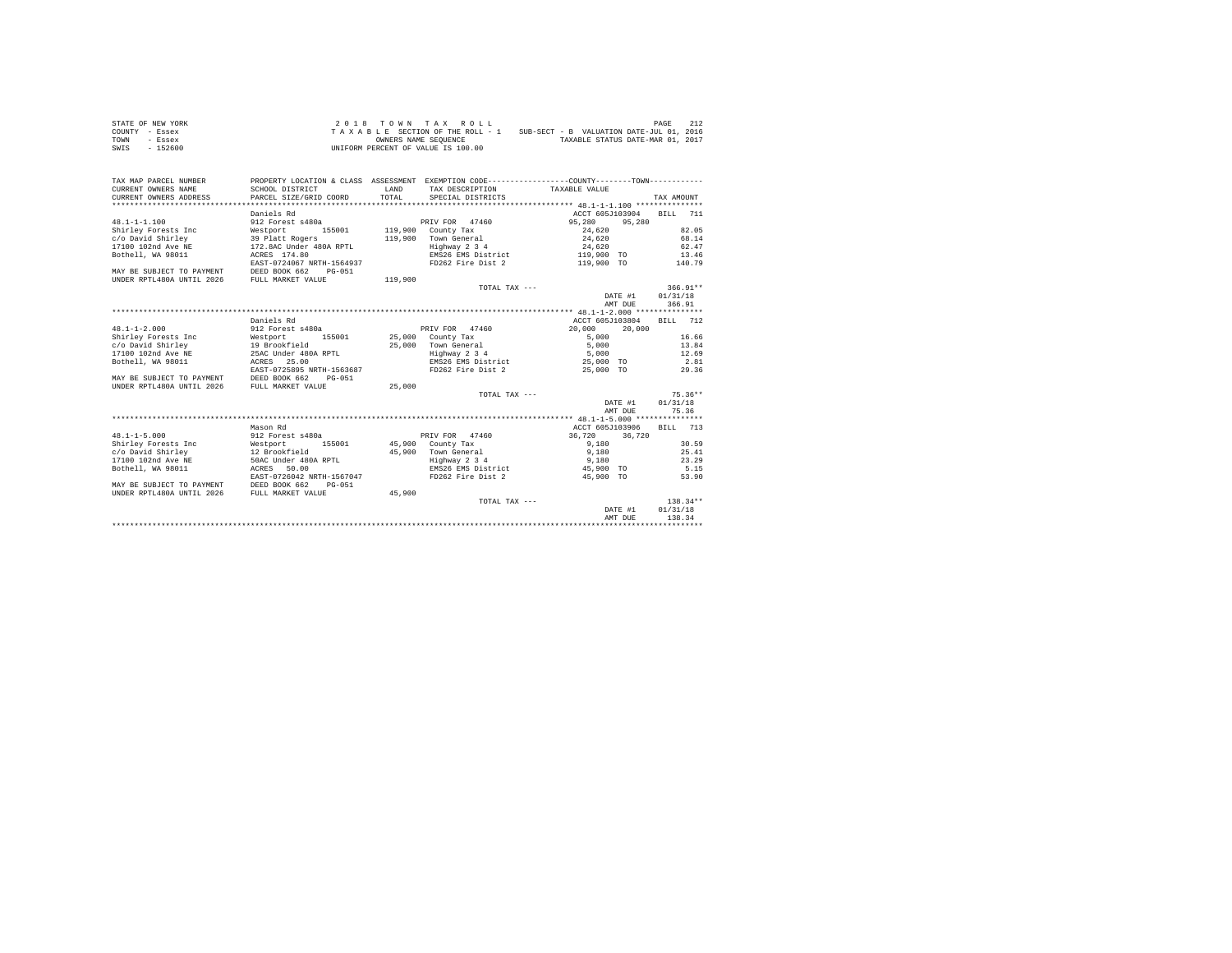| STATE OF NEW YORK | 2018 TOWN TAX ROLL                                                          | 212<br>PAGE                      |
|-------------------|-----------------------------------------------------------------------------|----------------------------------|
| COUNTY - Essex    | SUB-SECT - B VALUATION DATE-JUL 01, 2016<br>TAXABLE SECTION OF THE ROLL - 1 |                                  |
| TOWN<br>- Essex   | OWNERS NAME SEOUENCE                                                        | TAXABLE STATUS DATE-MAR 01, 2017 |
| SWIS<br>- 152600  | UNIFORM PERCENT OF VALUE IS 100.00                                          |                                  |

| TAX MAP PARCEL NUMBER<br>CURRENT OWNERS NAME                                                          | PROPERTY LOCATION & CLASS ASSESSMENT EXEMPTION CODE---------------COUNTY-------TOWN----------<br>SCHOOL DISTRICT | LAND    | TAX DESCRIPTION TAXABLE VALUE                        |                          |         |                  |       |
|-------------------------------------------------------------------------------------------------------|------------------------------------------------------------------------------------------------------------------|---------|------------------------------------------------------|--------------------------|---------|------------------|-------|
| CURRENT OWNERS ADDRESS                                                                                | PARCEL SIZE/GRID COORD                                                                                           | TOTAL.  | SPECIAL DISTRICTS                                    |                          |         | TAX AMOUNT       |       |
| **************************                                                                            |                                                                                                                  |         |                                                      |                          |         |                  |       |
|                                                                                                       | Daniels Rd                                                                                                       |         |                                                      | ACCT 605J103904 BILL 711 |         |                  |       |
| $48.1 - 1 - 1.100$                                                                                    | 912 Forest s480a                                                                                                 |         | PRIV FOR 47460 95.280                                |                          | 95,280  |                  |       |
|                                                                                                       | 155001                                                                                                           |         | 119,900 County Tax                                   |                          |         |                  | 82.05 |
|                                                                                                       |                                                                                                                  |         |                                                      | 24,620<br>24,620         |         |                  |       |
|                                                                                                       |                                                                                                                  |         | 119,900 Town General<br>Highway 2 3 4                |                          |         |                  | 68.14 |
|                                                                                                       |                                                                                                                  |         |                                                      | 24.620                   |         | 62.47            |       |
| Bothell, WA 98011                                                                                     | ACRES 174.80                                                                                                     |         | EMS26 EMS District 119,900 TO 13.46                  |                          |         |                  |       |
|                                                                                                       | EAST-0724067 NRTH-1564937                                                                                        |         | FD262 Fire Dist 2                                    | 119,900 TO               |         | 140.79           |       |
| MAY BE SUBJECT TO PAYMENT DEED BOOK 662                                                               | $PG-051$                                                                                                         |         |                                                      |                          |         |                  |       |
| UNDER RPTL480A UNTIL 2026                                                                             | FULL MARKET VALUE                                                                                                | 119,900 |                                                      |                          |         |                  |       |
|                                                                                                       |                                                                                                                  |         | TOTAL TAX ---                                        |                          |         | $366.91**$       |       |
|                                                                                                       |                                                                                                                  |         |                                                      |                          |         | DATE #1 01/31/18 |       |
|                                                                                                       |                                                                                                                  |         |                                                      |                          | AMT DUE | 366.91           |       |
|                                                                                                       |                                                                                                                  |         |                                                      |                          |         |                  |       |
|                                                                                                       | Daniels Rd                                                                                                       |         |                                                      | ACCT 605J103804 BILL 712 |         |                  |       |
| $48.1 - 1 - 2.000$                                                                                    | 912 Forest s480a                                                                                                 |         | PRIV FOR 47460                                       | 20,000                   | 20,000  |                  |       |
|                                                                                                       |                                                                                                                  |         |                                                      | 5,000                    |         |                  | 16.66 |
| c/o David Shirlev                                                                                     | 19 Brookfield<br>25AC Under 480A RPTL<br>ACRES 25.00                                                             |         | 25,000 Town General                                  | 5,000                    |         |                  | 13.84 |
| 17100 102nd Ave NE                                                                                    |                                                                                                                  |         | Enighway 2 3 4 5,000<br>EMS26 EMS District 25,000 TO |                          |         |                  | 12.69 |
| Bothell, WA 98011                                                                                     |                                                                                                                  |         |                                                      |                          |         | 2.81             |       |
|                                                                                                       | EAST-0725895 NRTH-1563687                                                                                        |         | FD262 Fire Dist 2 25,000 TO 29.36                    |                          |         |                  |       |
|                                                                                                       | PG-051                                                                                                           |         |                                                      |                          |         |                  |       |
| MAY BE SUBJECT TO PAYMENT      DEED BOOK 662    I<br>UNDER RPTL480A UNTIL 2026      FULL MARKET VALUE |                                                                                                                  | 25,000  |                                                      |                          |         |                  |       |
|                                                                                                       |                                                                                                                  |         | TOTAL TAX ---                                        |                          |         | $75.36**$        |       |
|                                                                                                       |                                                                                                                  |         |                                                      |                          |         | DATE #1 01/31/18 |       |
|                                                                                                       |                                                                                                                  |         |                                                      | AMT DUE                  |         | 75.36            |       |
|                                                                                                       |                                                                                                                  |         |                                                      |                          |         |                  |       |
|                                                                                                       | Mason Rd                                                                                                         |         |                                                      | ACCT 605J103906          |         | BILL 713         |       |
|                                                                                                       |                                                                                                                  |         | PRIV FOR 47460                                       | 36,720                   | 36,720  |                  |       |
| 48.1-1-5.000 912 Forest s480a<br>Shirley Forests Inc Westport 1<br>c/o David Shirley 12 Brookfield    | 155001                                                                                                           |         | 45,900 County Tax                                    | 9,180                    |         |                  | 30.59 |
|                                                                                                       |                                                                                                                  |         | 45,900 Town General                                  | 9,180                    |         |                  | 25.41 |
| 17100 102nd Ave NE                                                                                    | 50AC Under 480A RPTL                                                                                             |         |                                                      | 9,180                    |         | 23.29            |       |
| Bothell, WA 98011                                                                                     | 50AC Under 480A RPTL [19] [19] Highway 2 3 4<br>ACRES 50.00<br>EAST-0726042 NRTH-1567047 [19] PD262 Fire Dist 2  |         |                                                      | $45,900$ TO              |         |                  | 5.15  |
|                                                                                                       |                                                                                                                  |         |                                                      | 45,900 TO                |         |                  | 53.90 |
| MAY BE SUBJECT TO PAYMENT DEED BOOK 662                                                               | PG-051                                                                                                           |         |                                                      |                          |         |                  |       |
| UNDER RPTL480A UNTIL 2026 FULL MARKET VALUE                                                           |                                                                                                                  | 45,900  |                                                      |                          |         |                  |       |
|                                                                                                       |                                                                                                                  |         | TOTAL TAX ---                                        |                          |         | $138.34**$       |       |
|                                                                                                       |                                                                                                                  |         |                                                      |                          |         | DATE #1 01/31/18 |       |
|                                                                                                       |                                                                                                                  |         |                                                      |                          |         |                  |       |
|                                                                                                       |                                                                                                                  |         |                                                      | AMT DUE                  |         | 138.34           |       |
|                                                                                                       |                                                                                                                  |         |                                                      |                          |         |                  |       |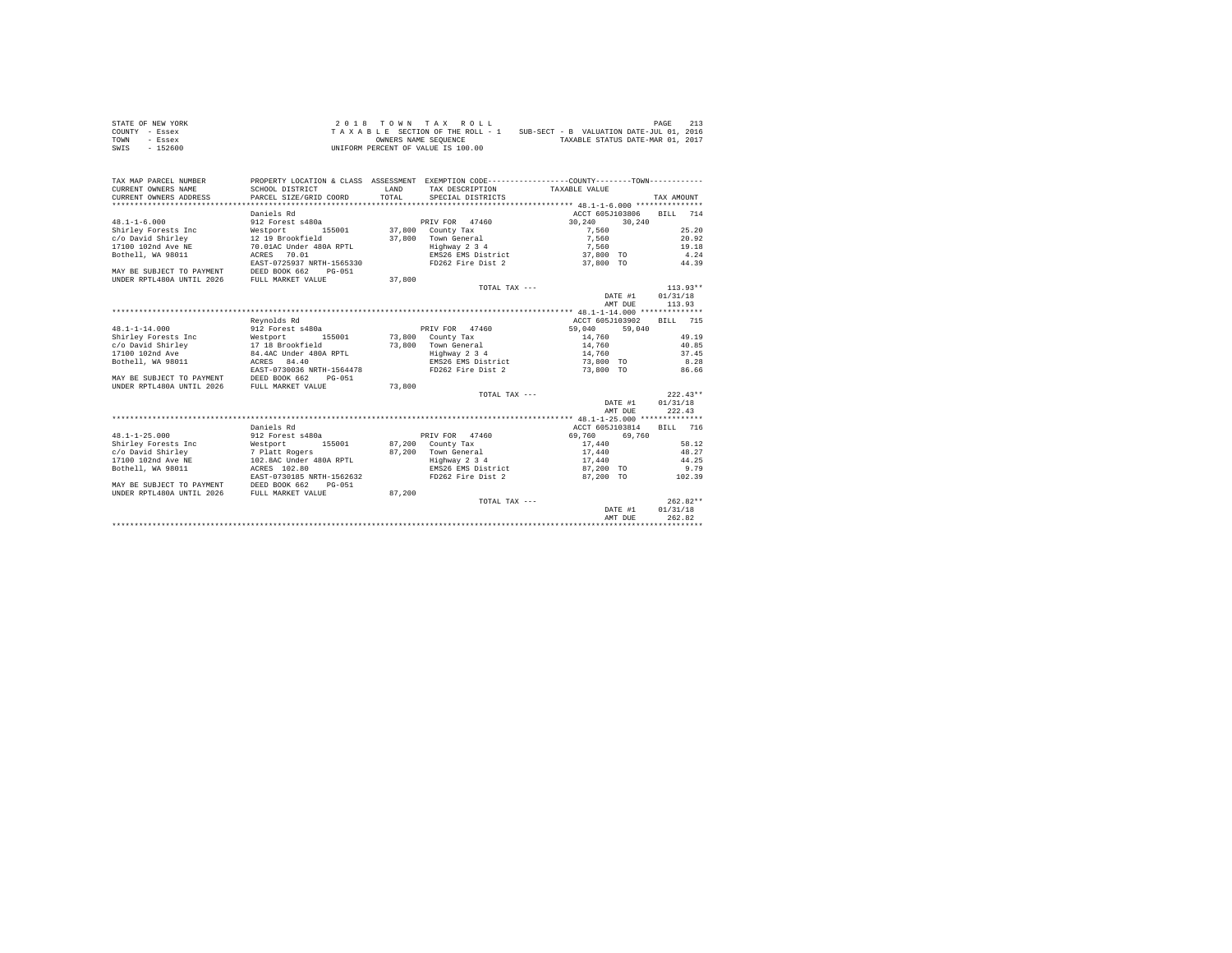| STATE OF NEW YORK | 2018 TOWN TAX ROLL                 | 213<br>PAGE                              |
|-------------------|------------------------------------|------------------------------------------|
| COUNTY - Essex    | TAXABLE SECTION OF THE ROLL - 1    | SUB-SECT - B VALUATION DATE-JUL 01, 2016 |
| TOWN<br>- Essex   | OWNERS NAME SEOUENCE               | TAXABLE STATUS DATE-MAR 01, 2017         |
| $-152600$<br>SWIS | UNIFORM PERCENT OF VALUE IS 100.00 |                                          |

| TAX MAP PARCEL NUMBER<br>CURRENT OWNERS NAME | PROPERTY LOCATION & CLASS ASSESSMENT EXEMPTION CODE---------------COUNTY-------TOWN---------<br>SCHOOL DISTRICT | LAND   | TAX DESCRIPTION              | TAXABLE VALUE   |         |            |  |
|----------------------------------------------|-----------------------------------------------------------------------------------------------------------------|--------|------------------------------|-----------------|---------|------------|--|
| CURRENT OWNERS ADDRESS                       | PARCEL SIZE/GRID COORD                                                                                          | TOTAL  | SPECIAL DISTRICTS            |                 |         | TAX AMOUNT |  |
|                                              |                                                                                                                 |        |                              |                 |         |            |  |
|                                              | Daniels Rd                                                                                                      |        |                              | ACCT 605J103806 |         | RTLL 714   |  |
| $48.1 - 1 - 6.000$                           | 912 Forest s480a                                                                                                |        | PRIV FOR 47460               | 30,240          | 30,240  |            |  |
| Shirley Forests Inc                          | Westport<br>155001                                                                                              |        | 37,800 County Tax            | 7.560           |         | 25.20      |  |
| c/o David Shirley                            | 12 19 Brookfield                                                                                                | 37,800 | Town General                 | 7,560           |         | 20.92      |  |
| 17100 102nd Ave NE                           | 70.01AC Under 480A RPTL                                                                                         |        | Highway 2 3 4                | 7,560           |         | 19.18      |  |
| Bothell, WA 98011                            | ACRES 70.01                                                                                                     |        | EMS26 EMS District           | 37,800 TO       |         | 4.24       |  |
|                                              | EAST-0725937 NRTH-1565330                                                                                       |        | FD262 Fire Dist 2            | 37,800 TO       |         | 44.39      |  |
| MAY BE SUBJECT TO PAYMENT                    | DEED BOOK 662<br>$PG-0.51$                                                                                      |        |                              |                 |         |            |  |
| UNDER RPTL480A UNTIL 2026                    | FULL MARKET VALUE                                                                                               | 37,800 |                              |                 |         |            |  |
|                                              |                                                                                                                 |        | TOTAL TAX ---                |                 |         | $113.93**$ |  |
|                                              |                                                                                                                 |        |                              |                 | DATE #1 | 01/31/18   |  |
|                                              |                                                                                                                 |        |                              |                 | AMT DUE | 113.93     |  |
|                                              |                                                                                                                 |        |                              |                 |         |            |  |
|                                              | Reynolds Rd                                                                                                     |        |                              | ACCT 605J103902 |         | BILL 715   |  |
| $48.1 - 1 - 14.000$                          | 912 Forest s480a                                                                                                |        | PRIV FOR 47460               | 59,040          | 59,040  |            |  |
| Shirley Forests Inc                          | Westport 155001                                                                                                 |        | 73,800 County Tax            | 14,760          |         | 49.19      |  |
| c/o David Shirley                            |                                                                                                                 |        | 73,800 Town General          | 14,760          |         | 40.85      |  |
| 17100 102nd Ave                              | 17 18 Brookfield<br>84.4AC Under 480A RPTL                                                                      |        | Highway 2 3 4                |                 |         | 37.45      |  |
|                                              |                                                                                                                 |        | EMS26 EMS District 73,800 TO | 14,760          |         | 8.28       |  |
| Bothell, WA 98011                            | ACRES 84.40                                                                                                     |        |                              |                 |         |            |  |
|                                              | EAST-0730036 NRTH-1564478                                                                                       |        | FD262 Fire Dist 2            | 73.800 TO       |         | 86.66      |  |
| MAY BE SUBJECT TO PAYMENT                    | DEED BOOK 662<br>PG-051                                                                                         |        |                              |                 |         |            |  |
| UNDER RPTL480A UNTIL 2026                    | FULL MARKET VALUE                                                                                               | 73,800 |                              |                 |         |            |  |
|                                              |                                                                                                                 |        | TOTAL TAX ---                |                 |         | $222.43**$ |  |
|                                              |                                                                                                                 |        |                              |                 | DATE #1 | 01/31/18   |  |
|                                              |                                                                                                                 |        |                              |                 | AMT DUE | 222.43     |  |
|                                              |                                                                                                                 |        |                              |                 |         |            |  |
|                                              | Daniels Rd                                                                                                      |        |                              | ACCT 605J103814 |         | BILL 716   |  |
| $48.1 - 1 - 25.000$                          | 912 Forest s480a                                                                                                |        | PRIV FOR 47460               | 69,760          | 69,760  |            |  |
| Shirley Forests Inc                          | Westport<br>155001                                                                                              |        | 87,200 County Tax            | 17,440          |         | 58.12      |  |
| c/o David Shirley                            | 7 Platt Rogers                                                                                                  |        | 87.200 Town General          | 17,440          |         | 48.27      |  |
| 17100 102nd Ave NE                           | 102.8AC Under 480A RPTL                                                                                         |        | Highway 2 3 4                | 17,440          |         | 44.25      |  |
| Bothell, WA 98011                            | ACRES 102.80                                                                                                    |        | EMS26 EMS District           | 87,200 TO       |         | 9.79       |  |
|                                              | EAST-0730185 NRTH-1562632                                                                                       |        | FD262 Fire Dist 2            | 87,200 TO       |         | 102.39     |  |
| MAY BE SUBJECT TO PAYMENT                    | DEED BOOK 662<br>$PG-051$                                                                                       |        |                              |                 |         |            |  |
| UNDER RPTL480A UNTIL 2026                    | FULL MARKET VALUE                                                                                               | 87,200 |                              |                 |         |            |  |
|                                              |                                                                                                                 |        | TOTAL TAX ---                |                 |         | $262.82**$ |  |
|                                              |                                                                                                                 |        |                              |                 | DATE #1 | 01/31/18   |  |
|                                              |                                                                                                                 |        |                              |                 | AMT DUE | 262.82     |  |
|                                              |                                                                                                                 |        |                              |                 |         |            |  |
|                                              |                                                                                                                 |        |                              |                 |         |            |  |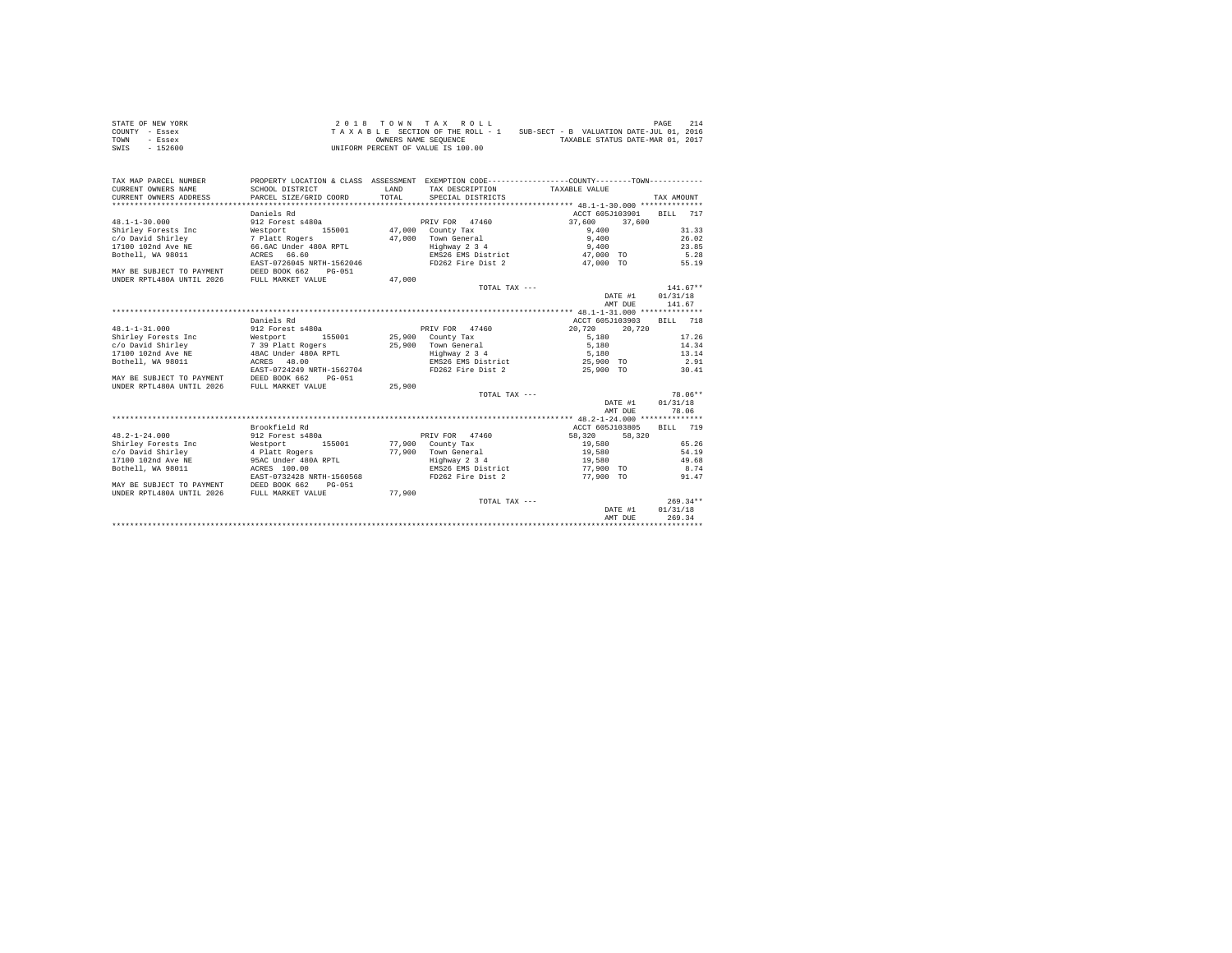| STATE OF NEW YORK | 2018 TOWN TAX ROLL                                                          | 214<br>PAGE                      |
|-------------------|-----------------------------------------------------------------------------|----------------------------------|
| COUNTY - Essex    | SUB-SECT - B VALUATION DATE-JUL 01, 2016<br>TAXABLE SECTION OF THE ROLL - 1 |                                  |
| TOWN<br>- Essex   | OWNERS NAME SEOUENCE                                                        | TAXABLE STATUS DATE-MAR 01, 2017 |
| SWIS<br>- 152600  | UNIFORM PERCENT OF VALUE IS 100.00                                          |                                  |

| TAX MAP PARCEL NUMBER<br>CURRENT OWNERS NAME<br>CURRENT OWNERS ADDRESS | SCHOOL DISTRICT<br>PARCEL SIZE/GRID COORD | LAND<br>TOTAL. | TAX DESCRIPTION<br>SPECIAL DISTRICTS | PROPERTY LOCATION & CLASS ASSESSMENT EXEMPTION CODE----------------COUNTY-------TOWN----------<br>TAXABLE VALUE | TAX AMOUNT         |
|------------------------------------------------------------------------|-------------------------------------------|----------------|--------------------------------------|-----------------------------------------------------------------------------------------------------------------|--------------------|
|                                                                        |                                           |                |                                      |                                                                                                                 |                    |
|                                                                        | Daniels Rd                                |                |                                      | ACCT 605J103901                                                                                                 | <b>BILL</b><br>717 |
| $48.1 - 1 - 30.000$                                                    | 912 Forest s480a                          |                | PRIV FOR 47460                       | 37,600<br>37,600                                                                                                |                    |
| Shirley Forests Inc                                                    | Westport<br>155001                        |                | 47,000 County Tax                    | 9.400                                                                                                           | 31.33              |
| c/o David Shirley                                                      | 7 Platt Rogers                            |                | 47.000 Town General                  | 9,400                                                                                                           | 26.02              |
| 17100 102nd Ave NE                                                     | 66.6AC Under 480A RPTL                    |                | Highway 2 3 4                        | 9.400                                                                                                           | 23.85              |
| Bothell, WA 98011                                                      | ACRES 66.60                               |                | EMS26 EMS District                   | 47,000 TO                                                                                                       | 5.28               |
|                                                                        | EAST-0726045 NRTH-1562046                 |                | FD262 Fire Dist 2                    | 47.000 TO                                                                                                       | 55.19              |
| MAY BE SUBJECT TO PAYMENT                                              | DEED BOOK 662<br>$PG-051$                 |                |                                      |                                                                                                                 |                    |
| UNDER RPTL480A UNTIL 2026                                              | FULL MARKET VALUE                         | 47,000         |                                      |                                                                                                                 |                    |
|                                                                        |                                           |                | TOTAL TAX ---                        |                                                                                                                 | $141.67**$         |
|                                                                        |                                           |                |                                      | DATE #1                                                                                                         | 01/31/18           |
|                                                                        |                                           |                |                                      | AMT DUE                                                                                                         | 141.67             |
|                                                                        |                                           |                |                                      |                                                                                                                 |                    |
|                                                                        | Daniels Rd                                |                |                                      | ACCT 605J103903                                                                                                 | BILL 718           |
| $48.1 - 1 - 31.000$                                                    | 912 Forest s480a                          |                | PRIV FOR 47460                       | 20.720<br>20.720                                                                                                |                    |
| Shirley Forests Inc                                                    | 155001<br>Westport                        |                | 25,900 County Tax                    | 5,180                                                                                                           | 17.26              |
| c/o David Shirlev                                                      | 7 39 Platt Rogers                         |                | 25,900 Town General                  | 5,180                                                                                                           | 14.34              |
| 17100 102nd Ave NE                                                     | 48AC Under 480A RPTL                      |                | Highway 2 3 4                        | 5,180                                                                                                           | 13.14              |
| Bothell, WA 98011                                                      | ACRES 48.00                               |                | EMS26 EMS District 25,900 TO         |                                                                                                                 | 2.91               |
|                                                                        | EAST-0724249 NRTH-1562704                 |                | FD262 Fire Dist 2                    | 25,900 TO                                                                                                       | 30.41              |
| MAY BE SUBJECT TO PAYMENT                                              | DEED BOOK 662<br>$PG-051$                 |                |                                      |                                                                                                                 |                    |
| UNDER RPTL480A UNTIL 2026                                              | FULL MARKET VALUE                         | 25,900         |                                      |                                                                                                                 |                    |
|                                                                        |                                           |                | TOTAL TAX ---                        |                                                                                                                 | 78.06**            |
|                                                                        |                                           |                |                                      | DATE #1                                                                                                         | 01/31/18           |
|                                                                        |                                           |                |                                      | AMT DUE                                                                                                         | 78.06              |
|                                                                        |                                           |                |                                      |                                                                                                                 |                    |
|                                                                        | Brookfield Rd                             |                |                                      | ACCT 605J103805                                                                                                 | RTT.T. 719         |
| $48.2 - 1 - 24.000$                                                    | 912 Forest s480a                          |                | PRIV FOR 47460                       | 58,320<br>58,320                                                                                                |                    |
| Shirley Forests Inc                                                    | 155001<br>Westport                        |                | 77.900 County Tax                    | 19,580                                                                                                          | 65.26              |
| c/o David Shirley                                                      | 4 Platt Rogers                            |                | 77.900 Town General                  | 19,580                                                                                                          | 54.19              |
| 17100 102nd Ave NE                                                     | 95AC Under 480A RPTL                      |                | Highway 2 3 4                        | 19,580                                                                                                          | 49.68              |
| Bothell, WA 98011                                                      | ACRES 100.00                              |                | EMS26 EMS District                   | 77,900 TO                                                                                                       | 8.74               |
|                                                                        | EAST-0732428 NRTH-1560568                 |                | FD262 Fire Dist 2                    | 77,900 TO                                                                                                       | 91.47              |
| MAY BE SUBJECT TO PAYMENT                                              | DEED BOOK 662<br>$PG-0.51$                |                |                                      |                                                                                                                 |                    |
| UNDER RPTL480A UNTIL 2026                                              | FULL MARKET VALUE                         | 77,900         |                                      |                                                                                                                 |                    |
|                                                                        |                                           |                | TOTAL TAX ---                        |                                                                                                                 | $269.34**$         |
|                                                                        |                                           |                |                                      | DATE #1                                                                                                         | 01/31/18           |
|                                                                        |                                           |                |                                      | AMT DUE                                                                                                         | 269.34             |
|                                                                        |                                           |                |                                      |                                                                                                                 |                    |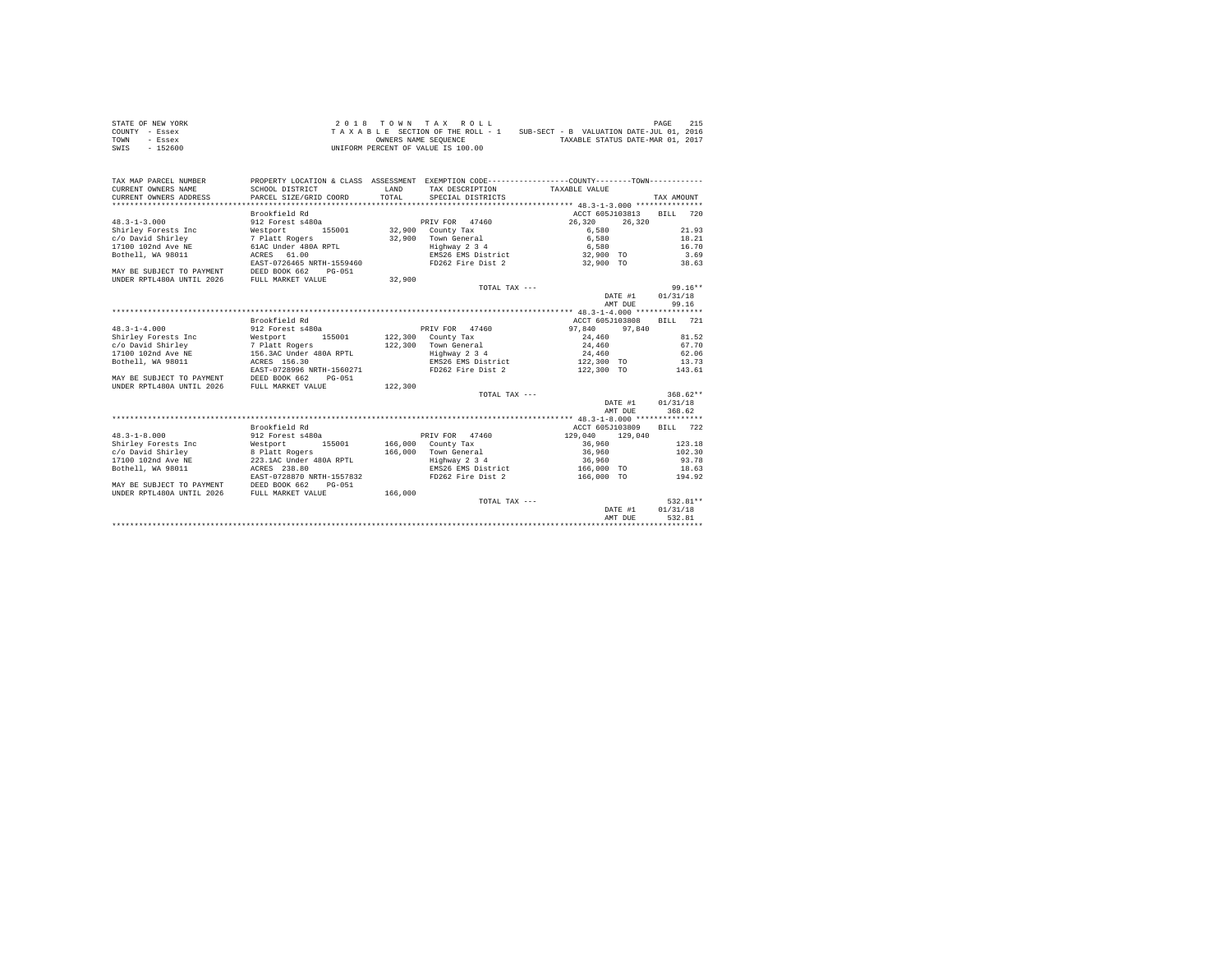| STATE OF NEW YORK | 2018 TOWN TAX ROLL                                                          | 215<br>PAGE                      |
|-------------------|-----------------------------------------------------------------------------|----------------------------------|
| COUNTY - Essex    | SUB-SECT - B VALUATION DATE-JUL 01, 2016<br>TAXABLE SECTION OF THE ROLL - 1 |                                  |
| TOWN<br>- Essex   | OWNERS NAME SEOUENCE                                                        | TAXABLE STATUS DATE-MAR 01, 2017 |
| SWIS<br>- 152600  | UNIFORM PERCENT OF VALUE IS 100.00                                          |                                  |

| TAX MAP PARCEL NUMBER     | PROPERTY LOCATION & CLASS ASSESSMENT EXEMPTION CODE----------------COUNTY-------TOWN---------- |         |                      |                    |                    |
|---------------------------|------------------------------------------------------------------------------------------------|---------|----------------------|--------------------|--------------------|
| CURRENT OWNERS NAME       | SCHOOL DISTRICT                                                                                | LAND    | TAX DESCRIPTION      | TAXABLE VALUE      |                    |
| CURRENT OWNERS ADDRESS    | PARCEL SIZE/GRID COORD                                                                         | TOTAL   | SPECIAL DISTRICTS    |                    | TAX AMOUNT         |
|                           |                                                                                                |         |                      |                    |                    |
|                           | Brookfield Rd                                                                                  |         |                      | ACCT 605J103813    | 720<br>RTLL.       |
| $48.3 - 1 - 3.000$        | 912 Forest s480a                                                                               |         | PRIV FOR 47460       | 26,320<br>26,320   |                    |
| Shirley Forests Inc       | Westport<br>155001                                                                             |         | 32,900 County Tax    | 6,580              | 21.93              |
| c/o David Shirley         | 7 Platt Rogers                                                                                 | 32,900  | Town General         | 6,580              | 18.21              |
| 17100 102nd Ave NE        | 61AC Under 480A RPTL                                                                           |         | Highway 2 3 4        | 6,580              | 16.70              |
| Bothell, WA 98011         | ACRES 61.00                                                                                    |         | EMS26 EMS District   | 32,900 TO          | 3.69               |
|                           | EAST-0726465 NRTH-1559460                                                                      |         | FD262 Fire Dist 2    | 32,900 TO          | 38.63              |
| MAY BE SUBJECT TO PAYMENT | DEED BOOK 662<br>$PG-0.51$                                                                     |         |                      |                    |                    |
| UNDER RPTL480A UNTIL 2026 | FULL MARKET VALUE                                                                              | 32,900  |                      |                    |                    |
|                           |                                                                                                |         | TOTAL TAX ---        |                    | $99.16**$          |
|                           |                                                                                                |         |                      | DATE #1            | 01/31/18           |
|                           |                                                                                                |         |                      | AMT DUE            | 99.16              |
|                           |                                                                                                |         |                      |                    |                    |
|                           | Brookfield Rd                                                                                  |         |                      | ACCT 605J103808    | BILL 721           |
| $48.3 - 1 - 4.000$        | 912 Forest s480a                                                                               |         | PRIV FOR 47460       | 97.840<br>97.840   |                    |
|                           | 155001                                                                                         |         |                      |                    | 81.52              |
| Shirley Forests Inc       | Westport                                                                                       |         | 122,300 County Tax   | 24,460             |                    |
| c/o David Shirley         | 7 Platt Rogers                                                                                 |         | 122,300 Town General | 24,460             | 67.70              |
| 17100 102nd Ave NE        | 156.3AC Under 480A RPTL                                                                        |         | Highway 2 3 4        | 24,460             | 62.06              |
| Bothell, WA 98011         | ACRES 156.30                                                                                   |         | EMS26 EMS District   | 122,300 TO         | 13.73              |
|                           | EAST-0728996 NRTH-1560271                                                                      |         | FD262 Fire Dist 2    | 122,300 TO         | 143.61             |
| MAY BE SUBJECT TO PAYMENT | DEED BOOK 662<br>$PG-0.51$                                                                     |         |                      |                    |                    |
| UNDER RPTL480A UNTIL 2026 | FULL MARKET VALUE                                                                              | 122,300 |                      |                    |                    |
|                           |                                                                                                |         | TOTAL TAX ---        |                    | $368.62**$         |
|                           |                                                                                                |         |                      | DATE #1            | 01/31/18           |
|                           |                                                                                                |         |                      | AMT DUE            | 368.62             |
|                           |                                                                                                |         |                      |                    |                    |
|                           | Brookfield Rd                                                                                  |         |                      | ACCT 605J103809    | 722<br><b>BILL</b> |
| $48.3 - 1 - 8.000$        | 912 Forest s480a                                                                               |         | PRIV FOR 47460       | 129,040<br>129,040 |                    |
| Shirley Forests Inc       | Westport<br>155001                                                                             |         | 166,000 County Tax   | 36,960             | 123.18             |
| c/o David Shirley         | 8 Platt Rogers                                                                                 | 166,000 | Town General         | 36,960             | 102.30             |
| 17100 102nd Ave NE        | 223.1AC Under 480A RPTL                                                                        |         | Highway 2 3 4        | 36,960             | 93.78              |
| Bothell, WA 98011         | ACRES 238.80                                                                                   |         | EMS26 EMS District   | 166,000 TO         | 18.63              |
|                           | EAST-0728870 NRTH-1557832                                                                      |         | FD262 Fire Dist 2    | 166,000 TO         | 194.92             |
| MAY BE SUBJECT TO PAYMENT | DEED BOOK 662<br>$PG-051$                                                                      |         |                      |                    |                    |
| UNDER RPTL480A UNTIL 2026 | FULL MARKET VALUE                                                                              | 166,000 |                      |                    |                    |
|                           |                                                                                                |         | TOTAL TAX ---        |                    | $532.81**$         |
|                           |                                                                                                |         |                      | DATE #1            | 01/31/18           |
|                           |                                                                                                |         |                      | AMT DUE            | 532.81             |
|                           |                                                                                                |         |                      |                    |                    |
|                           |                                                                                                |         |                      |                    |                    |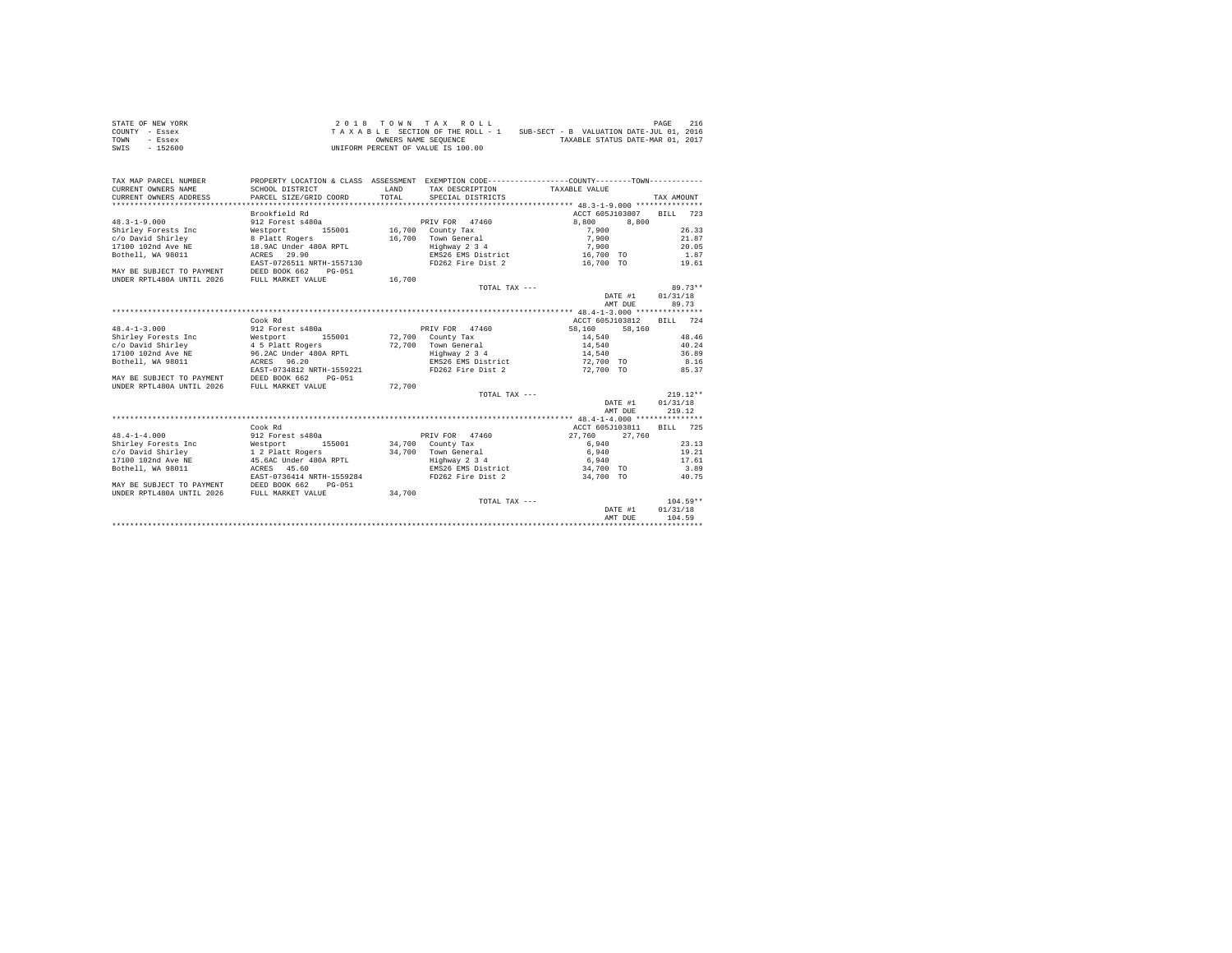| STATE OF NEW YORK | 2018 TOWN TAX ROLL                 | 216<br>PAGE                              |
|-------------------|------------------------------------|------------------------------------------|
| COUNTY - Essex    | TAXABLE SECTION OF THE ROLL - 1    | SUB-SECT - B VALUATION DATE-JUL 01, 2016 |
| TOWN<br>- Essex   | OWNERS NAME SEOUENCE               | TAXABLE STATUS DATE-MAR 01, 2017         |
| $-152600$<br>SWIS | UNIFORM PERCENT OF VALUE IS 100.00 |                                          |

| TAX MAP PARCEL NUMBER<br>CURRENT OWNERS NAME | SCHOOL DISTRICT                            | LAND   | TAX DESCRIPTION     | PROPERTY LOCATION & CLASS ASSESSMENT EXEMPTION CODE----------------COUNTY-------TOWN----------<br>TAXABLE VALUE |            |
|----------------------------------------------|--------------------------------------------|--------|---------------------|-----------------------------------------------------------------------------------------------------------------|------------|
| CURRENT OWNERS ADDRESS                       | PARCEL SIZE/GRID COORD                     | TOTAL  | SPECIAL DISTRICTS   |                                                                                                                 | TAX AMOUNT |
|                                              |                                            |        |                     |                                                                                                                 |            |
|                                              | Brookfield Rd                              |        |                     | ACCT 605J103807                                                                                                 | BTLL 723   |
| $48.3 - 1 - 9.000$                           | 912 Forest s480a                           |        | PRIV FOR 47460      | 8,800<br>8,800                                                                                                  |            |
| Shirley Forests Inc                          | Westport<br>155001                         |        | 16,700 County Tax   | 7,900                                                                                                           | 26.33      |
| c/o David Shirley                            | 8 Platt Rogers                             | 16,700 | Town General        | 7,900                                                                                                           | 21.87      |
| 17100 102nd Ave NE                           | 18.9AC Under 480A RPTL                     |        | Highway 2 3 4       | 7,900                                                                                                           | 20.05      |
| Bothell, WA 98011                            | ACRES 29.90                                |        | EMS26 EMS District  | 16,700 TO                                                                                                       | 1.87       |
|                                              | EAST-0726511 NRTH-1557130                  |        | FD262 Fire Dist 2   | 16,700 TO                                                                                                       | 19.61      |
| MAY BE SUBJECT TO PAYMENT                    | DEED BOOK 662<br>PG-051                    |        |                     |                                                                                                                 |            |
| UNDER RPTL480A UNTIL 2026                    | FULL MARKET VALUE                          | 16,700 |                     |                                                                                                                 |            |
|                                              |                                            |        | TOTAL TAX ---       |                                                                                                                 | $89.73**$  |
|                                              |                                            |        |                     | DATE #1                                                                                                         | 01/31/18   |
|                                              |                                            |        |                     | AMT DUE                                                                                                         | 89.73      |
|                                              |                                            |        |                     |                                                                                                                 |            |
|                                              | Cook Rd                                    |        |                     | ACCT 605J103812                                                                                                 | BILL 724   |
| $48.4 - 1 - 3.000$                           | 912 Forest s480a                           |        | PRIV FOR 47460      | 58,160<br>58,160                                                                                                |            |
| Shirley Forests Inc                          | Westport 155001                            |        | 72,700 County Tax   | 14,540                                                                                                          | 48.46      |
| c/o David Shirley                            |                                            |        | 72,700 Town General | 14,540                                                                                                          | 40.24      |
| 17100 102nd Ave NE                           | 4 5 Platt Rogers<br>96.2AC Under 480A RPTL |        | Highway 2 3 4       | 14,540                                                                                                          | 36.89      |
| Bothell, WA 98011                            | ACRES 96.20                                |        |                     | EMS26 EMS District 72,700 TO                                                                                    | 8.16       |
|                                              | EAST-0734812 NRTH-1559221                  |        | FD262 Fire Dist 2   | 72.700 TO                                                                                                       | 85.37      |
| MAY BE SUBJECT TO PAYMENT                    | DEED BOOK 662<br>PG-051                    |        |                     |                                                                                                                 |            |
| UNDER RPTL480A UNTIL 2026                    | FULL MARKET VALUE                          | 72,700 |                     |                                                                                                                 |            |
|                                              |                                            |        | TOTAL TAX ---       |                                                                                                                 | $219.12**$ |
|                                              |                                            |        |                     | DATE #1                                                                                                         | 01/31/18   |
|                                              |                                            |        |                     | AMT DUE                                                                                                         | 219.12     |
|                                              |                                            |        |                     |                                                                                                                 |            |
|                                              | Cook Rd                                    |        |                     | ACCT 605J103811                                                                                                 | BILL 725   |
| $48.4 - 1 - 4.000$                           | 912 Forest s480a                           |        | PRIV FOR 47460      | 27,760<br>27,760                                                                                                |            |
| Shirley Forests Inc                          | Westport<br>155001                         |        | 34,700 County Tax   | 6,940                                                                                                           | 23.13      |
| c/o David Shirley                            | 1 2 Platt Rogers                           |        | 34.700 Town General | 6,940                                                                                                           | 19.21      |
| 17100 102nd Ave NE                           | 45.6AC Under 480A RPTL                     |        | Highway 2 3 4       | 6,940                                                                                                           | 17.61      |
| Bothell, WA 98011                            | ACRES 45.60                                |        | EMS26 EMS District  | 34,700 TO                                                                                                       | 3.89       |
|                                              | EAST-0736414 NRTH-1559284                  |        | FD262 Fire Dist 2   | 34,700 TO                                                                                                       | 40.75      |
| MAY BE SUBJECT TO PAYMENT                    | DEED BOOK 662<br>PG-051                    |        |                     |                                                                                                                 |            |
| UNDER RPTL480A UNTIL 2026                    | FULL MARKET VALUE                          | 34,700 |                     |                                                                                                                 |            |
|                                              |                                            |        | TOTAL TAX ---       |                                                                                                                 | $104.59**$ |
|                                              |                                            |        |                     | DATE #1                                                                                                         | 01/31/18   |
|                                              |                                            |        |                     | AMT DUE                                                                                                         | 104.59     |
|                                              |                                            |        |                     |                                                                                                                 |            |
|                                              |                                            |        |                     |                                                                                                                 |            |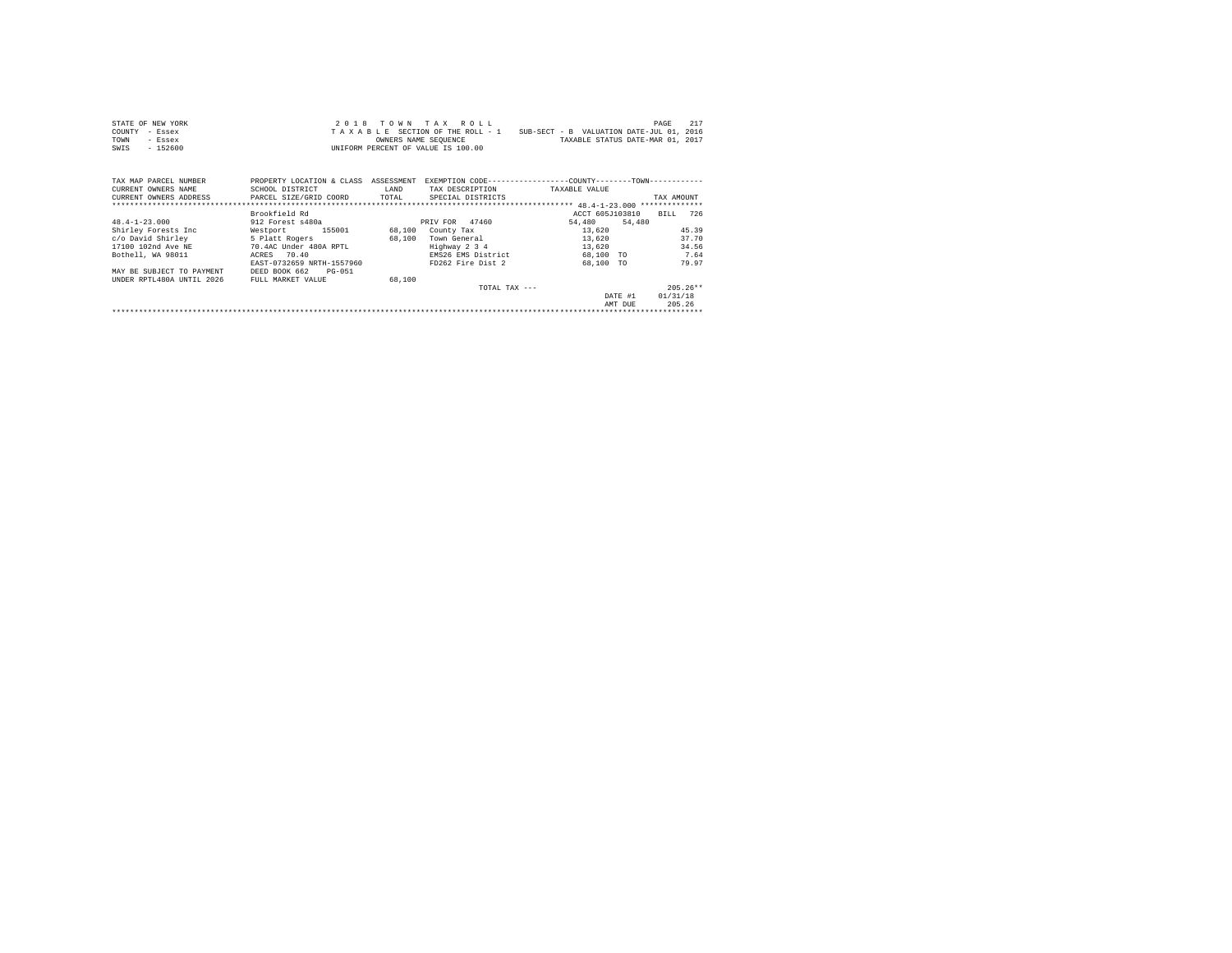| STATE OF NEW YORK | 2018 TOWN TAX ROLL                 | 217<br>PAGE                              |
|-------------------|------------------------------------|------------------------------------------|
| COUNTY - Essex    | TAXABLE SECTION OF THE ROLL - 1    | SUB-SECT - B VALUATION DATE-JUL 01, 2016 |
| TOWN<br>- Essex   | OWNERS NAME SEOUENCE               | TAXABLE STATUS DATE-MAR 01, 2017         |
| $-152600$<br>SWIS | UNIFORM PERCENT OF VALUE IS 100.00 |                                          |

| TAX MAP PARCEL NUMBER<br>CURRENT OWNERS NAME | PROPERTY LOCATION & CLASS<br>SCHOOL DISTRICT | ASSESSMENT<br>LAND | EXEMPTION CODE----------------COUNTY-------TOWN-----------<br>TAX DESCRIPTION | TAXABLE VALUE    |                              |
|----------------------------------------------|----------------------------------------------|--------------------|-------------------------------------------------------------------------------|------------------|------------------------------|
| CURRENT OWNERS ADDRESS                       | PARCEL SIZE/GRID COORD                       | TOTAL              | SPECIAL DISTRICTS                                                             |                  | TAX AMOUNT<br>************** |
|                                              |                                              |                    |                                                                               |                  |                              |
|                                              | Brookfield Rd                                |                    |                                                                               | ACCT 605J103810  | 726<br><b>BILL</b>           |
| $48.4 - 1 - 23.000$                          | 912 Forest s480a                             |                    | 47460<br>PRIV FOR                                                             | 54,480<br>54,480 |                              |
| Shirley Forests Inc                          | 155001<br>Westport                           | 68,100             | County Tax                                                                    | 13,620           | 45.39                        |
| c/o David Shirley                            | 5 Platt Rogers                               | 68,100             | Town General                                                                  | 13,620           | 37.70                        |
| 17100 102nd Ave NE                           | 70.4AC Under 480A RPTL                       |                    | Highway 2 3 4                                                                 | 13,620           | 34.56                        |
| Bothell, WA 98011                            | 70.40<br>ACRES                               |                    | EMS26 EMS District                                                            | 68,100 TO        | 7.64                         |
|                                              | EAST-0732659 NRTH-1557960                    |                    | FD262 Fire Dist 2                                                             | 68,100 TO        | 79.97                        |
| MAY BE SUBJECT TO PAYMENT                    | DEED BOOK 662<br>PG-051                      |                    |                                                                               |                  |                              |
| UNDER RPTL480A UNTIL 2026                    | FULL MARKET VALUE                            | 68,100             |                                                                               |                  |                              |
|                                              |                                              |                    | TOTAL TAX $---$                                                               |                  | $205.26**$                   |
|                                              |                                              |                    |                                                                               | DATE #1          | 01/31/18                     |
|                                              |                                              |                    |                                                                               | AMT DUE          | 205.26                       |
|                                              |                                              |                    |                                                                               |                  |                              |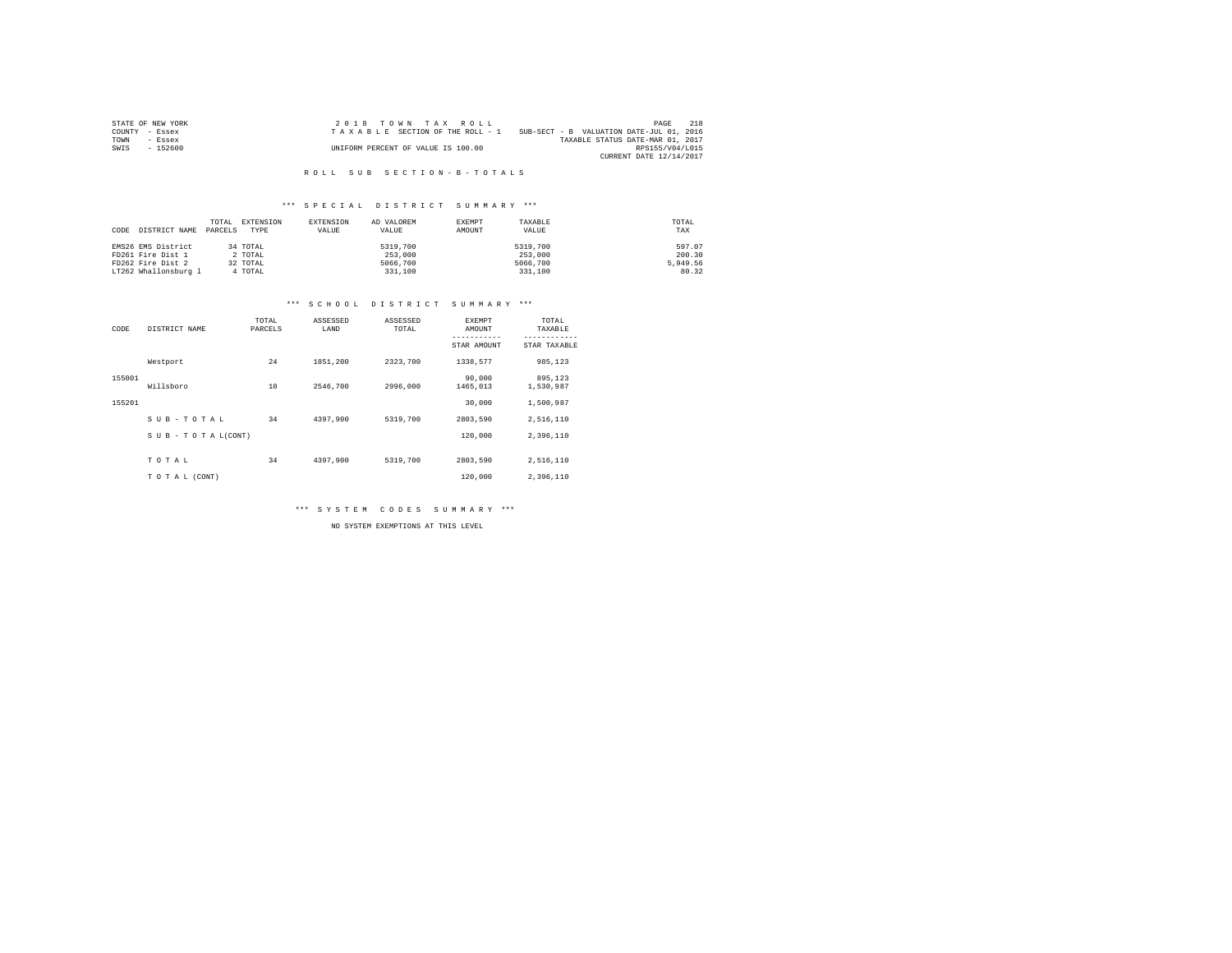| STATE OF NEW YORK | 2018 TOWN TAX ROLL                 | 2.1.8<br>PAGE                            |
|-------------------|------------------------------------|------------------------------------------|
| COUNTY - Essex    | TAXABLE SECTION OF THE ROLL - 1    | SUB-SECT - B VALUATION DATE-JUL 01, 2016 |
| TOWN<br>- Essex   |                                    | TAXABLE STATUS DATE-MAR 01, 2017         |
| $-152600$<br>SWIS | UNIFORM PERCENT OF VALUE IS 100.00 | RPS155/V04/L015                          |
|                   |                                    | CURRENT DATE 12/14/2017                  |

#### \*\*\* S P E C I A L D I S T R I C T S U M M A R Y \*\*\*

| CODE | DISTRICT NAME        | TOTAL<br>PARCELS | EXTENSION<br>TYPE | EXTENSION<br>VALUE | AD VALOREM<br>VALUE | EXEMPT<br>AMOUNT | TAXABLE<br>VALUE | TOTAL<br>TAX |
|------|----------------------|------------------|-------------------|--------------------|---------------------|------------------|------------------|--------------|
|      | EMS26 EMS District   |                  | 34 TOTAL          |                    | 5319,700            |                  | 5319,700         | 597.07       |
|      | FD261 Fire Dist 1    |                  | 2 TOTAL           |                    | 253,000             |                  | 253,000          | 200.30       |
|      | FD262 Fire Dist 2    |                  | 32 TOTAL          |                    | 5066,700            |                  | 5066,700         | 5,949.56     |
|      | LT262 Whallonsburg 1 |                  | 4 TOTAL           |                    | 331,100             |                  | 331,100          | 80.32        |

#### \*\*\* S C H O O L D I S T R I C T S U M M A R Y \*\*\*

| CODE   | DISTRICT NAME      | TOTAL<br>PARCELS | ASSESSED<br>LAND | ASSESSED<br>TOTAL | EXEMPT<br>AMOUNT   | TOTAL<br>TAXABLE     |
|--------|--------------------|------------------|------------------|-------------------|--------------------|----------------------|
|        |                    |                  |                  |                   | STAR AMOUNT        | STAR TAXABLE         |
|        | Westport           | 24               | 1851,200         | 2323.700          | 1338,577           | 985,123              |
| 155001 | Willsboro          | 10               | 2546,700         | 2996,000          | 90,000<br>1465,013 | 895,123<br>1,530,987 |
| 155201 |                    |                  |                  |                   | 30,000             | 1,500,987            |
|        | SUB-TOTAL          | 34               | 4397.900         | 5319,700          | 2803.590           | 2,516,110            |
|        | SUB - TO TAL(CONT) |                  |                  |                   | 120,000            | 2.396.110            |
|        | TOTAL              | 34               | 4397.900         | 5319,700          | 2803,590           | 2,516,110            |
|        | TO TAL (CONT)      |                  |                  |                   | 120,000            | 2.396.110            |

\*\*\* S Y S T E M C O D E S S U M M A R Y \*\*\*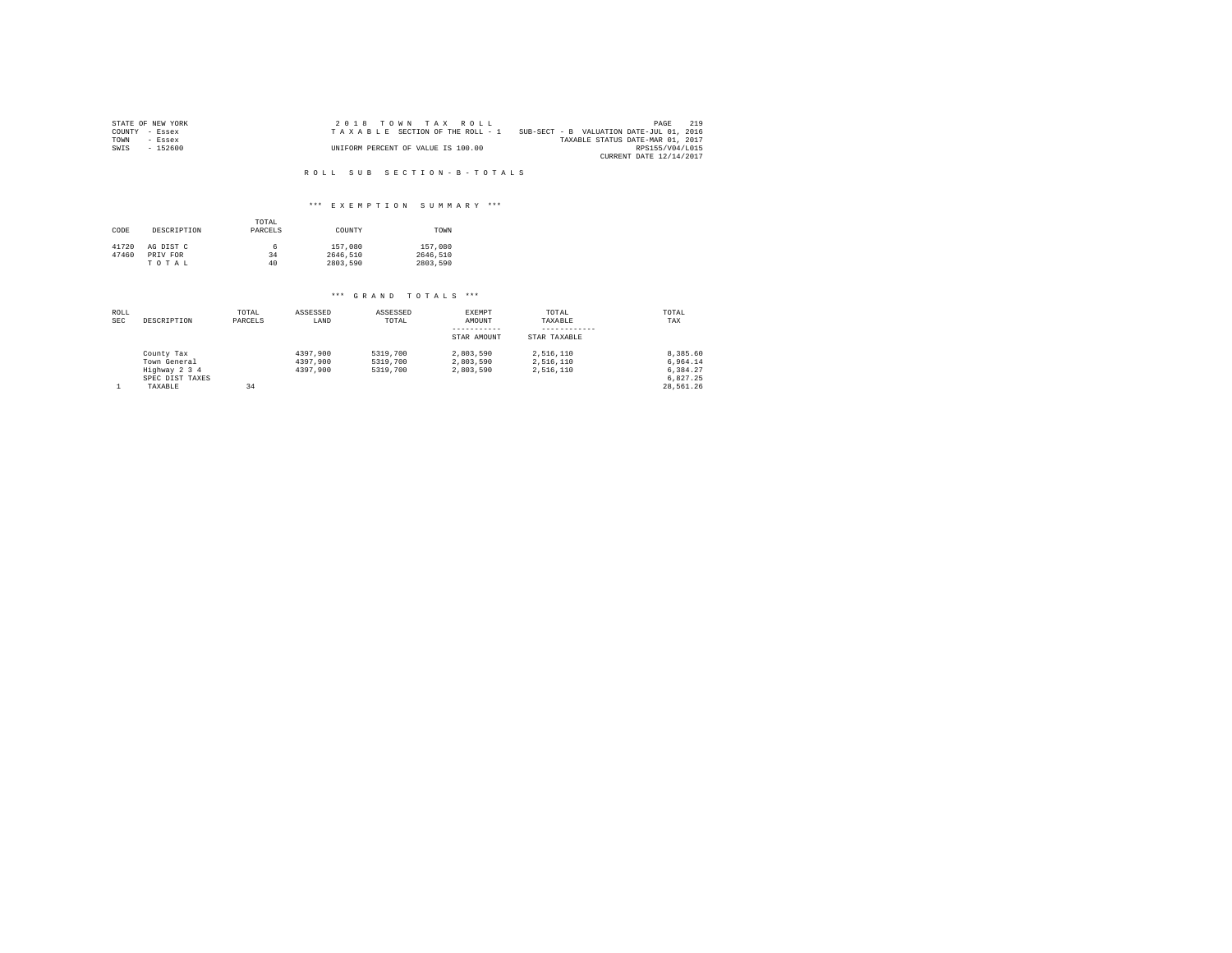| STATE OF NEW YORK | 2018 TOWN TAX ROLL                                                          | PAGE                    | 219 |
|-------------------|-----------------------------------------------------------------------------|-------------------------|-----|
| COUNTY - Essex    | SUB-SECT - B VALUATION DATE-JUL 01, 2016<br>TAXABLE SECTION OF THE ROLL - 1 |                         |     |
| TOWN<br>$-$ Essex | TAXABLE STATUS DATE-MAR 01, 2017                                            |                         |     |
| $-152600$<br>SWIS | UNIFORM PERCENT OF VALUE IS 100.00                                          | RPS155/V04/L015         |     |
|                   |                                                                             | CURRENT DATE 12/14/2017 |     |

#### \*\*\* E X E M P T I O N S U M M A R Y \*\*\*

| CODE  | DESCRIPTION | TOTAL<br>PARCELS | COUNTY   | TOWN     |
|-------|-------------|------------------|----------|----------|
| 41720 | AG DIST C   | 6                | 157,080  | 157,080  |
| 47460 | PRIV FOR    | 34               | 2646,510 | 2646.510 |
|       | TOTAL       | 40               | 2803,590 | 2803.590 |

| ROLL<br><b>SEC</b> | DESCRIPTION                                 | TOTAL<br>PARCELS | ASSESSED<br>LAND                 | ASSESSED<br>TOTAL                | EXEMPT<br>AMOUNT<br>-----------     | TOTAL<br>TAXABLE<br>---------       | TOTAL<br>TAX                     |
|--------------------|---------------------------------------------|------------------|----------------------------------|----------------------------------|-------------------------------------|-------------------------------------|----------------------------------|
|                    |                                             |                  |                                  |                                  | STAR AMOUNT                         | STAR TAXABLE                        |                                  |
|                    | County Tax<br>Town General<br>Highway 2 3 4 |                  | 4397.900<br>4397.900<br>4397.900 | 5319,700<br>5319,700<br>5319,700 | 2.803.590<br>2.803.590<br>2.803.590 | 2.516.110<br>2.516.110<br>2.516.110 | 8.385.60<br>6.964.14<br>6.384.27 |
|                    | SPEC DIST TAXES<br>TAXABLE                  | 34               |                                  |                                  |                                     |                                     | 6.827.25<br>28.561.26            |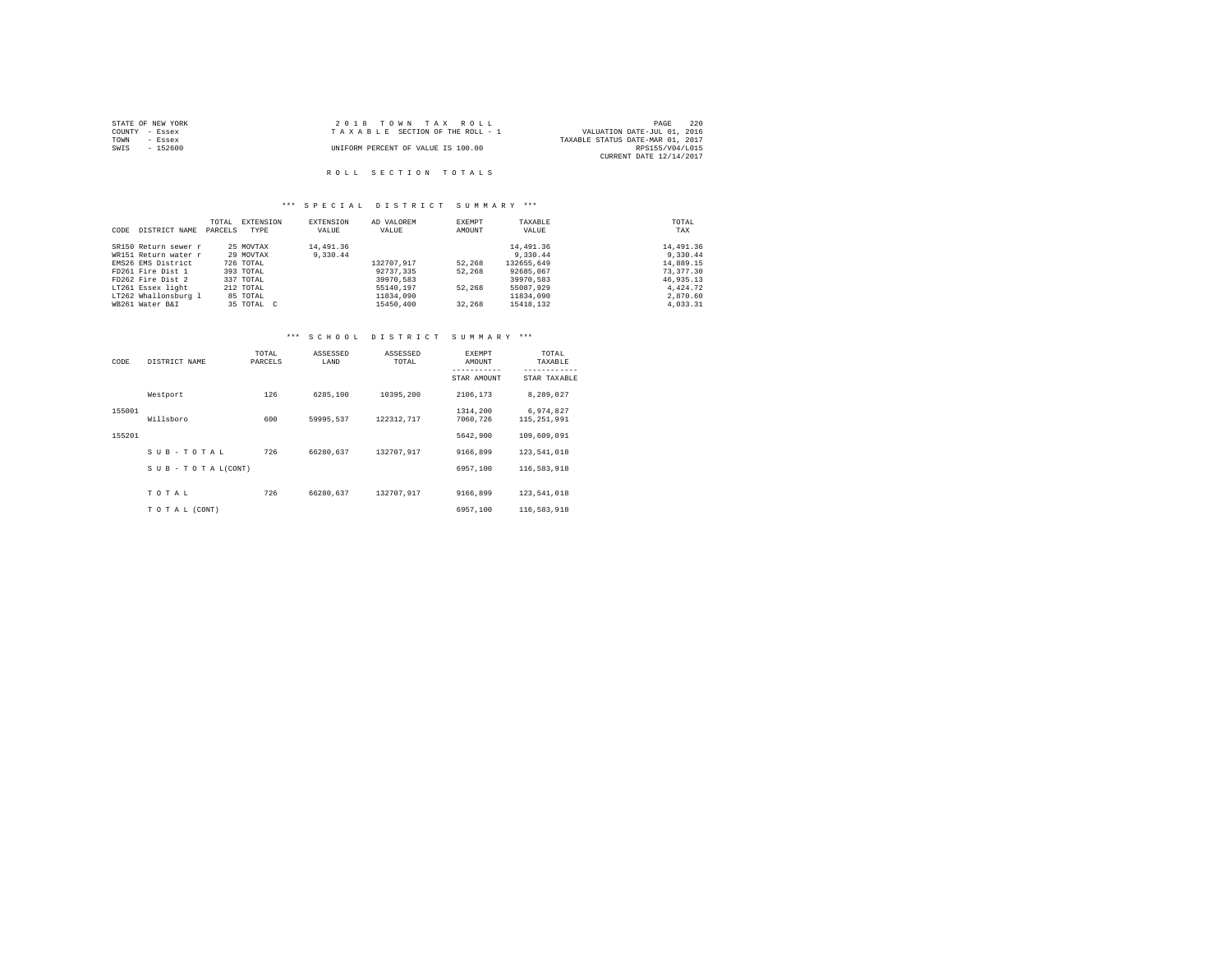| STATE OF NEW YORK | 2018 TOWN TAX ROLL                 | 2.2.0<br>PAGE                    |
|-------------------|------------------------------------|----------------------------------|
| COUNTY - Essex    | TAXABLE SECTION OF THE ROLL - 1    | VALUATION DATE-JUL 01, 2016      |
| TOWN<br>- Essex   |                                    | TAXABLE STATUS DATE-MAR 01, 2017 |
| SWIS<br>- 152600  | UNIFORM PERCENT OF VALUE IS 100.00 | RPS155/V04/L015                  |
|                   |                                    | CURRENT DATE 12/14/2017          |
|                   |                                    |                                  |

## \*\*\* S P E C I A L D I S T R I C T S U M M A R Y \*\*\*

|      |                      | TOTAL   | EXTENSION  | EXTENSION | AD VALOREM | EXEMPT | TAXABLE    | TOTAL     |
|------|----------------------|---------|------------|-----------|------------|--------|------------|-----------|
| CODE | DISTRICT NAME        | PARCELS | TYPE       | VALUE     | VALUE      | AMOUNT | VALUE      | TAX       |
|      | SR150 Return sewer r |         | 25 MOVTAX  | 14,491.36 |            |        | 14,491.36  | 14,491.36 |
|      | WR151 Return water r |         | 29 MOVTAX  | 9,330.44  |            |        | 9,330.44   | 9,330.44  |
|      | EMS26 EMS District   |         | 726 TOTAL  |           | 132707.917 | 52,268 | 132655.649 | 14,889.15 |
|      | FD261 Fire Dist 1    |         | 393 TOTAL  |           | 92737.335  | 52,268 | 92685,067  | 73.377.30 |
|      | FD262 Fire Dist 2    |         | 337 TOTAL  |           | 39970.583  |        | 39970.583  | 46,935.13 |
|      | LT261 Essex light    |         | 212 TOTAL  |           | 55140.197  | 52,268 | 55087.929  | 4.424.72  |
|      | LT262 Whallonsburg 1 |         | 85 TOTAL   |           | 11834,090  |        | 11834,090  | 2,870.60  |
|      | WB261 Water B&I      |         | 35 TOTAL C |           | 15450,400  | 32,268 | 15418.132  | 4,033.31  |

# \*\*\* S C H O O L D I S T R I C T S U M M A R Y \*\*\*

| CODE   | DISTRICT NAME      | TOTAL<br>PARCELS | ASSESSED<br>LAND | ASSESSED<br>TOTAL | EXEMPT<br>AMOUNT<br>-----------<br>STAR AMOUNT | TOTAL<br>TAXABLE<br>------------<br>STAR TAXABLE |
|--------|--------------------|------------------|------------------|-------------------|------------------------------------------------|--------------------------------------------------|
|        | Westport           | 126              | 6285,100         | 10395,200         | 2106.173                                       | 8.289.027                                        |
| 155001 | Willsboro          | 600              | 59995.537        | 122312.717        | 1314,200<br>7060.726                           | 6,974,827<br>115, 251, 991                       |
| 155201 |                    |                  |                  |                   | 5642.900                                       | 109,609,091                                      |
|        | SUB-TOTAL          | 726              | 66280.637        | 132707.917        | 9166,899                                       | 123,541,018                                      |
|        | SUB - TO TAL(CONT) |                  |                  |                   | 6957.100                                       | 116,583,918                                      |
|        | TOTAL              | 726              | 66280.637        | 132707.917        | 9166,899                                       | 123,541,018                                      |
|        | TO TAL (CONT)      |                  |                  |                   | 6957.100                                       | 116,583,918                                      |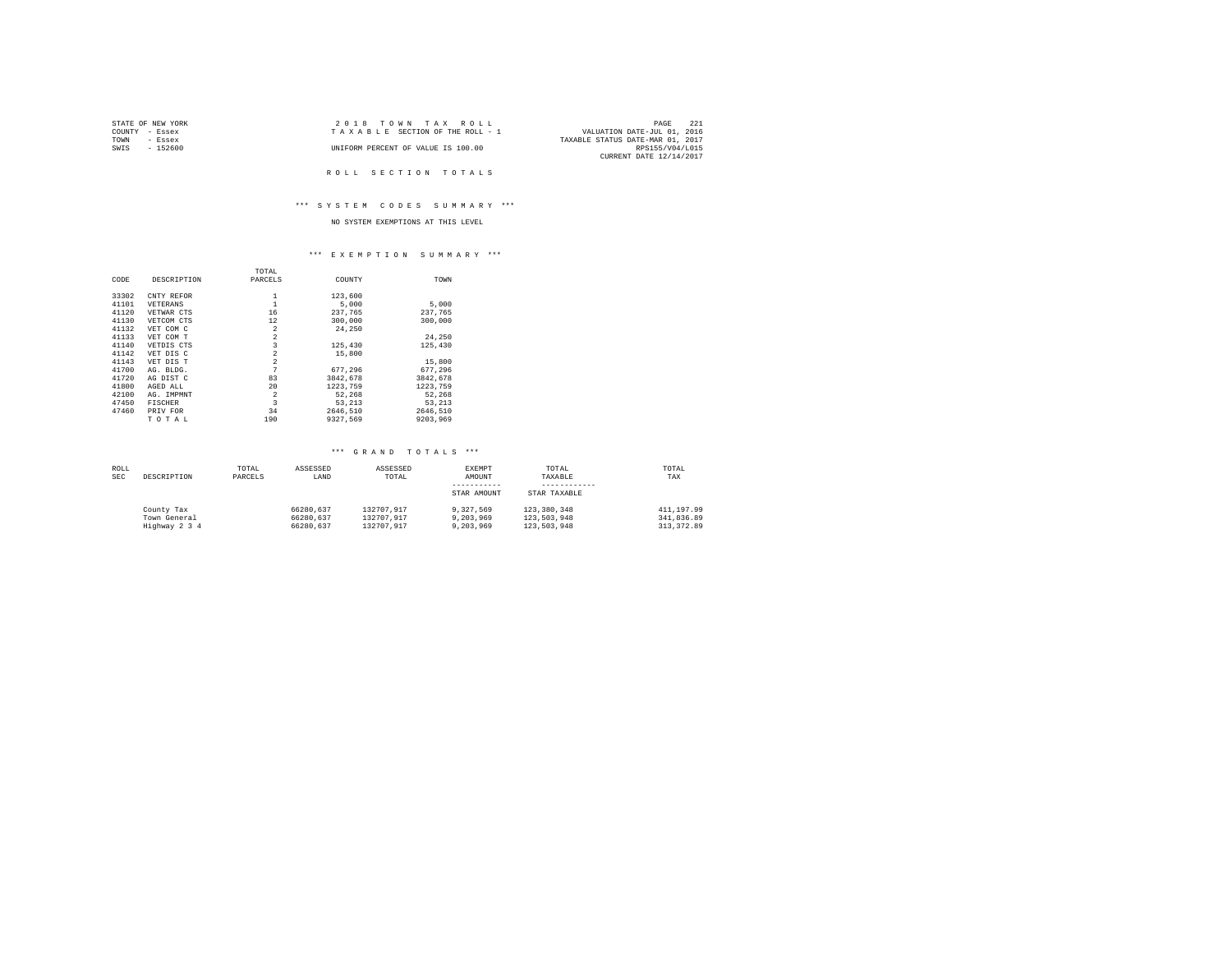|      | STATE OF NEW YORK | 2018 TOWN TAX ROLL                 |                                  | PAGE            | -221 |
|------|-------------------|------------------------------------|----------------------------------|-----------------|------|
|      | COUNTY - Essex    | TAXABLE SECTION OF THE ROLL - 1    | VALUATION DATE-JUL 01, 2016      |                 |      |
| TOWN | - Essex           |                                    | TAXABLE STATUS DATE-MAR 01, 2017 |                 |      |
| SWIS | - 152600          | UNIFORM PERCENT OF VALUE IS 100.00 |                                  | RPS155/V04/L015 |      |
|      |                   |                                    | CURRENT DATE 12/14/2017          |                 |      |

#### \*\*\* S Y S T E M C O D E S S U M M A R Y \*\*\*

#### NO SYSTEM EXEMPTIONS AT THIS LEVEL

#### \*\*\* E X E M P T I O N S U M M A R Y \*\*\*

|       |                | TOTAL                   |          |          |  |
|-------|----------------|-------------------------|----------|----------|--|
| CODE  | DESCRIPTION    | PARCELS                 | COUNTY   | TOWN     |  |
| 33302 | CNTY REFOR     |                         | 123,600  |          |  |
| 41101 | VETERANS       | $\mathbf{1}$            | 5,000    | 5,000    |  |
| 41120 | VETWAR CTS     | 16                      | 237.765  | 237.765  |  |
| 41130 | VETCOM CTS     | 12                      | 300,000  | 300,000  |  |
| 41132 | VET COM C      | $\overline{a}$          | 24,250   |          |  |
| 41133 | VET COM T      | $\overline{2}$          |          | 24,250   |  |
| 41140 | VETDIS CTS     | 3                       | 125,430  | 125,430  |  |
| 41142 | VET DIS C      | $\overline{2}$          | 15,800   |          |  |
| 41143 | VET DIS T      | $\overline{2}$          |          | 15,800   |  |
| 41700 | AG. BLDG.      | 7                       | 677.296  | 677.296  |  |
| 41720 | AG DIST C      | 83                      | 3842,678 | 3842.678 |  |
| 41800 | AGED ALL       | 20                      | 1223,759 | 1223.759 |  |
| 42100 | AG. IMPMNT     | $\overline{2}$          | 52,268   | 52,268   |  |
| 47450 | <b>FISCHER</b> | $\overline{\mathbf{3}}$ | 53.213   | 53.213   |  |
| 47460 | PRIV FOR       | 34                      | 2646,510 | 2646,510 |  |
|       | TOTAL          | 190                     | 9327.569 | 9203.969 |  |

| ROLL<br><b>SEC</b> | DESCRIPTION                   | TOTAL<br>PARCELS | ASSESSED<br>LAND       | ASSESSED<br>TOTAL        | EXEMPT<br>AMOUNT       | TOTAL<br>TAXABLE           | TOTAL<br>TAX              |
|--------------------|-------------------------------|------------------|------------------------|--------------------------|------------------------|----------------------------|---------------------------|
|                    |                               |                  |                        |                          | STAR AMOUNT            | STAR TAXABLE               |                           |
|                    | County Tax                    |                  | 66280.637              | 132707.917               | 9.327.569              | 123,380,348                | 411, 197.99               |
|                    | Town General<br>Highway 2 3 4 |                  | 66280.637<br>66280.637 | 132707.917<br>132707.917 | 9,203,969<br>9,203,969 | 123,503,948<br>123.503.948 | 341,836.89<br>313, 372.89 |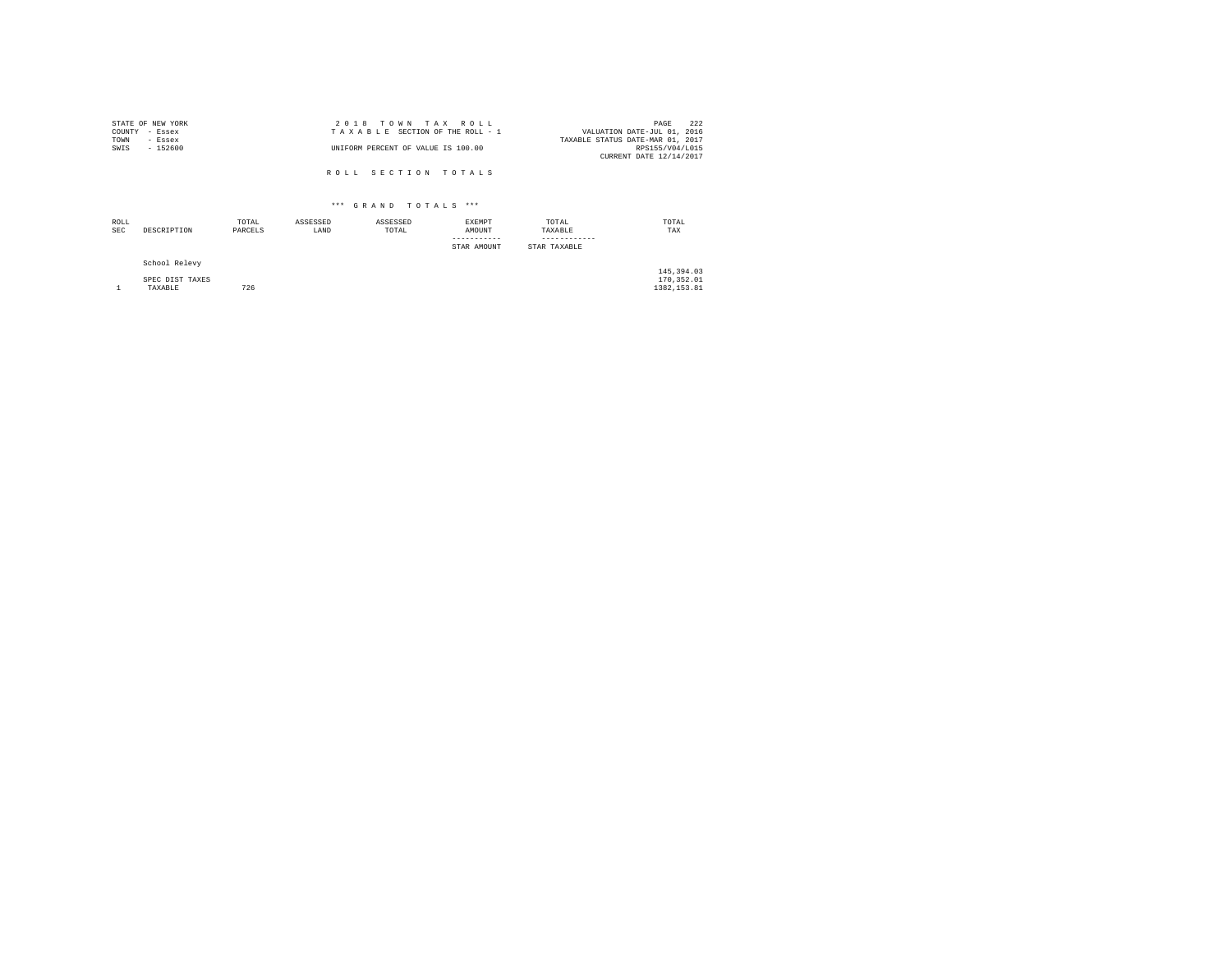| STATE OF NEW YORK | 2018 TOWN TAX ROLL                 | 222<br>PAGE                      |
|-------------------|------------------------------------|----------------------------------|
| COUNTY - Essex    | TAXABLE SECTION OF THE ROLL - 1    | VALUATION DATE-JUL 01, 2016      |
| TOWN<br>- Essex   |                                    | TAXABLE STATUS DATE-MAR 01, 2017 |
| SWIS<br>$-152600$ | UNIFORM PERCENT OF VALUE IS 100.00 | RPS155/V04/L015                  |
|                   |                                    | CURRENT DATE 12/14/2017          |
|                   | ROLL SECTION TOTALS                |                                  |

| ROLL<br>SEC | DESCRIPTION     | TOTAL<br>PARCELS | ASSESSED<br>LAND | ASSESSED<br>TOTAL | EXEMPT<br>AMOUNT<br>-----------<br>STAR AMOUNT | TOTAL<br>TAXABLE<br>------------<br>STAR TAXABLE | TOTAL<br>TAX |
|-------------|-----------------|------------------|------------------|-------------------|------------------------------------------------|--------------------------------------------------|--------------|
|             | School Relevy   |                  |                  |                   |                                                |                                                  | 145,394.03   |
|             | SPEC DIST TAXES |                  |                  |                   |                                                |                                                  | 170.352.01   |
|             | TAXABLE         | 726              |                  |                   |                                                |                                                  | 1382.153.81  |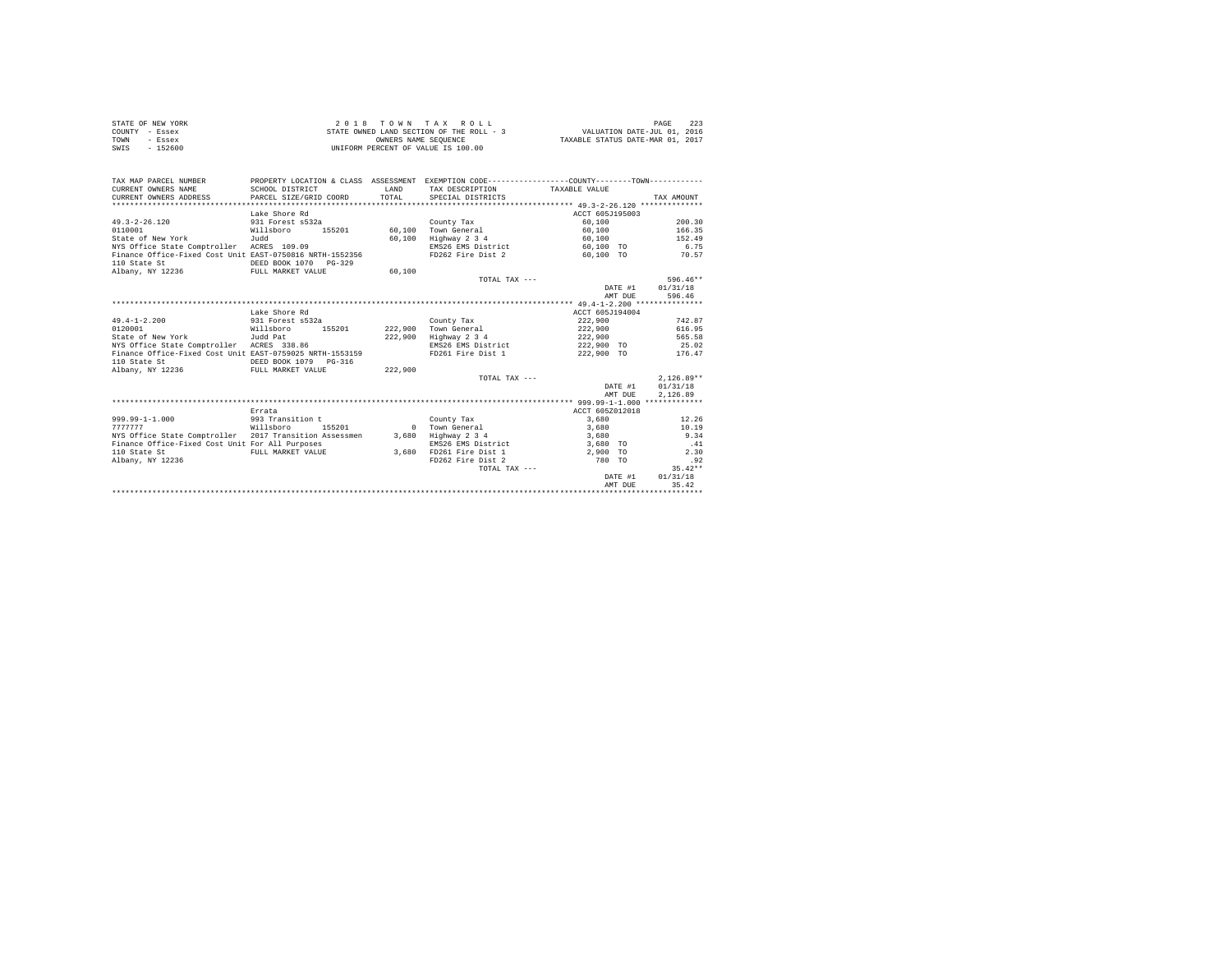| STATE OF NEW YORK | 2018 TOWN TAX ROLL<br>PAGE                                              |  |
|-------------------|-------------------------------------------------------------------------|--|
| COUNTY - Essex    | VALUATION DATE-JUL 01, 2016<br>STATE OWNED LAND SECTION OF THE ROLL - 3 |  |
| TOWN<br>- Essex   | TAXABLE STATUS DATE-MAR 01, 2017<br>OWNERS NAME SEOUENCE                |  |
| $-152600$<br>SWIS | UNIFORM PERCENT OF VALUE IS 100.00                                      |  |

| TAX MAP PARCEL NUMBER<br>CURRENT OWNERS NAME<br>CURRENT OWNERS ADDRESS | PROPERTY LOCATION & CLASS ASSESSMENT<br>SCHOOL DISTRICT<br>PARCEL SIZE/GRID COORD | LAND<br>TOTAL. | EXEMPTION CODE-----------------COUNTY-------TOWN-----------<br>TAX DESCRIPTION<br>SPECIAL DISTRICTS | TAXABLE VALUE   | TAX AMOUNT   |
|------------------------------------------------------------------------|-----------------------------------------------------------------------------------|----------------|-----------------------------------------------------------------------------------------------------|-----------------|--------------|
|                                                                        |                                                                                   |                |                                                                                                     |                 |              |
|                                                                        | Lake Shore Rd                                                                     |                |                                                                                                     | ACCT 605J195003 |              |
| $49.3 - 2 - 26.120$                                                    | 931 Forest s532a                                                                  |                | County Tax                                                                                          | 60,100          | 200.30       |
| 0110001                                                                | Willsboro<br>155201                                                               | 60,100         | Town General                                                                                        | 60,100          | 166.35       |
| State of New York                                                      | Judd                                                                              | 60,100         | Highway 2 3 4                                                                                       | 60,100          | 152.49       |
| NYS Office State Comptroller ACRES 109.09                              |                                                                                   |                | EMS26 EMS District                                                                                  | 60.100 TO       | 6.75         |
| Finance Office-Fixed Cost Unit EAST-0750816 NRTH-1552356               |                                                                                   |                | FD262 Fire Dist 2                                                                                   | 60.100 TO       | 70.57        |
| 110 State St                                                           | DEED BOOK 1070<br>$PG-329$                                                        |                |                                                                                                     |                 |              |
| Albany, NY 12236                                                       | FULL MARKET VALUE                                                                 | 60,100         |                                                                                                     |                 |              |
|                                                                        |                                                                                   |                | TOTAL TAX ---                                                                                       |                 | 596.46**     |
|                                                                        |                                                                                   |                |                                                                                                     | DATE #1         | 01/31/18     |
|                                                                        |                                                                                   |                |                                                                                                     | AMT DUE         | 596.46       |
|                                                                        |                                                                                   |                |                                                                                                     |                 |              |
|                                                                        | Lake Shore Rd                                                                     |                |                                                                                                     | ACCT 605J194004 |              |
| $49.4 - 1 - 2.200$                                                     | 931 Forest s532a                                                                  |                | County Tax                                                                                          | 222,900         | 742.87       |
| 0120001                                                                | Willsboro<br>155201                                                               |                | 222.900 Town General                                                                                | 222,900         | 616.95       |
| State of New York                                                      | Judd Pat                                                                          | 222,900        | Highway 2 3 4                                                                                       | 222,900         | 565.58       |
| NYS Office State Comptroller ACRES 338.86                              |                                                                                   |                | EMS26 EMS District                                                                                  | 222,900 TO      | 25.02        |
| Finance Office-Fixed Cost Unit EAST-0759025 NRTH-1553159               |                                                                                   |                | FD261 Fire Dist 1                                                                                   | 222,900 TO      | 176.47       |
| 110 State St                                                           | DEED BOOK 1079<br>$PG-316$                                                        |                |                                                                                                     |                 |              |
| Albany, NY 12236                                                       | FULL MARKET VALUE                                                                 | 222,900        |                                                                                                     |                 |              |
|                                                                        |                                                                                   |                | TOTAL TAX ---                                                                                       |                 | $2.126.89**$ |
|                                                                        |                                                                                   |                |                                                                                                     | DATE #1         | 01/31/18     |
|                                                                        |                                                                                   |                |                                                                                                     | AMT DUE         | 2.126.89     |
|                                                                        |                                                                                   |                |                                                                                                     |                 |              |
|                                                                        | Errata                                                                            |                |                                                                                                     | ACCT 605Z012018 |              |
| $999.99 - 1 - 1.000$                                                   | 993 Transition t                                                                  |                | County Tax                                                                                          | 3,680           | 12.26        |
| 7777777                                                                | Willsboro<br>155201                                                               | $\Omega$       | Town General                                                                                        | 3,680           | 10.19        |
| NYS Office State Comptroller 2017 Transition Assessmen                 |                                                                                   | 3,680          | Highway 2 3 4                                                                                       | 3,680           | 9.34         |
| Finance Office-Fixed Cost Unit For All Purposes                        |                                                                                   |                | EMS26 EMS District                                                                                  | 3,680 TO        | .41          |
| 110 State St                                                           | FULL MARKET VALUE                                                                 | 3,680          | FD261 Fire Dist 1                                                                                   | 2,900 TO        | 2.30         |
| Albany, NY 12236                                                       |                                                                                   |                | FD262 Fire Dist 2                                                                                   | 780 TO          | .92          |
|                                                                        |                                                                                   |                | TOTAL TAX ---                                                                                       |                 | $35.42**$    |
|                                                                        |                                                                                   |                |                                                                                                     | DATE #1         | 01/31/18     |
|                                                                        |                                                                                   |                |                                                                                                     | AMT DUE         | 35.42        |
|                                                                        |                                                                                   |                |                                                                                                     |                 |              |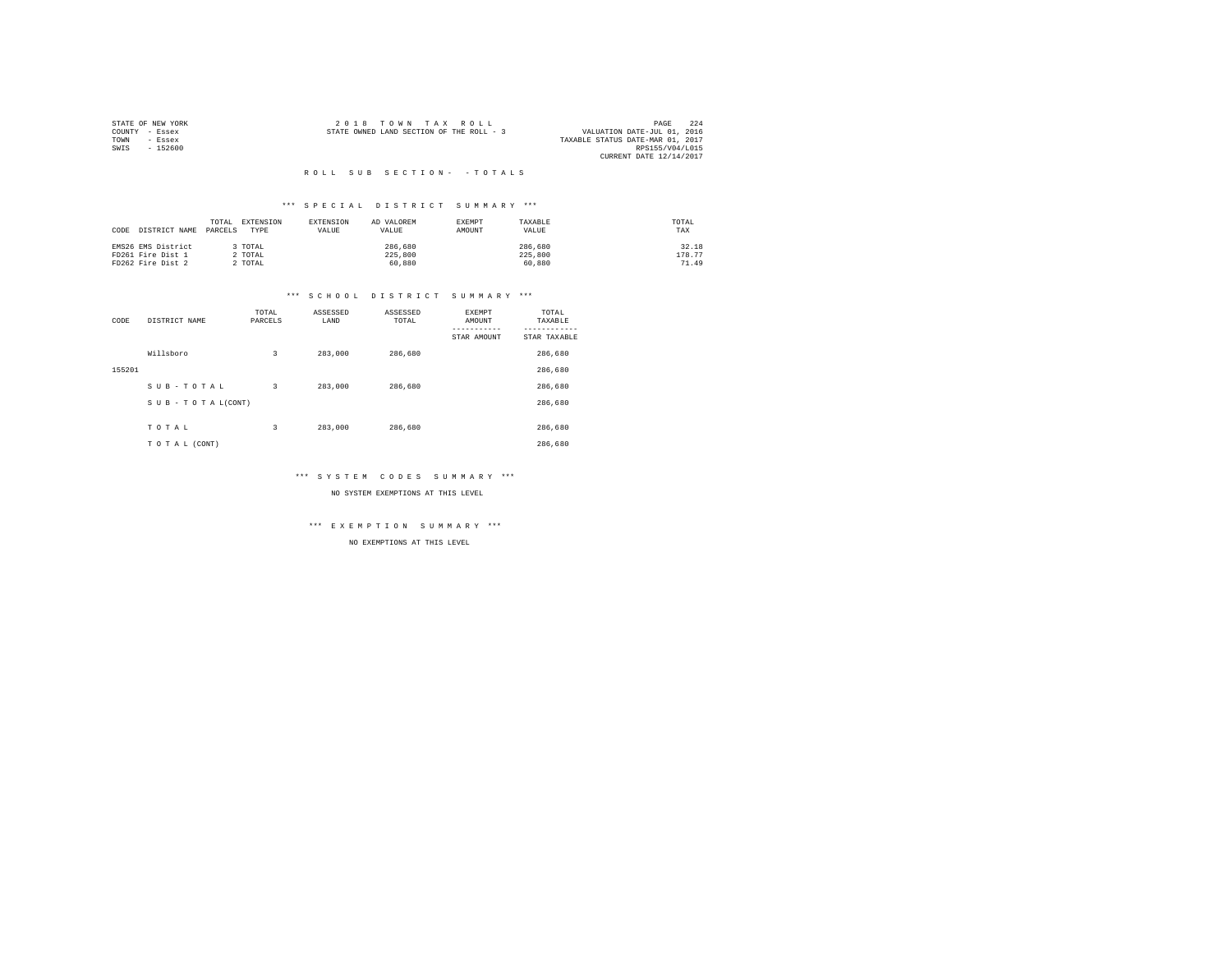|                | STATE OF NEW YORK |                                          |  | 2018 TOWN TAX ROLL | 224<br>PAGE                      |
|----------------|-------------------|------------------------------------------|--|--------------------|----------------------------------|
| COUNTY - Essex |                   | STATE OWNED LAND SECTION OF THE ROLL - 3 |  |                    | VALUATION DATE-JUL 01, 2016      |
| TOWN           | - Essex           |                                          |  |                    | TAXABLE STATUS DATE-MAR 01, 2017 |
| SWIS           | - 152600          |                                          |  |                    | RPS155/V04/L015                  |
|                |                   |                                          |  |                    | CURRENT DATE 12/14/2017          |

#### \*\*\* S P E C I A L D I S T R I C T S U M M A R Y \*\*\*

| CODE DISTRICT NAME | TOTAL<br>PARCELS | EXTENSION<br>TYPE | EXTENSION<br>VALUE | AD VALOREM<br>VALUE | EXEMPT<br>AMOUNT | TAXABLE<br>VALUE | TOTAL<br>TAX |  |
|--------------------|------------------|-------------------|--------------------|---------------------|------------------|------------------|--------------|--|
| EMS26 EMS District |                  | TOTAL             |                    | 286,680             |                  | 286,680          | 32.18        |  |
| FD261 Fire Dist 1  | 2 TOTAL          |                   |                    | 225,800             |                  | 225,800          | 178.77       |  |
| FD262 Fire Dist 2  | 2 TOTAL          |                   |                    | 60,880              |                  | 60,880           | 71.49        |  |

#### \*\*\* S C H O O L D I S T R I C T S U M M A R Y \*\*\*

| CODE   | DISTRICT NAME      | TOTAL<br>PARCELS | ASSESSED<br>LAND | ASSESSED<br>TOTAL | <b>EXEMPT</b><br>AMOUNT<br>STAR AMOUNT | TOTAL<br>TAXABLE<br>---------<br>STAR TAXABLE |
|--------|--------------------|------------------|------------------|-------------------|----------------------------------------|-----------------------------------------------|
|        | Willsboro          | 3                | 283,000          | 286.680           |                                        | 286,680                                       |
| 155201 |                    |                  |                  |                   |                                        | 286,680                                       |
|        | SUB-TOTAL          | 3                | 283,000          | 286.680           |                                        | 286,680                                       |
|        | SUB - TO TAL(CONT) |                  |                  |                   |                                        | 286,680                                       |
|        | TOTAL              | 3                | 283,000          | 286.680           |                                        | 286,680                                       |
|        |                    |                  |                  |                   |                                        |                                               |
|        | TO TAL (CONT)      |                  |                  |                   |                                        | 286,680                                       |

\*\*\* S Y S T E M C O D E S S U M M A R Y \*\*\*

NO SYSTEM EXEMPTIONS AT THIS LEVEL

\*\*\* E X E M P T I O N S U M M A R Y \*\*\*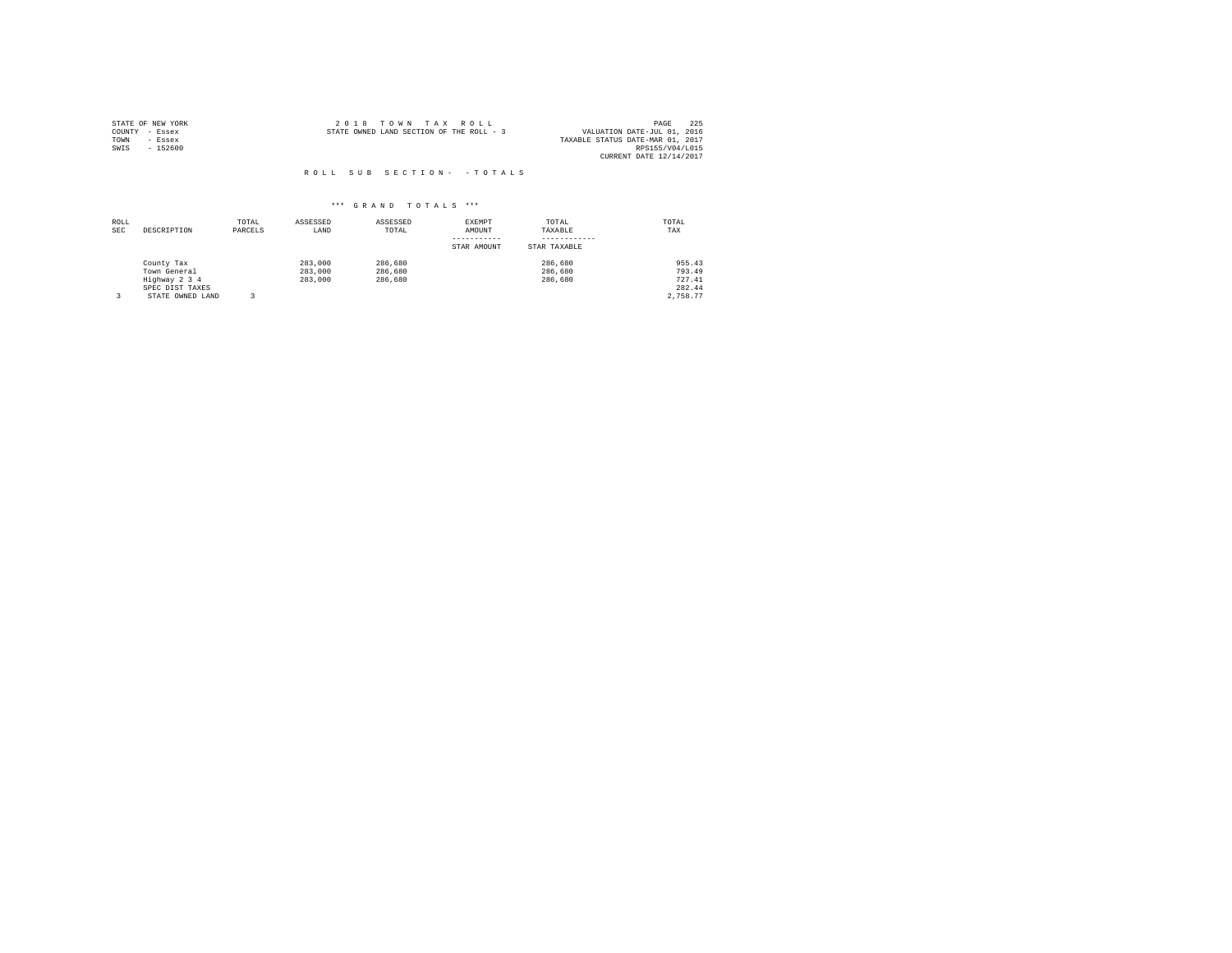| STATE OF NEW YORK | 2018 TOWN TAX ROLL                       | 225<br>PAGE                      |
|-------------------|------------------------------------------|----------------------------------|
| COUNTY - Essex    | STATE OWNED LAND SECTION OF THE ROLL - 3 | VALUATION DATE-JUL 01, 2016      |
| TOWN<br>- Essex   |                                          | TAXABLE STATUS DATE-MAR 01, 2017 |
| $-152600$<br>SWIS |                                          | RPS155/V04/L015                  |
|                   |                                          | CURRENT DATE 12/14/2017          |

| ROLL<br><b>SEC</b> | DESCRIPTION      | TOTAL<br>PARCELS | ASSESSED<br>LAND | ASSESSED<br>TOTAL | EXEMPT<br>AMOUNT<br>STAR AMOUNT | TOTAL<br>TAXABLE<br>STAR TAXABLE | TOTAL<br>TAX |
|--------------------|------------------|------------------|------------------|-------------------|---------------------------------|----------------------------------|--------------|
|                    |                  |                  |                  |                   |                                 |                                  |              |
|                    | County Tax       |                  | 283,000          | 286,680           |                                 | 286,680                          | 955.43       |
|                    | Town General     |                  | 283,000          | 286,680           |                                 | 286,680                          | 793.49       |
|                    | Highway 2 3 4    |                  | 283,000          | 286,680           |                                 | 286,680                          | 727.41       |
|                    | SPEC DIST TAXES  |                  |                  |                   |                                 |                                  | 282.44       |
|                    | STATE OWNED LAND |                  |                  |                   |                                 |                                  | 2.758.77     |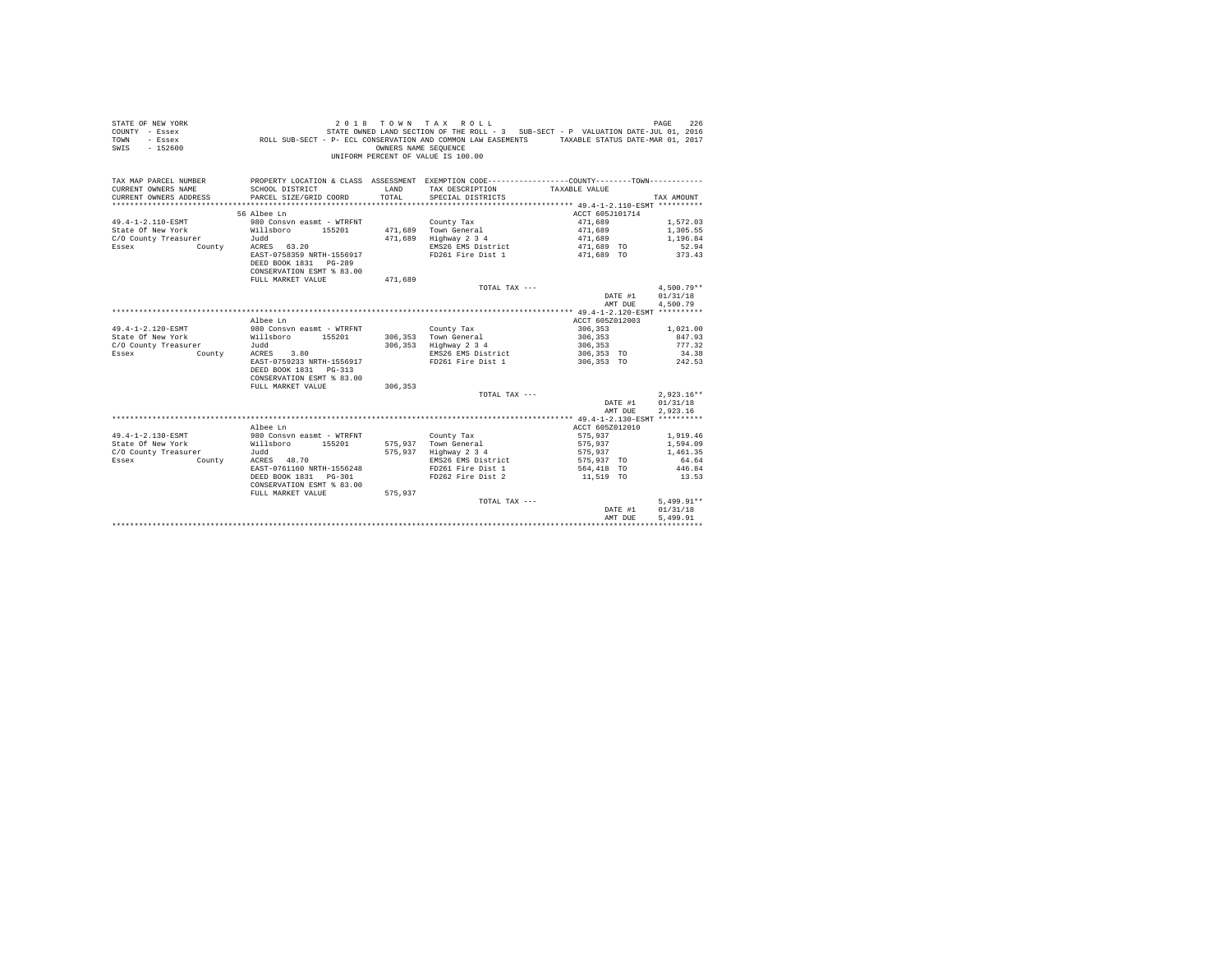| STATE OF NEW YORK<br>COUNTY - Essex<br>TOWN<br>- Essex<br>$-152600$<br>SWIS | 2 0 1 8<br>206 PAGE 216 PO W NTA X ROLL<br>STATE ROLL STATE ROLL - 3 SUB-SECT - P VALUATION DATE-JUL 01, 2016<br>ROLL SUB-SECT - P- ECL CONSERVATION AND COMMON LAW EASEMENTS TAXABLE STATUS DATE-MAR 01, 2017 | OWNERS NAME SEQUENCE | TOWN TAX ROLL<br>UNIFORM PERCENT OF VALUE IS 100.00 |                         | 226<br>PAGE     |
|-----------------------------------------------------------------------------|----------------------------------------------------------------------------------------------------------------------------------------------------------------------------------------------------------------|----------------------|-----------------------------------------------------|-------------------------|-----------------|
| TAX MAP PARCEL NUMBER                                                       | PROPERTY LOCATION & CLASS ASSESSMENT EXEMPTION CODE----------------COUNTY-------TOWN---------                                                                                                                  |                      |                                                     |                         |                 |
| CURRENT OWNERS NAME                                                         | SCHOOL DISTRICT                                                                                                                                                                                                | LAND                 | TAX DESCRIPTION                                     | TAXABLE VALUE           |                 |
| CURRENT OWNERS ADDRESS                                                      | PARCEL SIZE/GRID COORD                                                                                                                                                                                         | TOTAL                | SPECIAL DISTRICTS                                   |                         | TAX AMOUNT      |
|                                                                             |                                                                                                                                                                                                                |                      |                                                     |                         |                 |
|                                                                             | 56 Albee Ln                                                                                                                                                                                                    |                      |                                                     | ACCT 605J101714         |                 |
| 49.4-1-2.110-ESMT                                                           | 980 Consvn easmt - WTRFNT                                                                                                                                                                                      |                      | County Tax                                          | 471,689                 | 1,572.03        |
| State Of New York                                                           | Willsboro 155201                                                                                                                                                                                               |                      | 471.689 Town General                                | 471,689                 | 1,305.55        |
| C/O County Treasurer                                                        | Judd                                                                                                                                                                                                           |                      | 471,689 Highway 2 3 4                               | 471,689                 | 1,196.84        |
| Essex<br>County                                                             | ACRES 63.20                                                                                                                                                                                                    |                      | EMS26 EMS District                                  | 471,689 TO              | 52.94           |
|                                                                             | EAST-0758359 NRTH-1556917<br>DEED BOOK 1831    PG-289                                                                                                                                                          |                      | FD261 Fire Dist 1                                   | 471,689 TO              | 373.43          |
|                                                                             | CONSERVATION ESMT % 83.00                                                                                                                                                                                      |                      |                                                     |                         |                 |
|                                                                             | FULL MARKET VALUE                                                                                                                                                                                              | 471,689              |                                                     |                         |                 |
|                                                                             |                                                                                                                                                                                                                |                      | TOTAL TAX ---                                       |                         | $4.500.79**$    |
|                                                                             |                                                                                                                                                                                                                |                      |                                                     | DATE #1                 | 01/31/18        |
|                                                                             |                                                                                                                                                                                                                |                      |                                                     | AMT DUE                 | 4.500.79        |
|                                                                             |                                                                                                                                                                                                                |                      |                                                     |                         |                 |
|                                                                             | Albee Ln                                                                                                                                                                                                       |                      |                                                     | ACCT 605Z012003         |                 |
| 49.4-1-2.120-ESMT                                                           | 980 Consyn easmt - WTRFNT                                                                                                                                                                                      |                      | County Tax                                          | 306,353                 | 1,021.00        |
| State Of New York                                                           | Willsboro 155201                                                                                                                                                                                               |                      | 306.353 Town General                                | 306,353                 | 847.93          |
| C/O County Treasurer                                                        | Judd                                                                                                                                                                                                           |                      | 306,353 Highway 2 3 4                               | 306,353                 | 777.32          |
| Essex<br>County                                                             | ACRES 3.80                                                                                                                                                                                                     |                      | EMS26 EMS District                                  | 306,353 TO              | 34.38           |
|                                                                             | EAST-0759233 NRTH-1556917<br>DEED BOOK 1831   PG-313                                                                                                                                                           |                      | FD261 Fire Dist 1                                   | 306,353 TO              | 242.53          |
|                                                                             | CONSERVATION ESMT % 83.00                                                                                                                                                                                      |                      |                                                     |                         |                 |
|                                                                             | FULL MARKET VALUE                                                                                                                                                                                              | 306,353              |                                                     |                         |                 |
|                                                                             |                                                                                                                                                                                                                |                      | TOTAL TAX ---                                       |                         | $2,923.16**$    |
|                                                                             |                                                                                                                                                                                                                |                      |                                                     | DATE #1                 | 01/31/18        |
|                                                                             |                                                                                                                                                                                                                |                      |                                                     | AMT DUE                 | 2,923.16        |
|                                                                             |                                                                                                                                                                                                                |                      |                                                     |                         |                 |
|                                                                             | Albee Ln                                                                                                                                                                                                       |                      |                                                     | ACCT 605Z012010         |                 |
| 49.4-1-2.130-ESMT                                                           | 980 Consvn easmt - WTRFNT                                                                                                                                                                                      |                      | County Tax                                          | 575,937                 | 1,919.46        |
| State Of New York                                                           | Willsboro<br>155201                                                                                                                                                                                            |                      | 575,937 Town General                                | 575,937                 | 1,594.09        |
| C/O County Treasurer                                                        | Judd                                                                                                                                                                                                           |                      | 575,937 Highway 2 3 4                               | 575,937                 | 1,461.35        |
| Essex<br>County                                                             | ACRES 48.70                                                                                                                                                                                                    |                      | EMS26 EMS District                                  | 575,937 TO              | 64.64           |
|                                                                             | EAST-0761160 NRTH-1556248<br>DEED BOOK 1831 PG-301                                                                                                                                                             |                      | FD261 Fire Dist 1<br>FD262 Fire Dist 2              | 564,418 TO<br>11,519 TO | 446.84<br>13.53 |
|                                                                             | CONSERVATION ESMT % 83.00                                                                                                                                                                                      |                      |                                                     |                         |                 |
|                                                                             | FULL MARKET VALUE                                                                                                                                                                                              | 575,937              |                                                     |                         |                 |
|                                                                             |                                                                                                                                                                                                                |                      | TOTAL TAX ---                                       |                         | $5.499.91**$    |
|                                                                             |                                                                                                                                                                                                                |                      |                                                     | DATE #1                 | 01/31/18        |
|                                                                             |                                                                                                                                                                                                                |                      |                                                     | AMT DUE                 | 5,499.91        |
|                                                                             |                                                                                                                                                                                                                |                      |                                                     |                         |                 |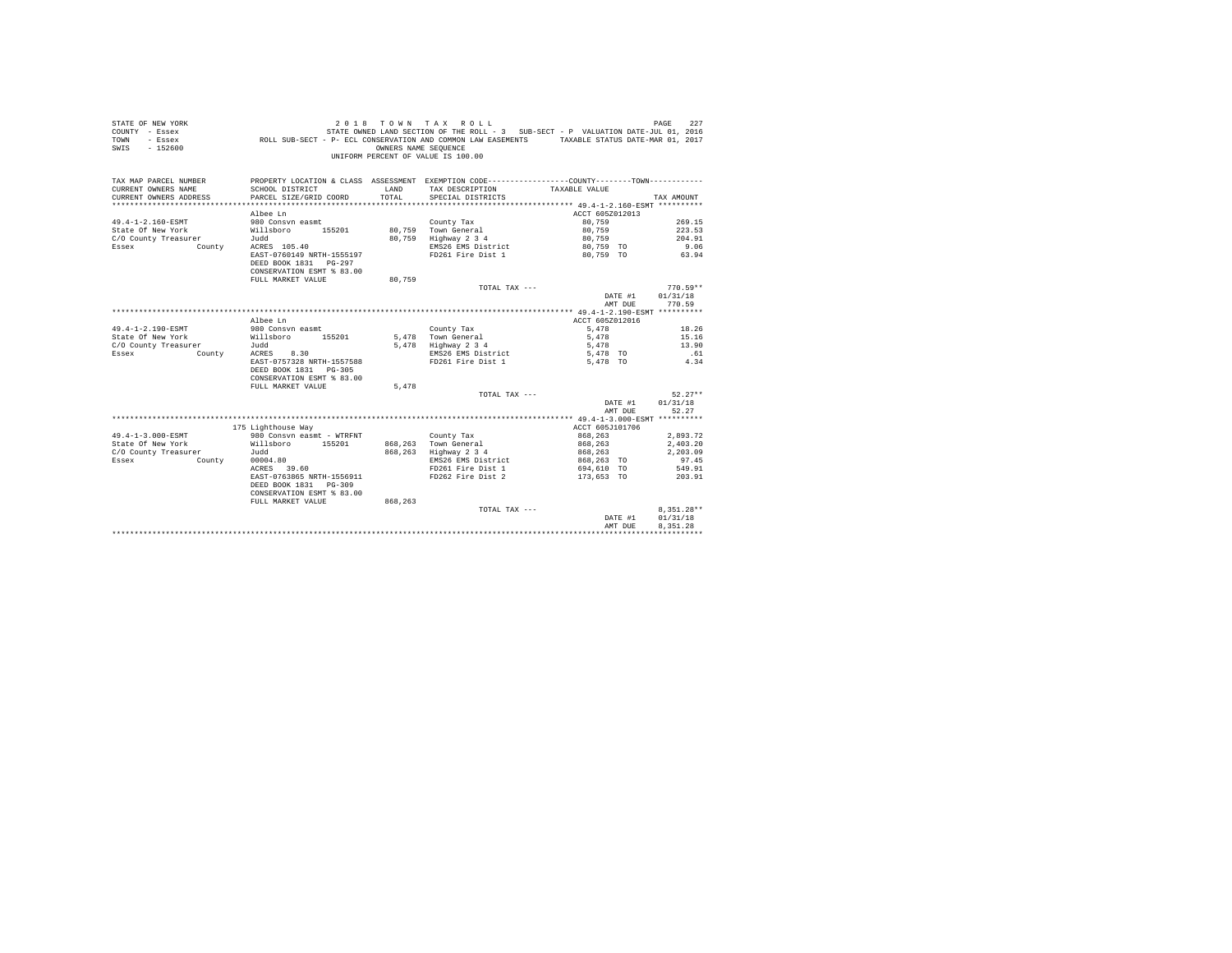| STATE OF NEW YORK<br>COUNTY - Essex<br>TOWN<br>- Essex<br>$-152600$<br>SWIS |                                                                                 | OWNERS NAME SEQUENCE | PAGE 227 2 0 1 8 TO WINT A X ROLL 2<br>STATE OWNED LAND SECTION OF THE ROLL - 3 SUB-SECT - P VALUATION DATE-JUL 01, 2016<br>ROLL SUB-SECT - P- ECL CONSERVATION AND COMMON LAW EASEMENTS TAXABLE STATUS DATE-MAR 01, 2017<br>UNIFORM PERCENT OF VALUE IS 100.00 |                          |            |
|-----------------------------------------------------------------------------|---------------------------------------------------------------------------------|----------------------|-----------------------------------------------------------------------------------------------------------------------------------------------------------------------------------------------------------------------------------------------------------------|--------------------------|------------|
| TAX MAP PARCEL NUMBER                                                       |                                                                                 |                      | PROPERTY LOCATION & CLASS ASSESSMENT EXEMPTION CODE---------------COUNTY-------TOWN---------                                                                                                                                                                    |                          |            |
| CURRENT OWNERS NAME                                                         | SCHOOL DISTRICT                                                                 | LAND                 | TAX DESCRIPTION                                                                                                                                                                                                                                                 | TAXABLE VALUE            |            |
| CURRENT OWNERS ADDRESS                                                      | PARCEL SIZE/GRID COORD                                                          | TOTAL                | SPECIAL DISTRICTS                                                                                                                                                                                                                                               |                          | TAX AMOUNT |
|                                                                             |                                                                                 |                      |                                                                                                                                                                                                                                                                 |                          |            |
|                                                                             | Albee Ln                                                                        |                      |                                                                                                                                                                                                                                                                 | ACCT 605Z012013          |            |
| 49.4-1-2.160-ESMT                                                           | 980 Consvn easmt                                                                |                      | County Tax                                                                                                                                                                                                                                                      | 80,759                   | 269.15     |
| State Of New York                                                           | Willsboro 155201                                                                |                      | 80.759 Town General                                                                                                                                                                                                                                             | 80,759                   | 223.53     |
| C/O County Treasurer                                                        | Judd                                                                            |                      | 80,759 Highway 2 3 4                                                                                                                                                                                                                                            | 80,759                   | 204.91     |
| Essex<br>County                                                             | ACRES 105.40                                                                    |                      | EMS26 EMS District                                                                                                                                                                                                                                              | 80,759 TO                | 9.06       |
|                                                                             | EAST-0760149 NRTH-1555197<br>DEED BOOK 1831 PG-297<br>CONSERVATION ESMT % 83.00 |                      | FD261 Fire Dist 1                                                                                                                                                                                                                                               | 80.759 TO                | 63.94      |
|                                                                             | FULL MARKET VALUE                                                               | 80.759               |                                                                                                                                                                                                                                                                 |                          |            |
|                                                                             |                                                                                 |                      | TOTAL TAX $---$                                                                                                                                                                                                                                                 |                          | $770.59**$ |
|                                                                             |                                                                                 |                      |                                                                                                                                                                                                                                                                 | DATE #1                  | 01/31/18   |
|                                                                             |                                                                                 |                      |                                                                                                                                                                                                                                                                 | AMT DUE                  | 770.59     |
|                                                                             |                                                                                 |                      |                                                                                                                                                                                                                                                                 |                          |            |
| 49.4-1-2.190-ESMT                                                           | Albee Ln<br>980 Consyn easmt                                                    |                      |                                                                                                                                                                                                                                                                 | ACCT 605Z012016<br>5.478 | 18.26      |
| State Of New York                                                           | Willsboro 155201                                                                |                      | County Tax<br>5,478 Town General                                                                                                                                                                                                                                | 5,478                    | 15.16      |
| C/O County Treasurer                                                        | Judd                                                                            |                      | 5,478 Highway 2 3 4                                                                                                                                                                                                                                             | 5,478                    | 13.90      |
| Essex<br>County                                                             | ACRES 8.30                                                                      |                      | EMS26 EMS District                                                                                                                                                                                                                                              | 5,478 TO                 | .61        |
|                                                                             | EAST-0757328 NRTH-1557588                                                       |                      | FD261 Fire Dist 1                                                                                                                                                                                                                                               | 5,478 TO                 | 4.34       |
|                                                                             | DEED BOOK 1831    PG-305                                                        |                      |                                                                                                                                                                                                                                                                 |                          |            |
|                                                                             | CONSERVATION ESMT % 83.00                                                       |                      |                                                                                                                                                                                                                                                                 |                          |            |
|                                                                             | FULL MARKET VALUE                                                               | 5,478                |                                                                                                                                                                                                                                                                 |                          |            |
|                                                                             |                                                                                 |                      | TOTAL TAX ---                                                                                                                                                                                                                                                   |                          | $52.27**$  |
|                                                                             |                                                                                 |                      |                                                                                                                                                                                                                                                                 | DATE #1                  | 01/31/18   |
|                                                                             |                                                                                 |                      |                                                                                                                                                                                                                                                                 | AMT DUE                  | 52.27      |
|                                                                             |                                                                                 |                      |                                                                                                                                                                                                                                                                 |                          |            |
|                                                                             | 175 Lighthouse Way                                                              |                      |                                                                                                                                                                                                                                                                 | ACCT 605J101706          |            |
| 49.4-1-3.000-ESMT                                                           | 980 Consyn easmt - WTRFNT                                                       |                      | County Tax                                                                                                                                                                                                                                                      | 868,263                  | 2,893.72   |
| State Of New York                                                           | Willsboro 155201                                                                |                      | 868.263 Town General                                                                                                                                                                                                                                            | 868,263                  | 2.403.20   |
| C/O County Treasurer                                                        | Judd                                                                            |                      | 868,263 Highway 2 3 4                                                                                                                                                                                                                                           | 868,263                  | 2.203.09   |
| Essex<br><b>County</b>                                                      | 00004.80                                                                        |                      | EMS26 EMS District                                                                                                                                                                                                                                              | 868,263 TO               | 97.45      |
|                                                                             | ACRES 39.60                                                                     |                      | FD261 Fire Dist 1                                                                                                                                                                                                                                               | 694,610 TO               | 549.91     |
|                                                                             | EAST-0763865 NRTH-1556911<br>DEED BOOK 1831 PG-309<br>CONSERVATION ESMT % 83.00 |                      | FD262 Fire Dist 2                                                                                                                                                                                                                                               | 173,653 TO               | 203.91     |
|                                                                             | FULL MARKET VALUE                                                               | 868.263              |                                                                                                                                                                                                                                                                 |                          |            |
|                                                                             |                                                                                 |                      | TOTAL TAX ---                                                                                                                                                                                                                                                   |                          | 8,351.28** |
|                                                                             |                                                                                 |                      |                                                                                                                                                                                                                                                                 | DATE #1                  | 01/31/18   |
|                                                                             |                                                                                 |                      |                                                                                                                                                                                                                                                                 | AMT DUE                  | 8.351.28   |
|                                                                             |                                                                                 |                      |                                                                                                                                                                                                                                                                 |                          |            |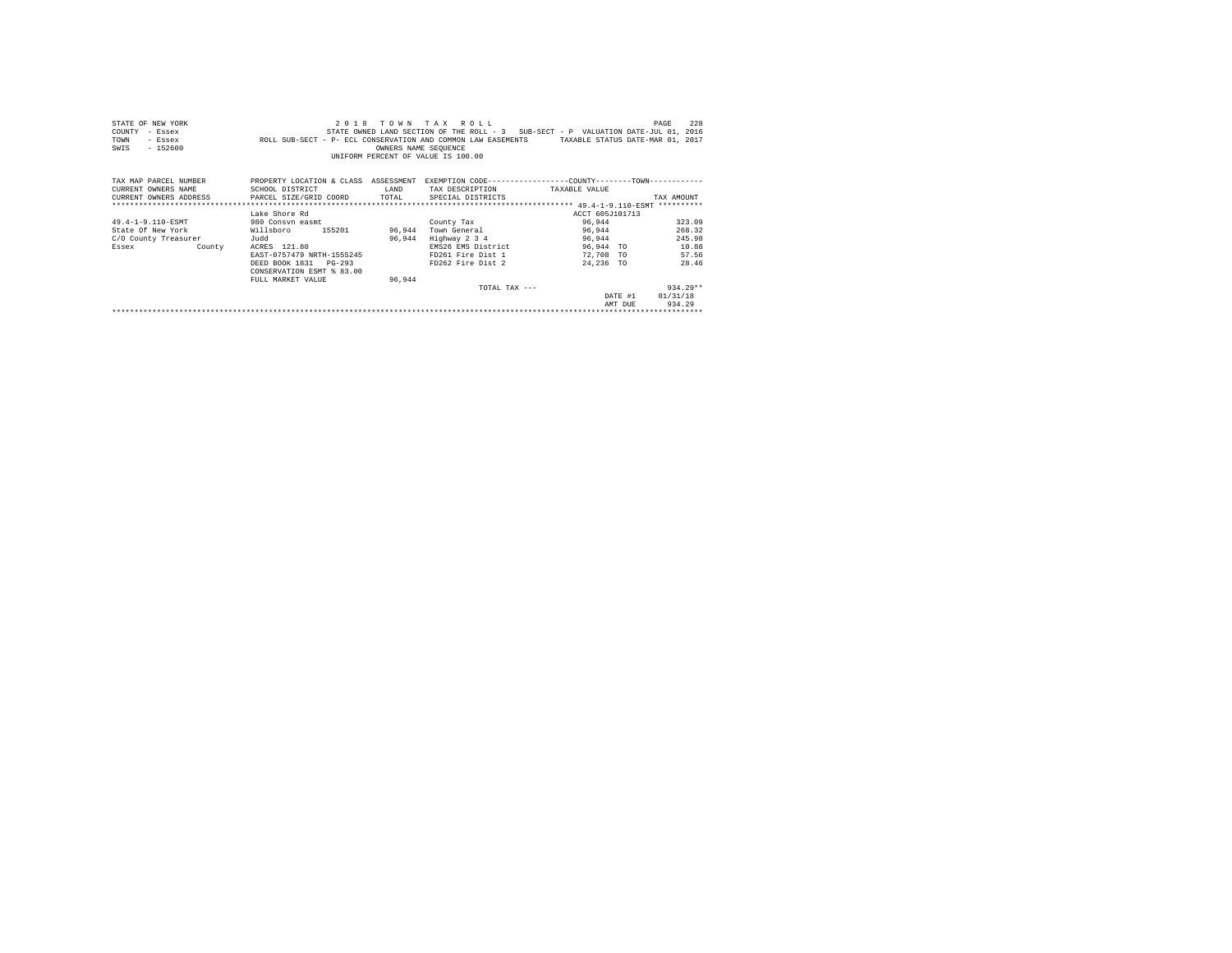| STATE OF NEW YORK                             | 2 0 1 8                                                                                          |                      | TOWN TAX ROLL                                                                     |                 | 228<br>PAGE |
|-----------------------------------------------|--------------------------------------------------------------------------------------------------|----------------------|-----------------------------------------------------------------------------------|-----------------|-------------|
| COUNTY<br>- Essex                             |                                                                                                  |                      | STATE OWNED LAND SECTION OF THE ROLL - 3 SUB-SECT - P VALUATION DATE-JUL 01, 2016 |                 |             |
| TOWN<br>- Essex                               | ROLL SUB-SECT - P- ECL CONSERVATION AND COMMON LAW EASEMENTS TAXABLE STATUS DATE-MAR 01, 2017    |                      |                                                                                   |                 |             |
| $-152600$<br>SWIS                             |                                                                                                  | OWNERS NAME SEOUENCE |                                                                                   |                 |             |
|                                               |                                                                                                  |                      | UNIFORM PERCENT OF VALUE IS 100.00                                                |                 |             |
|                                               |                                                                                                  |                      |                                                                                   |                 |             |
|                                               |                                                                                                  |                      |                                                                                   |                 |             |
| TAX MAP PARCEL NUMBER                         | PROPERTY LOCATION & CLASS ASSESSMENT EXEMPTION CODE-----------------COUNTY-------TOWN----------- |                      |                                                                                   |                 |             |
| CURRENT OWNERS NAME                           | SCHOOL DISTRICT                                                                                  | LAND                 | TAX DESCRIPTION TAXABLE VALUE                                                     |                 |             |
| CURRENT OWNERS ADDRESS PARCEL SIZE/GRID COORD |                                                                                                  | TOTAL                | SPECIAL DISTRICTS                                                                 |                 | TAX AMOUNT  |
|                                               |                                                                                                  |                      |                                                                                   |                 |             |
|                                               | Lake Shore Rd                                                                                    |                      |                                                                                   | ACCT 605J101713 |             |
| 49.4-1-9.110-ESMT                             | 980 Consyn easmt                                                                                 |                      | County Tax                                                                        | 96.944          | 323.09      |
| State Of New York                             | Willsboro<br>155201                                                                              | 96.944               | Town General                                                                      | 96,944          | 268.32      |
| C/O County Treasurer                          | Judd                                                                                             | 96.944               | Highway 2 3 4                                                                     | 96,944          | 245.98      |
| Essex County                                  | ACRES 121.80                                                                                     |                      | EMS26 EMS District                                                                | 96.944 TO       | 10.88       |
|                                               | EAST-0757479 NRTH-1555245                                                                        |                      | FD261 Fire Dist 1                                                                 | 72,708 TO       | 57.56       |
|                                               | DEED BOOK 1831    PG-293                                                                         |                      | FD262 Fire Dist 2                                                                 | 24,236 TO       | 28.46       |
|                                               | CONSERVATION ESMT % 83.00                                                                        |                      |                                                                                   |                 |             |
|                                               | FULL MARKET VALUE                                                                                | 96.944               |                                                                                   |                 |             |
|                                               |                                                                                                  |                      | TOTAL TAX $---$                                                                   |                 | $934.29**$  |
|                                               |                                                                                                  |                      |                                                                                   | DATE #1         | 01/31/18    |
|                                               |                                                                                                  |                      |                                                                                   | AMT DHE         | 934.29      |
|                                               |                                                                                                  |                      |                                                                                   |                 |             |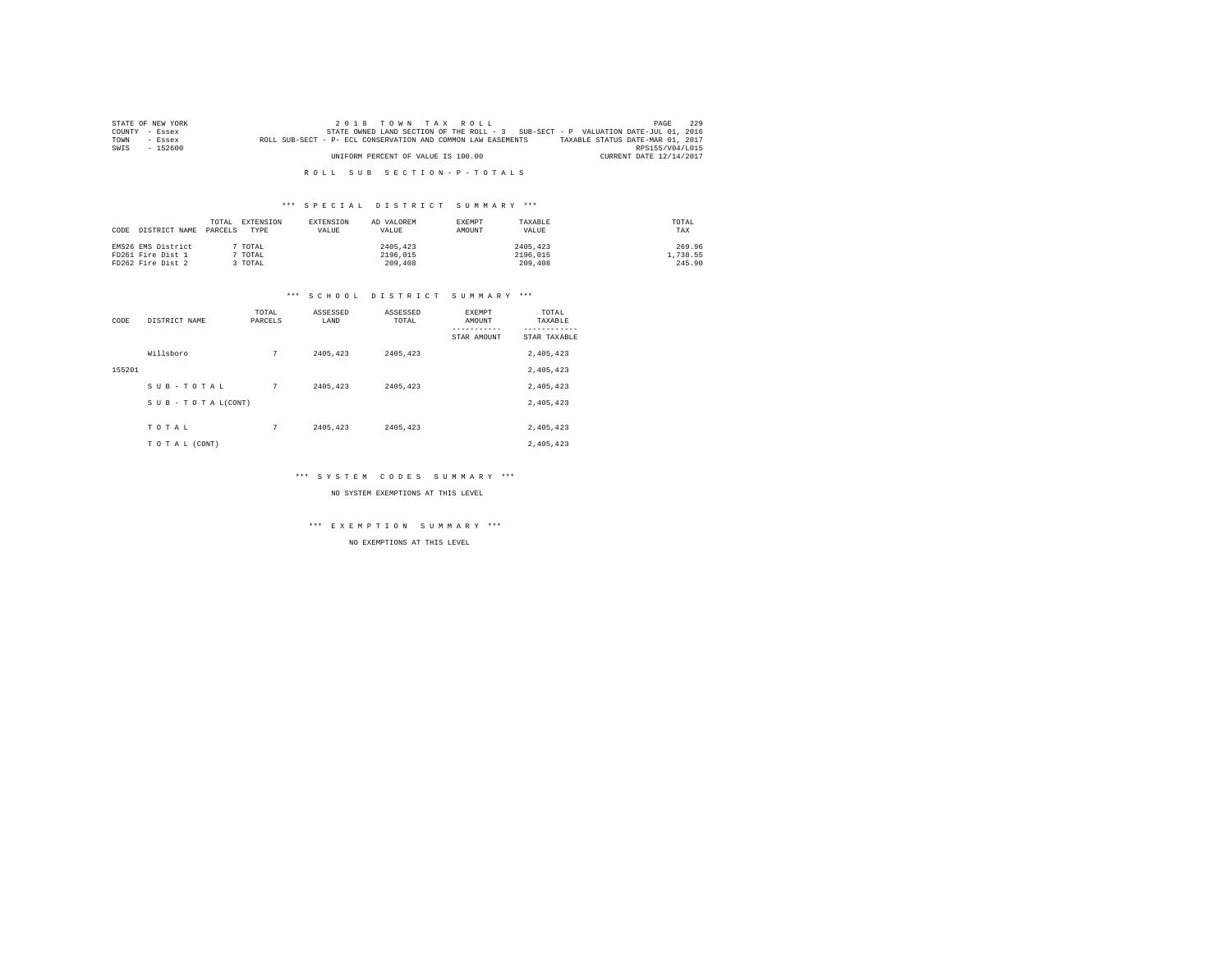|      | STATE OF NEW YORK | 2018 TOWN TAX ROLL                                                                               | PAGE            | 229 |
|------|-------------------|--------------------------------------------------------------------------------------------------|-----------------|-----|
|      | COUNTY - Essex    | STATE OWNED LAND SECTION OF THE ROLL - 3 SUB-SECT - P VALUATION DATE-JUL 01, 2016                |                 |     |
| TOWN | $-$ Essex         | TAXABLE STATUS DATE-MAR 01, 2017<br>ROLL SUB-SECT - P- ECL CONSERVATION AND COMMON LAW EASEMENTS |                 |     |
| SWIS | $-152600$         |                                                                                                  | RPS155/V04/L015 |     |
|      |                   | UNIFORM PERCENT OF VALUE IS 100.00<br>CURRENT DATE 12/14/2017                                    |                 |     |

#### \*\*\* S P E C I A L D I S T R I C T S U M M A R Y \*\*\*

| DISTRICT NAME<br>CODE | EXTENSION<br>TOTAL.<br>PARCELS<br>TYPE | EXTENSION<br>VALUE | AD VALOREM<br>VALUE | <b>EXEMPT</b><br>AMOUNT | TAXARLE<br>VALUE | TOTAL<br>TAX |
|-----------------------|----------------------------------------|--------------------|---------------------|-------------------------|------------------|--------------|
| EMS26 EMS District    | TOTAL                                  |                    | 2405.423            |                         | 2405,423         | 269.96       |
| FD261 Fire Dist 1     | TOTAL                                  |                    | 2196.015            |                         | 2196.015         | 1,738.55     |
| FD262 Fire Dist 2     | TOTAL                                  |                    | 209,408             |                         | 209,408          | 245.90       |

#### \*\*\* S C H O O L D I S T R I C T S U M M A R Y \*\*\*

| CODE   | DISTRICT NAME      | TOTAL<br>PARCELS | ASSESSED<br>LAND | ASSESSED<br>TOTAL | <b>EXEMPT</b><br>AMOUNT<br>STAR AMOUNT | TOTAL<br>TAXABLE<br>STAR TAXABLE |
|--------|--------------------|------------------|------------------|-------------------|----------------------------------------|----------------------------------|
|        | Willsboro          | 7                | 2405.423         | 2405.423          |                                        | 2,405,423                        |
| 155201 |                    |                  |                  |                   |                                        | 2,405,423                        |
|        | SUB-TOTAL          | 7                | 2405.423         | 2405.423          |                                        | 2,405,423                        |
|        | SUB - TO TAL(CONT) |                  |                  |                   |                                        | 2,405,423                        |
|        |                    |                  |                  |                   |                                        |                                  |
|        | TOTAL              | 7                | 2405.423         | 2405.423          |                                        | 2,405,423                        |
|        | TO TAL (CONT)      |                  |                  |                   |                                        | 2,405,423                        |

\*\*\* S Y S T E M C O D E S S U M M A R Y \*\*\*

NO SYSTEM EXEMPTIONS AT THIS LEVEL

\*\*\* E X E M P T I O N S U M M A R Y \*\*\*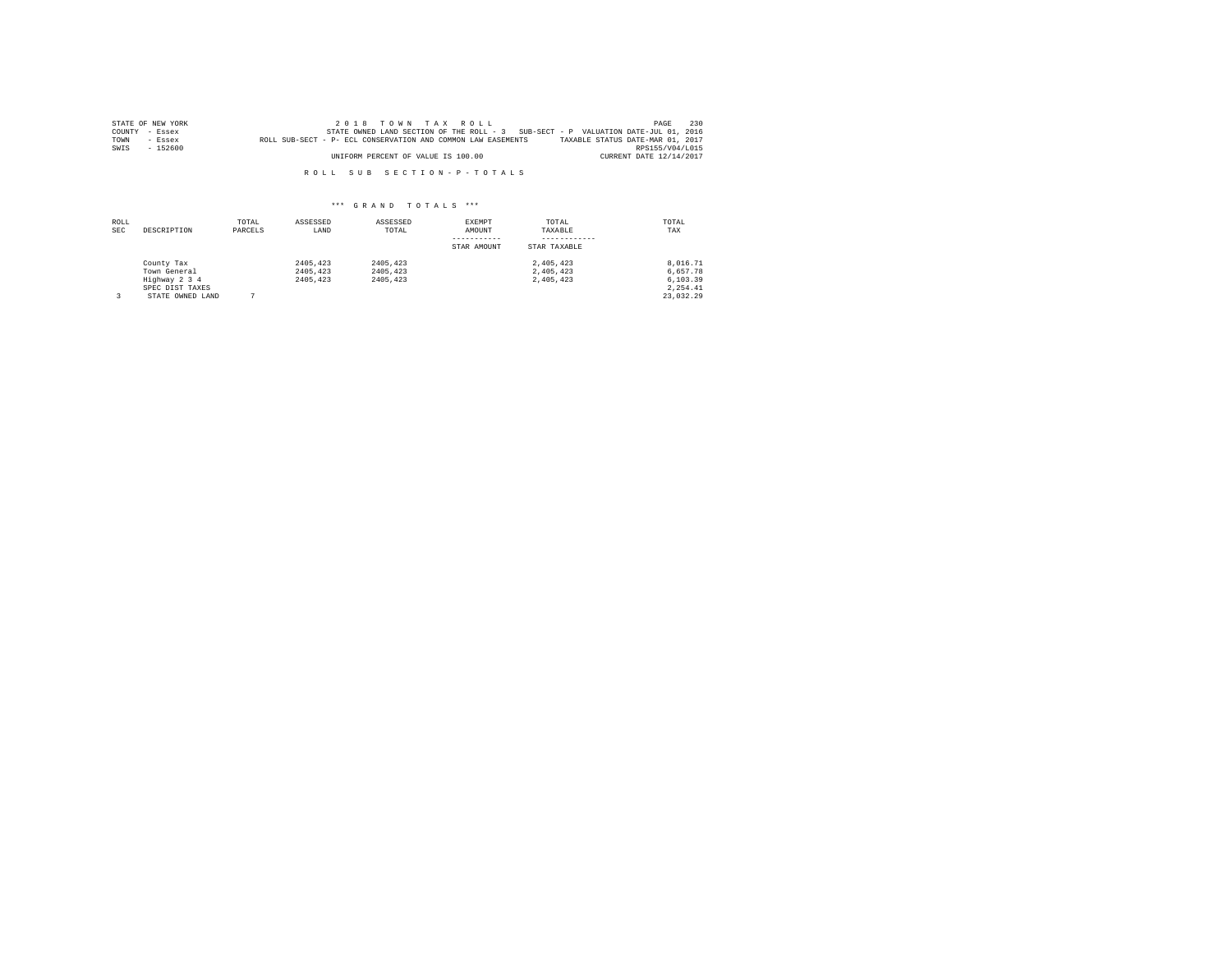|      | STATE OF NEW YORK | 2018 TOWN TAX ROLL                                                                               | PAGE            | 230 |
|------|-------------------|--------------------------------------------------------------------------------------------------|-----------------|-----|
|      | COUNTY - Essex    | STATE OWNED LAND SECTION OF THE ROLL - 3 SUB-SECT - P VALUATION DATE-JUL 01, 2016                |                 |     |
| TOWN | $-$ Essex         | TAXABLE STATUS DATE-MAR 01, 2017<br>ROLL SUB-SECT - P- ECL CONSERVATION AND COMMON LAW EASEMENTS |                 |     |
| SWIS | $-152600$         |                                                                                                  | RPS155/V04/L015 |     |
|      |                   | UNIFORM PERCENT OF VALUE IS 100.00<br>CURRENT DATE 12/14/2017                                    |                 |     |

| ROLL<br><b>SEC</b> | DESCRIPTION                                                                        | TOTAL<br>PARCELS | ASSESSED<br>LAND                 | ASSESSED<br>TOTAL                | <b>EXEMPT</b><br>AMOUNT<br>STAR AMOUNT | TOTAL<br>TAXABLE<br>STAR TAXABLE    | TOTAL<br>TAX                                              |
|--------------------|------------------------------------------------------------------------------------|------------------|----------------------------------|----------------------------------|----------------------------------------|-------------------------------------|-----------------------------------------------------------|
|                    | County Tax<br>Town General<br>Highway 2 3 4<br>SPEC DIST TAXES<br>STATE OWNED LAND |                  | 2405.423<br>2405.423<br>2405,423 | 2405.423<br>2405.423<br>2405.423 |                                        | 2.405.423<br>2.405.423<br>2.405.423 | 8.016.71<br>6.657.78<br>6,103,39<br>2.254.41<br>23,032.29 |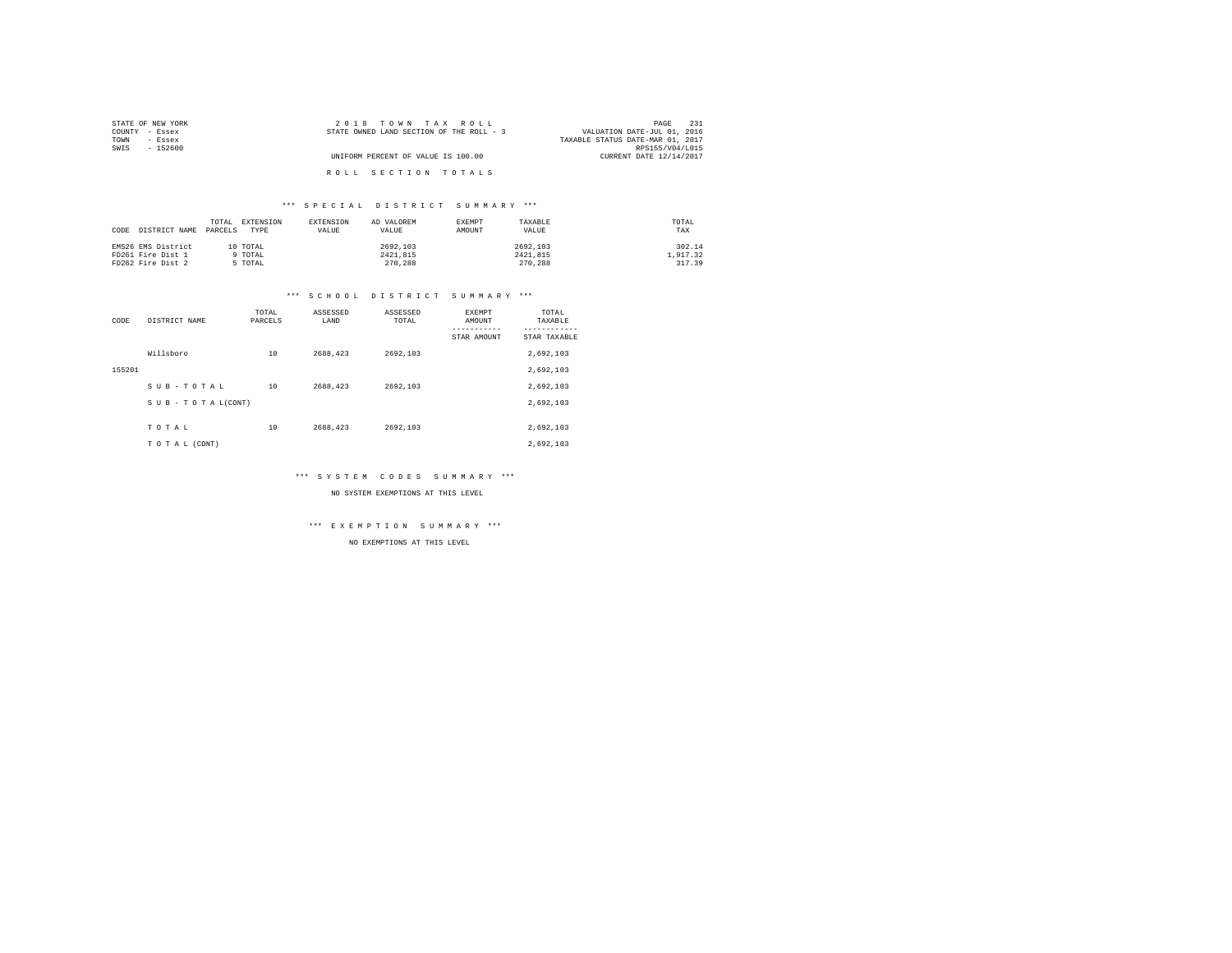| STATE OF NEW YORK | 2018 TOWN TAX ROLL                       | 231<br>PAGE                      |
|-------------------|------------------------------------------|----------------------------------|
| COUNTY - Essex    | STATE OWNED LAND SECTION OF THE ROLL - 3 | VALUATION DATE-JUL 01, 2016      |
| TOWN<br>- Essex   |                                          | TAXABLE STATUS DATE-MAR 01, 2017 |
| SWIS<br>$-152600$ |                                          | RPS155/V04/L015                  |
|                   | UNIFORM PERCENT OF VALUE IS 100.00       | CURRENT DATE 12/14/2017          |
|                   |                                          |                                  |
|                   | ROLL SECTION TOTALS                      |                                  |

#### \*\*\* S P E C I A L D I S T R I C T S U M M A R Y \*\*\*

| CODE | DISTRICT NAME PARCELS | TOTAL | EXTENSION<br>TYPE | EXTENSION<br>VALUE | AD VALOREM<br>VALUE | EXEMPT<br>AMOUNT | TAXABLE<br>VALUE | TOTAL<br>TAX |
|------|-----------------------|-------|-------------------|--------------------|---------------------|------------------|------------------|--------------|
|      | EMS26 EMS District    |       | 10 TOTAL          |                    | 2692,103            |                  | 2692.103         | 302.14       |
|      | FD261 Fire Dist 1     |       | 9 TOTAL           |                    | 2421,815            |                  | 2421.815         | .,917.32     |
|      | FD262 Fire Dist 2     |       | 5 TOTAL           |                    | 270,288             |                  | 270.288          | 317.39       |

#### \*\*\* S C H O O L D I S T R I C T S U M M A R Y \*\*\*

| CODE   | DISTRICT NAME      | TOTAL<br>PARCELS | ASSESSED<br>LAND | ASSESSED<br>TOTAL | <b>EXEMPT</b><br>AMOUNT | TOTAL<br>TAXABLE |
|--------|--------------------|------------------|------------------|-------------------|-------------------------|------------------|
|        |                    |                  |                  |                   | STAR AMOUNT             | STAR TAXABLE     |
|        | Willsboro          | 10               | 2688.423         | 2692.103          |                         | 2,692,103        |
| 155201 |                    |                  |                  |                   |                         | 2,692,103        |
|        | SUB-TOTAL          | 10               | 2688.423         | 2692.103          |                         | 2,692,103        |
|        | SUB - TO TAL(CONT) |                  |                  |                   |                         | 2,692,103        |
|        |                    |                  |                  |                   |                         |                  |
|        | TOTAL              | 10               | 2688.423         | 2692.103          |                         | 2,692,103        |
|        | TO TAL (CONT)      |                  |                  |                   |                         | 2.692.103        |

\*\*\* S Y S T E M C O D E S S U M M A R Y \*\*\*

NO SYSTEM EXEMPTIONS AT THIS LEVEL

\*\*\* E X E M P T I O N S U M M A R Y \*\*\*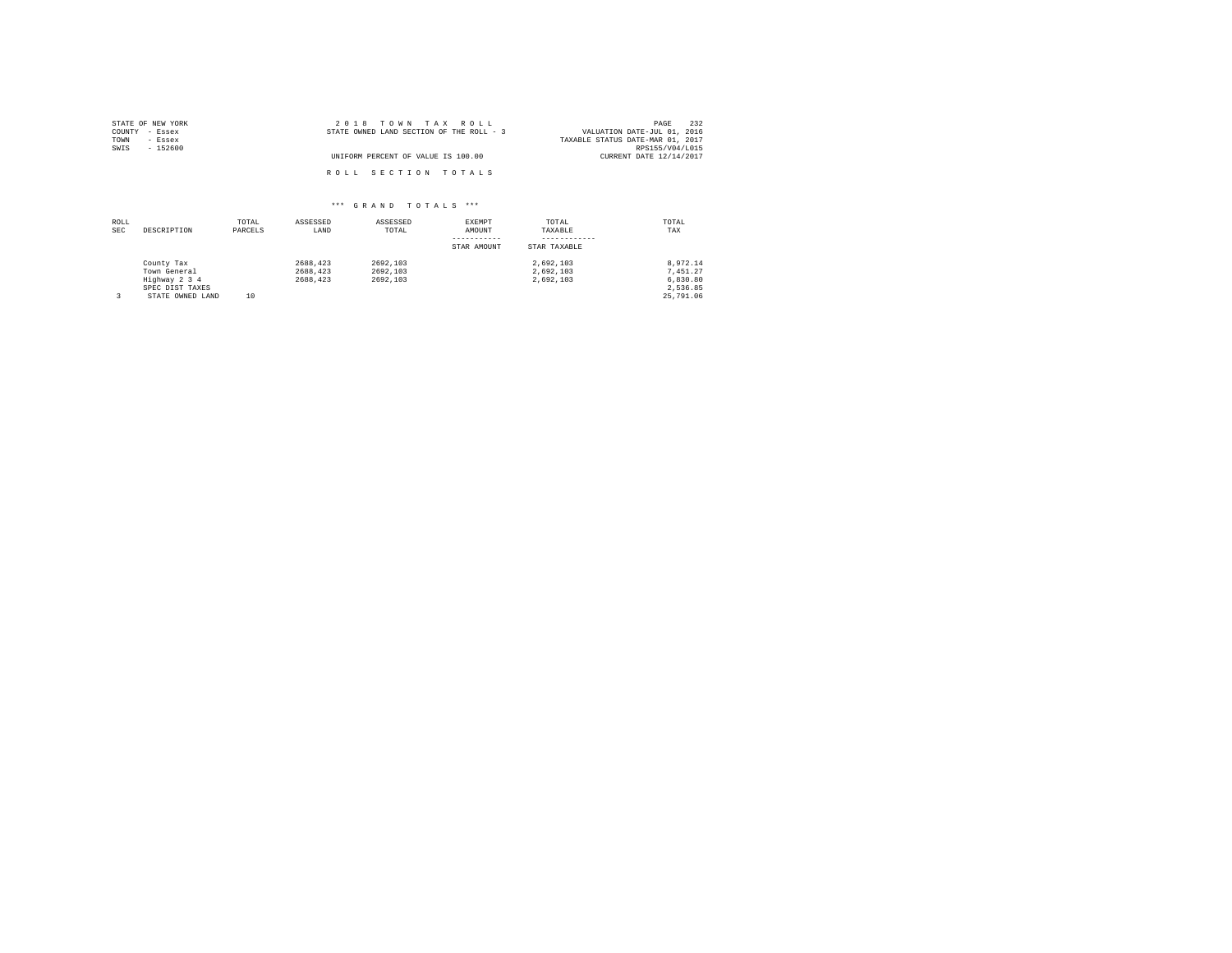| STATE OF NEW YORK | 2018 TOWN TAX ROLL                       | 232<br>PAGE                      |
|-------------------|------------------------------------------|----------------------------------|
| COUNTY<br>- Essex | STATE OWNED LAND SECTION OF THE ROLL - 3 | VALUATION DATE-JUL 01, 2016      |
| TOWN<br>- Essex   |                                          | TAXABLE STATUS DATE-MAR 01, 2017 |
| SWIS<br>$-152600$ |                                          | RPS155/V04/L015                  |
|                   | UNIFORM PERCENT OF VALUE IS 100.00       | CURRENT DATE 12/14/2017          |
|                   | ROLL SECTION TOTALS                      |                                  |

| ROLL<br><b>SEC</b> | DESCRIPTION      | TOTAL<br>PARCELS | ASSESSED<br>LAND | ASSESSED<br>TOTAL | EXEMPT<br>AMOUNT | TOTAL<br>TAXABLE | TOTAL<br>TAX |
|--------------------|------------------|------------------|------------------|-------------------|------------------|------------------|--------------|
|                    |                  |                  |                  |                   | STAR AMOUNT      | STAR TAXABLE     |              |
|                    | County Tax       |                  | 2688.423         | 2692.103          |                  | 2.692.103        | 8.972.14     |
|                    | Town General     |                  | 2688.423         | 2692.103          |                  | 2.692.103        | 7.451.27     |
|                    | Highway 2 3 4    |                  | 2688.423         | 2692.103          |                  | 2.692.103        | 6.830.80     |
|                    | SPEC DIST TAXES  |                  |                  |                   |                  |                  | 2.536.85     |
|                    | STATE OWNED LAND | 10               |                  |                   |                  |                  | 25,791.06    |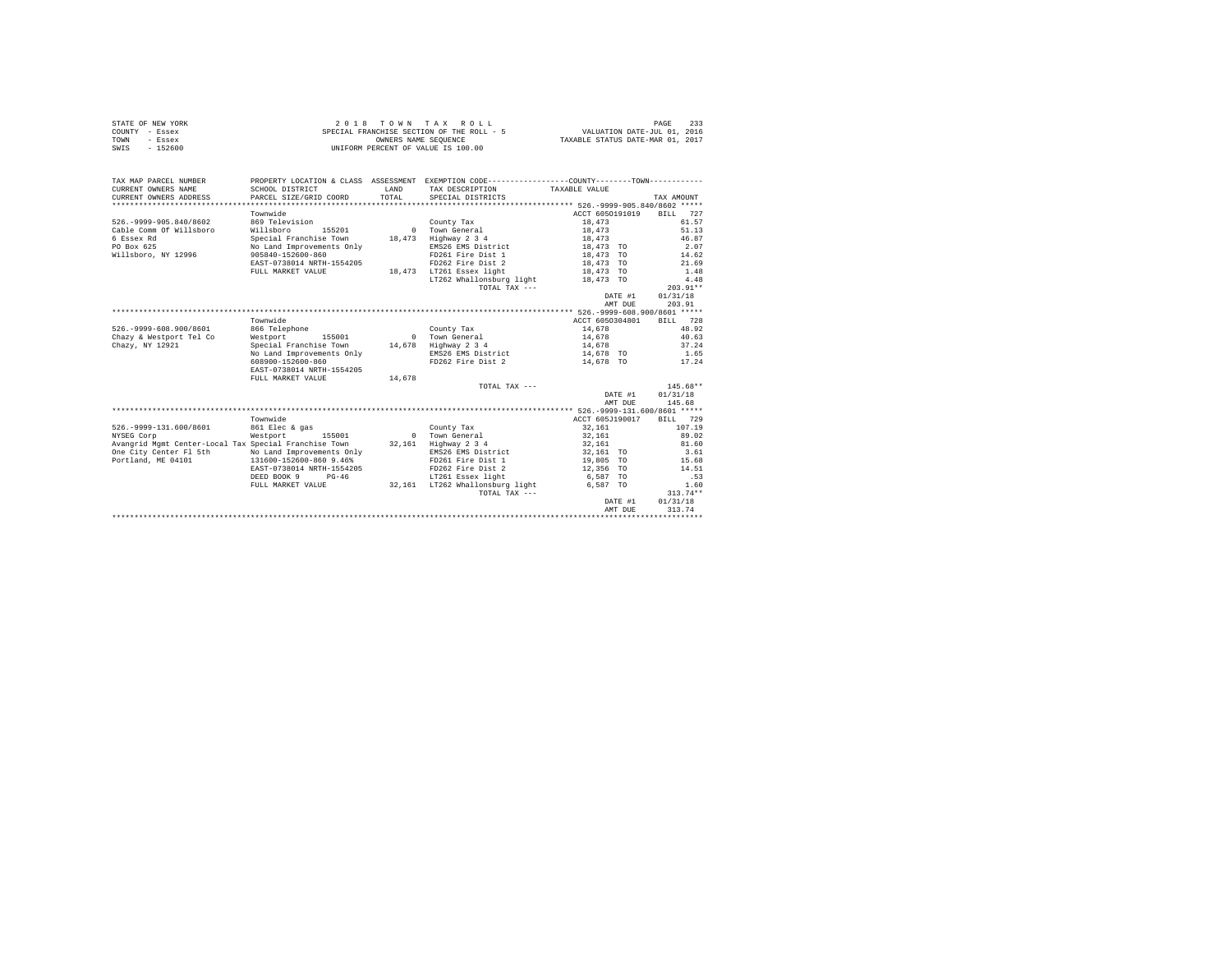|      | STATE OF NEW YORK | 2018 TOWN TAX ROLL                        | 233<br>PAGE                      |
|------|-------------------|-------------------------------------------|----------------------------------|
|      | COUNTY - Essex    | SPECIAL FRANCHISE SECTION OF THE ROLL - 5 | VALUATION DATE-JUL 01, 2016      |
| TOWN | - Essex           | OWNERS NAME SEOUENCE                      | TAXABLE STATUS DATE-MAR 01, 2017 |
| SWIS | - 152600          | UNIFORM PERCENT OF VALUE IS 100.00        |                                  |

| TAX MAP PARCEL NUMBER<br>CURRENT OWNERS NAME                               | PROPERTY LOCATION & CLASS ASSESSMENT EXEMPTION CODE---------------COUNTY-------TOWN----------<br>SCHOOL DISTRICT | LAND   | TAX DESCRIPTION TAXABLE VALUE      |                 |            |
|----------------------------------------------------------------------------|------------------------------------------------------------------------------------------------------------------|--------|------------------------------------|-----------------|------------|
| CURRENT OWNERS ADDRESS                                                     | PARCEL SIZE/GRID COORD                                                                                           | TOTAL  | SPECIAL DISTRICTS                  |                 | TAX AMOUNT |
|                                                                            |                                                                                                                  |        |                                    |                 |            |
|                                                                            | Townwide                                                                                                         |        |                                    | ACCT 6050191019 | BILL 727   |
| 526. - 9999-905.840/8602                                                   | 869 Television                                                                                                   |        | County Tax                         | 18,473          | 61.57      |
| Cable Comm Of Willsboro                                                    | Willsboro<br>155201                                                                                              |        | 0 Town General                     | 18,473          | 51.13      |
| 6 Essex Rd                                                                 | Special Franchise Town                                                                                           |        | 18,473 Highway 2 3 4               | 18,473          | 46.87      |
| PO Box 625                                                                 | No Land Improvements Only                                                                                        |        | EMS26 EMS District                 | 18,473 TO       | 2.07       |
| Willsboro, NY 12996                                                        | 905840-152600-860                                                                                                |        | FD261 Fire Dist 1                  | 18,473 TO       | 14.62      |
|                                                                            | EAST-0738014 NRTH-1554205                                                                                        |        | FD262 Fire Dist 2                  | 18,473 TO       | 21.69      |
|                                                                            | FULL MARKET VALUE                                                                                                |        | 18,473 LT261 Essex light           | 18,473 TO       | 1.48       |
|                                                                            |                                                                                                                  |        | LT262 Whallonsburg light 18,473 TO |                 | 4.48       |
|                                                                            |                                                                                                                  |        | TOTAL TAX ---                      |                 | $203.91**$ |
|                                                                            |                                                                                                                  |        |                                    | DATE #1         | 01/31/18   |
|                                                                            |                                                                                                                  |        |                                    | AMT DUE         | 203.91     |
|                                                                            |                                                                                                                  |        |                                    |                 |            |
|                                                                            | Townwide                                                                                                         |        |                                    | ACCT 6050304801 | BILL 728   |
| 526. - 9999-608. 900/8601                                                  | 866 Telephone                                                                                                    |        | County Tax                         | 14,678          | 48.92      |
| Chazy & Westport Tel Co                                                    | Westport<br>155001                                                                                               |        | 0 Town General                     | 14,678          | 40.63      |
| Chazy, NY 12921                                                            | Special Franchise Town                                                                                           |        | 14,678 Highway 2 3 4               | 14,678          | 37.24      |
|                                                                            | No Land Improvements Only                                                                                        |        | EMS26 EMS District                 | 14,678 TO       | 1.65       |
|                                                                            | 608900-152600-860                                                                                                |        | FD262 Fire Dist 2 14.678 TO        |                 | 17.24      |
|                                                                            | EAST-0738014 NRTH-1554205                                                                                        |        |                                    |                 |            |
|                                                                            | FULL MARKET VALUE                                                                                                | 14,678 |                                    |                 |            |
|                                                                            |                                                                                                                  |        | TOTAL TAX ---                      |                 | $145.68**$ |
|                                                                            |                                                                                                                  |        |                                    | DATE #1         | 01/31/18   |
|                                                                            |                                                                                                                  |        |                                    | AMT DUE         | 145.68     |
|                                                                            |                                                                                                                  |        |                                    |                 |            |
|                                                                            | Townwide                                                                                                         |        |                                    | ACCT 605J190017 | BILL 729   |
| 526. - 9999-131.600/8601                                                   | 861 Elec & gas                                                                                                   |        | County Tax                         | 32,161          | 107.19     |
| NYSEG Corp                                                                 | Westport 155001                                                                                                  |        | 0 Town General                     | 32.161          | 89.02      |
| Avangrid Mgmt Center-Local Tax Special Franchise Town 32,161 Highway 2 3 4 |                                                                                                                  |        |                                    | 32,161          | 81.60      |
| One City Center Fl 5th Mo Land Improvements Only                           |                                                                                                                  |        | EMS26 EMS District                 | 32,161 TO       | 3.61       |
| Portland, ME 04101                                                         | 131600-152600-860 9.46%                                                                                          |        | FD261 Fire Dist 1                  | 19,805 TO       | 15.68      |
|                                                                            | EAST-0738014 NRTH-1554205                                                                                        |        | FD262 Fire Dist 2                  | 12,356 TO       | 14.51      |
|                                                                            | DEED BOOK 9 PG-46                                                                                                |        | LT261 Essex light                  | 6,587 TO        | .53        |
|                                                                            | FULL MARKET VALUE                                                                                                |        | 32,161 LT262 Whallonsburg light    | 6,587 TO        | 1.60       |
|                                                                            |                                                                                                                  |        | $TOTAI. TAX - - -$                 |                 | $313.74**$ |
|                                                                            |                                                                                                                  |        |                                    | DATE #1         | 01/31/18   |
|                                                                            |                                                                                                                  |        |                                    | AMT DUE         | 313.74     |
|                                                                            |                                                                                                                  |        |                                    |                 |            |
|                                                                            |                                                                                                                  |        |                                    |                 |            |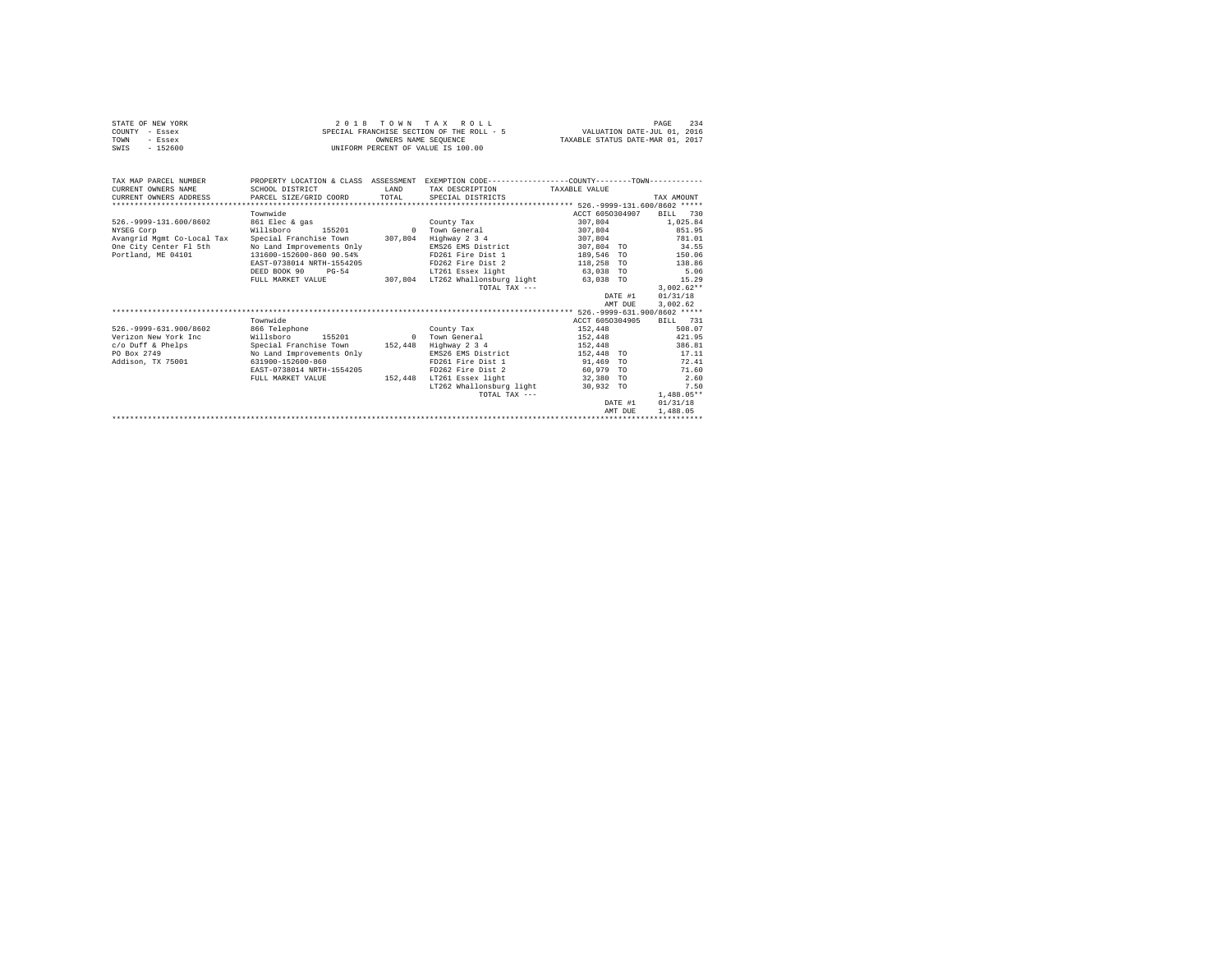|                | STATE OF NEW YORK | 2018 TOWN TAX ROLL                        |  |                      |  |  |                                  | PAGE                        | 234 |
|----------------|-------------------|-------------------------------------------|--|----------------------|--|--|----------------------------------|-----------------------------|-----|
| COUNTY - Essex |                   | SPECIAL FRANCHISE SECTION OF THE ROLL - 5 |  |                      |  |  |                                  | VALUATION DATE-JUL 01, 2016 |     |
| TOWN           | - Essex           |                                           |  | OWNERS NAME SEOUENCE |  |  | TAXABLE STATUS DATE-MAR 01, 2017 |                             |     |
| SWIS           | - 152600          | UNIFORM PERCENT OF VALUE IS 100.00        |  |                      |  |  |                                  |                             |     |

| TAX MAP PARCEL NUMBER       | PROPERTY LOCATION & CLASS ASSESSMENT                         |         | EXEMPTION CODE----------------COUNTY-------TOWN---------- |                   |                     |
|-----------------------------|--------------------------------------------------------------|---------|-----------------------------------------------------------|-------------------|---------------------|
| CURRENT OWNERS NAME         | SCHOOL DISTRICT                                              | T.AND   | TAX DESCRIPTION                                           | TAXABLE VALUE     |                     |
| CURRENT OWNERS ADDRESS      | PARCEL SIZE/GRID COORD                                       |         | TOTAL SPECIAL DISTRICTS                                   |                   | TAX AMOUNT          |
|                             |                                                              |         |                                                           |                   |                     |
|                             | Townwide                                                     |         |                                                           | ACCT 6050304907   | BILL 730            |
| 526. - 9999 - 131. 600/8602 | 861 Elec & gas                                               |         | County Tax                                                | 307,804           | 1,025.84            |
| NYSEG Corp                  | Willsboro<br>155201                                          |         | 0 Town General                                            | 307,804           | 851.95              |
| Avangrid Mgmt Co-Local Tax  | Special Franchise Town 307.804                               |         | Highway 2 3 4                                             | 307,804           | 781.01              |
| One City Center Fl 5th      | No Land Improvements Only                                    |         | EMS26 EMS District                                        | 307,804 TO        | 34.55               |
| Portland, ME 04101          | 131600-152600-860 90.54%                                     |         | FD261 Fire Dist 1                                         | 189,546 TO        | 150.06              |
|                             | EAST-0738014 NRTH-1554205                                    |         | FD262 Fire Dist 2                                         | 118,258 TO        | 138.86              |
|                             | DEED BOOK 90<br>$PG - 54$                                    |         | LT261 Essex light                                         | 63,038 TO         | 5.06                |
|                             | FULL MARKET VALUE 307.804 LT262 Whallonsburg light 63.038 TO |         |                                                           |                   | 15.29               |
|                             |                                                              |         | TOTAL TAX ---                                             |                   | $3.002.62**$        |
|                             |                                                              |         |                                                           |                   | DATE #1<br>01/31/18 |
|                             |                                                              |         |                                                           |                   | 3,002.62<br>AMT DUE |
|                             |                                                              |         |                                                           |                   |                     |
|                             | Townwide                                                     |         |                                                           | ACCT 6050304905   | BILL 731            |
| 526. - 9999-631.900/8602    | 866 Telephone                                                |         | County Tax                                                | 152,448           | 508.07              |
| Verizon New York Inc        | Willsboro<br>155201                                          |         | 0 Town General                                            | 152,448           | 421.95              |
| c/o Duff & Phelps           | Special Franchise Town 152,448 Highway 2 3 4                 |         |                                                           | 152,448           | 386.81              |
| PO Box 2749                 | No Land Improvements Only                                    |         | EMS26 EMS District                                        | 152,448 TO        | 17.11               |
| Addison, TX 75001           | 631900-152600-860                                            |         | FD261 Fire Dist 1                                         | 91,469 TO         | 72.41               |
|                             | EAST-0738014 NRTH-1554205                                    |         | FD262 Fire Dist 2                                         | 60,979 TO         | 71.60               |
|                             | FULL MARKET VALUE                                            | 152,448 | LT261 Essex light                                         | лица и 192,380 то | 2.60                |
|                             |                                                              |         | LT262 Whallonsburg light                                  | 30,932 TO         | 7.50                |
|                             |                                                              |         | TOTAL TAX ---                                             |                   | $1.488.05**$        |
|                             |                                                              |         |                                                           |                   | DATE #1<br>01/31/18 |
|                             |                                                              |         |                                                           |                   | 1,488.05<br>AMT DUR |
|                             |                                                              |         |                                                           |                   |                     |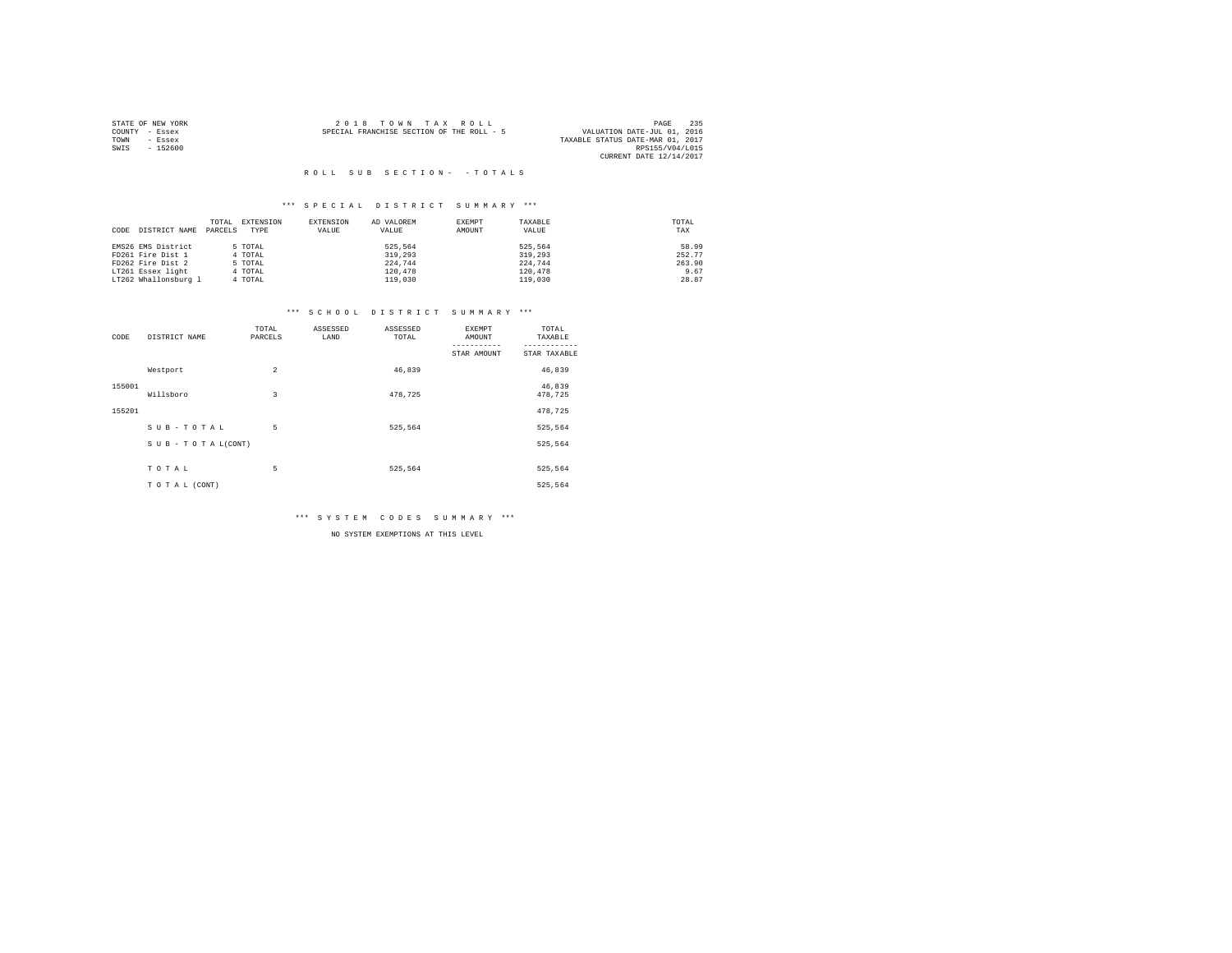|                | STATE OF NEW YORK | 2018 TOWN TAX ROLL                                                       | PAGE                    | 235 |
|----------------|-------------------|--------------------------------------------------------------------------|-------------------------|-----|
| COUNTY - Essex |                   | VALUATION DATE-JUL 01, 2016<br>SPECIAL FRANCHISE SECTION OF THE ROLL - 5 |                         |     |
| TOWN           | - Essex           | TAXABLE STATUS DATE-MAR 01, 2017                                         |                         |     |
| SWIS           | $-152600$         |                                                                          | RPS155/V04/L015         |     |
|                |                   |                                                                          | CURRENT DATE 12/14/2017 |     |

#### \*\*\* S P E C I A L D I S T R I C T S U M M A R Y \*\*\*

|                       | TOTAL<br>EXTENSION | EXTENSION | AD VALOREM | EXEMPT | TAXABLE | TOTAL  |
|-----------------------|--------------------|-----------|------------|--------|---------|--------|
| DISTRICT NAME<br>CODE | PARCELS<br>TYPE    | VALUE     | VALUE      | AMOUNT | VALUE   | TAX    |
|                       |                    |           |            |        |         |        |
| EMS26 EMS District    | 5 TOTAL            |           | 525.564    |        | 525,564 | 58.99  |
| FD261 Fire Dist 1     | 4 TOTAL            |           | 319,293    |        | 319,293 | 252.77 |
| FD262 Fire Dist 2     | 5 TOTAL            |           | 224,744    |        | 224,744 | 263.90 |
| LT261 Essex light     | 4 TOTAL            |           | 120,478    |        | 120,478 | 9.67   |
| LT262 Whallonsburg 1  | 4 TOTAL            |           | 119,030    |        | 119,030 | 28.87  |

#### \*\*\* S C H O O L D I S T R I C T S U M M A R Y \*\*\*

| CODE   | DISTRICT NAME   | TOTAL<br>PARCELS | ASSESSED<br>LAND | ASSESSED<br>TOTAL | <b>EXEMPT</b><br>AMOUNT | TOTAL<br>TAXABLE  |
|--------|-----------------|------------------|------------------|-------------------|-------------------------|-------------------|
|        |                 |                  |                  |                   | STAR AMOUNT             | STAR TAXABLE      |
|        | Westport        | $\overline{a}$   |                  | 46,839            |                         | 46,839            |
| 155001 | Willsboro       | 3                |                  | 478.725           |                         | 46,839<br>478,725 |
| 155201 |                 |                  |                  |                   |                         | 478,725           |
|        | SUB-TOTAL       | 5                |                  | 525,564           |                         | 525,564           |
|        | SUB-TOTAL(CONT) |                  |                  |                   |                         | 525,564           |
|        |                 |                  |                  |                   |                         |                   |
|        | TOTAL           | 5                |                  | 525,564           |                         | 525,564           |
|        | TO TAL (CONT)   |                  |                  |                   |                         | 525,564           |

\*\*\* S Y S T E M C O D E S S U M M A R Y \*\*\*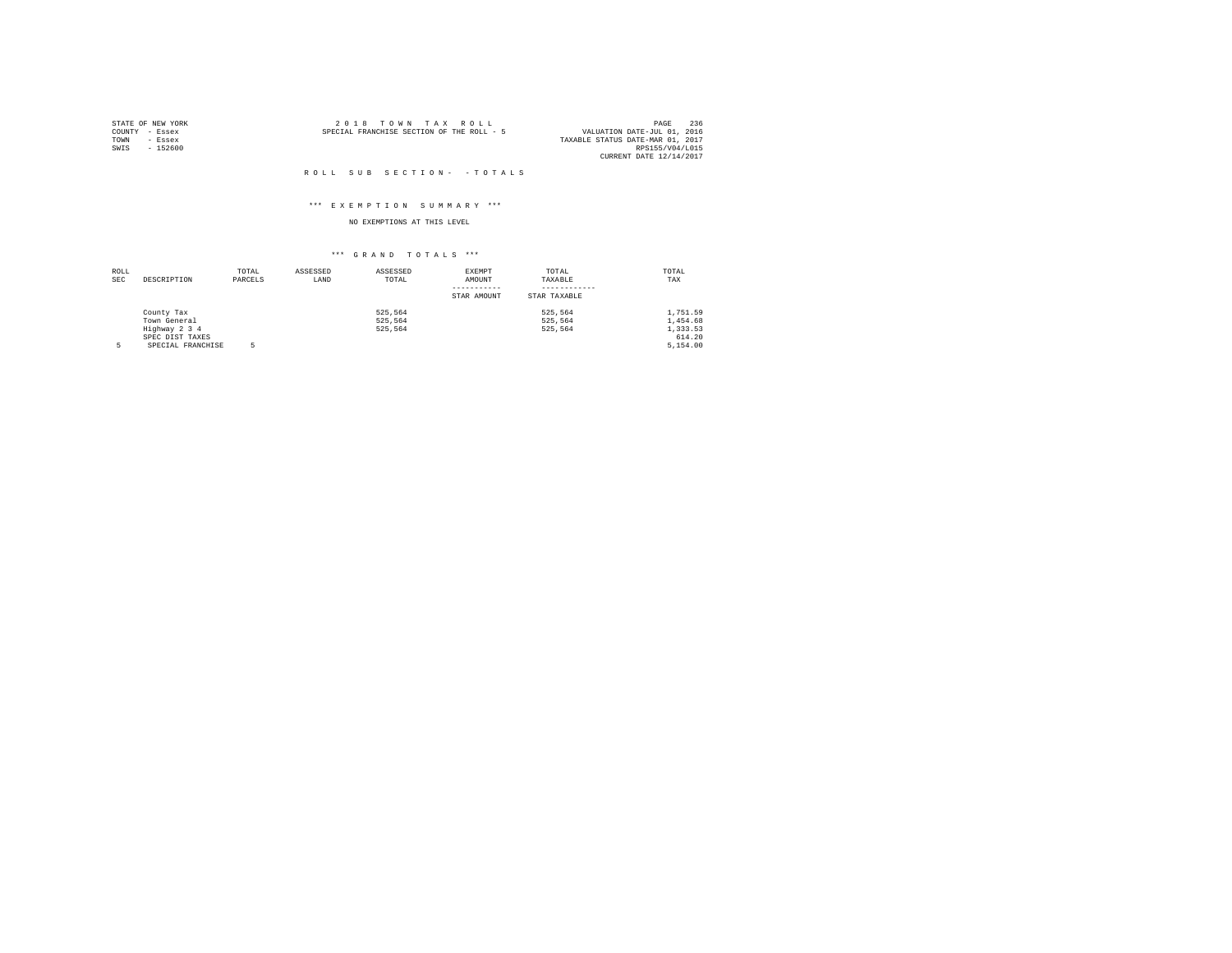| STATE OF NEW YORK |          | 2018 TOWN TAX ROLL                        |  |  | 236<br>PAGE                      |
|-------------------|----------|-------------------------------------------|--|--|----------------------------------|
| COUNTY - Essex    |          | SPECIAL FRANCHISE SECTION OF THE ROLL - 5 |  |  | VALUATION DATE-JUL 01, 2016      |
| TOWN              | - Essex  |                                           |  |  | TAXABLE STATUS DATE-MAR 01, 2017 |
| SWIS              | - 152600 |                                           |  |  | RPS155/V04/L015                  |
|                   |          |                                           |  |  | CURRENT DATE 12/14/2017          |

#### \*\*\* E X E M P T I O N S U M M A R Y \*\*\*

#### NO EXEMPTIONS AT THIS LEVEL

| ROLL       |                   | TOTAL   | ASSESSED | ASSESSED | EXEMPT      | TOTAL        | TOTAL    |
|------------|-------------------|---------|----------|----------|-------------|--------------|----------|
| <b>SEC</b> | DESCRIPTION       | PARCELS | LAND     | TOTAL    | AMOUNT      | TAXABLE      | TAX      |
|            |                   |         |          |          |             |              |          |
|            |                   |         |          |          | STAR AMOUNT | STAR TAXABLE |          |
|            | County Tax        |         |          | 525.564  |             | 525.564      | 1,751.59 |
|            | Town General      |         |          | 525.564  |             | 525.564      | 1,454.68 |
|            | Highway 2 3 4     |         |          | 525.564  |             | 525.564      | 1,333.53 |
|            | SPEC DIST TAXES   |         |          |          |             |              | 614.20   |
| 5          | SPECIAL FRANCHISE |         |          |          |             |              | 5,154.00 |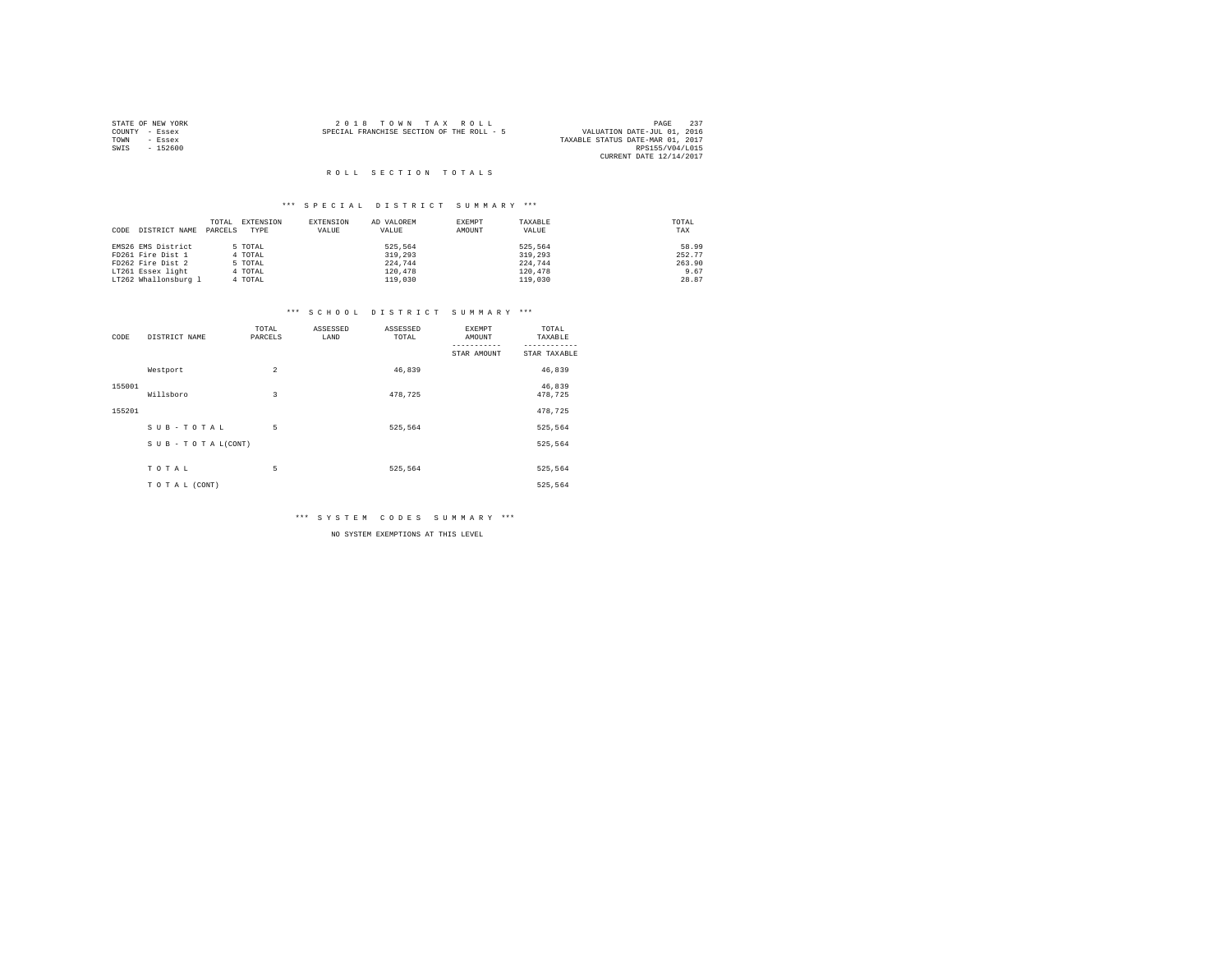| STATE OF NEW YORK |           | 2018 TOWN TAX ROLL                        | 237<br>PAGE                      |
|-------------------|-----------|-------------------------------------------|----------------------------------|
| COUNTY - Essex    |           | SPECIAL FRANCHISE SECTION OF THE ROLL - 5 | VALUATION DATE-JUL 01, 2016      |
| TOWN              | $-$ Essex |                                           | TAXABLE STATUS DATE-MAR 01, 2017 |
| SWIS              | $-152600$ |                                           | RPS155/V04/L015                  |
|                   |           |                                           | CURRENT DATE 12/14/2017          |

#### \*\*\* S P E C I A L D I S T R I C T S U M M A R Y \*\*\*

|                       | TOTAL   | EXTENSION<br><b>EXTENSION</b> | AD VALOREM | EXEMPT | TAXABLE | TOTAL  |
|-----------------------|---------|-------------------------------|------------|--------|---------|--------|
| DISTRICT NAME<br>CODE | PARCELS | VALUE<br>TYPE                 | VALUE      | AMOUNT | VALUE   | TAX    |
|                       |         |                               |            |        |         |        |
| EMS26 EMS District    | 5 TOTAL |                               | 525,564    |        | 525.564 | 58.99  |
| FD261 Fire Dist 1     | 4 TOTAL |                               | 319,293    |        | 319,293 | 252.77 |
| FD262 Fire Dist 2     | 5 TOTAL |                               | 224,744    |        | 224,744 | 263.90 |
| LT261 Essex light     | 4 TOTAL |                               | 120,478    |        | 120.478 | 9.67   |
| LT262 Whallonsburg 1  | 4 TOTAL |                               | 119,030    |        | 119,030 | 28.87  |

#### \*\*\* S C H O O L D I S T R I C T S U M M A R Y \*\*\*

| CODE   | DISTRICT NAME   | TOTAL<br>PARCELS | ASSESSED<br>LAND | ASSESSED<br>TOTAL | <b>EXEMPT</b><br>AMOUNT | TOTAL<br>TAXABLE  |
|--------|-----------------|------------------|------------------|-------------------|-------------------------|-------------------|
|        |                 |                  |                  |                   | STAR AMOUNT             | STAR TAXABLE      |
|        | Westport        | $\overline{a}$   |                  | 46,839            |                         | 46,839            |
| 155001 | Willsboro       | 3                |                  | 478.725           |                         | 46,839<br>478,725 |
| 155201 |                 |                  |                  |                   |                         | 478,725           |
|        | SUB-TOTAL       | 5                |                  | 525,564           |                         | 525,564           |
|        | SUB-TOTAL(CONT) |                  |                  |                   |                         | 525,564           |
|        |                 |                  |                  |                   |                         |                   |
|        | TOTAL           | 5                |                  | 525,564           |                         | 525,564           |
|        | TO TAL (CONT)   |                  |                  |                   |                         | 525,564           |

\*\*\* S Y S T E M C O D E S S U M M A R Y \*\*\*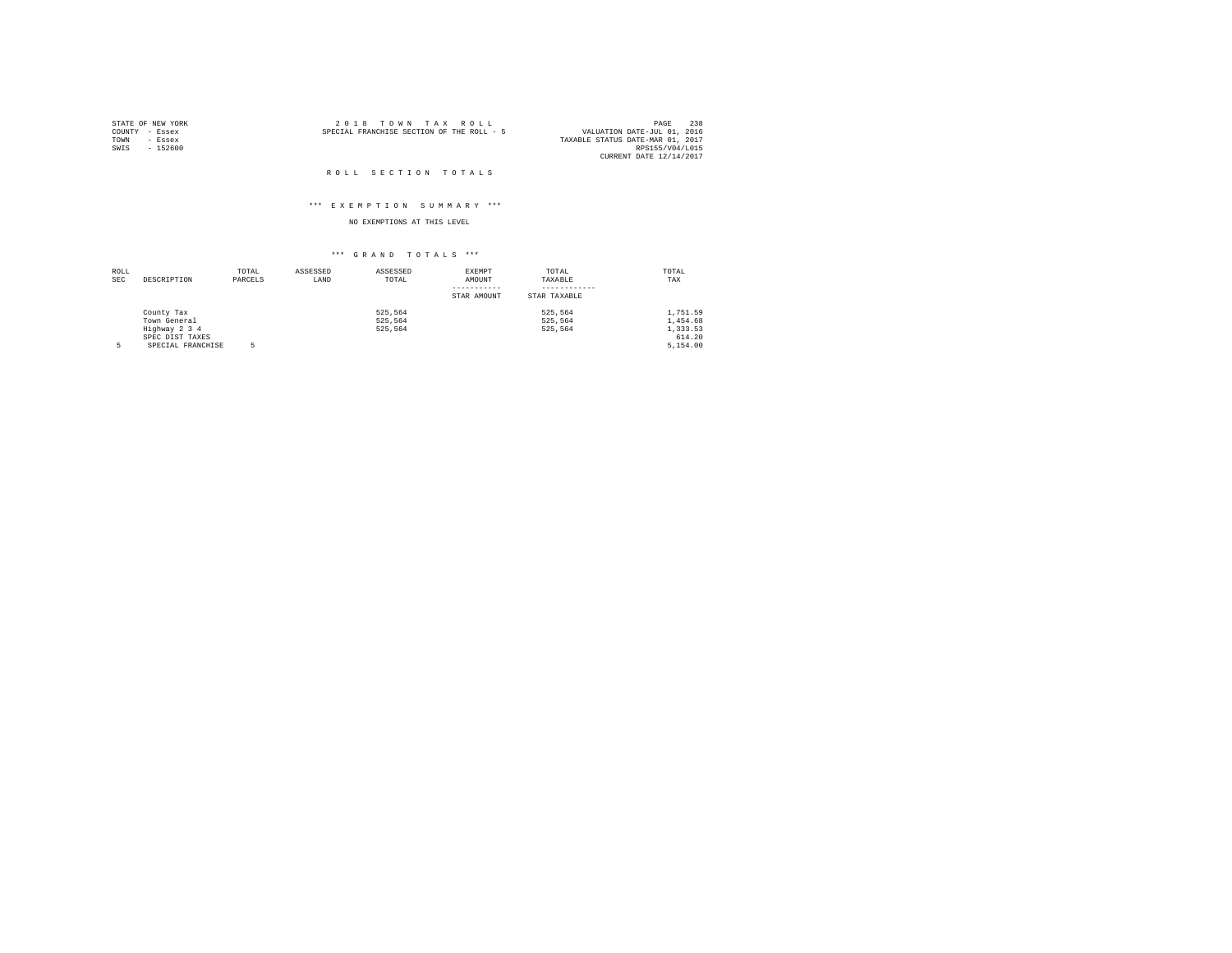| STATE OF NEW YORK |           | 2018 TOWN TAX ROLL                                                       | PAGE                    | 238 |
|-------------------|-----------|--------------------------------------------------------------------------|-------------------------|-----|
| COUNTY - Essex    |           | VALUATION DATE-JUL 01, 2016<br>SPECIAL FRANCHISE SECTION OF THE ROLL - 5 |                         |     |
| TOWN              | - Essex   | TAXABLE STATUS DATE-MAR 01, 2017                                         |                         |     |
| SWIS              | $-152600$ |                                                                          | RPS155/V04/L015         |     |
|                   |           |                                                                          | CURRENT DATE 12/14/2017 |     |

#### ROLL SECTION TOTALS

#### \*\*\* E X E M P T I O N S U M M A R Y \*\*\*

### NO EXEMPTIONS AT THIS LEVEL

| ROLL |                   | TOTAL   | ASSESSED | ASSESSED | EXEMPT      | TOTAL        | TOTAL    |
|------|-------------------|---------|----------|----------|-------------|--------------|----------|
| SEC  | DESCRIPTION       | PARCELS | LAND     | TOTAL    | AMOUNT      | TAXABLE      | TAX      |
|      |                   |         |          |          |             |              |          |
|      |                   |         |          |          | STAR AMOUNT | STAR TAXABLE |          |
|      | County Tax        |         |          | 525.564  |             | 525.564      | 1,751.59 |
|      | Town General      |         |          | 525.564  |             | 525.564      | 1,454.68 |
|      | Highway 2 3 4     |         |          | 525.564  |             | 525.564      | 1,333.53 |
|      | SPEC DIST TAXES   |         |          |          |             |              | 614.20   |
| 5    | SPECIAL FRANCHISE |         |          |          |             |              | 5,154.00 |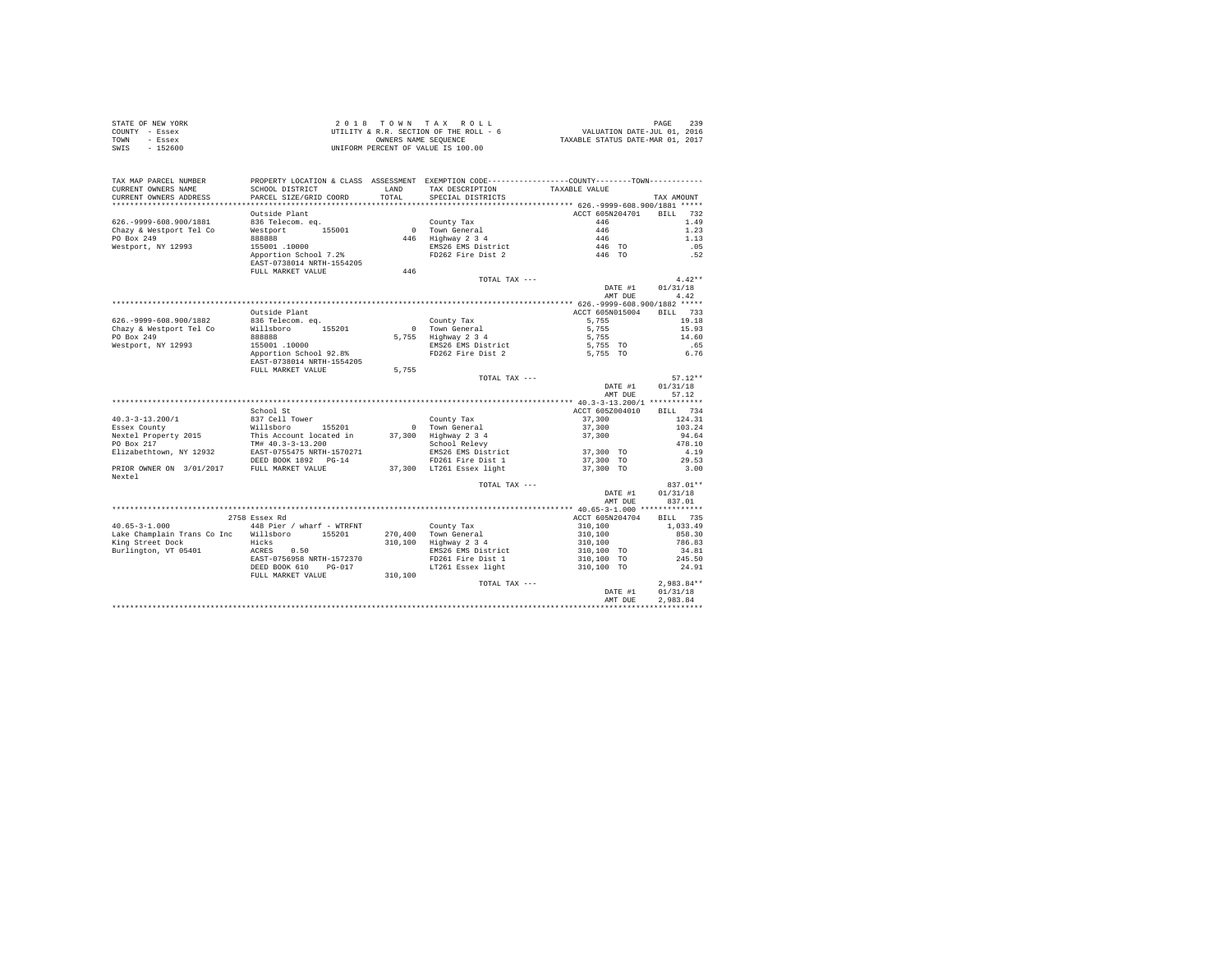| STATE OF NEW YORK | 2018 TOWN TAX ROLL                     | 239<br>PAGE                      |
|-------------------|----------------------------------------|----------------------------------|
| COUNTY - Essex    | UTILITY & R.R. SECTION OF THE ROLL - 6 | VALUATION DATE-JUL 01, 2016      |
| TOWN<br>- Essex   | OWNERS NAME SEOUENCE                   | TAXABLE STATUS DATE-MAR 01, 2017 |
| $-152600$<br>SWIS | UNIFORM PERCENT OF VALUE IS 100.00     |                                  |

| TAX MAP PARCEL NUMBER<br>CURRENT OWNERS NAME<br>CURRENT OWNERS ADDRESS<br>*********************** | SCHOOL DISTRICT<br>PARCEL SIZE/GRID COORD<br>************************ | LAND<br>TOTAL. | PROPERTY LOCATION & CLASS ASSESSMENT EXEMPTION CODE---------------COUNTY-------TOWN----------<br>TAX DESCRIPTION<br>SPECIAL DISTRICTS | TAXABLE VALUE        | TAX AMOUNT         |
|---------------------------------------------------------------------------------------------------|-----------------------------------------------------------------------|----------------|---------------------------------------------------------------------------------------------------------------------------------------|----------------------|--------------------|
|                                                                                                   |                                                                       |                |                                                                                                                                       |                      |                    |
|                                                                                                   | Outside Plant                                                         |                |                                                                                                                                       | ACCT 605N204701      | <b>BILL</b><br>732 |
| 626. - 9999 - 608. 900/1881                                                                       | 836 Telecom. eq.                                                      |                | County Tax                                                                                                                            | 446                  | 1.49               |
| Chazy & Westport Tel Co                                                                           | Westport<br>155001                                                    |                | 0 Town General                                                                                                                        | 446                  | 1.23               |
| PO Box 249                                                                                        | 888888                                                                |                | 446 Highway 2 3 4                                                                                                                     | 446                  | 1.13               |
| Westport, NY 12993                                                                                | 155001.10000                                                          |                | EMS26 EMS District                                                                                                                    | 446 TO               | .05                |
|                                                                                                   | Apportion School 7.2%                                                 |                | FD262 Fire Dist 2                                                                                                                     | 446 TO               | .52                |
|                                                                                                   | EAST-0738014 NRTH-1554205                                             |                |                                                                                                                                       |                      |                    |
|                                                                                                   | FULL MARKET VALUE                                                     | 446            |                                                                                                                                       |                      |                    |
|                                                                                                   |                                                                       |                | TOTAL TAX ---                                                                                                                         |                      | $4.42**$           |
|                                                                                                   |                                                                       |                |                                                                                                                                       | DATE #1              | 01/31/18           |
|                                                                                                   |                                                                       |                |                                                                                                                                       | AMT DUE              | 4.42               |
|                                                                                                   |                                                                       |                |                                                                                                                                       |                      |                    |
|                                                                                                   | Outside Plant                                                         |                |                                                                                                                                       | ACCT 605N015004      | 733<br>RTLL.       |
| 626. - 9999-608.900/1882                                                                          | 836 Telecom. eq.                                                      |                | County Tax<br>0 Town General                                                                                                          | 5.755                | 19.18              |
| Chazy & Westport Tel Co                                                                           | Willsboro<br>155201                                                   |                |                                                                                                                                       | 5.755                | 15.93              |
| PO Box 249                                                                                        | 888888<br>155001.10000                                                |                | 5,755 Highway 2 3 4<br>EMS26 EMS District                                                                                             | 5.755                | 14.60              |
| Westport, NY 12993                                                                                | Apportion School 92.8%                                                |                | FD262 Fire Dist 2                                                                                                                     | 5,755 TO<br>5.755 TO | .65<br>6.76        |
|                                                                                                   | EAST-0738014 NRTH-1554205                                             |                |                                                                                                                                       |                      |                    |
|                                                                                                   | FULL MARKET VALUE                                                     | 5,755          |                                                                                                                                       |                      |                    |
|                                                                                                   |                                                                       |                | TOTAL TAX ---                                                                                                                         |                      | $57.12**$          |
|                                                                                                   |                                                                       |                |                                                                                                                                       | DATE #1              | 01/31/18           |
|                                                                                                   |                                                                       |                |                                                                                                                                       | AMT DUE              | 57.12              |
|                                                                                                   |                                                                       |                |                                                                                                                                       |                      |                    |
|                                                                                                   | School St                                                             |                |                                                                                                                                       | ACCT 605Z004010      | 734<br>BTLL.       |
| $40.3 - 3 - 13.200 / 1$                                                                           | 837 Cell Tower                                                        |                | County Tax                                                                                                                            | 37,300               | 124.31             |
| Essex County                                                                                      | Willsboro<br>155201                                                   |                | 0 Town General                                                                                                                        | 37,300               | 103.24             |
| Nextel Property 2015                                                                              | This Account located in                                               |                | 37,300 Highway 2 3 4                                                                                                                  | 37,300               | 94.64              |
| PO Box 217                                                                                        | TM# 40.3-3-13.200                                                     |                | School Relevy                                                                                                                         |                      | 478.10             |
| Elizabethtown, NY 12932                                                                           | EAST-0755475 NRTH-1570271                                             |                | EMS26 EMS District                                                                                                                    | 37,300 TO            | 4.19               |
|                                                                                                   | DEED BOOK 1892 PG-14                                                  |                | FD261 Fire Dist 1                                                                                                                     | 37,300 TO            | 29.53              |
| PRIOR OWNER ON 3/01/2017                                                                          | FULL MARKET VALUE                                                     |                | 37,300 LT261 Essex light                                                                                                              | 37,300 TO            | 3.00               |
| Nextel                                                                                            |                                                                       |                |                                                                                                                                       |                      |                    |
|                                                                                                   |                                                                       |                | TOTAL TAX $---$                                                                                                                       |                      | $837.01**$         |
|                                                                                                   |                                                                       |                |                                                                                                                                       | DATE #1              | 01/31/18           |
|                                                                                                   |                                                                       |                |                                                                                                                                       | AMT DUE              | 837.01             |
|                                                                                                   |                                                                       |                |                                                                                                                                       |                      |                    |
|                                                                                                   | 2758 Essex Rd                                                         |                |                                                                                                                                       | ACCT 605N204704      | 735<br><b>BILL</b> |
| $40.65 - 3 - 1.000$                                                                               | 448 Pier / wharf - WTRFNT                                             |                | County Tax                                                                                                                            | 310,100              | 1,033.49           |
| Lake Champlain Trans Co Inc Willsboro 155201                                                      |                                                                       |                | 270.400 Town General                                                                                                                  | 310,100              | 858.30             |
| King Street Dock                                                                                  | Hicks                                                                 | 310,100        | Highway 2 3 4                                                                                                                         | 310,100              | 786.83             |
| Burlington, VT 05401                                                                              | ACRES<br>0.50                                                         |                | EMS26 EMS District                                                                                                                    | 310,100 TO           | 34.81              |
|                                                                                                   | EAST-0756958 NRTH-1572370                                             |                | FD261 Fire Dist 1                                                                                                                     | 310,100 TO           | 245.50             |
|                                                                                                   | DEED BOOK 610<br>$PG-017$                                             |                | LT261 Essex light                                                                                                                     | 310,100 TO           | 24.91              |
|                                                                                                   | FULL MARKET VALUE                                                     | 310,100        |                                                                                                                                       |                      |                    |
|                                                                                                   |                                                                       |                | TOTAL TAX ---                                                                                                                         |                      | $2,983.84**$       |
|                                                                                                   |                                                                       |                |                                                                                                                                       | DATE #1              | 01/31/18           |
|                                                                                                   |                                                                       |                |                                                                                                                                       | AMT DUE              | 2.983.84           |
|                                                                                                   |                                                                       |                |                                                                                                                                       |                      |                    |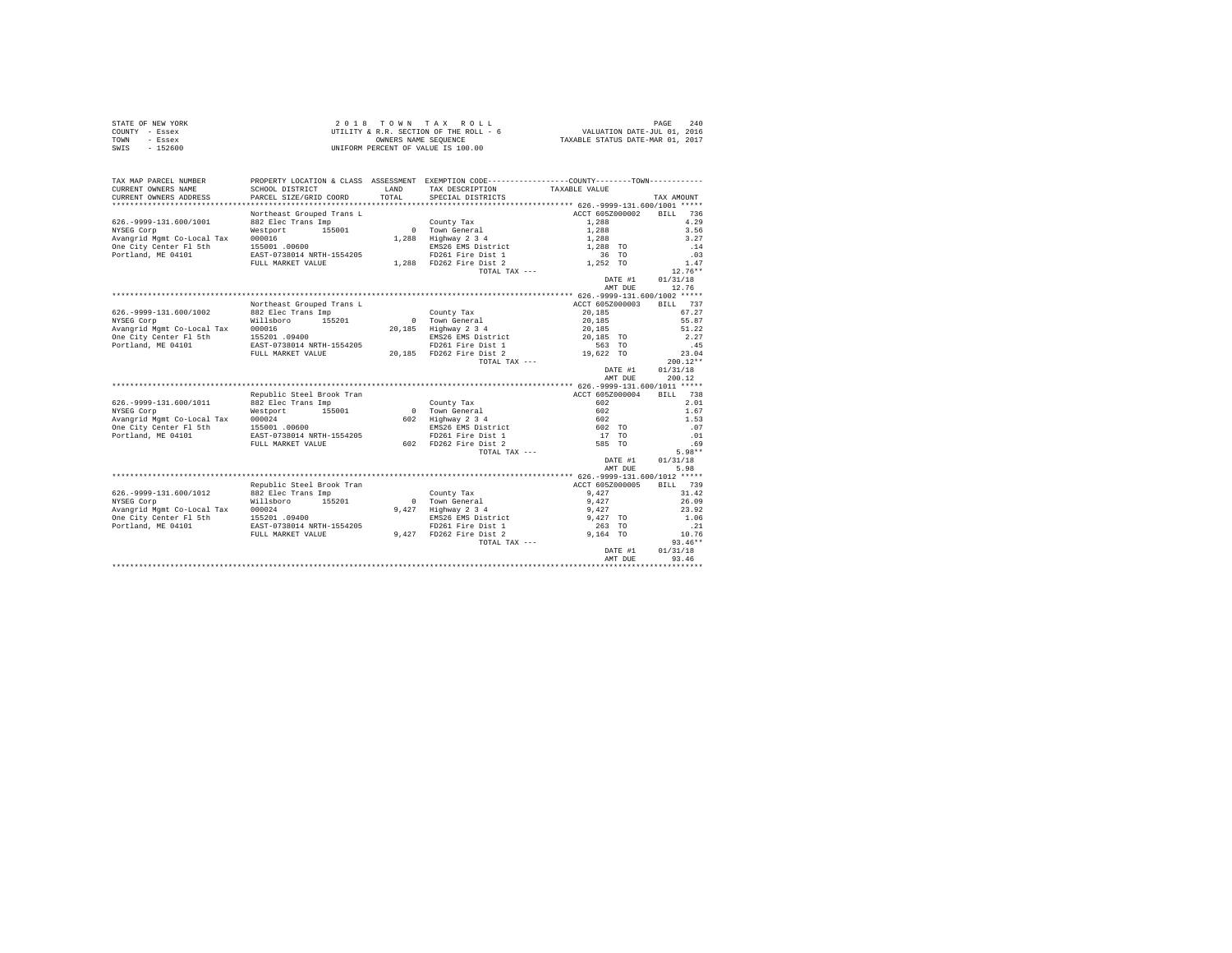|                | STATE OF NEW YORK | 2018 TOWN TAX ROLL                     |                                  | PAGE | 240 |
|----------------|-------------------|----------------------------------------|----------------------------------|------|-----|
| COUNTY - Essex |                   | UTILITY & R.R. SECTION OF THE ROLL - 6 | VALUATION DATE-JUL 01, 2016      |      |     |
| TOWN           | - Essex           | OWNERS NAME SEOUENCE                   | TAXABLE STATUS DATE-MAR 01, 2017 |      |     |
| SWIS           | - 152600          | UNIFORM PERCENT OF VALUE IS 100.00     |                                  |      |     |

| TAX MAP PARCEL NUMBER<br>CURRENT OWNERS NAME<br>CURRENT OWNERS ADDRESS    | SCHOOL DISTRICT<br>PARCEL SIZE/GRID COORD      | <b>T.AND</b><br>TOTAL | PROPERTY LOCATION & CLASS ASSESSMENT EXEMPTION CODE---------------COUNTY-------TOWN----------<br>TAX DESCRIPTION<br>SPECIAL DISTRICTS | TAXABLE VALUE       | TAX AMOUNT          |
|---------------------------------------------------------------------------|------------------------------------------------|-----------------------|---------------------------------------------------------------------------------------------------------------------------------------|---------------------|---------------------|
| *************************                                                 | **************************                     |                       |                                                                                                                                       |                     |                     |
|                                                                           | Northeast Grouped Trans L                      |                       |                                                                                                                                       | ACCT 605Z000002     | BILL 736            |
| 626. - 9999 - 131. 600/1001                                               | 882 Elec Trans Imp                             |                       | County Tax                                                                                                                            | 1,288               | 4.29                |
| NYSEG Corp                                                                | Westport<br>155001                             |                       | 0 Town General                                                                                                                        | 1,288               | 3.56                |
| Avangrid Mgmt Co-Local Tax                                                | 000016                                         |                       | 1,288 Highway 2 3 4                                                                                                                   | 1,288               | 3.27                |
| One City Center Fl 5th                                                    | 155001.00600                                   |                       | EMS26 EMS District                                                                                                                    | 1,288 TO            | .14                 |
| Portland, ME 04101                                                        | EAST-0738014 NRTH-1554205                      |                       | FD261 Fire Dist 1                                                                                                                     | 36 TO               | .03                 |
|                                                                           | FULL MARKET VALUE                              |                       | 1,288 FD262 Fire Dist 2                                                                                                               | 1,252 TO            | 1.47                |
|                                                                           |                                                |                       | TOTAL TAX ---                                                                                                                         |                     | $12.76**$           |
|                                                                           |                                                |                       |                                                                                                                                       |                     | DATE #1<br>01/31/18 |
|                                                                           |                                                |                       |                                                                                                                                       | AMT DUE             | 12.76               |
|                                                                           |                                                |                       |                                                                                                                                       |                     |                     |
|                                                                           | Northeast Grouped Trans L                      |                       |                                                                                                                                       | ACCT 605Z000003     | 737<br>BILL         |
| 626. - 9999-131.600/1002                                                  | 882 Elec Trans Imp                             |                       | County Tax                                                                                                                            | 20,185              | 67.27               |
| NYSEG Corp                                                                | Willsboro<br>155201                            |                       | 0 Town General                                                                                                                        | 20,185              | 55.87               |
| Avangrid Mgmt Co-Local Tax 000016<br>One City Center Fl 5th 155201 .09400 |                                                |                       | 20,185 Highway 2 3 4                                                                                                                  | 20.185              | 51.22               |
|                                                                           |                                                |                       | EMS26 EMS District<br>FD261 Fire Dist 1                                                                                               | 20,185 TO           | 2.27                |
| Portland, ME 04101                                                        | EAST-0738014 NRTH-1554205<br>FULL MARKET VALUE |                       | 20,185 FD262 Fire Dist 2                                                                                                              | 563 TO<br>19,622 TO | .45<br>23.04        |
|                                                                           |                                                |                       | TOTAL TAX ---                                                                                                                         |                     | $200.12**$          |
|                                                                           |                                                |                       |                                                                                                                                       |                     | 01/31/18<br>DATE #1 |
|                                                                           |                                                |                       |                                                                                                                                       |                     | 200.12<br>AMT DUE   |
|                                                                           |                                                |                       |                                                                                                                                       |                     |                     |
|                                                                           | Republic Steel Brook Tran                      |                       |                                                                                                                                       | ACCT 605Z000004     | BILL 738            |
| 626. - 9999 - 131. 600/1011                                               | 882 Elec Trans Imp                             |                       | County Tax                                                                                                                            | 602                 | 2.01                |
| NYSEG Corp                                                                | 155001<br>Westport                             |                       | 0 Town General                                                                                                                        | 602                 | 1.67                |
| Avangrid Mgmt Co-Local Tax 000024                                         |                                                |                       | 602 Highway 2 3 4                                                                                                                     | 602                 | 1.53                |
| One City Center Fl 5th                                                    | 155001.00600                                   |                       | EMS26 EMS District                                                                                                                    | 602 TO              | .07                 |
| Portland, ME 04101                                                        | EAST-0738014 NRTH-1554205                      |                       | FD261 Fire Dist 1                                                                                                                     | 17 TO               | .01                 |
|                                                                           | FULL MARKET VALUE                              |                       | 602 FD262 Fire Dist 2                                                                                                                 | 585 TO              | .69                 |
|                                                                           |                                                |                       | TOTAL TAX ---                                                                                                                         |                     | $5.98**$            |
|                                                                           |                                                |                       |                                                                                                                                       | DATE #1             | 01/31/18            |
|                                                                           |                                                |                       |                                                                                                                                       | AMT DUE             | 5.98                |
|                                                                           |                                                |                       |                                                                                                                                       |                     |                     |
|                                                                           | Republic Steel Brook Tran                      |                       |                                                                                                                                       | ACCT 605Z000005     | 739<br>BILL         |
| 626. - 9999-131.600/1012                                                  | 882 Elec Trans Imp                             |                       | County Tax                                                                                                                            | 9,427               | 31.42               |
| NYSEG Corp                                                                | Willsboro 155201                               |                       | 0 Town General                                                                                                                        | 9.427               | 26.09               |
| Avangrid Mgmt Co-Local Tax 000024                                         |                                                | 9.427                 | Highway 2 3 4                                                                                                                         | 9,427               | 23.92               |
| One City Center Fl 5th                                                    | 155201 .09400                                  |                       | EMS26 EMS District                                                                                                                    | 9,427 TO            | 1.06                |
| Portland, ME 04101                                                        | EAST-0738014 NRTH-1554205                      |                       | FD261 Fire Dist 1                                                                                                                     | 263 TO              | .21                 |
|                                                                           | FULL MARKET VALUE                              |                       | 9,427 FD262 Fire Dist 2                                                                                                               | 9.164 TO            | 10.76               |
|                                                                           |                                                |                       | TOTAL TAX ---                                                                                                                         |                     | $93.46**$           |
|                                                                           |                                                |                       |                                                                                                                                       |                     | 01/31/18<br>DATE #1 |
|                                                                           |                                                |                       |                                                                                                                                       |                     | 93.46<br>AMT DUE    |
|                                                                           |                                                |                       |                                                                                                                                       |                     |                     |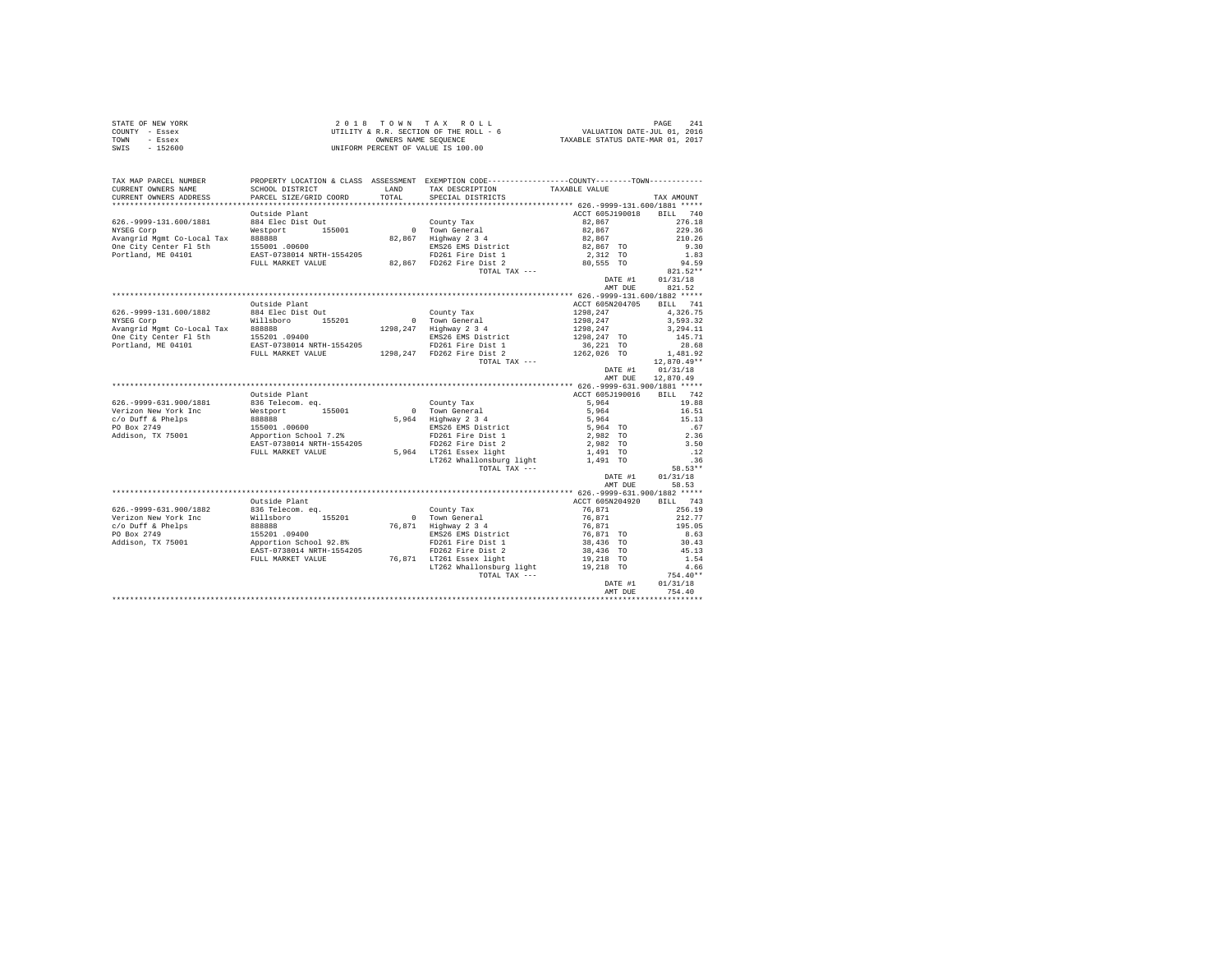|                | STATE OF NEW YORK | 2018 TOWN TAX ROLL                     |                                  | PAGE | 2.41 |
|----------------|-------------------|----------------------------------------|----------------------------------|------|------|
| COUNTY - Essex |                   | UTILITY & R.R. SECTION OF THE ROLL - 6 | VALUATION DATE-JUL 01, 2016      |      |      |
| TOWN           | - Essex           | OWNERS NAME SEOUENCE                   | TAXABLE STATUS DATE-MAR 01, 2017 |      |      |
| SWIS           | - 152600          | UNIFORM PERCENT OF VALUE IS 100.00     |                                  |      |      |

| TAX MAP PARCEL NUMBER<br>CURRENT OWNERS NAME                                                                                                                                                                                             | SCHOOL DISTRICT                                                                                                                                 | PROPERTY LOCATION & CLASS ASSESSMENT EXEMPTION CODE---------------COUNTY-------TOWN----------<br>LAND TAX DESCRIPTION | TAXABLE VALUE                                                     |                     |
|------------------------------------------------------------------------------------------------------------------------------------------------------------------------------------------------------------------------------------------|-------------------------------------------------------------------------------------------------------------------------------------------------|-----------------------------------------------------------------------------------------------------------------------|-------------------------------------------------------------------|---------------------|
| CURRENT OWNERS ADDRESS                                                                                                                                                                                                                   | PARCEL SIZE/GRID COORD                                                                                                                          | TOTAL SPECIAL DISTRICTS                                                                                               |                                                                   | TAX AMOUNT          |
|                                                                                                                                                                                                                                          |                                                                                                                                                 |                                                                                                                       |                                                                   |                     |
|                                                                                                                                                                                                                                          | Outside Plant                                                                                                                                   |                                                                                                                       | ACCT 605J190018 BILL 740                                          |                     |
| 626. - 9999-131.600/1881                                                                                                                                                                                                                 |                                                                                                                                                 |                                                                                                                       | $82,867$<br>$82,867$<br>$82,867$<br>$82,867$ TO                   | 276.18              |
|                                                                                                                                                                                                                                          | 884 Elec Dist Out<br>Westport 155001                                                                                                            |                                                                                                                       |                                                                   | 229.36              |
|                                                                                                                                                                                                                                          |                                                                                                                                                 | County Tax<br>0 Town General<br>82,867 Highway 2 3 4                                                                  |                                                                   |                     |
|                                                                                                                                                                                                                                          |                                                                                                                                                 |                                                                                                                       |                                                                   |                     |
|                                                                                                                                                                                                                                          |                                                                                                                                                 |                                                                                                                       |                                                                   |                     |
|                                                                                                                                                                                                                                          |                                                                                                                                                 |                                                                                                                       |                                                                   |                     |
| NYSEG Corp (Mestport Mestport 1997)<br>Avangrid Mgmt Co-Local Tax 8888888 (American Mestport 1997)<br>2,300 MMS26 EMS District (Mestport 1997)<br>2,301 MMS26 EMS District (Mestport 1997)<br>2,301 PD261 Fire Dist 2<br>2,301 PD262 Fir |                                                                                                                                                 |                                                                                                                       |                                                                   |                     |
|                                                                                                                                                                                                                                          |                                                                                                                                                 |                                                                                                                       |                                                                   | 01/31/18            |
|                                                                                                                                                                                                                                          |                                                                                                                                                 |                                                                                                                       | DATE #1 0<br>AMT DUE                                              | 821.52              |
|                                                                                                                                                                                                                                          |                                                                                                                                                 |                                                                                                                       |                                                                   |                     |
|                                                                                                                                                                                                                                          | Outside Plant                                                                                                                                   |                                                                                                                       |                                                                   |                     |
|                                                                                                                                                                                                                                          |                                                                                                                                                 |                                                                                                                       | ACCT 605N204705 BILL 741                                          |                     |
| 626. - 9999-131. 600/1882                                                                                                                                                                                                                |                                                                                                                                                 |                                                                                                                       | 1298.247                                                          | 4,326,75            |
| NYSEG Corp                                                                                                                                                                                                                               |                                                                                                                                                 |                                                                                                                       | $1298, 247$<br>$1298, 247$<br>$1298, 247$<br>$1298, 247$ TO       | 3,593.32            |
| Avangrid Mgmt Co-Local Tax 888888                                                                                                                                                                                                        |                                                                                                                                                 | 1298,247 Highway 2 3 4                                                                                                |                                                                   | 3,294.11            |
| 00 City Center F1 5th<br>000 City Center F1 5th<br>155201 .09400<br>Portland, ME 04101<br>EAST-0738014 NRTH-1554205                                                                                                                      |                                                                                                                                                 | EMS26 EMS District                                                                                                    |                                                                   | 145.71              |
|                                                                                                                                                                                                                                          |                                                                                                                                                 |                                                                                                                       |                                                                   |                     |
|                                                                                                                                                                                                                                          |                                                                                                                                                 |                                                                                                                       |                                                                   |                     |
|                                                                                                                                                                                                                                          | EAST-0738014 NRTH-1554205<br>FULL MARKET VALUE 1298,247 FD262 Fire Dist 2<br>TOTAL TAX --- 1262,026 TO 12,870.49**<br>TOTAL TAX --- 12,870.49** |                                                                                                                       |                                                                   |                     |
|                                                                                                                                                                                                                                          |                                                                                                                                                 |                                                                                                                       |                                                                   | DATE #1 01/31/18    |
|                                                                                                                                                                                                                                          |                                                                                                                                                 |                                                                                                                       |                                                                   | AMT DUE 12,870.49   |
|                                                                                                                                                                                                                                          |                                                                                                                                                 |                                                                                                                       |                                                                   |                     |
|                                                                                                                                                                                                                                          | Outside Plant                                                                                                                                   |                                                                                                                       | ACCT 605J190016 BILL 742                                          |                     |
| 626. - 9999-631.900/1881                                                                                                                                                                                                                 | 836 Telecom. eq.                                                                                                                                | County Tax                                                                                                            | 5,964                                                             | 19.88               |
|                                                                                                                                                                                                                                          |                                                                                                                                                 |                                                                                                                       | 5,964<br>5,964                                                    | 16.51<br>15.13      |
|                                                                                                                                                                                                                                          |                                                                                                                                                 |                                                                                                                       |                                                                   |                     |
| Verizon New York Inc.<br>Verizon New York Inc.<br>C/O Duff & Phelps (1988888)<br>PO Box 2749 (1988888888)<br>Robin Addison, TX 75001 (28888888)<br>RAST-0738014 NRTH-1554205                                                             |                                                                                                                                                 | County is<br>0 Town General<br>5,964 Highway 2 3 4<br>EMS26 EMS District<br>FD261 Fire Dist 1                         | 5,964 TO<br>2,982 TO                                              | .67                 |
|                                                                                                                                                                                                                                          |                                                                                                                                                 |                                                                                                                       |                                                                   | $2.36$<br>3.50      |
|                                                                                                                                                                                                                                          |                                                                                                                                                 | FD262 Fire Dist 2<br>5,964 LT261 Essex light                                                                          | 2,982 TO                                                          |                     |
|                                                                                                                                                                                                                                          | FULL MARKET VALUE                                                                                                                               |                                                                                                                       | 1,491 TO<br>1,491 TO                                              | .12                 |
|                                                                                                                                                                                                                                          |                                                                                                                                                 | LT262 Whallonsburg light                                                                                              |                                                                   | .36                 |
|                                                                                                                                                                                                                                          |                                                                                                                                                 | TOTAL TAX ---                                                                                                         |                                                                   | 58.53**             |
|                                                                                                                                                                                                                                          |                                                                                                                                                 |                                                                                                                       |                                                                   | DATE #1 01/31/18    |
|                                                                                                                                                                                                                                          |                                                                                                                                                 |                                                                                                                       | AMT DUE                                                           | 58.53               |
|                                                                                                                                                                                                                                          |                                                                                                                                                 |                                                                                                                       |                                                                   |                     |
|                                                                                                                                                                                                                                          | Outside Plant                                                                                                                                   |                                                                                                                       | ACCT 605N204920 BILL 743                                          |                     |
| 626.-9999-631.900/1882 836 Telecom. eq.                                                                                                                                                                                                  |                                                                                                                                                 | County Tax                                                                                                            | 76,871                                                            | 256.19              |
|                                                                                                                                                                                                                                          |                                                                                                                                                 | 0 Town General                                                                                                        |                                                                   | 212.77              |
|                                                                                                                                                                                                                                          |                                                                                                                                                 | v Town General<br>76,871 Highway 2 3 4                                                                                | $76,871$<br>$76,871$<br>$76,871$ TO<br>$38,436$ TO<br>$38,436$ TO | 195.05              |
|                                                                                                                                                                                                                                          |                                                                                                                                                 | EMS26 EMS District                                                                                                    |                                                                   | 8.63                |
|                                                                                                                                                                                                                                          |                                                                                                                                                 | FD261 Fire Dist 1                                                                                                     |                                                                   |                     |
|                                                                                                                                                                                                                                          |                                                                                                                                                 | FD262 Fire Dist 2                                                                                                     |                                                                   | $30.43$<br>$45.13$  |
|                                                                                                                                                                                                                                          | FULL MARKET VALUE 76,871 LT261 Essex light                                                                                                      |                                                                                                                       | 19,218 TO                                                         |                     |
|                                                                                                                                                                                                                                          |                                                                                                                                                 | LT262 Whallonsburg light 19,218 TO                                                                                    |                                                                   | $\frac{1.54}{4.66}$ |
|                                                                                                                                                                                                                                          |                                                                                                                                                 |                                                                                                                       |                                                                   |                     |
|                                                                                                                                                                                                                                          |                                                                                                                                                 |                                                                                                                       |                                                                   |                     |
|                                                                                                                                                                                                                                          |                                                                                                                                                 | TOTAL TAX ---                                                                                                         |                                                                   | $754.40**$          |
|                                                                                                                                                                                                                                          |                                                                                                                                                 |                                                                                                                       | DATE #1<br>AMT DUE                                                | 01/31/18<br>754.40  |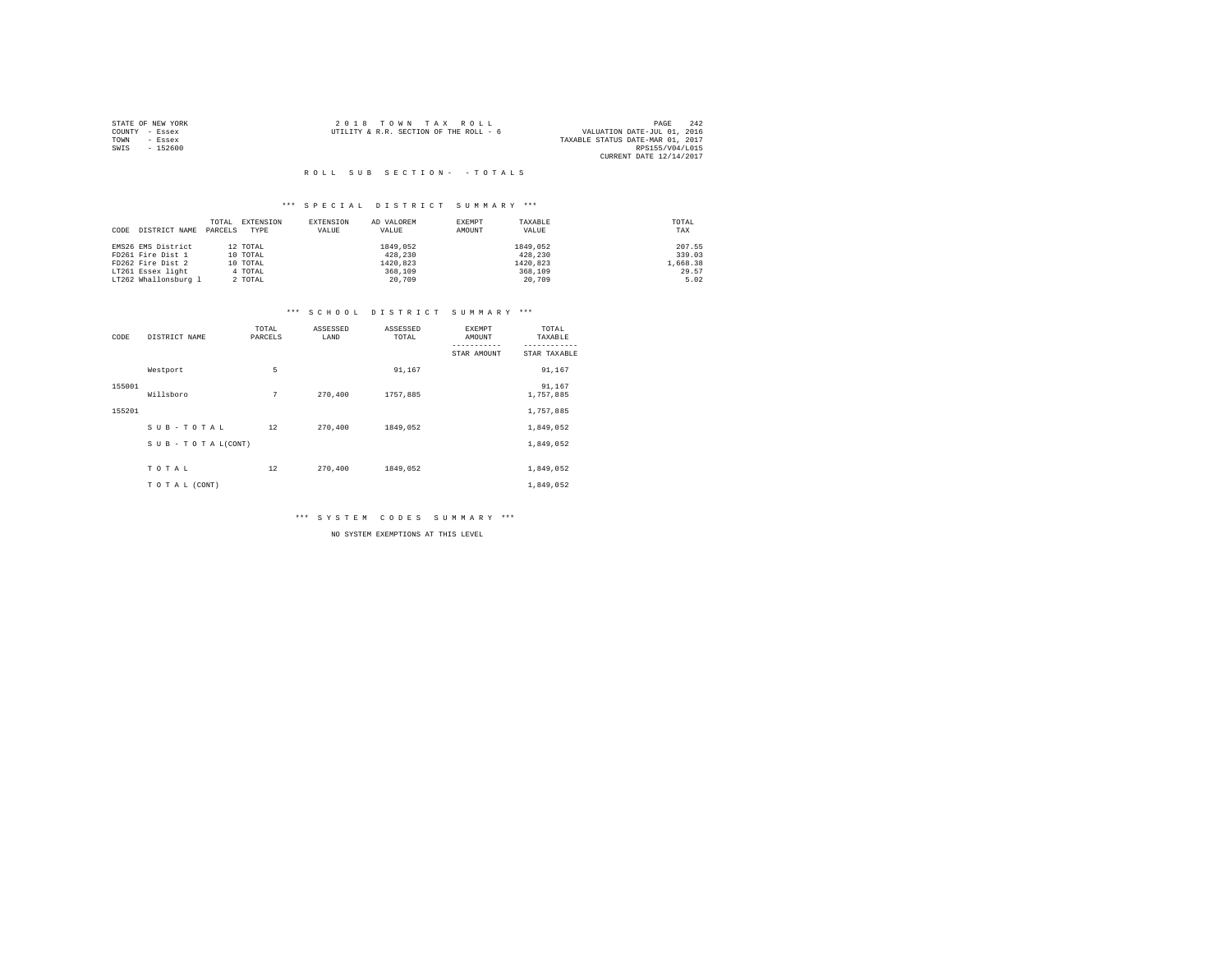|                | STATE OF NEW YORK | 2018 TOWN TAX ROLL                     |  |                                  | PAGE            | 242 |
|----------------|-------------------|----------------------------------------|--|----------------------------------|-----------------|-----|
| COUNTY - Essex |                   | UTILITY & R.R. SECTION OF THE ROLL - 6 |  | VALUATION DATE-JUL 01, 2016      |                 |     |
| TOWN           | - Essex           |                                        |  | TAXABLE STATUS DATE-MAR 01, 2017 |                 |     |
| SWIS           | $-152600$         |                                        |  |                                  | RPS155/V04/L015 |     |
|                |                   |                                        |  | CURRENT DATE 12/14/2017          |                 |     |

#### \*\*\* S P E C I A L D I S T R I C T S U M M A R Y \*\*\*

|                       | TOTAL   | EXTENSION | <b>EXTENSION</b> | AD VALOREM | EXEMPT | TAXABLE  | TOTAL    |
|-----------------------|---------|-----------|------------------|------------|--------|----------|----------|
| DISTRICT NAME<br>CODE | PARCELS | TYPE      | VALUE            | VALUE      | AMOUNT | VALUE    | TAX      |
|                       |         |           |                  |            |        |          |          |
| EMS26 EMS District    |         | 12 TOTAL  |                  | 1849.052   |        | 1849.052 | 207.55   |
| FD261 Fire Dist 1     |         | 10 TOTAL  |                  | 428,230    |        | 428,230  | 339.03   |
| FD262 Fire Dist 2     |         | 10 TOTAL  |                  | 1420.823   |        | 1420.823 | 1,668.38 |
| LT261 Essex light     |         | 4 TOTAL   |                  | 368,109    |        | 368,109  | 29.57    |
| LT262 Whallonsburg 1  |         | 2 TOTAL   |                  | 20,709     |        | 20,709   | 5.02     |

#### \*\*\* S C H O O L D I S T R I C T S U M M A R Y \*\*\*

| CODE   | DISTRICT NAME      | TOTAL<br>PARCELS | ASSESSED<br>LAND | ASSESSED<br>TOTAL | EXEMPT<br>AMOUNT<br>----------- | TOTAL<br>TAXABLE<br>---------- |
|--------|--------------------|------------------|------------------|-------------------|---------------------------------|--------------------------------|
|        |                    |                  |                  |                   | STAR AMOUNT                     | STAR TAXABLE                   |
|        | Westport           | 5                |                  | 91.167            |                                 | 91,167                         |
| 155001 | Willsboro          | 7                | 270,400          | 1757,885          |                                 | 91,167<br>1,757,885            |
| 155201 |                    |                  |                  |                   |                                 | 1,757,885                      |
|        | SUB-TOTAL          | 12               | 270,400          | 1849,052          |                                 | 1,849,052                      |
|        | SUB - TO TAL(CONT) |                  |                  |                   |                                 | 1,849,052                      |
|        | TOTAL              | 12               | 270,400          | 1849.052          |                                 | 1,849,052                      |
|        | TO TAL (CONT)      |                  |                  |                   |                                 | 1,849,052                      |

\*\*\* S Y S T E M C O D E S S U M M A R Y \*\*\*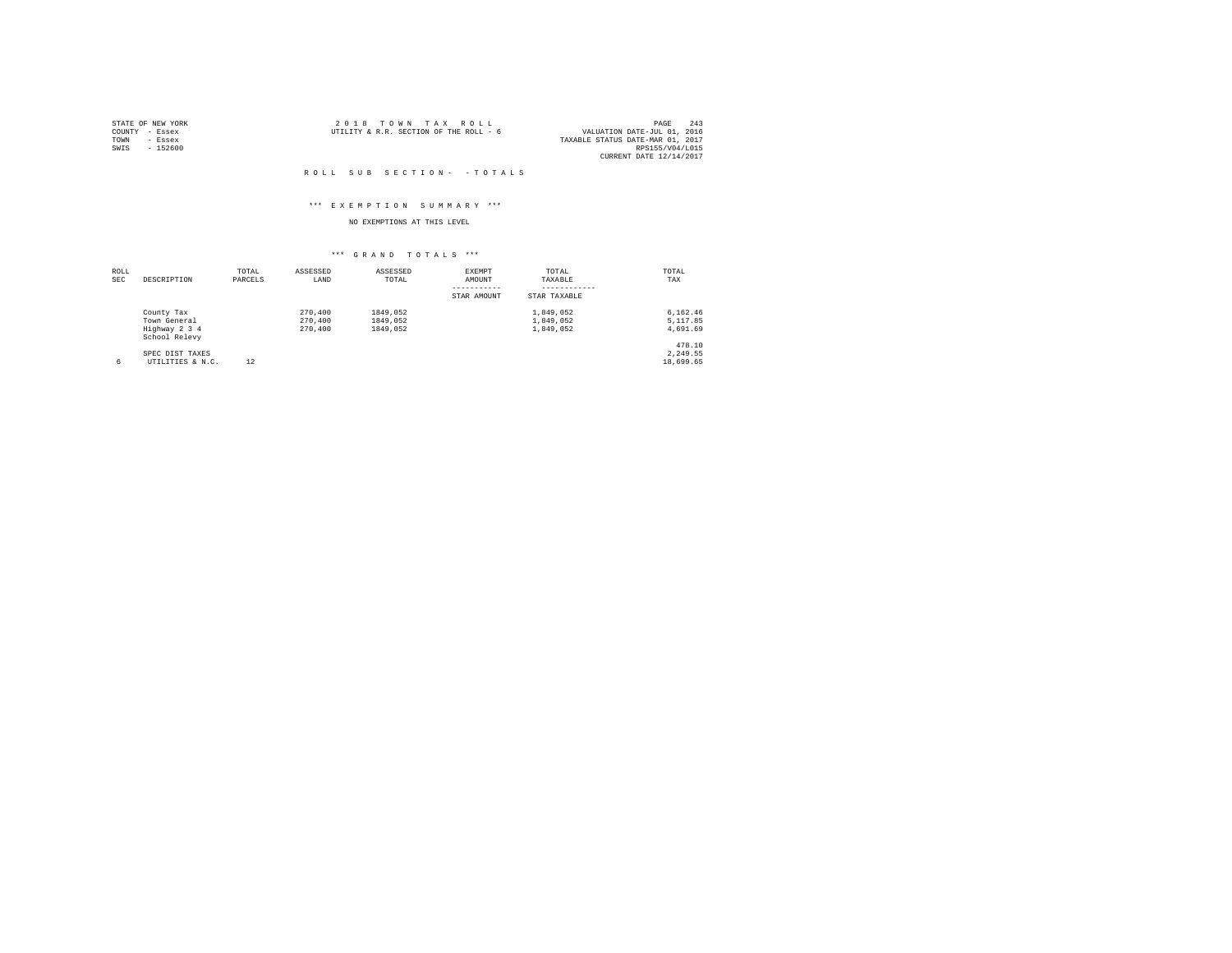|                | STATE OF NEW YORK | 2018 TOWN TAX ROLL                                                    | PAGE            | 243 |
|----------------|-------------------|-----------------------------------------------------------------------|-----------------|-----|
| COUNTY - Essex |                   | VALUATION DATE-JUL 01, 2016<br>UTILITY & R.R. SECTION OF THE ROLL - 6 |                 |     |
| TOWN           | - Essex           | TAXABLE STATUS DATE-MAR 01, 2017                                      |                 |     |
| SWIS           | - 152600          |                                                                       | RPS155/V04/L015 |     |
|                |                   | CURRENT DATE 12/14/2017                                               |                 |     |

#### \*\*\* E X E M P T I O N S U M M A R Y \*\*\*

### NO EXEMPTIONS AT THIS LEVEL

| <b>ROLL</b><br><b>SEC</b> | DESCRIPTION                    | TOTAL<br>PARCELS | ASSESSED<br>LAND | ASSESSED<br>TOTAL | EXEMPT<br>AMOUNT | TOTAL<br>TAXABLE | TOTAL<br>TAX |
|---------------------------|--------------------------------|------------------|------------------|-------------------|------------------|------------------|--------------|
|                           |                                |                  |                  |                   | STAR AMOUNT      | STAR TAXABLE     |              |
|                           | County Tax                     |                  | 270,400          | 1849.052          |                  | 1.849.052        | 6.162.46     |
|                           | Town General                   |                  | 270,400          | 1849.052          |                  | 1,849,052        | 5,117.85     |
|                           | Highway 2 3 4<br>School Relevy |                  | 270,400          | 1849.052          |                  | 1,849,052        | 4,691.69     |
|                           |                                |                  |                  |                   |                  |                  | 478.10       |
|                           | SPEC DIST TAXES                |                  |                  |                   |                  |                  | 2.249.55     |
| 6                         | UTILITIES & N.C.               | 12               |                  |                   |                  |                  | 18,699.65    |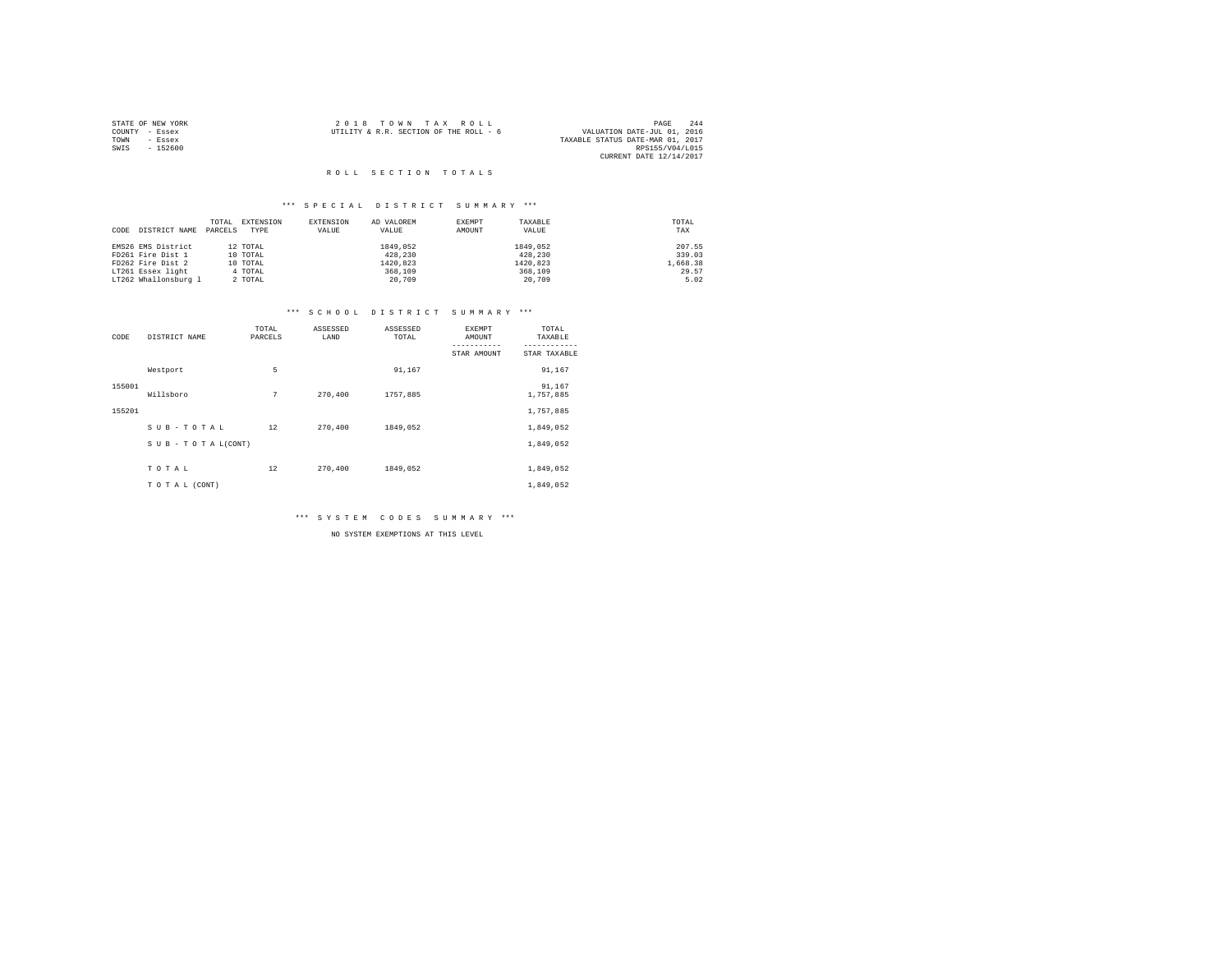|                | STATE OF NEW YORK | 2018 TOWN TAX ROLL                                                    | PAGE                    | 244 |
|----------------|-------------------|-----------------------------------------------------------------------|-------------------------|-----|
| COUNTY - Essex |                   | VALUATION DATE-JUL 01, 2016<br>UTILITY & R.R. SECTION OF THE ROLL - 6 |                         |     |
| TOWN           | - Essex           | TAXABLE STATUS DATE-MAR 01, 2017                                      |                         |     |
| SWIS           | $-152600$         |                                                                       | RPS155/V04/L015         |     |
|                |                   |                                                                       | CURRENT DATE 12/14/2017 |     |

#### \*\*\* S P E C I A L D I S T R I C T S U M M A R Y \*\*\*

|                       | TOTAL   | EXTENSION | EXTENSION | AD VALOREM | EXEMPT | TAXABLE  | TOTAL    |
|-----------------------|---------|-----------|-----------|------------|--------|----------|----------|
| DISTRICT NAME<br>CODE | PARCELS | TYPE      | VALUE     | VALUE      | AMOUNT | VALUE    | TAX      |
| EMS26 EMS District    |         | 12 TOTAL  |           | 1849.052   |        | 1849.052 | 207.55   |
| FD261 Fire Dist 1     |         | 10 TOTAL  |           | 428,230    |        | 428,230  | 339.03   |
| FD262 Fire Dist 2     |         | 10 TOTAL  |           | 1420.823   |        | 1420.823 | 1,668.38 |
| LT261 Essex light     |         | 4 TOTAL   |           | 368,109    |        | 368,109  | 29.57    |
| LT262 Whallonsburg 1  |         | 2 TOTAL   |           | 20,709     |        | 20,709   | 5.02     |

#### \*\*\* S C H O O L D I S T R I C T S U M M A R Y \*\*\*

| CODE   | DISTRICT NAME      | TOTAL<br>PARCELS | ASSESSED<br>LAND | ASSESSED<br>TOTAL | EXEMPT<br>AMOUNT | TOTAL<br>TAXABLE    |
|--------|--------------------|------------------|------------------|-------------------|------------------|---------------------|
|        |                    |                  |                  |                   | STAR AMOUNT      | STAR TAXABLE        |
|        | Westport           | 5                |                  | 91,167            |                  | 91,167              |
| 155001 | Willsboro          | 7                | 270,400          | 1757,885          |                  | 91,167<br>1,757,885 |
| 155201 |                    |                  |                  |                   |                  | 1,757,885           |
|        | SUB-TOTAL          | 12               | 270,400          | 1849,052          |                  | 1,849,052           |
|        | SUB - TO TAL(CONT) |                  |                  |                   |                  | 1,849,052           |
|        | TOTAL              | 12               | 270,400          | 1849,052          |                  | 1,849,052           |
|        | TO TAL (CONT)      |                  |                  |                   |                  | 1,849,052           |

\*\*\* S Y S T E M C O D E S S U M M A R Y \*\*\*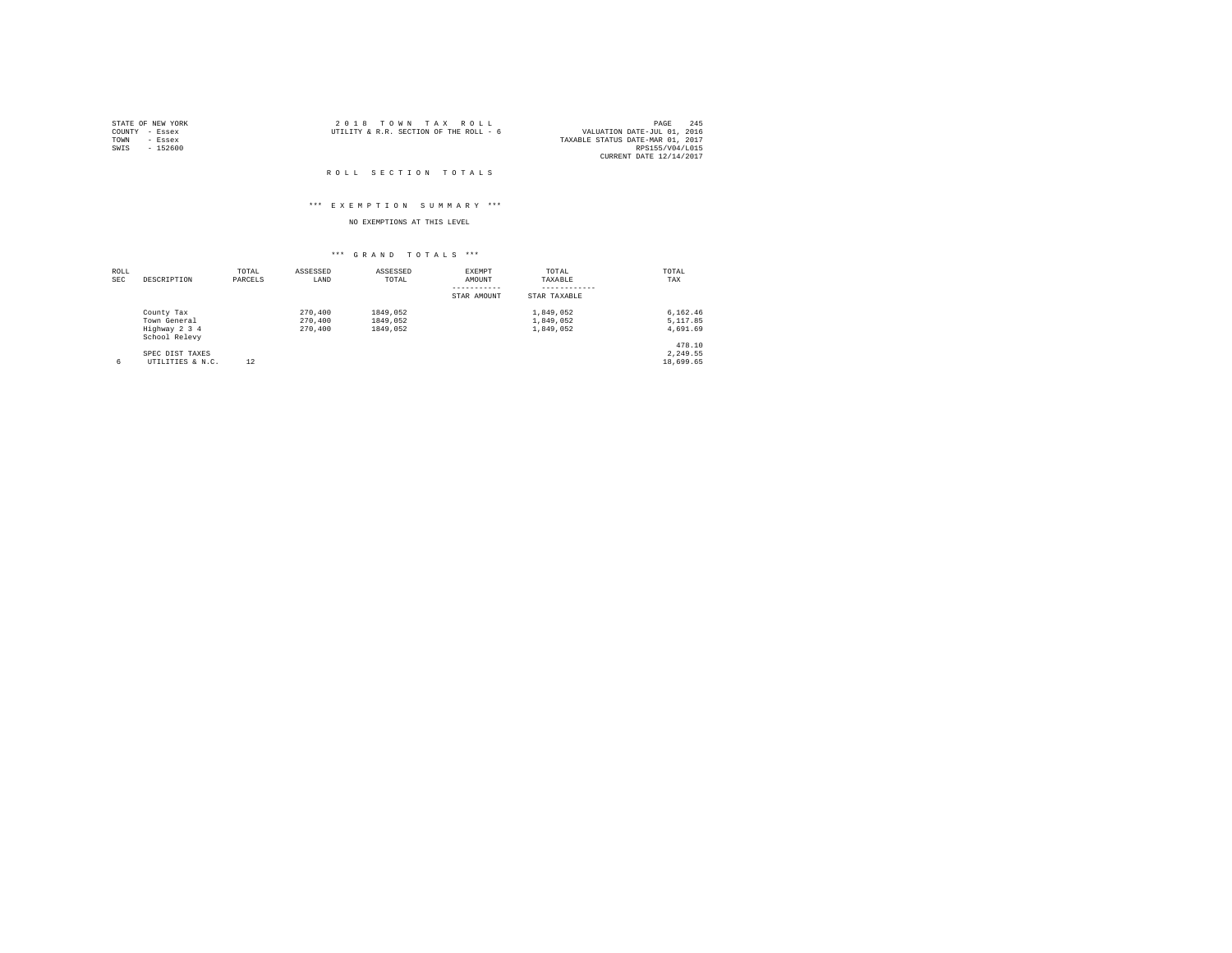|                | STATE OF NEW YORK | 2018 TOWN TAX ROLL                                                    | PAGE            | 245 |
|----------------|-------------------|-----------------------------------------------------------------------|-----------------|-----|
| COUNTY - Essex |                   | VALUATION DATE-JUL 01, 2016<br>UTILITY & R.R. SECTION OF THE ROLL - 6 |                 |     |
| TOWN           | - Essex           | TAXABLE STATUS DATE-MAR 01, 2017                                      |                 |     |
| SWIS           | - 152600          |                                                                       | RPS155/V04/L015 |     |
|                |                   | CURRENT DATE 12/14/2017                                               |                 |     |

#### ROLL SECTION TOTALS

#### \*\*\* E X E M P T I O N S U M M A R Y \*\*\*

### NO EXEMPTIONS AT THIS LEVEL

| ROLL<br><b>SEC</b> | DESCRIPTION                    | TOTAL<br>PARCELS | ASSESSED<br>LAND | ASSESSED<br>TOTAL | <b>EXEMPT</b><br>AMOUNT | TOTAL<br>TAXABLE | TOTAL<br>TAX |
|--------------------|--------------------------------|------------------|------------------|-------------------|-------------------------|------------------|--------------|
|                    |                                |                  |                  |                   | STAR AMOUNT             | STAR TAXABLE     |              |
|                    | County Tax                     |                  | 270,400          | 1849.052          |                         | 1.849.052        | 6.162.46     |
|                    | Town General                   |                  | 270,400          | 1849.052          |                         | 1.849.052        | 5,117.85     |
|                    | Highway 2 3 4<br>School Relevy |                  | 270,400          | 1849.052          |                         | 1,849,052        | 4,691.69     |
|                    |                                |                  |                  |                   |                         |                  | 478.10       |
|                    | SPEC DIST TAXES                |                  |                  |                   |                         |                  | 2.249.55     |
| 6                  | UTILITIES & N.C.               | 12               |                  |                   |                         |                  | 18,699.65    |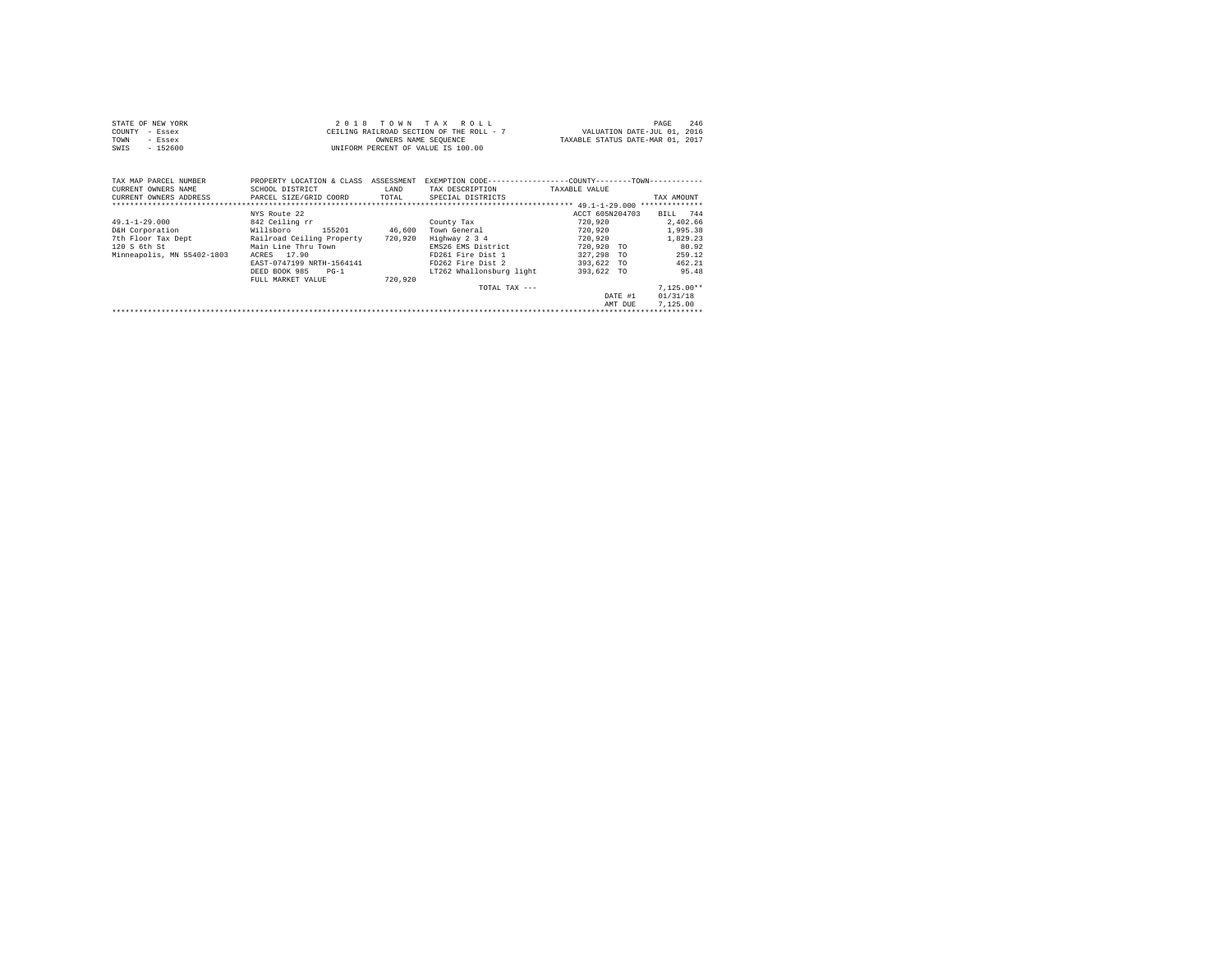| STATE OF NEW YORK | 2018 TOWN TAX ROLL                       | 246<br>PAGE                      |
|-------------------|------------------------------------------|----------------------------------|
| COUNTY - Essex    | CEILING RAILROAD SECTION OF THE ROLL - 7 | VALUATION DATE-JUL 01, 2016      |
| TOWN<br>- Essex   | OWNERS NAME SEOUENCE                     | TAXABLE STATUS DATE-MAR 01, 2017 |
| $-152600$<br>SWIS | UNIFORM PERCENT OF VALUE IS 100.00       |                                  |

| TAX MAP PARCEL NUMBER<br>CURRENT OWNERS NAME<br>CURRENT OWNERS ADDRESS                                     | PROPERTY LOCATION & CLASS<br>SCHOOL DISTRICT<br>PARCEL SIZE/GRID COORD                                                                                                                                   | ASSESSMENT<br>LAND<br>TOTAL  | TAX DESCRIPTION<br>SPECIAL DISTRICTS                                                                                                                       | EXEMPTION CODE-----------------COUNTY--------TOWN-----------<br>TAXABLE VALUE                                                                         | TAX AMOUNT<br>**************                                                                                                  |
|------------------------------------------------------------------------------------------------------------|----------------------------------------------------------------------------------------------------------------------------------------------------------------------------------------------------------|------------------------------|------------------------------------------------------------------------------------------------------------------------------------------------------------|-------------------------------------------------------------------------------------------------------------------------------------------------------|-------------------------------------------------------------------------------------------------------------------------------|
| $49.1 - 1 - 29.000$<br>D&H Corporation<br>7th Floor Tax Dept<br>120 S 6th St<br>Minneapolis, MN 55402-1803 | NYS Route 22<br>842 Ceiling rr<br>Willsboro<br>155201<br>Railroad Ceiling Property<br>Main Line Thru Town<br>17.90<br>ACRES<br>EAST-0747199 NRTH-1564141<br>DEED BOOK 985<br>$PG-1$<br>FULL MARKET VALUE | 46,600<br>720,920<br>720,920 | County Tax<br>Town General<br>Highway 2 3 4<br>EMS26 EMS District<br>FD261 Fire Dist 1<br>FD262 Fire Dist 2<br>LT262 Whallonsburg light<br>TOTAL TAX $---$ | ACCT 605N204703<br>720,920<br>720,920<br>720,920<br>720,920<br>TO<br>327,298<br><b>TO</b><br>393.622<br><b>TO</b><br>393,622 TO<br>DATE #1<br>AMT DUE | 744<br>BILL<br>2.402.66<br>1,995.38<br>1.829.23<br>80.92<br>259.12<br>462.21<br>95.48<br>$7.125.00**$<br>01/31/18<br>7.125.00 |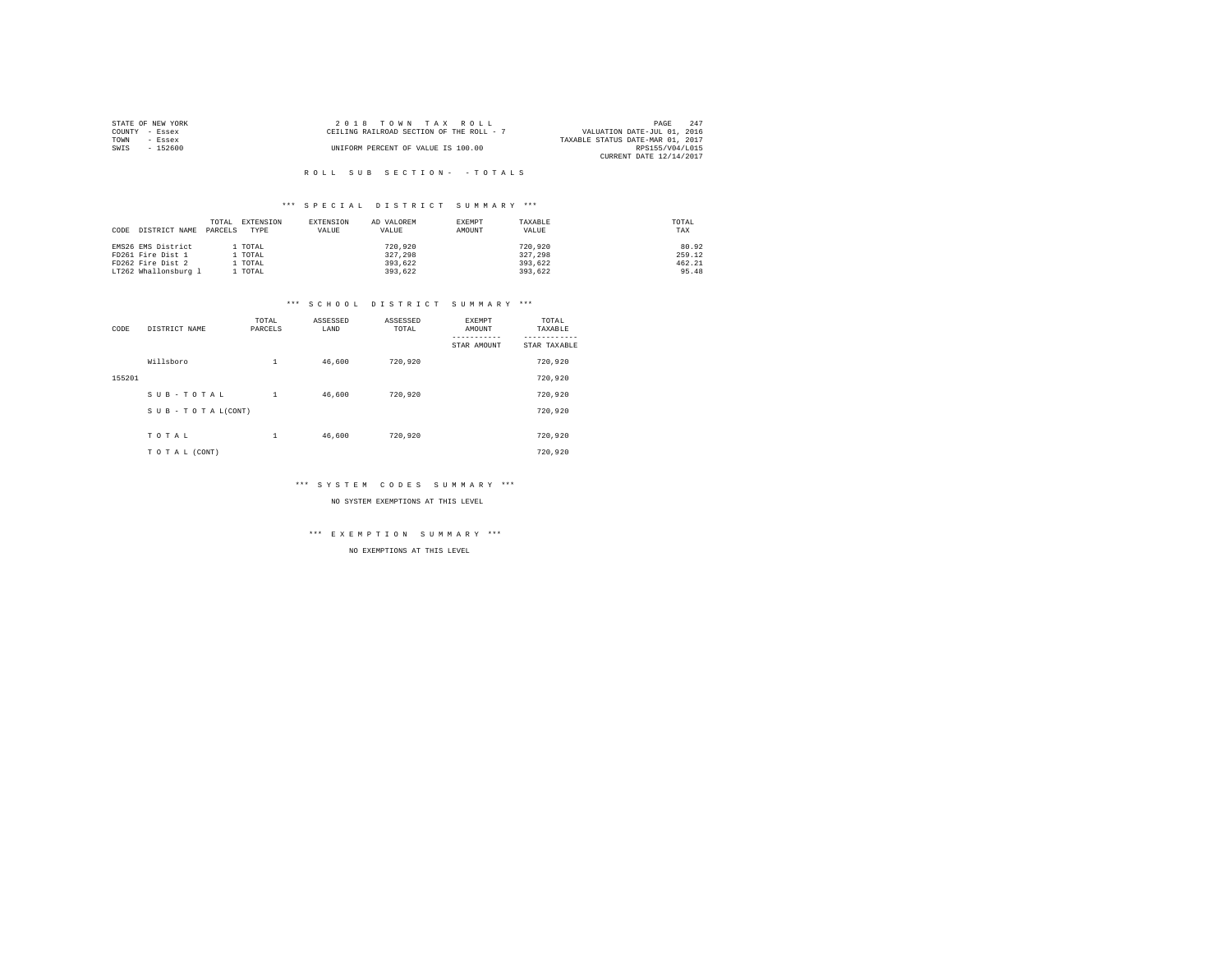| STATE OF NEW YORK | 2018 TOWN TAX ROLL                       | 247<br>PAGE                      |
|-------------------|------------------------------------------|----------------------------------|
| COUNTY - Essex    | CEILING RAILROAD SECTION OF THE ROLL - 7 | VALUATION DATE-JUL 01, 2016      |
| TOWN<br>- Essex   |                                          | TAXABLE STATUS DATE-MAR 01, 2017 |
| $-152600$<br>SWIS | UNIFORM PERCENT OF VALUE IS 100.00       | RPS155/V04/L015                  |
|                   |                                          | CURRENT DATE 12/14/2017          |

#### \*\*\* S P E C I A L D I S T R I C T S U M M A R Y \*\*\*

| CODE | DISTRICT NAME        | TOTAL<br>PARCELS | EXTENSION<br>TYPE | EXTENSION<br>VALUE | AD VALOREM<br>VALUE | EXEMPT<br>AMOUNT | TAXABLE<br>VALUE | TOTAL<br>TAX |
|------|----------------------|------------------|-------------------|--------------------|---------------------|------------------|------------------|--------------|
|      | EMS26 EMS District   |                  | . TOTAL           |                    | 720,920             |                  | 720.920          | 80.92        |
|      | FD261 Fire Dist 1    |                  | . TOTAL           |                    | 327,298             |                  | 327,298          | 259.12       |
|      | FD262 Fire Dist 2    |                  | . TOTAL           |                    | 393,622             |                  | 393.622          | 462.21       |
|      | LT262 Whallonsburg 1 |                  | TOTAL             |                    | 393.622             |                  | 393.622          | 95.48        |

#### \*\*\* S C H O O L D I S T R I C T S U M M A R Y \*\*\*

| CODE   | DISTRICT NAME      | TOTAL<br>PARCELS | ASSESSED<br>LAND | ASSESSED<br>TOTAL | <b>EXEMPT</b><br>AMOUNT<br>STAR AMOUNT | TOTAL<br>TAXABLE<br>---------<br>STAR TAXABLE |
|--------|--------------------|------------------|------------------|-------------------|----------------------------------------|-----------------------------------------------|
|        | Willsboro          | $\mathbf{1}$     | 46,600           | 720.920           |                                        | 720,920                                       |
| 155201 |                    |                  |                  |                   |                                        | 720.920                                       |
|        | SUB-TOTAL          | $\mathbf{1}$     | 46,600           | 720.920           |                                        | 720,920                                       |
|        | SUB - TO TAL(CONT) |                  |                  |                   |                                        | 720,920                                       |
|        |                    |                  |                  |                   |                                        |                                               |
|        | TOTAL              | $\mathbf{1}$     | 46,600           | 720.920           |                                        | 720,920                                       |
|        | TO TAL (CONT)      |                  |                  |                   |                                        | 720.920                                       |

#### \*\*\* S Y S T E M C O D E S S U M M A R Y \*\*\*

NO SYSTEM EXEMPTIONS AT THIS LEVEL

#### \*\*\* E X E M P T I O N S U M M A R Y \*\*\*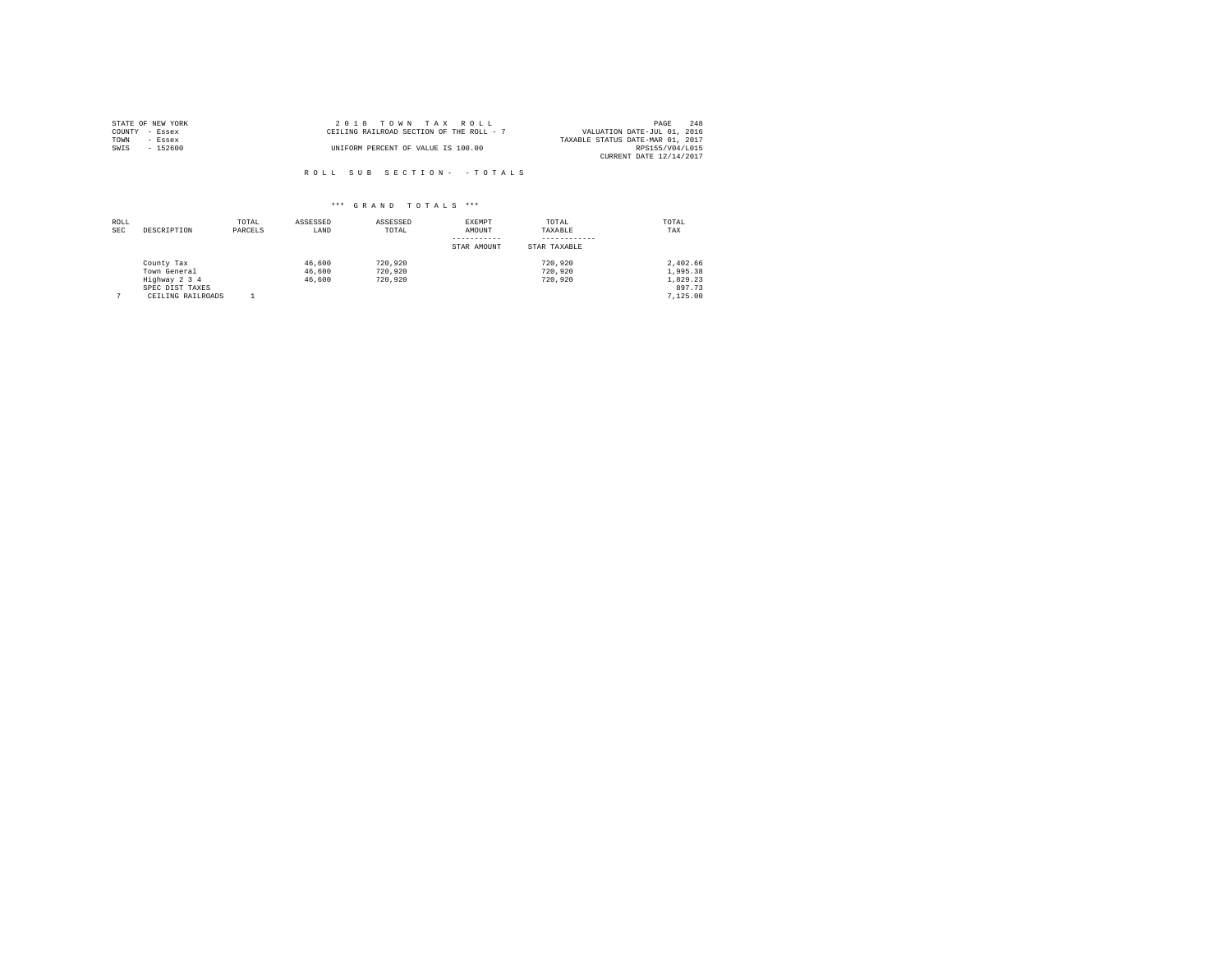| STATE OF NEW YORK | 2018 TOWN TAX ROLL                       | 248<br>PAGE                      |
|-------------------|------------------------------------------|----------------------------------|
| COUNTY<br>- Essex | CEILING RAILROAD SECTION OF THE ROLL - 7 | VALUATION DATE-JUL 01, 2016      |
| TOWN<br>- Essex   |                                          | TAXABLE STATUS DATE-MAR 01, 2017 |
| SWIS<br>$-152600$ | UNIFORM PERCENT OF VALUE IS 100.00       | RPS155/V04/L015                  |
|                   |                                          | CURRENT DATE 12/14/2017          |

ROLL SUB SECTION - - TOTALS

|                                                                                     |                            |                               | STAR AMOUNT | STAR TAXABLE                  |                                                        |
|-------------------------------------------------------------------------------------|----------------------------|-------------------------------|-------------|-------------------------------|--------------------------------------------------------|
| County Tax<br>Town General<br>Highway 2 3 4<br>SPEC DIST TAXES<br>CEILING RAILROADS | 46,600<br>46,600<br>46,600 | 720,920<br>720,920<br>720,920 |             | 720,920<br>720,920<br>720,920 | 2.402.66<br>1,995.38<br>1.829.23<br>897.73<br>7.125.00 |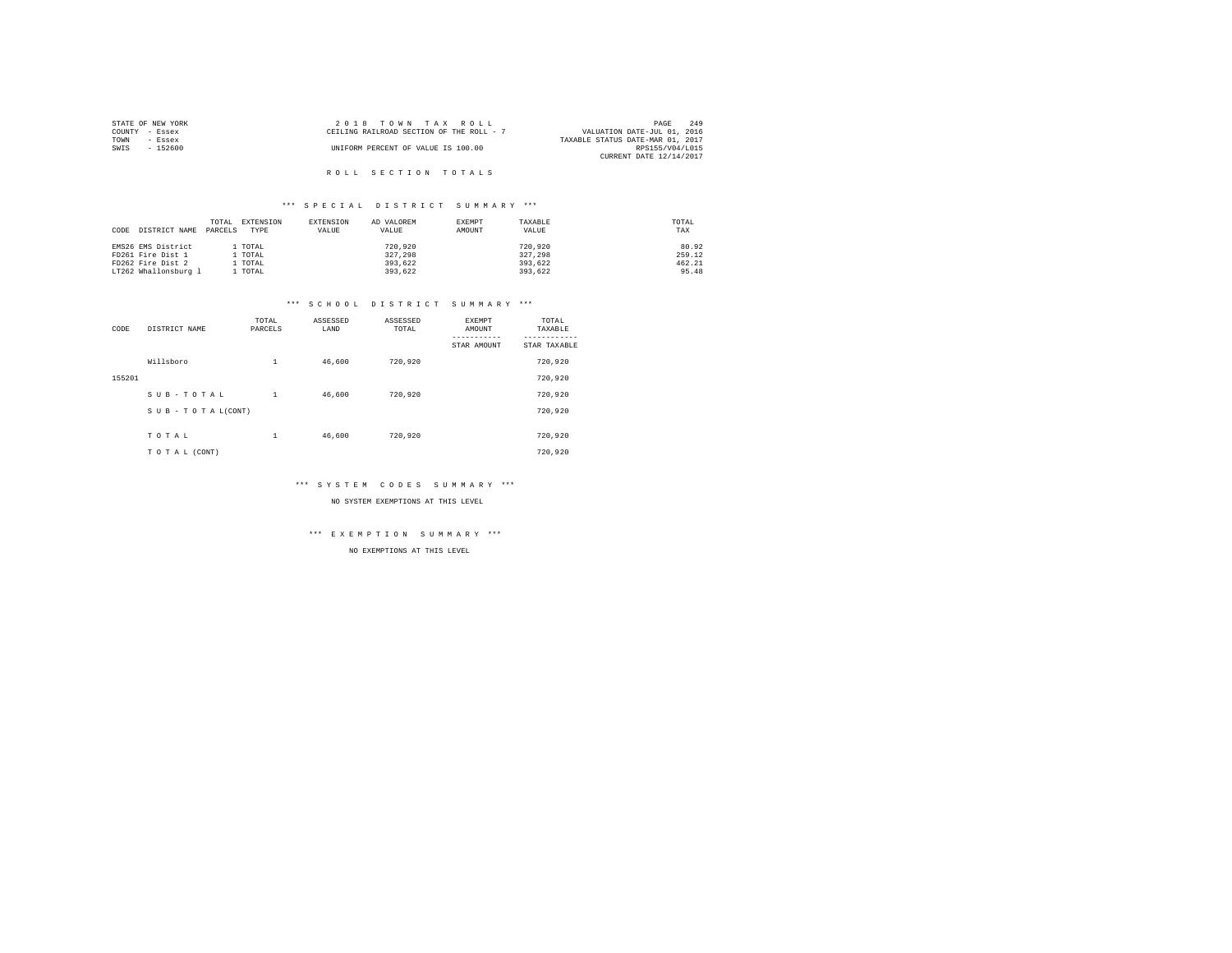| STATE OF NEW YORK | 2018 TOWN TAX ROLL                       | 249<br>PAGE                      |
|-------------------|------------------------------------------|----------------------------------|
| COUNTY - Essex    | CEILING RAILROAD SECTION OF THE ROLL - 7 | VALUATION DATE-JUL 01, 2016      |
| TOWN<br>- Essex   |                                          | TAXABLE STATUS DATE-MAR 01, 2017 |
| SWIS<br>- 152600  | UNIFORM PERCENT OF VALUE IS 100.00       | RPS155/V04/L015                  |
|                   |                                          | CURRENT DATE 12/14/2017          |
|                   |                                          |                                  |

#### \*\*\* S P E C I A L D I S T R I C T S U M M A R Y \*\*\*

|      |                      | TOTAL   | EXTENSION | EXTENSION | AD VALOREM | EXEMPT | TAXABLE | TOTAL  |
|------|----------------------|---------|-----------|-----------|------------|--------|---------|--------|
| CODE | DISTRICT NAME        | PARCELS | TYPE      | VALUE     | VALUE      | AMOUNT | VALUE   | TAX    |
|      | EMS26 EMS District   |         | . TOTAL   |           | 720.920    |        | 720,920 | 80.92  |
|      | FD261 Fire Dist 1    |         | l TOTAL   |           | 327,298    |        | 327,298 | 259.12 |
|      | FD262 Fire Dist 2    |         | l TOTAL   |           | 393.622    |        | 393,622 | 462.21 |
|      | LT262 Whallonsburg 1 |         | . TOTAL   |           | 393.622    |        | 393,622 | 95.48  |

#### \*\*\* S C H O O L D I S T R I C T S U M M A R Y \*\*\*

| CODE   | DISTRICT NAME      | TOTAL<br>PARCELS | ASSESSED<br>LAND | ASSESSED<br>TOTAL | <b>EXEMPT</b><br>AMOUNT | TOTAL<br>TAXABLE |  |  |
|--------|--------------------|------------------|------------------|-------------------|-------------------------|------------------|--|--|
|        |                    |                  |                  |                   | STAR AMOUNT             | STAR TAXABLE     |  |  |
|        | Willsboro          | $\mathbf{1}$     | 46,600           | 720.920           |                         | 720.920          |  |  |
| 155201 |                    |                  |                  |                   |                         | 720.920          |  |  |
|        | SUB-TOTAL          | $\mathbf{1}$     | 46,600           | 720.920           |                         | 720,920          |  |  |
|        | SUB - TO TAL(CONT) |                  |                  |                   |                         | 720.920          |  |  |
|        |                    |                  |                  |                   |                         |                  |  |  |
|        | TOTAL              | $\mathbf{1}$     | 46,600           | 720.920           |                         | 720.920          |  |  |
|        | TO TAL (CONT)      |                  |                  |                   |                         | 720.920          |  |  |

#### \*\*\* S Y S T E M C O D E S S U M M A R Y \*\*\*

NO SYSTEM EXEMPTIONS AT THIS LEVEL

#### \*\*\* E X E M P T I O N S U M M A R Y \*\*\*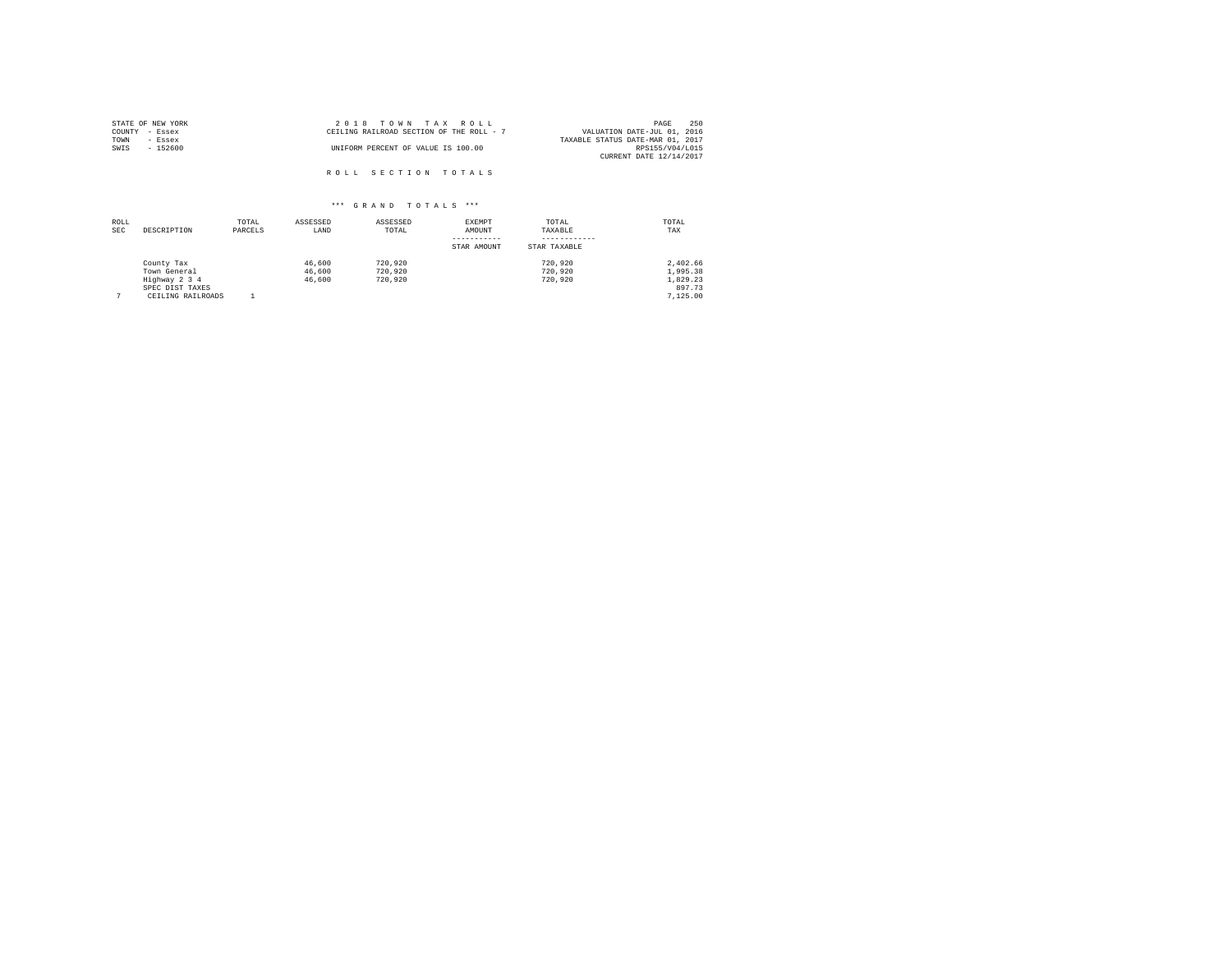| STATE OF NEW YORK | 2018 TOWN TAX ROLL                       | 250<br>PAGE                      |
|-------------------|------------------------------------------|----------------------------------|
| COUNTY - Essex    | CEILING RAILROAD SECTION OF THE ROLL - 7 | VALUATION DATE-JUL 01, 2016      |
| TOWN<br>- Essex   |                                          | TAXABLE STATUS DATE-MAR 01, 2017 |
| SWIS<br>$-152600$ | UNIFORM PERCENT OF VALUE IS 100.00       | RPS155/V04/L015                  |
|                   |                                          | CURRENT DATE 12/14/2017          |
|                   | ROLL SECTION TOTALS                      |                                  |

| ROLL<br><b>SEC</b> | DESCRIPTION                                                                         | TOTAL<br>PARCELS | ASSESSED<br>LAND           | ASSESSED<br>TOTAL             | EXEMPT<br>AMOUNT<br>STAR AMOUNT | TOTAL<br>TAXABLE<br>STAR TAXABLE | TOTAL<br>TAX                                           |
|--------------------|-------------------------------------------------------------------------------------|------------------|----------------------------|-------------------------------|---------------------------------|----------------------------------|--------------------------------------------------------|
|                    | County Tax<br>Town General<br>Highway 2 3 4<br>SPEC DIST TAXES<br>CEILING RAILROADS |                  | 46,600<br>46,600<br>46,600 | 720,920<br>720,920<br>720,920 |                                 | 720,920<br>720,920<br>720,920    | 2,402.66<br>1,995.38<br>1.829.23<br>897.73<br>7.125.00 |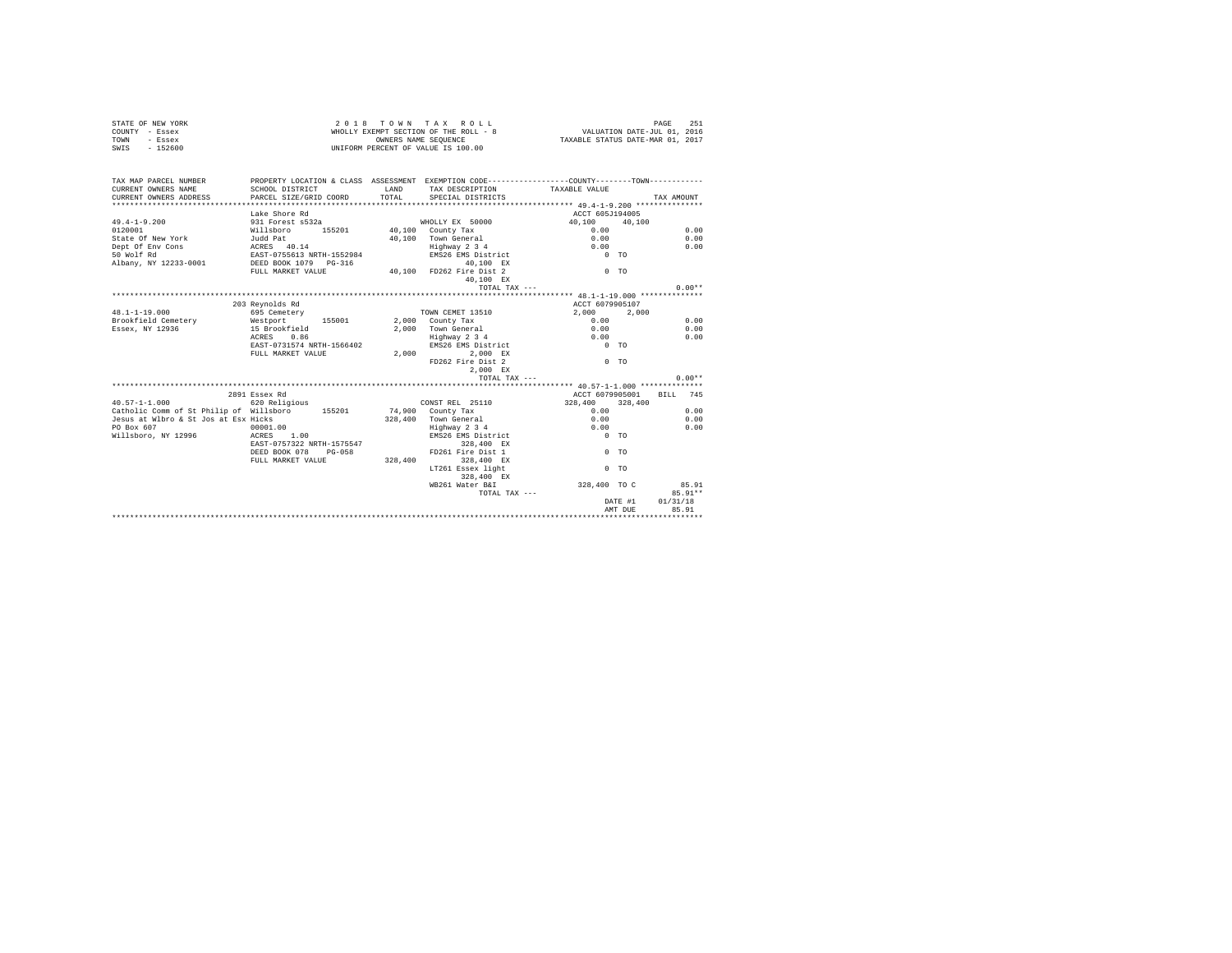|                | STATE OF NEW YORK | 2018 TOWN TAX ROLL                    | 251<br>PAGE                      |
|----------------|-------------------|---------------------------------------|----------------------------------|
| COUNTY - Essex |                   | WHOLLY EXEMPT SECTION OF THE ROLL - 8 | VALUATION DATE-JUL 01, 2016      |
| TOWN           | - Essex           | OWNERS NAME SEOUENCE                  | TAXABLE STATUS DATE-MAR 01, 2017 |
| SWIS           | $-152600$         | UNIFORM PERCENT OF VALUE IS 100.00    |                                  |

| TAX MAP PARCEL NUMBER                                                                                                                                                                                                                                | PROPERTY LOCATION & CLASS ASSESSMENT EXEMPTION CODE----------------COUNTY-------TOWN---------- |                                          |                                                     |                |          |
|------------------------------------------------------------------------------------------------------------------------------------------------------------------------------------------------------------------------------------------------------|------------------------------------------------------------------------------------------------|------------------------------------------|-----------------------------------------------------|----------------|----------|
|                                                                                                                                                                                                                                                      |                                                                                                |                                          |                                                     |                |          |
|                                                                                                                                                                                                                                                      |                                                                                                |                                          |                                                     |                |          |
|                                                                                                                                                                                                                                                      | Lake Shore Rd                                                                                  |                                          | ACCT 605J194005                                     |                |          |
| $\begin{array}{cccc} 49.4-1-9.200 & 931\text{ Forest s532a} & \text{WHOLLY EX} & 50000\\ 0120001 & 0 & 115\text{bor} & 155201 & 40,100\text{ Courny Tax} \\ \text{State of New York} & \text{wU1sboro} & 1 & 40,100\text{ Town General} \end{array}$ |                                                                                                |                                          | 40,100  40,100                                      |                |          |
|                                                                                                                                                                                                                                                      |                                                                                                |                                          | $0.00$<br>$0.00$                                    |                | 0.00     |
|                                                                                                                                                                                                                                                      |                                                                                                |                                          |                                                     |                | 0.00     |
| Dept Of Env Cons ACRES 40.14                                                                                                                                                                                                                         |                                                                                                |                                          |                                                     |                | 0.00     |
| 50 Wolf Rd                                                                                                                                                                                                                                           | EAST-0755613 NRTH-1552984<br>33-0001 DEED BOOK 1079 PG-316                                     | Fighway 2 3 4<br>EMS26 EMS District 0 TO |                                                     |                |          |
| Albany, NY 12233-0001                                                                                                                                                                                                                                |                                                                                                | $40,100$ EX<br>$  \alpha$                |                                                     |                |          |
|                                                                                                                                                                                                                                                      | FULL MARKET VALUE 40,100 FD262 Fire Dist 2                                                     |                                          | $0$ TO                                              |                |          |
|                                                                                                                                                                                                                                                      |                                                                                                | 40.100 EX                                |                                                     |                |          |
|                                                                                                                                                                                                                                                      |                                                                                                | TOTAL TAX ---                            |                                                     |                | $0.00**$ |
|                                                                                                                                                                                                                                                      |                                                                                                |                                          |                                                     |                |          |
|                                                                                                                                                                                                                                                      | 203 Reynolds Rd                                                                                |                                          | ACCT 6079905107                                     |                |          |
| $48.1 - 1 - 19.000$                                                                                                                                                                                                                                  | 695 Cemetery                                                                                   | TOWN CEMET 13510                         | 2,000 2,000                                         |                |          |
|                                                                                                                                                                                                                                                      |                                                                                                |                                          | 0.00                                                |                | 0.00     |
| Essex, NY 12936                                                                                                                                                                                                                                      | 15 Brookfield                                                                                  | 2,000 Town General 0.00                  |                                                     |                | 0.00     |
|                                                                                                                                                                                                                                                      | ACRES 0.86                                                                                     |                                          |                                                     |                | 0.00     |
|                                                                                                                                                                                                                                                      | EAST-0731574 NRTH-1566402                                                                      | Highway 2 3 4<br>EMS26 EMS District      | $\begin{matrix} 0.00 \\ 0 & \text{TO} \end{matrix}$ |                |          |
|                                                                                                                                                                                                                                                      | FULL MARKET VALUE                                                                              | 2,000 2,000 EX                           |                                                     |                |          |
|                                                                                                                                                                                                                                                      |                                                                                                | FD262 Fire Dist 2                        | $\sim$ 0 $\sim$ $\sim$ $\sim$ $\sim$                |                |          |
|                                                                                                                                                                                                                                                      |                                                                                                | 2,000 EX                                 |                                                     |                |          |
|                                                                                                                                                                                                                                                      |                                                                                                | TOTAL TAX $---$                          |                                                     |                | $0.00**$ |
|                                                                                                                                                                                                                                                      |                                                                                                |                                          |                                                     |                |          |
|                                                                                                                                                                                                                                                      | 2891 Essex Rd                                                                                  |                                          | ACCT 6079905001                                     |                | BILL 745 |
| $40.57 - 1 - 1.000$                                                                                                                                                                                                                                  | 620 Religious                                                                                  | CONST REL 25110                          | 328,400 328,400                                     |                |          |
| Catholic Comm of St Philip of Willsboro 155201 74,900 County Tax                                                                                                                                                                                     |                                                                                                |                                          |                                                     |                | 0.00     |
| Jesus at Wlbro & St Jos at Esx Hicks                                                                                                                                                                                                                 |                                                                                                | 328.400 Town General                     | $0.00$<br>$0.00$                                    |                | 0.00     |
| 00001.00<br>PO Box 607                                                                                                                                                                                                                               |                                                                                                | Highway 2 3 4                            | 0.00                                                |                | 0.00     |
| Willsboro, NY 12996 ACRES 1.00                                                                                                                                                                                                                       |                                                                                                | EMS26 EMS District 0 TO                  |                                                     |                |          |
|                                                                                                                                                                                                                                                      | EAST-0757322 NRTH-1575547                                                                      | 328,400 EX                               |                                                     |                |          |
|                                                                                                                                                                                                                                                      | DEED BOOK 078 PG-058                                                                           | FD261 Fire Dist 1                        | $0$ TO                                              |                |          |
|                                                                                                                                                                                                                                                      | FULL MARKET VALUE 328,400 328,400 EX                                                           |                                          |                                                     |                |          |
|                                                                                                                                                                                                                                                      |                                                                                                | LT261 Essex light                        |                                                     | 0 <sub>0</sub> |          |
|                                                                                                                                                                                                                                                      |                                                                                                | 328,400 EX                               |                                                     |                |          |
|                                                                                                                                                                                                                                                      |                                                                                                | WB261 Water B&I                          | 328,400 TO C                                        |                | 85.91    |
|                                                                                                                                                                                                                                                      |                                                                                                |                                          |                                                     |                | 85.91**  |
|                                                                                                                                                                                                                                                      |                                                                                                | TOTAL TAX ---                            |                                                     | DATE #1        | 01/31/18 |
|                                                                                                                                                                                                                                                      |                                                                                                |                                          |                                                     | AMT DUE        | 85.91    |
|                                                                                                                                                                                                                                                      |                                                                                                |                                          |                                                     |                |          |
|                                                                                                                                                                                                                                                      |                                                                                                |                                          |                                                     |                |          |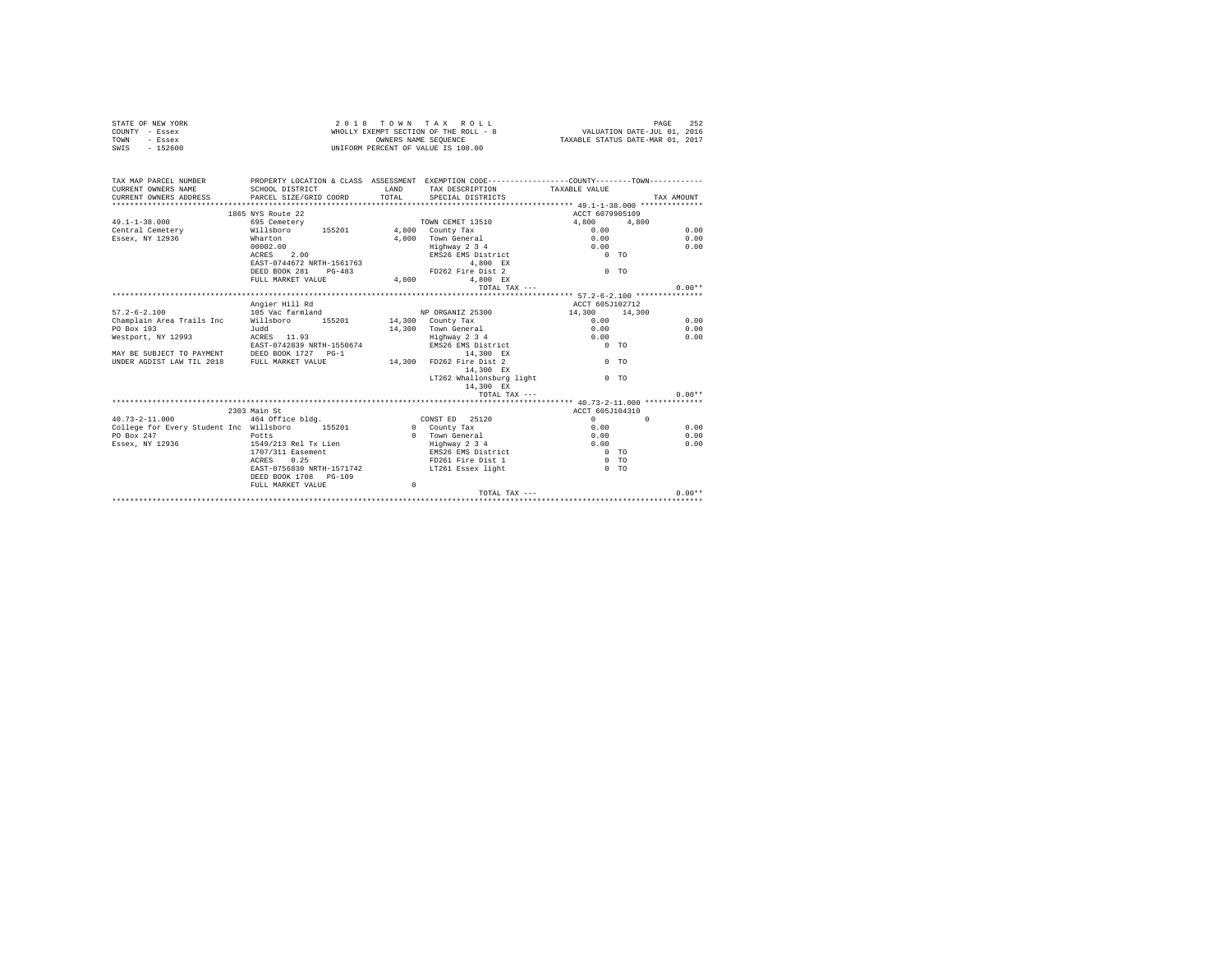| STATE OF NEW YORK | 2018 TOWN TAX ROLL                    | 252<br>PAGE                      |
|-------------------|---------------------------------------|----------------------------------|
| COUNTY - Essex    | WHOLLY EXEMPT SECTION OF THE ROLL - 8 | VALUATION DATE-JUL 01, 2016      |
| TOWN<br>- Essex   | OWNERS NAME SEOUENCE                  | TAXABLE STATUS DATE-MAR 01, 2017 |
| $-152600$<br>SWIS | UNIFORM PERCENT OF VALUE IS 100.00    |                                  |

| TAX MAP PARCEL NUMBER<br>CURRENT OWNERS NAME<br>CURRENT OWNERS ADDRESS PARCEL SIZE/GRID COORD TOTAL | PROPERTY LOCATION & CLASS ASSESSMENT EXEMPTION CODE----------------COUNTY-------TOWN---------<br>SCHOOL DISTRICT | <b>T.AND</b> | TAX DESCRIPTION TAXABLE VALUE<br>SPECIAL DISTRICTS |                     |          | TAX AMOUNT |
|-----------------------------------------------------------------------------------------------------|------------------------------------------------------------------------------------------------------------------|--------------|----------------------------------------------------|---------------------|----------|------------|
|                                                                                                     | 1865 NYS Route 22                                                                                                |              |                                                    | ACCT 6079905109     |          |            |
| $49.1 - 1 - 38.000$<br>Central Cemetery                                                             | 695 Cemetery<br>Willsboro 155201 4,800 County Tax                                                                |              | TOWN CEMET 13510                                   | 4,800 4,800<br>0.00 |          | 0.00       |
| <b>Wharton</b><br>Essex, NY 12936                                                                   |                                                                                                                  |              | 4,800 Town General                                 | 0.00                |          | 0.00       |
|                                                                                                     | 00002.00                                                                                                         |              | Highway 2 3 4                                      | 0.00                |          | 0.00       |
|                                                                                                     | ACRES 2.00                                                                                                       |              | EMS26 EMS District 0 TO                            |                     |          |            |
|                                                                                                     | EAST-0744672 NRTH-1561763                                                                                        |              | 4.800 EX                                           |                     |          |            |
|                                                                                                     | DEED BOOK 281 PG-483                                                                                             |              | FD262 Fire Dist 2                                  | $0$ TO              |          |            |
|                                                                                                     | FULL MARKET VALUE                                                                                                | 4,800        | 4,800 EX                                           |                     |          |            |
|                                                                                                     |                                                                                                                  |              | $TOTAI. TAX --$                                    |                     |          | $0.00**$   |
|                                                                                                     |                                                                                                                  |              |                                                    |                     |          |            |
|                                                                                                     | Angier Hill Rd                                                                                                   |              |                                                    | ACCT 605J102712     |          |            |
| $57.2 - 6 - 2.100$                                                                                  |                                                                                                                  |              |                                                    | 14,300 14,300       |          |            |
| Champlain Area Trails Inc                                                                           | Willsboro 155201 14,300 County Tax                                                                               |              |                                                    | 0.00                |          | 0.00       |
| PO Box 193                                                                                          | Judd                                                                                                             |              | 14,300 Town General                                | 0.00                |          | 0.00       |
| Westport, NY 12993                                                                                  | ACRES 11.93                                                                                                      |              | Highway 2 3 4                                      | 0.00                |          | 0.00       |
|                                                                                                     | EAST-0742839 NRTH-1550674                                                                                        |              | EMS26 EMS District                                 | $0$ TO              |          |            |
| MAY BE SUBJECT TO PAYMENT DEED BOOK 1727 PG-1                                                       |                                                                                                                  |              | 14,300 EX                                          |                     |          |            |
| UNDER AGDIST LAW TIL 2018 FULL MARKET VALUE                                                         |                                                                                                                  |              | 14,300 FD262 Fire Dist 2                           |                     | $0$ TO   |            |
|                                                                                                     |                                                                                                                  |              | 14,300 EX                                          |                     |          |            |
|                                                                                                     |                                                                                                                  |              | LT262 Whallonsburg light                           | $0$ TO              |          |            |
|                                                                                                     |                                                                                                                  |              | 14,300 EX                                          |                     |          |            |
|                                                                                                     |                                                                                                                  |              | TOTAL TAX ---                                      |                     |          | $0.00**$   |
|                                                                                                     |                                                                                                                  |              |                                                    |                     |          |            |
|                                                                                                     | 2303 Main St                                                                                                     |              |                                                    | ACCT 605J104310     |          |            |
| $40.73 - 2 - 11.000$                                                                                | 464 Office bldg.                                                                                                 |              | CONST ED 25120                                     | $\sim$ 0            | $\Omega$ |            |
| College for Every Student Inc Willsboro 155201 0 County Tax                                         |                                                                                                                  |              |                                                    | 0.00                |          | 0.00       |
| PO Box 247                                                                                          | Potts                                                                                                            |              | 0 Town General 0.00                                |                     |          | 0.00       |
| Essex, NY 12936                                                                                     | 1549/213 Rel Tx Lien                                                                                             |              | Highway 2 3 4                                      | 0.00                |          | 0.00       |
|                                                                                                     | 1707/311 Easement                                                                                                |              | EMS26 EMS District                                 | $0$ TO              |          |            |
|                                                                                                     | ACRES 0.25                                                                                                       |              | FD261 Fire Dist 1                                  | $0$ TO              |          |            |
|                                                                                                     | EAST-0756830 NRTH-1571742                                                                                        |              | LT261 Essex light                                  | $0$ TO              |          |            |
|                                                                                                     | DEED BOOK 1708 PG-109                                                                                            |              |                                                    |                     |          |            |
|                                                                                                     | FULL MARKET VALUE                                                                                                | $\Omega$     |                                                    |                     |          |            |
|                                                                                                     |                                                                                                                  |              |                                                    |                     |          | $0.00**$   |
|                                                                                                     |                                                                                                                  |              |                                                    |                     |          |            |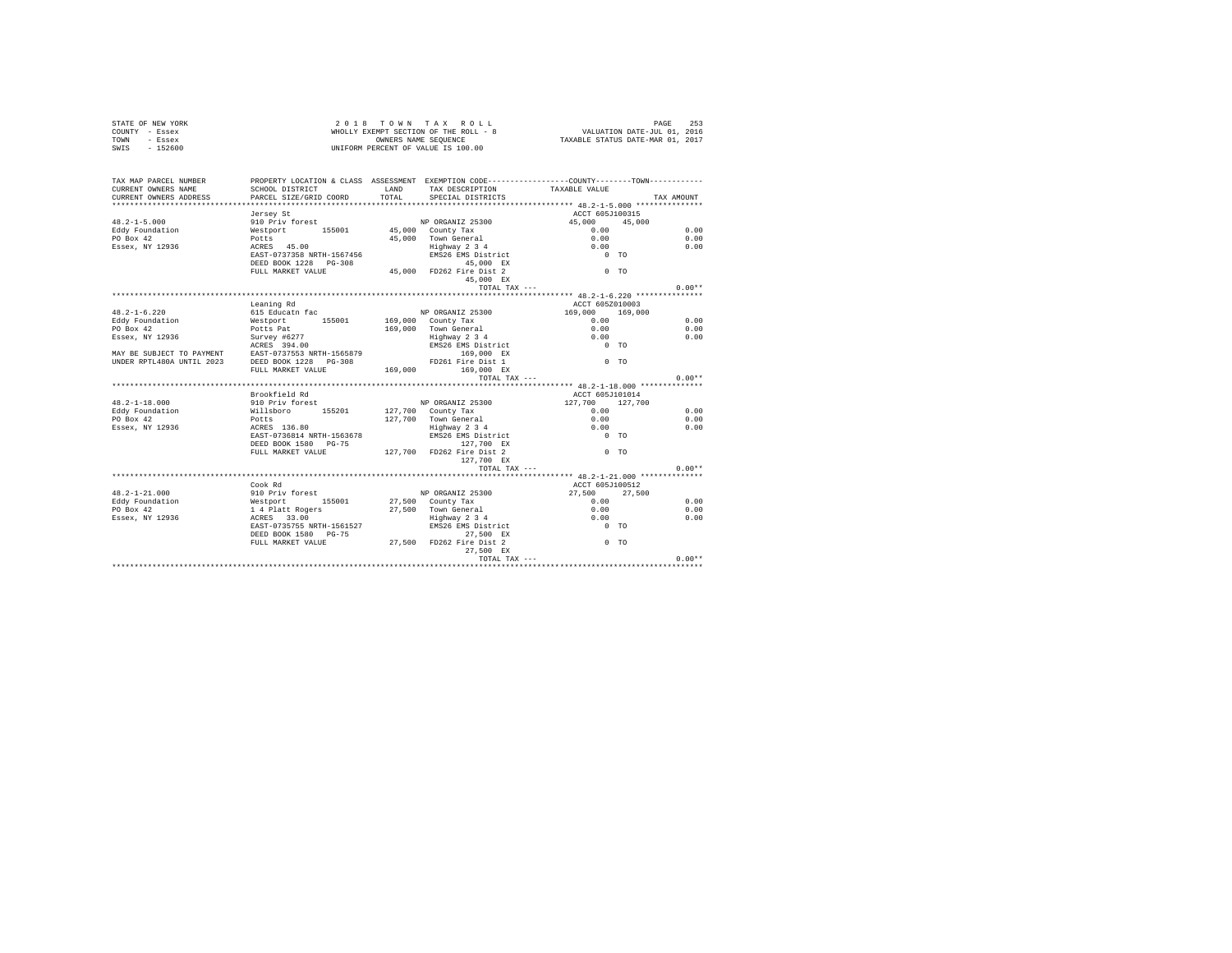|                | STATE OF NEW YORK | 2018 TOWN TAX ROLL                    | 253<br>PAGE                      |
|----------------|-------------------|---------------------------------------|----------------------------------|
| COUNTY - Essex |                   | WHOLLY EXEMPT SECTION OF THE ROLL - 8 | VALUATION DATE-JUL 01, 2016      |
| TOWN           | - Essex           | OWNERS NAME SEOUENCE                  | TAXABLE STATUS DATE-MAR 01, 2017 |
| SWIS           | $-152600$         | UNIFORM PERCENT OF VALUE IS 100.00    |                                  |

| TAX MAP PARCEL NUMBER<br>CURRENT OWNERS NAME | PROPERTY LOCATION & CLASS ASSESSMENT EXEMPTION CODE----------------COUNTY-------TOWN----------<br>SCHOOL DISTRICT                       | LAND  | TAX DESCRIPTION                                                            | TAXABLE VALUE                                  |            |
|----------------------------------------------|-----------------------------------------------------------------------------------------------------------------------------------------|-------|----------------------------------------------------------------------------|------------------------------------------------|------------|
| CURRENT OWNERS ADDRESS                       | PARCEL SIZE/GRID COORD                                                                                                                  | TOTAL | SPECIAL DISTRICTS                                                          |                                                | TAX AMOUNT |
|                                              | Jersey St                                                                                                                               |       |                                                                            | ACCT 605J100315                                |            |
| $48.2 - 1 - 5.000$                           | 910 Priv forest NP ORGANIZ 25300                                                                                                        |       |                                                                            | 45,000 45,000                                  |            |
|                                              |                                                                                                                                         |       |                                                                            | 0.00                                           | 0.00       |
|                                              |                                                                                                                                         |       |                                                                            | 0.00                                           | 0.00       |
|                                              |                                                                                                                                         |       | Highway 2 3 4                                                              | 0.00                                           | 0.00       |
|                                              | EAST-0737358 NRTH-1567456                                                                                                               |       | EMS26 EMS District                                                         | $0$ TO                                         |            |
|                                              | DEED BOOK 1228 PG-308                                                                                                                   |       | 45,000 EX                                                                  |                                                |            |
|                                              | FULL MARKET VALUE 45,000 FD262 Fire Dist 2                                                                                              |       |                                                                            | $0$ TO                                         |            |
|                                              |                                                                                                                                         |       | 45,000 EX                                                                  |                                                |            |
|                                              |                                                                                                                                         |       | TOTAL TAX ---                                                              | **************** 48.2-1-6.220 **************** | $0.00**$   |
|                                              | Leaning Rd                                                                                                                              |       |                                                                            | ACCT 605Z010003                                |            |
| $48.2 - 1 - 6.220$                           | 615 Educatn fac                                                                                                                         |       | NP ORGANIZ 25300                                                           | 169,000 169,000                                |            |
| Eddy Foundation                              | Westport 155001 169,000 County Tax                                                                                                      |       |                                                                            | 0.00                                           | 0.00       |
| PO Box 42                                    |                                                                                                                                         |       | 169,000 Town General                                                       |                                                | 0.00       |
| Essex, NY 12936                              | Potts Pat<br>Survey #6277                                                                                                               |       | Town General<br>Highway 2 3 4                                              | $0.00$<br>$0.00$                               | 0.00       |
|                                              |                                                                                                                                         |       | EMS26 EMS District                                                         | $0$ TO                                         |            |
|                                              | ACRES 394.00<br>MAY BE SUBJECT TO PAYMENT EAST-0737553 NRTH-1565879                                                                     |       | 169.000 EX                                                                 |                                                |            |
|                                              | UNDER RPTL480A UNTIL 2023 DEED BOOK 1228 PG-308                                                                                         |       |                                                                            | $0$ TO                                         |            |
|                                              | FULL MARKET VALUE                                                                                                                       |       | PD 261 Fire Dist 1<br>169,000 FD 261 Fire Dist 1<br>169,000 EX             |                                                |            |
|                                              |                                                                                                                                         |       | TOTAL TAX ---                                                              |                                                | $0.00**$   |
|                                              |                                                                                                                                         |       |                                                                            |                                                |            |
|                                              | Brookfield Rd                                                                                                                           |       |                                                                            | ACCT 605J101014                                |            |
| $48.2 - 1 - 18.000$                          | 910 Priv forest                                                                                                                         |       | NP ORGANIZ 25300                                                           | $127,700$ $127,700$ $0.00$                     |            |
| Eddy Foundation                              | Willsboro 155201 127,700 County Tax                                                                                                     |       |                                                                            |                                                | 0.00       |
| PO Box 42                                    | Potts<br>ACRES 136.80                                                                                                                   |       |                                                                            |                                                | 0.00       |
| Essex, NY 12936                              | EAST-0736814 NRTH-1563678                                                                                                               |       | 127,700 Town General 0.00<br>Highway 2 3 4 0.00<br>EMS26 EMS District 0 TO |                                                | 0.00       |
|                                              | DEED BOOK 1580 PG-75                                                                                                                    |       | 127,700 EX                                                                 |                                                |            |
|                                              | FULL MARKET VALUE 127,700 FD262 Fire Dist 2                                                                                             |       |                                                                            | $0$ TO                                         |            |
|                                              |                                                                                                                                         |       | 127,700 EX                                                                 |                                                |            |
|                                              |                                                                                                                                         |       | TOTAL TAX ---                                                              |                                                | $0.00**$   |
|                                              |                                                                                                                                         |       |                                                                            |                                                |            |
|                                              | Cook Rd                                                                                                                                 |       |                                                                            | ACCT 605J100512                                |            |
| $48.2 - 1 - 21.000$                          | 910 Priv forest MP ORGANIZ 25300<br>Westport 155001 27,500 County Tax<br>14 Platt Rogers 27,500 Town General<br>ACRES 33.00 Highway 234 |       |                                                                            | 27,500 27,500                                  |            |
| Eddy Foundation                              |                                                                                                                                         |       |                                                                            | 0.00                                           | 0.00       |
| PO Box 42                                    |                                                                                                                                         |       |                                                                            | 0.00                                           | 0.00       |
| Essex, NY 12936                              |                                                                                                                                         |       |                                                                            | 0.00                                           | 0.00       |
|                                              | EAST-0735755 NRTH-1561527                                                                                                               |       | EMS26 EMS District                                                         | $0$ TO                                         |            |
|                                              | DEED BOOK 1580 PG-75                                                                                                                    |       | 27,500 EX                                                                  |                                                |            |
|                                              | FULL MARKET VALUE 27,500 FD262 Fire Dist 2                                                                                              |       |                                                                            | $0$ TO                                         |            |
|                                              |                                                                                                                                         |       | 27,500 EX                                                                  |                                                |            |
|                                              |                                                                                                                                         |       |                                                                            |                                                |            |
|                                              |                                                                                                                                         |       |                                                                            |                                                |            |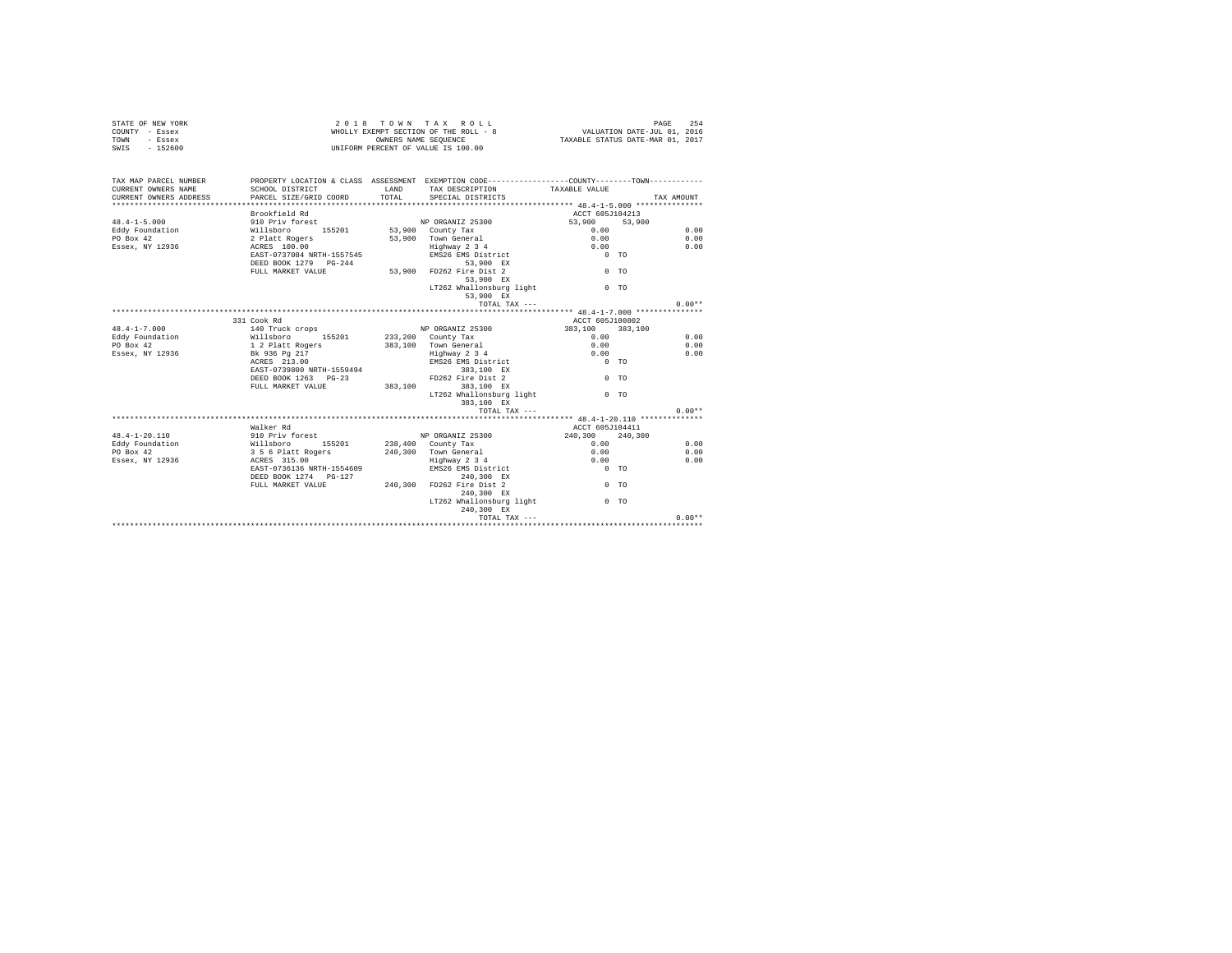|                | STATE OF NEW YORK | 2018 TOWN TAX ROLL                    |  |                      |  |  |  | 254<br>PAGE                      |
|----------------|-------------------|---------------------------------------|--|----------------------|--|--|--|----------------------------------|
| COUNTY - Essex |                   | WHOLLY EXEMPT SECTION OF THE ROLL - 8 |  |                      |  |  |  | VALUATION DATE-JUL 01, 2016      |
| TOWN           | - Essex           |                                       |  | OWNERS NAME SEOUENCE |  |  |  | TAXABLE STATUS DATE-MAR 01, 2017 |
| SWIS           | - 152600          | UNIFORM PERCENT OF VALUE IS 100.00    |  |                      |  |  |  |                                  |

| SCHOOL DISTRICT<br>CURRENT OWNERS NAME<br>LAND TAX DESCRIPTION TAXABLE VALUE<br>Brookfield Rd<br>ACCT 605J104213<br>NP ORGANIZ 25300<br>$53,900$ $53,900$<br>0.00<br>910 Priv forest<br>19.1-19.000 Millsboro 155201 53,900 County Tax<br>Eddy Foundation Millsboro 155201 53,900 County Tax<br>20 Dex 42 2 Platt Rogers 160.000 53,900 Town General<br>Essex, NY 12936 RKST-0737084 NRTH-1557545 1815326 EMS26 EMS Distri<br>0.00<br>0.00<br>53,900 Town General<br>0.00<br>0.00<br>0.00<br>0.00<br>Highway 2 3 4<br>EMS26 EMS District<br>$0$ TO<br>DEED BOOK 1279 PG-244<br>53,900 EX<br>FULL MARKET VALUE 53,900 FD262 Fire Dist 2<br>$0$ TO<br>53,900 EX<br>LT262 Whallonsburg light 0 TO<br>53,900 EX<br>$0.00**$<br>TOTAL TAX ---<br>331 Cook Rd<br>ACCT 605J100802<br>NP ORGANIZ 25300<br>383,100 383,100<br>140 Truck crops<br>Research Millsboro 155201 233,200 County Tax and Red Millsboro 155201 233,200 County Tax and Reference 1620 12<br>PO Box 42 12936 12 Platt Rogers 383,100 Town General<br>Research Righway 2 3 4<br>0.00<br>0.00<br>383,100 Town General<br>0.00<br>0.00<br>Highway 2 3 4<br>0.00<br>0.00<br>EMS26 EMS District<br>$0$ TO<br>ACRES 213.00<br>EMS20<br>383,100<br>FD262 Fire Dist 2<br>383,100 EX<br>---shurg<br>383,100 EX<br>EAST-0739800 NRTH-1559494<br>DEED BOOK 1263 PG-23<br>$0$ TO<br>383,100 383,100 EX<br>FULL MARKET VALUE<br>LT262 Whallonsburg light<br>0 <sub>0</sub><br>383,100 EX<br>$0.00**$<br>TOTAL TAX ---<br>Walker Rd<br>ACCT 605J104411<br>waanse av 1982<br>Willaboro 155201 238,400 County Tax<br>356 Platt Rogers 240,300 Town General<br>$48.4 - 1 - 20.110$<br>$240,300$ $240,300$<br>0.00<br>0.00<br>Eddy Foundation<br>PO Box 42<br>0.00<br>0.00<br>Essex, NY 12936 <b>ACRES</b> 315.00<br>0.00<br>0.00<br>Highway 2 3 4<br>EMS26 EMS District<br>$0$ TO<br>EAST-0736136 NRTH-1554609<br>240,300 EX<br>DEED BOOK 1274    PG-127<br>FULL MARKET VALUE 240,300 FD262 Fire Dist 2<br>$0$ TO<br>240.300 EX<br>LT262 Whallonsburg light<br>0 <sub>0</sub><br>240,300 EX<br>$0.00**$ | TAX MAP PARCEL NUMBER |  | PROPERTY LOCATION & CLASS ASSESSMENT EXEMPTION CODE---------------COUNTY-------TOWN---------- |  |  |
|-----------------------------------------------------------------------------------------------------------------------------------------------------------------------------------------------------------------------------------------------------------------------------------------------------------------------------------------------------------------------------------------------------------------------------------------------------------------------------------------------------------------------------------------------------------------------------------------------------------------------------------------------------------------------------------------------------------------------------------------------------------------------------------------------------------------------------------------------------------------------------------------------------------------------------------------------------------------------------------------------------------------------------------------------------------------------------------------------------------------------------------------------------------------------------------------------------------------------------------------------------------------------------------------------------------------------------------------------------------------------------------------------------------------------------------------------------------------------------------------------------------------------------------------------------------------------------------------------------------------------------------------------------------------------------------------------------------------------------------------------------------------------------------------------------------------------------------------------------------------------------------------------------------------------------------------------------------------------------------------------------------------------------------------------------|-----------------------|--|-----------------------------------------------------------------------------------------------|--|--|
|                                                                                                                                                                                                                                                                                                                                                                                                                                                                                                                                                                                                                                                                                                                                                                                                                                                                                                                                                                                                                                                                                                                                                                                                                                                                                                                                                                                                                                                                                                                                                                                                                                                                                                                                                                                                                                                                                                                                                                                                                                                     |                       |  |                                                                                               |  |  |
|                                                                                                                                                                                                                                                                                                                                                                                                                                                                                                                                                                                                                                                                                                                                                                                                                                                                                                                                                                                                                                                                                                                                                                                                                                                                                                                                                                                                                                                                                                                                                                                                                                                                                                                                                                                                                                                                                                                                                                                                                                                     |                       |  |                                                                                               |  |  |
|                                                                                                                                                                                                                                                                                                                                                                                                                                                                                                                                                                                                                                                                                                                                                                                                                                                                                                                                                                                                                                                                                                                                                                                                                                                                                                                                                                                                                                                                                                                                                                                                                                                                                                                                                                                                                                                                                                                                                                                                                                                     |                       |  |                                                                                               |  |  |
|                                                                                                                                                                                                                                                                                                                                                                                                                                                                                                                                                                                                                                                                                                                                                                                                                                                                                                                                                                                                                                                                                                                                                                                                                                                                                                                                                                                                                                                                                                                                                                                                                                                                                                                                                                                                                                                                                                                                                                                                                                                     |                       |  |                                                                                               |  |  |
|                                                                                                                                                                                                                                                                                                                                                                                                                                                                                                                                                                                                                                                                                                                                                                                                                                                                                                                                                                                                                                                                                                                                                                                                                                                                                                                                                                                                                                                                                                                                                                                                                                                                                                                                                                                                                                                                                                                                                                                                                                                     | $48.4 - 1 - 5.000$    |  |                                                                                               |  |  |
|                                                                                                                                                                                                                                                                                                                                                                                                                                                                                                                                                                                                                                                                                                                                                                                                                                                                                                                                                                                                                                                                                                                                                                                                                                                                                                                                                                                                                                                                                                                                                                                                                                                                                                                                                                                                                                                                                                                                                                                                                                                     |                       |  |                                                                                               |  |  |
|                                                                                                                                                                                                                                                                                                                                                                                                                                                                                                                                                                                                                                                                                                                                                                                                                                                                                                                                                                                                                                                                                                                                                                                                                                                                                                                                                                                                                                                                                                                                                                                                                                                                                                                                                                                                                                                                                                                                                                                                                                                     |                       |  |                                                                                               |  |  |
|                                                                                                                                                                                                                                                                                                                                                                                                                                                                                                                                                                                                                                                                                                                                                                                                                                                                                                                                                                                                                                                                                                                                                                                                                                                                                                                                                                                                                                                                                                                                                                                                                                                                                                                                                                                                                                                                                                                                                                                                                                                     |                       |  |                                                                                               |  |  |
|                                                                                                                                                                                                                                                                                                                                                                                                                                                                                                                                                                                                                                                                                                                                                                                                                                                                                                                                                                                                                                                                                                                                                                                                                                                                                                                                                                                                                                                                                                                                                                                                                                                                                                                                                                                                                                                                                                                                                                                                                                                     |                       |  |                                                                                               |  |  |
|                                                                                                                                                                                                                                                                                                                                                                                                                                                                                                                                                                                                                                                                                                                                                                                                                                                                                                                                                                                                                                                                                                                                                                                                                                                                                                                                                                                                                                                                                                                                                                                                                                                                                                                                                                                                                                                                                                                                                                                                                                                     |                       |  |                                                                                               |  |  |
|                                                                                                                                                                                                                                                                                                                                                                                                                                                                                                                                                                                                                                                                                                                                                                                                                                                                                                                                                                                                                                                                                                                                                                                                                                                                                                                                                                                                                                                                                                                                                                                                                                                                                                                                                                                                                                                                                                                                                                                                                                                     |                       |  |                                                                                               |  |  |
|                                                                                                                                                                                                                                                                                                                                                                                                                                                                                                                                                                                                                                                                                                                                                                                                                                                                                                                                                                                                                                                                                                                                                                                                                                                                                                                                                                                                                                                                                                                                                                                                                                                                                                                                                                                                                                                                                                                                                                                                                                                     |                       |  |                                                                                               |  |  |
|                                                                                                                                                                                                                                                                                                                                                                                                                                                                                                                                                                                                                                                                                                                                                                                                                                                                                                                                                                                                                                                                                                                                                                                                                                                                                                                                                                                                                                                                                                                                                                                                                                                                                                                                                                                                                                                                                                                                                                                                                                                     |                       |  |                                                                                               |  |  |
|                                                                                                                                                                                                                                                                                                                                                                                                                                                                                                                                                                                                                                                                                                                                                                                                                                                                                                                                                                                                                                                                                                                                                                                                                                                                                                                                                                                                                                                                                                                                                                                                                                                                                                                                                                                                                                                                                                                                                                                                                                                     |                       |  |                                                                                               |  |  |
|                                                                                                                                                                                                                                                                                                                                                                                                                                                                                                                                                                                                                                                                                                                                                                                                                                                                                                                                                                                                                                                                                                                                                                                                                                                                                                                                                                                                                                                                                                                                                                                                                                                                                                                                                                                                                                                                                                                                                                                                                                                     |                       |  |                                                                                               |  |  |
|                                                                                                                                                                                                                                                                                                                                                                                                                                                                                                                                                                                                                                                                                                                                                                                                                                                                                                                                                                                                                                                                                                                                                                                                                                                                                                                                                                                                                                                                                                                                                                                                                                                                                                                                                                                                                                                                                                                                                                                                                                                     |                       |  |                                                                                               |  |  |
|                                                                                                                                                                                                                                                                                                                                                                                                                                                                                                                                                                                                                                                                                                                                                                                                                                                                                                                                                                                                                                                                                                                                                                                                                                                                                                                                                                                                                                                                                                                                                                                                                                                                                                                                                                                                                                                                                                                                                                                                                                                     |                       |  |                                                                                               |  |  |
|                                                                                                                                                                                                                                                                                                                                                                                                                                                                                                                                                                                                                                                                                                                                                                                                                                                                                                                                                                                                                                                                                                                                                                                                                                                                                                                                                                                                                                                                                                                                                                                                                                                                                                                                                                                                                                                                                                                                                                                                                                                     | $48.4 - 1 - 7.000$    |  |                                                                                               |  |  |
|                                                                                                                                                                                                                                                                                                                                                                                                                                                                                                                                                                                                                                                                                                                                                                                                                                                                                                                                                                                                                                                                                                                                                                                                                                                                                                                                                                                                                                                                                                                                                                                                                                                                                                                                                                                                                                                                                                                                                                                                                                                     |                       |  |                                                                                               |  |  |
|                                                                                                                                                                                                                                                                                                                                                                                                                                                                                                                                                                                                                                                                                                                                                                                                                                                                                                                                                                                                                                                                                                                                                                                                                                                                                                                                                                                                                                                                                                                                                                                                                                                                                                                                                                                                                                                                                                                                                                                                                                                     |                       |  |                                                                                               |  |  |
|                                                                                                                                                                                                                                                                                                                                                                                                                                                                                                                                                                                                                                                                                                                                                                                                                                                                                                                                                                                                                                                                                                                                                                                                                                                                                                                                                                                                                                                                                                                                                                                                                                                                                                                                                                                                                                                                                                                                                                                                                                                     |                       |  |                                                                                               |  |  |
|                                                                                                                                                                                                                                                                                                                                                                                                                                                                                                                                                                                                                                                                                                                                                                                                                                                                                                                                                                                                                                                                                                                                                                                                                                                                                                                                                                                                                                                                                                                                                                                                                                                                                                                                                                                                                                                                                                                                                                                                                                                     |                       |  |                                                                                               |  |  |
|                                                                                                                                                                                                                                                                                                                                                                                                                                                                                                                                                                                                                                                                                                                                                                                                                                                                                                                                                                                                                                                                                                                                                                                                                                                                                                                                                                                                                                                                                                                                                                                                                                                                                                                                                                                                                                                                                                                                                                                                                                                     |                       |  |                                                                                               |  |  |
|                                                                                                                                                                                                                                                                                                                                                                                                                                                                                                                                                                                                                                                                                                                                                                                                                                                                                                                                                                                                                                                                                                                                                                                                                                                                                                                                                                                                                                                                                                                                                                                                                                                                                                                                                                                                                                                                                                                                                                                                                                                     |                       |  |                                                                                               |  |  |
|                                                                                                                                                                                                                                                                                                                                                                                                                                                                                                                                                                                                                                                                                                                                                                                                                                                                                                                                                                                                                                                                                                                                                                                                                                                                                                                                                                                                                                                                                                                                                                                                                                                                                                                                                                                                                                                                                                                                                                                                                                                     |                       |  |                                                                                               |  |  |
|                                                                                                                                                                                                                                                                                                                                                                                                                                                                                                                                                                                                                                                                                                                                                                                                                                                                                                                                                                                                                                                                                                                                                                                                                                                                                                                                                                                                                                                                                                                                                                                                                                                                                                                                                                                                                                                                                                                                                                                                                                                     |                       |  |                                                                                               |  |  |
|                                                                                                                                                                                                                                                                                                                                                                                                                                                                                                                                                                                                                                                                                                                                                                                                                                                                                                                                                                                                                                                                                                                                                                                                                                                                                                                                                                                                                                                                                                                                                                                                                                                                                                                                                                                                                                                                                                                                                                                                                                                     |                       |  |                                                                                               |  |  |
|                                                                                                                                                                                                                                                                                                                                                                                                                                                                                                                                                                                                                                                                                                                                                                                                                                                                                                                                                                                                                                                                                                                                                                                                                                                                                                                                                                                                                                                                                                                                                                                                                                                                                                                                                                                                                                                                                                                                                                                                                                                     |                       |  |                                                                                               |  |  |
|                                                                                                                                                                                                                                                                                                                                                                                                                                                                                                                                                                                                                                                                                                                                                                                                                                                                                                                                                                                                                                                                                                                                                                                                                                                                                                                                                                                                                                                                                                                                                                                                                                                                                                                                                                                                                                                                                                                                                                                                                                                     |                       |  |                                                                                               |  |  |
|                                                                                                                                                                                                                                                                                                                                                                                                                                                                                                                                                                                                                                                                                                                                                                                                                                                                                                                                                                                                                                                                                                                                                                                                                                                                                                                                                                                                                                                                                                                                                                                                                                                                                                                                                                                                                                                                                                                                                                                                                                                     |                       |  |                                                                                               |  |  |
|                                                                                                                                                                                                                                                                                                                                                                                                                                                                                                                                                                                                                                                                                                                                                                                                                                                                                                                                                                                                                                                                                                                                                                                                                                                                                                                                                                                                                                                                                                                                                                                                                                                                                                                                                                                                                                                                                                                                                                                                                                                     |                       |  |                                                                                               |  |  |
|                                                                                                                                                                                                                                                                                                                                                                                                                                                                                                                                                                                                                                                                                                                                                                                                                                                                                                                                                                                                                                                                                                                                                                                                                                                                                                                                                                                                                                                                                                                                                                                                                                                                                                                                                                                                                                                                                                                                                                                                                                                     |                       |  |                                                                                               |  |  |
|                                                                                                                                                                                                                                                                                                                                                                                                                                                                                                                                                                                                                                                                                                                                                                                                                                                                                                                                                                                                                                                                                                                                                                                                                                                                                                                                                                                                                                                                                                                                                                                                                                                                                                                                                                                                                                                                                                                                                                                                                                                     |                       |  |                                                                                               |  |  |
|                                                                                                                                                                                                                                                                                                                                                                                                                                                                                                                                                                                                                                                                                                                                                                                                                                                                                                                                                                                                                                                                                                                                                                                                                                                                                                                                                                                                                                                                                                                                                                                                                                                                                                                                                                                                                                                                                                                                                                                                                                                     |                       |  |                                                                                               |  |  |
|                                                                                                                                                                                                                                                                                                                                                                                                                                                                                                                                                                                                                                                                                                                                                                                                                                                                                                                                                                                                                                                                                                                                                                                                                                                                                                                                                                                                                                                                                                                                                                                                                                                                                                                                                                                                                                                                                                                                                                                                                                                     |                       |  |                                                                                               |  |  |
|                                                                                                                                                                                                                                                                                                                                                                                                                                                                                                                                                                                                                                                                                                                                                                                                                                                                                                                                                                                                                                                                                                                                                                                                                                                                                                                                                                                                                                                                                                                                                                                                                                                                                                                                                                                                                                                                                                                                                                                                                                                     |                       |  |                                                                                               |  |  |
|                                                                                                                                                                                                                                                                                                                                                                                                                                                                                                                                                                                                                                                                                                                                                                                                                                                                                                                                                                                                                                                                                                                                                                                                                                                                                                                                                                                                                                                                                                                                                                                                                                                                                                                                                                                                                                                                                                                                                                                                                                                     |                       |  |                                                                                               |  |  |
|                                                                                                                                                                                                                                                                                                                                                                                                                                                                                                                                                                                                                                                                                                                                                                                                                                                                                                                                                                                                                                                                                                                                                                                                                                                                                                                                                                                                                                                                                                                                                                                                                                                                                                                                                                                                                                                                                                                                                                                                                                                     |                       |  |                                                                                               |  |  |
|                                                                                                                                                                                                                                                                                                                                                                                                                                                                                                                                                                                                                                                                                                                                                                                                                                                                                                                                                                                                                                                                                                                                                                                                                                                                                                                                                                                                                                                                                                                                                                                                                                                                                                                                                                                                                                                                                                                                                                                                                                                     |                       |  |                                                                                               |  |  |
|                                                                                                                                                                                                                                                                                                                                                                                                                                                                                                                                                                                                                                                                                                                                                                                                                                                                                                                                                                                                                                                                                                                                                                                                                                                                                                                                                                                                                                                                                                                                                                                                                                                                                                                                                                                                                                                                                                                                                                                                                                                     |                       |  |                                                                                               |  |  |
|                                                                                                                                                                                                                                                                                                                                                                                                                                                                                                                                                                                                                                                                                                                                                                                                                                                                                                                                                                                                                                                                                                                                                                                                                                                                                                                                                                                                                                                                                                                                                                                                                                                                                                                                                                                                                                                                                                                                                                                                                                                     |                       |  |                                                                                               |  |  |
|                                                                                                                                                                                                                                                                                                                                                                                                                                                                                                                                                                                                                                                                                                                                                                                                                                                                                                                                                                                                                                                                                                                                                                                                                                                                                                                                                                                                                                                                                                                                                                                                                                                                                                                                                                                                                                                                                                                                                                                                                                                     |                       |  |                                                                                               |  |  |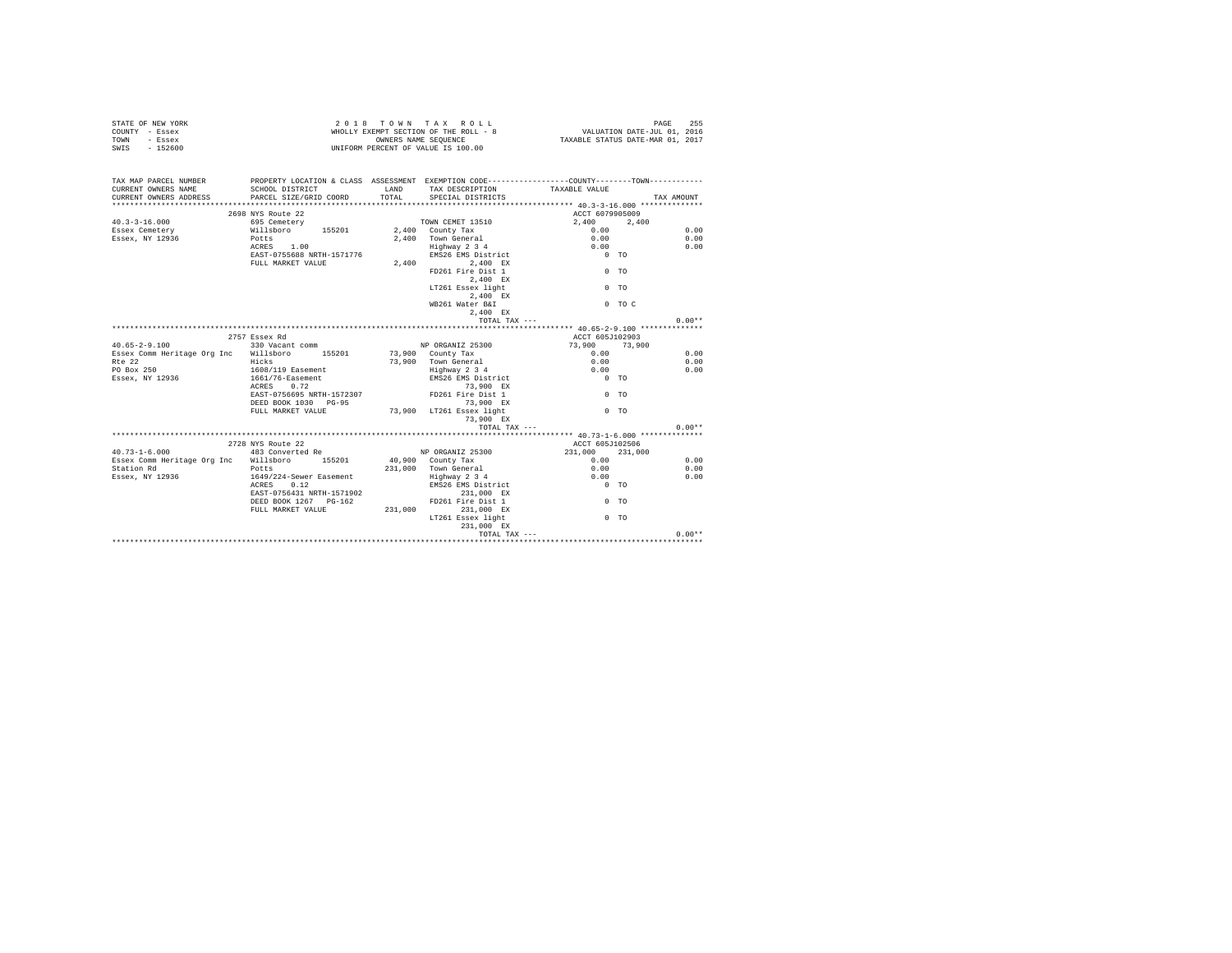| 2018 TOWN TAX ROLL<br>STATE OF NEW YORK<br>PAGE<br>VALUATION DATE-JUL 01, 2016<br>WHOLLY EXEMPT SECTION OF THE ROLL - 8<br>COUNTY - Essex<br>TAXABLE STATUS DATE-MAR 01, 2017<br>OWNERS NAME SEQUENCE<br>TOWN<br>- Essex<br>UNIFORM PERCENT OF VALUE IS 100.00<br>SWIS<br>$-152600$ |                                                                                                |        |                                    |                 |                   |            |  |  |  |  |  |
|-------------------------------------------------------------------------------------------------------------------------------------------------------------------------------------------------------------------------------------------------------------------------------------|------------------------------------------------------------------------------------------------|--------|------------------------------------|-----------------|-------------------|------------|--|--|--|--|--|
| TAX MAP PARCEL NUMBER                                                                                                                                                                                                                                                               | PROPERTY LOCATION & CLASS ASSESSMENT EXEMPTION CODE----------------COUNTY-------TOWN---------- |        |                                    |                 |                   |            |  |  |  |  |  |
| CURRENT OWNERS NAME                                                                                                                                                                                                                                                                 | SCHOOL DISTRICT                                                                                |        | LAND TAX DESCRIPTION TAXABLE VALUE |                 |                   |            |  |  |  |  |  |
| CURRENT OWNERS ADDRESS                                                                                                                                                                                                                                                              | PARCEL SIZE/GRID COORD                                                                         | TOTAL. | SPECIAL DISTRICTS                  |                 |                   | TAX AMOUNT |  |  |  |  |  |
|                                                                                                                                                                                                                                                                                     |                                                                                                |        |                                    |                 |                   |            |  |  |  |  |  |
|                                                                                                                                                                                                                                                                                     | 2698 NYS Route 22                                                                              |        |                                    | ACCT 6079905009 |                   |            |  |  |  |  |  |
| $40.3 - 3 - 16.000$                                                                                                                                                                                                                                                                 | 695 Cemetery                                                                                   |        | TOWN CEMET 13510                   | 2.400 2.400     |                   |            |  |  |  |  |  |
| Essex Cemetery                                                                                                                                                                                                                                                                      | Willsboro 155201                                                                               |        | 2.400 County Tax                   | 0.00            |                   | 0.00       |  |  |  |  |  |
| Essex, NY 12936                                                                                                                                                                                                                                                                     | Potts                                                                                          | 2,400  | Town General                       | 0.00            |                   | 0.00       |  |  |  |  |  |
|                                                                                                                                                                                                                                                                                     | ACRES 1.00                                                                                     |        | Highway 2 3 4                      | 0.00            |                   | 0.00       |  |  |  |  |  |
|                                                                                                                                                                                                                                                                                     | EAST-0755688 NRTH-1571776                                                                      |        | EMS26 EMS District                 | $0$ TO          |                   |            |  |  |  |  |  |
|                                                                                                                                                                                                                                                                                     | FULL MARKET VALUE                                                                              | 2,400  | 2.400 EX                           |                 |                   |            |  |  |  |  |  |
|                                                                                                                                                                                                                                                                                     |                                                                                                |        | FD261 Fire Dist 1                  |                 | 0 <sub>0</sub>    |            |  |  |  |  |  |
|                                                                                                                                                                                                                                                                                     |                                                                                                |        | 2.400 EX                           |                 |                   |            |  |  |  |  |  |
|                                                                                                                                                                                                                                                                                     |                                                                                                |        | LT261 Essex light                  |                 | 0 <sub>0</sub>    |            |  |  |  |  |  |
|                                                                                                                                                                                                                                                                                     |                                                                                                |        | 2.400 EX                           |                 |                   |            |  |  |  |  |  |
|                                                                                                                                                                                                                                                                                     |                                                                                                |        | WB261 Water B&I                    |                 | $0$ TO $C$        |            |  |  |  |  |  |
|                                                                                                                                                                                                                                                                                     |                                                                                                |        | 2.400 EX                           |                 |                   |            |  |  |  |  |  |
|                                                                                                                                                                                                                                                                                     |                                                                                                |        | TOTAL TAX ---                      |                 |                   | $0.00**$   |  |  |  |  |  |
|                                                                                                                                                                                                                                                                                     |                                                                                                |        |                                    |                 |                   |            |  |  |  |  |  |
|                                                                                                                                                                                                                                                                                     | OTET Pages DA                                                                                  |        |                                    |                 | 3.000 COE TIODOOD |            |  |  |  |  |  |

|                                       | 2757 Essex Rd             |         |                          | ACCT 605J102903 |                |          |
|---------------------------------------|---------------------------|---------|--------------------------|-----------------|----------------|----------|
| $40.65 - 2 - 9.100$                   | 330 Vacant comm           |         | NP ORGANIZ 25300         | 73,900 73,900   |                |          |
| Essex Comm Heritage Org Inc Willsboro | 155201 73,900 County Tax  |         |                          | $0.00 -$        |                | 0.00     |
| Rte 22                                | Hicks                     | 73,900  | Town General             | 0.00            |                | 0.00     |
| PO Box 250                            | 1608/119 Easement         |         | Highway 2 3 4            | 0.00            |                | 0.00     |
| Essex, NY 12936                       | 1661/76-Easement          |         | EMS26 EMS District       |                 | 0 <sub>0</sub> |          |
|                                       | ACRES 0.72                |         | 73.900 EX                |                 |                |          |
|                                       | EAST-0756695 NRTH-1572307 |         | FD261 Fire Dist 1        |                 | $0$ TO         |          |
|                                       | DEED BOOK 1030 PG-95      |         | 73.900 EX                |                 |                |          |
|                                       | FULL MARKET VALUE         |         | 73.900 LT261 Essex light |                 | $0$ TO         |          |
|                                       |                           |         | 73,900 EX                |                 |                |          |
|                                       |                           |         | TOTAL TAX $---$          |                 |                | $0.00**$ |
|                                       |                           |         |                          |                 |                |          |
|                                       | 2728 NYS Route 22         |         |                          | ACCT 605J102506 |                |          |
| $40.73 - 1 - 6.000$                   | 483 Converted Re          |         | NP ORGANIZ 25300         | 231,000 231,000 |                |          |
| Essex Comm Heritage Org Inc Willsboro | 155201                    |         | $40,900$ County Tax      | $0.00 -$        |                | 0.00     |
| Station Rd                            | Potts                     | 231,000 | Town General             | 0.00            |                | 0.00     |
| Essex, NY 12936                       | 1649/224-Sewer Easement   |         | Highway 2 3 4            | 0.00            |                | 0.00     |
|                                       | 0.12<br>ACRES             |         | EMS26 EMS District       |                 | 0 <sub>0</sub> |          |
|                                       | EAST-0756431 NRTH-1571902 |         | 231,000 EX               |                 |                |          |
|                                       | DEED BOOK 1267 PG-162     |         | FD261 Fire Dist 1        |                 | $0$ TO         |          |
|                                       | FULL MARKET VALUE         | 231,000 | 231,000 EX               |                 |                |          |
|                                       |                           |         | LT261 Essex light        |                 | $0$ TO         |          |
|                                       |                           |         | 231,000 EX               |                 |                |          |
|                                       |                           |         | TOTAL TAX ---            |                 |                | $0.00**$ |
|                                       |                           |         |                          |                 |                |          |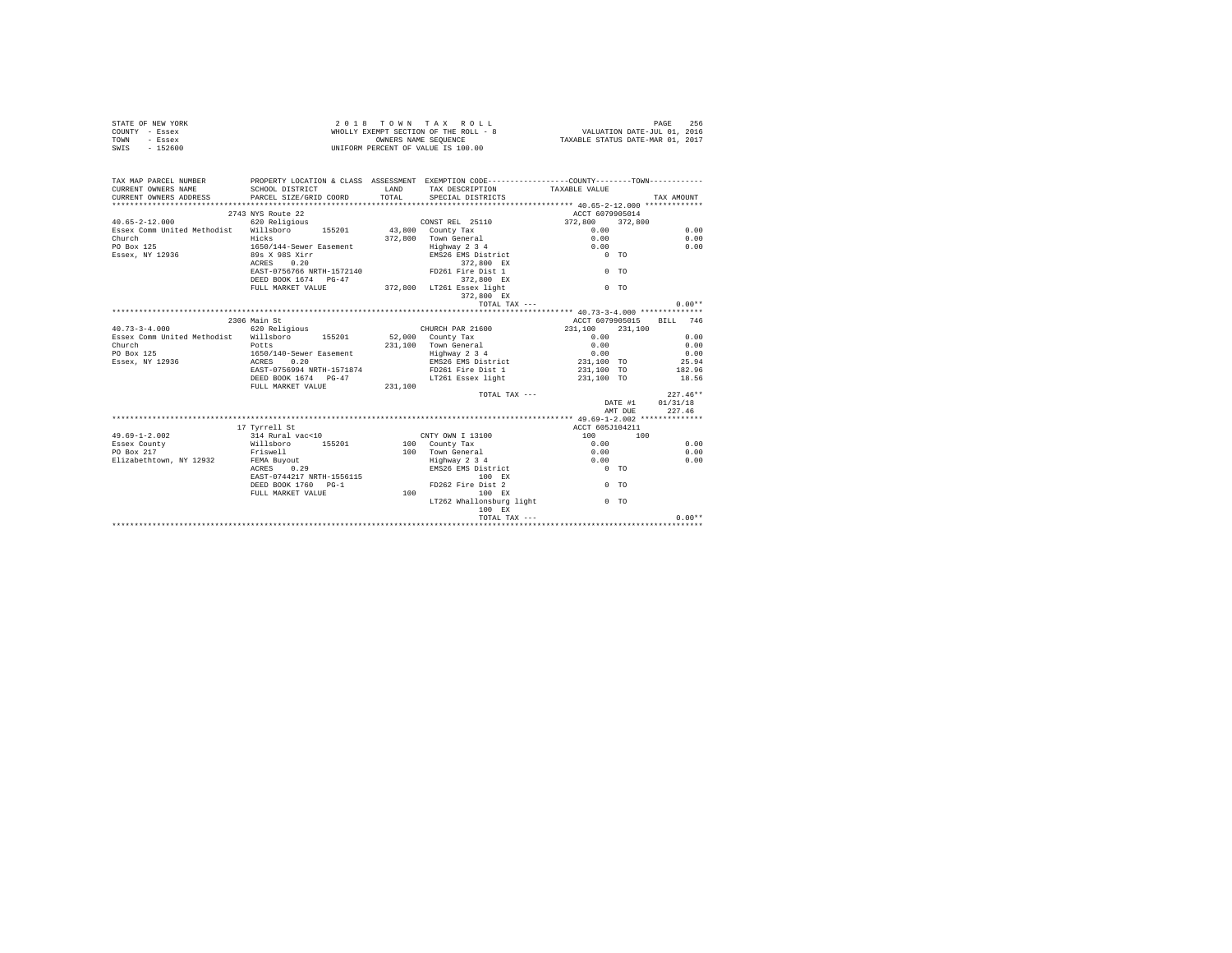| STATE OF NEW YORK | 2018 TOWN TAX ROLL                    | 256<br>PAGE                      |
|-------------------|---------------------------------------|----------------------------------|
| COUNTY - Essex    | WHOLLY EXEMPT SECTION OF THE ROLL - 8 | VALUATION DATE-JUL 01, 2016      |
| TOWN<br>- Essex   | OWNERS NAME SEOUENCE                  | TAXABLE STATUS DATE-MAR 01, 2017 |
| $-152600$<br>SWIS | UNIFORM PERCENT OF VALUE IS 100.00    |                                  |

| TAX MAP PARCEL NUMBER                                           | PROPERTY LOCATION & CLASS ASSESSMENT EXEMPTION CODE---------------COUNTY-------TOWN---------- |         |                                               |                                                                       |         |                          |
|-----------------------------------------------------------------|-----------------------------------------------------------------------------------------------|---------|-----------------------------------------------|-----------------------------------------------------------------------|---------|--------------------------|
| CURRENT OWNERS NAME                                             | SCHOOL DISTRICT                                                                               |         | LAND TAX DESCRIPTION TAXABLE VALUE            |                                                                       |         |                          |
| CURRENT OWNERS ADDRESS PARCEL SIZE/GRID COORD                   |                                                                                               |         | TOTAL SPECIAL DISTRICTS                       |                                                                       |         | TAX AMOUNT               |
|                                                                 |                                                                                               |         |                                               |                                                                       |         |                          |
|                                                                 | 2743 NYS Route 22                                                                             |         |                                               | ACCT 6079905014                                                       |         |                          |
| $40.65 - 2 - 12.000$                                            | 620 Religious                                                                                 |         | CONST REL 25110                               | 372,800 372,800                                                       |         | 0.00                     |
| Essex Comm United Methodist Willsboro 155201 43.800 County Tax  |                                                                                               |         |                                               | 0.00                                                                  |         |                          |
| Church                                                          | at<br>Hicks<br>1650/144-Sewer Easement<br>89s X 98S Xirr<br>- mee 0.20                        |         | 372,800 Town General 0.00                     |                                                                       |         | 0.00                     |
| PO Box 125                                                      |                                                                                               |         | Highway 2 3 4<br>EMS26 EMS District           | $\begin{matrix} 0.00 \\ 0 & \text{TO} \end{matrix}$                   |         | 0.00                     |
| Essex, NY 12936                                                 |                                                                                               |         |                                               |                                                                       |         |                          |
|                                                                 |                                                                                               |         | 372,800 EX                                    |                                                                       |         |                          |
|                                                                 | EAST-0756766 NRTH-1572140 FD261 Fire Dist 1                                                   |         |                                               | $0$ TO                                                                |         |                          |
|                                                                 | DEED BOOK 1674 PG-47                                                                          |         | 372.800 EX                                    |                                                                       |         |                          |
|                                                                 | FULL MARKET VALUE 372,800 LT261 Essex light                                                   |         |                                               | $0$ TO                                                                |         |                          |
|                                                                 |                                                                                               |         | 372,800 EX                                    |                                                                       |         |                          |
|                                                                 |                                                                                               |         | TOTAL TAX ---                                 |                                                                       |         | $0.00**$                 |
|                                                                 |                                                                                               |         |                                               |                                                                       |         |                          |
|                                                                 | 2306 Main St                                                                                  |         |                                               |                                                                       |         | ACCT 6079905015 BILL 746 |
| 40.73-3-4.000 620 Religious                                     |                                                                                               |         | CHURCH PAR 21600                              | 231,100 231,100                                                       |         |                          |
| Essex Comm United Methodist Willsboro 155201                    |                                                                                               |         | 52,000 County Tax                             |                                                                       |         | 0.00                     |
| Church                                                          | Potts                                                                                         |         | 231.100 Town General                          | $0.00$<br>$0.00$                                                      |         | 0.00                     |
| Church<br>PO Box 125                                            | 1650/140-Sewer Easement                                                                       |         |                                               |                                                                       |         |                          |
| Essex, NY 12936 ACRES                                           | 0.20                                                                                          |         |                                               |                                                                       |         |                          |
|                                                                 | EAST-0756994 NRTH-1571874                                                                     |         | FD261 Fire Dist 1                             | 231,100 TO                                                            |         | 182.96                   |
|                                                                 |                                                                                               |         | LT261 Essex light                             | 231,100 TO                                                            |         | 18.56                    |
|                                                                 | FULL MARKET VALUE                                                                             | 231,100 |                                               |                                                                       |         |                          |
|                                                                 |                                                                                               |         |                                               | TOTAL TAX ---                                                         |         | $227.46**$               |
|                                                                 |                                                                                               |         |                                               |                                                                       |         | DATE #1 01/31/18         |
|                                                                 |                                                                                               |         |                                               |                                                                       | AMT DUE | 227.46                   |
|                                                                 |                                                                                               |         |                                               |                                                                       |         |                          |
|                                                                 | 17 Tvrrell St                                                                                 |         |                                               | ACCT 605J104211                                                       |         |                          |
| $49.69 - 1 - 2.002$                                             | 314 Rural vac<10<br>Willsboro 155201 100 CNTY OWN I 13100                                     |         | CNTY OWN I 13100                              |                                                                       |         |                          |
| Essex County                                                    |                                                                                               |         |                                               | $\begin{array}{cc} 100 & \qquad & 100 \\ 0.00 & \qquad & \end{array}$ |         | 0.00                     |
| PO Box 217                                                      | Friswell                                                                                      |         | 100 Town General 0.00                         |                                                                       |         | 0.00                     |
|                                                                 |                                                                                               |         |                                               |                                                                       |         | 0.00                     |
| PO Box 217<br>Elizabethtown, NY 12932 FEMA Buyout<br>ACPES 0.29 |                                                                                               |         | Highway 2 3 4 0.00<br>EMS26 EMS District 0 TO |                                                                       |         |                          |
|                                                                 | EAST-0744217 NRTH-1556115                                                                     |         | 100 EX                                        |                                                                       |         |                          |
|                                                                 | DEED BOOK 1760 PG-1                                                                           |         | FD262 Fire Dist 2                             | $0$ TO                                                                |         |                          |
|                                                                 | FULL MARKET VALUE                                                                             | 100     | 100 EX                                        |                                                                       |         |                          |
|                                                                 |                                                                                               |         | LT262 Whallonsburg light 0 TO                 |                                                                       |         |                          |
|                                                                 |                                                                                               |         | 100 EX                                        |                                                                       |         |                          |
|                                                                 |                                                                                               |         |                                               |                                                                       |         |                          |
|                                                                 |                                                                                               |         |                                               |                                                                       |         |                          |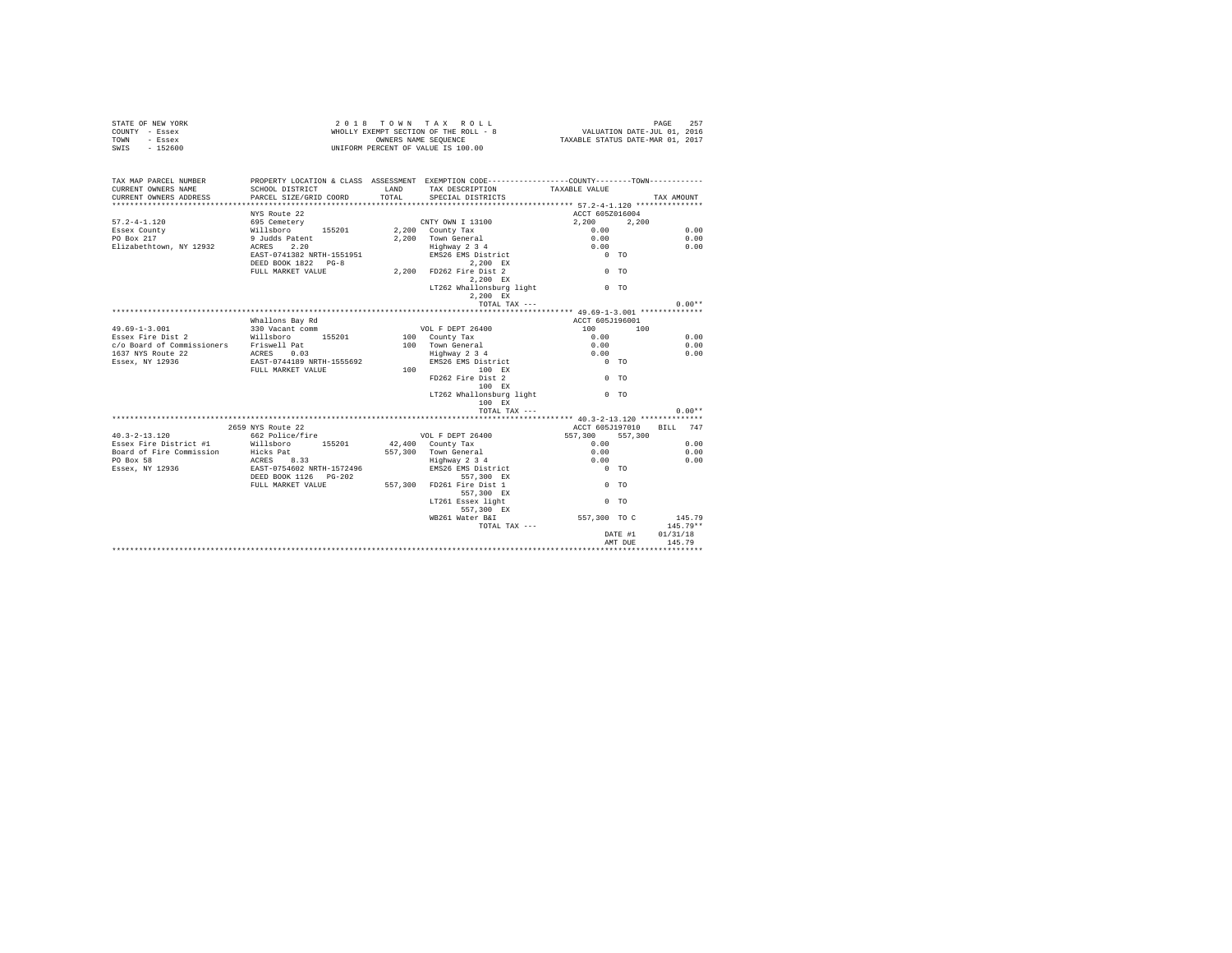|      | STATE OF NEW YORK | 2018 TOWN TAX ROLL                    | 257<br>PAGE                      |
|------|-------------------|---------------------------------------|----------------------------------|
|      | COUNTY - Essex    | WHOLLY EXEMPT SECTION OF THE ROLL - 8 | VALUATION DATE-JUL 01, 2016      |
| TOWN | - Essex           | OWNERS NAME SEOUENCE                  | TAXABLE STATUS DATE-MAR 01, 2017 |
| SWIS | $-152600$         | UNIFORM PERCENT OF VALUE IS 100.00    |                                  |

| TAX MAP PARCEL NUMBER<br>CURRENT OWNERS NAME                                                                                                       | PROPERTY LOCATION & CLASS ASSESSMENT EXEMPTION CODE---------------COUNTY-------TOWN---------<br>SCHOOL DISTRICT | <b>T.AND</b> | TAX DESCRIPTION                                        | TAXABLE VALUE                               |                |                          |
|----------------------------------------------------------------------------------------------------------------------------------------------------|-----------------------------------------------------------------------------------------------------------------|--------------|--------------------------------------------------------|---------------------------------------------|----------------|--------------------------|
| CURRENT OWNERS ADDRESS PARCEL SIZE/GRID COORD                                                                                                      |                                                                                                                 | TOTAL.       | SPECIAL DISTRICTS                                      |                                             |                | TAX AMOUNT               |
|                                                                                                                                                    |                                                                                                                 |              |                                                        |                                             |                |                          |
|                                                                                                                                                    | NYS Route 22                                                                                                    |              |                                                        | ACCT 605Z016004                             |                |                          |
| $57.2 - 4 - 1.120$                                                                                                                                 |                                                                                                                 |              | CNTY OWN I 13100                                       | 2,200                                       | 2,200          |                          |
| Essex County                                                                                                                                       |                                                                                                                 |              | 2,200 County Tax                                       | $\begin{array}{c} 0.00 \\ 0.00 \end{array}$ |                | 0.00                     |
| PO Box 217                                                                                                                                         |                                                                                                                 |              | 2.200 Town General                                     |                                             |                | 0.00                     |
| Elizabethtown, NY 12932                                                                                                                            | ACRES 2.20                                                                                                      |              | Highway 2 3 4<br>EMS26 EMS District                    | 0.00                                        |                | 0.00                     |
|                                                                                                                                                    | EAST-0741382 NRTH-1551951                                                                                       |              |                                                        | $0$ TO                                      |                |                          |
|                                                                                                                                                    | DEED BOOK 1822 PG-8                                                                                             |              | 2,200 EX                                               |                                             |                |                          |
|                                                                                                                                                    | FULL MARKET VALUE                                                                                               |              | $2,200$ FD262 Fire Dist 2                              | $0$ TO                                      |                |                          |
|                                                                                                                                                    |                                                                                                                 |              | 2.200 EX                                               |                                             |                |                          |
|                                                                                                                                                    |                                                                                                                 |              | LT262 Whallonsburg light 6 0 TO                        |                                             |                |                          |
|                                                                                                                                                    |                                                                                                                 |              | 2.200 EX                                               |                                             |                |                          |
|                                                                                                                                                    |                                                                                                                 |              | TOTAL TAX ---                                          |                                             |                | $0.00**$                 |
|                                                                                                                                                    |                                                                                                                 |              |                                                        |                                             |                |                          |
|                                                                                                                                                    | Whallons Bay Rd                                                                                                 |              |                                                        | ACCT 605J196001                             |                |                          |
| $49.69 - 1 - 3.001$                                                                                                                                | 330 Vacant comm                                                                                                 |              | VOL F DEPT 26400<br>100 County Tax<br>100 Town General | 100                                         | 100            |                          |
| Essex Fire Dist 2                                                                                                                                  | Willsboro 155201                                                                                                |              |                                                        | 0.00                                        |                | 0.00                     |
| c/o Board of Commissioners Friswell Pat                                                                                                            |                                                                                                                 |              |                                                        | 0.00                                        |                | 0.00                     |
| 1637 NYS Route 22                                                                                                                                  | ACRES 0.03<br>EAST-0744189 NRTH-1555692                                                                         |              | Highway 2 3 4                                          | 0.00                                        |                | 0.00                     |
| Essex, NY 12936                                                                                                                                    |                                                                                                                 |              | EMS26 EMS District                                     | $0$ TO                                      |                |                          |
|                                                                                                                                                    | FULL MARKET VALUE                                                                                               |              | 100 000<br>100 EX                                      |                                             |                |                          |
|                                                                                                                                                    |                                                                                                                 |              | FD262 Fire Dist 2                                      | $0$ TO                                      |                |                          |
|                                                                                                                                                    |                                                                                                                 |              | $100 - EX$                                             |                                             |                |                          |
|                                                                                                                                                    |                                                                                                                 |              | LT262 Whallonsburg light                               |                                             | 0 <sub>0</sub> |                          |
|                                                                                                                                                    |                                                                                                                 |              | 100 EX                                                 |                                             |                |                          |
|                                                                                                                                                    |                                                                                                                 |              | TOTAL TAX ---                                          |                                             |                | $0.00**$                 |
|                                                                                                                                                    |                                                                                                                 |              |                                                        |                                             |                |                          |
|                                                                                                                                                    | 2659 NYS Route 22                                                                                               |              |                                                        |                                             |                | ACCT 605J197010 BILL 747 |
| $40.3 - 2 - 13.120$                                                                                                                                | 662 Police/fire                                                                                                 |              | VOL F DEPT 26400                                       | 557,300 557,300                             |                |                          |
|                                                                                                                                                    |                                                                                                                 |              | 42.400 County Tax                                      | 0.00                                        |                | 0.00                     |
| Essex Fire District #1 Willsboro 155201<br>Board of Fire Commission Hicks Pat<br>PO Box 58 ACRES 8.33<br>Essex, NY 12936 RAST-0754602 NRTH-1572496 |                                                                                                                 |              | 557,300 Town General                                   | 0.00                                        |                | 0.00                     |
|                                                                                                                                                    |                                                                                                                 |              | Highway 2 3 4                                          | 0.00                                        |                | 0.00                     |
|                                                                                                                                                    |                                                                                                                 |              | EMS26 EMS District                                     | $0$ TO                                      |                |                          |
|                                                                                                                                                    |                                                                                                                 |              | 557,300 EX                                             |                                             |                |                          |
|                                                                                                                                                    | FULL MARKET VALUE                                                                                               |              | 557,300 FD261 Fire Dist 1                              |                                             | 0 <sub>0</sub> |                          |
|                                                                                                                                                    |                                                                                                                 |              | 557,300 EX                                             |                                             |                |                          |
|                                                                                                                                                    |                                                                                                                 |              | LT261 Essex light                                      |                                             | 0 <sub>0</sub> |                          |
|                                                                                                                                                    |                                                                                                                 |              | 557,300 EX                                             |                                             |                |                          |
|                                                                                                                                                    |                                                                                                                 |              | WB261 Water B&I                                        | 557,300 TO C                                |                | 145.79                   |
|                                                                                                                                                    |                                                                                                                 |              | TOTAL TAX ---                                          |                                             |                | $145.79**$               |
|                                                                                                                                                    |                                                                                                                 |              |                                                        |                                             | DATE #1        | 01/31/18                 |
|                                                                                                                                                    |                                                                                                                 |              |                                                        |                                             | AMT DUE        | 145.79                   |
|                                                                                                                                                    |                                                                                                                 |              |                                                        |                                             |                |                          |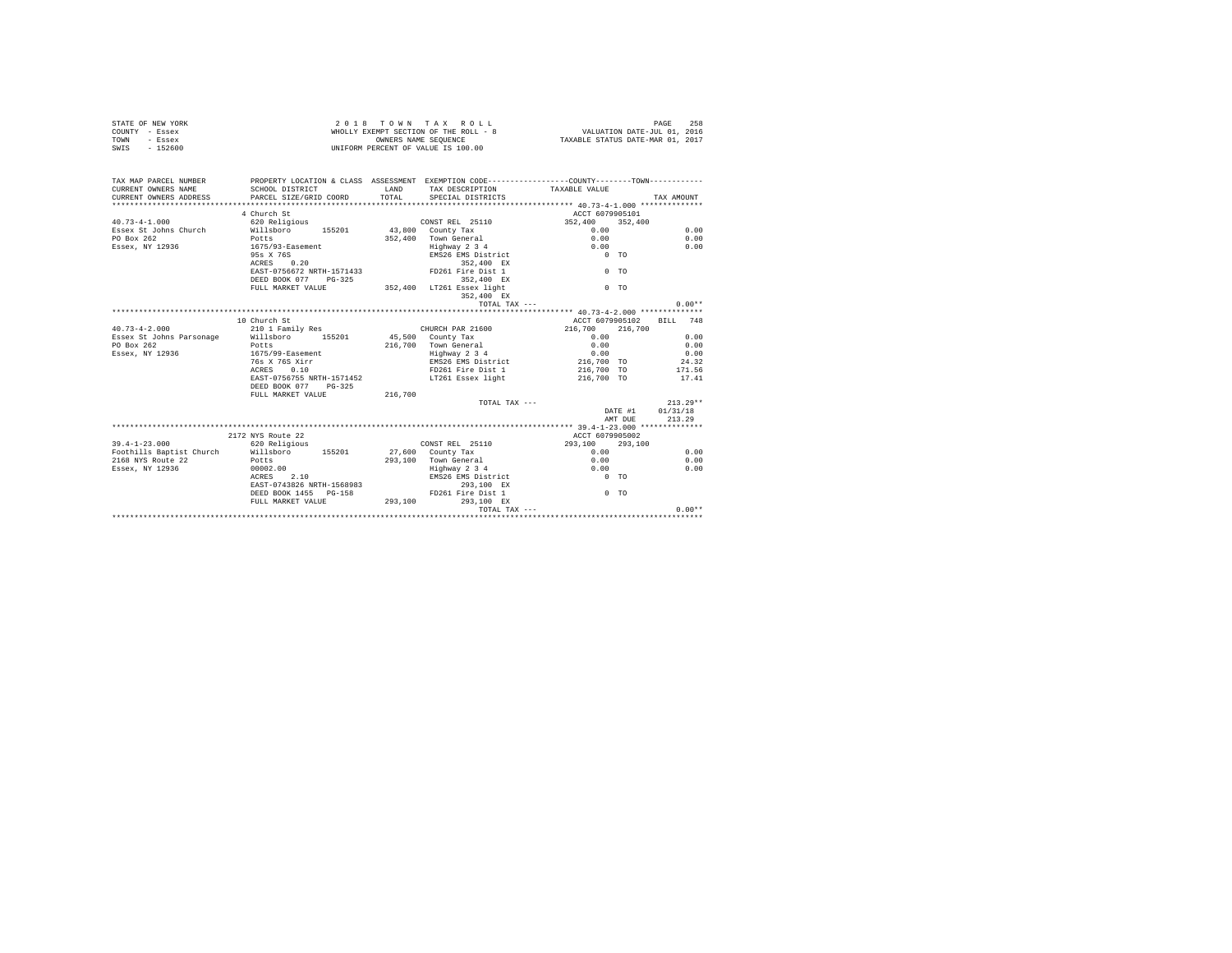| COUNTY - Essex<br>TOWN<br>- Essex                                |                                                                                               |         | WHOLLY EXEMPT SECTION OF THE ROLL - 8<br>OWNERS NAME SEOUENCE | VALUATION DATE-JUL 01, 2016<br>TAXABLE STATUS DATE-MAR 01, 2017 |              |
|------------------------------------------------------------------|-----------------------------------------------------------------------------------------------|---------|---------------------------------------------------------------|-----------------------------------------------------------------|--------------|
| SWIS<br>$-152600$                                                |                                                                                               |         | UNIFORM PERCENT OF VALUE IS 100.00                            |                                                                 |              |
| TAX MAP PARCEL NUMBER                                            | PROPERTY LOCATION & CLASS ASSESSMENT EXEMPTION CODE---------------COUNTY-------TOWN---------- |         |                                                               |                                                                 |              |
| CURRENT OWNERS NAME                                              | SCHOOL DISTRICT                                                                               | LAND    | TAX DESCRIPTION TAXABLE VALUE                                 |                                                                 |              |
| CURRENT OWNERS ADDRESS                                           | PARCEL SIZE/GRID COORD                                                                        | TOTAL   | SPECIAL DISTRICTS                                             |                                                                 | TAX AMOUNT   |
|                                                                  |                                                                                               |         |                                                               |                                                                 |              |
|                                                                  | 4 Church St                                                                                   |         |                                                               | ACCT 6079905101                                                 |              |
| $40.73 - 4 - 1.000$                                              | 620 Religious                                                                                 |         | CONST REL 25110                                               | 352,400<br>352,400                                              |              |
|                                                                  | Essex St Johns Church Millsboro 155201                                                        |         | 43,800 County Tax                                             | 0.00                                                            | 0.00         |
| PO Box 262                                                       | Potts                                                                                         |         | 352.400 Town General                                          | 0.00                                                            | 0.00         |
| Essex, NY 12936                                                  | 1675/93-Easement                                                                              |         | Highway 2 3 4                                                 | 0.00                                                            | 0.00         |
|                                                                  | 95s X 76S                                                                                     |         | EMS26 EMS District                                            | $0$ TO                                                          |              |
|                                                                  | 0.20<br>ACRES                                                                                 |         | 352,400 EX                                                    |                                                                 |              |
|                                                                  | EAST-0756672 NRTH-1571433 FD261 Fire Dist 1                                                   |         |                                                               | $0$ TO                                                          |              |
|                                                                  | DEED BOOK 077 PG-325                                                                          |         | 352,400 EX                                                    |                                                                 |              |
|                                                                  | FULL MARKET VALUE                                                                             |         | 352,400 LT261 Essex light                                     | 0 <sub>0</sub>                                                  |              |
|                                                                  |                                                                                               |         | 352,400 EX                                                    |                                                                 |              |
|                                                                  |                                                                                               |         | TOTAL TAX ---                                                 |                                                                 | $0.00**$     |
|                                                                  |                                                                                               |         |                                                               |                                                                 |              |
|                                                                  | 10 Church St                                                                                  |         |                                                               | ACCT 6079905102 BILL 748                                        |              |
|                                                                  |                                                                                               |         | CHURCH PAR 21600                                              | 216,700<br>216,700                                              |              |
|                                                                  |                                                                                               |         | 45,500 County Tax                                             | 0.00                                                            | 0.00         |
|                                                                  |                                                                                               |         | 216,700 Town General                                          |                                                                 |              |
|                                                                  |                                                                                               |         |                                                               |                                                                 |              |
|                                                                  | 76s X 76S Xirr                                                                                |         |                                                               |                                                                 |              |
|                                                                  | 0.10<br>ACRES                                                                                 |         | FD261 Fire Dist 1                                             | 216,700 TO                                                      | 171.56       |
|                                                                  | EAST-0756755 NRTH-1571452                                                                     |         | LT261 Essex light                                             | 216,700 TO                                                      | 17.41        |
|                                                                  | DEED BOOK 077 PG-325                                                                          |         |                                                               |                                                                 |              |
|                                                                  | FULL MARKET VALUE                                                                             | 216,700 |                                                               |                                                                 |              |
|                                                                  |                                                                                               |         | TOTAL TAX ---                                                 |                                                                 | $213.29**$   |
|                                                                  |                                                                                               |         |                                                               | DATE #1                                                         | 01/31/18     |
|                                                                  |                                                                                               |         |                                                               | AMT DUE                                                         | 213.29       |
|                                                                  |                                                                                               |         |                                                               |                                                                 |              |
|                                                                  | 2172 NYS Route 22                                                                             |         |                                                               | ACCT 6079905002                                                 |              |
| $39.4 - 1 - 23.000$<br>Foothills Baptist Church Willsboro 155201 | 620 Religious                                                                                 |         | CONST REL 25110                                               | 293,100<br>293,100<br>0.00                                      | 0.00         |
|                                                                  |                                                                                               |         | 27,600 County Tax                                             | 0.00                                                            |              |
| 2168 NYS Route 22                                                | Potts<br>00002.00                                                                             |         | 293,100 Town General                                          | 0.00                                                            | 0.00<br>0.00 |
| Essex, NY 12936                                                  | 2.10                                                                                          |         | Highway 2 3 4                                                 | $0$ TO                                                          |              |
|                                                                  | ACRES<br>EAST-0743826 NRTH-1568983                                                            |         | EMS26 EMS District<br>293,100 EX                              |                                                                 |              |
|                                                                  | DEED BOOK 1455 PG-158                                                                         |         | FD261 Fire Dist 1                                             | $0$ TO                                                          |              |
|                                                                  | FULL MARKET VALUE 293,100                                                                     |         | 293,100 EX                                                    |                                                                 |              |
|                                                                  |                                                                                               |         |                                                               | .100 EX<br>TOTAL TAX ---                                        | $0.00**$     |
|                                                                  |                                                                                               |         |                                                               |                                                                 |              |

STATE OF NEW YORK 2 0 1 8 T O W N T A X R O L L PAGE 258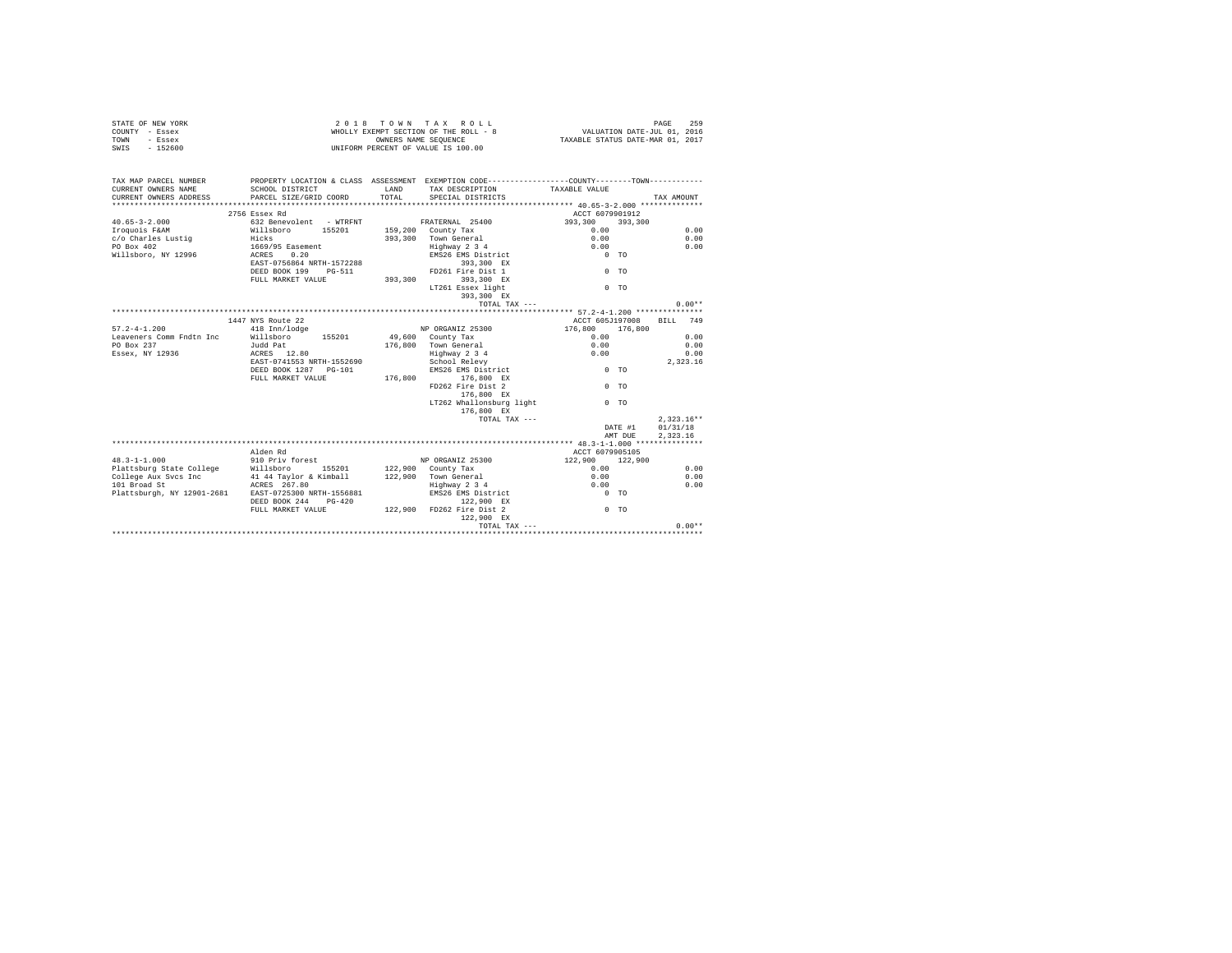|                | STATE OF NEW YORK | 2018 TOWN TAX ROLL                    |  |                      |  |  |  |                                  | PAGE                        | 259 |
|----------------|-------------------|---------------------------------------|--|----------------------|--|--|--|----------------------------------|-----------------------------|-----|
| COUNTY - Essex |                   | WHOLLY EXEMPT SECTION OF THE ROLL - 8 |  |                      |  |  |  |                                  | VALUATION DATE-JUL 01, 2016 |     |
| TOWN           | - Essex           |                                       |  | OWNERS NAME SEOUENCE |  |  |  | TAXABLE STATUS DATE-MAR 01, 2017 |                             |     |
| SWIS           | $-152600$         | UNIFORM PERCENT OF VALUE IS 100.00    |  |                      |  |  |  |                                  |                             |     |

| TAX MAP PARCEL NUMBER<br>CURRENT OWNERS NAME<br>CURRENT OWNERS ADDRESS                                                                                                                                         | PROPERTY LOCATION & CLASS ASSESSMENT EXEMPTION CODE---------------COUNTY-------TOWN----------<br>SCHOOL DISTRICT<br>PARCEL SIZE/GRID COORD | LAND<br>TOTAL. | TAX DESCRIPTION TAXABLE VALUE<br>SPECIAL DISTRICTS                                                         |                  | TAX AMOUNT          |
|----------------------------------------------------------------------------------------------------------------------------------------------------------------------------------------------------------------|--------------------------------------------------------------------------------------------------------------------------------------------|----------------|------------------------------------------------------------------------------------------------------------|------------------|---------------------|
|                                                                                                                                                                                                                | 2756 Essex Rd                                                                                                                              |                |                                                                                                            | ACCT 6079901912  |                     |
| $40.65 - 3 - 2.000$                                                                                                                                                                                            | 632 Benevolent - WTRFNT CRATERNAL 25400                                                                                                    |                |                                                                                                            | 393,300 393,300  |                     |
|                                                                                                                                                                                                                |                                                                                                                                            |                |                                                                                                            |                  | 0.00                |
|                                                                                                                                                                                                                |                                                                                                                                            |                |                                                                                                            | 0.00             |                     |
|                                                                                                                                                                                                                |                                                                                                                                            |                | 393,300 Town General                                                                                       | 0.00             | 0.00                |
| $\begin{tabular}{lllllllllll} c/o~{\tt Charles~Lustig} & & {\tt Hicks} & \\ \hline \texttt{PO~Box}~402 & & 1669/95~{\tt Eastern} \\ \texttt{Willsboro, NY~12996} & & & \texttt{ACRES} & 0.20 \\ \end{tabular}$ |                                                                                                                                            |                | Highway 2 3 4                                                                                              | 0.00             | 0.00                |
|                                                                                                                                                                                                                |                                                                                                                                            |                | EMS26 EMS District                                                                                         | $0$ TO           |                     |
|                                                                                                                                                                                                                | EAST-0756864 NRTH-1572288                                                                                                                  |                | 393,300 EX                                                                                                 |                  |                     |
|                                                                                                                                                                                                                | DEED BOOK 199 PG-511                                                                                                                       |                | FD261 Fire Dist 1                                                                                          | $0$ TO           |                     |
|                                                                                                                                                                                                                | FULL MARKET VALUE                                                                                                                          | 393,300        | 393,300 EX                                                                                                 |                  |                     |
|                                                                                                                                                                                                                |                                                                                                                                            |                | LT261 Essex light                                                                                          | $0$ TO           |                     |
|                                                                                                                                                                                                                |                                                                                                                                            |                | 393,300 EX                                                                                                 |                  |                     |
|                                                                                                                                                                                                                |                                                                                                                                            |                | TOTAL TAX ---                                                                                              |                  | $0.00**$            |
|                                                                                                                                                                                                                |                                                                                                                                            |                |                                                                                                            |                  |                     |
|                                                                                                                                                                                                                | 1447 NYS Route 22                                                                                                                          |                |                                                                                                            | ACCT 605J197008  | RTT.T. 749          |
| $57.2 - 4 - 1.200$                                                                                                                                                                                             | 418 Inn/lodge                                                                                                                              |                | NP ORGANIZ 25300                                                                                           | 176,800 176,800  |                     |
| Leaveners Comm Fndtn Inc Willsboro 155201 49.600 County Tax                                                                                                                                                    |                                                                                                                                            |                |                                                                                                            | 0.00             | 0.00                |
| PO Box 237                                                                                                                                                                                                     |                                                                                                                                            |                | 176,800 Town General                                                                                       | 0.00             | 0.00                |
| Essex, NY 12936                                                                                                                                                                                                | Judd Pat<br>ACRES 12.80                                                                                                                    |                |                                                                                                            |                  | 0.00                |
|                                                                                                                                                                                                                | EAST-0741553 NRTH-1552690                                                                                                                  |                | Eighway 2 3 4<br>School Relevy<br>EMS26 EMS District 0 TO<br>TO<br>CONSERVERS DESCRIPTION<br>School Relevy |                  | 2.323.16            |
|                                                                                                                                                                                                                | DEED BOOK 1287 PG-101                                                                                                                      |                |                                                                                                            |                  |                     |
|                                                                                                                                                                                                                |                                                                                                                                            |                | %-101 EMS26 EMS District<br>176,800 176,800 EX                                                             |                  |                     |
|                                                                                                                                                                                                                | FULL MARKET VALUE                                                                                                                          |                |                                                                                                            |                  |                     |
|                                                                                                                                                                                                                |                                                                                                                                            |                | FD262 Fire Dist 2                                                                                          | $0$ TO           |                     |
|                                                                                                                                                                                                                |                                                                                                                                            |                | 176,800 EX                                                                                                 |                  |                     |
|                                                                                                                                                                                                                |                                                                                                                                            |                | LT262 Whallonsburg light 0 TO                                                                              |                  |                     |
|                                                                                                                                                                                                                |                                                                                                                                            |                | 176,800 EX                                                                                                 |                  |                     |
|                                                                                                                                                                                                                |                                                                                                                                            |                | TOTAL TAX ---                                                                                              |                  | $2.323.16**$        |
|                                                                                                                                                                                                                |                                                                                                                                            |                |                                                                                                            |                  | 01/31/18<br>DATE #1 |
|                                                                                                                                                                                                                |                                                                                                                                            |                |                                                                                                            |                  | 2.323.16<br>AMT DUE |
|                                                                                                                                                                                                                |                                                                                                                                            |                |                                                                                                            |                  |                     |
|                                                                                                                                                                                                                | Alden Rd                                                                                                                                   |                |                                                                                                            | ACCT 6079905105  |                     |
| $48.3 - 1 - 1.000$                                                                                                                                                                                             | 910 Priv forest NP ORGANIZ 25300                                                                                                           |                |                                                                                                            | 122,900 122,900  |                     |
| Plattsburg State College Millsboro 155201 122,900 County Tax                                                                                                                                                   |                                                                                                                                            |                |                                                                                                            | 0.00             | 0.00                |
|                                                                                                                                                                                                                |                                                                                                                                            |                |                                                                                                            |                  | 0.00                |
| College Aux Svcs Inc $\begin{array}{ccc} 41 & 44 & Taylor & \& Kimball & 122,900 & Town General \end{array}$ Town General 101 Broad St                                                                         |                                                                                                                                            |                |                                                                                                            | $0.00$<br>$0.00$ | 0.00                |
| Plattsburgh, NY 12901-2681 EAST-0725300 NRTH-1556881                                                                                                                                                           |                                                                                                                                            |                | Highway 2 3 4<br>EMS26 EMS District                                                                        | $0$ TO           |                     |
|                                                                                                                                                                                                                | DEED BOOK 244 PG-420                                                                                                                       |                | 122,900 EX                                                                                                 |                  |                     |
|                                                                                                                                                                                                                | FULL MARKET VALUE 122,900 FD262 Fire Dist 2                                                                                                |                |                                                                                                            | $0$ TO           |                     |
|                                                                                                                                                                                                                |                                                                                                                                            |                |                                                                                                            |                  |                     |
|                                                                                                                                                                                                                |                                                                                                                                            |                | 122,900 EX                                                                                                 |                  |                     |
|                                                                                                                                                                                                                |                                                                                                                                            |                |                                                                                                            |                  |                     |
|                                                                                                                                                                                                                |                                                                                                                                            |                |                                                                                                            |                  |                     |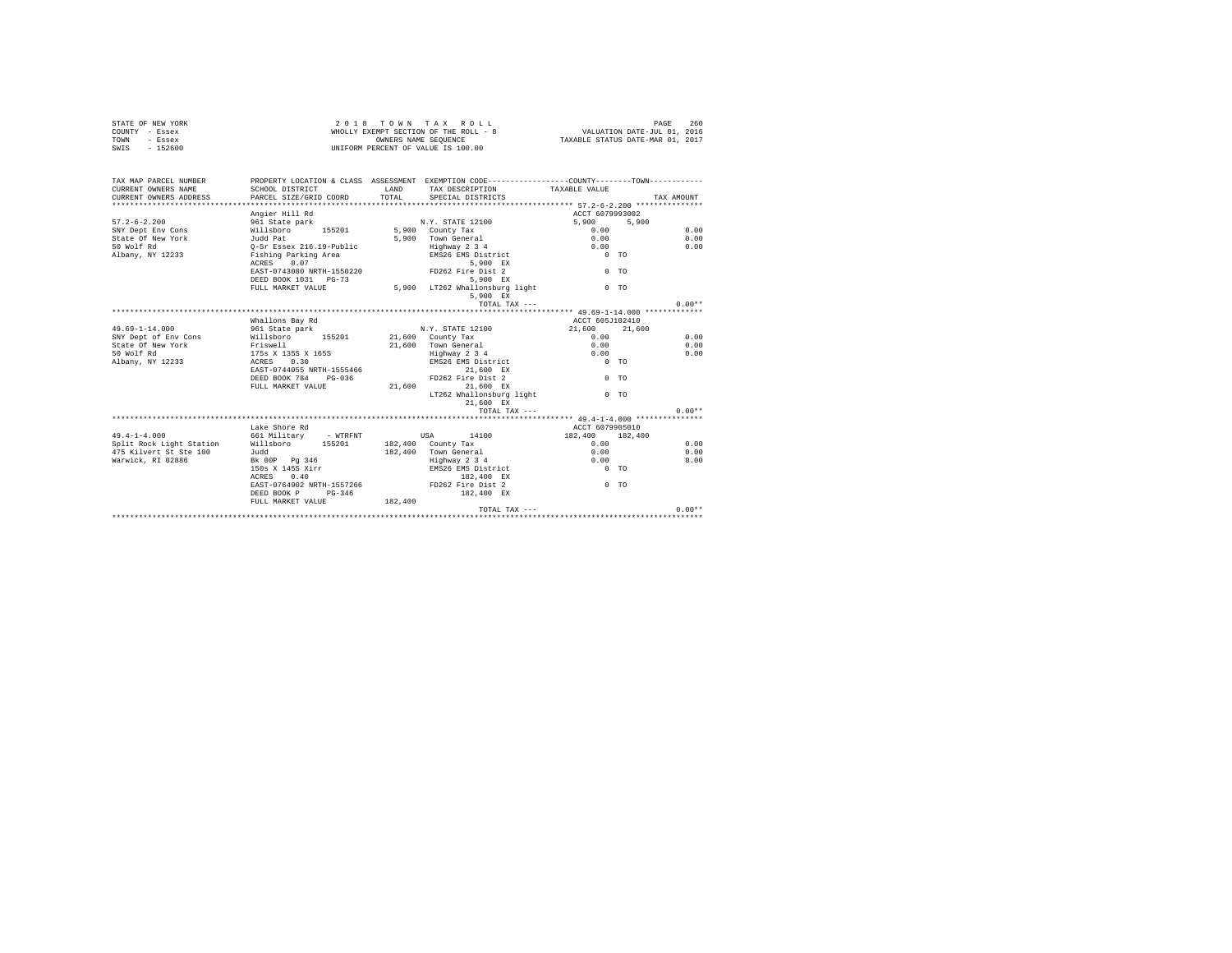| STATE OF NEW YORK                  | 2 0 1 8                                                                                       |                      | TOWN TAX ROLL                         |                 | PAGE<br>260                                                     |
|------------------------------------|-----------------------------------------------------------------------------------------------|----------------------|---------------------------------------|-----------------|-----------------------------------------------------------------|
| COUNTY - Essex                     |                                                                                               | OWNERS NAME SEOUENCE | WHOLLY EXEMPT SECTION OF THE ROLL - 8 |                 | VALUATION DATE-JUL 01, 2016<br>TAXABLE STATUS DATE-MAR 01, 2017 |
| TOWN<br>- Essex                    |                                                                                               |                      |                                       |                 |                                                                 |
| $-152600$<br>SWIS                  |                                                                                               |                      | UNIFORM PERCENT OF VALUE IS 100.00    |                 |                                                                 |
| TAX MAP PARCEL NUMBER              | PROPERTY LOCATION & CLASS ASSESSMENT EXEMPTION CODE---------------COUNTY-------TOWN---------- |                      |                                       |                 |                                                                 |
| CURRENT OWNERS NAME                | SCHOOL DISTRICT                                                                               | LAND                 | TAX DESCRIPTION                       | TAXABLE VALUE   |                                                                 |
| CURRENT OWNERS ADDRESS             | PARCEL SIZE/GRID COORD                                                                        | TOTAL                | SPECIAL DISTRICTS                     |                 | TAX AMOUNT                                                      |
|                                    |                                                                                               |                      |                                       |                 |                                                                 |
|                                    | Angier Hill Rd                                                                                |                      |                                       | ACCT 6079993002 |                                                                 |
| $57.2 - 6 - 2.200$                 | 961 State park                                                                                |                      | N.Y. STATE 12100                      | 5,900           | 5,900                                                           |
| SNY Dept Env Cons                  | Willsboro                                                                                     |                      | 155201 5,900 County Tax               | 0.00            | 0.00                                                            |
| State Of New York                  | Judd Pat<br>Q-Sr Essex 216.19-Public                                                          |                      | 5,900 Town General                    | 0.00            | 0.00                                                            |
| 50 Wolf Rd                         |                                                                                               |                      | Highway 2 3 4                         | 0.00            | 0.00                                                            |
| Albany, NY 12233                   | Fishing Parking Area                                                                          |                      | EMS26 EMS District                    | $0$ TO          |                                                                 |
|                                    | 0.07<br>ACRES                                                                                 |                      | 5,900 EX                              |                 |                                                                 |
|                                    | EAST-0743080 NRTH-1550220                                                                     |                      | FD262 Fire Dist 2                     | $0$ TO          |                                                                 |
|                                    | DEED BOOK 1031 PG-73                                                                          |                      | 5.900 EX                              |                 |                                                                 |
|                                    | FULL MARKET VALUE                                                                             |                      | 5,900 LT262 Whallonsburg light        | 0 <sub>0</sub>  |                                                                 |
|                                    |                                                                                               |                      | 5,900 EX                              |                 |                                                                 |
|                                    |                                                                                               |                      | TOTAL TAX ---                         |                 | $0.00**$                                                        |
|                                    |                                                                                               |                      |                                       |                 |                                                                 |
|                                    | Whallons Bay Rd                                                                               |                      |                                       | ACCT 605J102410 |                                                                 |
| $49.69 - 1 - 14.000$               | 961 State park<br>Willsboro                                                                   |                      | N.Y. STATE 12100                      | 21,600          | 21,600<br>0.00                                                  |
| SNY Dept of Env Cons               | 155201                                                                                        |                      | 21,600 County Tax                     | 0.00            |                                                                 |
| State Of New York<br>50 Wolf Rd    |                                                                                               |                      | 21,600 Town General<br>Highway 2 3 4  | 0.00<br>0.00    | 0.00<br>0.00                                                    |
|                                    | Friswell<br>175s X 135S X 165S<br>ACRES 0.30                                                  |                      |                                       | $0$ TO          |                                                                 |
| Albany, NY 12233                   | EAST-0744055 NRTH-1555466                                                                     |                      | EMS26 EMS District<br>21,600 EX       |                 |                                                                 |
|                                    | DEED BOOK 784 PG-036                                                                          |                      | FD262 Fire Dist 2                     | $0$ TO          |                                                                 |
|                                    | FULL MARKET VALUE                                                                             | 21,600               | 21,600 EX                             |                 |                                                                 |
|                                    |                                                                                               |                      | LT262 Whallonsburg light              | 0 <sub>0</sub>  |                                                                 |
|                                    |                                                                                               |                      | 21,600 EX                             |                 |                                                                 |
|                                    |                                                                                               |                      | TOTAL TAX ---                         |                 | $0.00**$                                                        |
|                                    |                                                                                               |                      |                                       |                 |                                                                 |
|                                    | Lake Shore Rd                                                                                 |                      |                                       | ACCT 6079905010 |                                                                 |
| $49.4 - 1 - 4.000$                 | 661 Military - WTRFNT                                                                         |                      | USA 14100                             | 182,400 182,400 |                                                                 |
| Split Rock Light Station Willsboro | 155201                                                                                        |                      | 182,400 County Tax                    | 0.00            | 0.00                                                            |
| 475 Kilvert St Ste 100             | Judd                                                                                          |                      | 182.400 Town General                  | 0.00            | 0.00                                                            |
| Warwick, RI 02886                  | Bk 00P Pg 346                                                                                 |                      | Highway 2 3 4                         | 0.00            | 0.00                                                            |
|                                    | $150s$ X $145\overline{s}$ Xirr                                                               |                      | Highway 2 3 4<br>EMS26 EMS District   | $0$ TO          |                                                                 |
|                                    | 0.40<br>ACRES                                                                                 |                      | 182.400 EX                            |                 |                                                                 |
|                                    | EAST-0764902 NRTH-1557266                                                                     |                      | FD262 Fire Dist 2                     | $0$ TO          |                                                                 |
|                                    | $PG-346$<br>DEED BOOK P                                                                       |                      | 182,400 EX                            |                 |                                                                 |
|                                    | FULL MARKET VALUE                                                                             | 182,400              |                                       |                 |                                                                 |
|                                    |                                                                                               |                      | TOTAL TAX $---$                       |                 | $0.00**$                                                        |
|                                    |                                                                                               |                      |                                       |                 |                                                                 |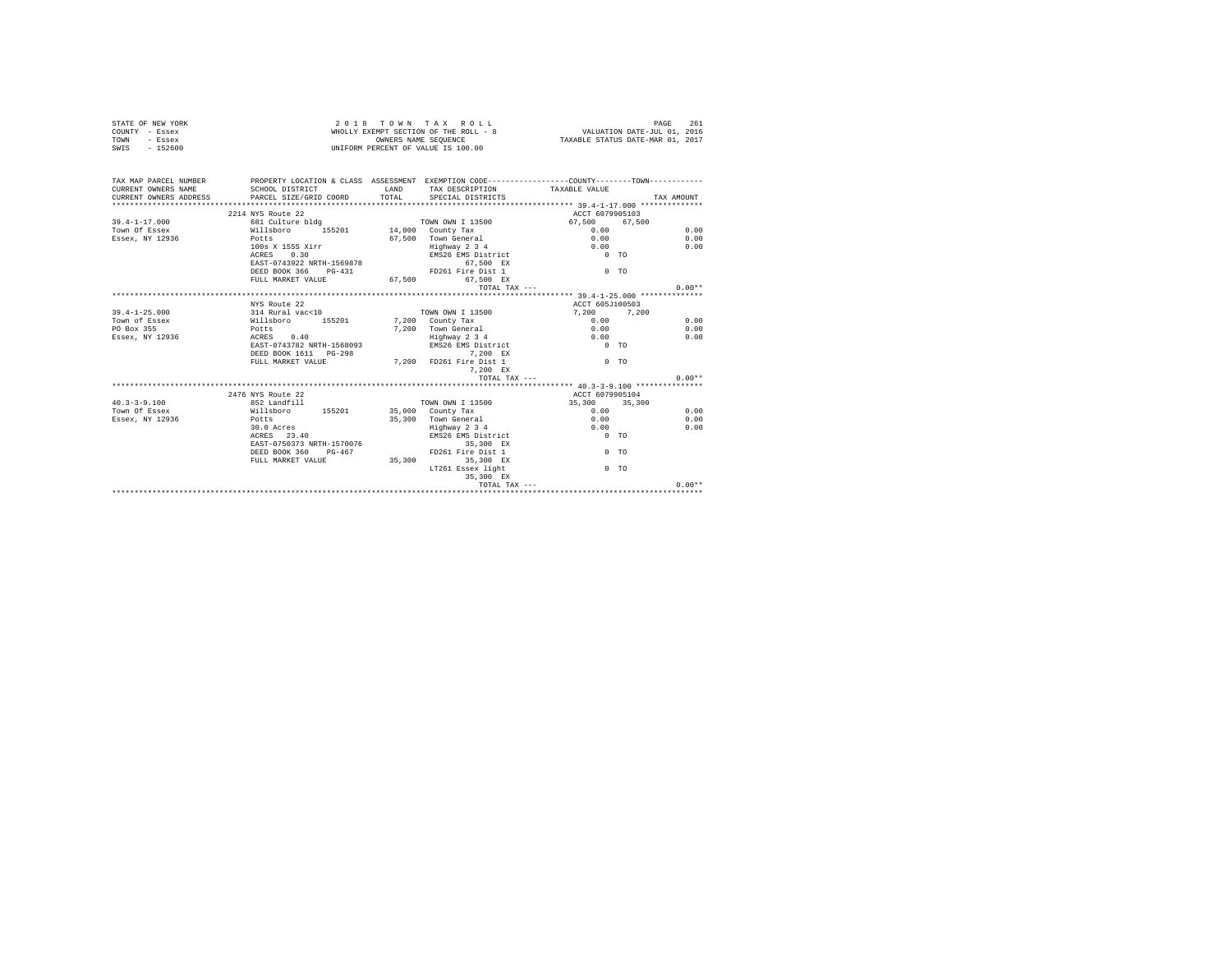| STATE OF NEW YORK | 2018 TOWN TAX ROLL                    | 261<br>PAGE                      |
|-------------------|---------------------------------------|----------------------------------|
| COUNTY - Essex    | WHOLLY EXEMPT SECTION OF THE ROLL - 8 | VALUATION DATE-JUL 01, 2016      |
| TOWN<br>- Essex   | OWNERS NAME SEOUENCE                  | TAXABLE STATUS DATE-MAR 01, 2017 |
| SWIS<br>$-152600$ | UNIFORM PERCENT OF VALUE IS 100.00    |                                  |

| TAX MAP PARCEL NUMBER                      | PROPERTY LOCATION & CLASS ASSESSMENT EXEMPTION CODE---------------COUNTY-------TOWN---------- |                                    |                 |            |
|--------------------------------------------|-----------------------------------------------------------------------------------------------|------------------------------------|-----------------|------------|
| CURRENT OWNERS NAME                        | SCHOOL DISTRICT                                                                               | LAND TAX DESCRIPTION TAXABLE VALUE |                 |            |
|                                            | CURRENT OWNERS ADDRESS FARCEL SIZE/GRID COORD TOTAL SPECIAL DISTRICTS                         |                                    |                 | TAX AMOUNT |
|                                            |                                                                                               |                                    |                 |            |
|                                            | 2214 NYS Route 22                                                                             |                                    | ACCT 6079905103 |            |
| $39.4 - 1 - 17.000$                        | 681 Culture bldg (681 Culture bldg)                                                           |                                    | 67,500 67,500   |            |
| Town Of Essex                              | Willsboro 155201 14,000 County Tax                                                            |                                    | 0.00            | 0.00       |
| <b>Example 19 Potts</b><br>Essex, NY 12936 |                                                                                               | 67,500 Town General                | 0.00            | 0.00       |
|                                            | 100s X 155S Xirr                                                                              | Highway 2 3 4                      | 0.00            | 0.00       |
|                                            | ACRES 0.30                                                                                    | EMS26 EMS District 0 TO            |                 |            |
|                                            | EAST-0743922 NRTH-1569878                                                                     | 67.500 EX                          |                 |            |
|                                            | DEED BOOK 366 PG-431                                                                          | FD261 Fire Dist 1                  | $0$ TO          |            |
|                                            | FULL MARKET VALUE 67,500 67,500 EX                                                            |                                    |                 |            |
|                                            |                                                                                               | TOTAL TAX ---                      |                 | $0.00**$   |
|                                            |                                                                                               |                                    |                 |            |
|                                            | NYS Route 22                                                                                  |                                    | ACCT 605J100503 |            |
| $39.4 - 1 - 25.000$                        | 314 Rural vac<10                                                                              | TOWN OWN I 13500                   | 7,200 7,200     |            |
| Town of Essex                              | willsboro 155201 7,200 County Tax                                                             |                                    | 0.00            | 0.00       |
| PO Box 355                                 | Potts                                                                                         | 7,200 Town General 0.00            |                 | 0.00       |
| Essex, NY 12936    ACRES    0.40           |                                                                                               | Highway 2 3 4 0.00                 |                 | 0.00       |
|                                            | EAST-0743782 NRTH-1568093                                                                     | EMS26 EMS District 0 TO            |                 |            |
|                                            | DEED BOOK 1611 PG-298                                                                         | 7.200 EX                           |                 |            |
|                                            | FULL MARKET VALUE                                                                             | 7.200 FD261 Fire Dist 1            | $0$ TO          |            |
|                                            |                                                                                               | 7,200 EX                           |                 |            |
|                                            |                                                                                               | TOTAL TAX ---                      |                 | $0.00**$   |
|                                            |                                                                                               |                                    |                 |            |
|                                            | 2476 NYS Route 22                                                                             |                                    | ACCT 6079905104 |            |
| $40.3 - 3 - 9.100$                         | 852 Landfill                                                                                  | TOWN OWN I 13500                   | 35,300 35,300   |            |
| Town Of Essex                              | Willsboro 155201 35,000 County Tax                                                            |                                    | 0.00            | 0.00       |
| Essex, NY 12936                            | Potts                                                                                         | 35,300 Town General                | 0.00            | 0.00       |
|                                            | 30.0 Acres                                                                                    | Highway 2 3 4                      | 0.00            | 0.00       |
|                                            | ACRES 23.40                                                                                   | EMS26 EMS District                 | $0$ TO          |            |
|                                            | EAST-0750373 NRTH-1570076                                                                     | 35,300 EX                          |                 |            |
|                                            | DEED BOOK 360 PG-467 60 PD261 Fire Dist 1                                                     |                                    | $0$ TO          |            |
|                                            | FULL MARKET VALUE 35.300 35.300 EX                                                            |                                    |                 |            |
|                                            |                                                                                               | LT261 Essex light                  | 0 <sub>T</sub>  |            |
|                                            |                                                                                               | 35,300 EX                          |                 |            |
|                                            |                                                                                               |                                    |                 |            |
|                                            |                                                                                               |                                    |                 |            |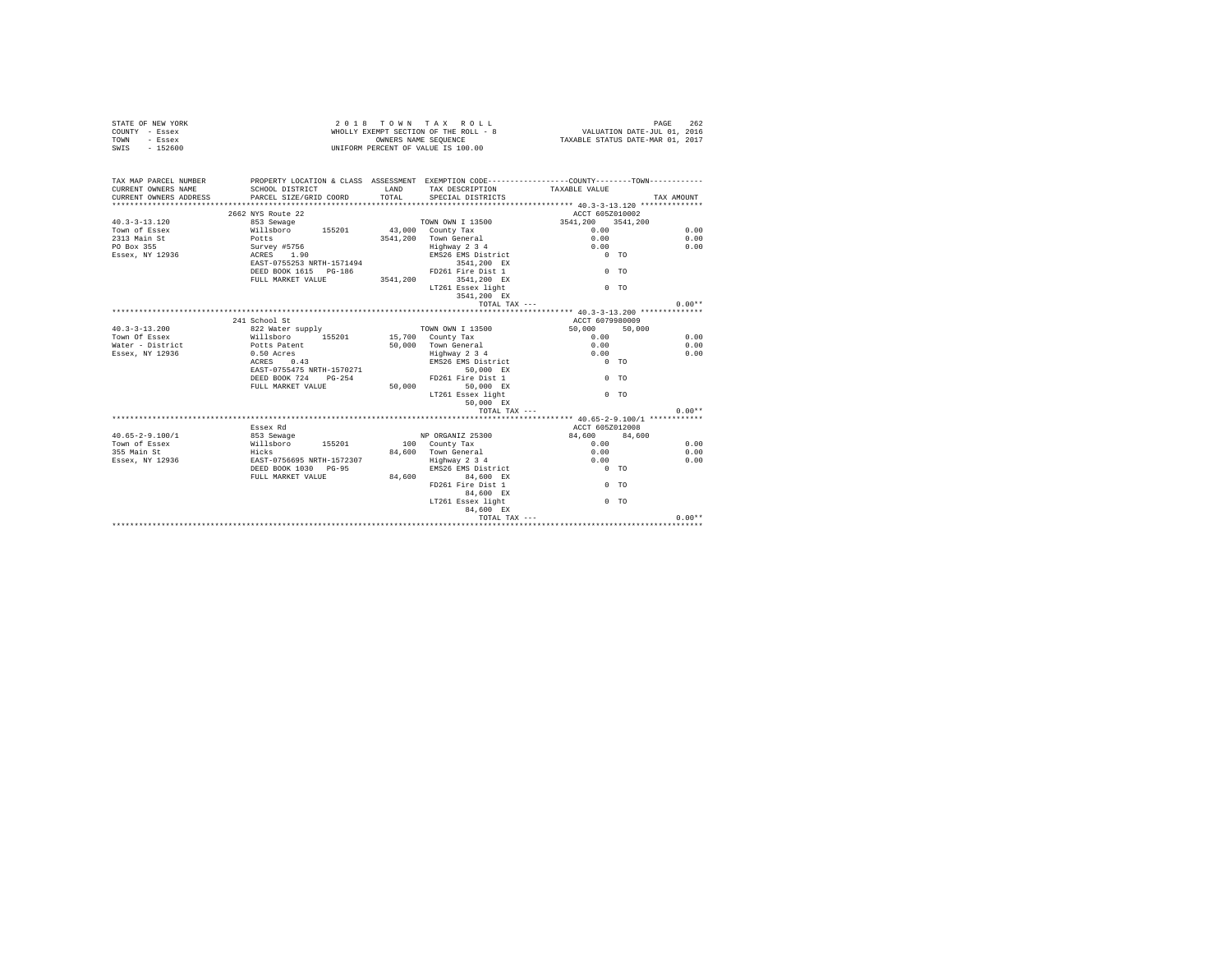| COUNTY - Essex<br>TOWN<br>- Essex<br>$-152600$<br>SWTS |                                                                                                                                                                                         | WHOLLY EXEMPT SECTION OF THE ROLL - 8<br>OWNERS NAME SEOUENCE<br>UNIFORM PERCENT OF VALUE IS 100.00 | VALUATION DATE-JUL 01, 2016<br>TAXABLE STATUS DATE-MAR 01, 2017 |                                                                                               |            |
|--------------------------------------------------------|-----------------------------------------------------------------------------------------------------------------------------------------------------------------------------------------|-----------------------------------------------------------------------------------------------------|-----------------------------------------------------------------|-----------------------------------------------------------------------------------------------|------------|
|                                                        |                                                                                                                                                                                         |                                                                                                     |                                                                 |                                                                                               |            |
| TAX MAP PARCEL NUMBER                                  |                                                                                                                                                                                         |                                                                                                     |                                                                 | PROPERTY LOCATION & CLASS ASSESSMENT EXEMPTION CODE----------------COUNTY-------TOWN--------- |            |
| CURRENT OWNERS NAME                                    | SCHOOL DISTRICT                                                                                                                                                                         | LAND                                                                                                | TAX DESCRIPTION                                                 | TAXABLE VALUE                                                                                 |            |
| CURRENT OWNERS ADDRESS                                 | PARCEL SIZE/GRID COORD                                                                                                                                                                  | TOTAL                                                                                               | SPECIAL DISTRICTS                                               |                                                                                               | TAX AMOUNT |
|                                                        | *****************************                                                                                                                                                           |                                                                                                     |                                                                 | ****************** 40.3-3-13.120 **************                                               |            |
|                                                        | 2662 NYS Route 22                                                                                                                                                                       |                                                                                                     |                                                                 | ACCT 605Z010002                                                                               |            |
| $40.3 - 3 - 13.120$                                    | 853 Sewage                                                                                                                                                                              |                                                                                                     | TOWN OWN I 13500                                                | 3541,200 3541,200                                                                             |            |
| Town of Essex                                          |                                                                                                                                                                                         |                                                                                                     |                                                                 | 0.00                                                                                          | 0.00       |
| 2313 Main St                                           | 01118boro 155201 43,000 County Tax<br>Potts 1.90 County Tax<br>Survey #5756 3541,200 Town General<br>Survey #5756 3141,200 Highway 2 3<br>RAST-0755253 NRTH-1571494 EMS26 EMS 13511,200 |                                                                                                     | 3541,200 Town General                                           | 0.00                                                                                          | 0.00       |
| PO Box 355<br>Essex, NY 12936                          |                                                                                                                                                                                         |                                                                                                     | Highway 2 3 4<br>EMS26 EMS District                             | 0.00<br>$0$ TO                                                                                | 0.00       |
|                                                        |                                                                                                                                                                                         |                                                                                                     | 3541,200 EX                                                     |                                                                                               |            |
|                                                        | DEED BOOK 1615 PG-186                                                                                                                                                                   |                                                                                                     | FD261 Fire Dist 1                                               | $0$ TO                                                                                        |            |
|                                                        | FULL MARKET VALUE                                                                                                                                                                       | 3541,200                                                                                            | 3541,200 EX                                                     |                                                                                               |            |
|                                                        |                                                                                                                                                                                         |                                                                                                     | LT261 Essex light                                               | 0 <sub>0</sub>                                                                                |            |
|                                                        |                                                                                                                                                                                         |                                                                                                     | 3541.200 EX                                                     |                                                                                               |            |
|                                                        |                                                                                                                                                                                         |                                                                                                     | TOTAL TAX ---                                                   |                                                                                               | $0.00**$   |
|                                                        |                                                                                                                                                                                         |                                                                                                     |                                                                 |                                                                                               |            |
|                                                        | 241 School St                                                                                                                                                                           |                                                                                                     |                                                                 | ACCT 6079980009                                                                               |            |
| $40.3 - 3 - 13.200$                                    |                                                                                                                                                                                         |                                                                                                     | TOWN OWN I 13500                                                | 50,000<br>50,000                                                                              |            |
| Town Of Essex                                          | 822 Water supply<br>Willsboro 155201                                                                                                                                                    |                                                                                                     | 15,700 County Tax                                               | 0.00                                                                                          | 0.00       |
| Water - District                                       | Potts Patent                                                                                                                                                                            |                                                                                                     | 50,000 Town General                                             | 0.00                                                                                          | 0.00       |
| Essex, NY 12936                                        | 0.50 Acres                                                                                                                                                                              |                                                                                                     | Highway 2 3 4                                                   | 0.00                                                                                          | 0.00       |
|                                                        | 0.43<br>ACRES                                                                                                                                                                           |                                                                                                     | EMS26 EMS District                                              | $0$ TO                                                                                        |            |
|                                                        | EAST-0755475 NRTH-1570271                                                                                                                                                               |                                                                                                     | 50,000 EX                                                       |                                                                                               |            |
|                                                        | DEED BOOK 724 PG-254                                                                                                                                                                    |                                                                                                     | FD261 Fire Dist 1                                               | 0 <sub>0</sub>                                                                                |            |
|                                                        | FULL MARKET VALUE                                                                                                                                                                       |                                                                                                     | 50,000 50,000 EX                                                |                                                                                               |            |
|                                                        |                                                                                                                                                                                         |                                                                                                     | LT261 Essex light                                               | $0$ TO                                                                                        |            |
|                                                        |                                                                                                                                                                                         |                                                                                                     | 50.000 EX                                                       |                                                                                               |            |
|                                                        |                                                                                                                                                                                         |                                                                                                     | TOTAL TAX ---                                                   |                                                                                               | $0.00**$   |
|                                                        |                                                                                                                                                                                         |                                                                                                     |                                                                 | ********************* 40.65-2-9.100/1 ************                                            |            |
|                                                        | Essex Rd                                                                                                                                                                                |                                                                                                     |                                                                 | ACCT 605Z012008                                                                               |            |
| $40.65 - 2 - 9.100/1$                                  |                                                                                                                                                                                         |                                                                                                     | NP ORGANIZ 25300                                                | 84,600 84,600                                                                                 |            |
| Town of Essex                                          |                                                                                                                                                                                         |                                                                                                     | 100 County Tax                                                  | 0.00                                                                                          | 0.00       |
| 355 Main St                                            |                                                                                                                                                                                         |                                                                                                     | 84,600 Town General                                             | 0.00                                                                                          | 0.00       |
| Essex, NY 12936                                        |                                                                                                                                                                                         |                                                                                                     | Highway 2 3 4                                                   | 0.00                                                                                          | 0.00       |
|                                                        | DEED BOOK 1030 PG-95                                                                                                                                                                    |                                                                                                     |                                                                 | EMS26 EMS District 0 TO                                                                       |            |
|                                                        | FULL MARKET VALUE                                                                                                                                                                       |                                                                                                     | 84,600 84,600 EX                                                |                                                                                               |            |
|                                                        |                                                                                                                                                                                         |                                                                                                     | FD261 Fire Dist 1<br>84,600 EX                                  | $0$ TO                                                                                        |            |
|                                                        |                                                                                                                                                                                         |                                                                                                     | LT261 Essex light<br>84.600 EX                                  | 0 <sub>0</sub>                                                                                |            |
|                                                        |                                                                                                                                                                                         |                                                                                                     | TOTAL TAX ---                                                   |                                                                                               | $0.00**$   |
|                                                        |                                                                                                                                                                                         |                                                                                                     |                                                                 |                                                                                               |            |

STATE OF NEW YORK 262 2018 TOWN TAX ROLL CHARGE 262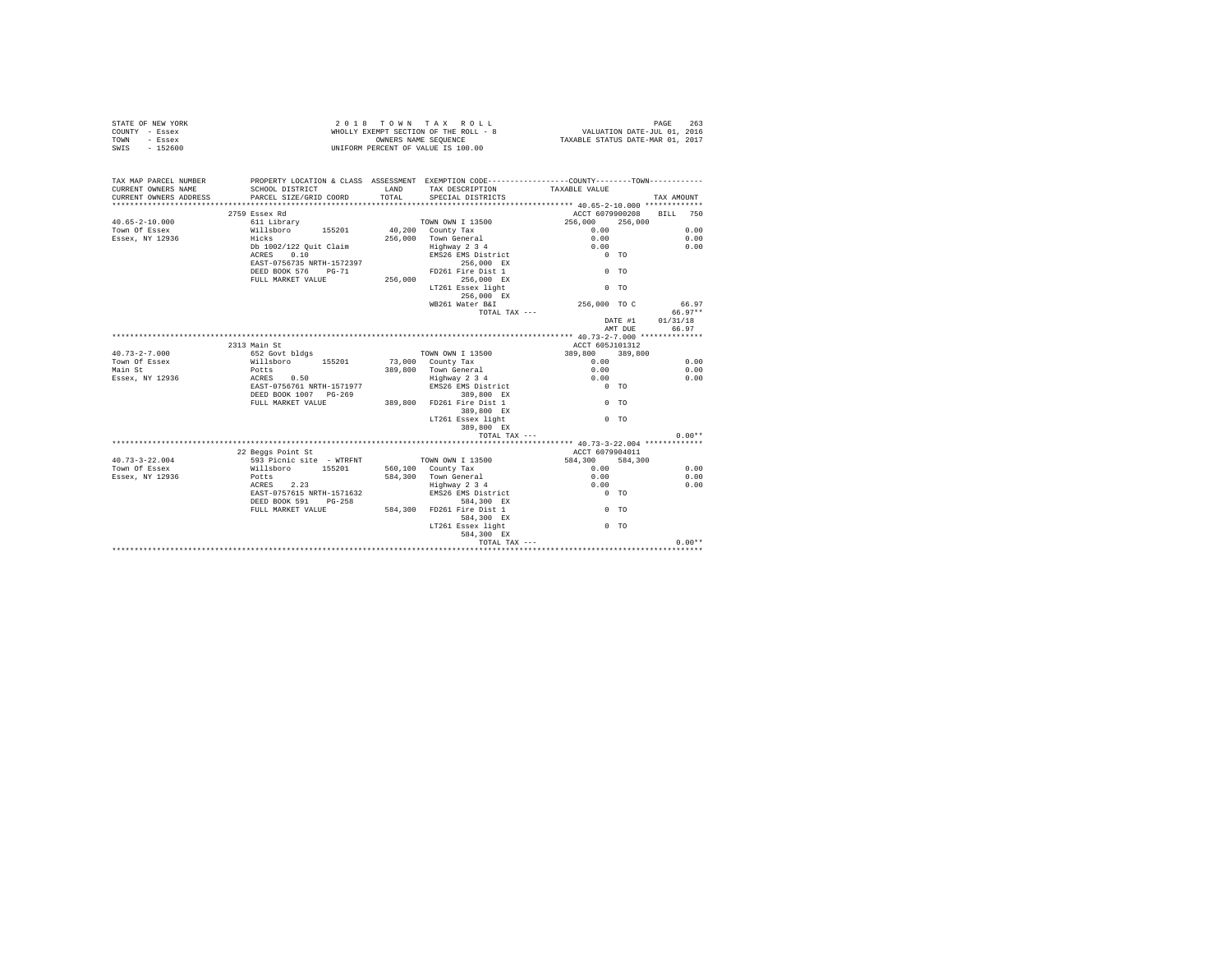|                | STATE OF NEW YORK | 2018 TOWN TAX ROLL                    |  |                      |  |  |  |                                  | PAGE                        | 263 |
|----------------|-------------------|---------------------------------------|--|----------------------|--|--|--|----------------------------------|-----------------------------|-----|
| COUNTY - Essex |                   | WHOLLY EXEMPT SECTION OF THE ROLL - 8 |  |                      |  |  |  |                                  | VALUATION DATE-JUL 01, 2016 |     |
| TOWN           | - Essex           |                                       |  | OWNERS NAME SEOUENCE |  |  |  | TAXABLE STATUS DATE-MAR 01, 2017 |                             |     |
| SWIS           | $-152600$         | UNIFORM PERCENT OF VALUE IS 100.00    |  |                      |  |  |  |                                  |                             |     |

| TAX MAP PARCEL NUMBER<br>CURRENT OWNERS NAME | PROPERTY LOCATION & CLASS ASSESSMENT EXEMPTION CODE---------------COUNTY-------TOWN---------<br>SCHOOL DISTRICT<br>PARCEL SIZE/GRID COORD | LAND<br>TOTAL. | TAX DESCRIPTION TAXABLE VALUE       |                 |         |                          |
|----------------------------------------------|-------------------------------------------------------------------------------------------------------------------------------------------|----------------|-------------------------------------|-----------------|---------|--------------------------|
| CURRENT OWNERS ADDRESS                       |                                                                                                                                           |                | SPECIAL DISTRICTS                   |                 |         | TAX AMOUNT               |
|                                              | 2759 Essex Rd                                                                                                                             |                |                                     |                 |         | ACCT 6079900208 BILL 750 |
| $40.65 - 2 - 10.000$                         | 611 Library                                                                                                                               |                | TOWN OWN I 13500                    | 256,000         | 256,000 |                          |
| Town Of Essex                                |                                                                                                                                           |                | 40,200 County Tax                   | 0.00            |         | 0.00                     |
| Essex, NY 12936                              | Willsboro 155201<br>Hicks                                                                                                                 |                | 256,000 Town General                | 0.00            |         | 0.00                     |
|                                              | Db 1002/122 Quit Claim                                                                                                                    |                | Highway 2 3 4                       | 0.00            |         | 0.00                     |
|                                              | ACRES 0.10                                                                                                                                |                | EMS26 EMS District                  | $0$ TO          |         |                          |
|                                              | EAST-0756735 NRTH-1572397                                                                                                                 |                | 256,000 EX                          |                 |         |                          |
|                                              | DEED BOOK 576 PG-71                                                                                                                       |                | FD261 Fire Dist 1                   | $0$ TO          |         |                          |
|                                              | FULL MARKET VALUE                                                                                                                         |                | 256,000 256,000 EX                  |                 |         |                          |
|                                              |                                                                                                                                           |                | LT261 Essex light                   | $0$ TO          |         |                          |
|                                              |                                                                                                                                           |                | 256.000 EX                          |                 |         |                          |
|                                              |                                                                                                                                           |                | WB261 Water B&I                     | 256,000 TO C    |         | 66.97                    |
|                                              |                                                                                                                                           |                | TOTAL TAX ---                       |                 |         | 66.97**                  |
|                                              |                                                                                                                                           |                |                                     |                 | DATE #1 | 01/31/18                 |
|                                              |                                                                                                                                           |                |                                     |                 | AMT DUE | 66.97                    |
|                                              |                                                                                                                                           |                |                                     |                 |         |                          |
|                                              | 2313 Main St                                                                                                                              |                |                                     | ACCT 605J101312 |         |                          |
| $40.73 - 2 - 7.000$                          | 652 Govt bldgs                                                                                                                            |                | TOWN OWN I 13500                    | 389,800         | 389,800 |                          |
| Town Of Essex                                |                                                                                                                                           |                | 73,000 County Tax                   | 0.00            |         | 0.00                     |
| Main St                                      | Willsboro 155201<br>Potts                                                                                                                 |                | 389.800 Town General                | 0.00            |         | 0.00                     |
|                                              |                                                                                                                                           |                |                                     | 0.00            |         | 0.00                     |
|                                              | EAST-0756761 NRTH-1571977                                                                                                                 |                | Highway 2 3 4<br>EMS26 EMS District | $0$ TO          |         |                          |
|                                              | DEED BOOK 1007 PG-269                                                                                                                     |                | 389,800 EX                          |                 |         |                          |
|                                              | FULL MARKET VALUE                                                                                                                         |                | 389,800 FD261 Fire Dist 1           | $0$ TO          |         |                          |
|                                              |                                                                                                                                           |                | 389,800 EX                          |                 |         |                          |
|                                              |                                                                                                                                           |                | LT261 Essex light                   | $0$ TO          |         |                          |
|                                              |                                                                                                                                           |                | 389,800 EX                          |                 |         |                          |
|                                              |                                                                                                                                           |                | TOTAL TAX ---                       |                 |         | $0.00**$                 |
|                                              |                                                                                                                                           |                |                                     |                 |         |                          |
|                                              | 22 Beggs Point St                                                                                                                         |                |                                     | ACCT 6079904011 |         |                          |
| $40.73 - 3 - 22.004$                         | 593 Picnic site - WTRFNT TOWN OWN I 13500                                                                                                 |                |                                     | 584,300 584,300 |         |                          |
| Town Of Essex                                | Willsboro 155201                                                                                                                          |                | 560,100 County Tax                  | 0.00            |         | 0.00                     |
| Essex, NY 12936                              | Potts                                                                                                                                     |                | 584,300 Town General                | 0.00            |         | 0.00                     |
|                                              | ACRES 2.23                                                                                                                                |                | Highway 2 3 4                       | 0.00            |         | 0.00                     |
|                                              | EAST-0757615 NRTH-1571632                                                                                                                 |                | EMS26 EMS District                  | $0$ TO          |         |                          |
|                                              | DEED BOOK 591 PG-258                                                                                                                      |                | 584,300 EX                          |                 |         |                          |
|                                              | FULL MARKET VALUE                                                                                                                         |                | 584.300 FD261 Fire Dist 1           | $0$ TO          |         |                          |
|                                              |                                                                                                                                           |                | 584,300 EX                          |                 |         |                          |
|                                              |                                                                                                                                           |                | LT261 Essex light                   | 0 <sub>0</sub>  |         |                          |
|                                              |                                                                                                                                           |                | 584,300 EX                          |                 |         |                          |
|                                              |                                                                                                                                           |                |                                     | TOTAL TAX ---   |         | $0.00**$                 |
|                                              |                                                                                                                                           |                |                                     |                 |         |                          |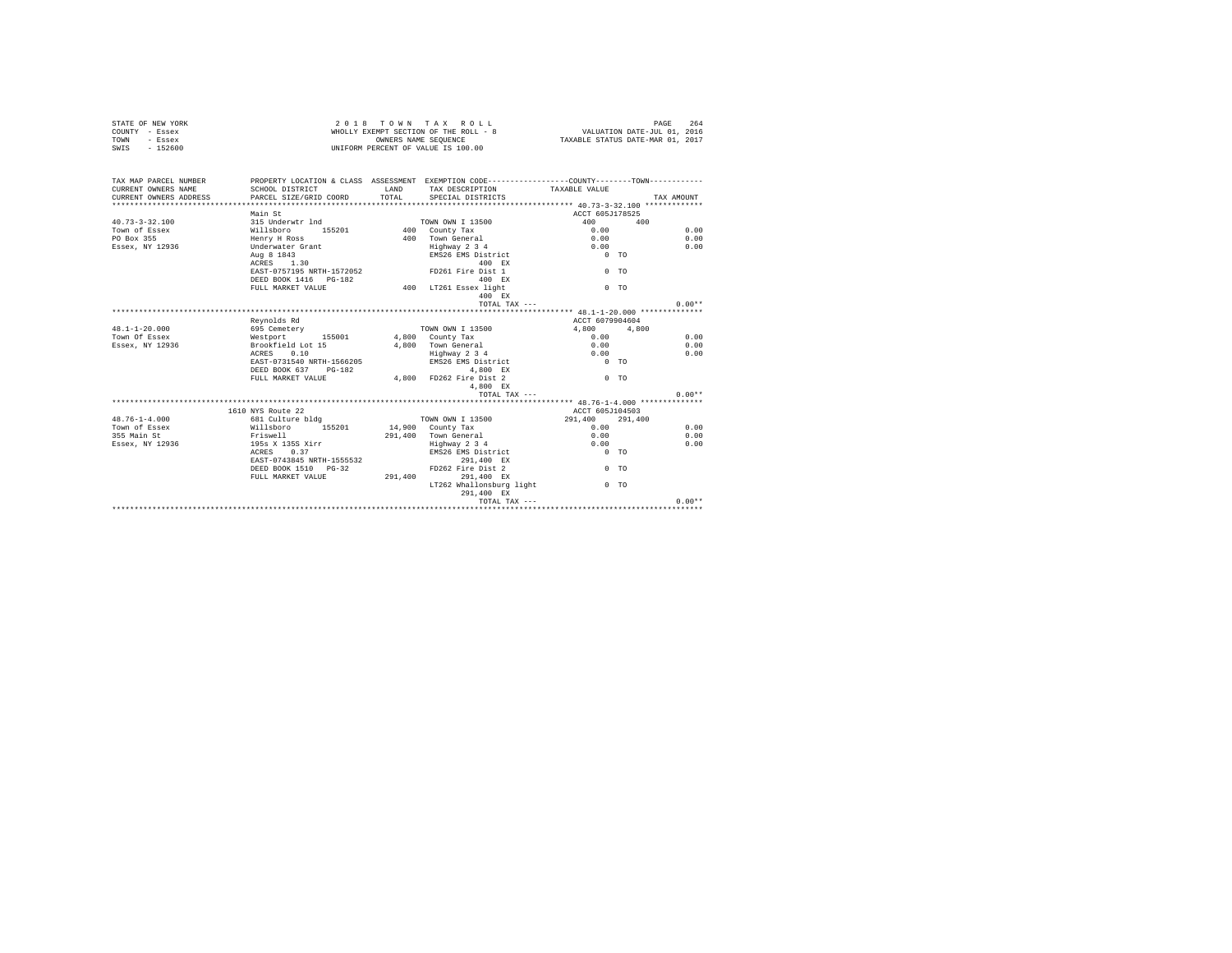| COUNTY - Essex<br>TOWN<br>- Essex<br>SWTS<br>$-152600$ |                                                                                              | WHOLLY EXEMPT SECTION OF THE ROLL - 8<br>OWNERS NAME SEQUENCE<br>UNIFORM PERCENT OF VALUE IS 100.00 | VALUATION DATE-JUL 01, 2016<br>TAXABLE STATUS DATE-MAR 01, 2017 |                 |                |            |
|--------------------------------------------------------|----------------------------------------------------------------------------------------------|-----------------------------------------------------------------------------------------------------|-----------------------------------------------------------------|-----------------|----------------|------------|
|                                                        |                                                                                              |                                                                                                     |                                                                 |                 |                |            |
| TAX MAP PARCEL NUMBER                                  | PROPERTY LOCATION & CLASS ASSESSMENT EXEMPTION CODE---------------COUNTY-------TOWN--------- |                                                                                                     |                                                                 |                 |                |            |
| CURRENT OWNERS NAME                                    | SCHOOL DISTRICT                                                                              | LAND                                                                                                | TAX DESCRIPTION                                                 | TAXABLE VALUE   |                |            |
| CURRENT OWNERS ADDRESS                                 | PARCEL SIZE/GRID COORD                                                                       | TOTAL                                                                                               | SPECIAL DISTRICTS                                               |                 |                | TAX AMOUNT |
|                                                        |                                                                                              |                                                                                                     |                                                                 |                 |                |            |
|                                                        | Main St                                                                                      |                                                                                                     |                                                                 | ACCT 605J178525 |                |            |
| $40.73 - 3 - 32.100$                                   |                                                                                              |                                                                                                     | TOWN OWN I 13500<br>400 County Tax                              | 400             | 400            |            |
| Town of Essex                                          | 315 Underwtr 1nd<br>Willsboro 155201<br>Henry H Ross<br>Underwater Grant                     |                                                                                                     |                                                                 | 0.00            |                | 0.00       |
| PO Box 355                                             |                                                                                              |                                                                                                     | 400 Town General                                                | 0.00            |                | 0.00       |
| Essex, NY 12936                                        |                                                                                              |                                                                                                     | Highway 2 3 4                                                   | 0.00            |                | 0.00       |
|                                                        | Aug 8 1843                                                                                   |                                                                                                     | EMS26 EMS District<br>400 RX                                    | $0$ TO          |                |            |
|                                                        | ACRES 1.30<br>EAST-0757195 NRTH-1572052                                                      |                                                                                                     | FD261 Fire Dist 1                                               |                 | 0 <sub>0</sub> |            |
|                                                        | DEED BOOK 1416 PG-182                                                                        |                                                                                                     | 400 RX                                                          |                 |                |            |
|                                                        | FULL MARKET VALUE                                                                            |                                                                                                     | $400$ LT261 Essex light                                         |                 | 0 <sub>0</sub> |            |
|                                                        |                                                                                              |                                                                                                     | 400 EX                                                          |                 |                |            |
|                                                        |                                                                                              |                                                                                                     | TOTAL TAX ---                                                   |                 |                | $0.00**$   |
|                                                        |                                                                                              |                                                                                                     |                                                                 |                 |                |            |
|                                                        | Revnolds Rd                                                                                  |                                                                                                     |                                                                 | ACCT 6079904604 |                |            |
| $48.1 - 1 - 20.000$                                    | 695 Cemetery                                                                                 |                                                                                                     | TOWN OWN I 13500                                                | 4,800           | 4,800          |            |
| Town Of Essex                                          | Westport 155001 4,800 County Tax                                                             |                                                                                                     |                                                                 | 0.00            |                | 0.00       |
| Essex, NY 12936                                        | Brookfield Lot 15                                                                            |                                                                                                     | 4,800 Town General                                              | 0.00            |                | 0.00       |
|                                                        | ACRES 0.10                                                                                   |                                                                                                     | Highway 2 3 4                                                   | 0.00            |                | 0.00       |
|                                                        | EAST-0731540 NRTH-1566205                                                                    |                                                                                                     | EMS26 EMS District                                              | $0$ TO          |                |            |
|                                                        | DEED BOOK 637 PG-182                                                                         |                                                                                                     | 4.800 EX                                                        |                 |                |            |
|                                                        | FULL MARKET VALUE                                                                            |                                                                                                     | 4,800 FD262 Fire Dist 2                                         | $0$ TO          |                |            |
|                                                        |                                                                                              |                                                                                                     | 4.800 EX                                                        |                 |                |            |
|                                                        |                                                                                              |                                                                                                     | TOTAL TAX ---                                                   |                 |                | $0.00**$   |
|                                                        |                                                                                              |                                                                                                     |                                                                 |                 |                |            |
|                                                        | 1610 NYS Route 22                                                                            |                                                                                                     |                                                                 | ACCT 605J104503 |                |            |
| $48.76 - 1 - 4.000$                                    | 681 Culture bldg                                                                             |                                                                                                     | TOWN OWN I 13500                                                | 291,400 291,400 |                |            |
| Town of Essex                                          | Willsboro 155201                                                                             |                                                                                                     | 14,900 County Tax                                               | 0.00            |                | 0.00       |
| 355 Main St                                            | Friswell                                                                                     |                                                                                                     | 291.400 Town General                                            | 0.00            |                | 0.00       |
| Essex, NY 12936                                        | 195s X 135S Xirr                                                                             |                                                                                                     | Highway 2 3 4                                                   | 0.00            |                | 0.00       |
|                                                        | ACRES 0.37                                                                                   |                                                                                                     | EMS26 EMS District                                              | $0$ TO          |                |            |
|                                                        | EAST-0743845 NRTH-1555532                                                                    |                                                                                                     | 291,400 EX                                                      |                 |                |            |
|                                                        | DEED BOOK 1510 PG-32<br>FULL MARKET VALUE                                                    |                                                                                                     | FD262 Fire Dist 2<br>291.400 EX                                 |                 | 0 <sub>0</sub> |            |
|                                                        |                                                                                              | 291,400                                                                                             | LT262 Whallonsburg light                                        |                 | 0 <sub>0</sub> |            |
|                                                        |                                                                                              |                                                                                                     | 291.400 EX                                                      |                 |                |            |
|                                                        |                                                                                              |                                                                                                     | $TOTAI. TAX - - -$                                              |                 |                | $0.00**$   |
|                                                        |                                                                                              |                                                                                                     |                                                                 |                 |                |            |

STATE OF NEW YORK 264 2018 TOWN TAX ROLL CHARGE 264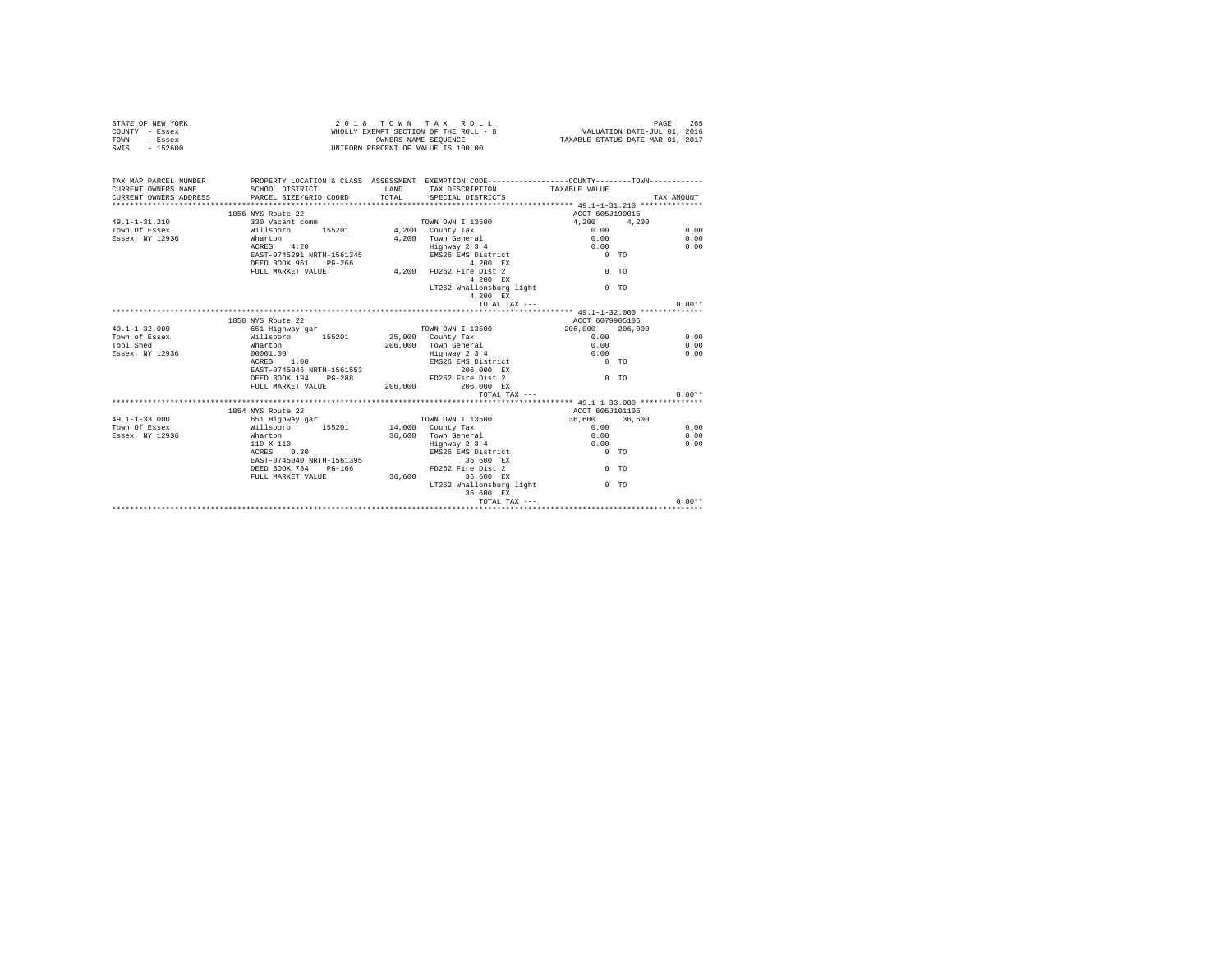| STATE OF NEW YORK<br>COUNTY - Essex<br>- Essex<br>TOWN<br>$-152600$<br>SWIS | 2018 TOWN TAX ROLL<br>UNIFORM PERCENT OF VALUE IS 100.00 | $\begin{array}{ccccccccccccccccccccccccccccccccccccccccc} \textit{2 0 1 8 & \textit{1 0 1 8} & \textit{1 0 1 8} & \textit{1 0 1 8} & \textit{2 0 1 8} & \textit{3 0 1 8} & \textit{4 0 1 8} & \textit{5 0 1 8} & \textit{6 0 1 8} & \textit{6 0 1 8} & \textit{7 0 1 8} & \textit{8 0 1 8} & \textit{8 0 1 8} & \textit{9 0 1 8} & \textit{1 1 8 1 8} & \textit{1 1$ |                                                                                                                                      | 265<br>PAGE     |       |            |
|-----------------------------------------------------------------------------|----------------------------------------------------------|----------------------------------------------------------------------------------------------------------------------------------------------------------------------------------------------------------------------------------------------------------------------------------------------------------------------------------------------------------------------|--------------------------------------------------------------------------------------------------------------------------------------|-----------------|-------|------------|
| TAX MAP PARCEL NUMBER<br>CURRENT OWNERS NAME<br>CURRENT OWNERS ADDRESS      | SCHOOL DISTRICT<br>PARCEL SIZE/GRID COORD                | LAND<br>TOTAL                                                                                                                                                                                                                                                                                                                                                        | PROPERTY LOCATION & CLASS ASSESSMENT EXEMPTION CODE---------------COUNTY-------TOWN---------<br>TAX DESCRIPTION<br>SPECIAL DISTRICTS | TAXABLE VALUE   |       | TAX AMOUNT |
| **************************                                                  |                                                          |                                                                                                                                                                                                                                                                                                                                                                      |                                                                                                                                      |                 |       |            |
|                                                                             | 1856 NYS Route 22                                        |                                                                                                                                                                                                                                                                                                                                                                      |                                                                                                                                      | ACCT 605J190015 |       |            |
| $49.1 - 1 - 31.210$                                                         | 330 Vacant comm<br>Willsboro 155201                      |                                                                                                                                                                                                                                                                                                                                                                      | TOWN OWN I 13500<br>4,200 County Tax                                                                                                 | 4.200           | 4,200 |            |
| Town Of Essex                                                               |                                                          |                                                                                                                                                                                                                                                                                                                                                                      |                                                                                                                                      | 0.00            |       | 0.00       |
| Essex, NY 12936                                                             | Wharton                                                  |                                                                                                                                                                                                                                                                                                                                                                      | 4,200 Town General                                                                                                                   | 0.00            |       | 0.00       |
|                                                                             | ACRES 4.20                                               |                                                                                                                                                                                                                                                                                                                                                                      | Highway 2 3 4                                                                                                                        | 0.00            |       | 0.00       |
|                                                                             | EAST-0745291 NRTH-1561345                                |                                                                                                                                                                                                                                                                                                                                                                      | EMS26 EMS District                                                                                                                   | $0$ TO          |       |            |
|                                                                             | DEED BOOK 961 PG-266                                     |                                                                                                                                                                                                                                                                                                                                                                      | 4.200 EX                                                                                                                             |                 |       |            |
|                                                                             | FULL MARKET VALUE                                        | 4,200                                                                                                                                                                                                                                                                                                                                                                | FD262 Fire Dist 2                                                                                                                    | 0 <sub>0</sub>  |       |            |
|                                                                             |                                                          |                                                                                                                                                                                                                                                                                                                                                                      | 4.200 EX                                                                                                                             |                 |       |            |
|                                                                             |                                                          |                                                                                                                                                                                                                                                                                                                                                                      | LT262 Whallonsburg light 0 TO                                                                                                        |                 |       |            |
|                                                                             |                                                          |                                                                                                                                                                                                                                                                                                                                                                      | 4.200 EX                                                                                                                             |                 |       |            |
|                                                                             |                                                          |                                                                                                                                                                                                                                                                                                                                                                      | TOTAL TAX ---                                                                                                                        |                 |       | $0.00**$   |
|                                                                             |                                                          |                                                                                                                                                                                                                                                                                                                                                                      |                                                                                                                                      |                 |       |            |
|                                                                             | 1858 NYS Route 22                                        |                                                                                                                                                                                                                                                                                                                                                                      |                                                                                                                                      | ACCT 6079905106 |       |            |
| $49.1 - 1 - 32.000$                                                         | 651 Highway gar                                          |                                                                                                                                                                                                                                                                                                                                                                      | TOWN OWN I 13500                                                                                                                     | 206,000 206,000 |       |            |
| Town of Essex                                                               | Willsboro 155201                                         |                                                                                                                                                                                                                                                                                                                                                                      | 25,000 County Tax                                                                                                                    | 0.00            |       | 0.00       |
| Tool Shed                                                                   | Wharton                                                  |                                                                                                                                                                                                                                                                                                                                                                      | 206,000 Town General                                                                                                                 | 0.00            |       | 0.00       |
| Essex, NY 12936                                                             | 00001.00                                                 |                                                                                                                                                                                                                                                                                                                                                                      | Highway 2 3 4                                                                                                                        | 0.00            |       | 0.00       |
|                                                                             | ACRES 1.00                                               |                                                                                                                                                                                                                                                                                                                                                                      | EMS26 EMS District                                                                                                                   | $0$ TO          |       |            |
|                                                                             | EAST-0745046 NRTH-1561553                                |                                                                                                                                                                                                                                                                                                                                                                      | 206,000 EX                                                                                                                           |                 |       |            |
|                                                                             | DEED BOOK 194 PG-288                                     |                                                                                                                                                                                                                                                                                                                                                                      | FD262 Fire Dist 2                                                                                                                    | $0$ TO          |       |            |
|                                                                             | FULL MARKET VALUE                                        | 206,000                                                                                                                                                                                                                                                                                                                                                              | 206,000 EX                                                                                                                           |                 |       |            |
|                                                                             |                                                          |                                                                                                                                                                                                                                                                                                                                                                      | TOTAL TAX $---$                                                                                                                      |                 |       | $0.00**$   |
|                                                                             |                                                          |                                                                                                                                                                                                                                                                                                                                                                      |                                                                                                                                      |                 |       |            |
|                                                                             | 1854 NYS Route 22                                        |                                                                                                                                                                                                                                                                                                                                                                      |                                                                                                                                      | ACCT 605J101105 |       |            |
| $49.1 - 1 - 33.000$                                                         | 651 Highway gar                                          |                                                                                                                                                                                                                                                                                                                                                                      | TOWN OWN I 13500                                                                                                                     | 36,600 36,600   |       |            |
| Town Of Essex                                                               | Willsboro 155201                                         |                                                                                                                                                                                                                                                                                                                                                                      | 14,000 County Tax                                                                                                                    | 0.00            |       | 0.00       |
| Essex, NY 12936                                                             | Wharton                                                  |                                                                                                                                                                                                                                                                                                                                                                      | 36,600 Town General                                                                                                                  | 0.00            |       | 0.00       |
|                                                                             | 110 X 110                                                |                                                                                                                                                                                                                                                                                                                                                                      | Highway 2 3 4<br>EMS26 EMS District                                                                                                  | 0.00            |       | 0.00       |
|                                                                             | ACRES 0.30                                               |                                                                                                                                                                                                                                                                                                                                                                      |                                                                                                                                      | $0$ TO          |       |            |
|                                                                             | EAST-0745040 NRTH-1561395                                |                                                                                                                                                                                                                                                                                                                                                                      | 36,600 EX                                                                                                                            |                 |       |            |
|                                                                             | DEED BOOK 784 PG-166                                     |                                                                                                                                                                                                                                                                                                                                                                      | FD262 Fire Dist 2                                                                                                                    | $0$ TO          |       |            |
|                                                                             | FULL MARKET VALUE                                        |                                                                                                                                                                                                                                                                                                                                                                      | 36,600 36,600 EX                                                                                                                     |                 |       |            |
|                                                                             |                                                          |                                                                                                                                                                                                                                                                                                                                                                      | LT262 Whallonsburg light                                                                                                             | 0 <sub>0</sub>  |       |            |
|                                                                             |                                                          |                                                                                                                                                                                                                                                                                                                                                                      | 36,600 EX                                                                                                                            |                 |       |            |
|                                                                             |                                                          |                                                                                                                                                                                                                                                                                                                                                                      | TOTAL TAX $---$                                                                                                                      |                 |       | $0.00**$   |
|                                                                             |                                                          |                                                                                                                                                                                                                                                                                                                                                                      |                                                                                                                                      |                 |       |            |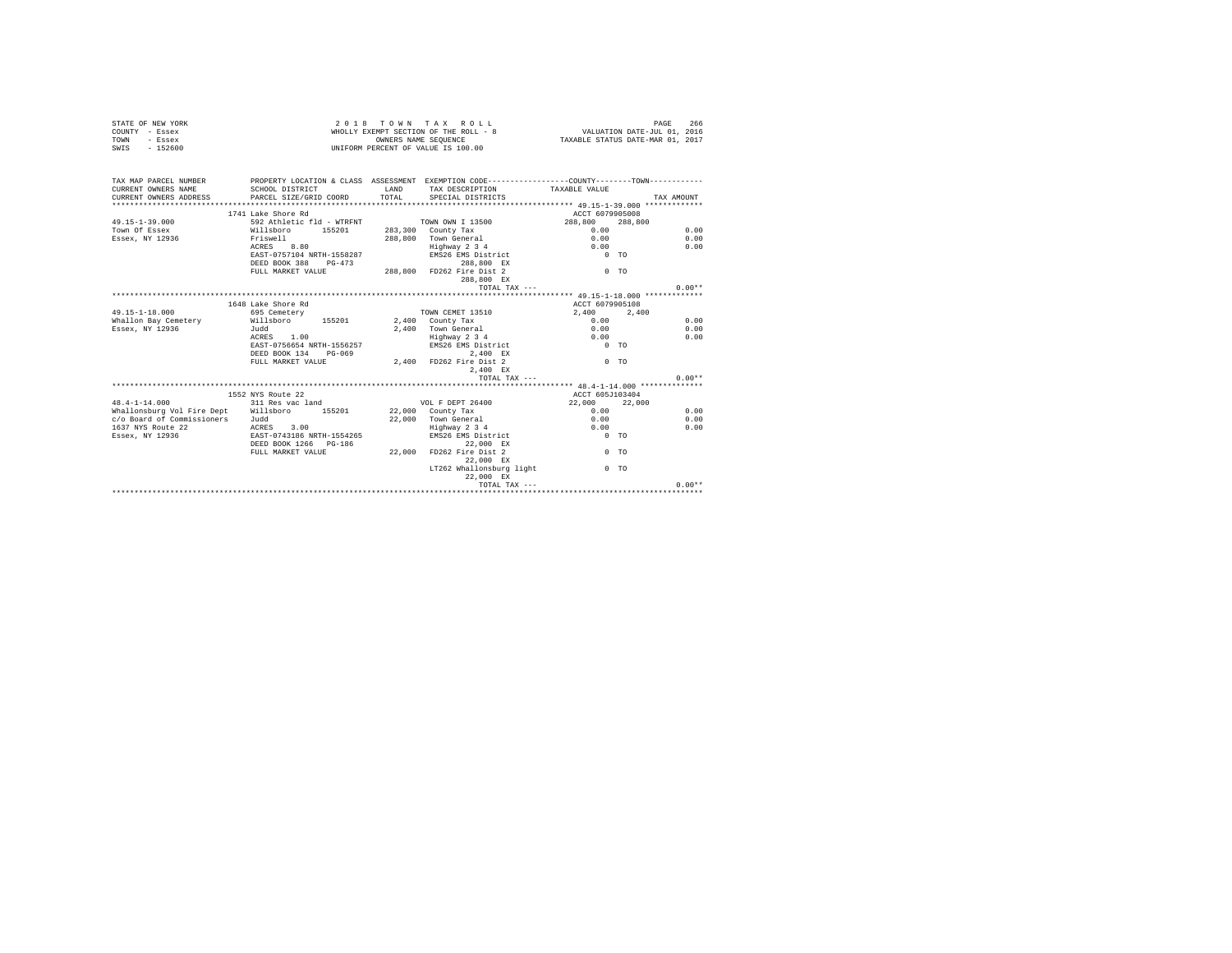|      | STATE OF NEW YORK | 2018 TOWN TAX ROLL                    | 266<br>PAGE                      |
|------|-------------------|---------------------------------------|----------------------------------|
|      | COUNTY - Essex    | WHOLLY EXEMPT SECTION OF THE ROLL - 8 | VALUATION DATE-JUL 01, 2016      |
| TOWN | - Essex           | OWNERS NAME SEOUENCE                  | TAXABLE STATUS DATE-MAR 01, 2017 |
| SWIS | $-152600$         | UNIFORM PERCENT OF VALUE IS 100.00    |                                  |

| TAX MAP PARCEL NUMBER                                         | PROPERTY LOCATION & CLASS ASSESSMENT EXEMPTION CODE---------------COUNTY-------TOWN--------- |      |                                               |                 |            |  |
|---------------------------------------------------------------|----------------------------------------------------------------------------------------------|------|-----------------------------------------------|-----------------|------------|--|
| CURRENT OWNERS NAME                                           | SCHOOL DISTRICT                                                                              | LAND | TAX DESCRIPTION TAXABLE VALUE                 |                 |            |  |
| CURRENT OWNERS ADDRESS PARCEL SIZE/GRID COORD                 |                                                                                              |      | TOTAL SPECIAL DISTRICTS                       |                 | TAX AMOUNT |  |
|                                                               |                                                                                              |      |                                               |                 |            |  |
|                                                               | 1741 Lake Shore Rd                                                                           |      |                                               | ACCT 6079905008 |            |  |
| $49.15 - 1 - 39.000$                                          | 592 Athletic fld - WTRFNT TOWN OWN I 13500                                                   |      |                                               | 288,800 288,800 |            |  |
| Town Of Essex                                                 | Willsboro<br>155201                                                                          |      | 283,300 County Tax                            | 0.00            | 0.00       |  |
| Essex, NY 12936                                               | Friswell                                                                                     |      | 288,800 Town General                          | 0.00            | 0.00       |  |
|                                                               | ACRES 8.80                                                                                   |      | Highway 2 3 4                                 | 0.00            | 0.00       |  |
|                                                               | EAST-0757104 NRTH-1558287                                                                    |      | EMS26 EMS District 0 TO                       |                 |            |  |
|                                                               | DEED BOOK 388 PG-473                                                                         |      | 288,800 EX                                    |                 |            |  |
|                                                               | FULL MARKET VALUE                                                                            |      | 288,800 FD262 Fire Dist 2                     | $0$ TO          |            |  |
|                                                               |                                                                                              |      | 288,800 EX                                    |                 |            |  |
|                                                               |                                                                                              |      | TOTAL TAX $---$                               |                 | $0.00**$   |  |
|                                                               |                                                                                              |      |                                               |                 |            |  |
|                                                               | 1648 Lake Shore Rd                                                                           |      |                                               | ACCT 6079905108 |            |  |
| 49.15-1-18.000                                                | 695 Cemetery                                                                                 |      | TOWN CEMET 13510                              | 2,400 2,400     |            |  |
| Whallon Bay Cemetery                                          | Willsboro 155201 2,400 County Tax                                                            |      |                                               | 0.00            | 0.00       |  |
| Essex, NY 12936                                               | Judd                                                                                         |      | 2.400 Town General                            | 0.00            | 0.00       |  |
|                                                               | ACRES 1.00                                                                                   |      | Eighway 2 3 4 0.00<br>EMS26 EMS District 0 TO |                 | 0.00       |  |
|                                                               | EAST-0756654 NRTH-1556257                                                                    |      |                                               |                 |            |  |
|                                                               | DEED BOOK 134 PG-069                                                                         |      | 2.400 EX                                      |                 |            |  |
|                                                               | FULL MARKET VALUE 2,400 FD262 Fire Dist 2                                                    |      |                                               | $0$ TO          |            |  |
|                                                               |                                                                                              |      | 2.400 EX                                      |                 |            |  |
|                                                               |                                                                                              |      | TOTAL TAX ---                                 |                 | $0.00**$   |  |
|                                                               |                                                                                              |      |                                               |                 |            |  |
|                                                               | 1552 NYS Route 22                                                                            |      |                                               | ACCT 605J103404 |            |  |
| $48.4 - 1 - 14.000$                                           | 311 Res vac land                                                                             |      | VOL F DEPT 26400                              | 22,000 22,000   |            |  |
| Whallonsburg Vol Fire Dept Willsboro 155201 22,000 County Tax |                                                                                              |      |                                               | 0.00            | 0.00       |  |
| c/o Board of Commissioners Judd                               |                                                                                              |      | 22.000 Town General                           | 0.00            | 0.00       |  |
| 1637 NYS Route 22                                             | ACRES 3.00                                                                                   |      | Highway 2 3 4                                 | 0.00            | 0.00       |  |
| Essex, NY 12936                                               | EAST-0743186 NRTH-1554265                                                                    |      | EMS26 EMS District                            | $0$ TO          |            |  |
|                                                               | DEED BOOK 1266 PG-186                                                                        |      | 22.000 EX                                     |                 |            |  |
|                                                               | FULL MARKET VALUE                                                                            |      | 22,000 FD262 Fire Dist 2                      | $0$ TO          |            |  |
|                                                               |                                                                                              |      | 22.000 EX                                     |                 |            |  |
|                                                               |                                                                                              |      | LT262 Whallonsburg light                      | 0 <sub>T</sub>  |            |  |
|                                                               |                                                                                              |      | 22,000 EX                                     |                 |            |  |
|                                                               |                                                                                              |      |                                               |                 |            |  |
|                                                               |                                                                                              |      |                                               |                 |            |  |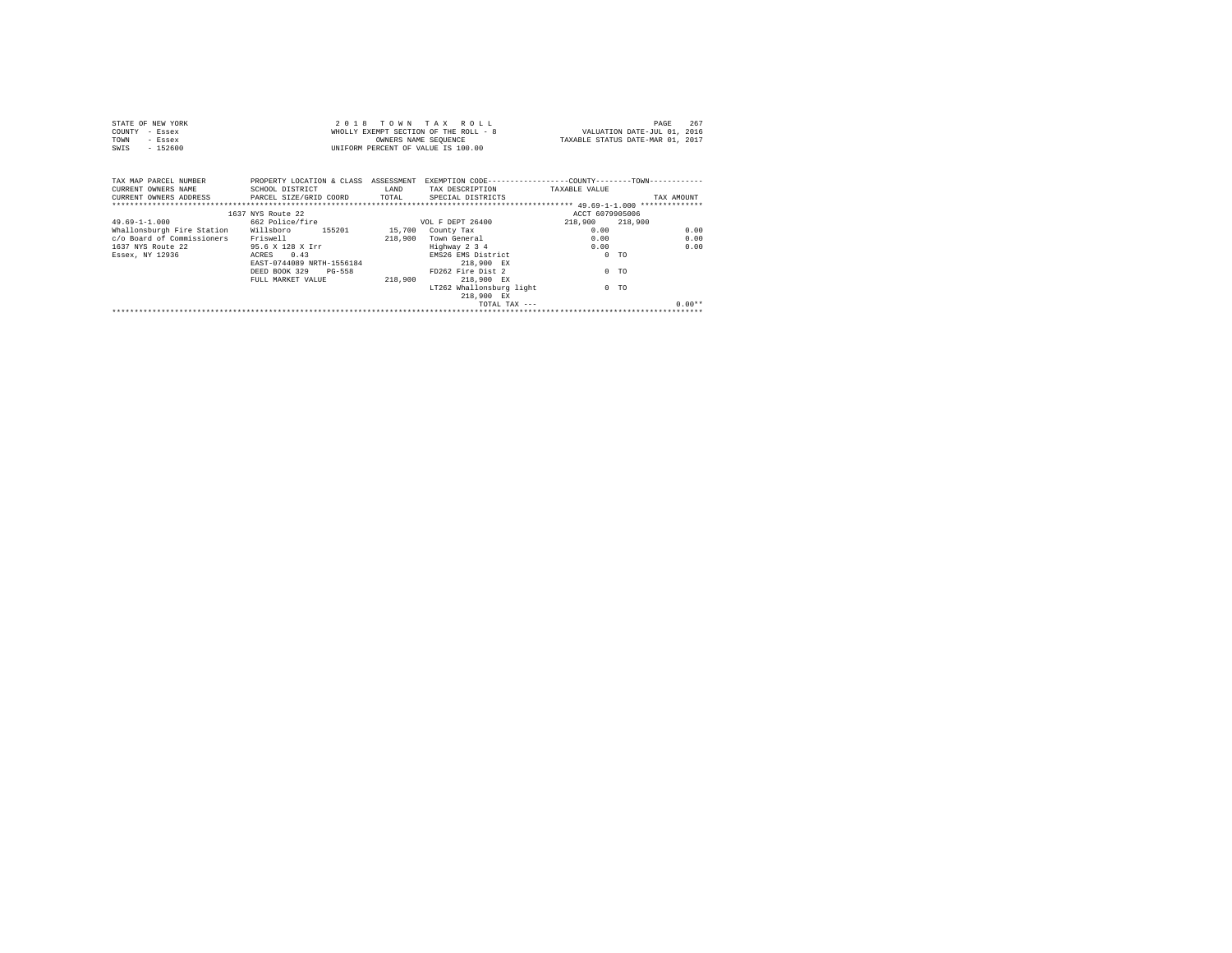| STATE OF NEW YORK                                                                                                 |                                                                       |         | 2018 TOWN TAX ROLL       |                 | 267<br>PAGE  |  |  |
|-------------------------------------------------------------------------------------------------------------------|-----------------------------------------------------------------------|---------|--------------------------|-----------------|--------------|--|--|
| COUNTY - Essex                                                                                                    | WHOLLY EXEMPT SECTION OF THE ROLL - 8 VALUATION DATE-JUL 01, 2016     |         |                          |                 |              |  |  |
| TOWN<br>- Essex                                                                                                   | TAXABLE STATUS DATE-MAR 01, 2017<br>OWNERS NAME SEQUENCE              |         |                          |                 |              |  |  |
| $-152600$<br>SWIS                                                                                                 | UNIFORM PERCENT OF VALUE IS 100.00                                    |         |                          |                 |              |  |  |
|                                                                                                                   |                                                                       |         |                          |                 |              |  |  |
| TAX MAP PARCEL NUMBER PROPERTY LOCATION & CLASS ASSESSMENT EXEMPTION CODE--------------COUNTY-------TOWN--------- |                                                                       |         |                          |                 |              |  |  |
| CURRENT OWNERS NAME SCHOOL DISTRICT TAND TAX DESCRIPTION                                                          |                                                                       |         |                          | TAXABLE VALUE   |              |  |  |
| CURRENT OWNERS ADDRESS PARCEL SIZE/GRID COORD TOTAL SPECIAL DISTRICTS                                             |                                                                       |         |                          |                 | TAX AMOUNT   |  |  |
|                                                                                                                   |                                                                       |         |                          |                 |              |  |  |
|                                                                                                                   | 1637 NYS Route 22                                                     |         |                          | ACCT 6079905006 |              |  |  |
| $49.69 - 1 - 1.000$                                                                                               | 662 Police/fire 662 Police/fire 662 Police/fire 500 Police 662 Police |         |                          | 218,900 218,900 |              |  |  |
| Whallonsburgh Fire Station Willsboro 155201 15,700 County Tax                                                     |                                                                       |         |                          | 0.00            | 0.00         |  |  |
| c/o Board of Commissioners Friswell                                                                               |                                                                       |         | 218,900 Town General     |                 | 0.00<br>0.00 |  |  |
| 1637 NYS Route 22 95.6 X 128 X Irr                                                                                |                                                                       |         | Highway 2 3 4 0.00       |                 | 0.00         |  |  |
| Essex, NY 12936                                                                                                   | ACRES 0.43                                                            |         | EMS26 EMS District       |                 | $0$ TO       |  |  |
|                                                                                                                   | EAST-0744089 NRTH-1556184                                             |         | 218,900 EX               |                 |              |  |  |
|                                                                                                                   | DEED BOOK 329 PG-558                                                  |         | FD262 Fire Dist 2        |                 | $0$ TO       |  |  |
|                                                                                                                   | FULL MARKET VALUE                                                     | 218,900 | 218,900 EX               |                 |              |  |  |
|                                                                                                                   |                                                                       |         | LT262 Whallonsburg light |                 | $0$ TO       |  |  |
|                                                                                                                   |                                                                       |         | 218,900 EX               |                 |              |  |  |
|                                                                                                                   |                                                                       |         | TOTAL TAX $---$          |                 | $0.00**$     |  |  |
|                                                                                                                   |                                                                       |         |                          |                 |              |  |  |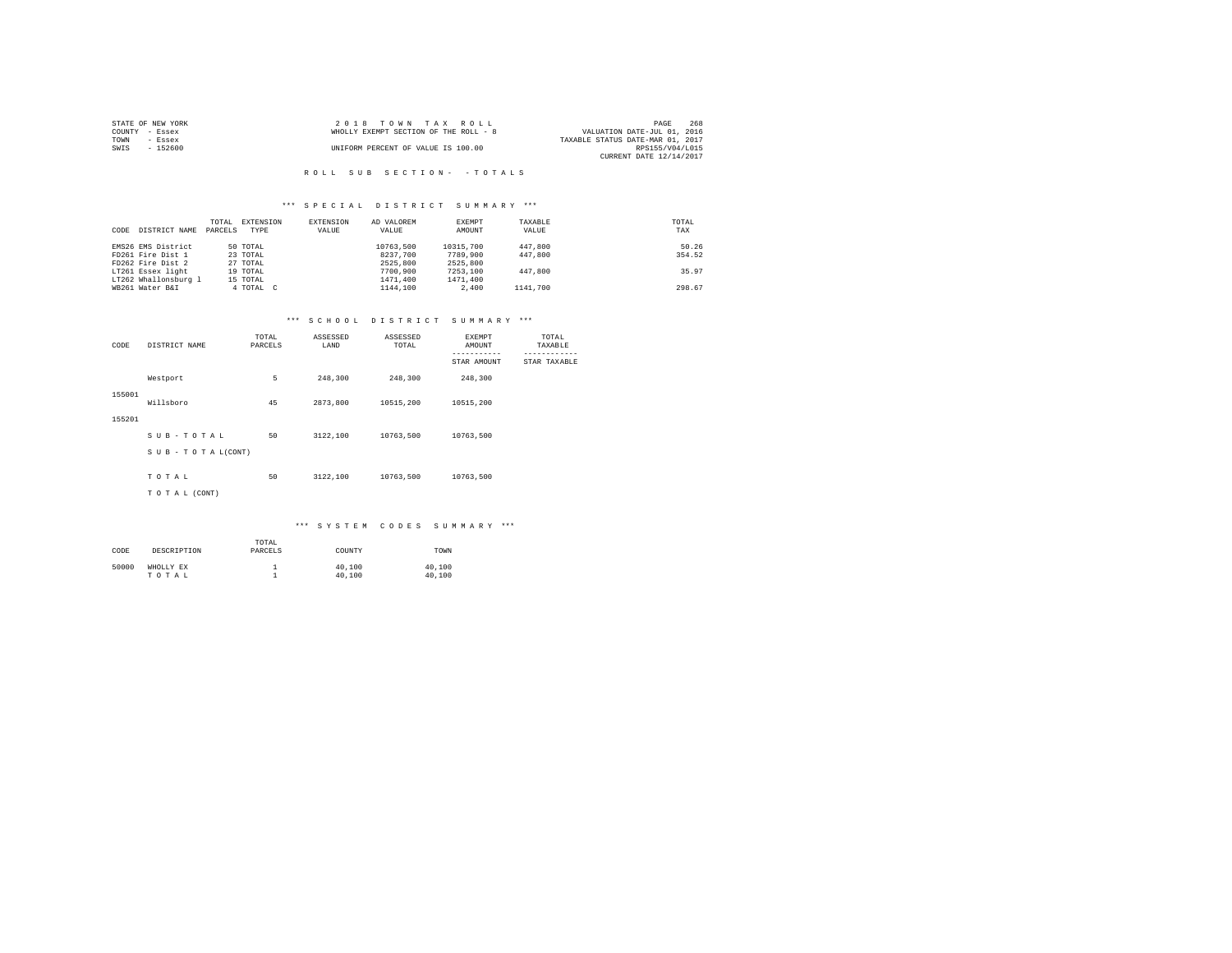| STATE OF NEW YORK | 2018 TOWN TAX ROLL                    | 268<br>PAGE                      |
|-------------------|---------------------------------------|----------------------------------|
| COUNTY - Essex    | WHOLLY EXEMPT SECTION OF THE ROLL - 8 | VALUATION DATE-JUL 01, 2016      |
| TOWN<br>$-$ Essex |                                       | TAXABLE STATUS DATE-MAR 01, 2017 |
| SWIS<br>$-152600$ | UNIFORM PERCENT OF VALUE IS 100.00    | RPS155/V04/L015                  |
|                   |                                       | CURRENT DATE 12/14/2017          |

## \*\*\* S P E C I A L D I S T R I C T S U M M A R Y \*\*\*

| CODE | DISTRICT NAME        | TOTAL<br>PARCELS | EXTENSION<br>TYPE | EXTENSION<br>VALUE | AD VALOREM<br>VALUE | EXEMPT<br>AMOUNT | TAXABLE<br>VALUE | TOTAL<br>TAX |
|------|----------------------|------------------|-------------------|--------------------|---------------------|------------------|------------------|--------------|
|      | EMS26 EMS District   |                  | 50 TOTAL          |                    | 10763.500           | 10315,700        | 447,800          | 50.26        |
|      | FD261 Fire Dist 1    |                  | 23 TOTAL          |                    | 8237,700            | 7789,900         | 447,800          | 354.52       |
|      | FD262 Fire Dist 2    |                  | 27 TOTAL          |                    | 2525,800            | 2525,800         |                  |              |
|      | LT261 Essex light    |                  | 19 TOTAL          |                    | 7700,900            | 7253,100         | 447,800          | 35.97        |
|      | LT262 Whallonsburg 1 |                  | 15 TOTAL          |                    | 1471,400            | 1471,400         |                  |              |
|      | WB261 Water B&I      |                  | 4 TOTAL C         |                    | 1144,100            | 2,400            | 1141,700         | 298.67       |

#### \*\*\* S C H O O L D I S T R I C T S U M M A R Y \*\*\*

| CODE   | DISTRICT NAME      | TOTAL<br>PARCELS | ASSESSED<br>LAND | ASSESSED<br>TOTAL | EXEMPT<br>AMOUNT<br>--------- | TOTAL<br>TAXABLE |
|--------|--------------------|------------------|------------------|-------------------|-------------------------------|------------------|
|        |                    |                  |                  |                   | STAR AMOUNT                   | STAR TAXABLE     |
|        | Westport           | 5                | 248,300          | 248,300           | 248,300                       |                  |
| 155001 | Willsboro          | 45               | 2873,800         | 10515,200         | 10515,200                     |                  |
| 155201 |                    |                  |                  |                   |                               |                  |
|        | SUB-TOTAL          | 50               | 3122,100         | 10763.500         | 10763.500                     |                  |
|        | SUB - TO TAL(CONT) |                  |                  |                   |                               |                  |
|        |                    |                  |                  |                   |                               |                  |
|        | TOTAL              | 50               | 3122,100         | 10763.500         | 10763,500                     |                  |
|        | TO TAL (CONT)      |                  |                  |                   |                               |                  |

# \*\*\* S Y S T E M C O D E S S U M M A R Y \*\*\*

| CODE  | DESCRIPTION        | TOTAL<br>PARCELS | COUNTY           | TOWN             |
|-------|--------------------|------------------|------------------|------------------|
| 50000 | WHOLLY EX<br>TOTAL |                  | 40,100<br>40,100 | 40,100<br>40,100 |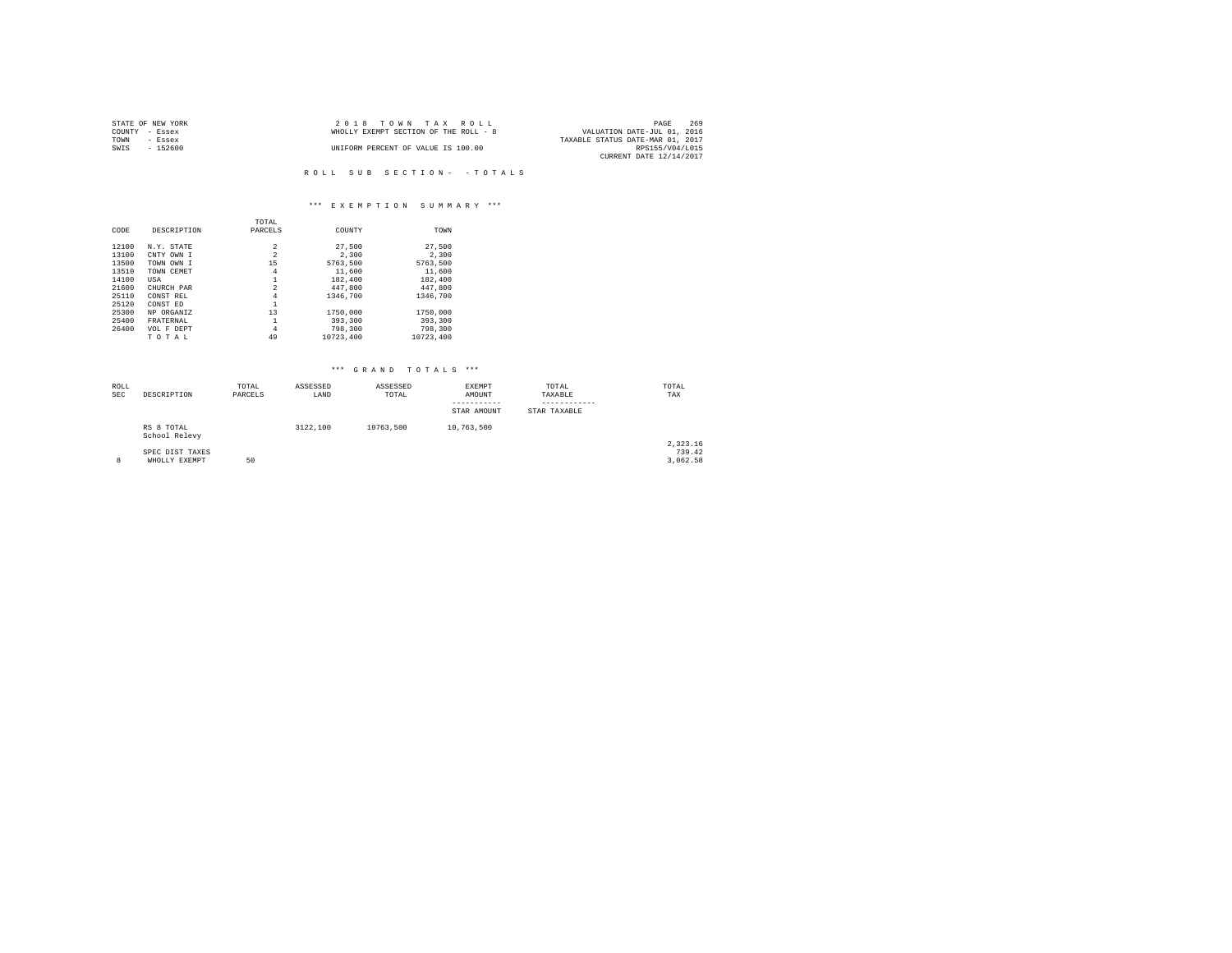| STATE OF NEW YORK | 2018 TOWN TAX ROLL                    | 269<br>PAGE                      |
|-------------------|---------------------------------------|----------------------------------|
| COUNTY - Essex    | WHOLLY EXEMPT SECTION OF THE ROLL - 8 | VALUATION DATE-JUL 01, 2016      |
| TOWN<br>- Essex   |                                       | TAXABLE STATUS DATE-MAR 01, 2017 |
| $-152600$<br>SWIS | UNIFORM PERCENT OF VALUE IS 100.00    | RPS155/V04/L015                  |
|                   |                                       | CURRENT DATE 12/14/2017          |

## \*\*\* E X E M P T I O N S U M M A R Y \*\*\*

|       |             | TOTAL          |           |           |
|-------|-------------|----------------|-----------|-----------|
| CODE  | DESCRIPTION | PARCELS        | COUNTY    | TOWN      |
| 12100 |             |                |           | 27.500    |
|       | N.Y. STATE  | 2              | 27,500    |           |
| 13100 | CNTY OWN T  | 2              | 2,300     | 2.300     |
| 13500 | TOWN OWN I  | 15             | 5763.500  | 5763.500  |
| 13510 | TOWN CEMET  | $\overline{4}$ | 11,600    | 11,600    |
| 14100 | USA         |                | 182,400   | 182,400   |
| 21600 | CHURCH PAR  | $\overline{a}$ | 447.800   | 447.800   |
| 25110 | CONST REL   | 4              | 1346,700  | 1346,700  |
| 25120 | CONST ED    |                |           |           |
| 25300 | NP ORGANIZ  | 13             | 1750,000  | 1750,000  |
| 25400 | FRATERNAL   | 1              | 393,300   | 393,300   |
| 26400 | VOL F DEPT  | 4              | 798,300   | 798,300   |
|       | TOTAL       | 49             | 10723.400 | 10723.400 |

| ROLL<br><b>SEC</b> | DESCRIPTION                 | TOTAL<br>PARCELS | ASSESSED<br>LAND | ASSESSED<br>TOTAL | EXEMPT<br>AMOUNT<br>-----------<br>STAR AMOUNT | TOTAL<br>TAXABLE<br>------------<br>STAR TAXABLE | TOTAL<br>TAX       |
|--------------------|-----------------------------|------------------|------------------|-------------------|------------------------------------------------|--------------------------------------------------|--------------------|
|                    | RS 8 TOTAL<br>School Relevy |                  | 3122,100         | 10763.500         | 10,763,500                                     |                                                  |                    |
|                    | SPEC DIST TAXES             |                  |                  |                   |                                                |                                                  | 2,323.16<br>739.42 |
| 8                  | WHOLLY EXEMPT               | 50               |                  |                   |                                                |                                                  | 3,062.58           |
|                    |                             |                  |                  |                   |                                                |                                                  |                    |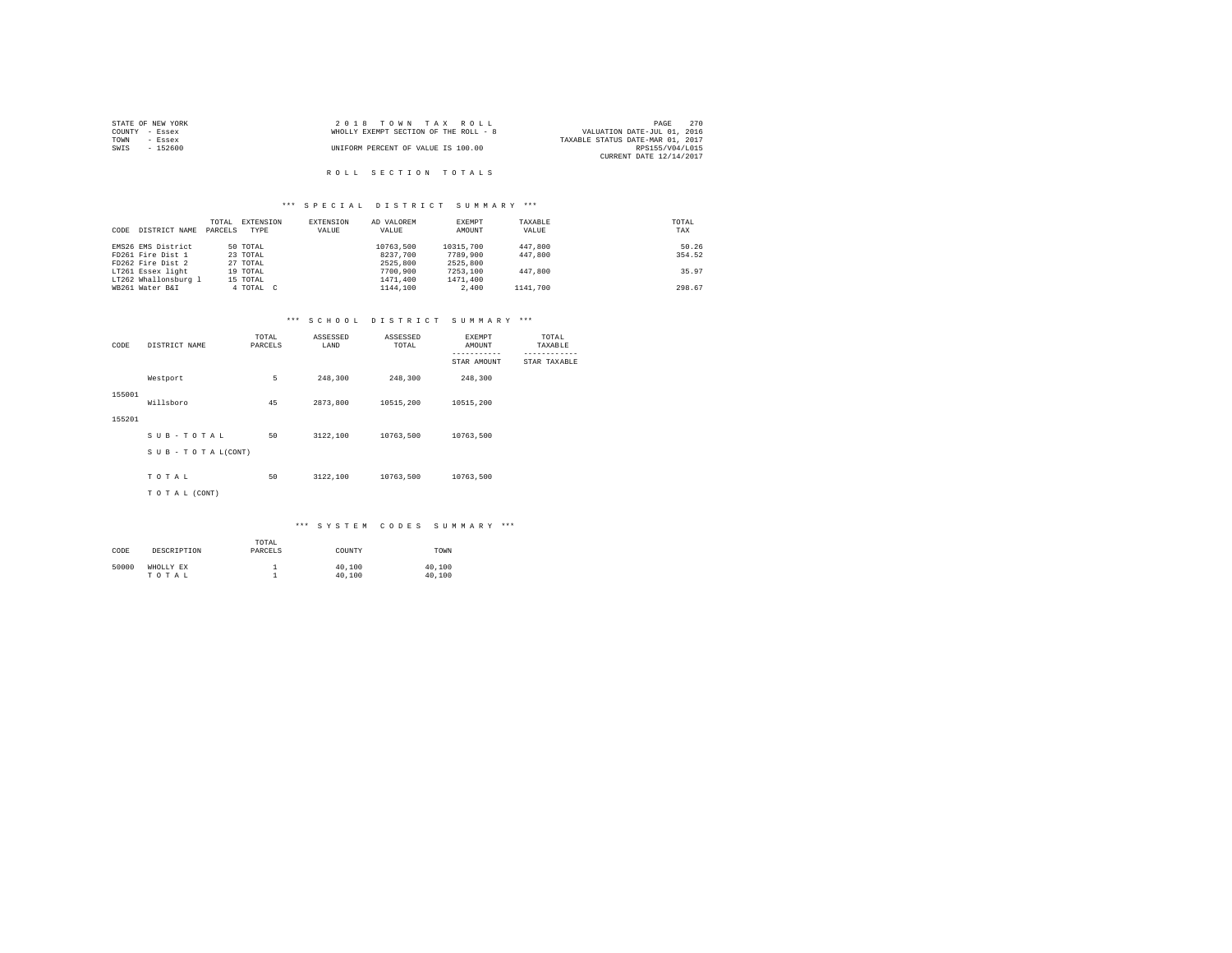| STATE OF NEW YORK | 2018 TOWN TAX ROLL                    | 270<br>PAGE                      |
|-------------------|---------------------------------------|----------------------------------|
| COUNTY - Essex    | WHOLLY EXEMPT SECTION OF THE ROLL - 8 | VALUATION DATE-JUL 01, 2016      |
| TOWN<br>- Essex   |                                       | TAXABLE STATUS DATE-MAR 01, 2017 |
| SWIS<br>- 152600  | UNIFORM PERCENT OF VALUE IS 100.00    | RPS155/V04/L015                  |
|                   |                                       | CURRENT DATE 12/14/2017          |
|                   |                                       |                                  |

# ROLL SECTION TOTALS

## \*\*\* S P E C I A L D I S T R I C T S U M M A R Y \*\*\*

|      |                      | TOTAL   | EXTENSION | EXTENSION | AD VALOREM | EXEMPT    | TAXABLE  | TOTAL  |
|------|----------------------|---------|-----------|-----------|------------|-----------|----------|--------|
| CODE | DISTRICT NAME        | PARCELS | TYPE      | VALUE     | VALUE      | AMOUNT    | VALUE    | TAX    |
|      | EMS26 EMS District   |         | 50 TOTAL  |           | 10763.500  | 10315,700 | 447,800  | 50.26  |
|      | FD261 Fire Dist 1    |         | 23 TOTAL  |           | 8237,700   | 7789,900  | 447,800  | 354.52 |
|      | FD262 Fire Dist 2    |         | 27 TOTAL  |           | 2525,800   | 2525,800  |          |        |
|      | LT261 Essex light    |         | 19 TOTAL  |           | 7700,900   | 7253,100  | 447,800  | 35.97  |
|      | LT262 Whallonsburg 1 |         | 15 TOTAL  |           | 1471,400   | 1471,400  |          |        |
|      | WB261 Water B&I      |         | 4 TOTAL C |           | 1144,100   | 2,400     | 1141,700 | 298.67 |

#### \*\*\* S C H O O L D I S T R I C T S U M M A R Y \*\*\*

| CODE   | DISTRICT NAME      | TOTAL<br>PARCELS | ASSESSED<br>LAND | ASSESSED<br>TOTAL | <b>EXEMPT</b><br>AMOUNT | TOTAL<br>TAXABLE    |
|--------|--------------------|------------------|------------------|-------------------|-------------------------|---------------------|
|        |                    |                  |                  |                   | STAR AMOUNT             | <b>STAR TAXABLE</b> |
|        | Westport           | 5                | 248,300          | 248,300           | 248,300                 |                     |
| 155001 | Willsboro          | 45               | 2873,800         | 10515,200         | 10515,200               |                     |
| 155201 |                    |                  |                  |                   |                         |                     |
|        | SUB-TOTAL          | 50               | 3122,100         | 10763.500         | 10763.500               |                     |
|        | SUB - TO TAL(CONT) |                  |                  |                   |                         |                     |
|        | TOTAL              | 50               | 3122,100         | 10763,500         | 10763,500               |                     |
|        |                    |                  |                  |                   |                         |                     |
|        | TO TAL (CONT)      |                  |                  |                   |                         |                     |

# \*\*\* S Y S T E M C O D E S S U M M A R Y \*\*\*

| CODE  | DESCRIPTION        | TOTAL<br>PARCELS | COUNTY           | TOWN             |
|-------|--------------------|------------------|------------------|------------------|
| 50000 | WHOLLY EX<br>TOTAL |                  | 40,100<br>40,100 | 40,100<br>40,100 |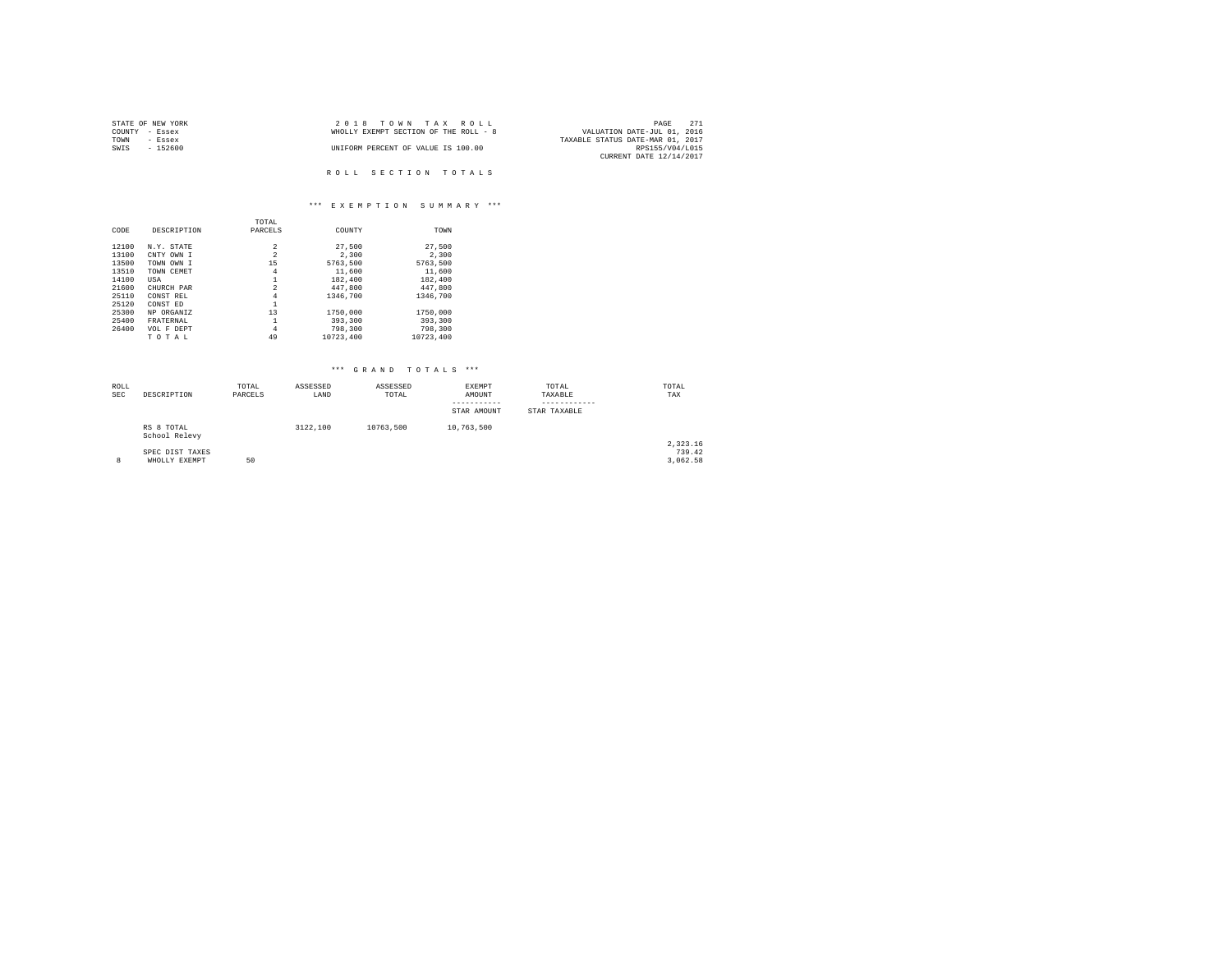| STATE OF NEW YORK | 2018 TOWN TAX ROLL                    | 271<br>PAGE                      |
|-------------------|---------------------------------------|----------------------------------|
| COUNTY - Essex    | WHOLLY EXEMPT SECTION OF THE ROLL - 8 | VALUATION DATE-JUL 01, 2016      |
| TOWN<br>- Essex   |                                       | TAXABLE STATUS DATE-MAR 01, 2017 |
| $-152600$<br>SWIS | UNIFORM PERCENT OF VALUE IS 100.00    | RPS155/V04/L015                  |
|                   |                                       | CURRENT DATE 12/14/2017          |
|                   |                                       |                                  |
|                   | ROLL SECTION TOTALS                   |                                  |

# \*\*\* E X E M P T I O N S U M M A R Y \*\*\*

|       |             | TOTAL          |           |           |
|-------|-------------|----------------|-----------|-----------|
| CODE  | DESCRIPTION | PARCELS        | COUNTY    | TOWN      |
|       |             |                |           |           |
| 12100 | N.Y. STATE  | 2              | 27,500    | 27.500    |
| 13100 | CNTY OWN I  | 2              | 2,300     | 2.300     |
| 13500 | TOWN OWN I  | 15             | 5763,500  | 5763.500  |
| 13510 | TOWN CEMET  | 4              | 11,600    | 11,600    |
| 14100 | USA         |                | 182,400   | 182,400   |
| 21600 | CHURCH PAR  | $\overline{2}$ | 447,800   | 447.800   |
| 25110 | CONST REL   | $\overline{4}$ | 1346,700  | 1346,700  |
| 25120 | CONST ED    |                |           |           |
| 25300 | NP ORGANIZ  | 13             | 1750,000  | 1750,000  |
| 25400 | FRATERNAL   |                | 393,300   | 393,300   |
| 26400 | VOL F DEPT  | 4              | 798,300   | 798,300   |
|       | TOTAL       | 49             | 10723.400 | 10723.400 |

| ROLL<br><b>SEC</b> | DESCRIPTION                 | TOTAL<br>PARCELS | ASSESSED<br>LAND | ASSESSED<br>TOTAL | EXEMPT<br>AMOUNT<br>STAR AMOUNT | TOTAL<br>TAXABLE<br>STAR TAXABLE | TOTAL<br>TAX |
|--------------------|-----------------------------|------------------|------------------|-------------------|---------------------------------|----------------------------------|--------------|
|                    | RS 8 TOTAL<br>School Relevy |                  | 3122,100         | 10763.500         | 10,763,500                      |                                  |              |
|                    |                             |                  |                  |                   |                                 |                                  | 2,323.16     |
|                    | SPEC DIST TAXES             |                  |                  |                   |                                 |                                  | 739.42       |
| 8                  | WHOLLY EXEMPT               | 50               |                  |                   |                                 |                                  | 3,062.58     |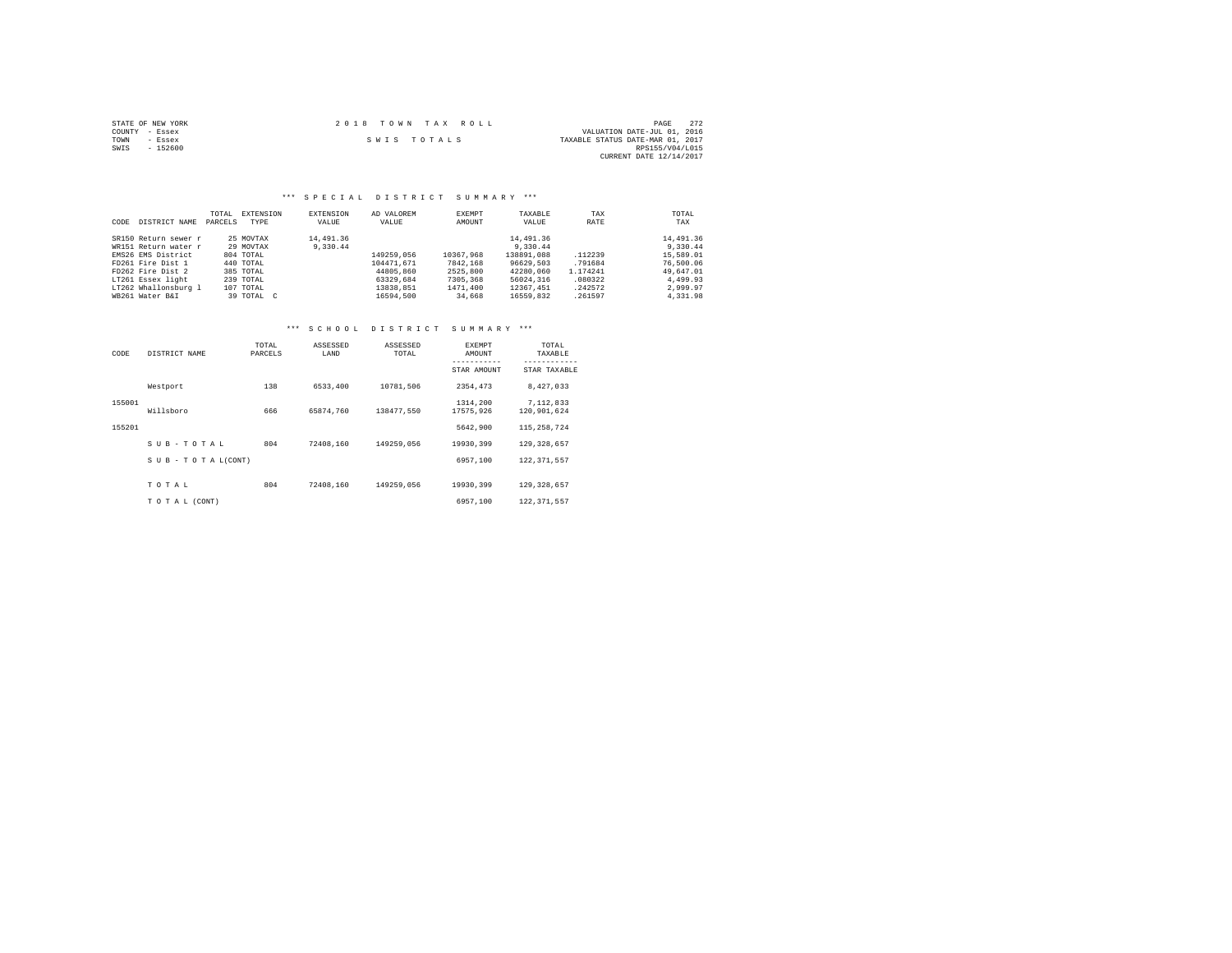| STATE OF NEW YORK | 2018 TOWN TAX ROLL | 272<br>PAGE                      |
|-------------------|--------------------|----------------------------------|
| COUNTY - Essex    |                    | VALUATION DATE-JUL 01, 2016      |
| TOWN<br>- Essex   | SWIS TOTALS        | TAXABLE STATUS DATE-MAR 01, 2017 |
| $-152600$<br>SWIS |                    | RPS155/V04/L015                  |
|                   |                    | CURRENT DATE 12/14/2017          |

# \*\*\* S P E C I A L D I S T R I C T S U M M A R Y \*\*\*

| CODE | DISTRICT NAME        | TOTAL<br>PARCELS | EXTENSION<br>TYPE | EXTENSION<br>VALUE | AD VALOREM<br>VALUE | EXEMPT<br>AMOUNT | TAXABLE<br>VALUE | TAX<br>RATE | TOTAL<br>TAX |
|------|----------------------|------------------|-------------------|--------------------|---------------------|------------------|------------------|-------------|--------------|
|      | SR150 Return sewer r |                  | 25 MOVTAX         | 14,491.36          |                     |                  | 14,491.36        |             | 14,491.36    |
|      | WR151 Return water r |                  | 29 MOVTAX         | 9,330.44           |                     |                  | 9,330.44         |             | 9,330.44     |
|      | EMS26 EMS District   |                  | 804 TOTAL         |                    | 149259.056          | 10367.968        | 138891,088       | .112239     | 15,589.01    |
|      | FD261 Fire Dist 1    |                  | 440 TOTAL         |                    | 104471.671          | 7842,168         | 96629.503        | .791684     | 76,500.06    |
|      | FD262 Fire Dist 2    |                  | 385 TOTAL         |                    | 44805,860           | 2525,800         | 42280.060        | 1.174241    | 49,647.01    |
|      | LT261 Essex light    |                  | 239 TOTAL         |                    | 63329,684           | 7305,368         | 56024,316        | .080322     | 4,499.93     |
|      | LT262 Whallonsburg 1 |                  | 107 TOTAL         |                    | 13838.851           | 1471,400         | 12367.451        | .242572     | 2.999.97     |
|      | WB261 Water B&I      |                  | 39 TOTAL C        |                    | 16594,500           | 34,668           | 16559.832        | .261597     | 4.331.98     |

## \*\*\* S C H O O L D I S T R I C T S U M M A R Y \*\*\*

| CODE   | DISTRICT NAME             | TOTAL<br>PARCELS | ASSESSED<br>LAND | ASSESSED<br>TOTAL | EXEMPT<br>AMOUNT      | TOTAL<br>TAXABLE         |
|--------|---------------------------|------------------|------------------|-------------------|-----------------------|--------------------------|
|        |                           |                  |                  |                   | STAR AMOUNT           | STAR TAXABLE             |
|        | Westport                  | 138              | 6533,400         | 10781.506         | 2354.473              | 8.427.033                |
| 155001 | Willsboro                 | 666              | 65874,760        | 138477,550        | 1314,200<br>17575.926 | 7.112.833<br>120,901,624 |
| 155201 |                           |                  |                  |                   | 5642.900              | 115,258,724              |
|        | SUB-TOTAL                 | 804              | 72408.160        | 149259.056        | 19930.399             | 129, 328, 657            |
|        | $S$ U B - T O T A L(CONT) |                  |                  |                   | 6957.100              | 122, 371, 557            |
|        | TOTAL                     | 804              | 72408.160        | 149259.056        | 19930.399             | 129, 328, 657            |
|        | TO TAL (CONT)             |                  |                  |                   | 6957.100              | 122, 371, 557            |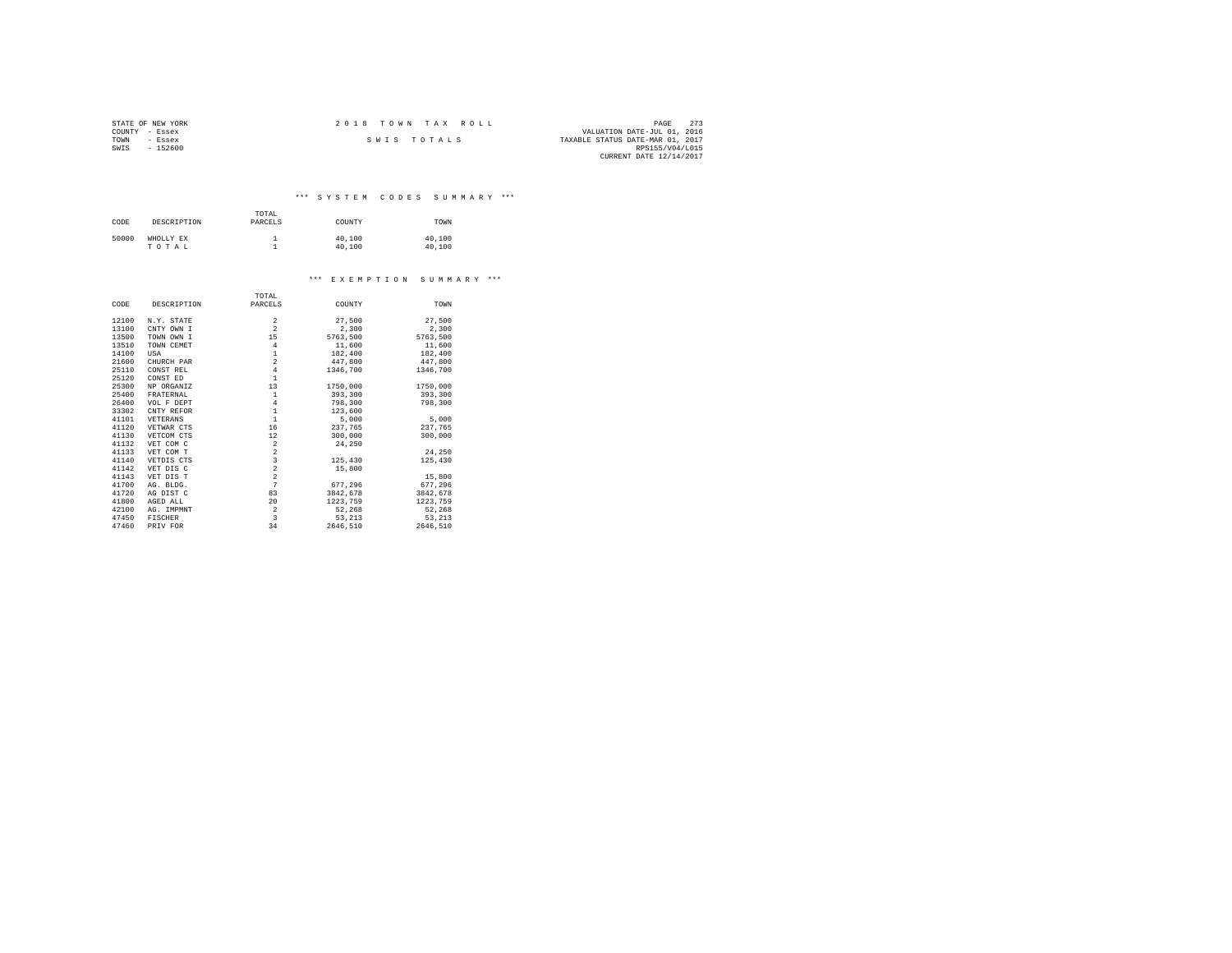| STATE OF NEW YORK | 2018 TOWN TAX ROLL | - 273<br>PAGE                    |
|-------------------|--------------------|----------------------------------|
| COUNTY - Essex    |                    | VALUATION DATE-JUL 01, 2016      |
| TOWN<br>- Essex   | SWIS TOTALS        | TAXABLE STATUS DATE-MAR 01, 2017 |
| $-152600$<br>SWIS |                    | RPS155/V04/L015                  |
|                   |                    | CURRENT DATE 12/14/2017          |

\*\*\* S Y S T E M C O D E S S U M M A R Y \*\*\*

| CODE  | DESCRIPTION        | TOTAL<br>PARCELS | COUNTY           | TOWN             |
|-------|--------------------|------------------|------------------|------------------|
| 50000 | WHOLLY EX<br>TOTAL |                  | 40,100<br>40,100 | 40,100<br>40,100 |

#### \*\*\* E X E M P T I O N S U M M A R Y \*\*\*

|       |             | TOTAL                   |          |          |
|-------|-------------|-------------------------|----------|----------|
| CODE  | DESCRIPTION | PARCELS                 | COUNTY   | TOWN     |
| 12100 | N.Y. STATE  | $\overline{a}$          | 27,500   | 27,500   |
| 13100 | CNTY OWN I  | $\overline{a}$          | 2,300    | 2,300    |
| 13500 | TOWN OWN I  | 15                      | 5763.500 | 5763,500 |
| 13510 | TOWN CEMET  | 4                       | 11,600   | 11,600   |
| 14100 | USA         | $\mathbf 1$             | 182,400  | 182,400  |
| 21600 | CHURCH PAR  | $\overline{a}$          | 447,800  | 447.800  |
| 25110 | CONST REL   | $\overline{4}$          | 1346,700 | 1346,700 |
| 25120 | CONST ED    | $\mathbf{1}$            |          |          |
| 25300 | NP ORGANIZ  | 13                      | 1750,000 | 1750,000 |
| 25400 | FRATERNAL   | 1                       | 393,300  | 393,300  |
| 26400 | VOL F DEPT  | $\overline{4}$          | 798,300  | 798,300  |
| 33302 | CNTY REFOR  | $\mathbf{1}$            | 123,600  |          |
| 41101 | VETERANS    | $\mathbf 1$             | 5,000    | 5,000    |
| 41120 | VETWAR CTS  | 16                      | 237.765  | 237.765  |
| 41130 | VETCOM CTS  | 12                      | 300,000  | 300,000  |
| 41132 | VET COM C   | $\overline{\mathbf{2}}$ | 24,250   |          |
| 41133 | VET COM T   | $\overline{a}$          |          | 24.250   |
| 41140 | VETDIS CTS  | 3                       | 125,430  | 125,430  |
| 41142 | VET DIS C   | $\overline{\mathbf{c}}$ | 15,800   |          |
| 41143 | VET DIS T   | $\overline{a}$          |          | 15,800   |
| 41700 | AG. BLDG.   | 7                       | 677.296  | 677.296  |
| 41720 | AG DIST C   | 83                      | 3842,678 | 3842.678 |
| 41800 | AGED ALL    | 20                      | 1223,759 | 1223,759 |
| 42100 | AG. IMPMNT  | $\,2\,$                 | 52,268   | 52,268   |
| 47450 | FISCHER     | 3                       | 53,213   | 53.213   |
| 47460 | PRIV FOR    | 34                      | 2646.510 | 2646.510 |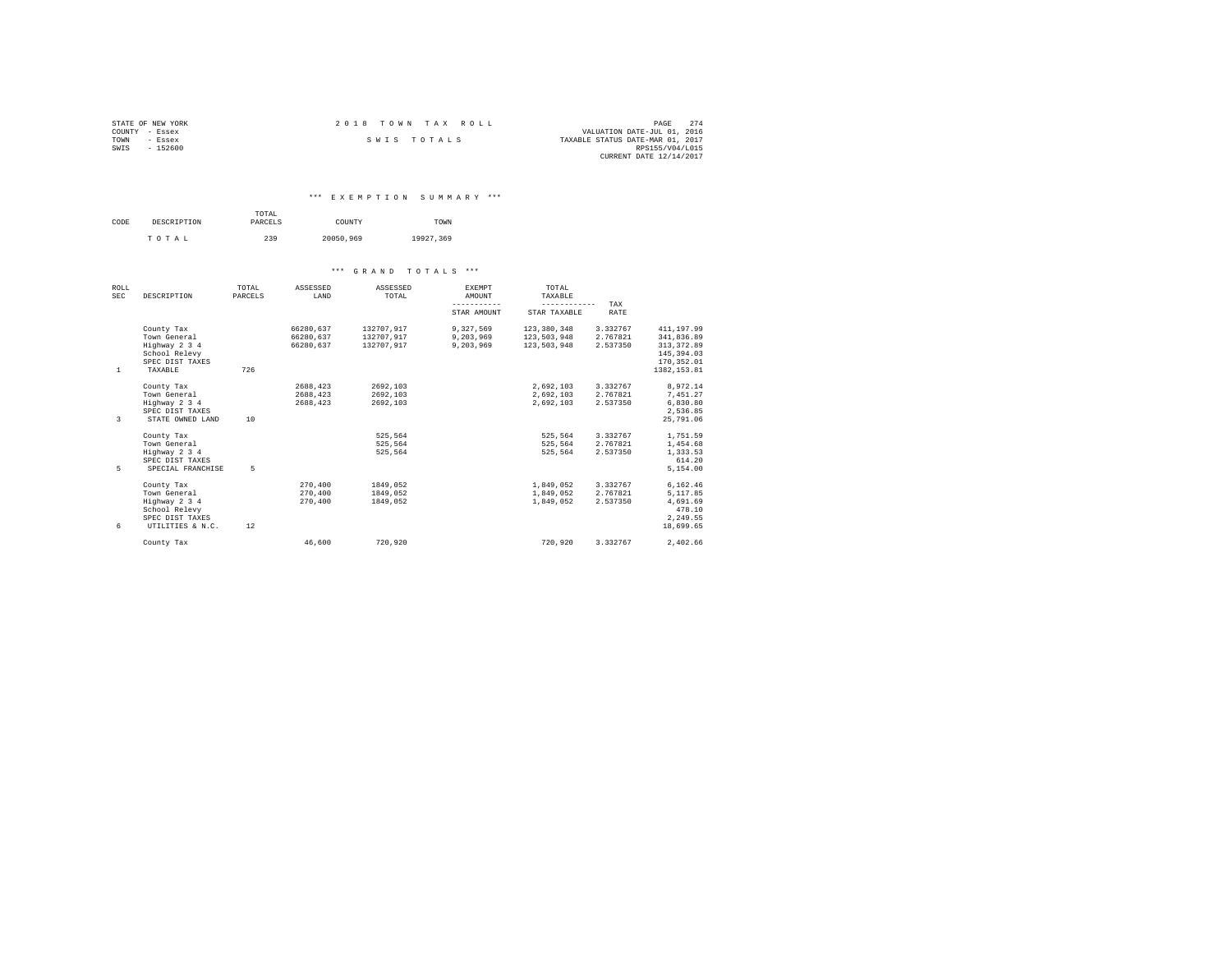| STATE OF NEW YORK | 2018 TOWN TAX ROLL |                                  | PAGE            | 2.74 |
|-------------------|--------------------|----------------------------------|-----------------|------|
| COUNTY - Essex    |                    | VALUATION DATE-JUL 01, 2016      |                 |      |
| TOWN<br>- Essex   | SWIS TOTALS        | TAXABLE STATUS DATE-MAR 01, 2017 |                 |      |
| SWIS<br>$-152600$ |                    |                                  | RPS155/V04/L015 |      |
|                   |                    | CURRENT DATE 12/14/2017          |                 |      |

## \*\*\* E X E M P T I O N S U M M A R Y \*\*\*

| CODE | DESCRIPTION | TOTAL<br>PARCELS | COUNTY    | TOWN      |  |  |
|------|-------------|------------------|-----------|-----------|--|--|
|      | TOTAL       | 239              | 20050.969 | 19927.369 |  |  |

| ROLL<br><b>SEC</b> | DESCRIPTION       | TOTAL<br>PARCELS | ASSESSED<br>LAND | ASSESSED<br>TOTAL | EXEMPT<br>AMOUNT | TOTAL<br>TAXABLE   |          |              |
|--------------------|-------------------|------------------|------------------|-------------------|------------------|--------------------|----------|--------------|
|                    |                   |                  |                  |                   | -----------      | ------------       | TAX      |              |
|                    |                   |                  |                  |                   | STAR AMOUNT      | STAR TAXABLE       | RATE     |              |
|                    | County Tax        |                  | 66280.637        | 132707.917        | 9,327,569        | 123,380,348        | 3.332767 | 411, 197.99  |
|                    | Town General      |                  | 66280.637        | 132707.917        | 9,203,969        | 123,503,948        | 2.767821 | 341.836.89   |
|                    | Highway 2 3 4     |                  | 66280.637        | 132707.917        | 9,203,969        | 123,503,948        | 2.537350 | 313, 372.89  |
|                    | School Relevy     |                  |                  |                   |                  |                    |          | 145, 394, 03 |
|                    | SPEC DIST TAXES   |                  |                  |                   |                  |                    |          | 170.352.01   |
| 1                  | TAXABLE           | 726              |                  |                   |                  |                    |          | 1382.153.81  |
|                    | County Tax        |                  | 2688,423         | 2692.103          |                  | 2.692.103          | 3.332767 | 8.972.14     |
|                    | Town General      |                  | 2688.423         | 2692.103          |                  | 2.692.103 2.767821 |          | 7.451.27     |
|                    | Highway 2 3 4     |                  | 2688.423         | 2692.103          |                  | 2.692.103          | 2.537350 | 6,830.80     |
|                    | SPEC DIST TAXES   |                  |                  |                   |                  |                    |          | 2.536.85     |
| $\mathcal{R}$      | STATE OWNED LAND  | 10               |                  |                   |                  |                    |          | 25,791.06    |
|                    | County Tax        |                  |                  | 525.564           |                  | 525.564            | 3.332767 | 1,751.59     |
|                    | Town General      |                  |                  | 525.564           |                  | 525.564 2.767821   |          | 1,454.68     |
|                    | Highway 2 3 4     |                  |                  | 525.564           |                  | 525,564            | 2.537350 | 1,333.53     |
|                    | SPEC DIST TAXES   |                  |                  |                   |                  |                    |          | 614.20       |
| 5                  | SPECIAL FRANCHISE | $\overline{5}$   |                  |                   |                  |                    |          | 5,154.00     |
|                    | County Tax        |                  | 270,400          | 1849.052          |                  | 1,849,052          | 3.332767 | 6,162.46     |
|                    | Town General      |                  | 270,400          | 1849.052          |                  | 1,849,052          | 2.767821 | 5,117.85     |
|                    | Highway 2 3 4     |                  | 270,400          | 1849.052          |                  | 1,849,052          | 2.537350 | 4,691.69     |
|                    | School Relevy     |                  |                  |                   |                  |                    |          | 478.10       |
|                    | SPEC DIST TAXES   |                  |                  |                   |                  |                    |          | 2.249.55     |
| 6                  | UTILITIES & N.C.  | 12               |                  |                   |                  |                    |          | 18,699.65    |
|                    | County Tax        |                  | 46,600           | 720.920           |                  | 720,920            | 3.332767 | 2.402.66     |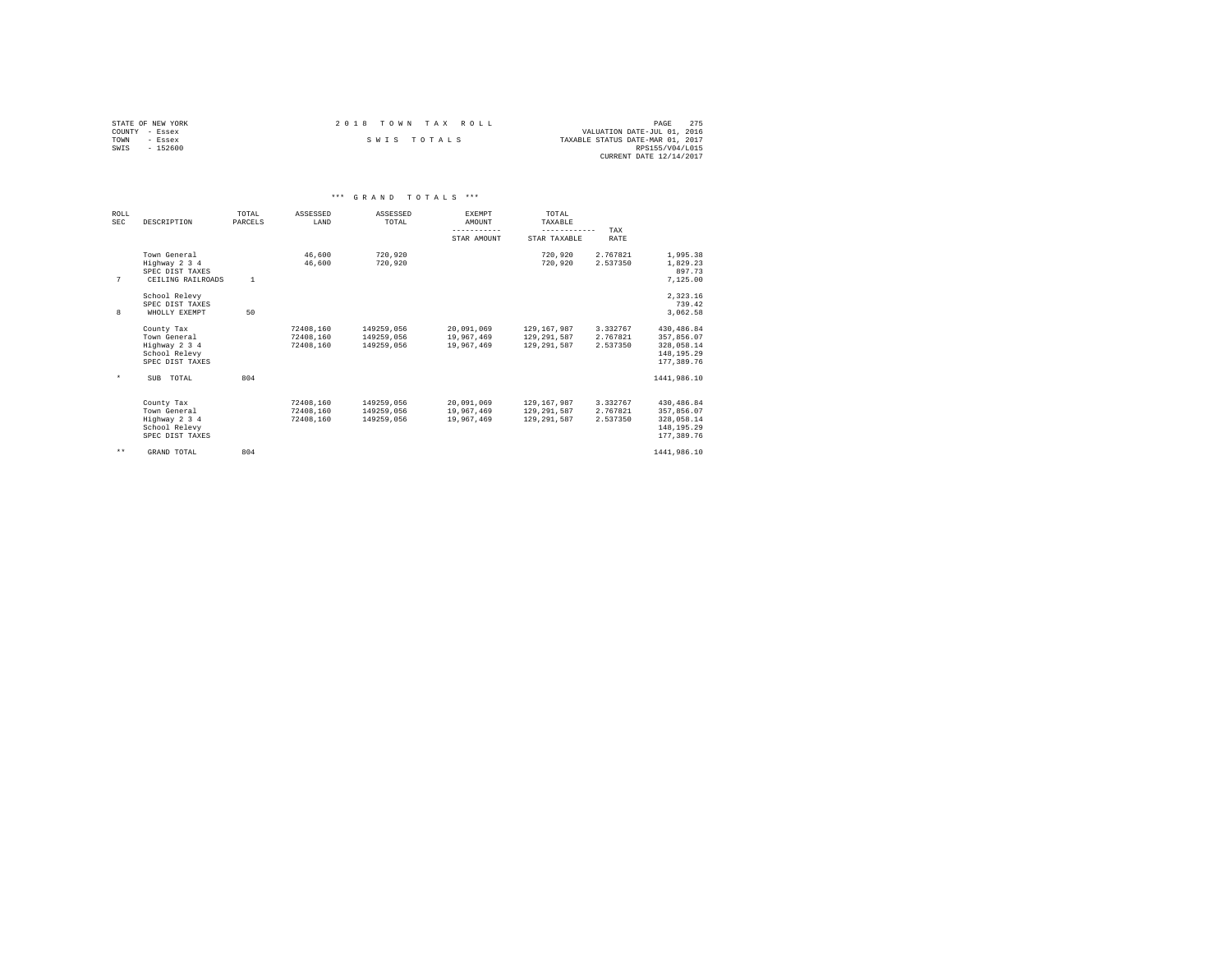| STATE OF NEW YORK | 2018 TOWN TAX ROLL | 275<br>PAGE                      |  |
|-------------------|--------------------|----------------------------------|--|
| COUNTY - Essex    |                    | VALUATION DATE-JUL 01, 2016      |  |
| TOWN<br>- Essex   | SWIS TOTALS        | TAXABLE STATUS DATE-MAR 01, 2017 |  |
| SWIS<br>$-152600$ |                    | RPS155/V04/L015                  |  |
|                   |                    | CURRENT DATE 12/14/2017          |  |

|                           | *** GRAND TOTALS ***                                                            |                  |                                     |                                        |                                        |                                                                 |                      |                                                                      |  |  |  |  |
|---------------------------|---------------------------------------------------------------------------------|------------------|-------------------------------------|----------------------------------------|----------------------------------------|-----------------------------------------------------------------|----------------------|----------------------------------------------------------------------|--|--|--|--|
| <b>ROLL</b><br><b>SEC</b> | DESCRIPTION                                                                     | TOTAL<br>PARCELS | ASSESSED<br>LAND                    | ASSESSED<br>TOTAL                      | EXEMPT<br>AMOUNT<br>---------          | TOTAL<br>TAXABLE<br>------------                                |                      |                                                                      |  |  |  |  |
|                           |                                                                                 |                  |                                     |                                        | STAR AMOUNT                            | STAR TAXABLE                                                    | TAX<br><b>RATE</b>   |                                                                      |  |  |  |  |
| 7                         | Town General<br>Highway 2 3 4<br>SPEC DIST TAXES<br>CEILING RAILROADS           | <sup>1</sup>     | 46.600<br>46.600                    | 720,920<br>720,920                     |                                        | 720.920<br>720.920                                              | 2.767821<br>2.537350 | 1,995.38<br>1,829.23<br>897.73<br>7.125.00                           |  |  |  |  |
| 8                         | School Relevy<br>SPEC DIST TAXES<br>WHOLLY EXEMPT                               | 50               |                                     |                                        |                                        |                                                                 |                      | 2.323.16<br>739.42<br>3.062.58                                       |  |  |  |  |
|                           | County Tax<br>Town General<br>Highway 2 3 4<br>School Relevy<br>SPEC DIST TAXES |                  | 72408.160<br>72408.160<br>72408.160 | 149259.056<br>149259.056<br>149259.056 | 20,091,069<br>19,967,469<br>19,967,469 | 129, 167, 987 3, 332767<br>129.291.587 2.767821<br>129,291,587  | 2.537350             | 430,486.84<br>357.856.07<br>328,058.14<br>148, 195. 29<br>177,389.76 |  |  |  |  |
| $\star$                   | SUB TOTAL                                                                       | 804              |                                     |                                        |                                        |                                                                 |                      | 1441,986.10                                                          |  |  |  |  |
|                           | County Tax<br>Town General<br>Highway 2 3 4<br>School Relevy<br>SPEC DIST TAXES |                  | 72408.160<br>72408.160<br>72408.160 | 149259,056<br>149259.056<br>149259.056 | 20,091,069<br>19,967,469<br>19,967,469 | 129, 167, 987 3.332767<br>129, 291, 587 2.767821<br>129,291,587 | 2.537350             | 430,486.84<br>357.856.07<br>328,058.14<br>148, 195. 29<br>177.389.76 |  |  |  |  |
| $***$                     | GRAND TOTAL                                                                     | 804              |                                     |                                        |                                        |                                                                 |                      | 1441,986.10                                                          |  |  |  |  |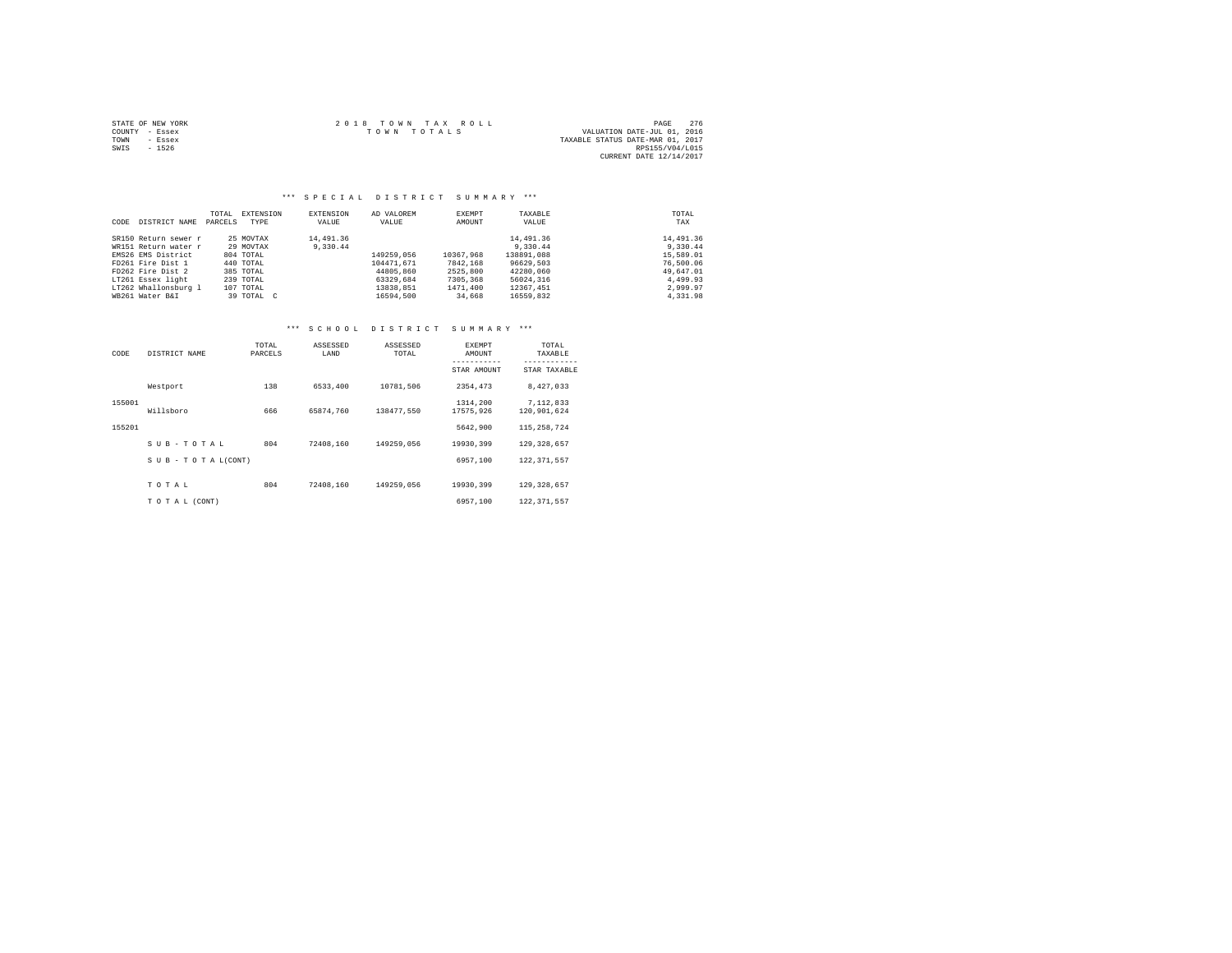|                | STATE OF NEW YORK | 2018 TOWN TAX ROLL                         | PAGE            | 276 |
|----------------|-------------------|--------------------------------------------|-----------------|-----|
| COUNTY - Essex |                   | VALUATION DATE-JUL 01, 2016<br>TOWN TOTALS |                 |     |
| TOWN           | - Essex           | TAXABLE STATUS DATE-MAR 01, 2017           |                 |     |
| SWIS           | $-1526$           |                                            | RPS155/V04/L015 |     |
|                |                   | CURRENT DATE 12/14/2017                    |                 |     |

# \*\*\* S P E C I A L D I S T R I C T S U M M A R Y \*\*\*

| CODE | DISTRICT NAME        | TOTAL<br>PARCELS | EXTENSION<br>TYPE | EXTENSION<br>VALUE | AD VALOREM<br>VALUE | EXEMPT<br>AMOUNT | TAXABLE<br>VALUE | TOTAL<br>TAX |
|------|----------------------|------------------|-------------------|--------------------|---------------------|------------------|------------------|--------------|
|      | SR150 Return sewer r |                  | 25 MOVTAX         | 14,491.36          |                     |                  | 14,491.36        | 14,491.36    |
|      | WR151 Return water r |                  | 29 MOVTAX         | 9,330.44           |                     |                  | 9,330.44         | 9,330.44     |
|      | EMS26 EMS District   |                  | 804 TOTAL         |                    | 149259.056          | 10367.968        | 138891,088       | 15,589.01    |
|      | FD261 Fire Dist 1    |                  | 440 TOTAL         |                    | 104471.671          | 7842.168         | 96629.503        | 76,500.06    |
|      | FD262 Fire Dist 2    |                  | 385 TOTAL         |                    | 44805,860           | 2525,800         | 42280,060        | 49,647.01    |
|      | LT261 Essex light    |                  | 239 TOTAL         |                    | 63329,684           | 7305,368         | 56024,316        | 4,499.93     |
|      | LT262 Whallonsburg 1 |                  | 107 TOTAL         |                    | 13838,851           | 1471,400         | 12367.451        | 2.999.97     |
|      | WB261 Water B&I      |                  | 39 TOTAL C        |                    | 16594.500           | 34,668           | 16559.832        | 4.331.98     |

## \*\*\* S C H O O L D I S T R I C T S U M M A R Y \*\*\*

| CODE   | DISTRICT NAME             | TOTAL<br>PARCELS | ASSESSED<br>LAND | ASSESSED<br>TOTAL | EXEMPT<br>AMOUNT<br>----------- | TOTAL<br>TAXABLE<br>------------ |
|--------|---------------------------|------------------|------------------|-------------------|---------------------------------|----------------------------------|
|        |                           |                  |                  |                   | STAR AMOUNT                     | STAR TAXABLE                     |
|        | Westport                  | 138              | 6533,400         | 10781.506         | 2354.473                        | 8.427.033                        |
| 155001 | Willsboro                 | 666              | 65874,760        | 138477.550        | 1314,200<br>17575.926           | 7.112.833<br>120,901,624         |
| 155201 |                           |                  |                  |                   | 5642.900                        | 115, 258, 724                    |
|        | SUB-TOTAL                 | 804              | 72408,160        | 149259.056        | 19930,399                       | 129, 328, 657                    |
|        | $S$ U B - T O T A L(CONT) |                  |                  |                   | 6957.100                        | 122, 371, 557                    |
|        | TOTAL                     | 804              | 72408.160        | 149259.056        | 19930.399                       | 129, 328, 657                    |
|        | TO TAL (CONT)             |                  |                  |                   | 6957.100                        | 122, 371, 557                    |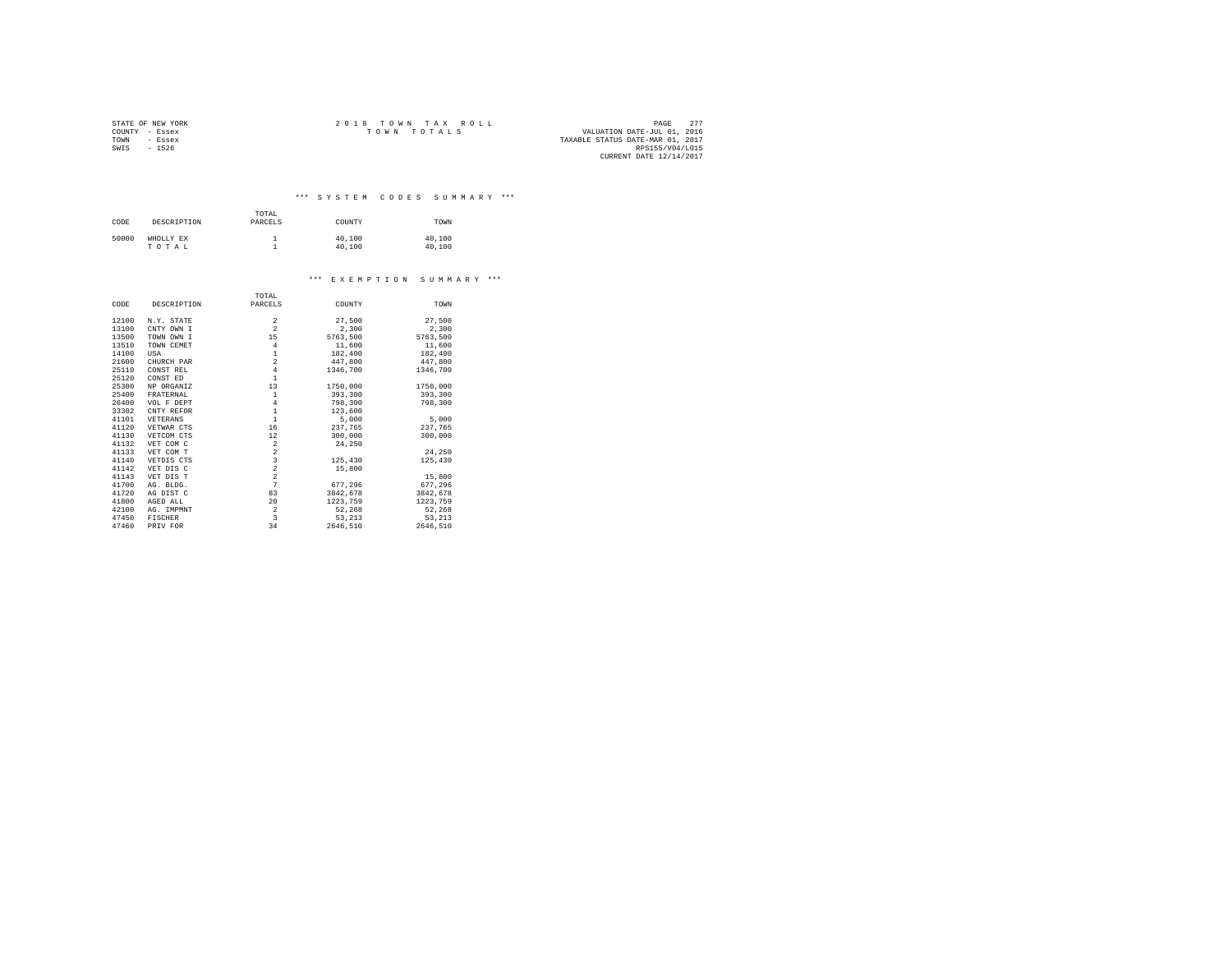|                | STATE OF NEW YORK | 2018 TOWN TAX ROLL                         | PAGE            | 277 |
|----------------|-------------------|--------------------------------------------|-----------------|-----|
| COUNTY - Essex |                   | VALUATION DATE-JUL 01, 2016<br>TOWN TOTALS |                 |     |
| TOWN           | - Essex           | TAXABLE STATUS DATE-MAR 01, 2017           |                 |     |
| SWIS           | $-1526$           |                                            | RPS155/V04/L015 |     |
|                |                   | CURRENT DATE 12/14/2017                    |                 |     |

\*\*\* S Y S T E M C O D E S S U M M A R Y \*\*\*

| CODE  | DESCRIPTION        | TOTAL<br>PARCELS | COUNTY           | TOWN             |
|-------|--------------------|------------------|------------------|------------------|
| 50000 | WHOLLY EX<br>TOTAL |                  | 40,100<br>40,100 | 40,100<br>40,100 |

#### \*\*\* E X E M P T I O N S U M M A R Y \*\*\*

|       |             | TOTAL                   |          |          |
|-------|-------------|-------------------------|----------|----------|
| CODE  | DESCRIPTION | PARCELS                 | COUNTY   | TOWN     |
| 12100 | N.Y. STATE  | 2                       | 27,500   | 27.500   |
| 13100 | CNTY OWN I  | $\overline{a}$          | 2,300    | 2,300    |
| 13500 | TOWN OWN I  | 15                      | 5763.500 | 5763.500 |
| 13510 | TOWN CEMET  | $\overline{4}$          | 11,600   | 11,600   |
| 14100 | USA         | 1                       | 182,400  | 182,400  |
| 21600 | CHURCH PAR  | $\overline{a}$          | 447.800  | 447.800  |
| 25110 | CONST REL   | $\overline{4}$          | 1346,700 | 1346.700 |
| 25120 | CONST ED    | $\mathbf{1}$            |          |          |
| 25300 | NP ORGANIZ  | 13                      | 1750,000 | 1750,000 |
| 25400 | FRATERNAL   | $\,1\,$                 | 393,300  | 393,300  |
| 26400 | VOL F DEPT  | $\overline{4}$          | 798,300  | 798,300  |
| 33302 | CNTY REFOR  | $\,1\,$                 | 123,600  |          |
| 41101 | VETERANS    | $\,1\,$                 | 5,000    | 5,000    |
| 41120 | VETWAR CTS  | 16                      | 237.765  | 237.765  |
| 41130 | VETCOM CTS  | 12                      | 300,000  | 300,000  |
| 41132 | VET COM C   | $\overline{\mathbf{2}}$ | 24,250   |          |
| 41133 | VET COM T   | $\overline{\mathbf{c}}$ |          | 24,250   |
| 41140 | VETDIS CTS  | $\overline{\mathbf{3}}$ | 125,430  | 125,430  |
| 41142 | VET DIS C   | $\overline{c}$          | 15,800   |          |
| 41143 | VET DIS T   | $\overline{a}$          |          | 15,800   |
| 41700 | AG. BLDG.   | 7                       | 677.296  | 677.296  |
| 41720 | AG DIST C   | 83                      | 3842,678 | 3842.678 |
| 41800 | AGED ALL    | 20                      | 1223.759 | 1223,759 |
| 42100 | AG. IMPMNT  | $\,2\,$                 | 52,268   | 52,268   |
| 47450 | FISCHER     | 3                       | 53, 213  | 53.213   |
| 47460 | PRIV FOR    | 34                      | 2646.510 | 2646.510 |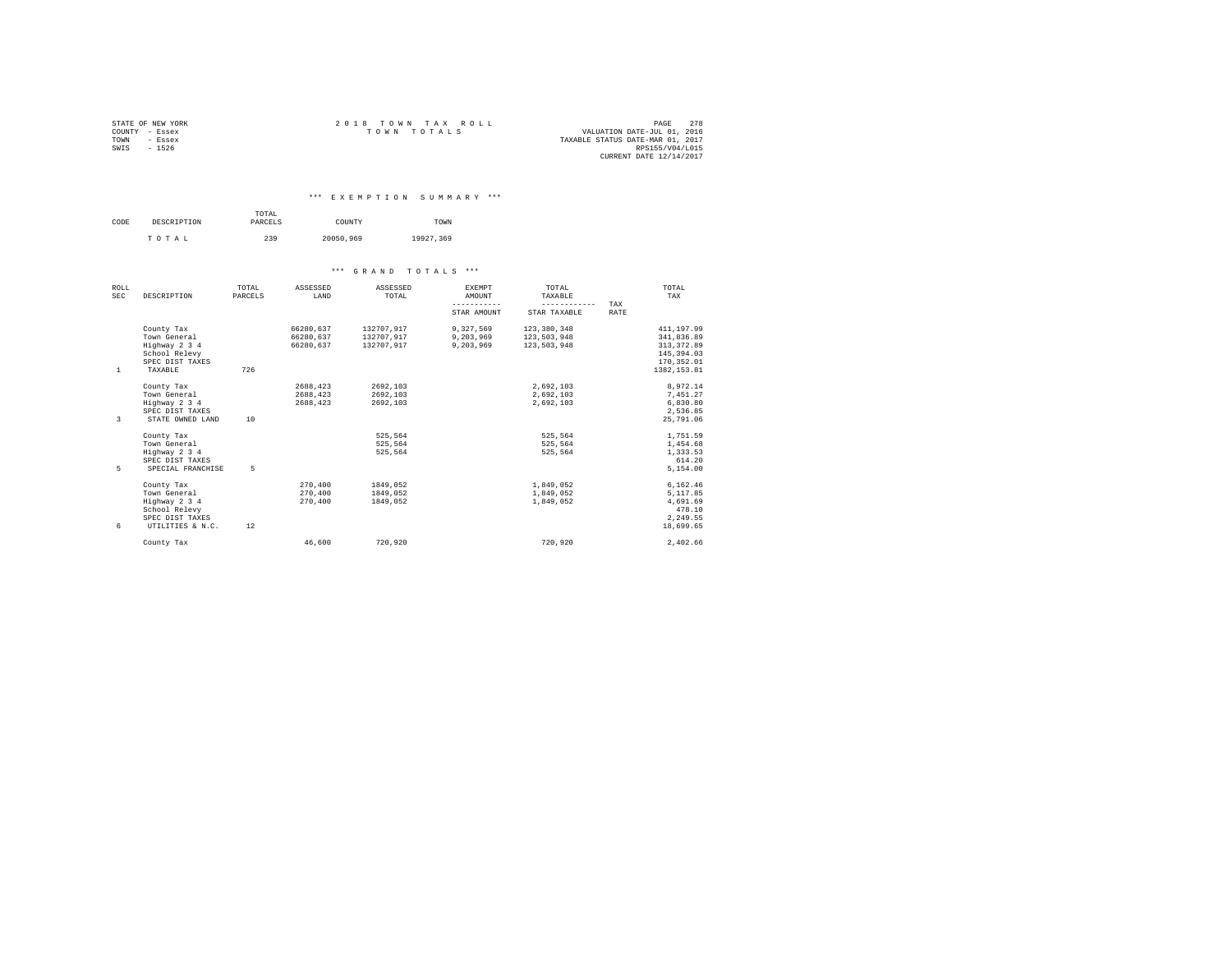|                | STATE OF NEW YORK | 2018 TOWN TAX ROLL                         | PAGE            | 2.78 |
|----------------|-------------------|--------------------------------------------|-----------------|------|
| COUNTY - Essex |                   | VALUATION DATE-JUL 01, 2016<br>TOWN TOTALS |                 |      |
| TOWN           | - Essex           | TAXABLE STATUS DATE-MAR 01, 2017           |                 |      |
| SWIS           | $-1526$           |                                            | RPS155/V04/L015 |      |
|                |                   | CURRENT DATE 12/14/2017                    |                 |      |

\*\*\* E X E M P T I O N S U M M A R Y \*\*\*

|      |             | TOTAL   |           |           |  |
|------|-------------|---------|-----------|-----------|--|
| CODE | DESCRIPTION | PARCELS | COUNTY    | TOWN      |  |
|      | TOTAL       | 239     | 20050.969 | 19927.369 |  |

|                     |                                                                                                     |                  |                                     | *** GRAND TOTALS ***                   |                                     |                                                  |                    |                                                                                        |
|---------------------|-----------------------------------------------------------------------------------------------------|------------------|-------------------------------------|----------------------------------------|-------------------------------------|--------------------------------------------------|--------------------|----------------------------------------------------------------------------------------|
| ROLL.<br><b>SEC</b> | DESCRIPTION                                                                                         | TOTAL<br>PARCELS | ASSESSED<br>LAND                    | ASSESSED<br>TOTAL                      | EXEMPT<br>AMOUNT<br>STAR AMOUNT     | TOTAL<br>TAXABLE<br>------------<br>STAR TAXABLE | TAX<br><b>RATE</b> | TOTAL<br>TAX                                                                           |
| 1                   | County Tax<br>Town General<br>Highway 2 3 4<br>School Relevy<br>SPEC DIST TAXES<br>TAXABLE          | 726              | 66280.637<br>66280.637<br>66280.637 | 132707.917<br>132707.917<br>132707.917 | 9,327,569<br>9,203,969<br>9,203,969 | 123,380,348<br>123,503,948<br>123,503,948        |                    | 411.197.99<br>341,836.89<br>313, 372.89<br>145, 394, 03<br>170.352.01<br>1382, 153, 81 |
| 3                   | County Tax<br>Town General<br>Highway 2 3 4<br>SPEC DIST TAXES<br>STATE OWNED LAND                  | 10               | 2688.423<br>2688,423<br>2688,423    | 2692.103<br>2692.103<br>2692.103       |                                     | 2.692.103<br>2,692,103<br>2,692,103              |                    | 8.972.14<br>7.451.27<br>6,830.80<br>2.536.85<br>25,791.06                              |
| 5.                  | County Tax<br>Town General<br>Highway 2 3 4<br>SPEC DIST TAXES<br>SPECIAL FRANCHISE                 | 5                |                                     | 525.564<br>525.564<br>525.564          |                                     | 525.564<br>525.564<br>525,564                    |                    | 1,751.59<br>1,454.68<br>1,333.53<br>614.20<br>5,154.00                                 |
| 6                   | County Tax<br>Town General<br>Highway 2 3 4<br>School Relevy<br>SPEC DIST TAXES<br>UTILITIES & N.C. | 12               | 270,400<br>270,400<br>270,400       | 1849.052<br>1849,052<br>1849,052       |                                     | 1,849,052<br>1,849,052<br>1,849,052              |                    | 6,162.46<br>5,117.85<br>4,691.69<br>478.10<br>2.249.55<br>18,699.65                    |
|                     | County Tax                                                                                          |                  | 46.600                              | 720,920                                |                                     | 720,920                                          |                    | 2.402.66                                                                               |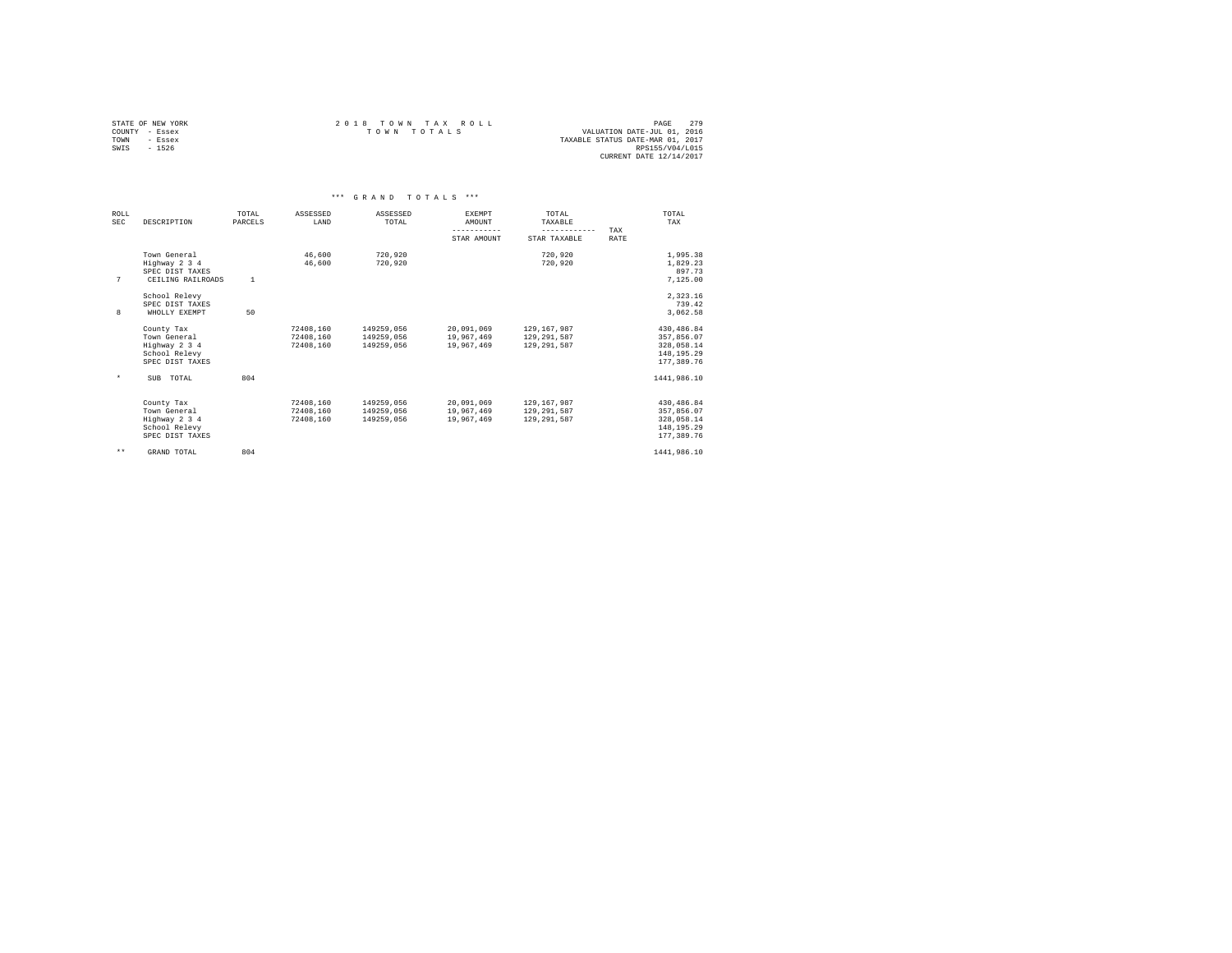|                | STATE OF NEW YORK | 2018 TOWN TAX ROLL |             |  |                                  | PAGE                        | 2.79 |
|----------------|-------------------|--------------------|-------------|--|----------------------------------|-----------------------------|------|
| COUNTY - Essex |                   |                    | TOWN TOTALS |  |                                  | VALUATION DATE-JUL 01, 2016 |      |
| TOWN           | - Essex           |                    |             |  | TAXABLE STATUS DATE-MAR 01, 2017 |                             |      |
| SWIS           | $-1526$           |                    |             |  |                                  | RPS155/V04/L015             |      |
|                |                   |                    |             |  |                                  | CURRENT DATE 12/14/2017     |      |

|                    | *** GRAND TOTALS ***                                                            |                  |                                     |                                        |                                        |                                             |                                                                      |  |  |  |  |  |
|--------------------|---------------------------------------------------------------------------------|------------------|-------------------------------------|----------------------------------------|----------------------------------------|---------------------------------------------|----------------------------------------------------------------------|--|--|--|--|--|
| ROLL<br><b>SEC</b> | DESCRIPTION                                                                     | TOTAL<br>PARCELS | ASSESSED<br>LAND                    | ASSESSED<br>TOTAL                      | <b>EXEMPT</b><br>AMOUNT<br>----------- | TOTAL<br>TAXABLE<br>------------            | TOTAL<br>TAX<br>TAX                                                  |  |  |  |  |  |
|                    |                                                                                 |                  |                                     |                                        | STAR AMOUNT                            | STAR TAXABLE                                | <b>RATE</b>                                                          |  |  |  |  |  |
|                    | Town General<br>Highway 2 3 4<br>SPEC DIST TAXES                                |                  | 46,600<br>46,600                    | 720,920<br>720.920                     |                                        | 720,920<br>720.920                          | 1,995.38<br>1,829.23<br>897.73                                       |  |  |  |  |  |
| 7                  | CEILING RAILROADS                                                               | $\mathbf{1}$     |                                     |                                        |                                        |                                             | 7.125.00                                                             |  |  |  |  |  |
|                    | School Relevy<br>SPEC DIST TAXES                                                |                  |                                     |                                        |                                        |                                             | 2.323.16<br>739.42                                                   |  |  |  |  |  |
| 8                  | WHOLLY EXEMPT                                                                   | 50               |                                     |                                        |                                        |                                             | 3.062.58                                                             |  |  |  |  |  |
|                    | County Tax<br>Town General<br>Highway 2 3 4<br>School Relevy<br>SPEC DIST TAXES |                  | 72408.160<br>72408.160<br>72408.160 | 149259,056<br>149259,056<br>149259.056 | 20,091,069<br>19,967,469<br>19,967,469 | 129,167,987<br>129,291,587<br>129, 291, 587 | 430,486.84<br>357.856.07<br>328,058.14<br>148, 195, 29<br>177,389.76 |  |  |  |  |  |
| $\star$            | TOTAL<br>SUB                                                                    | 804              |                                     |                                        |                                        |                                             | 1441,986.10                                                          |  |  |  |  |  |
|                    | County Tax<br>Town General<br>Highway 2 3 4<br>School Relevy<br>SPEC DIST TAXES |                  | 72408.160<br>72408,160<br>72408.160 | 149259.056<br>149259,056<br>149259.056 | 20,091,069<br>19,967,469<br>19,967,469 | 129,167,987<br>129,291,587<br>129, 291, 587 | 430,486.84<br>357,856.07<br>328,058.14<br>148, 195, 29<br>177.389.76 |  |  |  |  |  |
| $\star\star$       | GRAND TOTAL                                                                     | 804              |                                     |                                        |                                        |                                             | 1441,986.10                                                          |  |  |  |  |  |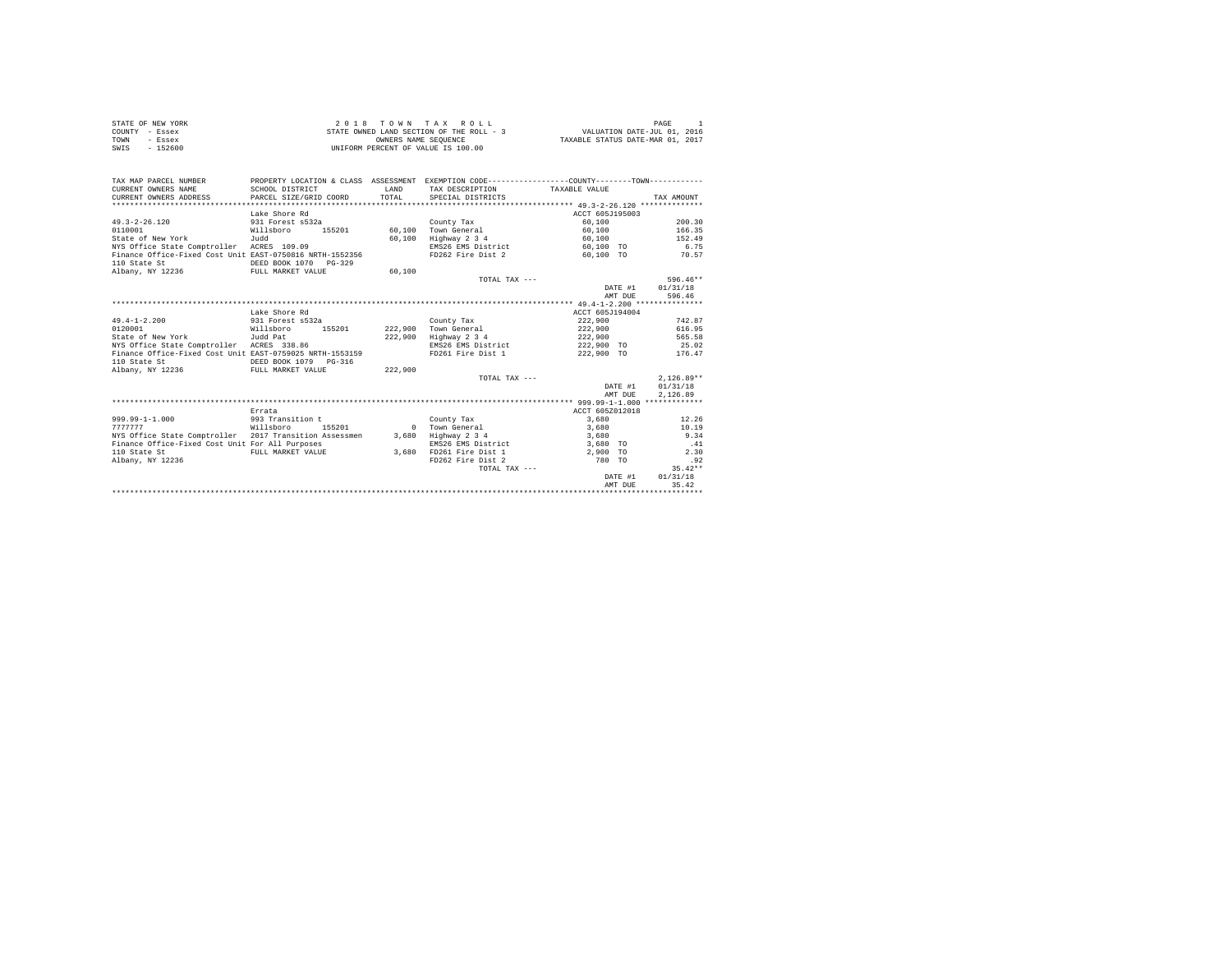| STATE OF NEW YORK | 2018 TOWN TAX ROLL                       | PAGE                             |
|-------------------|------------------------------------------|----------------------------------|
| COUNTY - Essex    | STATE OWNED LAND SECTION OF THE ROLL - 3 | VALUATION DATE-JUL 01, 2016      |
| TOWN<br>- Essex   | OWNERS NAME SEOUENCE                     | TAXABLE STATUS DATE-MAR 01, 2017 |
| $-152600$<br>SWIS | UNIFORM PERCENT OF VALUE IS 100.00       |                                  |

| TAX MAP PARCEL NUMBER<br>CURRENT OWNERS NAME<br>CURRENT OWNERS ADDRESS   | SCHOOL DISTRICT<br>PARCEL SIZE/GRID COORD | <b>T.AND</b><br>TOTAL. | PROPERTY LOCATION & CLASS ASSESSMENT EXEMPTION CODE----------------COUNTY-------TOWN----------<br>TAX DESCRIPTION<br>SPECIAL DISTRICTS | TAXARLE VALUE   | TAX AMOUNT   |
|--------------------------------------------------------------------------|-------------------------------------------|------------------------|----------------------------------------------------------------------------------------------------------------------------------------|-----------------|--------------|
| **********************                                                   |                                           |                        |                                                                                                                                        |                 |              |
|                                                                          | Lake Shore Rd                             |                        |                                                                                                                                        | ACCT 605J195003 |              |
| $49.3 - 2 - 26.120$                                                      | 931 Forest s532a                          |                        | County Tax                                                                                                                             | 60,100          | 200.30       |
| 0110001                                                                  | Willsboro<br>155201                       | 60,100                 | Town General                                                                                                                           | 60,100          | 166.35       |
| State of New York                                                        | Judd                                      | 60,100                 | Highway 2 3 4                                                                                                                          | 60,100          | 152.49       |
| NYS Office State Comptroller ACRES 109.09                                |                                           |                        | EMS26 EMS District                                                                                                                     | 60,100 TO       | 6.75         |
| Finance Office-Fixed Cost Unit EAST-0750816 NRTH-1552356<br>110 State St | DEED BOOK 1070<br>$PG-329$                |                        | FD262 Fire Dist 2                                                                                                                      | 60.100 TO       | 70.57        |
| Albany, NY 12236                                                         | FULL MARKET VALUE                         | 60,100                 |                                                                                                                                        |                 |              |
|                                                                          |                                           |                        | TOTAL TAX ---                                                                                                                          |                 | 596.46**     |
|                                                                          |                                           |                        |                                                                                                                                        | DATE #1         | 01/31/18     |
|                                                                          |                                           |                        |                                                                                                                                        | AMT DUE         | 596.46       |
|                                                                          |                                           |                        |                                                                                                                                        |                 |              |
|                                                                          | Lake Shore Rd                             |                        |                                                                                                                                        | ACCT 605J194004 |              |
| $49.4 - 1 - 2.200$                                                       | 931 Forest s532a                          |                        | County Tax                                                                                                                             | 222,900         | 742.87       |
| 0120001                                                                  | Willsboro<br>155201                       |                        | 222,900 Town General                                                                                                                   | 222,900         | 616.95       |
| State of New York                                                        | Judd Pat                                  | 222,900                | Highway 2 3 4                                                                                                                          | 222,900         | 565.58       |
| NYS Office State Comptroller ACRES 338.86                                |                                           |                        | EMS26 EMS District                                                                                                                     | 222,900 TO      | 25.02        |
| Finance Office-Fixed Cost Unit EAST-0759025 NRTH-1553159                 |                                           |                        | FD261 Fire Dist 1                                                                                                                      | 222,900 TO      | 176.47       |
| 110 State St                                                             | DEED BOOK 1079<br>PG-316                  |                        |                                                                                                                                        |                 |              |
| Albany, NY 12236                                                         | FULL MARKET VALUE                         | 222,900                |                                                                                                                                        |                 |              |
|                                                                          |                                           |                        | TOTAL TAX ---                                                                                                                          |                 | $2.126.89**$ |
|                                                                          |                                           |                        |                                                                                                                                        | DATE #1         | 01/31/18     |
|                                                                          |                                           |                        |                                                                                                                                        | AMT DUE         | 2.126.89     |
|                                                                          |                                           |                        |                                                                                                                                        |                 |              |
|                                                                          | Errata                                    |                        |                                                                                                                                        | ACCT 605Z012018 |              |
| $999.99 - 1 - 1.000$                                                     | 993 Transition t                          |                        | County Tax                                                                                                                             | 3,680           | 12.26        |
| 777777                                                                   | Willsboro<br>155201                       |                        | 0 Town General                                                                                                                         | 3,680           | 10.19        |
| NYS Office State Comptroller 2017 Transition Assessmen                   |                                           | 3,680                  | Highway 2 3 4                                                                                                                          | 3,680           | 9.34         |
| Finance Office-Fixed Cost Unit For All Purposes                          |                                           |                        | EMS26 EMS District                                                                                                                     | 3,680 TO        | .41          |
| 110 State St                                                             | FULL MARKET VALUE                         | 3,680                  | FD261 Fire Dist 1                                                                                                                      | 2,900 TO        | 2.30         |
| Albany, NY 12236                                                         |                                           |                        | FD262 Fire Dist 2                                                                                                                      | 780 TO          | .92          |
|                                                                          |                                           |                        | TOTAL TAX ---                                                                                                                          |                 | $35.42**$    |
|                                                                          |                                           |                        |                                                                                                                                        | DATE #1         | 01/31/18     |
|                                                                          |                                           |                        |                                                                                                                                        | AMT DUE         | 35.42        |
|                                                                          |                                           |                        |                                                                                                                                        |                 |              |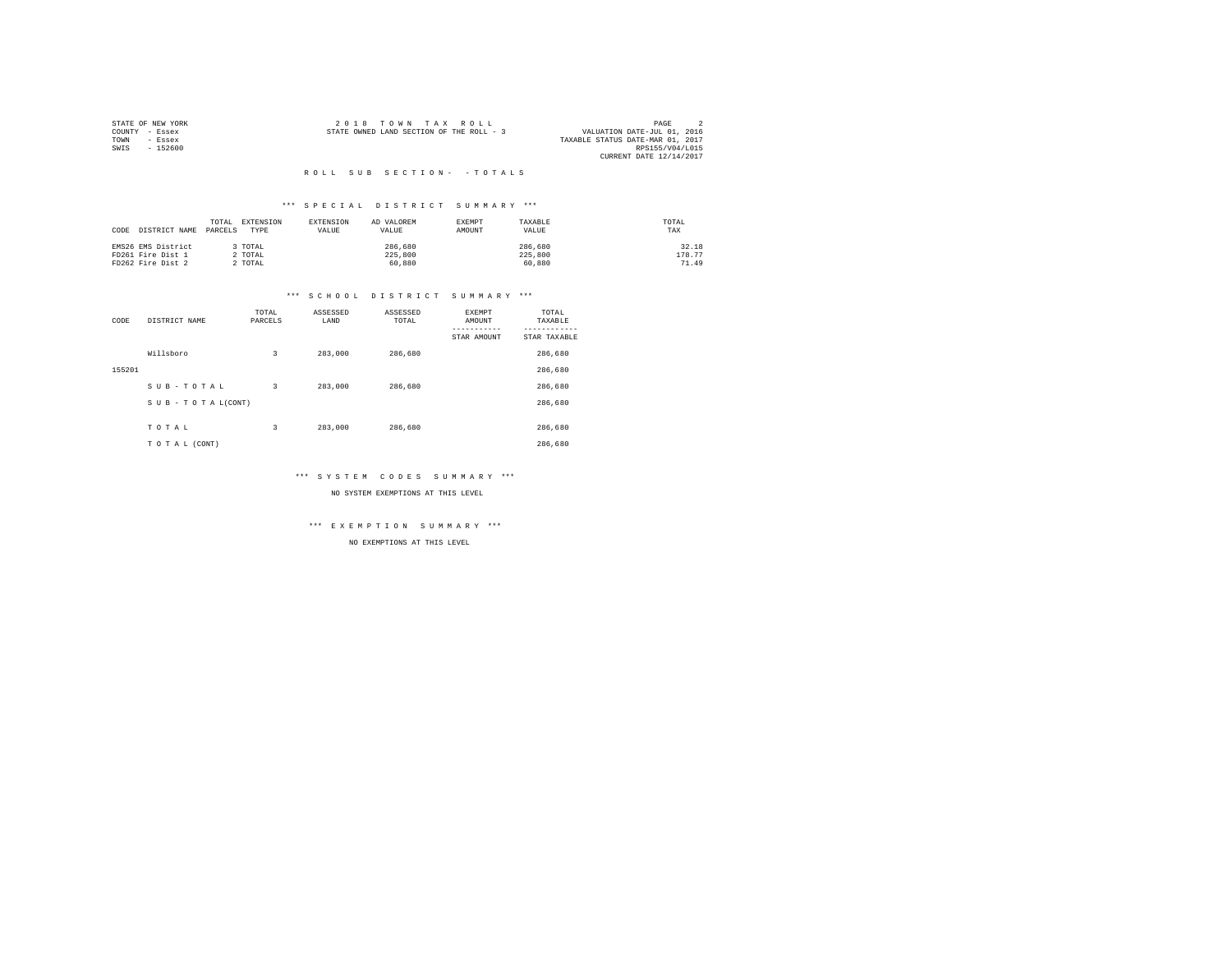| STATE OF NEW YORK | 2018 TOWN TAX ROLL                       | PAGE                             |
|-------------------|------------------------------------------|----------------------------------|
| COUNTY - Essex    | STATE OWNED LAND SECTION OF THE ROLL - 3 | VALUATION DATE-JUL 01, 2016      |
| TOWN<br>- Essex   |                                          | TAXABLE STATUS DATE-MAR 01, 2017 |
| SWIS<br>$-152600$ |                                          | RPS155/V04/L015                  |
|                   |                                          | CURRENT DATE 12/14/2017          |

## \*\*\* S P E C I A L D I S T R I C T S U M M A R Y \*\*\*

| CODE | DISTRICT NAME      | EXTENSION<br>TOTAL<br>PARCELS<br>TYPE | <b>EXTENSION</b><br>VALUE | AD VALOREM<br>VALUE | <b>EXEMPT</b><br>AMOUNT | TAXABLE<br>VALUE | TOTAL<br>TAX |
|------|--------------------|---------------------------------------|---------------------------|---------------------|-------------------------|------------------|--------------|
|      | EMS26 EMS District | TOTAL                                 |                           | 286,680             |                         | 286,680          | 32.18        |
|      | FD261 Fire Dist 1  | 2 TOTAL                               |                           | 225,800             |                         | 225,800          | 178.77       |
|      | FD262 Fire Dist 2  | 2 TOTAL                               |                           | 60,880              |                         | 60,880           | 71.49        |

#### \*\*\* S C H O O L D I S T R I C T S U M M A R Y \*\*\*

| CODE   | DISTRICT NAME      | TOTAL<br>PARCELS | ASSESSED<br>LAND | ASSESSED<br>TOTAL | <b>EXEMPT</b><br>AMOUNT<br>----------<br>STAR AMOUNT | TOTAL<br>TAXABLE<br>------------<br>STAR TAXABLE |
|--------|--------------------|------------------|------------------|-------------------|------------------------------------------------------|--------------------------------------------------|
|        | Willsboro          | 3                | 283,000          | 286,680           |                                                      | 286,680                                          |
| 155201 |                    |                  |                  |                   |                                                      | 286,680                                          |
|        | SUB-TOTAL          | 3                | 283,000          | 286.680           |                                                      | 286,680                                          |
|        | SUB - TO TAL(CONT) |                  |                  |                   |                                                      | 286,680                                          |
|        | TOTAL              | 3                | 283,000          | 286.680           |                                                      | 286,680                                          |
|        |                    |                  |                  |                   |                                                      |                                                  |
|        | TO TAL (CONT)      |                  |                  |                   |                                                      | 286,680                                          |

\*\*\* S Y S T E M C O D E S S U M M A R Y \*\*\*

NO SYSTEM EXEMPTIONS AT THIS LEVEL

\*\*\* E X E M P T I O N S U M M A R Y \*\*\*

NO EXEMPTIONS AT THIS LEVEL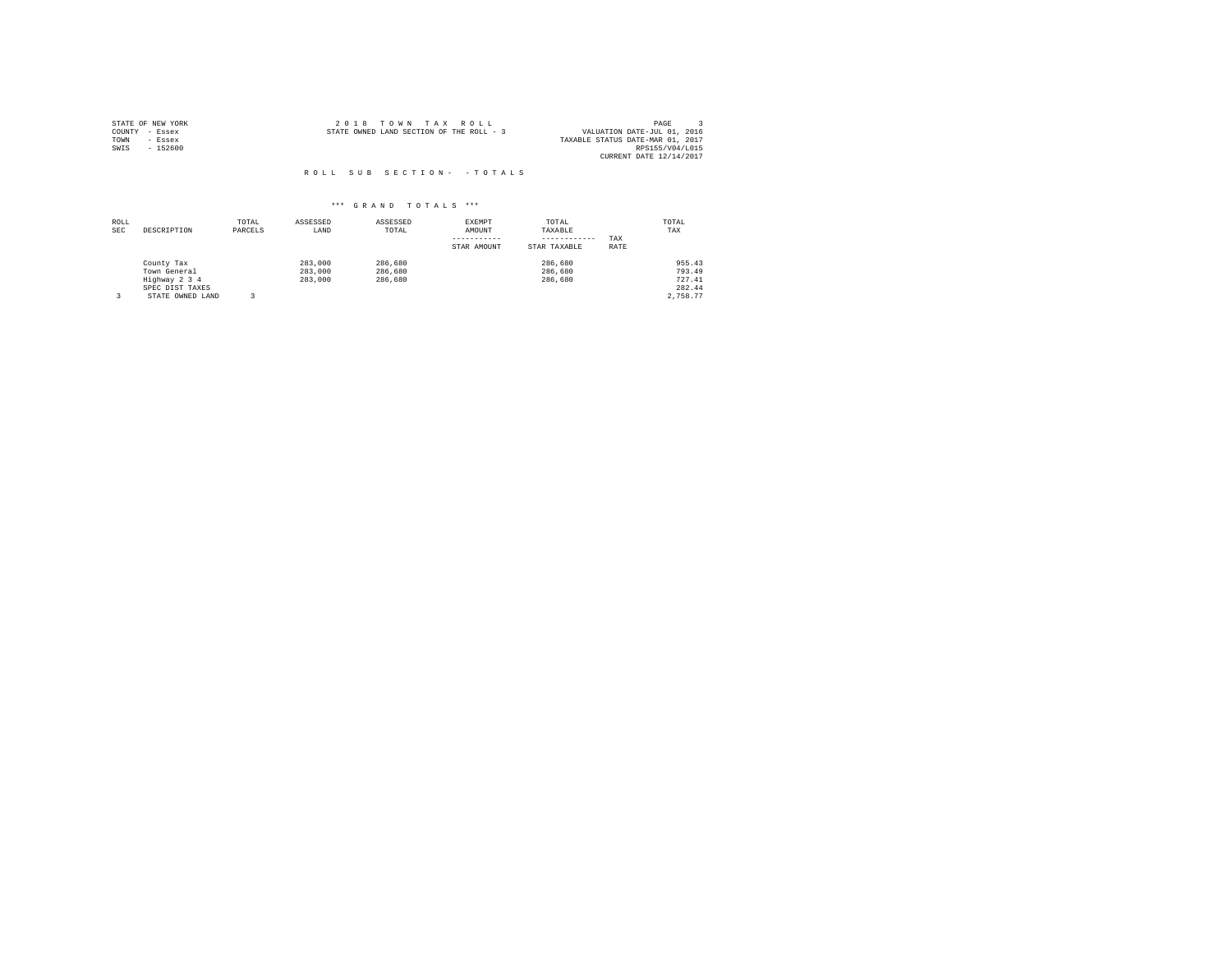| STATE OF NEW YORK | 2018 TOWN TAX ROLL                       | PAGE                             |
|-------------------|------------------------------------------|----------------------------------|
| COUNTY - Essex    | STATE OWNED LAND SECTION OF THE ROLL - 3 | VALUATION DATE-JUL 01, 2016      |
| TOWN<br>- Essex   |                                          | TAXABLE STATUS DATE-MAR 01, 2017 |
| $-152600$<br>SWIS |                                          | RPS155/V04/L015                  |
|                   |                                          | CURRENT DATE 12/14/2017          |
|                   |                                          |                                  |

| ROLL<br><b>SEC</b> | DESCRIPTION                                                                        | TOTAL<br>PARCELS | ASSESSED<br>LAND              | ASSESSED<br>TOTAL             | EXEMPT<br>AMOUNT<br>STAR AMOUNT | TOTAL<br>TAXABLE<br>------------<br>STAR TAXABLE | TAX<br>RATE | TOTAL<br>TAX                                     |
|--------------------|------------------------------------------------------------------------------------|------------------|-------------------------------|-------------------------------|---------------------------------|--------------------------------------------------|-------------|--------------------------------------------------|
|                    | County Tax<br>Town General<br>Highway 2 3 4<br>SPEC DIST TAXES<br>STATE OWNED LAND |                  | 283,000<br>283,000<br>283,000 | 286,680<br>286,680<br>286,680 |                                 | 286,680<br>286,680<br>286,680                    |             | 955.43<br>793.49<br>727.41<br>282.44<br>2.758.77 |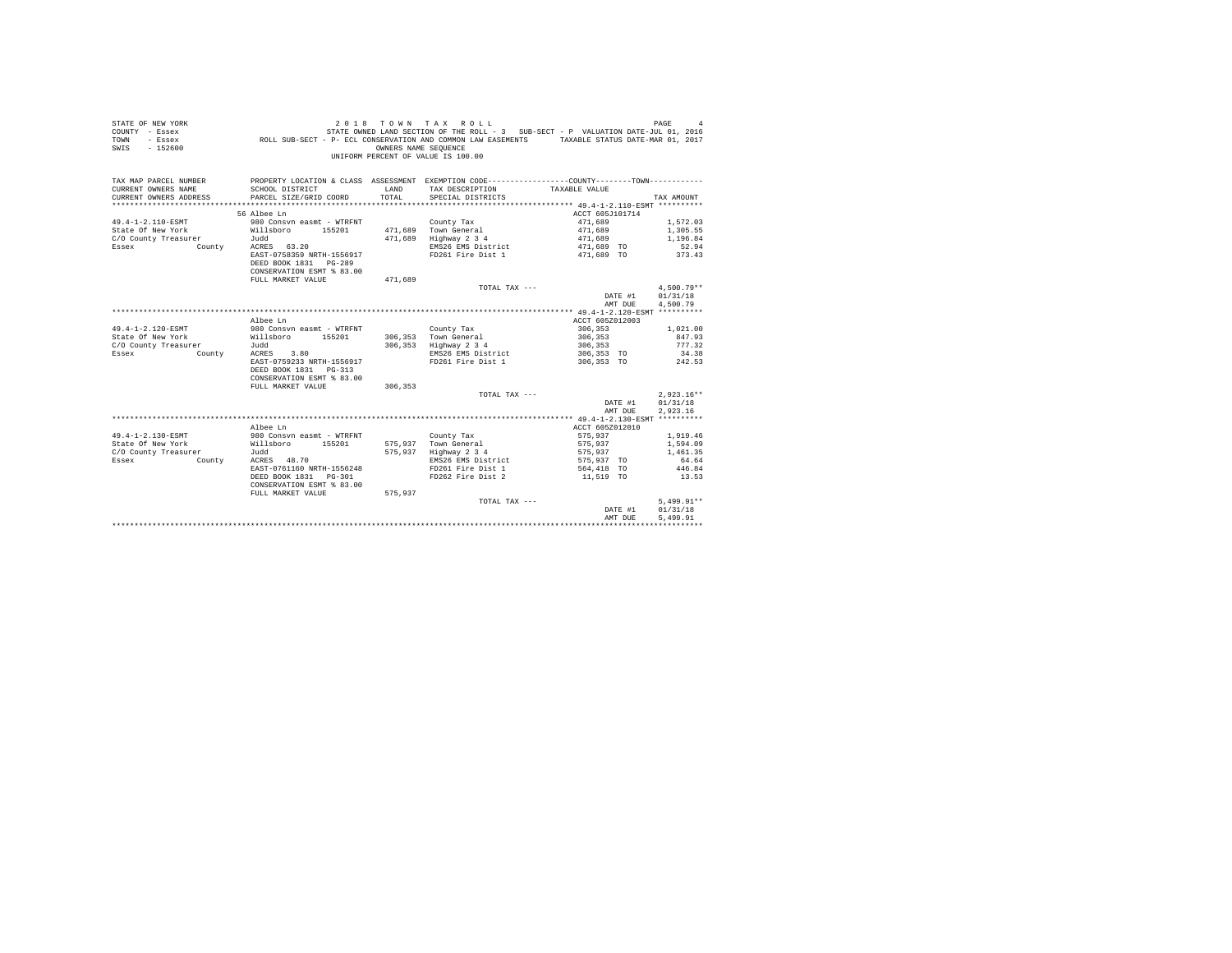| STATE OF NEW YORK<br>COUNTY - Essex<br>TOWN<br>- Essex<br>$-152600$<br>SWIS | 2 0 1 8<br>PAGE 4 2 0 1 8 TO WINT A X ROLL<br>STATE ROLL STATE ON ANED SECTOR OF THE ROLL - 3 SUB-SECT - P VALUATION DATE-JUL 01, 2016<br>ROLL SUB-SECT - P- ECL CONSERVATION AND COMMON LAW EASEMENTS TAXABLE STATUS DATE-MAR 01, 2017 | OWNERS NAME SEQUENCE | TOWN TAX ROLL<br>UNIFORM PERCENT OF VALUE IS 100.00 |                 | PAGE         |
|-----------------------------------------------------------------------------|-----------------------------------------------------------------------------------------------------------------------------------------------------------------------------------------------------------------------------------------|----------------------|-----------------------------------------------------|-----------------|--------------|
| TAX MAP PARCEL NUMBER                                                       | PROPERTY LOCATION & CLASS ASSESSMENT EXEMPTION CODE----------------COUNTY-------TOWN---------                                                                                                                                           |                      |                                                     |                 |              |
| CURRENT OWNERS NAME                                                         | SCHOOL DISTRICT                                                                                                                                                                                                                         | LAND                 | TAX DESCRIPTION                                     | TAXABLE VALUE   |              |
| CURRENT OWNERS ADDRESS                                                      | PARCEL SIZE/GRID COORD                                                                                                                                                                                                                  | TOTAL                | SPECIAL DISTRICTS                                   |                 | TAX AMOUNT   |
|                                                                             |                                                                                                                                                                                                                                         |                      |                                                     |                 |              |
|                                                                             | 56 Albee Ln                                                                                                                                                                                                                             |                      |                                                     | ACCT 605J101714 |              |
| 49.4-1-2.110-ESMT                                                           | 980 Consvn easmt - WTRFNT                                                                                                                                                                                                               |                      | County Tax                                          | 471.689         | 1,572.03     |
| State Of New York                                                           | Willsboro 155201                                                                                                                                                                                                                        |                      | 471.689 Town General                                | 471,689         | 1,305.55     |
| C/O County Treasurer                                                        | Judd                                                                                                                                                                                                                                    |                      | 471,689 Highway 2 3 4                               | 471,689         | 1,196.84     |
| Essex<br>County                                                             | ACRES 63.20                                                                                                                                                                                                                             |                      | EMS26 EMS District                                  | 471,689 TO      | 52.94        |
|                                                                             | EAST-0758359 NRTH-1556917                                                                                                                                                                                                               |                      | FD261 Fire Dist 1                                   | 471,689 TO      | 373.43       |
|                                                                             | DEED BOOK 1831    PG-289<br>CONSERVATION ESMT % 83.00                                                                                                                                                                                   |                      |                                                     |                 |              |
|                                                                             | FULL MARKET VALUE                                                                                                                                                                                                                       | 471,689              |                                                     |                 |              |
|                                                                             |                                                                                                                                                                                                                                         |                      | TOTAL TAX ---                                       |                 | $4.500.79**$ |
|                                                                             |                                                                                                                                                                                                                                         |                      |                                                     | DATE #1         | 01/31/18     |
|                                                                             |                                                                                                                                                                                                                                         |                      |                                                     | AMT DUE         | 4.500.79     |
|                                                                             |                                                                                                                                                                                                                                         |                      |                                                     |                 |              |
|                                                                             | Albee Ln                                                                                                                                                                                                                                |                      |                                                     | ACCT 605Z012003 |              |
| 49.4-1-2.120-ESMT                                                           | 980 Consyn easmt - WTRFNT                                                                                                                                                                                                               |                      | County Tax                                          | 306,353         | 1,021.00     |
| State Of New York                                                           | Willsboro 155201                                                                                                                                                                                                                        |                      | 306.353 Town General                                | 306,353         | 847.93       |
| C/O County Treasurer                                                        | Judd                                                                                                                                                                                                                                    |                      | 306,353 Highway 2 3 4                               | 306,353         | 777.32       |
| Essex<br>County                                                             | ACRES 3.80                                                                                                                                                                                                                              |                      | EMS26 EMS District                                  | 306,353 TO      | 34.38        |
|                                                                             | EAST-0759233 NRTH-1556917                                                                                                                                                                                                               |                      | FD261 Fire Dist 1                                   | 306,353 TO      | 242.53       |
|                                                                             | DEED BOOK 1831   PG-313                                                                                                                                                                                                                 |                      |                                                     |                 |              |
|                                                                             | CONSERVATION ESMT % 83.00                                                                                                                                                                                                               |                      |                                                     |                 |              |
|                                                                             | FULL MARKET VALUE                                                                                                                                                                                                                       | 306,353              |                                                     |                 |              |
|                                                                             |                                                                                                                                                                                                                                         |                      | TOTAL TAX ---                                       |                 | $2,923.16**$ |
|                                                                             |                                                                                                                                                                                                                                         |                      |                                                     | DATE #1         | 01/31/18     |
|                                                                             |                                                                                                                                                                                                                                         |                      |                                                     | AMT DUE         | 2,923.16     |
|                                                                             |                                                                                                                                                                                                                                         |                      |                                                     |                 |              |
|                                                                             | Albee Ln                                                                                                                                                                                                                                |                      |                                                     | ACCT 605Z012010 |              |
| 49.4-1-2.130-ESMT                                                           | 980 Consvn easmt - WTRFNT                                                                                                                                                                                                               |                      | County Tax                                          | 575,937         | 1,919.46     |
| State Of New York                                                           | Willsboro<br>155201                                                                                                                                                                                                                     |                      | 575,937 Town General                                | 575,937         | 1,594.09     |
| C/O County Treasurer                                                        | Judd                                                                                                                                                                                                                                    |                      | 575,937 Highway 2 3 4                               | 575,937         | 1,461.35     |
| Essex<br>County                                                             | ACRES 48.70                                                                                                                                                                                                                             |                      | EMS26 EMS District                                  | 575,937 TO      | 64.64        |
|                                                                             | EAST-0761160 NRTH-1556248                                                                                                                                                                                                               |                      | FD261 Fire Dist 1                                   | 564,418 TO      | 446.84       |
|                                                                             | DEED BOOK 1831 PG-301                                                                                                                                                                                                                   |                      | FD262 Fire Dist 2                                   | 11,519 TO       | 13.53        |
|                                                                             | CONSERVATION ESMT % 83.00                                                                                                                                                                                                               |                      |                                                     |                 |              |
|                                                                             | FULL MARKET VALUE                                                                                                                                                                                                                       | 575,937              |                                                     |                 |              |
|                                                                             |                                                                                                                                                                                                                                         |                      | TOTAL TAX ---                                       |                 | $5.499.91**$ |
|                                                                             |                                                                                                                                                                                                                                         |                      |                                                     | DATE #1         | 01/31/18     |
|                                                                             |                                                                                                                                                                                                                                         |                      |                                                     | AMT DUE         | 5,499.91     |
|                                                                             |                                                                                                                                                                                                                                         |                      |                                                     |                 |              |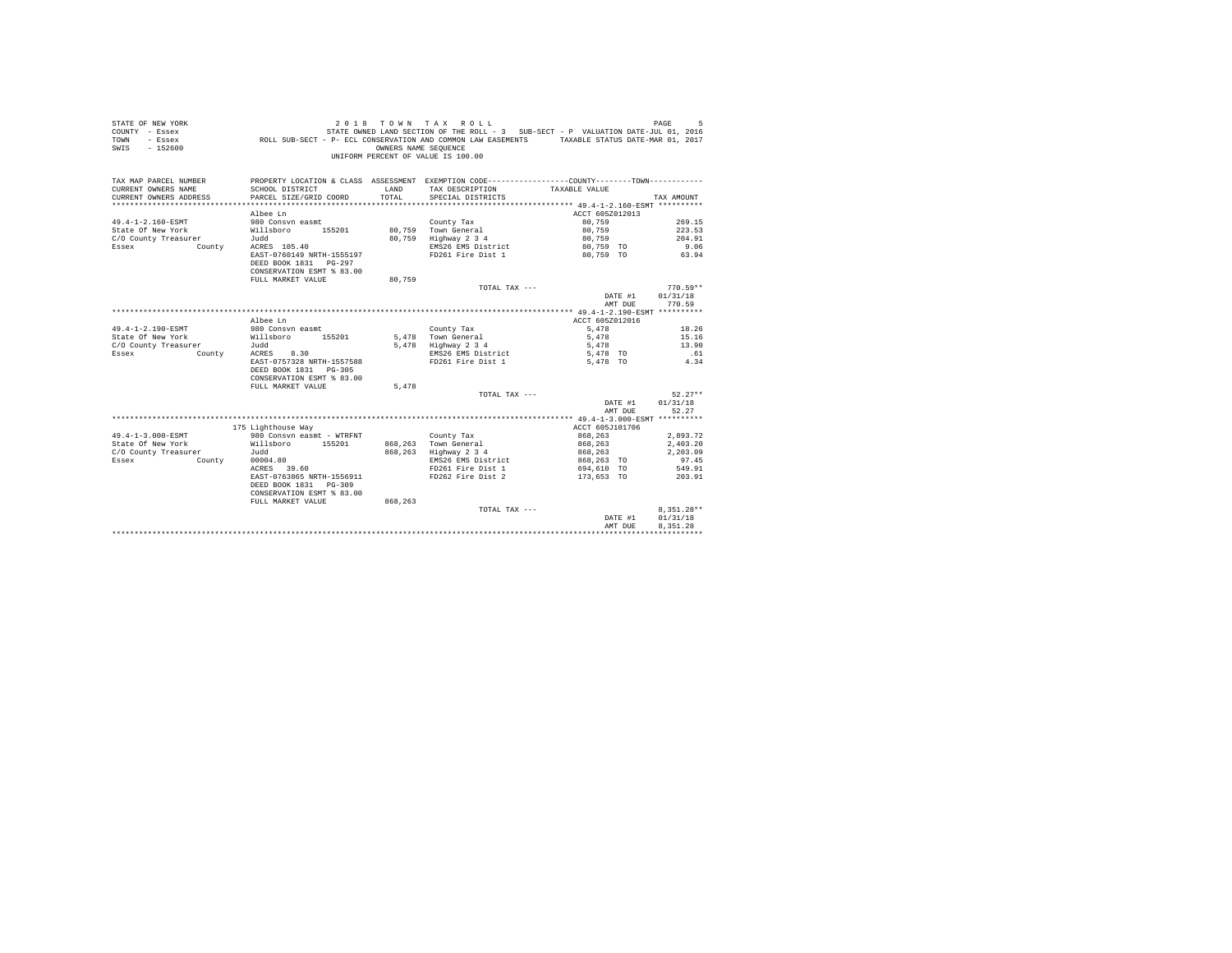| STATE OF NEW YORK<br>COUNTY - Essex<br>TOWN<br>- Essex<br>$-152600$<br>SWIS |                                                                                    | OWNERS NAME SEQUENCE | PAGE 5<br>STATE OWN TAX ROLL - 3 SUB-SECT - P VALUATION DATE-UIL 01, 2016<br>ROLL SUB-SECT - P- ECL CONSERVATION AND COMMON LAW EASEMENTS TAXABLE STATUS DATE-MAR 01, 2017<br>UNIFORM PERCENT OF VALUE IS 100.00 |                          |                 |
|-----------------------------------------------------------------------------|------------------------------------------------------------------------------------|----------------------|------------------------------------------------------------------------------------------------------------------------------------------------------------------------------------------------------------------|--------------------------|-----------------|
| TAX MAP PARCEL NUMBER                                                       |                                                                                    |                      | PROPERTY LOCATION & CLASS ASSESSMENT EXEMPTION CODE---------------COUNTY-------TOWN---------                                                                                                                     |                          |                 |
| CURRENT OWNERS NAME                                                         | SCHOOL DISTRICT                                                                    | LAND                 | TAX DESCRIPTION                                                                                                                                                                                                  | TAXABLE VALUE            |                 |
| CURRENT OWNERS ADDRESS                                                      | PARCEL SIZE/GRID COORD                                                             | TOTAL                | SPECIAL DISTRICTS                                                                                                                                                                                                |                          | TAX AMOUNT      |
|                                                                             |                                                                                    |                      |                                                                                                                                                                                                                  |                          |                 |
|                                                                             | Albee Ln                                                                           |                      |                                                                                                                                                                                                                  | ACCT 605Z012013          |                 |
| 49.4-1-2.160-ESMT                                                           | 980 Consvn easmt                                                                   |                      | County Tax                                                                                                                                                                                                       | 80,759                   | 269.15          |
| State Of New York                                                           | Willsboro 155201                                                                   |                      | 80.759 Town General                                                                                                                                                                                              | 80,759                   | 223.53          |
| C/O County Treasurer                                                        | Judd                                                                               |                      | 80.759 Highway 2 3 4                                                                                                                                                                                             | 80,759                   | 204.91          |
| Essex<br>County                                                             | ACRES 105.40                                                                       |                      | EMS26 EMS District                                                                                                                                                                                               | 80,759 TO                | 9.06            |
|                                                                             | EAST-0760149 NRTH-1555197<br>DEED BOOK 1831    PG-297<br>CONSERVATION ESMT % 83.00 |                      | FD261 Fire Dist 1                                                                                                                                                                                                | 80.759 TO                | 63.94           |
|                                                                             | FULL MARKET VALUE                                                                  | 80.759               |                                                                                                                                                                                                                  |                          |                 |
|                                                                             |                                                                                    |                      | TOTAL TAX $---$                                                                                                                                                                                                  |                          | $770.59**$      |
|                                                                             |                                                                                    |                      |                                                                                                                                                                                                                  | DATE #1                  | 01/31/18        |
|                                                                             |                                                                                    |                      |                                                                                                                                                                                                                  | AMT DUE                  | 770.59          |
|                                                                             |                                                                                    |                      |                                                                                                                                                                                                                  |                          |                 |
|                                                                             | Albee Ln                                                                           |                      |                                                                                                                                                                                                                  | ACCT 605Z012016          |                 |
| 49.4-1-2.190-ESMT                                                           | 980 Consyn easmt                                                                   |                      | County Tax                                                                                                                                                                                                       | 5.478                    | 18.26           |
| State Of New York                                                           | Willsboro 155201                                                                   |                      | 5,478 Town General                                                                                                                                                                                               | 5,478                    | 15.16           |
| C/O County Treasurer                                                        | Judd                                                                               |                      | 5,478 Highway 2 3 4                                                                                                                                                                                              | 5,478                    | 13.90           |
| Essex<br>County                                                             | ACRES 8.30                                                                         |                      | EMS26 EMS District                                                                                                                                                                                               | 5,478 TO                 | .61             |
|                                                                             | EAST-0757328 NRTH-1557588<br>DEED BOOK 1831    PG-305                              |                      | FD261 Fire Dist 1                                                                                                                                                                                                | 5,478 TO                 | 4.34            |
|                                                                             | CONSERVATION ESMT % 83.00                                                          |                      |                                                                                                                                                                                                                  |                          |                 |
|                                                                             | FULL MARKET VALUE                                                                  | 5,478                |                                                                                                                                                                                                                  |                          |                 |
|                                                                             |                                                                                    |                      | TOTAL TAX ---                                                                                                                                                                                                    |                          | $52.27**$       |
|                                                                             |                                                                                    |                      |                                                                                                                                                                                                                  | DATE #1                  | 01/31/18        |
|                                                                             |                                                                                    |                      |                                                                                                                                                                                                                  | AMT DUE                  | 52.27           |
|                                                                             |                                                                                    |                      |                                                                                                                                                                                                                  |                          |                 |
|                                                                             | 175 Lighthouse Way                                                                 |                      |                                                                                                                                                                                                                  | ACCT 605J101706          |                 |
| 49.4-1-3.000-ESMT                                                           | 980 Consyn easmt - WTRFNT                                                          |                      | County Tax                                                                                                                                                                                                       | 868,263                  | 2,893.72        |
| State Of New York                                                           | Willsboro 155201                                                                   |                      | 868.263 Town General                                                                                                                                                                                             | 868,263                  | 2.403.20        |
| C/O County Treasurer<br>Essex                                               | Judd                                                                               |                      | 868,263 Highway 2 3 4                                                                                                                                                                                            | 868,263                  | 2.203.09        |
| <b>County</b>                                                               | 00004.80<br>ACRES 39.60                                                            |                      | EMS26 EMS District<br>FD261 Fire Dist 1                                                                                                                                                                          | 868,263 TO<br>694,610 TO | 97.45<br>549.91 |
|                                                                             | EAST-0763865 NRTH-1556911                                                          |                      | FD262 Fire Dist 2                                                                                                                                                                                                | 173,653 TO               | 203.91          |
|                                                                             | DEED BOOK 1831 PG-309<br>CONSERVATION ESMT % 83.00                                 |                      |                                                                                                                                                                                                                  |                          |                 |
|                                                                             | FULL MARKET VALUE                                                                  | 868.263              |                                                                                                                                                                                                                  |                          |                 |
|                                                                             |                                                                                    |                      | TOTAL TAX ---                                                                                                                                                                                                    |                          | 8,351.28**      |
|                                                                             |                                                                                    |                      |                                                                                                                                                                                                                  | DATE #1                  | 01/31/18        |
|                                                                             |                                                                                    |                      |                                                                                                                                                                                                                  | AMT DUE                  | 8.351.28        |
|                                                                             |                                                                                    |                      |                                                                                                                                                                                                                  |                          |                 |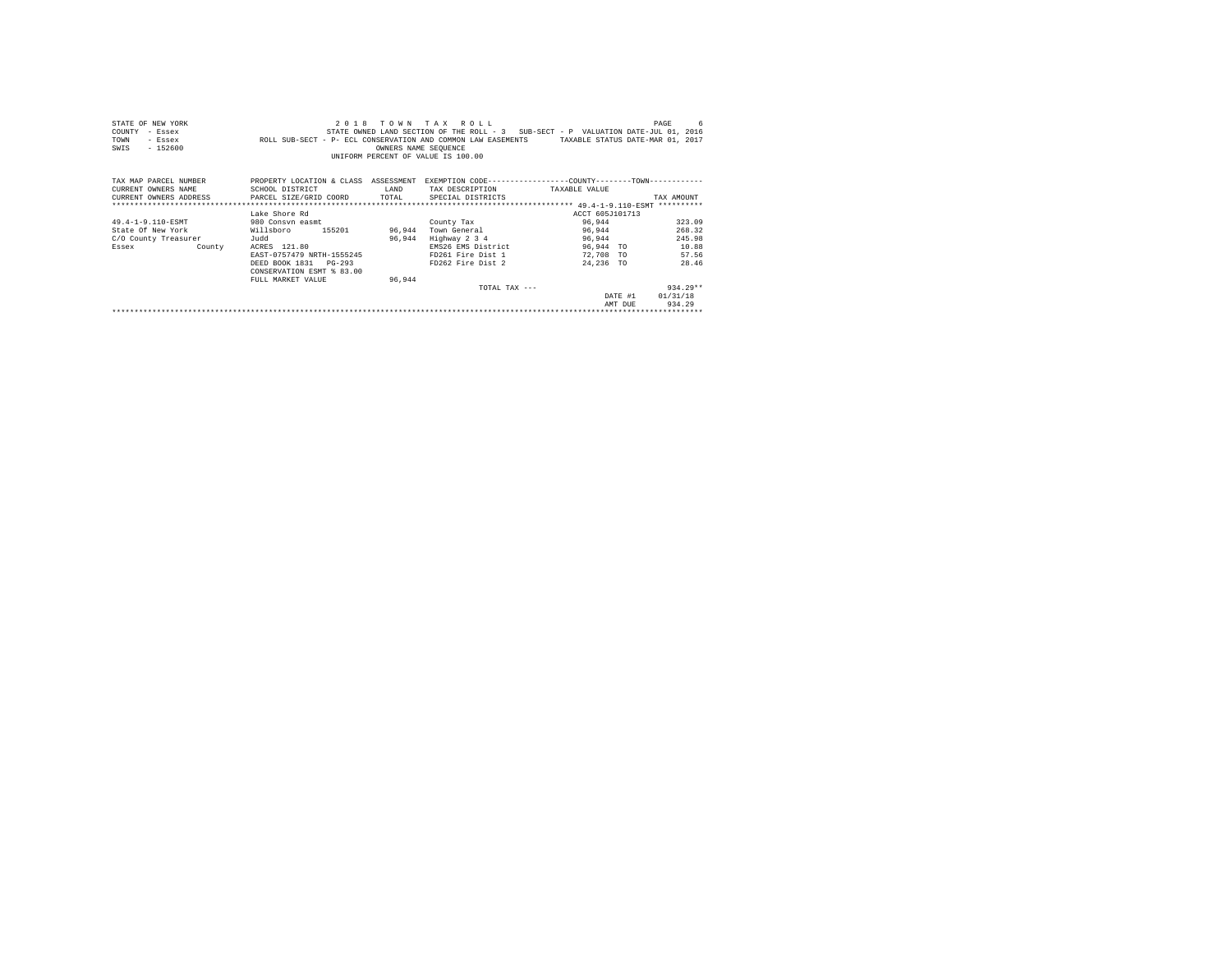| STATE OF NEW YORK                                   | 2 0 1 8                                                                                                                                                                          |                      | TOWN TAX ROLL                      |                 | -6<br>PAGE |
|-----------------------------------------------------|----------------------------------------------------------------------------------------------------------------------------------------------------------------------------------|----------------------|------------------------------------|-----------------|------------|
| COUNTY<br>- Essex                                   |                                                                                                                                                                                  |                      |                                    |                 |            |
| TOWN<br>- Essex                                     | STATE OWNED LAND SECTION OF THE ROLL - 3 SUB-SECT - P VALUATION DATE-UGL , 2010<br>ROLL SUB-SECT - P- ECL CONSERVATION AND COMMON LAW EASEMENTS TAXABLE STATUS DATE-MAR 01, 2017 |                      |                                    |                 |            |
| $-152600$<br>SWIS                                   |                                                                                                                                                                                  | OWNERS NAME SEQUENCE |                                    |                 |            |
|                                                     |                                                                                                                                                                                  |                      | UNIFORM PERCENT OF VALUE IS 100.00 |                 |            |
|                                                     |                                                                                                                                                                                  |                      |                                    |                 |            |
|                                                     |                                                                                                                                                                                  |                      |                                    |                 |            |
| TAX MAP PARCEL NUMBER                               | PROPERTY LOCATION & CLASS ASSESSMENT EXEMPTION CODE-----------------COUNTY-------TOWN-----------                                                                                 |                      |                                    |                 |            |
| CURRENT OWNERS NAME                                 | SCHOOL DISTRICT                                                                                                                                                                  | LAND                 | TAX DESCRIPTION TAXABLE VALUE      |                 |            |
| CURRENT OWNERS ADDRESS PARCEL SIZE/GRID COORD TOTAL |                                                                                                                                                                                  |                      | SPECIAL DISTRICTS                  |                 | TAX AMOUNT |
|                                                     |                                                                                                                                                                                  |                      |                                    |                 |            |
|                                                     | Lake Shore Rd                                                                                                                                                                    |                      |                                    | ACCT 605J101713 |            |
| 49.4-1-9.110-ESMT                                   | 980 Consyn easmt                                                                                                                                                                 |                      | County Tax                         | 96.944          | 323.09     |
| State Of New York                                   | Willsboro<br>155201 96,944                                                                                                                                                       |                      | Town General                       | 96.944          | 268.32     |
| C/O County Treasurer                                | Judd                                                                                                                                                                             | 96.944               | Highway 2 3 4                      | 96,944          | 245.98     |
| Essex County                                        | ACRES 121.80                                                                                                                                                                     |                      | EMS26 EMS District                 | 96.944 TO       | 10.88      |
|                                                     | EAST-0757479 NRTH-1555245                                                                                                                                                        |                      | FD261 Fire Dist 1                  | 72,708 TO       | 57.56      |
|                                                     | DEED BOOK 1831 PG-293                                                                                                                                                            |                      | FD262 Fire Dist 2                  | 24,236 TO       | 28.46      |
|                                                     | CONSERVATION ESMT % 83.00                                                                                                                                                        |                      |                                    |                 |            |
|                                                     | FULL MARKET VALUE                                                                                                                                                                | 96.944               |                                    |                 |            |
|                                                     |                                                                                                                                                                                  |                      | TOTAL TAX $---$                    |                 | $934.29**$ |
|                                                     |                                                                                                                                                                                  |                      |                                    | DATE #1         | 01/31/18   |
|                                                     |                                                                                                                                                                                  |                      |                                    | AMT DUE         | 934.29     |
|                                                     |                                                                                                                                                                                  |                      |                                    |                 |            |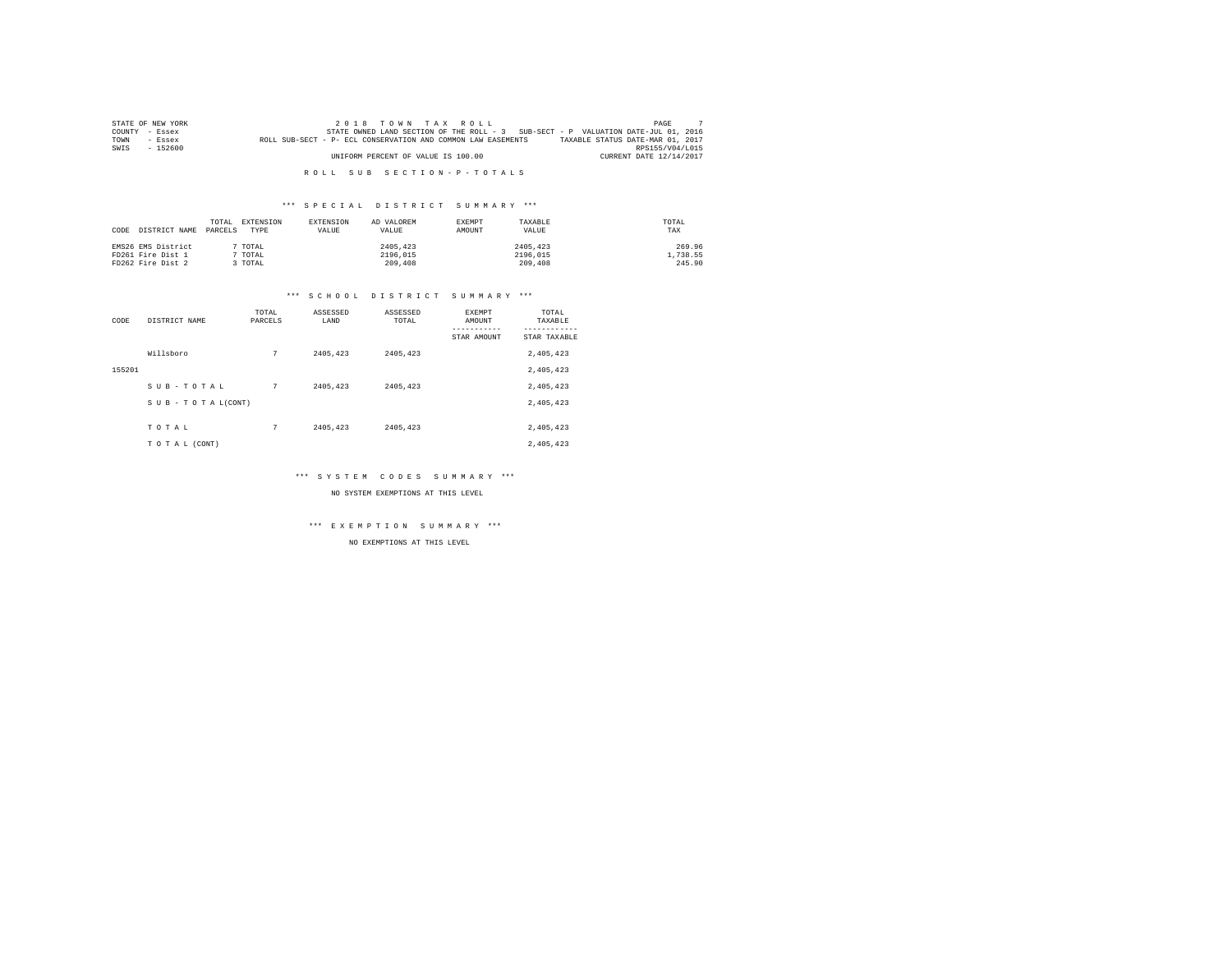|      | STATE OF NEW YORK | 2018 TOWN TAX ROLL                                                                               | PAGE                    |  |
|------|-------------------|--------------------------------------------------------------------------------------------------|-------------------------|--|
|      | COUNTY - Essex    | STATE OWNED LAND SECTION OF THE ROLL - 3 SUB-SECT - P VALUATION DATE-JUL 01, 2016                |                         |  |
| TOWN | $-$ Essex         | TAXABLE STATUS DATE-MAR 01, 2017<br>ROLL SUB-SECT - P- ECL CONSERVATION AND COMMON LAW EASEMENTS |                         |  |
| SWIS | $-152600$         |                                                                                                  | RPS155/V04/L015         |  |
|      |                   | UNIFORM PERCENT OF VALUE IS 100.00                                                               | CURRENT DATE 12/14/2017 |  |

## \*\*\* S P E C I A L D I S T R I C T S U M M A R Y \*\*\*

| CODE | DISTRICT NAME      | EXTENSION<br>TOTAL<br>PARCELS<br><b>TYPE</b> | EXTENSION<br>VALUE | AD VALOREM<br>VALUE | <b>EXEMPT</b><br>AMOUNT | TAXABLE<br>VALUE | TOTAL<br>TAX |
|------|--------------------|----------------------------------------------|--------------------|---------------------|-------------------------|------------------|--------------|
|      | EMS26 EMS District | TOTAL                                        |                    | 2405,423            |                         | 2405,423         | 269.96       |
|      | FD261 Fire Dist 1  | TOTAL                                        |                    | 2196.015            |                         | 2196.015         | 1,738.55     |
|      | FD262 Fire Dist 2  | TOTAL                                        |                    | 209,408             |                         | 209,408          | 245.90       |

#### \*\*\* S C H O O L D I S T R I C T S U M M A R Y \*\*\*

| CODE   | DISTRICT NAME      | TOTAL<br>PARCELS | ASSESSED<br>LAND | ASSESSED<br>TOTAL | <b>EXEMPT</b><br>AMOUNT<br>STAR AMOUNT | TOTAL<br>TAXABLE<br>STAR TAXABLE |
|--------|--------------------|------------------|------------------|-------------------|----------------------------------------|----------------------------------|
|        | Willsboro          | 7                | 2405.423         | 2405.423          |                                        | 2,405,423                        |
| 155201 |                    |                  |                  |                   |                                        | 2,405,423                        |
|        | SUB-TOTAL          | 7                | 2405.423         | 2405.423          |                                        | 2,405,423                        |
|        | SUB - TO TAL(CONT) |                  |                  |                   |                                        | 2,405,423                        |
|        |                    |                  |                  |                   |                                        |                                  |
|        | TOTAL              | 7                | 2405.423         | 2405.423          |                                        | 2,405,423                        |
|        | TO TAL (CONT)      |                  |                  |                   |                                        | 2,405,423                        |

\*\*\* S Y S T E M C O D E S S U M M A R Y \*\*\*

NO SYSTEM EXEMPTIONS AT THIS LEVEL

\*\*\* E X E M P T I O N S U M M A R Y \*\*\*

NO EXEMPTIONS AT THIS LEVEL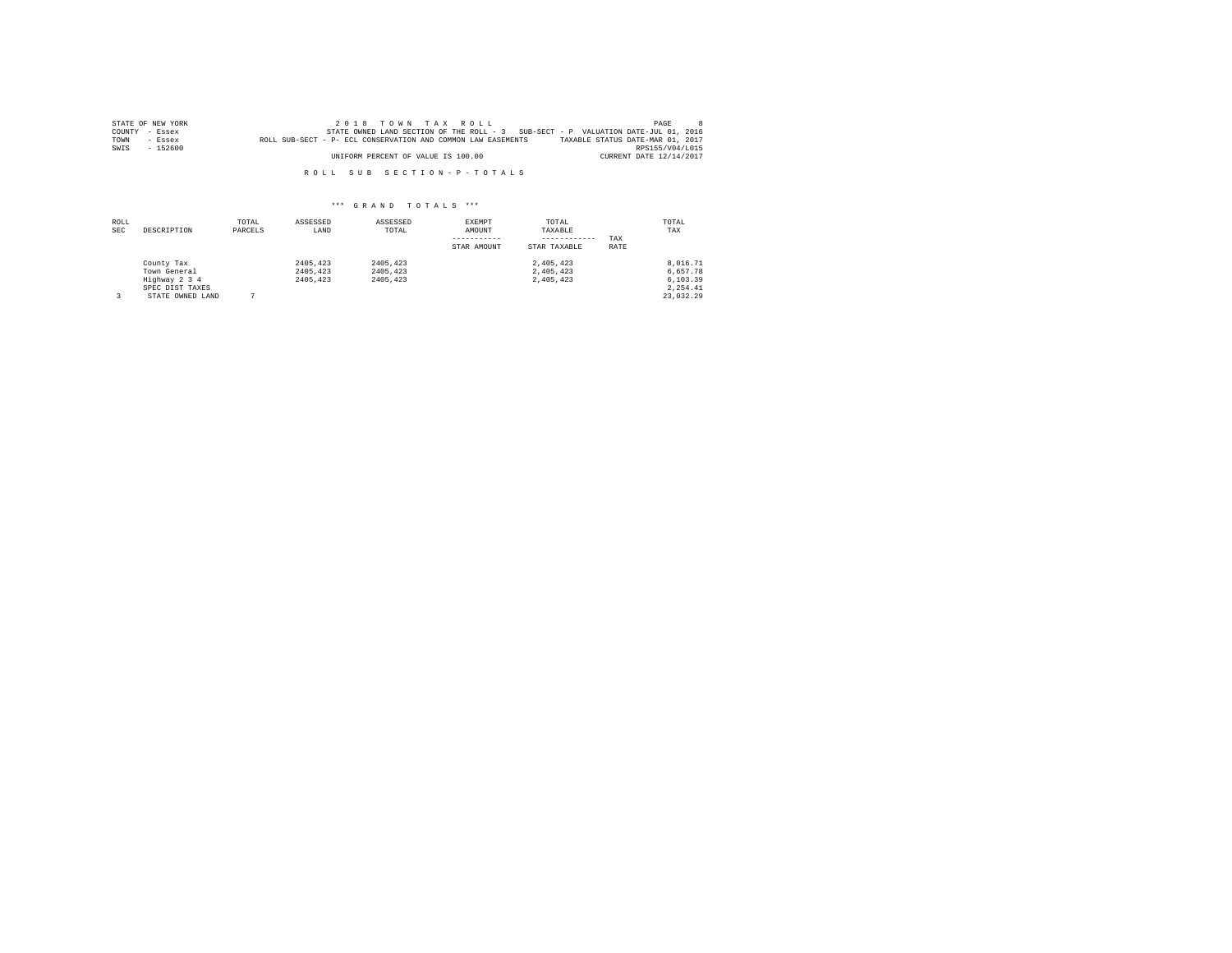|      | STATE OF NEW YORK | 2018 TOWN TAX ROLL                                                                               | PAGE            |  |
|------|-------------------|--------------------------------------------------------------------------------------------------|-----------------|--|
|      | COUNTY - Essex    | STATE OWNED LAND SECTION OF THE ROLL - 3 SUB-SECT - P VALUATION DATE-JUL 01, 2016                |                 |  |
| TOWN | $-$ Essex         | TAXABLE STATUS DATE-MAR 01, 2017<br>ROLL SUB-SECT - P- ECL CONSERVATION AND COMMON LAW EASEMENTS |                 |  |
| SWIS | $-152600$         |                                                                                                  | RPS155/V04/L015 |  |
|      |                   | UNIFORM PERCENT OF VALUE IS 100.00<br>CURRENT DATE 12/14/2017                                    |                 |  |

| ROLL<br><b>SEC</b> | DESCRIPTION                                                                        | TOTAL<br>PARCELS | ASSESSED<br>LAND                 | ASSESSED<br>TOTAL                | <b>EXEMPT</b><br>AMOUNT<br>STAR AMOUNT | TOTAL<br>TAXABLE<br>------------<br>STAR TAXABLE | TAX<br>RATE | TOTAL<br>TAX                                              |
|--------------------|------------------------------------------------------------------------------------|------------------|----------------------------------|----------------------------------|----------------------------------------|--------------------------------------------------|-------------|-----------------------------------------------------------|
|                    | County Tax<br>Town General<br>Highway 2 3 4<br>SPEC DIST TAXES<br>STATE OWNED LAND |                  | 2405.423<br>2405.423<br>2405,423 | 2405.423<br>2405.423<br>2405,423 |                                        | 2.405.423<br>2.405.423<br>2.405.423              |             | 8.016.71<br>6.657.78<br>6.103.39<br>2.254.41<br>23.032.29 |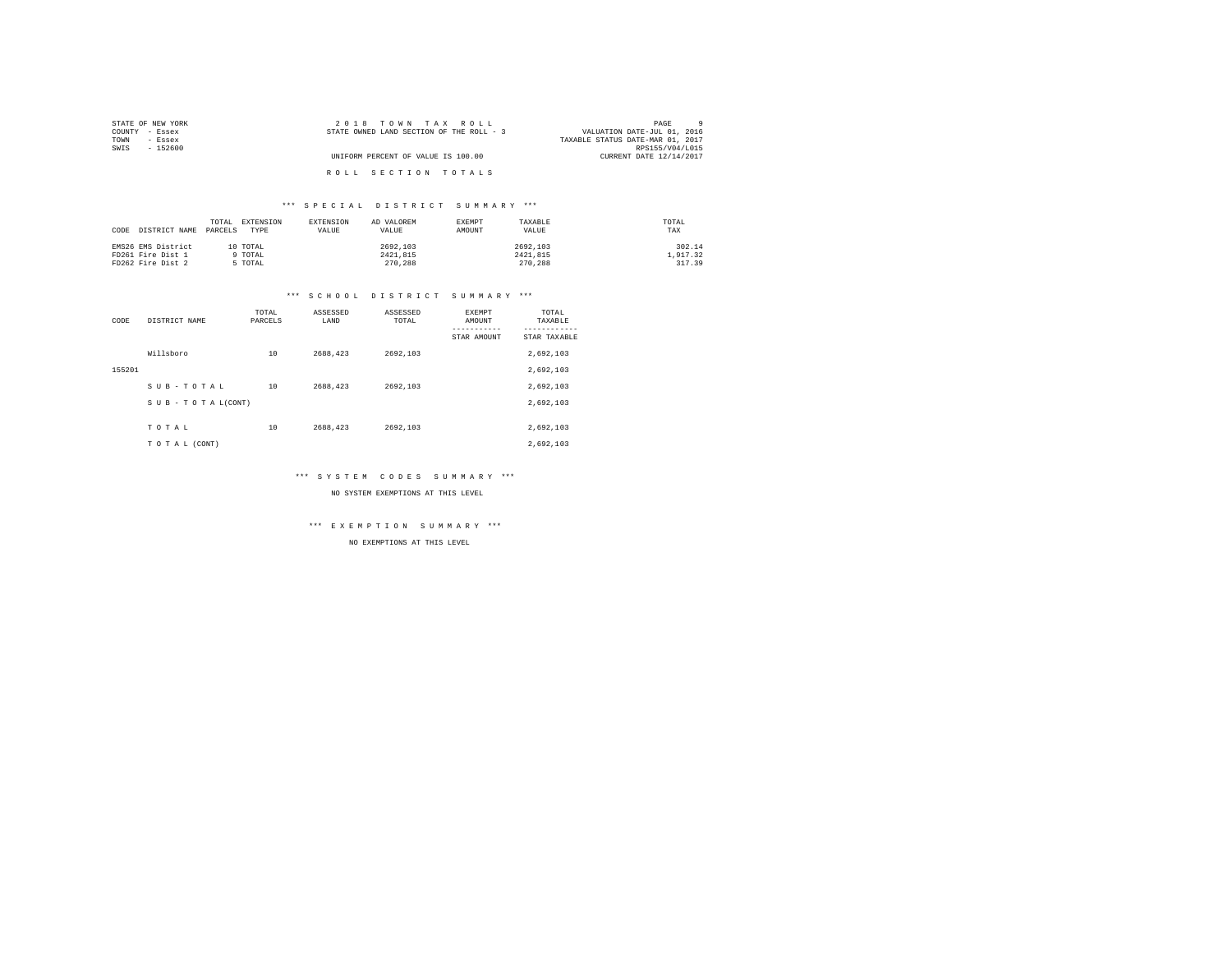| STATE OF NEW YORK | 2018 TOWN TAX ROLL                       | PAGE                             |
|-------------------|------------------------------------------|----------------------------------|
| COUNTY - Essex    | STATE OWNED LAND SECTION OF THE ROLL - 3 | VALUATION DATE-JUL 01, 2016      |
| TOWN<br>- Essex   |                                          | TAXABLE STATUS DATE-MAR 01, 2017 |
| SWIS<br>- 152600  |                                          | RPS155/V04/L015                  |
|                   | UNIFORM PERCENT OF VALUE IS 100.00       | CURRENT DATE 12/14/2017          |
|                   |                                          |                                  |
|                   | ROLL SECTION TOTALS                      |                                  |

## \*\*\* S P E C I A L D I S T R I C T S U M M A R Y \*\*\*

| CODE | DISTRICT NAME      | TOTAL.<br>PARCELS | EXTENSION<br>TYPE | EXTENSION<br>VALUE | AD VALOREM<br>VALUE | EXEMPT<br>AMOUNT | TAXABLE<br>VALUE | TOTAL<br>TAX |
|------|--------------------|-------------------|-------------------|--------------------|---------------------|------------------|------------------|--------------|
|      | EMS26 EMS District |                   | 10 TOTAL          |                    | 2692,103            |                  | 2692.103         | 302.14       |
|      | FD261 Fire Dist 1  |                   | 9 TOTAL           |                    | 2421,815            |                  | 2421,815         | 1.917.32     |
|      | FD262 Fire Dist 2  |                   | TOTAL             |                    | 270.288             |                  | 270.288          | 317.39       |

#### \*\*\* S C H O O L D I S T R I C T S U M M A R Y \*\*\*

| CODE   | DISTRICT NAME   | TOTAL<br>PARCELS | ASSESSED<br>LAND | ASSESSED<br>TOTAL | <b>EXEMPT</b><br>AMOUNT<br>STAR AMOUNT | TOTAL<br>TAXABLE<br>---------<br>STAR TAXABLE |
|--------|-----------------|------------------|------------------|-------------------|----------------------------------------|-----------------------------------------------|
|        | Willsboro       | 10               | 2688.423         | 2692.103          |                                        | 2,692,103                                     |
| 155201 |                 |                  |                  |                   |                                        | 2,692,103                                     |
|        | SUB-TOTAL       | 10               | 2688,423         | 2692.103          |                                        | 2.692.103                                     |
|        | SUB-TOTAL(CONT) |                  |                  |                   |                                        | 2.692.103                                     |
|        |                 |                  |                  |                   |                                        |                                               |
|        | TOTAL           | 10               | 2688,423         | 2692.103          |                                        | 2.692.103                                     |
|        | TO TAL (CONT)   |                  |                  |                   |                                        | 2.692.103                                     |

\*\*\* S Y S T E M C O D E S S U M M A R Y \*\*\*

NO SYSTEM EXEMPTIONS AT THIS LEVEL

\*\*\* E X E M P T I O N S U M M A R Y \*\*\*

NO EXEMPTIONS AT THIS LEVEL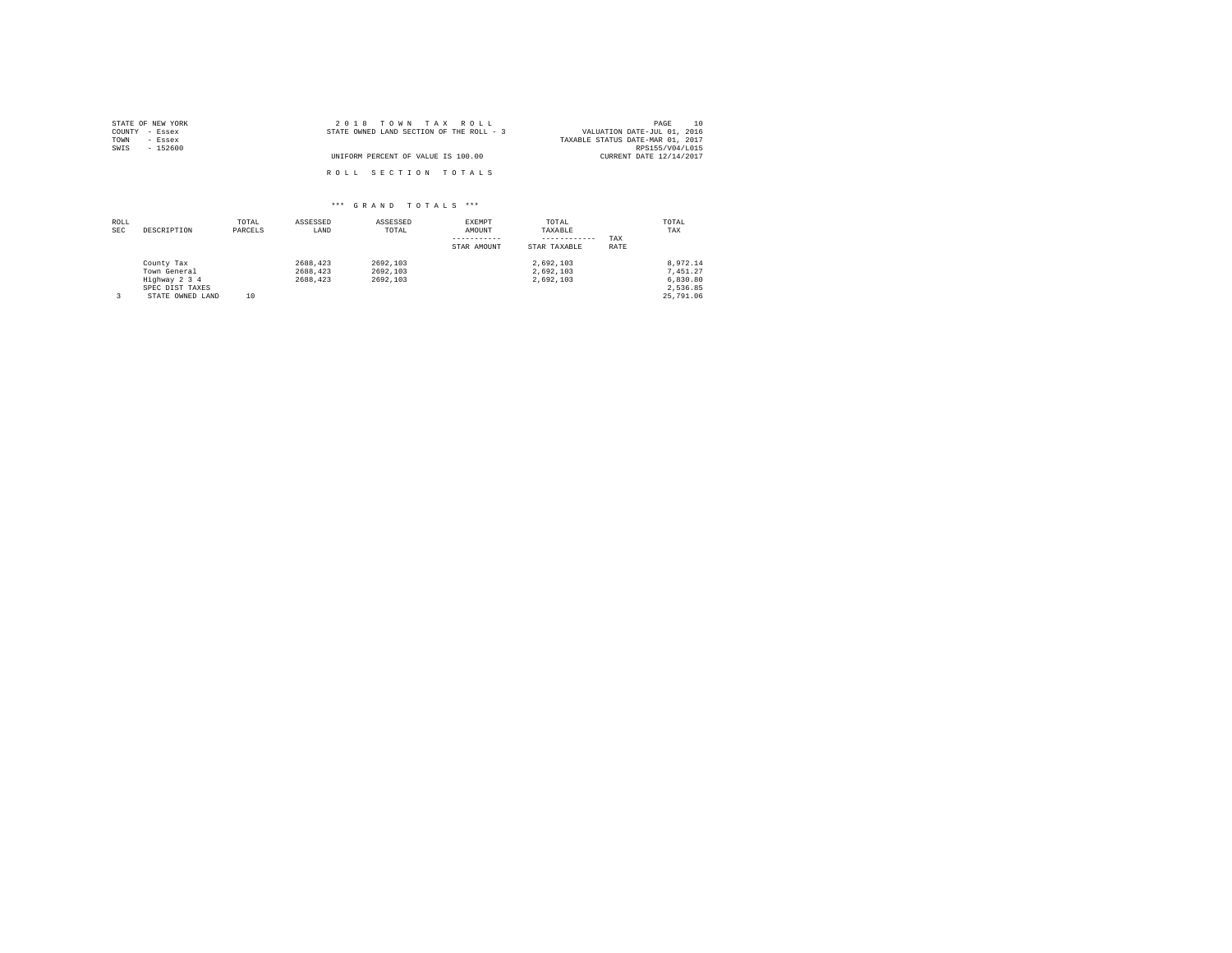| STATE OF NEW YORK | 2018 TOWN TAX ROLL                       | 10<br>PAGE                       |
|-------------------|------------------------------------------|----------------------------------|
| COUNTY - Essex    | STATE OWNED LAND SECTION OF THE ROLL - 3 | VALUATION DATE-JUL 01, 2016      |
| TOWN<br>- Essex   |                                          | TAXABLE STATUS DATE-MAR 01, 2017 |
| SWIS<br>$-152600$ |                                          | RPS155/V04/L015                  |
|                   | UNIFORM PERCENT OF VALUE IS 100.00       | CURRENT DATE 12/14/2017          |
|                   | ROLL SECTION TOTALS                      |                                  |

### \*\*\* G R A N D T O T A L S \*\*\*

| ROLL<br><b>SEC</b> | DESCRIPTION                                                                        | TOTAL<br>PARCELS | ASSESSED<br>LAND                 | ASSESSED<br>TOTAL                | EXEMPT<br>AMOUNT<br>-----------<br>STAR AMOUNT | TOTAL<br>TAXABLE<br>------------<br>STAR TAXABLE | TAX<br>RATE | TOTAL<br>TAX                                              |
|--------------------|------------------------------------------------------------------------------------|------------------|----------------------------------|----------------------------------|------------------------------------------------|--------------------------------------------------|-------------|-----------------------------------------------------------|
|                    | County Tax<br>Town General<br>Highway 2 3 4<br>SPEC DIST TAXES<br>STATE OWNED LAND | 10               | 2688.423<br>2688.423<br>2688.423 | 2692.103<br>2692.103<br>2692.103 |                                                | 2.692.103<br>2.692.103<br>2.692.103              |             | 8.972.14<br>7.451.27<br>6.830.80<br>2.536.85<br>25,791.06 |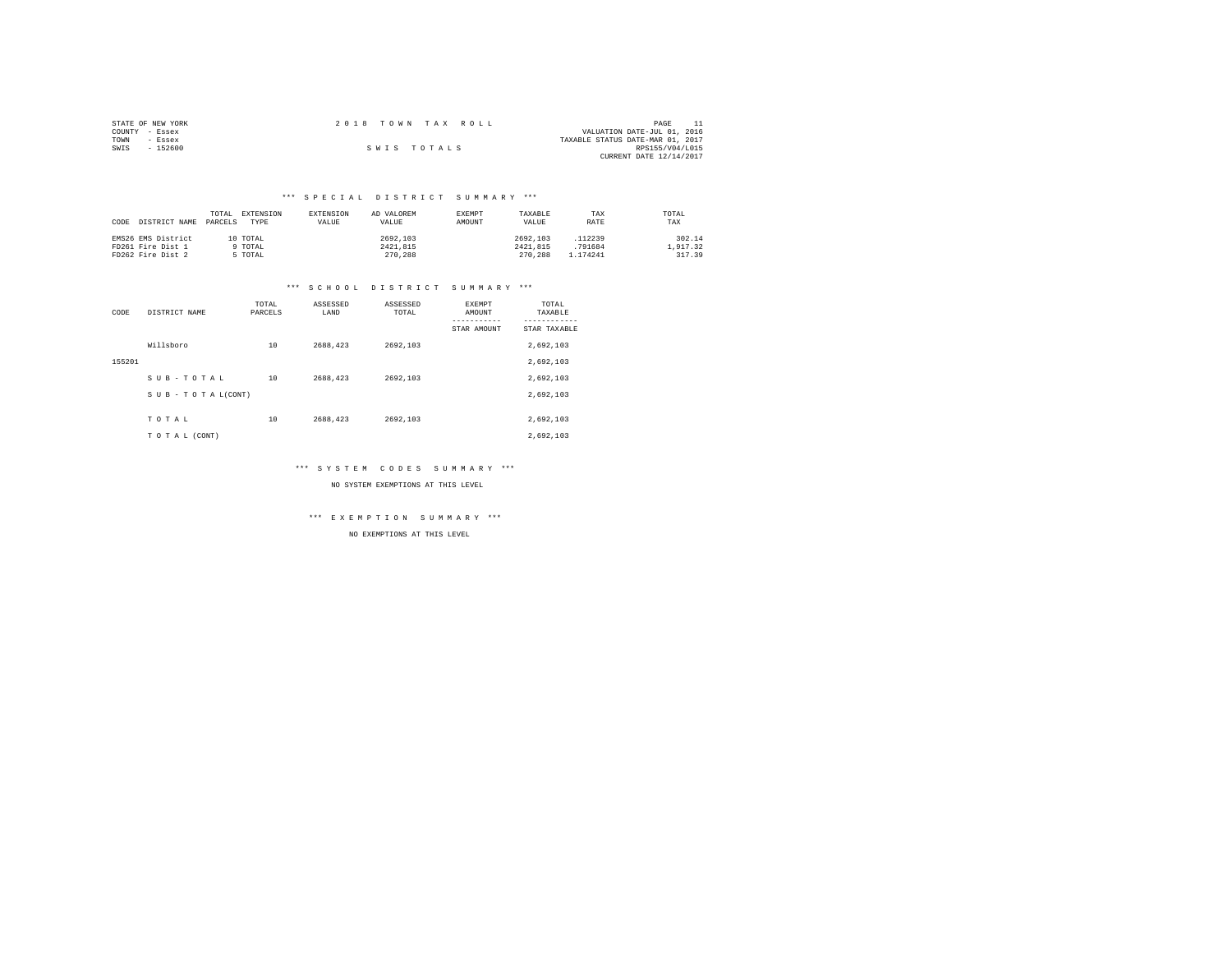|                | STATE OF NEW YORK | 2018 TOWN TAX ROLL |             |                                  | PAGE                        |  |
|----------------|-------------------|--------------------|-------------|----------------------------------|-----------------------------|--|
| COUNTY - Essex |                   |                    |             |                                  | VALUATION DATE-JUL 01, 2016 |  |
| TOWN           | - Essex           |                    |             | TAXABLE STATUS DATE-MAR 01, 2017 |                             |  |
| SWIS           | $-152600$         |                    | SWIS TOTALS |                                  | RPS155/V04/L015             |  |
|                |                   |                    |             |                                  | CURRENT DATE 12/14/2017     |  |

#### \*\*\* S P E C I A L D I S T R I C T S U M M A R Y \*\*\*

| CODE DISTRICT NAME | TOTAL<br>PARCELS | EXTENSION<br>TYPE | EXTENSION<br>VALUE | AD VALOREM<br>VALUE | <b>EXEMPT</b><br>AMOUNT | TAXABLE<br>VALUE | TAX<br>RATE | TOTAL<br>TAX |
|--------------------|------------------|-------------------|--------------------|---------------------|-------------------------|------------------|-------------|--------------|
| EMS26 EMS District |                  | 10 TOTAL          |                    | 2692.103            |                         | 2692,103         | .112239     | 302.14       |
| FD261 Fire Dist 1  |                  | 9 TOTAL           |                    | 2421,815            |                         | 2421,815         | .791684     | 1,917.32     |
| FD262 Fire Dist 2  |                  | 5 TOTAL           |                    | 270,288             |                         | 270.288          | 1.174241    | 317.39       |

#### \*\*\* S C H O O L D I S T R I C T S U M M A R Y \*\*\*

| CODE   | DISTRICT NAME      | TOTAL<br>PARCELS | ASSESSED<br>LAND | ASSESSED<br>TOTAL | <b>EXEMPT</b><br>AMOUNT | TOTAL<br>TAXABLE<br>--------- |
|--------|--------------------|------------------|------------------|-------------------|-------------------------|-------------------------------|
|        |                    |                  |                  |                   | STAR AMOUNT             | STAR TAXABLE                  |
|        | Willsboro          | 10               | 2688.423         | 2692.103          |                         | 2,692,103                     |
| 155201 |                    |                  |                  |                   |                         | 2,692,103                     |
|        | SUB-TOTAL          | 10               | 2688.423         | 2692.103          |                         | 2,692,103                     |
|        | SUB - TO TAL(CONT) |                  |                  |                   |                         | 2,692,103                     |
|        |                    |                  |                  |                   |                         |                               |
|        | TOTAL              | 10               | 2688.423         | 2692.103          |                         | 2,692,103                     |
|        | TO TAL (CONT)      |                  |                  |                   |                         | 2.692.103                     |

#### \*\*\* S Y S T E M C O D E S S U M M A R Y \*\*\*

NO SYSTEM EXEMPTIONS AT THIS LEVEL

# \*\*\* E X E M P T I O N S U M M A R Y \*\*\*

NO EXEMPTIONS AT THIS LEVEL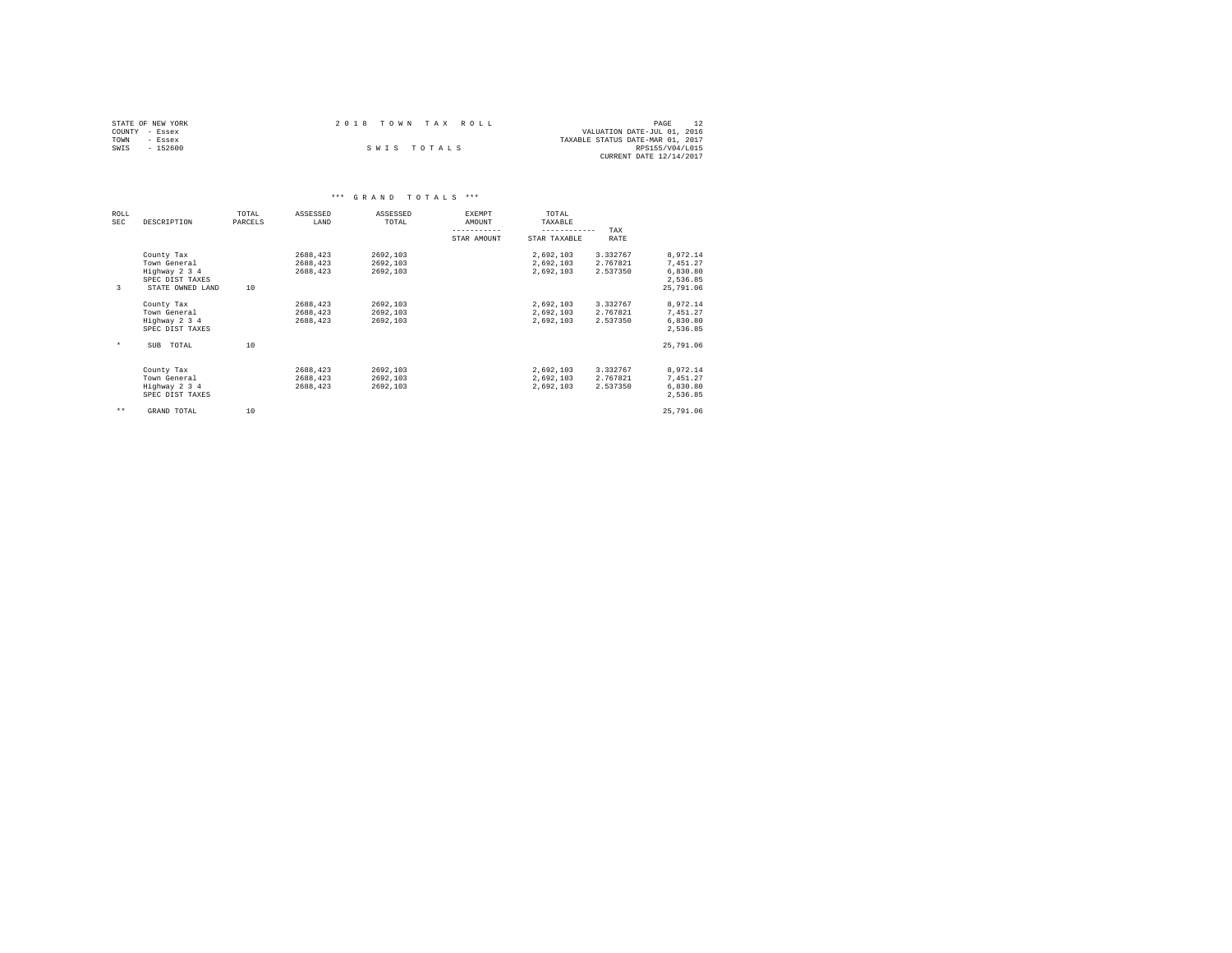| STATE OF NEW YORK | 2018 TOWN TAX ROLL | PAGE                             |
|-------------------|--------------------|----------------------------------|
| COUNTY - Essex    |                    | VALUATION DATE-JUL 01, 2016      |
| TOWN<br>- Essex   |                    | TAXABLE STATUS DATE-MAR 01, 2017 |
| SWIS<br>$-152600$ | SWIS TOTALS        | RPS155/V04/L015                  |
|                   |                    | CURRENT DATE 12/14/2017          |

### \*\*\* G R A N D T O T A L S \*\*\*

| ROLL       |                                  | TOTAL   | ASSESSED | ASSESSED | EXEMPT      | TOTAL        |          |                      |
|------------|----------------------------------|---------|----------|----------|-------------|--------------|----------|----------------------|
| <b>SEC</b> | DESCRIPTION                      | PARCELS | LAND     | TOTAL    | AMOUNT      | TAXABLE      |          |                      |
|            |                                  |         |          |          |             |              | TAX      |                      |
|            |                                  |         |          |          | STAR AMOUNT | STAR TAXABLE | RATE     |                      |
|            | County Tax                       |         | 2688,423 | 2692,103 |             | 2,692,103    | 3.332767 | 8,972.14             |
|            | Town General                     |         | 2688,423 | 2692,103 |             | 2,692,103    | 2.767821 | 7,451.27             |
|            | Highway 2 3 4<br>SPEC DIST TAXES |         | 2688.423 | 2692.103 |             | 2,692,103    | 2.537350 | 6,830.80<br>2,536.85 |
| 3          | STATE OWNED LAND                 | 10      |          |          |             |              |          | 25,791.06            |
|            | County Tax                       |         | 2688,423 | 2692,103 |             | 2,692,103    | 3.332767 | 8,972.14             |
|            | Town General                     |         | 2688,423 | 2692,103 |             | 2,692,103    | 2.767821 | 7,451.27             |
|            | Highway 2 3 4<br>SPEC DIST TAXES |         | 2688,423 | 2692.103 |             | 2,692,103    | 2.537350 | 6,830.80<br>2,536.85 |
| $\star$    | SUB TOTAL                        | 10      |          |          |             |              |          | 25,791.06            |
|            |                                  |         |          |          |             |              | 3.332767 |                      |
|            | County Tax                       |         | 2688,423 | 2692,103 |             | 2,692,103    |          | 8,972.14             |
|            | Town General                     |         | 2688,423 | 2692,103 |             | 2,692,103    | 2.767821 | 7,451.27             |
|            | Highway 2 3 4<br>SPEC DIST TAXES |         | 2688,423 | 2692.103 |             | 2,692,103    | 2.537350 | 6,830.80<br>2,536.85 |
| $* *$      | GRAND TOTAL                      | 10      |          |          |             |              |          | 25,791.06            |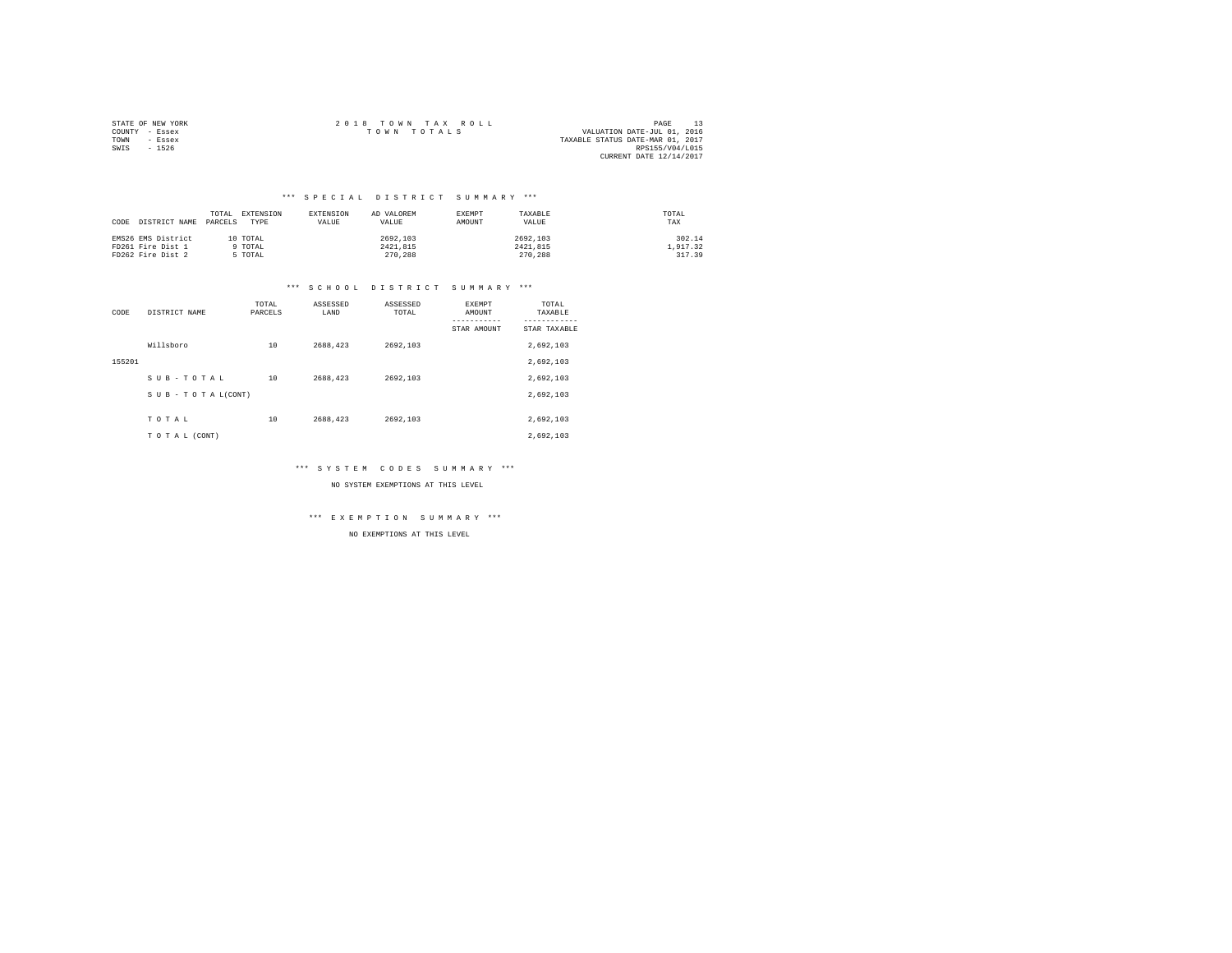| STATE OF NEW YORK | 2018 TOWN TAX ROLL |  |                                  | PAGE            |  |
|-------------------|--------------------|--|----------------------------------|-----------------|--|
| COUNTY - Essex    | TOWN TOTALS        |  | VALUATION DATE-JUL 01, 2016      |                 |  |
| TOWN<br>- Essex   |                    |  | TAXABLE STATUS DATE-MAR 01, 2017 |                 |  |
| SWIS<br>$-1526$   |                    |  |                                  | RPS155/V04/L015 |  |
|                   |                    |  | CURRENT DATE 12/14/2017          |                 |  |

#### \*\*\* S P E C I A L D I S T R I C T S U M M A R Y \*\*\*

| CODE DISTRICT NAME | EXTENSION<br>TOTAL<br>PARCELS<br><b>TYPE</b> | EXTENSION<br><b>VALUE</b> | AD VALOREM<br>VALUE. | EXEMPT<br>AMOUNT | TAXABLE<br>VALUE | TOTAL<br>TAX |
|--------------------|----------------------------------------------|---------------------------|----------------------|------------------|------------------|--------------|
| EMS26 EMS District | 10 TOTAL                                     |                           | 2692,103             |                  | 2692.103         | 302.14       |
| FD261 Fire Dist 1  | 9 TOTAL                                      |                           | 2421,815             |                  | 2421,815         | 1,917.32     |
| FD262 Fire Dist 2  | 5 TOTAL                                      |                           | 270.288              |                  | 270,288          | 317.39       |

#### \*\*\* S C H O O L D I S T R I C T S U M M A R Y \*\*\*

| CODE   | DISTRICT NAME   | TOTAL<br>PARCELS | ASSESSED<br>LAND | ASSESSED<br>TOTAL | <b>EXEMPT</b><br>AMOUNT | TOTAL<br>TAXABLE |
|--------|-----------------|------------------|------------------|-------------------|-------------------------|------------------|
|        |                 |                  |                  |                   | STAR AMOUNT             | STAR TAXABLE     |
|        | Willsboro       | 10               | 2688.423         | 2692.103          |                         | 2,692,103        |
| 155201 |                 |                  |                  |                   |                         | 2,692,103        |
|        | SUB-TOTAL       | 10               | 2688.423         | 2692.103          |                         | 2,692,103        |
|        | SUB-TOTAL(CONT) |                  |                  |                   |                         | 2,692,103        |
|        |                 |                  |                  |                   |                         |                  |
|        | TOTAL           | 10               | 2688.423         | 2692.103          |                         | 2,692,103        |
|        | TO TAL (CONT)   |                  |                  |                   |                         | 2,692,103        |

#### \*\*\* S Y S T E M C O D E S S U M M A R Y \*\*\*

NO SYSTEM EXEMPTIONS AT THIS LEVEL

# \*\*\* E X E M P T I O N S U M M A R Y \*\*\*

NO EXEMPTIONS AT THIS LEVEL